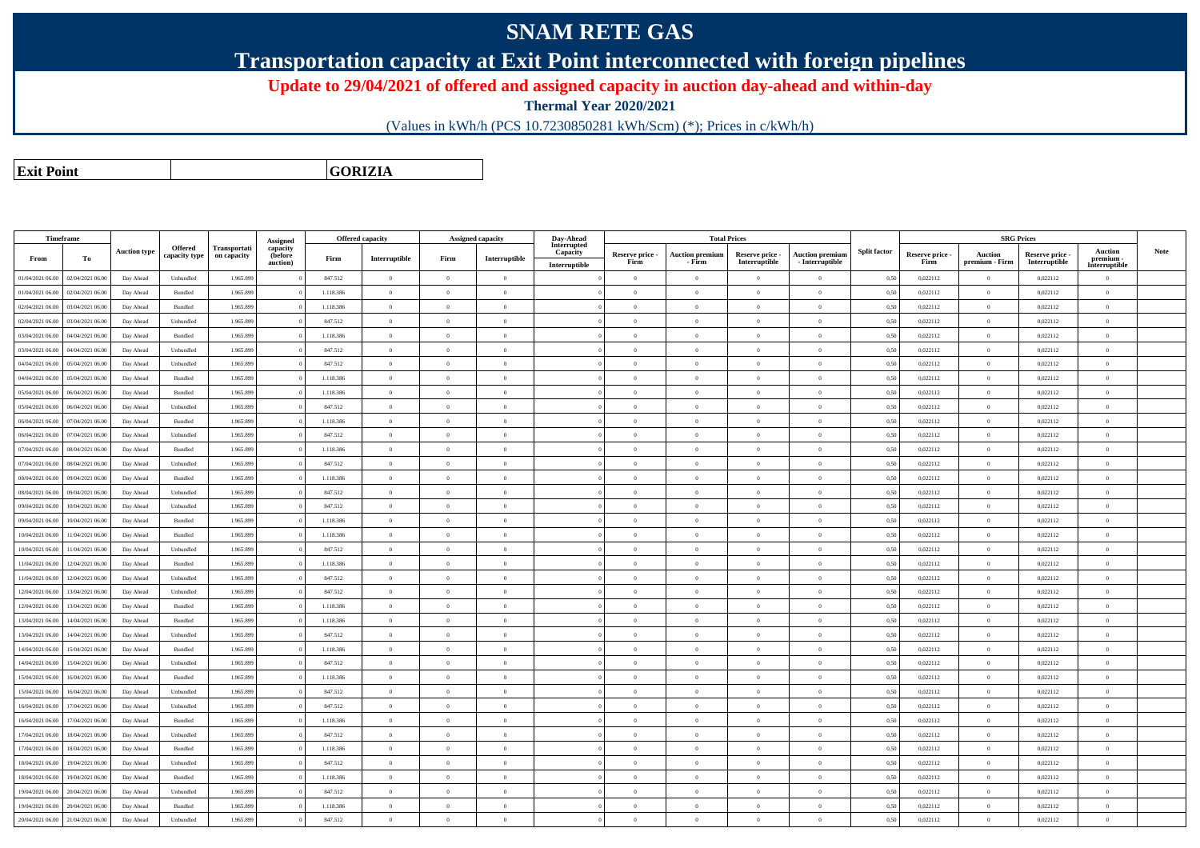## **SNAM RETE GAS**

**Transportation capacity at Exit Point interconnected with foreign pipelines**

**Update to 29/04/2021 of offered and assigned capacity in auction day-ahead and within-day**

**Thermal Year 2020/2021**

(Values in kWh/h (PCS 10.7230850281 kWh/Scm) (\*); Prices in c/kWh/h)

**Exit PointGORIZIA**

|                  | <b>Timeframe</b> |                     |                |              |                      |           | Offered capacity   |                | Assigned capacity | Day-Ahead               |                         |                                  | <b>Total Prices</b>              |                                           |                     |                         |                           | <b>SRG Prices</b>                |                            |             |
|------------------|------------------|---------------------|----------------|--------------|----------------------|-----------|--------------------|----------------|-------------------|-------------------------|-------------------------|----------------------------------|----------------------------------|-------------------------------------------|---------------------|-------------------------|---------------------------|----------------------------------|----------------------------|-------------|
|                  |                  | <b>Auction type</b> | <b>Offered</b> | Transportati | Assigned<br>capacity |           |                    |                |                   | Interrupted<br>Capacity |                         |                                  |                                  |                                           | <b>Split factor</b> |                         |                           |                                  | <b>Auction</b>             | <b>Note</b> |
| From             | To               |                     | capacity type  | on capacity  | (before<br>auction)  | Firm      | Interruptible      | Firm           | Interruptible     | Interruptible           | Reserve price -<br>Firm | <b>Auction premium</b><br>- Firm | Reserve price -<br>Interruptible | <b>Auction premium</b><br>- Interruptible |                     | Reserve price -<br>Firm | Auction<br>premium - Firm | Reserve price -<br>Interruptible | premium -<br>Interruptible |             |
| 01/04/2021 06:00 | 02/04/2021 06:00 | Day Ahead           | Unbundled      | 1.965.899    |                      | 847.512   | $\overline{0}$     | $\overline{0}$ | $\overline{0}$    |                         | $\Omega$                | $\theta$                         | $\Omega$                         | $\theta$                                  | 0,50                | 0,022112                | $\overline{0}$            | 0,022112                         | $\theta$                   |             |
| 01/04/2021 06:00 | 02/04/2021 06:00 | Day Ahead           | Bundled        | 1.965.899    |                      | 1.118.386 | $\overline{0}$     | $\overline{0}$ | $\overline{0}$    |                         | $\Omega$                | $\overline{0}$                   | $\theta$                         | $\overline{0}$                            | 0,50                | 0,022112                | $\overline{0}$            | 0,022112                         | $\overline{0}$             |             |
| 02/04/2021 06:00 | 03/04/2021 06:00 | Day Ahead           | Bundled        | 1.965.899    |                      | 1.118.386 | $\,$ 0 $\,$        | $\overline{0}$ | $\Omega$          |                         | $\Omega$                | $\overline{0}$                   | $\theta$                         | $\overline{0}$                            | 0,50                | 0,022112                | $\,$ 0 $\,$               | 0,022112                         | $\mathbf{0}$               |             |
| 02/04/2021 06:00 | 03/04/2021 06:00 | Day Ahead           | Unbundled      | 1.965.899    |                      | 847.512   | $\theta$           | $\theta$       | $\Omega$          |                         | $\Omega$                | $\theta$                         | $\Omega$                         | $\overline{0}$                            | 0,50                | 0,022112                | $\theta$                  | 0,022112                         | $\theta$                   |             |
| 03/04/2021 06:00 | 04/04/2021 06.00 | Day Ahead           | Bundled        | 1.965.899    |                      | 1.118.386 | $\,$ 0 $\,$        | $\overline{0}$ | $\theta$          |                         | $\Omega$                | $\overline{0}$                   | $\theta$                         | $\theta$                                  | 0,50                | 0,022112                | $\overline{0}$            | 0,022112                         | $\mathbf{0}$               |             |
| 03/04/2021 06:00 | 04/04/2021 06.00 | Day Ahead           | Unbundled      | 1.965.899    |                      | 847.512   | $\mathbf{0}$       | $\overline{0}$ | $\overline{0}$    |                         | $\Omega$                | $\overline{0}$                   | $\theta$                         | $\overline{0}$                            | 0,50                | 0,022112                | $\overline{0}$            | 0,022112                         | $\mathbf{0}$               |             |
| 04/04/2021 06:00 | 05/04/2021 06.0  | Day Ahead           | Unbundled      | 1.965.899    |                      | 847.512   | $\overline{0}$     | $\overline{0}$ | $\theta$          |                         | $\Omega$                | $\bf{0}$                         | $\theta$                         | $\overline{0}$                            | 0,50                | 0,022112                | $\overline{0}$            | 0,022112                         | $\bf{0}$                   |             |
| 04/04/2021 06:00 | 05/04/2021 06.0  | Day Ahead           | Bundled        | 1.965.899    |                      | 1.118.386 | $\overline{0}$     | $\overline{0}$ | $\theta$          |                         | $\Omega$                | $\overline{0}$                   | $\theta$                         | $\overline{0}$                            | 0,50                | 0,022112                | $\overline{0}$            | 0,022112                         | $\overline{0}$             |             |
| 05/04/2021 06:00 | 06/04/2021 06.00 | Day Ahead           | Bundled        | 1.965.899    |                      | 1.118.386 | $\overline{0}$     | $\Omega$       | $\Omega$          |                         | $\Omega$                | $\overline{0}$                   | $\Omega$                         | $\theta$                                  | 0,50                | 0,022112                | $\overline{0}$            | 0,022112                         | $\overline{0}$             |             |
| 05/04/2021 06:00 | 06/04/2021 06.00 | Day Ahead           | Unbundled      | 1.965.899    |                      | 847.512   | $\mathbf{0}$       | $\overline{0}$ | $\overline{0}$    |                         | $\Omega$                | $\overline{0}$                   | $\theta$                         | $\overline{0}$                            | 0,50                | 0,022112                | $\overline{0}$            | 0,022112                         | $\mathbf{0}$               |             |
| 06/04/2021 06:00 | 07/04/2021 06:00 | Day Ahead           | Bundled        | 1.965.899    |                      | 1.118.386 | $\overline{0}$     | $\overline{0}$ | $\theta$          |                         | $\Omega$                | $\theta$                         | $\theta$                         | $\theta$                                  | 0.50                | 0.022112                | $\overline{0}$            | 0.022112                         | $\theta$                   |             |
| 06/04/2021 06:00 | 07/04/2021 06.00 | Day Ahead           | Unbundled      | 1.965.899    |                      | 847.512   | $\,$ 0 $\,$        | $\overline{0}$ | $\overline{0}$    |                         | $\overline{0}$          | $\overline{0}$                   | $\theta$                         | $\overline{0}$                            | 0,50                | 0,022112                | $\,$ 0 $\,$               | 0,022112                         | $\mathbf{0}$               |             |
| 07/04/2021 06:00 | 08/04/2021 06:00 | Day Ahead           | Bundled        | 1.965.899    |                      | 1.118.386 | $\mathbf{0}$       | $\theta$       | $\theta$          |                         | $\Omega$                | $\theta$                         | $\Omega$                         | $\theta$                                  | 0,50                | 0,022112                | $\overline{0}$            | 0,022112                         | $\overline{0}$             |             |
| 07/04/2021 06:00 | 08/04/2021 06.0  | Day Ahead           | Unbundled      | 1.965.899    |                      | 847.512   | $\,$ 0 $\,$        | $\overline{0}$ | $\Omega$          |                         | $\Omega$                | $\overline{0}$                   | $\theta$                         | $\theta$                                  | 0,50                | 0,022112                | $\overline{0}$            | 0,022112                         | $\overline{0}$             |             |
| 08/04/2021 06:00 | 09/04/2021 06.00 | Day Ahead           | Bundled        | 1.965.899    |                      | 1.118.386 | $\overline{0}$     | $\overline{0}$ | $\overline{0}$    |                         | $\Omega$                | $\overline{0}$                   | $\theta$                         | $\overline{0}$                            | 0,50                | 0,022112                | $\overline{0}$            | 0,022112                         | $\theta$                   |             |
| 08/04/2021 06:00 | 09/04/2021 06:00 | Day Ahead           | Unbundled      | 1.965.899    |                      | 847.512   | $\mathbf{0}$       | $\Omega$       | $\Omega$          |                         | $\Omega$                | $\Omega$                         | $\Omega$                         | $\theta$                                  | 0,50                | 0,022112                | $\overline{0}$            | 0,022112                         | $\overline{0}$             |             |
| 09/04/2021 06:00 | 10/04/2021 06:00 | Day Ahead           | Unbundled      | 1.965.899    |                      | 847.512   | $\overline{0}$     | $\overline{0}$ | $\theta$          |                         | $\overline{0}$          | $\overline{0}$                   | $\theta$                         | $\overline{0}$                            | 0,50                | 0,022112                | $\overline{0}$            | 0,022112                         | $\mathbf{0}$               |             |
| 09/04/2021 06:00 | 10/04/2021 06:00 | Day Ahead           | Bundled        | 1.965.899    |                      | 1.118.386 | $\mathbf{0}$       | $\Omega$       | $\overline{0}$    |                         | $\Omega$                | $\overline{0}$                   | $\theta$                         | $\theta$                                  | 0,50                | 0,022112                | $\overline{0}$            | 0,022112                         | $\overline{0}$             |             |
| 10/04/2021 06:00 | 11/04/2021 06.00 | Day Ahead           | Bundled        | 1.965.899    |                      | 1.118.386 | $\overline{0}$     | $\overline{0}$ | $\Omega$          |                         | $\theta$                | $\overline{0}$                   | $\theta$                         | $\bf{0}$                                  | 0,50                | 0,022112                | $\overline{0}$            | 0,022112                         | $\mathbf{0}$               |             |
| 10/04/2021 06:00 | 11/04/2021 06:00 | Day Ahead           | Unbundled      | 1.965.899    |                      | 847.512   | $\overline{0}$     | $\theta$       | $\theta$          |                         | $\Omega$                | $\theta$                         | $\theta$                         | $\theta$                                  | 0.50                | 0.022112                | $\overline{0}$            | 0,022112                         | $\theta$                   |             |
| 11/04/2021 06:00 | 12/04/2021 06:00 | Day Ahead           | Bundled        | 1.965.899    |                      | 1.118.386 | $\,$ 0 $\,$        | $\overline{0}$ | $\theta$          |                         | $\Omega$                | $\overline{0}$                   | $\Omega$                         | $\theta$                                  | 0,50                | 0,022112                | $\overline{0}$            | 0,022112                         | $\overline{0}$             |             |
| 11/04/2021 06:00 | 12/04/2021 06:00 | Day Ahead           | Unbundled      | 1.965.899    |                      | 847.512   | $\overline{0}$     | $\overline{0}$ | $\theta$          |                         | $\Omega$                | $\theta$                         | $\Omega$                         | $\overline{0}$                            | 0,50                | 0,022112                | $\overline{0}$            | 0,022112                         | $\theta$                   |             |
| 12/04/2021 06:00 | 13/04/2021 06.0  | Day Ahead           | Unbundled      | 1.965.899    |                      | 847.512   | $\,0\,$            | $\overline{0}$ | $\Omega$          |                         | $\Omega$                | $\overline{0}$                   | $\theta$                         | $\overline{0}$                            | 0,50                | 0,022112                | $\overline{0}$            | 0,022112                         | $\overline{0}$             |             |
| 12/04/2021 06:00 | 13/04/2021 06:00 | Day Ahead           | Bundled        | 1.965.899    |                      | 1.118.386 | $\,0\,$            | $\overline{0}$ | $\overline{0}$    |                         | $\overline{0}$          | $\overline{0}$                   | $\theta$                         | $\bf{0}$                                  | 0,50                | 0,022112                | $\overline{0}$            | 0,022112                         | $\mathbf{0}$               |             |
| 13/04/2021 06:00 | 14/04/2021 06.00 | Day Ahead           | Bundled        | 1.965.899    |                      | 1.118.386 | $\overline{0}$     | $\Omega$       | $\Omega$          |                         | $\Omega$                | $\overline{0}$                   | $\Omega$                         | $\theta$                                  | 0,50                | 0,022112                | $\overline{0}$            | 0,022112                         | $\overline{0}$             |             |
| 13/04/2021 06:00 | 14/04/2021 06:00 | Day Ahead           | Unbundled      | 1.965.899    |                      | 847.512   | $\overline{0}$     | $\theta$       | $\Omega$          |                         | $\Omega$                | $\Omega$                         | $\theta$                         | $\theta$                                  | 0,50                | 0,022112                | $\overline{0}$            | 0,022112                         | $\mathbf{0}$               |             |
| 14/04/2021 06:00 | 15/04/2021 06:00 | Day Ahead           | <b>Bundled</b> | 1.965.899    |                      | 1.118.386 | $\theta$           | $\theta$       | $\Omega$          |                         | $\theta$                | $\theta$                         | $\theta$                         | $\theta$                                  | 0.50                | 0.022112                | $\overline{0}$            | 0.022112                         | $\theta$                   |             |
| 14/04/2021 06:00 | 15/04/2021 06:00 | Day Ahead           | Unbundled      | 1.965.899    |                      | 847.512   | $\hspace{0.1mm}$ 0 | $\,$ 0 $\,$    | $\overline{0}$    |                         | $\overline{0}$          | $\,$ 0 $\,$                      | $\theta$                         | $\overline{0}$                            | 0,50                | 0,022112                | $\,$ 0 $\,$               | 0,022112                         | $\,$ 0 $\,$                |             |
| 15/04/2021 06:00 | 16/04/2021 06:00 | Day Ahead           | Bundled        | 1.965.899    |                      | 1.118.386 | $\overline{0}$     | $\overline{0}$ | $\theta$          |                         | $\Omega$                | $\theta$                         | $\Omega$                         | $\theta$                                  | 0,50                | 0,022112                | $\overline{0}$            | 0,022112                         | $\theta$                   |             |
| 15/04/2021 06:00 | 16/04/2021 06.00 | Day Ahead           | Unbundled      | 1.965.899    |                      | 847.512   | $\overline{0}$     | $\overline{0}$ | $\Omega$          |                         | $\Omega$                | $\overline{0}$                   | $\Omega$                         | $\theta$                                  | 0,50                | 0,022112                | $\overline{0}$            | 0,022112                         | $\overline{0}$             |             |
| 16/04/2021 06:00 | 17/04/2021 06.00 | Day Ahead           | Unbundled      | 1.965.899    |                      | 847.512   | $\mathbf{0}$       | $\overline{0}$ | $\overline{0}$    |                         | $\Omega$                | $\overline{0}$                   | $\theta$                         | $\overline{0}$                            | 0,50                | 0,022112                | $\overline{0}$            | 0,022112                         | $\overline{0}$             |             |
| 16/04/2021 06:00 | 17/04/2021 06.0  | Day Ahead           | Bundled        | 1.965.899    |                      | 1.118.386 | $\overline{0}$     | $\overline{0}$ | $\Omega$          |                         | $\Omega$                | $\overline{0}$                   | $\Omega$                         | $\theta$                                  | 0,50                | 0,022112                | $\overline{0}$            | 0,022112                         | $\overline{0}$             |             |
| 17/04/2021 06:00 | 18/04/2021 06:00 | Day Ahead           | Unbundled      | 1.965.899    |                      | 847.512   | $\,0\,$            | $\overline{0}$ | $\overline{0}$    |                         | $\overline{0}$          | $\overline{0}$                   | $\theta$                         | $\overline{0}$                            | 0,50                | 0,022112                | $\overline{0}$            | 0,022112                         | $\,$ 0 $\,$                |             |
| 17/04/2021 06:00 | 18/04/2021 06:00 | Day Ahead           | Bundled        | 1.965.899    |                      | 1.118.386 | $\mathbf{0}$       | $\theta$       | $\overline{0}$    |                         | $\Omega$                | $\overline{0}$                   | $\theta$                         | $\theta$                                  | 0,50                | 0,022112                | $\overline{0}$            | 0,022112                         | $\overline{0}$             |             |
| 18/04/2021 06:00 | 19/04/2021 06.00 | Day Ahead           | Unbundled      | 1.965.899    |                      | 847.512   | $\overline{0}$     | $\overline{0}$ | $\overline{0}$    |                         | $\Omega$                | $\overline{0}$                   | $\theta$                         | $\overline{0}$                            | 0,50                | 0,022112                | $\overline{0}$            | 0,022112                         | $\mathbf{0}$               |             |
| 18/04/2021 06:00 | 19/04/2021 06:00 | Day Ahead           | <b>Bundled</b> | 1.965.899    |                      | 1.118.386 | $\theta$           | $\Omega$       | $\Omega$          |                         | $\Omega$                | $\Omega$                         | $\theta$                         | $\Omega$                                  | 0.50                | 0.022112                | $\Omega$                  | 0,022112                         | $\theta$                   |             |
| 19/04/2021 06:00 | 20/04/2021 06:00 | Day Ahead           | Unbundled      | 1.965.899    |                      | 847.512   | $\overline{0}$     | $\overline{0}$ | $\theta$          |                         | $\Omega$                | $\theta$                         | $\theta$                         | $\theta$                                  | 0,50                | 0,022112                | $\overline{0}$            | 0,022112                         | $\mathbf{0}$               |             |
| 19/04/2021 06:00 | 20/04/2021 06:00 | Day Ahead           | Bundled        | 1.965.899    |                      | 1.118.386 | $\overline{0}$     | $\overline{0}$ | $\overline{0}$    |                         | $\Omega$                | $\overline{0}$                   | $\theta$                         | $\overline{0}$                            | 0,50                | 0,022112                | $\overline{0}$            | 0,022112                         | $\mathbf{0}$               |             |
| 20/04/2021 06:00 | 21/04/2021 06.00 | Day Ahead           | Unbundled      | 1.965.899    |                      | 847.512   | $\Omega$           | $\Omega$       | $\Omega$          |                         | $\Omega$                | $\sqrt{2}$                       | $\Omega$                         | $\theta$                                  | 0,50                | 0,022112                | $\Omega$                  | 0,022112                         | $\theta$                   |             |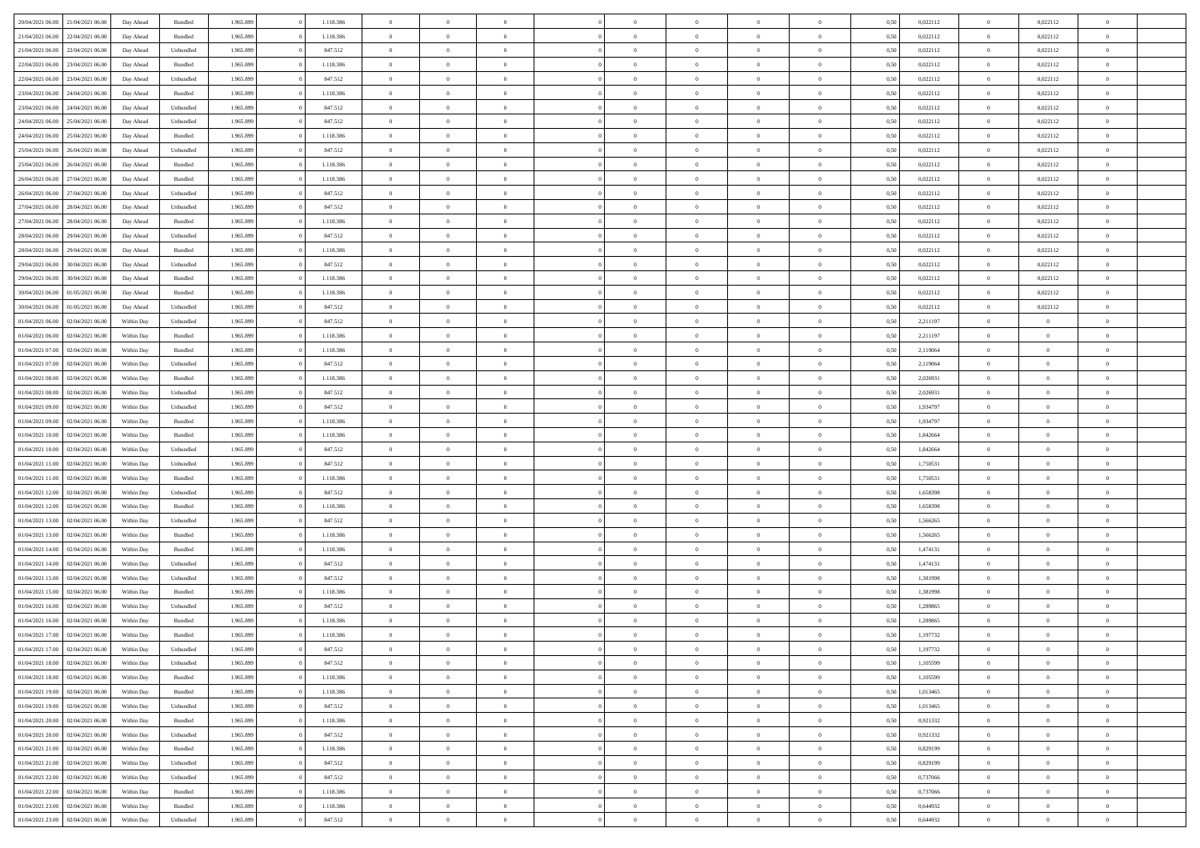| 20/04/2021 06:00 21/04/2021 06:00    | Day Ahead  | Bundled   | 1.965.899 | 1.118.386 | $\overline{0}$ | $\theta$       |                | $\overline{0}$ | $\bf{0}$       | $\overline{0}$ | $\theta$       | 0,50 | 0,022112 | $\theta$       | 0,022112       | $\overline{0}$           |  |
|--------------------------------------|------------|-----------|-----------|-----------|----------------|----------------|----------------|----------------|----------------|----------------|----------------|------|----------|----------------|----------------|--------------------------|--|
|                                      |            |           |           |           | $\overline{0}$ | $\overline{0}$ |                |                |                |                |                |      |          |                |                |                          |  |
| 21/04/2021 06.00<br>22/04/2021 06.00 | Day Ahead  | Bundled   | 1.965.899 | 1.118.386 |                |                | $\overline{0}$ | $\overline{0}$ | $\,$ 0         | $\bf{0}$       | $\bf{0}$       | 0,50 | 0,022112 | $\,$ 0 $\,$    | 0,022112       | $\overline{0}$           |  |
| 21/04/2021 06:00<br>22/04/2021 06:00 | Day Ahead  | Unbundled | 1.965.899 | 847.512   | $\overline{0}$ | $\overline{0}$ | $\overline{0}$ | $\overline{0}$ | $\bf{0}$       | $\overline{0}$ | $\mathbf{0}$   | 0.50 | 0,022112 | $\overline{0}$ | 0,022112       | $\overline{0}$           |  |
| 22/04/2021 06:00<br>23/04/2021 06:00 | Day Ahead  | Bundled   | 1.965.899 | 1.118.386 | $\overline{0}$ | $\overline{0}$ | $\overline{0}$ | $\overline{0}$ | $\,$ 0         | $\overline{0}$ | $\overline{0}$ | 0,50 | 0,022112 | $\,$ 0 $\,$    | 0,022112       | $\overline{0}$           |  |
| 22/04/2021 06:00<br>23/04/2021 06.00 | Day Ahead  | Unbundled | 1.965.899 | 847.512   | $\overline{0}$ | $\theta$       | $\overline{0}$ |                | $\overline{0}$ | $\overline{0}$ | $\bf{0}$       | 0,50 | 0,022112 | $\,$ 0 $\,$    | 0,022112       | $\overline{0}$           |  |
| 23/04/2021 06:00<br>24/04/2021 06:00 | Day Ahead  | Bundled   | 1.965.899 | 1.118.386 | $\overline{0}$ | $\overline{0}$ | $\overline{0}$ | $\overline{0}$ | $\bf{0}$       | $\overline{0}$ | $\bf{0}$       | 0.50 | 0,022112 | $\bf{0}$       | 0,022112       | $\overline{0}$           |  |
| 23/04/2021 06:00<br>24/04/2021 06.00 | Day Ahead  | Unbundled | 1.965.899 | 847.512   | $\overline{0}$ | $\overline{0}$ | $\overline{0}$ | $\overline{0}$ | $\bf{0}$       | $\overline{0}$ | $\overline{0}$ | 0,50 | 0,022112 | $\,$ 0 $\,$    | 0,022112       | $\overline{0}$           |  |
| 24/04/2021 06:00<br>25/04/2021 06.00 | Day Ahead  | Unbundled | 1.965.899 | 847.512   | $\overline{0}$ | $\theta$       | $\overline{0}$ | $\overline{0}$ | $\,$ 0         | $\bf{0}$       | $\bf{0}$       | 0,50 | 0,022112 | $\,$ 0 $\,$    | 0,022112       | $\overline{0}$           |  |
| 24/04/2021 06:00<br>25/04/2021 06:00 | Day Ahead  | Bundled   | 1.965.899 | 1.118.386 | $\overline{0}$ | $\overline{0}$ | $\overline{0}$ | $\overline{0}$ | $\bf{0}$       | $\overline{0}$ | $\bf{0}$       | 0.50 | 0,022112 | $\bf{0}$       | 0,022112       | $\overline{0}$           |  |
| 25/04/2021 06:00<br>26/04/2021 06:00 | Day Ahead  | Unbundled | 1.965.899 | 847.512   | $\overline{0}$ | $\overline{0}$ | $\overline{0}$ | $\overline{0}$ | $\bf{0}$       | $\overline{0}$ | $\bf{0}$       | 0,50 | 0,022112 | $\,$ 0 $\,$    | 0,022112       | $\overline{0}$           |  |
|                                      |            |           |           |           |                | $\theta$       |                |                |                |                |                |      |          |                |                |                          |  |
| 25/04/2021 06:00<br>26/04/2021 06.00 | Day Ahead  | Bundled   | 1.965.899 | 1.118.386 | $\overline{0}$ |                | $\overline{0}$ | $\overline{0}$ | $\,$ 0         | $\overline{0}$ | $\bf{0}$       | 0,50 | 0,022112 | $\,$ 0 $\,$    | 0,022112       | $\overline{0}$           |  |
| 26/04/2021 06:00<br>27/04/2021 06:00 | Day Ahead  | Bundled   | 1.965.899 | 1.118.386 | $\overline{0}$ | $\overline{0}$ | $\overline{0}$ | $\overline{0}$ | $\bf{0}$       | $\overline{0}$ | $\mathbf{0}$   | 0.50 | 0,022112 | $\mathbf{0}$   | 0,022112       | $\overline{\phantom{a}}$ |  |
| 26/04/2021 06:00<br>27/04/2021 06.00 | Day Ahead  | Unbundled | 1.965.899 | 847.512   | $\overline{0}$ | $\overline{0}$ | $\overline{0}$ | $\overline{0}$ | $\,$ 0         | $\overline{0}$ | $\overline{0}$ | 0,50 | 0,022112 | $\,$ 0 $\,$    | 0,022112       | $\overline{0}$           |  |
| 27/04/2021 06:00<br>28/04/2021 06.00 | Day Ahead  | Unbundled | 1.965.899 | 847.512   | $\overline{0}$ | $\theta$       | $\overline{0}$ | $\overline{0}$ | $\overline{0}$ | $\overline{0}$ | $\bf{0}$       | 0,50 | 0,022112 | $\,$ 0 $\,$    | 0,022112       | $\overline{0}$           |  |
| 27/04/2021 06:00<br>28/04/2021 06:00 | Day Ahead  | Bundled   | 1.965.899 | 1.118.386 | $\overline{0}$ | $\overline{0}$ | $\overline{0}$ | $\overline{0}$ | $\bf{0}$       | $\overline{0}$ | $\bf{0}$       | 0.50 | 0,022112 | $\bf{0}$       | 0,022112       | $\overline{0}$           |  |
| 28/04/2021 06:00<br>29/04/2021 06:00 | Day Ahead  | Unbundled | 1.965.899 | 847.512   | $\overline{0}$ | $\overline{0}$ | $\overline{0}$ | $\overline{0}$ | $\,$ 0         | $\overline{0}$ | $\bf{0}$       | 0,50 | 0,022112 | $\,$ 0 $\,$    | 0,022112       | $\overline{0}$           |  |
| 28/04/2021 06:00<br>29/04/2021 06.00 | Day Ahead  | Bundled   | 1.965.899 | 1.118.386 | $\overline{0}$ | $\theta$       | $\overline{0}$ |                | $\,$ 0         | $\overline{0}$ | $\bf{0}$       | 0,50 | 0,022112 | $\,$ 0 $\,$    | 0,022112       | $\overline{0}$           |  |
| 29/04/2021 06:00<br>30/04/2021 06:00 | Day Ahead  | Unbundled | 1.965.899 | 847.512   | $\overline{0}$ | $\overline{0}$ | $\overline{0}$ | $\overline{0}$ | $\bf{0}$       | $\overline{0}$ | $\bf{0}$       | 0.50 | 0.022112 | $\bf{0}$       | 0,022112       | $\overline{\phantom{a}}$ |  |
| 29/04/2021 06:00<br>30/04/2021 06:00 | Day Ahead  | Bundled   | 1.965.899 | 1.118.386 | $\overline{0}$ | $\overline{0}$ | $\overline{0}$ | $\overline{0}$ | $\bf{0}$       | $\overline{0}$ | $\bf{0}$       | 0,50 | 0,022112 | $\,$ 0 $\,$    | 0,022112       | $\overline{0}$           |  |
| 30/04/2021 06:00<br>01/05/2021 06.00 | Day Ahead  | Bundled   | 1.965.899 | 1.118.386 | $\overline{0}$ | $\,$ 0 $\,$    | $\overline{0}$ | $\overline{0}$ | $\,$ 0         | $\bf{0}$       | $\bf{0}$       | 0,50 | 0,022112 | $\,$ 0 $\,$    | 0,022112       | $\overline{0}$           |  |
| 30/04/2021 06:00<br>01/05/2021 06:00 | Day Ahead  | Unbundled | 1.965.899 | 847.512   | $\overline{0}$ | $\overline{0}$ | $\overline{0}$ | $\overline{0}$ | $\bf{0}$       | $\overline{0}$ | $\mathbf{0}$   | 0.50 | 0,022112 | $\overline{0}$ | 0,022112       | $\bf{0}$                 |  |
| 01/04/2021 06:00<br>02/04/2021 06:00 | Within Day | Unbundled | 1.965.899 | 847.512   | $\overline{0}$ | $\overline{0}$ | $\overline{0}$ | $\overline{0}$ | $\bf{0}$       | $\overline{0}$ | $\overline{0}$ | 0,50 | 2,211197 | $\,$ 0 $\,$    | $\overline{0}$ | $\overline{0}$           |  |
|                                      |            |           |           |           |                |                |                |                |                |                |                |      |          |                |                |                          |  |
| 01/04/2021 06:00<br>02/04/2021 06.00 | Within Day | Bundled   | 1.965.899 | 1.118.386 | $\overline{0}$ | $\theta$       | $\overline{0}$ | $\overline{0}$ | $\,$ 0         | $\overline{0}$ | $\bf{0}$       | 0,50 | 2,211197 | $\,$ 0 $\,$    | $\overline{0}$ | $\overline{0}$           |  |
| 01/04/2021 07:00<br>02/04/2021 06:00 | Within Day | Bundled   | 1.965.899 | 1.118.386 | $\overline{0}$ | $\overline{0}$ | $\overline{0}$ | $\overline{0}$ | $\bf{0}$       | $\overline{0}$ | $\bf{0}$       | 0.50 | 2,119064 | $\,0\,$        | $\theta$       | $\overline{0}$           |  |
| 01/04/2021 07:00<br>02/04/2021 06:00 | Within Day | Unbundled | 1.965.899 | 847.512   | $\overline{0}$ | $\overline{0}$ | $\overline{0}$ | $\overline{0}$ | $\,$ 0         | $\overline{0}$ | $\overline{0}$ | 0,50 | 2,119064 | $\,0\,$        | $\theta$       | $\overline{0}$           |  |
| 01/04/2021 08:00<br>02/04/2021 06.00 | Within Day | Bundled   | 1.965.899 | 1.118.386 | $\overline{0}$ | $\theta$       | $\overline{0}$ |                | $\bf{0}$       | $\overline{0}$ | $\bf{0}$       | 0,50 | 2,026931 | $\,$ 0 $\,$    | $\overline{0}$ | $\overline{0}$           |  |
| 01/04/2021 08:00<br>02/04/2021 06:00 | Within Day | Unbundled | 1.965.899 | 847.512   | $\overline{0}$ | $\overline{0}$ | $\overline{0}$ | $\overline{0}$ | $\bf{0}$       | $\overline{0}$ | $\bf{0}$       | 0.50 | 2.026931 | $\,0\,$        | $\overline{0}$ | $\overline{\phantom{a}}$ |  |
| 01/04/2021 09:00<br>02/04/2021 06:00 | Within Day | Unbundled | 1.965.899 | 847.512   | $\overline{0}$ | $\overline{0}$ | $\overline{0}$ | $\overline{0}$ | $\bf{0}$       | $\overline{0}$ | $\bf{0}$       | 0,50 | 1,934797 | $\,$ 0 $\,$    | $\overline{0}$ | $\overline{0}$           |  |
| 01/04/2021 09:00<br>02/04/2021 06.00 | Within Day | Bundled   | 1.965.899 | 1.118.386 | $\overline{0}$ | $\overline{0}$ | $\overline{0}$ | $\overline{0}$ | $\bf{0}$       | $\bf{0}$       | $\bf{0}$       | 0,50 | 1,934797 | $\,$ 0 $\,$    | $\overline{0}$ | $\overline{0}$           |  |
| 01/04/2021 10:00<br>02/04/2021 06:00 | Within Day | Bundled   | 1.965.899 | 1.118.386 | $\overline{0}$ | $\overline{0}$ | $\overline{0}$ | $\overline{0}$ | $\bf{0}$       | $\overline{0}$ | $\mathbf{0}$   | 0.50 | 1.842664 | $\,$ 0 $\,$    | $\overline{0}$ | $\bf{0}$                 |  |
| 01/04/2021 10:00<br>02/04/2021 06:00 | Within Dav | Unbundled | 1.965.899 | 847.512   | $\overline{0}$ | $\overline{0}$ | $\overline{0}$ | $\overline{0}$ | $\overline{0}$ | $\overline{0}$ | $\overline{0}$ | 0.50 | 1,842664 | $\theta$       | $\overline{0}$ | $\overline{0}$           |  |
| 01/04/2021 11:00<br>02/04/2021 06.00 | Within Day | Unbundled | 1.965.899 | 847.512   | $\overline{0}$ | $\theta$       | $\overline{0}$ | $\overline{0}$ | $\bf{0}$       | $\overline{0}$ | $\bf{0}$       | 0,50 | 1,750531 | $\,$ 0 $\,$    | $\overline{0}$ | $\overline{0}$           |  |
| 01/04/2021 11:00<br>02/04/2021 06:00 | Within Day | Bundled   | 1.965.899 | 1.118.386 | $\overline{0}$ | $\overline{0}$ | $\overline{0}$ | $\overline{0}$ | $\bf{0}$       | $\overline{0}$ | $\bf{0}$       | 0.50 | 1,750531 | $\,0\,$        | $\theta$       | $\overline{0}$           |  |
| 01/04/2021 12:00<br>02/04/2021 06:00 | Within Dav | Unbundled | 1.965.899 | 847.512   | $\overline{0}$ | $\overline{0}$ | $\Omega$       | $\overline{0}$ | $\mathbf{0}$   | $\overline{0}$ | $\overline{0}$ | 0.50 | 1,658398 | $\theta$       | $\overline{0}$ | $\overline{0}$           |  |
| 02/04/2021 06.00                     | Within Day | Bundled   | 1.965.899 | 1.118.386 | $\bf{0}$       | $\theta$       | $\overline{0}$ | $\overline{0}$ | $\,$ 0         | $\overline{0}$ | $\bf{0}$       | 0,50 | 1,658398 | $\,$ 0 $\,$    | $\overline{0}$ | $\overline{0}$           |  |
| 01/04/2021 12:00                     |            |           |           |           |                |                |                |                |                |                |                |      |          |                |                |                          |  |
| 01/04/2021 13:00<br>02/04/2021 06:00 | Within Day | Unbundled | 1.965.899 | 847.512   | $\overline{0}$ | $\overline{0}$ | $\overline{0}$ | $\overline{0}$ | $\bf{0}$       | $\overline{0}$ | $\bf{0}$       | 0.50 | 1.566265 | $\,0\,$        | $\overline{0}$ | $\overline{\phantom{a}}$ |  |
| 01/04/2021 13:00<br>02/04/2021 06:00 | Within Dav | Bundled   | 1.965.899 | 1.118.386 | $\overline{0}$ | $\overline{0}$ | $\overline{0}$ | $\overline{0}$ | $\overline{0}$ | $\overline{0}$ | $\overline{0}$ | 0.50 | 1,566265 | $\theta$       | $\overline{0}$ | $\overline{0}$           |  |
| 01/04/2021 14:00<br>02/04/2021 06.00 | Within Day | Bundled   | 1.965.899 | 1.118.386 | $\bf{0}$       | $\overline{0}$ | $\overline{0}$ | $\overline{0}$ | $\bf{0}$       | $\bf{0}$       | $\bf{0}$       | 0,50 | 1,474131 | $\,$ 0 $\,$    | $\overline{0}$ | $\overline{0}$           |  |
| 01/04/2021 14:00<br>02/04/2021 06:00 | Within Day | Unbundled | 1.965.899 | 847.512   | $\bf{0}$       | $\overline{0}$ | $\overline{0}$ | $\overline{0}$ | $\bf{0}$       | $\overline{0}$ | $\mathbf{0}$   | 0.50 | 1,474131 | $\,$ 0 $\,$    | $\overline{0}$ | $\overline{0}$           |  |
| 01/04/2021 15:00<br>02/04/2021 06:00 | Within Dav | Unbundled | 1.965.899 | 847.512   | $\overline{0}$ | $\overline{0}$ | $\overline{0}$ | $\overline{0}$ | $\mathbf{0}$   | $\overline{0}$ | $\overline{0}$ | 0.50 | 1,381998 | $\theta$       | $\overline{0}$ | $\overline{0}$           |  |
| 01/04/2021 15:00<br>02/04/2021 06.00 | Within Day | Bundled   | 1.965.899 | 1.118.386 | $\bf{0}$       | $\overline{0}$ | $\overline{0}$ | $\overline{0}$ | $\,$ 0         | $\overline{0}$ | $\bf{0}$       | 0,50 | 1,381998 | $\,$ 0 $\,$    | $\overline{0}$ | $\overline{0}$           |  |
| 01/04/2021 16:00<br>02/04/2021 06:00 | Within Day | Unbundled | 1.965.899 | 847.512   | $\overline{0}$ | $\overline{0}$ | $\overline{0}$ | $\overline{0}$ | $\bf{0}$       | $\overline{0}$ | $\bf{0}$       | 0.50 | 1,289865 | $\,0\,$        | $\theta$       | $\overline{0}$           |  |
| 01/04/2021 16:00<br>02/04/2021 06:00 | Within Dav | Bundled   | 1.965.899 | 1.118.386 | $\overline{0}$ | $\Omega$       | $\Omega$       | $\Omega$       | $\bf{0}$       | $\overline{0}$ | $\theta$       | 0.50 | 1,289865 | $\theta$       | $\theta$       | $\overline{0}$           |  |
| 01/04/2021 17:00<br>02/04/2021 06.00 | Within Day | Bundled   | 1.965.899 | 1.118.386 | $\bf{0}$       | $\,$ 0 $\,$    | $\overline{0}$ | $\overline{0}$ | $\,$ 0         | $\bf{0}$       | $\bf{0}$       | 0,50 | 1,197732 | $\,$ 0 $\,$    | $\overline{0}$ | $\overline{0}$           |  |
| 01/04/2021 17:00<br>02/04/2021 06:00 | Within Day | Unbundled | 1.965.899 | 847.512   | $\bf{0}$       | $\theta$       |                |                | $\Omega$       |                |                | 0,50 | 1,197732 | $\bf{0}$       | $\theta$       |                          |  |
| 01/04/2021 18:00 02/04/2021 06:00    | Within Day | Unbundled | 1.965.899 | 847.512   | $\overline{0}$ | $\overline{0}$ | $\overline{0}$ | $\overline{0}$ | $\overline{0}$ | $\overline{0}$ | $\mathbf{0}$   | 0,50 | 1,105599 | $\theta$       | $\overline{0}$ | $\overline{0}$           |  |
| 01/04/2021 18:00<br>02/04/2021 06.00 | Within Day | Bundled   | 1.965.899 | 1.118.386 | $\overline{0}$ | $\overline{0}$ | $\overline{0}$ | $\bf{0}$       | $\overline{0}$ | $\overline{0}$ | $\bf{0}$       | 0,50 | 1,105599 | $\bf{0}$       | $\overline{0}$ | $\bf{0}$                 |  |
| 01/04/2021 19:00<br>02/04/2021 06:00 | Within Day | Bundled   | 1.965.899 | 1.118.386 | $\overline{0}$ | $\overline{0}$ | $\overline{0}$ | $\overline{0}$ | $\overline{0}$ | $\overline{0}$ | $\mathbf{0}$   | 0.50 | 1,013465 | $\overline{0}$ | $\bf{0}$       | $\bf{0}$                 |  |
|                                      |            |           |           |           |                |                |                |                |                |                |                |      |          |                |                |                          |  |
| 01/04/2021 19:00<br>02/04/2021 06:00 | Within Day | Unbundled | 1.965.899 | 847.512   | $\overline{0}$ | $\overline{0}$ | $\overline{0}$ | $\overline{0}$ | $\overline{0}$ | $\overline{0}$ | $\mathbf{0}$   | 0,50 | 1,013465 | $\overline{0}$ | $\theta$       | $\overline{0}$           |  |
| 01/04/2021 20:00<br>02/04/2021 06.00 | Within Day | Bundled   | 1.965.899 | 1.118.386 | $\overline{0}$ | $\overline{0}$ | $\overline{0}$ | $\overline{0}$ | $\bf{0}$       | $\bf{0}$       | $\bf{0}$       | 0,50 | 0,921332 | $\,$ 0 $\,$    | $\overline{0}$ | $\overline{0}$           |  |
| 01/04/2021 20:00<br>02/04/2021 06:00 | Within Day | Unbundled | 1.965.899 | 847.512   | $\overline{0}$ | $\overline{0}$ | $\overline{0}$ | $\overline{0}$ | $\bf{0}$       | $\overline{0}$ | $\mathbf{0}$   | 0.50 | 0,921332 | $\,$ 0 $\,$    | $\overline{0}$ | $\overline{0}$           |  |
| 01/04/2021 21:00<br>02/04/2021 06:00 | Within Day | Bundled   | 1.965.899 | 1.118.386 | $\overline{0}$ | $\overline{0}$ | $\overline{0}$ | $\overline{0}$ | $\overline{0}$ | $\overline{0}$ | $\overline{0}$ | 0,50 | 0,829199 | $\overline{0}$ | $\theta$       | $\overline{0}$           |  |
| 01/04/2021 21:00<br>02/04/2021 06.00 | Within Day | Unbundled | 1.965.899 | 847.512   | $\overline{0}$ | $\,$ 0         | $\overline{0}$ | $\bf{0}$       | $\,$ 0 $\,$    | $\overline{0}$ | $\bf{0}$       | 0,50 | 0,829199 | $\,$ 0 $\,$    | $\overline{0}$ | $\overline{0}$           |  |
| 01/04/2021 22.00<br>02/04/2021 06:00 | Within Day | Unbundled | 1.965.899 | 847.512   | $\overline{0}$ | $\overline{0}$ | $\overline{0}$ | $\overline{0}$ | $\bf{0}$       | $\overline{0}$ | $\mathbf{0}$   | 0.50 | 0.737066 | $\mathbf{0}$   | $\,$ 0 $\,$    | $\overline{0}$           |  |
| 01/04/2021 22.00<br>02/04/2021 06:00 | Within Day | Bundled   | 1.965.899 | 1.118.386 | $\overline{0}$ | $\overline{0}$ | $\overline{0}$ | $\overline{0}$ | $\overline{0}$ | $\overline{0}$ | $\overline{0}$ | 0,50 | 0,737066 | $\overline{0}$ | $\overline{0}$ | $\overline{0}$           |  |
| 01/04/2021 23.00<br>02/04/2021 06.00 | Within Day | Bundled   | 1.965.899 | 1.118.386 | $\overline{0}$ | $\overline{0}$ | $\overline{0}$ | $\bf{0}$       | $\bf{0}$       | $\bf{0}$       | $\bf{0}$       | 0,50 | 0,644932 | $\bf{0}$       | $\overline{0}$ | $\bf{0}$                 |  |
| 01/04/2021 23:00 02/04/2021 06:00    | Within Day | Unbundled | 1.965.899 | 847.512   | $\,$ 0 $\,$    | $\,$ 0 $\,$    | $\overline{0}$ | $\overline{0}$ | $\,$ 0 $\,$    | $\overline{0}$ | $\,$ 0 $\,$    | 0,50 | 0,644932 | $\overline{0}$ | $\,$ 0 $\,$    | $\,$ 0 $\,$              |  |
|                                      |            |           |           |           |                |                |                |                |                |                |                |      |          |                |                |                          |  |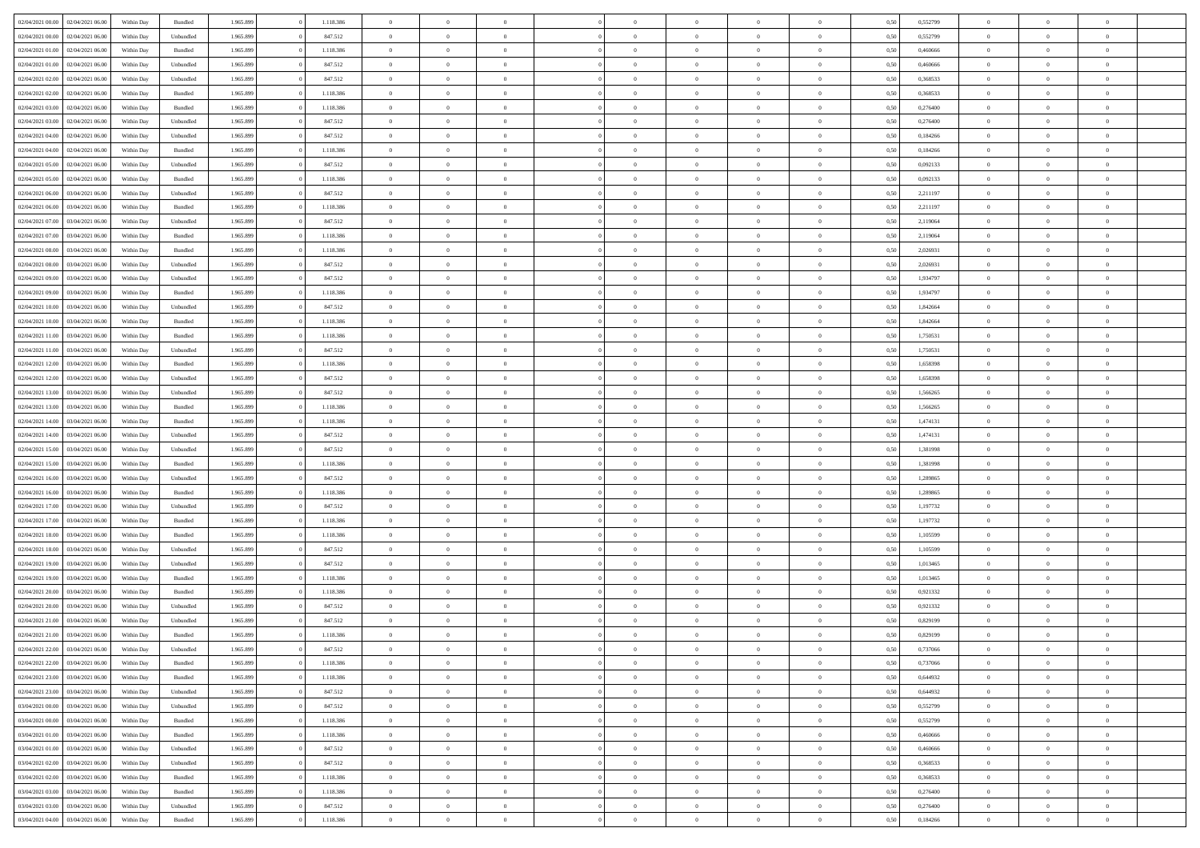|                  |                  |            |           |           |           | $\overline{0}$ |                |                |                | $\Omega$       | $\theta$       | $\theta$       |      |          | $\theta$       |                | $\theta$       |  |
|------------------|------------------|------------|-----------|-----------|-----------|----------------|----------------|----------------|----------------|----------------|----------------|----------------|------|----------|----------------|----------------|----------------|--|
| 02/04/2021 00:00 | 02/04/2021 06:00 | Within Day | Bundled   | 1.965.899 | 1.118.386 |                | $\theta$       |                | $\Omega$       |                |                |                | 0,50 | 0,552799 |                | $\theta$       |                |  |
| 02/04/2021 00:00 | 02/04/2021 06:00 | Within Day | Unbundled | 1.965.899 | 847.512   | $\overline{0}$ | $\theta$       | $\overline{0}$ | $\overline{0}$ | $\bf{0}$       | $\overline{0}$ | $\bf{0}$       | 0,50 | 0,552799 | $\theta$       | $\overline{0}$ | $\overline{0}$ |  |
| 02/04/2021 01:00 | 02/04/2021 06:00 | Within Day | Bundled   | 1.965.899 | 1.118.386 | $\overline{0}$ | $\overline{0}$ | $\overline{0}$ | $\overline{0}$ | $\bf{0}$       | $\overline{0}$ | $\mathbf{0}$   | 0,50 | 0,460666 | $\bf{0}$       | $\overline{0}$ | $\overline{0}$ |  |
| 02/04/2021 01:00 | 02/04/2021 06:00 | Within Dav | Unbundled | 1.965.899 | 847.512   | $\overline{0}$ | $\overline{0}$ | $\overline{0}$ | $\overline{0}$ | $\bf{0}$       | $\overline{0}$ | $\overline{0}$ | 0.50 | 0.460666 | $\theta$       | $\overline{0}$ | $\overline{0}$ |  |
|                  |                  |            |           |           |           | $\overline{0}$ | $\theta$       | $\overline{0}$ | $\overline{0}$ | $\bf{0}$       | $\overline{0}$ |                |      |          | $\,$ 0 $\,$    | $\overline{0}$ | $\overline{0}$ |  |
| 02/04/2021 02:00 | 02/04/2021 06:00 | Within Day | Unbundled | 1.965.899 | 847.512   |                |                |                |                |                |                | $\bf{0}$       | 0,50 | 0,368533 |                |                |                |  |
| 02/04/2021 02:00 | 02/04/2021 06:00 | Within Day | Bundled   | 1.965.899 | 1.118.386 | $\overline{0}$ | $\overline{0}$ | $\overline{0}$ | $\overline{0}$ | $\overline{0}$ | $\overline{0}$ | $\mathbf{0}$   | 0,50 | 0,368533 | $\bf{0}$       | $\overline{0}$ | $\bf{0}$       |  |
| 02/04/2021 03:00 | 02/04/2021 06:00 | Within Dav | Bundled   | 1.965.899 | 1.118.386 | $\overline{0}$ | $\overline{0}$ | $\overline{0}$ | $\overline{0}$ | $\overline{0}$ | $\overline{0}$ | $\overline{0}$ | 0.50 | 0,276400 | $\theta$       | $\overline{0}$ | $\overline{0}$ |  |
| 02/04/2021 03:00 | 02/04/2021 06:00 | Within Day | Unbundled | 1.965.899 | 847.512   | $\overline{0}$ | $\theta$       | $\overline{0}$ | $\overline{0}$ | $\bf{0}$       | $\overline{0}$ | $\bf{0}$       | 0,50 | 0,276400 | $\,$ 0 $\,$    | $\theta$       | $\overline{0}$ |  |
| 02/04/2021 04:00 | 02/04/2021 06.00 | Within Day | Unbundled | 1.965.899 | 847.512   | $\overline{0}$ | $\overline{0}$ | $\overline{0}$ | $\bf{0}$       | $\bf{0}$       | $\bf{0}$       | $\mathbf{0}$   | 0,50 | 0,184266 | $\,0\,$        | $\overline{0}$ | $\overline{0}$ |  |
|                  |                  |            |           |           |           |                | $\overline{0}$ |                |                | $\overline{0}$ |                |                |      |          | $\theta$       | $\overline{0}$ | $\overline{0}$ |  |
| 02/04/2021 04:00 | 02/04/2021 06:00 | Within Dav | Bundled   | 1.965.899 | 1.118.386 | $\overline{0}$ |                | $\overline{0}$ | $\overline{0}$ |                | $\overline{0}$ | $\overline{0}$ | 0.50 | 0,184266 |                |                |                |  |
| 02/04/2021 05:00 | 02/04/2021 06:00 | Within Day | Unbundled | 1.965.899 | 847.512   | $\overline{0}$ | $\theta$       | $\overline{0}$ | $\overline{0}$ | $\bf{0}$       | $\overline{0}$ | $\bf{0}$       | 0,50 | 0,092133 | $\,$ 0 $\,$    | $\overline{0}$ | $\overline{0}$ |  |
| 02/04/2021 05:00 | 02/04/2021 06.00 | Within Day | Bundled   | 1.965.899 | 1.118.386 | $\overline{0}$ | $\overline{0}$ | $\overline{0}$ | $\bf{0}$       | $\bf{0}$       | $\bf{0}$       | $\mathbf{0}$   | 0,50 | 0,092133 | $\bf{0}$       | $\overline{0}$ | $\bf{0}$       |  |
| 02/04/2021 06:00 | 03/04/2021 06:00 | Within Day | Unbundled | 1.965.899 | 847.512   | $\overline{0}$ | $\overline{0}$ | $\overline{0}$ | $\overline{0}$ | $\overline{0}$ | $\overline{0}$ | $\overline{0}$ | 0.50 | 2.211197 | $\theta$       | $\theta$       | $\overline{0}$ |  |
| 02/04/2021 06:00 | 03/04/2021 06.00 | Within Day | Bundled   | 1.965.899 | 1.118.386 | $\overline{0}$ | $\theta$       | $\overline{0}$ | $\overline{0}$ | $\bf{0}$       | $\overline{0}$ | $\bf{0}$       | 0,50 | 2,211197 | $\,$ 0 $\,$    | $\overline{0}$ | $\overline{0}$ |  |
|                  |                  |            |           |           |           |                |                |                |                |                |                |                |      |          |                |                |                |  |
| 02/04/2021 07:00 | 03/04/2021 06:00 | Within Day | Unbundled | 1.965.899 | 847.512   | $\overline{0}$ | $\overline{0}$ | $\overline{0}$ | $\bf{0}$       | $\overline{0}$ | $\overline{0}$ | $\mathbf{0}$   | 0,50 | 2,119064 | $\bf{0}$       | $\overline{0}$ | $\bf{0}$       |  |
| 02/04/2021 07:00 | 03/04/2021 06:00 | Within Dav | Bundled   | 1.965.899 | 1.118.386 | $\overline{0}$ | $\overline{0}$ | $\overline{0}$ | $\overline{0}$ | $\overline{0}$ | $\overline{0}$ | $\overline{0}$ | 0.50 | 2,119064 | $\overline{0}$ | $\overline{0}$ | $\overline{0}$ |  |
| 02/04/2021 08:00 | 03/04/2021 06:00 | Within Day | Bundled   | 1.965.899 | 1.118.386 | $\overline{0}$ | $\theta$       | $\overline{0}$ | $\overline{0}$ | $\bf{0}$       | $\overline{0}$ | $\bf{0}$       | 0,50 | 2,026931 | $\,$ 0 $\,$    | $\overline{0}$ | $\overline{0}$ |  |
| 02/04/2021 08:00 | 03/04/2021 06:00 | Within Day | Unbundled | 1.965.899 | 847.512   | $\overline{0}$ | $\overline{0}$ | $\overline{0}$ | $\bf{0}$       | $\bf{0}$       | $\bf{0}$       | $\mathbf{0}$   | 0,50 | 2,026931 | $\bf{0}$       | $\overline{0}$ | $\bf{0}$       |  |
| 02/04/2021 09:00 | 03/04/2021 06:00 | Within Dav | Unbundled | 1.965.899 | 847.512   | $\overline{0}$ | $\overline{0}$ | $\overline{0}$ | $\overline{0}$ | $\overline{0}$ | $\overline{0}$ | $\overline{0}$ | 0.50 | 1,934797 | $\theta$       | $\overline{0}$ | $\overline{0}$ |  |
| 02/04/2021 09:00 | 03/04/2021 06:00 | Within Day | Bundled   | 1.965.899 | 1.118.386 | $\overline{0}$ | $\theta$       | $\overline{0}$ | $\overline{0}$ | $\bf{0}$       | $\overline{0}$ | $\bf{0}$       | 0,50 | 1,934797 | $\,$ 0 $\,$    | $\overline{0}$ | $\overline{0}$ |  |
|                  |                  |            |           |           |           |                |                |                |                |                |                |                |      |          |                |                |                |  |
| 02/04/2021 10:00 | 03/04/2021 06:00 | Within Day | Unbundled | 1.965.899 | 847.512   | $\overline{0}$ | $\overline{0}$ | $\overline{0}$ | $\bf{0}$       | $\bf{0}$       | $\bf{0}$       | $\mathbf{0}$   | 0,50 | 1,842664 | $\overline{0}$ | $\overline{0}$ | $\bf{0}$       |  |
| 02/04/2021 10:00 | 03/04/2021 06:00 | Within Day | Bundled   | 1.965.899 | 1.118.386 | $\overline{0}$ | $\overline{0}$ | $\overline{0}$ | $\overline{0}$ | $\overline{0}$ | $\overline{0}$ | $\overline{0}$ | 0.50 | 1.842664 | $\theta$       | $\overline{0}$ | $\overline{0}$ |  |
| 02/04/2021 11:00 | 03/04/2021 06:00 | Within Day | Bundled   | 1.965.899 | 1.118.386 | $\overline{0}$ | $\theta$       | $\overline{0}$ | $\overline{0}$ | $\bf{0}$       | $\overline{0}$ | $\bf{0}$       | 0,50 | 1,750531 | $\,$ 0 $\,$    | $\overline{0}$ | $\overline{0}$ |  |
| 02/04/2021 11:00 | 03/04/2021 06:00 | Within Day | Unbundled | 1.965.899 | 847.512   | $\overline{0}$ | $\overline{0}$ | $\overline{0}$ | $\bf{0}$       | $\overline{0}$ | $\overline{0}$ | $\mathbf{0}$   | 0,50 | 1,750531 | $\overline{0}$ | $\overline{0}$ | $\bf{0}$       |  |
| 02/04/2021 12:00 | 03/04/2021 06:00 | Within Dav | Bundled   | 1.965.899 | 1.118.386 | $\overline{0}$ | $\overline{0}$ | $\overline{0}$ | $\overline{0}$ | $\overline{0}$ | $\overline{0}$ | $\overline{0}$ | 0.50 | 1,658398 | $\overline{0}$ | $\overline{0}$ | $\overline{0}$ |  |
| 02/04/2021 12:00 | 03/04/2021 06:00 | Within Day | Unbundled | 1.965.899 | 847.512   | $\overline{0}$ | $\theta$       | $\overline{0}$ | $\overline{0}$ | $\bf{0}$       | $\overline{0}$ | $\bf{0}$       | 0,50 | 1,658398 | $\,$ 0 $\,$    | $\overline{0}$ | $\overline{0}$ |  |
| 02/04/2021 13:00 | 03/04/2021 06:00 | Within Day | Unbundled | 1.965.899 | 847.512   | $\overline{0}$ | $\overline{0}$ | $\overline{0}$ | $\bf{0}$       | $\bf{0}$       | $\bf{0}$       | $\mathbf{0}$   | 0,50 | 1,566265 | $\,0\,$        | $\overline{0}$ | $\bf{0}$       |  |
|                  |                  |            |           |           |           |                |                |                |                |                |                |                |      |          |                |                |                |  |
| 02/04/2021 13:00 | 03/04/2021 06:00 | Within Day | Bundled   | 1.965.899 | 1.118.386 | $\overline{0}$ | $\overline{0}$ | $\overline{0}$ | $\overline{0}$ | $\overline{0}$ | $\overline{0}$ | $\overline{0}$ | 0.50 | 1,566265 | $\theta$       | $\overline{0}$ | $\overline{0}$ |  |
| 02/04/2021 14:00 | 03/04/2021 06:00 | Within Day | Bundled   | 1.965.899 | 1.118.386 | $\overline{0}$ | $\overline{0}$ | $\overline{0}$ | $\overline{0}$ | $\bf{0}$       | $\overline{0}$ | $\bf{0}$       | 0,50 | 1,474131 | $\,$ 0 $\,$    | $\overline{0}$ | $\overline{0}$ |  |
| 02/04/2021 14:00 | 03/04/2021 06:00 | Within Day | Unbundled | 1.965.899 | 847.512   | $\overline{0}$ | $\overline{0}$ | $\overline{0}$ | $\bf{0}$       | $\bf{0}$       | $\bf{0}$       | $\mathbf{0}$   | 0,50 | 1,474131 | $\overline{0}$ | $\overline{0}$ | $\bf{0}$       |  |
| 02/04/2021 15:00 | 03/04/2021 06:00 | Within Day | Unbundled | 1.965.899 | 847.512   | $\overline{0}$ | $\Omega$       | $\overline{0}$ | $\Omega$       | $\Omega$       | $\overline{0}$ | $\overline{0}$ | 0,50 | 1,381998 | $\,0\,$        | $\theta$       | $\theta$       |  |
| 02/04/2021 15:00 | 03/04/2021 06:00 | Within Day | Bundled   | 1.965.899 | 1.118.386 | $\overline{0}$ | $\overline{0}$ | $\overline{0}$ | $\overline{0}$ | $\bf{0}$       | $\overline{0}$ | $\bf{0}$       | 0,50 | 1,381998 | $\,$ 0 $\,$    | $\overline{0}$ | $\overline{0}$ |  |
| 02/04/2021 16:00 | 03/04/2021 06:00 | Within Day | Unbundled | 1.965.899 | 847.512   | $\overline{0}$ | $\overline{0}$ | $\overline{0}$ | $\bf{0}$       | $\overline{0}$ | $\overline{0}$ | $\mathbf{0}$   | 0,50 | 1,289865 | $\overline{0}$ | $\overline{0}$ | $\bf{0}$       |  |
|                  | 03/04/2021 06:00 |            |           |           | 1.118.386 | $\overline{0}$ | $\overline{0}$ | $\overline{0}$ | $\Omega$       | $\overline{0}$ | $\overline{0}$ | $\overline{0}$ | 0.50 |          | $\,0\,$        | $\theta$       | $\theta$       |  |
| 02/04/2021 16:00 |                  | Within Day | Bundled   | 1.965.899 |           |                |                |                |                |                |                |                |      | 1,289865 |                |                |                |  |
| 02/04/2021 17:00 | 03/04/2021 06:00 | Within Day | Unbundled | 1.965.899 | 847.512   | $\overline{0}$ | $\theta$       | $\overline{0}$ | $\overline{0}$ | $\bf{0}$       | $\overline{0}$ | $\bf{0}$       | 0,50 | 1,197732 | $\,$ 0 $\,$    | $\overline{0}$ | $\overline{0}$ |  |
| 02/04/2021 17.00 | 03/04/2021 06:00 | Within Day | Bundled   | 1.965.899 | 1.118.386 | $\overline{0}$ | $\bf{0}$       | $\overline{0}$ | $\bf{0}$       | $\bf{0}$       | $\bf{0}$       | $\mathbf{0}$   | 0,50 | 1,197732 | $\bf{0}$       | $\overline{0}$ | $\bf{0}$       |  |
| 02/04/2021 18:00 | 03/04/2021 06:00 | Within Day | Bundled   | 1.965.899 | 1.118.386 | $\overline{0}$ | $\Omega$       | $\overline{0}$ | $\Omega$       | $\overline{0}$ | $\overline{0}$ | $\overline{0}$ | 0.50 | 1.105599 | $\,$ 0 $\,$    | $\theta$       | $\theta$       |  |
| 02/04/2021 18:00 | 03/04/2021 06:00 | Within Day | Unbundled | 1.965.899 | 847.512   | $\overline{0}$ | $\,$ 0         | $\overline{0}$ | $\overline{0}$ | $\,$ 0         | $\overline{0}$ | $\bf{0}$       | 0,50 | 1,105599 | $\,$ 0 $\,$    | $\overline{0}$ | $\overline{0}$ |  |
| 02/04/2021 19:00 | 03/04/2021 06:00 | Within Day | Unbundled | 1.965.899 | 847.512   | $\overline{0}$ | $\overline{0}$ | $\overline{0}$ | $\bf{0}$       | $\bf{0}$       | $\overline{0}$ | $\mathbf{0}$   | 0,50 | 1,013465 | $\bf{0}$       | $\overline{0}$ | $\bf{0}$       |  |
|                  |                  |            |           |           |           |                |                |                |                |                |                |                |      |          |                |                |                |  |
| 02/04/2021 19:00 | 03/04/2021 06:00 | Within Day | Bundled   | 1.965.899 | 1.118.386 | $\overline{0}$ | $\Omega$       | $\overline{0}$ | $\Omega$       | $\overline{0}$ | $\overline{0}$ | $\overline{0}$ | 0,50 | 1,013465 | $\,0\,$        | $\theta$       | $\theta$       |  |
| 02/04/2021 20:00 | 03/04/2021 06:00 | Within Day | Bundled   | 1.965.899 | 1.118.386 | $\overline{0}$ | $\overline{0}$ | $\overline{0}$ | $\overline{0}$ | $\,$ 0         | $\overline{0}$ | $\bf{0}$       | 0,50 | 0,921332 | $\,$ 0 $\,$    | $\overline{0}$ | $\overline{0}$ |  |
| 02/04/2021 20.00 | 03/04/2021 06:00 | Within Day | Unbundled | 1.965.899 | 847.512   | $\overline{0}$ | $\overline{0}$ | $\overline{0}$ | $\bf{0}$       | $\bf{0}$       | $\overline{0}$ | $\mathbf{0}$   | 0,50 | 0,921332 | $\bf{0}$       | $\overline{0}$ | $\bf{0}$       |  |
| 02/04/2021 21:00 | 03/04/2021 06:00 | Within Day | Unbundled | 1.965.899 | 847.512   | $\overline{0}$ | $\Omega$       | $\Omega$       | $\Omega$       | $\Omega$       | $\Omega$       | $\overline{0}$ | 0.50 | 0,829199 | $\theta$       | $\theta$       | $\theta$       |  |
| 02/04/2021 21:00 | 03/04/2021 06:00 | Within Day | Bundled   | 1.965.899 | 1.118.386 | $\overline{0}$ | $\overline{0}$ | $\overline{0}$ | $\bf{0}$       | $\,$ 0         | $\bf{0}$       | $\bf{0}$       | 0,50 | 0,829199 | $\,0\,$        | $\,$ 0 $\,$    | $\overline{0}$ |  |
| 02/04/2021 22:00 | 03/04/2021 06:00 | Within Day | Unbundled | 1.965.899 | 847.512   | $\bf{0}$       | $\bf{0}$       |                |                | $\bf{0}$       |                |                | 0,50 | 0,737066 | $\bf{0}$       | $\overline{0}$ |                |  |
| 02/04/2021 22.00 | 03/04/2021 06:00 | Within Day | Bundled   | 1.965.899 | 1.118.386 | $\overline{0}$ | $\overline{0}$ | $\overline{0}$ | $\Omega$       | $\overline{0}$ | $\overline{0}$ | $\overline{0}$ | 0,50 | 0,737066 | $\theta$       | $\theta$       | $\theta$       |  |
| 02/04/2021 23:00 | 03/04/2021 06:00 | Within Day | Bundled   | 1.965.899 | 1.118.386 | $\overline{0}$ | $\bf{0}$       | $\overline{0}$ | $\bf{0}$       | $\,$ 0 $\,$    | $\overline{0}$ | $\,$ 0 $\,$    | 0,50 | 0,644932 | $\,$ 0 $\,$    | $\,$ 0 $\,$    | $\,$ 0         |  |
|                  |                  |            |           |           |           |                |                |                |                |                |                |                |      |          |                |                |                |  |
| 02/04/2021 23.00 | 03/04/2021 06:00 | Within Day | Unbundled | 1.965.899 | 847.512   | $\overline{0}$ | $\overline{0}$ | $\overline{0}$ | $\overline{0}$ | $\overline{0}$ | $\overline{0}$ | $\mathbf{0}$   | 0,50 | 0,644932 | $\overline{0}$ | $\bf{0}$       | $\overline{0}$ |  |
| 03/04/2021 00:00 | 03/04/2021 06:00 | Within Day | Unbundled | 1.965.899 | 847.512   | $\overline{0}$ | $\overline{0}$ | $\overline{0}$ | $\Omega$       | $\overline{0}$ | $\overline{0}$ | $\overline{0}$ | 0,50 | 0,552799 | $\overline{0}$ | $\theta$       | $\overline{0}$ |  |
| 03/04/2021 00:00 | 03/04/2021 06:00 | Within Day | Bundled   | 1.965.899 | 1.118.386 | $\overline{0}$ | $\,$ 0         | $\overline{0}$ | $\bf{0}$       | $\,$ 0 $\,$    | $\overline{0}$ | $\mathbf{0}$   | 0,50 | 0,552799 | $\,$ 0 $\,$    | $\overline{0}$ | $\,$ 0         |  |
| 03/04/2021 01:00 | 03/04/2021 06:00 | Within Day | Bundled   | 1.965.899 | 1.118.386 | $\overline{0}$ | $\overline{0}$ | $\overline{0}$ | $\overline{0}$ | $\overline{0}$ | $\overline{0}$ | $\mathbf{0}$   | 0,50 | 0,460666 | $\overline{0}$ | $\overline{0}$ | $\overline{0}$ |  |
| 03/04/2021 01:00 | 03/04/2021 06:00 | Within Day | Unbundled | 1.965.899 | 847.512   | $\overline{0}$ | $\overline{0}$ | $\overline{0}$ | $\overline{0}$ | $\overline{0}$ | $\overline{0}$ | $\bf{0}$       | 0.50 | 0.460666 | $\overline{0}$ | $\theta$       | $\overline{0}$ |  |
| 03/04/2021 02:00 | 03/04/2021 06:00 | Within Day | Unbundled | 1.965.899 | 847.512   | $\overline{0}$ | $\,$ 0         | $\overline{0}$ | $\bf{0}$       | $\bf{0}$       | $\bf{0}$       | $\bf{0}$       | 0,50 | 0,368533 | $\,$ 0 $\,$    | $\overline{0}$ | $\overline{0}$ |  |
|                  |                  |            |           |           |           |                |                |                |                |                |                |                |      |          |                |                |                |  |
| 03/04/2021 02:00 | 03/04/2021 06:00 | Within Day | Bundled   | 1.965.899 | 1.118.386 | $\overline{0}$ | $\bf{0}$       | $\overline{0}$ | $\overline{0}$ | $\overline{0}$ | $\overline{0}$ | $\mathbf{0}$   | 0,50 | 0,368533 | $\overline{0}$ | $\overline{0}$ | $\bf{0}$       |  |
| 03/04/2021 03:00 | 03/04/2021 06:00 | Within Day | Bundled   | 1.965.899 | 1.118.386 | $\overline{0}$ | $\overline{0}$ | $\overline{0}$ | $\Omega$       | $\overline{0}$ | $\overline{0}$ | $\overline{0}$ | 0.50 | 0,276400 | $\overline{0}$ | $\overline{0}$ | $\overline{0}$ |  |
| 03/04/2021 03:00 | 03/04/2021 06:00 | Within Day | Unbundled | 1.965.899 | 847.512   | $\overline{0}$ | $\bf{0}$       | $\overline{0}$ | $\bf{0}$       | $\bf{0}$       | $\bf{0}$       | $\mathbf{0}$   | 0,50 | 0,276400 | $\,$ 0 $\,$    | $\,$ 0 $\,$    | $\bf{0}$       |  |
| 03/04/2021 04:00 | 03/04/2021 06:00 | Within Day | Bundled   | 1.965.899 | 1.118.386 | $\overline{0}$ | $\overline{0}$ | $\overline{0}$ | $\overline{0}$ | $\overline{0}$ | $\bf{0}$       | $\mathbf{0}$   | 0,50 | 0,184266 | $\overline{0}$ | $\bf{0}$       | $\overline{0}$ |  |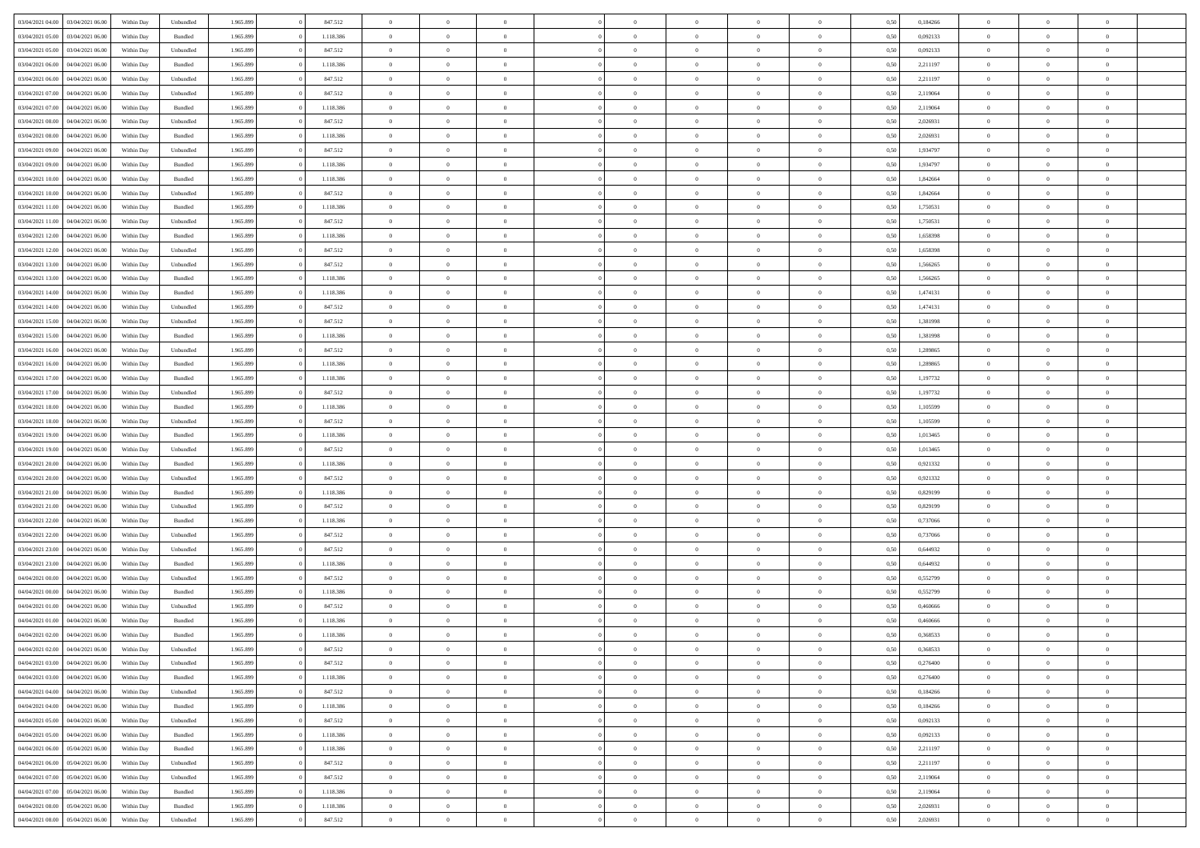|                                   |                  |            |                    |           |           | $\overline{0}$ | $\Omega$       |                |                | $\Omega$       | $\theta$       | $\theta$       |      |          | $\theta$       |                | $\theta$       |  |
|-----------------------------------|------------------|------------|--------------------|-----------|-----------|----------------|----------------|----------------|----------------|----------------|----------------|----------------|------|----------|----------------|----------------|----------------|--|
| 03/04/2021 04:00                  | 03/04/2021 06:00 | Within Day | Unbundled          | 1.965.899 | 847.512   |                |                |                | $\Omega$       |                |                |                | 0,50 | 0,184266 |                | $\theta$       |                |  |
| 03/04/2021 05:00                  | 03/04/2021 06:00 | Within Day | Bundled            | 1.965.899 | 1.118.386 | $\overline{0}$ | $\theta$       | $\overline{0}$ | $\overline{0}$ | $\bf{0}$       | $\overline{0}$ | $\bf{0}$       | 0,50 | 0,092133 | $\theta$       | $\theta$       | $\overline{0}$ |  |
| 03/04/2021 05:00                  | 03/04/2021 06:00 | Within Day | Unbundled          | 1.965.899 | 847.512   | $\overline{0}$ | $\overline{0}$ | $\overline{0}$ | $\bf{0}$       | $\bf{0}$       | $\bf{0}$       | $\mathbf{0}$   | 0,50 | 0,092133 | $\bf{0}$       | $\overline{0}$ | $\overline{0}$ |  |
| 03/04/2021 06:00                  | 04/04/2021 06:00 | Within Dav | Bundled            | 1.965.899 | 1.118.386 | $\overline{0}$ | $\overline{0}$ | $\overline{0}$ | $\overline{0}$ | $\bf{0}$       | $\overline{0}$ | $\overline{0}$ | 0.50 | 2.211197 | $\theta$       | $\theta$       | $\overline{0}$ |  |
|                                   |                  |            |                    |           |           | $\overline{0}$ | $\theta$       | $\overline{0}$ |                | $\bf{0}$       | $\overline{0}$ |                |      |          | $\,$ 0 $\,$    | $\overline{0}$ | $\overline{0}$ |  |
| 03/04/2021 06:00                  | 04/04/2021 06.00 | Within Day | Unbundled          | 1.965.899 | 847.512   |                |                |                | $\overline{0}$ |                |                | $\bf{0}$       | 0,50 | 2,211197 |                |                |                |  |
| 03/04/2021 07:00                  | 04/04/2021 06:00 | Within Day | Unbundled          | 1.965.899 | 847.512   | $\overline{0}$ | $\overline{0}$ | $\overline{0}$ | $\bf{0}$       | $\overline{0}$ | $\overline{0}$ | $\mathbf{0}$   | 0,50 | 2,119064 | $\overline{0}$ | $\overline{0}$ | $\bf{0}$       |  |
| 03/04/2021 07:00                  | 04/04/2021 06.00 | Within Dav | Bundled            | 1.965.899 | 1.118.386 | $\overline{0}$ | $\overline{0}$ | $\overline{0}$ | $\overline{0}$ | $\overline{0}$ | $\overline{0}$ | $\overline{0}$ | 0.50 | 2,119064 | $\theta$       | $\overline{0}$ | $\overline{0}$ |  |
| 03/04/2021 08:00                  | 04/04/2021 06.00 | Within Day | Unbundled          | 1.965.899 | 847.512   | $\overline{0}$ | $\theta$       | $\overline{0}$ | $\overline{0}$ | $\bf{0}$       | $\overline{0}$ | $\bf{0}$       | 0,50 | 2,026931 | $\theta$       | $\theta$       | $\overline{0}$ |  |
| 03/04/2021 08:00                  | 04/04/2021 06.00 | Within Day | Bundled            | 1.965.899 | 1.118.386 | $\overline{0}$ | $\overline{0}$ | $\overline{0}$ | $\bf{0}$       | $\bf{0}$       | $\bf{0}$       | $\mathbf{0}$   | 0,50 | 2,026931 | $\,0\,$        | $\overline{0}$ | $\overline{0}$ |  |
|                                   |                  |            |                    |           |           |                | $\overline{0}$ |                |                | $\overline{0}$ |                |                |      |          | $\theta$       | $\overline{0}$ | $\overline{0}$ |  |
| 03/04/2021 09:00                  | 04/04/2021 06.00 | Within Dav | Unbundled          | 1.965.899 | 847.512   | $\overline{0}$ |                | $\overline{0}$ | $\overline{0}$ |                | $\overline{0}$ | $\overline{0}$ | 0.50 | 1,934797 |                |                |                |  |
| 03/04/2021 09:00                  | 04/04/2021 06.00 | Within Day | Bundled            | 1.965.899 | 1.118.386 | $\overline{0}$ | $\theta$       | $\overline{0}$ | $\overline{0}$ | $\bf{0}$       | $\overline{0}$ | $\bf{0}$       | 0,50 | 1,934797 | $\,$ 0 $\,$    | $\overline{0}$ | $\overline{0}$ |  |
| 03/04/2021 10:00                  | 04/04/2021 06.00 | Within Day | Bundled            | 1.965.899 | 1.118.386 | $\overline{0}$ | $\overline{0}$ | $\overline{0}$ | $\bf{0}$       | $\bf{0}$       | $\bf{0}$       | $\mathbf{0}$   | 0,50 | 1,842664 | $\bf{0}$       | $\overline{0}$ | $\overline{0}$ |  |
| 03/04/2021 10:00                  | 04/04/2021 06:00 | Within Dav | Unbundled          | 1.965.899 | 847.512   | $\overline{0}$ | $\overline{0}$ | $\overline{0}$ | $\overline{0}$ | $\bf{0}$       | $\overline{0}$ | $\overline{0}$ | 0.50 | 1.842664 | $\theta$       | $\theta$       | $\overline{0}$ |  |
| 03/04/2021 11:00                  | 04/04/2021 06.00 | Within Day | Bundled            | 1.965.899 | 1.118.386 | $\overline{0}$ | $\theta$       | $\overline{0}$ | $\overline{0}$ | $\bf{0}$       | $\overline{0}$ | $\bf{0}$       | 0,50 | 1,750531 | $\theta$       | $\overline{0}$ | $\overline{0}$ |  |
|                                   |                  |            |                    |           |           |                |                |                |                |                |                |                |      |          |                |                |                |  |
| 03/04/2021 11:00                  | 04/04/2021 06.00 | Within Day | Unbundled          | 1.965.899 | 847.512   | $\overline{0}$ | $\overline{0}$ | $\overline{0}$ | $\bf{0}$       | $\overline{0}$ | $\overline{0}$ | $\mathbf{0}$   | 0,50 | 1,750531 | $\bf{0}$       | $\overline{0}$ | $\bf{0}$       |  |
| 03/04/2021 12:00                  | 04/04/2021 06:00 | Within Dav | Bundled            | 1.965.899 | 1.118.386 | $\overline{0}$ | $\overline{0}$ | $\overline{0}$ | $\overline{0}$ | $\overline{0}$ | $\overline{0}$ | $\overline{0}$ | 0.50 | 1,658398 | $\theta$       | $\overline{0}$ | $\overline{0}$ |  |
| 03/04/2021 12:00                  | 04/04/2021 06.00 | Within Day | Unbundled          | 1.965.899 | 847.512   | $\overline{0}$ | $\theta$       | $\overline{0}$ | $\overline{0}$ | $\bf{0}$       | $\overline{0}$ | $\bf{0}$       | 0,50 | 1,658398 | $\,$ 0 $\,$    | $\theta$       | $\overline{0}$ |  |
| 03/04/2021 13:00                  | 04/04/2021 06.00 | Within Day | Unbundled          | 1.965.899 | 847.512   | $\overline{0}$ | $\overline{0}$ | $\overline{0}$ | $\bf{0}$       | $\bf{0}$       | $\bf{0}$       | $\mathbf{0}$   | 0,50 | 1,566265 | $\,0\,$        | $\overline{0}$ | $\overline{0}$ |  |
| 03/04/2021 13:00                  | 04/04/2021 06.00 | Within Day | Bundled            | 1.965.899 | 1.118.386 | $\overline{0}$ | $\overline{0}$ | $\overline{0}$ | $\overline{0}$ | $\overline{0}$ | $\overline{0}$ | $\overline{0}$ | 0.50 | 1,566265 | $\theta$       | $\overline{0}$ | $\overline{0}$ |  |
| 03/04/2021 14:00                  | 04/04/2021 06.00 | Within Day | Bundled            | 1.965.899 | 1.118.386 | $\overline{0}$ | $\theta$       | $\overline{0}$ | $\overline{0}$ | $\bf{0}$       | $\overline{0}$ | $\bf{0}$       | 0,50 | 1,474131 | $\,$ 0 $\,$    | $\theta$       | $\overline{0}$ |  |
|                                   |                  |            |                    |           |           |                |                |                |                |                |                |                |      |          |                |                |                |  |
| 03/04/2021 14:00                  | 04/04/2021 06:00 | Within Day | Unbundled          | 1.965.899 | 847.512   | $\overline{0}$ | $\overline{0}$ | $\overline{0}$ | $\bf{0}$       | $\bf{0}$       | $\bf{0}$       | $\mathbf{0}$   | 0,50 | 1,474131 | $\bf{0}$       | $\overline{0}$ | $\overline{0}$ |  |
| 03/04/2021 15:00                  | 04/04/2021 06:00 | Within Day | Unbundled          | 1.965.899 | 847.512   | $\overline{0}$ | $\overline{0}$ | $\overline{0}$ | $\overline{0}$ | $\bf{0}$       | $\overline{0}$ | $\overline{0}$ | 0.50 | 1,381998 | $\theta$       | $\overline{0}$ | $\overline{0}$ |  |
| 03/04/2021 15:00                  | 04/04/2021 06.00 | Within Day | Bundled            | 1.965.899 | 1.118.386 | $\overline{0}$ | $\theta$       | $\overline{0}$ | $\overline{0}$ | $\bf{0}$       | $\overline{0}$ | $\bf{0}$       | 0,50 | 1,381998 | $\,$ 0 $\,$    | $\overline{0}$ | $\overline{0}$ |  |
| 03/04/2021 16:00                  | 04/04/2021 06.00 | Within Day | Unbundled          | 1.965.899 | 847.512   | $\overline{0}$ | $\bf{0}$       | $\overline{0}$ | $\bf{0}$       | $\overline{0}$ | $\overline{0}$ | $\mathbf{0}$   | 0,50 | 1,289865 | $\bf{0}$       | $\overline{0}$ | $\bf{0}$       |  |
| 03/04/2021 16:00                  | 04/04/2021 06.00 | Within Dav | Bundled            | 1.965.899 | 1.118.386 | $\overline{0}$ | $\overline{0}$ | $\overline{0}$ | $\overline{0}$ | $\overline{0}$ | $\overline{0}$ | $\overline{0}$ | 0.50 | 1,289865 | $\theta$       | $\overline{0}$ | $\overline{0}$ |  |
| 03/04/2021 17:00                  | 04/04/2021 06.00 | Within Day | Bundled            | 1.965.899 | 1.118.386 | $\overline{0}$ | $\theta$       | $\overline{0}$ | $\overline{0}$ | $\bf{0}$       | $\overline{0}$ | $\bf{0}$       | 0,50 | 1,197732 | $\theta$       | $\theta$       | $\overline{0}$ |  |
| 03/04/2021 17:00                  | 04/04/2021 06.00 | Within Day | Unbundled          | 1.965.899 | 847.512   | $\overline{0}$ | $\overline{0}$ | $\overline{0}$ | $\bf{0}$       | $\bf{0}$       | $\bf{0}$       | $\bf{0}$       | 0,50 | 1,197732 | $\,0\,$        | $\overline{0}$ | $\overline{0}$ |  |
|                                   |                  |            |                    |           |           |                |                |                |                |                |                |                |      |          |                |                |                |  |
| 03/04/2021 18:00                  | 04/04/2021 06.00 | Within Day | Bundled            | 1.965.899 | 1.118.386 | $\overline{0}$ | $\overline{0}$ | $\overline{0}$ | $\overline{0}$ | $\overline{0}$ | $\overline{0}$ | $\overline{0}$ | 0.50 | 1,105599 | $\theta$       | $\overline{0}$ | $\overline{0}$ |  |
| 03/04/2021 18:00                  | 04/04/2021 06.00 | Within Day | Unbundled          | 1.965.899 | 847.512   | $\overline{0}$ | $\theta$       | $\overline{0}$ | $\overline{0}$ | $\bf{0}$       | $\overline{0}$ | $\bf{0}$       | 0,50 | 1,105599 | $\,$ 0 $\,$    | $\overline{0}$ | $\overline{0}$ |  |
| 03/04/2021 19:00                  | 04/04/2021 06:00 | Within Day | Bundled            | 1.965.899 | 1.118.386 | $\overline{0}$ | $\overline{0}$ | $\overline{0}$ | $\bf{0}$       | $\bf{0}$       | $\bf{0}$       | $\bf{0}$       | 0,50 | 1,013465 | $\overline{0}$ | $\overline{0}$ | $\overline{0}$ |  |
| 03/04/2021 19:00                  | 04/04/2021 06.00 | Within Day | Unbundled          | 1.965.899 | 847.512   | $\overline{0}$ | $\Omega$       | $\overline{0}$ | $\Omega$       | $\Omega$       | $\overline{0}$ | $\overline{0}$ | 0,50 | 1,013465 | $\,0\,$        | $\theta$       | $\theta$       |  |
| 03/04/2021 20:00                  | 04/04/2021 06.00 | Within Day | Bundled            | 1.965.899 | 1.118.386 | $\overline{0}$ | $\theta$       | $\overline{0}$ | $\overline{0}$ | $\bf{0}$       | $\overline{0}$ | $\bf{0}$       | 0,50 | 0,921332 | $\,$ 0 $\,$    | $\theta$       | $\overline{0}$ |  |
| 03/04/2021 20:00                  | 04/04/2021 06:00 | Within Day | Unbundled          | 1.965.899 | 847.512   | $\overline{0}$ | $\overline{0}$ | $\overline{0}$ | $\bf{0}$       | $\bf{0}$       | $\overline{0}$ | $\mathbf{0}$   | 0,50 | 0,921332 | $\overline{0}$ | $\overline{0}$ | $\bf{0}$       |  |
|                                   |                  |            |                    |           |           |                |                |                |                |                |                |                |      |          |                |                |                |  |
| 03/04/2021 21:00                  | 04/04/2021 06:00 | Within Day | Bundled            | 1.965.899 | 1.118.386 | $\overline{0}$ | $\Omega$       | $\Omega$       | $\Omega$       | $\bf{0}$       | $\overline{0}$ | $\overline{0}$ | 0.50 | 0,829199 | $\,0\,$        | $\theta$       | $\theta$       |  |
| 03/04/2021 21:00                  | 04/04/2021 06.00 | Within Day | Unbundled          | 1.965.899 | 847.512   | $\overline{0}$ | $\theta$       | $\overline{0}$ | $\overline{0}$ | $\bf{0}$       | $\overline{0}$ | $\bf{0}$       | 0,50 | 0,829199 | $\,$ 0 $\,$    | $\overline{0}$ | $\overline{0}$ |  |
| 03/04/2021 22.00                  | 04/04/2021 06.00 | Within Day | Bundled            | 1.965.899 | 1.118.386 | $\overline{0}$ | $\overline{0}$ | $\overline{0}$ | $\bf{0}$       | $\bf{0}$       | $\bf{0}$       | $\bf{0}$       | 0,50 | 0,737066 | $\bf{0}$       | $\overline{0}$ | $\overline{0}$ |  |
| 03/04/2021 22.00                  | 04/04/2021 06:00 | Within Day | Unbundled          | 1.965.899 | 847.512   | $\overline{0}$ | $\Omega$       | $\overline{0}$ | $\Omega$       | $\overline{0}$ | $\overline{0}$ | $\overline{0}$ | 0.50 | 0,737066 | $\,$ 0 $\,$    | $\theta$       | $\theta$       |  |
| 03/04/2021 23:00                  | 04/04/2021 06.00 | Within Day | Unbundled          | 1.965.899 | 847.512   | $\overline{0}$ | $\theta$       | $\overline{0}$ | $\overline{0}$ | $\,$ 0         | $\overline{0}$ | $\bf{0}$       | 0,50 | 0,644932 | $\,$ 0 $\,$    | $\overline{0}$ | $\overline{0}$ |  |
| 03/04/2021 23.00                  | 04/04/2021 06:00 | Within Day | Bundled            | 1.965.899 | 1.118.386 | $\overline{0}$ | $\overline{0}$ | $\overline{0}$ | $\bf{0}$       | $\bf{0}$       | $\bf{0}$       | $\mathbf{0}$   | 0,50 | 0,644932 | $\overline{0}$ | $\overline{0}$ | $\overline{0}$ |  |
|                                   |                  |            |                    |           |           |                |                |                |                |                |                |                |      |          |                |                |                |  |
| 04/04/2021 00:00                  | 04/04/2021 06.00 | Within Day | Unbundled          | 1.965.899 | 847.512   | $\overline{0}$ | $\Omega$       | $\overline{0}$ | $\Omega$       | $\overline{0}$ | $\overline{0}$ | $\overline{0}$ | 0,50 | 0,552799 | $\,0\,$        | $\theta$       | $\theta$       |  |
| 04/04/2021 00:00                  | 04/04/2021 06.00 | Within Day | Bundled            | 1.965.899 | 1.118.386 | $\overline{0}$ | $\overline{0}$ | $\overline{0}$ | $\overline{0}$ | $\,$ 0         | $\overline{0}$ | $\bf{0}$       | 0,50 | 0,552799 | $\,$ 0 $\,$    | $\overline{0}$ | $\overline{0}$ |  |
| 04/04/2021 01.00                  | 04/04/2021 06.00 | Within Day | Unbundled          | 1.965.899 | 847.512   | $\overline{0}$ | $\overline{0}$ | $\overline{0}$ | $\bf{0}$       | $\bf{0}$       | $\bf{0}$       | $\mathbf{0}$   | 0,50 | 0,460666 | $\overline{0}$ | $\overline{0}$ | $\bf{0}$       |  |
| 04/04/2021 01:00                  | 04/04/2021 06:00 | Within Day | Bundled            | 1.965.899 | 1.118.386 | $\overline{0}$ | $\Omega$       | $\Omega$       | $\Omega$       | $\Omega$       | $\Omega$       | $\overline{0}$ | 0.50 | 0.460666 | $\theta$       | $\theta$       | $\theta$       |  |
| 04/04/2021 02.00                  | 04/04/2021 06:00 | Within Day | Bundled            | 1.965.899 | 1.118.386 | $\overline{0}$ | $\overline{0}$ | $\overline{0}$ | $\bf{0}$       | $\,$ 0         | $\bf{0}$       | $\bf{0}$       | 0,50 | 0,368533 | $\,0\,$        | $\overline{0}$ | $\overline{0}$ |  |
| 04/04/2021 02:00 04/04/2021 06:00 |                  | Within Day | Unbundled          | 1.965.899 | 847.512   | $\bf{0}$       | $\bf{0}$       |                |                |                |                |                | 0,50 | 0,368533 | $\bf{0}$       | $\overline{0}$ |                |  |
|                                   |                  |            |                    |           |           |                |                |                |                |                |                |                |      |          |                |                | $\theta$       |  |
| 04/04/2021 03:00                  | 04/04/2021 06:00 | Within Day | Unbundled          | 1.965.899 | 847.512   | $\overline{0}$ | $\overline{0}$ | $\overline{0}$ | $\Omega$       | $\overline{0}$ | $\overline{0}$ | $\overline{0}$ | 0.50 | 0,276400 | $\theta$       | $\theta$       |                |  |
| 04/04/2021 03:00                  | 04/04/2021 06:00 | Within Day | Bundled            | 1.965.899 | 1.118.386 | $\overline{0}$ | $\bf{0}$       | $\overline{0}$ | $\bf{0}$       | $\,$ 0 $\,$    | $\overline{0}$ | $\,$ 0 $\,$    | 0,50 | 0,276400 | $\,$ 0 $\,$    | $\,$ 0 $\,$    | $\,$ 0         |  |
| 04/04/2021 04:00                  | 04/04/2021 06:00 | Within Day | Unbundled          | 1.965.899 | 847.512   | $\overline{0}$ | $\overline{0}$ | $\overline{0}$ | $\overline{0}$ | $\overline{0}$ | $\overline{0}$ | $\mathbf{0}$   | 0,50 | 0,184266 | $\overline{0}$ | $\bf{0}$       | $\overline{0}$ |  |
| 04/04/2021 04:00                  | 04/04/2021 06:00 | Within Day | $\mathbf B$ undled | 1.965.899 | 1.118.386 | $\overline{0}$ | $\overline{0}$ | $\overline{0}$ | $\Omega$       | $\overline{0}$ | $\overline{0}$ | $\overline{0}$ | 0,50 | 0,184266 | $\overline{0}$ | $\theta$       | $\overline{0}$ |  |
| 04/04/2021 05:00                  | 04/04/2021 06:00 | Within Day | Unbundled          | 1.965.899 | 847.512   | $\overline{0}$ | $\,$ 0         | $\overline{0}$ | $\bf{0}$       | $\,$ 0 $\,$    | $\overline{0}$ | $\mathbf{0}$   | 0,50 | 0,092133 | $\,$ 0 $\,$    | $\overline{0}$ | $\,$ 0         |  |
| 04/04/2021 05:00                  | 04/04/2021 06:00 | Within Day | Bundled            | 1.965.899 | 1.118.386 | $\overline{0}$ | $\overline{0}$ | $\overline{0}$ | $\overline{0}$ | $\overline{0}$ | $\overline{0}$ | $\mathbf{0}$   | 0,50 | 0,092133 | $\overline{0}$ | $\overline{0}$ | $\overline{0}$ |  |
|                                   | 05/04/2021 06:00 |            | Bundled            |           | 1.118.386 | $\overline{0}$ | $\overline{0}$ | $\overline{0}$ | $\overline{0}$ | $\overline{0}$ | $\overline{0}$ |                | 0.50 |          | $\overline{0}$ | $\theta$       | $\overline{0}$ |  |
| 04/04/2021 06:00                  |                  | Within Day |                    | 1.965.899 |           |                |                |                |                |                |                | $\bf{0}$       |      | 2,211197 |                |                |                |  |
| 04/04/2021 06:00                  | 05/04/2021 06:00 | Within Day | Unbundled          | 1.965.899 | 847.512   | $\overline{0}$ | $\,$ 0         | $\overline{0}$ | $\bf{0}$       | $\bf{0}$       | $\bf{0}$       | $\bf{0}$       | 0,50 | 2,211197 | $\,$ 0 $\,$    | $\overline{0}$ | $\overline{0}$ |  |
| 04/04/2021 07:00                  | 05/04/2021 06:00 | Within Day | Unbundled          | 1.965.899 | 847.512   | $\overline{0}$ | $\bf{0}$       | $\overline{0}$ | $\overline{0}$ | $\overline{0}$ | $\overline{0}$ | $\mathbf{0}$   | 0,50 | 2,119064 | $\overline{0}$ | $\overline{0}$ | $\bf{0}$       |  |
| 04/04/2021 07:00                  | 05/04/2021 06:00 | Within Day | Bundled            | 1.965.899 | 1.118.386 | $\overline{0}$ | $\overline{0}$ | $\overline{0}$ | $\Omega$       | $\overline{0}$ | $\overline{0}$ | $\overline{0}$ | 0,50 | 2,119064 | $\overline{0}$ | $\overline{0}$ | $\overline{0}$ |  |
| 04/04/2021 08:00                  | 05/04/2021 06:00 | Within Day | Bundled            | 1.965.899 | 1.118.386 | $\overline{0}$ | $\bf{0}$       | $\overline{0}$ | $\bf{0}$       | $\bf{0}$       | $\bf{0}$       | $\mathbf{0}$   | 0,50 | 2,026931 | $\,$ 0 $\,$    | $\,$ 0 $\,$    | $\bf{0}$       |  |
| 04/04/2021 08:00                  | 05/04/2021 06:00 | Within Day | Unbundled          | 1.965.899 | 847.512   | $\overline{0}$ | $\overline{0}$ | $\overline{0}$ | $\overline{0}$ | $\overline{0}$ | $\bf{0}$       | $\mathbf{0}$   | 0,50 | 2,026931 | $\overline{0}$ | $\bf{0}$       | $\overline{0}$ |  |
|                                   |                  |            |                    |           |           |                |                |                |                |                |                |                |      |          |                |                |                |  |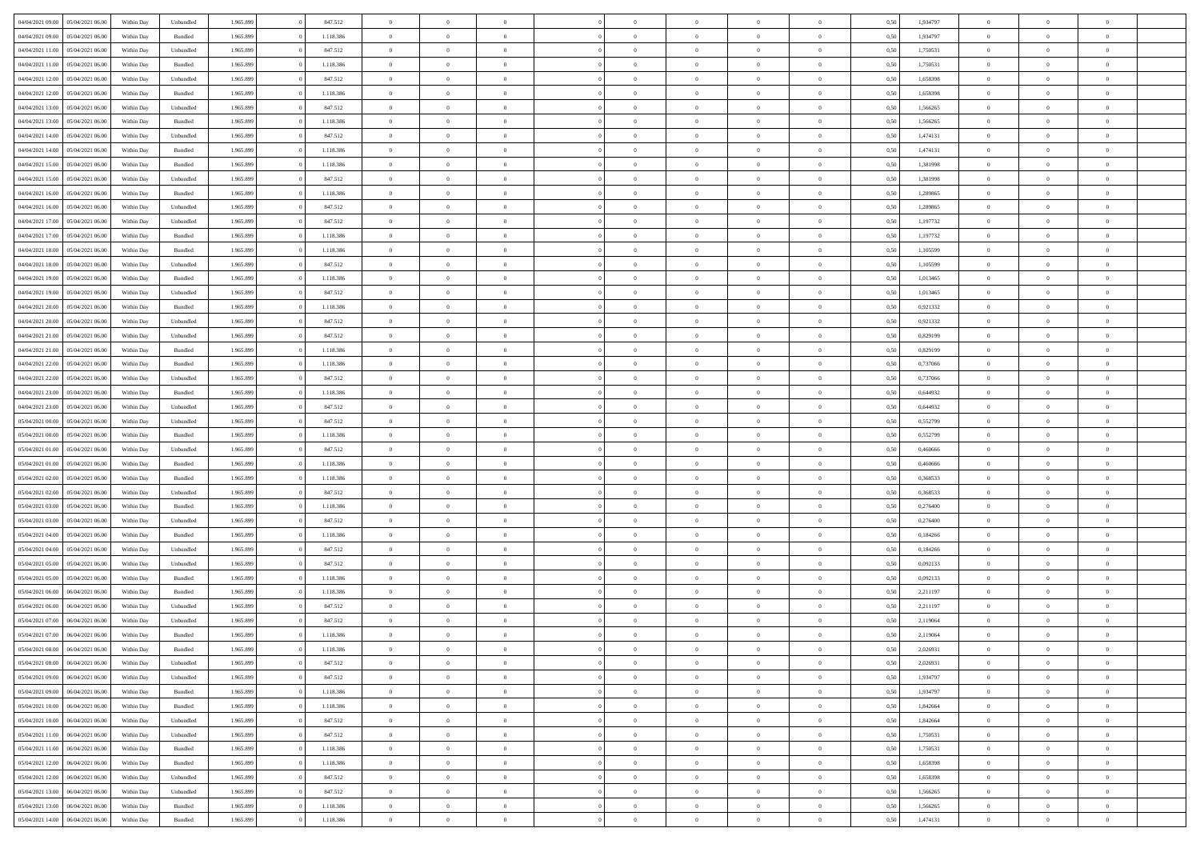| 04/04/2021 09:00                  | 05/04/2021 06:00 | Within Day | Unbundled          | 1.965.899 | 847.512   | $\overline{0}$ | $\theta$       |                | $\Omega$       | $\Omega$       | $\theta$       | $\theta$       | 0,50 | 1,934797 | $\theta$       | $\theta$       | $\theta$       |  |
|-----------------------------------|------------------|------------|--------------------|-----------|-----------|----------------|----------------|----------------|----------------|----------------|----------------|----------------|------|----------|----------------|----------------|----------------|--|
| 04/04/2021 09:00                  | 05/04/2021 06:00 | Within Day | Bundled            | 1.965.899 | 1.118.386 | $\overline{0}$ | $\theta$       | $\overline{0}$ | $\overline{0}$ | $\bf{0}$       | $\overline{0}$ | $\bf{0}$       | 0,50 | 1,934797 | $\theta$       | $\overline{0}$ | $\overline{0}$ |  |
| 04/04/2021 11:00                  | 05/04/2021 06:00 | Within Day | Unbundled          | 1.965.899 | 847.512   | $\overline{0}$ | $\bf{0}$       | $\overline{0}$ | $\bf{0}$       | $\bf{0}$       | $\bf{0}$       | $\mathbf{0}$   | 0,50 | 1,750531 | $\overline{0}$ | $\overline{0}$ | $\overline{0}$ |  |
|                                   |                  |            |                    |           |           |                |                |                |                |                |                |                |      |          | $\theta$       |                |                |  |
| 04/04/2021 11:00                  | 05/04/2021 06:00 | Within Dav | Bundled            | 1.965.899 | 1.118.386 | $\overline{0}$ | $\overline{0}$ | $\overline{0}$ | $\overline{0}$ | $\bf{0}$       | $\overline{0}$ | $\overline{0}$ | 0.50 | 1,750531 |                | $\theta$       | $\overline{0}$ |  |
| 04/04/2021 12:00                  | 05/04/2021 06:00 | Within Day | Unbundled          | 1.965.899 | 847.512   | $\overline{0}$ | $\theta$       | $\overline{0}$ | $\overline{0}$ | $\bf{0}$       | $\overline{0}$ | $\bf{0}$       | 0,50 | 1,658398 | $\,$ 0 $\,$    | $\overline{0}$ | $\overline{0}$ |  |
| 04/04/2021 12:00                  | 05/04/2021 06:00 | Within Day | Bundled            | 1.965.899 | 1.118.386 | $\overline{0}$ | $\overline{0}$ | $\overline{0}$ | $\bf{0}$       | $\overline{0}$ | $\overline{0}$ | $\mathbf{0}$   | 0,50 | 1,658398 | $\overline{0}$ | $\overline{0}$ | $\bf{0}$       |  |
| 04/04/2021 13:00                  | 05/04/2021 06:00 | Within Dav | Unbundled          | 1.965.899 | 847.512   | $\overline{0}$ | $\overline{0}$ | $\overline{0}$ | $\overline{0}$ | $\overline{0}$ | $\overline{0}$ | $\overline{0}$ | 0.50 | 1,566265 | $\theta$       | $\overline{0}$ | $\overline{0}$ |  |
|                                   |                  |            |                    |           |           |                |                |                |                |                |                |                |      |          |                |                |                |  |
| 04/04/2021 13:00                  | 05/04/2021 06:00 | Within Day | Bundled            | 1.965.899 | 1.118.386 | $\overline{0}$ | $\theta$       | $\overline{0}$ | $\overline{0}$ | $\bf{0}$       | $\overline{0}$ | $\bf{0}$       | 0,50 | 1,566265 | $\theta$       | $\theta$       | $\overline{0}$ |  |
| 04/04/2021 14:00                  | 05/04/2021 06:00 | Within Day | Unbundled          | 1.965.899 | 847.512   | $\overline{0}$ | $\overline{0}$ | $\overline{0}$ | $\bf{0}$       | $\bf{0}$       | $\bf{0}$       | $\mathbf{0}$   | 0,50 | 1,474131 | $\,0\,$        | $\overline{0}$ | $\overline{0}$ |  |
| 04/04/2021 14:00                  | 05/04/2021 06:00 | Within Dav | Bundled            | 1.965.899 | 1.118.386 | $\overline{0}$ | $\overline{0}$ | $\overline{0}$ | $\overline{0}$ | $\overline{0}$ | $\overline{0}$ | $\overline{0}$ | 0.50 | 1,474131 | $\theta$       | $\overline{0}$ | $\overline{0}$ |  |
| 04/04/2021 15:00                  | 05/04/2021 06:00 |            | Bundled            | 1.965.899 | 1.118.386 | $\overline{0}$ | $\theta$       | $\overline{0}$ | $\overline{0}$ | $\bf{0}$       | $\overline{0}$ |                |      | 1,381998 | $\,$ 0 $\,$    | $\overline{0}$ | $\overline{0}$ |  |
|                                   |                  | Within Day |                    |           |           |                |                |                |                |                |                | $\bf{0}$       | 0,50 |          |                |                |                |  |
| 04/04/2021 15:00                  | 05/04/2021 06:00 | Within Day | Unbundled          | 1.965.899 | 847.512   | $\overline{0}$ | $\overline{0}$ | $\overline{0}$ | $\bf{0}$       | $\bf{0}$       | $\bf{0}$       | $\mathbf{0}$   | 0,50 | 1,381998 | $\overline{0}$ | $\overline{0}$ | $\bf{0}$       |  |
| 04/04/2021 16:00                  | 05/04/2021 06:00 | Within Day | Bundled            | 1.965.899 | 1.118.386 | $\overline{0}$ | $\overline{0}$ | $\overline{0}$ | $\overline{0}$ | $\bf{0}$       | $\overline{0}$ | $\overline{0}$ | 0.50 | 1.289865 | $\theta$       | $\theta$       | $\overline{0}$ |  |
| 04/04/2021 16:00                  | 05/04/2021 06:00 | Within Day | Unbundled          | 1.965.899 | 847.512   | $\overline{0}$ | $\theta$       | $\overline{0}$ | $\overline{0}$ | $\bf{0}$       | $\overline{0}$ | $\bf{0}$       | 0,50 | 1,289865 | $\theta$       | $\overline{0}$ | $\overline{0}$ |  |
|                                   |                  |            |                    |           |           |                |                |                |                |                |                |                |      |          |                |                |                |  |
| 04/04/2021 17.00                  | 05/04/2021 06:00 | Within Day | Unbundled          | 1.965.899 | 847.512   | $\overline{0}$ | $\overline{0}$ | $\overline{0}$ | $\bf{0}$       | $\overline{0}$ | $\overline{0}$ | $\mathbf{0}$   | 0,50 | 1,197732 | $\overline{0}$ | $\overline{0}$ | $\bf{0}$       |  |
| 04/04/2021 17:00                  | 05/04/2021 06:00 | Within Dav | Bundled            | 1.965.899 | 1.118.386 | $\overline{0}$ | $\overline{0}$ | $\overline{0}$ | $\overline{0}$ | $\overline{0}$ | $\overline{0}$ | $\overline{0}$ | 0.50 | 1,197732 | $\theta$       | $\overline{0}$ | $\overline{0}$ |  |
| 04/04/2021 18:00                  | 05/04/2021 06:00 | Within Day | Bundled            | 1.965.899 | 1.118.386 | $\overline{0}$ | $\theta$       | $\overline{0}$ | $\overline{0}$ | $\bf{0}$       | $\overline{0}$ | $\bf{0}$       | 0,50 | 1,105599 | $\,$ 0 $\,$    | $\overline{0}$ | $\overline{0}$ |  |
| 04/04/2021 18:00                  | 05/04/2021 06:00 | Within Day | Unbundled          | 1.965.899 | 847.512   | $\overline{0}$ | $\overline{0}$ | $\overline{0}$ | $\bf{0}$       | $\bf{0}$       | $\bf{0}$       | $\mathbf{0}$   | 0,50 | 1,105599 | $\bf{0}$       | $\overline{0}$ | $\bf{0}$       |  |
| 04/04/2021 19:00                  | 05/04/2021 06:00 |            | Bundled            | 1.965.899 | 1.118.386 | $\overline{0}$ | $\overline{0}$ | $\overline{0}$ | $\overline{0}$ | $\overline{0}$ | $\overline{0}$ | $\overline{0}$ | 0.50 | 1,013465 | $\theta$       | $\overline{0}$ | $\overline{0}$ |  |
|                                   |                  | Within Day |                    |           |           |                |                |                |                |                |                |                |      |          |                |                |                |  |
| 04/04/2021 19:00                  | 05/04/2021 06:00 | Within Day | Unbundled          | 1.965.899 | 847.512   | $\overline{0}$ | $\theta$       | $\overline{0}$ | $\overline{0}$ | $\bf{0}$       | $\overline{0}$ | $\bf{0}$       | 0,50 | 1,013465 | $\,$ 0 $\,$    | $\overline{0}$ | $\overline{0}$ |  |
| 04/04/2021 20.00                  | 05/04/2021 06:00 | Within Day | Bundled            | 1.965.899 | 1.118.386 | $\overline{0}$ | $\overline{0}$ | $\overline{0}$ | $\bf{0}$       | $\bf{0}$       | $\bf{0}$       | $\mathbf{0}$   | 0,50 | 0,921332 | $\overline{0}$ | $\overline{0}$ | $\bf{0}$       |  |
| 04/04/2021 20:00                  | 05/04/2021 06:00 | Within Day | Unbundled          | 1.965.899 | 847.512   | $\overline{0}$ | $\overline{0}$ | $\overline{0}$ | $\overline{0}$ | $\overline{0}$ | $\overline{0}$ | $\overline{0}$ | 0.50 | 0.921332 | $\theta$       | $\overline{0}$ | $\overline{0}$ |  |
|                                   |                  |            |                    |           |           |                | $\theta$       |                |                | $\bf{0}$       |                |                |      |          |                |                |                |  |
| 04/04/2021 21.00                  | 05/04/2021 06:00 | Within Day | Unbundled          | 1.965.899 | 847.512   | $\overline{0}$ |                | $\overline{0}$ | $\overline{0}$ |                | $\overline{0}$ | $\bf{0}$       | 0,50 | 0,829199 | $\,$ 0 $\,$    | $\overline{0}$ | $\overline{0}$ |  |
| 04/04/2021 21.00                  | 05/04/2021 06:00 | Within Day | Bundled            | 1.965.899 | 1.118.386 | $\overline{0}$ | $\overline{0}$ | $\overline{0}$ | $\bf{0}$       | $\overline{0}$ | $\overline{0}$ | $\mathbf{0}$   | 0,50 | 0,829199 | $\overline{0}$ | $\overline{0}$ | $\bf{0}$       |  |
| 04/04/2021 22:00                  | 05/04/2021 06:00 | Within Dav | Bundled            | 1.965.899 | 1.118.386 | $\overline{0}$ | $\overline{0}$ | $\overline{0}$ | $\overline{0}$ | $\overline{0}$ | $\overline{0}$ | $\overline{0}$ | 0.50 | 0,737066 | $\overline{0}$ | $\overline{0}$ | $\overline{0}$ |  |
| 04/04/2021 22.00                  | 05/04/2021 06:00 | Within Day | Unbundled          | 1.965.899 | 847.512   | $\overline{0}$ | $\theta$       | $\overline{0}$ | $\overline{0}$ | $\bf{0}$       | $\overline{0}$ | $\bf{0}$       | 0,50 | 0,737066 | $\theta$       | $\overline{0}$ | $\overline{0}$ |  |
|                                   |                  |            |                    |           |           |                |                |                |                |                |                |                |      |          |                |                |                |  |
| 04/04/2021 23.00                  | 05/04/2021 06:00 | Within Day | Bundled            | 1.965.899 | 1.118.386 | $\overline{0}$ | $\overline{0}$ | $\overline{0}$ | $\bf{0}$       | $\bf{0}$       | $\bf{0}$       | $\mathbf{0}$   | 0,50 | 0,644932 | $\,0\,$        | $\overline{0}$ | $\overline{0}$ |  |
| 04/04/2021 23:00                  | 05/04/2021 06:00 | Within Day | Unbundled          | 1.965.899 | 847.512   | $\overline{0}$ | $\overline{0}$ | $\overline{0}$ | $\overline{0}$ | $\overline{0}$ | $\overline{0}$ | $\overline{0}$ | 0.50 | 0,644932 | $\theta$       | $\overline{0}$ | $\overline{0}$ |  |
| 05/04/2021 00:00                  | 05/04/2021 06:00 | Within Day | Unbundled          | 1.965.899 | 847.512   | $\overline{0}$ | $\overline{0}$ | $\overline{0}$ | $\overline{0}$ | $\bf{0}$       | $\overline{0}$ | $\bf{0}$       | 0,50 | 0,552799 | $\,$ 0 $\,$    | $\overline{0}$ | $\overline{0}$ |  |
| 05/04/2021 00:00                  | 05/04/2021 06:00 | Within Day | Bundled            | 1.965.899 | 1.118.386 | $\overline{0}$ | $\overline{0}$ | $\overline{0}$ | $\bf{0}$       | $\bf{0}$       | $\bf{0}$       | $\bf{0}$       | 0,50 | 0,552799 | $\overline{0}$ | $\overline{0}$ | $\bf{0}$       |  |
|                                   |                  |            |                    |           |           |                | $\Omega$       |                | $\Omega$       | $\Omega$       |                |                |      | 0.460666 |                | $\theta$       | $\theta$       |  |
| 05/04/2021 01:00                  | 05/04/2021 06:00 | Within Day | Unbundled          | 1.965.899 | 847.512   | $\overline{0}$ |                | $\overline{0}$ |                |                | $\overline{0}$ | $\overline{0}$ | 0,50 |          | $\,0\,$        |                |                |  |
| 05/04/2021 01:00                  | 05/04/2021 06:00 | Within Day | Bundled            | 1.965.899 | 1.118.386 | $\overline{0}$ | $\theta$       | $\overline{0}$ | $\overline{0}$ | $\bf{0}$       | $\overline{0}$ | $\bf{0}$       | 0,50 | 0,460666 | $\,$ 0 $\,$    | $\overline{0}$ | $\overline{0}$ |  |
| 05/04/2021 02:00                  | 05/04/2021 06:00 | Within Day | Bundled            | 1.965.899 | 1.118.386 | $\overline{0}$ | $\overline{0}$ | $\overline{0}$ | $\bf{0}$       | $\overline{0}$ | $\overline{0}$ | $\mathbf{0}$   | 0,50 | 0,368533 | $\overline{0}$ | $\overline{0}$ | $\bf{0}$       |  |
| 05/04/2021 02:00                  | 05/04/2021 06:00 | Within Day | Unbundled          | 1.965.899 | 847.512   | $\overline{0}$ | $\Omega$       | $\Omega$       | $\Omega$       | $\overline{0}$ | $\overline{0}$ | $\overline{0}$ | 0.50 | 0,368533 | $\,0\,$        | $\theta$       | $\theta$       |  |
| 05/04/2021 03:00                  | 05/04/2021 06:00 |            |                    | 1.965.899 | 1.118.386 | $\overline{0}$ | $\theta$       | $\overline{0}$ | $\overline{0}$ | $\bf{0}$       | $\overline{0}$ |                |      | 0,276400 | $\,$ 0 $\,$    | $\overline{0}$ | $\overline{0}$ |  |
|                                   |                  | Within Day | Bundled            |           |           |                |                |                |                |                |                | $\bf{0}$       | 0,50 |          |                |                |                |  |
| 05/04/2021 03:00                  | 05/04/2021 06:00 | Within Day | Unbundled          | 1.965.899 | 847.512   | $\overline{0}$ | $\overline{0}$ | $\overline{0}$ | $\bf{0}$       | $\bf{0}$       | $\bf{0}$       | $\mathbf{0}$   | 0,50 | 0,276400 | $\bf{0}$       | $\overline{0}$ | $\bf{0}$       |  |
| 05/04/2021 04:00                  | 05/04/2021 06:00 | Within Day | Bundled            | 1.965.899 | 1.118.386 | $\overline{0}$ | $\Omega$       | $\overline{0}$ | $\Omega$       | $\overline{0}$ | $\overline{0}$ | $\overline{0}$ | 0.50 | 0,184266 | $\,$ 0 $\,$    | $\theta$       | $\theta$       |  |
| 05/04/2021 04:00                  | 05/04/2021 06:00 | Within Day | Unbundled          | 1.965.899 | 847.512   | $\overline{0}$ | $\overline{0}$ | $\overline{0}$ | $\overline{0}$ | $\,$ 0         | $\overline{0}$ | $\bf{0}$       | 0,50 | 0,184266 | $\,$ 0 $\,$    | $\overline{0}$ | $\overline{0}$ |  |
|                                   |                  |            |                    |           |           |                |                |                |                |                |                |                |      |          |                |                |                |  |
| 05/04/2021 05:00                  | 05/04/2021 06:00 | Within Day | Unbundled          | 1.965.899 | 847.512   | $\overline{0}$ | $\overline{0}$ | $\overline{0}$ | $\bf{0}$       | $\bf{0}$       | $\bf{0}$       | $\mathbf{0}$   | 0,50 | 0,092133 | $\overline{0}$ | $\overline{0}$ | $\bf{0}$       |  |
| 05/04/2021 05:00                  | 05/04/2021 06:00 | Within Day | Bundled            | 1.965.899 | 1.118.386 | $\overline{0}$ | $\Omega$       | $\overline{0}$ | $\Omega$       | $\overline{0}$ | $\overline{0}$ | $\overline{0}$ | 0,50 | 0,092133 | $\,0\,$        | $\theta$       | $\theta$       |  |
| 05/04/2021 06:00                  | 06/04/2021 06:00 | Within Day | Bundled            | 1.965.899 | 1.118.386 | $\overline{0}$ | $\overline{0}$ | $\overline{0}$ | $\overline{0}$ | $\,$ 0         | $\overline{0}$ | $\bf{0}$       | 0,50 | 2,211197 | $\,$ 0 $\,$    | $\overline{0}$ | $\overline{0}$ |  |
| 05/04/2021 06:00                  | 06/04/2021 06:00 | Within Day | Unbundled          | 1.965.899 | 847.512   | $\overline{0}$ | $\overline{0}$ | $\overline{0}$ | $\bf{0}$       | $\bf{0}$       | $\overline{0}$ | $\mathbf{0}$   | 0,50 | 2,211197 | $\overline{0}$ | $\overline{0}$ | $\bf{0}$       |  |
|                                   | 06/04/2021 06:00 |            |                    |           |           | $\overline{0}$ | $\Omega$       | $\Omega$       | $\Omega$       | $\Omega$       | $\Omega$       | $\overline{0}$ | 0.50 |          | $\theta$       | $\theta$       | $\theta$       |  |
| 05/04/2021 07:00                  |                  | Within Day | Unbundled          | 1.965.899 | 847.512   |                |                |                |                |                |                |                |      | 2,119064 |                |                |                |  |
| 05/04/2021 07:00                  | 06/04/2021 06:00 | Within Day | Bundled            | 1.965.899 | 1.118.386 | $\overline{0}$ | $\overline{0}$ | $\overline{0}$ | $\bf{0}$       | $\,$ 0         | $\bf{0}$       | $\bf{0}$       | 0,50 | 2,119064 | $\,0\,$        | $\,0\,$        | $\overline{0}$ |  |
| 05/04/2021 08:00 06/04/2021 06:00 |                  | Within Day | $\mathbf B$ undled | 1.965.899 | 1.118.386 | $\overline{0}$ | $\bf{0}$       |                |                | $\bf{0}$       |                |                | 0,50 | 2,026931 | $\bf{0}$       | $\overline{0}$ |                |  |
| 05/04/2021 08:00                  | 06/04/2021 06:00 | Within Day | Unbundled          | 1.965.899 | 847.512   | $\overline{0}$ | $\overline{0}$ | $\overline{0}$ | $\Omega$       | $\overline{0}$ | $\overline{0}$ | $\overline{0}$ | 0,50 | 2,026931 | $\theta$       | $\theta$       | $\theta$       |  |
| 05/04/2021 09:00                  | 06/04/2021 06:00 | Within Day | Unbundled          | 1.965.899 | 847.512   | $\overline{0}$ | $\bf{0}$       | $\overline{0}$ | $\bf{0}$       | $\,$ 0 $\,$    | $\overline{0}$ | $\,$ 0 $\,$    | 0,50 | 1,934797 | $\,$ 0 $\,$    | $\,$ 0 $\,$    | $\,$ 0         |  |
|                                   |                  |            |                    |           |           |                |                |                |                |                |                |                |      |          |                |                |                |  |
| 05/04/2021 09:00                  | 06/04/2021 06:00 | Within Day | Bundled            | 1.965.899 | 1.118.386 | $\overline{0}$ | $\overline{0}$ | $\overline{0}$ | $\overline{0}$ | $\overline{0}$ | $\overline{0}$ | $\mathbf{0}$   | 0,50 | 1,934797 | $\overline{0}$ | $\bf{0}$       | $\overline{0}$ |  |
| 05/04/2021 10:00                  | 06/04/2021 06:00 | Within Day | $\mathbf B$ undled | 1.965.899 | 1.118.386 | $\overline{0}$ | $\overline{0}$ | $\overline{0}$ | $\Omega$       | $\overline{0}$ | $\overline{0}$ | $\overline{0}$ | 0,50 | 1,842664 | $\overline{0}$ | $\overline{0}$ | $\overline{0}$ |  |
| 05/04/2021 10:00                  | 06/04/2021 06:00 | Within Day | Unbundled          | 1.965.899 | 847.512   | $\overline{0}$ | $\,$ 0         | $\overline{0}$ | $\bf{0}$       | $\,$ 0 $\,$    | $\overline{0}$ | $\,$ 0 $\,$    | 0,50 | 1,842664 | $\,$ 0 $\,$    | $\overline{0}$ | $\overline{0}$ |  |
| 05/04/2021 11:00                  | 06/04/2021 06:00 | Within Day | Unbundled          | 1.965.899 | 847.512   | $\overline{0}$ | $\overline{0}$ | $\overline{0}$ | $\overline{0}$ | $\overline{0}$ | $\overline{0}$ | $\mathbf{0}$   | 0,50 | 1,750531 | $\overline{0}$ | $\overline{0}$ | $\overline{0}$ |  |
|                                   |                  |            |                    |           |           |                |                |                |                |                |                |                |      |          |                |                |                |  |
| 05/04/2021 11:00                  | 06/04/2021 06:00 | Within Day | Bundled            | 1.965.899 | 1.118.386 | $\overline{0}$ | $\overline{0}$ | $\overline{0}$ | $\overline{0}$ | $\overline{0}$ | $\overline{0}$ | $\bf{0}$       | 0.50 | 1,750531 | $\overline{0}$ | $\theta$       | $\overline{0}$ |  |
| 05/04/2021 12:00                  | 06/04/2021 06:00 | Within Day | Bundled            | 1.965.899 | 1.118.386 | $\overline{0}$ | $\,$ 0         | $\overline{0}$ | $\bf{0}$       | $\bf{0}$       | $\bf{0}$       | $\bf{0}$       | 0,50 | 1,658398 | $\,$ 0 $\,$    | $\overline{0}$ | $\overline{0}$ |  |
| 05/04/2021 12:00                  | 06/04/2021 06:00 | Within Day | Unbundled          | 1.965.899 | 847.512   | $\overline{0}$ | $\bf{0}$       | $\overline{0}$ | $\overline{0}$ | $\overline{0}$ | $\overline{0}$ | $\mathbf{0}$   | 0,50 | 1,658398 | $\overline{0}$ | $\overline{0}$ | $\bf{0}$       |  |
|                                   | 06/04/2021 06:00 |            |                    |           |           | $\overline{0}$ | $\overline{0}$ | $\overline{0}$ | $\Omega$       | $\overline{0}$ | $\overline{0}$ |                |      |          | $\overline{0}$ | $\overline{0}$ | $\overline{0}$ |  |
| 05/04/2021 13:00                  |                  | Within Day | Unbundled          | 1.965.899 | 847.512   |                |                |                |                |                |                | $\overline{0}$ | 0,50 | 1,566265 |                |                |                |  |
| 05/04/2021 13:00                  | 06/04/2021 06:00 | Within Day | Bundled            | 1.965.899 | 1.118.386 | $\overline{0}$ | $\bf{0}$       | $\overline{0}$ | $\bf{0}$       | $\bf{0}$       | $\bf{0}$       | $\mathbf{0}$   | 0,50 | 1,566265 | $\,$ 0 $\,$    | $\,$ 0 $\,$    | $\bf{0}$       |  |
| 05/04/2021 14:00                  | 06/04/2021 06:00 | Within Day | Bundled            | 1.965.899 | 1.118.386 | $\overline{0}$ | $\overline{0}$ | $\overline{0}$ | $\overline{0}$ | $\overline{0}$ | $\bf{0}$       | $\mathbf{0}$   | 0,50 | 1,474131 | $\overline{0}$ | $\bf{0}$       | $\overline{0}$ |  |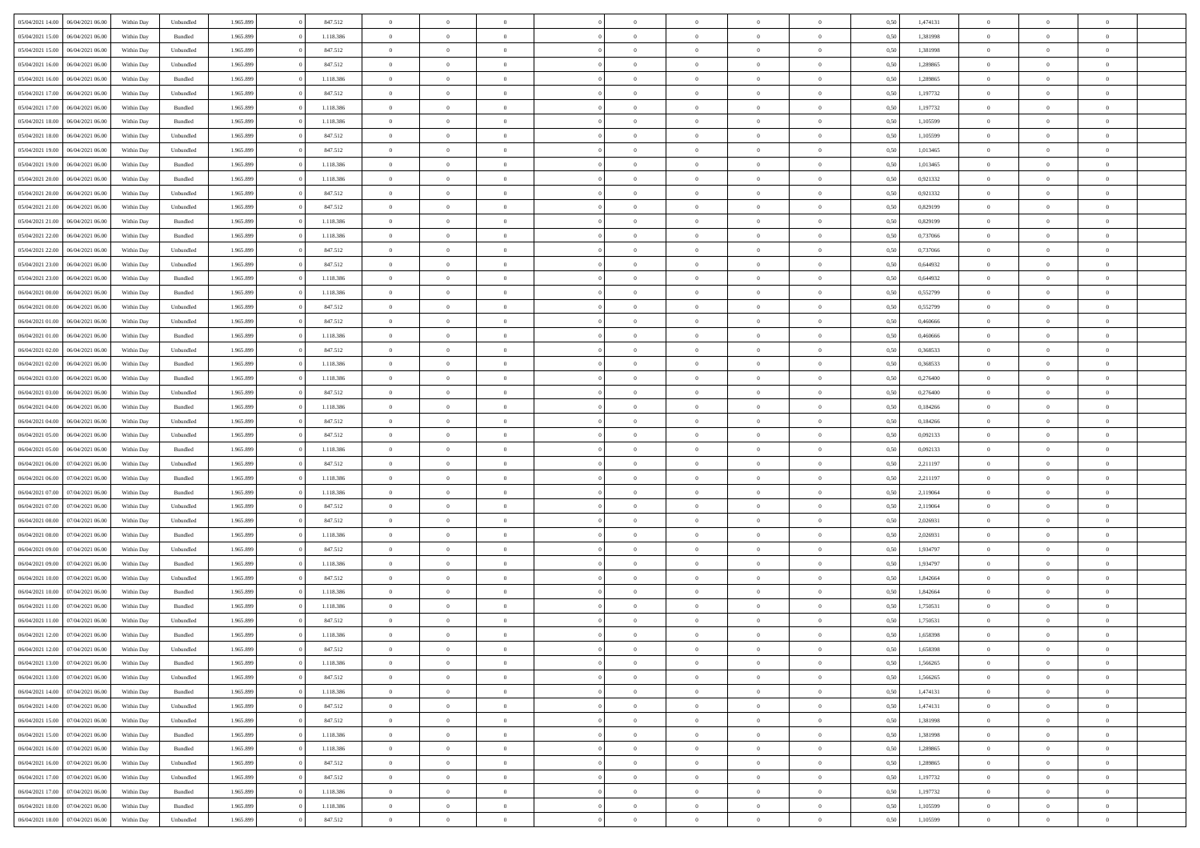| 05/04/2021 14:00                  | 06/04/2021 06:00 | Within Day | Unbundled | 1.965.899 | 847.512   | $\overline{0}$ | $\theta$       |                | $\Omega$       | $\Omega$       | $\theta$       | $\theta$       | 0,50 | 1,474131 | $\theta$       | $\overline{0}$ | $\theta$       |  |
|-----------------------------------|------------------|------------|-----------|-----------|-----------|----------------|----------------|----------------|----------------|----------------|----------------|----------------|------|----------|----------------|----------------|----------------|--|
| 05/04/2021 15:00                  | 06/04/2021 06:00 | Within Day | Bundled   | 1.965.899 | 1.118.386 | $\overline{0}$ | $\theta$       | $\overline{0}$ | $\overline{0}$ | $\bf{0}$       | $\overline{0}$ | $\bf{0}$       | 0,50 | 1,381998 | $\theta$       | $\overline{0}$ | $\overline{0}$ |  |
| 05/04/2021 15:00                  | 06/04/2021 06:00 | Within Day | Unbundled | 1.965.899 | 847.512   | $\overline{0}$ | $\bf{0}$       | $\overline{0}$ | $\bf{0}$       | $\bf{0}$       | $\bf{0}$       | $\mathbf{0}$   | 0,50 | 1,381998 | $\overline{0}$ | $\overline{0}$ | $\overline{0}$ |  |
|                                   |                  |            |           |           |           |                |                |                |                |                |                |                |      |          | $\theta$       |                |                |  |
| 05/04/2021 16:00                  | 06/04/2021 06:00 | Within Dav | Unbundled | 1.965.899 | 847.512   | $\overline{0}$ | $\overline{0}$ | $\overline{0}$ | $\overline{0}$ | $\bf{0}$       | $\overline{0}$ | $\overline{0}$ | 0.50 | 1.289865 |                | $\theta$       | $\overline{0}$ |  |
| 05/04/2021 16:00                  | 06/04/2021 06:00 | Within Day | Bundled   | 1.965.899 | 1.118.386 | $\overline{0}$ | $\theta$       | $\overline{0}$ | $\overline{0}$ | $\bf{0}$       | $\overline{0}$ | $\bf{0}$       | 0,50 | 1,289865 | $\,$ 0 $\,$    | $\overline{0}$ | $\overline{0}$ |  |
| 05/04/2021 17:00                  | 06/04/2021 06:00 | Within Day | Unbundled | 1.965.899 | 847.512   | $\overline{0}$ | $\overline{0}$ | $\overline{0}$ | $\bf{0}$       | $\overline{0}$ | $\overline{0}$ | $\mathbf{0}$   | 0,50 | 1,197732 | $\overline{0}$ | $\overline{0}$ | $\bf{0}$       |  |
| 05/04/2021 17:00                  | 06/04/2021 06:00 | Within Dav | Bundled   | 1.965.899 | 1.118.386 | $\overline{0}$ | $\overline{0}$ | $\overline{0}$ | $\overline{0}$ | $\overline{0}$ | $\overline{0}$ | $\overline{0}$ | 0.50 | 1,197732 | $\theta$       | $\overline{0}$ | $\overline{0}$ |  |
|                                   |                  |            |           |           |           |                |                |                |                |                |                |                |      |          |                |                |                |  |
| 05/04/2021 18:00                  | 06/04/2021 06:00 | Within Day | Bundled   | 1.965.899 | 1.118.386 | $\overline{0}$ | $\theta$       | $\overline{0}$ | $\overline{0}$ | $\bf{0}$       | $\overline{0}$ | $\bf{0}$       | 0,50 | 1,105599 | $\,$ 0 $\,$    | $\theta$       | $\overline{0}$ |  |
| 05/04/2021 18:00                  | 06/04/2021 06:00 | Within Day | Unbundled | 1.965.899 | 847.512   | $\overline{0}$ | $\overline{0}$ | $\overline{0}$ | $\bf{0}$       | $\bf{0}$       | $\bf{0}$       | $\mathbf{0}$   | 0,50 | 1,105599 | $\,0\,$        | $\overline{0}$ | $\overline{0}$ |  |
| 05/04/2021 19:00                  | 06/04/2021 06:00 | Within Dav | Unbundled | 1.965.899 | 847.512   | $\overline{0}$ | $\overline{0}$ | $\overline{0}$ | $\overline{0}$ | $\overline{0}$ | $\overline{0}$ | $\overline{0}$ | 0.50 | 1,013465 | $\theta$       | $\overline{0}$ | $\overline{0}$ |  |
| 05/04/2021 19:00                  | 06/04/2021 06:00 |            | Bundled   | 1.965.899 | 1.118.386 | $\overline{0}$ | $\theta$       | $\overline{0}$ | $\overline{0}$ | $\bf{0}$       | $\overline{0}$ |                |      | 1,013465 | $\,$ 0 $\,$    | $\overline{0}$ | $\overline{0}$ |  |
|                                   |                  | Within Day |           |           |           |                |                |                |                |                |                | $\bf{0}$       | 0,50 |          |                |                |                |  |
| 05/04/2021 20.00                  | 06/04/2021 06:00 | Within Day | Bundled   | 1.965.899 | 1.118.386 | $\overline{0}$ | $\overline{0}$ | $\overline{0}$ | $\bf{0}$       | $\bf{0}$       | $\bf{0}$       | $\mathbf{0}$   | 0,50 | 0,921332 | $\overline{0}$ | $\overline{0}$ | $\bf{0}$       |  |
| 05/04/2021 20:00                  | 06/04/2021 06:00 | Within Day | Unbundled | 1.965.899 | 847.512   | $\overline{0}$ | $\overline{0}$ | $\overline{0}$ | $\overline{0}$ | $\bf{0}$       | $\overline{0}$ | $\overline{0}$ | 0.50 | 0.921332 | $\theta$       | $\theta$       | $\overline{0}$ |  |
| 05/04/2021 21:00                  | 06/04/2021 06:00 | Within Day | Unbundled | 1.965.899 | 847.512   | $\overline{0}$ | $\theta$       | $\overline{0}$ | $\overline{0}$ | $\bf{0}$       | $\overline{0}$ | $\bf{0}$       | 0,50 | 0,829199 | $\,$ 0 $\,$    | $\overline{0}$ | $\overline{0}$ |  |
|                                   |                  |            |           |           |           |                |                |                |                |                |                |                |      |          |                |                |                |  |
| 05/04/2021 21.00                  | 06/04/2021 06:00 | Within Day | Bundled   | 1.965.899 | 1.118.386 | $\overline{0}$ | $\overline{0}$ | $\overline{0}$ | $\bf{0}$       | $\overline{0}$ | $\overline{0}$ | $\mathbf{0}$   | 0,50 | 0,829199 | $\overline{0}$ | $\overline{0}$ | $\bf{0}$       |  |
| 05/04/2021 22.00                  | 06/04/2021 06:00 | Within Dav | Bundled   | 1.965.899 | 1.118.386 | $\overline{0}$ | $\overline{0}$ | $\overline{0}$ | $\overline{0}$ | $\overline{0}$ | $\overline{0}$ | $\overline{0}$ | 0.50 | 0,737066 | $\theta$       | $\overline{0}$ | $\overline{0}$ |  |
| 05/04/2021 22.00                  | 06/04/2021 06:00 | Within Day | Unbundled | 1.965.899 | 847.512   | $\overline{0}$ | $\theta$       | $\overline{0}$ | $\overline{0}$ | $\bf{0}$       | $\overline{0}$ | $\bf{0}$       | 0,50 | 0,737066 | $\,$ 0 $\,$    | $\overline{0}$ | $\overline{0}$ |  |
| 05/04/2021 23.00                  | 06/04/2021 06:00 | Within Day | Unbundled | 1.965.899 | 847.512   | $\overline{0}$ | $\overline{0}$ | $\overline{0}$ | $\bf{0}$       | $\bf{0}$       | $\bf{0}$       | $\mathbf{0}$   | 0,50 | 0,644932 | $\bf{0}$       | $\overline{0}$ | $\bf{0}$       |  |
|                                   |                  |            |           |           |           |                |                |                |                |                |                |                |      |          |                |                |                |  |
| 05/04/2021 23:00                  | 06/04/2021 06:00 | Within Day | Bundled   | 1.965.899 | 1.118.386 | $\overline{0}$ | $\overline{0}$ | $\overline{0}$ | $\overline{0}$ | $\overline{0}$ | $\overline{0}$ | $\overline{0}$ | 0.50 | 0,644932 | $\theta$       | $\overline{0}$ | $\overline{0}$ |  |
| 06/04/2021 00:00                  | 06/04/2021 06:00 | Within Day | Bundled   | 1.965.899 | 1.118.386 | $\overline{0}$ | $\theta$       | $\overline{0}$ | $\overline{0}$ | $\bf{0}$       | $\overline{0}$ | $\bf{0}$       | 0,50 | 0,552799 | $\,$ 0 $\,$    | $\overline{0}$ | $\overline{0}$ |  |
| 06/04/2021 00:00                  | 06/04/2021 06:00 | Within Day | Unbundled | 1.965.899 | 847.512   | $\overline{0}$ | $\overline{0}$ | $\overline{0}$ | $\bf{0}$       | $\bf{0}$       | $\bf{0}$       | $\mathbf{0}$   | 0,50 | 0,552799 | $\overline{0}$ | $\overline{0}$ | $\bf{0}$       |  |
| 06/04/2021 01:00                  | 06/04/2021 06:00 | Within Day | Unbundled | 1.965.899 | 847.512   | $\overline{0}$ | $\overline{0}$ | $\overline{0}$ | $\overline{0}$ | $\overline{0}$ | $\overline{0}$ | $\overline{0}$ | 0.50 | 0.460666 | $\theta$       | $\overline{0}$ | $\overline{0}$ |  |
|                                   |                  |            |           |           |           |                |                |                |                |                |                |                |      |          |                |                |                |  |
| 06/04/2021 01:00                  | 06/04/2021 06:00 | Within Day | Bundled   | 1.965.899 | 1.118.386 | $\overline{0}$ | $\theta$       | $\overline{0}$ | $\overline{0}$ | $\bf{0}$       | $\overline{0}$ | $\,$ 0 $\,$    | 0,50 | 0,460666 | $\,$ 0 $\,$    | $\overline{0}$ | $\overline{0}$ |  |
| 06/04/2021 02:00                  | 06/04/2021 06:00 | Within Day | Unbundled | 1.965.899 | 847.512   | $\overline{0}$ | $\overline{0}$ | $\overline{0}$ | $\bf{0}$       | $\overline{0}$ | $\overline{0}$ | $\mathbf{0}$   | 0,50 | 0,368533 | $\overline{0}$ | $\overline{0}$ | $\bf{0}$       |  |
| 06/04/2021 02:00                  | 06/04/2021 06:00 | Within Dav | Bundled   | 1.965.899 | 1.118.386 | $\overline{0}$ | $\overline{0}$ | $\overline{0}$ | $\overline{0}$ | $\overline{0}$ | $\overline{0}$ | $\overline{0}$ | 0.50 | 0,368533 | $\theta$       | $\overline{0}$ | $\overline{0}$ |  |
| 06/04/2021 03:00                  | 06/04/2021 06:00 | Within Day | Bundled   | 1.965.899 | 1.118.386 | $\overline{0}$ | $\theta$       | $\overline{0}$ | $\overline{0}$ | $\bf{0}$       | $\overline{0}$ | $\bf{0}$       | 0,50 | 0,276400 | $\,$ 0 $\,$    | $\overline{0}$ | $\overline{0}$ |  |
|                                   |                  |            |           |           |           |                |                |                |                |                |                |                |      |          |                |                |                |  |
| 06/04/2021 03:00                  | 06/04/2021 06:00 | Within Day | Unbundled | 1.965.899 | 847.512   | $\overline{0}$ | $\overline{0}$ | $\overline{0}$ | $\bf{0}$       | $\bf{0}$       | $\bf{0}$       | $\mathbf{0}$   | 0,50 | 0,276400 | $\,0\,$        | $\overline{0}$ | $\overline{0}$ |  |
| 06/04/2021 04:00                  | 06/04/2021 06:00 | Within Day | Bundled   | 1.965.899 | 1.118.386 | $\overline{0}$ | $\overline{0}$ | $\overline{0}$ | $\overline{0}$ | $\overline{0}$ | $\overline{0}$ | $\overline{0}$ | 0.50 | 0,184266 | $\theta$       | $\overline{0}$ | $\overline{0}$ |  |
| 06/04/2021 04:00                  | 06/04/2021 06:00 | Within Day | Unbundled | 1.965.899 | 847.512   | $\overline{0}$ | $\overline{0}$ | $\overline{0}$ | $\overline{0}$ | $\,$ 0         | $\overline{0}$ | $\bf{0}$       | 0,50 | 0,184266 | $\,$ 0 $\,$    | $\overline{0}$ | $\overline{0}$ |  |
| 06/04/2021 05:00                  | 06/04/2021 06:00 | Within Day | Unbundled | 1.965.899 | 847.512   | $\overline{0}$ | $\overline{0}$ | $\overline{0}$ | $\bf{0}$       | $\bf{0}$       | $\bf{0}$       | $\bf{0}$       | 0,50 | 0,092133 | $\bf{0}$       | $\overline{0}$ | $\bf{0}$       |  |
|                                   |                  |            |           |           |           | $\overline{0}$ | $\Omega$       |                | $\Omega$       | $\Omega$       |                |                |      |          |                | $\theta$       | $\theta$       |  |
| 06/04/2021 05:00                  | 06/04/2021 06:00 | Within Day | Bundled   | 1.965.899 | 1.118.386 |                |                | $\overline{0}$ |                |                | $\overline{0}$ | $\overline{0}$ | 0,50 | 0,092133 | $\,0\,$        |                |                |  |
| 06/04/2021 06:00                  | 07/04/2021 06:00 | Within Day | Unbundled | 1.965.899 | 847.512   | $\overline{0}$ | $\theta$       | $\overline{0}$ | $\overline{0}$ | $\bf{0}$       | $\overline{0}$ | $\bf{0}$       | 0,50 | 2,211197 | $\,$ 0 $\,$    | $\overline{0}$ | $\overline{0}$ |  |
| 06/04/2021 06:00                  | 07/04/2021 06:00 | Within Day | Bundled   | 1.965.899 | 1.118.386 | $\overline{0}$ | $\overline{0}$ | $\overline{0}$ | $\bf{0}$       | $\overline{0}$ | $\overline{0}$ | $\mathbf{0}$   | 0,50 | 2,211197 | $\bf{0}$       | $\overline{0}$ | $\bf{0}$       |  |
| 06/04/2021 07:00                  | 07/04/2021 06:00 | Within Day | Bundled   | 1.965.899 | 1.118.386 | $\overline{0}$ | $\Omega$       | $\overline{0}$ | $\Omega$       | $\overline{0}$ | $\overline{0}$ | $\overline{0}$ | 0.50 | 2,119064 | $\,$ 0 $\,$    | $\theta$       | $\theta$       |  |
| 06/04/2021 07:00                  | 07/04/2021 06:00 |            |           | 1.965.899 | 847.512   | $\overline{0}$ | $\theta$       | $\overline{0}$ | $\overline{0}$ | $\bf{0}$       | $\overline{0}$ |                |      | 2,119064 | $\,$ 0 $\,$    | $\overline{0}$ | $\overline{0}$ |  |
|                                   |                  | Within Day | Unbundled |           |           |                |                |                |                |                |                | $\bf{0}$       | 0,50 |          |                |                |                |  |
| 06/04/2021 08:00                  | 07/04/2021 06.00 | Within Day | Unbundled | 1.965.899 | 847.512   | $\overline{0}$ | $\overline{0}$ | $\overline{0}$ | $\bf{0}$       | $\bf{0}$       | $\bf{0}$       | $\mathbf{0}$   | 0,50 | 2,026931 | $\bf{0}$       | $\overline{0}$ | $\bf{0}$       |  |
| 06/04/2021 08:00                  | 07/04/2021 06:00 | Within Day | Bundled   | 1.965.899 | 1.118.386 | $\overline{0}$ | $\Omega$       | $\overline{0}$ | $\Omega$       | $\overline{0}$ | $\overline{0}$ | $\overline{0}$ | 0.50 | 2.026931 | $\,$ 0 $\,$    | $\theta$       | $\theta$       |  |
| 06/04/2021 09:00                  | 07/04/2021 06:00 | Within Day | Unbundled | 1.965.899 | 847.512   | $\overline{0}$ | $\overline{0}$ | $\overline{0}$ | $\overline{0}$ | $\,$ 0         | $\overline{0}$ | $\bf{0}$       | 0,50 | 1,934797 | $\,$ 0 $\,$    | $\overline{0}$ | $\overline{0}$ |  |
|                                   |                  |            |           |           |           |                |                |                |                |                |                |                |      |          |                |                |                |  |
| 06/04/2021 09:00                  | 07/04/2021 06.00 | Within Day | Bundled   | 1.965.899 | 1.118.386 | $\overline{0}$ | $\overline{0}$ | $\overline{0}$ | $\bf{0}$       | $\bf{0}$       | $\bf{0}$       | $\mathbf{0}$   | 0,50 | 1,934797 | $\bf{0}$       | $\overline{0}$ | $\bf{0}$       |  |
| 06/04/2021 10:00                  | 07/04/2021 06.00 | Within Day | Unbundled | 1.965.899 | 847.512   | $\overline{0}$ | $\Omega$       | $\overline{0}$ | $\Omega$       | $\overline{0}$ | $\overline{0}$ | $\overline{0}$ | 0,50 | 1,842664 | $\,0\,$        | $\theta$       | $\overline{0}$ |  |
| 06/04/2021 10:00                  | 07/04/2021 06:00 | Within Day | Bundled   | 1.965.899 | 1.118.386 | $\overline{0}$ | $\overline{0}$ | $\overline{0}$ | $\overline{0}$ | $\,$ 0         | $\overline{0}$ | $\bf{0}$       | 0,50 | 1,842664 | $\,$ 0 $\,$    | $\overline{0}$ | $\overline{0}$ |  |
| 06/04/2021 11:00                  | 07/04/2021 06.00 | Within Day | Bundled   | 1.965.899 | 1.118.386 | $\overline{0}$ | $\overline{0}$ | $\overline{0}$ | $\bf{0}$       | $\bf{0}$       | $\overline{0}$ | $\mathbf{0}$   | 0,50 | 1,750531 | $\overline{0}$ | $\overline{0}$ | $\bf{0}$       |  |
| 06/04/2021 11:00                  | 07/04/2021 06:00 | Within Day | Unbundled | 1.965.899 | 847.512   | $\overline{0}$ | $\Omega$       | $\Omega$       | $\Omega$       | $\Omega$       | $\Omega$       | $\overline{0}$ | 0.50 | 1,750531 | $\theta$       | $\theta$       | $\theta$       |  |
|                                   |                  |            |           |           |           |                |                |                |                |                |                |                |      |          |                |                |                |  |
| 06/04/2021 12:00                  | 07/04/2021 06:00 | Within Day | Bundled   | 1.965.899 | 1.118.386 | $\overline{0}$ | $\overline{0}$ | $\overline{0}$ | $\bf{0}$       | $\,$ 0         | $\bf{0}$       | $\bf{0}$       | 0,50 | 1,658398 | $\,0\,$        | $\,$ 0 $\,$    | $\overline{0}$ |  |
| 06/04/2021 12:00 07/04/2021 06:00 |                  | Within Day | Unbundled | 1.965.899 | 847.512   | $\overline{0}$ | $\bf{0}$       |                |                | $\bf{0}$       |                |                | 0,50 | 1,658398 | $\bf{0}$       | $\overline{0}$ |                |  |
| 06/04/2021 13:00                  | 07/04/2021 06:00 | Within Day | Bundled   | 1.965.899 | 1.118.386 | $\overline{0}$ | $\overline{0}$ | $\overline{0}$ | $\Omega$       | $\overline{0}$ | $\overline{0}$ | $\overline{0}$ | 0,50 | 1.566265 | $\theta$       | $\theta$       | $\theta$       |  |
| 06/04/2021 13:00                  | 07/04/2021 06:00 | Within Day | Unbundled | 1.965.899 | 847.512   | $\overline{0}$ | $\bf{0}$       | $\overline{0}$ | $\bf{0}$       | $\,$ 0 $\,$    | $\overline{0}$ | $\,$ 0 $\,$    | 0,50 | 1,566265 | $\,$ 0 $\,$    | $\,$ 0 $\,$    | $\,$ 0         |  |
|                                   |                  |            |           |           |           |                |                |                |                |                |                |                |      |          |                |                |                |  |
| 06/04/2021 14:00                  | 07/04/2021 06:00 | Within Day | Bundled   | 1.965.899 | 1.118.386 | $\overline{0}$ | $\overline{0}$ | $\overline{0}$ | $\overline{0}$ | $\overline{0}$ | $\overline{0}$ | $\mathbf{0}$   | 0,50 | 1,474131 | $\overline{0}$ | $\bf{0}$       | $\overline{0}$ |  |
| 06/04/2021 14:00                  | 07/04/2021 06:00 | Within Day | Unbundled | 1.965.899 | 847.512   | $\overline{0}$ | $\overline{0}$ | $\overline{0}$ | $\Omega$       | $\overline{0}$ | $\overline{0}$ | $\overline{0}$ | 0,50 | 1,474131 | $\overline{0}$ | $\overline{0}$ | $\overline{0}$ |  |
| 06/04/2021 15:00                  | 07/04/2021 06:00 | Within Day | Unbundled | 1.965.899 | 847.512   | $\overline{0}$ | $\,$ 0         | $\overline{0}$ | $\bf{0}$       | $\,$ 0 $\,$    | $\overline{0}$ | $\,$ 0 $\,$    | 0,50 | 1,381998 | $\,$ 0 $\,$    | $\overline{0}$ | $\,$ 0         |  |
| 06/04/2021 15:00                  | 07/04/2021 06:00 | Within Day | Bundled   | 1.965.899 | 1.118.386 | $\overline{0}$ | $\overline{0}$ | $\overline{0}$ | $\overline{0}$ | $\overline{0}$ | $\overline{0}$ | $\mathbf{0}$   | 0,50 | 1,381998 | $\overline{0}$ | $\overline{0}$ | $\overline{0}$ |  |
|                                   |                  |            |           |           |           |                |                |                |                |                |                |                |      |          |                |                |                |  |
| 06/04/2021 16:00                  | 07/04/2021 06:00 | Within Day | Bundled   | 1.965.899 | 1.118.386 | $\overline{0}$ | $\overline{0}$ | $\overline{0}$ | $\overline{0}$ | $\overline{0}$ | $\overline{0}$ | $\overline{0}$ | 0.50 | 1,289865 | $\overline{0}$ | $\theta$       | $\overline{0}$ |  |
| 06/04/2021 16:00                  | 07/04/2021 06:00 | Within Day | Unbundled | 1.965.899 | 847.512   | $\overline{0}$ | $\,$ 0         | $\overline{0}$ | $\bf{0}$       | $\bf{0}$       | $\bf{0}$       | $\bf{0}$       | 0,50 | 1,289865 | $\,$ 0 $\,$    | $\overline{0}$ | $\overline{0}$ |  |
| 06/04/2021 17:00                  | 07/04/2021 06:00 | Within Day | Unbundled | 1.965.899 | 847.512   | $\overline{0}$ | $\bf{0}$       | $\overline{0}$ | $\overline{0}$ | $\overline{0}$ | $\overline{0}$ | $\mathbf{0}$   | 0,50 | 1,197732 | $\overline{0}$ | $\overline{0}$ | $\bf{0}$       |  |
| 06/04/2021 17:00                  | 07/04/2021 06:00 | Within Day | Bundled   | 1.965.899 | 1.118.386 | $\overline{0}$ | $\overline{0}$ | $\overline{0}$ | $\Omega$       | $\overline{0}$ | $\overline{0}$ | $\overline{0}$ | 0.50 | 1,197732 | $\overline{0}$ | $\overline{0}$ | $\overline{0}$ |  |
|                                   |                  |            |           |           |           |                |                |                |                |                |                |                |      |          |                |                |                |  |
| 06/04/2021 18:00                  | 07/04/2021 06:00 | Within Day | Bundled   | 1.965.899 | 1.118.386 | $\overline{0}$ | $\bf{0}$       | $\overline{0}$ | $\bf{0}$       | $\bf{0}$       | $\bf{0}$       | $\mathbf{0}$   | 0,50 | 1,105599 | $\,$ 0 $\,$    | $\,$ 0 $\,$    | $\bf{0}$       |  |
| 06/04/2021 18:00 07/04/2021 06:00 |                  | Within Day | Unbundled | 1.965.899 | 847.512   | $\overline{0}$ | $\overline{0}$ | $\overline{0}$ | $\overline{0}$ | $\overline{0}$ | $\bf{0}$       | $\mathbf{0}$   | 0,50 | 1,105599 | $\overline{0}$ | $\bf{0}$       | $\overline{0}$ |  |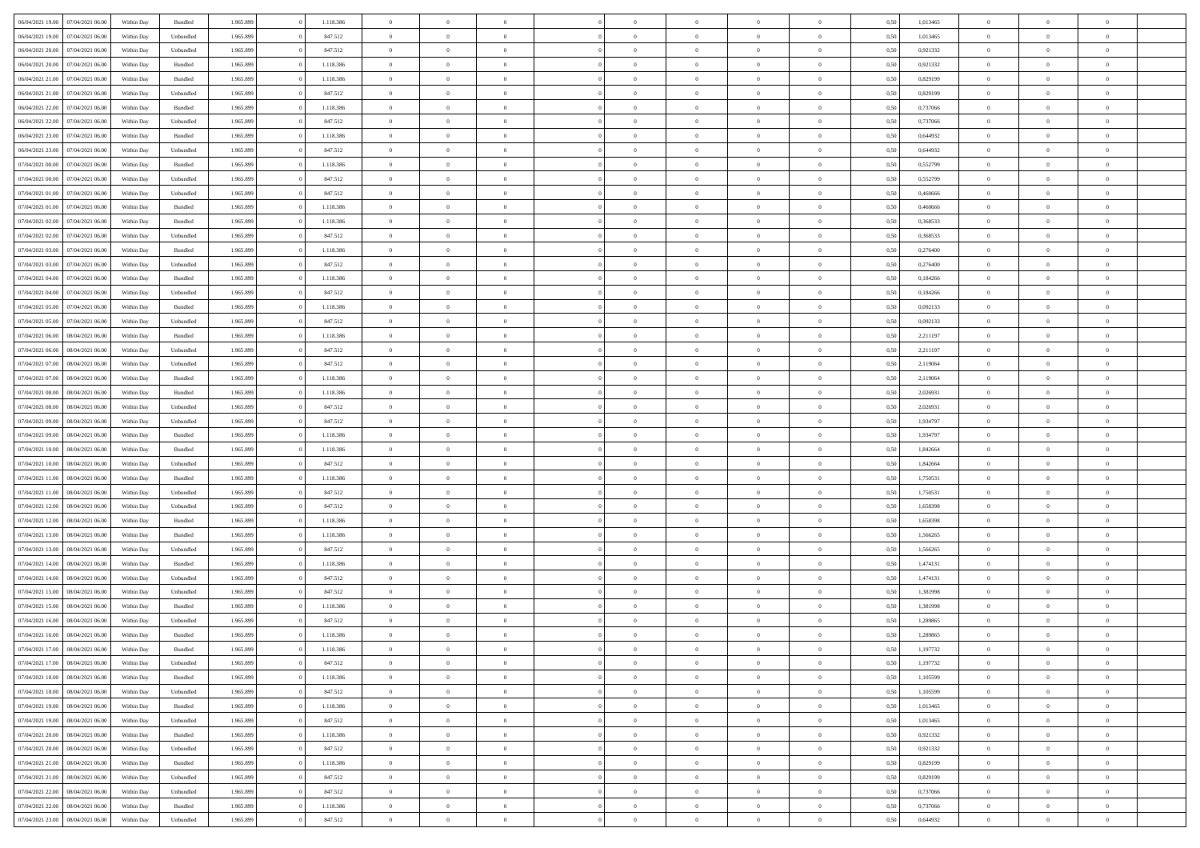| 06/04/2021 19:00                  | 07/04/2021 06:00 | Within Day | Bundled            | 1.965.899 | 1.118.386 | $\overline{0}$ | $\Omega$       |                | $\Omega$       | $\Omega$       | $\Omega$       | $\theta$       | 0,50 | 1,013465 | $\theta$       | $\theta$       | $\theta$       |  |
|-----------------------------------|------------------|------------|--------------------|-----------|-----------|----------------|----------------|----------------|----------------|----------------|----------------|----------------|------|----------|----------------|----------------|----------------|--|
| 06/04/2021 19:00                  | 07/04/2021 06:00 | Within Day | Unbundled          | 1.965.899 | 847.512   | $\overline{0}$ | $\theta$       | $\overline{0}$ | $\overline{0}$ | $\bf{0}$       | $\overline{0}$ | $\bf{0}$       | 0,50 | 1,013465 | $\theta$       | $\theta$       | $\overline{0}$ |  |
| 06/04/2021 20.00                  | 07/04/2021 06.00 | Within Day | Unbundled          | 1.965.899 | 847.512   | $\overline{0}$ | $\overline{0}$ | $\overline{0}$ | $\bf{0}$       | $\bf{0}$       | $\bf{0}$       | $\mathbf{0}$   | 0,50 | 0,921332 | $\overline{0}$ | $\overline{0}$ | $\overline{0}$ |  |
| 06/04/2021 20:00                  | 07/04/2021 06:00 | Within Dav | Bundled            | 1.965.899 | 1.118.386 | $\overline{0}$ | $\overline{0}$ | $\overline{0}$ | $\overline{0}$ | $\bf{0}$       | $\overline{0}$ | $\overline{0}$ | 0.50 | 0.921332 | $\theta$       | $\theta$       | $\overline{0}$ |  |
|                                   |                  |            |                    |           |           |                |                |                |                |                |                |                |      |          |                |                |                |  |
| 06/04/2021 21:00                  | 07/04/2021 06:00 | Within Day | Bundled            | 1.965.899 | 1.118.386 | $\overline{0}$ | $\theta$       | $\overline{0}$ | $\overline{0}$ | $\bf{0}$       | $\overline{0}$ | $\bf{0}$       | 0,50 | 0,829199 | $\theta$       | $\overline{0}$ | $\overline{0}$ |  |
| 06/04/2021 21:00                  | 07/04/2021 06.00 | Within Day | Unbundled          | 1.965.899 | 847.512   | $\overline{0}$ | $\overline{0}$ | $\overline{0}$ | $\bf{0}$       | $\overline{0}$ | $\overline{0}$ | $\mathbf{0}$   | 0,50 | 0,829199 | $\bf{0}$       | $\overline{0}$ | $\bf{0}$       |  |
| 06/04/2021 22:00                  | 07/04/2021 06.00 | Within Dav | Bundled            | 1.965.899 | 1.118.386 | $\overline{0}$ | $\overline{0}$ | $\overline{0}$ | $\overline{0}$ | $\overline{0}$ | $\overline{0}$ | $\overline{0}$ | 0.50 | 0,737066 | $\theta$       | $\overline{0}$ | $\overline{0}$ |  |
| 06/04/2021 22.00                  | 07/04/2021 06:00 | Within Day | Unbundled          | 1.965.899 | 847.512   | $\overline{0}$ | $\theta$       | $\overline{0}$ | $\overline{0}$ | $\bf{0}$       | $\overline{0}$ | $\bf{0}$       | 0,50 | 0,737066 | $\theta$       | $\theta$       | $\overline{0}$ |  |
| 06/04/2021 23.00                  | 07/04/2021 06.00 | Within Day | Bundled            | 1.965.899 | 1.118.386 | $\overline{0}$ | $\overline{0}$ | $\overline{0}$ | $\bf{0}$       | $\bf{0}$       | $\bf{0}$       | $\mathbf{0}$   | 0,50 | 0,644932 | $\,0\,$        | $\overline{0}$ | $\overline{0}$ |  |
| 06/04/2021 23:00                  | 07/04/2021 06.00 | Within Dav | Unbundled          | 1.965.899 | 847.512   | $\overline{0}$ | $\overline{0}$ | $\overline{0}$ | $\overline{0}$ | $\overline{0}$ | $\overline{0}$ | $\overline{0}$ | 0.50 | 0,644932 | $\theta$       | $\overline{0}$ | $\overline{0}$ |  |
|                                   |                  |            |                    |           |           |                |                |                |                |                |                |                |      |          |                |                |                |  |
| 07/04/2021 00:00                  | 07/04/2021 06:00 | Within Day | Bundled            | 1.965.899 | 1.118.386 | $\overline{0}$ | $\theta$       | $\overline{0}$ | $\overline{0}$ | $\bf{0}$       | $\overline{0}$ | $\bf{0}$       | 0,50 | 0,552799 | $\,$ 0 $\,$    | $\overline{0}$ | $\overline{0}$ |  |
| 07/04/2021 00:00                  | 07/04/2021 06.00 | Within Day | Unbundled          | 1.965.899 | 847.512   | $\overline{0}$ | $\overline{0}$ | $\overline{0}$ | $\bf{0}$       | $\bf{0}$       | $\bf{0}$       | $\mathbf{0}$   | 0,50 | 0,552799 | $\bf{0}$       | $\overline{0}$ | $\bf{0}$       |  |
| 07/04/2021 01:00                  | 07/04/2021 06:00 | Within Dav | Unbundled          | 1.965.899 | 847.512   | $\overline{0}$ | $\overline{0}$ | $\overline{0}$ | $\overline{0}$ | $\bf{0}$       | $\overline{0}$ | $\overline{0}$ | 0.50 | 0.460666 | $\theta$       | $\theta$       | $\overline{0}$ |  |
| 07/04/2021 01:00                  | 07/04/2021 06:00 | Within Day | Bundled            | 1.965.899 | 1.118.386 | $\overline{0}$ | $\theta$       | $\overline{0}$ | $\overline{0}$ | $\bf{0}$       | $\overline{0}$ | $\bf{0}$       | 0,50 | 0,460666 | $\theta$       | $\overline{0}$ | $\overline{0}$ |  |
| 07/04/2021 02:00                  | 07/04/2021 06:00 | Within Day | Bundled            | 1.965.899 | 1.118.386 | $\overline{0}$ | $\overline{0}$ | $\overline{0}$ | $\bf{0}$       | $\overline{0}$ | $\overline{0}$ | $\mathbf{0}$   | 0,50 | 0,368533 | $\bf{0}$       | $\overline{0}$ | $\bf{0}$       |  |
|                                   | 07/04/2021 06:00 | Within Dav | Unbundled          | 1.965.899 | 847.512   | $\overline{0}$ | $\overline{0}$ | $\overline{0}$ |                | $\overline{0}$ | $\overline{0}$ | $\overline{0}$ | 0.50 | 0,368533 | $\theta$       | $\overline{0}$ | $\overline{0}$ |  |
| 07/04/2021 02:00                  |                  |            |                    |           |           |                |                |                | $\overline{0}$ |                |                |                |      |          |                |                |                |  |
| 07/04/2021 03:00                  | 07/04/2021 06:00 | Within Day | Bundled            | 1.965.899 | 1.118.386 | $\overline{0}$ | $\theta$       | $\overline{0}$ | $\overline{0}$ | $\bf{0}$       | $\overline{0}$ | $\bf{0}$       | 0,50 | 0,276400 | $\,$ 0 $\,$    | $\theta$       | $\overline{0}$ |  |
| 07/04/2021 03:00                  | 07/04/2021 06.00 | Within Day | Unbundled          | 1.965.899 | 847.512   | $\overline{0}$ | $\overline{0}$ | $\overline{0}$ | $\bf{0}$       | $\bf{0}$       | $\bf{0}$       | $\mathbf{0}$   | 0,50 | 0,276400 | $\,0\,$        | $\overline{0}$ | $\overline{0}$ |  |
| 07/04/2021 04:00                  | 07/04/2021 06.00 | Within Day | Bundled            | 1.965.899 | 1.118.386 | $\overline{0}$ | $\overline{0}$ | $\overline{0}$ | $\overline{0}$ | $\overline{0}$ | $\overline{0}$ | $\overline{0}$ | 0.50 | 0,184266 | $\theta$       | $\overline{0}$ | $\overline{0}$ |  |
| 07/04/2021 04:00                  | 07/04/2021 06:00 | Within Day | Unbundled          | 1.965.899 | 847.512   | $\overline{0}$ | $\theta$       | $\overline{0}$ | $\overline{0}$ | $\bf{0}$       | $\overline{0}$ | $\bf{0}$       | 0,50 | 0,184266 | $\,$ 0 $\,$    | $\overline{0}$ | $\overline{0}$ |  |
| 07/04/2021 05:00                  | 07/04/2021 06:00 | Within Day | Bundled            | 1.965.899 | 1.118.386 | $\overline{0}$ | $\overline{0}$ | $\overline{0}$ | $\bf{0}$       | $\bf{0}$       | $\bf{0}$       | $\mathbf{0}$   | 0,50 | 0,092133 | $\bf{0}$       | $\overline{0}$ | $\overline{0}$ |  |
| 07/04/2021 05:00                  | 07/04/2021 06:00 | Within Day | Unbundled          | 1.965.899 | 847.512   | $\overline{0}$ | $\overline{0}$ | $\overline{0}$ | $\overline{0}$ | $\bf{0}$       | $\overline{0}$ | $\overline{0}$ | 0.50 | 0,092133 | $\theta$       | $\overline{0}$ | $\overline{0}$ |  |
|                                   |                  |            |                    |           |           |                |                |                |                |                |                |                |      |          |                |                |                |  |
| 07/04/2021 06:00                  | 08/04/2021 06:00 | Within Day | Bundled            | 1.965.899 | 1.118.386 | $\overline{0}$ | $\theta$       | $\overline{0}$ | $\overline{0}$ | $\bf{0}$       | $\overline{0}$ | $\bf{0}$       | 0,50 | 2,211197 | $\,$ 0 $\,$    | $\overline{0}$ | $\overline{0}$ |  |
| 07/04/2021 06.00                  | 08/04/2021 06:00 | Within Day | Unbundled          | 1.965.899 | 847.512   | $\overline{0}$ | $\bf{0}$       | $\overline{0}$ | $\bf{0}$       | $\overline{0}$ | $\overline{0}$ | $\mathbf{0}$   | 0,50 | 2,211197 | $\overline{0}$ | $\overline{0}$ | $\bf{0}$       |  |
| 07/04/2021 07:00                  | 08/04/2021 06:00 | Within Dav | Unbundled          | 1.965.899 | 847.512   | $\overline{0}$ | $\overline{0}$ | $\overline{0}$ | $\overline{0}$ | $\overline{0}$ | $\overline{0}$ | $\overline{0}$ | 0.50 | 2,119064 | $\theta$       | $\overline{0}$ | $\overline{0}$ |  |
| 07/04/2021 07:00                  | 08/04/2021 06:00 | Within Day | Bundled            | 1.965.899 | 1.118.386 | $\overline{0}$ | $\theta$       | $\overline{0}$ | $\overline{0}$ | $\bf{0}$       | $\overline{0}$ | $\bf{0}$       | 0,50 | 2,119064 | $\theta$       | $\theta$       | $\overline{0}$ |  |
| 07/04/2021 08:00                  | 08/04/2021 06:00 | Within Day | Bundled            | 1.965.899 | 1.118.386 | $\overline{0}$ | $\overline{0}$ | $\overline{0}$ | $\bf{0}$       | $\bf{0}$       | $\bf{0}$       | $\bf{0}$       | 0,50 | 2,026931 | $\,0\,$        | $\overline{0}$ | $\overline{0}$ |  |
| 07/04/2021 08:00                  | 08/04/2021 06:00 | Within Day | Unbundled          | 1.965.899 | 847.512   | $\overline{0}$ | $\overline{0}$ | $\overline{0}$ | $\overline{0}$ | $\overline{0}$ | $\overline{0}$ | $\overline{0}$ | 0.50 | 2,026931 | $\theta$       | $\overline{0}$ | $\overline{0}$ |  |
|                                   |                  |            |                    |           |           |                |                |                |                |                |                |                |      |          |                |                |                |  |
| 07/04/2021 09:00                  | 08/04/2021 06:00 | Within Day | Unbundled          | 1.965.899 | 847.512   | $\overline{0}$ | $\theta$       | $\overline{0}$ | $\overline{0}$ | $\bf{0}$       | $\overline{0}$ | $\bf{0}$       | 0,50 | 1,934797 | $\,$ 0 $\,$    | $\overline{0}$ | $\overline{0}$ |  |
| 07/04/2021 09:00                  | 08/04/2021 06:00 | Within Day | Bundled            | 1.965.899 | 1.118.386 | $\overline{0}$ | $\overline{0}$ | $\overline{0}$ | $\bf{0}$       | $\bf{0}$       | $\bf{0}$       | $\bf{0}$       | 0,50 | 1,934797 | $\overline{0}$ | $\overline{0}$ | $\bf{0}$       |  |
| 07/04/2021 10:00                  | 08/04/2021 06:00 | Within Day | Bundled            | 1.965.899 | 1.118.386 | $\overline{0}$ | $\Omega$       | $\overline{0}$ | $\Omega$       | $\Omega$       | $\overline{0}$ | $\overline{0}$ | 0,50 | 1,842664 | $\,0\,$        | $\theta$       | $\theta$       |  |
| 07/04/2021 10:00                  | 08/04/2021 06:00 | Within Day | Unbundled          | 1.965.899 | 847.512   | $\overline{0}$ | $\theta$       | $\overline{0}$ | $\overline{0}$ | $\bf{0}$       | $\overline{0}$ | $\bf{0}$       | 0,50 | 1,842664 | $\,$ 0 $\,$    | $\theta$       | $\overline{0}$ |  |
| 07/04/2021 11:00                  | 08/04/2021 06:00 | Within Day | Bundled            | 1.965.899 | 1.118.386 | $\overline{0}$ | $\overline{0}$ | $\overline{0}$ | $\bf{0}$       | $\bf{0}$       | $\overline{0}$ | $\mathbf{0}$   | 0,50 | 1,750531 | $\overline{0}$ | $\overline{0}$ | $\bf{0}$       |  |
| 07/04/2021 11:00                  | 08/04/2021 06:00 | Within Day | Unbundled          | 1.965.899 | 847.512   | $\overline{0}$ | $\Omega$       | $\Omega$       | $\Omega$       | $\bf{0}$       | $\overline{0}$ | $\overline{0}$ | 0.50 | 1,750531 | $\,0\,$        | $\theta$       | $\theta$       |  |
|                                   |                  |            |                    |           |           | $\overline{0}$ | $\theta$       | $\overline{0}$ |                | $\bf{0}$       | $\overline{0}$ |                |      |          |                |                | $\overline{0}$ |  |
| 07/04/2021 12:00                  | 08/04/2021 06:00 | Within Day | Unbundled          | 1.965.899 | 847.512   |                |                |                | $\overline{0}$ |                |                | $\bf{0}$       | 0,50 | 1,658398 | $\,$ 0 $\,$    | $\overline{0}$ |                |  |
| 07/04/2021 12:00                  | 08/04/2021 06:00 | Within Day | Bundled            | 1.965.899 | 1.118.386 | $\overline{0}$ | $\overline{0}$ | $\overline{0}$ | $\bf{0}$       | $\bf{0}$       | $\bf{0}$       | $\bf{0}$       | 0,50 | 1,658398 | $\,0\,$        | $\overline{0}$ | $\overline{0}$ |  |
| 07/04/2021 13:00                  | 08/04/2021 06:00 | Within Day | Bundled            | 1.965.899 | 1.118.386 | $\overline{0}$ | $\Omega$       | $\overline{0}$ | $\Omega$       | $\overline{0}$ | $\overline{0}$ | $\overline{0}$ | 0.50 | 1.566265 | $\,0\,$        | $\theta$       | $\theta$       |  |
| 07/04/2021 13:00                  | 08/04/2021 06:00 | Within Day | Unbundled          | 1.965.899 | 847.512   | $\overline{0}$ | $\theta$       | $\overline{0}$ | $\overline{0}$ | $\,$ 0         | $\overline{0}$ | $\bf{0}$       | 0,50 | 1,566265 | $\,$ 0 $\,$    | $\overline{0}$ | $\overline{0}$ |  |
| 07/04/2021 14:00                  | 08/04/2021 06:00 | Within Day | Bundled            | 1.965.899 | 1.118.386 | $\overline{0}$ | $\overline{0}$ | $\overline{0}$ | $\bf{0}$       | $\bf{0}$       | $\bf{0}$       | $\mathbf{0}$   | 0,50 | 1,474131 | $\overline{0}$ | $\overline{0}$ | $\overline{0}$ |  |
| 07/04/2021 14:00                  | 08/04/2021 06:00 | Within Day | Unbundled          | 1.965.899 | 847.512   | $\overline{0}$ | $\Omega$       | $\overline{0}$ | $\Omega$       | $\overline{0}$ | $\overline{0}$ | $\overline{0}$ | 0,50 | 1,474131 | $\,0\,$        | $\theta$       | $\theta$       |  |
| 07/04/2021 15:00                  | 08/04/2021 06:00 | Within Day | Unbundled          | 1.965.899 | 847.512   | $\overline{0}$ | $\theta$       | $\overline{0}$ | $\overline{0}$ | $\,$ 0         | $\overline{0}$ | $\bf{0}$       | 0,50 | 1,381998 | $\,$ 0 $\,$    | $\overline{0}$ | $\overline{0}$ |  |
|                                   |                  |            |                    |           |           |                |                |                |                |                |                |                |      |          |                |                |                |  |
| 07/04/2021 15:00                  | 08/04/2021 06:00 | Within Day | Bundled            | 1.965.899 | 1.118.386 | $\overline{0}$ | $\bf{0}$       | $\overline{0}$ | $\bf{0}$       | $\bf{0}$       | $\bf{0}$       | $\mathbf{0}$   | 0,50 | 1,381998 | $\overline{0}$ | $\overline{0}$ | $\bf{0}$       |  |
| 07/04/2021 16:00                  | 08/04/2021 06:00 | Within Day | Unbundled          | 1.965.899 | 847.512   | $\overline{0}$ | $\Omega$       | $\Omega$       | $\Omega$       | $\Omega$       | $\Omega$       | $\overline{0}$ | 0.50 | 1,289865 | $\theta$       | $\theta$       | $\theta$       |  |
| 07/04/2021 16:00                  | 08/04/2021 06:00 | Within Day | Bundled            | 1.965.899 | 1.118.386 | $\overline{0}$ | $\,$ 0 $\,$    | $\overline{0}$ | $\bf{0}$       | $\,$ 0         | $\bf{0}$       | $\bf{0}$       | 0,50 | 1,289865 | $\,0\,$        | $\overline{0}$ | $\overline{0}$ |  |
| 07/04/2021 17:00 08/04/2021 06:00 |                  | Within Day | $\mathbf B$ undled | 1.965.899 | 1.118.386 | $\overline{0}$ | $\bf{0}$       |                |                |                |                |                | 0,50 | 1,197732 | $\bf{0}$       | $\overline{0}$ |                |  |
| 07/04/2021 17:00                  | 08/04/2021 06:00 | Within Day | Unbundled          | 1.965.899 | 847.512   | $\overline{0}$ | $\overline{0}$ | $\overline{0}$ | $\Omega$       | $\overline{0}$ | $\overline{0}$ | $\overline{0}$ | 0,50 | 1,197732 | $\theta$       | $\theta$       | $\theta$       |  |
| 07/04/2021 18:00                  | 08/04/2021 06:00 | Within Day | Bundled            | 1.965.899 | 1.118.386 | $\overline{0}$ | $\bf{0}$       | $\overline{0}$ | $\bf{0}$       | $\,$ 0 $\,$    | $\overline{0}$ | $\,$ 0 $\,$    | 0,50 | 1,105599 | $\,$ 0 $\,$    | $\,$ 0 $\,$    | $\,$ 0         |  |
| 07/04/2021 18:00                  | 08/04/2021 06:00 | Within Day | Unbundled          | 1.965.899 | 847.512   | $\overline{0}$ | $\overline{0}$ | $\overline{0}$ | $\overline{0}$ | $\overline{0}$ | $\overline{0}$ | $\mathbf{0}$   | 0,50 | 1,105599 | $\overline{0}$ | $\bf{0}$       | $\bf{0}$       |  |
|                                   |                  |            |                    |           |           |                |                |                |                |                |                |                |      |          |                |                |                |  |
| 07/04/2021 19:00                  | 08/04/2021 06:00 | Within Day | $\mathbf B$ undled | 1.965.899 | 1.118.386 | $\overline{0}$ | $\overline{0}$ | $\overline{0}$ | $\Omega$       | $\overline{0}$ | $\overline{0}$ | $\overline{0}$ | 0,50 | 1,013465 | $\overline{0}$ | $\overline{0}$ | $\overline{0}$ |  |
| 07/04/2021 19:00                  | 08/04/2021 06:00 | Within Day | Unbundled          | 1.965.899 | 847.512   | $\overline{0}$ | $\,$ 0         | $\overline{0}$ | $\bf{0}$       | $\,$ 0 $\,$    | $\overline{0}$ | $\,$ 0 $\,$    | 0,50 | 1,013465 | $\,$ 0 $\,$    | $\overline{0}$ | $\overline{0}$ |  |
| 07/04/2021 20.00                  | 08/04/2021 06:00 | Within Day | Bundled            | 1.965.899 | 1.118.386 | $\overline{0}$ | $\overline{0}$ | $\overline{0}$ | $\overline{0}$ | $\overline{0}$ | $\overline{0}$ | $\mathbf{0}$   | 0,50 | 0,921332 | $\overline{0}$ | $\overline{0}$ | $\bf{0}$       |  |
| 07/04/2021 20:00                  | 08/04/2021 06:00 | Within Day | Unbundled          | 1.965.899 | 847.512   | $\overline{0}$ | $\overline{0}$ | $\overline{0}$ | $\overline{0}$ | $\overline{0}$ | $\overline{0}$ | $\bf{0}$       | 0.50 | 0,921332 | $\overline{0}$ | $\theta$       | $\overline{0}$ |  |
| 07/04/2021 21:00                  | 08/04/2021 06:00 | Within Day | Bundled            | 1.965.899 | 1.118.386 | $\overline{0}$ | $\,$ 0         | $\overline{0}$ | $\bf{0}$       | $\bf{0}$       | $\bf{0}$       | $\bf{0}$       | 0,50 | 0,829199 | $\,$ 0 $\,$    | $\overline{0}$ | $\overline{0}$ |  |
| 07/04/2021 21:00                  | 08/04/2021 06:00 | Within Day | Unbundled          | 1.965.899 | 847.512   | $\overline{0}$ | $\bf{0}$       | $\overline{0}$ | $\overline{0}$ | $\overline{0}$ | $\overline{0}$ | $\mathbf{0}$   | 0,50 | 0,829199 | $\overline{0}$ | $\overline{0}$ | $\bf{0}$       |  |
|                                   |                  |            |                    |           |           |                |                |                |                |                |                |                |      |          |                |                |                |  |
| 07/04/2021 22.00                  | 08/04/2021 06:00 | Within Day | Unbundled          | 1.965.899 | 847.512   | $\overline{0}$ | $\overline{0}$ | $\overline{0}$ | $\Omega$       | $\overline{0}$ | $\overline{0}$ | $\overline{0}$ | 0.50 | 0,737066 | $\overline{0}$ | $\overline{0}$ | $\overline{0}$ |  |
| 07/04/2021 22.00                  | 08/04/2021 06:00 | Within Day | Bundled            | 1.965.899 | 1.118.386 | $\overline{0}$ | $\bf{0}$       | $\overline{0}$ | $\overline{0}$ | $\bf{0}$       | $\bf{0}$       | $\mathbf{0}$   | 0,50 | 0,737066 | $\,$ 0 $\,$    | $\,$ 0 $\,$    | $\bf{0}$       |  |
| 07/04/2021 23.00                  | 08/04/2021 06:00 | Within Day | Unbundled          | 1.965.899 | 847.512   | $\overline{0}$ | $\bf{0}$       | $\overline{0}$ | $\overline{0}$ | $\bf{0}$       | $\bf{0}$       | $\bf{0}$       | 0,50 | 0,644932 | $\overline{0}$ | $\overline{0}$ | $\bf{0}$       |  |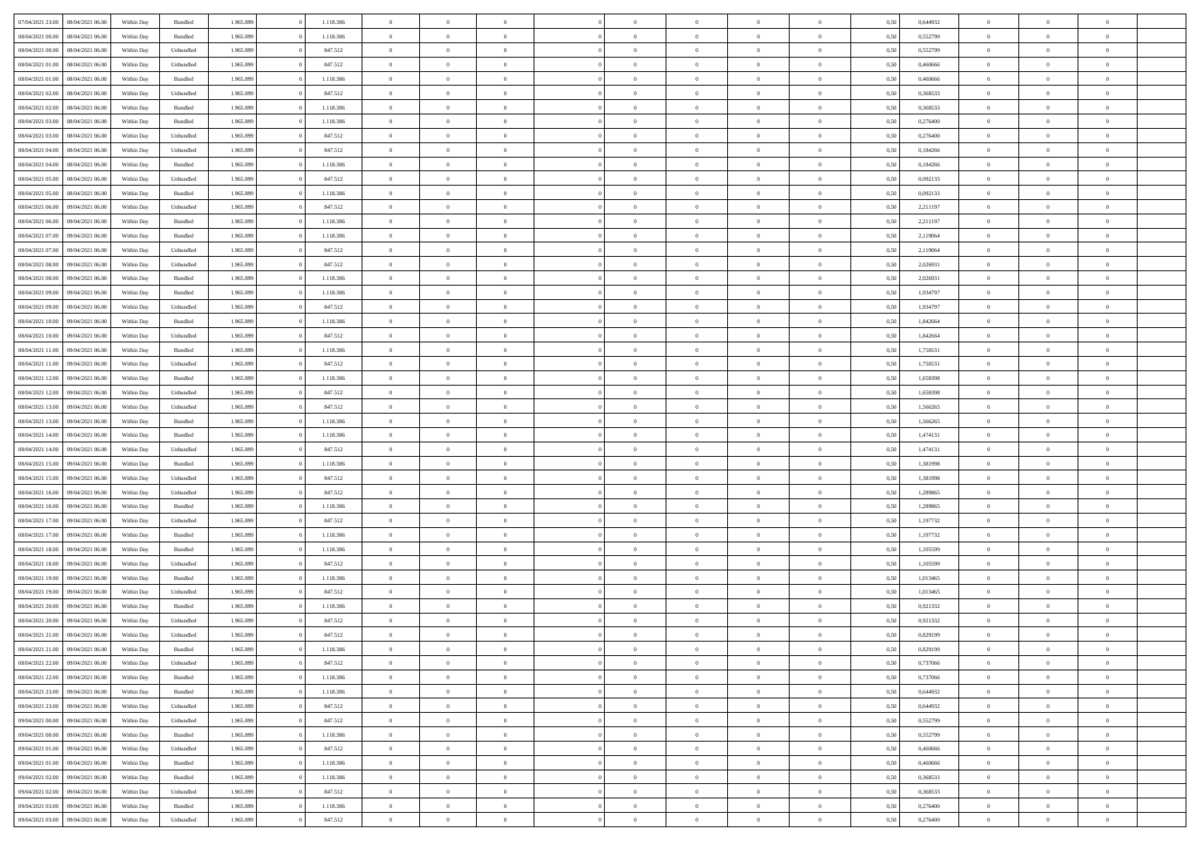|                  |                  |            |                    |           |           | $\overline{0}$ |                |                |                | $\Omega$       | $\theta$       | $\theta$       |      |          | $\theta$       | $\overline{0}$ | $\theta$       |  |
|------------------|------------------|------------|--------------------|-----------|-----------|----------------|----------------|----------------|----------------|----------------|----------------|----------------|------|----------|----------------|----------------|----------------|--|
| 07/04/2021 23:00 | 08/04/2021 06:00 | Within Day | Bundled            | 1.965.899 | 1.118.386 |                | $\theta$       |                | $\Omega$       |                |                |                | 0,50 | 0,644932 |                |                |                |  |
| 08/04/2021 00:00 | 08/04/2021 06:00 | Within Day | Bundled            | 1.965.899 | 1.118.386 | $\overline{0}$ | $\overline{0}$ | $\overline{0}$ | $\overline{0}$ | $\bf{0}$       | $\overline{0}$ | $\bf{0}$       | 0,50 | 0,552799 | $\theta$       | $\overline{0}$ | $\overline{0}$ |  |
| 08/04/2021 00:00 | 08/04/2021 06:00 | Within Day | Unbundled          | 1.965.899 | 847.512   | $\overline{0}$ | $\overline{0}$ | $\overline{0}$ | $\bf{0}$       | $\bf{0}$       | $\bf{0}$       | $\mathbf{0}$   | 0,50 | 0,552799 | $\overline{0}$ | $\overline{0}$ | $\overline{0}$ |  |
| 08/04/2021 01:00 | 08/04/2021 06:00 | Within Dav | Unbundled          | 1.965.899 | 847.512   | $\overline{0}$ | $\overline{0}$ | $\overline{0}$ | $\overline{0}$ | $\bf{0}$       | $\overline{0}$ | $\overline{0}$ | 0.50 | 0.460666 | $\theta$       | $\overline{0}$ | $\overline{0}$ |  |
|                  |                  |            |                    |           |           |                |                |                |                |                |                |                |      |          |                |                |                |  |
| 08/04/2021 01:00 | 08/04/2021 06:00 | Within Day | Bundled            | 1.965.899 | 1.118.386 | $\overline{0}$ | $\theta$       | $\overline{0}$ | $\overline{0}$ | $\bf{0}$       | $\overline{0}$ | $\bf{0}$       | 0,50 | 0,460666 | $\,$ 0 $\,$    | $\overline{0}$ | $\overline{0}$ |  |
| 08/04/2021 02:00 | 08/04/2021 06:00 | Within Day | Unbundled          | 1.965.899 | 847.512   | $\overline{0}$ | $\overline{0}$ | $\overline{0}$ | $\bf{0}$       | $\overline{0}$ | $\overline{0}$ | $\mathbf{0}$   | 0,50 | 0,368533 | $\overline{0}$ | $\overline{0}$ | $\bf{0}$       |  |
| 08/04/2021 02:00 | 08/04/2021 06:00 | Within Dav | Bundled            | 1.965.899 | 1.118.386 | $\overline{0}$ | $\overline{0}$ | $\overline{0}$ | $\overline{0}$ | $\overline{0}$ | $\overline{0}$ | $\overline{0}$ | 0.50 | 0,368533 | $\theta$       | $\overline{0}$ | $\overline{0}$ |  |
| 08/04/2021 03:00 | 08/04/2021 06:00 | Within Day | Bundled            | 1.965.899 | 1.118.386 | $\overline{0}$ | $\theta$       | $\overline{0}$ | $\overline{0}$ | $\bf{0}$       | $\overline{0}$ | $\bf{0}$       | 0,50 | 0,276400 | $\,$ 0 $\,$    | $\theta$       | $\overline{0}$ |  |
| 08/04/2021 03:00 | 08/04/2021 06:00 | Within Day | Unbundled          | 1.965.899 | 847.512   | $\overline{0}$ | $\overline{0}$ | $\overline{0}$ | $\bf{0}$       | $\bf{0}$       | $\bf{0}$       | $\mathbf{0}$   | 0,50 | 0,276400 | $\,0\,$        | $\overline{0}$ | $\overline{0}$ |  |
|                  |                  |            |                    |           |           |                |                |                |                |                |                |                |      |          |                |                |                |  |
| 08/04/2021 04:00 | 08/04/2021 06:00 | Within Dav | Unbundled          | 1.965.899 | 847.512   | $\overline{0}$ | $\overline{0}$ | $\overline{0}$ | $\overline{0}$ | $\overline{0}$ | $\overline{0}$ | $\overline{0}$ | 0.50 | 0,184266 | $\theta$       | $\overline{0}$ | $\overline{0}$ |  |
| 08/04/2021 04:00 | 08/04/2021 06:00 | Within Day | Bundled            | 1.965.899 | 1.118.386 | $\overline{0}$ | $\theta$       | $\overline{0}$ | $\overline{0}$ | $\bf{0}$       | $\overline{0}$ | $\bf{0}$       | 0,50 | 0,184266 | $\,$ 0 $\,$    | $\overline{0}$ | $\overline{0}$ |  |
| 08/04/2021 05:00 | 08/04/2021 06:00 | Within Day | Unbundled          | 1.965.899 | 847.512   | $\overline{0}$ | $\overline{0}$ | $\overline{0}$ | $\bf{0}$       | $\bf{0}$       | $\bf{0}$       | $\mathbf{0}$   | 0,50 | 0,092133 | $\bf{0}$       | $\overline{0}$ | $\bf{0}$       |  |
| 08/04/2021 05:00 | 08/04/2021 06:00 | Within Dav | Bundled            | 1.965.899 | 1.118.386 | $\overline{0}$ | $\overline{0}$ | $\overline{0}$ | $\overline{0}$ | $\overline{0}$ | $\overline{0}$ | $\overline{0}$ | 0.50 | 0,092133 | $\theta$       | $\theta$       | $\overline{0}$ |  |
| 08/04/2021 06:00 | 09/04/2021 06:00 | Within Day | Unbundled          | 1.965.899 | 847.512   | $\overline{0}$ | $\theta$       | $\overline{0}$ | $\overline{0}$ | $\bf{0}$       | $\overline{0}$ | $\bf{0}$       | 0,50 | 2,211197 | $\,$ 0 $\,$    | $\overline{0}$ | $\overline{0}$ |  |
|                  |                  |            |                    |           |           |                |                |                |                |                |                |                |      |          |                |                |                |  |
| 08/04/2021 06:00 | 09/04/2021 06:00 | Within Day | Bundled            | 1.965.899 | 1.118.386 | $\overline{0}$ | $\overline{0}$ | $\overline{0}$ | $\bf{0}$       | $\overline{0}$ | $\overline{0}$ | $\mathbf{0}$   | 0,50 | 2,211197 | $\bf{0}$       | $\overline{0}$ | $\bf{0}$       |  |
| 08/04/2021 07:00 | 09/04/2021 06:00 | Within Dav | Bundled            | 1.965.899 | 1.118.386 | $\overline{0}$ | $\overline{0}$ | $\overline{0}$ | $\overline{0}$ | $\overline{0}$ | $\overline{0}$ | $\overline{0}$ | 0.50 | 2,119064 | $\overline{0}$ | $\overline{0}$ | $\overline{0}$ |  |
| 08/04/2021 07:00 | 09/04/2021 06:00 | Within Day | Unbundled          | 1.965.899 | 847.512   | $\overline{0}$ | $\theta$       | $\overline{0}$ | $\overline{0}$ | $\bf{0}$       | $\overline{0}$ | $\bf{0}$       | 0,50 | 2,119064 | $\,$ 0 $\,$    | $\overline{0}$ | $\overline{0}$ |  |
| 08/04/2021 08:00 | 09/04/2021 06:00 | Within Day | Unbundled          | 1.965.899 | 847.512   | $\overline{0}$ | $\overline{0}$ | $\overline{0}$ | $\bf{0}$       | $\bf{0}$       | $\bf{0}$       | $\mathbf{0}$   | 0,50 | 2,026931 | $\bf{0}$       | $\overline{0}$ | $\bf{0}$       |  |
| 08/04/2021 08:00 | 09/04/2021 06:00 | Within Dav | Bundled            | 1.965.899 | 1.118.386 | $\overline{0}$ | $\overline{0}$ | $\overline{0}$ | $\overline{0}$ | $\overline{0}$ | $\overline{0}$ | $\overline{0}$ | 0.50 | 2,026931 | $\theta$       | $\overline{0}$ | $\overline{0}$ |  |
|                  |                  |            |                    |           |           |                |                |                |                |                |                |                |      |          |                |                |                |  |
| 08/04/2021 09:00 | 09/04/2021 06:00 | Within Day | Bundled            | 1.965.899 | 1.118.386 | $\overline{0}$ | $\theta$       | $\overline{0}$ | $\overline{0}$ | $\bf{0}$       | $\overline{0}$ | $\bf{0}$       | 0,50 | 1,934797 | $\,$ 0 $\,$    | $\overline{0}$ | $\overline{0}$ |  |
| 08/04/2021 09:00 | 09/04/2021 06:00 | Within Day | Unbundled          | 1.965.899 | 847.512   | $\overline{0}$ | $\overline{0}$ | $\overline{0}$ | $\bf{0}$       | $\bf{0}$       | $\bf{0}$       | $\mathbf{0}$   | 0,50 | 1,934797 | $\overline{0}$ | $\overline{0}$ | $\bf{0}$       |  |
| 08/04/2021 10:00 | 09/04/2021 06:00 | Within Day | Bundled            | 1.965.899 | 1.118.386 | $\overline{0}$ | $\overline{0}$ | $\overline{0}$ | $\overline{0}$ | $\overline{0}$ | $\overline{0}$ | $\overline{0}$ | 0.50 | 1.842664 | $\theta$       | $\overline{0}$ | $\overline{0}$ |  |
| 08/04/2021 10:00 | 09/04/2021 06:00 | Within Day | Unbundled          | 1.965.899 | 847.512   | $\overline{0}$ | $\theta$       | $\overline{0}$ | $\overline{0}$ | $\bf{0}$       | $\overline{0}$ | $\,$ 0 $\,$    | 0,50 | 1,842664 | $\,$ 0 $\,$    | $\overline{0}$ | $\overline{0}$ |  |
| 08/04/2021 11:00 | 09/04/2021 06:00 | Within Day | Bundled            | 1.965.899 | 1.118.386 | $\overline{0}$ | $\overline{0}$ | $\overline{0}$ | $\bf{0}$       | $\overline{0}$ | $\overline{0}$ | $\mathbf{0}$   | 0,50 | 1,750531 | $\overline{0}$ | $\overline{0}$ | $\bf{0}$       |  |
|                  |                  |            |                    |           |           |                |                |                |                |                |                |                |      |          |                |                |                |  |
| 08/04/2021 11:00 | 09/04/2021 06:00 | Within Dav | Unbundled          | 1.965.899 | 847.512   | $\overline{0}$ | $\overline{0}$ | $\overline{0}$ | $\overline{0}$ | $\overline{0}$ | $\overline{0}$ | $\overline{0}$ | 0.50 | 1,750531 | $\overline{0}$ | $\overline{0}$ | $\overline{0}$ |  |
| 08/04/2021 12:00 | 09/04/2021 06:00 | Within Day | Bundled            | 1.965.899 | 1.118.386 | $\overline{0}$ | $\theta$       | $\overline{0}$ | $\overline{0}$ | $\bf{0}$       | $\overline{0}$ | $\bf{0}$       | 0,50 | 1,658398 | $\,$ 0 $\,$    | $\overline{0}$ | $\overline{0}$ |  |
| 08/04/2021 12:00 | 09/04/2021 06:00 | Within Day | Unbundled          | 1.965.899 | 847.512   | $\overline{0}$ | $\overline{0}$ | $\overline{0}$ | $\bf{0}$       | $\bf{0}$       | $\bf{0}$       | $\mathbf{0}$   | 0,50 | 1,658398 | $\,0\,$        | $\overline{0}$ | $\overline{0}$ |  |
| 08/04/2021 13:00 | 09/04/2021 06:00 | Within Day | Unbundled          | 1.965.899 | 847.512   | $\overline{0}$ | $\overline{0}$ | $\overline{0}$ | $\overline{0}$ | $\overline{0}$ | $\overline{0}$ | $\overline{0}$ | 0.50 | 1,566265 | $\theta$       | $\overline{0}$ | $\overline{0}$ |  |
| 08/04/2021 13:00 | 09/04/2021 06:00 | Within Day | Bundled            | 1.965.899 | 1.118.386 | $\overline{0}$ | $\overline{0}$ | $\overline{0}$ | $\overline{0}$ | $\,$ 0         | $\overline{0}$ | $\bf{0}$       | 0,50 | 1,566265 | $\,$ 0 $\,$    | $\overline{0}$ | $\overline{0}$ |  |
|                  |                  |            |                    |           |           |                |                |                |                |                |                |                |      |          |                |                |                |  |
| 08/04/2021 14:00 | 09/04/2021 06:00 | Within Day | Bundled            | 1.965.899 | 1.118.386 | $\overline{0}$ | $\overline{0}$ | $\overline{0}$ | $\bf{0}$       | $\bf{0}$       | $\bf{0}$       | $\mathbf{0}$   | 0,50 | 1,474131 | $\overline{0}$ | $\overline{0}$ | $\bf{0}$       |  |
| 08/04/2021 14:00 | 09/04/2021 06:00 | Within Day | Unbundled          | 1.965.899 | 847.512   | $\overline{0}$ | $\theta$       | $\overline{0}$ | $\Omega$       | $\Omega$       | $\overline{0}$ | $\overline{0}$ | 0,50 | 1,474131 | $\,0\,$        | $\theta$       | $\theta$       |  |
| 08/04/2021 15:00 | 09/04/2021 06:00 | Within Day | Bundled            | 1.965.899 | 1.118.386 | $\overline{0}$ | $\overline{0}$ | $\overline{0}$ | $\overline{0}$ | $\bf{0}$       | $\overline{0}$ | $\bf{0}$       | 0,50 | 1,381998 | $\,$ 0 $\,$    | $\overline{0}$ | $\overline{0}$ |  |
| 08/04/2021 15:00 | 09/04/2021 06:00 | Within Day | Unbundled          | 1.965.899 | 847.512   | $\overline{0}$ | $\overline{0}$ | $\overline{0}$ | $\bf{0}$       | $\overline{0}$ | $\overline{0}$ | $\mathbf{0}$   | 0,50 | 1,381998 | $\overline{0}$ | $\overline{0}$ | $\bf{0}$       |  |
| 08/04/2021 16:00 | 09/04/2021 06:00 | Within Day | Unbundled          | 1.965.899 | 847.512   | $\overline{0}$ | $\overline{0}$ | $\overline{0}$ | $\Omega$       | $\overline{0}$ | $\overline{0}$ | $\overline{0}$ | 0.50 | 1,289865 | $\,$ 0 $\,$    | $\theta$       | $\theta$       |  |
| 08/04/2021 16:00 | 09/04/2021 06:00 |            |                    | 1.965.899 | 1.118.386 | $\overline{0}$ | $\theta$       | $\overline{0}$ | $\overline{0}$ | $\bf{0}$       | $\overline{0}$ |                |      | 1,289865 | $\,$ 0 $\,$    | $\overline{0}$ | $\overline{0}$ |  |
|                  |                  | Within Day | Bundled            |           |           |                |                |                |                |                |                | $\bf{0}$       | 0,50 |          |                |                |                |  |
| 08/04/2021 17:00 | 09/04/2021 06:00 | Within Day | Unbundled          | 1.965.899 | 847.512   | $\overline{0}$ | $\bf{0}$       | $\overline{0}$ | $\bf{0}$       | $\bf{0}$       | $\bf{0}$       | $\mathbf{0}$   | 0,50 | 1,197732 | $\bf{0}$       | $\overline{0}$ | $\bf{0}$       |  |
| 08/04/2021 17:00 | 09/04/2021 06:00 | Within Day | Bundled            | 1.965.899 | 1.118.386 | $\overline{0}$ | $\Omega$       | $\overline{0}$ | $\Omega$       | $\overline{0}$ | $\overline{0}$ | $\overline{0}$ | 0.50 | 1,197732 | $\,$ 0 $\,$    | $\theta$       | $\theta$       |  |
| 08/04/2021 18:00 | 09/04/2021 06:00 | Within Day | Bundled            | 1.965.899 | 1.118.386 | $\overline{0}$ | $\,$ 0         | $\overline{0}$ | $\overline{0}$ | $\,$ 0         | $\overline{0}$ | $\bf{0}$       | 0,50 | 1,105599 | $\,$ 0 $\,$    | $\overline{0}$ | $\overline{0}$ |  |
| 08/04/2021 18:00 | 09/04/2021 06:00 | Within Day | Unbundled          | 1.965.899 | 847.512   | $\overline{0}$ | $\overline{0}$ | $\overline{0}$ | $\bf{0}$       | $\bf{0}$       | $\overline{0}$ | $\mathbf{0}$   | 0,50 | 1,105599 | $\overline{0}$ | $\overline{0}$ | $\bf{0}$       |  |
|                  | 09/04/2021 06:00 |            |                    | 1.965.899 | 1.118.386 | $\overline{0}$ | $\theta$       | $\overline{0}$ | $\Omega$       | $\overline{0}$ | $\overline{0}$ | $\overline{0}$ | 0,50 | 1,013465 | $\,0\,$        | $\theta$       | $\theta$       |  |
| 08/04/2021 19:00 |                  | Within Day | Bundled            |           |           |                |                |                |                |                |                |                |      |          |                |                |                |  |
| 08/04/2021 19:00 | 09/04/2021 06:00 | Within Day | Unbundled          | 1.965.899 | 847.512   | $\overline{0}$ | $\overline{0}$ | $\overline{0}$ | $\overline{0}$ | $\,$ 0         | $\overline{0}$ | $\bf{0}$       | 0,50 | 1,013465 | $\,$ 0 $\,$    | $\overline{0}$ | $\overline{0}$ |  |
| 08/04/2021 20:00 | 09/04/2021 06:00 | Within Day | Bundled            | 1.965.899 | 1.118.386 | $\overline{0}$ | $\overline{0}$ | $\overline{0}$ | $\bf{0}$       | $\bf{0}$       | $\overline{0}$ | $\mathbf{0}$   | 0,50 | 0,921332 | $\overline{0}$ | $\overline{0}$ | $\bf{0}$       |  |
| 08/04/2021 20:00 | 09/04/2021 06:00 | Within Day | Unbundled          | 1.965.899 | 847.512   | $\overline{0}$ | $\Omega$       | $\Omega$       | $\Omega$       | $\Omega$       | $\Omega$       | $\overline{0}$ | 0.50 | 0,921332 | $\theta$       | $\theta$       | $\theta$       |  |
| 08/04/2021 21:00 | 09/04/2021 06:00 | Within Day | Unbundled          | 1.965.899 | 847.512   | $\overline{0}$ | $\overline{0}$ | $\overline{0}$ | $\bf{0}$       | $\,$ 0         | $\bf{0}$       | $\bf{0}$       | 0,50 | 0,829199 | $\,0\,$        | $\,0\,$        | $\overline{0}$ |  |
| 08/04/2021 21:00 | 09/04/2021 06:00 | Within Day | $\mathbf B$ undled | 1.965.899 | 1.118.386 | $\bf{0}$       | $\bf{0}$       |                |                | $\bf{0}$       |                |                | 0,50 | 0,829199 | $\bf{0}$       | $\overline{0}$ |                |  |
|                  |                  |            |                    |           |           |                |                |                |                |                |                |                |      |          |                |                |                |  |
| 08/04/2021 22.00 | 09/04/2021 06:00 | Within Day | Unbundled          | 1.965.899 | 847.512   | $\overline{0}$ | $\overline{0}$ | $\overline{0}$ | $\Omega$       | $\overline{0}$ | $\overline{0}$ | $\overline{0}$ | 0,50 | 0,737066 | $\theta$       | $\theta$       | $\Omega$       |  |
| 08/04/2021 22:00 | 09/04/2021 06:00 | Within Day | Bundled            | 1.965.899 | 1.118.386 | $\overline{0}$ | $\bf{0}$       | $\overline{0}$ | $\bf{0}$       | $\,$ 0 $\,$    | $\overline{0}$ | $\,$ 0 $\,$    | 0,50 | 0,737066 | $\,$ 0 $\,$    | $\,$ 0 $\,$    | $\,$ 0         |  |
| 08/04/2021 23:00 | 09/04/2021 06:00 | Within Day | Bundled            | 1.965.899 | 1.118.386 | $\overline{0}$ | $\overline{0}$ | $\overline{0}$ | $\overline{0}$ | $\overline{0}$ | $\overline{0}$ | $\mathbf{0}$   | 0,50 | 0,644932 | $\overline{0}$ | $\bf{0}$       | $\overline{0}$ |  |
| 08/04/2021 23:00 | 09/04/2021 06:00 | Within Day | Unbundled          | 1.965.899 | 847.512   | $\overline{0}$ | $\overline{0}$ | $\overline{0}$ | $\Omega$       | $\overline{0}$ | $\overline{0}$ | $\overline{0}$ | 0,50 | 0.644932 | $\overline{0}$ | $\overline{0}$ | $\overline{0}$ |  |
| 09/04/2021 00:00 | 09/04/2021 06:00 | Within Day | Unbundled          | 1.965.899 | 847.512   | $\overline{0}$ | $\,$ 0         | $\overline{0}$ | $\bf{0}$       | $\,$ 0 $\,$    | $\overline{0}$ | $\mathbf{0}$   | 0,50 | 0,552799 | $\,$ 0 $\,$    | $\overline{0}$ | $\,$ 0         |  |
|                  |                  |            |                    |           |           |                |                |                |                |                |                |                |      |          |                |                |                |  |
| 09/04/2021 00:00 | 09/04/2021 06:00 | Within Day | Bundled            | 1.965.899 | 1.118.386 | $\overline{0}$ | $\overline{0}$ | $\overline{0}$ | $\overline{0}$ | $\overline{0}$ | $\overline{0}$ | $\mathbf{0}$   | 0,50 | 0,552799 | $\overline{0}$ | $\overline{0}$ | $\overline{0}$ |  |
| 09/04/2021 01:00 | 09/04/2021 06:00 | Within Day | Unbundled          | 1.965.899 | 847.512   | $\overline{0}$ | $\overline{0}$ | $\overline{0}$ | $\overline{0}$ | $\overline{0}$ | $\overline{0}$ | $\bf{0}$       | 0.50 | 0.460666 | $\overline{0}$ | $\theta$       | $\overline{0}$ |  |
| 09/04/2021 01:00 | 09/04/2021 06:00 | Within Day | Bundled            | 1.965.899 | 1.118.386 | $\overline{0}$ | $\,$ 0         | $\overline{0}$ | $\bf{0}$       | $\bf{0}$       | $\bf{0}$       | $\bf{0}$       | 0,50 | 0,460666 | $\,$ 0 $\,$    | $\overline{0}$ | $\overline{0}$ |  |
| 09/04/2021 02:00 | 09/04/2021 06:00 | Within Day | Bundled            | 1.965.899 | 1.118.386 | $\overline{0}$ | $\bf{0}$       | $\overline{0}$ | $\overline{0}$ | $\overline{0}$ | $\overline{0}$ | $\mathbf{0}$   | 0,50 | 0,368533 | $\overline{0}$ | $\overline{0}$ | $\bf{0}$       |  |
| 09/04/2021 02:00 | 09/04/2021 06:00 | Within Day | Unbundled          | 1.965.899 | 847.512   | $\overline{0}$ | $\overline{0}$ | $\overline{0}$ | $\Omega$       | $\overline{0}$ | $\overline{0}$ | $\overline{0}$ | 0.50 | 0,368533 | $\overline{0}$ | $\overline{0}$ | $\overline{0}$ |  |
|                  |                  |            |                    |           |           |                |                |                |                |                |                |                |      |          |                |                |                |  |
| 09/04/2021 03:00 | 09/04/2021 06:00 | Within Day | Bundled            | 1.965.899 | 1.118.386 | $\overline{0}$ | $\bf{0}$       | $\overline{0}$ | $\bf{0}$       | $\bf{0}$       | $\bf{0}$       | $\mathbf{0}$   | 0,50 | 0,276400 | $\,$ 0 $\,$    | $\,$ 0 $\,$    | $\bf{0}$       |  |
| 09/04/2021 03:00 | 09/04/2021 06:00 | Within Day | Unbundled          | 1.965.899 | 847.512   | $\overline{0}$ | $\overline{0}$ | $\overline{0}$ | $\overline{0}$ | $\overline{0}$ | $\bf{0}$       | $\mathbf{0}$   | 0,50 | 0,276400 | $\overline{0}$ | $\bf{0}$       | $\overline{0}$ |  |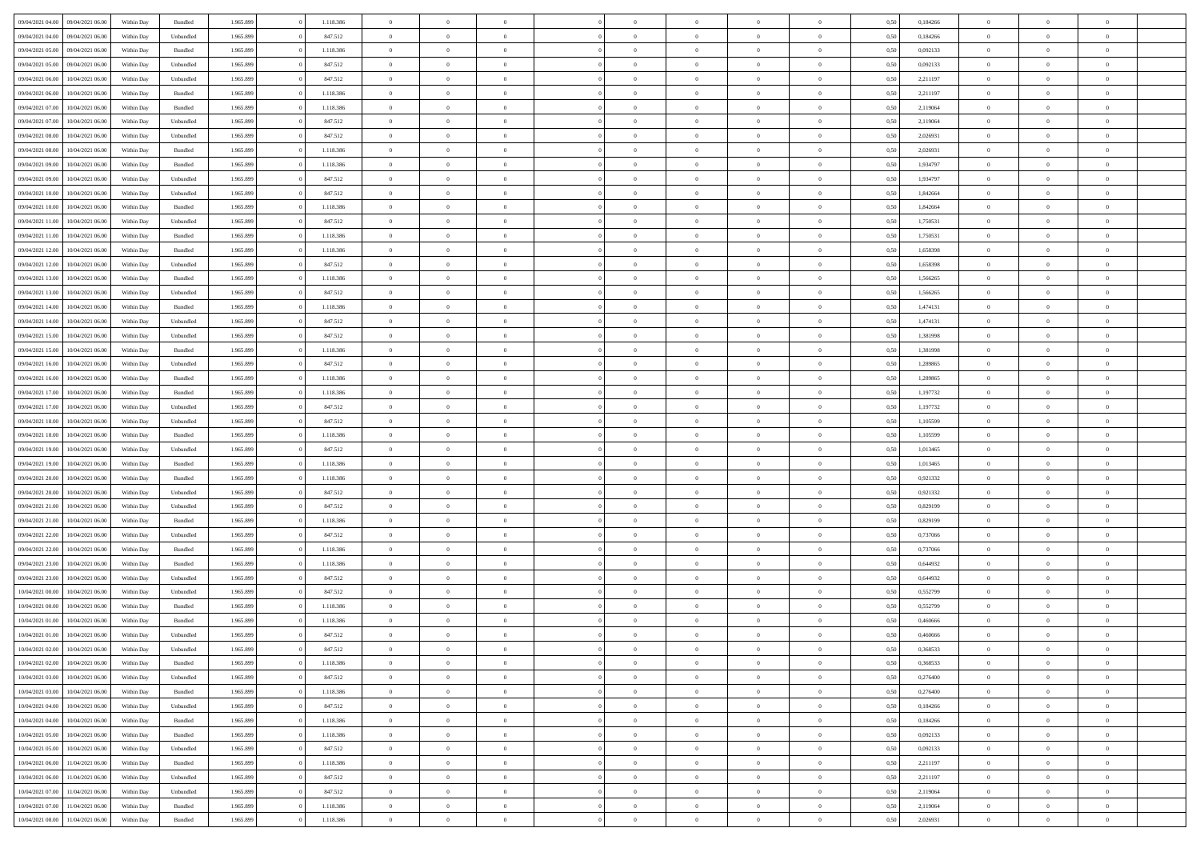| 09/04/2021 04:00 | 09/04/2021 06:00 | Within Day | Bundled   | 1.965.899 | 1.118.386 | $\overline{0}$ | $\Omega$       |                | $\Omega$       | $\Omega$       | $\Omega$       | $\theta$       | 0,50 | 0,184266 | $\theta$       | $\theta$       | $\theta$       |  |
|------------------|------------------|------------|-----------|-----------|-----------|----------------|----------------|----------------|----------------|----------------|----------------|----------------|------|----------|----------------|----------------|----------------|--|
|                  |                  |            |           |           |           |                |                |                |                |                |                |                |      |          |                |                |                |  |
| 09/04/2021 04:00 | 09/04/2021 06:00 | Within Day | Unbundled | 1.965.899 | 847.512   | $\overline{0}$ | $\theta$       | $\overline{0}$ | $\overline{0}$ | $\bf{0}$       | $\overline{0}$ | $\bf{0}$       | 0,50 | 0,184266 | $\theta$       | $\theta$       | $\overline{0}$ |  |
| 09/04/2021 05:00 | 09/04/2021 06:00 | Within Day | Bundled   | 1.965.899 | 1.118.386 | $\overline{0}$ | $\overline{0}$ | $\overline{0}$ | $\bf{0}$       | $\bf{0}$       | $\bf{0}$       | $\mathbf{0}$   | 0,50 | 0,092133 | $\bf{0}$       | $\overline{0}$ | $\overline{0}$ |  |
| 09/04/2021 05:00 | 09/04/2021 06:00 | Within Day | Unbundled | 1.965.899 | 847.512   | $\overline{0}$ | $\overline{0}$ | $\overline{0}$ | $\overline{0}$ | $\bf{0}$       | $\overline{0}$ | $\overline{0}$ | 0.50 | 0,092133 | $\theta$       | $\theta$       | $\overline{0}$ |  |
| 09/04/2021 06:00 | 10/04/2021 06:00 | Within Day | Unbundled | 1.965.899 | 847.512   | $\overline{0}$ | $\theta$       | $\overline{0}$ | $\overline{0}$ | $\bf{0}$       | $\overline{0}$ | $\bf{0}$       | 0,50 | 2,211197 | $\,$ 0 $\,$    | $\overline{0}$ | $\overline{0}$ |  |
| 09/04/2021 06:00 | 10/04/2021 06:00 | Within Day | Bundled   | 1.965.899 | 1.118.386 | $\overline{0}$ | $\overline{0}$ | $\overline{0}$ | $\bf{0}$       | $\overline{0}$ | $\overline{0}$ | $\mathbf{0}$   | 0,50 | 2,211197 | $\bf{0}$       | $\overline{0}$ | $\bf{0}$       |  |
|                  |                  |            |           |           |           |                |                |                |                | $\overline{0}$ |                |                |      |          | $\theta$       | $\overline{0}$ | $\overline{0}$ |  |
| 09/04/2021 07:00 | 10/04/2021 06:00 | Within Dav | Bundled   | 1.965.899 | 1.118.386 | $\overline{0}$ | $\overline{0}$ | $\overline{0}$ | $\overline{0}$ |                | $\overline{0}$ | $\overline{0}$ | 0.50 | 2,119064 |                |                |                |  |
| 09/04/2021 07:00 | 10/04/2021 06:00 | Within Day | Unbundled | 1.965.899 | 847.512   | $\overline{0}$ | $\theta$       | $\overline{0}$ | $\overline{0}$ | $\bf{0}$       | $\overline{0}$ | $\bf{0}$       | 0,50 | 2,119064 | $\theta$       | $\theta$       | $\overline{0}$ |  |
| 09/04/2021 08:00 | 10/04/2021 06:00 | Within Day | Unbundled | 1.965.899 | 847.512   | $\overline{0}$ | $\overline{0}$ | $\overline{0}$ | $\bf{0}$       | $\bf{0}$       | $\bf{0}$       | $\mathbf{0}$   | 0,50 | 2,026931 | $\,0\,$        | $\overline{0}$ | $\overline{0}$ |  |
| 09/04/2021 08:00 | 10/04/2021 06:00 | Within Dav | Bundled   | 1.965.899 | 1.118.386 | $\overline{0}$ | $\overline{0}$ | $\overline{0}$ | $\overline{0}$ | $\overline{0}$ | $\overline{0}$ | $\overline{0}$ | 0.50 | 2,026931 | $\theta$       | $\overline{0}$ | $\overline{0}$ |  |
| 09/04/2021 09:00 | 10/04/2021 06:00 | Within Day | Bundled   | 1.965.899 | 1.118.386 | $\overline{0}$ | $\theta$       | $\overline{0}$ | $\overline{0}$ | $\bf{0}$       | $\overline{0}$ | $\bf{0}$       | 0,50 | 1,934797 | $\,$ 0 $\,$    | $\overline{0}$ | $\overline{0}$ |  |
| 09/04/2021 09:00 | 10/04/2021 06:00 | Within Day | Unbundled | 1.965.899 | 847.512   | $\overline{0}$ | $\overline{0}$ | $\overline{0}$ | $\bf{0}$       | $\bf{0}$       | $\bf{0}$       | $\mathbf{0}$   | 0,50 | 1,934797 | $\bf{0}$       | $\overline{0}$ | $\bf{0}$       |  |
| 09/04/2021 10:00 | 10/04/2021 06:00 | Within Day | Unbundled | 1.965.899 | 847.512   | $\overline{0}$ | $\overline{0}$ | $\overline{0}$ | $\overline{0}$ | $\bf{0}$       | $\overline{0}$ | $\overline{0}$ | 0.50 | 1,842664 | $\theta$       | $\theta$       | $\overline{0}$ |  |
|                  |                  |            |           |           |           | $\overline{0}$ | $\theta$       | $\overline{0}$ | $\overline{0}$ | $\bf{0}$       | $\overline{0}$ |                |      |          | $\theta$       | $\overline{0}$ | $\overline{0}$ |  |
| 09/04/2021 10:00 | 10/04/2021 06:00 | Within Day | Bundled   | 1.965.899 | 1.118.386 |                |                |                |                |                |                | $\bf{0}$       | 0,50 | 1,842664 |                |                |                |  |
| 09/04/2021 11:00 | 10/04/2021 06:00 | Within Day | Unbundled | 1.965.899 | 847.512   | $\overline{0}$ | $\overline{0}$ | $\overline{0}$ | $\bf{0}$       | $\overline{0}$ | $\overline{0}$ | $\mathbf{0}$   | 0,50 | 1,750531 | $\bf{0}$       | $\overline{0}$ | $\bf{0}$       |  |
| 09/04/2021 11:00 | 10/04/2021 06:00 | Within Dav | Bundled   | 1.965.899 | 1.118.386 | $\overline{0}$ | $\overline{0}$ | $\overline{0}$ | $\overline{0}$ | $\overline{0}$ | $\overline{0}$ | $\overline{0}$ | 0.50 | 1,750531 | $\theta$       | $\overline{0}$ | $\overline{0}$ |  |
| 09/04/2021 12:00 | 10/04/2021 06:00 | Within Day | Bundled   | 1.965.899 | 1.118.386 | $\overline{0}$ | $\theta$       | $\overline{0}$ | $\overline{0}$ | $\bf{0}$       | $\overline{0}$ | $\bf{0}$       | 0,50 | 1,658398 | $\theta$       | $\theta$       | $\overline{0}$ |  |
| 09/04/2021 12:00 | 10/04/2021 06:00 | Within Day | Unbundled | 1.965.899 | 847.512   | $\overline{0}$ | $\overline{0}$ | $\overline{0}$ | $\bf{0}$       | $\bf{0}$       | $\bf{0}$       | $\mathbf{0}$   | 0,50 | 1,658398 | $\bf{0}$       | $\overline{0}$ | $\overline{0}$ |  |
| 09/04/2021 13:00 | 10/04/2021 06:00 | Within Day | Bundled   | 1.965.899 | 1.118.386 | $\overline{0}$ | $\overline{0}$ | $\overline{0}$ | $\overline{0}$ | $\overline{0}$ | $\overline{0}$ | $\overline{0}$ | 0.50 | 1,566265 | $\theta$       | $\overline{0}$ | $\overline{0}$ |  |
| 09/04/2021 13:00 | 10/04/2021 06:00 | Within Day | Unbundled | 1.965.899 | 847.512   | $\overline{0}$ | $\theta$       | $\overline{0}$ | $\overline{0}$ | $\bf{0}$       | $\overline{0}$ | $\bf{0}$       | 0,50 | 1,566265 | $\,$ 0 $\,$    | $\theta$       | $\overline{0}$ |  |
|                  |                  |            |           |           |           |                |                |                |                |                |                |                |      |          |                |                |                |  |
| 09/04/2021 14:00 | 10/04/2021 06:00 | Within Day | Bundled   | 1.965.899 | 1.118.386 | $\overline{0}$ | $\overline{0}$ | $\overline{0}$ | $\bf{0}$       | $\bf{0}$       | $\bf{0}$       | $\mathbf{0}$   | 0,50 | 1,474131 | $\overline{0}$ | $\overline{0}$ | $\overline{0}$ |  |
| 09/04/2021 14:00 | 10/04/2021 06:00 | Within Day | Unbundled | 1.965.899 | 847.512   | $\overline{0}$ | $\overline{0}$ | $\overline{0}$ | $\overline{0}$ | $\bf{0}$       | $\overline{0}$ | $\overline{0}$ | 0.50 | 1,474131 | $\theta$       | $\overline{0}$ | $\overline{0}$ |  |
| 09/04/2021 15:00 | 10/04/2021 06:00 | Within Day | Unbundled | 1.965.899 | 847.512   | $\overline{0}$ | $\theta$       | $\overline{0}$ | $\overline{0}$ | $\bf{0}$       | $\overline{0}$ | $\bf{0}$       | 0,50 | 1,381998 | $\,$ 0 $\,$    | $\overline{0}$ | $\overline{0}$ |  |
| 09/04/2021 15:00 | 10/04/2021 06:00 | Within Day | Bundled   | 1.965.899 | 1.118.386 | $\overline{0}$ | $\overline{0}$ | $\overline{0}$ | $\bf{0}$       | $\overline{0}$ | $\overline{0}$ | $\mathbf{0}$   | 0,50 | 1,381998 | $\overline{0}$ | $\overline{0}$ | $\bf{0}$       |  |
| 09/04/2021 16:00 | 10/04/2021 06:00 | Within Dav | Unbundled | 1.965.899 | 847.512   | $\overline{0}$ | $\overline{0}$ | $\overline{0}$ | $\overline{0}$ | $\overline{0}$ | $\overline{0}$ | $\overline{0}$ | 0.50 | 1,289865 | $\theta$       | $\overline{0}$ | $\overline{0}$ |  |
| 09/04/2021 16:00 | 10/04/2021 06:00 | Within Day | Bundled   | 1.965.899 | 1.118.386 | $\overline{0}$ | $\theta$       | $\overline{0}$ | $\overline{0}$ | $\bf{0}$       | $\overline{0}$ | $\bf{0}$       | 0,50 | 1,289865 | $\theta$       | $\theta$       | $\overline{0}$ |  |
| 09/04/2021 17:00 | 10/04/2021 06:00 | Within Day | Bundled   | 1.965.899 | 1.118.386 | $\overline{0}$ | $\overline{0}$ | $\overline{0}$ | $\bf{0}$       | $\bf{0}$       | $\bf{0}$       | $\bf{0}$       | 0,50 | 1,197732 | $\,0\,$        | $\overline{0}$ | $\overline{0}$ |  |
| 09/04/2021 17:00 | 10/04/2021 06:00 |            | Unbundled | 1.965.899 | 847.512   | $\overline{0}$ | $\overline{0}$ | $\overline{0}$ | $\overline{0}$ | $\overline{0}$ | $\overline{0}$ | $\overline{0}$ | 0.50 | 1,197732 | $\theta$       | $\overline{0}$ | $\overline{0}$ |  |
|                  |                  | Within Day |           |           |           |                |                |                |                |                |                |                |      |          |                |                |                |  |
| 09/04/2021 18:00 | 10/04/2021 06:00 | Within Day | Unbundled | 1.965.899 | 847.512   | $\overline{0}$ | $\theta$       | $\overline{0}$ | $\overline{0}$ | $\bf{0}$       | $\overline{0}$ | $\bf{0}$       | 0,50 | 1,105599 | $\,$ 0 $\,$    | $\overline{0}$ | $\overline{0}$ |  |
| 09/04/2021 18:00 | 10/04/2021 06:00 | Within Day | Bundled   | 1.965.899 | 1.118.386 | $\overline{0}$ | $\overline{0}$ | $\overline{0}$ | $\bf{0}$       | $\bf{0}$       | $\bf{0}$       | $\bf{0}$       | 0,50 | 1,105599 | $\overline{0}$ | $\overline{0}$ | $\overline{0}$ |  |
| 09/04/2021 19:00 | 10/04/2021 06:00 | Within Day | Unbundled | 1.965.899 | 847.512   | $\overline{0}$ | $\Omega$       | $\overline{0}$ | $\Omega$       | $\Omega$       | $\overline{0}$ | $\overline{0}$ | 0,50 | 1,013465 | $\,0\,$        | $\theta$       | $\theta$       |  |
| 09/04/2021 19:00 | 10/04/2021 06:00 | Within Day | Bundled   | 1.965.899 | 1.118.386 | $\overline{0}$ | $\theta$       | $\overline{0}$ | $\overline{0}$ | $\bf{0}$       | $\overline{0}$ | $\bf{0}$       | 0,50 | 1,013465 | $\,$ 0 $\,$    | $\theta$       | $\overline{0}$ |  |
| 09/04/2021 20:00 | 10/04/2021 06:00 | Within Day | Bundled   | 1.965.899 | 1.118.386 | $\overline{0}$ | $\overline{0}$ | $\overline{0}$ | $\bf{0}$       | $\bf{0}$       | $\overline{0}$ | $\mathbf{0}$   | 0,50 | 0,921332 | $\bf{0}$       | $\overline{0}$ | $\bf{0}$       |  |
| 09/04/2021 20:00 | 10/04/2021 06:00 | Within Day | Unbundled | 1.965.899 | 847.512   | $\overline{0}$ | $\Omega$       | $\Omega$       | $\Omega$       | $\bf{0}$       | $\overline{0}$ | $\overline{0}$ | 0.50 | 0,921332 | $\,0\,$        | $\theta$       | $\theta$       |  |
| 09/04/2021 21.00 | 10/04/2021 06:00 | Within Day | Unbundled | 1.965.899 | 847.512   | $\overline{0}$ | $\theta$       | $\overline{0}$ | $\overline{0}$ | $\bf{0}$       | $\overline{0}$ | $\bf{0}$       | 0,50 | 0,829199 | $\,$ 0 $\,$    | $\overline{0}$ | $\overline{0}$ |  |
|                  |                  |            |           |           |           |                |                |                |                |                |                |                |      |          |                |                |                |  |
| 09/04/2021 21.00 | 10/04/2021 06:00 | Within Day | Bundled   | 1.965.899 | 1.118.386 | $\overline{0}$ | $\overline{0}$ | $\overline{0}$ | $\bf{0}$       | $\bf{0}$       | $\bf{0}$       | $\bf{0}$       | 0,50 | 0,829199 | $\bf{0}$       | $\overline{0}$ | $\overline{0}$ |  |
| 09/04/2021 22.00 | 10/04/2021 06:00 | Within Day | Unbundled | 1.965.899 | 847.512   | $\overline{0}$ | $\Omega$       | $\overline{0}$ | $\Omega$       | $\overline{0}$ | $\overline{0}$ | $\overline{0}$ | 0.50 | 0,737066 | $\,$ 0 $\,$    | $\theta$       | $\theta$       |  |
| 09/04/2021 22.00 | 10/04/2021 06:00 | Within Day | Bundled   | 1.965.899 | 1.118.386 | $\overline{0}$ | $\theta$       | $\overline{0}$ | $\overline{0}$ | $\,$ 0         | $\overline{0}$ | $\bf{0}$       | 0,50 | 0,737066 | $\,$ 0 $\,$    | $\overline{0}$ | $\overline{0}$ |  |
| 09/04/2021 23.00 | 10/04/2021 06:00 | Within Day | Bundled   | 1.965.899 | 1.118.386 | $\overline{0}$ | $\overline{0}$ | $\overline{0}$ | $\bf{0}$       | $\bf{0}$       | $\bf{0}$       | $\mathbf{0}$   | 0,50 | 0,644932 | $\overline{0}$ | $\overline{0}$ | $\overline{0}$ |  |
| 09/04/2021 23:00 | 10/04/2021 06:00 | Within Day | Unbundled | 1.965.899 | 847.512   | $\overline{0}$ | $\Omega$       | $\overline{0}$ | $\Omega$       | $\overline{0}$ | $\overline{0}$ | $\overline{0}$ | 0,50 | 0.644932 | $\,0\,$        | $\theta$       | $\theta$       |  |
| 10/04/2021 00:00 | 10/04/2021 06:00 | Within Day | Unbundled | 1.965.899 | 847.512   | $\overline{0}$ | $\theta$       | $\overline{0}$ | $\overline{0}$ | $\,$ 0         | $\overline{0}$ | $\bf{0}$       | 0,50 | 0,552799 | $\,$ 0 $\,$    | $\overline{0}$ | $\overline{0}$ |  |
| 10/04/2021 00:00 | 10/04/2021 06:00 | Within Day | Bundled   | 1.965.899 | 1.118.386 | $\overline{0}$ | $\overline{0}$ | $\overline{0}$ | $\overline{0}$ | $\bf{0}$       | $\overline{0}$ | $\mathbf{0}$   | 0,50 | 0,552799 | $\overline{0}$ | $\overline{0}$ | $\bf{0}$       |  |
| 10/04/2021 01:00 | 10/04/2021 06:00 | Within Day | Bundled   | 1.965.899 | 1.118.386 | $\overline{0}$ | $\Omega$       | $\Omega$       | $\Omega$       | $\Omega$       | $\Omega$       | $\overline{0}$ | 0.50 | 0.460666 | $\theta$       | $\theta$       | $\theta$       |  |
| 10/04/2021 01:00 | 10/04/2021 06:00 | Within Day | Unbundled | 1.965.899 | 847.512   | $\overline{0}$ | $\,$ 0 $\,$    | $\overline{0}$ | $\bf{0}$       | $\,$ 0         | $\overline{0}$ | $\bf{0}$       | 0,50 | 0,460666 | $\,0\,$        | $\overline{0}$ | $\overline{0}$ |  |
|                  |                  |            |           |           |           |                |                |                |                |                |                |                |      |          |                |                |                |  |
| 10/04/2021 02:00 | 10/04/2021 06:00 | Within Day | Unbundled | 1.965.899 | 847.512   | $\bf{0}$       | $\bf{0}$       |                |                |                |                |                | 0,50 | 0,368533 | $\bf{0}$       | $\overline{0}$ |                |  |
| 10/04/2021 02:00 | 10/04/2021 06:00 | Within Day | Bundled   | 1.965.899 | 1.118.386 | $\overline{0}$ | $\overline{0}$ | $\overline{0}$ | $\Omega$       | $\overline{0}$ | $\overline{0}$ | $\overline{0}$ | 0,50 | 0.368533 | $\theta$       | $\theta$       | $\Omega$       |  |
| 10/04/2021 03:00 | 10/04/2021 06:00 | Within Day | Unbundled | 1.965.899 | 847.512   | $\overline{0}$ | $\bf{0}$       | $\overline{0}$ | $\overline{0}$ | $\,$ 0 $\,$    | $\overline{0}$ | $\,$ 0 $\,$    | 0,50 | 0,276400 | $\,$ 0 $\,$    | $\,$ 0 $\,$    | $\,$ 0         |  |
| 10/04/2021 03:00 | 10/04/2021 06:00 | Within Day | Bundled   | 1.965.899 | 1.118.386 | $\overline{0}$ | $\overline{0}$ | $\overline{0}$ | $\overline{0}$ | $\overline{0}$ | $\overline{0}$ | $\mathbf{0}$   | 0,50 | 0,276400 | $\overline{0}$ | $\bf{0}$       | $\bf{0}$       |  |
| 10/04/2021 04:00 | 10/04/2021 06:00 | Within Day | Unbundled | 1.965.899 | 847.512   | $\overline{0}$ | $\overline{0}$ | $\overline{0}$ | $\Omega$       | $\overline{0}$ | $\overline{0}$ | $\overline{0}$ | 0,50 | 0,184266 | $\overline{0}$ | $\overline{0}$ | $\overline{0}$ |  |
| 10/04/2021 04:00 | 10/04/2021 06:00 | Within Day | Bundled   | 1.965.899 | 1.118.386 | $\overline{0}$ | $\,$ 0         | $\overline{0}$ | $\overline{0}$ | $\,$ 0 $\,$    | $\overline{0}$ | $\mathbf{0}$   | 0,50 | 0,184266 | $\,$ 0 $\,$    | $\overline{0}$ | $\overline{0}$ |  |
| 10/04/2021 05:00 | 10/04/2021 06:00 | Within Day | Bundled   | 1.965.899 | 1.118.386 | $\overline{0}$ | $\overline{0}$ | $\overline{0}$ | $\overline{0}$ | $\overline{0}$ | $\overline{0}$ | $\mathbf{0}$   | 0,50 | 0,092133 | $\overline{0}$ | $\overline{0}$ | $\bf{0}$       |  |
|                  |                  |            |           |           |           |                |                |                |                |                |                |                |      |          |                |                |                |  |
| 10/04/2021 05:00 | 10/04/2021 06:00 | Within Day | Unbundled | 1.965.899 | 847.512   | $\overline{0}$ | $\overline{0}$ | $\overline{0}$ | $\overline{0}$ | $\overline{0}$ | $\overline{0}$ | $\bf{0}$       | 0.50 | 0,092133 | $\overline{0}$ | $\theta$       | $\overline{0}$ |  |
| 10/04/2021 06:00 | 11/04/2021 06:00 | Within Day | Bundled   | 1.965.899 | 1.118.386 | $\overline{0}$ | $\,$ 0         | $\overline{0}$ | $\overline{0}$ | $\bf{0}$       | $\overline{0}$ | $\bf{0}$       | 0,50 | 2,211197 | $\,$ 0 $\,$    | $\overline{0}$ | $\overline{0}$ |  |
| 10/04/2021 06:00 | 11/04/2021 06:00 | Within Day | Unbundled | 1.965.899 | 847.512   | $\overline{0}$ | $\bf{0}$       | $\overline{0}$ | $\overline{0}$ | $\overline{0}$ | $\overline{0}$ | $\mathbf{0}$   | 0,50 | 2,211197 | $\overline{0}$ | $\overline{0}$ | $\bf{0}$       |  |
| 10/04/2021 07:00 | 11/04/2021 06:00 | Within Day | Unbundled | 1.965.899 | 847.512   | $\overline{0}$ | $\overline{0}$ | $\overline{0}$ | $\Omega$       | $\overline{0}$ | $\overline{0}$ | $\overline{0}$ | 0.50 | 2,119064 | $\overline{0}$ | $\overline{0}$ | $\overline{0}$ |  |
| 10/04/2021 07:00 | 11/04/2021 06:00 | Within Day | Bundled   | 1.965.899 | 1.118.386 | $\overline{0}$ | $\bf{0}$       | $\overline{0}$ | $\bf{0}$       | $\bf{0}$       | $\bf{0}$       | $\mathbf{0}$   | 0,50 | 2,119064 | $\,$ 0 $\,$    | $\,$ 0 $\,$    | $\bf{0}$       |  |
| 10/04/2021 08:00 | 11/04/2021 06:00 | Within Day | Bundled   | 1.965.899 | 1.118.386 | $\overline{0}$ | $\overline{0}$ | $\overline{0}$ | $\overline{0}$ | $\overline{0}$ | $\bf{0}$       | $\mathbf{0}$   | 0,50 | 2,026931 | $\overline{0}$ | $\bf{0}$       | $\bf{0}$       |  |
|                  |                  |            |           |           |           |                |                |                |                |                |                |                |      |          |                |                |                |  |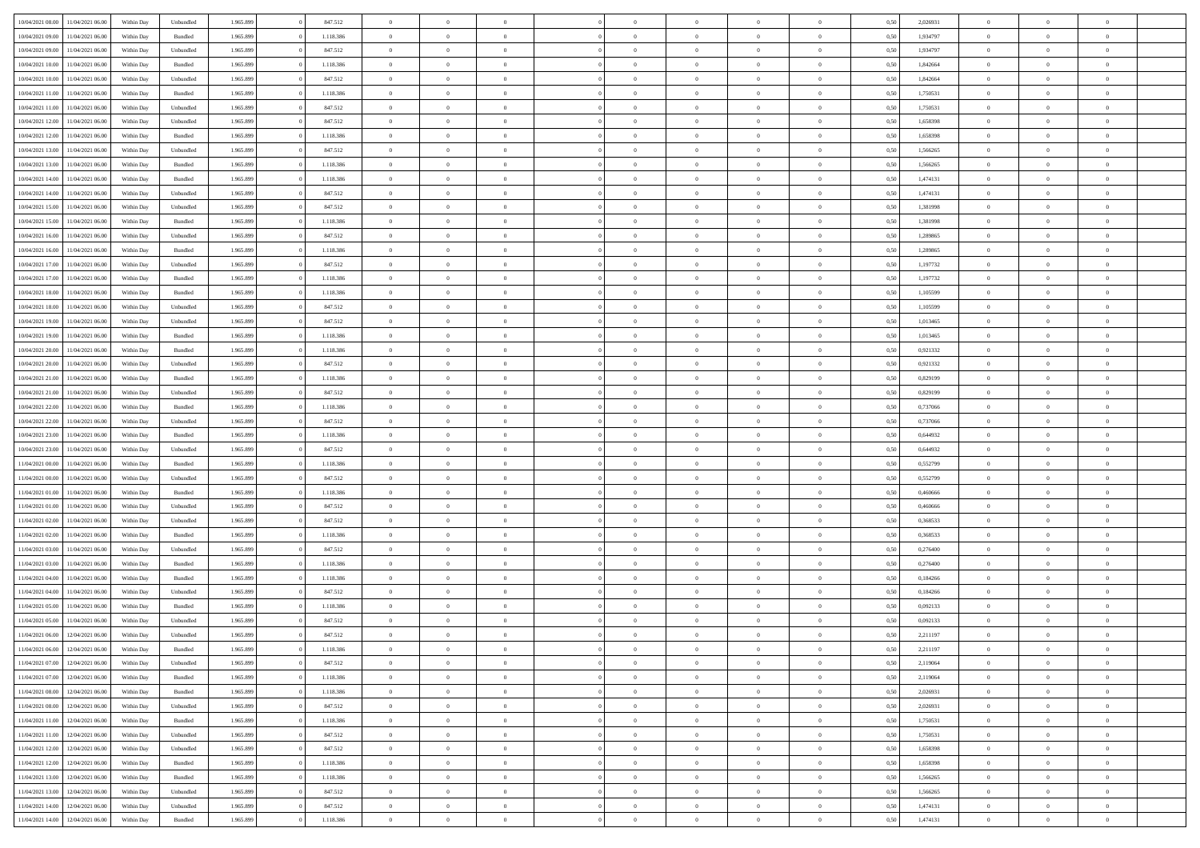| 10/04/2021 08:00 | 11/04/2021 06:00                  | Within Day | Unbundled          | 1.965.899 | 847.512   | $\overline{0}$ | $\theta$       |                | $\Omega$       | $\Omega$       | $\theta$       | $\theta$       | 0,50 | 2,026931 | $\theta$       | $\overline{0}$ | $\theta$       |  |
|------------------|-----------------------------------|------------|--------------------|-----------|-----------|----------------|----------------|----------------|----------------|----------------|----------------|----------------|------|----------|----------------|----------------|----------------|--|
|                  |                                   |            |                    |           |           |                |                |                |                |                |                |                |      |          |                |                |                |  |
| 10/04/2021 09:00 | 11/04/2021 06:00                  | Within Day | Bundled            | 1.965.899 | 1.118.386 | $\overline{0}$ | $\theta$       | $\overline{0}$ | $\overline{0}$ | $\bf{0}$       | $\overline{0}$ | $\,$ 0 $\,$    | 0,50 | 1,934797 | $\theta$       | $\overline{0}$ | $\overline{0}$ |  |
| 10/04/2021 09:00 | 11/04/2021 06:00                  | Within Day | Unbundled          | 1.965.899 | 847.512   | $\overline{0}$ | $\bf{0}$       | $\overline{0}$ | $\bf{0}$       | $\bf{0}$       | $\bf{0}$       | $\mathbf{0}$   | 0,50 | 1,934797 | $\overline{0}$ | $\overline{0}$ | $\bf{0}$       |  |
| 10/04/2021 10:00 | 11/04/2021 06:00                  | Within Dav | Bundled            | 1.965.899 | 1.118.386 | $\overline{0}$ | $\overline{0}$ | $\overline{0}$ | $\overline{0}$ | $\bf{0}$       | $\overline{0}$ | $\overline{0}$ | 0.50 | 1.842664 | $\theta$       | $\theta$       | $\overline{0}$ |  |
|                  |                                   |            |                    |           |           | $\overline{0}$ | $\theta$       | $\overline{0}$ | $\overline{0}$ | $\bf{0}$       | $\overline{0}$ |                |      |          | $\,$ 0 $\,$    | $\overline{0}$ | $\overline{0}$ |  |
| 10/04/2021 10:00 | 11/04/2021 06:00                  | Within Day | Unbundled          | 1.965.899 | 847.512   |                |                |                |                |                |                | $\bf{0}$       | 0,50 | 1,842664 |                |                |                |  |
| 10/04/2021 11:00 | 11/04/2021 06:00                  | Within Day | Bundled            | 1.965.899 | 1.118.386 | $\overline{0}$ | $\overline{0}$ | $\overline{0}$ | $\bf{0}$       | $\overline{0}$ | $\overline{0}$ | $\mathbf{0}$   | 0,50 | 1,750531 | $\overline{0}$ | $\overline{0}$ | $\bf{0}$       |  |
| 10/04/2021 11:00 | 11/04/2021 06:00                  | Within Dav | Unbundled          | 1.965.899 | 847.512   | $\overline{0}$ | $\overline{0}$ | $\overline{0}$ | $\overline{0}$ | $\overline{0}$ | $\overline{0}$ | $\overline{0}$ | 0.50 | 1,750531 | $\theta$       | $\overline{0}$ | $\overline{0}$ |  |
| 10/04/2021 12:00 | 11/04/2021 06:00                  | Within Day | Unbundled          | 1.965.899 | 847.512   | $\overline{0}$ | $\theta$       | $\overline{0}$ | $\overline{0}$ | $\bf{0}$       | $\overline{0}$ | $\bf{0}$       | 0,50 | 1,658398 | $\theta$       | $\theta$       | $\overline{0}$ |  |
| 10/04/2021 12:00 | 11/04/2021 06:00                  | Within Day | Bundled            | 1.965.899 | 1.118.386 | $\overline{0}$ | $\overline{0}$ | $\overline{0}$ | $\bf{0}$       | $\bf{0}$       | $\bf{0}$       | $\mathbf{0}$   | 0,50 | 1,658398 | $\,0\,$        | $\overline{0}$ | $\overline{0}$ |  |
|                  |                                   |            |                    |           |           |                | $\overline{0}$ |                |                | $\overline{0}$ |                |                |      |          | $\theta$       | $\overline{0}$ | $\overline{0}$ |  |
| 10/04/2021 13:00 | 11/04/2021 06:00                  | Within Dav | Unbundled          | 1.965.899 | 847.512   | $\overline{0}$ |                | $\overline{0}$ | $\overline{0}$ |                | $\overline{0}$ | $\overline{0}$ | 0.50 | 1,566265 |                |                |                |  |
| 10/04/2021 13:00 | 11/04/2021 06:00                  | Within Day | Bundled            | 1.965.899 | 1.118.386 | $\overline{0}$ | $\theta$       | $\overline{0}$ | $\overline{0}$ | $\bf{0}$       | $\overline{0}$ | $\bf{0}$       | 0,50 | 1,566265 | $\,$ 0 $\,$    | $\overline{0}$ | $\overline{0}$ |  |
| 10/04/2021 14:00 | 11/04/2021 06:00                  | Within Day | Bundled            | 1.965.899 | 1.118.386 | $\overline{0}$ | $\overline{0}$ | $\overline{0}$ | $\bf{0}$       | $\bf{0}$       | $\bf{0}$       | $\mathbf{0}$   | 0,50 | 1,474131 | $\overline{0}$ | $\overline{0}$ | $\bf{0}$       |  |
| 10/04/2021 14:00 | 11/04/2021 06:00                  | Within Day | Unbundled          | 1.965.899 | 847.512   | $\overline{0}$ | $\overline{0}$ | $\overline{0}$ | $\overline{0}$ | $\overline{0}$ | $\overline{0}$ | $\overline{0}$ | 0.50 | 1,474131 | $\theta$       | $\theta$       | $\overline{0}$ |  |
| 10/04/2021 15:00 | 11/04/2021 06:00                  | Within Day | Unbundled          | 1.965.899 | 847.512   | $\overline{0}$ | $\theta$       | $\overline{0}$ | $\overline{0}$ | $\bf{0}$       | $\overline{0}$ | $\bf{0}$       | 0,50 | 1,381998 | $\,$ 0 $\,$    | $\overline{0}$ | $\overline{0}$ |  |
|                  |                                   |            |                    |           |           |                |                |                |                |                |                |                |      |          |                |                |                |  |
| 10/04/2021 15:00 | 11/04/2021 06:00                  | Within Day | Bundled            | 1.965.899 | 1.118.386 | $\overline{0}$ | $\overline{0}$ | $\overline{0}$ | $\bf{0}$       | $\overline{0}$ | $\overline{0}$ | $\mathbf{0}$   | 0,50 | 1,381998 | $\overline{0}$ | $\overline{0}$ | $\bf{0}$       |  |
| 10/04/2021 16:00 | 11/04/2021 06:00                  | Within Dav | Unbundled          | 1.965.899 | 847.512   | $\overline{0}$ | $\overline{0}$ | $\overline{0}$ | $\overline{0}$ | $\overline{0}$ | $\overline{0}$ | $\overline{0}$ | 0.50 | 1,289865 | $\overline{0}$ | $\overline{0}$ | $\overline{0}$ |  |
| 10/04/2021 16:00 | 11/04/2021 06:00                  | Within Day | Bundled            | 1.965.899 | 1.118.386 | $\overline{0}$ | $\theta$       | $\overline{0}$ | $\overline{0}$ | $\bf{0}$       | $\overline{0}$ | $\bf{0}$       | 0,50 | 1,289865 | $\,$ 0 $\,$    | $\overline{0}$ | $\overline{0}$ |  |
| 10/04/2021 17:00 | 11/04/2021 06:00                  | Within Day | Unbundled          | 1.965.899 | 847.512   | $\overline{0}$ | $\overline{0}$ | $\overline{0}$ | $\overline{0}$ | $\bf{0}$       | $\overline{0}$ | $\mathbf{0}$   | 0,50 | 1,197732 | $\bf{0}$       | $\overline{0}$ | $\bf{0}$       |  |
| 10/04/2021 17:00 | 11/04/2021 06:00                  | Within Day | Bundled            | 1.965.899 | 1.118.386 | $\overline{0}$ | $\overline{0}$ | $\overline{0}$ | $\overline{0}$ | $\overline{0}$ | $\overline{0}$ | $\overline{0}$ | 0.50 | 1,197732 | $\theta$       | $\overline{0}$ | $\overline{0}$ |  |
| 10/04/2021 18:00 | 11/04/2021 06:00                  | Within Day | Bundled            | 1.965.899 | 1.118.386 | $\overline{0}$ | $\theta$       | $\overline{0}$ | $\overline{0}$ | $\bf{0}$       | $\overline{0}$ | $\bf{0}$       | 0,50 | 1,105599 | $\,$ 0 $\,$    | $\overline{0}$ | $\overline{0}$ |  |
|                  |                                   |            |                    |           |           |                |                |                |                |                |                |                |      |          |                |                |                |  |
| 10/04/2021 18:00 | 11/04/2021 06:00                  | Within Day | Unbundled          | 1.965.899 | 847.512   | $\overline{0}$ | $\overline{0}$ | $\overline{0}$ | $\overline{0}$ | $\bf{0}$       | $\overline{0}$ | $\mathbf{0}$   | 0,50 | 1,105599 | $\overline{0}$ | $\overline{0}$ | $\bf{0}$       |  |
| 10/04/2021 19:00 | 11/04/2021 06:00                  | Within Day | Unbundled          | 1.965.899 | 847.512   | $\overline{0}$ | $\overline{0}$ | $\overline{0}$ | $\overline{0}$ | $\overline{0}$ | $\overline{0}$ | $\overline{0}$ | 0.50 | 1,013465 | $\theta$       | $\overline{0}$ | $\overline{0}$ |  |
| 10/04/2021 19:00 | 11/04/2021 06:00                  | Within Day | Bundled            | 1.965.899 | 1.118.386 | $\overline{0}$ | $\theta$       | $\overline{0}$ | $\overline{0}$ | $\bf{0}$       | $\overline{0}$ | $\,$ 0 $\,$    | 0,50 | 1,013465 | $\,$ 0 $\,$    | $\overline{0}$ | $\overline{0}$ |  |
| 10/04/2021 20:00 | 11/04/2021 06:00                  | Within Day | Bundled            | 1.965.899 | 1.118.386 | $\overline{0}$ | $\overline{0}$ | $\overline{0}$ | $\overline{0}$ | $\overline{0}$ | $\overline{0}$ | $\mathbf{0}$   | 0,50 | 0,921332 | $\overline{0}$ | $\overline{0}$ | $\bf{0}$       |  |
| 10/04/2021 20:00 | 11/04/2021 06:00                  | Within Dav | Unbundled          | 1.965.899 | 847.512   | $\overline{0}$ | $\overline{0}$ | $\overline{0}$ | $\overline{0}$ | $\overline{0}$ | $\overline{0}$ | $\overline{0}$ | 0.50 | 0.921332 | $\overline{0}$ | $\overline{0}$ | $\overline{0}$ |  |
| 10/04/2021 21:00 | 11/04/2021 06:00                  | Within Day | Bundled            | 1.965.899 | 1.118.386 | $\overline{0}$ | $\theta$       | $\overline{0}$ | $\overline{0}$ | $\bf{0}$       | $\overline{0}$ | $\bf{0}$       | 0,50 | 0,829199 | $\,$ 0 $\,$    | $\overline{0}$ | $\overline{0}$ |  |
| 10/04/2021 21:00 | 11/04/2021 06:00                  | Within Day | Unbundled          | 1.965.899 | 847.512   | $\overline{0}$ | $\overline{0}$ | $\overline{0}$ | $\overline{0}$ | $\bf{0}$       | $\overline{0}$ | $\mathbf{0}$   | 0,50 | 0,829199 | $\,0\,$        | $\overline{0}$ | $\overline{0}$ |  |
|                  |                                   |            |                    |           |           |                |                |                |                |                |                |                |      |          |                |                |                |  |
| 10/04/2021 22.00 | 11/04/2021 06:00                  | Within Day | Bundled            | 1.965.899 | 1.118.386 | $\overline{0}$ | $\overline{0}$ | $\overline{0}$ | $\overline{0}$ | $\overline{0}$ | $\overline{0}$ | $\overline{0}$ | 0.50 | 0,737066 | $\theta$       | $\overline{0}$ | $\overline{0}$ |  |
| 10/04/2021 22:00 | 11/04/2021 06:00                  | Within Day | Unbundled          | 1.965.899 | 847.512   | $\overline{0}$ | $\overline{0}$ | $\overline{0}$ | $\overline{0}$ | $\,$ 0         | $\overline{0}$ | $\bf{0}$       | 0,50 | 0,737066 | $\,$ 0 $\,$    | $\overline{0}$ | $\overline{0}$ |  |
| 10/04/2021 23:00 | 11/04/2021 06:00                  | Within Day | Bundled            | 1.965.899 | 1.118.386 | $\overline{0}$ | $\overline{0}$ | $\overline{0}$ | $\overline{0}$ | $\bf{0}$       | $\overline{0}$ | $\mathbf{0}$   | 0,50 | 0,644932 | $\overline{0}$ | $\overline{0}$ | $\bf{0}$       |  |
| 10/04/2021 23:00 | 11/04/2021 06.00                  | Within Day | Unbundled          | 1.965.899 | 847.512   | $\overline{0}$ | $\theta$       | $\overline{0}$ | $\Omega$       | $\Omega$       | $\overline{0}$ | $\overline{0}$ | 0,50 | 0.644932 | $\,0\,$        | $\theta$       | $\theta$       |  |
| 11/04/2021 00:00 | 11/04/2021 06:00                  | Within Day | Bundled            | 1.965.899 | 1.118.386 | $\overline{0}$ | $\overline{0}$ | $\overline{0}$ | $\overline{0}$ | $\bf{0}$       | $\overline{0}$ | $\bf{0}$       | 0,50 | 0,552799 | $\,$ 0 $\,$    | $\overline{0}$ | $\overline{0}$ |  |
| 11/04/2021 00:00 | 11/04/2021 06:00                  | Within Day | Unbundled          | 1.965.899 | 847.512   | $\overline{0}$ | $\overline{0}$ | $\overline{0}$ | $\bf{0}$       | $\overline{0}$ | $\overline{0}$ | $\mathbf{0}$   | 0,50 | 0,552799 | $\bf{0}$       | $\overline{0}$ | $\bf{0}$       |  |
| 11/04/2021 01:00 | 11/04/2021 06:00                  |            |                    |           | 1.118.386 | $\overline{0}$ | $\overline{0}$ | $\overline{0}$ | $\Omega$       | $\overline{0}$ | $\overline{0}$ | $\overline{0}$ | 0.50 | 0.460666 | $\,0\,$        | $\theta$       | $\theta$       |  |
|                  |                                   | Within Day | Bundled            | 1.965.899 |           |                |                |                |                |                |                |                |      |          |                |                |                |  |
| 11/04/2021 01:00 | 11/04/2021 06:00                  | Within Day | Unbundled          | 1.965.899 | 847.512   | $\overline{0}$ | $\theta$       | $\overline{0}$ | $\overline{0}$ | $\bf{0}$       | $\overline{0}$ | $\bf{0}$       | 0,50 | 0,460666 | $\,$ 0 $\,$    | $\overline{0}$ | $\overline{0}$ |  |
| 11/04/2021 02:00 | 11/04/2021 06:00                  | Within Day | Unbundled          | 1.965.899 | 847.512   | $\overline{0}$ | $\bf{0}$       | $\overline{0}$ | $\bf{0}$       | $\bf{0}$       | $\bf{0}$       | $\mathbf{0}$   | 0,50 | 0,368533 | $\bf{0}$       | $\overline{0}$ | $\bf{0}$       |  |
| 11/04/2021 02:00 | 11/04/2021 06:00                  | Within Day | Bundled            | 1.965.899 | 1.118.386 | $\overline{0}$ | $\overline{0}$ | $\overline{0}$ | $\Omega$       | $\overline{0}$ | $\overline{0}$ | $\overline{0}$ | 0.50 | 0.368533 | $\,$ 0 $\,$    | $\theta$       | $\theta$       |  |
| 11/04/2021 03:00 | 11/04/2021 06:00                  | Within Day | Unbundled          | 1.965.899 | 847.512   | $\overline{0}$ | $\,$ 0         | $\overline{0}$ | $\overline{0}$ | $\,$ 0         | $\overline{0}$ | $\bf{0}$       | 0,50 | 0,276400 | $\,$ 0 $\,$    | $\overline{0}$ | $\overline{0}$ |  |
| 11/04/2021 03:00 | 11/04/2021 06:00                  | Within Day | Bundled            | 1.965.899 | 1.118.386 | $\overline{0}$ | $\overline{0}$ | $\overline{0}$ | $\bf{0}$       | $\bf{0}$       | $\overline{0}$ | $\mathbf{0}$   | 0,50 | 0,276400 | $\bf{0}$       | $\overline{0}$ | $\bf{0}$       |  |
|                  |                                   |            |                    |           |           |                |                |                |                |                |                |                |      |          |                |                |                |  |
| 11/04/2021 04:00 | 11/04/2021 06.00                  | Within Day | Bundled            | 1.965.899 | 1.118.386 | $\overline{0}$ | $\theta$       | $\overline{0}$ | $\Omega$       | $\bf{0}$       | $\overline{0}$ | $\overline{0}$ | 0,50 | 0,184266 | $\,0\,$        | $\theta$       | $\overline{0}$ |  |
| 11/04/2021 04:00 | 11/04/2021 06:00                  | Within Day | Unbundled          | 1.965.899 | 847.512   | $\overline{0}$ | $\overline{0}$ | $\overline{0}$ | $\overline{0}$ | $\,$ 0         | $\overline{0}$ | $\bf{0}$       | 0,50 | 0,184266 | $\,$ 0 $\,$    | $\overline{0}$ | $\overline{0}$ |  |
| 11/04/2021 05:00 | 11/04/2021 06:00                  | Within Day | Bundled            | 1.965.899 | 1.118.386 | $\overline{0}$ | $\overline{0}$ | $\overline{0}$ | $\bf{0}$       | $\bf{0}$       | $\overline{0}$ | $\mathbf{0}$   | 0,50 | 0,092133 | $\bf{0}$       | $\overline{0}$ | $\bf{0}$       |  |
| 11/04/2021 05:00 | 11/04/2021 06:00                  | Within Day | Unbundled          | 1.965.899 | 847.512   | $\overline{0}$ | $\Omega$       | $\Omega$       | $\Omega$       | $\Omega$       | $\overline{0}$ | $\overline{0}$ | 0.50 | 0.092133 | $\theta$       | $\theta$       | $\theta$       |  |
| 11/04/2021 06:00 | 12/04/2021 06:00                  | Within Day | Unbundled          | 1.965.899 | 847.512   | $\overline{0}$ | $\overline{0}$ | $\overline{0}$ | $\bf{0}$       | $\,$ 0         | $\bf{0}$       | $\bf{0}$       | 0,50 | 2,211197 | $\,0\,$        | $\,$ 0 $\,$    | $\overline{0}$ |  |
| 11/04/2021 06:00 | 12/04/2021 06:00                  | Within Day | $\mathbf B$ undled | 1.965.899 | 1.118.386 | $\overline{0}$ | $\bf{0}$       |                |                | $\bf{0}$       |                |                | 0,50 | 2,211197 | $\bf{0}$       | $\overline{0}$ |                |  |
| 11/04/2021 07:00 | 12/04/2021 06:00                  |            |                    | 1.965.899 | 847.512   | $\overline{0}$ | $\overline{0}$ | $\overline{0}$ | $\Omega$       | $\overline{0}$ | $\overline{0}$ | $\overline{0}$ |      |          | $\theta$       | $\theta$       | $\theta$       |  |
|                  |                                   | Within Day | Unbundled          |           |           |                |                |                |                |                |                |                | 0,50 | 2,119064 |                |                |                |  |
| 11/04/2021 07:00 | 12/04/2021 06:00                  | Within Day | Bundled            | 1.965.899 | 1.118.386 | $\overline{0}$ | $\,$ 0         | $\overline{0}$ | $\bf{0}$       | $\,$ 0 $\,$    | $\overline{0}$ | $\,$ 0 $\,$    | 0,50 | 2,119064 | $\,$ 0 $\,$    | $\,$ 0 $\,$    | $\,$ 0         |  |
| 11/04/2021 08:00 | 12/04/2021 06:00                  | Within Day | Bundled            | 1.965.899 | 1.118.386 | $\overline{0}$ | $\overline{0}$ | $\overline{0}$ | $\overline{0}$ | $\overline{0}$ | $\overline{0}$ | $\mathbf{0}$   | 0,50 | 2,026931 | $\overline{0}$ | $\bf{0}$       | $\overline{0}$ |  |
| 11/04/2021 08:00 | 12/04/2021 06:00                  | Within Day | Unbundled          | 1.965.899 | 847.512   | $\overline{0}$ | $\overline{0}$ | $\overline{0}$ | $\Omega$       | $\overline{0}$ | $\overline{0}$ | $\overline{0}$ | 0,50 | 2,026931 | $\overline{0}$ | $\overline{0}$ | $\overline{0}$ |  |
| 11/04/2021 11:00 | 12/04/2021 06:00                  | Within Day | Bundled            | 1.965.899 | 1.118.386 | $\overline{0}$ | $\,$ 0         | $\overline{0}$ | $\overline{0}$ | $\,$ 0 $\,$    | $\overline{0}$ | $\,$ 0 $\,$    | 0,50 | 1,750531 | $\,$ 0 $\,$    | $\overline{0}$ | $\overline{0}$ |  |
| 11/04/2021 11:00 | 12/04/2021 06:00                  | Within Day | Unbundled          | 1.965.899 | 847.512   | $\overline{0}$ | $\overline{0}$ | $\overline{0}$ | $\overline{0}$ | $\overline{0}$ | $\overline{0}$ | $\mathbf{0}$   | 0,50 | 1,750531 | $\overline{0}$ | $\overline{0}$ | $\overline{0}$ |  |
| 11/04/2021 12:00 | 12/04/2021 06:00                  | Within Day | Unbundled          | 1.965.899 | 847.512   | $\overline{0}$ | $\overline{0}$ | $\overline{0}$ | $\overline{0}$ | $\overline{0}$ | $\overline{0}$ | $\bf{0}$       | 0.50 | 1,658398 | $\overline{0}$ | $\theta$       | $\overline{0}$ |  |
| 11/04/2021 12:00 | 12/04/2021 06:00                  | Within Day | Bundled            | 1.965.899 | 1.118.386 | $\overline{0}$ | $\,$ 0         | $\overline{0}$ | $\bf{0}$       | $\bf{0}$       | $\bf{0}$       | $\bf{0}$       | 0,50 | 1,658398 | $\,$ 0 $\,$    | $\overline{0}$ | $\overline{0}$ |  |
|                  |                                   |            |                    |           |           |                |                |                |                |                |                |                |      |          |                |                |                |  |
| 11/04/2021 13:00 | 12/04/2021 06:00                  | Within Day | Bundled            | 1.965.899 | 1.118.386 | $\overline{0}$ | $\bf{0}$       | $\overline{0}$ | $\overline{0}$ | $\overline{0}$ | $\overline{0}$ | $\mathbf{0}$   | 0,50 | 1,566265 | $\overline{0}$ | $\overline{0}$ | $\bf{0}$       |  |
| 11/04/2021 13:00 | 12/04/2021 06:00                  | Within Day | Unbundled          | 1.965.899 | 847.512   | $\overline{0}$ | $\overline{0}$ | $\overline{0}$ | $\Omega$       | $\overline{0}$ | $\overline{0}$ | $\overline{0}$ | 0.50 | 1,566265 | $\overline{0}$ | $\overline{0}$ | $\overline{0}$ |  |
| 11/04/2021 14:00 | 12/04/2021 06:00                  | Within Day | Unbundled          | 1.965.899 | 847.512   | $\overline{0}$ | $\bf{0}$       | $\overline{0}$ | $\bf{0}$       | $\bf{0}$       | $\bf{0}$       | $\mathbf{0}$   | 0,50 | 1,474131 | $\,$ 0 $\,$    | $\,$ 0 $\,$    | $\bf{0}$       |  |
|                  | 11/04/2021 14:00 12/04/2021 06:00 | Within Day | Bundled            | 1.965.899 | 1.118.386 | $\overline{0}$ | $\overline{0}$ | $\overline{0}$ | $\overline{0}$ | $\overline{0}$ | $\bf{0}$       | $\mathbf{0}$   | 0,50 | 1,474131 | $\overline{0}$ | $\bf{0}$       | $\bf{0}$       |  |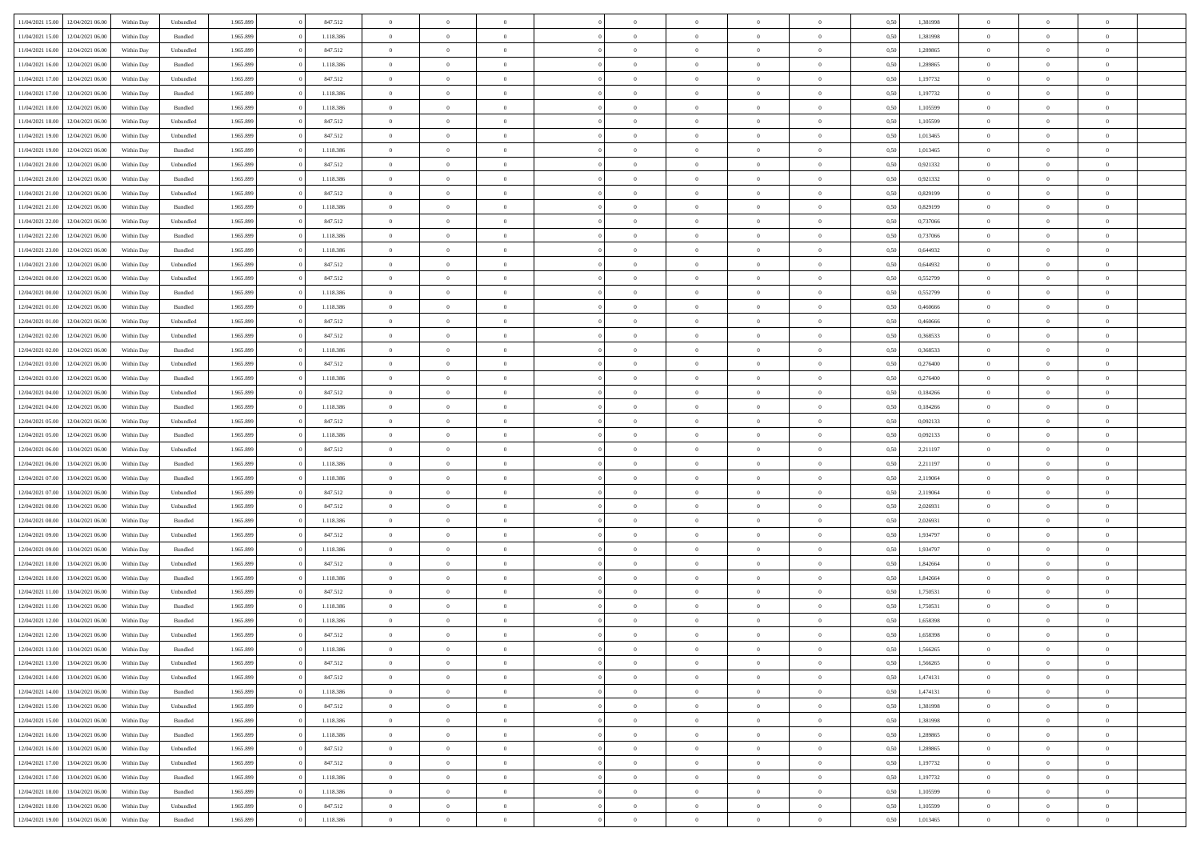| 11/04/2021 15:00                  | 12/04/2021 06:00 | Within Dav | Unbundled          | 1.965.899 | 847.512   | $\overline{0}$ | $\Omega$       |                | $\Omega$       | $\Omega$       | $\Omega$       | $\theta$       | 0,50 | 1,381998 | $\theta$       | $\theta$       | $\theta$       |  |
|-----------------------------------|------------------|------------|--------------------|-----------|-----------|----------------|----------------|----------------|----------------|----------------|----------------|----------------|------|----------|----------------|----------------|----------------|--|
|                                   |                  |            |                    |           |           |                |                |                |                |                |                |                |      |          |                |                |                |  |
| 11/04/2021 15:00                  | 12/04/2021 06:00 | Within Day | Bundled            | 1.965.899 | 1.118.386 | $\overline{0}$ | $\theta$       | $\overline{0}$ | $\overline{0}$ | $\bf{0}$       | $\overline{0}$ | $\bf{0}$       | 0,50 | 1,381998 | $\theta$       | $\overline{0}$ | $\overline{0}$ |  |
| 11/04/2021 16:00                  | 12/04/2021 06:00 | Within Day | Unbundled          | 1.965.899 | 847.512   | $\overline{0}$ | $\overline{0}$ | $\overline{0}$ | $\bf{0}$       | $\bf{0}$       | $\bf{0}$       | $\mathbf{0}$   | 0,50 | 1,289865 | $\bf{0}$       | $\overline{0}$ | $\overline{0}$ |  |
| 11/04/2021 16:00                  | 12/04/2021 06:00 | Within Dav | Bundled            | 1.965.899 | 1.118.386 | $\overline{0}$ | $\overline{0}$ | $\overline{0}$ | $\overline{0}$ | $\bf{0}$       | $\overline{0}$ | $\overline{0}$ | 0.50 | 1.289865 | $\theta$       | $\theta$       | $\overline{0}$ |  |
|                                   |                  |            |                    |           |           |                |                |                |                |                |                |                |      |          |                |                |                |  |
| 11/04/2021 17:00                  | 12/04/2021 06:00 | Within Day | Unbundled          | 1.965.899 | 847.512   | $\overline{0}$ | $\theta$       | $\overline{0}$ | $\overline{0}$ | $\bf{0}$       | $\overline{0}$ | $\bf{0}$       | 0,50 | 1,197732 | $\,$ 0 $\,$    | $\overline{0}$ | $\overline{0}$ |  |
| 11/04/2021 17:00                  | 12/04/2021 06:00 | Within Day | Bundled            | 1.965.899 | 1.118.386 | $\overline{0}$ | $\overline{0}$ | $\overline{0}$ | $\bf{0}$       | $\overline{0}$ | $\overline{0}$ | $\mathbf{0}$   | 0,50 | 1,197732 | $\bf{0}$       | $\overline{0}$ | $\bf{0}$       |  |
| 11/04/2021 18:00                  | 12/04/2021 06:00 | Within Dav | Bundled            | 1.965.899 | 1.118.386 | $\overline{0}$ | $\overline{0}$ | $\overline{0}$ | $\overline{0}$ | $\overline{0}$ | $\overline{0}$ | $\overline{0}$ | 0.50 | 1,105599 | $\theta$       | $\overline{0}$ | $\overline{0}$ |  |
| 11/04/2021 18:00                  | 12/04/2021 06:00 | Within Day | Unbundled          | 1.965.899 | 847.512   | $\overline{0}$ | $\theta$       | $\overline{0}$ | $\overline{0}$ | $\bf{0}$       | $\overline{0}$ | $\bf{0}$       | 0,50 | 1,105599 | $\theta$       | $\theta$       | $\overline{0}$ |  |
| 11/04/2021 19:00                  | 12/04/2021 06:00 | Within Day | Unbundled          | 1.965.899 | 847.512   | $\overline{0}$ | $\overline{0}$ | $\overline{0}$ | $\bf{0}$       | $\bf{0}$       | $\bf{0}$       | $\mathbf{0}$   | 0,50 | 1,013465 | $\,0\,$        | $\overline{0}$ | $\overline{0}$ |  |
| 11/04/2021 19:00                  | 12/04/2021 06:00 | Within Dav | Bundled            | 1.965.899 | 1.118.386 | $\overline{0}$ | $\overline{0}$ | $\overline{0}$ | $\overline{0}$ | $\overline{0}$ | $\overline{0}$ | $\overline{0}$ | 0.50 | 1,013465 | $\theta$       | $\overline{0}$ | $\overline{0}$ |  |
|                                   |                  |            |                    |           |           |                |                |                |                |                |                |                |      |          |                |                |                |  |
| 11/04/2021 20:00                  | 12/04/2021 06:00 | Within Day | Unbundled          | 1.965.899 | 847.512   | $\overline{0}$ | $\theta$       | $\overline{0}$ | $\overline{0}$ | $\bf{0}$       | $\overline{0}$ | $\bf{0}$       | 0,50 | 0,921332 | $\,$ 0 $\,$    | $\overline{0}$ | $\overline{0}$ |  |
| 11/04/2021 20:00                  | 12/04/2021 06:00 | Within Day | Bundled            | 1.965.899 | 1.118.386 | $\overline{0}$ | $\overline{0}$ | $\overline{0}$ | $\bf{0}$       | $\bf{0}$       | $\bf{0}$       | $\mathbf{0}$   | 0,50 | 0,921332 | $\bf{0}$       | $\overline{0}$ | $\overline{0}$ |  |
| 11/04/2021 21:00                  | 12/04/2021 06:00 | Within Day | Unbundled          | 1.965.899 | 847.512   | $\overline{0}$ | $\overline{0}$ | $\overline{0}$ | $\overline{0}$ | $\bf{0}$       | $\overline{0}$ | $\overline{0}$ | 0.50 | 0.829199 | $\theta$       | $\theta$       | $\overline{0}$ |  |
| 11/04/2021 21:00                  | 12/04/2021 06:00 | Within Day | Bundled            | 1.965.899 | 1.118.386 | $\overline{0}$ | $\theta$       | $\overline{0}$ | $\overline{0}$ | $\bf{0}$       | $\overline{0}$ | $\bf{0}$       | 0,50 | 0,829199 | $\theta$       | $\overline{0}$ | $\overline{0}$ |  |
| 11/04/2021 22:00                  | 12/04/2021 06:00 | Within Day | Unbundled          | 1.965.899 | 847.512   | $\overline{0}$ | $\overline{0}$ | $\overline{0}$ | $\bf{0}$       | $\overline{0}$ | $\overline{0}$ | $\mathbf{0}$   | 0,50 | 0,737066 | $\overline{0}$ | $\overline{0}$ | $\bf{0}$       |  |
|                                   |                  |            |                    |           |           |                |                |                |                |                |                |                |      |          |                |                |                |  |
| 11/04/2021 22.00                  | 12/04/2021 06:00 | Within Dav | Bundled            | 1.965.899 | 1.118.386 | $\overline{0}$ | $\overline{0}$ | $\overline{0}$ | $\overline{0}$ | $\overline{0}$ | $\overline{0}$ | $\overline{0}$ | 0.50 | 0,737066 | $\theta$       | $\overline{0}$ | $\overline{0}$ |  |
| 11/04/2021 23:00                  | 12/04/2021 06:00 | Within Day | Bundled            | 1.965.899 | 1.118.386 | $\overline{0}$ | $\theta$       | $\overline{0}$ | $\overline{0}$ | $\bf{0}$       | $\overline{0}$ | $\bf{0}$       | 0,50 | 0,644932 | $\,$ 0 $\,$    | $\theta$       | $\overline{0}$ |  |
| 11/04/2021 23:00                  | 12/04/2021 06:00 | Within Day | Unbundled          | 1.965.899 | 847.512   | $\overline{0}$ | $\overline{0}$ | $\overline{0}$ | $\bf{0}$       | $\bf{0}$       | $\bf{0}$       | $\mathbf{0}$   | 0,50 | 0,644932 | $\,0\,$        | $\overline{0}$ | $\overline{0}$ |  |
| 12/04/2021 00:00                  | 12/04/2021 06:00 | Within Day | Unbundled          | 1.965.899 | 847.512   | $\overline{0}$ | $\overline{0}$ | $\overline{0}$ | $\overline{0}$ | $\overline{0}$ | $\overline{0}$ | $\overline{0}$ | 0.50 | 0,552799 | $\theta$       | $\overline{0}$ | $\overline{0}$ |  |
| 12/04/2021 00:00                  | 12/04/2021 06:00 | Within Day | Bundled            | 1.965.899 | 1.118.386 | $\overline{0}$ | $\theta$       | $\overline{0}$ | $\overline{0}$ | $\bf{0}$       | $\overline{0}$ | $\bf{0}$       | 0,50 | 0,552799 | $\,$ 0 $\,$    | $\overline{0}$ | $\overline{0}$ |  |
| 12/04/2021 01:00                  | 12/04/2021 06:00 | Within Day | Bundled            | 1.965.899 | 1.118.386 | $\overline{0}$ | $\overline{0}$ | $\overline{0}$ | $\bf{0}$       | $\bf{0}$       | $\bf{0}$       | $\mathbf{0}$   | 0,50 | 0,460666 | $\overline{0}$ | $\overline{0}$ | $\overline{0}$ |  |
| 12/04/2021 01:00                  | 12/04/2021 06:00 | Within Day | Unbundled          | 1.965.899 | 847.512   | $\overline{0}$ | $\overline{0}$ | $\overline{0}$ | $\overline{0}$ | $\bf{0}$       | $\overline{0}$ | $\overline{0}$ | 0.50 | 0.460666 | $\theta$       | $\overline{0}$ | $\overline{0}$ |  |
|                                   |                  |            |                    |           |           |                |                |                |                |                |                |                |      |          |                |                |                |  |
| 12/04/2021 02:00                  | 12/04/2021 06:00 | Within Day | Unbundled          | 1.965.899 | 847.512   | $\overline{0}$ | $\theta$       | $\overline{0}$ | $\overline{0}$ | $\bf{0}$       | $\overline{0}$ | $\bf{0}$       | 0,50 | 0,368533 | $\,$ 0 $\,$    | $\overline{0}$ | $\overline{0}$ |  |
| 12/04/2021 02:00                  | 12/04/2021 06:00 | Within Day | Bundled            | 1.965.899 | 1.118.386 | $\overline{0}$ | $\overline{0}$ | $\overline{0}$ | $\bf{0}$       | $\overline{0}$ | $\overline{0}$ | $\mathbf{0}$   | 0,50 | 0,368533 | $\overline{0}$ | $\overline{0}$ | $\bf{0}$       |  |
| 12/04/2021 03:00                  | 12/04/2021 06:00 | Within Dav | Unbundled          | 1.965.899 | 847.512   | $\overline{0}$ | $\overline{0}$ | $\overline{0}$ | $\overline{0}$ | $\overline{0}$ | $\overline{0}$ | $\overline{0}$ | 0.50 | 0,276400 | $\theta$       | $\overline{0}$ | $\overline{0}$ |  |
| 12/04/2021 03:00                  | 12/04/2021 06:00 | Within Day | Bundled            | 1.965.899 | 1.118.386 | $\overline{0}$ | $\theta$       | $\overline{0}$ | $\overline{0}$ | $\bf{0}$       | $\overline{0}$ | $\bf{0}$       | 0,50 | 0,276400 | $\theta$       | $\theta$       | $\overline{0}$ |  |
| 12/04/2021 04:00                  | 12/04/2021 06:00 | Within Day | Unbundled          | 1.965.899 | 847.512   | $\overline{0}$ | $\overline{0}$ | $\overline{0}$ | $\bf{0}$       | $\bf{0}$       | $\bf{0}$       | $\bf{0}$       | 0,50 | 0,184266 | $\,0\,$        | $\overline{0}$ | $\overline{0}$ |  |
| 12/04/2021 04:00                  | 12/04/2021 06:00 | Within Day | Bundled            | 1.965.899 | 1.118.386 | $\overline{0}$ | $\overline{0}$ | $\overline{0}$ | $\overline{0}$ | $\overline{0}$ | $\overline{0}$ | $\overline{0}$ | 0.50 | 0,184266 | $\theta$       | $\overline{0}$ | $\overline{0}$ |  |
|                                   |                  |            |                    |           |           |                |                |                |                |                |                |                |      |          |                |                |                |  |
| 12/04/2021 05:00                  | 12/04/2021 06:00 | Within Day | Unbundled          | 1.965.899 | 847.512   | $\overline{0}$ | $\theta$       | $\overline{0}$ | $\overline{0}$ | $\bf{0}$       | $\overline{0}$ | $\bf{0}$       | 0,50 | 0,092133 | $\,$ 0 $\,$    | $\overline{0}$ | $\overline{0}$ |  |
| 12/04/2021 05:00                  | 12/04/2021 06:00 | Within Day | Bundled            | 1.965.899 | 1.118.386 | $\overline{0}$ | $\overline{0}$ | $\overline{0}$ | $\bf{0}$       | $\bf{0}$       | $\overline{0}$ | $\bf{0}$       | 0,50 | 0,092133 | $\overline{0}$ | $\overline{0}$ | $\overline{0}$ |  |
| 12/04/2021 06:00                  | 13/04/2021 06:00 | Within Day | Unbundled          | 1.965.899 | 847.512   | $\overline{0}$ | $\Omega$       | $\overline{0}$ | $\Omega$       | $\Omega$       | $\overline{0}$ | $\overline{0}$ | 0,50 | 2,211197 | $\,0\,$        | $\theta$       | $\theta$       |  |
| 12/04/2021 06:00                  | 13/04/2021 06:00 | Within Day | Bundled            | 1.965.899 | 1.118.386 | $\overline{0}$ | $\theta$       | $\overline{0}$ | $\overline{0}$ | $\bf{0}$       | $\overline{0}$ | $\bf{0}$       | 0,50 | 2,211197 | $\,$ 0 $\,$    | $\overline{0}$ | $\overline{0}$ |  |
| 12/04/2021 07:00                  | 13/04/2021 06:00 | Within Day | Bundled            | 1.965.899 | 1.118.386 | $\overline{0}$ | $\overline{0}$ | $\overline{0}$ | $\overline{0}$ | $\bf{0}$       | $\overline{0}$ | $\mathbf{0}$   | 0,50 | 2,119064 | $\overline{0}$ | $\overline{0}$ | $\bf{0}$       |  |
| 12/04/2021 07:00                  | 13/04/2021 06:00 | Within Day | Unbundled          | 1.965.899 | 847.512   | $\overline{0}$ | $\Omega$       | $\Omega$       | $\Omega$       | $\bf{0}$       | $\overline{0}$ | $\overline{0}$ | 0.50 | 2,119064 | $\,0\,$        | $\theta$       | $\theta$       |  |
| 12/04/2021 08:00                  | 13/04/2021 06:00 | Within Day | Unbundled          | 1.965.899 | 847.512   | $\overline{0}$ | $\theta$       | $\overline{0}$ | $\overline{0}$ | $\bf{0}$       | $\overline{0}$ | $\bf{0}$       | 0,50 | 2,026931 | $\,$ 0 $\,$    | $\overline{0}$ | $\overline{0}$ |  |
|                                   |                  |            |                    |           |           |                |                |                |                |                |                |                |      |          |                |                |                |  |
| 12/04/2021 08:00                  | 13/04/2021 06:00 | Within Day | Bundled            | 1.965.899 | 1.118.386 | $\overline{0}$ | $\overline{0}$ | $\overline{0}$ | $\overline{0}$ | $\bf{0}$       | $\overline{0}$ | $\mathbf{0}$   | 0,50 | 2,026931 | $\bf{0}$       | $\overline{0}$ | $\overline{0}$ |  |
| 12/04/2021 09:00                  | 13/04/2021 06:00 | Within Day | Unbundled          | 1.965.899 | 847.512   | $\overline{0}$ | $\Omega$       | $\overline{0}$ | $\Omega$       | $\overline{0}$ | $\overline{0}$ | $\overline{0}$ | 0.50 | 1,934797 | $\,$ 0 $\,$    | $\theta$       | $\theta$       |  |
| 12/04/2021 09:00                  | 13/04/2021 06:00 | Within Day | Bundled            | 1.965.899 | 1.118.386 | $\overline{0}$ | $\theta$       | $\overline{0}$ | $\overline{0}$ | $\,$ 0         | $\overline{0}$ | $\bf{0}$       | 0,50 | 1,934797 | $\,$ 0 $\,$    | $\overline{0}$ | $\overline{0}$ |  |
| 12/04/2021 10:00                  | 13/04/2021 06:00 | Within Day | Unbundled          | 1.965.899 | 847.512   | $\overline{0}$ | $\overline{0}$ | $\overline{0}$ | $\overline{0}$ | $\bf{0}$       | $\overline{0}$ | $\mathbf{0}$   | 0,50 | 1,842664 | $\overline{0}$ | $\overline{0}$ | $\overline{0}$ |  |
| 12/04/2021 10:00                  | 13/04/2021 06:00 | Within Day | Bundled            | 1.965.899 | 1.118.386 | $\overline{0}$ | $\Omega$       | $\overline{0}$ | $\Omega$       | $\overline{0}$ | $\overline{0}$ | $\overline{0}$ | 0,50 | 1,842664 | $\,0\,$        | $\theta$       | $\theta$       |  |
| 12/04/2021 11:00                  | 13/04/2021 06:00 | Within Day | Unbundled          | 1.965.899 | 847.512   | $\overline{0}$ | $\theta$       | $\overline{0}$ | $\overline{0}$ | $\,$ 0         | $\overline{0}$ | $\bf{0}$       | 0,50 | 1,750531 | $\,$ 0 $\,$    | $\overline{0}$ | $\overline{0}$ |  |
|                                   |                  |            |                    |           |           |                |                |                |                |                |                |                |      |          |                |                |                |  |
| 12/04/2021 11:00                  | 13/04/2021 06:00 | Within Day | Bundled            | 1.965.899 | 1.118.386 | $\overline{0}$ | $\overline{0}$ | $\overline{0}$ | $\overline{0}$ | $\bf{0}$       | $\overline{0}$ | $\mathbf{0}$   | 0,50 | 1,750531 | $\overline{0}$ | $\overline{0}$ | $\bf{0}$       |  |
| 12/04/2021 12:00                  | 13/04/2021 06:00 | Within Day | Bundled            | 1.965.899 | 1.118.386 | $\overline{0}$ | $\Omega$       | $\Omega$       | $\Omega$       | $\Omega$       | $\Omega$       | $\overline{0}$ | 0.50 | 1,658398 | $\theta$       | $\theta$       | $\theta$       |  |
| 12/04/2021 12:00                  | 13/04/2021 06:00 | Within Day | Unbundled          | 1.965.899 | 847.512   | $\overline{0}$ | $\,$ 0 $\,$    | $\overline{0}$ | $\bf{0}$       | $\,$ 0         | $\overline{0}$ | $\bf{0}$       | 0,50 | 1,658398 | $\,0\,$        | $\overline{0}$ | $\overline{0}$ |  |
| 12/04/2021 13:00                  | 13/04/2021 06:00 | Within Day | $\mathbf B$ undled | 1.965.899 | 1.118.386 | $\bf{0}$       | $\bf{0}$       |                |                |                |                |                | 0,50 | 1,566265 | $\bf{0}$       | $\overline{0}$ |                |  |
| 12/04/2021 13:00                  | 13/04/2021 06:00 | Within Day | Unbundled          | 1.965.899 | 847.512   | $\overline{0}$ | $\overline{0}$ | $\overline{0}$ | $\Omega$       | $\overline{0}$ | $\overline{0}$ | $\overline{0}$ | 0,50 | 1.566265 | $\theta$       | $\theta$       | $\theta$       |  |
| 12/04/2021 14:00                  | 13/04/2021 06:00 | Within Day | Unbundled          | 1.965.899 | 847.512   | $\overline{0}$ | $\bf{0}$       | $\overline{0}$ | $\bf{0}$       | $\,$ 0 $\,$    | $\overline{0}$ | $\,$ 0 $\,$    | 0,50 | 1,474131 | $\,$ 0 $\,$    | $\,$ 0 $\,$    | $\,$ 0         |  |
| 12/04/2021 14:00                  | 13/04/2021 06:00 | Within Day | Bundled            | 1.965.899 | 1.118.386 | $\overline{0}$ | $\overline{0}$ | $\overline{0}$ | $\overline{0}$ | $\overline{0}$ | $\overline{0}$ | $\mathbf{0}$   | 0,50 | 1,474131 | $\overline{0}$ | $\bf{0}$       | $\overline{0}$ |  |
|                                   |                  |            |                    |           |           |                |                |                |                |                |                |                |      |          |                |                |                |  |
| 12/04/2021 15:00                  | 13/04/2021 06:00 | Within Day | Unbundled          | 1.965.899 | 847.512   | $\overline{0}$ | $\overline{0}$ | $\overline{0}$ | $\Omega$       | $\overline{0}$ | $\overline{0}$ | $\overline{0}$ | 0,50 | 1,381998 | $\overline{0}$ | $\theta$       | $\overline{0}$ |  |
| 12/04/2021 15:00                  | 13/04/2021 06:00 | Within Day | Bundled            | 1.965.899 | 1.118.386 | $\overline{0}$ | $\,$ 0         | $\overline{0}$ | $\bf{0}$       | $\,$ 0 $\,$    | $\overline{0}$ | $\,$ 0 $\,$    | 0,50 | 1,381998 | $\,$ 0 $\,$    | $\overline{0}$ | $\overline{0}$ |  |
| 12/04/2021 16:00                  | 13/04/2021 06:00 | Within Day | Bundled            | 1.965.899 | 1.118.386 | $\overline{0}$ | $\overline{0}$ | $\overline{0}$ | $\overline{0}$ | $\overline{0}$ | $\overline{0}$ | $\mathbf{0}$   | 0,50 | 1,289865 | $\overline{0}$ | $\overline{0}$ | $\overline{0}$ |  |
| 12/04/2021 16:00                  | 13/04/2021 06:00 | Within Day | Unbundled          | 1.965.899 | 847.512   | $\overline{0}$ | $\overline{0}$ | $\overline{0}$ | $\overline{0}$ | $\overline{0}$ | $\overline{0}$ | $\bf{0}$       | 0.50 | 1,289865 | $\overline{0}$ | $\theta$       | $\overline{0}$ |  |
| 12/04/2021 17:00                  | 13/04/2021 06:00 | Within Day | Unbundled          | 1.965.899 | 847.512   | $\overline{0}$ | $\,$ 0         | $\overline{0}$ | $\bf{0}$       | $\bf{0}$       | $\bf{0}$       | $\bf{0}$       | 0,50 | 1,197732 | $\,$ 0 $\,$    | $\overline{0}$ | $\overline{0}$ |  |
| 12/04/2021 17:00                  | 13/04/2021 06:00 | Within Day | Bundled            | 1.965.899 | 1.118.386 | $\overline{0}$ | $\bf{0}$       | $\overline{0}$ | $\overline{0}$ | $\overline{0}$ | $\overline{0}$ | $\mathbf{0}$   | 0,50 | 1,197732 | $\overline{0}$ | $\overline{0}$ | $\bf{0}$       |  |
|                                   | 13/04/2021 06:00 |            |                    |           |           |                | $\overline{0}$ | $\overline{0}$ | $\Omega$       | $\overline{0}$ | $\overline{0}$ |                |      |          |                | $\overline{0}$ | $\overline{0}$ |  |
| 12/04/2021 18:00                  |                  | Within Day | Bundled            | 1.965.899 | 1.118.386 | $\overline{0}$ |                |                |                |                |                | $\overline{0}$ | 0.50 | 1,105599 | $\overline{0}$ |                |                |  |
| 12/04/2021 18:00                  | 13/04/2021 06:00 | Within Day | Unbundled          | 1.965.899 | 847.512   | $\overline{0}$ | $\bf{0}$       | $\overline{0}$ | $\bf{0}$       | $\bf{0}$       | $\bf{0}$       | $\mathbf{0}$   | 0,50 | 1,105599 | $\,$ 0 $\,$    | $\,$ 0 $\,$    | $\bf{0}$       |  |
| 12/04/2021 19:00 13/04/2021 06:00 |                  | Within Day | Bundled            | 1.965.899 | 1.118.386 | $\overline{0}$ | $\overline{0}$ | $\overline{0}$ | $\overline{0}$ | $\overline{0}$ | $\bf{0}$       | $\mathbf{0}$   | 0,50 | 1,013465 | $\overline{0}$ | $\bf{0}$       | $\overline{0}$ |  |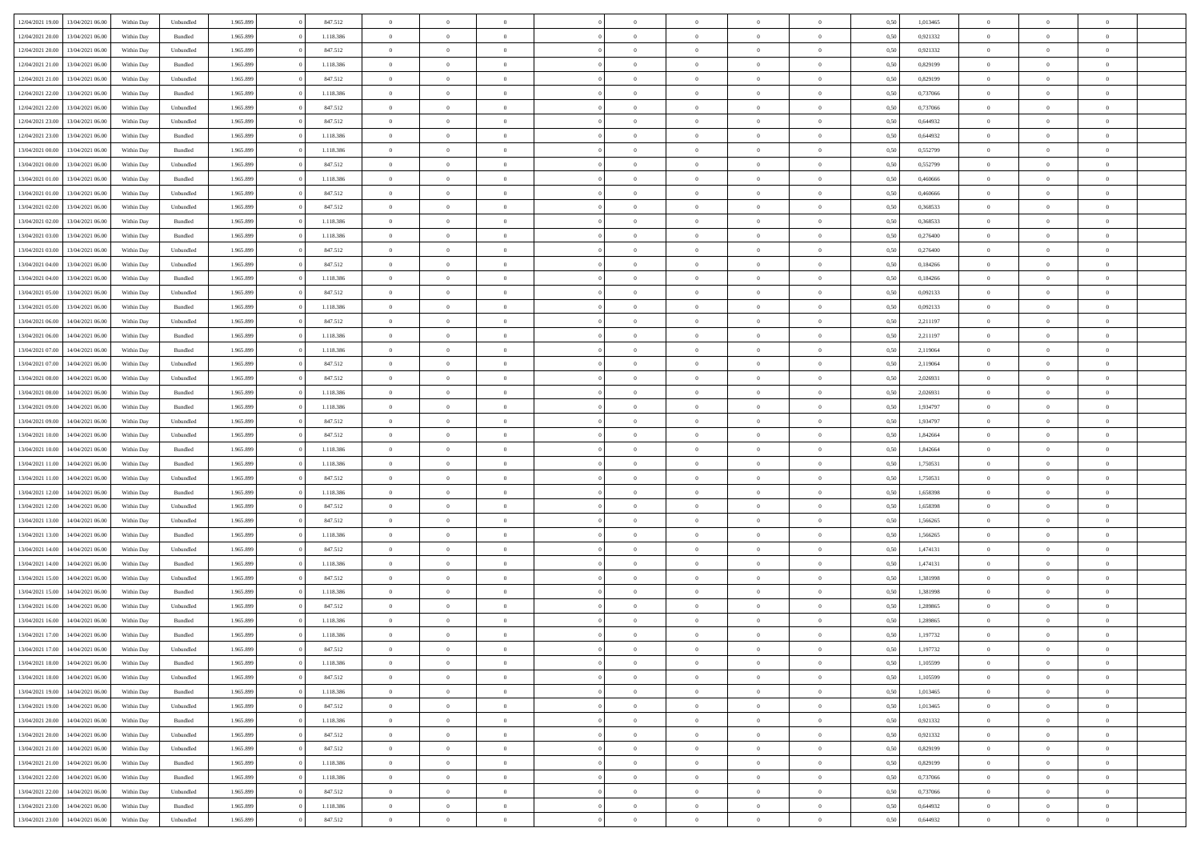| 12/04/2021 19:00 | 13/04/2021 06:00 | Within Dav | Unbundled | 1.965.899 | 847.512   | $\overline{0}$ | $\Omega$       |                | $\Omega$       | $\Omega$       | $\Omega$       | $\theta$       | 0,50 | 1,013465 | $\theta$       | $\theta$       | $\theta$       |  |
|------------------|------------------|------------|-----------|-----------|-----------|----------------|----------------|----------------|----------------|----------------|----------------|----------------|------|----------|----------------|----------------|----------------|--|
| 12/04/2021 20:00 | 13/04/2021 06:00 | Within Day | Bundled   | 1.965.899 | 1.118.386 | $\overline{0}$ | $\theta$       | $\overline{0}$ | $\overline{0}$ | $\bf{0}$       | $\overline{0}$ | $\bf{0}$       | 0,50 | 0,921332 | $\theta$       | $\overline{0}$ | $\overline{0}$ |  |
| 12/04/2021 20:00 | 13/04/2021 06:00 | Within Day | Unbundled | 1.965.899 | 847.512   | $\overline{0}$ | $\overline{0}$ | $\overline{0}$ | $\bf{0}$       | $\bf{0}$       | $\bf{0}$       | $\mathbf{0}$   | 0,50 | 0,921332 | $\bf{0}$       | $\overline{0}$ | $\overline{0}$ |  |
| 12/04/2021 21:00 | 13/04/2021 06:00 | Within Dav | Bundled   | 1.965.899 | 1.118.386 | $\overline{0}$ | $\overline{0}$ | $\overline{0}$ | $\overline{0}$ | $\bf{0}$       | $\overline{0}$ | $\overline{0}$ | 0.50 | 0.829199 | $\theta$       | $\theta$       | $\overline{0}$ |  |
| 12/04/2021 21:00 | 13/04/2021 06:00 | Within Day | Unbundled | 1.965.899 | 847.512   | $\overline{0}$ | $\theta$       | $\overline{0}$ | $\overline{0}$ | $\bf{0}$       | $\overline{0}$ | $\bf{0}$       | 0,50 | 0,829199 | $\theta$       | $\overline{0}$ | $\overline{0}$ |  |
|                  |                  |            |           |           |           |                |                |                |                |                |                |                |      |          |                |                |                |  |
| 12/04/2021 22:00 | 13/04/2021 06:00 | Within Day | Bundled   | 1.965.899 | 1.118.386 | $\overline{0}$ | $\overline{0}$ | $\overline{0}$ | $\bf{0}$       | $\overline{0}$ | $\overline{0}$ | $\mathbf{0}$   | 0,50 | 0,737066 | $\overline{0}$ | $\overline{0}$ | $\bf{0}$       |  |
| 12/04/2021 22:00 | 13/04/2021 06:00 | Within Dav | Unbundled | 1.965.899 | 847.512   | $\overline{0}$ | $\overline{0}$ | $\overline{0}$ | $\overline{0}$ | $\overline{0}$ | $\overline{0}$ | $\overline{0}$ | 0.50 | 0,737066 | $\theta$       | $\overline{0}$ | $\overline{0}$ |  |
| 12/04/2021 23:00 | 13/04/2021 06:00 | Within Day | Unbundled | 1.965.899 | 847.512   | $\overline{0}$ | $\theta$       | $\overline{0}$ | $\overline{0}$ | $\bf{0}$       | $\overline{0}$ | $\bf{0}$       | 0,50 | 0,644932 | $\theta$       | $\theta$       | $\overline{0}$ |  |
| 12/04/2021 23:00 | 13/04/2021 06:00 | Within Day | Bundled   | 1.965.899 | 1.118.386 | $\overline{0}$ | $\overline{0}$ | $\overline{0}$ | $\overline{0}$ | $\bf{0}$       | $\overline{0}$ | $\mathbf{0}$   | 0,50 | 0,644932 | $\,0\,$        | $\overline{0}$ | $\overline{0}$ |  |
| 13/04/2021 00:00 | 13/04/2021 06:00 | Within Dav | Bundled   | 1.965.899 | 1.118.386 | $\overline{0}$ | $\overline{0}$ | $\overline{0}$ | $\overline{0}$ | $\overline{0}$ | $\overline{0}$ | $\overline{0}$ | 0.50 | 0,552799 | $\theta$       | $\overline{0}$ | $\overline{0}$ |  |
| 13/04/2021 00:00 | 13/04/2021 06:00 | Within Day | Unbundled | 1.965.899 | 847.512   | $\overline{0}$ | $\theta$       | $\overline{0}$ | $\overline{0}$ | $\bf{0}$       | $\overline{0}$ | $\bf{0}$       | 0,50 | 0,552799 | $\,$ 0 $\,$    | $\overline{0}$ | $\overline{0}$ |  |
| 13/04/2021 01:00 | 13/04/2021 06:00 | Within Day | Bundled   | 1.965.899 | 1.118.386 | $\overline{0}$ | $\overline{0}$ | $\overline{0}$ | $\overline{0}$ | $\bf{0}$       | $\overline{0}$ | $\mathbf{0}$   | 0,50 | 0,460666 | $\bf{0}$       | $\overline{0}$ | $\bf{0}$       |  |
|                  |                  |            |           |           |           |                |                |                |                |                |                |                |      |          | $\theta$       |                |                |  |
| 13/04/2021 01:00 | 13/04/2021 06:00 | Within Day | Unbundled | 1.965.899 | 847.512   | $\overline{0}$ | $\overline{0}$ | $\overline{0}$ | $\overline{0}$ | $\bf{0}$       | $\overline{0}$ | $\overline{0}$ | 0.50 | 0.460666 |                | $\theta$       | $\overline{0}$ |  |
| 13/04/2021 02:00 | 13/04/2021 06:00 | Within Day | Unbundled | 1.965.899 | 847.512   | $\overline{0}$ | $\theta$       | $\overline{0}$ | $\overline{0}$ | $\bf{0}$       | $\overline{0}$ | $\bf{0}$       | 0,50 | 0,368533 | $\theta$       | $\overline{0}$ | $\overline{0}$ |  |
| 13/04/2021 02:00 | 13/04/2021 06:00 | Within Day | Bundled   | 1.965.899 | 1.118.386 | $\overline{0}$ | $\overline{0}$ | $\overline{0}$ | $\overline{0}$ | $\overline{0}$ | $\overline{0}$ | $\mathbf{0}$   | 0,50 | 0,368533 | $\bf{0}$       | $\overline{0}$ | $\bf{0}$       |  |
| 13/04/2021 03:00 | 13/04/2021 06:00 | Within Dav | Bundled   | 1.965.899 | 1.118.386 | $\overline{0}$ | $\overline{0}$ | $\overline{0}$ | $\overline{0}$ | $\overline{0}$ | $\overline{0}$ | $\overline{0}$ | 0.50 | 0,276400 | $\theta$       | $\overline{0}$ | $\overline{0}$ |  |
| 13/04/2021 03:00 | 13/04/2021 06:00 | Within Day | Unbundled | 1.965.899 | 847.512   | $\overline{0}$ | $\theta$       | $\overline{0}$ | $\overline{0}$ | $\bf{0}$       | $\overline{0}$ | $\bf{0}$       | 0,50 | 0,276400 | $\,$ 0 $\,$    | $\theta$       | $\overline{0}$ |  |
| 13/04/2021 04:00 | 13/04/2021 06:00 | Within Day | Unbundled | 1.965.899 | 847.512   | $\overline{0}$ | $\overline{0}$ | $\overline{0}$ | $\overline{0}$ | $\bf{0}$       | $\overline{0}$ | $\mathbf{0}$   | 0,50 | 0,184266 | $\bf{0}$       | $\overline{0}$ | $\overline{0}$ |  |
| 13/04/2021 04:00 | 13/04/2021 06:00 | Within Day | Bundled   | 1.965.899 | 1.118.386 | $\overline{0}$ | $\overline{0}$ | $\overline{0}$ | $\overline{0}$ | $\overline{0}$ | $\overline{0}$ | $\overline{0}$ | 0.50 | 0,184266 | $\theta$       | $\overline{0}$ | $\overline{0}$ |  |
| 13/04/2021 05:00 | 13/04/2021 06:00 |            |           | 1.965.899 | 847.512   | $\overline{0}$ | $\theta$       | $\overline{0}$ | $\overline{0}$ | $\bf{0}$       | $\overline{0}$ |                |      | 0,092133 | $\,$ 0 $\,$    | $\overline{0}$ | $\overline{0}$ |  |
|                  |                  | Within Day | Unbundled |           |           |                |                |                |                |                |                | $\bf{0}$       | 0,50 |          |                |                |                |  |
| 13/04/2021 05:00 | 13/04/2021 06:00 | Within Day | Bundled   | 1.965.899 | 1.118.386 | $\overline{0}$ | $\overline{0}$ | $\overline{0}$ | $\overline{0}$ | $\bf{0}$       | $\overline{0}$ | $\mathbf{0}$   | 0,50 | 0,092133 | $\,0\,$        | $\overline{0}$ | $\overline{0}$ |  |
| 13/04/2021 06:00 | 14/04/2021 06:00 | Within Day | Unbundled | 1.965.899 | 847.512   | $\overline{0}$ | $\overline{0}$ | $\overline{0}$ | $\overline{0}$ | $\overline{0}$ | $\overline{0}$ | $\overline{0}$ | 0.50 | 2,211197 | $\theta$       | $\overline{0}$ | $\overline{0}$ |  |
| 13/04/2021 06:00 | 14/04/2021 06:00 | Within Day | Bundled   | 1.965.899 | 1.118.386 | $\overline{0}$ | $\theta$       | $\overline{0}$ | $\overline{0}$ | $\bf{0}$       | $\overline{0}$ | $\bf{0}$       | 0,50 | 2,211197 | $\,$ 0 $\,$    | $\overline{0}$ | $\overline{0}$ |  |
| 13/04/2021 07:00 | 14/04/2021 06:00 | Within Day | Bundled   | 1.965.899 | 1.118.386 | $\overline{0}$ | $\overline{0}$ | $\overline{0}$ | $\overline{0}$ | $\overline{0}$ | $\overline{0}$ | $\mathbf{0}$   | 0,50 | 2,119064 | $\bf{0}$       | $\overline{0}$ | $\bf{0}$       |  |
| 13/04/2021 07:00 | 14/04/2021 06:00 | Within Dav | Unbundled | 1.965.899 | 847.512   | $\overline{0}$ | $\overline{0}$ | $\overline{0}$ | $\overline{0}$ | $\overline{0}$ | $\overline{0}$ | $\overline{0}$ | 0.50 | 2,119064 | $\theta$       | $\overline{0}$ | $\overline{0}$ |  |
| 13/04/2021 08:00 | 14/04/2021 06:00 | Within Day | Unbundled | 1.965.899 | 847.512   | $\overline{0}$ | $\theta$       | $\overline{0}$ | $\overline{0}$ | $\bf{0}$       | $\overline{0}$ | $\bf{0}$       | 0,50 | 2,026931 | $\,$ 0 $\,$    | $\theta$       | $\overline{0}$ |  |
| 13/04/2021 08:00 | 14/04/2021 06:00 | Within Day | Bundled   | 1.965.899 | 1.118.386 | $\overline{0}$ | $\overline{0}$ | $\overline{0}$ | $\overline{0}$ | $\bf{0}$       | $\overline{0}$ | $\mathbf{0}$   | 0,50 | 2,026931 | $\,0\,$        | $\overline{0}$ | $\overline{0}$ |  |
|                  | 14/04/2021 06:00 |            | Bundled   | 1.965.899 | 1.118.386 | $\overline{0}$ | $\overline{0}$ | $\overline{0}$ | $\overline{0}$ | $\overline{0}$ | $\overline{0}$ | $\overline{0}$ | 0.50 | 1,934797 | $\theta$       | $\overline{0}$ | $\overline{0}$ |  |
| 13/04/2021 09:00 |                  | Within Day |           |           |           |                |                |                |                |                |                |                |      |          |                |                |                |  |
| 13/04/2021 09:00 | 14/04/2021 06:00 | Within Day | Unbundled | 1.965.899 | 847.512   | $\overline{0}$ | $\theta$       | $\overline{0}$ | $\overline{0}$ | $\bf{0}$       | $\overline{0}$ | $\bf{0}$       | 0,50 | 1,934797 | $\,$ 0 $\,$    | $\overline{0}$ | $\overline{0}$ |  |
| 13/04/2021 10:00 | 14/04/2021 06:00 | Within Day | Unbundled | 1.965.899 | 847.512   | $\overline{0}$ | $\overline{0}$ | $\overline{0}$ | $\bf{0}$       | $\bf{0}$       | $\bf{0}$       | $\bf{0}$       | 0,50 | 1,842664 | $\overline{0}$ | $\overline{0}$ | $\overline{0}$ |  |
| 13/04/2021 10:00 | 14/04/2021 06:00 | Within Day | Bundled   | 1.965.899 | 1.118.386 | $\overline{0}$ | $\Omega$       | $\overline{0}$ | $\Omega$       | $\Omega$       | $\overline{0}$ | $\overline{0}$ | 0,50 | 1,842664 | $\,0\,$        | $\theta$       | $\theta$       |  |
| 13/04/2021 11:00 | 14/04/2021 06:00 | Within Day | Bundled   | 1.965.899 | 1.118.386 | $\overline{0}$ | $\theta$       | $\overline{0}$ | $\overline{0}$ | $\bf{0}$       | $\overline{0}$ | $\bf{0}$       | 0,50 | 1,750531 | $\,$ 0 $\,$    | $\overline{0}$ | $\overline{0}$ |  |
| 13/04/2021 11:00 | 14/04/2021 06:00 | Within Day | Unbundled | 1.965.899 | 847.512   | $\overline{0}$ | $\overline{0}$ | $\overline{0}$ | $\bf{0}$       | $\bf{0}$       | $\overline{0}$ | $\mathbf{0}$   | 0,50 | 1,750531 | $\overline{0}$ | $\overline{0}$ | $\bf{0}$       |  |
| 13/04/2021 12:00 | 14/04/2021 06:00 | Within Day | Bundled   | 1.965.899 | 1.118.386 | $\overline{0}$ | $\Omega$       | $\Omega$       | $\Omega$       | $\overline{0}$ | $\overline{0}$ | $\overline{0}$ | 0.50 | 1,658398 | $\,0\,$        | $\theta$       | $\theta$       |  |
| 13/04/2021 12:00 | 14/04/2021 06:00 | Within Day | Unbundled | 1.965.899 | 847.512   | $\overline{0}$ | $\theta$       | $\overline{0}$ | $\overline{0}$ | $\bf{0}$       | $\overline{0}$ | $\bf{0}$       | 0,50 | 1,658398 | $\,$ 0 $\,$    | $\overline{0}$ | $\overline{0}$ |  |
|                  |                  |            |           |           |           |                | $\overline{0}$ |                |                | $\bf{0}$       |                |                |      |          | $\bf{0}$       | $\overline{0}$ | $\overline{0}$ |  |
| 13/04/2021 13:00 | 14/04/2021 06:00 | Within Day | Unbundled | 1.965.899 | 847.512   | $\overline{0}$ |                | $\overline{0}$ | $\bf{0}$       |                | $\bf{0}$       | $\bf{0}$       | 0,50 | 1,566265 |                |                |                |  |
| 13/04/2021 13:00 | 14/04/2021 06:00 | Within Day | Bundled   | 1.965.899 | 1.118.386 | $\overline{0}$ | $\Omega$       | $\overline{0}$ | $\Omega$       | $\overline{0}$ | $\overline{0}$ | $\overline{0}$ | 0.50 | 1.566265 | $\,$ 0 $\,$    | $\theta$       | $\theta$       |  |
| 13/04/2021 14:00 | 14/04/2021 06:00 | Within Day | Unbundled | 1.965.899 | 847.512   | $\overline{0}$ | $\theta$       | $\overline{0}$ | $\overline{0}$ | $\,$ 0         | $\overline{0}$ | $\bf{0}$       | 0,50 | 1,474131 | $\,$ 0 $\,$    | $\overline{0}$ | $\overline{0}$ |  |
| 13/04/2021 14:00 | 14/04/2021 06:00 | Within Day | Bundled   | 1.965.899 | 1.118.386 | $\overline{0}$ | $\overline{0}$ | $\overline{0}$ | $\bf{0}$       | $\bf{0}$       | $\bf{0}$       | $\mathbf{0}$   | 0,50 | 1,474131 | $\overline{0}$ | $\overline{0}$ | $\overline{0}$ |  |
| 13/04/2021 15:00 | 14/04/2021 06:00 | Within Day | Unbundled | 1.965.899 | 847.512   | $\overline{0}$ | $\Omega$       | $\overline{0}$ | $\Omega$       | $\overline{0}$ | $\overline{0}$ | $\overline{0}$ | 0,50 | 1,381998 | $\,0\,$        | $\theta$       | $\theta$       |  |
| 13/04/2021 15:00 | 14/04/2021 06:00 | Within Day | Bundled   | 1.965.899 | 1.118.386 | $\overline{0}$ | $\theta$       | $\overline{0}$ | $\overline{0}$ | $\,$ 0         | $\overline{0}$ | $\bf{0}$       | 0,50 | 1,381998 | $\,$ 0 $\,$    | $\overline{0}$ | $\overline{0}$ |  |
| 13/04/2021 16:00 | 14/04/2021 06:00 | Within Day | Unbundled | 1.965.899 | 847.512   | $\overline{0}$ | $\overline{0}$ | $\overline{0}$ | $\bf{0}$       | $\bf{0}$       | $\bf{0}$       | $\mathbf{0}$   | 0,50 | 1,289865 | $\overline{0}$ | $\overline{0}$ | $\bf{0}$       |  |
| 13/04/2021 16:00 | 14/04/2021 06:00 | Within Day | Bundled   | 1.965.899 | 1.118.386 | $\overline{0}$ | $\Omega$       | $\Omega$       | $\Omega$       | $\Omega$       | $\Omega$       | $\overline{0}$ | 0.50 | 1,289865 | $\theta$       | $\theta$       | $\theta$       |  |
| 13/04/2021 17:00 | 14/04/2021 06:00 | Within Day | Bundled   | 1.965.899 | 1.118.386 | $\overline{0}$ | $\,$ 0 $\,$    | $\overline{0}$ | $\bf{0}$       | $\,$ 0         | $\bf{0}$       | $\bf{0}$       | 0,50 | 1,197732 | $\,0\,$        | $\overline{0}$ | $\overline{0}$ |  |
|                  |                  |            |           |           |           |                |                |                |                |                |                |                |      |          |                |                |                |  |
| 13/04/2021 17:00 | 14/04/2021 06:00 | Within Day | Unbundled | 1.965.899 | 847.512   | $\bf{0}$       | $\bf{0}$       |                |                |                |                |                | 0,50 | 1,197732 | $\bf{0}$       | $\overline{0}$ |                |  |
| 13/04/2021 18:00 | 14/04/2021 06:00 | Within Day | Bundled   | 1.965.899 | 1.118.386 | $\overline{0}$ | $\overline{0}$ | $\overline{0}$ | $\Omega$       | $\overline{0}$ | $\overline{0}$ | $\overline{0}$ | 0,50 | 1,105599 | $\theta$       | $\theta$       | $\Omega$       |  |
| 13/04/2021 18:00 | 14/04/2021 06:00 | Within Day | Unbundled | 1.965.899 | 847.512   | $\overline{0}$ | $\,$ 0         | $\overline{0}$ | $\overline{0}$ | $\,$ 0 $\,$    | $\overline{0}$ | $\,$ 0 $\,$    | 0,50 | 1,105599 | $\,$ 0 $\,$    | $\,$ 0 $\,$    | $\,$ 0         |  |
| 13/04/2021 19:00 | 14/04/2021 06:00 | Within Day | Bundled   | 1.965.899 | 1.118.386 | $\overline{0}$ | $\overline{0}$ | $\overline{0}$ | $\overline{0}$ | $\overline{0}$ | $\overline{0}$ | $\mathbf{0}$   | 0,50 | 1,013465 | $\overline{0}$ | $\bf{0}$       | $\bf{0}$       |  |
| 13/04/2021 19:00 | 14/04/2021 06:00 | Within Day | Unbundled | 1.965.899 | 847.512   | $\overline{0}$ | $\overline{0}$ | $\overline{0}$ | $\Omega$       | $\overline{0}$ | $\overline{0}$ | $\overline{0}$ | 0,50 | 1,013465 | $\overline{0}$ | $\overline{0}$ | $\overline{0}$ |  |
| 13/04/2021 20:00 | 14/04/2021 06:00 | Within Day | Bundled   | 1.965.899 | 1.118.386 | $\overline{0}$ | $\,$ 0         | $\overline{0}$ | $\overline{0}$ | $\,$ 0 $\,$    | $\overline{0}$ | $\mathbf{0}$   | 0,50 | 0,921332 | $\,$ 0 $\,$    | $\overline{0}$ | $\overline{0}$ |  |
| 13/04/2021 20:00 | 14/04/2021 06:00 | Within Day | Unbundled | 1.965.899 | 847.512   | $\overline{0}$ | $\overline{0}$ | $\overline{0}$ | $\overline{0}$ | $\overline{0}$ | $\overline{0}$ | $\mathbf{0}$   | 0,50 | 0,921332 | $\overline{0}$ | $\overline{0}$ | $\bf{0}$       |  |
|                  | 14/04/2021 06:00 |            |           |           |           |                | $\overline{0}$ | $\overline{0}$ |                | $\overline{0}$ | $\overline{0}$ |                | 0.50 |          |                | $\theta$       | $\overline{0}$ |  |
| 13/04/2021 21:00 |                  | Within Day | Unbundled | 1.965.899 | 847.512   | $\overline{0}$ |                |                | $\overline{0}$ |                |                | $\bf{0}$       |      | 0,829199 | $\overline{0}$ |                |                |  |
| 13/04/2021 21:00 | 14/04/2021 06:00 | Within Day | Bundled   | 1.965.899 | 1.118.386 | $\overline{0}$ | $\,$ 0         | $\overline{0}$ | $\overline{0}$ | $\bf{0}$       | $\overline{0}$ | $\bf{0}$       | 0,50 | 0,829199 | $\,$ 0 $\,$    | $\overline{0}$ | $\overline{0}$ |  |
| 13/04/2021 22:00 | 14/04/2021 06:00 | Within Day | Bundled   | 1.965.899 | 1.118.386 | $\overline{0}$ | $\bf{0}$       | $\overline{0}$ | $\overline{0}$ | $\overline{0}$ | $\overline{0}$ | $\mathbf{0}$   | 0,50 | 0,737066 | $\overline{0}$ | $\overline{0}$ | $\bf{0}$       |  |
| 13/04/2021 22:00 | 14/04/2021 06:00 | Within Day | Unbundled | 1.965.899 | 847.512   | $\overline{0}$ | $\overline{0}$ | $\overline{0}$ | $\Omega$       | $\overline{0}$ | $\overline{0}$ | $\overline{0}$ | 0.50 | 0,737066 | $\overline{0}$ | $\overline{0}$ | $\overline{0}$ |  |
| 13/04/2021 23:00 | 14/04/2021 06:00 | Within Day | Bundled   | 1.965.899 | 1.118.386 | $\overline{0}$ | $\bf{0}$       | $\overline{0}$ | $\bf{0}$       | $\bf{0}$       | $\overline{0}$ | $\mathbf{0}$   | 0,50 | 0,644932 | $\,$ 0 $\,$    | $\,$ 0 $\,$    | $\bf{0}$       |  |
| 13/04/2021 23:00 | 14/04/2021 06:00 | Within Day | Unbundled | 1.965.899 | 847.512   | $\overline{0}$ | $\overline{0}$ | $\overline{0}$ | $\overline{0}$ | $\overline{0}$ | $\overline{0}$ | $\mathbf{0}$   | 0,50 | 0,644932 | $\overline{0}$ | $\bf{0}$       | $\bf{0}$       |  |
|                  |                  |            |           |           |           |                |                |                |                |                |                |                |      |          |                |                |                |  |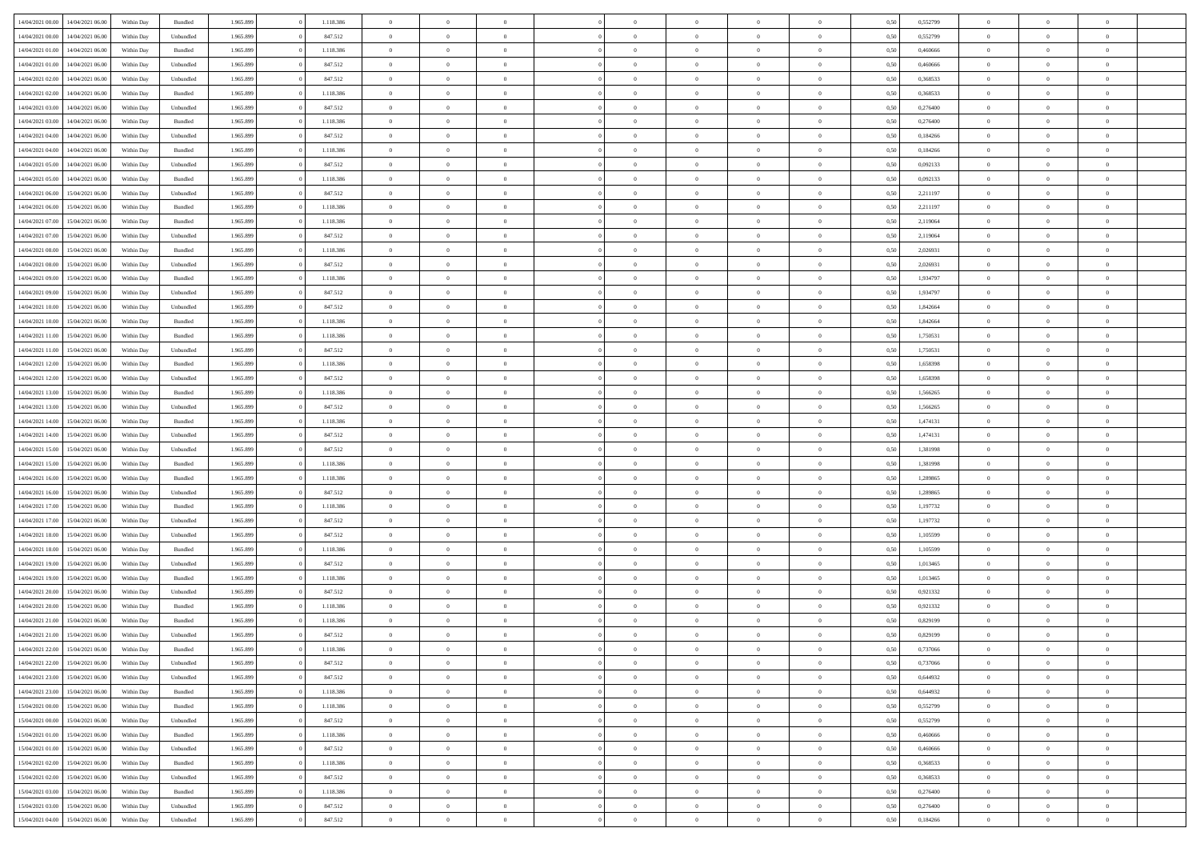| 14/04/2021 00:00 | 14/04/2021 06:00 | Within Day | Bundled            | 1.965.899 | 1.118.386 | $\overline{0}$ | $\theta$       |                | $\Omega$       | $\Omega$       | $\theta$       | $\theta$       | 0,50 | 0,552799 | $\theta$       | $\theta$       | $\theta$       |  |
|------------------|------------------|------------|--------------------|-----------|-----------|----------------|----------------|----------------|----------------|----------------|----------------|----------------|------|----------|----------------|----------------|----------------|--|
|                  |                  |            |                    |           |           |                |                |                |                |                |                |                |      |          |                |                |                |  |
| 14/04/2021 00:00 | 14/04/2021 06:00 | Within Day | Unbundled          | 1.965.899 | 847.512   | $\overline{0}$ | $\theta$       | $\overline{0}$ | $\overline{0}$ | $\bf{0}$       | $\overline{0}$ | $\bf{0}$       | 0,50 | 0,552799 | $\theta$       | $\overline{0}$ | $\overline{0}$ |  |
| 14/04/2021 01:00 | 14/04/2021 06:00 | Within Day | Bundled            | 1.965.899 | 1.118.386 | $\overline{0}$ | $\overline{0}$ | $\overline{0}$ | $\overline{0}$ | $\bf{0}$       | $\overline{0}$ | $\mathbf{0}$   | 0,50 | 0,460666 | $\bf{0}$       | $\overline{0}$ | $\bf{0}$       |  |
| 14/04/2021 01:00 | 14/04/2021 06:00 | Within Day | Unbundled          | 1.965.899 | 847.512   | $\overline{0}$ | $\overline{0}$ | $\overline{0}$ | $\overline{0}$ | $\bf{0}$       | $\overline{0}$ | $\overline{0}$ | 0.50 | 0.460666 | $\theta$       | $\theta$       | $\overline{0}$ |  |
|                  |                  |            |                    |           |           |                |                |                |                |                |                |                |      |          |                |                |                |  |
| 14/04/2021 02:00 | 14/04/2021 06:00 | Within Day | Unbundled          | 1.965.899 | 847.512   | $\overline{0}$ | $\theta$       | $\overline{0}$ | $\overline{0}$ | $\bf{0}$       | $\overline{0}$ | $\bf{0}$       | 0,50 | 0,368533 | $\,$ 0 $\,$    | $\overline{0}$ | $\overline{0}$ |  |
| 14/04/2021 02:00 | 14/04/2021 06:00 | Within Day | Bundled            | 1.965.899 | 1.118.386 | $\overline{0}$ | $\overline{0}$ | $\overline{0}$ | $\overline{0}$ | $\overline{0}$ | $\overline{0}$ | $\mathbf{0}$   | 0,50 | 0,368533 | $\bf{0}$       | $\overline{0}$ | $\bf{0}$       |  |
| 14/04/2021 03:00 | 14/04/2021 06:00 | Within Dav | Unbundled          | 1.965.899 | 847.512   | $\overline{0}$ | $\overline{0}$ | $\overline{0}$ | $\overline{0}$ | $\overline{0}$ | $\overline{0}$ | $\overline{0}$ | 0.50 | 0,276400 | $\theta$       | $\overline{0}$ | $\overline{0}$ |  |
| 14/04/2021 03:00 | 14/04/2021 06:00 | Within Day | Bundled            | 1.965.899 | 1.118.386 | $\overline{0}$ | $\theta$       | $\overline{0}$ | $\overline{0}$ | $\bf{0}$       | $\overline{0}$ | $\bf{0}$       | 0,50 | 0,276400 | $\,$ 0 $\,$    | $\theta$       | $\overline{0}$ |  |
|                  |                  |            |                    |           |           |                | $\overline{0}$ |                |                | $\bf{0}$       |                |                |      |          | $\,0\,$        | $\overline{0}$ | $\overline{0}$ |  |
| 14/04/2021 04:00 | 14/04/2021 06:00 | Within Day | Unbundled          | 1.965.899 | 847.512   | $\overline{0}$ |                | $\overline{0}$ | $\bf{0}$       |                | $\bf{0}$       | $\mathbf{0}$   | 0,50 | 0,184266 |                |                |                |  |
| 14/04/2021 04:00 | 14/04/2021 06:00 | Within Dav | Bundled            | 1.965.899 | 1.118.386 | $\overline{0}$ | $\overline{0}$ | $\overline{0}$ | $\overline{0}$ | $\overline{0}$ | $\overline{0}$ | $\overline{0}$ | 0.50 | 0,184266 | $\theta$       | $\overline{0}$ | $\overline{0}$ |  |
| 14/04/2021 05:00 | 14/04/2021 06:00 | Within Day | Unbundled          | 1.965.899 | 847.512   | $\overline{0}$ | $\theta$       | $\overline{0}$ | $\overline{0}$ | $\bf{0}$       | $\overline{0}$ | $\bf{0}$       | 0,50 | 0,092133 | $\,$ 0 $\,$    | $\overline{0}$ | $\overline{0}$ |  |
| 14/04/2021 05:00 | 14/04/2021 06:00 | Within Day | Bundled            | 1.965.899 | 1.118.386 | $\overline{0}$ | $\overline{0}$ | $\overline{0}$ | $\bf{0}$       | $\bf{0}$       | $\bf{0}$       | $\mathbf{0}$   | 0,50 | 0,092133 | $\overline{0}$ | $\overline{0}$ | $\bf{0}$       |  |
| 14/04/2021 06:00 | 15/04/2021 06:00 | Within Day | Unbundled          | 1.965.899 | 847.512   | $\overline{0}$ | $\overline{0}$ | $\overline{0}$ | $\overline{0}$ | $\overline{0}$ | $\overline{0}$ | $\overline{0}$ | 0.50 | 2,211197 | $\theta$       | $\theta$       | $\overline{0}$ |  |
|                  |                  |            |                    |           |           | $\overline{0}$ | $\theta$       | $\overline{0}$ | $\overline{0}$ | $\bf{0}$       | $\overline{0}$ |                |      |          | $\,$ 0 $\,$    | $\overline{0}$ | $\overline{0}$ |  |
| 14/04/2021 06:00 | 15/04/2021 06:00 | Within Day | Bundled            | 1.965.899 | 1.118.386 |                |                |                |                |                |                | $\bf{0}$       | 0,50 | 2,211197 |                |                |                |  |
| 14/04/2021 07:00 | 15/04/2021 06:00 | Within Day | Bundled            | 1.965.899 | 1.118.386 | $\overline{0}$ | $\overline{0}$ | $\overline{0}$ | $\bf{0}$       | $\overline{0}$ | $\overline{0}$ | $\mathbf{0}$   | 0,50 | 2,119064 | $\overline{0}$ | $\overline{0}$ | $\bf{0}$       |  |
| 14/04/2021 07:00 | 15/04/2021 06:00 | Within Dav | Unbundled          | 1.965.899 | 847.512   | $\overline{0}$ | $\overline{0}$ | $\overline{0}$ | $\overline{0}$ | $\overline{0}$ | $\overline{0}$ | $\overline{0}$ | 0.50 | 2,119064 | $\overline{0}$ | $\overline{0}$ | $\overline{0}$ |  |
| 14/04/2021 08:00 | 15/04/2021 06:00 | Within Day | Bundled            | 1.965.899 | 1.118.386 | $\overline{0}$ | $\theta$       | $\overline{0}$ | $\overline{0}$ | $\bf{0}$       | $\overline{0}$ | $\bf{0}$       | 0,50 | 2,026931 | $\,$ 0 $\,$    | $\overline{0}$ | $\overline{0}$ |  |
| 14/04/2021 08:00 | 15/04/2021 06:00 | Within Day | Unbundled          | 1.965.899 | 847.512   | $\overline{0}$ | $\overline{0}$ | $\overline{0}$ | $\bf{0}$       | $\bf{0}$       | $\bf{0}$       | $\mathbf{0}$   | 0,50 | 2,026931 | $\bf{0}$       | $\overline{0}$ | $\bf{0}$       |  |
|                  |                  |            |                    |           |           |                |                |                |                |                |                |                |      |          |                |                |                |  |
| 14/04/2021 09:00 | 15/04/2021 06:00 | Within Day | Bundled            | 1.965.899 | 1.118.386 | $\overline{0}$ | $\overline{0}$ | $\overline{0}$ | $\overline{0}$ | $\overline{0}$ | $\overline{0}$ | $\overline{0}$ | 0.50 | 1,934797 | $\theta$       | $\overline{0}$ | $\overline{0}$ |  |
| 14/04/2021 09:00 | 15/04/2021 06:00 | Within Day | Unbundled          | 1.965.899 | 847.512   | $\overline{0}$ | $\theta$       | $\overline{0}$ | $\overline{0}$ | $\bf{0}$       | $\overline{0}$ | $\bf{0}$       | 0,50 | 1,934797 | $\,$ 0 $\,$    | $\overline{0}$ | $\overline{0}$ |  |
| 14/04/2021 10:00 | 15/04/2021 06:00 | Within Day | Unbundled          | 1.965.899 | 847.512   | $\overline{0}$ | $\overline{0}$ | $\overline{0}$ | $\bf{0}$       | $\bf{0}$       | $\bf{0}$       | $\mathbf{0}$   | 0,50 | 1,842664 | $\overline{0}$ | $\overline{0}$ | $\bf{0}$       |  |
| 14/04/2021 10:00 | 15/04/2021 06:00 | Within Day | Bundled            | 1.965.899 | 1.118.386 | $\overline{0}$ | $\overline{0}$ | $\overline{0}$ | $\overline{0}$ | $\overline{0}$ | $\overline{0}$ | $\overline{0}$ | 0.50 | 1.842664 | $\theta$       | $\overline{0}$ | $\overline{0}$ |  |
| 14/04/2021 11:00 | 15/04/2021 06:00 | Within Day | Bundled            | 1.965.899 | 1.118.386 | $\overline{0}$ | $\theta$       | $\overline{0}$ | $\overline{0}$ | $\bf{0}$       | $\overline{0}$ | $\,$ 0 $\,$    | 0,50 | 1,750531 | $\,$ 0 $\,$    | $\overline{0}$ | $\overline{0}$ |  |
|                  |                  |            |                    |           |           |                |                |                |                |                |                |                |      |          |                |                |                |  |
| 14/04/2021 11:00 | 15/04/2021 06:00 | Within Day | Unbundled          | 1.965.899 | 847.512   | $\overline{0}$ | $\overline{0}$ | $\overline{0}$ | $\overline{0}$ | $\overline{0}$ | $\overline{0}$ | $\mathbf{0}$   | 0,50 | 1,750531 | $\bf{0}$       | $\overline{0}$ | $\bf{0}$       |  |
| 14/04/2021 12:00 | 15/04/2021 06:00 | Within Dav | Bundled            | 1.965.899 | 1.118.386 | $\overline{0}$ | $\overline{0}$ | $\overline{0}$ | $\overline{0}$ | $\overline{0}$ | $\overline{0}$ | $\overline{0}$ | 0.50 | 1,658398 | $\overline{0}$ | $\overline{0}$ | $\overline{0}$ |  |
| 14/04/2021 12:00 | 15/04/2021 06:00 | Within Day | Unbundled          | 1.965.899 | 847.512   | $\overline{0}$ | $\theta$       | $\overline{0}$ | $\overline{0}$ | $\bf{0}$       | $\overline{0}$ | $\bf{0}$       | 0,50 | 1,658398 | $\theta$       | $\overline{0}$ | $\overline{0}$ |  |
| 14/04/2021 13:00 | 15/04/2021 06:00 | Within Day | Bundled            | 1.965.899 | 1.118.386 | $\overline{0}$ | $\overline{0}$ | $\overline{0}$ | $\overline{0}$ | $\bf{0}$       | $\overline{0}$ | $\mathbf{0}$   | 0,50 | 1,566265 | $\,0\,$        | $\overline{0}$ | $\overline{0}$ |  |
| 14/04/2021 13:00 | 15/04/2021 06:00 |            | Unbundled          | 1.965.899 | 847.512   | $\overline{0}$ | $\overline{0}$ | $\overline{0}$ | $\overline{0}$ | $\overline{0}$ | $\overline{0}$ | $\overline{0}$ | 0.50 | 1,566265 | $\theta$       | $\overline{0}$ | $\overline{0}$ |  |
|                  |                  | Within Day |                    |           |           |                |                |                |                |                |                |                |      |          |                |                |                |  |
| 14/04/2021 14:00 | 15/04/2021 06:00 | Within Day | Bundled            | 1.965.899 | 1.118.386 | $\overline{0}$ | $\overline{0}$ | $\overline{0}$ | $\overline{0}$ | $\,$ 0         | $\overline{0}$ | $\bf{0}$       | 0,50 | 1,474131 | $\,$ 0 $\,$    | $\overline{0}$ | $\overline{0}$ |  |
| 14/04/2021 14:00 | 15/04/2021 06:00 | Within Day | Unbundled          | 1.965.899 | 847.512   | $\overline{0}$ | $\overline{0}$ | $\overline{0}$ | $\overline{0}$ | $\bf{0}$       | $\overline{0}$ | $\mathbf{0}$   | 0,50 | 1,474131 | $\bf{0}$       | $\overline{0}$ | $\bf{0}$       |  |
| 14/04/2021 15:00 | 15/04/2021 06:00 | Within Day | Unbundled          | 1.965.899 | 847.512   | $\bf{0}$       | $\theta$       | $\overline{0}$ | $\Omega$       | $\Omega$       | $\overline{0}$ | $\overline{0}$ | 0,50 | 1,381998 | $\,0\,$        | $\theta$       | $\theta$       |  |
| 14/04/2021 15:00 | 15/04/2021 06:00 | Within Day | Bundled            | 1.965.899 | 1.118.386 | $\overline{0}$ | $\overline{0}$ | $\overline{0}$ | $\overline{0}$ | $\bf{0}$       | $\overline{0}$ | $\bf{0}$       | 0,50 | 1,381998 | $\,$ 0 $\,$    | $\overline{0}$ | $\overline{0}$ |  |
|                  |                  |            |                    |           |           |                |                |                |                |                |                |                |      |          |                |                |                |  |
| 14/04/2021 16:00 | 15/04/2021 06:00 | Within Day | Bundled            | 1.965.899 | 1.118.386 | $\overline{0}$ | $\overline{0}$ | $\overline{0}$ | $\overline{0}$ | $\overline{0}$ | $\overline{0}$ | $\mathbf{0}$   | 0,50 | 1,289865 | $\bf{0}$       | $\overline{0}$ | $\bf{0}$       |  |
| 14/04/2021 16:00 | 15/04/2021 06:00 | Within Day | Unbundled          | 1.965.899 | 847.512   | $\overline{0}$ | $\overline{0}$ | $\overline{0}$ | $\Omega$       | $\overline{0}$ | $\overline{0}$ | $\overline{0}$ | 0.50 | 1,289865 | $\,0\,$        | $\theta$       | $\theta$       |  |
| 14/04/2021 17:00 | 15/04/2021 06:00 | Within Day | Bundled            | 1.965.899 | 1.118.386 | $\overline{0}$ | $\theta$       | $\overline{0}$ | $\overline{0}$ | $\bf{0}$       | $\overline{0}$ | $\bf{0}$       | 0,50 | 1,197732 | $\,$ 0 $\,$    | $\overline{0}$ | $\overline{0}$ |  |
| 14/04/2021 17:00 | 15/04/2021 06:00 | Within Day | Unbundled          | 1.965.899 | 847.512   | $\overline{0}$ | $\bf{0}$       | $\overline{0}$ | $\overline{0}$ | $\bf{0}$       | $\overline{0}$ | $\mathbf{0}$   | 0,50 | 1,197732 | $\bf{0}$       | $\overline{0}$ | $\bf{0}$       |  |
| 14/04/2021 18:00 | 15/04/2021 06:00 | Within Day | Unbundled          | 1.965.899 | 847.512   | $\overline{0}$ | $\overline{0}$ | $\overline{0}$ | $\Omega$       | $\overline{0}$ | $\overline{0}$ | $\overline{0}$ | 0.50 | 1.105599 | $\,$ 0 $\,$    | $\theta$       | $\theta$       |  |
|                  |                  |            |                    |           |           |                |                |                |                |                |                |                |      |          |                |                |                |  |
| 14/04/2021 18:00 | 15/04/2021 06:00 | Within Day | Bundled            | 1.965.899 | 1.118.386 | $\overline{0}$ | $\,$ 0         | $\overline{0}$ | $\overline{0}$ | $\,$ 0         | $\overline{0}$ | $\bf{0}$       | 0,50 | 1,105599 | $\,$ 0 $\,$    | $\overline{0}$ | $\overline{0}$ |  |
| 14/04/2021 19:00 | 15/04/2021 06:00 | Within Day | Unbundled          | 1.965.899 | 847.512   | $\overline{0}$ | $\overline{0}$ | $\overline{0}$ | $\overline{0}$ | $\bf{0}$       | $\overline{0}$ | $\mathbf{0}$   | 0,50 | 1,013465 | $\bf{0}$       | $\overline{0}$ | $\bf{0}$       |  |
| 14/04/2021 19:00 | 15/04/2021 06:00 | Within Day | Bundled            | 1.965.899 | 1.118.386 | $\overline{0}$ | $\theta$       | $\overline{0}$ | $\Omega$       | $\bf{0}$       | $\overline{0}$ | $\overline{0}$ | 0,50 | 1,013465 | $\,0\,$        | $\theta$       | $\theta$       |  |
| 14/04/2021 20:00 | 15/04/2021 06:00 | Within Day | Unbundled          | 1.965.899 | 847.512   | $\overline{0}$ | $\overline{0}$ | $\overline{0}$ | $\overline{0}$ | $\,$ 0         | $\overline{0}$ | $\bf{0}$       | 0,50 | 0,921332 | $\,$ 0 $\,$    | $\overline{0}$ | $\overline{0}$ |  |
| 14/04/2021 20:00 | 15/04/2021 06:00 | Within Day | Bundled            | 1.965.899 | 1.118.386 | $\overline{0}$ | $\overline{0}$ | $\overline{0}$ | $\bf{0}$       | $\bf{0}$       | $\overline{0}$ | $\mathbf{0}$   | 0,50 | 0,921332 | $\overline{0}$ | $\overline{0}$ | $\bf{0}$       |  |
|                  |                  |            |                    |           |           |                |                |                |                |                |                |                |      |          |                |                |                |  |
| 14/04/2021 21:00 | 15/04/2021 06:00 | Within Day | Bundled            | 1.965.899 | 1.118.386 | $\overline{0}$ | $\Omega$       | $\Omega$       | $\Omega$       | $\Omega$       | $\Omega$       | $\overline{0}$ | 0.50 | 0,829199 | $\theta$       | $\theta$       | $\theta$       |  |
| 14/04/2021 21:00 | 15/04/2021 06:00 | Within Day | Unbundled          | 1.965.899 | 847.512   | $\overline{0}$ | $\overline{0}$ | $\overline{0}$ | $\bf{0}$       | $\,$ 0         | $\bf{0}$       | $\bf{0}$       | 0,50 | 0,829199 | $\,0\,$        | $\,$ 0 $\,$    | $\overline{0}$ |  |
| 14/04/2021 22:00 | 15/04/2021 06:00 | Within Day | $\mathbf B$ undled | 1.965.899 | 1.118.386 | $\overline{0}$ | $\bf{0}$       |                |                | $\bf{0}$       |                |                | 0,50 | 0,737066 | $\bf{0}$       | $\overline{0}$ |                |  |
| 14/04/2021 22.00 | 15/04/2021 06:00 | Within Day | Unbundled          | 1.965.899 | 847.512   | $\overline{0}$ | $\overline{0}$ | $\overline{0}$ | $\Omega$       | $\overline{0}$ | $\overline{0}$ | $\overline{0}$ | 0.50 | 0,737066 | $\theta$       | $\theta$       | $\Omega$       |  |
| 14/04/2021 23:00 | 15/04/2021 06:00 | Within Day | Unbundled          | 1.965.899 | 847.512   | $\overline{0}$ | $\,$ 0         | $\overline{0}$ | $\bf{0}$       | $\,$ 0 $\,$    | $\overline{0}$ | $\,$ 0 $\,$    | 0,50 | 0,644932 | $\,$ 0 $\,$    | $\,$ 0 $\,$    | $\,$ 0         |  |
|                  |                  |            |                    |           |           |                |                |                |                |                |                |                |      |          |                |                |                |  |
| 14/04/2021 23:00 | 15/04/2021 06:00 | Within Day | Bundled            | 1.965.899 | 1.118.386 | $\overline{0}$ | $\overline{0}$ | $\overline{0}$ | $\overline{0}$ | $\overline{0}$ | $\overline{0}$ | $\mathbf{0}$   | 0,50 | 0,644932 | $\overline{0}$ | $\bf{0}$       | $\bf{0}$       |  |
| 15/04/2021 00:00 | 15/04/2021 06:00 | Within Day | Bundled            | 1.965.899 | 1.118.386 | $\overline{0}$ | $\overline{0}$ | $\overline{0}$ | $\Omega$       | $\overline{0}$ | $\overline{0}$ | $\overline{0}$ | 0,50 | 0,552799 | $\overline{0}$ | $\theta$       | $\overline{0}$ |  |
| 15/04/2021 00:00 | 15/04/2021 06:00 | Within Day | Unbundled          | 1.965.899 | 847.512   | $\overline{0}$ | $\,$ 0         | $\overline{0}$ | $\overline{0}$ | $\,$ 0 $\,$    | $\overline{0}$ | $\mathbf{0}$   | 0,50 | 0,552799 | $\,$ 0 $\,$    | $\overline{0}$ | $\overline{0}$ |  |
| 15/04/2021 01:00 | 15/04/2021 06:00 | Within Day | Bundled            | 1.965.899 | 1.118.386 | $\overline{0}$ | $\overline{0}$ | $\overline{0}$ | $\overline{0}$ | $\overline{0}$ | $\overline{0}$ | $\mathbf{0}$   | 0,50 | 0,460666 | $\overline{0}$ | $\overline{0}$ | $\bf{0}$       |  |
|                  | 15/04/2021 06:00 |            |                    |           |           |                | $\overline{0}$ | $\overline{0}$ | $\Omega$       | $\overline{0}$ | $\overline{0}$ |                | 0.50 | 0.460666 |                | $\theta$       | $\overline{0}$ |  |
| 15/04/2021 01:00 |                  | Within Day | Unbundled          | 1.965.899 | 847.512   | $\overline{0}$ |                |                |                |                |                | $\bf{0}$       |      |          | $\overline{0}$ |                |                |  |
| 15/04/2021 02:00 | 15/04/2021 06:00 | Within Day | Bundled            | 1.965.899 | 1.118.386 | $\overline{0}$ | $\,$ 0         | $\overline{0}$ | $\bf{0}$       | $\bf{0}$       | $\bf{0}$       | $\bf{0}$       | 0,50 | 0,368533 | $\,$ 0 $\,$    | $\overline{0}$ | $\overline{0}$ |  |
| 15/04/2021 02:00 | 15/04/2021 06:00 | Within Day | Unbundled          | 1.965.899 | 847.512   | $\overline{0}$ | $\bf{0}$       | $\overline{0}$ | $\overline{0}$ | $\overline{0}$ | $\overline{0}$ | $\mathbf{0}$   | 0,50 | 0,368533 | $\overline{0}$ | $\overline{0}$ | $\bf{0}$       |  |
| 15/04/2021 03:00 | 15/04/2021 06:00 | Within Day | Bundled            | 1.965.899 | 1.118.386 | $\overline{0}$ | $\overline{0}$ | $\overline{0}$ | $\Omega$       | $\overline{0}$ | $\overline{0}$ | $\overline{0}$ | 0.50 | 0,276400 | $\overline{0}$ | $\overline{0}$ | $\overline{0}$ |  |
| 15/04/2021 03:00 | 15/04/2021 06:00 | Within Day | Unbundled          | 1.965.899 | 847.512   | $\overline{0}$ | $\bf{0}$       | $\overline{0}$ | $\overline{0}$ | $\bf{0}$       | $\bf{0}$       | $\mathbf{0}$   | 0,50 | 0,276400 | $\,$ 0 $\,$    | $\,$ 0 $\,$    | $\bf{0}$       |  |
|                  |                  |            |                    |           |           |                |                |                |                |                |                |                |      |          |                |                |                |  |
| 15/04/2021 04:00 | 15/04/2021 06:00 | Within Day | Unbundled          | 1.965.899 | 847.512   | $\overline{0}$ | $\overline{0}$ | $\overline{0}$ | $\overline{0}$ | $\overline{0}$ | $\bf{0}$       | $\mathbf{0}$   | 0,50 | 0,184266 | $\overline{0}$ | $\bf{0}$       | $\overline{0}$ |  |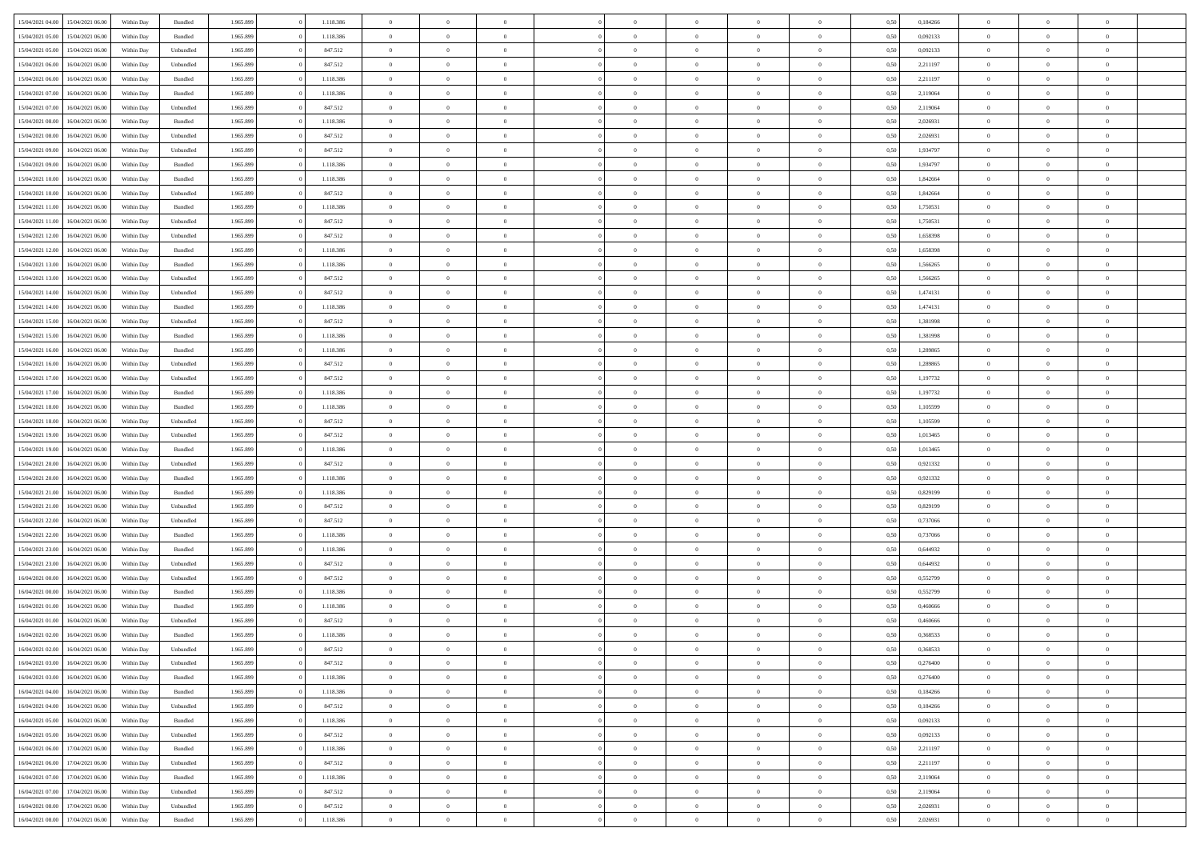| 15/04/2021 04:00                  | 15/04/2021 06:00 | Within Day | Bundled   | 1.965.899 | 1.118.386 | $\overline{0}$ | $\Omega$       |                | $\Omega$       | $\Omega$       | $\Omega$       | $\theta$       | 0,50 | 0,184266 | $\theta$       | $\theta$       | $\theta$       |  |
|-----------------------------------|------------------|------------|-----------|-----------|-----------|----------------|----------------|----------------|----------------|----------------|----------------|----------------|------|----------|----------------|----------------|----------------|--|
|                                   |                  |            |           |           |           |                |                |                |                |                |                |                |      |          |                |                |                |  |
| 15/04/2021 05:00                  | 15/04/2021 06:00 | Within Day | Bundled   | 1.965.899 | 1.118.386 | $\overline{0}$ | $\theta$       | $\overline{0}$ | $\overline{0}$ | $\bf{0}$       | $\overline{0}$ | $\bf{0}$       | 0,50 | 0,092133 | $\theta$       | $\overline{0}$ | $\overline{0}$ |  |
| 15/04/2021 05:00                  | 15/04/2021 06:00 | Within Day | Unbundled | 1.965.899 | 847.512   | $\overline{0}$ | $\overline{0}$ | $\overline{0}$ | $\bf{0}$       | $\bf{0}$       | $\bf{0}$       | $\mathbf{0}$   | 0,50 | 0,092133 | $\bf{0}$       | $\overline{0}$ | $\overline{0}$ |  |
| 15/04/2021 06:00                  | 16/04/2021 06:00 | Within Dav | Unbundled | 1.965.899 | 847.512   | $\overline{0}$ | $\overline{0}$ | $\overline{0}$ | $\overline{0}$ | $\bf{0}$       | $\overline{0}$ | $\overline{0}$ | 0.50 | 2.211197 | $\theta$       | $\theta$       | $\overline{0}$ |  |
|                                   |                  |            |           |           |           | $\overline{0}$ | $\theta$       | $\overline{0}$ |                | $\bf{0}$       | $\overline{0}$ |                |      |          | $\,$ 0 $\,$    | $\overline{0}$ | $\overline{0}$ |  |
| 15/04/2021 06:00                  | 16/04/2021 06:00 | Within Day | Bundled   | 1.965.899 | 1.118.386 |                |                |                | $\overline{0}$ |                |                | $\bf{0}$       | 0,50 | 2,211197 |                |                |                |  |
| 15/04/2021 07:00                  | 16/04/2021 06:00 | Within Day | Bundled   | 1.965.899 | 1.118.386 | $\overline{0}$ | $\bf{0}$       | $\overline{0}$ | $\overline{0}$ | $\overline{0}$ | $\overline{0}$ | $\mathbf{0}$   | 0,50 | 2,119064 | $\bf{0}$       | $\overline{0}$ | $\bf{0}$       |  |
| 15/04/2021 07:00                  | 16/04/2021 06:00 | Within Dav | Unbundled | 1.965.899 | 847.512   | $\overline{0}$ | $\overline{0}$ | $\overline{0}$ | $\overline{0}$ | $\overline{0}$ | $\overline{0}$ | $\overline{0}$ | 0.50 | 2,119064 | $\theta$       | $\overline{0}$ | $\overline{0}$ |  |
| 15/04/2021 08:00                  | 16/04/2021 06:00 | Within Day | Bundled   | 1.965.899 | 1.118.386 | $\overline{0}$ | $\theta$       | $\overline{0}$ | $\overline{0}$ | $\bf{0}$       | $\overline{0}$ | $\bf{0}$       | 0,50 | 2,026931 | $\theta$       | $\theta$       | $\overline{0}$ |  |
| 15/04/2021 08:00                  | 16/04/2021 06:00 | Within Day | Unbundled | 1.965.899 | 847.512   | $\overline{0}$ | $\overline{0}$ | $\overline{0}$ | $\overline{0}$ | $\bf{0}$       | $\overline{0}$ | $\mathbf{0}$   | 0,50 | 2,026931 | $\,0\,$        | $\overline{0}$ | $\overline{0}$ |  |
| 15/04/2021 09:00                  | 16/04/2021 06:00 | Within Dav | Unbundled | 1.965.899 | 847.512   | $\overline{0}$ | $\overline{0}$ | $\overline{0}$ | $\overline{0}$ | $\overline{0}$ | $\overline{0}$ | $\overline{0}$ | 0.50 | 1,934797 | $\theta$       | $\overline{0}$ | $\overline{0}$ |  |
|                                   |                  |            |           |           |           |                |                |                |                |                |                |                |      |          |                |                |                |  |
| 15/04/2021 09:00                  | 16/04/2021 06:00 | Within Day | Bundled   | 1.965.899 | 1.118.386 | $\overline{0}$ | $\theta$       | $\overline{0}$ | $\overline{0}$ | $\bf{0}$       | $\overline{0}$ | $\bf{0}$       | 0,50 | 1,934797 | $\,$ 0 $\,$    | $\overline{0}$ | $\overline{0}$ |  |
| 15/04/2021 10:00                  | 16/04/2021 06:00 | Within Day | Bundled   | 1.965.899 | 1.118.386 | $\overline{0}$ | $\overline{0}$ | $\overline{0}$ | $\overline{0}$ | $\bf{0}$       | $\overline{0}$ | $\mathbf{0}$   | 0,50 | 1,842664 | $\bf{0}$       | $\overline{0}$ | $\overline{0}$ |  |
| 15/04/2021 10:00                  | 16/04/2021 06:00 | Within Day | Unbundled | 1.965.899 | 847.512   | $\overline{0}$ | $\overline{0}$ | $\overline{0}$ | $\overline{0}$ | $\bf{0}$       | $\overline{0}$ | $\overline{0}$ | 0.50 | 1.842664 | $\theta$       | $\theta$       | $\overline{0}$ |  |
| 15/04/2021 11:00                  | 16/04/2021 06:00 | Within Day | Bundled   | 1.965.899 | 1.118.386 | $\overline{0}$ | $\theta$       | $\overline{0}$ | $\overline{0}$ | $\bf{0}$       | $\overline{0}$ | $\bf{0}$       | 0,50 | 1,750531 | $\theta$       | $\overline{0}$ | $\overline{0}$ |  |
| 15/04/2021 11:00                  | 16/04/2021 06:00 | Within Day | Unbundled | 1.965.899 | 847.512   | $\overline{0}$ | $\overline{0}$ | $\overline{0}$ | $\overline{0}$ | $\overline{0}$ | $\overline{0}$ | $\mathbf{0}$   | 0,50 | 1,750531 | $\bf{0}$       | $\overline{0}$ | $\bf{0}$       |  |
|                                   |                  |            |           |           |           |                |                |                |                |                |                |                |      |          |                |                |                |  |
| 15/04/2021 12:00                  | 16/04/2021 06:00 | Within Dav | Unbundled | 1.965.899 | 847.512   | $\overline{0}$ | $\overline{0}$ | $\overline{0}$ | $\overline{0}$ | $\overline{0}$ | $\overline{0}$ | $\overline{0}$ | 0.50 | 1,658398 | $\theta$       | $\overline{0}$ | $\overline{0}$ |  |
| 15/04/2021 12:00                  | 16/04/2021 06:00 | Within Day | Bundled   | 1.965.899 | 1.118.386 | $\overline{0}$ | $\theta$       | $\overline{0}$ | $\overline{0}$ | $\bf{0}$       | $\overline{0}$ | $\bf{0}$       | 0,50 | 1,658398 | $\,$ 0 $\,$    | $\theta$       | $\overline{0}$ |  |
| 15/04/2021 13:00                  | 16/04/2021 06:00 | Within Day | Bundled   | 1.965.899 | 1.118.386 | $\overline{0}$ | $\overline{0}$ | $\overline{0}$ | $\overline{0}$ | $\bf{0}$       | $\overline{0}$ | $\mathbf{0}$   | 0,50 | 1,566265 | $\,0\,$        | $\overline{0}$ | $\overline{0}$ |  |
| 15/04/2021 13:00                  | 16/04/2021 06:00 | Within Day | Unbundled | 1.965.899 | 847.512   | $\overline{0}$ | $\overline{0}$ | $\overline{0}$ | $\overline{0}$ | $\overline{0}$ | $\overline{0}$ | $\overline{0}$ | 0.50 | 1,566265 | $\theta$       | $\overline{0}$ | $\overline{0}$ |  |
| 15/04/2021 14:00                  | 16/04/2021 06:00 | Within Day | Unbundled | 1.965.899 | 847.512   | $\overline{0}$ | $\theta$       | $\overline{0}$ | $\overline{0}$ | $\bf{0}$       | $\overline{0}$ | $\bf{0}$       | 0,50 | 1,474131 | $\,$ 0 $\,$    | $\theta$       | $\overline{0}$ |  |
| 15/04/2021 14:00                  | 16/04/2021 06:00 | Within Day | Bundled   | 1.965.899 | 1.118.386 | $\overline{0}$ | $\overline{0}$ | $\overline{0}$ | $\overline{0}$ | $\bf{0}$       | $\overline{0}$ | $\mathbf{0}$   | 0,50 | 1,474131 | $\bf{0}$       | $\overline{0}$ | $\overline{0}$ |  |
|                                   |                  |            |           |           |           |                |                |                |                |                |                |                |      |          |                |                |                |  |
| 15/04/2021 15:00                  | 16/04/2021 06:00 | Within Day | Unbundled | 1.965.899 | 847.512   | $\overline{0}$ | $\overline{0}$ | $\overline{0}$ | $\overline{0}$ | $\bf{0}$       | $\overline{0}$ | $\overline{0}$ | 0.50 | 1,381998 | $\theta$       | $\overline{0}$ | $\overline{0}$ |  |
| 15/04/2021 15:00                  | 16/04/2021 06:00 | Within Day | Bundled   | 1.965.899 | 1.118.386 | $\overline{0}$ | $\theta$       | $\overline{0}$ | $\overline{0}$ | $\bf{0}$       | $\overline{0}$ | $\bf{0}$       | 0,50 | 1,381998 | $\,$ 0 $\,$    | $\overline{0}$ | $\overline{0}$ |  |
| 15/04/2021 16:00                  | 16/04/2021 06:00 | Within Day | Bundled   | 1.965.899 | 1.118.386 | $\overline{0}$ | $\overline{0}$ | $\overline{0}$ | $\overline{0}$ | $\overline{0}$ | $\overline{0}$ | $\mathbf{0}$   | 0,50 | 1,289865 | $\bf{0}$       | $\overline{0}$ | $\bf{0}$       |  |
| 15/04/2021 16:00                  | 16/04/2021 06:00 | Within Dav | Unbundled | 1.965.899 | 847.512   | $\overline{0}$ | $\overline{0}$ | $\overline{0}$ | $\overline{0}$ | $\overline{0}$ | $\overline{0}$ | $\overline{0}$ | 0.50 | 1,289865 | $\theta$       | $\overline{0}$ | $\overline{0}$ |  |
| 15/04/2021 17:00                  | 16/04/2021 06:00 | Within Day | Unbundled | 1.965.899 | 847.512   | $\overline{0}$ | $\theta$       | $\overline{0}$ | $\overline{0}$ | $\bf{0}$       | $\overline{0}$ | $\bf{0}$       | 0,50 | 1,197732 | $\theta$       | $\theta$       | $\overline{0}$ |  |
| 15/04/2021 17:00                  | 16/04/2021 06:00 | Within Day | Bundled   | 1.965.899 | 1.118.386 | $\overline{0}$ | $\overline{0}$ | $\overline{0}$ | $\bf{0}$       | $\bf{0}$       | $\bf{0}$       | $\bf{0}$       | 0,50 | 1,197732 | $\,0\,$        | $\overline{0}$ | $\overline{0}$ |  |
|                                   |                  |            |           |           |           |                | $\overline{0}$ |                |                | $\overline{0}$ |                |                |      |          | $\theta$       | $\overline{0}$ | $\overline{0}$ |  |
| 15/04/2021 18:00                  | 16/04/2021 06:00 | Within Day | Bundled   | 1.965.899 | 1.118.386 | $\overline{0}$ |                | $\overline{0}$ | $\overline{0}$ |                | $\overline{0}$ | $\overline{0}$ | 0.50 | 1,105599 |                |                |                |  |
| 15/04/2021 18:00                  | 16/04/2021 06:00 | Within Day | Unbundled | 1.965.899 | 847.512   | $\overline{0}$ | $\theta$       | $\overline{0}$ | $\overline{0}$ | $\bf{0}$       | $\overline{0}$ | $\bf{0}$       | 0,50 | 1,105599 | $\,$ 0 $\,$    | $\overline{0}$ | $\overline{0}$ |  |
| 15/04/2021 19:00                  | 16/04/2021 06:00 | Within Day | Unbundled | 1.965.899 | 847.512   | $\overline{0}$ | $\overline{0}$ | $\overline{0}$ | $\bf{0}$       | $\bf{0}$       | $\bf{0}$       | $\bf{0}$       | 0,50 | 1,013465 | $\overline{0}$ | $\overline{0}$ | $\overline{0}$ |  |
| 15/04/2021 19:00                  | 16/04/2021 06:00 | Within Day | Bundled   | 1.965.899 | 1.118.386 | $\overline{0}$ | $\Omega$       | $\overline{0}$ | $\Omega$       | $\Omega$       | $\overline{0}$ | $\overline{0}$ | 0,50 | 1,013465 | $\,0\,$        | $\theta$       | $\theta$       |  |
| 15/04/2021 20:00                  | 16/04/2021 06:00 | Within Day | Unbundled | 1.965.899 | 847.512   | $\overline{0}$ | $\theta$       | $\overline{0}$ | $\overline{0}$ | $\bf{0}$       | $\overline{0}$ | $\bf{0}$       | 0,50 | 0,921332 | $\,$ 0 $\,$    | $\theta$       | $\overline{0}$ |  |
| 15/04/2021 20:00                  | 16/04/2021 06:00 | Within Day | Bundled   | 1.965.899 | 1.118.386 | $\overline{0}$ | $\overline{0}$ | $\overline{0}$ | $\bf{0}$       | $\bf{0}$       | $\overline{0}$ | $\mathbf{0}$   | 0,50 | 0,921332 | $\overline{0}$ | $\overline{0}$ | $\bf{0}$       |  |
|                                   | 16/04/2021 06:00 |            |           |           | 1.118.386 | $\overline{0}$ | $\Omega$       | $\overline{0}$ | $\Omega$       | $\bf{0}$       | $\overline{0}$ | $\overline{0}$ | 0.50 |          | $\,0\,$        | $\theta$       | $\theta$       |  |
| 15/04/2021 21:00                  |                  | Within Day | Bundled   | 1.965.899 |           |                |                |                |                |                |                |                |      | 0,829199 |                |                |                |  |
| 15/04/2021 21:00                  | 16/04/2021 06:00 | Within Day | Unbundled | 1.965.899 | 847.512   | $\overline{0}$ | $\theta$       | $\overline{0}$ | $\overline{0}$ | $\bf{0}$       | $\overline{0}$ | $\bf{0}$       | 0,50 | 0,829199 | $\,$ 0 $\,$    | $\overline{0}$ | $\overline{0}$ |  |
| 15/04/2021 22.00                  | 16/04/2021 06:00 | Within Day | Unbundled | 1.965.899 | 847.512   | $\overline{0}$ | $\overline{0}$ | $\overline{0}$ | $\bf{0}$       | $\bf{0}$       | $\bf{0}$       | $\mathbf{0}$   | 0,50 | 0,737066 | $\bf{0}$       | $\overline{0}$ | $\overline{0}$ |  |
| 15/04/2021 22:00                  | 16/04/2021 06:00 | Within Day | Bundled   | 1.965.899 | 1.118.386 | $\overline{0}$ | $\Omega$       | $\overline{0}$ | $\Omega$       | $\overline{0}$ | $\overline{0}$ | $\overline{0}$ | 0.50 | 0,737066 | $\,$ 0 $\,$    | $\theta$       | $\theta$       |  |
| 15/04/2021 23:00                  | 16/04/2021 06:00 | Within Day | Bundled   | 1.965.899 | 1.118.386 | $\overline{0}$ | $\theta$       | $\overline{0}$ | $\overline{0}$ | $\,$ 0         | $\overline{0}$ | $\bf{0}$       | 0,50 | 0,644932 | $\,$ 0 $\,$    | $\overline{0}$ | $\overline{0}$ |  |
| 15/04/2021 23.00                  | 16/04/2021 06:00 | Within Day | Unbundled | 1.965.899 | 847.512   | $\overline{0}$ | $\overline{0}$ | $\overline{0}$ | $\bf{0}$       | $\bf{0}$       | $\bf{0}$       | $\mathbf{0}$   | 0,50 | 0,644932 | $\bf{0}$       | $\overline{0}$ | $\overline{0}$ |  |
|                                   |                  |            |           |           | 847.512   | $\overline{0}$ | $\Omega$       | $\overline{0}$ | $\Omega$       | $\overline{0}$ | $\overline{0}$ | $\overline{0}$ |      |          | $\,0\,$        | $\theta$       | $\theta$       |  |
| 16/04/2021 00:00                  | 16/04/2021 06:00 | Within Day | Unbundled | 1.965.899 |           |                |                |                |                |                |                |                | 0,50 | 0,552799 |                |                |                |  |
| 16/04/2021 00:00                  | 16/04/2021 06:00 | Within Day | Bundled   | 1.965.899 | 1.118.386 | $\overline{0}$ | $\theta$       | $\overline{0}$ | $\overline{0}$ | $\,$ 0         | $\overline{0}$ | $\bf{0}$       | 0,50 | 0,552799 | $\,$ 0 $\,$    | $\overline{0}$ | $\overline{0}$ |  |
| 16/04/2021 01:00                  | 16/04/2021 06:00 | Within Day | Bundled   | 1.965.899 | 1.118.386 | $\overline{0}$ | $\overline{0}$ | $\overline{0}$ | $\bf{0}$       | $\bf{0}$       | $\bf{0}$       | $\mathbf{0}$   | 0,50 | 0,460666 | $\bf{0}$       | $\overline{0}$ | $\bf{0}$       |  |
| 16/04/2021 01:00                  | 16/04/2021 06:00 | Within Day | Unbundled | 1.965.899 | 847.512   | $\overline{0}$ | $\Omega$       | $\Omega$       | $\Omega$       | $\Omega$       | $\Omega$       | $\overline{0}$ | 0.50 | 0.460666 | $\theta$       | $\theta$       | $\theta$       |  |
| 16/04/2021 02:00                  | 16/04/2021 06:00 | Within Day | Bundled   | 1.965.899 | 1.118.386 | $\overline{0}$ | $\,$ 0 $\,$    | $\overline{0}$ | $\bf{0}$       | $\,$ 0         | $\overline{0}$ | $\bf{0}$       | 0,50 | 0,368533 | $\,0\,$        | $\overline{0}$ | $\overline{0}$ |  |
| 16/04/2021 02:00                  | 16/04/2021 06:00 | Within Day | Unbundled | 1.965.899 | 847.512   | $\bf{0}$       | $\bf{0}$       |                |                |                |                |                | 0,50 | 0,368533 | $\bf{0}$       | $\overline{0}$ |                |  |
| 16/04/2021 03:00                  | 16/04/2021 06:00 | Within Day | Unbundled | 1.965.899 | 847.512   | $\overline{0}$ | $\overline{0}$ | $\overline{0}$ | $\Omega$       | $\overline{0}$ | $\overline{0}$ | $\overline{0}$ | 0.50 | 0,276400 | $\theta$       | $\theta$       | $\Omega$       |  |
|                                   |                  |            |           |           |           |                |                |                |                |                |                |                |      |          |                |                |                |  |
| 16/04/2021 03:00                  | 16/04/2021 06:00 | Within Day | Bundled   | 1.965.899 | 1.118.386 | $\overline{0}$ | $\bf{0}$       | $\overline{0}$ | $\overline{0}$ | $\,$ 0 $\,$    | $\overline{0}$ | $\,$ 0 $\,$    | 0,50 | 0,276400 | $\,$ 0 $\,$    | $\,$ 0 $\,$    | $\,$ 0         |  |
| 16/04/2021 04:00                  | 16/04/2021 06:00 | Within Day | Bundled   | 1.965.899 | 1.118.386 | $\overline{0}$ | $\overline{0}$ | $\overline{0}$ | $\overline{0}$ | $\overline{0}$ | $\overline{0}$ | $\mathbf{0}$   | 0,50 | 0,184266 | $\overline{0}$ | $\bf{0}$       | $\overline{0}$ |  |
| 16/04/2021 04:00                  | 16/04/2021 06:00 | Within Day | Unbundled | 1.965.899 | 847.512   | $\overline{0}$ | $\overline{0}$ | $\overline{0}$ | $\Omega$       | $\overline{0}$ | $\overline{0}$ | $\overline{0}$ | 0,50 | 0,184266 | $\overline{0}$ | $\overline{0}$ | $\overline{0}$ |  |
| 16/04/2021 05:00                  | 16/04/2021 06:00 | Within Day | Bundled   | 1.965.899 | 1.118.386 | $\overline{0}$ | $\,$ 0         | $\overline{0}$ | $\overline{0}$ | $\,$ 0 $\,$    | $\overline{0}$ | $\mathbf{0}$   | 0,50 | 0,092133 | $\,$ 0 $\,$    | $\overline{0}$ | $\,$ 0         |  |
| 16/04/2021 05:00                  | 16/04/2021 06:00 | Within Day | Unbundled | 1.965.899 | 847.512   | $\overline{0}$ | $\overline{0}$ | $\overline{0}$ | $\overline{0}$ | $\overline{0}$ | $\overline{0}$ | $\mathbf{0}$   | 0,50 | 0,092133 | $\overline{0}$ | $\overline{0}$ | $\overline{0}$ |  |
| 16/04/2021 06:00                  | 17/04/2021 06:00 | Within Day | Bundled   | 1.965.899 | 1.118.386 | $\overline{0}$ | $\overline{0}$ | $\overline{0}$ | $\overline{0}$ | $\overline{0}$ | $\overline{0}$ | $\bf{0}$       | 0.50 | 2,211197 | $\overline{0}$ | $\theta$       | $\overline{0}$ |  |
| 16/04/2021 06:00                  | 17/04/2021 06:00 | Within Day | Unbundled | 1.965.899 | 847.512   | $\overline{0}$ | $\,$ 0         | $\overline{0}$ | $\overline{0}$ | $\bf{0}$       | $\overline{0}$ | $\bf{0}$       | 0,50 | 2,211197 | $\,$ 0 $\,$    | $\overline{0}$ | $\overline{0}$ |  |
|                                   |                  |            |           |           |           |                |                |                |                |                |                |                |      |          |                |                |                |  |
| 16/04/2021 07:00                  | 17/04/2021 06:00 | Within Day | Bundled   | 1.965.899 | 1.118.386 | $\overline{0}$ | $\bf{0}$       | $\overline{0}$ | $\overline{0}$ | $\overline{0}$ | $\overline{0}$ | $\mathbf{0}$   | 0,50 | 2,119064 | $\overline{0}$ | $\overline{0}$ | $\bf{0}$       |  |
| 16/04/2021 07:00                  | 17/04/2021 06:00 | Within Day | Unbundled | 1.965.899 | 847.512   | $\overline{0}$ | $\overline{0}$ | $\overline{0}$ | $\Omega$       | $\overline{0}$ | $\overline{0}$ | $\overline{0}$ | 0,50 | 2,119064 | $\overline{0}$ | $\overline{0}$ | $\overline{0}$ |  |
| 16/04/2021 08:00                  | 17/04/2021 06:00 | Within Day | Unbundled | 1.965.899 | 847.512   | $\overline{0}$ | $\bf{0}$       | $\overline{0}$ | $\bf{0}$       | $\bf{0}$       | $\overline{0}$ | $\mathbf{0}$   | 0,50 | 2,026931 | $\,$ 0 $\,$    | $\,$ 0 $\,$    | $\bf{0}$       |  |
| 16/04/2021 08:00 17/04/2021 06:00 |                  | Within Day | Bundled   | 1.965.899 | 1.118.386 | $\overline{0}$ | $\overline{0}$ | $\overline{0}$ | $\overline{0}$ | $\overline{0}$ | $\overline{0}$ | $\mathbf{0}$   | 0,50 | 2,026931 | $\overline{0}$ | $\bf{0}$       | $\overline{0}$ |  |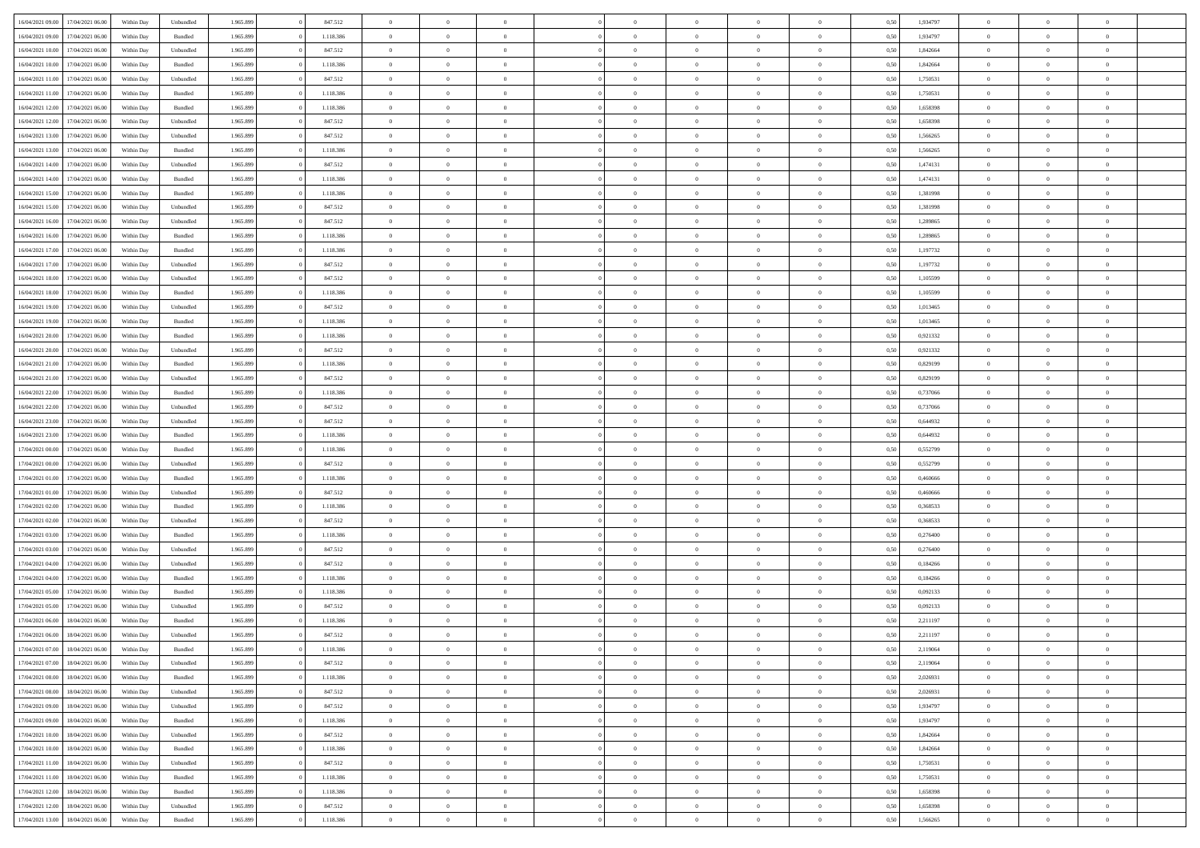|                  |                  |            |                    |           |           |                |                |                |                | $\Omega$       | $\theta$       | $\theta$       |      |          | $\theta$       |                | $\theta$       |  |
|------------------|------------------|------------|--------------------|-----------|-----------|----------------|----------------|----------------|----------------|----------------|----------------|----------------|------|----------|----------------|----------------|----------------|--|
| 16/04/2021 09:00 | 17/04/2021 06:00 | Within Day | Unbundled          | 1.965.899 | 847.512   | $\overline{0}$ | $\theta$       |                | $\Omega$       |                |                |                | 0,50 | 1,934797 |                | $\theta$       |                |  |
| 16/04/2021 09:00 | 17/04/2021 06:00 | Within Day | Bundled            | 1.965.899 | 1.118.386 | $\overline{0}$ | $\theta$       | $\overline{0}$ | $\overline{0}$ | $\bf{0}$       | $\overline{0}$ | $\bf{0}$       | 0,50 | 1,934797 | $\theta$       | $\overline{0}$ | $\overline{0}$ |  |
| 16/04/2021 10:00 | 17/04/2021 06:00 | Within Day | Unbundled          | 1.965.899 | 847.512   | $\overline{0}$ | $\bf{0}$       | $\overline{0}$ | $\overline{0}$ | $\bf{0}$       | $\overline{0}$ | $\mathbf{0}$   | 0,50 | 1,842664 | $\bf{0}$       | $\overline{0}$ | $\bf{0}$       |  |
| 16/04/2021 10:00 | 17/04/2021 06:00 | Within Dav | Bundled            | 1.965.899 | 1.118.386 | $\overline{0}$ | $\overline{0}$ | $\overline{0}$ | $\overline{0}$ | $\bf{0}$       | $\overline{0}$ | $\overline{0}$ | 0.50 | 1.842664 | $\theta$       | $\theta$       | $\overline{0}$ |  |
|                  |                  |            |                    |           |           |                |                |                |                |                |                |                |      |          |                |                |                |  |
| 16/04/2021 11:00 | 17/04/2021 06:00 | Within Day | Unbundled          | 1.965.899 | 847.512   | $\overline{0}$ | $\theta$       | $\overline{0}$ | $\overline{0}$ | $\bf{0}$       | $\overline{0}$ | $\bf{0}$       | 0,50 | 1,750531 | $\,$ 0 $\,$    | $\overline{0}$ | $\overline{0}$ |  |
| 16/04/2021 11:00 | 17/04/2021 06:00 | Within Day | Bundled            | 1.965.899 | 1.118.386 | $\overline{0}$ | $\overline{0}$ | $\overline{0}$ | $\overline{0}$ | $\overline{0}$ | $\overline{0}$ | $\mathbf{0}$   | 0,50 | 1,750531 | $\bf{0}$       | $\overline{0}$ | $\bf{0}$       |  |
| 16/04/2021 12:00 | 17/04/2021 06:00 | Within Dav | Bundled            | 1.965.899 | 1.118.386 | $\overline{0}$ | $\overline{0}$ | $\overline{0}$ | $\overline{0}$ | $\overline{0}$ | $\overline{0}$ | $\overline{0}$ | 0.50 | 1,658398 | $\theta$       | $\overline{0}$ | $\overline{0}$ |  |
| 16/04/2021 12:00 | 17/04/2021 06:00 | Within Day | Unbundled          | 1.965.899 | 847.512   | $\overline{0}$ | $\theta$       | $\overline{0}$ | $\overline{0}$ | $\bf{0}$       | $\overline{0}$ | $\bf{0}$       | 0,50 | 1,658398 | $\theta$       | $\theta$       | $\overline{0}$ |  |
|                  |                  |            |                    |           |           |                | $\overline{0}$ |                |                | $\bf{0}$       |                |                |      |          | $\,0\,$        | $\overline{0}$ | $\overline{0}$ |  |
| 16/04/2021 13:00 | 17/04/2021 06:00 | Within Day | Unbundled          | 1.965.899 | 847.512   | $\overline{0}$ |                | $\overline{0}$ | $\bf{0}$       |                | $\bf{0}$       | $\mathbf{0}$   | 0,50 | 1,566265 |                |                |                |  |
| 16/04/2021 13:00 | 17/04/2021 06:00 | Within Dav | Bundled            | 1.965.899 | 1.118.386 | $\overline{0}$ | $\overline{0}$ | $\overline{0}$ | $\overline{0}$ | $\overline{0}$ | $\overline{0}$ | $\overline{0}$ | 0.50 | 1,566265 | $\theta$       | $\overline{0}$ | $\overline{0}$ |  |
| 16/04/2021 14:00 | 17/04/2021 06:00 | Within Day | Unbundled          | 1.965.899 | 847.512   | $\overline{0}$ | $\theta$       | $\overline{0}$ | $\overline{0}$ | $\bf{0}$       | $\overline{0}$ | $\bf{0}$       | 0,50 | 1,474131 | $\,$ 0 $\,$    | $\overline{0}$ | $\overline{0}$ |  |
| 16/04/2021 14:00 | 17/04/2021 06:00 | Within Day | Bundled            | 1.965.899 | 1.118.386 | $\overline{0}$ | $\overline{0}$ | $\overline{0}$ | $\bf{0}$       | $\bf{0}$       | $\bf{0}$       | $\mathbf{0}$   | 0,50 | 1,474131 | $\overline{0}$ | $\overline{0}$ | $\bf{0}$       |  |
| 16/04/2021 15:00 | 17/04/2021 06:00 | Within Day | Bundled            | 1.965.899 | 1.118.386 | $\overline{0}$ | $\overline{0}$ | $\overline{0}$ | $\overline{0}$ | $\bf{0}$       | $\overline{0}$ | $\overline{0}$ | 0.50 | 1,381998 | $\theta$       | $\theta$       | $\overline{0}$ |  |
|                  |                  |            |                    |           |           | $\overline{0}$ | $\theta$       |                |                | $\bf{0}$       |                |                |      |          | $\theta$       |                |                |  |
| 16/04/2021 15:00 | 17/04/2021 06:00 | Within Day | Unbundled          | 1.965.899 | 847.512   |                |                | $\overline{0}$ | $\overline{0}$ |                | $\overline{0}$ | $\bf{0}$       | 0,50 | 1,381998 |                | $\overline{0}$ | $\overline{0}$ |  |
| 16/04/2021 16:00 | 17/04/2021 06:00 | Within Day | Unbundled          | 1.965.899 | 847.512   | $\overline{0}$ | $\overline{0}$ | $\overline{0}$ | $\bf{0}$       | $\overline{0}$ | $\overline{0}$ | $\mathbf{0}$   | 0,50 | 1,289865 | $\overline{0}$ | $\overline{0}$ | $\bf{0}$       |  |
| 16/04/2021 16:00 | 17/04/2021 06:00 | Within Dav | Bundled            | 1.965.899 | 1.118.386 | $\overline{0}$ | $\overline{0}$ | $\overline{0}$ | $\overline{0}$ | $\overline{0}$ | $\overline{0}$ | $\overline{0}$ | 0.50 | 1,289865 | $\theta$       | $\overline{0}$ | $\overline{0}$ |  |
| 16/04/2021 17:00 | 17/04/2021 06:00 | Within Day | Bundled            | 1.965.899 | 1.118.386 | $\overline{0}$ | $\theta$       | $\overline{0}$ | $\overline{0}$ | $\bf{0}$       | $\overline{0}$ | $\bf{0}$       | 0,50 | 1,197732 | $\,$ 0 $\,$    | $\overline{0}$ | $\overline{0}$ |  |
| 16/04/2021 17:00 | 17/04/2021 06:00 | Within Day | Unbundled          | 1.965.899 | 847.512   | $\overline{0}$ | $\overline{0}$ | $\overline{0}$ | $\bf{0}$       | $\bf{0}$       | $\bf{0}$       | $\mathbf{0}$   | 0,50 | 1,197732 | $\bf{0}$       | $\overline{0}$ | $\bf{0}$       |  |
|                  |                  |            |                    |           |           |                |                |                |                |                |                |                |      |          |                |                |                |  |
| 16/04/2021 18:00 | 17/04/2021 06:00 | Within Dav | Unbundled          | 1.965.899 | 847.512   | $\overline{0}$ | $\overline{0}$ | $\overline{0}$ | $\overline{0}$ | $\overline{0}$ | $\overline{0}$ | $\overline{0}$ | 0.50 | 1,105599 | $\theta$       | $\overline{0}$ | $\overline{0}$ |  |
| 16/04/2021 18:00 | 17/04/2021 06:00 | Within Day | Bundled            | 1.965.899 | 1.118.386 | $\overline{0}$ | $\theta$       | $\overline{0}$ | $\overline{0}$ | $\bf{0}$       | $\overline{0}$ | $\bf{0}$       | 0,50 | 1,105599 | $\,$ 0 $\,$    | $\overline{0}$ | $\overline{0}$ |  |
| 16/04/2021 19:00 | 17/04/2021 06:00 | Within Day | Unbundled          | 1.965.899 | 847.512   | $\overline{0}$ | $\overline{0}$ | $\overline{0}$ | $\bf{0}$       | $\bf{0}$       | $\bf{0}$       | $\mathbf{0}$   | 0,50 | 1,013465 | $\bf{0}$       | $\overline{0}$ | $\bf{0}$       |  |
| 16/04/2021 19:00 | 17/04/2021 06:00 | Within Day | Bundled            | 1.965.899 | 1.118.386 | $\overline{0}$ | $\overline{0}$ | $\overline{0}$ | $\overline{0}$ | $\overline{0}$ | $\overline{0}$ | $\overline{0}$ | 0.50 | 1,013465 | $\theta$       | $\overline{0}$ | $\overline{0}$ |  |
|                  |                  |            |                    |           |           |                |                |                |                |                |                |                |      |          |                |                |                |  |
| 16/04/2021 20:00 | 17/04/2021 06:00 | Within Day | Bundled            | 1.965.899 | 1.118.386 | $\overline{0}$ | $\theta$       | $\overline{0}$ | $\overline{0}$ | $\bf{0}$       | $\overline{0}$ | $\bf{0}$       | 0,50 | 0,921332 | $\,$ 0 $\,$    | $\overline{0}$ | $\overline{0}$ |  |
| 16/04/2021 20:00 | 17/04/2021 06:00 | Within Day | Unbundled          | 1.965.899 | 847.512   | $\overline{0}$ | $\overline{0}$ | $\overline{0}$ | $\bf{0}$       | $\overline{0}$ | $\overline{0}$ | $\mathbf{0}$   | 0,50 | 0,921332 | $\bf{0}$       | $\overline{0}$ | $\bf{0}$       |  |
| 16/04/2021 21:00 | 17/04/2021 06:00 | Within Dav | Bundled            | 1.965.899 | 1.118.386 | $\overline{0}$ | $\overline{0}$ | $\overline{0}$ | $\overline{0}$ | $\overline{0}$ | $\overline{0}$ | $\overline{0}$ | 0.50 | 0.829199 | $\overline{0}$ | $\overline{0}$ | $\overline{0}$ |  |
| 16/04/2021 21:00 | 17/04/2021 06:00 | Within Day | Unbundled          | 1.965.899 | 847.512   | $\overline{0}$ | $\theta$       | $\overline{0}$ | $\overline{0}$ | $\bf{0}$       | $\overline{0}$ | $\bf{0}$       | 0,50 | 0,829199 | $\theta$       | $\overline{0}$ | $\overline{0}$ |  |
| 16/04/2021 22:00 | 17/04/2021 06:00 | Within Day | Bundled            | 1.965.899 | 1.118.386 | $\overline{0}$ | $\overline{0}$ | $\overline{0}$ | $\overline{0}$ | $\bf{0}$       | $\overline{0}$ | $\mathbf{0}$   | 0,50 | 0,737066 | $\,0\,$        | $\overline{0}$ | $\overline{0}$ |  |
|                  |                  |            |                    |           |           |                |                |                |                |                |                |                |      |          |                |                |                |  |
| 16/04/2021 22.00 | 17/04/2021 06:00 | Within Day | Unbundled          | 1.965.899 | 847.512   | $\overline{0}$ | $\overline{0}$ | $\overline{0}$ | $\overline{0}$ | $\overline{0}$ | $\overline{0}$ | $\overline{0}$ | 0.50 | 0,737066 | $\theta$       | $\overline{0}$ | $\overline{0}$ |  |
| 16/04/2021 23:00 | 17/04/2021 06:00 | Within Day | Unbundled          | 1.965.899 | 847.512   | $\overline{0}$ | $\overline{0}$ | $\overline{0}$ | $\overline{0}$ | $\bf{0}$       | $\overline{0}$ | $\bf{0}$       | 0,50 | 0,644932 | $\,$ 0 $\,$    | $\overline{0}$ | $\overline{0}$ |  |
| 16/04/2021 23:00 | 17/04/2021 06:00 | Within Day | Bundled            | 1.965.899 | 1.118.386 | $\overline{0}$ | $\overline{0}$ | $\overline{0}$ | $\overline{0}$ | $\bf{0}$       | $\overline{0}$ | $\mathbf{0}$   | 0,50 | 0,644932 | $\bf{0}$       | $\overline{0}$ | $\bf{0}$       |  |
| 17/04/2021 00:00 | 17/04/2021 06:00 | Within Day | Bundled            | 1.965.899 | 1.118.386 | $\bf{0}$       | $\Omega$       | $\overline{0}$ | $\Omega$       | $\Omega$       | $\overline{0}$ | $\overline{0}$ | 0,50 | 0,552799 | $\,0\,$        | $\theta$       | $\theta$       |  |
| 17/04/2021 00:00 | 17/04/2021 06:00 | Within Day | Unbundled          | 1.965.899 | 847.512   | $\overline{0}$ | $\theta$       | $\overline{0}$ | $\overline{0}$ | $\bf{0}$       | $\overline{0}$ | $\bf{0}$       | 0,50 | 0,552799 | $\,$ 0 $\,$    | $\overline{0}$ | $\overline{0}$ |  |
|                  |                  |            |                    |           |           |                |                |                |                |                |                |                |      |          |                |                |                |  |
| 17/04/2021 01:00 | 17/04/2021 06:00 | Within Day | Bundled            | 1.965.899 | 1.118.386 | $\overline{0}$ | $\overline{0}$ | $\overline{0}$ | $\overline{0}$ | $\overline{0}$ | $\overline{0}$ | $\mathbf{0}$   | 0,50 | 0,460666 | $\bf{0}$       | $\overline{0}$ | $\bf{0}$       |  |
| 17/04/2021 01:00 | 17/04/2021 06:00 | Within Day | Unbundled          | 1.965.899 | 847.512   | $\overline{0}$ | $\Omega$       | $\Omega$       | $\Omega$       | $\overline{0}$ | $\overline{0}$ | $\overline{0}$ | 0.50 | 0.460666 | $\,0\,$        | $\theta$       | $\theta$       |  |
| 17/04/2021 02:00 | 17/04/2021 06:00 | Within Day | Bundled            | 1.965.899 | 1.118.386 | $\overline{0}$ | $\theta$       | $\overline{0}$ | $\overline{0}$ | $\bf{0}$       | $\overline{0}$ | $\bf{0}$       | 0,50 | 0,368533 | $\,$ 0 $\,$    | $\overline{0}$ | $\overline{0}$ |  |
| 17/04/2021 02:00 | 17/04/2021 06:00 | Within Day | Unbundled          | 1.965.899 | 847.512   | $\overline{0}$ | $\overline{0}$ | $\overline{0}$ | $\overline{0}$ | $\bf{0}$       | $\overline{0}$ | $\mathbf{0}$   | 0,50 | 0,368533 | $\bf{0}$       | $\overline{0}$ | $\bf{0}$       |  |
|                  |                  |            |                    |           |           |                |                |                |                |                |                |                |      |          |                |                |                |  |
| 17/04/2021 03:00 | 17/04/2021 06:00 | Within Day | Bundled            | 1.965.899 | 1.118.386 | $\overline{0}$ | $\Omega$       | $\overline{0}$ | $\Omega$       | $\overline{0}$ | $\overline{0}$ | $\overline{0}$ | 0.50 | 0,276400 | $\,$ 0 $\,$    | $\theta$       | $\theta$       |  |
| 17/04/2021 03:00 | 17/04/2021 06:00 | Within Day | Unbundled          | 1.965.899 | 847.512   | $\overline{0}$ | $\overline{0}$ | $\overline{0}$ | $\overline{0}$ | $\,$ 0         | $\overline{0}$ | $\bf{0}$       | 0,50 | 0,276400 | $\,$ 0 $\,$    | $\overline{0}$ | $\overline{0}$ |  |
| 17/04/2021 04:00 | 17/04/2021 06:00 | Within Day | Unbundled          | 1.965.899 | 847.512   | $\overline{0}$ | $\overline{0}$ | $\overline{0}$ | $\overline{0}$ | $\bf{0}$       | $\overline{0}$ | $\mathbf{0}$   | 0,50 | 0,184266 | $\bf{0}$       | $\overline{0}$ | $\bf{0}$       |  |
| 17/04/2021 04:00 | 17/04/2021 06:00 | Within Day | Bundled            | 1.965.899 | 1.118.386 | $\overline{0}$ | $\Omega$       | $\overline{0}$ | $\Omega$       | $\overline{0}$ | $\overline{0}$ | $\overline{0}$ | 0.50 | 0,184266 | $\,0\,$        | $\theta$       | $\theta$       |  |
| 17/04/2021 05:00 | 17/04/2021 06:00 | Within Day | Bundled            | 1.965.899 | 1.118.386 | $\overline{0}$ | $\overline{0}$ | $\overline{0}$ | $\overline{0}$ | $\,$ 0         | $\overline{0}$ | $\bf{0}$       | 0,50 | 0,092133 | $\,$ 0 $\,$    | $\overline{0}$ | $\overline{0}$ |  |
|                  |                  |            |                    |           |           |                |                |                |                |                |                |                |      |          |                |                |                |  |
| 17/04/2021 05:00 | 17/04/2021 06:00 | Within Day | Unbundled          | 1.965.899 | 847.512   | $\overline{0}$ | $\overline{0}$ | $\overline{0}$ | $\bf{0}$       | $\bf{0}$       | $\overline{0}$ | $\mathbf{0}$   | 0,50 | 0,092133 | $\overline{0}$ | $\overline{0}$ | $\bf{0}$       |  |
| 17/04/2021 06:00 | 18/04/2021 06:00 | Within Day | Bundled            | 1.965.899 | 1.118.386 | $\overline{0}$ | $\Omega$       | $\Omega$       | $\Omega$       | $\Omega$       | $\Omega$       | $\overline{0}$ | 0.50 | 2,211197 | $\theta$       | $\theta$       | $\theta$       |  |
| 17/04/2021 06:00 | 18/04/2021 06:00 | Within Day | Unbundled          | 1.965.899 | 847.512   | $\overline{0}$ | $\overline{0}$ | $\overline{0}$ | $\bf{0}$       | $\,$ 0         | $\bf{0}$       | $\bf{0}$       | 0,50 | 2,211197 | $\,0\,$        | $\,$ 0 $\,$    | $\overline{0}$ |  |
| 17/04/2021 07:00 | 18/04/2021 06:00 | Within Day | $\mathbf B$ undled | 1.965.899 | 1.118.386 | $\overline{0}$ | $\bf{0}$       |                |                | $\bf{0}$       |                |                | 0,50 | 2,119064 | $\bf{0}$       | $\overline{0}$ |                |  |
|                  | 18/04/2021 06:00 |            |                    | 1.965.899 | 847.512   | $\overline{0}$ | $\overline{0}$ | $\overline{0}$ | $\Omega$       | $\overline{0}$ | $\overline{0}$ | $\overline{0}$ |      |          | $\theta$       | $\theta$       | $\Omega$       |  |
| 17/04/2021 07:00 |                  | Within Day | Unbundled          |           |           |                |                |                |                |                |                |                | 0,50 | 2,119064 |                |                |                |  |
| 17/04/2021 08:00 | 18/04/2021 06:00 | Within Day | Bundled            | 1.965.899 | 1.118.386 | $\overline{0}$ | $\,$ 0         | $\overline{0}$ | $\bf{0}$       | $\,$ 0 $\,$    | $\overline{0}$ | $\,$ 0 $\,$    | 0,50 | 2,026931 | $\,$ 0 $\,$    | $\,$ 0 $\,$    | $\,$ 0         |  |
| 17/04/2021 08:00 | 18/04/2021 06:00 | Within Day | Unbundled          | 1.965.899 | 847.512   | $\overline{0}$ | $\overline{0}$ | $\overline{0}$ | $\overline{0}$ | $\overline{0}$ | $\overline{0}$ | $\mathbf{0}$   | 0,50 | 2,026931 | $\overline{0}$ | $\bf{0}$       | $\overline{0}$ |  |
| 17/04/2021 09:00 | 18/04/2021 06:00 | Within Day | Unbundled          | 1.965.899 | 847.512   | $\overline{0}$ | $\overline{0}$ | $\overline{0}$ | $\Omega$       | $\overline{0}$ | $\overline{0}$ | $\overline{0}$ | 0,50 | 1,934797 | $\overline{0}$ | $\overline{0}$ | $\overline{0}$ |  |
| 17/04/2021 09:00 | 18/04/2021 06:00 | Within Day | Bundled            | 1.965.899 | 1.118.386 | $\overline{0}$ | $\,$ 0         | $\overline{0}$ | $\overline{0}$ | $\,$ 0 $\,$    | $\overline{0}$ | $\,$ 0 $\,$    | 0,50 | 1,934797 | $\,$ 0 $\,$    | $\overline{0}$ | $\overline{0}$ |  |
|                  |                  |            |                    |           |           |                |                |                |                |                |                |                |      |          |                |                |                |  |
| 17/04/2021 10:00 | 18/04/2021 06:00 | Within Day | Unbundled          | 1.965.899 | 847.512   | $\overline{0}$ | $\overline{0}$ | $\overline{0}$ | $\overline{0}$ | $\overline{0}$ | $\overline{0}$ | $\mathbf{0}$   | 0,50 | 1,842664 | $\overline{0}$ | $\overline{0}$ | $\overline{0}$ |  |
| 17/04/2021 10:00 | 18/04/2021 06:00 | Within Day | Bundled            | 1.965.899 | 1.118.386 | $\overline{0}$ | $\overline{0}$ | $\overline{0}$ | $\overline{0}$ | $\overline{0}$ | $\overline{0}$ | $\bf{0}$       | 0.50 | 1,842664 | $\overline{0}$ | $\theta$       | $\overline{0}$ |  |
| 17/04/2021 11:00 | 18/04/2021 06:00 | Within Day | Unbundled          | 1.965.899 | 847.512   | $\overline{0}$ | $\,$ 0         | $\overline{0}$ | $\bf{0}$       | $\bf{0}$       | $\bf{0}$       | $\bf{0}$       | 0,50 | 1,750531 | $\,$ 0 $\,$    | $\overline{0}$ | $\overline{0}$ |  |
| 17/04/2021 11:00 | 18/04/2021 06:00 | Within Day | Bundled            | 1.965.899 | 1.118.386 | $\overline{0}$ | $\bf{0}$       | $\overline{0}$ | $\overline{0}$ | $\overline{0}$ | $\overline{0}$ | $\mathbf{0}$   | 0,50 | 1,750531 | $\overline{0}$ | $\overline{0}$ | $\bf{0}$       |  |
| 17/04/2021 12:00 | 18/04/2021 06:00 | Within Day | Bundled            | 1.965.899 | 1.118.386 | $\overline{0}$ | $\overline{0}$ | $\overline{0}$ | $\Omega$       | $\overline{0}$ | $\overline{0}$ | $\overline{0}$ | 0.50 | 1,658398 | $\overline{0}$ | $\overline{0}$ | $\overline{0}$ |  |
|                  |                  |            |                    |           |           |                |                |                |                |                |                |                |      |          |                |                |                |  |
| 17/04/2021 12:00 | 18/04/2021 06:00 | Within Day | Unbundled          | 1.965.899 | 847.512   | $\overline{0}$ | $\bf{0}$       | $\overline{0}$ | $\bf{0}$       | $\bf{0}$       | $\bf{0}$       | $\mathbf{0}$   | 0,50 | 1,658398 | $\,$ 0 $\,$    | $\,$ 0 $\,$    | $\bf{0}$       |  |
| 17/04/2021 13:00 | 18/04/2021 06:00 | Within Day | Bundled            | 1.965.899 | 1.118.386 | $\overline{0}$ | $\overline{0}$ | $\overline{0}$ | $\overline{0}$ | $\overline{0}$ | $\bf{0}$       | $\mathbf{0}$   | 0,50 | 1,566265 | $\overline{0}$ | $\bf{0}$       | $\overline{0}$ |  |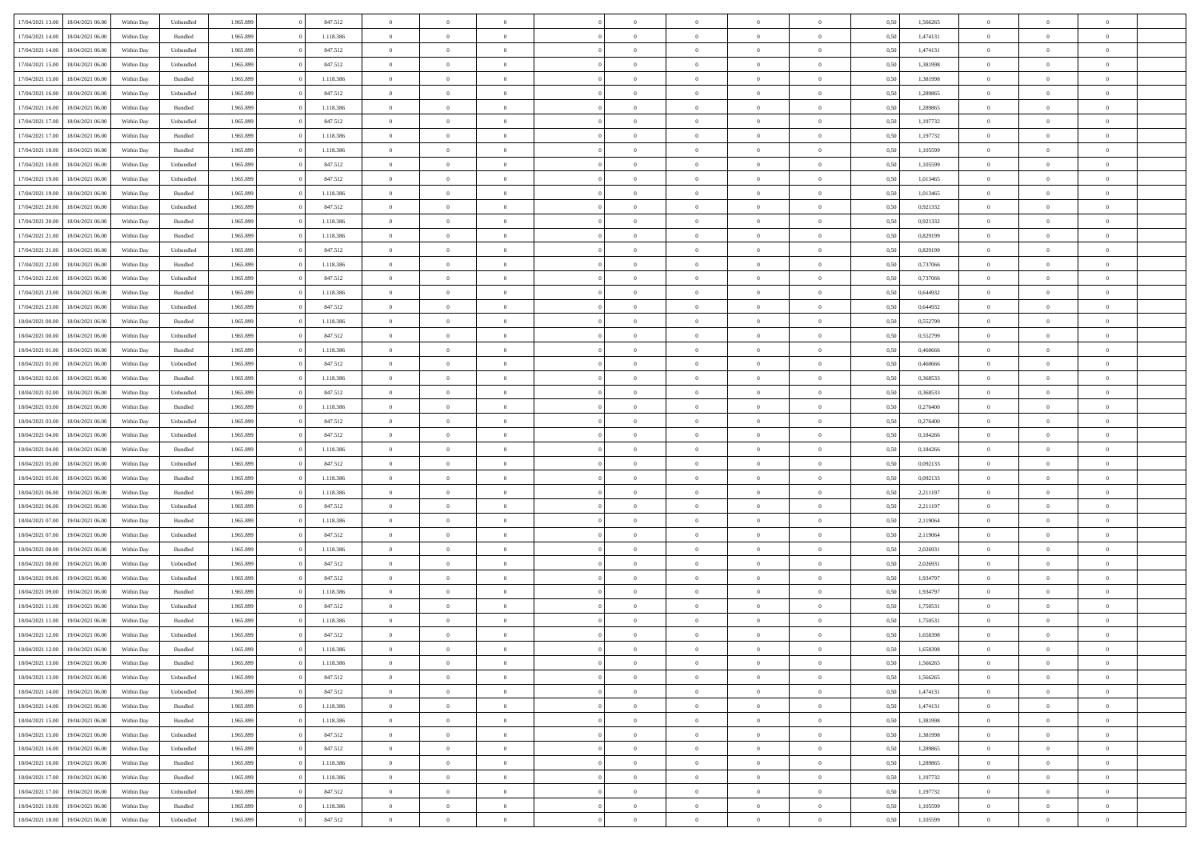| 17/04/2021 13:00 | 18/04/2021 06:00 | Within Day | Unbundled          | 1.965.899 | 847.512   | $\overline{0}$ | $\theta$       |                | $\Omega$       | $\Omega$       | $\theta$       | $\theta$       | 0.50 | 1,566265 | $\theta$       | $\theta$       | $\theta$       |  |
|------------------|------------------|------------|--------------------|-----------|-----------|----------------|----------------|----------------|----------------|----------------|----------------|----------------|------|----------|----------------|----------------|----------------|--|
| 17/04/2021 14:00 | 18/04/2021 06:00 | Within Day | Bundled            | 1.965.899 | 1.118.386 | $\overline{0}$ | $\theta$       | $\overline{0}$ | $\overline{0}$ | $\bf{0}$       | $\overline{0}$ | $\bf{0}$       | 0,50 | 1,474131 | $\theta$       | $\overline{0}$ | $\overline{0}$ |  |
| 17/04/2021 14:00 | 18/04/2021 06:00 | Within Day | Unbundled          | 1.965.899 | 847.512   | $\overline{0}$ | $\overline{0}$ | $\overline{0}$ | $\bf{0}$       | $\bf{0}$       | $\bf{0}$       | $\mathbf{0}$   | 0,50 | 1,474131 | $\bf{0}$       | $\overline{0}$ | $\overline{0}$ |  |
| 17/04/2021 15:00 | 18/04/2021 06:00 | Within Dav | Unbundled          | 1.965.899 | 847.512   | $\overline{0}$ | $\overline{0}$ | $\overline{0}$ |                | $\bf{0}$       | $\overline{0}$ | $\overline{0}$ | 0.50 | 1,381998 | $\theta$       | $\theta$       | $\overline{0}$ |  |
|                  |                  |            |                    |           |           |                |                |                | $\overline{0}$ |                |                |                |      |          |                |                |                |  |
| 17/04/2021 15:00 | 18/04/2021 06:00 | Within Day | Bundled            | 1.965.899 | 1.118.386 | $\overline{0}$ | $\theta$       | $\overline{0}$ | $\overline{0}$ | $\bf{0}$       | $\overline{0}$ | $\bf{0}$       | 0,50 | 1,381998 | $\,$ 0 $\,$    | $\overline{0}$ | $\overline{0}$ |  |
| 17/04/2021 16:00 | 18/04/2021 06:00 | Within Day | Unbundled          | 1.965.899 | 847.512   | $\overline{0}$ | $\bf{0}$       | $\overline{0}$ | $\bf{0}$       | $\overline{0}$ | $\overline{0}$ | $\mathbf{0}$   | 0,50 | 1,289865 | $\bf{0}$       | $\overline{0}$ | $\bf{0}$       |  |
| 17/04/2021 16:00 | 18/04/2021 06:00 | Within Dav | Bundled            | 1.965.899 | 1.118.386 | $\overline{0}$ | $\overline{0}$ | $\overline{0}$ | $\overline{0}$ | $\overline{0}$ | $\overline{0}$ | $\overline{0}$ | 0.50 | 1,289865 | $\theta$       | $\overline{0}$ | $\overline{0}$ |  |
|                  |                  |            |                    |           |           |                |                |                |                |                |                |                |      |          |                |                |                |  |
| 17/04/2021 17:00 | 18/04/2021 06:00 | Within Day | Unbundled          | 1.965.899 | 847.512   | $\overline{0}$ | $\theta$       | $\overline{0}$ | $\overline{0}$ | $\bf{0}$       | $\overline{0}$ | $\bf{0}$       | 0,50 | 1,197732 | $\theta$       | $\theta$       | $\overline{0}$ |  |
| 17/04/2021 17:00 | 18/04/2021 06:00 | Within Day | Bundled            | 1.965.899 | 1.118.386 | $\overline{0}$ | $\overline{0}$ | $\overline{0}$ | $\overline{0}$ | $\bf{0}$       | $\overline{0}$ | $\bf{0}$       | 0,50 | 1,197732 | $\,0\,$        | $\overline{0}$ | $\overline{0}$ |  |
| 17/04/2021 18:00 | 18/04/2021 06:00 | Within Dav | Bundled            | 1.965.899 | 1.118.386 | $\overline{0}$ | $\overline{0}$ | $\overline{0}$ | $\overline{0}$ | $\overline{0}$ | $\overline{0}$ | $\overline{0}$ | 0.50 | 1,105599 | $\theta$       | $\overline{0}$ | $\overline{0}$ |  |
| 17/04/2021 18:00 | 18/04/2021 06:00 | Within Day | Unbundled          | 1.965.899 | 847.512   | $\overline{0}$ | $\theta$       | $\overline{0}$ | $\overline{0}$ | $\bf{0}$       | $\overline{0}$ | $\bf{0}$       | 0,50 | 1,105599 | $\,$ 0 $\,$    | $\overline{0}$ | $\overline{0}$ |  |
|                  |                  |            |                    |           |           |                |                |                |                |                |                |                |      |          |                |                |                |  |
| 17/04/2021 19:00 | 18/04/2021 06:00 | Within Day | Unbundled          | 1.965.899 | 847.512   | $\overline{0}$ | $\overline{0}$ | $\overline{0}$ | $\overline{0}$ | $\bf{0}$       | $\overline{0}$ | $\mathbf{0}$   | 0,50 | 1,013465 | $\bf{0}$       | $\overline{0}$ | $\overline{0}$ |  |
| 17/04/2021 19:00 | 18/04/2021 06:00 | Within Day | Bundled            | 1.965.899 | 1.118.386 | $\overline{0}$ | $\overline{0}$ | $\overline{0}$ | $\overline{0}$ | $\bf{0}$       | $\overline{0}$ | $\overline{0}$ | 0.50 | 1,013465 | $\theta$       | $\theta$       | $\overline{0}$ |  |
| 17/04/2021 20:00 | 18/04/2021 06:00 | Within Day | Unbundled          | 1.965.899 | 847.512   | $\overline{0}$ | $\theta$       | $\overline{0}$ | $\overline{0}$ | $\bf{0}$       | $\overline{0}$ | $\bf{0}$       | 0,50 | 0,921332 | $\theta$       | $\overline{0}$ | $\overline{0}$ |  |
|                  |                  |            |                    |           |           |                |                |                |                |                |                |                |      |          |                | $\overline{0}$ | $\bf{0}$       |  |
| 17/04/2021 20:00 | 18/04/2021 06:00 | Within Day | Bundled            | 1.965.899 | 1.118.386 | $\overline{0}$ | $\overline{0}$ | $\overline{0}$ | $\overline{0}$ | $\overline{0}$ | $\overline{0}$ | $\mathbf{0}$   | 0,50 | 0,921332 | $\bf{0}$       |                |                |  |
| 17/04/2021 21:00 | 18/04/2021 06:00 | Within Dav | Bundled            | 1.965.899 | 1.118.386 | $\overline{0}$ | $\overline{0}$ | $\overline{0}$ | $\overline{0}$ | $\overline{0}$ | $\overline{0}$ | $\overline{0}$ | 0.50 | 0.829199 | $\theta$       | $\overline{0}$ | $\overline{0}$ |  |
| 17/04/2021 21:00 | 18/04/2021 06:00 | Within Day | Unbundled          | 1.965.899 | 847.512   | $\overline{0}$ | $\theta$       | $\overline{0}$ | $\overline{0}$ | $\bf{0}$       | $\overline{0}$ | $\bf{0}$       | 0,50 | 0,829199 | $\,$ 0 $\,$    | $\theta$       | $\overline{0}$ |  |
| 17/04/2021 22.00 | 18/04/2021 06:00 | Within Day | Bundled            | 1.965.899 | 1.118.386 | $\overline{0}$ | $\overline{0}$ | $\overline{0}$ | $\overline{0}$ | $\bf{0}$       | $\overline{0}$ | $\mathbf{0}$   | 0,50 | 0,737066 | $\,0\,$        | $\overline{0}$ | $\overline{0}$ |  |
| 17/04/2021 22:00 | 18/04/2021 06:00 | Within Day | Unbundled          | 1.965.899 | 847.512   | $\overline{0}$ | $\overline{0}$ | $\overline{0}$ | $\overline{0}$ | $\overline{0}$ | $\overline{0}$ | $\overline{0}$ | 0.50 | 0,737066 | $\theta$       | $\overline{0}$ | $\overline{0}$ |  |
|                  |                  |            |                    |           |           |                |                |                |                |                |                |                |      |          |                |                |                |  |
| 17/04/2021 23:00 | 18/04/2021 06:00 | Within Day | Bundled            | 1.965.899 | 1.118.386 | $\overline{0}$ | $\theta$       | $\overline{0}$ | $\overline{0}$ | $\bf{0}$       | $\overline{0}$ | $\bf{0}$       | 0,50 | 0,644932 | $\,$ 0 $\,$    | $\theta$       | $\overline{0}$ |  |
| 17/04/2021 23:00 | 18/04/2021 06:00 | Within Day | Unbundled          | 1.965.899 | 847.512   | $\overline{0}$ | $\overline{0}$ | $\overline{0}$ | $\overline{0}$ | $\bf{0}$       | $\overline{0}$ | $\bf{0}$       | 0,50 | 0,644932 | $\bf{0}$       | $\overline{0}$ | $\overline{0}$ |  |
| 18/04/2021 00:00 | 18/04/2021 06:00 | Within Day | Bundled            | 1.965.899 | 1.118.386 | $\overline{0}$ | $\overline{0}$ | $\overline{0}$ | $\overline{0}$ | $\bf{0}$       | $\overline{0}$ | $\overline{0}$ | 0.50 | 0,552799 | $\theta$       | $\overline{0}$ | $\overline{0}$ |  |
| 18/04/2021 00:00 | 18/04/2021 06:00 | Within Day | Unbundled          | 1.965.899 | 847.512   | $\overline{0}$ | $\theta$       | $\overline{0}$ | $\overline{0}$ | $\bf{0}$       | $\overline{0}$ | $\bf{0}$       | 0,50 | 0,552799 | $\,$ 0 $\,$    | $\overline{0}$ | $\overline{0}$ |  |
|                  |                  |            |                    |           |           |                |                |                |                |                |                |                |      |          |                |                |                |  |
| 18/04/2021 01:00 | 18/04/2021 06:00 | Within Day | Bundled            | 1.965.899 | 1.118.386 | $\overline{0}$ | $\overline{0}$ | $\overline{0}$ | $\overline{0}$ | $\overline{0}$ | $\overline{0}$ | $\mathbf{0}$   | 0,50 | 0,460666 | $\bf{0}$       | $\overline{0}$ | $\bf{0}$       |  |
| 18/04/2021 01:00 | 18/04/2021 06:00 | Within Dav | Unbundled          | 1.965.899 | 847.512   | $\overline{0}$ | $\overline{0}$ | $\overline{0}$ | $\overline{0}$ | $\overline{0}$ | $\overline{0}$ | $\overline{0}$ | 0.50 | 0,460666 | $\theta$       | $\overline{0}$ | $\overline{0}$ |  |
| 18/04/2021 02:00 | 18/04/2021 06:00 | Within Day | Bundled            | 1.965.899 | 1.118.386 | $\overline{0}$ | $\theta$       | $\overline{0}$ | $\overline{0}$ | $\bf{0}$       | $\overline{0}$ | $\bf{0}$       | 0,50 | 0,368533 | $\theta$       | $\theta$       | $\overline{0}$ |  |
| 18/04/2021 02:00 | 18/04/2021 06:00 | Within Day | Unbundled          | 1.965.899 | 847.512   | $\overline{0}$ | $\overline{0}$ | $\overline{0}$ | $\bf{0}$       | $\bf{0}$       | $\bf{0}$       | $\bf{0}$       | 0,50 | 0,368533 | $\,0\,$        | $\overline{0}$ | $\overline{0}$ |  |
|                  |                  |            |                    |           |           |                |                |                |                |                |                |                |      |          |                |                |                |  |
| 18/04/2021 03:00 | 18/04/2021 06:00 | Within Day | Bundled            | 1.965.899 | 1.118.386 | $\overline{0}$ | $\overline{0}$ | $\overline{0}$ | $\overline{0}$ | $\overline{0}$ | $\overline{0}$ | $\overline{0}$ | 0.50 | 0,276400 | $\theta$       | $\overline{0}$ | $\overline{0}$ |  |
| 18/04/2021 03:00 | 18/04/2021 06:00 | Within Day | Unbundled          | 1.965.899 | 847.512   | $\overline{0}$ | $\theta$       | $\overline{0}$ | $\overline{0}$ | $\bf{0}$       | $\overline{0}$ | $\bf{0}$       | 0,50 | 0,276400 | $\,$ 0 $\,$    | $\overline{0}$ | $\overline{0}$ |  |
| 18/04/2021 04:00 | 18/04/2021 06:00 | Within Day | Unbundled          | 1.965.899 | 847.512   | $\overline{0}$ | $\overline{0}$ | $\overline{0}$ | $\bf{0}$       | $\bf{0}$       | $\bf{0}$       | $\bf{0}$       | 0,50 | 0,184266 | $\overline{0}$ | $\overline{0}$ | $\overline{0}$ |  |
| 18/04/2021 04:00 | 18/04/2021 06:00 | Within Day | Bundled            | 1.965.899 | 1.118.386 | $\overline{0}$ | $\Omega$       | $\overline{0}$ | $\Omega$       | $\Omega$       | $\overline{0}$ | $\overline{0}$ | 0,50 | 0,184266 | $\,0\,$        | $\theta$       | $\theta$       |  |
|                  |                  |            |                    |           |           |                |                |                |                |                |                |                |      |          |                |                |                |  |
| 18/04/2021 05:00 | 18/04/2021 06:00 | Within Day | Unbundled          | 1.965.899 | 847.512   | $\overline{0}$ | $\theta$       | $\overline{0}$ | $\overline{0}$ | $\bf{0}$       | $\overline{0}$ | $\bf{0}$       | 0,50 | 0,092133 | $\,$ 0 $\,$    | $\overline{0}$ | $\overline{0}$ |  |
| 18/04/2021 05:00 | 18/04/2021 06:00 | Within Day | Bundled            | 1.965.899 | 1.118.386 | $\overline{0}$ | $\overline{0}$ | $\overline{0}$ | $\bf{0}$       | $\bf{0}$       | $\overline{0}$ | $\mathbf{0}$   | 0,50 | 0,092133 | $\overline{0}$ | $\overline{0}$ | $\bf{0}$       |  |
| 18/04/2021 06:00 | 19/04/2021 06:00 | Within Day | Bundled            | 1.965.899 | 1.118.386 | $\overline{0}$ | $\Omega$       | $\Omega$       | $\Omega$       | $\bf{0}$       | $\overline{0}$ | $\overline{0}$ | 0.50 | 2,211197 | $\,0\,$        | $\theta$       | $\theta$       |  |
| 18/04/2021 06:00 | 19/04/2021 06:00 | Within Day | Unbundled          | 1.965.899 | 847.512   | $\overline{0}$ | $\theta$       | $\overline{0}$ | $\overline{0}$ | $\bf{0}$       | $\overline{0}$ | $\bf{0}$       | 0,50 | 2,211197 | $\,$ 0 $\,$    | $\overline{0}$ | $\overline{0}$ |  |
|                  |                  |            |                    |           |           |                |                |                |                |                |                |                |      |          |                |                |                |  |
| 18/04/2021 07:00 | 19/04/2021 06:00 | Within Day | Bundled            | 1.965.899 | 1.118.386 | $\overline{0}$ | $\overline{0}$ | $\overline{0}$ | $\bf{0}$       | $\bf{0}$       | $\bf{0}$       | $\bf{0}$       | 0,50 | 2,119064 | $\bf{0}$       | $\overline{0}$ | $\overline{0}$ |  |
| 18/04/2021 07:00 | 19/04/2021 06:00 | Within Day | Unbundled          | 1.965.899 | 847.512   | $\overline{0}$ | $\Omega$       | $\overline{0}$ | $\Omega$       | $\overline{0}$ | $\overline{0}$ | $\overline{0}$ | 0.50 | 2,119064 | $\,$ 0 $\,$    | $\theta$       | $\theta$       |  |
| 18/04/2021 08:00 | 19/04/2021 06:00 | Within Day | Bundled            | 1.965.899 | 1.118.386 | $\overline{0}$ | $\theta$       | $\overline{0}$ | $\overline{0}$ | $\,$ 0         | $\overline{0}$ | $\bf{0}$       | 0,50 | 2,026931 | $\,$ 0 $\,$    | $\overline{0}$ | $\overline{0}$ |  |
| 18/04/2021 08:00 | 19/04/2021 06:00 | Within Day | Unbundled          | 1.965.899 | 847.512   | $\overline{0}$ | $\overline{0}$ | $\overline{0}$ | $\bf{0}$       | $\bf{0}$       | $\bf{0}$       | $\bf{0}$       | 0,50 | 2,026931 | $\bf{0}$       | $\overline{0}$ | $\overline{0}$ |  |
|                  |                  |            |                    |           | 847.512   | $\overline{0}$ | $\Omega$       | $\overline{0}$ | $\Omega$       | $\overline{0}$ | $\overline{0}$ | $\overline{0}$ |      |          | $\,0\,$        | $\theta$       | $\theta$       |  |
| 18/04/2021 09:00 | 19/04/2021 06:00 | Within Day | Unbundled          | 1.965.899 |           |                |                |                |                |                |                |                | 0,50 | 1,934797 |                |                |                |  |
| 18/04/2021 09:00 | 19/04/2021 06:00 | Within Day | Bundled            | 1.965.899 | 1.118.386 | $\overline{0}$ | $\theta$       | $\overline{0}$ | $\overline{0}$ | $\,$ 0         | $\overline{0}$ | $\bf{0}$       | 0,50 | 1,934797 | $\,$ 0 $\,$    | $\overline{0}$ | $\overline{0}$ |  |
| 18/04/2021 11:00 | 19/04/2021 06:00 | Within Day | Unbundled          | 1.965.899 | 847.512   | $\overline{0}$ | $\overline{0}$ | $\overline{0}$ | $\overline{0}$ | $\bf{0}$       | $\overline{0}$ | $\mathbf{0}$   | 0,50 | 1,750531 | $\bf{0}$       | $\overline{0}$ | $\bf{0}$       |  |
| 18/04/2021 11:00 | 19/04/2021 06:00 | Within Day | Bundled            | 1.965.899 | 1.118.386 | $\overline{0}$ | $\Omega$       | $\Omega$       | $\Omega$       | $\Omega$       | $\Omega$       | $\overline{0}$ | 0.50 | 1,750531 | $\theta$       | $\theta$       | $\theta$       |  |
| 18/04/2021 12:00 | 19/04/2021 06:00 | Within Day | Unbundled          | 1.965.899 | 847.512   | $\overline{0}$ | $\,$ 0 $\,$    | $\overline{0}$ | $\bf{0}$       | $\,$ 0         | $\overline{0}$ | $\bf{0}$       | 0,50 | 1,658398 | $\,0\,$        | $\overline{0}$ | $\overline{0}$ |  |
|                  |                  |            |                    |           |           |                |                |                |                |                |                |                |      |          |                |                |                |  |
| 18/04/2021 12:00 | 19/04/2021 06:00 | Within Day | $\mathbf B$ undled | 1.965.899 | 1.118.386 | $\bf{0}$       | $\bf{0}$       |                |                |                |                |                | 0,50 | 1,658398 | $\bf{0}$       | $\overline{0}$ |                |  |
| 18/04/2021 13:00 | 19/04/2021 06:00 | Within Day | Bundled            | 1.965.899 | 1.118.386 | $\overline{0}$ | $\overline{0}$ | $\overline{0}$ | $\Omega$       | $\overline{0}$ | $\overline{0}$ | $\overline{0}$ | 0,50 | 1.566265 | $\theta$       | $\theta$       | $\theta$       |  |
| 18/04/2021 13:00 | 19/04/2021 06:00 | Within Day | Unbundled          | 1.965.899 | 847.512   | $\overline{0}$ | $\bf{0}$       | $\overline{0}$ | $\overline{0}$ | $\,$ 0 $\,$    | $\overline{0}$ | $\,$ 0 $\,$    | 0,50 | 1,566265 | $\,$ 0 $\,$    | $\,$ 0 $\,$    | $\,$ 0         |  |
| 18/04/2021 14:00 | 19/04/2021 06:00 | Within Day | Unbundled          | 1.965.899 | 847.512   | $\overline{0}$ | $\overline{0}$ | $\overline{0}$ | $\overline{0}$ | $\overline{0}$ | $\overline{0}$ | $\mathbf{0}$   | 0,50 | 1,474131 | $\overline{0}$ | $\bf{0}$       | $\overline{0}$ |  |
|                  |                  |            |                    |           |           |                |                |                |                |                |                |                |      |          |                |                |                |  |
| 18/04/2021 14:00 | 19/04/2021 06:00 | Within Day | $\mathbf B$ undled | 1.965.899 | 1.118.386 | $\overline{0}$ | $\overline{0}$ | $\overline{0}$ | $\Omega$       | $\overline{0}$ | $\overline{0}$ | $\overline{0}$ | 0,50 | 1,474131 | $\overline{0}$ | $\overline{0}$ | $\overline{0}$ |  |
| 18/04/2021 15:00 | 19/04/2021 06:00 | Within Day | Bundled            | 1.965.899 | 1.118.386 | $\overline{0}$ | $\,$ 0         | $\overline{0}$ | $\overline{0}$ | $\,$ 0 $\,$    | $\overline{0}$ | $\,$ 0 $\,$    | 0,50 | 1,381998 | $\,$ 0 $\,$    | $\overline{0}$ | $\,$ 0         |  |
| 18/04/2021 15:00 | 19/04/2021 06:00 | Within Day | Unbundled          | 1.965.899 | 847.512   | $\overline{0}$ | $\overline{0}$ | $\overline{0}$ | $\overline{0}$ | $\overline{0}$ | $\overline{0}$ | $\mathbf{0}$   | 0,50 | 1,381998 | $\overline{0}$ | $\overline{0}$ | $\overline{0}$ |  |
| 18/04/2021 16:00 | 19/04/2021 06:00 | Within Day | Unbundled          | 1.965.899 | 847.512   | $\overline{0}$ | $\overline{0}$ | $\overline{0}$ | $\overline{0}$ | $\overline{0}$ | $\overline{0}$ | $\bf{0}$       | 0.50 | 1,289865 | $\overline{0}$ | $\theta$       | $\overline{0}$ |  |
|                  |                  |            |                    |           |           |                |                |                |                |                |                |                |      |          |                |                |                |  |
| 18/04/2021 16:00 | 19/04/2021 06:00 | Within Day | Bundled            | 1.965.899 | 1.118.386 | $\overline{0}$ | $\,$ 0         | $\overline{0}$ | $\overline{0}$ | $\bf{0}$       | $\overline{0}$ | $\bf{0}$       | 0,50 | 1,289865 | $\,$ 0 $\,$    | $\overline{0}$ | $\overline{0}$ |  |
| 18/04/2021 17:00 | 19/04/2021 06:00 | Within Day | Bundled            | 1.965.899 | 1.118.386 | $\overline{0}$ | $\bf{0}$       | $\overline{0}$ | $\overline{0}$ | $\overline{0}$ | $\overline{0}$ | $\mathbf{0}$   | 0,50 | 1,197732 | $\overline{0}$ | $\overline{0}$ | $\bf{0}$       |  |
| 18/04/2021 17:00 | 19/04/2021 06:00 | Within Day | Unbundled          | 1.965.899 | 847.512   | $\overline{0}$ | $\overline{0}$ | $\overline{0}$ | $\Omega$       | $\overline{0}$ | $\overline{0}$ | $\overline{0}$ | 0.50 | 1,197732 | $\overline{0}$ | $\overline{0}$ | $\overline{0}$ |  |
| 18/04/2021 18:00 | 19/04/2021 06:00 | Within Day | Bundled            | 1.965.899 | 1.118.386 | $\overline{0}$ | $\bf{0}$       | $\overline{0}$ | $\bf{0}$       | $\bf{0}$       | $\overline{0}$ | $\mathbf{0}$   | 0,50 | 1,105599 | $\,$ 0 $\,$    | $\,$ 0 $\,$    | $\bf{0}$       |  |
|                  |                  |            |                    |           |           |                |                |                |                |                |                |                |      |          |                |                |                |  |
| 18/04/2021 18:00 | 19/04/2021 06:00 | Within Day | Unbundled          | 1.965.899 | 847.512   | $\overline{0}$ | $\overline{0}$ | $\overline{0}$ | $\overline{0}$ | $\overline{0}$ | $\overline{0}$ | $\mathbf{0}$   | 0,50 | 1,105599 | $\overline{0}$ | $\bf{0}$       | $\overline{0}$ |  |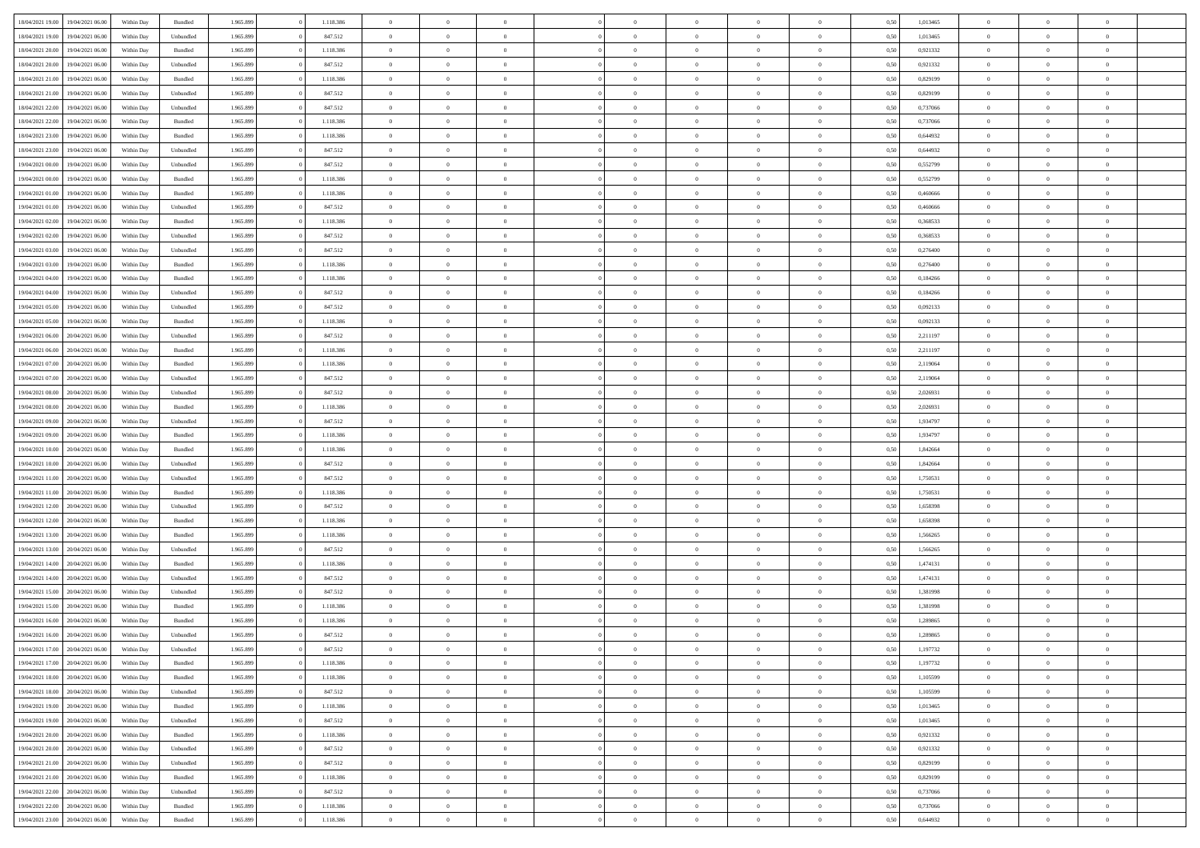| 18/04/2021 19:00 | 19/04/2021 06:00 | Within Day | Bundled   | 1.965.899 | 1.118.386 | $\overline{0}$ | $\Omega$       |                | $\Omega$       | $\Omega$       | $\Omega$       | $\theta$       | 0,50 | 1,013465 | $\theta$       | $\theta$       | $\theta$       |  |
|------------------|------------------|------------|-----------|-----------|-----------|----------------|----------------|----------------|----------------|----------------|----------------|----------------|------|----------|----------------|----------------|----------------|--|
|                  |                  |            |           |           |           |                |                |                |                |                |                |                |      |          |                |                |                |  |
| 18/04/2021 19:00 | 19/04/2021 06:00 | Within Day | Unbundled | 1.965.899 | 847.512   | $\overline{0}$ | $\theta$       | $\overline{0}$ | $\overline{0}$ | $\bf{0}$       | $\overline{0}$ | $\bf{0}$       | 0,50 | 1,013465 | $\theta$       | $\overline{0}$ | $\overline{0}$ |  |
| 18/04/2021 20:00 | 19/04/2021 06:00 | Within Day | Bundled   | 1.965.899 | 1.118.386 | $\overline{0}$ | $\bf{0}$       | $\overline{0}$ | $\overline{0}$ | $\bf{0}$       | $\overline{0}$ | $\mathbf{0}$   | 0,50 | 0,921332 | $\bf{0}$       | $\overline{0}$ | $\overline{0}$ |  |
|                  |                  |            |           |           |           |                |                |                |                |                |                |                |      |          | $\theta$       |                |                |  |
| 18/04/2021 20:00 | 19/04/2021 06:00 | Within Day | Unbundled | 1.965.899 | 847.512   | $\overline{0}$ | $\overline{0}$ | $\overline{0}$ | $\overline{0}$ | $\bf{0}$       | $\overline{0}$ | $\overline{0}$ | 0.50 | 0.921332 |                | $\theta$       | $\overline{0}$ |  |
| 18/04/2021 21:00 | 19/04/2021 06:00 | Within Day | Bundled   | 1.965.899 | 1.118.386 | $\overline{0}$ | $\theta$       | $\overline{0}$ | $\overline{0}$ | $\bf{0}$       | $\overline{0}$ | $\bf{0}$       | 0,50 | 0,829199 | $\theta$       | $\overline{0}$ | $\overline{0}$ |  |
| 18/04/2021 21:00 | 19/04/2021 06:00 | Within Day | Unbundled | 1.965.899 | 847.512   | $\overline{0}$ | $\overline{0}$ | $\overline{0}$ | $\overline{0}$ | $\overline{0}$ | $\overline{0}$ | $\mathbf{0}$   | 0,50 | 0,829199 | $\bf{0}$       | $\overline{0}$ | $\bf{0}$       |  |
| 18/04/2021 22:00 | 19/04/2021 06:00 | Within Dav | Unbundled | 1.965.899 | 847.512   | $\overline{0}$ | $\overline{0}$ | $\overline{0}$ | $\overline{0}$ | $\overline{0}$ | $\overline{0}$ | $\overline{0}$ | 0.50 | 0,737066 | $\theta$       | $\overline{0}$ | $\overline{0}$ |  |
|                  |                  |            |           |           |           |                |                |                |                |                |                |                |      |          |                |                |                |  |
| 18/04/2021 22:00 | 19/04/2021 06:00 | Within Day | Bundled   | 1.965.899 | 1.118.386 | $\overline{0}$ | $\theta$       | $\overline{0}$ | $\overline{0}$ | $\bf{0}$       | $\overline{0}$ | $\bf{0}$       | 0,50 | 0,737066 | $\theta$       | $\theta$       | $\overline{0}$ |  |
| 18/04/2021 23:00 | 19/04/2021 06:00 | Within Day | Bundled   | 1.965.899 | 1.118.386 | $\overline{0}$ | $\overline{0}$ | $\overline{0}$ | $\bf{0}$       | $\bf{0}$       | $\bf{0}$       | $\mathbf{0}$   | 0,50 | 0,644932 | $\,0\,$        | $\overline{0}$ | $\overline{0}$ |  |
| 18/04/2021 23:00 | 19/04/2021 06:00 | Within Dav | Unbundled | 1.965.899 | 847.512   | $\overline{0}$ | $\overline{0}$ | $\overline{0}$ | $\overline{0}$ | $\overline{0}$ | $\overline{0}$ | $\overline{0}$ | 0.50 | 0,644932 | $\theta$       | $\overline{0}$ | $\overline{0}$ |  |
|                  |                  |            |           |           |           |                |                |                |                |                |                |                |      |          |                |                |                |  |
| 19/04/2021 00:00 | 19/04/2021 06:00 | Within Day | Unbundled | 1.965.899 | 847.512   | $\overline{0}$ | $\theta$       | $\overline{0}$ | $\overline{0}$ | $\bf{0}$       | $\overline{0}$ | $\bf{0}$       | 0,50 | 0,552799 | $\,$ 0 $\,$    | $\overline{0}$ | $\overline{0}$ |  |
| 19/04/2021 00:00 | 19/04/2021 06:00 | Within Day | Bundled   | 1.965.899 | 1.118.386 | $\overline{0}$ | $\overline{0}$ | $\overline{0}$ | $\bf{0}$       | $\bf{0}$       | $\bf{0}$       | $\mathbf{0}$   | 0,50 | 0,552799 | $\overline{0}$ | $\overline{0}$ | $\bf{0}$       |  |
| 19/04/2021 01:00 | 19/04/2021 06:00 | Within Day | Bundled   | 1.965.899 | 1.118.386 | $\overline{0}$ | $\overline{0}$ | $\overline{0}$ | $\overline{0}$ | $\bf{0}$       | $\overline{0}$ | $\overline{0}$ | 0.50 | 0.460666 | $\theta$       | $\theta$       | $\overline{0}$ |  |
| 19/04/2021 01:00 | 19/04/2021 06:00 | Within Day | Unbundled | 1.965.899 | 847.512   | $\overline{0}$ | $\theta$       | $\overline{0}$ | $\overline{0}$ | $\bf{0}$       | $\overline{0}$ | $\bf{0}$       | 0,50 | 0,460666 | $\theta$       | $\overline{0}$ | $\overline{0}$ |  |
|                  |                  |            |           |           |           |                |                |                |                |                |                |                |      |          |                |                |                |  |
| 19/04/2021 02:00 | 19/04/2021 06:00 | Within Day | Bundled   | 1.965.899 | 1.118.386 | $\overline{0}$ | $\overline{0}$ | $\overline{0}$ | $\bf{0}$       | $\overline{0}$ | $\overline{0}$ | $\mathbf{0}$   | 0,50 | 0,368533 | $\overline{0}$ | $\overline{0}$ | $\bf{0}$       |  |
| 19/04/2021 02:00 | 19/04/2021 06:00 | Within Dav | Unbundled | 1.965.899 | 847.512   | $\overline{0}$ | $\overline{0}$ | $\overline{0}$ | $\overline{0}$ | $\overline{0}$ | $\overline{0}$ | $\overline{0}$ | 0.50 | 0,368533 | $\theta$       | $\overline{0}$ | $\overline{0}$ |  |
| 19/04/2021 03:00 | 19/04/2021 06:00 | Within Day | Unbundled | 1.965.899 | 847.512   | $\overline{0}$ | $\theta$       | $\overline{0}$ | $\overline{0}$ | $\bf{0}$       | $\overline{0}$ | $\bf{0}$       | 0,50 | 0,276400 | $\,$ 0 $\,$    | $\theta$       | $\overline{0}$ |  |
|                  |                  |            |           |           |           |                |                |                |                |                |                |                |      |          |                |                |                |  |
| 19/04/2021 03:00 | 19/04/2021 06:00 | Within Day | Bundled   | 1.965.899 | 1.118.386 | $\overline{0}$ | $\overline{0}$ | $\overline{0}$ | $\bf{0}$       | $\bf{0}$       | $\bf{0}$       | $\mathbf{0}$   | 0,50 | 0,276400 | $\,0\,$        | $\overline{0}$ | $\overline{0}$ |  |
| 19/04/2021 04:00 | 19/04/2021 06:00 | Within Day | Bundled   | 1.965.899 | 1.118.386 | $\overline{0}$ | $\overline{0}$ | $\overline{0}$ | $\overline{0}$ | $\overline{0}$ | $\overline{0}$ | $\overline{0}$ | 0.50 | 0,184266 | $\theta$       | $\overline{0}$ | $\overline{0}$ |  |
| 19/04/2021 04:00 | 19/04/2021 06:00 | Within Day | Unbundled | 1.965.899 | 847.512   | $\overline{0}$ | $\theta$       | $\overline{0}$ | $\overline{0}$ | $\bf{0}$       | $\overline{0}$ | $\bf{0}$       | 0,50 | 0,184266 | $\,$ 0 $\,$    | $\theta$       | $\overline{0}$ |  |
| 19/04/2021 05:00 | 19/04/2021 06:00 | Within Day | Unbundled | 1.965.899 | 847.512   | $\overline{0}$ | $\overline{0}$ | $\overline{0}$ | $\bf{0}$       | $\bf{0}$       | $\bf{0}$       | $\mathbf{0}$   | 0,50 | 0,092133 | $\bf{0}$       | $\overline{0}$ | $\overline{0}$ |  |
|                  |                  |            |           |           |           |                |                |                |                |                |                |                |      |          |                |                |                |  |
| 19/04/2021 05:00 | 19/04/2021 06:00 | Within Day | Bundled   | 1.965.899 | 1.118.386 | $\overline{0}$ | $\overline{0}$ | $\overline{0}$ | $\overline{0}$ | $\bf{0}$       | $\overline{0}$ | $\overline{0}$ | 0.50 | 0,092133 | $\theta$       | $\overline{0}$ | $\overline{0}$ |  |
| 19/04/2021 06:00 | 20/04/2021 06:00 | Within Day | Unbundled | 1.965.899 | 847.512   | $\overline{0}$ | $\theta$       | $\overline{0}$ | $\overline{0}$ | $\bf{0}$       | $\overline{0}$ | $\bf{0}$       | 0,50 | 2,211197 | $\,$ 0 $\,$    | $\overline{0}$ | $\overline{0}$ |  |
| 19/04/2021 06:00 | 20/04/2021 06:00 | Within Day | Bundled   | 1.965.899 | 1.118.386 | $\overline{0}$ | $\overline{0}$ | $\overline{0}$ | $\bf{0}$       | $\overline{0}$ | $\overline{0}$ | $\mathbf{0}$   | 0,50 | 2,211197 | $\bf{0}$       | $\overline{0}$ | $\bf{0}$       |  |
| 19/04/2021 07:00 | 20/04/2021 06:00 | Within Dav | Bundled   | 1.965.899 | 1.118.386 | $\overline{0}$ | $\overline{0}$ | $\overline{0}$ | $\overline{0}$ | $\overline{0}$ | $\overline{0}$ | $\overline{0}$ | 0.50 | 2,119064 | $\theta$       | $\overline{0}$ | $\overline{0}$ |  |
|                  |                  |            |           |           |           |                |                |                |                |                |                |                |      |          |                |                |                |  |
| 19/04/2021 07:00 | 20/04/2021 06:00 | Within Day | Unbundled | 1.965.899 | 847.512   | $\overline{0}$ | $\theta$       | $\overline{0}$ | $\overline{0}$ | $\bf{0}$       | $\overline{0}$ | $\bf{0}$       | 0,50 | 2,119064 | $\theta$       | $\theta$       | $\overline{0}$ |  |
| 19/04/2021 08:00 | 20/04/2021 06:00 | Within Day | Unbundled | 1.965.899 | 847.512   | $\overline{0}$ | $\overline{0}$ | $\overline{0}$ | $\overline{0}$ | $\bf{0}$       | $\overline{0}$ | $\bf{0}$       | 0,50 | 2,026931 | $\,0\,$        | $\overline{0}$ | $\overline{0}$ |  |
| 19/04/2021 08:00 | 20/04/2021 06:00 | Within Day | Bundled   | 1.965.899 | 1.118.386 | $\overline{0}$ | $\overline{0}$ | $\overline{0}$ | $\overline{0}$ | $\overline{0}$ | $\overline{0}$ | $\overline{0}$ | 0.50 | 2,026931 | $\theta$       | $\overline{0}$ | $\overline{0}$ |  |
| 19/04/2021 09:00 | 20/04/2021 06:00 | Within Day | Unbundled | 1.965.899 | 847.512   | $\overline{0}$ | $\theta$       | $\overline{0}$ | $\overline{0}$ | $\bf{0}$       | $\overline{0}$ | $\bf{0}$       | 0,50 | 1,934797 | $\,$ 0 $\,$    | $\overline{0}$ | $\overline{0}$ |  |
|                  |                  |            |           |           |           |                |                |                |                |                |                |                |      |          |                |                |                |  |
| 19/04/2021 09:00 | 20/04/2021 06:00 | Within Day | Bundled   | 1.965.899 | 1.118.386 | $\overline{0}$ | $\overline{0}$ | $\overline{0}$ | $\overline{0}$ | $\bf{0}$       | $\overline{0}$ | $\bf{0}$       | 0,50 | 1,934797 | $\bf{0}$       | $\overline{0}$ | $\overline{0}$ |  |
| 19/04/2021 10:00 | 20/04/2021 06:00 | Within Day | Bundled   | 1.965.899 | 1.118.386 | $\overline{0}$ | $\Omega$       | $\overline{0}$ | $\Omega$       | $\Omega$       | $\overline{0}$ | $\overline{0}$ | 0,50 | 1,842664 | $\,0\,$        | $\theta$       | $\theta$       |  |
| 19/04/2021 10:00 | 20/04/2021 06:00 | Within Day | Unbundled | 1.965.899 | 847.512   | $\overline{0}$ | $\theta$       | $\overline{0}$ | $\overline{0}$ | $\bf{0}$       | $\overline{0}$ | $\bf{0}$       | 0,50 | 1,842664 | $\,$ 0 $\,$    | $\theta$       | $\overline{0}$ |  |
|                  |                  |            |           |           |           |                |                |                |                |                |                |                |      |          |                |                |                |  |
| 19/04/2021 11:00 | 20/04/2021 06:00 | Within Day | Unbundled | 1.965.899 | 847.512   | $\overline{0}$ | $\overline{0}$ | $\overline{0}$ | $\overline{0}$ | $\bf{0}$       | $\overline{0}$ | $\mathbf{0}$   | 0,50 | 1,750531 | $\bf{0}$       | $\overline{0}$ | $\bf{0}$       |  |
| 19/04/2021 11:00 | 20/04/2021 06:00 | Within Day | Bundled   | 1.965.899 | 1.118.386 | $\overline{0}$ | $\Omega$       | $\Omega$       | $\Omega$       | $\bf{0}$       | $\overline{0}$ | $\overline{0}$ | 0.50 | 1,750531 | $\,0\,$        | $\theta$       | $\theta$       |  |
| 19/04/2021 12:00 | 20/04/2021 06:00 | Within Day | Unbundled | 1.965.899 | 847.512   | $\overline{0}$ | $\theta$       | $\overline{0}$ | $\overline{0}$ | $\bf{0}$       | $\overline{0}$ | $\bf{0}$       | 0,50 | 1,658398 | $\,$ 0 $\,$    | $\overline{0}$ | $\overline{0}$ |  |
| 19/04/2021 12:00 | 20/04/2021 06:00 | Within Day | Bundled   | 1.965.899 | 1.118.386 | $\overline{0}$ | $\overline{0}$ | $\overline{0}$ | $\overline{0}$ | $\bf{0}$       | $\overline{0}$ | $\bf{0}$       | 0,50 | 1,658398 | $\bf{0}$       | $\overline{0}$ | $\overline{0}$ |  |
|                  |                  |            |           |           |           |                |                |                |                |                |                |                |      |          |                |                |                |  |
| 19/04/2021 13:00 | 20/04/2021 06:00 | Within Day | Bundled   | 1.965.899 | 1.118.386 | $\overline{0}$ | $\Omega$       | $\overline{0}$ | $\Omega$       | $\overline{0}$ | $\overline{0}$ | $\overline{0}$ | 0.50 | 1.566265 | $\,0\,$        | $\theta$       | $\theta$       |  |
| 19/04/2021 13:00 | 20/04/2021 06:00 | Within Day | Unbundled | 1.965.899 | 847.512   | $\overline{0}$ | $\theta$       | $\overline{0}$ | $\overline{0}$ | $\,$ 0         | $\overline{0}$ | $\bf{0}$       | 0,50 | 1,566265 | $\,$ 0 $\,$    | $\overline{0}$ | $\overline{0}$ |  |
| 19/04/2021 14:00 | 20/04/2021 06:00 | Within Day | Bundled   | 1.965.899 | 1.118.386 | $\overline{0}$ | $\overline{0}$ | $\overline{0}$ | $\overline{0}$ | $\bf{0}$       | $\overline{0}$ | $\mathbf{0}$   | 0,50 | 1,474131 | $\bf{0}$       | $\overline{0}$ | $\overline{0}$ |  |
|                  | 20/04/2021 06:00 |            | Unbundled | 1.965.899 | 847.512   | $\overline{0}$ | $\Omega$       | $\overline{0}$ | $\Omega$       | $\overline{0}$ | $\overline{0}$ | $\overline{0}$ | 0,50 | 1,474131 | $\,0\,$        | $\theta$       | $\theta$       |  |
| 19/04/2021 14:00 |                  | Within Day |           |           |           |                |                |                |                |                |                |                |      |          |                |                |                |  |
| 19/04/2021 15:00 | 20/04/2021 06:00 | Within Day | Unbundled | 1.965.899 | 847.512   | $\overline{0}$ | $\theta$       | $\overline{0}$ | $\overline{0}$ | $\,$ 0         | $\overline{0}$ | $\bf{0}$       | 0,50 | 1,381998 | $\,$ 0 $\,$    | $\overline{0}$ | $\overline{0}$ |  |
| 19/04/2021 15:00 | 20/04/2021 06:00 | Within Day | Bundled   | 1.965.899 | 1.118.386 | $\overline{0}$ | $\overline{0}$ | $\overline{0}$ | $\overline{0}$ | $\bf{0}$       | $\overline{0}$ | $\mathbf{0}$   | 0,50 | 1,381998 | $\overline{0}$ | $\overline{0}$ | $\bf{0}$       |  |
| 19/04/2021 16:00 | 20/04/2021 06:00 | Within Day | Bundled   | 1.965.899 | 1.118.386 | $\overline{0}$ | $\Omega$       | $\Omega$       | $\Omega$       | $\Omega$       | $\Omega$       | $\overline{0}$ | 0.50 | 1,289865 | $\theta$       | $\theta$       | $\theta$       |  |
| 19/04/2021 16:00 | 20/04/2021 06:00 | Within Day | Unbundled | 1.965.899 | 847.512   | $\overline{0}$ | $\,$ 0 $\,$    | $\overline{0}$ | $\bf{0}$       | $\,$ 0         | $\bf{0}$       | $\bf{0}$       | 0,50 | 1,289865 | $\,0\,$        | $\overline{0}$ | $\overline{0}$ |  |
|                  |                  |            |           |           |           |                |                |                |                |                |                |                |      |          |                |                |                |  |
| 19/04/2021 17:00 | 20/04/2021 06:00 | Within Day | Unbundled | 1.965.899 | 847.512   | $\bf{0}$       | $\bf{0}$       |                |                |                |                |                | 0,50 | 1,197732 | $\bf{0}$       | $\overline{0}$ |                |  |
| 19/04/2021 17:00 | 20/04/2021 06:00 | Within Day | Bundled   | 1.965.899 | 1.118.386 | $\overline{0}$ | $\overline{0}$ | $\overline{0}$ | $\Omega$       | $\overline{0}$ | $\overline{0}$ | $\overline{0}$ | 0,50 | 1,197732 | $\theta$       | $\theta$       | $\Omega$       |  |
| 19/04/2021 18:00 | 20/04/2021 06:00 | Within Day | Bundled   | 1.965.899 | 1.118.386 | $\overline{0}$ | $\bf{0}$       | $\overline{0}$ | $\bf{0}$       | $\,$ 0 $\,$    | $\overline{0}$ | $\,$ 0 $\,$    | 0,50 | 1,105599 | $\,$ 0 $\,$    | $\,$ 0 $\,$    | $\,$ 0         |  |
|                  |                  |            |           |           |           |                |                |                |                |                |                |                |      |          |                |                |                |  |
| 19/04/2021 18:00 | 20/04/2021 06:00 | Within Day | Unbundled | 1.965.899 | 847.512   | $\overline{0}$ | $\overline{0}$ | $\overline{0}$ | $\overline{0}$ | $\overline{0}$ | $\overline{0}$ | $\mathbf{0}$   | 0,50 | 1,105599 | $\overline{0}$ | $\bf{0}$       | $\overline{0}$ |  |
| 19/04/2021 19:00 | 20/04/2021 06:00 | Within Day | Bundled   | 1.965.899 | 1.118.386 | $\overline{0}$ | $\overline{0}$ | $\overline{0}$ | $\Omega$       | $\overline{0}$ | $\overline{0}$ | $\overline{0}$ | 0,50 | 1,013465 | $\overline{0}$ | $\overline{0}$ | $\overline{0}$ |  |
| 19/04/2021 19:00 | 20/04/2021 06:00 | Within Day | Unbundled | 1.965.899 | 847.512   | $\overline{0}$ | $\,$ 0         | $\overline{0}$ | $\bf{0}$       | $\,$ 0 $\,$    | $\overline{0}$ | $\,$ 0 $\,$    | 0,50 | 1,013465 | $\,$ 0 $\,$    | $\overline{0}$ | $\,$ 0         |  |
| 19/04/2021 20:00 | 20/04/2021 06:00 | Within Day | Bundled   | 1.965.899 | 1.118.386 | $\overline{0}$ | $\overline{0}$ | $\overline{0}$ | $\overline{0}$ | $\overline{0}$ | $\overline{0}$ | $\mathbf{0}$   | 0,50 | 0,921332 | $\overline{0}$ | $\overline{0}$ | $\overline{0}$ |  |
|                  |                  |            |           |           |           |                |                |                |                |                |                |                |      |          |                |                |                |  |
| 19/04/2021 20:00 | 20/04/2021 06:00 | Within Day | Unbundled | 1.965.899 | 847.512   | $\overline{0}$ | $\overline{0}$ | $\overline{0}$ | $\overline{0}$ | $\overline{0}$ | $\overline{0}$ | $\overline{0}$ | 0.50 | 0,921332 | $\overline{0}$ | $\theta$       | $\overline{0}$ |  |
| 19/04/2021 21:00 | 20/04/2021 06:00 | Within Day | Unbundled | 1.965.899 | 847.512   | $\overline{0}$ | $\,$ 0         | $\overline{0}$ | $\bf{0}$       | $\bf{0}$       | $\bf{0}$       | $\bf{0}$       | 0,50 | 0,829199 | $\,$ 0 $\,$    | $\overline{0}$ | $\overline{0}$ |  |
| 19/04/2021 21:00 | 20/04/2021 06:00 | Within Day | Bundled   | 1.965.899 | 1.118.386 | $\overline{0}$ | $\bf{0}$       | $\overline{0}$ | $\overline{0}$ | $\overline{0}$ | $\overline{0}$ | $\mathbf{0}$   | 0,50 | 0,829199 | $\overline{0}$ | $\overline{0}$ | $\bf{0}$       |  |
|                  | 20/04/2021 06:00 |            |           |           |           |                | $\overline{0}$ | $\overline{0}$ | $\Omega$       | $\overline{0}$ | $\overline{0}$ |                |      |          |                | $\overline{0}$ | $\overline{0}$ |  |
| 19/04/2021 22:00 |                  | Within Day | Unbundled | 1.965.899 | 847.512   | $\overline{0}$ |                |                |                |                |                | $\overline{0}$ | 0.50 | 0,737066 | $\overline{0}$ |                |                |  |
|                  |                  | Within Day | Bundled   | 1.965.899 | 1.118.386 | $\overline{0}$ | $\bf{0}$       | $\overline{0}$ | $\bf{0}$       | $\bf{0}$       | $\bf{0}$       | $\mathbf{0}$   | 0,50 | 0,737066 | $\,$ 0 $\,$    | $\,$ 0 $\,$    | $\bf{0}$       |  |
| 19/04/2021 22:00 | 20/04/2021 06:00 |            |           |           |           |                |                |                |                |                |                |                |      |          |                |                |                |  |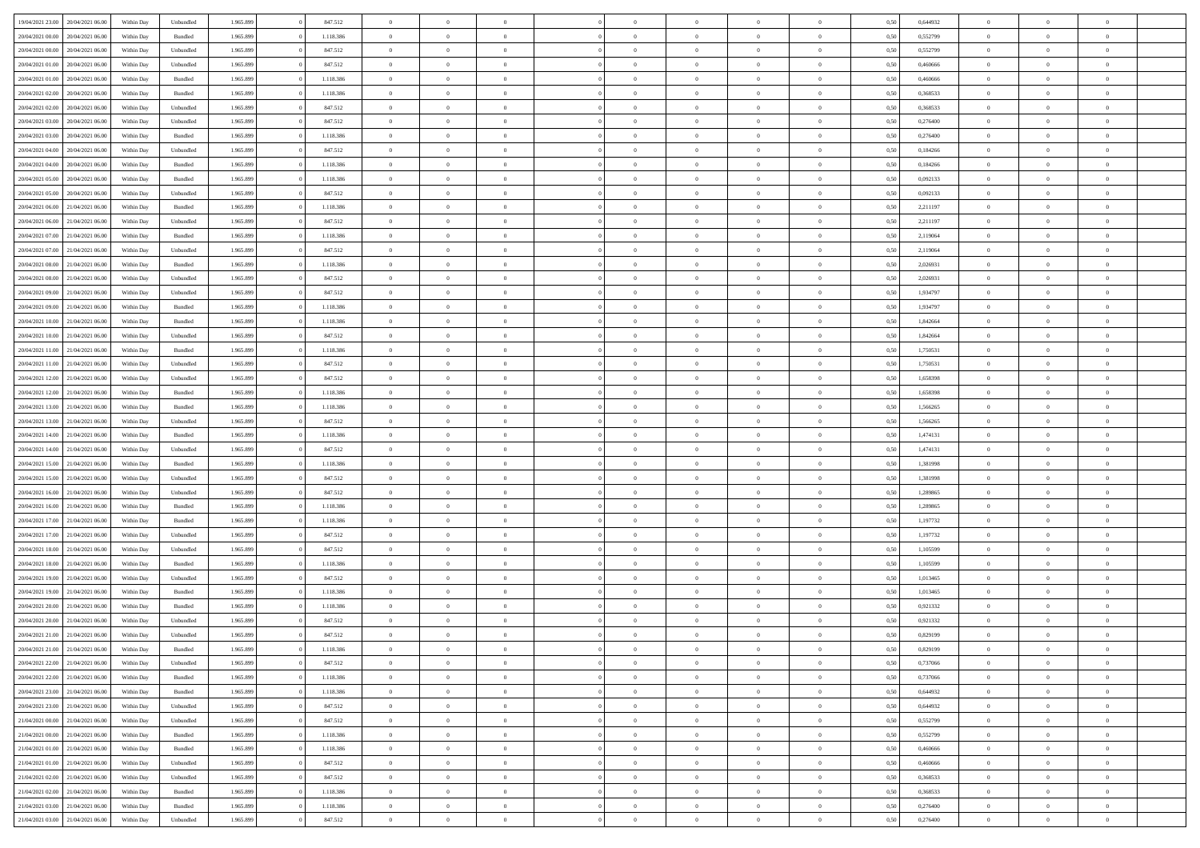| 19/04/2021 23:00 20/04/2021 06:00    | Within Day | Unbundled          | 1.965.899 | 847.512   | $\overline{0}$ | $\overline{0}$ | $\Omega$       | $\Omega$       | $\Omega$       |                | $\overline{0}$ | 0,50 | 0,644932 | $\mathbf{0}$   | $\Omega$       | $\Omega$       |  |
|--------------------------------------|------------|--------------------|-----------|-----------|----------------|----------------|----------------|----------------|----------------|----------------|----------------|------|----------|----------------|----------------|----------------|--|
| 20/04/2021 00:00<br>20/04/2021 06:00 | Within Day | Bundled            | 1.965.899 | 1.118.386 | $\bf{0}$       | $\overline{0}$ | $\overline{0}$ | $\theta$       | $\overline{0}$ | $\overline{0}$ | $\,$ 0         | 0,50 | 0,552799 | $\mathbf{0}$   | $\theta$       | $\bf{0}$       |  |
| 20/04/2021 00:00<br>20/04/2021 06:00 | Within Day | Unbundled          | 1.965.899 | 847.512   | $\overline{0}$ | $\overline{0}$ | $\overline{0}$ | $\bf{0}$       | $\bf{0}$       | $\overline{0}$ | $\mathbf{0}$   | 0,50 | 0,552799 | $\overline{0}$ | $\bf{0}$       | $\bf{0}$       |  |
| 20/04/2021 01:00<br>20/04/2021 06:00 | Within Day | Unbundled          | 1.965.899 | 847.512   | $\overline{0}$ | $\overline{0}$ | $\overline{0}$ | $\overline{0}$ | $\overline{0}$ | $\overline{0}$ | $\overline{0}$ | 0.50 | 0.460666 | $\mathbf{0}$   | $\overline{0}$ | $\bf{0}$       |  |
| 20/04/2021 01:00<br>20/04/2021 06:00 | Within Day | Bundled            | 1.965.899 | 1.118.386 | $\bf{0}$       | $\overline{0}$ | $\overline{0}$ | $\theta$       | $\overline{0}$ | $\overline{0}$ | $\bf{0}$       | 0,50 | 0,460666 | $\theta$       | $\theta$       | $\overline{0}$ |  |
| 20/04/2021 02:00<br>20/04/2021 06:00 | Within Day | Bundled            | 1.965.899 | 1.118.386 | $\overline{0}$ | $\overline{0}$ | $\overline{0}$ | $\bf{0}$       | $\overline{0}$ | $\overline{0}$ | $\overline{0}$ | 0,50 | 0,368533 | $\overline{0}$ | $\overline{0}$ | $\overline{0}$ |  |
| 20/04/2021 02:00<br>20/04/2021 06:00 | Within Day | Unbundled          | 1.965.899 | 847.512   | $\overline{0}$ | $\overline{0}$ | $\overline{0}$ | $\overline{0}$ | $\overline{0}$ | $\overline{0}$ | $\mathbf{0}$   | 0.50 | 0,368533 | $\mathbf{0}$   | $\overline{0}$ | $\overline{0}$ |  |
| 20/04/2021 03:00<br>20/04/2021 06:00 | Within Day | Unbundled          | 1.965.899 | 847.512   | $\bf{0}$       | $\overline{0}$ | $\overline{0}$ | $\theta$       | $\overline{0}$ | $\overline{0}$ | $\bf{0}$       | 0,50 | 0,276400 | $\theta$       | $\theta$       | $\bf{0}$       |  |
|                                      |            |                    |           |           |                |                |                |                |                |                |                |      |          |                |                |                |  |
| 20/04/2021 03:00<br>20/04/2021 06:00 | Within Day | Bundled            | 1.965.899 | 1.118.386 | $\overline{0}$ | $\overline{0}$ | $\overline{0}$ | $\bf{0}$       | $\bf{0}$       | $\overline{0}$ | $\mathbf{0}$   | 0,50 | 0,276400 | $\bf{0}$       | $\bf{0}$       | $\bf{0}$       |  |
| 20/04/2021 04:00<br>20/04/2021 06:00 | Within Day | Unbundled          | 1.965.899 | 847.512   | $\overline{0}$ | $\overline{0}$ | $\overline{0}$ | $\overline{0}$ | $\overline{0}$ | $\overline{0}$ | $\overline{0}$ | 0.50 | 0,184266 | $\overline{0}$ | $\overline{0}$ | $\overline{0}$ |  |
| 20/04/2021 04:00<br>20/04/2021 06:00 | Within Day | Bundled            | 1.965.899 | 1.118.386 | $\bf{0}$       | $\overline{0}$ | $\overline{0}$ | $\overline{0}$ | $\overline{0}$ | $\overline{0}$ | $\,$ 0         | 0,50 | 0,184266 | $\mathbf{0}$   | $\theta$       | $\bf{0}$       |  |
| 20/04/2021 05:00<br>20/04/2021 06:00 | Within Day | Bundled            | 1.965.899 | 1.118.386 | $\overline{0}$ | $\overline{0}$ | $\overline{0}$ | $\bf{0}$       | $\bf{0}$       | $\overline{0}$ | $\mathbf{0}$   | 0,50 | 0,092133 | $\bf{0}$       | $\bf{0}$       | $\bf{0}$       |  |
| 20/04/2021 05:00<br>20/04/2021 06:00 | Within Day | Unbundled          | 1.965.899 | 847.512   | $\overline{0}$ | $\overline{0}$ | $\overline{0}$ | $\overline{0}$ | $\overline{0}$ | $\overline{0}$ | $\overline{0}$ | 0.50 | 0.092133 | $\mathbf{0}$   | $\overline{0}$ | $\bf{0}$       |  |
| 20/04/2021 06:00<br>21/04/2021 06:00 | Within Day | $\mathbf B$ undled | 1.965.899 | 1.118.386 | $\bf{0}$       | $\overline{0}$ | $\overline{0}$ | $\theta$       | $\overline{0}$ | $\overline{0}$ | $\,$ 0         | 0,50 | 2,211197 | $\theta$       | $\theta$       | $\overline{0}$ |  |
| 20/04/2021 06:00<br>21/04/2021 06:00 | Within Day | Unbundled          | 1.965.899 | 847.512   | $\overline{0}$ | $\overline{0}$ | $\overline{0}$ | $\bf{0}$       | $\overline{0}$ | $\overline{0}$ | $\overline{0}$ | 0,50 | 2,211197 | $\overline{0}$ | $\bf{0}$       | $\overline{0}$ |  |
| 20/04/2021 07:00<br>21/04/2021 06:00 | Within Day | Bundled            | 1.965.899 | 1.118.386 | $\overline{0}$ | $\overline{0}$ | $\overline{0}$ | $\overline{0}$ | $\overline{0}$ | $\overline{0}$ | $\mathbf{0}$   | 0.50 | 2.119064 | $\overline{0}$ | $\overline{0}$ | $\overline{0}$ |  |
| 20/04/2021 07:00<br>21/04/2021 06:00 | Within Day | Unbundled          | 1.965.899 | 847.512   | $\bf{0}$       | $\overline{0}$ | $\overline{0}$ | $\overline{0}$ | $\overline{0}$ | $\overline{0}$ | $\bf{0}$       | 0,50 | 2,119064 | $\theta$       | $\theta$       | $\bf{0}$       |  |
| 20/04/2021 08:00<br>21/04/2021 06.00 | Within Day | Bundled            | 1.965.899 | 1.118.386 | $\overline{0}$ | $\overline{0}$ | $\overline{0}$ | $\bf{0}$       | $\bf{0}$       | $\overline{0}$ | $\mathbf{0}$   | 0,50 | 2,026931 | $\bf{0}$       | $\bf{0}$       | $\bf{0}$       |  |
| 20/04/2021 08:00<br>21/04/2021 06:00 | Within Day | Unbundled          | 1.965.899 | 847.512   | $\overline{0}$ | $\overline{0}$ | $\overline{0}$ | $\overline{0}$ | $\overline{0}$ | $\overline{0}$ | $\overline{0}$ | 0.50 | 2.026931 | $\overline{0}$ | $\overline{0}$ | $\overline{0}$ |  |
| 20/04/2021 09:00<br>21/04/2021 06:00 | Within Day | Unbundled          | 1.965.899 | 847.512   | $\bf{0}$       | $\overline{0}$ | $\overline{0}$ | $\overline{0}$ | $\overline{0}$ | $\overline{0}$ | $\,$ 0         | 0,50 | 1,934797 | $\theta$       | $\theta$       | $\bf{0}$       |  |
|                                      |            |                    |           |           |                |                |                |                |                |                |                |      |          |                |                |                |  |
| 20/04/2021 09:00<br>21/04/2021 06:00 | Within Day | Bundled            | 1.965.899 | 1.118.386 | $\overline{0}$ | $\overline{0}$ | $\overline{0}$ | $\bf{0}$       | $\bf{0}$       | $\overline{0}$ | $\mathbf{0}$   | 0,50 | 1,934797 | $\bf{0}$       | $\bf{0}$       | $\bf{0}$       |  |
| 20/04/2021 10:00<br>21/04/2021 06:00 | Within Day | Bundled            | 1.965.899 | 1.118.386 | $\overline{0}$ | $\overline{0}$ | $\overline{0}$ | $\overline{0}$ | $\overline{0}$ | $\overline{0}$ | $\overline{0}$ | 0.50 | 1.842664 | $\overline{0}$ | $\overline{0}$ | $\bf{0}$       |  |
| 20/04/2021 10:00<br>21/04/2021 06:00 | Within Day | Unbundled          | 1.965.899 | 847.512   | $\bf{0}$       | $\overline{0}$ | $\overline{0}$ | $\overline{0}$ | $\overline{0}$ | $\overline{0}$ | $\,$ 0         | 0,50 | 1,842664 | $\mathbf{0}$   | $\theta$       | $\bf{0}$       |  |
| 20/04/2021 11:00<br>21/04/2021 06:00 | Within Day | Bundled            | 1.965.899 | 1.118.386 | $\overline{0}$ | $\overline{0}$ | $\overline{0}$ | $\bf{0}$       | $\overline{0}$ | $\overline{0}$ | $\overline{0}$ | 0,50 | 1,750531 | $\overline{0}$ | $\overline{0}$ | $\overline{0}$ |  |
| 20/04/2021 11:00<br>21/04/2021 06:00 | Within Day | Unbundled          | 1.965.899 | 847.512   | $\overline{0}$ | $\overline{0}$ | $\overline{0}$ | $\overline{0}$ | $\overline{0}$ | $\overline{0}$ | $\overline{0}$ | 0.50 | 1,750531 | $\overline{0}$ | $\overline{0}$ | $\overline{0}$ |  |
| 20/04/2021 12:00<br>21/04/2021 06:00 | Within Day | Unbundled          | 1.965.899 | 847.512   | $\bf{0}$       | $\overline{0}$ | $\overline{0}$ | $\overline{0}$ | $\overline{0}$ | $\overline{0}$ | $\bf{0}$       | 0,50 | 1,658398 | $\theta$       | $\theta$       | $\bf{0}$       |  |
| 20/04/2021 12:00<br>21/04/2021 06:00 | Within Day | Bundled            | 1.965.899 | 1.118.386 | $\overline{0}$ | $\overline{0}$ | $\overline{0}$ | $\bf{0}$       | $\bf{0}$       | $\overline{0}$ | $\mathbf{0}$   | 0,50 | 1,658398 | $\bf{0}$       | $\bf{0}$       | $\bf{0}$       |  |
| 20/04/2021 13:00<br>21/04/2021 06:00 | Within Day | Bundled            | 1.965.899 | 1.118.386 | $\overline{0}$ | $\overline{0}$ | $\overline{0}$ | $\overline{0}$ | $\overline{0}$ | $\overline{0}$ | $\overline{0}$ | 0.50 | 1,566265 | $\overline{0}$ | $\overline{0}$ | $\bf{0}$       |  |
| 20/04/2021 13:00<br>21/04/2021 06:00 | Within Day | Unbundled          | 1.965.899 | 847.512   | $\bf{0}$       | $\overline{0}$ | $\overline{0}$ | $\overline{0}$ | $\overline{0}$ | $\overline{0}$ | $\,$ 0         | 0,50 | 1,566265 | $\,$ 0 $\,$    | $\theta$       | $\bf{0}$       |  |
| 20/04/2021 14:00<br>21/04/2021 06:00 | Within Day | Bundled            | 1.965.899 | 1.118.386 | $\overline{0}$ | $\overline{0}$ | $\overline{0}$ | $\bf{0}$       | $\bf{0}$       | $\overline{0}$ | $\mathbf{0}$   | 0,50 | 1,474131 | $\overline{0}$ | $\bf{0}$       | $\bf{0}$       |  |
| 20/04/2021 14:00<br>21/04/2021 06.00 | Within Day | Unbundled          | 1.965.899 | 847.512   | $\overline{0}$ | $\overline{0}$ | $\overline{0}$ | $\overline{0}$ | $\overline{0}$ | $\Omega$       | $\overline{0}$ | 0,50 | 1,474131 | $\bf{0}$       | $\Omega$       | $\Omega$       |  |
| 20/04/2021 15:00<br>21/04/2021 06:00 | Within Day | Bundled            | 1.965.899 | 1.118.386 | $\bf{0}$       | $\overline{0}$ | $\bf{0}$       | $\theta$       | $\overline{0}$ | $\overline{0}$ | $\,$ 0         | 0,50 | 1,381998 | $\theta$       | $\theta$       | $\bf{0}$       |  |
| 20/04/2021 15:00<br>21/04/2021 06:00 | Within Day | Unbundled          | 1.965.899 | 847.512   | $\overline{0}$ | $\overline{0}$ | $\overline{0}$ | $\bf{0}$       | $\overline{0}$ | $\overline{0}$ | $\overline{0}$ | 0,50 | 1,381998 | $\overline{0}$ | $\overline{0}$ | $\overline{0}$ |  |
|                                      |            |                    |           |           |                |                |                |                |                |                |                |      |          |                |                |                |  |
| 20/04/2021 16:00<br>21/04/2021 06:00 | Within Day | Unbundled          | 1.965.899 | 847.512   | $\overline{0}$ | $\overline{0}$ | $\overline{0}$ | $\overline{0}$ | $\overline{0}$ | $\Omega$       | $\overline{0}$ | 0.50 | 1,289865 | $\overline{0}$ | $\Omega$       | $\Omega$       |  |
| 20/04/2021 16:00<br>21/04/2021 06:00 | Within Day | Bundled            | 1.965.899 | 1.118.386 | $\bf{0}$       | $\overline{0}$ | $\bf{0}$       | $\overline{0}$ | $\overline{0}$ | $\overline{0}$ | $\bf{0}$       | 0,50 | 1,289865 | $\overline{0}$ | $\theta$       | $\bf{0}$       |  |
| 20/04/2021 17:00<br>21/04/2021 06:00 | Within Day | Bundled            | 1.965.899 | 1.118.386 | $\overline{0}$ | $\overline{0}$ | $\bf{0}$       | $\bf{0}$       | $\bf{0}$       | $\overline{0}$ | $\mathbf{0}$   | 0,50 | 1,197732 | $\bf{0}$       | $\bf{0}$       | $\bf{0}$       |  |
| 20/04/2021 17:00<br>21/04/2021 06:00 | Within Day | Unbundled          | 1.965.899 | 847.512   | $\overline{0}$ | $\overline{0}$ | $\overline{0}$ | $\overline{0}$ | $\overline{0}$ | $\Omega$       | $\theta$       | 0.50 | 1,197732 | $\overline{0}$ | $\Omega$       | $\Omega$       |  |
| 20/04/2021 18:00<br>21/04/2021 06:00 | Within Day | Unbundled          | 1.965.899 | 847.512   | $\bf{0}$       | $\overline{0}$ | $\bf{0}$       | $\overline{0}$ | $\overline{0}$ | $\overline{0}$ | $\,$ 0         | 0,50 | 1,105599 | $\,$ 0 $\,$    | $\theta$       | $\bf{0}$       |  |
| 20/04/2021 18:00<br>21/04/2021 06:00 | Within Day | Bundled            | 1.965.899 | 1.118.386 | $\overline{0}$ | $\overline{0}$ | $\overline{0}$ | $\bf{0}$       | $\bf{0}$       | $\overline{0}$ | $\mathbf{0}$   | 0,50 | 1,105599 | $\overline{0}$ | $\bf{0}$       | $\bf{0}$       |  |
| 20/04/2021 19:00<br>21/04/2021 06:00 | Within Day | Unbundled          | 1.965.899 | 847.512   | $\overline{0}$ | $\overline{0}$ | $\overline{0}$ | $\overline{0}$ | $\bf{0}$       | $\Omega$       | $\overline{0}$ | 0.50 | 1,013465 | $\overline{0}$ | $\Omega$       | $\Omega$       |  |
| 20/04/2021 19:00<br>21/04/2021 06:00 | Within Day | Bundled            | 1.965.899 | 1.118.386 | $\bf{0}$       | $\overline{0}$ | $\bf{0}$       | $\overline{0}$ | $\overline{0}$ | $\overline{0}$ | $\,$ 0         | 0,50 | 1,013465 | $\,$ 0 $\,$    | $\theta$       | $\bf{0}$       |  |
| 20/04/2021 20:00<br>21/04/2021 06.00 | Within Day | Bundled            | 1.965.899 | 1.118.386 | $\overline{0}$ | $\overline{0}$ | $\overline{0}$ | $\bf{0}$       | $\overline{0}$ | $\overline{0}$ | $\overline{0}$ | 0,50 | 0,921332 | $\overline{0}$ | $\bf{0}$       | $\bf{0}$       |  |
| 20/04/2021 20:00<br>21/04/2021 06.00 | Within Day | Unbundled          | 1.965.899 | 847.512   | $\overline{0}$ | $\Omega$       | $\Omega$       | $\overline{0}$ | $\overline{0}$ | $\Omega$       | $\overline{0}$ | 0.50 | 0,921332 | $\overline{0}$ | $\Omega$       | $\Omega$       |  |
| 20/04/2021 21:00<br>21/04/2021 06:00 | Within Day | Unbundled          | 1.965.899 | 847.512   | $\bf{0}$       | $\bf{0}$       | $\bf{0}$       | $\bf{0}$       | $\bf{0}$       | $\overline{0}$ | $\,$ 0         | 0,50 | 0,829199 | $\bf{0}$       | $\,$ 0         | $\bf{0}$       |  |
| 20/04/2021 21:00 21/04/2021 06:00    | Within Day | Bundled            | 1.965.899 | 1.118.386 | $\bf{0}$       | $\bf{0}$       |                | $\bf{0}$       |                |                |                | 0,50 | 0,829199 | $\bf{0}$       | $\bf{0}$       |                |  |
| 20/04/2021 22:00 21/04/2021 06:00    | Within Day | Unbundled          | 1.965.899 | 847.512   | $\overline{0}$ | $\overline{0}$ | $\theta$       | $\overline{0}$ | $\overline{0}$ | $\overline{0}$ | $\mathbf{0}$   | 0,50 | 0.737066 | $\overline{0}$ | $\theta$       | $\theta$       |  |
| 20/04/2021 22.00 21/04/2021 06:00    | Within Day | Bundled            | 1.965.899 | 1.118.386 | $\overline{0}$ | $\overline{0}$ | $\overline{0}$ | $\bf{0}$       | $\overline{0}$ | $\overline{0}$ | $\mathbf{0}$   | 0,50 | 0,737066 | $\,$ 0 $\,$    | $\overline{0}$ | $\,$ 0 $\,$    |  |
| 20/04/2021 23:00 21/04/2021 06:00    |            |                    |           |           |                |                |                |                |                |                |                |      |          |                |                |                |  |
|                                      | Within Day | Bundled            | 1.965.899 | 1.118.386 | $\overline{0}$ | $\overline{0}$ | $\overline{0}$ | $\bf{0}$       | $\overline{0}$ | $\overline{0}$ | $\overline{0}$ | 0,50 | 0,644932 | $\overline{0}$ | $\overline{0}$ | $\overline{0}$ |  |
| 21/04/2021 06:00<br>20/04/2021 23:00 | Within Day | Unbundled          | 1.965.899 | 847.512   | $\overline{0}$ | $\overline{0}$ | $\overline{0}$ | $\overline{0}$ | $\bf{0}$       | $\overline{0}$ | $\overline{0}$ | 0,50 | 0,644932 | $\overline{0}$ | $\overline{0}$ | $\overline{0}$ |  |
| 21/04/2021 00:00 21/04/2021 06:00    | Within Day | Unbundled          | 1.965.899 | 847.512   | $\overline{0}$ | $\overline{0}$ | $\overline{0}$ | $\overline{0}$ | $\overline{0}$ | $\overline{0}$ | $\mathbf{0}$   | 0,50 | 0,552799 | $\,$ 0 $\,$    | $\theta$       | $\bf{0}$       |  |
| 21/04/2021 00:00 21/04/2021 06:00    | Within Day | Bundled            | 1.965.899 | 1.118.386 | $\overline{0}$ | $\overline{0}$ | $\overline{0}$ | $\bf{0}$       | $\overline{0}$ | $\overline{0}$ | $\overline{0}$ | 0,50 | 0,552799 | $\overline{0}$ | $\overline{0}$ | $\overline{0}$ |  |
| 21/04/2021 01:00 21/04/2021 06:00    | Within Day | Bundled            | 1.965.899 | 1.118.386 | $\overline{0}$ | $\overline{0}$ | $\overline{0}$ | $\overline{0}$ | $\overline{0}$ | $\overline{0}$ | $\overline{0}$ | 0.50 | 0.460666 | $\overline{0}$ | $\overline{0}$ | $\overline{0}$ |  |
| 21/04/2021 01.00 21/04/2021 06.00    | Within Day | Unbundled          | 1.965.899 | 847.512   | $\overline{0}$ | $\overline{0}$ | $\overline{0}$ | $\bf{0}$       | $\bf{0}$       | $\overline{0}$ | $\,$ 0 $\,$    | 0,50 | 0,460666 | $\,$ 0 $\,$    | $\theta$       | $\,$ 0         |  |
| 21/04/2021 02:00 21/04/2021 06:00    | Within Day | Unbundled          | 1.965.899 | 847.512   | $\overline{0}$ | $\overline{0}$ | $\overline{0}$ | $\bf{0}$       | $\overline{0}$ | $\overline{0}$ | $\overline{0}$ | 0,50 | 0,368533 | $\bf{0}$       | $\bf{0}$       | $\overline{0}$ |  |
| 21/04/2021 02:00 21/04/2021 06:00    | Within Day | Bundled            | 1.965.899 | 1.118.386 | $\overline{0}$ | $\overline{0}$ | $\overline{0}$ | $\overline{0}$ | $\overline{0}$ | $\overline{0}$ | $\overline{0}$ | 0,50 | 0.368533 | $\overline{0}$ | $\overline{0}$ | $\overline{0}$ |  |
| 21/04/2021 03:00<br>21/04/2021 06:00 | Within Day | Bundled            | 1.965.899 | 1.118.386 | $\overline{0}$ | $\overline{0}$ | $\overline{0}$ | $\bf{0}$       | $\bf{0}$       | $\bf{0}$       | $\,$ 0 $\,$    | 0,50 | 0,276400 | $\,$ 0 $\,$    | $\,0\,$        | $\,$ 0         |  |
| 21/04/2021 03:00 21/04/2021 06:00    | Within Day | Unbundled          | 1.965.899 | 847.512   | $\overline{0}$ | $\overline{0}$ | $\overline{0}$ | $\bf{0}$       | $\overline{0}$ | $\overline{0}$ | $\overline{0}$ | 0,50 | 0,276400 | $\overline{0}$ | $\bf{0}$       | $\overline{0}$ |  |
|                                      |            |                    |           |           |                |                |                |                |                |                |                |      |          |                |                |                |  |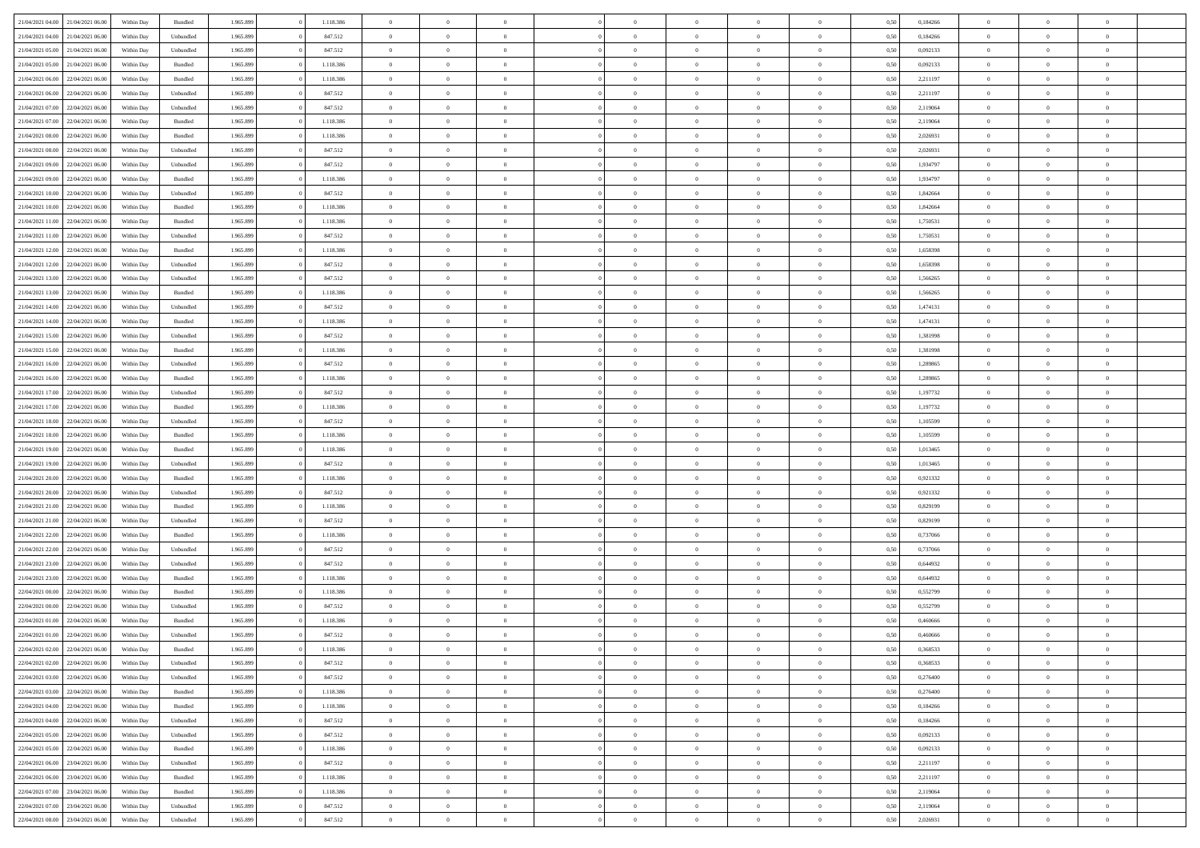| 21/04/2021 04:00                  | 21/04/2021 06:00                  | Within Day | Bundled            | 1.965.899 | 1.118.386 | $\overline{0}$ | $\Omega$       |                | $\Omega$       | $\Omega$       | $\Omega$       | $\theta$       | 0,50 | 0,184266 | $\theta$       | $\theta$       | $\theta$       |  |
|-----------------------------------|-----------------------------------|------------|--------------------|-----------|-----------|----------------|----------------|----------------|----------------|----------------|----------------|----------------|------|----------|----------------|----------------|----------------|--|
|                                   |                                   |            |                    |           |           |                |                |                |                |                |                |                |      |          |                |                |                |  |
| 21/04/2021 04:00                  | 21/04/2021 06:00                  | Within Day | Unbundled          | 1.965.899 | 847.512   | $\overline{0}$ | $\theta$       | $\overline{0}$ | $\overline{0}$ | $\bf{0}$       | $\overline{0}$ | $\bf{0}$       | 0,50 | 0,184266 | $\theta$       | $\theta$       | $\overline{0}$ |  |
| 21/04/2021 05:00                  | 21/04/2021 06:00                  | Within Day | Unbundled          | 1.965.899 | 847.512   | $\overline{0}$ | $\overline{0}$ | $\overline{0}$ | $\bf{0}$       | $\bf{0}$       | $\bf{0}$       | $\mathbf{0}$   | 0,50 | 0,092133 | $\bf{0}$       | $\overline{0}$ | $\overline{0}$ |  |
| 21/04/2021 05:00                  | 21/04/2021 06:00                  | Within Dav | Bundled            | 1.965.899 | 1.118.386 | $\overline{0}$ | $\overline{0}$ | $\overline{0}$ | $\overline{0}$ | $\bf{0}$       | $\overline{0}$ | $\overline{0}$ | 0.50 | 0,092133 | $\theta$       | $\theta$       | $\overline{0}$ |  |
|                                   |                                   |            |                    |           |           | $\overline{0}$ | $\theta$       | $\overline{0}$ |                | $\bf{0}$       | $\overline{0}$ |                |      |          | $\,$ 0 $\,$    | $\overline{0}$ | $\overline{0}$ |  |
| 21/04/2021 06:00                  | 22/04/2021 06.00                  | Within Day | Bundled            | 1.965.899 | 1.118.386 |                |                |                | $\overline{0}$ |                |                | $\bf{0}$       | 0,50 | 2,211197 |                |                |                |  |
| 21/04/2021 06:00                  | 22/04/2021 06:00                  | Within Day | Unbundled          | 1.965.899 | 847.512   | $\overline{0}$ | $\bf{0}$       | $\overline{0}$ | $\bf{0}$       | $\overline{0}$ | $\overline{0}$ | $\mathbf{0}$   | 0,50 | 2,211197 | $\overline{0}$ | $\overline{0}$ | $\bf{0}$       |  |
| 21/04/2021 07:00                  | 22/04/2021 06:00                  | Within Dav | Unbundled          | 1.965.899 | 847.512   | $\overline{0}$ | $\overline{0}$ | $\overline{0}$ | $\overline{0}$ | $\overline{0}$ | $\overline{0}$ | $\overline{0}$ | 0.50 | 2,119064 | $\theta$       | $\overline{0}$ | $\overline{0}$ |  |
| 21/04/2021 07:00                  | 22/04/2021 06:00                  | Within Day | Bundled            | 1.965.899 | 1.118.386 | $\overline{0}$ | $\theta$       | $\overline{0}$ | $\overline{0}$ | $\bf{0}$       | $\overline{0}$ | $\bf{0}$       | 0,50 | 2,119064 | $\theta$       | $\theta$       | $\overline{0}$ |  |
| 21/04/2021 08:00                  | 22/04/2021 06:00                  | Within Day | Bundled            | 1.965.899 | 1.118.386 | $\overline{0}$ | $\overline{0}$ | $\overline{0}$ | $\bf{0}$       | $\bf{0}$       | $\bf{0}$       | $\mathbf{0}$   | 0,50 | 2,026931 | $\,0\,$        | $\overline{0}$ | $\overline{0}$ |  |
| 21/04/2021 08:00                  | 22/04/2021 06:00                  | Within Dav | Unbundled          | 1.965.899 | 847.512   | $\overline{0}$ | $\overline{0}$ | $\overline{0}$ | $\overline{0}$ | $\overline{0}$ | $\overline{0}$ | $\overline{0}$ | 0.50 | 2,026931 | $\theta$       | $\overline{0}$ | $\overline{0}$ |  |
|                                   |                                   |            |                    |           |           |                |                |                |                |                |                |                |      |          |                |                |                |  |
| 21/04/2021 09:00                  | 22/04/2021 06.00                  | Within Day | Unbundled          | 1.965.899 | 847.512   | $\overline{0}$ | $\theta$       | $\overline{0}$ | $\overline{0}$ | $\bf{0}$       | $\overline{0}$ | $\bf{0}$       | 0,50 | 1,934797 | $\,$ 0 $\,$    | $\overline{0}$ | $\overline{0}$ |  |
| 21/04/2021 09:00                  | 22/04/2021 06:00                  | Within Day | Bundled            | 1.965.899 | 1.118.386 | $\overline{0}$ | $\overline{0}$ | $\overline{0}$ | $\bf{0}$       | $\bf{0}$       | $\bf{0}$       | $\mathbf{0}$   | 0,50 | 1,934797 | $\overline{0}$ | $\overline{0}$ | $\bf{0}$       |  |
| 21/04/2021 10:00                  | 22/04/2021 06:00                  | Within Day | Unbundled          | 1.965.899 | 847.512   | $\overline{0}$ | $\overline{0}$ | $\overline{0}$ | $\overline{0}$ | $\bf{0}$       | $\overline{0}$ | $\overline{0}$ | 0.50 | 1.842664 | $\theta$       | $\theta$       | $\overline{0}$ |  |
| 21/04/2021 10:00                  | 22/04/2021 06.00                  | Within Day | Bundled            | 1.965.899 | 1.118.386 | $\overline{0}$ | $\theta$       | $\overline{0}$ | $\overline{0}$ | $\bf{0}$       | $\overline{0}$ | $\bf{0}$       | 0,50 | 1,842664 | $\theta$       | $\overline{0}$ | $\overline{0}$ |  |
| 21/04/2021 11:00                  | 22/04/2021 06:00                  | Within Day | Bundled            | 1.965.899 | 1.118.386 | $\overline{0}$ | $\overline{0}$ | $\overline{0}$ | $\bf{0}$       | $\overline{0}$ | $\overline{0}$ | $\mathbf{0}$   | 0,50 | 1,750531 | $\overline{0}$ | $\overline{0}$ | $\bf{0}$       |  |
|                                   |                                   |            |                    |           |           |                |                |                |                |                |                |                |      |          |                |                |                |  |
| 21/04/2021 11:00                  | 22/04/2021 06:00                  | Within Dav | Unbundled          | 1.965.899 | 847.512   | $\overline{0}$ | $\overline{0}$ | $\overline{0}$ | $\overline{0}$ | $\overline{0}$ | $\overline{0}$ | $\overline{0}$ | 0.50 | 1,750531 | $\theta$       | $\overline{0}$ | $\overline{0}$ |  |
| 21/04/2021 12:00                  | 22/04/2021 06:00                  | Within Day | Bundled            | 1.965.899 | 1.118.386 | $\overline{0}$ | $\theta$       | $\overline{0}$ | $\overline{0}$ | $\bf{0}$       | $\overline{0}$ | $\bf{0}$       | 0,50 | 1,658398 | $\theta$       | $\theta$       | $\overline{0}$ |  |
| 21/04/2021 12:00                  | 22/04/2021 06:00                  | Within Day | Unbundled          | 1.965.899 | 847.512   | $\overline{0}$ | $\overline{0}$ | $\overline{0}$ | $\bf{0}$       | $\bf{0}$       | $\bf{0}$       | $\mathbf{0}$   | 0,50 | 1,658398 | $\bf{0}$       | $\overline{0}$ | $\overline{0}$ |  |
| 21/04/2021 13:00                  | 22/04/2021 06:00                  | Within Dav | Unbundled          | 1.965.899 | 847.512   | $\overline{0}$ | $\overline{0}$ | $\overline{0}$ | $\overline{0}$ | $\overline{0}$ | $\overline{0}$ | $\overline{0}$ | 0.50 | 1,566265 | $\theta$       | $\overline{0}$ | $\overline{0}$ |  |
| 21/04/2021 13:00                  | 22/04/2021 06:00                  | Within Day | Bundled            | 1.965.899 | 1.118.386 | $\overline{0}$ | $\theta$       | $\overline{0}$ | $\overline{0}$ | $\bf{0}$       | $\overline{0}$ | $\bf{0}$       | 0,50 | 1,566265 | $\,$ 0 $\,$    | $\theta$       | $\overline{0}$ |  |
| 21/04/2021 14:00                  | 22/04/2021 06:00                  | Within Day | Unbundled          | 1.965.899 | 847.512   | $\overline{0}$ | $\overline{0}$ | $\overline{0}$ | $\bf{0}$       | $\bf{0}$       | $\bf{0}$       | $\mathbf{0}$   | 0,50 | 1,474131 | $\overline{0}$ | $\overline{0}$ | $\overline{0}$ |  |
|                                   |                                   |            |                    |           |           |                |                |                |                |                |                |                |      |          |                |                |                |  |
| 21/04/2021 14:00                  | 22/04/2021 06:00                  | Within Day | Bundled            | 1.965.899 | 1.118.386 | $\overline{0}$ | $\overline{0}$ | $\overline{0}$ | $\overline{0}$ | $\bf{0}$       | $\overline{0}$ | $\overline{0}$ | 0.50 | 1,474131 | $\theta$       | $\overline{0}$ | $\overline{0}$ |  |
| 21/04/2021 15:00                  | 22/04/2021 06:00                  | Within Day | Unbundled          | 1.965.899 | 847.512   | $\overline{0}$ | $\theta$       | $\overline{0}$ | $\overline{0}$ | $\bf{0}$       | $\overline{0}$ | $\bf{0}$       | 0,50 | 1,381998 | $\,$ 0 $\,$    | $\overline{0}$ | $\overline{0}$ |  |
| 21/04/2021 15:00                  | 22/04/2021 06:00                  | Within Day | Bundled            | 1.965.899 | 1.118.386 | $\overline{0}$ | $\overline{0}$ | $\overline{0}$ | $\bf{0}$       | $\overline{0}$ | $\overline{0}$ | $\mathbf{0}$   | 0,50 | 1,381998 | $\bf{0}$       | $\overline{0}$ | $\bf{0}$       |  |
| 21/04/2021 16:00                  | 22/04/2021 06:00                  | Within Dav | Unbundled          | 1.965.899 | 847.512   | $\overline{0}$ | $\overline{0}$ | $\overline{0}$ | $\overline{0}$ | $\overline{0}$ | $\overline{0}$ | $\overline{0}$ | 0.50 | 1,289865 | $\theta$       | $\overline{0}$ | $\overline{0}$ |  |
| 21/04/2021 16:00                  | 22/04/2021 06:00                  | Within Day | Bundled            | 1.965.899 | 1.118.386 | $\overline{0}$ | $\theta$       | $\overline{0}$ | $\overline{0}$ | $\bf{0}$       | $\overline{0}$ | $\bf{0}$       | 0,50 | 1,289865 | $\theta$       | $\theta$       | $\overline{0}$ |  |
| 21/04/2021 17:00                  | 22/04/2021 06:00                  | Within Day | Unbundled          | 1.965.899 | 847.512   | $\overline{0}$ | $\overline{0}$ | $\overline{0}$ | $\bf{0}$       | $\bf{0}$       | $\bf{0}$       | $\bf{0}$       | 0,50 | 1,197732 | $\,0\,$        | $\overline{0}$ | $\overline{0}$ |  |
| 21/04/2021 17:00                  | 22/04/2021 06:00                  |            | Bundled            | 1.965.899 | 1.118.386 | $\overline{0}$ | $\overline{0}$ | $\overline{0}$ | $\overline{0}$ | $\overline{0}$ | $\overline{0}$ | $\overline{0}$ | 0.50 | 1,197732 | $\theta$       | $\overline{0}$ | $\overline{0}$ |  |
|                                   |                                   | Within Day |                    |           |           |                |                |                |                |                |                |                |      |          |                |                |                |  |
| 21/04/2021 18:00                  | 22/04/2021 06:00                  | Within Day | Unbundled          | 1.965.899 | 847.512   | $\overline{0}$ | $\theta$       | $\overline{0}$ | $\overline{0}$ | $\bf{0}$       | $\overline{0}$ | $\bf{0}$       | 0,50 | 1,105599 | $\,$ 0 $\,$    | $\overline{0}$ | $\overline{0}$ |  |
| 21/04/2021 18:00                  | 22/04/2021 06:00                  | Within Day | Bundled            | 1.965.899 | 1.118.386 | $\overline{0}$ | $\overline{0}$ | $\overline{0}$ | $\bf{0}$       | $\bf{0}$       | $\bf{0}$       | $\bf{0}$       | 0,50 | 1,105599 | $\bf{0}$       | $\overline{0}$ | $\overline{0}$ |  |
| 21/04/2021 19:00                  | 22/04/2021 06:00                  | Within Day | Bundled            | 1.965.899 | 1.118.386 | $\overline{0}$ | $\Omega$       | $\overline{0}$ | $\Omega$       | $\Omega$       | $\overline{0}$ | $\overline{0}$ | 0,50 | 1,013465 | $\,0\,$        | $\theta$       | $\theta$       |  |
| 21/04/2021 19:00                  | 22/04/2021 06:00                  | Within Day | Unbundled          | 1.965.899 | 847.512   | $\overline{0}$ | $\theta$       | $\overline{0}$ | $\overline{0}$ | $\bf{0}$       | $\overline{0}$ | $\bf{0}$       | 0,50 | 1,013465 | $\,$ 0 $\,$    | $\theta$       | $\overline{0}$ |  |
| 21/04/2021 20:00                  | 22/04/2021 06:00                  | Within Day | Bundled            | 1.965.899 | 1.118.386 | $\overline{0}$ | $\overline{0}$ | $\overline{0}$ | $\bf{0}$       | $\bf{0}$       | $\overline{0}$ | $\mathbf{0}$   | 0,50 | 0,921332 | $\bf{0}$       | $\overline{0}$ | $\bf{0}$       |  |
| 21/04/2021 20:00                  | 22/04/2021 06:00                  | Within Day | Unbundled          | 1.965.899 | 847.512   | $\overline{0}$ | $\Omega$       | $\overline{0}$ | $\Omega$       | $\bf{0}$       | $\overline{0}$ | $\overline{0}$ | 0.50 | 0,921332 | $\,0\,$        | $\theta$       | $\theta$       |  |
|                                   |                                   |            |                    |           |           |                |                |                |                |                |                |                |      |          |                |                |                |  |
| 21/04/2021 21:00                  | 22/04/2021 06:00                  | Within Day | Bundled            | 1.965.899 | 1.118.386 | $\overline{0}$ | $\theta$       | $\overline{0}$ | $\overline{0}$ | $\bf{0}$       | $\overline{0}$ | $\bf{0}$       | 0,50 | 0,829199 | $\,$ 0 $\,$    | $\theta$       | $\overline{0}$ |  |
| 21/04/2021 21:00                  | 22/04/2021 06:00                  | Within Day | Unbundled          | 1.965.899 | 847.512   | $\overline{0}$ | $\overline{0}$ | $\overline{0}$ | $\bf{0}$       | $\bf{0}$       | $\bf{0}$       | $\bf{0}$       | 0,50 | 0,829199 | $\bf{0}$       | $\overline{0}$ | $\overline{0}$ |  |
| 21/04/2021 22.00                  | 22/04/2021 06:00                  | Within Day | Bundled            | 1.965.899 | 1.118.386 | $\overline{0}$ | $\Omega$       | $\overline{0}$ | $\Omega$       | $\overline{0}$ | $\overline{0}$ | $\overline{0}$ | 0.50 | 0,737066 | $\,$ 0 $\,$    | $\theta$       | $\theta$       |  |
| 21/04/2021 22:00                  | 22/04/2021 06:00                  | Within Day | Unbundled          | 1.965.899 | 847.512   | $\overline{0}$ | $\theta$       | $\overline{0}$ | $\overline{0}$ | $\,$ 0         | $\overline{0}$ | $\bf{0}$       | 0,50 | 0,737066 | $\,$ 0 $\,$    | $\overline{0}$ | $\overline{0}$ |  |
| 21/04/2021 23:00                  | 22/04/2021 06:00                  | Within Day | Unbundled          | 1.965.899 | 847.512   | $\overline{0}$ | $\overline{0}$ | $\overline{0}$ | $\bf{0}$       | $\bf{0}$       | $\bf{0}$       | $\mathbf{0}$   | 0,50 | 0,644932 | $\overline{0}$ | $\overline{0}$ | $\overline{0}$ |  |
| 21/04/2021 23:00                  | 22/04/2021 06:00                  |            |                    | 1.965.899 | 1.118.386 | $\overline{0}$ | $\Omega$       | $\overline{0}$ | $\Omega$       | $\overline{0}$ | $\overline{0}$ | $\overline{0}$ | 0,50 | 0.644932 | $\,0\,$        | $\theta$       | $\theta$       |  |
|                                   |                                   | Within Day | Bundled            |           |           |                | $\theta$       |                |                |                |                |                |      |          |                |                |                |  |
| 22/04/2021 00:00                  | 22/04/2021 06:00                  | Within Day | Bundled            | 1.965.899 | 1.118.386 | $\overline{0}$ |                | $\overline{0}$ | $\overline{0}$ | $\,$ 0         | $\overline{0}$ | $\bf{0}$       | 0,50 | 0,552799 | $\,$ 0 $\,$    | $\overline{0}$ | $\overline{0}$ |  |
| 22/04/2021 00:00                  | 22/04/2021 06:00                  | Within Day | Unbundled          | 1.965.899 | 847.512   | $\overline{0}$ | $\overline{0}$ | $\overline{0}$ | $\bf{0}$       | $\bf{0}$       | $\bf{0}$       | $\mathbf{0}$   | 0,50 | 0,552799 | $\overline{0}$ | $\overline{0}$ | $\bf{0}$       |  |
| 22/04/2021 01:00                  | 22/04/2021 06:00                  | Within Day | Bundled            | 1.965.899 | 1.118.386 | $\overline{0}$ | $\Omega$       | $\Omega$       | $\Omega$       | $\Omega$       | $\Omega$       | $\overline{0}$ | 0.50 | 0.460666 | $\theta$       | $\theta$       | $\theta$       |  |
| 22/04/2021 01:00                  | 22/04/2021 06:00                  | Within Day | Unbundled          | 1.965.899 | 847.512   | $\overline{0}$ | $\,$ 0 $\,$    | $\overline{0}$ | $\bf{0}$       | $\,$ 0         | $\bf{0}$       | $\bf{0}$       | 0,50 | 0,460666 | $\,0\,$        | $\overline{0}$ | $\overline{0}$ |  |
|                                   | 22/04/2021 02:00 22/04/2021 06:00 | Within Day | $\mathbf B$ undled | 1.965.899 | 1.118.386 | $\bf{0}$       | $\bf{0}$       |                |                |                |                |                | 0,50 | 0,368533 | $\bf{0}$       | $\overline{0}$ |                |  |
| 22/04/2021 02:00                  | 22/04/2021 06:00                  | Within Day | Unbundled          | 1.965.899 | 847.512   | $\overline{0}$ | $\overline{0}$ | $\overline{0}$ | $\Omega$       | $\overline{0}$ | $\overline{0}$ | $\overline{0}$ | 0.50 | 0.368533 | $\theta$       | $\theta$       | $\Omega$       |  |
| 22/04/2021 03:00                  | 22/04/2021 06:00                  |            | Unbundled          | 1.965.899 | 847.512   | $\overline{0}$ | $\,$ 0         | $\overline{0}$ |                | $\,$ 0 $\,$    | $\overline{0}$ | $\,$ 0 $\,$    |      | 0,276400 | $\,$ 0 $\,$    | $\,$ 0 $\,$    | $\,$ 0         |  |
|                                   |                                   | Within Day |                    |           |           |                |                |                | $\bf{0}$       |                |                |                | 0,50 |          |                |                |                |  |
| 22/04/2021 03:00                  | 22/04/2021 06:00                  | Within Day | Bundled            | 1.965.899 | 1.118.386 | $\overline{0}$ | $\overline{0}$ | $\overline{0}$ | $\overline{0}$ | $\overline{0}$ | $\overline{0}$ | $\mathbf{0}$   | 0,50 | 0,276400 | $\overline{0}$ | $\bf{0}$       | $\bf{0}$       |  |
| 22/04/2021 04:00                  | 22/04/2021 06:00                  | Within Day | $\mathbf B$ undled | 1.965.899 | 1.118.386 | $\overline{0}$ | $\overline{0}$ | $\overline{0}$ | $\Omega$       | $\overline{0}$ | $\overline{0}$ | $\overline{0}$ | 0,50 | 0,184266 | $\overline{0}$ | $\theta$       | $\overline{0}$ |  |
| 22/04/2021 04:00                  | 22/04/2021 06:00                  | Within Day | Unbundled          | 1.965.899 | 847.512   | $\overline{0}$ | $\,$ 0         | $\overline{0}$ | $\overline{0}$ | $\,$ 0 $\,$    | $\overline{0}$ | $\mathbf{0}$   | 0,50 | 0,184266 | $\,$ 0 $\,$    | $\overline{0}$ | $\overline{0}$ |  |
| 22/04/2021 05:00                  | 22/04/2021 06:00                  | Within Day | Unbundled          | 1.965.899 | 847.512   | $\overline{0}$ | $\overline{0}$ | $\overline{0}$ | $\overline{0}$ | $\overline{0}$ | $\overline{0}$ | $\mathbf{0}$   | 0,50 | 0,092133 | $\overline{0}$ | $\overline{0}$ | $\bf{0}$       |  |
| 22/04/2021 05:00                  | 22/04/2021 06:00                  | Within Day | Bundled            | 1.965.899 | 1.118.386 | $\overline{0}$ | $\overline{0}$ | $\overline{0}$ | $\Omega$       | $\overline{0}$ | $\overline{0}$ | $\bf{0}$       | 0.50 | 0,092133 | $\overline{0}$ | $\theta$       | $\overline{0}$ |  |
| 22/04/2021 06:00                  | 23/04/2021 06:00                  | Within Day | Unbundled          | 1.965.899 | 847.512   | $\overline{0}$ | $\,$ 0         | $\overline{0}$ | $\bf{0}$       | $\bf{0}$       | $\bf{0}$       | $\bf{0}$       | 0,50 | 2,211197 | $\,$ 0 $\,$    | $\overline{0}$ | $\overline{0}$ |  |
|                                   |                                   |            |                    |           |           |                |                |                |                |                |                |                |      |          |                |                |                |  |
| 22/04/2021 06:00                  | 23/04/2021 06:00                  | Within Day | Bundled            | 1.965.899 | 1.118.386 | $\overline{0}$ | $\bf{0}$       | $\overline{0}$ | $\overline{0}$ | $\overline{0}$ | $\overline{0}$ | $\mathbf{0}$   | 0,50 | 2,211197 | $\overline{0}$ | $\overline{0}$ | $\bf{0}$       |  |
| 22/04/2021 07:00                  | 23/04/2021 06:00                  | Within Day | Bundled            | 1.965.899 | 1.118.386 | $\overline{0}$ | $\overline{0}$ | $\overline{0}$ | $\Omega$       | $\overline{0}$ | $\overline{0}$ | $\overline{0}$ | 0.50 | 2,119064 | $\overline{0}$ | $\overline{0}$ | $\overline{0}$ |  |
| 22/04/2021 07:00                  | 23/04/2021 06:00                  | Within Day | Unbundled          | 1.965.899 | 847.512   | $\overline{0}$ | $\bf{0}$       | $\overline{0}$ | $\overline{0}$ | $\bf{0}$       | $\bf{0}$       | $\mathbf{0}$   | 0,50 | 2,119064 | $\,$ 0 $\,$    | $\,$ 0 $\,$    | $\bf{0}$       |  |
| 22/04/2021 08:00 23/04/2021 06:00 |                                   | Within Day | Unbundled          | 1.965.899 | 847.512   | $\overline{0}$ | $\overline{0}$ | $\overline{0}$ | $\overline{0}$ | $\overline{0}$ | $\bf{0}$       | $\mathbf{0}$   | 0,50 | 2,026931 | $\overline{0}$ | $\bf{0}$       | $\bf{0}$       |  |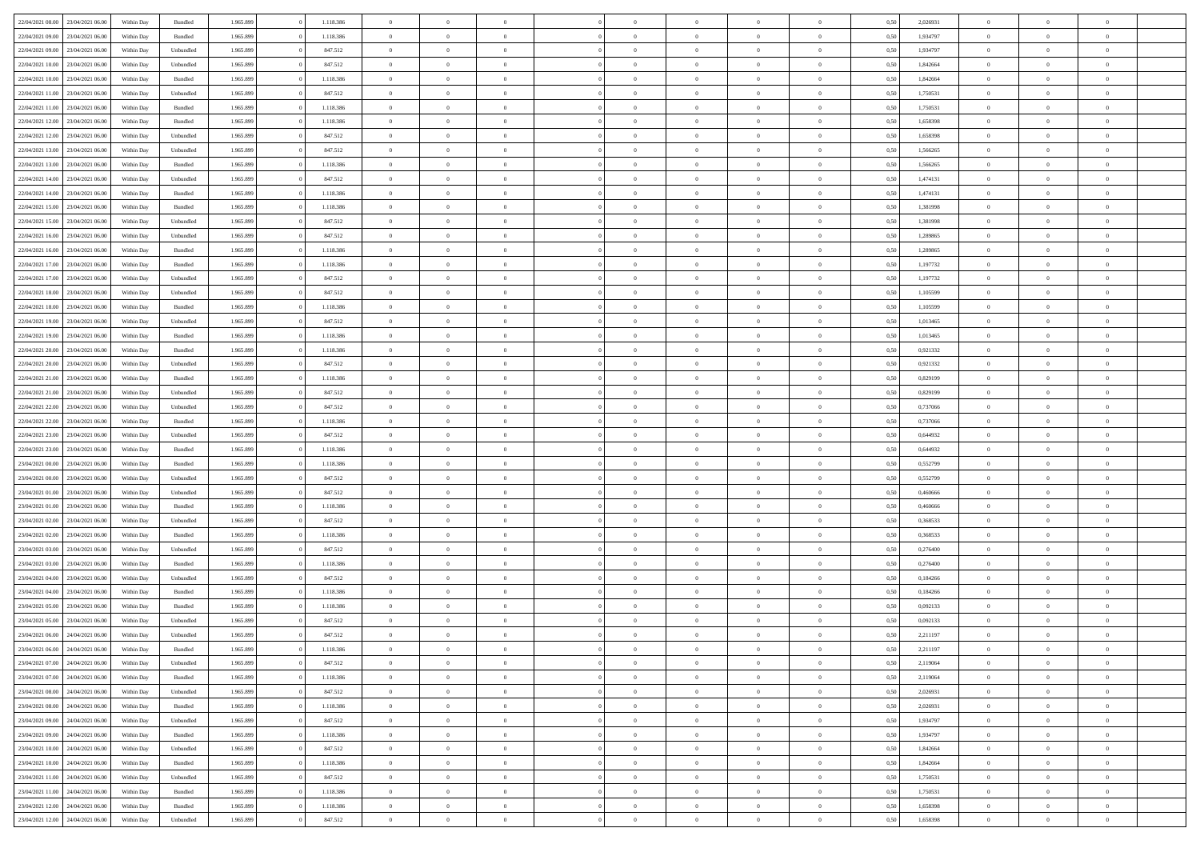| 22/04/2021 08:00                  | 23/04/2021 06:00 | Within Day | Bundled            | 1.965.899 | 1.118.386 | $\overline{0}$ | $\theta$       |                | $\Omega$       | $\Omega$       | $\theta$       | $\theta$       | 0,50 | 2,026931 | $\theta$       | $\overline{0}$ | $\theta$       |  |
|-----------------------------------|------------------|------------|--------------------|-----------|-----------|----------------|----------------|----------------|----------------|----------------|----------------|----------------|------|----------|----------------|----------------|----------------|--|
| 22/04/2021 09:00                  | 23/04/2021 06:00 | Within Day | Bundled            | 1.965.899 | 1.118.386 | $\overline{0}$ | $\theta$       | $\overline{0}$ | $\overline{0}$ | $\bf{0}$       | $\overline{0}$ | $\,$ 0 $\,$    | 0,50 | 1,934797 | $\theta$       | $\overline{0}$ | $\overline{0}$ |  |
| 22/04/2021 09:00                  | 23/04/2021 06:00 | Within Day | Unbundled          | 1.965.899 | 847.512   | $\overline{0}$ | $\overline{0}$ | $\overline{0}$ | $\bf{0}$       | $\bf{0}$       | $\bf{0}$       | $\mathbf{0}$   | 0,50 | 1,934797 | $\bf{0}$       | $\overline{0}$ | $\bf{0}$       |  |
| 22/04/2021 10:00                  | 23/04/2021 06:00 | Within Dav | Unbundled          | 1.965.899 | 847.512   | $\overline{0}$ | $\overline{0}$ | $\overline{0}$ | $\overline{0}$ | $\bf{0}$       | $\overline{0}$ | $\overline{0}$ | 0.50 | 1.842664 | $\theta$       | $\theta$       | $\overline{0}$ |  |
| 22/04/2021 10:00                  | 23/04/2021 06:00 |            | Bundled            | 1.965.899 | 1.118.386 | $\overline{0}$ | $\theta$       | $\overline{0}$ | $\overline{0}$ | $\bf{0}$       | $\overline{0}$ |                |      | 1,842664 | $\,$ 0 $\,$    | $\overline{0}$ | $\overline{0}$ |  |
|                                   |                  | Within Day |                    |           |           |                |                |                |                |                |                | $\bf{0}$       | 0,50 |          |                |                |                |  |
| 22/04/2021 11:00                  | 23/04/2021 06:00 | Within Day | Unbundled          | 1.965.899 | 847.512   | $\overline{0}$ | $\overline{0}$ | $\overline{0}$ | $\bf{0}$       | $\overline{0}$ | $\overline{0}$ | $\mathbf{0}$   | 0,50 | 1,750531 | $\bf{0}$       | $\overline{0}$ | $\bf{0}$       |  |
| 22/04/2021 11:00                  | 23/04/2021 06:00 | Within Dav | Bundled            | 1.965.899 | 1.118.386 | $\overline{0}$ | $\overline{0}$ | $\overline{0}$ | $\overline{0}$ | $\overline{0}$ | $\overline{0}$ | $\overline{0}$ | 0.50 | 1,750531 | $\theta$       | $\overline{0}$ | $\overline{0}$ |  |
| 22/04/2021 12:00                  | 23/04/2021 06:00 | Within Day | Bundled            | 1.965.899 | 1.118.386 | $\overline{0}$ | $\theta$       | $\overline{0}$ | $\overline{0}$ | $\bf{0}$       | $\overline{0}$ | $\bf{0}$       | 0,50 | 1,658398 | $\theta$       | $\theta$       | $\overline{0}$ |  |
| 22/04/2021 12:00                  | 23/04/2021 06:00 | Within Day | Unbundled          | 1.965.899 | 847.512   | $\overline{0}$ | $\overline{0}$ | $\overline{0}$ | $\bf{0}$       | $\bf{0}$       | $\bf{0}$       | $\mathbf{0}$   | 0,50 | 1,658398 | $\,0\,$        | $\overline{0}$ | $\overline{0}$ |  |
| 22/04/2021 13:00                  | 23/04/2021 06:00 | Within Dav | Unbundled          | 1.965.899 | 847.512   | $\overline{0}$ | $\overline{0}$ | $\overline{0}$ | $\overline{0}$ | $\overline{0}$ | $\overline{0}$ | $\overline{0}$ | 0.50 | 1,566265 | $\theta$       | $\overline{0}$ | $\overline{0}$ |  |
|                                   |                  |            |                    |           |           |                |                |                |                |                |                |                |      |          |                |                |                |  |
| 22/04/2021 13:00                  | 23/04/2021 06:00 | Within Day | Bundled            | 1.965.899 | 1.118.386 | $\overline{0}$ | $\theta$       | $\overline{0}$ | $\overline{0}$ | $\bf{0}$       | $\overline{0}$ | $\bf{0}$       | 0,50 | 1,566265 | $\,$ 0 $\,$    | $\overline{0}$ | $\overline{0}$ |  |
| 22/04/2021 14:00                  | 23/04/2021 06:00 | Within Day | Unbundled          | 1.965.899 | 847.512   | $\overline{0}$ | $\overline{0}$ | $\overline{0}$ | $\bf{0}$       | $\bf{0}$       | $\bf{0}$       | $\mathbf{0}$   | 0,50 | 1,474131 | $\bf{0}$       | $\overline{0}$ | $\bf{0}$       |  |
| 22/04/2021 14:00                  | 23/04/2021 06:00 | Within Day | Bundled            | 1.965.899 | 1.118.386 | $\overline{0}$ | $\overline{0}$ | $\overline{0}$ | $\overline{0}$ | $\bf{0}$       | $\overline{0}$ | $\overline{0}$ | 0.50 | 1,474131 | $\theta$       | $\theta$       | $\overline{0}$ |  |
| 22/04/2021 15:00                  | 23/04/2021 06:00 | Within Day | Bundled            | 1.965.899 | 1.118.386 | $\overline{0}$ | $\theta$       | $\overline{0}$ | $\overline{0}$ | $\bf{0}$       | $\overline{0}$ | $\bf{0}$       | 0,50 | 1,381998 | $\theta$       | $\overline{0}$ | $\overline{0}$ |  |
| 22/04/2021 15:00                  | 23/04/2021 06:00 | Within Day | Unbundled          | 1.965.899 | 847.512   | $\overline{0}$ | $\overline{0}$ | $\overline{0}$ | $\bf{0}$       | $\overline{0}$ | $\overline{0}$ | $\mathbf{0}$   | 0,50 | 1,381998 | $\overline{0}$ | $\overline{0}$ | $\bf{0}$       |  |
| 22/04/2021 16:00                  | 23/04/2021 06:00 | Within Dav | Unbundled          | 1.965.899 | 847.512   | $\overline{0}$ | $\overline{0}$ | $\overline{0}$ | $\overline{0}$ | $\overline{0}$ | $\overline{0}$ | $\overline{0}$ | 0.50 | 1,289865 | $\overline{0}$ | $\overline{0}$ | $\overline{0}$ |  |
|                                   |                  |            |                    |           |           |                |                |                |                |                |                |                |      |          |                |                |                |  |
| 22/04/2021 16:00                  | 23/04/2021 06:00 | Within Day | Bundled            | 1.965.899 | 1.118.386 | $\overline{0}$ | $\theta$       | $\overline{0}$ | $\overline{0}$ | $\bf{0}$       | $\overline{0}$ | $\bf{0}$       | 0,50 | 1,289865 | $\,$ 0 $\,$    | $\overline{0}$ | $\overline{0}$ |  |
| 22/04/2021 17:00                  | 23/04/2021 06:00 | Within Day | Bundled            | 1.965.899 | 1.118.386 | $\overline{0}$ | $\overline{0}$ | $\overline{0}$ | $\bf{0}$       | $\bf{0}$       | $\bf{0}$       | $\mathbf{0}$   | 0,50 | 1,197732 | $\bf{0}$       | $\overline{0}$ | $\bf{0}$       |  |
| 22/04/2021 17:00                  | 23/04/2021 06:00 | Within Dav | Unbundled          | 1.965.899 | 847.512   | $\overline{0}$ | $\overline{0}$ | $\overline{0}$ | $\overline{0}$ | $\overline{0}$ | $\overline{0}$ | $\overline{0}$ | 0.50 | 1,197732 | $\theta$       | $\overline{0}$ | $\overline{0}$ |  |
| 22/04/2021 18:00                  | 23/04/2021 06:00 | Within Day | Unbundled          | 1.965.899 | 847.512   | $\overline{0}$ | $\theta$       | $\overline{0}$ | $\overline{0}$ | $\bf{0}$       | $\overline{0}$ | $\bf{0}$       | 0,50 | 1,105599 | $\,$ 0 $\,$    | $\overline{0}$ | $\overline{0}$ |  |
| 22/04/2021 18:00                  | 23/04/2021 06:00 | Within Day | Bundled            | 1.965.899 | 1.118.386 | $\overline{0}$ | $\overline{0}$ | $\overline{0}$ | $\bf{0}$       | $\bf{0}$       | $\bf{0}$       | $\mathbf{0}$   | 0,50 | 1,105599 | $\overline{0}$ | $\overline{0}$ | $\bf{0}$       |  |
|                                   | 23/04/2021 06:00 |            | Unbundled          | 1.965.899 | 847.512   | $\overline{0}$ | $\overline{0}$ | $\overline{0}$ |                | $\overline{0}$ | $\overline{0}$ | $\overline{0}$ | 0.50 | 1,013465 | $\theta$       | $\overline{0}$ | $\overline{0}$ |  |
| 22/04/2021 19:00                  |                  | Within Day |                    |           |           |                |                |                | $\overline{0}$ |                |                |                |      |          |                |                |                |  |
| 22/04/2021 19:00                  | 23/04/2021 06:00 | Within Day | Bundled            | 1.965.899 | 1.118.386 | $\overline{0}$ | $\theta$       | $\overline{0}$ | $\overline{0}$ | $\bf{0}$       | $\overline{0}$ | $\,$ 0 $\,$    | 0,50 | 1,013465 | $\,$ 0 $\,$    | $\overline{0}$ | $\overline{0}$ |  |
| 22/04/2021 20:00                  | 23/04/2021 06:00 | Within Day | Bundled            | 1.965.899 | 1.118.386 | $\overline{0}$ | $\overline{0}$ | $\overline{0}$ | $\overline{0}$ | $\overline{0}$ | $\overline{0}$ | $\mathbf{0}$   | 0,50 | 0,921332 | $\bf{0}$       | $\overline{0}$ | $\bf{0}$       |  |
| 22/04/2021 20:00                  | 23/04/2021 06:00 | Within Dav | Unbundled          | 1.965.899 | 847.512   | $\overline{0}$ | $\overline{0}$ | $\overline{0}$ | $\overline{0}$ | $\overline{0}$ | $\overline{0}$ | $\overline{0}$ | 0.50 | 0.921332 | $\overline{0}$ | $\overline{0}$ | $\overline{0}$ |  |
| 22/04/2021 21:00                  | 23/04/2021 06:00 | Within Day | Bundled            | 1.965.899 | 1.118.386 | $\overline{0}$ | $\theta$       | $\overline{0}$ | $\overline{0}$ | $\bf{0}$       | $\overline{0}$ | $\bf{0}$       | 0,50 | 0,829199 | $\,$ 0 $\,$    | $\overline{0}$ | $\overline{0}$ |  |
| 22/04/2021 21:00                  | 23/04/2021 06:00 | Within Day | Unbundled          | 1.965.899 | 847.512   | $\overline{0}$ | $\overline{0}$ | $\overline{0}$ | $\overline{0}$ | $\bf{0}$       | $\overline{0}$ | $\mathbf{0}$   | 0,50 | 0,829199 | $\,0\,$        | $\overline{0}$ | $\overline{0}$ |  |
|                                   | 23/04/2021 06:00 |            | Unbundled          | 1.965.899 | 847.512   | $\overline{0}$ | $\overline{0}$ | $\overline{0}$ | $\overline{0}$ | $\overline{0}$ | $\overline{0}$ | $\overline{0}$ | 0.50 | 0,737066 | $\theta$       | $\overline{0}$ | $\overline{0}$ |  |
| 22/04/2021 22:00                  |                  | Within Day |                    |           |           |                |                |                |                |                |                |                |      |          |                |                |                |  |
| 22/04/2021 22:00                  | 23/04/2021 06:00 | Within Day | Bundled            | 1.965.899 | 1.118.386 | $\overline{0}$ | $\overline{0}$ | $\overline{0}$ | $\overline{0}$ | $\,$ 0         | $\overline{0}$ | $\bf{0}$       | 0,50 | 0,737066 | $\,$ 0 $\,$    | $\overline{0}$ | $\overline{0}$ |  |
| 22/04/2021 23:00                  | 23/04/2021 06:00 | Within Day | Unbundled          | 1.965.899 | 847.512   | $\overline{0}$ | $\overline{0}$ | $\overline{0}$ | $\bf{0}$       | $\bf{0}$       | $\bf{0}$       | $\mathbf{0}$   | 0,50 | 0,644932 | $\bf{0}$       | $\overline{0}$ | $\bf{0}$       |  |
| 22/04/2021 23:00                  | 23/04/2021 06:00 | Within Day | Bundled            | 1.965.899 | 1.118.386 | $\bf{0}$       | $\theta$       | $\overline{0}$ | $\Omega$       | $\Omega$       | $\overline{0}$ | $\overline{0}$ | 0,50 | 0.644932 | $\,0\,$        | $\theta$       | $\theta$       |  |
| 23/04/2021 00:00                  | 23/04/2021 06:00 | Within Day | Bundled            | 1.965.899 | 1.118.386 | $\overline{0}$ | $\overline{0}$ | $\overline{0}$ | $\overline{0}$ | $\bf{0}$       | $\overline{0}$ | $\bf{0}$       | 0,50 | 0,552799 | $\,$ 0 $\,$    | $\overline{0}$ | $\overline{0}$ |  |
| 23/04/2021 00:00                  | 23/04/2021 06:00 | Within Day | Unbundled          | 1.965.899 | 847.512   | $\overline{0}$ | $\overline{0}$ | $\overline{0}$ | $\bf{0}$       | $\overline{0}$ | $\overline{0}$ | $\mathbf{0}$   | 0,50 | 0,552799 | $\bf{0}$       | $\overline{0}$ | $\bf{0}$       |  |
| 23/04/2021 01:00                  | 23/04/2021 06:00 |            | Unbundled          | 1.965.899 | 847.512   | $\overline{0}$ | $\overline{0}$ | $\overline{0}$ | $\Omega$       | $\overline{0}$ | $\overline{0}$ | $\overline{0}$ | 0.50 | 0.460666 | $\,0\,$        | $\theta$       | $\theta$       |  |
|                                   |                  | Within Day |                    |           |           |                |                |                |                |                |                |                |      |          |                |                |                |  |
| 23/04/2021 01:00                  | 23/04/2021 06:00 | Within Day | Bundled            | 1.965.899 | 1.118.386 | $\overline{0}$ | $\theta$       | $\overline{0}$ | $\overline{0}$ | $\bf{0}$       | $\overline{0}$ | $\bf{0}$       | 0,50 | 0,460666 | $\,$ 0 $\,$    | $\overline{0}$ | $\overline{0}$ |  |
| 23/04/2021 02:00                  | 23/04/2021 06:00 | Within Day | Unbundled          | 1.965.899 | 847.512   | $\overline{0}$ | $\bf{0}$       | $\overline{0}$ | $\bf{0}$       | $\bf{0}$       | $\bf{0}$       | $\mathbf{0}$   | 0,50 | 0,368533 | $\bf{0}$       | $\overline{0}$ | $\bf{0}$       |  |
| 23/04/2021 02:00                  | 23/04/2021 06:00 | Within Day | Bundled            | 1.965.899 | 1.118.386 | $\overline{0}$ | $\overline{0}$ | $\overline{0}$ | $\Omega$       | $\overline{0}$ | $\overline{0}$ | $\overline{0}$ | 0.50 | 0.368533 | $\,$ 0 $\,$    | $\theta$       | $\theta$       |  |
| 23/04/2021 03:00                  | 23/04/2021 06:00 | Within Day | Unbundled          | 1.965.899 | 847.512   | $\overline{0}$ | $\,$ 0         | $\overline{0}$ | $\overline{0}$ | $\,$ 0         | $\overline{0}$ | $\bf{0}$       | 0,50 | 0,276400 | $\,$ 0 $\,$    | $\overline{0}$ | $\overline{0}$ |  |
| 23/04/2021 03:00                  | 23/04/2021 06:00 | Within Day | Bundled            | 1.965.899 | 1.118.386 | $\overline{0}$ | $\overline{0}$ | $\overline{0}$ | $\bf{0}$       | $\bf{0}$       | $\overline{0}$ | $\mathbf{0}$   | 0,50 | 0,276400 | $\bf{0}$       | $\overline{0}$ | $\bf{0}$       |  |
| 23/04/2021 04:00                  | 23/04/2021 06:00 |            | Unbundled          | 1.965.899 | 847.512   | $\overline{0}$ | $\theta$       | $\overline{0}$ | $\Omega$       | $\bf{0}$       | $\overline{0}$ | $\overline{0}$ | 0,50 | 0,184266 | $\,0\,$        | $\theta$       | $\overline{0}$ |  |
|                                   |                  | Within Day |                    |           |           |                | $\overline{0}$ |                |                |                |                |                |      |          |                |                |                |  |
| 23/04/2021 04:00                  | 23/04/2021 06:00 | Within Day | Bundled            | 1.965.899 | 1.118.386 | $\overline{0}$ |                | $\overline{0}$ | $\overline{0}$ | $\,$ 0         | $\overline{0}$ | $\bf{0}$       | 0,50 | 0,184266 | $\,$ 0 $\,$    | $\overline{0}$ | $\overline{0}$ |  |
| 23/04/2021 05:00                  | 23/04/2021 06:00 | Within Day | Bundled            | 1.965.899 | 1.118.386 | $\overline{0}$ | $\overline{0}$ | $\overline{0}$ | $\bf{0}$       | $\bf{0}$       | $\overline{0}$ | $\mathbf{0}$   | 0,50 | 0,092133 | $\overline{0}$ | $\overline{0}$ | $\bf{0}$       |  |
| 23/04/2021 05:00                  | 23/04/2021 06:00 | Within Day | Unbundled          | 1.965.899 | 847.512   | $\overline{0}$ | $\Omega$       | $\Omega$       | $\Omega$       | $\Omega$       | $\overline{0}$ | $\overline{0}$ | 0.50 | 0.092133 | $\theta$       | $\theta$       | $\theta$       |  |
| 23/04/2021 06:00                  | 24/04/2021 06:00 | Within Day | Unbundled          | 1.965.899 | 847.512   | $\overline{0}$ | $\overline{0}$ | $\overline{0}$ | $\bf{0}$       | $\,$ 0         | $\bf{0}$       | $\bf{0}$       | 0,50 | 2,211197 | $\,0\,$        | $\,0\,$        | $\overline{0}$ |  |
| 23/04/2021 06:00 24/04/2021 06:00 |                  | Within Day | $\mathbf B$ undled | 1.965.899 | 1.118.386 | $\overline{0}$ | $\bf{0}$       |                |                | $\bf{0}$       |                |                | 0,50 | 2,211197 | $\bf{0}$       | $\overline{0}$ |                |  |
| 23/04/2021 07:00                  | 24/04/2021 06:00 | Within Day | Unbundled          | 1.965.899 | 847.512   | $\overline{0}$ | $\overline{0}$ | $\overline{0}$ | $\Omega$       | $\overline{0}$ | $\overline{0}$ | $\overline{0}$ | 0,50 | 2,119064 | $\theta$       | $\theta$       | $\theta$       |  |
| 23/04/2021 07:00                  | 24/04/2021 06.00 | Within Day | Bundled            | 1.965.899 | 1.118.386 | $\overline{0}$ | $\,$ 0         | $\overline{0}$ | $\bf{0}$       | $\,$ 0 $\,$    | $\overline{0}$ | $\,$ 0 $\,$    | 0,50 | 2,119064 | $\,$ 0 $\,$    | $\,$ 0 $\,$    | $\,$ 0         |  |
|                                   |                  |            |                    |           |           |                |                |                |                |                |                |                |      |          |                |                |                |  |
| 23/04/2021 08:00                  | 24/04/2021 06:00 | Within Day | Unbundled          | 1.965.899 | 847.512   | $\overline{0}$ | $\overline{0}$ | $\overline{0}$ | $\overline{0}$ | $\overline{0}$ | $\overline{0}$ | $\mathbf{0}$   | 0,50 | 2,026931 | $\overline{0}$ | $\bf{0}$       | $\bf{0}$       |  |
| 23/04/2021 08:00                  | 24/04/2021 06.00 | Within Day | $\mathbf B$ undled | 1.965.899 | 1.118.386 | $\overline{0}$ | $\overline{0}$ | $\overline{0}$ | $\Omega$       | $\overline{0}$ | $\overline{0}$ | $\overline{0}$ | 0,50 | 2,026931 | $\overline{0}$ | $\theta$       | $\overline{0}$ |  |
| 23/04/2021 09:00                  | 24/04/2021 06.00 | Within Day | Unbundled          | 1.965.899 | 847.512   | $\overline{0}$ | $\,$ 0         | $\overline{0}$ | $\overline{0}$ | $\,$ 0 $\,$    | $\overline{0}$ | $\mathbf{0}$   | 0,50 | 1,934797 | $\,$ 0 $\,$    | $\overline{0}$ | $\overline{0}$ |  |
| 23/04/2021 09:00                  | 24/04/2021 06:00 | Within Day | Bundled            | 1.965.899 | 1.118.386 | $\overline{0}$ | $\overline{0}$ | $\overline{0}$ | $\overline{0}$ | $\overline{0}$ | $\overline{0}$ | $\mathbf{0}$   | 0,50 | 1,934797 | $\overline{0}$ | $\overline{0}$ | $\bf{0}$       |  |
| 23/04/2021 10:00                  | 24/04/2021 06:00 | Within Day | Unbundled          | 1.965.899 | 847.512   | $\overline{0}$ | $\overline{0}$ | $\overline{0}$ | $\overline{0}$ | $\overline{0}$ | $\overline{0}$ | $\bf{0}$       | 0.50 | 1,842664 | $\overline{0}$ | $\theta$       | $\overline{0}$ |  |
| 23/04/2021 10:00                  | 24/04/2021 06.00 | Within Day | Bundled            | 1.965.899 | 1.118.386 | $\overline{0}$ | $\,$ 0         | $\overline{0}$ | $\bf{0}$       | $\bf{0}$       | $\bf{0}$       | $\bf{0}$       | 0,50 | 1,842664 | $\,$ 0 $\,$    | $\overline{0}$ | $\overline{0}$ |  |
|                                   |                  |            |                    |           |           |                |                |                |                |                |                |                |      |          |                |                |                |  |
| 23/04/2021 11:00                  | 24/04/2021 06:00 | Within Day | Unbundled          | 1.965.899 | 847.512   | $\overline{0}$ | $\bf{0}$       | $\overline{0}$ | $\overline{0}$ | $\overline{0}$ | $\overline{0}$ | $\mathbf{0}$   | 0,50 | 1,750531 | $\overline{0}$ | $\overline{0}$ | $\bf{0}$       |  |
| 23/04/2021 11:00                  | 24/04/2021 06:00 | Within Day | Bundled            | 1.965.899 | 1.118.386 | $\overline{0}$ | $\overline{0}$ | $\overline{0}$ | $\Omega$       | $\overline{0}$ | $\overline{0}$ | $\overline{0}$ | 0.50 | 1,750531 | $\overline{0}$ | $\overline{0}$ | $\overline{0}$ |  |
| 23/04/2021 12:00                  | 24/04/2021 06.00 | Within Day | Bundled            | 1.965.899 | 1.118.386 | $\overline{0}$ | $\bf{0}$       | $\overline{0}$ | $\overline{0}$ | $\bf{0}$       | $\bf{0}$       | $\mathbf{0}$   | 0,50 | 1,658398 | $\,$ 0 $\,$    | $\,$ 0 $\,$    | $\bf{0}$       |  |
| 23/04/2021 12:00 24/04/2021 06:00 |                  | Within Day | Unbundled          | 1.965.899 | 847.512   | $\overline{0}$ | $\bf{0}$       | $\overline{0}$ | $\bf{0}$       | $\bf{0}$       | $\bf{0}$       | $\bf{0}$       | 0,50 | 1,658398 | $\overline{0}$ | $\overline{0}$ | $\bf{0}$       |  |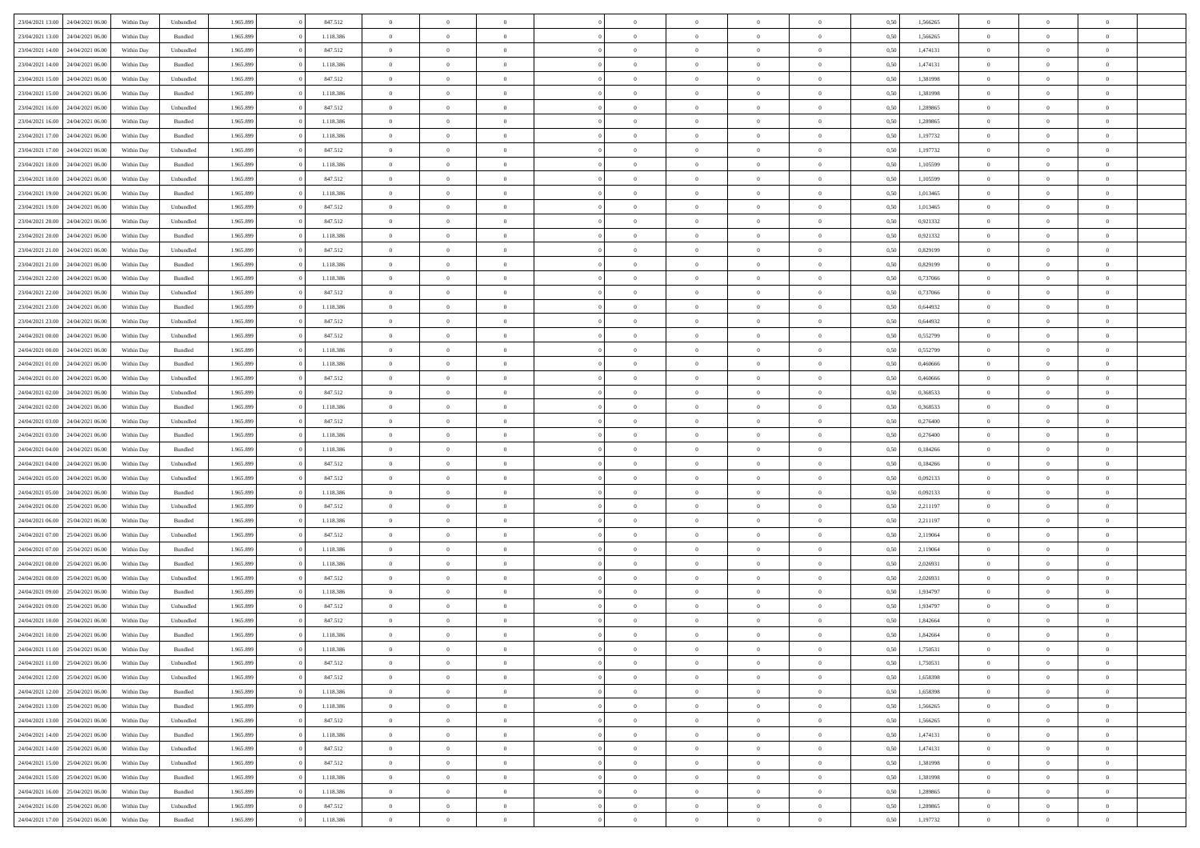|                                   |                  |            |                    |           |           | $\overline{0}$ | $\Omega$       |                |                | $\Omega$       | $\Omega$       | $\theta$       |      |          | $\theta$       |                | $\theta$       |  |
|-----------------------------------|------------------|------------|--------------------|-----------|-----------|----------------|----------------|----------------|----------------|----------------|----------------|----------------|------|----------|----------------|----------------|----------------|--|
| 23/04/2021 13:00                  | 24/04/2021 06:00 | Within Dav | Unbundled          | 1.965.899 | 847.512   |                |                |                | $\Omega$       |                |                |                | 0,50 | 1,566265 |                | $\theta$       |                |  |
| 23/04/2021 13:00                  | 24/04/2021 06.00 | Within Day | Bundled            | 1.965.899 | 1.118.386 | $\overline{0}$ | $\theta$       | $\overline{0}$ | $\overline{0}$ | $\bf{0}$       | $\overline{0}$ | $\bf{0}$       | 0,50 | 1,566265 | $\theta$       | $\theta$       | $\overline{0}$ |  |
| 23/04/2021 14:00                  | 24/04/2021 06.00 | Within Day | Unbundled          | 1.965.899 | 847.512   | $\overline{0}$ | $\overline{0}$ | $\overline{0}$ | $\bf{0}$       | $\bf{0}$       | $\bf{0}$       | $\mathbf{0}$   | 0,50 | 1,474131 | $\bf{0}$       | $\overline{0}$ | $\overline{0}$ |  |
| 23/04/2021 14:00                  | 24/04/2021 06:00 | Within Dav | Bundled            | 1.965.899 | 1.118.386 | $\overline{0}$ | $\overline{0}$ | $\overline{0}$ | $\overline{0}$ | $\bf{0}$       | $\overline{0}$ | $\overline{0}$ | 0.50 | 1,474131 | $\theta$       | $\theta$       | $\overline{0}$ |  |
|                                   |                  |            |                    |           |           |                |                |                |                |                |                |                |      |          |                |                |                |  |
| 23/04/2021 15:00                  | 24/04/2021 06.00 | Within Day | Unbundled          | 1.965.899 | 847.512   | $\overline{0}$ | $\theta$       | $\overline{0}$ | $\overline{0}$ | $\bf{0}$       | $\overline{0}$ | $\bf{0}$       | 0,50 | 1,381998 | $\theta$       | $\overline{0}$ | $\overline{0}$ |  |
| 23/04/2021 15:00                  | 24/04/2021 06.00 | Within Day | Bundled            | 1.965.899 | 1.118.386 | $\overline{0}$ | $\overline{0}$ | $\overline{0}$ | $\bf{0}$       | $\overline{0}$ | $\overline{0}$ | $\mathbf{0}$   | 0,50 | 1,381998 | $\bf{0}$       | $\overline{0}$ | $\bf{0}$       |  |
| 23/04/2021 16:00                  | 24/04/2021 06.00 | Within Dav | Unbundled          | 1.965.899 | 847.512   | $\overline{0}$ | $\overline{0}$ | $\overline{0}$ | $\overline{0}$ | $\overline{0}$ | $\overline{0}$ | $\overline{0}$ | 0.50 | 1,289865 | $\theta$       | $\overline{0}$ | $\overline{0}$ |  |
| 23/04/2021 16:00                  | 24/04/2021 06.00 | Within Day | Bundled            | 1.965.899 | 1.118.386 | $\overline{0}$ | $\theta$       | $\overline{0}$ | $\overline{0}$ | $\bf{0}$       | $\overline{0}$ | $\bf{0}$       | 0,50 | 1,289865 | $\theta$       | $\theta$       | $\overline{0}$ |  |
|                                   |                  |            |                    |           |           |                | $\overline{0}$ |                |                | $\bf{0}$       |                |                |      |          | $\,0\,$        | $\overline{0}$ | $\overline{0}$ |  |
| 23/04/2021 17:00                  | 24/04/2021 06.00 | Within Day | Bundled            | 1.965.899 | 1.118.386 | $\overline{0}$ |                | $\overline{0}$ | $\bf{0}$       |                | $\bf{0}$       | $\mathbf{0}$   | 0,50 | 1,197732 |                |                |                |  |
| 23/04/2021 17:00                  | 24/04/2021 06.00 | Within Dav | Unbundled          | 1.965.899 | 847.512   | $\overline{0}$ | $\overline{0}$ | $\overline{0}$ | $\overline{0}$ | $\overline{0}$ | $\overline{0}$ | $\overline{0}$ | 0.50 | 1,197732 | $\theta$       | $\overline{0}$ | $\overline{0}$ |  |
| 23/04/2021 18:00                  | 24/04/2021 06.00 | Within Day | Bundled            | 1.965.899 | 1.118.386 | $\overline{0}$ | $\theta$       | $\overline{0}$ | $\overline{0}$ | $\bf{0}$       | $\overline{0}$ | $\bf{0}$       | 0,50 | 1,105599 | $\,$ 0 $\,$    | $\overline{0}$ | $\overline{0}$ |  |
| 23/04/2021 18:00                  | 24/04/2021 06.00 | Within Day | Unbundled          | 1.965.899 | 847.512   | $\overline{0}$ | $\overline{0}$ | $\overline{0}$ | $\bf{0}$       | $\bf{0}$       | $\bf{0}$       | $\mathbf{0}$   | 0,50 | 1,105599 | $\bf{0}$       | $\overline{0}$ | $\bf{0}$       |  |
| 23/04/2021 19:00                  | 24/04/2021 06:00 | Within Day | Bundled            | 1.965.899 | 1.118.386 | $\overline{0}$ | $\overline{0}$ | $\overline{0}$ | $\overline{0}$ | $\bf{0}$       | $\overline{0}$ | $\overline{0}$ | 0.50 | 1.013465 | $\theta$       | $\theta$       | $\overline{0}$ |  |
|                                   |                  |            |                    |           |           | $\overline{0}$ | $\theta$       | $\overline{0}$ | $\overline{0}$ | $\bf{0}$       | $\overline{0}$ |                |      |          | $\theta$       | $\overline{0}$ | $\overline{0}$ |  |
| 23/04/2021 19:00                  | 24/04/2021 06.00 | Within Day | Unbundled          | 1.965.899 | 847.512   |                |                |                |                |                |                | $\bf{0}$       | 0,50 | 1,013465 |                |                |                |  |
| 23/04/2021 20:00                  | 24/04/2021 06.00 | Within Day | Unbundled          | 1.965.899 | 847.512   | $\overline{0}$ | $\overline{0}$ | $\overline{0}$ | $\bf{0}$       | $\overline{0}$ | $\overline{0}$ | $\mathbf{0}$   | 0,50 | 0,921332 | $\bf{0}$       | $\overline{0}$ | $\bf{0}$       |  |
| 23/04/2021 20:00                  | 24/04/2021 06:00 | Within Dav | Bundled            | 1.965.899 | 1.118.386 | $\overline{0}$ | $\overline{0}$ | $\overline{0}$ | $\overline{0}$ | $\overline{0}$ | $\overline{0}$ | $\overline{0}$ | 0.50 | 0.921332 | $\theta$       | $\overline{0}$ | $\overline{0}$ |  |
| 23/04/2021 21:00                  | 24/04/2021 06.00 | Within Day | Unbundled          | 1.965.899 | 847.512   | $\overline{0}$ | $\theta$       | $\overline{0}$ | $\overline{0}$ | $\bf{0}$       | $\overline{0}$ | $\bf{0}$       | 0,50 | 0,829199 | $\theta$       | $\theta$       | $\overline{0}$ |  |
| 23/04/2021 21:00                  | 24/04/2021 06.00 | Within Day | Bundled            | 1.965.899 | 1.118.386 | $\overline{0}$ | $\overline{0}$ | $\overline{0}$ | $\bf{0}$       | $\bf{0}$       | $\bf{0}$       | $\mathbf{0}$   | 0,50 | 0,829199 | $\,0\,$        | $\overline{0}$ | $\overline{0}$ |  |
|                                   |                  |            |                    |           |           |                |                |                |                |                |                |                |      |          |                |                |                |  |
| 23/04/2021 22:00                  | 24/04/2021 06.00 | Within Day | Bundled            | 1.965.899 | 1.118.386 | $\overline{0}$ | $\overline{0}$ | $\overline{0}$ | $\overline{0}$ | $\overline{0}$ | $\overline{0}$ | $\overline{0}$ | 0.50 | 0,737066 | $\theta$       | $\overline{0}$ | $\overline{0}$ |  |
| 23/04/2021 22:00                  | 24/04/2021 06.00 | Within Day | Unbundled          | 1.965.899 | 847.512   | $\overline{0}$ | $\theta$       | $\overline{0}$ | $\overline{0}$ | $\bf{0}$       | $\overline{0}$ | $\bf{0}$       | 0,50 | 0,737066 | $\,$ 0 $\,$    | $\theta$       | $\overline{0}$ |  |
| 23/04/2021 23:00                  | 24/04/2021 06.00 | Within Day | Bundled            | 1.965.899 | 1.118.386 | $\overline{0}$ | $\overline{0}$ | $\overline{0}$ | $\bf{0}$       | $\bf{0}$       | $\bf{0}$       | $\mathbf{0}$   | 0,50 | 0,644932 | $\overline{0}$ | $\overline{0}$ | $\overline{0}$ |  |
| 23/04/2021 23:00                  | 24/04/2021 06:00 | Within Day | Unbundled          | 1.965.899 | 847.512   | $\overline{0}$ | $\overline{0}$ | $\overline{0}$ | $\overline{0}$ | $\bf{0}$       | $\overline{0}$ | $\overline{0}$ | 0.50 | 0,644932 | $\theta$       | $\overline{0}$ | $\overline{0}$ |  |
| 24/04/2021 00:00                  | 24/04/2021 06.00 | Within Day | Unbundled          | 1.965.899 | 847.512   | $\overline{0}$ | $\theta$       | $\overline{0}$ | $\overline{0}$ | $\bf{0}$       | $\overline{0}$ | $\bf{0}$       | 0,50 | 0,552799 | $\,$ 0 $\,$    | $\overline{0}$ | $\overline{0}$ |  |
|                                   |                  |            |                    |           |           |                |                |                |                |                |                |                |      |          |                |                |                |  |
| 24/04/2021 00:00                  | 24/04/2021 06.00 | Within Day | Bundled            | 1.965.899 | 1.118.386 | $\overline{0}$ | $\overline{0}$ | $\overline{0}$ | $\bf{0}$       | $\overline{0}$ | $\overline{0}$ | $\mathbf{0}$   | 0,50 | 0,552799 | $\overline{0}$ | $\overline{0}$ | $\bf{0}$       |  |
| 24/04/2021 01:00                  | 24/04/2021 06.00 | Within Dav | Bundled            | 1.965.899 | 1.118.386 | $\overline{0}$ | $\overline{0}$ | $\overline{0}$ | $\overline{0}$ | $\overline{0}$ | $\overline{0}$ | $\overline{0}$ | 0.50 | 0.460666 | $\theta$       | $\overline{0}$ | $\overline{0}$ |  |
| 24/04/2021 01:00                  | 24/04/2021 06.00 | Within Day | Unbundled          | 1.965.899 | 847.512   | $\overline{0}$ | $\theta$       | $\overline{0}$ | $\overline{0}$ | $\bf{0}$       | $\overline{0}$ | $\bf{0}$       | 0,50 | 0,460666 | $\theta$       | $\theta$       | $\overline{0}$ |  |
| 24/04/2021 02:00                  | 24/04/2021 06.00 | Within Day | Unbundled          | 1.965.899 | 847.512   | $\overline{0}$ | $\overline{0}$ | $\overline{0}$ | $\bf{0}$       | $\bf{0}$       | $\bf{0}$       | $\bf{0}$       | 0,50 | 0,368533 | $\,0\,$        | $\overline{0}$ | $\overline{0}$ |  |
|                                   | 24/04/2021 06.00 |            | Bundled            | 1.965.899 | 1.118.386 | $\overline{0}$ | $\overline{0}$ | $\overline{0}$ | $\overline{0}$ | $\overline{0}$ | $\overline{0}$ | $\overline{0}$ | 0.50 | 0,368533 | $\theta$       | $\overline{0}$ | $\overline{0}$ |  |
| 24/04/2021 02.00                  |                  | Within Day |                    |           |           |                |                |                |                |                |                |                |      |          |                |                |                |  |
| 24/04/2021 03:00                  | 24/04/2021 06.00 | Within Day | Unbundled          | 1.965.899 | 847.512   | $\overline{0}$ | $\theta$       | $\overline{0}$ | $\overline{0}$ | $\bf{0}$       | $\overline{0}$ | $\bf{0}$       | 0,50 | 0,276400 | $\,$ 0 $\,$    | $\overline{0}$ | $\overline{0}$ |  |
| 24/04/2021 03:00                  | 24/04/2021 06.00 | Within Day | Bundled            | 1.965.899 | 1.118.386 | $\overline{0}$ | $\overline{0}$ | $\overline{0}$ | $\bf{0}$       | $\bf{0}$       | $\bf{0}$       | $\bf{0}$       | 0,50 | 0,276400 | $\overline{0}$ | $\overline{0}$ | $\overline{0}$ |  |
| 24/04/2021 04:00                  | 24/04/2021 06.00 | Within Day | Bundled            | 1.965.899 | 1.118.386 | $\overline{0}$ | $\Omega$       | $\overline{0}$ | $\Omega$       | $\Omega$       | $\overline{0}$ | $\overline{0}$ | 0,50 | 0,184266 | $\,0\,$        | $\theta$       | $\theta$       |  |
| 24/04/2021 04:00                  | 24/04/2021 06.00 | Within Day | Unbundled          | 1.965.899 | 847.512   | $\overline{0}$ | $\theta$       | $\overline{0}$ | $\overline{0}$ | $\bf{0}$       | $\overline{0}$ | $\bf{0}$       | 0,50 | 0,184266 | $\,$ 0 $\,$    | $\theta$       | $\overline{0}$ |  |
|                                   |                  |            |                    |           |           |                |                |                |                |                |                |                |      |          |                |                |                |  |
| 24/04/2021 05:00                  | 24/04/2021 06.00 | Within Day | Unbundled          | 1.965.899 | 847.512   | $\overline{0}$ | $\overline{0}$ | $\overline{0}$ | $\bf{0}$       | $\bf{0}$       | $\overline{0}$ | $\mathbf{0}$   | 0,50 | 0,092133 | $\overline{0}$ | $\overline{0}$ | $\bf{0}$       |  |
| 24/04/2021 05:00                  | 24/04/2021 06:00 | Within Day | Bundled            | 1.965.899 | 1.118.386 | $\overline{0}$ | $\Omega$       | $\Omega$       | $\Omega$       | $\bf{0}$       | $\overline{0}$ | $\overline{0}$ | 0.50 | 0.092133 | $\,0\,$        | $\theta$       | $\theta$       |  |
| 24/04/2021 06:00                  | 25/04/2021 06:00 | Within Day | Unbundled          | 1.965.899 | 847.512   | $\overline{0}$ | $\theta$       | $\overline{0}$ | $\overline{0}$ | $\bf{0}$       | $\overline{0}$ | $\bf{0}$       | 0,50 | 2,211197 | $\,$ 0 $\,$    | $\overline{0}$ | $\overline{0}$ |  |
| 24/04/2021 06:00                  | 25/04/2021 06:00 | Within Day | Bundled            | 1.965.899 | 1.118.386 | $\overline{0}$ | $\overline{0}$ | $\overline{0}$ | $\bf{0}$       | $\bf{0}$       | $\bf{0}$       | $\mathbf{0}$   | 0,50 | 2,211197 | $\bf{0}$       | $\overline{0}$ | $\overline{0}$ |  |
| 24/04/2021 07:00                  | 25/04/2021 06:00 | Within Day | Unbundled          | 1.965.899 | 847.512   | $\overline{0}$ | $\Omega$       | $\overline{0}$ | $\Omega$       | $\overline{0}$ | $\overline{0}$ | $\overline{0}$ | 0.50 | 2,119064 | $\,$ 0 $\,$    | $\theta$       | $\theta$       |  |
|                                   |                  |            |                    |           |           |                |                |                |                |                |                |                |      |          |                |                |                |  |
| 24/04/2021 07:00                  | 25/04/2021 06:00 | Within Day | Bundled            | 1.965.899 | 1.118.386 | $\overline{0}$ | $\theta$       | $\overline{0}$ | $\overline{0}$ | $\,$ 0         | $\overline{0}$ | $\bf{0}$       | 0,50 | 2,119064 | $\,$ 0 $\,$    | $\overline{0}$ | $\overline{0}$ |  |
| 24/04/2021 08:00                  | 25/04/2021 06:00 | Within Day | Bundled            | 1.965.899 | 1.118.386 | $\overline{0}$ | $\overline{0}$ | $\overline{0}$ | $\bf{0}$       | $\bf{0}$       | $\bf{0}$       | $\mathbf{0}$   | 0,50 | 2,026931 | $\overline{0}$ | $\overline{0}$ | $\overline{0}$ |  |
| 24/04/2021 08:00                  | 25/04/2021 06.00 | Within Day | Unbundled          | 1.965.899 | 847.512   | $\overline{0}$ | $\Omega$       | $\overline{0}$ | $\Omega$       | $\overline{0}$ | $\overline{0}$ | $\overline{0}$ | 0.50 | 2,026931 | $\,0\,$        | $\theta$       | $\theta$       |  |
| 24/04/2021 09:00                  | 25/04/2021 06:00 | Within Day | Bundled            | 1.965.899 | 1.118.386 | $\overline{0}$ | $\theta$       | $\overline{0}$ | $\overline{0}$ | $\,$ 0         | $\overline{0}$ | $\bf{0}$       | 0,50 | 1,934797 | $\,$ 0 $\,$    | $\overline{0}$ | $\overline{0}$ |  |
| 24/04/2021 09:00                  | 25/04/2021 06:00 | Within Day | Unbundled          | 1.965.899 | 847.512   | $\overline{0}$ | $\overline{0}$ | $\overline{0}$ | $\bf{0}$       | $\bf{0}$       | $\bf{0}$       | $\mathbf{0}$   | 0,50 | 1,934797 | $\bf{0}$       | $\overline{0}$ | $\bf{0}$       |  |
|                                   |                  |            |                    |           |           |                |                |                |                |                |                |                |      |          |                |                |                |  |
| 24/04/2021 10:00                  | 25/04/2021 06:00 | Within Day | Unbundled          | 1.965.899 | 847.512   | $\overline{0}$ | $\Omega$       | $\Omega$       | $\Omega$       | $\Omega$       | $\Omega$       | $\overline{0}$ | 0.50 | 1.842664 | $\theta$       | $\theta$       | $\theta$       |  |
| 24/04/2021 10:00                  | 25/04/2021 06:00 | Within Day | Bundled            | 1.965.899 | 1.118.386 | $\overline{0}$ | $\,$ 0 $\,$    | $\overline{0}$ | $\bf{0}$       | $\,$ 0         | $\bf{0}$       | $\bf{0}$       | 0,50 | 1,842664 | $\,0\,$        | $\overline{0}$ | $\overline{0}$ |  |
| 24/04/2021 11:00                  | 25/04/2021 06:00 | Within Day | $\mathbf B$ undled | 1.965.899 | 1.118.386 | $\bf{0}$       | $\bf{0}$       |                |                |                |                |                | 0,50 | 1,750531 | $\bf{0}$       | $\overline{0}$ |                |  |
| 24/04/2021 11:00                  | 25/04/2021 06:00 | Within Day | Unbundled          | 1.965.899 | 847.512   | $\overline{0}$ | $\overline{0}$ | $\overline{0}$ | $\Omega$       | $\overline{0}$ | $\overline{0}$ | $\overline{0}$ | 0,50 | 1,750531 | $\theta$       | $\theta$       | $\theta$       |  |
| 24/04/2021 12:00                  | 25/04/2021 06:00 | Within Day | Unbundled          | 1.965.899 | 847.512   | $\overline{0}$ | $\bf{0}$       | $\overline{0}$ | $\bf{0}$       | $\,$ 0 $\,$    | $\overline{0}$ | $\,$ 0 $\,$    | 0,50 | 1,658398 | $\,$ 0 $\,$    | $\,$ 0 $\,$    | $\,$ 0         |  |
|                                   |                  |            |                    |           |           |                |                |                |                |                |                |                |      |          |                |                |                |  |
| 24/04/2021 12:00                  | 25/04/2021 06:00 | Within Day | Bundled            | 1.965.899 | 1.118.386 | $\overline{0}$ | $\overline{0}$ | $\overline{0}$ | $\overline{0}$ | $\overline{0}$ | $\overline{0}$ | $\mathbf{0}$   | 0,50 | 1,658398 | $\overline{0}$ | $\bf{0}$       | $\overline{0}$ |  |
| 24/04/2021 13:00                  | 25/04/2021 06:00 | Within Day | $\mathbf B$ undled | 1.965.899 | 1.118.386 | $\overline{0}$ | $\overline{0}$ | $\overline{0}$ | $\Omega$       | $\overline{0}$ | $\overline{0}$ | $\overline{0}$ | 0,50 | 1,566265 | $\overline{0}$ | $\overline{0}$ | $\overline{0}$ |  |
| 24/04/2021 13:00                  | 25/04/2021 06:00 | Within Day | Unbundled          | 1.965.899 | 847.512   | $\overline{0}$ | $\,$ 0         | $\overline{0}$ | $\bf{0}$       | $\,$ 0 $\,$    | $\overline{0}$ | $\,$ 0 $\,$    | 0,50 | 1,566265 | $\,$ 0 $\,$    | $\overline{0}$ | $\,$ 0         |  |
| 24/04/2021 14:00                  | 25/04/2021 06:00 | Within Day | Bundled            | 1.965.899 | 1.118.386 | $\overline{0}$ | $\overline{0}$ | $\overline{0}$ | $\overline{0}$ | $\overline{0}$ | $\overline{0}$ | $\mathbf{0}$   | 0,50 | 1,474131 | $\overline{0}$ | $\overline{0}$ | $\overline{0}$ |  |
|                                   | 25/04/2021 06:00 |            |                    |           |           |                | $\overline{0}$ | $\overline{0}$ |                | $\overline{0}$ | $\overline{0}$ |                | 0.50 |          |                | $\theta$       | $\overline{0}$ |  |
| 24/04/2021 14:00                  |                  | Within Day | Unbundled          | 1.965.899 | 847.512   | $\overline{0}$ |                |                | $\overline{0}$ |                |                | $\overline{0}$ |      | 1,474131 | $\overline{0}$ |                |                |  |
| 24/04/2021 15:00                  | 25/04/2021 06:00 | Within Day | Unbundled          | 1.965.899 | 847.512   | $\overline{0}$ | $\,$ 0         | $\overline{0}$ | $\bf{0}$       | $\bf{0}$       | $\bf{0}$       | $\bf{0}$       | 0,50 | 1,381998 | $\,$ 0 $\,$    | $\overline{0}$ | $\overline{0}$ |  |
| 24/04/2021 15:00                  | 25/04/2021 06:00 | Within Day | Bundled            | 1.965.899 | 1.118.386 | $\overline{0}$ | $\bf{0}$       | $\overline{0}$ | $\overline{0}$ | $\overline{0}$ | $\overline{0}$ | $\mathbf{0}$   | 0,50 | 1,381998 | $\overline{0}$ | $\overline{0}$ | $\bf{0}$       |  |
| 24/04/2021 16:00                  | 25/04/2021 06:00 | Within Day | Bundled            | 1.965.899 | 1.118.386 | $\overline{0}$ | $\overline{0}$ | $\overline{0}$ | $\Omega$       | $\overline{0}$ | $\overline{0}$ | $\overline{0}$ | 0.50 | 1,289865 | $\overline{0}$ | $\overline{0}$ | $\overline{0}$ |  |
| 24/04/2021 16:00                  | 25/04/2021 06:00 | Within Day | Unbundled          | 1.965.899 | 847.512   | $\overline{0}$ | $\bf{0}$       | $\overline{0}$ | $\bf{0}$       | $\bf{0}$       | $\bf{0}$       | $\mathbf{0}$   | 0,50 | 1,289865 | $\,$ 0 $\,$    | $\,$ 0 $\,$    | $\bf{0}$       |  |
|                                   |                  |            |                    |           |           |                |                |                |                |                |                |                |      |          |                |                |                |  |
| 24/04/2021 17:00 25/04/2021 06:00 |                  | Within Day | Bundled            | 1.965.899 | 1.118.386 | $\overline{0}$ | $\overline{0}$ | $\overline{0}$ | $\overline{0}$ | $\overline{0}$ | $\bf{0}$       | $\mathbf{0}$   | 0,50 | 1,197732 | $\overline{0}$ | $\bf{0}$       | $\overline{0}$ |  |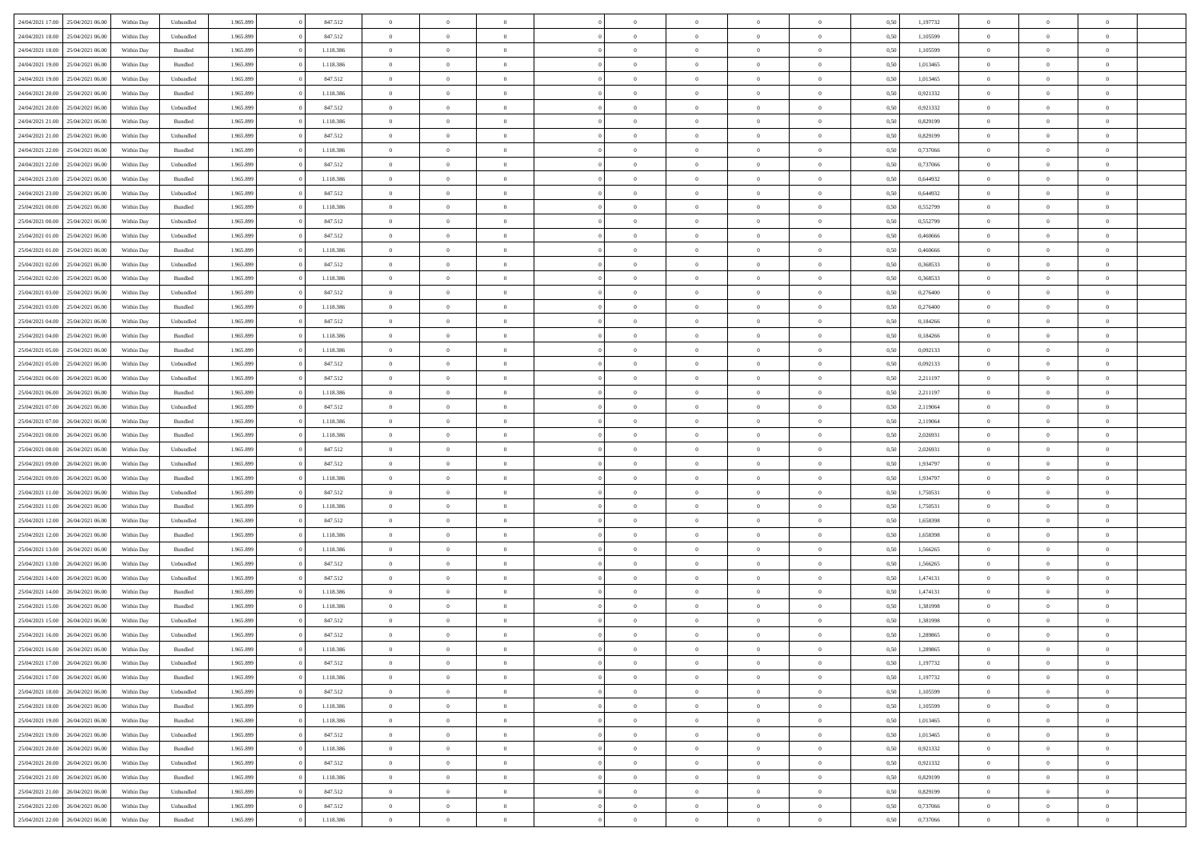| 24/04/2021 17:00 | 25/04/2021 06:00 | Within Day | Unbundled          | 1.965.899 | 847.512   | $\overline{0}$ | $\theta$       |                | $\Omega$       | $\Omega$       | $\theta$       | $\theta$       | 0,50 | 1,197732 | $\theta$       | $\overline{0}$ | $\theta$       |  |
|------------------|------------------|------------|--------------------|-----------|-----------|----------------|----------------|----------------|----------------|----------------|----------------|----------------|------|----------|----------------|----------------|----------------|--|
| 24/04/2021 18:00 | 25/04/2021 06:00 | Within Day | Unbundled          | 1.965.899 | 847.512   | $\overline{0}$ | $\theta$       | $\overline{0}$ | $\overline{0}$ | $\bf{0}$       | $\overline{0}$ | $\bf{0}$       | 0,50 | 1,105599 | $\theta$       | $\overline{0}$ | $\overline{0}$ |  |
| 24/04/2021 18:00 | 25/04/2021 06:00 | Within Day | Bundled            | 1.965.899 | 1.118.386 | $\overline{0}$ | $\overline{0}$ | $\overline{0}$ | $\bf{0}$       | $\bf{0}$       | $\bf{0}$       | $\mathbf{0}$   | 0,50 | 1,105599 | $\overline{0}$ | $\overline{0}$ | $\bf{0}$       |  |
|                  |                  |            |                    |           |           |                |                |                |                |                |                |                |      |          | $\theta$       |                |                |  |
| 24/04/2021 19:00 | 25/04/2021 06:00 | Within Dav | Bundled            | 1.965.899 | 1.118.386 | $\overline{0}$ | $\overline{0}$ | $\overline{0}$ | $\overline{0}$ | $\bf{0}$       | $\overline{0}$ | $\overline{0}$ | 0.50 | 1,013465 |                | $\theta$       | $\overline{0}$ |  |
| 24/04/2021 19:00 | 25/04/2021 06:00 | Within Day | Unbundled          | 1.965.899 | 847.512   | $\overline{0}$ | $\theta$       | $\overline{0}$ | $\overline{0}$ | $\bf{0}$       | $\overline{0}$ | $\bf{0}$       | 0,50 | 1,013465 | $\,$ 0 $\,$    | $\overline{0}$ | $\overline{0}$ |  |
| 24/04/2021 20:00 | 25/04/2021 06:00 | Within Day | Bundled            | 1.965.899 | 1.118.386 | $\overline{0}$ | $\overline{0}$ | $\overline{0}$ | $\bf{0}$       | $\overline{0}$ | $\overline{0}$ | $\mathbf{0}$   | 0,50 | 0,921332 | $\overline{0}$ | $\overline{0}$ | $\bf{0}$       |  |
| 24/04/2021 20:00 | 25/04/2021 06.00 | Within Dav | Unbundled          | 1.965.899 | 847.512   | $\overline{0}$ | $\overline{0}$ | $\overline{0}$ | $\overline{0}$ | $\overline{0}$ | $\overline{0}$ | $\overline{0}$ | 0.50 | 0.921332 | $\theta$       | $\overline{0}$ | $\overline{0}$ |  |
|                  |                  |            |                    |           |           |                |                |                |                |                |                |                |      |          |                |                |                |  |
| 24/04/2021 21.00 | 25/04/2021 06:00 | Within Day | Bundled            | 1.965.899 | 1.118.386 | $\overline{0}$ | $\theta$       | $\overline{0}$ | $\overline{0}$ | $\bf{0}$       | $\overline{0}$ | $\bf{0}$       | 0,50 | 0,829199 | $\,$ 0 $\,$    | $\theta$       | $\overline{0}$ |  |
| 24/04/2021 21:00 | 25/04/2021 06:00 | Within Day | Unbundled          | 1.965.899 | 847.512   | $\overline{0}$ | $\overline{0}$ | $\overline{0}$ | $\bf{0}$       | $\bf{0}$       | $\bf{0}$       | $\mathbf{0}$   | 0,50 | 0,829199 | $\,0\,$        | $\overline{0}$ | $\overline{0}$ |  |
| 24/04/2021 22:00 | 25/04/2021 06:00 | Within Dav | Bundled            | 1.965.899 | 1.118.386 | $\overline{0}$ | $\overline{0}$ | $\overline{0}$ | $\overline{0}$ | $\overline{0}$ | $\overline{0}$ | $\overline{0}$ | 0.50 | 0,737066 | $\theta$       | $\overline{0}$ | $\overline{0}$ |  |
| 24/04/2021 22.00 | 25/04/2021 06:00 |            |                    | 1.965.899 | 847.512   | $\overline{0}$ | $\theta$       | $\overline{0}$ | $\overline{0}$ | $\bf{0}$       | $\overline{0}$ |                |      | 0,737066 | $\,$ 0 $\,$    | $\overline{0}$ | $\overline{0}$ |  |
|                  |                  | Within Day | Unbundled          |           |           |                |                |                |                |                |                | $\bf{0}$       | 0,50 |          |                |                |                |  |
| 24/04/2021 23.00 | 25/04/2021 06:00 | Within Day | Bundled            | 1.965.899 | 1.118.386 | $\overline{0}$ | $\overline{0}$ | $\overline{0}$ | $\bf{0}$       | $\bf{0}$       | $\bf{0}$       | $\mathbf{0}$   | 0,50 | 0,644932 | $\overline{0}$ | $\overline{0}$ | $\bf{0}$       |  |
| 24/04/2021 23:00 | 25/04/2021 06:00 | Within Day | Unbundled          | 1.965.899 | 847.512   | $\overline{0}$ | $\overline{0}$ | $\overline{0}$ | $\overline{0}$ | $\bf{0}$       | $\overline{0}$ | $\overline{0}$ | 0.50 | 0,644932 | $\theta$       | $\theta$       | $\overline{0}$ |  |
| 25/04/2021 00:00 | 25/04/2021 06:00 | Within Day | Bundled            | 1.965.899 | 1.118.386 | $\overline{0}$ | $\theta$       | $\overline{0}$ | $\overline{0}$ | $\bf{0}$       | $\overline{0}$ | $\bf{0}$       | 0,50 | 0,552799 | $\theta$       | $\overline{0}$ | $\overline{0}$ |  |
|                  |                  |            |                    |           |           |                |                |                |                |                |                |                |      |          |                |                |                |  |
| 25/04/2021 00:00 | 25/04/2021 06:00 | Within Day | Unbundled          | 1.965.899 | 847.512   | $\overline{0}$ | $\overline{0}$ | $\overline{0}$ | $\bf{0}$       | $\overline{0}$ | $\overline{0}$ | $\mathbf{0}$   | 0,50 | 0,552799 | $\bf{0}$       | $\overline{0}$ | $\bf{0}$       |  |
| 25/04/2021 01:00 | 25/04/2021 06:00 | Within Dav | Unbundled          | 1.965.899 | 847.512   | $\overline{0}$ | $\overline{0}$ | $\overline{0}$ | $\overline{0}$ | $\overline{0}$ | $\overline{0}$ | $\overline{0}$ | 0.50 | 0.460666 | $\overline{0}$ | $\overline{0}$ | $\overline{0}$ |  |
| 25/04/2021 01:00 | 25/04/2021 06:00 | Within Day | Bundled            | 1.965.899 | 1.118.386 | $\overline{0}$ | $\theta$       | $\overline{0}$ | $\overline{0}$ | $\bf{0}$       | $\overline{0}$ | $\bf{0}$       | 0,50 | 0,460666 | $\,$ 0 $\,$    | $\overline{0}$ | $\overline{0}$ |  |
| 25/04/2021 02:00 | 25/04/2021 06:00 | Within Day | Unbundled          | 1.965.899 | 847.512   | $\overline{0}$ | $\overline{0}$ | $\overline{0}$ | $\bf{0}$       | $\bf{0}$       | $\bf{0}$       | $\mathbf{0}$   | 0,50 | 0,368533 | $\bf{0}$       | $\overline{0}$ | $\bf{0}$       |  |
| 25/04/2021 02:00 | 25/04/2021 06:00 |            | Bundled            | 1.965.899 | 1.118.386 | $\overline{0}$ | $\overline{0}$ | $\overline{0}$ | $\overline{0}$ | $\overline{0}$ | $\overline{0}$ | $\overline{0}$ | 0.50 | 0,368533 | $\theta$       | $\overline{0}$ | $\overline{0}$ |  |
|                  |                  | Within Day |                    |           |           |                |                |                |                |                |                |                |      |          |                |                |                |  |
| 25/04/2021 03:00 | 25/04/2021 06:00 | Within Day | Unbundled          | 1.965.899 | 847.512   | $\overline{0}$ | $\theta$       | $\overline{0}$ | $\overline{0}$ | $\bf{0}$       | $\overline{0}$ | $\bf{0}$       | 0,50 | 0,276400 | $\,$ 0 $\,$    | $\overline{0}$ | $\overline{0}$ |  |
| 25/04/2021 03:00 | 25/04/2021 06:00 | Within Day | Bundled            | 1.965.899 | 1.118.386 | $\overline{0}$ | $\overline{0}$ | $\overline{0}$ | $\bf{0}$       | $\bf{0}$       | $\bf{0}$       | $\mathbf{0}$   | 0,50 | 0,276400 | $\bf{0}$       | $\overline{0}$ | $\bf{0}$       |  |
| 25/04/2021 04:00 | 25/04/2021 06:00 | Within Day | Unbundled          | 1.965.899 | 847.512   | $\overline{0}$ | $\overline{0}$ | $\overline{0}$ | $\overline{0}$ | $\overline{0}$ | $\overline{0}$ | $\overline{0}$ | 0.50 | 0.184266 | $\theta$       | $\overline{0}$ | $\overline{0}$ |  |
| 25/04/2021 04:00 | 25/04/2021 06:00 |            |                    | 1.965.899 | 1.118.386 | $\overline{0}$ | $\theta$       | $\overline{0}$ | $\overline{0}$ | $\bf{0}$       | $\overline{0}$ | $\,$ 0 $\,$    |      | 0,184266 | $\,$ 0 $\,$    | $\overline{0}$ | $\overline{0}$ |  |
|                  |                  | Within Day | Bundled            |           |           |                |                |                |                |                |                |                | 0,50 |          |                |                |                |  |
| 25/04/2021 05:00 | 25/04/2021 06:00 | Within Day | Bundled            | 1.965.899 | 1.118.386 | $\overline{0}$ | $\overline{0}$ | $\overline{0}$ | $\bf{0}$       | $\overline{0}$ | $\overline{0}$ | $\mathbf{0}$   | 0,50 | 0,092133 | $\bf{0}$       | $\overline{0}$ | $\bf{0}$       |  |
| 25/04/2021 05:00 | 25/04/2021 06:00 | Within Day | Unbundled          | 1.965.899 | 847.512   | $\overline{0}$ | $\overline{0}$ | $\overline{0}$ | $\overline{0}$ | $\overline{0}$ | $\overline{0}$ | $\overline{0}$ | 0.50 | 0,092133 | $\theta$       | $\overline{0}$ | $\overline{0}$ |  |
| 25/04/2021 06:00 | 26/04/2021 06:00 | Within Day | Unbundled          | 1.965.899 | 847.512   | $\overline{0}$ | $\theta$       | $\overline{0}$ | $\overline{0}$ | $\bf{0}$       | $\overline{0}$ | $\bf{0}$       | 0,50 | 2,211197 | $\,$ 0 $\,$    | $\overline{0}$ | $\overline{0}$ |  |
| 25/04/2021 06:00 | 26/04/2021 06:00 | Within Day | Bundled            | 1.965.899 | 1.118.386 | $\overline{0}$ | $\overline{0}$ | $\overline{0}$ | $\bf{0}$       | $\bf{0}$       | $\bf{0}$       | $\mathbf{0}$   | 0,50 | 2,211197 | $\,0\,$        | $\overline{0}$ | $\overline{0}$ |  |
|                  |                  |            |                    |           |           |                |                |                |                |                |                |                |      |          |                |                |                |  |
| 25/04/2021 07:00 | 26/04/2021 06:00 | Within Day | Unbundled          | 1.965.899 | 847.512   | $\overline{0}$ | $\overline{0}$ | $\overline{0}$ | $\overline{0}$ | $\overline{0}$ | $\overline{0}$ | $\overline{0}$ | 0.50 | 2,119064 | $\theta$       | $\overline{0}$ | $\overline{0}$ |  |
| 25/04/2021 07:00 | 26/04/2021 06:00 | Within Day | Bundled            | 1.965.899 | 1.118.386 | $\overline{0}$ | $\overline{0}$ | $\overline{0}$ | $\overline{0}$ | $\bf{0}$       | $\overline{0}$ | $\bf{0}$       | 0,50 | 2,119064 | $\,$ 0 $\,$    | $\overline{0}$ | $\overline{0}$ |  |
| 25/04/2021 08:00 | 26/04/2021 06:00 | Within Day | Bundled            | 1.965.899 | 1.118.386 | $\overline{0}$ | $\overline{0}$ | $\overline{0}$ | $\bf{0}$       | $\bf{0}$       | $\bf{0}$       | $\mathbf{0}$   | 0,50 | 2,026931 | $\overline{0}$ | $\overline{0}$ | $\bf{0}$       |  |
| 25/04/2021 08:00 | 26/04/2021 06:00 |            |                    | 1.965.899 | 847.512   | $\overline{0}$ | $\Omega$       | $\overline{0}$ | $\Omega$       | $\Omega$       | $\overline{0}$ | $\overline{0}$ | 0,50 | 2,026931 | $\,0\,$        | $\theta$       | $\theta$       |  |
|                  |                  | Within Day | Unbundled          |           |           |                |                |                |                |                |                |                |      |          |                |                |                |  |
| 25/04/2021 09:00 | 26/04/2021 06:00 | Within Day | Unbundled          | 1.965.899 | 847.512   | $\overline{0}$ | $\theta$       | $\overline{0}$ | $\overline{0}$ | $\bf{0}$       | $\overline{0}$ | $\bf{0}$       | 0,50 | 1,934797 | $\,$ 0 $\,$    | $\overline{0}$ | $\overline{0}$ |  |
| 25/04/2021 09:00 | 26/04/2021 06:00 | Within Day | Bundled            | 1.965.899 | 1.118.386 | $\overline{0}$ | $\overline{0}$ | $\overline{0}$ | $\bf{0}$       | $\overline{0}$ | $\overline{0}$ | $\mathbf{0}$   | 0,50 | 1,934797 | $\overline{0}$ | $\overline{0}$ | $\bf{0}$       |  |
| 25/04/2021 11:00 | 26/04/2021 06:00 | Within Day | Unbundled          | 1.965.899 | 847.512   | $\overline{0}$ | $\Omega$       | $\overline{0}$ | $\Omega$       | $\overline{0}$ | $\overline{0}$ | $\overline{0}$ | 0.50 | 1,750531 | $\,0\,$        | $\theta$       | $\theta$       |  |
| 25/04/2021 11:00 | 26/04/2021 06:00 | Within Day | Bundled            | 1.965.899 | 1.118.386 | $\overline{0}$ | $\theta$       | $\overline{0}$ | $\overline{0}$ | $\bf{0}$       | $\overline{0}$ | $\bf{0}$       | 0,50 | 1,750531 | $\,$ 0 $\,$    | $\overline{0}$ | $\overline{0}$ |  |
|                  |                  |            |                    |           |           |                |                |                |                |                |                |                |      |          |                |                |                |  |
| 25/04/2021 12:00 | 26/04/2021 06:00 | Within Day | Unbundled          | 1.965.899 | 847.512   | $\overline{0}$ | $\bf{0}$       | $\overline{0}$ | $\bf{0}$       | $\bf{0}$       | $\bf{0}$       | $\mathbf{0}$   | 0,50 | 1,658398 | $\bf{0}$       | $\overline{0}$ | $\bf{0}$       |  |
| 25/04/2021 12:00 | 26/04/2021 06:00 | Within Day | Bundled            | 1.965.899 | 1.118.386 | $\overline{0}$ | $\Omega$       | $\overline{0}$ | $\Omega$       | $\overline{0}$ | $\overline{0}$ | $\overline{0}$ | 0.50 | 1.658398 | $\,$ 0 $\,$    | $\theta$       | $\theta$       |  |
| 25/04/2021 13:00 | 26/04/2021 06:00 | Within Day | Bundled            | 1.965.899 | 1.118.386 | $\overline{0}$ | $\overline{0}$ | $\overline{0}$ | $\overline{0}$ | $\,$ 0         | $\overline{0}$ | $\bf{0}$       | 0,50 | 1,566265 | $\,$ 0 $\,$    | $\overline{0}$ | $\overline{0}$ |  |
| 25/04/2021 13:00 | 26/04/2021 06:00 | Within Day | Unbundled          | 1.965.899 | 847.512   | $\overline{0}$ | $\overline{0}$ | $\overline{0}$ | $\bf{0}$       | $\bf{0}$       | $\bf{0}$       | $\mathbf{0}$   | 0,50 | 1,566265 | $\overline{0}$ | $\overline{0}$ | $\bf{0}$       |  |
|                  |                  |            |                    |           |           |                |                |                |                |                |                |                |      |          |                |                |                |  |
| 25/04/2021 14:00 | 26/04/2021 06:00 | Within Day | Unbundled          | 1.965.899 | 847.512   | $\overline{0}$ | $\Omega$       | $\overline{0}$ | $\Omega$       | $\overline{0}$ | $\overline{0}$ | $\overline{0}$ | 0,50 | 1,474131 | $\,0\,$        | $\theta$       | $\overline{0}$ |  |
| 25/04/2021 14:00 | 26/04/2021 06:00 | Within Day | Bundled            | 1.965.899 | 1.118.386 | $\overline{0}$ | $\overline{0}$ | $\overline{0}$ | $\overline{0}$ | $\,$ 0         | $\overline{0}$ | $\bf{0}$       | 0,50 | 1,474131 | $\,$ 0 $\,$    | $\overline{0}$ | $\overline{0}$ |  |
| 25/04/2021 15:00 | 26/04/2021 06:00 | Within Day | Bundled            | 1.965.899 | 1.118.386 | $\overline{0}$ | $\overline{0}$ | $\overline{0}$ | $\bf{0}$       | $\bf{0}$       | $\overline{0}$ | $\mathbf{0}$   | 0,50 | 1,381998 | $\overline{0}$ | $\overline{0}$ | $\bf{0}$       |  |
| 25/04/2021 15:00 | 26/04/2021 06:00 | Within Day | Unbundled          | 1.965.899 | 847.512   | $\overline{0}$ | $\Omega$       | $\Omega$       | $\Omega$       | $\Omega$       | $\overline{0}$ | $\overline{0}$ | 0.50 | 1,381998 | $\theta$       | $\theta$       | $\theta$       |  |
| 25/04/2021 16:00 | 26/04/2021 06:00 | Within Day | Unbundled          | 1.965.899 | 847.512   | $\overline{0}$ | $\overline{0}$ | $\overline{0}$ | $\bf{0}$       | $\,$ 0         | $\bf{0}$       | $\bf{0}$       | 0,50 | 1,289865 | $\,0\,$        | $\,$ 0 $\,$    | $\overline{0}$ |  |
|                  |                  |            |                    |           |           |                |                |                |                |                |                |                |      |          |                |                |                |  |
| 25/04/2021 16:00 | 26/04/2021 06:00 | Within Day | $\mathbf B$ undled | 1.965.899 | 1.118.386 | $\overline{0}$ | $\bf{0}$       |                |                | $\bf{0}$       |                |                | 0,50 | 1,289865 | $\bf{0}$       | $\overline{0}$ |                |  |
| 25/04/2021 17:00 | 26/04/2021 06:00 | Within Day | Unbundled          | 1.965.899 | 847.512   | $\overline{0}$ | $\overline{0}$ | $\overline{0}$ | $\Omega$       | $\overline{0}$ | $\overline{0}$ | $\overline{0}$ | 0,50 | 1,197732 | $\theta$       | $\theta$       | $\theta$       |  |
| 25/04/2021 17:00 | 26/04/2021 06:00 | Within Day | Bundled            | 1.965.899 | 1.118.386 | $\overline{0}$ | $\bf{0}$       | $\overline{0}$ | $\bf{0}$       | $\,$ 0 $\,$    | $\overline{0}$ | $\,$ 0 $\,$    | 0,50 | 1,197732 | $\,$ 0 $\,$    | $\,$ 0 $\,$    | $\,$ 0         |  |
| 25/04/2021 18:00 | 26/04/2021 06:00 | Within Day | Unbundled          | 1.965.899 | 847.512   | $\overline{0}$ | $\overline{0}$ | $\overline{0}$ | $\overline{0}$ | $\overline{0}$ | $\overline{0}$ | $\mathbf{0}$   | 0,50 | 1,105599 | $\overline{0}$ | $\bf{0}$       | $\bf{0}$       |  |
|                  |                  |            |                    |           |           |                |                |                |                |                |                |                |      |          |                |                |                |  |
| 25/04/2021 18:00 | 26/04/2021 06:00 | Within Day | Bundled            | 1.965.899 | 1.118.386 | $\overline{0}$ | $\overline{0}$ | $\overline{0}$ | $\Omega$       | $\overline{0}$ | $\overline{0}$ | $\overline{0}$ | 0,50 | 1,105599 | $\overline{0}$ | $\overline{0}$ | $\overline{0}$ |  |
| 25/04/2021 19:00 | 26/04/2021 06:00 | Within Day | Bundled            | 1.965.899 | 1.118.386 | $\overline{0}$ | $\,$ 0         | $\overline{0}$ | $\overline{0}$ | $\,$ 0 $\,$    | $\overline{0}$ | $\mathbf{0}$   | 0,50 | 1,013465 | $\,$ 0 $\,$    | $\overline{0}$ | $\overline{0}$ |  |
| 25/04/2021 19:00 | 26/04/2021 06:00 | Within Day | Unbundled          | 1.965.899 | 847.512   | $\overline{0}$ | $\overline{0}$ | $\overline{0}$ | $\overline{0}$ | $\overline{0}$ | $\overline{0}$ | $\mathbf{0}$   | 0,50 | 1,013465 | $\overline{0}$ | $\overline{0}$ | $\bf{0}$       |  |
|                  | 26/04/2021 06:00 |            | Bundled            |           | 1.118.386 | $\overline{0}$ | $\overline{0}$ | $\overline{0}$ | $\overline{0}$ | $\overline{0}$ | $\overline{0}$ |                | 0.50 |          | $\overline{0}$ | $\theta$       | $\overline{0}$ |  |
| 25/04/2021 20:00 |                  | Within Day |                    | 1.965.899 |           |                |                |                |                |                |                | $\bf{0}$       |      | 0,921332 |                |                |                |  |
| 25/04/2021 20:00 | 26/04/2021 06:00 | Within Day | Unbundled          | 1.965.899 | 847.512   | $\overline{0}$ | $\,$ 0         | $\overline{0}$ | $\bf{0}$       | $\bf{0}$       | $\bf{0}$       | $\bf{0}$       | 0,50 | 0,921332 | $\,$ 0 $\,$    | $\overline{0}$ | $\overline{0}$ |  |
| 25/04/2021 21:00 | 26/04/2021 06:00 | Within Day | Bundled            | 1.965.899 | 1.118.386 | $\overline{0}$ | $\bf{0}$       | $\overline{0}$ | $\overline{0}$ | $\overline{0}$ | $\overline{0}$ | $\mathbf{0}$   | 0,50 | 0,829199 | $\overline{0}$ | $\overline{0}$ | $\bf{0}$       |  |
| 25/04/2021 21:00 | 26/04/2021 06:00 | Within Day | Unbundled          | 1.965.899 | 847.512   | $\overline{0}$ | $\overline{0}$ | $\overline{0}$ | $\Omega$       | $\overline{0}$ | $\overline{0}$ | $\overline{0}$ | 0.50 | 0,829199 | $\overline{0}$ | $\overline{0}$ | $\overline{0}$ |  |
| 25/04/2021 22.00 | 26/04/2021 06:00 | Within Day | Unbundled          | 1.965.899 | 847.512   | $\overline{0}$ | $\bf{0}$       | $\overline{0}$ | $\bf{0}$       | $\bf{0}$       | $\bf{0}$       | $\mathbf{0}$   | 0,50 | 0,737066 | $\,$ 0 $\,$    | $\,$ 0 $\,$    | $\bf{0}$       |  |
|                  |                  |            |                    |           |           |                |                |                |                |                |                |                |      |          |                |                |                |  |
| 25/04/2021 22:00 | 26/04/2021 06:00 | Within Day | Bundled            | 1.965.899 | 1.118.386 | $\overline{0}$ | $\overline{0}$ | $\overline{0}$ | $\overline{0}$ | $\overline{0}$ | $\bf{0}$       | $\mathbf{0}$   | 0,50 | 0,737066 | $\overline{0}$ | $\bf{0}$       | $\overline{0}$ |  |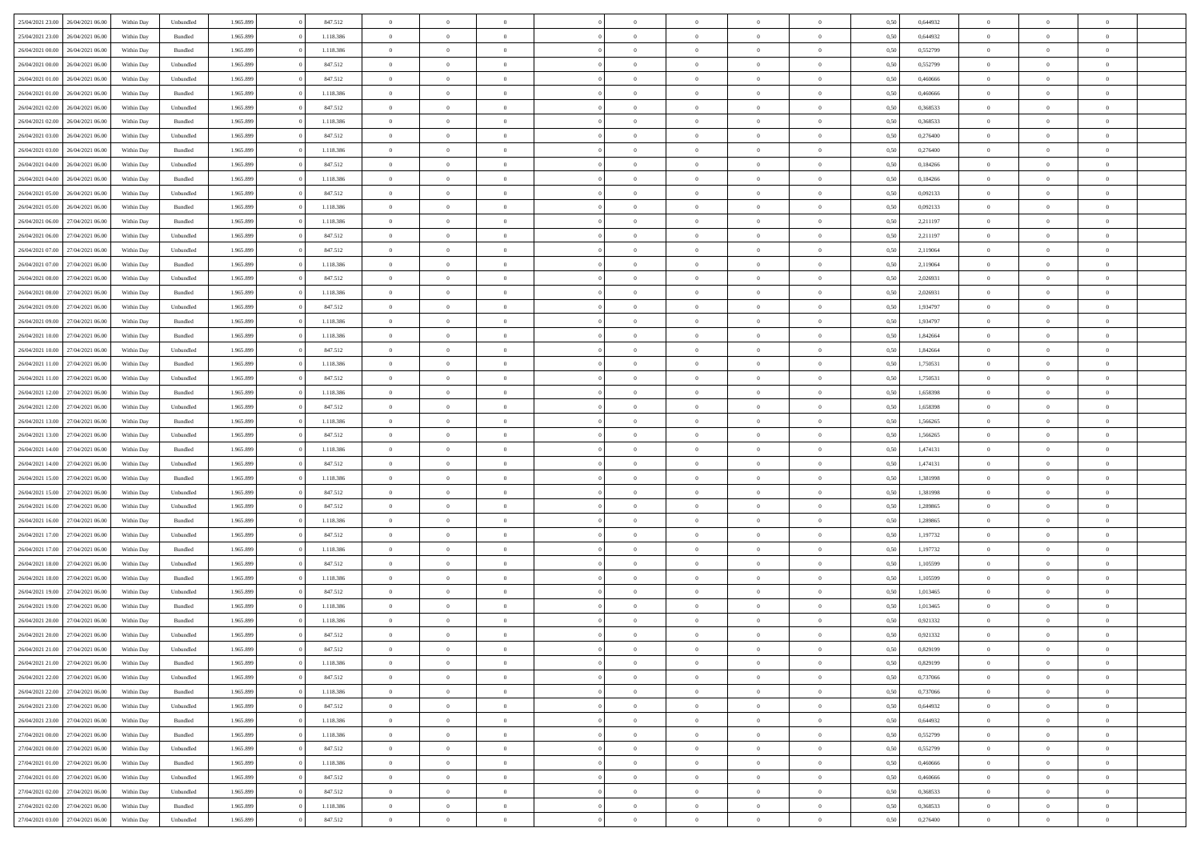| 25/04/2021 23:00<br>26/04/2021 06:00 | Within Day         | Unbundled                   | 1.965.899 | 847.512   | $\overline{0}$                   | $\theta$                         |                | $\overline{0}$ | $\bf{0}$       | $\overline{0}$ | $\theta$       | 0,50 | 0,644932 | $\theta$       | $\theta$       | $\overline{0}$ |  |
|--------------------------------------|--------------------|-----------------------------|-----------|-----------|----------------------------------|----------------------------------|----------------|----------------|----------------|----------------|----------------|------|----------|----------------|----------------|----------------|--|
|                                      |                    |                             |           |           |                                  |                                  | $\overline{0}$ |                |                |                |                |      |          |                |                | $\overline{0}$ |  |
| 25/04/2021 23.00<br>26/04/2021 06.00 | Within Day         | Bundled                     | 1.965.899 | 1.118.386 | $\bf{0}$                         | $\overline{0}$                   |                | $\overline{0}$ | $\,$ 0         | $\bf{0}$       | $\bf{0}$       | 0,50 | 0,644932 | $\,$ 0 $\,$    | $\overline{0}$ |                |  |
| 26/04/2021 00:00<br>26/04/2021 06:00 | Within Day         | Bundled                     | 1.965.899 | 1.118.386 | $\overline{0}$                   | $\overline{0}$                   | $\overline{0}$ | $\overline{0}$ | $\overline{0}$ | $\overline{0}$ | $\mathbf{0}$   | 0.50 | 0,552799 | $\mathbf{0}$   | $\,$ 0 $\,$    | $\bf{0}$       |  |
| 26/04/2021 00:00<br>26/04/2021 06:00 | Within Day         | Unbundled                   | 1.965.899 | 847.512   | $\overline{0}$                   | $\,$ 0                           | $\overline{0}$ | $\overline{0}$ | $\,0\,$        | $\overline{0}$ | $\overline{0}$ | 0,50 | 0,552799 | $\,$ 0 $\,$    | $\overline{0}$ | $\overline{0}$ |  |
| 26/04/2021 01:00<br>26/04/2021 06.00 | Within Day         | Unbundled                   | 1.965.899 | 847.512   | $\overline{0}$                   | $\overline{0}$                   | $\overline{0}$ | $\overline{0}$ | $\,$ 0         | $\overline{0}$ | $\bf{0}$       | 0,50 | 0,460666 | $\,$ 0 $\,$    | $\overline{0}$ | $\overline{0}$ |  |
| 26/04/2021 01:00<br>26/04/2021 06:00 | Within Day         | Bundled                     | 1.965.899 | 1.118.386 | $\overline{0}$                   | $\overline{0}$                   | $\overline{0}$ | $\overline{0}$ | $\bf{0}$       | $\overline{0}$ | $\bf{0}$       | 0.50 | 0.460666 | $\,0\,$        | $\overline{0}$ | $\overline{0}$ |  |
| 26/04/2021 02:00<br>26/04/2021 06:00 | Within Day         | Unbundled                   | 1.965.899 | 847.512   | $\overline{0}$                   | $\overline{0}$                   | $\overline{0}$ | $\overline{0}$ | $\bf{0}$       | $\overline{0}$ | $\bf{0}$       | 0,50 | 0,368533 | $\,$ 0 $\,$    | $\overline{0}$ | $\overline{0}$ |  |
| 26/04/2021 02:00<br>26/04/2021 06.00 | Within Day         | Bundled                     | 1.965.899 | 1.118.386 | $\overline{0}$                   | $\overline{0}$                   | $\overline{0}$ | $\overline{0}$ | $\,$ 0         | $\bf{0}$       | $\bf{0}$       | 0,50 | 0,368533 | $\,$ 0 $\,$    | $\overline{0}$ | $\overline{0}$ |  |
| 26/04/2021 03:00<br>26/04/2021 06:00 | Within Day         | Unbundled                   | 1.965.899 | 847.512   | $\overline{0}$                   | $\overline{0}$                   | $\overline{0}$ | $\overline{0}$ | $\bf{0}$       | $\overline{0}$ | $\mathbf{0}$   | 0.50 | 0.276400 | $\bf{0}$       | $\overline{0}$ | $\bf{0}$       |  |
|                                      |                    |                             |           |           |                                  |                                  |                |                |                |                |                |      |          |                |                |                |  |
| 26/04/2021 03:00<br>26/04/2021 06:00 | Within Day         | Bundled                     | 1.965.899 | 1.118.386 | $\overline{0}$                   | $\,$ 0                           | $\overline{0}$ | $\overline{0}$ | $\bf{0}$       | $\overline{0}$ | $\bf{0}$       | 0,50 | 0,276400 | $\,$ 0 $\,$    | $\overline{0}$ | $\overline{0}$ |  |
| 26/04/2021 04:00<br>26/04/2021 06.00 | Within Day         | Unbundled                   | 1.965.899 | 847.512   | $\bf{0}$                         | $\overline{0}$                   | $\overline{0}$ | $\overline{0}$ | $\,$ 0         | $\bf{0}$       | $\bf{0}$       | 0,50 | 0,184266 | $\,$ 0 $\,$    | $\overline{0}$ | $\overline{0}$ |  |
| 26/04/2021 04:00<br>26/04/2021 06:00 | Within Day         | Bundled                     | 1.965.899 | 1.118.386 | $\overline{0}$                   | $\overline{0}$                   | $\overline{0}$ | $\overline{0}$ | $\bf{0}$       | $\overline{0}$ | $\mathbf{0}$   | 0.50 | 0.184266 | $\overline{0}$ | $\,$ 0 $\,$    | $\overline{0}$ |  |
| 26/04/2021 05:00<br>26/04/2021 06:00 | Within Day         | Unbundled                   | 1.965.899 | 847.512   | $\overline{0}$                   | $\overline{0}$                   | $\overline{0}$ | $\overline{0}$ | $\bf{0}$       | $\overline{0}$ | $\overline{0}$ | 0,50 | 0,092133 | $\,$ 0 $\,$    | $\overline{0}$ | $\overline{0}$ |  |
| 26/04/2021 05:00<br>26/04/2021 06.00 | Within Day         | Bundled                     | 1.965.899 | 1.118.386 | $\overline{0}$                   | $\theta$                         | $\overline{0}$ | $\overline{0}$ | $\,$ 0         | $\overline{0}$ | $\bf{0}$       | 0,50 | 0,092133 | $\,$ 0 $\,$    | $\overline{0}$ | $\overline{0}$ |  |
| 26/04/2021 06:00<br>27/04/2021 06:00 | Within Day         | Bundled                     | 1.965.899 | 1.118.386 | $\overline{0}$                   | $\overline{0}$                   | $\overline{0}$ | $\overline{0}$ | $\bf{0}$       | $\overline{0}$ | $\bf{0}$       | 0.50 | 2,211197 | $\,0\,$        | $\overline{0}$ | $\overline{0}$ |  |
| 26/04/2021 06:00<br>27/04/2021 06.00 | Within Day         | Unbundled                   | 1.965.899 | 847.512   | $\overline{0}$                   | $\overline{0}$                   | $\overline{0}$ | $\overline{0}$ | $\bf{0}$       | $\overline{0}$ | $\bf{0}$       | 0,50 | 2,211197 | $\,$ 0 $\,$    | $\theta$       | $\overline{0}$ |  |
| 26/04/2021 07:00<br>27/04/2021 06.00 | Within Day         | Unbundled                   | 1.965.899 | 847.512   | $\overline{0}$                   | $\overline{0}$                   | $\overline{0}$ | $\overline{0}$ | $\,$ 0         | $\bf{0}$       | $\bf{0}$       | 0,50 | 2,119064 | $\,$ 0 $\,$    | $\overline{0}$ | $\overline{0}$ |  |
| 26/04/2021 07:00<br>27/04/2021 06:00 |                    | Bundled                     | 1.965.899 | 1.118.386 |                                  |                                  | $\overline{0}$ | $\overline{0}$ | $\bf{0}$       | $\overline{0}$ |                | 0.50 | 2,119064 | $\bf{0}$       | $\overline{0}$ | $\bf{0}$       |  |
| 26/04/2021 08:00<br>27/04/2021 06.00 | Within Day         |                             | 1.965.899 | 847.512   | $\overline{0}$<br>$\overline{0}$ | $\overline{0}$<br>$\overline{0}$ | $\overline{0}$ | $\overline{0}$ | $\bf{0}$       | $\overline{0}$ | $\mathbf{0}$   |      | 2,026931 | $\,$ 0 $\,$    | $\overline{0}$ | $\overline{0}$ |  |
|                                      | Within Day         | Unbundled                   |           |           |                                  |                                  |                |                |                |                | $\bf{0}$       | 0,50 |          |                |                |                |  |
| 26/04/2021 08:00<br>27/04/2021 06.00 | Within Day         | Bundled                     | 1.965.899 | 1.118.386 | $\overline{0}$                   | $\overline{0}$                   | $\overline{0}$ | $\overline{0}$ | $\bf{0}$       | $\bf{0}$       | $\bf{0}$       | 0,50 | 2,026931 | $\,$ 0 $\,$    | $\overline{0}$ | $\overline{0}$ |  |
| 26/04/2021 09:00<br>27/04/2021 06:00 | Within Day         | Unbundled                   | 1.965.899 | 847.512   | $\overline{0}$                   | $\overline{0}$                   | $\overline{0}$ | $\overline{0}$ | $\bf{0}$       | $\overline{0}$ | $\mathbf{0}$   | 0.50 | 1.934797 | $\overline{0}$ | $\,$ 0 $\,$    | $\overline{0}$ |  |
| 26/04/2021 09:00<br>27/04/2021 06.00 | Within Day         | Bundled                     | 1.965.899 | 1.118.386 | $\overline{0}$                   | $\overline{0}$                   | $\overline{0}$ | $\overline{0}$ | $\,0\,$        | $\overline{0}$ | $\overline{0}$ | 0,50 | 1,934797 | $\,$ 0 $\,$    | $\overline{0}$ | $\overline{0}$ |  |
| 26/04/2021 10:00<br>27/04/2021 06.00 | Within Day         | Bundled                     | 1.965.899 | 1.118.386 | $\overline{0}$                   | $\overline{0}$                   | $\overline{0}$ | $\overline{0}$ | $\bf{0}$       | $\bf{0}$       | $\bf{0}$       | 0,50 | 1,842664 | $\,$ 0 $\,$    | $\overline{0}$ | $\overline{0}$ |  |
| 26/04/2021 10:00<br>27/04/2021 06:00 | Within Day         | Unbundled                   | 1.965.899 | 847.512   | $\overline{0}$                   | $\overline{0}$                   | $\overline{0}$ | $\overline{0}$ | $\bf{0}$       | $\overline{0}$ | $\bf{0}$       | 0.50 | 1.842664 | $\,0\,$        | $\overline{0}$ | $\overline{0}$ |  |
| 26/04/2021 11:00<br>27/04/2021 06.00 | Within Day         | Bundled                     | 1.965.899 | 1.118.386 | $\overline{0}$                   | $\overline{0}$                   | $\overline{0}$ | $\overline{0}$ | $\bf{0}$       | $\overline{0}$ | $\bf{0}$       | 0,50 | 1,750531 | $\,$ 0 $\,$    | $\theta$       | $\overline{0}$ |  |
| 26/04/2021 11:00<br>27/04/2021 06.00 | Within Day         | Unbundled                   | 1.965.899 | 847.512   | $\overline{0}$                   | $\overline{0}$                   | $\overline{0}$ | $\overline{0}$ | $\,$ 0         | $\bf{0}$       | $\bf{0}$       | 0,50 | 1,750531 | $\,$ 0 $\,$    | $\overline{0}$ | $\overline{0}$ |  |
| 26/04/2021 12:00<br>27/04/2021 06:00 | Within Day         | Bundled                     | 1.965.899 | 1.118.386 | $\overline{0}$                   | $\overline{0}$                   | $\overline{0}$ | $\overline{0}$ | $\bf{0}$       | $\overline{0}$ | $\mathbf{0}$   | 0.50 | 1.658398 | $\bf{0}$       | $\overline{0}$ | $\bf{0}$       |  |
| 26/04/2021 12:00<br>27/04/2021 06:00 | Within Day         | Unbundled                   | 1.965.899 | 847.512   | $\overline{0}$                   | $\overline{0}$                   | $\overline{0}$ | $\overline{0}$ | $\bf{0}$       | $\overline{0}$ | $\bf{0}$       | 0,50 | 1,658398 | $\,$ 0 $\,$    | $\overline{0}$ | $\overline{0}$ |  |
|                                      |                    |                             |           |           |                                  |                                  |                |                |                |                |                |      |          |                |                |                |  |
| 26/04/2021 13:00<br>27/04/2021 06.00 | Within Day         | Bundled                     | 1.965.899 | 1.118.386 | $\overline{0}$                   | $\overline{0}$                   | $\overline{0}$ | $\overline{0}$ | $\bf{0}$       | $\bf{0}$       | $\bf{0}$       | 0,50 | 1,566265 | $\,$ 0 $\,$    | $\overline{0}$ | $\overline{0}$ |  |
| 26/04/2021 13:00<br>27/04/2021 06:00 | Within Day         | Unbundled                   | 1.965.899 | 847.512   | $\overline{0}$                   | $\overline{0}$                   | $\overline{0}$ | $\overline{0}$ | $\bf{0}$       | $\overline{0}$ | $\mathbf{0}$   | 0.50 | 1.566265 | $\overline{0}$ | $\,$ 0 $\,$    | $\overline{0}$ |  |
| 26/04/2021 14:00<br>27/04/2021 06:00 | Within Dav         | Bundled                     | 1.965.899 | 1.118.386 | $\overline{0}$                   | $\overline{0}$                   | $\overline{0}$ | $\overline{0}$ | $\overline{0}$ | $\overline{0}$ | $\mathbf{0}$   | 0.50 | 1,474131 | $\theta$       | $\overline{0}$ | $\overline{0}$ |  |
| 26/04/2021 14:00<br>27/04/2021 06.00 | Within Day         | Unbundled                   | 1.965.899 | 847.512   | $\bf{0}$                         | $\overline{0}$                   | $\overline{0}$ | $\overline{0}$ | $\,$ 0         | $\bf{0}$       | $\bf{0}$       | 0,50 | 1,474131 | $\,$ 0 $\,$    | $\overline{0}$ | $\overline{0}$ |  |
| 26/04/2021 15:00<br>27/04/2021 06:00 | Within Day         | Bundled                     | 1.965.899 | 1.118.386 | $\overline{0}$                   | $\overline{0}$                   | $\overline{0}$ | $\overline{0}$ | $\bf{0}$       | $\overline{0}$ | $\bf{0}$       | 0.50 | 1.381998 | $\,0\,$        | $\overline{0}$ | $\overline{0}$ |  |
| 26/04/2021 15:00<br>27/04/2021 06:00 | Within Dav         | Unbundled                   | 1.965.899 | 847.512   | $\overline{0}$                   | $\overline{0}$                   | $\overline{0}$ | $\overline{0}$ | $\mathbf{0}$   | $\overline{0}$ | $\overline{0}$ | 0,50 | 1,381998 | $\theta$       | $\overline{0}$ | $\overline{0}$ |  |
| 26/04/2021 16:00<br>27/04/2021 06.00 | Within Day         | Unbundled                   | 1.965.899 | 847.512   | $\bf{0}$                         | $\overline{0}$                   | $\overline{0}$ | $\overline{0}$ | $\,$ 0         | $\bf{0}$       | $\bf{0}$       | 0,50 | 1,289865 | $\,$ 0 $\,$    | $\overline{0}$ | $\overline{0}$ |  |
| 26/04/2021 16:00<br>27/04/2021 06:00 | Within Day         | Bundled                     | 1.965.899 | 1.118.386 | $\overline{0}$                   | $\overline{0}$                   | $\overline{0}$ | $\overline{0}$ | $\bf{0}$       | $\overline{0}$ | $\mathbf{0}$   | 0.50 | 1.289865 | $\bf{0}$       | $\overline{0}$ | $\bf{0}$       |  |
| 26/04/2021 17:00<br>27/04/2021 06:00 | Within Dav         | Unbundled                   | 1.965.899 | 847.512   | $\overline{0}$                   | $\overline{0}$                   | $\overline{0}$ | $\overline{0}$ | $\overline{0}$ | $\overline{0}$ | $\overline{0}$ | 0,50 | 1,197732 | $\theta$       | $\overline{0}$ | $\overline{0}$ |  |
| 26/04/2021 17:00<br>27/04/2021 06.00 | Within Day         | Bundled                     | 1.965.899 | 1.118.386 | $\bf{0}$                         | $\overline{0}$                   | $\overline{0}$ | $\bf{0}$       | $\bf{0}$       | $\bf{0}$       | $\bf{0}$       | 0,50 | 1,197732 | $\,0\,$        | $\overline{0}$ | $\overline{0}$ |  |
|                                      |                    |                             |           |           |                                  |                                  |                |                |                |                |                |      |          |                |                |                |  |
| 26/04/2021 18:00<br>27/04/2021 06:00 | Within Day         | Unbundled                   | 1.965.899 | 847.512   | $\overline{0}$                   | $\overline{0}$                   | $\overline{0}$ | $\overline{0}$ | $\bf{0}$       | $\overline{0}$ | $\mathbf{0}$   | 0.50 | 1.105599 | $\overline{0}$ | $\,$ 0 $\,$    | $\overline{0}$ |  |
| 26/04/2021 18:00<br>27/04/2021 06:00 | Within Dav         | Bundled                     | 1.965.899 | 1.118.386 | $\overline{0}$                   | $\overline{0}$                   | $\overline{0}$ | $\overline{0}$ | $\overline{0}$ | $\overline{0}$ | $\mathbf{0}$   | 0.50 | 1,105599 | $\theta$       | $\overline{0}$ | $\overline{0}$ |  |
| 26/04/2021 19:00<br>27/04/2021 06.00 | Within Day         | Unbundled                   | 1.965.899 | 847.512   | $\bf{0}$                         | $\overline{0}$                   | $\overline{0}$ | $\overline{0}$ | $\bf{0}$       | $\overline{0}$ | $\bf{0}$       | 0,50 | 1,013465 | $\,$ 0 $\,$    | $\overline{0}$ | $\overline{0}$ |  |
| 26/04/2021 19:00<br>27/04/2021 06:00 | Within Day         | Bundled                     | 1.965.899 | 1.118.386 | $\overline{0}$                   | $\overline{0}$                   | $\overline{0}$ | $\overline{0}$ | $\bf{0}$       | $\overline{0}$ | $\bf{0}$       | 0.50 | 1.013465 | $\bf{0}$       | $\theta$       | $\overline{0}$ |  |
| 26/04/2021 20:00<br>27/04/2021 06:00 | Within Dav         | Bundled                     | 1.965.899 | 1.118.386 | $\overline{0}$                   | $\theta$                         | $\Omega$       | $\overline{0}$ | $\bf{0}$       | $\overline{0}$ | $\overline{0}$ | 0.50 | 0.921332 | $\theta$       | $\overline{0}$ | $\overline{0}$ |  |
| 26/04/2021 20:00<br>27/04/2021 06:00 | Within Day         | Unbundled                   | 1.965.899 | 847.512   | $\overline{0}$                   | $\overline{0}$                   | $\overline{0}$ | $\bf{0}$       | $\,$ 0         | $\bf{0}$       | $\bf{0}$       | 0,50 | 0,921332 | $\,$ 0 $\,$    | $\overline{0}$ | $\overline{0}$ |  |
| 26/04/2021 21:00<br>27/04/2021 06:00 | Within ${\bf Day}$ | $\ensuremath{\mathsf{Unb}}$ | 1.965.899 | 847.512   | $\bf{0}$                         | $\theta$                         |                | $^{\circ}$     | $\Omega$       |                |                | 0,50 | 0,829199 | $\bf{0}$       | $\theta$       |                |  |
| 26/04/2021 21:00 27/04/2021 06:00    | Within Day         | Bundled                     | 1.965.899 | 1.118.386 | $\overline{0}$                   | $\overline{0}$                   | $\overline{0}$ | $\overline{0}$ | $\overline{0}$ | $\overline{0}$ | $\mathbf{0}$   | 0,50 | 0,829199 | $\theta$       | $\overline{0}$ | $\overline{0}$ |  |
| 26/04/2021 22:00<br>27/04/2021 06:00 | Within Day         | Unbundled                   | 1.965.899 | 847.512   | $\overline{0}$                   | $\bf{0}$                         | $\overline{0}$ | $\bf{0}$       | $\overline{0}$ | $\overline{0}$ | $\bf{0}$       | 0,50 | 0,737066 | $\overline{0}$ | $\overline{0}$ | $\bf{0}$       |  |
| 26/04/2021 22.00<br>27/04/2021 06:00 | Within Day         | Bundled                     | 1.965.899 | 1.118.386 | $\overline{0}$                   | $\overline{0}$                   | $\overline{0}$ | $\overline{0}$ | $\overline{0}$ | $\overline{0}$ | $\mathbf{0}$   | 0.50 | 0,737066 | $\overline{0}$ | $\bf{0}$       | $\bf{0}$       |  |
| 26/04/2021 23:00<br>27/04/2021 06:00 | Within Day         | Unbundled                   | 1.965.899 | 847.512   | $\overline{0}$                   | $\overline{0}$                   | $\overline{0}$ | $\overline{0}$ | $\overline{0}$ | $\overline{0}$ | $\mathbf{0}$   | 0,50 | 0,644932 | $\overline{0}$ | $\theta$       | $\overline{0}$ |  |
|                                      |                    |                             |           |           |                                  |                                  |                |                |                |                |                |      |          |                |                |                |  |
| 26/04/2021 23:00<br>27/04/2021 06:00 | Within Day         | Bundled                     | 1.965.899 | 1.118.386 | $\overline{0}$                   | $\overline{0}$                   | $\overline{0}$ | $\overline{0}$ | $\bf{0}$       | $\bf{0}$       | $\bf{0}$       | 0,50 | 0,644932 | $\,$ 0 $\,$    | $\overline{0}$ | $\overline{0}$ |  |
| 27/04/2021 00:00<br>27/04/2021 06:00 | Within Day         | Bundled                     | 1.965.899 | 1.118.386 | $\overline{0}$                   | $\overline{0}$                   | $\overline{0}$ | $\overline{0}$ | $\bf{0}$       | $\overline{0}$ | $\mathbf{0}$   | 0.50 | 0,552799 | $\,$ 0 $\,$    | $\overline{0}$ | $\overline{0}$ |  |
| 27/04/2021 00:00<br>27/04/2021 06:00 | Within Day         | Unbundled                   | 1.965.899 | 847.512   | $\overline{0}$                   | $\overline{0}$                   | $\overline{0}$ | $\overline{0}$ | $\overline{0}$ | $\overline{0}$ | $\overline{0}$ | 0,50 | 0,552799 | $\overline{0}$ | $\theta$       | $\overline{0}$ |  |
| 27/04/2021 01:00<br>27/04/2021 06:00 | Within Day         | Bundled                     | 1.965.899 | 1.118.386 | $\overline{0}$                   | $\,$ 0                           | $\overline{0}$ | $\bf{0}$       | $\,$ 0 $\,$    | $\overline{0}$ | $\bf{0}$       | 0,50 | 0,460666 | $\,$ 0 $\,$    | $\overline{0}$ | $\overline{0}$ |  |
| 27/04/2021 01:00<br>27/04/2021 06:00 | Within Day         | Unbundled                   | 1.965.899 | 847.512   | $\overline{0}$                   | $\overline{0}$                   | $\overline{0}$ | $\overline{0}$ | $\bf{0}$       | $\overline{0}$ | $\mathbf{0}$   | 0.50 | 0.460666 | $\mathbf{0}$   | $\bf{0}$       | $\bf{0}$       |  |
| 27/04/2021 02:00<br>27/04/2021 06:00 | Within Day         | Unbundled                   | 1.965.899 | 847.512   | $\overline{0}$                   | $\overline{0}$                   | $\overline{0}$ | $\overline{0}$ | $\overline{0}$ | $\overline{0}$ | $\overline{0}$ | 0,50 | 0,368533 | $\overline{0}$ | $\overline{0}$ | $\overline{0}$ |  |
| 27/04/2021 02:00<br>27/04/2021 06:00 | Within Day         | Bundled                     | 1.965.899 | 1.118.386 | $\overline{0}$                   | $\bf{0}$                         | $\overline{0}$ | $\bf{0}$       | $\bf{0}$       | $\bf{0}$       | $\bf{0}$       | 0,50 | 0,368533 | $\overline{0}$ | $\overline{0}$ | $\bf{0}$       |  |
| 27/04/2021 03:00 27/04/2021 06:00    | Within Day         | Unbundled                   | 1.965.899 | 847.512   | $\,$ 0 $\,$                      | $\,$ 0 $\,$                      | $\overline{0}$ | $\overline{0}$ | $\,$ 0 $\,$    | $\,$ 0 $\,$    | $\,$ 0 $\,$    | 0,50 | 0,276400 | $\mathbf{0}^-$ | $\,$ 0 $\,$    | $\,$ 0 $\,$    |  |
|                                      |                    |                             |           |           |                                  |                                  |                |                |                |                |                |      |          |                |                |                |  |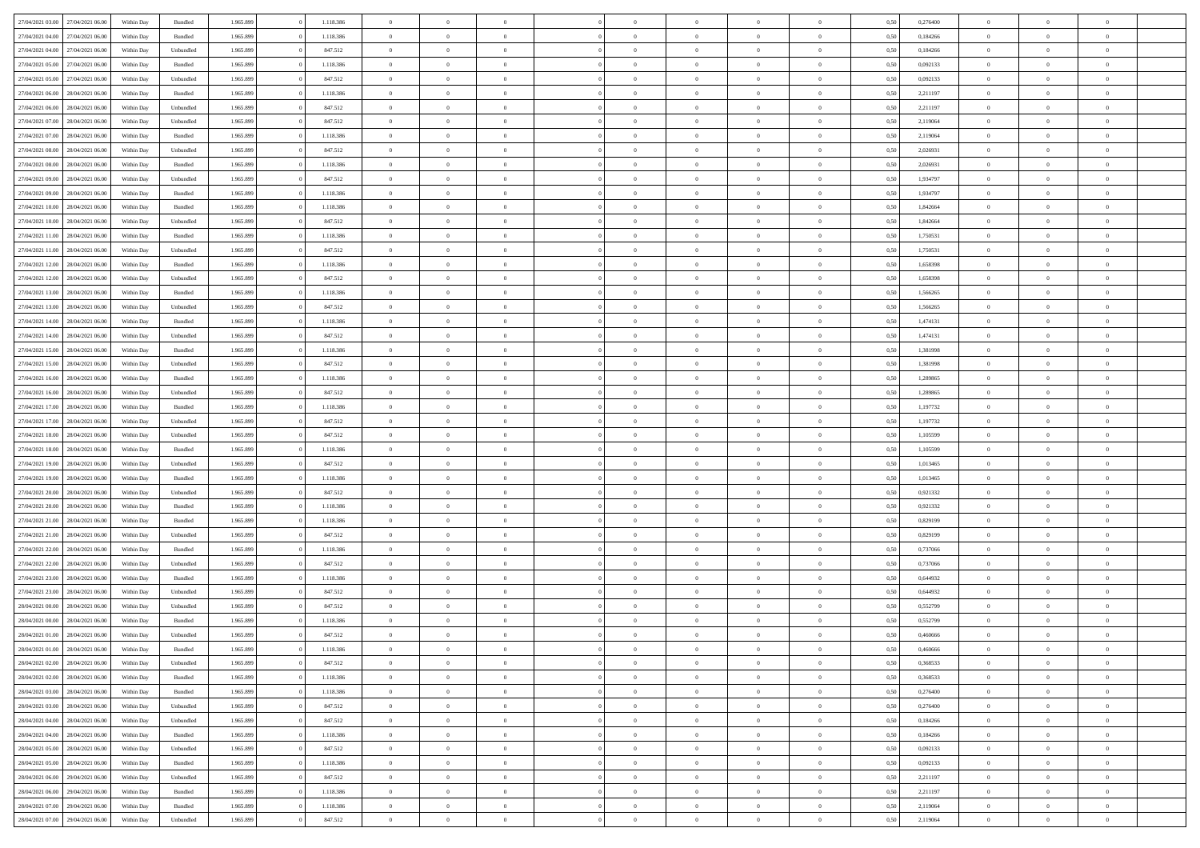| 27/04/2021 03:00 | 27/04/2021 06:00 | Within Day | Bundled            | 1.965.899 | 1.118.386 | $\overline{0}$ | $\theta$       |                | $\Omega$       | $\Omega$       | $\theta$       | $\theta$       | 0,50 | 0,276400 | $\theta$       | $\theta$       | $\theta$       |  |
|------------------|------------------|------------|--------------------|-----------|-----------|----------------|----------------|----------------|----------------|----------------|----------------|----------------|------|----------|----------------|----------------|----------------|--|
|                  |                  |            |                    |           |           |                |                |                |                |                |                |                |      |          |                |                |                |  |
| 27/04/2021 04:00 | 27/04/2021 06.00 | Within Day | Bundled            | 1.965.899 | 1.118.386 | $\overline{0}$ | $\theta$       | $\overline{0}$ | $\overline{0}$ | $\bf{0}$       | $\overline{0}$ | $\bf{0}$       | 0,50 | 0,184266 | $\theta$       | $\overline{0}$ | $\overline{0}$ |  |
| 27/04/2021 04:00 | 27/04/2021 06:00 | Within Day | Unbundled          | 1.965.899 | 847.512   | $\overline{0}$ | $\bf{0}$       | $\overline{0}$ | $\bf{0}$       | $\bf{0}$       | $\bf{0}$       | $\mathbf{0}$   | 0,50 | 0,184266 | $\overline{0}$ | $\overline{0}$ | $\overline{0}$ |  |
| 27/04/2021 05:00 | 27/04/2021 06:00 | Within Dav | Bundled            | 1.965.899 | 1.118.386 | $\overline{0}$ | $\overline{0}$ | $\overline{0}$ | $\overline{0}$ | $\bf{0}$       | $\overline{0}$ | $\overline{0}$ | 0.50 | 0,092133 | $\theta$       | $\theta$       | $\overline{0}$ |  |
|                  |                  |            |                    |           |           |                |                |                |                |                |                |                |      |          |                |                |                |  |
| 27/04/2021 05:00 | 27/04/2021 06.00 | Within Day | Unbundled          | 1.965.899 | 847.512   | $\overline{0}$ | $\theta$       | $\overline{0}$ | $\overline{0}$ | $\bf{0}$       | $\overline{0}$ | $\bf{0}$       | 0,50 | 0,092133 | $\,$ 0 $\,$    | $\overline{0}$ | $\overline{0}$ |  |
| 27/04/2021 06:00 | 28/04/2021 06:00 | Within Day | Bundled            | 1.965.899 | 1.118.386 | $\overline{0}$ | $\overline{0}$ | $\overline{0}$ | $\bf{0}$       | $\overline{0}$ | $\overline{0}$ | $\mathbf{0}$   | 0,50 | 2,211197 | $\overline{0}$ | $\overline{0}$ | $\bf{0}$       |  |
| 27/04/2021 06:00 | 28/04/2021 06:00 | Within Dav | Unbundled          | 1.965.899 | 847.512   | $\overline{0}$ | $\overline{0}$ | $\overline{0}$ | $\overline{0}$ | $\overline{0}$ | $\overline{0}$ | $\overline{0}$ | 0.50 | 2,211197 | $\theta$       | $\overline{0}$ | $\overline{0}$ |  |
| 27/04/2021 07:00 | 28/04/2021 06:00 | Within Day | Unbundled          | 1.965.899 | 847.512   | $\overline{0}$ | $\theta$       | $\overline{0}$ | $\overline{0}$ | $\bf{0}$       | $\overline{0}$ | $\bf{0}$       | 0,50 | 2,119064 | $\,$ 0 $\,$    | $\theta$       | $\overline{0}$ |  |
| 27/04/2021 07:00 | 28/04/2021 06:00 | Within Day | Bundled            | 1.965.899 | 1.118.386 | $\overline{0}$ | $\overline{0}$ | $\overline{0}$ | $\bf{0}$       | $\bf{0}$       | $\bf{0}$       | $\mathbf{0}$   | 0,50 | 2,119064 | $\,0\,$        | $\overline{0}$ | $\overline{0}$ |  |
|                  |                  |            |                    |           |           |                |                |                |                |                |                |                |      |          |                |                |                |  |
| 27/04/2021 08:00 | 28/04/2021 06:00 | Within Dav | Unbundled          | 1.965.899 | 847.512   | $\overline{0}$ | $\overline{0}$ | $\overline{0}$ | $\overline{0}$ | $\overline{0}$ | $\overline{0}$ | $\overline{0}$ | 0.50 | 2,026931 | $\theta$       | $\overline{0}$ | $\overline{0}$ |  |
| 27/04/2021 08:00 | 28/04/2021 06:00 | Within Day | Bundled            | 1.965.899 | 1.118.386 | $\overline{0}$ | $\theta$       | $\overline{0}$ | $\overline{0}$ | $\bf{0}$       | $\overline{0}$ | $\bf{0}$       | 0,50 | 2,026931 | $\,$ 0 $\,$    | $\overline{0}$ | $\overline{0}$ |  |
| 27/04/2021 09:00 | 28/04/2021 06:00 | Within Day | Unbundled          | 1.965.899 | 847.512   | $\overline{0}$ | $\overline{0}$ | $\overline{0}$ | $\overline{0}$ | $\bf{0}$       | $\overline{0}$ | $\mathbf{0}$   | 0,50 | 1,934797 | $\bf{0}$       | $\overline{0}$ | $\bf{0}$       |  |
| 27/04/2021 09:00 | 28/04/2021 06:00 | Within Dav | Bundled            | 1.965.899 | 1.118.386 | $\overline{0}$ | $\overline{0}$ | $\overline{0}$ | $\overline{0}$ | $\bf{0}$       | $\overline{0}$ | $\overline{0}$ | 0.50 | 1,934797 | $\theta$       | $\theta$       | $\overline{0}$ |  |
| 27/04/2021 10:00 | 28/04/2021 06:00 | Within Day | Bundled            | 1.965.899 | 1.118.386 | $\overline{0}$ | $\theta$       | $\overline{0}$ | $\overline{0}$ | $\bf{0}$       | $\overline{0}$ | $\bf{0}$       | 0,50 | 1,842664 | $\theta$       | $\overline{0}$ | $\overline{0}$ |  |
|                  |                  |            |                    |           |           |                |                |                |                |                |                |                |      |          |                |                |                |  |
| 27/04/2021 10:00 | 28/04/2021 06:00 | Within Day | Unbundled          | 1.965.899 | 847.512   | $\overline{0}$ | $\overline{0}$ | $\overline{0}$ | $\overline{0}$ | $\overline{0}$ | $\overline{0}$ | $\mathbf{0}$   | 0,50 | 1,842664 | $\bf{0}$       | $\overline{0}$ | $\bf{0}$       |  |
| 27/04/2021 11:00 | 28/04/2021 06:00 | Within Dav | Bundled            | 1.965.899 | 1.118.386 | $\overline{0}$ | $\overline{0}$ | $\overline{0}$ | $\overline{0}$ | $\overline{0}$ | $\overline{0}$ | $\overline{0}$ | 0.50 | 1,750531 | $\theta$       | $\overline{0}$ | $\overline{0}$ |  |
| 27/04/2021 11:00 | 28/04/2021 06:00 | Within Day | Unbundled          | 1.965.899 | 847.512   | $\overline{0}$ | $\theta$       | $\overline{0}$ | $\overline{0}$ | $\bf{0}$       | $\overline{0}$ | $\bf{0}$       | 0,50 | 1,750531 | $\,$ 0 $\,$    | $\overline{0}$ | $\overline{0}$ |  |
| 27/04/2021 12:00 | 28/04/2021 06:00 | Within Day | Bundled            | 1.965.899 | 1.118.386 | $\overline{0}$ | $\overline{0}$ | $\overline{0}$ | $\bf{0}$       | $\bf{0}$       | $\bf{0}$       | $\mathbf{0}$   | 0,50 | 1,658398 | $\bf{0}$       | $\overline{0}$ | $\bf{0}$       |  |
| 27/04/2021 12:00 | 28/04/2021 06:00 | Within Dav | Unbundled          | 1.965.899 | 847.512   | $\overline{0}$ | $\overline{0}$ | $\overline{0}$ | $\overline{0}$ | $\overline{0}$ | $\overline{0}$ | $\overline{0}$ | 0.50 | 1,658398 | $\theta$       | $\overline{0}$ | $\overline{0}$ |  |
|                  |                  |            |                    |           |           |                |                |                |                |                |                |                |      |          |                |                |                |  |
| 27/04/2021 13:00 | 28/04/2021 06:00 | Within Day | Bundled            | 1.965.899 | 1.118.386 | $\overline{0}$ | $\theta$       | $\overline{0}$ | $\overline{0}$ | $\bf{0}$       | $\overline{0}$ | $\bf{0}$       | 0,50 | 1,566265 | $\,$ 0 $\,$    | $\overline{0}$ | $\overline{0}$ |  |
| 27/04/2021 13:00 | 28/04/2021 06:00 | Within Day | Unbundled          | 1.965.899 | 847.512   | $\overline{0}$ | $\overline{0}$ | $\overline{0}$ | $\bf{0}$       | $\bf{0}$       | $\bf{0}$       | $\mathbf{0}$   | 0,50 | 1,566265 | $\overline{0}$ | $\overline{0}$ | $\bf{0}$       |  |
| 27/04/2021 14:00 | 28/04/2021 06:00 | Within Day | Bundled            | 1.965.899 | 1.118.386 | $\overline{0}$ | $\overline{0}$ | $\overline{0}$ | $\overline{0}$ | $\overline{0}$ | $\overline{0}$ | $\overline{0}$ | 0.50 | 1,474131 | $\theta$       | $\overline{0}$ | $\overline{0}$ |  |
| 27/04/2021 14:00 | 28/04/2021 06:00 | Within Day | Unbundled          | 1.965.899 | 847.512   | $\overline{0}$ | $\theta$       | $\overline{0}$ | $\overline{0}$ | $\bf{0}$       | $\overline{0}$ | $\,$ 0 $\,$    | 0,50 | 1,474131 | $\,$ 0 $\,$    | $\overline{0}$ | $\overline{0}$ |  |
| 27/04/2021 15:00 | 28/04/2021 06:00 | Within Day | Bundled            | 1.965.899 | 1.118.386 | $\overline{0}$ | $\overline{0}$ | $\overline{0}$ | $\bf{0}$       | $\overline{0}$ | $\overline{0}$ | $\mathbf{0}$   | 0,50 | 1,381998 | $\overline{0}$ | $\overline{0}$ | $\bf{0}$       |  |
|                  |                  |            |                    |           |           |                |                |                |                |                |                |                |      |          |                |                |                |  |
| 27/04/2021 15:00 | 28/04/2021 06:00 | Within Day | Unbundled          | 1.965.899 | 847.512   | $\overline{0}$ | $\overline{0}$ | $\overline{0}$ | $\overline{0}$ | $\overline{0}$ | $\overline{0}$ | $\overline{0}$ | 0.50 | 1,381998 | $\overline{0}$ | $\overline{0}$ | $\overline{0}$ |  |
| 27/04/2021 16:00 | 28/04/2021 06:00 | Within Day | Bundled            | 1.965.899 | 1.118.386 | $\overline{0}$ | $\theta$       | $\overline{0}$ | $\overline{0}$ | $\bf{0}$       | $\overline{0}$ | $\bf{0}$       | 0,50 | 1,289865 | $\,$ 0 $\,$    | $\overline{0}$ | $\overline{0}$ |  |
| 27/04/2021 16:00 | 28/04/2021 06:00 | Within Day | Unbundled          | 1.965.899 | 847.512   | $\overline{0}$ | $\overline{0}$ | $\overline{0}$ | $\bf{0}$       | $\bf{0}$       | $\bf{0}$       | $\mathbf{0}$   | 0,50 | 1,289865 | $\bf{0}$       | $\overline{0}$ | $\overline{0}$ |  |
| 27/04/2021 17:00 | 28/04/2021 06:00 | Within Day | Bundled            | 1.965.899 | 1.118.386 | $\overline{0}$ | $\overline{0}$ | $\overline{0}$ | $\overline{0}$ | $\overline{0}$ | $\overline{0}$ | $\overline{0}$ | 0.50 | 1,197732 | $\theta$       | $\overline{0}$ | $\overline{0}$ |  |
| 27/04/2021 17:00 | 28/04/2021 06:00 | Within Day | Unbundled          | 1.965.899 | 847.512   | $\overline{0}$ | $\overline{0}$ | $\overline{0}$ | $\overline{0}$ | $\bf{0}$       | $\overline{0}$ | $\bf{0}$       | 0,50 | 1,197732 | $\,$ 0 $\,$    | $\overline{0}$ | $\overline{0}$ |  |
|                  |                  |            |                    |           |           |                |                |                |                |                |                |                |      |          |                |                |                |  |
| 27/04/2021 18:00 | 28/04/2021 06:00 | Within Day | Unbundled          | 1.965.899 | 847.512   | $\overline{0}$ | $\overline{0}$ | $\overline{0}$ | $\bf{0}$       | $\bf{0}$       | $\bf{0}$       | $\mathbf{0}$   | 0,50 | 1,105599 | $\bf{0}$       | $\overline{0}$ | $\bf{0}$       |  |
| 27/04/2021 18:00 | 28/04/2021 06:00 | Within Day | Bundled            | 1.965.899 | 1.118.386 | $\overline{0}$ | $\Omega$       | $\overline{0}$ | $\Omega$       | $\Omega$       | $\overline{0}$ | $\overline{0}$ | 0,50 | 1,105599 | $\,0\,$        | $\theta$       | $\theta$       |  |
| 27/04/2021 19:00 | 28/04/2021 06:00 | Within Day | Unbundled          | 1.965.899 | 847.512   | $\overline{0}$ | $\overline{0}$ | $\overline{0}$ | $\overline{0}$ | $\bf{0}$       | $\overline{0}$ | $\bf{0}$       | 0,50 | 1,013465 | $\,$ 0 $\,$    | $\overline{0}$ | $\overline{0}$ |  |
| 27/04/2021 19:00 | 28/04/2021 06:00 | Within Day | Bundled            | 1.965.899 | 1.118.386 | $\overline{0}$ | $\overline{0}$ | $\overline{0}$ | $\bf{0}$       | $\overline{0}$ | $\overline{0}$ | $\mathbf{0}$   | 0,50 | 1,013465 | $\bf{0}$       | $\overline{0}$ | $\bf{0}$       |  |
| 27/04/2021 20:00 | 28/04/2021 06:00 | Within Day | Unbundled          | 1.965.899 | 847.512   | $\overline{0}$ | $\overline{0}$ | $\overline{0}$ | $\Omega$       | $\overline{0}$ | $\overline{0}$ | $\overline{0}$ | 0.50 | 0,921332 | $\,0\,$        | $\theta$       | $\theta$       |  |
| 27/04/2021 20:00 | 28/04/2021 06:00 |            |                    | 1.965.899 | 1.118.386 | $\overline{0}$ | $\theta$       | $\overline{0}$ | $\overline{0}$ | $\bf{0}$       | $\overline{0}$ |                |      | 0,921332 | $\,$ 0 $\,$    | $\overline{0}$ | $\overline{0}$ |  |
|                  |                  | Within Day | Bundled            |           |           |                |                |                |                |                |                | $\bf{0}$       | 0,50 |          |                |                |                |  |
| 27/04/2021 21:00 | 28/04/2021 06:00 | Within Day | Bundled            | 1.965.899 | 1.118.386 | $\overline{0}$ | $\bf{0}$       | $\overline{0}$ | $\bf{0}$       | $\bf{0}$       | $\bf{0}$       | $\mathbf{0}$   | 0,50 | 0,829199 | $\bf{0}$       | $\overline{0}$ | $\bf{0}$       |  |
| 27/04/2021 21:00 | 28/04/2021 06:00 | Within Day | Unbundled          | 1.965.899 | 847.512   | $\overline{0}$ | $\Omega$       | $\overline{0}$ | $\Omega$       | $\overline{0}$ | $\overline{0}$ | $\overline{0}$ | 0.50 | 0,829199 | $\,$ 0 $\,$    | $\theta$       | $\theta$       |  |
| 27/04/2021 22.00 | 28/04/2021 06:00 | Within Day | Bundled            | 1.965.899 | 1.118.386 | $\overline{0}$ | $\,$ 0         | $\overline{0}$ | $\overline{0}$ | $\,$ 0         | $\overline{0}$ | $\bf{0}$       | 0,50 | 0,737066 | $\,$ 0 $\,$    | $\overline{0}$ | $\overline{0}$ |  |
| 27/04/2021 22.00 | 28/04/2021 06:00 | Within Day | Unbundled          | 1.965.899 | 847.512   | $\overline{0}$ | $\overline{0}$ | $\overline{0}$ | $\bf{0}$       | $\bf{0}$       | $\bf{0}$       | $\mathbf{0}$   | 0,50 | 0,737066 | $\bf{0}$       | $\overline{0}$ | $\bf{0}$       |  |
| 27/04/2021 23:00 | 28/04/2021 06:00 |            | $\mathbf B$ undled | 1.965.899 | 1.118.386 | $\overline{0}$ | $\Omega$       | $\overline{0}$ | $\Omega$       | $\overline{0}$ | $\overline{0}$ | $\overline{0}$ | 0.50 | 0.644932 | $\,0\,$        | $\theta$       | $\theta$       |  |
|                  |                  | Within Day |                    |           |           |                |                |                |                |                |                |                |      |          |                |                |                |  |
| 27/04/2021 23:00 | 28/04/2021 06:00 | Within Day | Unbundled          | 1.965.899 | 847.512   | $\overline{0}$ | $\overline{0}$ | $\overline{0}$ | $\overline{0}$ | $\,$ 0         | $\overline{0}$ | $\bf{0}$       | 0,50 | 0,644932 | $\,$ 0 $\,$    | $\overline{0}$ | $\overline{0}$ |  |
| 28/04/2021 00:00 | 28/04/2021 06:00 | Within Day | Unbundled          | 1.965.899 | 847.512   | $\overline{0}$ | $\overline{0}$ | $\overline{0}$ | $\bf{0}$       | $\bf{0}$       | $\overline{0}$ | $\mathbf{0}$   | 0,50 | 0,552799 | $\bf{0}$       | $\overline{0}$ | $\bf{0}$       |  |
| 28/04/2021 00:00 | 28/04/2021 06:00 | Within Day | Bundled            | 1.965.899 | 1.118.386 | $\overline{0}$ | $\Omega$       | $\Omega$       | $\Omega$       | $\Omega$       | $\Omega$       | $\overline{0}$ | 0.50 | 0.552799 | $\theta$       | $\theta$       | $\theta$       |  |
| 28/04/2021 01:00 | 28/04/2021 06:00 | Within Day | Unbundled          | 1.965.899 | 847.512   | $\overline{0}$ | $\overline{0}$ | $\overline{0}$ | $\bf{0}$       | $\,$ 0         | $\bf{0}$       | $\bf{0}$       | 0,50 | 0,460666 | $\,0\,$        | $\,$ 0 $\,$    | $\overline{0}$ |  |
| 28/04/2021 01:00 | 28/04/2021 06:00 | Within Day | $\mathbf B$ undled | 1.965.899 | 1.118.386 | $\overline{0}$ | $\bf{0}$       |                |                | $\bf{0}$       |                |                | 0,50 | 0,460666 | $\bf{0}$       | $\overline{0}$ |                |  |
|                  |                  |            |                    |           |           |                |                |                |                |                |                |                |      |          |                |                | $\theta$       |  |
| 28/04/2021 02:00 | 28/04/2021 06:00 | Within Day | Unbundled          | 1.965.899 | 847.512   | $\overline{0}$ | $\overline{0}$ | $\overline{0}$ | $\Omega$       | $\overline{0}$ | $\overline{0}$ | $\overline{0}$ | 0.50 | 0.368533 | $\theta$       | $\theta$       |                |  |
| 28/04/2021 02:00 | 28/04/2021 06:00 | Within Day | Bundled            | 1.965.899 | 1.118.386 | $\overline{0}$ | $\,$ 0         | $\overline{0}$ | $\bf{0}$       | $\,$ 0 $\,$    | $\overline{0}$ | $\,$ 0 $\,$    | 0,50 | 0,368533 | $\,$ 0 $\,$    | $\,$ 0 $\,$    | $\,$ 0         |  |
| 28/04/2021 03:00 | 28/04/2021 06:00 | Within Day | Bundled            | 1.965.899 | 1.118.386 | $\overline{0}$ | $\overline{0}$ | $\overline{0}$ | $\overline{0}$ | $\overline{0}$ | $\overline{0}$ | $\mathbf{0}$   | 0,50 | 0,276400 | $\overline{0}$ | $\bf{0}$       | $\bf{0}$       |  |
| 28/04/2021 03:00 | 28/04/2021 06:00 | Within Day | Unbundled          | 1.965.899 | 847.512   | $\overline{0}$ | $\overline{0}$ | $\overline{0}$ | $\Omega$       | $\overline{0}$ | $\overline{0}$ | $\overline{0}$ | 0,50 | 0,276400 | $\overline{0}$ | $\theta$       | $\overline{0}$ |  |
| 28/04/2021 04:00 | 28/04/2021 06:00 | Within Day | Unbundled          | 1.965.899 | 847.512   | $\overline{0}$ | $\,$ 0         | $\overline{0}$ | $\overline{0}$ | $\,$ 0 $\,$    | $\overline{0}$ | $\mathbf{0}$   | 0,50 | 0,184266 | $\,$ 0 $\,$    | $\overline{0}$ | $\overline{0}$ |  |
|                  |                  |            |                    |           |           |                |                |                |                |                |                |                |      |          |                |                |                |  |
| 28/04/2021 04:00 | 28/04/2021 06:00 | Within Day | Bundled            | 1.965.899 | 1.118.386 | $\overline{0}$ | $\overline{0}$ | $\overline{0}$ | $\overline{0}$ | $\overline{0}$ | $\overline{0}$ | $\mathbf{0}$   | 0,50 | 0,184266 | $\overline{0}$ | $\overline{0}$ | $\bf{0}$       |  |
| 28/04/2021 05:00 | 28/04/2021 06:00 | Within Day | Unbundled          | 1.965.899 | 847.512   | $\overline{0}$ | $\overline{0}$ | $\overline{0}$ | $\Omega$       | $\overline{0}$ | $\overline{0}$ | $\bf{0}$       | 0.50 | 0,092133 | $\overline{0}$ | $\theta$       | $\overline{0}$ |  |
| 28/04/2021 05:00 | 28/04/2021 06:00 | Within Day | Bundled            | 1.965.899 | 1.118.386 | $\overline{0}$ | $\,$ 0         | $\overline{0}$ | $\bf{0}$       | $\bf{0}$       | $\bf{0}$       | $\bf{0}$       | 0,50 | 0,092133 | $\,$ 0 $\,$    | $\overline{0}$ | $\overline{0}$ |  |
| 28/04/2021 06:00 | 29/04/2021 06:00 | Within Day | Unbundled          | 1.965.899 | 847.512   | $\overline{0}$ | $\bf{0}$       | $\overline{0}$ | $\overline{0}$ | $\overline{0}$ | $\overline{0}$ | $\mathbf{0}$   | 0,50 | 2,211197 | $\overline{0}$ | $\overline{0}$ | $\bf{0}$       |  |
| 28/04/2021 06:00 | 29/04/2021 06:00 | Within Day | Bundled            | 1.965.899 | 1.118.386 | $\overline{0}$ | $\overline{0}$ | $\overline{0}$ | $\Omega$       | $\overline{0}$ | $\overline{0}$ | $\overline{0}$ | 0.50 | 2,211197 | $\overline{0}$ | $\overline{0}$ | $\overline{0}$ |  |
|                  |                  |            |                    |           |           |                |                |                |                |                |                |                |      |          |                |                |                |  |
| 28/04/2021 07:00 | 29/04/2021 06:00 | Within Day | Bundled            | 1.965.899 | 1.118.386 | $\overline{0}$ | $\bf{0}$       | $\overline{0}$ | $\overline{0}$ | $\bf{0}$       | $\bf{0}$       | $\mathbf{0}$   | 0,50 | 2,119064 | $\,$ 0 $\,$    | $\,$ 0 $\,$    | $\bf{0}$       |  |
| 28/04/2021 07:00 | 29/04/2021 06:00 | Within Day | Unbundled          | 1.965.899 | 847.512   | $\overline{0}$ | $\overline{0}$ | $\overline{0}$ | $\overline{0}$ | $\overline{0}$ | $\bf{0}$       | $\mathbf{0}$   | 0,50 | 2,119064 | $\overline{0}$ | $\bf{0}$       | $\bf{0}$       |  |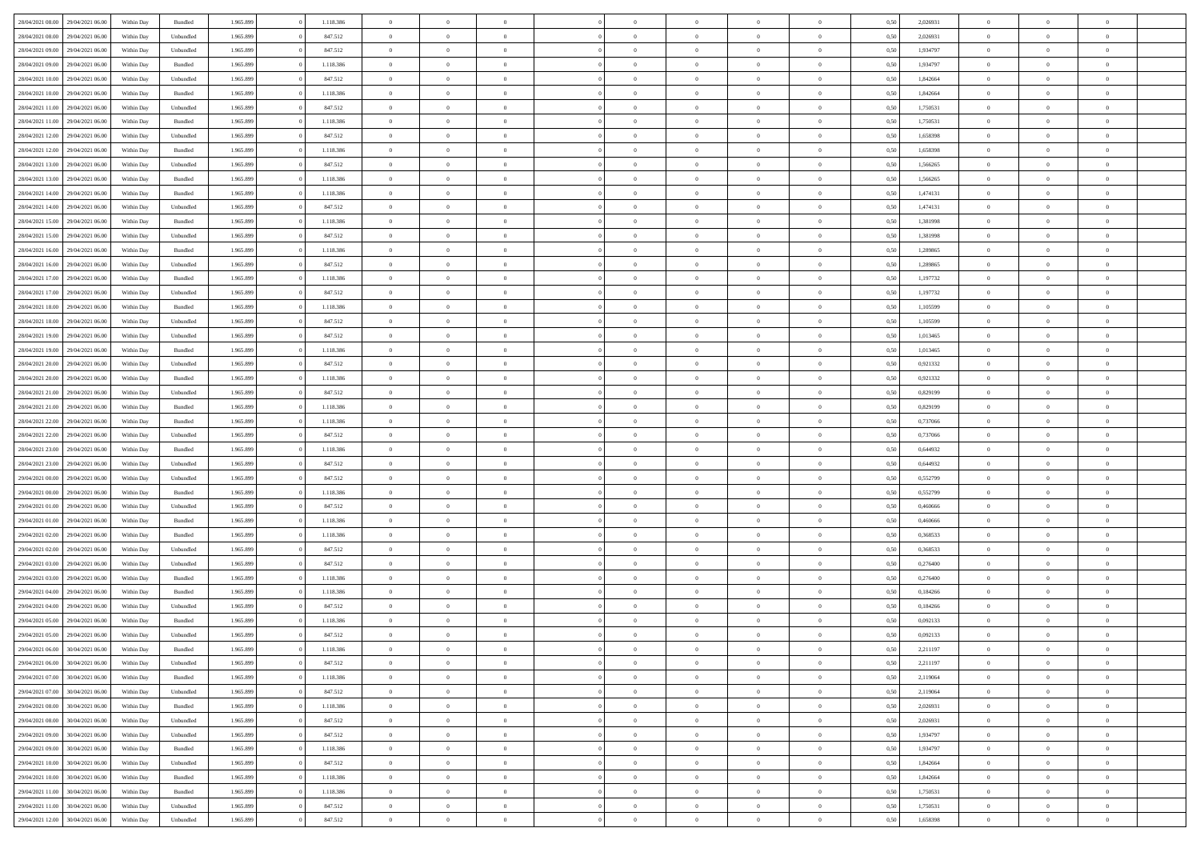|                  |                  |            |                    |           |           | $\overline{0}$ | $\Omega$       |                |                | $\Omega$       | $\theta$       | $\theta$       |      |          | $\theta$       |                | $\theta$       |  |
|------------------|------------------|------------|--------------------|-----------|-----------|----------------|----------------|----------------|----------------|----------------|----------------|----------------|------|----------|----------------|----------------|----------------|--|
| 28/04/2021 08:00 | 29/04/2021 06:00 | Within Day | Bundled            | 1.965.899 | 1.118.386 |                |                |                | $\Omega$       |                |                |                | 0,50 | 2,026931 |                | $\theta$       |                |  |
| 28/04/2021 08:00 | 29/04/2021 06.00 | Within Day | Unbundled          | 1.965.899 | 847.512   | $\overline{0}$ | $\theta$       | $\overline{0}$ | $\overline{0}$ | $\bf{0}$       | $\overline{0}$ | $\,$ 0 $\,$    | 0,50 | 2,026931 | $\theta$       | $\overline{0}$ | $\overline{0}$ |  |
| 28/04/2021 09:00 | 29/04/2021 06:00 | Within Day | Unbundled          | 1.965.899 | 847.512   | $\overline{0}$ | $\bf{0}$       | $\overline{0}$ | $\bf{0}$       | $\bf{0}$       | $\bf{0}$       | $\mathbf{0}$   | 0,50 | 1,934797 | $\bf{0}$       | $\overline{0}$ | $\bf{0}$       |  |
| 28/04/2021 09:00 | 29/04/2021 06:00 | Within Dav | Bundled            | 1.965.899 | 1.118.386 | $\overline{0}$ | $\overline{0}$ | $\overline{0}$ | $\overline{0}$ | $\bf{0}$       | $\overline{0}$ | $\overline{0}$ | 0.50 | 1,934797 | $\theta$       | $\theta$       | $\overline{0}$ |  |
|                  |                  |            |                    |           |           |                |                |                |                |                |                |                |      |          |                |                |                |  |
| 28/04/2021 10:00 | 29/04/2021 06.00 | Within Day | Unbundled          | 1.965.899 | 847.512   | $\overline{0}$ | $\theta$       | $\overline{0}$ | $\overline{0}$ | $\bf{0}$       | $\overline{0}$ | $\bf{0}$       | 0,50 | 1,842664 | $\,$ 0 $\,$    | $\overline{0}$ | $\overline{0}$ |  |
| 28/04/2021 10:00 | 29/04/2021 06:00 | Within Day | Bundled            | 1.965.899 | 1.118.386 | $\overline{0}$ | $\overline{0}$ | $\overline{0}$ | $\bf{0}$       | $\overline{0}$ | $\overline{0}$ | $\mathbf{0}$   | 0,50 | 1,842664 | $\bf{0}$       | $\overline{0}$ | $\bf{0}$       |  |
| 28/04/2021 11:00 | 29/04/2021 06:00 | Within Dav | Unbundled          | 1.965.899 | 847.512   | $\overline{0}$ | $\overline{0}$ | $\overline{0}$ | $\overline{0}$ | $\overline{0}$ | $\overline{0}$ | $\overline{0}$ | 0.50 | 1,750531 | $\theta$       | $\overline{0}$ | $\overline{0}$ |  |
| 28/04/2021 11:00 | 29/04/2021 06.00 | Within Day | Bundled            | 1.965.899 | 1.118.386 | $\overline{0}$ | $\theta$       | $\overline{0}$ | $\overline{0}$ | $\bf{0}$       | $\overline{0}$ | $\bf{0}$       | 0,50 | 1,750531 | $\theta$       | $\theta$       | $\overline{0}$ |  |
|                  |                  |            |                    |           |           |                | $\overline{0}$ |                |                | $\bf{0}$       |                |                |      |          | $\,0\,$        | $\overline{0}$ | $\overline{0}$ |  |
| 28/04/2021 12:00 | 29/04/2021 06.00 | Within Day | Unbundled          | 1.965.899 | 847.512   | $\overline{0}$ |                | $\overline{0}$ | $\bf{0}$       |                | $\bf{0}$       | $\mathbf{0}$   | 0,50 | 1,658398 |                |                |                |  |
| 28/04/2021 12:00 | 29/04/2021 06.00 | Within Dav | Bundled            | 1.965.899 | 1.118.386 | $\overline{0}$ | $\overline{0}$ | $\overline{0}$ | $\overline{0}$ | $\overline{0}$ | $\overline{0}$ | $\overline{0}$ | 0.50 | 1,658398 | $\theta$       | $\overline{0}$ | $\overline{0}$ |  |
| 28/04/2021 13:00 | 29/04/2021 06.00 | Within Day | Unbundled          | 1.965.899 | 847.512   | $\overline{0}$ | $\theta$       | $\overline{0}$ | $\overline{0}$ | $\bf{0}$       | $\overline{0}$ | $\bf{0}$       | 0,50 | 1,566265 | $\,$ 0 $\,$    | $\overline{0}$ | $\overline{0}$ |  |
| 28/04/2021 13:00 | 29/04/2021 06:00 | Within Day | Bundled            | 1.965.899 | 1.118.386 | $\overline{0}$ | $\overline{0}$ | $\overline{0}$ | $\bf{0}$       | $\bf{0}$       | $\bf{0}$       | $\mathbf{0}$   | 0,50 | 1,566265 | $\bf{0}$       | $\overline{0}$ | $\bf{0}$       |  |
| 28/04/2021 14:00 | 29/04/2021 06:00 | Within Day | Bundled            | 1.965.899 | 1.118.386 | $\overline{0}$ | $\overline{0}$ | $\overline{0}$ | $\overline{0}$ | $\bf{0}$       | $\overline{0}$ | $\overline{0}$ | 0.50 | 1,474131 | $\theta$       | $\theta$       | $\overline{0}$ |  |
|                  |                  |            |                    |           |           | $\overline{0}$ | $\theta$       | $\overline{0}$ | $\overline{0}$ | $\bf{0}$       | $\overline{0}$ |                |      |          | $\theta$       | $\overline{0}$ | $\overline{0}$ |  |
| 28/04/2021 14:00 | 29/04/2021 06.00 | Within Day | Unbundled          | 1.965.899 | 847.512   |                |                |                |                |                |                | $\bf{0}$       | 0,50 | 1,474131 |                |                |                |  |
| 28/04/2021 15:00 | 29/04/2021 06:00 | Within Day | Bundled            | 1.965.899 | 1.118.386 | $\overline{0}$ | $\overline{0}$ | $\overline{0}$ | $\bf{0}$       | $\overline{0}$ | $\overline{0}$ | $\mathbf{0}$   | 0,50 | 1,381998 | $\bf{0}$       | $\overline{0}$ | $\bf{0}$       |  |
| 28/04/2021 15:00 | 29/04/2021 06:00 | Within Dav | Unbundled          | 1.965.899 | 847.512   | $\overline{0}$ | $\overline{0}$ | $\overline{0}$ | $\overline{0}$ | $\overline{0}$ | $\overline{0}$ | $\overline{0}$ | 0.50 | 1,381998 | $\theta$       | $\overline{0}$ | $\overline{0}$ |  |
| 28/04/2021 16:00 | 29/04/2021 06.00 | Within Day | Bundled            | 1.965.899 | 1.118.386 | $\overline{0}$ | $\theta$       | $\overline{0}$ | $\overline{0}$ | $\bf{0}$       | $\overline{0}$ | $\bf{0}$       | 0,50 | 1,289865 | $\,$ 0 $\,$    | $\overline{0}$ | $\overline{0}$ |  |
| 28/04/2021 16:00 | 29/04/2021 06.00 | Within Day | Unbundled          | 1.965.899 | 847.512   | $\overline{0}$ | $\overline{0}$ | $\overline{0}$ | $\bf{0}$       | $\bf{0}$       | $\bf{0}$       | $\mathbf{0}$   | 0,50 | 1,289865 | $\bf{0}$       | $\overline{0}$ | $\bf{0}$       |  |
|                  |                  |            |                    |           |           |                | $\overline{0}$ |                |                | $\overline{0}$ |                |                |      |          | $\theta$       | $\overline{0}$ | $\overline{0}$ |  |
| 28/04/2021 17:00 | 29/04/2021 06.00 | Within Day | Bundled            | 1.965.899 | 1.118.386 | $\overline{0}$ |                | $\overline{0}$ | $\overline{0}$ |                | $\overline{0}$ | $\overline{0}$ | 0.50 | 1,197732 |                |                |                |  |
| 28/04/2021 17:00 | 29/04/2021 06.00 | Within Day | Unbundled          | 1.965.899 | 847.512   | $\overline{0}$ | $\theta$       | $\overline{0}$ | $\overline{0}$ | $\bf{0}$       | $\overline{0}$ | $\bf{0}$       | 0,50 | 1,197732 | $\,$ 0 $\,$    | $\overline{0}$ | $\overline{0}$ |  |
| 28/04/2021 18:00 | 29/04/2021 06:00 | Within Day | Bundled            | 1.965.899 | 1.118.386 | $\overline{0}$ | $\overline{0}$ | $\overline{0}$ | $\bf{0}$       | $\bf{0}$       | $\bf{0}$       | $\mathbf{0}$   | 0,50 | 1,105599 | $\overline{0}$ | $\overline{0}$ | $\bf{0}$       |  |
| 28/04/2021 18:00 | 29/04/2021 06:00 | Within Day | Unbundled          | 1.965.899 | 847.512   | $\overline{0}$ | $\overline{0}$ | $\overline{0}$ | $\overline{0}$ | $\overline{0}$ | $\overline{0}$ | $\overline{0}$ | 0.50 | 1.105599 | $\theta$       | $\overline{0}$ | $\overline{0}$ |  |
| 28/04/2021 19:00 | 29/04/2021 06.00 | Within Day | Unbundled          | 1.965.899 | 847.512   | $\overline{0}$ | $\theta$       | $\overline{0}$ | $\overline{0}$ | $\bf{0}$       | $\overline{0}$ | $\,$ 0 $\,$    | 0,50 | 1,013465 | $\,$ 0 $\,$    | $\overline{0}$ | $\overline{0}$ |  |
|                  |                  |            |                    |           |           |                |                |                |                |                |                |                |      |          |                |                |                |  |
| 28/04/2021 19:00 | 29/04/2021 06:00 | Within Day | Bundled            | 1.965.899 | 1.118.386 | $\overline{0}$ | $\overline{0}$ | $\overline{0}$ | $\bf{0}$       | $\overline{0}$ | $\overline{0}$ | $\mathbf{0}$   | 0,50 | 1,013465 | $\overline{0}$ | $\overline{0}$ | $\bf{0}$       |  |
| 28/04/2021 20:00 | 29/04/2021 06.00 | Within Day | Unbundled          | 1.965.899 | 847.512   | $\overline{0}$ | $\overline{0}$ | $\overline{0}$ | $\overline{0}$ | $\overline{0}$ | $\overline{0}$ | $\overline{0}$ | 0.50 | 0.921332 | $\overline{0}$ | $\overline{0}$ | $\overline{0}$ |  |
| 28/04/2021 20:00 | 29/04/2021 06.00 | Within Day | Bundled            | 1.965.899 | 1.118.386 | $\overline{0}$ | $\theta$       | $\overline{0}$ | $\overline{0}$ | $\bf{0}$       | $\overline{0}$ | $\bf{0}$       | 0,50 | 0,921332 | $\,$ 0 $\,$    | $\overline{0}$ | $\overline{0}$ |  |
| 28/04/2021 21:00 | 29/04/2021 06.00 | Within Day | Unbundled          | 1.965.899 | 847.512   | $\overline{0}$ | $\overline{0}$ | $\overline{0}$ | $\overline{0}$ | $\bf{0}$       | $\overline{0}$ | $\mathbf{0}$   | 0,50 | 0,829199 | $\,0\,$        | $\overline{0}$ | $\overline{0}$ |  |
| 28/04/2021 21:00 | 29/04/2021 06.00 | Within Day | Bundled            | 1.965.899 | 1.118.386 | $\overline{0}$ | $\overline{0}$ | $\overline{0}$ | $\overline{0}$ | $\overline{0}$ | $\overline{0}$ | $\overline{0}$ | 0.50 | 0.829199 | $\theta$       | $\overline{0}$ | $\overline{0}$ |  |
|                  |                  |            |                    |           |           |                |                |                |                |                |                |                |      |          |                |                |                |  |
| 28/04/2021 22:00 | 29/04/2021 06.00 | Within Day | Bundled            | 1.965.899 | 1.118.386 | $\overline{0}$ | $\overline{0}$ | $\overline{0}$ | $\overline{0}$ | $\bf{0}$       | $\overline{0}$ | $\bf{0}$       | 0,50 | 0,737066 | $\,$ 0 $\,$    | $\overline{0}$ | $\overline{0}$ |  |
| 28/04/2021 22:00 | 29/04/2021 06:00 | Within Day | Unbundled          | 1.965.899 | 847.512   | $\overline{0}$ | $\overline{0}$ | $\overline{0}$ | $\overline{0}$ | $\bf{0}$       | $\overline{0}$ | $\mathbf{0}$   | 0,50 | 0,737066 | $\bf{0}$       | $\overline{0}$ | $\bf{0}$       |  |
| 28/04/2021 23:00 | 29/04/2021 06.00 | Within Day | Bundled            | 1.965.899 | 1.118.386 | $\overline{0}$ | $\Omega$       | $\overline{0}$ | $\Omega$       | $\Omega$       | $\overline{0}$ | $\overline{0}$ | 0,50 | 0.644932 | $\,0\,$        | $\theta$       | $\theta$       |  |
| 28/04/2021 23:00 | 29/04/2021 06.00 | Within Day | Unbundled          | 1.965.899 | 847.512   | $\overline{0}$ | $\theta$       | $\overline{0}$ | $\overline{0}$ | $\bf{0}$       | $\overline{0}$ | $\bf{0}$       | 0,50 | 0,644932 | $\,$ 0 $\,$    | $\overline{0}$ | $\overline{0}$ |  |
|                  |                  |            |                    |           |           |                |                |                |                |                |                |                |      |          |                | $\overline{0}$ | $\bf{0}$       |  |
| 29/04/2021 00:00 | 29/04/2021 06:00 | Within Day | Unbundled          | 1.965.899 | 847.512   | $\overline{0}$ | $\overline{0}$ | $\overline{0}$ | $\bf{0}$       | $\overline{0}$ | $\overline{0}$ | $\mathbf{0}$   | 0,50 | 0,552799 | $\bf{0}$       |                |                |  |
| 29/04/2021 00:00 | 29/04/2021 06:00 | Within Day | Bundled            | 1.965.899 | 1.118.386 | $\overline{0}$ | $\overline{0}$ | $\overline{0}$ | $\Omega$       | $\overline{0}$ | $\overline{0}$ | $\overline{0}$ | 0.50 | 0,552799 | $\,0\,$        | $\theta$       | $\theta$       |  |
| 29/04/2021 01:00 | 29/04/2021 06.00 | Within Day | Unbundled          | 1.965.899 | 847.512   | $\overline{0}$ | $\theta$       | $\overline{0}$ | $\overline{0}$ | $\bf{0}$       | $\overline{0}$ | $\bf{0}$       | 0,50 | 0,460666 | $\,$ 0 $\,$    | $\overline{0}$ | $\overline{0}$ |  |
| 29/04/2021 01:00 | 29/04/2021 06.00 | Within Day | Bundled            | 1.965.899 | 1.118.386 | $\overline{0}$ | $\bf{0}$       | $\overline{0}$ | $\bf{0}$       | $\bf{0}$       | $\bf{0}$       | $\mathbf{0}$   | 0,50 | 0,460666 | $\bf{0}$       | $\overline{0}$ | $\bf{0}$       |  |
| 29/04/2021 02:00 | 29/04/2021 06:00 | Within Day | Bundled            | 1.965.899 | 1.118.386 | $\overline{0}$ | $\Omega$       | $\overline{0}$ | $\Omega$       | $\overline{0}$ | $\overline{0}$ | $\overline{0}$ | 0.50 | 0.368533 | $\,$ 0 $\,$    | $\theta$       | $\theta$       |  |
| 29/04/2021 02:00 | 29/04/2021 06.00 | Within Day | Unbundled          | 1.965.899 | 847.512   | $\overline{0}$ | $\overline{0}$ | $\overline{0}$ | $\overline{0}$ | $\,$ 0         | $\overline{0}$ | $\bf{0}$       | 0,50 | 0,368533 | $\,$ 0 $\,$    | $\overline{0}$ | $\overline{0}$ |  |
|                  |                  |            |                    |           |           |                |                |                |                |                |                |                |      |          |                |                |                |  |
| 29/04/2021 03:00 | 29/04/2021 06:00 | Within Day | Unbundled          | 1.965.899 | 847.512   | $\overline{0}$ | $\overline{0}$ | $\overline{0}$ | $\bf{0}$       | $\bf{0}$       | $\bf{0}$       | $\mathbf{0}$   | 0,50 | 0,276400 | $\bf{0}$       | $\overline{0}$ | $\bf{0}$       |  |
| 29/04/2021 03:00 | 29/04/2021 06.00 | Within Day | Bundled            | 1.965.899 | 1.118.386 | $\overline{0}$ | $\Omega$       | $\overline{0}$ | $\Omega$       | $\overline{0}$ | $\overline{0}$ | $\overline{0}$ | 0.50 | 0,276400 | $\,0\,$        | $\theta$       | $\theta$       |  |
| 29/04/2021 04:00 | 29/04/2021 06.00 | Within Day | Bundled            | 1.965.899 | 1.118.386 | $\overline{0}$ | $\overline{0}$ | $\overline{0}$ | $\overline{0}$ | $\,$ 0         | $\overline{0}$ | $\bf{0}$       | 0,50 | 0,184266 | $\,$ 0 $\,$    | $\overline{0}$ | $\overline{0}$ |  |
| 29/04/2021 04:00 | 29/04/2021 06.00 | Within Day | Unbundled          | 1.965.899 | 847.512   | $\overline{0}$ | $\overline{0}$ | $\overline{0}$ | $\bf{0}$       | $\bf{0}$       | $\overline{0}$ | $\mathbf{0}$   | 0,50 | 0,184266 | $\bf{0}$       | $\overline{0}$ | $\bf{0}$       |  |
|                  | 29/04/2021 06:00 |            |                    |           |           | $\overline{0}$ | $\Omega$       | $\Omega$       | $\Omega$       | $\Omega$       | $\Omega$       | $\overline{0}$ | 0.50 | 0.092133 | $\theta$       | $\theta$       | $\theta$       |  |
| 29/04/2021 05:00 |                  | Within Day | Bundled            | 1.965.899 | 1.118.386 |                |                |                |                |                |                |                |      |          |                |                |                |  |
| 29/04/2021 05:00 | 29/04/2021 06:00 | Within Day | Unbundled          | 1.965.899 | 847.512   | $\overline{0}$ | $\overline{0}$ | $\overline{0}$ | $\bf{0}$       | $\,$ 0         | $\bf{0}$       | $\bf{0}$       | 0,50 | 0,092133 | $\,0\,$        | $\,$ 0 $\,$    | $\overline{0}$ |  |
| 29/04/2021 06:00 | 30/04/2021 06:00 | Within Day | $\mathbf B$ undled | 1.965.899 | 1.118.386 | $\overline{0}$ | $\bf{0}$       |                |                | $\bf{0}$       |                |                | 0,50 | 2,211197 | $\bf{0}$       | $\overline{0}$ |                |  |
| 29/04/2021 06:00 | 30/04/2021 06:00 | Within Day | Unbundled          | 1.965.899 | 847.512   | $\overline{0}$ | $\overline{0}$ | $\overline{0}$ | $\Omega$       | $\overline{0}$ | $\overline{0}$ | $\overline{0}$ | 0,50 | 2,211197 | $\theta$       | $\theta$       | $\theta$       |  |
| 29/04/2021 07:00 | 30/04/2021 06:00 | Within Day | Bundled            | 1.965.899 | 1.118.386 | $\overline{0}$ | $\bf{0}$       | $\overline{0}$ | $\bf{0}$       | $\,$ 0 $\,$    | $\overline{0}$ | $\,$ 0 $\,$    | 0,50 | 2,119064 | $\,$ 0 $\,$    | $\,$ 0 $\,$    | $\,$ 0         |  |
|                  |                  |            |                    |           |           |                |                |                |                |                |                |                |      |          |                |                |                |  |
| 29/04/2021 07:00 | 30/04/2021 06:00 | Within Day | Unbundled          | 1.965.899 | 847.512   | $\overline{0}$ | $\overline{0}$ | $\overline{0}$ | $\overline{0}$ | $\overline{0}$ | $\overline{0}$ | $\mathbf{0}$   | 0,50 | 2,119064 | $\overline{0}$ | $\bf{0}$       | $\bf{0}$       |  |
| 29/04/2021 08:00 | 30/04/2021 06:00 | Within Day | $\mathbf B$ undled | 1.965.899 | 1.118.386 | $\overline{0}$ | $\overline{0}$ | $\overline{0}$ | $\Omega$       | $\overline{0}$ | $\overline{0}$ | $\overline{0}$ | 0,50 | 2,026931 | $\overline{0}$ | $\overline{0}$ | $\overline{0}$ |  |
| 29/04/2021 08:00 | 30/04/2021 06:00 | Within Day | Unbundled          | 1.965.899 | 847.512   | $\overline{0}$ | $\,$ 0         | $\overline{0}$ | $\overline{0}$ | $\,$ 0 $\,$    | $\overline{0}$ | $\mathbf{0}$   | 0,50 | 2,026931 | $\,$ 0 $\,$    | $\overline{0}$ | $\overline{0}$ |  |
| 29/04/2021 09:00 | 30/04/2021 06:00 | Within Day | Unbundled          | 1.965.899 | 847.512   | $\overline{0}$ | $\overline{0}$ | $\overline{0}$ | $\overline{0}$ | $\overline{0}$ | $\overline{0}$ | $\mathbf{0}$   | 0,50 | 1,934797 | $\overline{0}$ | $\overline{0}$ | $\bf{0}$       |  |
| 29/04/2021 09:00 | 30/04/2021 06:00 | Within Day | Bundled            | 1.965.899 | 1.118.386 | $\overline{0}$ | $\overline{0}$ | $\overline{0}$ | $\overline{0}$ | $\overline{0}$ | $\overline{0}$ | $\bf{0}$       | 0.50 | 1,934797 | $\overline{0}$ | $\theta$       | $\overline{0}$ |  |
|                  |                  |            |                    |           |           |                |                |                |                |                |                |                |      |          |                |                |                |  |
| 29/04/2021 10:00 | 30/04/2021 06:00 | Within Day | Unbundled          | 1.965.899 | 847.512   | $\overline{0}$ | $\,$ 0         | $\overline{0}$ | $\bf{0}$       | $\bf{0}$       | $\bf{0}$       | $\bf{0}$       | 0,50 | 1,842664 | $\,$ 0 $\,$    | $\overline{0}$ | $\overline{0}$ |  |
| 29/04/2021 10:00 | 30/04/2021 06:00 | Within Day | Bundled            | 1.965.899 | 1.118.386 | $\overline{0}$ | $\bf{0}$       | $\overline{0}$ | $\overline{0}$ | $\overline{0}$ | $\overline{0}$ | $\mathbf{0}$   | 0,50 | 1,842664 | $\overline{0}$ | $\overline{0}$ | $\bf{0}$       |  |
| 29/04/2021 11:00 | 30/04/2021 06:00 | Within Day | Bundled            | 1.965.899 | 1.118.386 | $\overline{0}$ | $\overline{0}$ | $\overline{0}$ | $\Omega$       | $\overline{0}$ | $\overline{0}$ | $\overline{0}$ | 0.50 | 1,750531 | $\overline{0}$ | $\overline{0}$ | $\overline{0}$ |  |
| 29/04/2021 11:00 | 30/04/2021 06:00 | Within Day | Unbundled          | 1.965.899 | 847.512   | $\overline{0}$ | $\bf{0}$       | $\overline{0}$ | $\bf{0}$       | $\bf{0}$       | $\bf{0}$       | $\mathbf{0}$   | 0,50 | 1,750531 | $\,$ 0 $\,$    | $\,$ 0 $\,$    | $\bf{0}$       |  |
| 29/04/2021 12:00 | 30/04/2021 06:00 | Within Day | Unbundled          | 1.965.899 | 847.512   | $\overline{0}$ | $\overline{0}$ | $\overline{0}$ | $\overline{0}$ | $\overline{0}$ | $\bf{0}$       | $\mathbf{0}$   | 0,50 | 1,658398 | $\overline{0}$ | $\bf{0}$       | $\bf{0}$       |  |
|                  |                  |            |                    |           |           |                |                |                |                |                |                |                |      |          |                |                |                |  |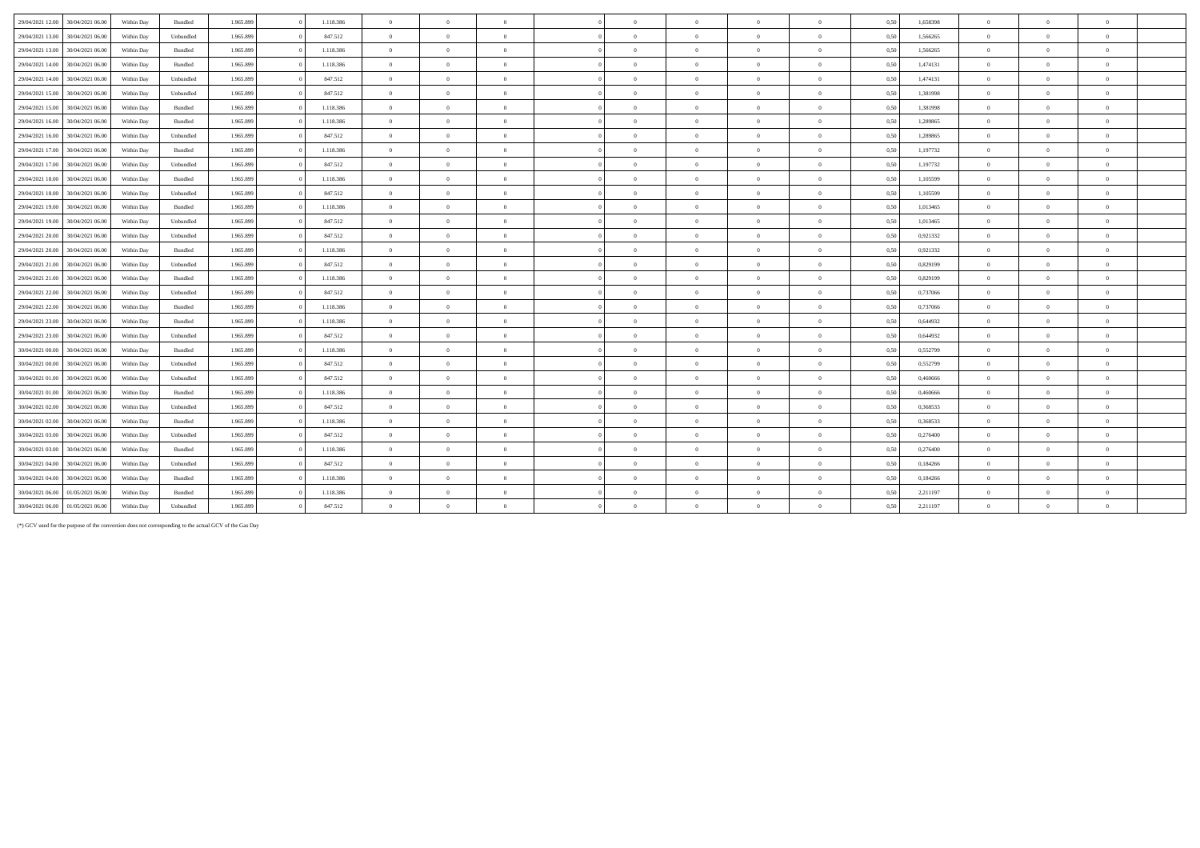| 29/04/2021 12:00 | 30/04/2021 06:00 | Within Day | Bundled   | 1.965.899 | 1.118.386 | $\overline{0}$ | $\Omega$       | $\overline{0}$ | $\Omega$       | $\overline{0}$ | $\overline{0}$ | $\overline{0}$ | 0,50 | 1,658398 | $\overline{0}$ | $\Omega$       |              |  |
|------------------|------------------|------------|-----------|-----------|-----------|----------------|----------------|----------------|----------------|----------------|----------------|----------------|------|----------|----------------|----------------|--------------|--|
| 29/04/2021 13:00 | 30/04/2021 06:00 | Within Day | Unbundled | 1.965.899 | 847.512   | $\overline{0}$ | $\overline{0}$ | $\overline{0}$ | $\overline{0}$ | $\mathbf{0}$   | $\Omega$       | $\overline{0}$ | 0,50 | 1.566265 | $\overline{0}$ | $\Omega$       | $\theta$     |  |
| 29/04/2021 13:00 | 30/04/2021 06:00 | Within Day | Bundled   | 1.965.899 | 1.118.386 | $\overline{0}$ | $\Omega$       | $\Omega$       | $\sqrt{2}$     | $\theta$       | $\Omega$       | $\mathbf{a}$   | 0,50 | 1,566265 | $\overline{0}$ |                |              |  |
| 29/04/2021 14:00 | 30/04/2021 06:00 | Within Day | Bundled   | 1.965.899 | 1.118.386 | $\overline{0}$ | $\overline{0}$ | $\overline{0}$ | $\theta$       | $\overline{0}$ | $\theta$       | $\theta$       | 0,50 | 1,474131 | $\overline{0}$ | $\Omega$       | $\theta$     |  |
| 29/04/2021 14:00 | 30/04/2021 06:00 | Within Day | Unbundled | 1.965.899 | 847.512   | $\overline{0}$ | $\overline{0}$ | $\overline{0}$ | $\Omega$       | $\overline{0}$ | $\overline{0}$ | $\theta$       | 0,50 | 1,474131 | $\overline{0}$ | $\Omega$       | $\mathbf{a}$ |  |
| 29/04/2021 15:00 | 30/04/2021 06:00 | Within Day | Unbundled | 1.965.899 | 847.512   | $\overline{0}$ | $\overline{0}$ | $\overline{0}$ | $\Omega$       | $\overline{0}$ | $\overline{0}$ | $\overline{0}$ | 0,50 | 1,381998 | $\overline{0}$ | $\overline{0}$ | $\theta$     |  |
| 29/04/2021 15:00 | 30/04/2021 06:00 | Within Day | Bundled   | 1.965.899 | 1.118.386 | $\overline{0}$ | $\overline{0}$ | $\overline{0}$ | $\Omega$       | $\overline{0}$ | $\overline{0}$ | $\overline{0}$ | 0,50 | 1,381998 | $\overline{0}$ | $\Omega$       | $\theta$     |  |
| 29/04/2021 16:00 | 30/04/2021 06:00 | Within Day | Bundled   | 1.965.899 | 1.118.386 | $\overline{0}$ | $\overline{0}$ | $\overline{0}$ | $\theta$       | $\bf{0}$       | $\theta$       | $\theta$       | 0,50 | 1,289865 | $\overline{0}$ | $\Omega$       |              |  |
| 29/04/2021 16:00 | 30/04/2021 06:00 | Within Day | Unbundled | 1.965.899 | 847.512   | $\overline{0}$ | $\Omega$       | $\overline{0}$ | $\Omega$       | $\theta$       | $\Omega$       | $\theta$       | 0,50 | 1,289865 | $\overline{0}$ | $\Omega$       |              |  |
| 29/04/2021 17:00 | 30/04/2021 06:00 | Within Day | Bundled   | 1.965.899 | 1.118.386 | $\overline{0}$ | $\overline{0}$ | $\overline{0}$ | $\Omega$       | $\overline{0}$ | $\overline{0}$ | $\overline{0}$ | 0,50 | 1,197732 | $\overline{0}$ | $\Omega$       |              |  |
| 29/04/2021 17:00 | 30/04/2021 06:00 | Within Day | Unbundled | 1.965.899 | 847.512   | $\overline{0}$ | $\overline{0}$ | $\overline{0}$ | $\Omega$       | $\overline{0}$ | $\overline{0}$ | $\theta$       | 0,50 | 1,197732 | $\overline{0}$ | $\Omega$       | $\theta$     |  |
| 29/04/2021 18:00 | 30/04/2021 06:00 | Within Day | Bundled   | 1.965.899 | 1.118.386 | $\overline{0}$ | $\overline{0}$ | $\Omega$       | $\theta$       | $\bf{0}$       | $\theta$       | $\mathbf{a}$   | 0,50 | 1,105599 | $\overline{0}$ | $\Omega$       | $\sqrt{ }$   |  |
| 29/04/2021 18:00 | 30/04/2021 06:00 | Within Day | Unbundled | 1.965.899 | 847.512   | $\overline{0}$ | $\overline{0}$ | $\Omega$       | $\sqrt{2}$     | $\bf{0}$       | $\theta$       | $\theta$       | 0,50 | 1,105599 | $\overline{0}$ | $\Omega$       | $\theta$     |  |
| 29/04/2021 19:00 | 30/04/2021 06:00 | Within Day | Bundled   | 1.965.899 | 1.118.386 | $\overline{0}$ | $\theta$       | $\overline{0}$ | $\sqrt{2}$     | $\theta$       | $\Omega$       | $\theta$       | 0,50 | 1,013465 | $\overline{0}$ | $\Omega$       |              |  |
| 29/04/2021 19:00 | 30/04/2021 06:00 | Within Day | Unbundled | 1.965.899 | 847.512   | $\overline{0}$ | $\overline{0}$ | $\overline{0}$ | $\theta$       | $\bf{0}$       | $\overline{0}$ | $\overline{0}$ | 0,50 | 1,013465 | $\overline{0}$ | $\overline{0}$ | $\theta$     |  |
| 29/04/2021 20:00 | 30/04/2021 06.00 | Within Day | Unbundled | 1.965.899 | 847.512   | $\overline{0}$ | $\overline{0}$ | $\overline{0}$ | $\Omega$       | $\overline{0}$ | $\overline{0}$ | $\overline{0}$ | 0,50 | 0,921332 | $\overline{0}$ | $\overline{0}$ | $\theta$     |  |
| 29/04/2021 20:00 | 30/04/2021 06:00 | Within Day | Bundled   | 1.965.899 | 1.118.386 | $\overline{0}$ | $\overline{0}$ | $\overline{0}$ | $\Omega$       | $\overline{0}$ | $\theta$       | $\overline{0}$ | 0,50 | 0,921332 | $\overline{0}$ | $\Omega$       | $\mathbf{a}$ |  |
| 29/04/2021 21:00 | 30/04/2021 06:00 | Within Day | Unbundled | 1.965.899 | 847.512   | $\overline{0}$ | $\overline{0}$ | $\overline{0}$ | $\theta$       | $\overline{0}$ | $\theta$       | $\theta$       | 0.50 | 0,829199 | $\overline{0}$ | $\Omega$       |              |  |
| 29/04/2021 21:00 | 30/04/2021 06:00 | Within Day | Bundled   | 1.965.899 | 1.118.386 | $\overline{0}$ | $\overline{0}$ | $\overline{0}$ | $\Omega$       | $\theta$       | $\overline{0}$ | $\overline{0}$ | 0,50 | 0,829199 | $\overline{0}$ | $\Omega$       | $\sqrt{2}$   |  |
| 29/04/2021 22.00 | 30/04/2021 06:00 | Within Day | Unbundled | 1.965.899 | 847.512   | $\overline{0}$ | $\overline{0}$ | $\overline{0}$ | $\theta$       | $\bf{0}$       | $\overline{0}$ | $\overline{0}$ | 0,50 | 0,737066 | $\overline{0}$ | $\overline{0}$ | $\mathbf{a}$ |  |
| 29/04/2021 22.00 | 30/04/2021 06:00 | Within Day | Bundled   | 1.965.899 | 1.118.386 | $\overline{0}$ | $\overline{0}$ | $\overline{0}$ | $\theta$       | $\theta$       | $\Omega$       | $\theta$       | 0.50 | 0.737066 | $\overline{0}$ | $\Omega$       |              |  |
| 29/04/2021 23:00 | 30/04/2021 06:00 | Within Day | Bundled   | 1.965.899 | 1.118.386 | $\overline{0}$ | $\Omega$       | $\Omega$       | $\sqrt{2}$     | $\theta$       | $\Omega$       | $\mathbf{a}$   | 0,50 | 0,644932 | $\overline{0}$ | $\Omega$       | $\mathbf{a}$ |  |
| 29/04/2021 23:00 | 30/04/2021 06:00 | Within Day | Unbundled | 1.965.899 | 847.512   | $\overline{0}$ | $\overline{0}$ | $\overline{0}$ | $\Omega$       | $\overline{0}$ | $\theta$       | $\theta$       | 0.50 | 0.644932 | $\overline{0}$ |                |              |  |
| 30/04/2021 00:00 | 30/04/2021 06:00 | Within Day | Bundled   | 1.965.899 | 1.118.386 | $\overline{0}$ | $\overline{0}$ | $\overline{0}$ | $\sqrt{2}$     | $\bf{0}$       | $\overline{0}$ | $\overline{0}$ | 0,50 | 0,552799 | $\overline{0}$ | $\overline{0}$ | $\theta$     |  |
| 30/04/2021 00:00 | 30/04/2021 06:00 | Within Day | Unbundled | 1.965.899 | 847.512   | $\overline{0}$ | $\overline{0}$ | $\overline{0}$ | $\overline{0}$ | $\bf{0}$       | $\overline{0}$ | $\overline{0}$ | 0,50 | 0,552799 | $\overline{0}$ | $\overline{0}$ | $\mathbf{0}$ |  |
| 30/04/2021 01:00 | 30/04/2021 06:00 | Within Day | Unbundled | 1.965.899 | 847.512   | $\overline{0}$ | $\overline{0}$ | $\overline{0}$ | $\theta$       | $\bf{0}$       | $\overline{0}$ | $\overline{0}$ | 0.50 | 0.460666 | $\overline{0}$ | $\Omega$       | $\theta$     |  |
| 30/04/2021 01:00 | 30/04/2021 06:00 | Within Day | Bundled   | 1.965.899 | 1.118.386 | $\overline{0}$ | $\overline{0}$ | $\overline{0}$ | $\theta$       | $\bf{0}$       | $\overline{0}$ | $\overline{0}$ | 0,50 | 0,460666 | $\overline{0}$ | $\Omega$       |              |  |
| 30/04/2021 02:00 | 30/04/2021 06:00 | Within Dav | Unbundled | 1.965.899 | 847.512   | $\overline{0}$ | $\overline{0}$ | $\overline{0}$ | $\theta$       | $\overline{0}$ | $\theta$       | $\overline{0}$ | 0.50 | 0.368533 | $\overline{0}$ | $\Omega$       |              |  |
| 30/04/2021 02:00 | 30/04/2021 06:00 | Within Day | Bundled   | 1.965.899 | 1.118.386 | $\overline{0}$ | $\overline{0}$ | $\overline{0}$ | $\sqrt{2}$     | $\overline{0}$ | $\overline{0}$ | $\overline{0}$ | 0,50 | 0,368533 | $\overline{0}$ | $\Omega$       | $\theta$     |  |
| 30/04/2021 03:00 | 30/04/2021 06:00 | Within Day | Unbundled | 1.965.899 | 847.512   | $\overline{0}$ | $\theta$       | $\overline{0}$ | $\overline{0}$ | $\mathbf{0}$   | $\Omega$       | $\overline{0}$ | 0.50 | 0.276400 | $\overline{0}$ | $\overline{0}$ | $\theta$     |  |
| 30/04/2021 03:00 | 30/04/2021 06:00 | Within Day | Bundled   | 1.965.899 | 1.118.386 | $\overline{0}$ | $\Omega$       | $\Omega$       | $\Omega$       | $\theta$       | $\Omega$       | $\theta$       | 0,50 | 0,276400 | $\overline{0}$ | $\Omega$       |              |  |
| 30/04/2021 04:00 | 30/04/2021 06:00 | Within Day | Unbundled | 1.965.899 | 847.512   | $\overline{0}$ | $\overline{0}$ | $\overline{0}$ | $\sqrt{2}$     | $\overline{0}$ | $\overline{0}$ | $\theta$       | 0,50 | 0,184266 | $\overline{0}$ |                |              |  |
| 30/04/2021 04:00 | 30/04/2021 06:00 | Within Day | Bundled   | 1.965.899 | 1.118.386 | $\overline{0}$ | $\theta$       | $\overline{0}$ | $\theta$       | $\theta$       | $\Omega$       | $\theta$       | 0,50 | 0,184266 | $\overline{0}$ | $\Omega$       |              |  |
| 30/04/2021 06:00 | 01/05/2021 06.00 | Within Day | Bundled   | 1.965.899 | 1.118.386 | $\overline{0}$ | $\Omega$       | $\Omega$       | $\theta$       | $\theta$       | $\theta$       | $\theta$       | 0,50 | 2,211197 | $\overline{0}$ | $\Omega$       | $\theta$     |  |
| 30/04/2021 06:00 | 01/05/2021 06:00 | Within Day | Unbundled | 1.965.899 | 847.512   | $\overline{0}$ | $\Omega$       | $\Omega$       | $\Omega$       | $\Omega$       | $\Omega$       |                | 0,50 | 2,211197 | $\overline{0}$ | $\Omega$       |              |  |

(\*) GCV used for the purpose of the conversion does not corresponding to the actual GCV of the Gas Day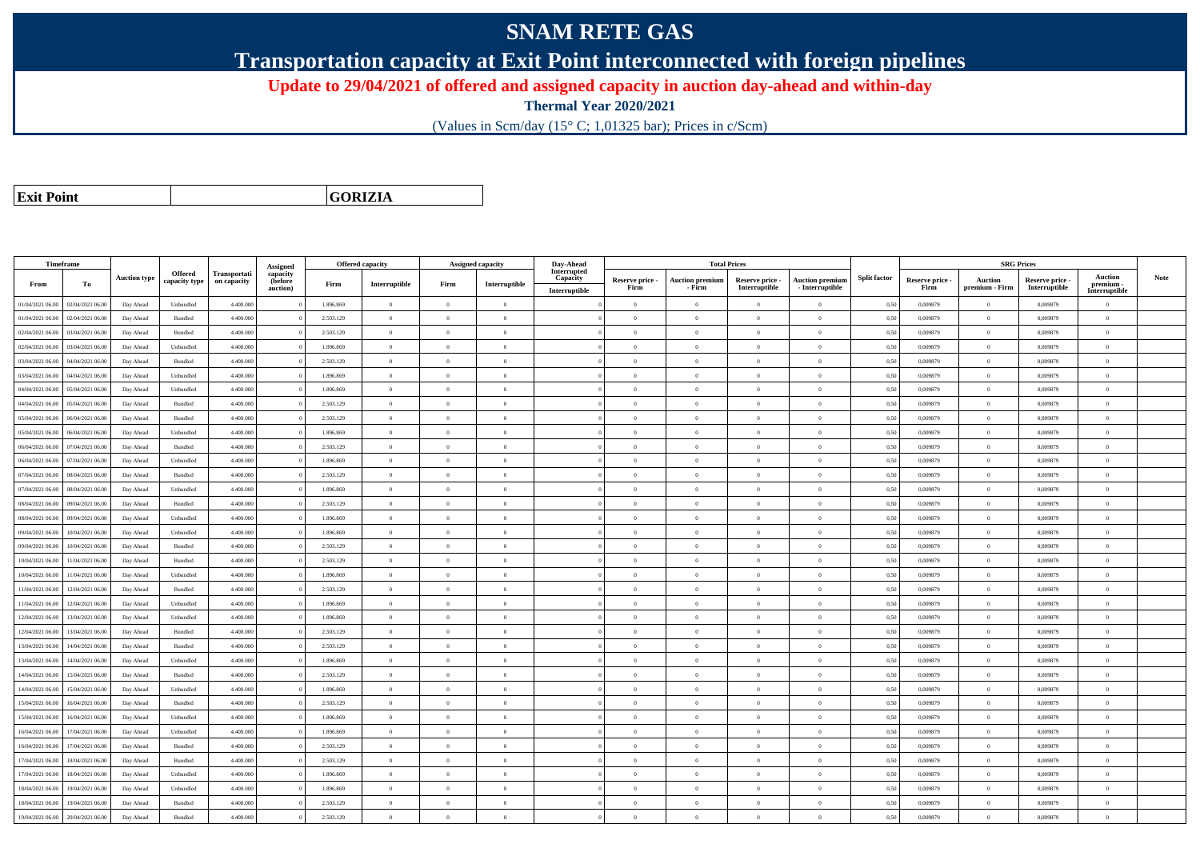## **SNAM RETE GAS**

**Transportation capacity at Exit Point interconnected with foreign pipelines**

**Update to 29/04/2021 of offered and assigned capacity in auction day-ahead and within-day**

**Thermal Year 2020/2021**

(Values in Scm/day (15° C; 1,01325 bar); Prices in c/Scm)

**Exit Point**

**GORIZIA**

|                  | Timeframe        |                     |                          |                                    | Assigned                        |           | <b>Offered capacity</b> |                | <b>Assigned capacity</b> | Day-Ahead                                |                         |                                  | <b>Total Prices</b>              |                                           |                     |                         |                           | <b>SRG Prices</b>                |                                              |      |
|------------------|------------------|---------------------|--------------------------|------------------------------------|---------------------------------|-----------|-------------------------|----------------|--------------------------|------------------------------------------|-------------------------|----------------------------------|----------------------------------|-------------------------------------------|---------------------|-------------------------|---------------------------|----------------------------------|----------------------------------------------|------|
| From             | To               | <b>Auction type</b> | Offered<br>capacity type | <b>Transportati</b><br>on capacity | capacity<br>(before<br>auction) | Firm      | Interruptible           | Firm           | Interruptible            | Interrupted<br>Capacity<br>Interruptible | Reserve price -<br>Firm | <b>Auction premiun</b><br>- Firm | Reserve price -<br>Interruptible | <b>Auction premium</b><br>- Interruptible | <b>Split factor</b> | Reserve price -<br>Firm | Auction<br>premium - Firm | Reserve price -<br>Interruptible | <b>Auction</b><br>premium -<br>Interruptible | Note |
| 01/04/2021 06:00 | 02/04/2021 06:00 | Day Ahead           | Unbundled                | 4.400.000                          |                                 | 1.896.869 | $\overline{0}$          | $\overline{0}$ | $\overline{0}$           |                                          | $\overline{0}$          | $\overline{0}$                   | $\overline{0}$                   | $\overline{0}$                            | 0,50                | 0,009879                | $\overline{0}$            | 0,009879                         | $\overline{0}$                               |      |
| 01/04/2021 06:00 | 02/04/2021 06:00 | Day Ahead           | Bundled                  | 4.400,000                          |                                 | 2.503.129 | $\overline{0}$          | $\Omega$       | $\Omega$                 |                                          | $\theta$                | $\theta$                         | $\Omega$                         | $\Omega$                                  | 0,50                | 0.009879                | $\Omega$                  | 0.009879                         | $\theta$                                     |      |
| 02/04/2021 06:00 | 03/04/2021 06:00 | Day Ahead           | Bundled                  | 4.400.000                          |                                 | 2.503.129 | $\overline{0}$          | $\overline{0}$ | $\theta$                 |                                          | $\theta$                | $\theta$                         | $\overline{0}$                   | $\bf{0}$                                  | 0,50                | 0,009879                | $\overline{0}$            | 0,009879                         | $\overline{0}$                               |      |
| 02/04/2021 06:00 | 03/04/2021 06:00 | Day Ahead           | Unbundled                | 4.400.000                          |                                 | 1.896.869 | $\overline{0}$          | $\overline{0}$ | $\overline{0}$           |                                          | $\theta$                | $\theta$                         | $\overline{0}$                   | $\bf{0}$                                  | 0,50                | 0,009879                | $\mathbf{0}$              | 0,009879                         | $\overline{0}$                               |      |
| 03/04/2021 06:00 | 04/04/2021 06:00 | Day Ahead           | Bundled                  | 4.400.000                          |                                 | 2.503.129 | $\,$ 0 $\,$             | $\overline{0}$ | $\overline{0}$           |                                          | $\overline{0}$          | $\theta$                         | $\overline{0}$                   | $\overline{0}$                            | 0,50                | 0.009879                | $\,$ 0 $\,$               | 0.009879                         | $\theta$                                     |      |
| 03/04/2021 06:00 | 04/04/2021 06.00 | Day Ahead           | Unbundled                | 4.400.000                          |                                 | 1.896.869 | $\overline{0}$          | $\Omega$       | $\Omega$                 |                                          | $\Omega$                | $\Omega$                         | $\Omega$                         | $\bf{0}$                                  | 0,50                | 0,009879                | $\mathbf{0}$              | 0,009879                         | $\theta$                                     |      |
| 04/04/2021 06:00 | 05/04/2021 06:00 | Day Ahead           | Unbundled                | 4,400,000                          |                                 | 1.896.869 | $\overline{0}$          | $\overline{0}$ | $\Omega$                 |                                          | $\Omega$                | $\theta$                         | $\overline{0}$                   | $\theta$                                  | 0,50                | 0.009879                | $\overline{0}$            | 0.009879                         | $\theta$                                     |      |
| 04/04/2021 06:00 | 05/04/2021 06:00 | Day Ahead           | Bundled                  | 4.400.000                          |                                 | 2.503.129 | $\overline{0}$          | $\Omega$       | $\Omega$                 |                                          | $\theta$                | $\theta$                         | $\overline{0}$                   | $\bf{0}$                                  | 0,50                | 0,009879                | $\mathbf{0}$              | 0,009879                         | $\theta$                                     |      |
| 05/04/2021 06:00 | 06/04/2021 06:00 | Day Ahead           | Bundled                  | 4.400,000                          |                                 | 2.503.129 | $\overline{0}$          | $\Omega$       | $\Omega$                 |                                          | $\theta$                | $\theta$                         | $\theta$                         | $\theta$                                  | 0.50                | 0.009879                | $\Omega$                  | 0.009879                         | $\theta$                                     |      |
| 05/04/2021 06:00 | 06/04/2021 06:00 | Day Ahead           | Unbundled                | 4.400.000                          |                                 | 1.896.869 | $\overline{0}$          | $\overline{0}$ | $\Omega$                 |                                          | $\theta$                | $\theta$                         | $\theta$                         | $\bf{0}$                                  | 0,50                | 0,009879                | $\mathbf{0}$              | 0,009879                         | $\overline{0}$                               |      |
| 06/04/2021 06:00 | 07/04/2021 06.00 | Day Ahead           | Bundled                  | 4.400.000                          |                                 | 2.503.129 | $\overline{0}$          | $\overline{0}$ | $\theta$                 |                                          | $\theta$                | $\overline{0}$                   | $\overline{0}$                   | $\bf{0}$                                  | 0,50                | 0,009879                | $\overline{0}$            | 0.009879                         | $\overline{0}$                               |      |
| 06/04/2021 06:00 | 07/04/2021 06:00 | Day Ahead           | Unbundled                | 4.400,000                          |                                 | 1.896.869 | $\overline{0}$          | $\Omega$       | $\Omega$                 |                                          | $\overline{0}$          | $\theta$                         | $\overline{0}$                   | $\overline{0}$                            | 0,50                | 0.009879                | $\,0\,$                   | 0.009879                         | $\theta$                                     |      |
| 07/04/2021 06:00 | 08/04/2021 06:00 | Day Ahead           | Bundled                  | 4.400.000                          |                                 | 2.503.129 | $\overline{0}$          | $\overline{0}$ | $\overline{0}$           |                                          | $\theta$                | $\theta$                         | $\overline{0}$                   | $\bf{0}$                                  | 0,50                | 0,009879                | $\theta$                  | 0,009879                         | $\overline{0}$                               |      |
| 07/04/2021 06:00 | 08/04/2021 06:00 | Day Ahead           | Unbundled                | 4.400.000                          |                                 | 1.896.869 | $\overline{0}$          | $\overline{0}$ | $\overline{0}$           |                                          | $\theta$                | $\theta$                         | $\overline{0}$                   | $\bf{0}$                                  | 0,50                | 0,009879                | $\mathbf{0}$              | 0,009879                         | $\overline{0}$                               |      |
| 08/04/2021 06:00 | 09/04/2021 06:00 | Day Ahead           | Bundled                  | 4.400.000                          |                                 | 2.503.129 | $\overline{0}$          | $\Omega$       | $\Omega$                 |                                          | $\theta$                | $\theta$                         | $\overline{0}$                   | $\bf{0}$                                  | 0,50                | 0,009879                | $\mathbf{0}$              | 0,009879                         | $\theta$                                     |      |
| 08/04/2021 06:00 | 09/04/2021 06:00 | Day Ahead           | Unbundled                | 4.400.000                          |                                 | 1.896.869 | $\overline{0}$          | $\Omega$       | $\Omega$                 |                                          | $\Omega$                | $\theta$                         | $\Omega$                         | $\Omega$                                  | 0,50                | 0,009879                | $\mathbf{0}$              | 0,009879                         | $\theta$                                     |      |
| 09/04/2021 06:00 | 10/04/2021 06:00 | Day Ahead           | Unbundled                | 4,400,000                          |                                 | 1.896.869 | $\overline{0}$          | $\overline{0}$ | $\Omega$                 |                                          | $\Omega$                | $\theta$                         | $\overline{0}$                   | $\theta$                                  | 0,50                | 0.009879                | $\overline{0}$            | 0.009879                         | $\theta$                                     |      |
| 09/04/2021 06:00 | 10/04/2021 06:00 | Day Ahead           | Bundled                  | 4.400.000                          |                                 | 2.503.129 | $\overline{0}$          | $\overline{0}$ | $\overline{0}$           |                                          | $\theta$                | $\theta$                         | $\overline{0}$                   | $\bf{0}$                                  | 0,50                | 0,009879                | $\mathbf{0}$              | 0,009879                         | $\overline{0}$                               |      |
| 10/04/2021 06:00 | 11/04/2021 06:00 | Day Ahead           | Bundled                  | 4,400,000                          |                                 | 2.503.129 | $\overline{0}$          | $\Omega$       | $\Omega$                 |                                          | $\theta$                | $\theta$                         | $\theta$                         | $\theta$                                  | 0.50                | 0.009879                | $\Omega$                  | 0.009879                         | $\theta$                                     |      |
| 10/04/2021 06:00 | 11/04/2021 06:00 | Day Ahead           | Unbundled                | 4,400,000                          |                                 | 1.896.869 | $\overline{0}$          | $\overline{0}$ | $\Omega$                 |                                          | $\Omega$                | $\theta$                         | $\Omega$                         | $\theta$                                  | 0.50                | 0.009879                | $\overline{0}$            | 0.009879                         | $\theta$                                     |      |
| 11/04/2021 06:00 | 12/04/2021 06:00 | Day Ahead           | Bundled                  | 4.400.000                          |                                 | 2.503.129 | $\overline{0}$          | $\Omega$       | $\theta$                 |                                          | $\theta$                | $\theta$                         | $\Omega$                         | $\theta$                                  | 0,50                | 0,009879                | $\Omega$                  | 0.009879                         | $\theta$                                     |      |
| 11/04/2021 06:00 | 12/04/2021 06:00 | Day Ahead           | Unbundled                | 4,400,000                          |                                 | 1.896.869 | $\overline{0}$          | $\Omega$       | $\Omega$                 |                                          | $\theta$                | $\theta$                         | $\theta$                         | $\Omega$                                  | 0,50                | 0.009879                | $\mathbf{0}$              | 0.009879                         | $\theta$                                     |      |
| 12/04/2021 06:00 | 13/04/2021 06:00 | Day Ahead           | Unbundled                | 4.400.000                          |                                 | 1.896.869 | $\overline{0}$          | $\overline{0}$ | $\Omega$                 |                                          | $\theta$                | $\mathbf{a}$                     | $\overline{0}$                   | $\bf{0}$                                  | 0,50                | 0,009879                | $\mathbf{0}$              | 0,009879                         | $\overline{0}$                               |      |
| 12/04/2021 06:00 | 13/04/2021 06:00 | Day Ahead           | Bundled                  | 4.400.000                          |                                 | 2.503.129 | $\overline{0}$          | $\overline{0}$ | $\overline{0}$           |                                          | $\theta$                | $\theta$                         | $\overline{0}$                   | $\overline{0}$                            | 0,50                | 0,009879                | $\mathbf{0}$              | 0,009879                         | $\overline{0}$                               |      |
| 13/04/2021 06:00 | 14/04/2021 06.00 | Day Ahead           | Bundled                  | 4.400.000                          |                                 | 2.503.129 | $\,$ 0 $\,$             | $\overline{0}$ | $\overline{0}$           |                                          | $\overline{0}$          | $\theta$                         | $\overline{0}$                   | $\overline{0}$                            | 0,50                | 0,009879                | $\bf{0}$                  | 0,009879                         | $\overline{0}$                               |      |
| 13/04/2021 06:00 | 14/04/2021 06.00 | Day Ahead           | Unbundled                | 4.400.000                          |                                 | 1.896.869 | $\overline{0}$          | $\overline{0}$ | $\overline{0}$           |                                          | $\theta$                | $\theta$                         | $\theta$                         | $\bf{0}$                                  | 0,50                | 0,009879                | $\overline{0}$            | 0,009879                         | $\overline{0}$                               |      |
| 14/04/2021 06:00 | 15/04/2021 06:00 | Day Ahead           | Bundled                  | 4,400,000                          |                                 | 2.503.129 | $\overline{0}$          | $\Omega$       | $\Omega$                 |                                          | $\theta$                | $\theta$                         | $\Omega$                         | $\theta$                                  | 0,50                | 0.009879                | $\mathbf{0}$              | 0.009879                         | $\theta$                                     |      |
| 14/04/2021 06:00 | 15/04/2021 06:00 | Day Ahead           | Unbundled                | 4.400.000                          |                                 | 1.896.869 | $\overline{0}$          | $\overline{0}$ | $\Omega$                 |                                          | $\theta$                | $\theta$                         | $\overline{0}$                   | $\bf{0}$                                  | 0,50                | 0,009879                | $\mathbf{0}$              | 0,009879                         | $\overline{0}$                               |      |
| 15/04/2021 06:00 | 16/04/2021 06:00 | Day Ahead           | Bundled                  | 4.400.000                          |                                 | 2.503.129 | $\overline{0}$          | $\Omega$       | $\Omega$                 |                                          | $\Omega$                | $\Omega$                         | $\Omega$                         | $\Omega$                                  | 0,50                | 0,009879                | $\theta$                  | 0,009879                         | $\theta$                                     |      |
| 15/04/2021 06:00 | 16/04/2021 06:00 | Day Ahead           | Unbundled                | 4.400,000                          |                                 | 1.896,869 | $\overline{0}$          | $\overline{0}$ | $\Omega$                 |                                          | $\Omega$                | $\theta$                         | $\overline{0}$                   | $\theta$                                  | 0,50                | 0.009879                | $\overline{0}$            | 0.009879                         | $\theta$                                     |      |
| 16/04/2021 06:00 | 17/04/2021 06:00 | Day Ahead           | Unbundled                | 4.400.000                          |                                 | 1.896.869 | $\overline{0}$          | $\overline{0}$ | $\theta$                 |                                          | $\theta$                | $\theta$                         | $\overline{0}$                   | $\bf{0}$                                  | 0,50                | 0,009879                | $\mathbf{0}$              | 0.009879                         | $\theta$                                     |      |
| 16/04/2021 06:00 | 17/04/2021 06:00 | Day Ahead           | Bundled                  | 4,400,000                          |                                 | 2.503.129 | $\overline{0}$          | $\overline{0}$ | $\overline{0}$           |                                          | $\theta$                | $\overline{0}$                   | $\overline{0}$                   | $\overline{0}$                            | 0.50                | 0.009879                | $\mathbf{0}$              | 0.009879                         | $\overline{0}$                               |      |
| 17/04/2021 06:00 | 18/04/2021 06:00 | Day Ahead           | Bundled                  | 4.400.000                          |                                 | 2.503.129 | $\overline{0}$          | $\overline{0}$ | $\overline{0}$           |                                          | $\theta$                | $\theta$                         | $\overline{0}$                   | $\bf{0}$                                  | 0,50                | 0,009879                | $\mathbf{0}$              | 0,009879                         | $\overline{0}$                               |      |
| 17/04/2021 06:00 | 18/04/2021 06:00 | Day Ahead           | Unbundled                | 4.400.000                          |                                 | 1.896.869 | $\overline{0}$          | $\overline{0}$ | $\overline{0}$           |                                          | $\theta$                | $\theta$                         | $\overline{0}$                   | $\bf{0}$                                  | 0,50                | 0,009879                | $\mathbf{0}$              | 0,009879                         | $\overline{0}$                               |      |
| 18/04/2021 06:00 | 19/04/2021 06:00 | Day Ahead           | Unbundled                | 4.400.000                          |                                 | 1.896.869 | $\overline{0}$          | $\Omega$       | $\Omega$                 |                                          | $\theta$                | $\theta$                         | $\Omega$                         | $\Omega$                                  | 0,50                | 0.009879                | $\mathbf{0}$              | 0.009879                         | $\theta$                                     |      |
| 18/04/2021 06:00 | 19/04/2021 06.0  | Day Ahead           | Bundled                  | 4.400.000                          |                                 | 2.503.129 | $\overline{0}$          | $\overline{0}$ | $\theta$                 |                                          | $\theta$                | $\theta$                         | $\overline{0}$                   | $\bf{0}$                                  | 0,50                | 0,009879                | $\theta$                  | 0,009879                         | $\overline{0}$                               |      |
| 19/04/2021 06:00 | 20/04/2021 06:00 | Day Ahead           | Bundled                  | 4,400,000                          |                                 | 2.503.129 | $\Omega$                | $\Omega$       | $\theta$                 |                                          | $\theta$                | $\theta$                         | $\Omega$                         | $\theta$                                  | 0,50                | 0.009879                | $\mathbf{0}$              | 0.009879                         | $\theta$                                     |      |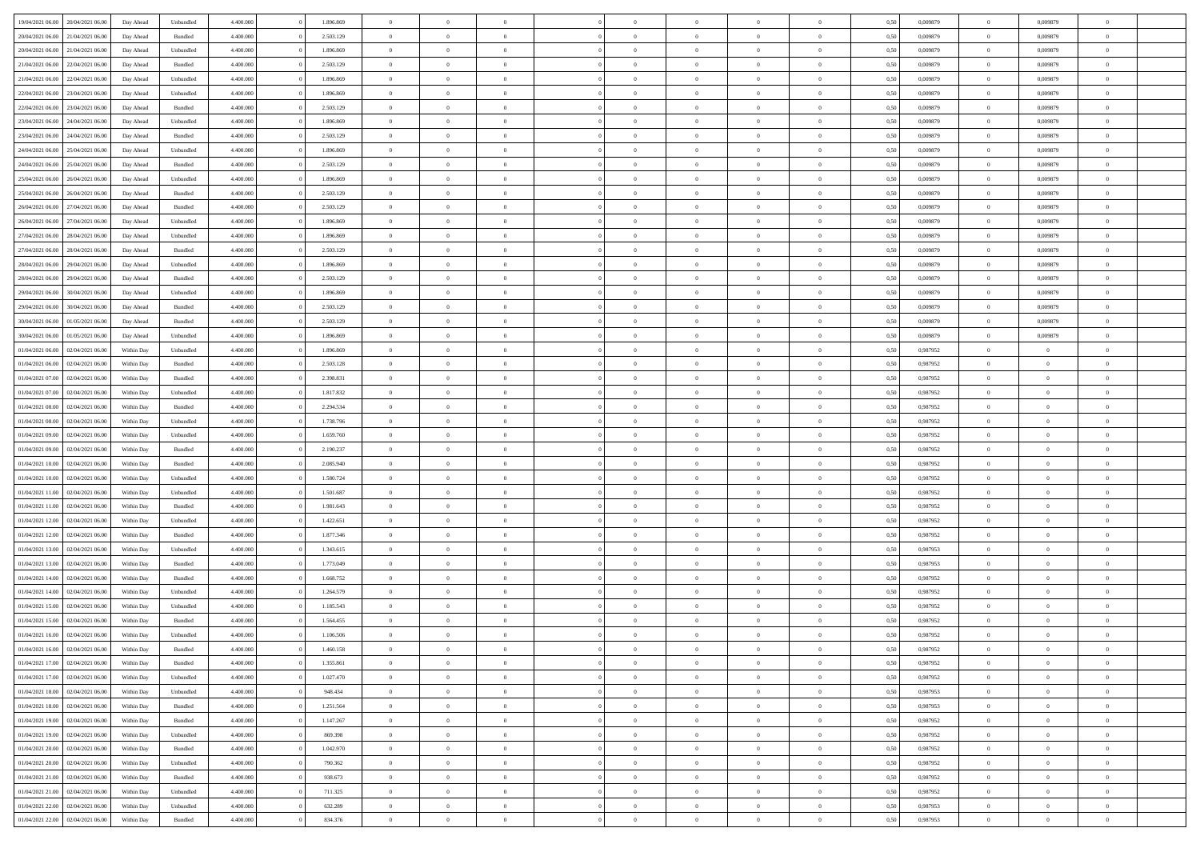| 19/04/2021 06:00                  | 20/04/2021 06:00 | Day Ahead  | Unbundled          | 4.400.000 | 1.896.869 | $\overline{0}$ | $\Omega$       |                |                | $\theta$       | $\Omega$       | $\Omega$       | 0,50 | 0,009879 | $\mathbf{0}$   | 0,009879       | $\Omega$       |  |
|-----------------------------------|------------------|------------|--------------------|-----------|-----------|----------------|----------------|----------------|----------------|----------------|----------------|----------------|------|----------|----------------|----------------|----------------|--|
| 20/04/2021 06:00                  | 21/04/2021 06:00 | Day Ahead  | Bundled            | 4.400.000 | 2.503.129 | $\overline{0}$ | $\overline{0}$ | $\overline{0}$ |                | $\overline{0}$ | $\overline{0}$ | $\theta$       | 0,50 | 0,009879 | $\bf{0}$       | 0,009879       | $\bf{0}$       |  |
| 20/04/2021 06:00                  | 21/04/2021 06:00 | Day Ahead  | Unbundled          | 4.400.000 | 1.896.869 | $\overline{0}$ | $\bf{0}$       | $\overline{0}$ | $\overline{0}$ | $\bf{0}$       | $\overline{0}$ | $\bf{0}$       | 0,50 | 0,009879 | $\bf{0}$       | 0,009879       | $\bf{0}$       |  |
| 21/04/2021 06:00                  | 22/04/2021 06:00 | Day Ahead  | Bundled            | 4.400.000 | 2.503.129 | $\overline{0}$ | $\overline{0}$ | $\overline{0}$ | $^{\circ}$     | $\overline{0}$ | $\overline{0}$ | $\bf{0}$       | 0.50 | 0,009879 | $\mathbf{0}$   | 0.009879       | $\overline{0}$ |  |
|                                   |                  |            |                    |           |           | $\overline{0}$ |                |                |                |                |                |                |      |          |                |                |                |  |
| 21/04/2021 06:00                  | 22/04/2021 06.00 | Day Ahead  | Unbundled          | 4.400.000 | 1.896.869 |                | $\overline{0}$ | $\overline{0}$ |                | $\overline{0}$ | $\overline{0}$ | $\theta$       | 0,50 | 0,009879 | $\bf{0}$       | 0,009879       | $\overline{0}$ |  |
| 22/04/2021 06:00                  | 23/04/2021 06:00 | Day Ahead  | Unbundled          | 4.400.000 | 1.896.869 | $\overline{0}$ | $\bf{0}$       | $\overline{0}$ | $\overline{0}$ | $\bf{0}$       | $\overline{0}$ | $\bf{0}$       | 0,50 | 0,009879 | $\overline{0}$ | 0,009879       | $\bf{0}$       |  |
| 22/04/2021 06:00                  | 23/04/2021 06:00 | Day Ahead  | Bundled            | 4.400.000 | 2.503.129 | $\overline{0}$ | $\overline{0}$ | $\overline{0}$ | $\Omega$       | $\overline{0}$ | $\overline{0}$ | $\overline{0}$ | 0,50 | 0,009879 | $\overline{0}$ | 0,009879       | $\overline{0}$ |  |
| 23/04/2021 06:00                  | 24/04/2021 06.00 | Day Ahead  | Unbundled          | 4.400.000 | 1.896.869 | $\overline{0}$ | $\overline{0}$ | $\overline{0}$ |                | $\overline{0}$ | $\overline{0}$ | $\theta$       | 0,50 | 0,009879 | $\bf{0}$       | 0,009879       | $\overline{0}$ |  |
| 23/04/2021 06:00                  | 24/04/2021 06.00 | Day Ahead  | Bundled            | 4.400.000 | 2.503.129 | $\overline{0}$ | $\overline{0}$ | $\overline{0}$ | $\overline{0}$ | $\bf{0}$       | $\overline{0}$ | $\bf{0}$       | 0,50 | 0,009879 | $\bf{0}$       | 0,009879       | $\bf{0}$       |  |
| 24/04/2021 06:00                  | 25/04/2021 06:00 | Day Ahead  | Unbundled          | 4.400.000 | 1.896.869 | $\overline{0}$ | $\overline{0}$ | $\overline{0}$ | $\Omega$       | $\overline{0}$ | $\overline{0}$ | $\overline{0}$ | 0.50 | 0,009879 | $\overline{0}$ | 0,009879       | $\overline{0}$ |  |
|                                   |                  |            |                    |           |           |                |                |                |                |                |                |                |      |          |                |                |                |  |
| 24/04/2021 06:00                  | 25/04/2021 06:00 | Day Ahead  | Bundled            | 4.400.000 | 2.503.129 | $\overline{0}$ | $\overline{0}$ | $\overline{0}$ | $\overline{0}$ | $\overline{0}$ | $\overline{0}$ | $\theta$       | 0,50 | 0,009879 | $\,0\,$        | 0,009879       | $\bf{0}$       |  |
| 25/04/2021 06:00                  | 26/04/2021 06:00 | Day Ahead  | Unbundled          | 4.400.000 | 1.896.869 | $\overline{0}$ | $\bf{0}$       | $\overline{0}$ | $\overline{0}$ | $\bf{0}$       | $\overline{0}$ | $\bf{0}$       | 0,50 | 0,009879 | $\bf{0}$       | 0,009879       | $\bf{0}$       |  |
| 25/04/2021 06:00                  | 26/04/2021 06:00 | Day Ahead  | Bundled            | 4.400.000 | 2.503.129 | $\overline{0}$ | $\overline{0}$ | $\overline{0}$ | $^{\circ}$     | $\overline{0}$ | $\overline{0}$ | $\bf{0}$       | 0.50 | 0,009879 | $\mathbf{0}$   | 0.009879       | $\overline{0}$ |  |
| 26/04/2021 06:00                  | 27/04/2021 06.00 | Day Ahead  | Bundled            | 4.400.000 | 2.503.129 | $\overline{0}$ | $\overline{0}$ | $\overline{0}$ |                | $\overline{0}$ | $\overline{0}$ | $\theta$       | 0,50 | 0,009879 | $\bf{0}$       | 0,009879       | $\overline{0}$ |  |
| 26/04/2021 06:00                  | 27/04/2021 06:00 | Day Ahead  | Unbundled          | 4.400.000 | 1.896.869 | $\overline{0}$ | $\bf{0}$       | $\overline{0}$ | $\overline{0}$ | $\bf{0}$       | $\overline{0}$ | $\bf{0}$       | 0,50 | 0,009879 | $\overline{0}$ | 0,009879       | $\bf{0}$       |  |
|                                   | 28/04/2021 06:00 |            | Unbundled          | 4.400.000 | 1.896.869 | $\overline{0}$ | $\overline{0}$ | $\overline{0}$ | $\Omega$       | $\overline{0}$ | $\overline{0}$ | $\bf{0}$       | 0,50 | 0,009879 | $\overline{0}$ | 0,009879       | $\overline{0}$ |  |
| 27/04/2021 06:00                  |                  | Day Ahead  |                    |           |           |                |                |                |                |                |                |                |      |          |                |                |                |  |
| 27/04/2021 06:00                  | 28/04/2021 06:00 | Day Ahead  | Bundled            | 4.400.000 | 2.503.129 | $\overline{0}$ | $\overline{0}$ | $\overline{0}$ | $\overline{0}$ | $\overline{0}$ | $\overline{0}$ | $\theta$       | 0,50 | 0,009879 | $\bf{0}$       | 0,009879       | $\overline{0}$ |  |
| 28/04/2021 06:00                  | 29/04/2021 06.00 | Day Ahead  | Unbundled          | 4.400.000 | 1.896.869 | $\overline{0}$ | $\overline{0}$ | $\overline{0}$ | $\overline{0}$ | $\bf{0}$       | $\overline{0}$ | $\bf{0}$       | 0,50 | 0,009879 | $\bf{0}$       | 0,009879       | $\bf{0}$       |  |
| 28/04/2021 06:00                  | 29/04/2021 06:00 | Day Ahead  | Bundled            | 4.400.000 | 2.503.129 | $\overline{0}$ | $\overline{0}$ | $\overline{0}$ | $\Omega$       | $\overline{0}$ | $\overline{0}$ | $\bf{0}$       | 0.50 | 0,009879 | $\mathbf{0}$   | 0,009879       | $\overline{0}$ |  |
| 29/04/2021 06:00                  | 30/04/2021 06:00 | Day Ahead  | Unbundled          | 4.400.000 | 1.896.869 | $\overline{0}$ | $\overline{0}$ | $\overline{0}$ | $\overline{0}$ | $\overline{0}$ | $\overline{0}$ | $\theta$       | 0,50 | 0,009879 | $\,0\,$        | 0,009879       | $\bf{0}$       |  |
| 29/04/2021 06:00                  | 30/04/2021 06:00 | Day Ahead  | Bundled            | 4.400.000 | 2.503.129 | $\overline{0}$ | $\bf{0}$       | $\overline{0}$ | $\overline{0}$ | $\bf{0}$       | $\overline{0}$ | $\bf{0}$       | 0,50 | 0,009879 | $\bf{0}$       | 0,009879       | $\bf{0}$       |  |
| 30/04/2021 06:00                  | 01/05/2021 06:00 | Day Ahead  | Bundled            | 4.400.000 | 2.503.129 | $\overline{0}$ | $\overline{0}$ | $\overline{0}$ | $^{\circ}$     | $\overline{0}$ | $\overline{0}$ | $\bf{0}$       | 0.50 | 0,009879 | $\mathbf{0}$   | 0.009879       | $\overline{0}$ |  |
|                                   |                  |            |                    |           |           |                |                |                |                |                |                |                |      |          |                |                |                |  |
| 30/04/2021 06:00                  | 01/05/2021 06:00 | Day Ahead  | Unbundled          | 4.400.000 | 1.896.869 | $\overline{0}$ | $\overline{0}$ | $\overline{0}$ |                | $\overline{0}$ | $\overline{0}$ | $\theta$       | 0,50 | 0,009879 | $\bf{0}$       | 0,009879       | $\overline{0}$ |  |
| 01/04/2021 06:00                  | 02/04/2021 06.00 | Within Day | Unbundled          | 4.400.000 | 1.896.869 | $\overline{0}$ | $\bf{0}$       | $\overline{0}$ | $\overline{0}$ | $\bf{0}$       | $\overline{0}$ | $\bf{0}$       | 0,50 | 0,987952 | $\bf{0}$       | $\bf{0}$       | $\bf{0}$       |  |
| 01/04/2021 06:00                  | 02/04/2021 06:00 | Within Dav | Bundled            | 4.400.000 | 2.503.128 | $\overline{0}$ | $\overline{0}$ | $\overline{0}$ | $\Omega$       | $\overline{0}$ | $\overline{0}$ | $\bf{0}$       | 0.50 | 0,987952 | $\mathbf{0}$   | $\overline{0}$ | $\overline{0}$ |  |
| 01/04/2021 07:00                  | 02/04/2021 06:00 | Within Day | Bundled            | 4.400.000 | 2.398.831 | $\overline{0}$ | $\overline{0}$ | $\overline{0}$ | $\overline{0}$ | $\overline{0}$ | $\overline{0}$ | $\theta$       | 0,50 | 0,987952 | $\bf{0}$       | $\overline{0}$ | $\overline{0}$ |  |
| 01/04/2021 07:00                  | 02/04/2021 06.00 | Within Day | Unbundled          | 4.400.000 | 1.817.832 | $\overline{0}$ | $\overline{0}$ | $\overline{0}$ | $\overline{0}$ | $\,$ 0 $\,$    | $\overline{0}$ | $\bf{0}$       | 0,50 | 0,987952 | $\bf{0}$       | $\overline{0}$ | $\bf{0}$       |  |
| 01/04/2021 08:00                  | 02/04/2021 06:00 | Within Day | Bundled            | 4.400.000 | 2.294.534 | $\overline{0}$ | $\overline{0}$ | $\overline{0}$ | $\Omega$       | $\overline{0}$ | $\overline{0}$ | $\bf{0}$       | 0.50 | 0,987952 | $\mathbf{0}$   | $\overline{0}$ | $\overline{0}$ |  |
|                                   |                  |            |                    |           |           |                |                |                |                |                |                |                |      |          |                |                |                |  |
| 01/04/2021 08:00                  | 02/04/2021 06:00 | Within Day | Unbundled          | 4.400.000 | 1.738.796 | $\overline{0}$ | $\overline{0}$ | $\overline{0}$ | $\overline{0}$ | $\overline{0}$ | $\overline{0}$ | $\theta$       | 0,50 | 0,987952 | $\,$ 0 $\,$    | $\overline{0}$ | $\overline{0}$ |  |
| 01/04/2021 09:00                  | 02/04/2021 06.00 | Within Day | Unbundled          | 4.400.000 | 1.659.760 | $\overline{0}$ | $\bf{0}$       | $\overline{0}$ | $\overline{0}$ | $\bf{0}$       | $\overline{0}$ | $\bf{0}$       | 0,50 | 0,987952 | $\bf{0}$       | $\bf{0}$       | $\bf{0}$       |  |
| 01/04/2021 09:00                  | 02/04/2021 06.00 | Within Day | Bundled            | 4,400,000 | 2.190.237 | $\overline{0}$ | $\Omega$       | $\Omega$       | $^{\circ}$     | $\theta$       | $\overline{0}$ | $\theta$       | 0.50 | 0,987952 | $\,$ 0 $\,$    | $\overline{0}$ | $\Omega$       |  |
| 01/04/2021 10:00                  | 02/04/2021 06:00 | Within Day | Bundled            | 4.400.000 | 2.085.940 | $\overline{0}$ | $\overline{0}$ | $\overline{0}$ |                | $\overline{0}$ | $\overline{0}$ | $\theta$       | 0,50 | 0,987952 | $\bf{0}$       | $\overline{0}$ | $\overline{0}$ |  |
| 01/04/2021 10:00                  | 02/04/2021 06:00 | Within Day | Unbundled          | 4.400.000 | 1.580.724 | $\overline{0}$ | $\bf{0}$       | $\overline{0}$ | $\overline{0}$ | $\bf{0}$       | $\overline{0}$ | $\bf{0}$       | 0,50 | 0,987952 | $\bf{0}$       | $\bf{0}$       | $\bf{0}$       |  |
| 01/04/2021 11:00                  | 02/04/2021 06:00 | Within Day | Unbundled          | 4.400,000 | 1.501.687 | $\overline{0}$ | $\Omega$       | $\Omega$       | $\Omega$       | $\theta$       | $\overline{0}$ | $\mathbf{0}$   | 0.50 | 0,987952 | $\,$ 0 $\,$    | $\overline{0}$ | $\theta$       |  |
| 01/04/2021 11:00                  | 02/04/2021 06:00 | Within Day | Bundled            | 4.400.000 | 1.981.643 | $\overline{0}$ | $\overline{0}$ | $\overline{0}$ | $\overline{0}$ | $\overline{0}$ | $\overline{0}$ | $\theta$       | 0,50 | 0,987952 | $\bf{0}$       | $\overline{0}$ | $\bf{0}$       |  |
|                                   |                  |            |                    |           |           |                |                |                |                |                |                |                |      |          |                |                |                |  |
| 01/04/2021 12:00                  | 02/04/2021 06.00 | Within Day | Unbundled          | 4.400.000 | 1.422.651 | $\overline{0}$ | $\bf{0}$       | $\overline{0}$ | $\overline{0}$ | $\bf{0}$       | $\overline{0}$ | $\bf{0}$       | 0,50 | 0,987952 | $\bf{0}$       | $\overline{0}$ | $\bf{0}$       |  |
| 01/04/2021 12:00                  | 02/04/2021 06:00 | Within Day | Bundled            | 4,400,000 | 1.877.346 | $\overline{0}$ | $\Omega$       | $\Omega$       | $\Omega$       | $\theta$       | $\overline{0}$ | $\mathbf{0}$   | 0.50 | 0.987952 | $\mathbf{0}$   | $\Omega$       | $\theta$       |  |
| 01/04/2021 13:00                  | 02/04/2021 06:00 | Within Day | Unbundled          | 4.400.000 | 1.343.615 | $\overline{0}$ | $\overline{0}$ | $\overline{0}$ | $\overline{0}$ | $\overline{0}$ | $\overline{0}$ | $\theta$       | 0,50 | 0,987953 | $\,$ 0 $\,$    | $\overline{0}$ | $\bf{0}$       |  |
| 01/04/2021 13:00                  | 02/04/2021 06:00 | Within Day | Bundled            | 4.400.000 | 1.773.049 | $\overline{0}$ | $\bf{0}$       | $\overline{0}$ | $\overline{0}$ | $\bf{0}$       | $\overline{0}$ | $\bf{0}$       | 0,50 | 0,987953 | $\bf{0}$       | $\bf{0}$       | $\bf{0}$       |  |
| 01/04/2021 14:00                  | 02/04/2021 06.00 | Within Day | Bundled            | 4,400,000 | 1.668.752 | $\overline{0}$ | $\Omega$       | $\Omega$       | $^{\circ}$     | $\theta$       | $\overline{0}$ | $\theta$       | 0.50 | 0,987952 | $\,$ 0 $\,$    | $\overline{0}$ | $\Omega$       |  |
| 01/04/2021 14:00                  | 02/04/2021 06:00 | Within Day | Unbundled          | 4.400.000 | 1.264.579 | $\overline{0}$ | $\overline{0}$ | $\overline{0}$ | $\overline{0}$ | $\overline{0}$ | $\overline{0}$ | $\bf{0}$       | 0,50 | 0,987952 | $\,$ 0 $\,$    | $\overline{0}$ | $\overline{0}$ |  |
|                                   |                  |            |                    |           |           |                |                |                |                |                |                |                |      |          |                |                |                |  |
| 01/04/2021 15:00                  | 02/04/2021 06.00 | Within Day | Unbundled          | 4.400.000 | 1.185.543 | $\overline{0}$ | $\bf{0}$       | $\overline{0}$ | $\overline{0}$ | $\bf{0}$       | $\overline{0}$ | $\bf{0}$       | 0,50 | 0,987952 | $\mathbf{0}$   | $\bf{0}$       | $\bf{0}$       |  |
| 01/04/2021 15:00                  | 02/04/2021 06:00 | Within Day | Bundled            | 4,400,000 | 1.564.455 | $\overline{0}$ | $\Omega$       | $\Omega$       | $^{\circ}$     | $\Omega$       | $\overline{0}$ | $\theta$       | 0.50 | 0.987952 | $\overline{0}$ | $\overline{0}$ | $\theta$       |  |
| 01/04/2021 16:00                  | 02/04/2021 06:00 | Within Day | Unbundled          | 4.400.000 | 1.106.506 | $\overline{0}$ | $\bf{0}$       | $\overline{0}$ | $\overline{0}$ | $\bf{0}$       | $\overline{0}$ | $\bf{0}$       | 0,50 | 0,987952 | $\bf{0}$       | $\bf{0}$       | $\bf{0}$       |  |
| 01/04/2021 16:00 02/04/2021 06:00 |                  | Within Day | Bundled            | 4.400.000 | 1.460.158 | $\bf{0}$       | $\bf{0}$       |                |                |                |                |                | 0,50 | 0,987952 | $\bf{0}$       |                |                |  |
| 01/04/2021 17:00                  | 02/04/2021 06:00 | Within Day | Bundled            | 4.400.000 | 1.355.861 | $\overline{0}$ | $\overline{0}$ | $\Omega$       | $\Omega$       | $\overline{0}$ | $\overline{0}$ | $\mathbf{0}$   | 0.50 | 0,987952 | $\overline{0}$ | $\overline{0}$ | $\overline{0}$ |  |
| 01/04/2021 17:00                  | 02/04/2021 06:00 | Within Day | Unbundled          | 4.400.000 | 1.027.470 | $\overline{0}$ | $\,$ 0 $\,$    | $\overline{0}$ | $\overline{0}$ | $\,$ 0         | $\overline{0}$ | $\bf{0}$       | 0,50 | 0,987952 | $\bf{0}$       | $\,$ 0 $\,$    | $\bf{0}$       |  |
| 01/04/2021 18:00                  | 02/04/2021 06:00 | Within Day | Unbundled          | 4.400.000 | 948.434   | $\overline{0}$ | $\overline{0}$ | $\overline{0}$ | $\overline{0}$ | $\overline{0}$ | $\overline{0}$ | $\bf{0}$       | 0,50 | 0,987953 | $\overline{0}$ | $\overline{0}$ | $\bf{0}$       |  |
|                                   |                  |            |                    |           |           |                |                |                |                |                |                |                |      |          |                |                |                |  |
| 01/04/2021 18:00                  | 02/04/2021 06:00 | Within Day | $\mathbf B$ undled | 4.400,000 | 1.251.564 | $\overline{0}$ | $\overline{0}$ | $\overline{0}$ | $\Omega$       | $\overline{0}$ | $\overline{0}$ | $\mathbf{0}$   | 0.50 | 0,987953 | $\,$ 0 $\,$    | $\bf{0}$       | $\bf{0}$       |  |
| 01/04/2021 19:00                  | 02/04/2021 06:00 | Within Day | Bundled            | 4.400.000 | 1.147.267 | $\overline{0}$ | $\,$ 0 $\,$    | $\overline{0}$ | $\overline{0}$ | $\,$ 0         | $\overline{0}$ | $\bf{0}$       | 0,50 | 0,987952 | $\bf{0}$       | $\overline{0}$ | $\bf{0}$       |  |
| 01/04/2021 19:00                  | 02/04/2021 06:00 | Within Day | Unbundled          | 4.400.000 | 869.398   | $\overline{0}$ | $\overline{0}$ | $\overline{0}$ | $\overline{0}$ | $\overline{0}$ | $\overline{0}$ | $\bf{0}$       | 0,50 | 0,987952 | $\overline{0}$ | $\overline{0}$ | $\bf{0}$       |  |
| 01/04/2021 20:00                  | 02/04/2021 06:00 | Within Day | Bundled            | 4.400,000 | 1.042.970 | $\overline{0}$ | $\overline{0}$ | $\overline{0}$ | $\Omega$       | $\overline{0}$ | $\overline{0}$ | $\mathbf{0}$   | 0.50 | 0,987952 | $\overline{0}$ | $\bf{0}$       | $\overline{0}$ |  |
| 01/04/2021 20:00                  | 02/04/2021 06:00 | Within Day | Unbundled          | 4.400.000 | 790.362   | $\overline{0}$ | $\,$ 0 $\,$    | $\overline{0}$ | $\overline{0}$ | $\bf{0}$       | $\overline{0}$ | $\bf{0}$       | 0,50 | 0,987952 | $\,$ 0 $\,$    | $\bf{0}$       | $\bf{0}$       |  |
| 01/04/2021 21:00                  | 02/04/2021 06:00 | Within Day | Bundled            | 4.400.000 | 938.673   | $\overline{0}$ | $\overline{0}$ | $\overline{0}$ | $\overline{0}$ | $\overline{0}$ | $\overline{0}$ | $\bf{0}$       | 0,50 | 0,987952 | $\overline{0}$ | $\bf{0}$       | $\bf{0}$       |  |
|                                   | 02/04/2021 06:00 |            |                    | 4.400,000 |           | $\overline{0}$ | $\overline{0}$ | $\overline{0}$ | $\Omega$       | $\overline{0}$ |                | $\mathbf{0}$   | 0.50 |          | $\bf{0}$       | $\overline{0}$ | $\overline{0}$ |  |
| 01/04/2021 21:00                  |                  | Within Day | Unbundled          |           | 711.325   |                |                |                |                |                | $\overline{0}$ |                |      | 0,987952 |                |                |                |  |
| 01/04/2021 22.00                  | 02/04/2021 06:00 | Within Day | Unbundled          | 4.400.000 | 632.289   | $\overline{0}$ | $\,$ 0 $\,$    | $\overline{0}$ | $\overline{0}$ | $\,$ 0 $\,$    | $\overline{0}$ | $\bf{0}$       | 0,50 | 0,987953 | $\,$ 0 $\,$    | $\,$ 0 $\,$    | $\bf{0}$       |  |
| 01/04/2021 22.00                  | 02/04/2021 06:00 | Within Day | Bundled            | 4.400.000 | 834.376   | $\overline{0}$ | $\overline{0}$ | $\overline{0}$ | $\overline{0}$ | $\bf{0}$       | $\overline{0}$ | $\bf{0}$       | 0,50 | 0,987953 | $\overline{0}$ | $\overline{0}$ | $\bf{0}$       |  |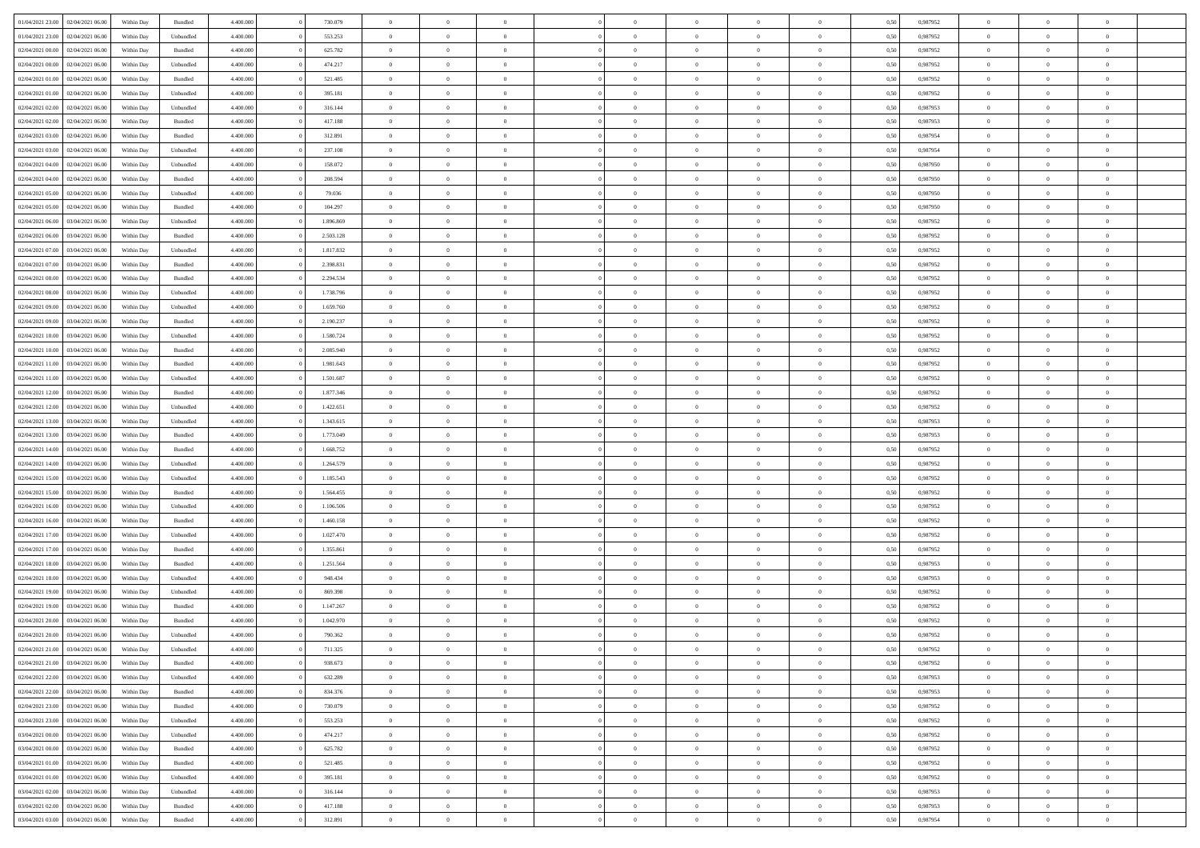| 01/04/2021 23:00 | 02/04/2021 06:00 | Within Day | Bundled            | 4.400.000 | 730.079   | $\overline{0}$ | $\Omega$       |                | $\Omega$       | $\Omega$       | $\theta$       | $\theta$       | 0.50 | 0,987952 | $\theta$       | $\theta$       | $\theta$       |  |
|------------------|------------------|------------|--------------------|-----------|-----------|----------------|----------------|----------------|----------------|----------------|----------------|----------------|------|----------|----------------|----------------|----------------|--|
| 01/04/2021 23:00 | 02/04/2021 06:00 | Within Day | Unbundled          | 4.400.000 | 553.253   | $\overline{0}$ | $\theta$       | $\overline{0}$ | $\overline{0}$ | $\bf{0}$       | $\overline{0}$ | $\bf{0}$       | 0,50 | 0,987952 | $\theta$       | $\overline{0}$ | $\overline{0}$ |  |
| 02/04/2021 00:00 | 02/04/2021 06:00 | Within Day | Bundled            | 4.400.000 | 625.782   | $\overline{0}$ | $\overline{0}$ | $\overline{0}$ | $\overline{0}$ | $\bf{0}$       | $\overline{0}$ | $\mathbf{0}$   | 0,50 | 0,987952 | $\overline{0}$ | $\overline{0}$ | $\bf{0}$       |  |
| 02/04/2021 00:00 | 02/04/2021 06:00 | Within Day | Unbundled          | 4.400.000 | 474.217   | $\overline{0}$ | $\overline{0}$ | $\overline{0}$ | $\overline{0}$ | $\bf{0}$       | $\overline{0}$ | $\overline{0}$ | 0.50 | 0,987952 | $\theta$       | $\theta$       | $\overline{0}$ |  |
| 02/04/2021 01:00 | 02/04/2021 06:00 | Within Day | Bundled            | 4.400.000 | 521.485   | $\overline{0}$ | $\theta$       | $\overline{0}$ | $\overline{0}$ | $\bf{0}$       | $\overline{0}$ | $\bf{0}$       | 0,50 | 0,987952 | $\theta$       | $\overline{0}$ | $\overline{0}$ |  |
|                  |                  |            |                    |           |           |                |                |                |                |                |                |                |      |          |                |                |                |  |
| 02/04/2021 01:00 | 02/04/2021 06:00 | Within Day | Unbundled          | 4.400.000 | 395.181   | $\overline{0}$ | $\overline{0}$ | $\overline{0}$ | $\bf{0}$       | $\overline{0}$ | $\overline{0}$ | $\mathbf{0}$   | 0,50 | 0,987952 | $\overline{0}$ | $\overline{0}$ | $\bf{0}$       |  |
| 02/04/2021 02:00 | 02/04/2021 06:00 | Within Dav | Unbundled          | 4.400.000 | 316.144   | $\overline{0}$ | $\overline{0}$ | $\overline{0}$ | $\overline{0}$ | $\overline{0}$ | $\overline{0}$ | $\overline{0}$ | 0.50 | 0,987953 | $\theta$       | $\overline{0}$ | $\overline{0}$ |  |
| 02/04/2021 02:00 | 02/04/2021 06:00 | Within Day | Bundled            | 4.400.000 | 417.188   | $\overline{0}$ | $\theta$       | $\overline{0}$ | $\overline{0}$ | $\bf{0}$       | $\overline{0}$ | $\bf{0}$       | 0,50 | 0,987953 | $\theta$       | $\theta$       | $\overline{0}$ |  |
| 02/04/2021 03:00 | 02/04/2021 06.00 | Within Day | Bundled            | 4.400.000 | 312.891   | $\overline{0}$ | $\overline{0}$ | $\overline{0}$ | $\bf{0}$       | $\bf{0}$       | $\bf{0}$       | $\bf{0}$       | 0,50 | 0,987954 | $\,0\,$        | $\overline{0}$ | $\overline{0}$ |  |
| 02/04/2021 03:00 | 02/04/2021 06:00 | Within Dav | Unbundled          | 4.400.000 | 237.108   | $\overline{0}$ | $\overline{0}$ | $\overline{0}$ | $\overline{0}$ | $\overline{0}$ | $\overline{0}$ | $\overline{0}$ | 0.50 | 0,987954 | $\theta$       | $\overline{0}$ | $\overline{0}$ |  |
| 02/04/2021 04:00 | 02/04/2021 06:00 | Within Day | Unbundled          | 4.400.000 | 158.072   | $\overline{0}$ | $\theta$       | $\overline{0}$ | $\overline{0}$ | $\bf{0}$       | $\overline{0}$ | $\bf{0}$       | 0,50 | 0,987950 | $\,$ 0 $\,$    | $\overline{0}$ | $\overline{0}$ |  |
| 02/04/2021 04:00 | 02/04/2021 06:00 | Within Day | Bundled            | 4.400.000 | 208.594   | $\overline{0}$ | $\overline{0}$ | $\overline{0}$ | $\bf{0}$       | $\bf{0}$       | $\bf{0}$       | $\mathbf{0}$   | 0,50 | 0,987950 | $\overline{0}$ | $\overline{0}$ | $\bf{0}$       |  |
|                  |                  |            |                    |           |           |                |                |                |                |                |                |                |      |          |                |                |                |  |
| 02/04/2021 05:00 | 02/04/2021 06:00 | Within Day | Unbundled          | 4.400.000 | 79.036    | $\overline{0}$ | $\overline{0}$ | $\overline{0}$ | $\overline{0}$ | $\bf{0}$       | $\overline{0}$ | $\overline{0}$ | 0.50 | 0,987950 | $\theta$       | $\theta$       | $\overline{0}$ |  |
| 02/04/2021 05:00 | 02/04/2021 06:00 | Within Day | Bundled            | 4.400.000 | 104.297   | $\overline{0}$ | $\theta$       | $\overline{0}$ | $\overline{0}$ | $\bf{0}$       | $\overline{0}$ | $\bf{0}$       | 0,50 | 0,987950 | $\theta$       | $\overline{0}$ | $\overline{0}$ |  |
| 02/04/2021 06:00 | 03/04/2021 06:00 | Within Day | Unbundled          | 4.400.000 | 1.896.869 | $\overline{0}$ | $\overline{0}$ | $\overline{0}$ | $\bf{0}$       | $\overline{0}$ | $\overline{0}$ | $\mathbf{0}$   | 0,50 | 0,987952 | $\bf{0}$       | $\overline{0}$ | $\bf{0}$       |  |
| 02/04/2021 06:00 | 03/04/2021 06:00 | Within Dav | Bundled            | 4.400.000 | 2.503.128 | $\overline{0}$ | $\overline{0}$ | $\overline{0}$ | $\overline{0}$ | $\overline{0}$ | $\overline{0}$ | $\overline{0}$ | 0.50 | 0,987952 | $\theta$       | $\overline{0}$ | $\overline{0}$ |  |
| 02/04/2021 07:00 | 03/04/2021 06:00 | Within Day | Unbundled          | 4.400.000 | 1.817.832 | $\overline{0}$ | $\theta$       | $\overline{0}$ | $\overline{0}$ | $\bf{0}$       | $\overline{0}$ | $\bf{0}$       | 0,50 | 0,987952 | $\theta$       | $\theta$       | $\overline{0}$ |  |
| 02/04/2021 07:00 | 03/04/2021 06:00 | Within Day | Bundled            | 4.400.000 | 2.398.831 | $\overline{0}$ | $\overline{0}$ | $\overline{0}$ | $\bf{0}$       | $\bf{0}$       | $\bf{0}$       | $\mathbf{0}$   | 0,50 | 0,987952 | $\,0\,$        | $\overline{0}$ | $\bf{0}$       |  |
| 02/04/2021 08:00 | 03/04/2021 06:00 | Within Dav | Bundled            | 4.400.000 | 2.294.534 | $\overline{0}$ | $\overline{0}$ | $\overline{0}$ | $\overline{0}$ | $\overline{0}$ | $\overline{0}$ | $\overline{0}$ | 0.50 | 0,987952 | $\theta$       | $\overline{0}$ | $\overline{0}$ |  |
|                  |                  |            |                    |           |           |                |                |                |                |                |                |                |      |          |                |                |                |  |
| 02/04/2021 08:00 | 03/04/2021 06:00 | Within Day | Unbundled          | 4.400.000 | 1.738.796 | $\overline{0}$ | $\theta$       | $\overline{0}$ | $\overline{0}$ | $\bf{0}$       | $\overline{0}$ | $\bf{0}$       | 0,50 | 0,987952 | $\,$ 0 $\,$    | $\overline{0}$ | $\overline{0}$ |  |
| 02/04/2021 09:00 | 03/04/2021 06:00 | Within Day | Unbundled          | 4.400.000 | 1.659.760 | $\overline{0}$ | $\overline{0}$ | $\overline{0}$ | $\bf{0}$       | $\bf{0}$       | $\bf{0}$       | $\mathbf{0}$   | 0,50 | 0,987952 | $\bf{0}$       | $\overline{0}$ | $\bf{0}$       |  |
| 02/04/2021 09:00 | 03/04/2021 06:00 | Within Day | Bundled            | 4.400.000 | 2.190.237 | $\overline{0}$ | $\overline{0}$ | $\overline{0}$ | $\overline{0}$ | $\bf{0}$       | $\overline{0}$ | $\overline{0}$ | 0.50 | 0,987952 | $\theta$       | $\overline{0}$ | $\overline{0}$ |  |
| 02/04/2021 10:00 | 03/04/2021 06:00 | Within Day | Unbundled          | 4.400.000 | 1.580.724 | $\overline{0}$ | $\theta$       | $\overline{0}$ | $\overline{0}$ | $\bf{0}$       | $\overline{0}$ | $\bf{0}$       | 0,50 | 0,987952 | $\,$ 0 $\,$    | $\overline{0}$ | $\overline{0}$ |  |
| 02/04/2021 10:00 | 03/04/2021 06:00 | Within Day | Bundled            | 4.400.000 | 2.085.940 | $\overline{0}$ | $\overline{0}$ | $\overline{0}$ | $\bf{0}$       | $\overline{0}$ | $\overline{0}$ | $\mathbf{0}$   | 0,50 | 0,987952 | $\bf{0}$       | $\overline{0}$ | $\bf{0}$       |  |
| 02/04/2021 11:00 | 03/04/2021 06:00 | Within Dav | Bundled            | 4.400.000 | 1.981.643 | $\overline{0}$ | $\overline{0}$ | $\overline{0}$ | $\overline{0}$ | $\overline{0}$ | $\overline{0}$ | $\overline{0}$ | 0.50 | 0,987952 | $\theta$       | $\overline{0}$ | $\overline{0}$ |  |
| 02/04/2021 11:00 | 03/04/2021 06:00 |            |                    | 4.400.000 | 1.501.687 | $\overline{0}$ | $\theta$       | $\overline{0}$ | $\overline{0}$ | $\bf{0}$       | $\overline{0}$ |                |      | 0,987952 | $\theta$       | $\theta$       | $\overline{0}$ |  |
|                  |                  | Within Day | Unbundled          |           |           |                |                |                |                |                |                | $\bf{0}$       | 0,50 |          |                |                |                |  |
| 02/04/2021 12:00 | 03/04/2021 06:00 | Within Day | Bundled            | 4.400.000 | 1.877.346 | $\overline{0}$ | $\overline{0}$ | $\overline{0}$ | $\bf{0}$       | $\bf{0}$       | $\bf{0}$       | $\bf{0}$       | 0,50 | 0,987952 | $\,0\,$        | $\overline{0}$ | $\overline{0}$ |  |
| 02/04/2021 12:00 | 03/04/2021 06:00 | Within Day | Unbundled          | 4.400.000 | 1.422.651 | $\overline{0}$ | $\overline{0}$ | $\overline{0}$ | $\overline{0}$ | $\overline{0}$ | $\overline{0}$ | $\overline{0}$ | 0.50 | 0,987952 | $\theta$       | $\overline{0}$ | $\overline{0}$ |  |
| 02/04/2021 13:00 | 03/04/2021 06:00 | Within Day | Unbundled          | 4.400.000 | 1.343.615 | $\overline{0}$ | $\theta$       | $\overline{0}$ | $\overline{0}$ | $\bf{0}$       | $\overline{0}$ | $\bf{0}$       | 0,50 | 0,987953 | $\,$ 0 $\,$    | $\overline{0}$ | $\overline{0}$ |  |
| 02/04/2021 13:00 | 03/04/2021 06:00 | Within Day | Bundled            | 4.400.000 | 1.773.049 | $\overline{0}$ | $\overline{0}$ | $\overline{0}$ | $\bf{0}$       | $\bf{0}$       | $\bf{0}$       | $\bf{0}$       | 0,50 | 0,987953 | $\bf{0}$       | $\overline{0}$ | $\bf{0}$       |  |
| 02/04/2021 14:00 | 03/04/2021 06:00 | Within Day | Bundled            | 4.400,000 | 1.668.752 | $\overline{0}$ | $\Omega$       | $\Omega$       | $\Omega$       | $\Omega$       | $\overline{0}$ | $\overline{0}$ | 0,50 | 0,987952 | $\,0\,$        | $\theta$       | $\theta$       |  |
| 02/04/2021 14:00 | 03/04/2021 06:00 | Within Day | Unbundled          | 4.400.000 | 1.264.579 | $\overline{0}$ | $\theta$       | $\overline{0}$ | $\overline{0}$ | $\bf{0}$       | $\overline{0}$ | $\bf{0}$       | 0,50 | 0,987952 | $\theta$       | $\overline{0}$ | $\overline{0}$ |  |
|                  |                  |            |                    |           |           |                |                |                |                |                |                |                |      |          |                |                |                |  |
| 02/04/2021 15:00 | 03/04/2021 06:00 | Within Day | Unbundled          | 4.400.000 | 1.185.543 | $\overline{0}$ | $\overline{0}$ | $\overline{0}$ | $\overline{0}$ | $\overline{0}$ | $\overline{0}$ | $\mathbf{0}$   | 0,50 | 0,987952 | $\bf{0}$       | $\overline{0}$ | $\bf{0}$       |  |
| 02/04/2021 15:00 | 03/04/2021 06:00 | Within Day | Bundled            | 4.400,000 | 1.564.455 | $\overline{0}$ | $\Omega$       | $\Omega$       | $\Omega$       | $\bf{0}$       | $\overline{0}$ | $\overline{0}$ | 0.50 | 0,987952 | $\,0\,$        | $\theta$       | $\theta$       |  |
| 02/04/2021 16:00 | 03/04/2021 06:00 | Within Day | Unbundled          | 4.400.000 | 1.106.506 | $\overline{0}$ | $\theta$       | $\overline{0}$ | $\overline{0}$ | $\bf{0}$       | $\overline{0}$ | $\bf{0}$       | 0,50 | 0,987952 | $\,$ 0 $\,$    | $\overline{0}$ | $\overline{0}$ |  |
| 02/04/2021 16:00 | 03/04/2021 06:00 | Within Day | Bundled            | 4.400.000 | 1.460.158 | $\overline{0}$ | $\overline{0}$ | $\overline{0}$ | $\overline{0}$ | $\bf{0}$       | $\overline{0}$ | $\bf{0}$       | 0,50 | 0,987952 | $\,0\,$        | $\overline{0}$ | $\bf{0}$       |  |
| 02/04/2021 17:00 | 03/04/2021 06:00 | Within Day | Unbundled          | 4.400,000 | 1.027.470 | $\overline{0}$ | $\Omega$       | $\Omega$       | $\Omega$       | $\theta$       | $\overline{0}$ | $\overline{0}$ | 0.50 | 0.987952 | $\,$ 0 $\,$    | $\theta$       | $\theta$       |  |
| 02/04/2021 17:00 | 03/04/2021 06:00 | Within Day | Bundled            | 4.400.000 | 1.355.861 | $\overline{0}$ | $\theta$       | $\overline{0}$ | $\overline{0}$ | $\bf{0}$       | $\overline{0}$ | $\bf{0}$       | 0,50 | 0,987952 | $\,$ 0 $\,$    | $\overline{0}$ | $\overline{0}$ |  |
| 02/04/2021 18:00 | 03/04/2021 06:00 | Within Day | Bundled            | 4.400.000 | 1.251.564 | $\overline{0}$ | $\bf{0}$       | $\overline{0}$ | $\overline{0}$ | $\bf{0}$       | $\overline{0}$ | $\mathbf{0}$   | 0,50 | 0,987953 | $\bf{0}$       | $\overline{0}$ | $\bf{0}$       |  |
| 02/04/2021 18:00 | 03/04/2021 06:00 | Within Day | Unbundled          | 4.400,000 | 948,434   | $\overline{0}$ | $\Omega$       | $\Omega$       | $\Omega$       | $\overline{0}$ | $\overline{0}$ | $\overline{0}$ | 0.50 | 0,987953 | $\,0\,$        | $\theta$       | $\theta$       |  |
| 02/04/2021 19:00 | 03/04/2021 06:00 |            |                    | 4.400.000 | 869.398   | $\overline{0}$ | $\overline{0}$ | $\overline{0}$ | $\overline{0}$ | $\bf{0}$       | $\overline{0}$ |                |      | 0,987952 | $\,$ 0 $\,$    | $\overline{0}$ | $\overline{0}$ |  |
|                  |                  | Within Day | Unbundled          |           |           |                |                |                |                |                |                | $\bf{0}$       | 0,50 |          |                |                |                |  |
| 02/04/2021 19:00 | 03/04/2021 06:00 | Within Day | Bundled            | 4.400.000 | 1.147.267 | $\overline{0}$ | $\overline{0}$ | $\overline{0}$ | $\overline{0}$ | $\bf{0}$       | $\overline{0}$ | $\mathbf{0}$   | 0,50 | 0,987952 | $\bf{0}$       | $\overline{0}$ | $\bf{0}$       |  |
| 02/04/2021 20:00 | 03/04/2021 06:00 | Within Day | Bundled            | 4.400,000 | 1.042.970 | $\overline{0}$ | $\Omega$       | $\Omega$       | $\Omega$       | $\Omega$       | $\Omega$       | $\overline{0}$ | 0.50 | 0.987952 | $\theta$       | $\theta$       | $\theta$       |  |
| 02/04/2021 20:00 | 03/04/2021 06:00 | Within Day | Unbundled          | 4.400.000 | 790.362   | $\overline{0}$ | $\overline{0}$ | $\overline{0}$ | $\bf{0}$       | $\,$ 0         | $\overline{0}$ | $\bf{0}$       | 0,50 | 0,987952 | $\,0\,$        | $\,$ 0 $\,$    | $\overline{0}$ |  |
| 02/04/2021 21:00 | 03/04/2021 06:00 | Within Day | Unbundled          | 4.400.000 | 711.325   | $\bf{0}$       | $\bf{0}$       |                |                | $\bf{0}$       |                |                | 0,50 | 0,987952 | $\bf{0}$       | $\overline{0}$ |                |  |
| 02/04/2021 21:00 | 03/04/2021 06:00 | Within Day | Bundled            | 4.400.000 | 938.673   | $\overline{0}$ | $\overline{0}$ | $\overline{0}$ | $\Omega$       | $\overline{0}$ | $\overline{0}$ | $\overline{0}$ | 0.50 | 0.987952 | $\theta$       | $\theta$       | $\theta$       |  |
| 02/04/2021 22.00 | 03/04/2021 06:00 | Within Day | Unbundled          | 4.400.000 | 632.289   | $\overline{0}$ | $\bf{0}$       | $\overline{0}$ | $\overline{0}$ | $\,$ 0 $\,$    | $\overline{0}$ | $\,$ 0 $\,$    | 0,50 | 0,987953 | $\,$ 0 $\,$    | $\,$ 0 $\,$    | $\,$ 0         |  |
| 02/04/2021 22.00 | 03/04/2021 06:00 | Within Day | Bundled            | 4.400.000 | 834.376   | $\overline{0}$ | $\overline{0}$ | $\overline{0}$ | $\overline{0}$ | $\overline{0}$ | $\overline{0}$ | $\mathbf{0}$   | 0,50 | 0,987953 | $\overline{0}$ | $\overline{0}$ | $\overline{0}$ |  |
|                  |                  |            |                    |           |           |                |                |                |                |                |                |                |      |          |                |                |                |  |
| 02/04/2021 23:00 | 03/04/2021 06:00 | Within Day | $\mathbf B$ undled | 4.400,000 | 730.079   | $\overline{0}$ | $\overline{0}$ | $\overline{0}$ | $\Omega$       | $\overline{0}$ | $\overline{0}$ | $\overline{0}$ | 0,50 | 0,987952 | $\overline{0}$ | $\theta$       | $\overline{0}$ |  |
| 02/04/2021 23:00 | 03/04/2021 06:00 | Within Day | Unbundled          | 4.400.000 | 553.253   | $\overline{0}$ | $\,$ 0         | $\overline{0}$ | $\overline{0}$ | $\,$ 0 $\,$    | $\overline{0}$ | $\,$ 0 $\,$    | 0,50 | 0,987952 | $\,$ 0 $\,$    | $\overline{0}$ | $\,$ 0         |  |
| 03/04/2021 00:00 | 03/04/2021 06:00 | Within Day | Unbundled          | 4.400.000 | 474.217   | $\overline{0}$ | $\overline{0}$ | $\overline{0}$ | $\overline{0}$ | $\overline{0}$ | $\overline{0}$ | $\mathbf{0}$   | 0,50 | 0,987952 | $\overline{0}$ | $\overline{0}$ | $\overline{0}$ |  |
| 03/04/2021 00:00 | 03/04/2021 06:00 | Within Day | Bundled            | 4.400,000 | 625.782   | $\overline{0}$ | $\overline{0}$ | $\overline{0}$ | $\overline{0}$ | $\overline{0}$ | $\overline{0}$ | $\overline{0}$ | 0.50 | 0,987952 | $\overline{0}$ | $\theta$       | $\overline{0}$ |  |
| 03/04/2021 01:00 | 03/04/2021 06:00 | Within Day | Bundled            | 4.400.000 | 521.485   | $\overline{0}$ | $\,$ 0         | $\overline{0}$ | $\overline{0}$ | $\bf{0}$       | $\overline{0}$ | $\bf{0}$       | 0,50 | 0,987952 | $\,$ 0 $\,$    | $\overline{0}$ | $\overline{0}$ |  |
| 03/04/2021 01:00 | 03/04/2021 06:00 | Within Day | Unbundled          | 4.400.000 | 395.181   | $\overline{0}$ | $\bf{0}$       | $\overline{0}$ | $\overline{0}$ | $\overline{0}$ | $\overline{0}$ | $\mathbf{0}$   | 0,50 | 0,987952 | $\overline{0}$ | $\overline{0}$ | $\bf{0}$       |  |
| 03/04/2021 02:00 | 03/04/2021 06:00 | Within Day | Unbundled          | 4.400,000 | 316.144   | $\overline{0}$ | $\overline{0}$ | $\overline{0}$ | $\Omega$       | $\overline{0}$ | $\overline{0}$ | $\overline{0}$ | 0.50 | 0,987953 | $\overline{0}$ | $\overline{0}$ | $\overline{0}$ |  |
|                  |                  |            |                    |           |           |                |                |                |                |                |                |                |      |          |                |                |                |  |
| 03/04/2021 02:00 | 03/04/2021 06:00 | Within Day | Bundled            | 4.400.000 | 417.188   | $\overline{0}$ | $\bf{0}$       | $\overline{0}$ | $\overline{0}$ | $\bf{0}$       | $\overline{0}$ | $\mathbf{0}$   | 0,50 | 0,987953 | $\,$ 0 $\,$    | $\,$ 0 $\,$    | $\bf{0}$       |  |
| 03/04/2021 03:00 | 03/04/2021 06:00 | Within Day | Bundled            | 4.400.000 | 312.891   | $\overline{0}$ | $\bf{0}$       | $\overline{0}$ | $\overline{0}$ | $\bf{0}$       | $\overline{0}$ | $\bf{0}$       | 0,50 | 0,987954 | $\overline{0}$ | $\overline{0}$ | $\bf{0}$       |  |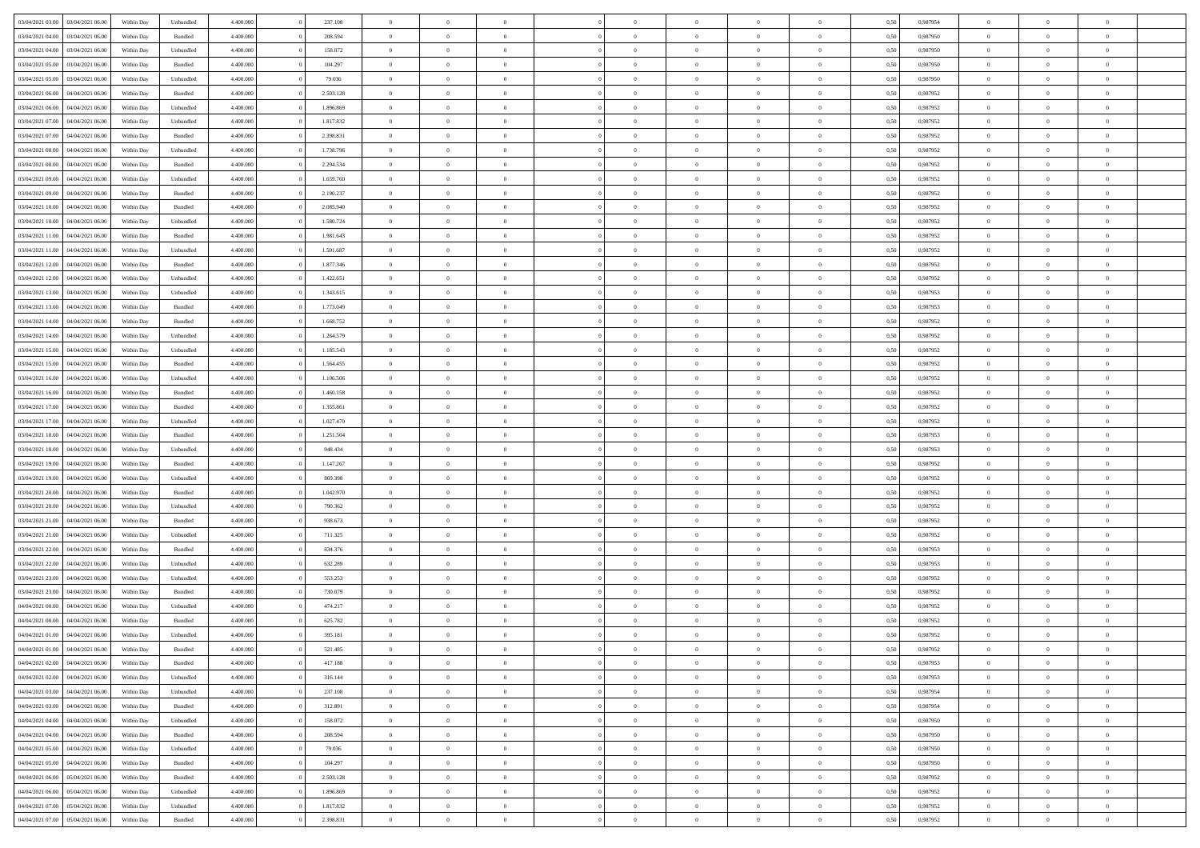| 03/04/2021 03:00                  | 03/04/2021 06:00 | Within Day | Unbundled          | 4.400.000 | 237.108   | $\overline{0}$ | $\Omega$       |                | $\Omega$       | $\Omega$       | $\theta$       | $\theta$       | 0.50 | 0.987954 | $\theta$       | $\theta$       | $\theta$       |  |
|-----------------------------------|------------------|------------|--------------------|-----------|-----------|----------------|----------------|----------------|----------------|----------------|----------------|----------------|------|----------|----------------|----------------|----------------|--|
| 03/04/2021 04:00                  | 03/04/2021 06:00 | Within Day | Bundled            | 4.400.000 | 208.594   | $\overline{0}$ | $\theta$       | $\overline{0}$ | $\overline{0}$ | $\bf{0}$       | $\overline{0}$ | $\bf{0}$       | 0,50 | 0,987950 | $\theta$       | $\theta$       | $\overline{0}$ |  |
| 03/04/2021 04:00                  | 03/04/2021 06:00 | Within Day | Unbundled          | 4.400.000 | 158.072   | $\overline{0}$ | $\overline{0}$ | $\overline{0}$ | $\overline{0}$ | $\bf{0}$       | $\overline{0}$ | $\bf{0}$       | 0,50 | 0,987950 | $\overline{0}$ | $\overline{0}$ | $\overline{0}$ |  |
| 03/04/2021 05:00                  | 03/04/2021 06:00 | Within Dav | Bundled            | 4.400.000 | 104.297   | $\overline{0}$ | $\overline{0}$ | $\overline{0}$ | $\overline{0}$ | $\bf{0}$       | $\overline{0}$ | $\overline{0}$ | 0.50 | 0,987950 | $\theta$       | $\theta$       | $\overline{0}$ |  |
| 03/04/2021 05:00                  | 03/04/2021 06:00 | Within Day | Unbundled          | 4.400.000 | 79.036    | $\overline{0}$ | $\theta$       | $\overline{0}$ | $\overline{0}$ | $\bf{0}$       | $\overline{0}$ | $\bf{0}$       | 0,50 | 0,987950 | $\theta$       | $\theta$       | $\overline{0}$ |  |
|                                   |                  |            |                    |           |           |                |                |                |                |                |                |                |      |          |                |                |                |  |
| 03/04/2021 06:00                  | 04/04/2021 06.00 | Within Day | Bundled            | 4.400.000 | 2.503.128 | $\overline{0}$ | $\bf{0}$       | $\overline{0}$ | $\overline{0}$ | $\overline{0}$ | $\overline{0}$ | $\mathbf{0}$   | 0,50 | 0,987952 | $\overline{0}$ | $\overline{0}$ | $\bf{0}$       |  |
| 03/04/2021 06:00                  | 04/04/2021 06.00 | Within Dav | Unbundled          | 4.400.000 | 1.896.869 | $\overline{0}$ | $\overline{0}$ | $\overline{0}$ | $\overline{0}$ | $\overline{0}$ | $\overline{0}$ | $\overline{0}$ | 0.50 | 0,987952 | $\theta$       | $\overline{0}$ | $\overline{0}$ |  |
| 03/04/2021 07:00                  | 04/04/2021 06.00 | Within Day | Unbundled          | 4.400.000 | 1.817.832 | $\overline{0}$ | $\theta$       | $\overline{0}$ | $\overline{0}$ | $\bf{0}$       | $\overline{0}$ | $\bf{0}$       | 0,50 | 0,987952 | $\theta$       | $\theta$       | $\overline{0}$ |  |
| 03/04/2021 07:00                  | 04/04/2021 06.00 | Within Day | Bundled            | 4.400.000 | 2.398.831 | $\overline{0}$ | $\overline{0}$ | $\overline{0}$ | $\overline{0}$ | $\bf{0}$       | $\overline{0}$ | $\bf{0}$       | 0,50 | 0,987952 | $\,0\,$        | $\overline{0}$ | $\overline{0}$ |  |
| 03/04/2021 08:00                  | 04/04/2021 06.00 | Within Dav | Unbundled          | 4.400.000 | 1.738.796 | $\overline{0}$ | $\overline{0}$ | $\overline{0}$ | $\overline{0}$ | $\overline{0}$ | $\overline{0}$ | $\overline{0}$ | 0.50 | 0,987952 | $\theta$       | $\overline{0}$ | $\overline{0}$ |  |
| 03/04/2021 08:00                  | 04/04/2021 06.00 | Within Day | Bundled            | 4.400.000 | 2.294.534 | $\overline{0}$ | $\theta$       | $\overline{0}$ | $\overline{0}$ | $\bf{0}$       | $\overline{0}$ | $\bf{0}$       | 0,50 | 0,987952 | $\,$ 0 $\,$    | $\overline{0}$ | $\overline{0}$ |  |
|                                   |                  |            |                    |           |           |                |                |                |                |                |                |                |      |          |                |                |                |  |
| 03/04/2021 09:00                  | 04/04/2021 06:00 | Within Day | Unbundled          | 4.400.000 | 1.659.760 | $\overline{0}$ | $\overline{0}$ | $\overline{0}$ | $\overline{0}$ | $\bf{0}$       | $\overline{0}$ | $\bf{0}$       | 0,50 | 0,987952 | $\bf{0}$       | $\overline{0}$ | $\overline{0}$ |  |
| 03/04/2021 09:00                  | 04/04/2021 06:00 | Within Dav | Bundled            | 4.400.000 | 2.190.237 | $\overline{0}$ | $\overline{0}$ | $\overline{0}$ | $\overline{0}$ | $\bf{0}$       | $\overline{0}$ | $\overline{0}$ | 0.50 | 0,987952 | $\theta$       | $\theta$       | $\overline{0}$ |  |
| 03/04/2021 10:00                  | 04/04/2021 06.00 | Within Day | Bundled            | 4.400.000 | 2.085.940 | $\overline{0}$ | $\theta$       | $\overline{0}$ | $\overline{0}$ | $\bf{0}$       | $\overline{0}$ | $\overline{0}$ | 0,50 | 0,987952 | $\theta$       | $\overline{0}$ | $\overline{0}$ |  |
| 03/04/2021 10:00                  | 04/04/2021 06:00 | Within Day | Unbundled          | 4.400.000 | 1.580.724 | $\overline{0}$ | $\overline{0}$ | $\overline{0}$ | $\bf{0}$       | $\overline{0}$ | $\overline{0}$ | $\mathbf{0}$   | 0,50 | 0,987952 | $\bf{0}$       | $\overline{0}$ | $\bf{0}$       |  |
| 03/04/2021 11:00                  | 04/04/2021 06:00 | Within Dav | Bundled            | 4.400.000 | 1.981.643 | $\overline{0}$ | $\overline{0}$ | $\overline{0}$ | $\overline{0}$ | $\overline{0}$ | $\overline{0}$ | $\overline{0}$ | 0.50 | 0,987952 | $\theta$       | $\overline{0}$ | $\overline{0}$ |  |
| 03/04/2021 11:00                  | 04/04/2021 06.00 | Within Day | Unbundled          | 4.400.000 | 1.501.687 | $\overline{0}$ | $\theta$       | $\overline{0}$ | $\overline{0}$ | $\bf{0}$       | $\overline{0}$ | $\bf{0}$       | 0,50 | 0,987952 | $\theta$       | $\theta$       | $\overline{0}$ |  |
| 03/04/2021 12:00                  | 04/04/2021 06.00 | Within Day | Bundled            | 4.400.000 | 1.877.346 | $\overline{0}$ | $\overline{0}$ | $\overline{0}$ | $\bf{0}$       | $\bf{0}$       | $\bf{0}$       | $\bf{0}$       | 0,50 | 0,987952 | $\,0\,$        | $\overline{0}$ | $\overline{0}$ |  |
| 03/04/2021 12:00                  | 04/04/2021 06.00 | Within Dav | Unbundled          | 4.400.000 | 1.422.651 | $\overline{0}$ | $\overline{0}$ | $\overline{0}$ | $\overline{0}$ | $\overline{0}$ | $\overline{0}$ | $\overline{0}$ | 0.50 | 0,987952 | $\theta$       | $\overline{0}$ | $\overline{0}$ |  |
|                                   |                  |            |                    |           |           |                |                |                |                |                |                |                |      |          |                |                |                |  |
| 03/04/2021 13:00                  | 04/04/2021 06.00 | Within Day | Unbundled          | 4.400.000 | 1.343.615 | $\overline{0}$ | $\theta$       | $\overline{0}$ | $\overline{0}$ | $\bf{0}$       | $\overline{0}$ | $\bf{0}$       | 0,50 | 0,987953 | $\,$ 0 $\,$    | $\theta$       | $\overline{0}$ |  |
| 03/04/2021 13:00                  | 04/04/2021 06:00 | Within Day | Bundled            | 4.400.000 | 1.773.049 | $\overline{0}$ | $\overline{0}$ | $\overline{0}$ | $\bf{0}$       | $\bf{0}$       | $\bf{0}$       | $\bf{0}$       | 0,50 | 0,987953 | $\bf{0}$       | $\overline{0}$ | $\overline{0}$ |  |
| 03/04/2021 14:00                  | 04/04/2021 06:00 | Within Day | Bundled            | 4.400.000 | 1.668.752 | $\overline{0}$ | $\overline{0}$ | $\overline{0}$ | $\overline{0}$ | $\bf{0}$       | $\overline{0}$ | $\overline{0}$ | 0.50 | 0,987952 | $\theta$       | $\theta$       | $\overline{0}$ |  |
| 03/04/2021 14:00                  | 04/04/2021 06.00 | Within Day | Unbundled          | 4.400.000 | 1.264.579 | $\overline{0}$ | $\theta$       | $\overline{0}$ | $\overline{0}$ | $\bf{0}$       | $\overline{0}$ | $\bf{0}$       | 0,50 | 0,987952 | $\,$ 0 $\,$    | $\overline{0}$ | $\overline{0}$ |  |
| 03/04/2021 15:00                  | 04/04/2021 06.00 | Within Day | Unbundled          | 4.400.000 | 1.185.543 | $\overline{0}$ | $\bf{0}$       | $\overline{0}$ | $\bf{0}$       | $\overline{0}$ | $\overline{0}$ | $\mathbf{0}$   | 0,50 | 0,987952 | $\bf{0}$       | $\overline{0}$ | $\bf{0}$       |  |
| 03/04/2021 15:00                  | 04/04/2021 06.00 | Within Dav | Bundled            | 4.400.000 | 1.564.455 | $\overline{0}$ | $\overline{0}$ | $\overline{0}$ | $\overline{0}$ | $\overline{0}$ | $\overline{0}$ | $\overline{0}$ | 0.50 | 0,987952 | $\theta$       | $\overline{0}$ | $\overline{0}$ |  |
|                                   |                  |            |                    |           |           | $\overline{0}$ | $\theta$       | $\overline{0}$ |                | $\bf{0}$       | $\overline{0}$ |                |      |          | $\theta$       | $\theta$       | $\overline{0}$ |  |
| 03/04/2021 16:00                  | 04/04/2021 06.00 | Within Day | Unbundled          | 4.400.000 | 1.106.506 |                |                |                | $\overline{0}$ |                |                | $\bf{0}$       | 0,50 | 0,987952 |                |                |                |  |
| 03/04/2021 16:00                  | 04/04/2021 06:00 | Within Day | Bundled            | 4.400.000 | 1.460.158 | $\overline{0}$ | $\overline{0}$ | $\overline{0}$ | $\bf{0}$       | $\bf{0}$       | $\bf{0}$       | $\bf{0}$       | 0,50 | 0,987952 | $\,0\,$        | $\overline{0}$ | $\overline{0}$ |  |
| 03/04/2021 17:00                  | 04/04/2021 06.00 | Within Day | Bundled            | 4.400.000 | 1.355.861 | $\overline{0}$ | $\overline{0}$ | $\overline{0}$ | $\overline{0}$ | $\overline{0}$ | $\overline{0}$ | $\overline{0}$ | 0.50 | 0,987952 | $\theta$       | $\overline{0}$ | $\overline{0}$ |  |
| 03/04/2021 17:00                  | 04/04/2021 06.00 | Within Day | Unbundled          | 4.400.000 | 1.027.470 | $\overline{0}$ | $\theta$       | $\overline{0}$ | $\overline{0}$ | $\bf{0}$       | $\overline{0}$ | $\bf{0}$       | 0,50 | 0,987952 | $\,$ 0 $\,$    | $\overline{0}$ | $\overline{0}$ |  |
| 03/04/2021 18:00                  | 04/04/2021 06:00 | Within Day | Bundled            | 4.400.000 | 1.251.564 | $\overline{0}$ | $\overline{0}$ | $\overline{0}$ | $\bf{0}$       | $\bf{0}$       | $\bf{0}$       | $\bf{0}$       | 0,50 | 0,987953 | $\bf{0}$       | $\overline{0}$ | $\overline{0}$ |  |
| 03/04/2021 18:00                  | 04/04/2021 06.00 | Within Day | Unbundled          | 4.400,000 | 948,434   | $\overline{0}$ | $\Omega$       | $\Omega$       | $\Omega$       | $\Omega$       | $\Omega$       | $\overline{0}$ | 0.50 | 0,987953 | $\,0\,$        | $\theta$       | $\theta$       |  |
| 03/04/2021 19:00                  | 04/04/2021 06.00 | Within Day | Bundled            | 4.400.000 | 1.147.267 | $\overline{0}$ | $\theta$       | $\overline{0}$ | $\overline{0}$ | $\bf{0}$       | $\overline{0}$ | $\bf{0}$       | 0,50 | 0,987952 | $\theta$       | $\overline{0}$ | $\overline{0}$ |  |
| 03/04/2021 19:00                  | 04/04/2021 06:00 | Within Day | Unbundled          | 4.400.000 | 869.398   | $\overline{0}$ | $\overline{0}$ | $\overline{0}$ | $\bf{0}$       | $\bf{0}$       | $\overline{0}$ | $\mathbf{0}$   | 0,50 | 0,987952 | $\bf{0}$       | $\overline{0}$ | $\bf{0}$       |  |
|                                   |                  |            |                    |           |           |                |                |                |                |                |                |                |      |          |                |                |                |  |
| 03/04/2021 20:00                  | 04/04/2021 06:00 | Within Day | Bundled            | 4.400,000 | 1.042.970 | $\overline{0}$ | $\Omega$       | $\Omega$       | $\Omega$       | $\bf{0}$       | $\overline{0}$ | $\overline{0}$ | 0.50 | 0,987952 | $\,0\,$        | $\theta$       | $\theta$       |  |
| 03/04/2021 20:00                  | 04/04/2021 06.00 | Within Day | Unbundled          | 4.400.000 | 790.362   | $\overline{0}$ | $\theta$       | $\overline{0}$ | $\overline{0}$ | $\bf{0}$       | $\overline{0}$ | $\bf{0}$       | 0,50 | 0,987952 | $\,$ 0 $\,$    | $\theta$       | $\overline{0}$ |  |
| 03/04/2021 21.00                  | 04/04/2021 06.00 | Within Day | Bundled            | 4.400.000 | 938.673   | $\overline{0}$ | $\overline{0}$ | $\overline{0}$ | $\bf{0}$       | $\bf{0}$       | $\bf{0}$       | $\bf{0}$       | 0,50 | 0,987952 | $\,0\,$        | $\overline{0}$ | $\overline{0}$ |  |
| 03/04/2021 21:00                  | 04/04/2021 06:00 | Within Day | Unbundled          | 4.400,000 | 711.325   | $\overline{0}$ | $\Omega$       | $\Omega$       | $\Omega$       | $\theta$       | $\theta$       | $\overline{0}$ | 0.50 | 0.987952 | $\theta$       | $\theta$       | $\theta$       |  |
| 03/04/2021 22:00                  | 04/04/2021 06.00 | Within Day | Bundled            | 4.400.000 | 834.376   | $\overline{0}$ | $\theta$       | $\overline{0}$ | $\overline{0}$ | $\bf{0}$       | $\overline{0}$ | $\bf{0}$       | 0,50 | 0,987953 | $\,$ 0 $\,$    | $\overline{0}$ | $\overline{0}$ |  |
| 03/04/2021 22.00                  | 04/04/2021 06:00 | Within Day | Unbundled          | 4.400.000 | 632.289   | $\overline{0}$ | $\overline{0}$ | $\overline{0}$ | $\bf{0}$       | $\bf{0}$       | $\overline{0}$ | $\bf{0}$       | 0,50 | 0,987953 | $\overline{0}$ | $\overline{0}$ | $\overline{0}$ |  |
| 03/04/2021 23:00                  | 04/04/2021 06.00 | Within Day | Unbundled          | 4.400,000 | 553.253   | $\overline{0}$ | $\Omega$       | $\Omega$       | $\Omega$       | $\Omega$       | $\overline{0}$ | $\overline{0}$ | 0.50 | 0,987952 | $\,0\,$        | $\theta$       | $\theta$       |  |
| 03/04/2021 23:00                  | 04/04/2021 06.00 |            |                    | 4.400.000 | 730.079   | $\overline{0}$ | $\theta$       | $\overline{0}$ | $\overline{0}$ | $\bf{0}$       | $\overline{0}$ |                |      | 0,987952 | $\,$ 0 $\,$    | $\overline{0}$ | $\overline{0}$ |  |
|                                   |                  | Within Day | Bundled            |           |           |                |                |                |                |                |                | $\bf{0}$       | 0,50 |          |                |                |                |  |
| 04/04/2021 00:00                  | 04/04/2021 06.00 | Within Day | Unbundled          | 4.400.000 | 474.217   | $\overline{0}$ | $\overline{0}$ | $\overline{0}$ | $\overline{0}$ | $\bf{0}$       | $\overline{0}$ | $\mathbf{0}$   | 0,50 | 0,987952 | $\overline{0}$ | $\overline{0}$ | $\bf{0}$       |  |
| 04/04/2021 00:00                  | 04/04/2021 06:00 | Within Day | Bundled            | 4.400,000 | 625.782   | $\overline{0}$ | $\Omega$       | $\Omega$       | $\Omega$       | $\Omega$       | $\Omega$       | $\overline{0}$ | 0.50 | 0.987952 | $\theta$       | $\theta$       | $\theta$       |  |
| 04/04/2021 01:00                  | 04/04/2021 06:00 | Within Day | Unbundled          | 4.400.000 | 395.181   | $\overline{0}$ | $\overline{0}$ | $\overline{0}$ | $\bf{0}$       | $\,$ 0         | $\overline{0}$ | $\bf{0}$       | 0,50 | 0,987952 | $\,0\,$        | $\overline{0}$ | $\overline{0}$ |  |
| 04/04/2021 01:00 04/04/2021 06:00 |                  | Within Day | $\mathbf B$ undled | 4.400.000 | 521.485   | $\bf{0}$       | $\bf{0}$       |                |                |                |                |                | 0,50 | 0,987952 | $\bf{0}$       | $\overline{0}$ |                |  |
| 04/04/2021 02.00                  | 04/04/2021 06:00 | Within Day | Bundled            | 4.400.000 | 417.188   | $\overline{0}$ | $\overline{0}$ | $\overline{0}$ | $\Omega$       | $\overline{0}$ | $\overline{0}$ | $\overline{0}$ | 0.50 | 0.987953 | $\theta$       | $\theta$       | $\theta$       |  |
| 04/04/2021 02:00                  | 04/04/2021 06:00 | Within Day | Unbundled          | 4.400.000 | 316.144   | $\overline{0}$ | $\bf{0}$       | $\overline{0}$ | $\overline{0}$ | $\,$ 0 $\,$    | $\overline{0}$ | $\,$ 0 $\,$    | 0,50 | 0,987953 | $\,$ 0 $\,$    | $\,$ 0 $\,$    | $\,$ 0         |  |
| 04/04/2021 03:00                  | 04/04/2021 06:00 | Within Day | Unbundled          | 4.400.000 | 237.108   | $\overline{0}$ | $\overline{0}$ | $\overline{0}$ | $\overline{0}$ | $\overline{0}$ | $\overline{0}$ | $\mathbf{0}$   | 0,50 | 0,987954 | $\overline{0}$ | $\bf{0}$       | $\overline{0}$ |  |
|                                   |                  |            |                    |           |           |                |                |                |                |                |                |                |      |          |                |                |                |  |
| 04/04/2021 03:00                  | 04/04/2021 06:00 | Within Day | $\mathbf B$ undled | 4.400,000 | 312.891   | $\overline{0}$ | $\overline{0}$ | $\overline{0}$ | $\Omega$       | $\overline{0}$ | $\overline{0}$ | $\overline{0}$ | 0,50 | 0,987954 | $\overline{0}$ | $\theta$       | $\overline{0}$ |  |
| 04/04/2021 04:00                  | 04/04/2021 06:00 | Within Day | Unbundled          | 4.400.000 | 158.072   | $\overline{0}$ | $\,$ 0         | $\overline{0}$ | $\overline{0}$ | $\,$ 0 $\,$    | $\overline{0}$ | $\,$ 0 $\,$    | 0,50 | 0,987950 | $\,$ 0 $\,$    | $\overline{0}$ | $\overline{0}$ |  |
| 04/04/2021 04:00                  | 04/04/2021 06:00 | Within Day | Bundled            | 4.400.000 | 208.594   | $\overline{0}$ | $\overline{0}$ | $\overline{0}$ | $\overline{0}$ | $\overline{0}$ | $\overline{0}$ | $\mathbf{0}$   | 0,50 | 0,987950 | $\overline{0}$ | $\overline{0}$ | $\bf{0}$       |  |
| 04/04/2021 05:00                  | 04/04/2021 06:00 | Within Day | Unbundled          | 4.400.000 | 79.036    | $\overline{0}$ | $\overline{0}$ | $\overline{0}$ | $\overline{0}$ | $\overline{0}$ | $\overline{0}$ | $\overline{0}$ | 0.50 | 0,987950 | $\overline{0}$ | $\theta$       | $\overline{0}$ |  |
| 04/04/2021 05:00                  | 04/04/2021 06:00 | Within Day | Bundled            | 4.400.000 | 104.297   | $\overline{0}$ | $\,$ 0         | $\overline{0}$ | $\overline{0}$ | $\bf{0}$       | $\overline{0}$ | $\bf{0}$       | 0,50 | 0,987950 | $\,$ 0 $\,$    | $\overline{0}$ | $\overline{0}$ |  |
| 04/04/2021 06.00                  | 05/04/2021 06:00 | Within Day | Bundled            | 4.400.000 | 2.503.128 | $\overline{0}$ | $\bf{0}$       | $\overline{0}$ | $\overline{0}$ | $\overline{0}$ | $\overline{0}$ | $\mathbf{0}$   | 0,50 | 0,987952 | $\overline{0}$ | $\overline{0}$ | $\bf{0}$       |  |
| 04/04/2021 06:00                  | 05/04/2021 06:00 | Within Day | Unbundled          | 4.400,000 | 1.896.869 | $\overline{0}$ | $\overline{0}$ | $\overline{0}$ | $\Omega$       | $\overline{0}$ | $\overline{0}$ | $\overline{0}$ | 0.50 | 0,987952 | $\overline{0}$ | $\overline{0}$ | $\overline{0}$ |  |
|                                   |                  |            |                    |           |           |                |                |                |                |                |                |                |      |          |                |                |                |  |
| 04/04/2021 07:00                  | 05/04/2021 06:00 | Within Day | Unbundled          | 4.400.000 | 1.817.832 | $\overline{0}$ | $\bf{0}$       | $\overline{0}$ | $\overline{0}$ | $\bf{0}$       | $\overline{0}$ | $\mathbf{0}$   | 0,50 | 0,987952 | $\,$ 0 $\,$    | $\,$ 0 $\,$    | $\bf{0}$       |  |
| 04/04/2021 07:00                  | 05/04/2021 06:00 | Within Day | Bundled            | 4.400.000 | 2.398.831 | $\overline{0}$ | $\bf{0}$       | $\overline{0}$ | $\overline{0}$ | $\bf{0}$       | $\overline{0}$ | $\bf{0}$       | 0,50 | 0,987952 | $\overline{0}$ | $\overline{0}$ | $\bf{0}$       |  |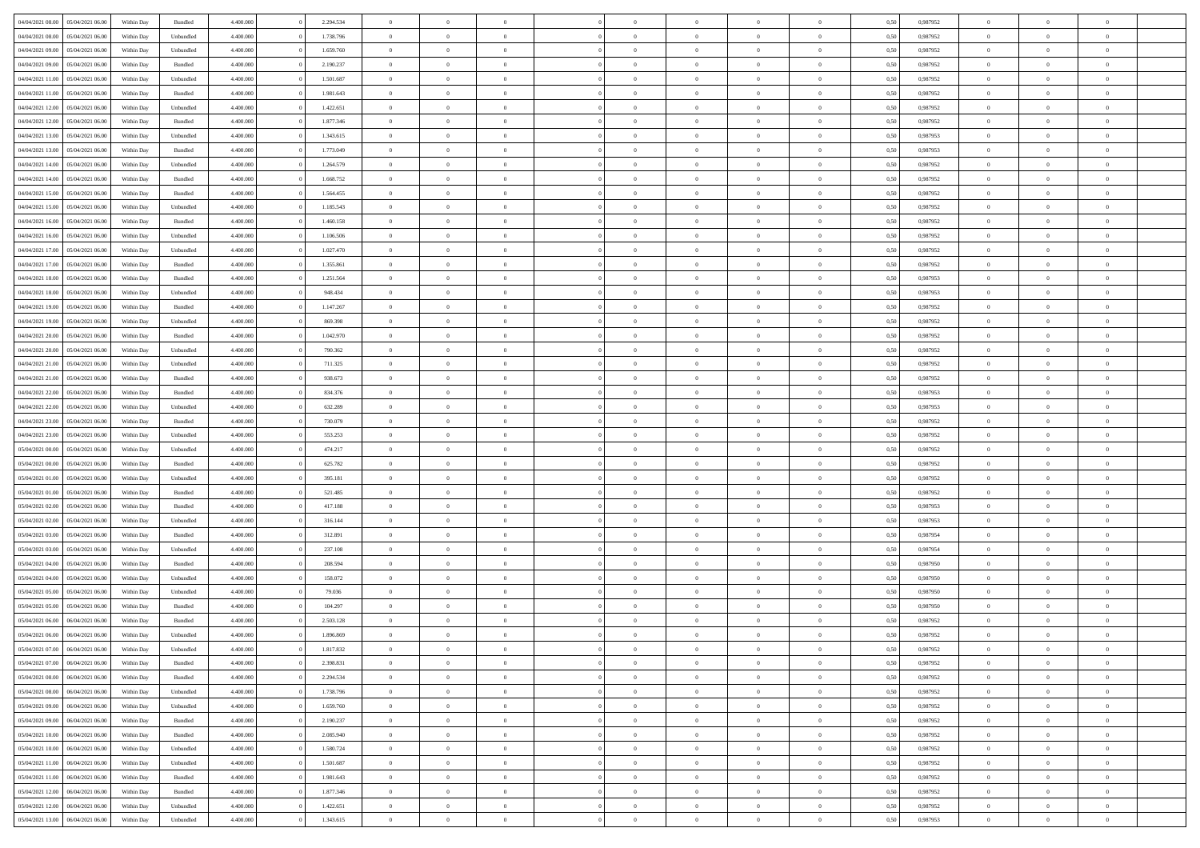|                                   |                  |            |           |           |           | $\overline{0}$ | $\Omega$       |                |                | $\Omega$       | $\theta$       | $\theta$       |      |          | $\theta$       |                | $\theta$       |  |
|-----------------------------------|------------------|------------|-----------|-----------|-----------|----------------|----------------|----------------|----------------|----------------|----------------|----------------|------|----------|----------------|----------------|----------------|--|
| 04/04/2021 08:00                  | 05/04/2021 06:00 | Within Day | Bundled   | 4.400.000 | 2.294.534 |                |                |                | $\Omega$       |                |                |                | 0,50 | 0,987952 |                | $\theta$       |                |  |
| 04/04/2021 08:00                  | 05/04/2021 06:00 | Within Day | Unbundled | 4.400.000 | 1.738.796 | $\overline{0}$ | $\theta$       | $\overline{0}$ | $\overline{0}$ | $\bf{0}$       | $\overline{0}$ | $\bf{0}$       | 0,50 | 0,987952 | $\theta$       | $\overline{0}$ | $\overline{0}$ |  |
| 04/04/2021 09:00                  | 05/04/2021 06:00 | Within Day | Unbundled | 4.400.000 | 1.659.760 | $\overline{0}$ | $\bf{0}$       | $\overline{0}$ | $\overline{0}$ | $\bf{0}$       | $\overline{0}$ | $\mathbf{0}$   | 0,50 | 0,987952 | $\bf{0}$       | $\overline{0}$ | $\bf{0}$       |  |
| 04/04/2021 09:00                  | 05/04/2021 06:00 | Within Dav | Bundled   | 4.400.000 | 2.190.237 | $\overline{0}$ | $\overline{0}$ | $\overline{0}$ | $\overline{0}$ | $\bf{0}$       | $\overline{0}$ | $\overline{0}$ | 0.50 | 0,987952 | $\theta$       | $\theta$       | $\overline{0}$ |  |
|                                   |                  |            |           |           |           |                |                |                |                |                |                |                |      |          |                |                |                |  |
| 04/04/2021 11:00                  | 05/04/2021 06:00 | Within Day | Unbundled | 4.400.000 | 1.501.687 | $\overline{0}$ | $\theta$       | $\overline{0}$ | $\overline{0}$ | $\bf{0}$       | $\overline{0}$ | $\bf{0}$       | 0,50 | 0,987952 | $\theta$       | $\overline{0}$ | $\overline{0}$ |  |
| 04/04/2021 11:00                  | 05/04/2021 06:00 | Within Day | Bundled   | 4.400.000 | 1.981.643 | $\overline{0}$ | $\overline{0}$ | $\overline{0}$ | $\overline{0}$ | $\overline{0}$ | $\overline{0}$ | $\mathbf{0}$   | 0,50 | 0,987952 | $\bf{0}$       | $\overline{0}$ | $\bf{0}$       |  |
| 04/04/2021 12:00                  | 05/04/2021 06:00 | Within Dav | Unbundled | 4.400.000 | 1.422.651 | $\overline{0}$ | $\overline{0}$ | $\overline{0}$ | $\overline{0}$ | $\overline{0}$ | $\overline{0}$ | $\overline{0}$ | 0.50 | 0,987952 | $\theta$       | $\overline{0}$ | $\overline{0}$ |  |
| 04/04/2021 12:00                  | 05/04/2021 06:00 | Within Day | Bundled   | 4.400.000 | 1.877.346 | $\overline{0}$ | $\theta$       | $\overline{0}$ | $\overline{0}$ | $\bf{0}$       | $\overline{0}$ | $\bf{0}$       | 0,50 | 0,987952 | $\theta$       | $\theta$       | $\overline{0}$ |  |
|                                   |                  |            |           |           |           |                | $\overline{0}$ |                |                | $\bf{0}$       |                |                |      |          | $\,0\,$        | $\overline{0}$ | $\overline{0}$ |  |
| 04/04/2021 13:00                  | 05/04/2021 06:00 | Within Day | Unbundled | 4.400.000 | 1.343.615 | $\overline{0}$ |                | $\overline{0}$ | $\overline{0}$ |                | $\overline{0}$ | $\bf{0}$       | 0,50 | 0,987953 |                |                |                |  |
| 04/04/2021 13:00                  | 05/04/2021 06:00 | Within Dav | Bundled   | 4.400.000 | 1.773.049 | $\overline{0}$ | $\overline{0}$ | $\overline{0}$ | $\overline{0}$ | $\overline{0}$ | $\overline{0}$ | $\overline{0}$ | 0.50 | 0,987953 | $\theta$       | $\overline{0}$ | $\overline{0}$ |  |
| 04/04/2021 14:00                  | 05/04/2021 06:00 | Within Day | Unbundled | 4.400.000 | 1.264.579 | $\overline{0}$ | $\theta$       | $\overline{0}$ | $\overline{0}$ | $\bf{0}$       | $\overline{0}$ | $\bf{0}$       | 0,50 | 0,987952 | $\,$ 0 $\,$    | $\overline{0}$ | $\overline{0}$ |  |
| 04/04/2021 14:00                  | 05/04/2021 06:00 | Within Day | Bundled   | 4.400.000 | 1.668.752 | $\overline{0}$ | $\bf{0}$       | $\overline{0}$ | $\overline{0}$ | $\bf{0}$       | $\overline{0}$ | $\mathbf{0}$   | 0,50 | 0,987952 | $\bf{0}$       | $\overline{0}$ | $\bf{0}$       |  |
| 04/04/2021 15:00                  | 05/04/2021 06:00 | Within Dav | Bundled   | 4.400.000 | 1.564.455 | $\overline{0}$ | $\overline{0}$ | $\overline{0}$ | $\overline{0}$ | $\bf{0}$       | $\overline{0}$ | $\overline{0}$ | 0.50 | 0,987952 | $\theta$       | $\theta$       | $\overline{0}$ |  |
|                                   |                  |            |           |           |           |                |                |                |                |                |                |                |      |          |                |                |                |  |
| 04/04/2021 15:00                  | 05/04/2021 06:00 | Within Day | Unbundled | 4.400.000 | 1.185.543 | $\overline{0}$ | $\theta$       | $\overline{0}$ | $\overline{0}$ | $\bf{0}$       | $\overline{0}$ | $\bf{0}$       | 0,50 | 0,987952 | $\theta$       | $\overline{0}$ | $\overline{0}$ |  |
| 04/04/2021 16:00                  | 05/04/2021 06:00 | Within Day | Bundled   | 4.400.000 | 1.460.158 | $\overline{0}$ | $\overline{0}$ | $\overline{0}$ | $\overline{0}$ | $\overline{0}$ | $\overline{0}$ | $\mathbf{0}$   | 0,50 | 0,987952 | $\bf{0}$       | $\overline{0}$ | $\bf{0}$       |  |
| 04/04/2021 16:00                  | 05/04/2021 06:00 | Within Dav | Unbundled | 4.400.000 | 1.106.506 | $\overline{0}$ | $\overline{0}$ | $\overline{0}$ | $\overline{0}$ | $\overline{0}$ | $\overline{0}$ | $\overline{0}$ | 0.50 | 0,987952 | $\theta$       | $\overline{0}$ | $\overline{0}$ |  |
| 04/04/2021 17:00                  | 05/04/2021 06:00 | Within Day | Unbundled | 4.400.000 | 1.027.470 | $\overline{0}$ | $\theta$       | $\overline{0}$ | $\overline{0}$ | $\bf{0}$       | $\overline{0}$ | $\bf{0}$       | 0,50 | 0,987952 | $\theta$       | $\theta$       | $\overline{0}$ |  |
|                                   |                  |            |           |           |           |                |                |                |                |                |                |                |      |          |                |                |                |  |
| 04/04/2021 17:00                  | 05/04/2021 06:00 | Within Day | Bundled   | 4.400.000 | 1.355.861 | $\overline{0}$ | $\overline{0}$ | $\overline{0}$ | $\overline{0}$ | $\bf{0}$       | $\overline{0}$ | $\bf{0}$       | 0,50 | 0,987952 | $\,0\,$        | $\overline{0}$ | $\bf{0}$       |  |
| 04/04/2021 18:00                  | 05/04/2021 06:00 | Within Dav | Bundled   | 4.400.000 | 1.251.564 | $\overline{0}$ | $\overline{0}$ | $\overline{0}$ | $\overline{0}$ | $\overline{0}$ | $\overline{0}$ | $\overline{0}$ | 0.50 | 0,987953 | $\theta$       | $\overline{0}$ | $\overline{0}$ |  |
| 04/04/2021 18:00                  | 05/04/2021 06:00 | Within Day | Unbundled | 4.400.000 | 948.434   | $\overline{0}$ | $\theta$       | $\overline{0}$ | $\overline{0}$ | $\bf{0}$       | $\overline{0}$ | $\bf{0}$       | 0,50 | 0,987953 | $\,$ 0 $\,$    | $\overline{0}$ | $\overline{0}$ |  |
| 04/04/2021 19:00                  | 05/04/2021 06:00 | Within Day | Bundled   | 4.400.000 | 1.147.267 | $\overline{0}$ | $\overline{0}$ | $\overline{0}$ | $\overline{0}$ | $\bf{0}$       | $\overline{0}$ | $\bf{0}$       | 0,50 | 0,987952 | $\bf{0}$       | $\overline{0}$ | $\bf{0}$       |  |
| 04/04/2021 19:00                  | 05/04/2021 06:00 | Within Day | Unbundled | 4.400.000 | 869.398   | $\overline{0}$ | $\overline{0}$ | $\overline{0}$ | $\overline{0}$ | $\bf{0}$       | $\overline{0}$ | $\overline{0}$ | 0.50 | 0,987952 | $\theta$       | $\overline{0}$ | $\overline{0}$ |  |
|                                   |                  |            |           |           |           |                |                |                |                |                |                |                |      |          |                |                |                |  |
| 04/04/2021 20.00                  | 05/04/2021 06:00 | Within Day | Bundled   | 4.400.000 | 1.042.970 | $\overline{0}$ | $\theta$       | $\overline{0}$ | $\overline{0}$ | $\bf{0}$       | $\overline{0}$ | $\bf{0}$       | 0,50 | 0,987952 | $\,$ 0 $\,$    | $\overline{0}$ | $\overline{0}$ |  |
| 04/04/2021 20:00                  | 05/04/2021 06:00 | Within Day | Unbundled | 4.400.000 | 790.362   | $\overline{0}$ | $\overline{0}$ | $\overline{0}$ | $\overline{0}$ | $\overline{0}$ | $\overline{0}$ | $\mathbf{0}$   | 0,50 | 0,987952 | $\bf{0}$       | $\overline{0}$ | $\bf{0}$       |  |
| 04/04/2021 21:00                  | 05/04/2021 06:00 | Within Dav | Unbundled | 4.400.000 | 711.325   | $\overline{0}$ | $\overline{0}$ | $\overline{0}$ | $\overline{0}$ | $\overline{0}$ | $\overline{0}$ | $\overline{0}$ | 0.50 | 0,987952 | $\theta$       | $\overline{0}$ | $\overline{0}$ |  |
| 04/04/2021 21.00                  | 05/04/2021 06:00 | Within Day | Bundled   | 4.400.000 | 938.673   | $\overline{0}$ | $\theta$       | $\overline{0}$ | $\overline{0}$ | $\bf{0}$       | $\overline{0}$ | $\bf{0}$       | 0,50 | 0,987952 | $\theta$       | $\theta$       | $\overline{0}$ |  |
|                                   |                  |            |           |           |           |                |                |                |                |                |                |                |      |          |                |                |                |  |
| 04/04/2021 22.00                  | 05/04/2021 06:00 | Within Day | Bundled   | 4.400.000 | 834.376   | $\overline{0}$ | $\overline{0}$ | $\overline{0}$ | $\overline{0}$ | $\bf{0}$       | $\overline{0}$ | $\bf{0}$       | 0,50 | 0,987953 | $\,0\,$        | $\overline{0}$ | $\bf{0}$       |  |
| 04/04/2021 22.00                  | 05/04/2021 06:00 | Within Day | Unbundled | 4.400.000 | 632.289   | $\overline{0}$ | $\overline{0}$ | $\overline{0}$ | $\overline{0}$ | $\overline{0}$ | $\overline{0}$ | $\overline{0}$ | 0.50 | 0,987953 | $\theta$       | $\overline{0}$ | $\overline{0}$ |  |
| 04/04/2021 23:00                  | 05/04/2021 06:00 | Within Day | Bundled   | 4.400.000 | 730.079   | $\overline{0}$ | $\theta$       | $\overline{0}$ | $\overline{0}$ | $\bf{0}$       | $\overline{0}$ | $\bf{0}$       | 0,50 | 0,987952 | $\,$ 0 $\,$    | $\overline{0}$ | $\overline{0}$ |  |
| 04/04/2021 23.00                  | 05/04/2021 06:00 | Within Day | Unbundled | 4.400.000 | 553.253   | $\overline{0}$ | $\bf{0}$       | $\overline{0}$ | $\overline{0}$ | $\bf{0}$       | $\overline{0}$ | $\bf{0}$       | 0,50 | 0,987952 | $\bf{0}$       | $\overline{0}$ | $\bf{0}$       |  |
| 05/04/2021 00:00                  | 05/04/2021 06:00 | Within Day | Unbundled | 4.400,000 | 474.217   | $\overline{0}$ | $\Omega$       | $\Omega$       | $\Omega$       | $\Omega$       | $\Omega$       | $\overline{0}$ | 0,50 | 0,987952 | $\,0\,$        | $\theta$       | $\theta$       |  |
|                                   |                  |            |           |           |           |                |                |                |                |                |                |                |      |          |                |                |                |  |
| 05/04/2021 00:00                  | 05/04/2021 06:00 | Within Day | Bundled   | 4.400.000 | 625.782   | $\overline{0}$ | $\theta$       | $\overline{0}$ | $\overline{0}$ | $\bf{0}$       | $\overline{0}$ | $\bf{0}$       | 0,50 | 0,987952 | $\theta$       | $\overline{0}$ | $\overline{0}$ |  |
| 05/04/2021 01:00                  | 05/04/2021 06:00 | Within Day | Unbundled | 4.400.000 | 395.181   | $\overline{0}$ | $\overline{0}$ | $\overline{0}$ | $\overline{0}$ | $\overline{0}$ | $\overline{0}$ | $\mathbf{0}$   | 0,50 | 0,987952 | $\bf{0}$       | $\overline{0}$ | $\bf{0}$       |  |
| 05/04/2021 01:00                  | 05/04/2021 06:00 | Within Day | Bundled   | 4.400,000 | 521.485   | $\overline{0}$ | $\Omega$       | $\Omega$       | $\Omega$       | $\bf{0}$       | $\overline{0}$ | $\overline{0}$ | 0.50 | 0,987952 | $\,0\,$        | $\theta$       | $\theta$       |  |
| 05/04/2021 02:00                  | 05/04/2021 06:00 | Within Day | Bundled   | 4.400.000 | 417.188   | $\overline{0}$ | $\theta$       | $\overline{0}$ | $\overline{0}$ | $\bf{0}$       | $\overline{0}$ | $\bf{0}$       | 0,50 | 0,987953 | $\,$ 0 $\,$    | $\overline{0}$ | $\overline{0}$ |  |
|                                   |                  |            |           |           |           |                | $\overline{0}$ |                |                | $\bf{0}$       |                |                |      |          | $\,0\,$        | $\overline{0}$ | $\bf{0}$       |  |
| 05/04/2021 02:00                  | 05/04/2021 06:00 | Within Day | Unbundled | 4.400.000 | 316.144   | $\overline{0}$ |                | $\overline{0}$ | $\overline{0}$ |                | $\overline{0}$ | $\bf{0}$       | 0,50 | 0,987953 |                |                |                |  |
| 05/04/2021 03:00                  | 05/04/2021 06:00 | Within Day | Bundled   | 4.400,000 | 312.891   | $\overline{0}$ | $\Omega$       | $\Omega$       | $\Omega$       | $\theta$       | $\theta$       | $\overline{0}$ | 0.50 | 0.987954 | $\theta$       | $\theta$       | $\theta$       |  |
| 05/04/2021 03:00                  | 05/04/2021 06:00 | Within Day | Unbundled | 4.400.000 | 237.108   | $\overline{0}$ | $\overline{0}$ | $\overline{0}$ | $\overline{0}$ | $\bf{0}$       | $\overline{0}$ | $\bf{0}$       | 0,50 | 0,987954 | $\,$ 0 $\,$    | $\overline{0}$ | $\overline{0}$ |  |
| 05/04/2021 04:00                  | 05/04/2021 06:00 | Within Day | Bundled   | 4.400.000 | 208.594   | $\overline{0}$ | $\overline{0}$ | $\overline{0}$ | $\overline{0}$ | $\bf{0}$       | $\overline{0}$ | $\mathbf{0}$   | 0,50 | 0,987950 | $\bf{0}$       | $\overline{0}$ | $\bf{0}$       |  |
| 05/04/2021 04:00                  | 05/04/2021 06:00 | Within Day | Unbundled | 4.400,000 | 158.072   | $\overline{0}$ | $\Omega$       | $\Omega$       | $\Omega$       | $\overline{0}$ | $\overline{0}$ | $\overline{0}$ | 0.50 | 0,987950 | $\,0\,$        | $\theta$       | $\theta$       |  |
|                                   |                  |            |           |           |           |                | $\overline{0}$ |                |                |                |                |                |      |          |                |                |                |  |
| 05/04/2021 05:00                  | 05/04/2021 06:00 | Within Day | Unbundled | 4.400.000 | 79.036    | $\overline{0}$ |                | $\overline{0}$ | $\overline{0}$ | $\bf{0}$       | $\overline{0}$ | $\bf{0}$       | 0,50 | 0,987950 | $\,$ 0 $\,$    | $\overline{0}$ | $\overline{0}$ |  |
| 05/04/2021 05:00                  | 05/04/2021 06:00 | Within Day | Bundled   | 4.400.000 | 104.297   | $\overline{0}$ | $\overline{0}$ | $\overline{0}$ | $\overline{0}$ | $\bf{0}$       | $\overline{0}$ | $\mathbf{0}$   | 0,50 | 0,987950 | $\bf{0}$       | $\overline{0}$ | $\bf{0}$       |  |
| 05/04/2021 06:00                  | 06/04/2021 06:00 | Within Day | Bundled   | 4.400,000 | 2.503.128 | $\overline{0}$ | $\Omega$       | $\Omega$       | $\Omega$       | $\Omega$       | $\Omega$       | $\overline{0}$ | 0.50 | 0.987952 | $\theta$       | $\theta$       | $\theta$       |  |
| 05/04/2021 06:00                  | 06/04/2021 06:00 | Within Day | Unbundled | 4.400.000 | 1.896.869 | $\overline{0}$ | $\overline{0}$ | $\overline{0}$ | $\bf{0}$       | $\,$ 0         | $\overline{0}$ | $\bf{0}$       | 0,50 | 0,987952 | $\,0\,$        | $\,$ 0 $\,$    | $\overline{0}$ |  |
| 05/04/2021 07:00 06/04/2021 06:00 |                  | Within Day | Unbundled | 4.400.000 | 1.817.832 | $\overline{0}$ | $\bf{0}$       |                |                | $\bf{0}$       |                |                | 0,50 | 0,987952 | $\bf{0}$       | $\overline{0}$ |                |  |
|                                   |                  |            |           |           |           |                |                |                |                |                |                |                |      |          |                |                |                |  |
| 05/04/2021 07:00                  | 06/04/2021 06:00 | Within Day | Bundled   | 4.400.000 | 2.398.831 | $\overline{0}$ | $\overline{0}$ | $\overline{0}$ | $\Omega$       | $\overline{0}$ | $\overline{0}$ | $\overline{0}$ | 0,50 | 0.987952 | $\theta$       | $\theta$       | $\theta$       |  |
| 05/04/2021 08:00                  | 06/04/2021 06:00 | Within Day | Bundled   | 4.400.000 | 2.294.534 | $\overline{0}$ | $\,$ 0         | $\overline{0}$ | $\overline{0}$ | $\,$ 0 $\,$    | $\overline{0}$ | $\mathbf{0}$   | 0,50 | 0,987952 | $\,$ 0 $\,$    | $\,$ 0 $\,$    | $\,$ 0         |  |
| 05/04/2021 08:00                  | 06/04/2021 06:00 | Within Day | Unbundled | 4.400.000 | 1.738.796 | $\overline{0}$ | $\overline{0}$ | $\overline{0}$ | $\overline{0}$ | $\overline{0}$ | $\overline{0}$ | $\mathbf{0}$   | 0,50 | 0,987952 | $\overline{0}$ | $\bf{0}$       | $\bf{0}$       |  |
| 05/04/2021 09:00                  | 06/04/2021 06:00 | Within Day | Unbundled | 4.400,000 | 1.659.760 | $\overline{0}$ | $\overline{0}$ | $\overline{0}$ | $\Omega$       | $\overline{0}$ | $\overline{0}$ | $\overline{0}$ | 0,50 | 0,987952 | $\overline{0}$ | $\theta$       | $\overline{0}$ |  |
| 05/04/2021 09:00                  | 06/04/2021 06:00 | Within Day | Bundled   | 4.400.000 | 2.190.237 | $\overline{0}$ | $\,$ 0         | $\overline{0}$ | $\overline{0}$ | $\,$ 0 $\,$    | $\overline{0}$ | $\mathbf{0}$   | 0,50 | 0,987952 | $\,$ 0 $\,$    | $\overline{0}$ | $\overline{0}$ |  |
|                                   |                  |            |           |           |           |                |                |                |                |                |                |                |      |          |                |                |                |  |
| 05/04/2021 10:00                  | 06/04/2021 06:00 | Within Day | Bundled   | 4.400.000 | 2.085.940 | $\overline{0}$ | $\overline{0}$ | $\overline{0}$ | $\overline{0}$ | $\overline{0}$ | $\overline{0}$ | $\mathbf{0}$   | 0,50 | 0,987952 | $\overline{0}$ | $\overline{0}$ | $\bf{0}$       |  |
| 05/04/2021 10:00                  | 06/04/2021 06:00 | Within Day | Unbundled | 4.400.000 | 1.580.724 | $\overline{0}$ | $\overline{0}$ | $\overline{0}$ | $\Omega$       | $\overline{0}$ | $\overline{0}$ | $\bf{0}$       | 0.50 | 0,987952 | $\overline{0}$ | $\theta$       | $\overline{0}$ |  |
| 05/04/2021 11:00                  | 06/04/2021 06:00 | Within Day | Unbundled | 4.400.000 | 1.501.687 | $\overline{0}$ | $\,$ 0         | $\overline{0}$ | $\overline{0}$ | $\bf{0}$       | $\overline{0}$ | $\bf{0}$       | 0,50 | 0,987952 | $\,$ 0 $\,$    | $\overline{0}$ | $\overline{0}$ |  |
| 05/04/2021 11:00                  | 06/04/2021 06:00 | Within Day | Bundled   | 4.400.000 | 1.981.643 | $\overline{0}$ | $\bf{0}$       | $\overline{0}$ | $\overline{0}$ | $\overline{0}$ | $\overline{0}$ | $\mathbf{0}$   | 0,50 | 0,987952 | $\overline{0}$ | $\overline{0}$ | $\bf{0}$       |  |
|                                   |                  |            |           |           |           |                |                |                |                |                |                |                |      |          |                |                |                |  |
| 05/04/2021 12:00                  | 06/04/2021 06:00 | Within Day | Bundled   | 4.400.000 | 1.877.346 | $\overline{0}$ | $\overline{0}$ | $\overline{0}$ | $\Omega$       | $\overline{0}$ | $\overline{0}$ | $\overline{0}$ | 0.50 | 0,987952 | $\overline{0}$ | $\overline{0}$ | $\overline{0}$ |  |
| 05/04/2021 12:00                  | 06/04/2021 06:00 | Within Day | Unbundled | 4.400.000 | 1.422.651 | $\overline{0}$ | $\bf{0}$       | $\overline{0}$ | $\bf{0}$       | $\bf{0}$       | $\overline{0}$ | $\mathbf{0}$   | 0,50 | 0,987952 | $\,$ 0 $\,$    | $\,$ 0 $\,$    | $\bf{0}$       |  |
| 05/04/2021 13:00                  | 06/04/2021 06:00 | Within Day | Unbundled | 4.400.000 | 1.343.615 | $\overline{0}$ | $\overline{0}$ | $\overline{0}$ | $\overline{0}$ | $\overline{0}$ | $\overline{0}$ | $\mathbf{0}$   | 0,50 | 0,987953 | $\overline{0}$ | $\bf{0}$       | $\bf{0}$       |  |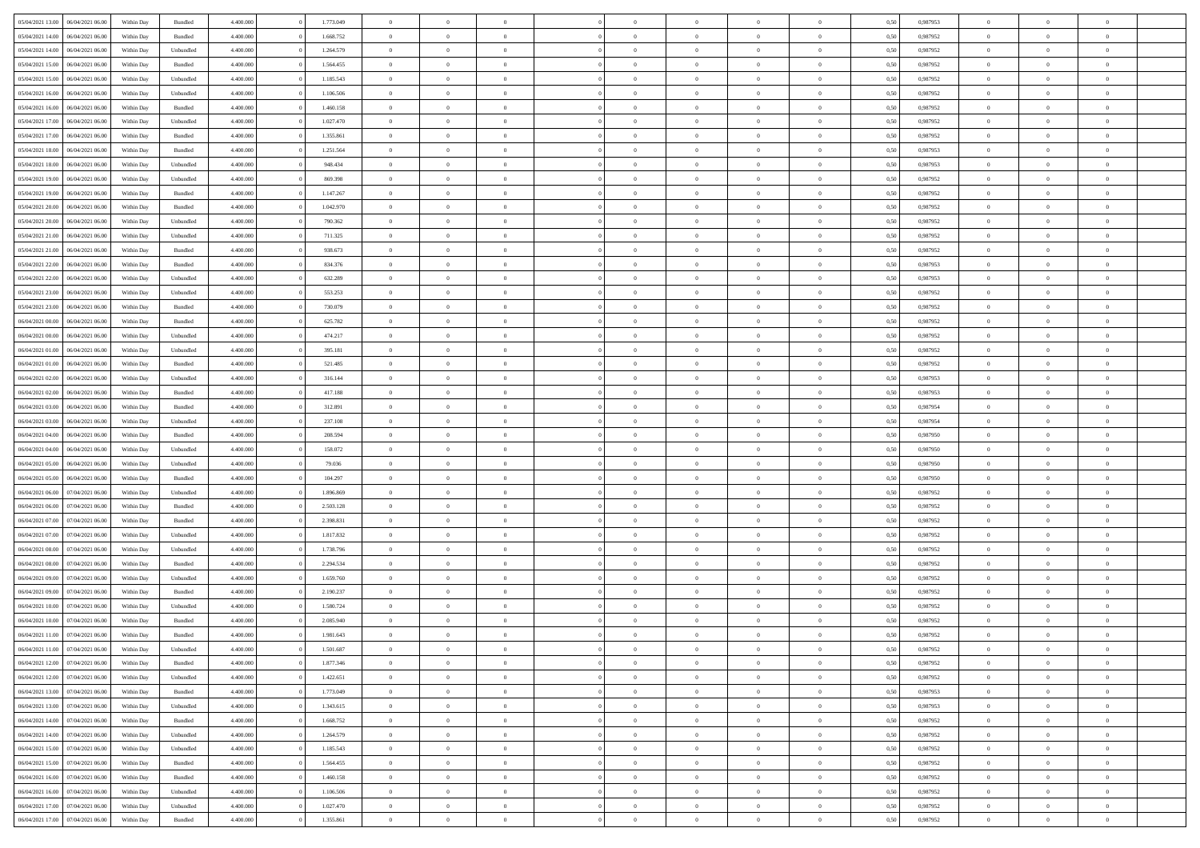|                                   |                  |            |           |           | 1.773.049 | $\overline{0}$ |                |                |                | $\Omega$       | $\theta$       | $\theta$       |      |          | $\theta$       | $\overline{0}$ | $\theta$       |  |
|-----------------------------------|------------------|------------|-----------|-----------|-----------|----------------|----------------|----------------|----------------|----------------|----------------|----------------|------|----------|----------------|----------------|----------------|--|
| 05/04/2021 13:00                  | 06/04/2021 06:00 | Within Day | Bundled   | 4.400.000 |           |                | $\theta$       |                | $\Omega$       |                |                |                | 0,50 | 0.987953 |                |                |                |  |
| 05/04/2021 14:00                  | 06/04/2021 06:00 | Within Day | Bundled   | 4.400.000 | 1.668.752 | $\overline{0}$ | $\theta$       | $\overline{0}$ | $\overline{0}$ | $\bf{0}$       | $\overline{0}$ | $\bf{0}$       | 0,50 | 0,987952 | $\theta$       | $\overline{0}$ | $\overline{0}$ |  |
| 05/04/2021 14:00                  | 06/04/2021 06:00 | Within Day | Unbundled | 4.400.000 | 1.264.579 | $\overline{0}$ | $\bf{0}$       | $\overline{0}$ | $\bf{0}$       | $\bf{0}$       | $\bf{0}$       | $\mathbf{0}$   | 0,50 | 0,987952 | $\overline{0}$ | $\overline{0}$ | $\overline{0}$ |  |
| 05/04/2021 15:00                  | 06/04/2021 06:00 | Within Dav | Bundled   | 4.400.000 | 1.564.455 | $\overline{0}$ | $\overline{0}$ | $\overline{0}$ | $\overline{0}$ | $\bf{0}$       | $\overline{0}$ | $\overline{0}$ | 0.50 | 0,987952 | $\theta$       | $\theta$       | $\overline{0}$ |  |
|                                   |                  |            |           |           |           |                |                |                |                |                |                |                |      |          |                |                |                |  |
| 05/04/2021 15:00                  | 06/04/2021 06:00 | Within Day | Unbundled | 4.400.000 | 1.185.543 | $\overline{0}$ | $\theta$       | $\overline{0}$ | $\overline{0}$ | $\bf{0}$       | $\overline{0}$ | $\bf{0}$       | 0,50 | 0,987952 | $\theta$       | $\overline{0}$ | $\overline{0}$ |  |
| 05/04/2021 16:00                  | 06/04/2021 06:00 | Within Day | Unbundled | 4.400.000 | 1.106.506 | $\overline{0}$ | $\overline{0}$ | $\overline{0}$ | $\bf{0}$       | $\overline{0}$ | $\overline{0}$ | $\mathbf{0}$   | 0,50 | 0,987952 | $\overline{0}$ | $\overline{0}$ | $\bf{0}$       |  |
| 05/04/2021 16:00                  | 06/04/2021 06:00 | Within Dav | Bundled   | 4.400.000 | 1.460.158 | $\overline{0}$ | $\overline{0}$ | $\overline{0}$ | $\overline{0}$ | $\overline{0}$ | $\overline{0}$ | $\overline{0}$ | 0.50 | 0,987952 | $\theta$       | $\overline{0}$ | $\overline{0}$ |  |
| 05/04/2021 17:00                  | 06/04/2021 06:00 | Within Day | Unbundled | 4.400.000 | 1.027.470 | $\overline{0}$ | $\theta$       | $\overline{0}$ | $\overline{0}$ | $\bf{0}$       | $\overline{0}$ | $\bf{0}$       | 0,50 | 0,987952 | $\theta$       | $\theta$       | $\overline{0}$ |  |
| 05/04/2021 17.00                  | 06/04/2021 06:00 | Within Day | Bundled   | 4.400.000 | 1.355.861 | $\overline{0}$ | $\overline{0}$ | $\overline{0}$ | $\bf{0}$       | $\bf{0}$       | $\bf{0}$       | $\bf{0}$       | 0,50 | 0,987952 | $\,0\,$        | $\overline{0}$ | $\overline{0}$ |  |
|                                   |                  |            |           |           |           |                |                |                |                |                |                |                |      |          |                |                |                |  |
| 05/04/2021 18:00                  | 06/04/2021 06:00 | Within Dav | Bundled   | 4.400.000 | 1.251.564 | $\overline{0}$ | $\overline{0}$ | $\overline{0}$ | $\overline{0}$ | $\overline{0}$ | $\overline{0}$ | $\overline{0}$ | 0.50 | 0,987953 | $\theta$       | $\overline{0}$ | $\overline{0}$ |  |
| 05/04/2021 18:00                  | 06/04/2021 06:00 | Within Day | Unbundled | 4.400.000 | 948.434   | $\overline{0}$ | $\theta$       | $\overline{0}$ | $\overline{0}$ | $\bf{0}$       | $\overline{0}$ | $\bf{0}$       | 0,50 | 0,987953 | $\,$ 0 $\,$    | $\overline{0}$ | $\overline{0}$ |  |
| 05/04/2021 19:00                  | 06/04/2021 06:00 | Within Day | Unbundled | 4.400.000 | 869.398   | $\overline{0}$ | $\overline{0}$ | $\overline{0}$ | $\bf{0}$       | $\bf{0}$       | $\bf{0}$       | $\mathbf{0}$   | 0,50 | 0,987952 | $\overline{0}$ | $\overline{0}$ | $\bf{0}$       |  |
| 05/04/2021 19:00                  | 06/04/2021 06:00 | Within Day | Bundled   | 4.400.000 | 1.147.267 | $\overline{0}$ | $\overline{0}$ | $\overline{0}$ | $\overline{0}$ | $\bf{0}$       | $\overline{0}$ | $\overline{0}$ | 0.50 | 0,987952 | $\theta$       | $\theta$       | $\overline{0}$ |  |
|                                   |                  |            |           |           |           | $\overline{0}$ | $\theta$       | $\overline{0}$ | $\overline{0}$ | $\bf{0}$       | $\overline{0}$ |                |      |          | $\theta$       | $\overline{0}$ | $\overline{0}$ |  |
| 05/04/2021 20.00                  | 06/04/2021 06:00 | Within Day | Bundled   | 4.400.000 | 1.042.970 |                |                |                |                |                |                | $\bf{0}$       | 0,50 | 0,987952 |                |                |                |  |
| 05/04/2021 20:00                  | 06/04/2021 06:00 | Within Day | Unbundled | 4.400.000 | 790.362   | $\overline{0}$ | $\overline{0}$ | $\overline{0}$ | $\bf{0}$       | $\overline{0}$ | $\overline{0}$ | $\mathbf{0}$   | 0,50 | 0,987952 | $\overline{0}$ | $\overline{0}$ | $\bf{0}$       |  |
| 05/04/2021 21:00                  | 06/04/2021 06:00 | Within Dav | Unbundled | 4.400.000 | 711.325   | $\overline{0}$ | $\overline{0}$ | $\overline{0}$ | $\overline{0}$ | $\overline{0}$ | $\overline{0}$ | $\overline{0}$ | 0.50 | 0,987952 | $\theta$       | $\overline{0}$ | $\overline{0}$ |  |
| 05/04/2021 21:00                  | 06/04/2021 06:00 | Within Day | Bundled   | 4.400.000 | 938.673   | $\overline{0}$ | $\theta$       | $\overline{0}$ | $\overline{0}$ | $\bf{0}$       | $\overline{0}$ | $\bf{0}$       | 0,50 | 0,987952 | $\theta$       | $\overline{0}$ | $\overline{0}$ |  |
| 05/04/2021 22.00                  | 06/04/2021 06:00 | Within Day | Bundled   | 4.400.000 | 834.376   | $\overline{0}$ | $\overline{0}$ | $\overline{0}$ | $\bf{0}$       | $\bf{0}$       | $\bf{0}$       | $\mathbf{0}$   | 0,50 | 0,987953 | $\,0\,$        | $\overline{0}$ | $\bf{0}$       |  |
|                                   |                  |            |           |           |           |                |                |                |                |                |                |                |      |          |                |                |                |  |
| 05/04/2021 22:00                  | 06/04/2021 06:00 | Within Dav | Unbundled | 4.400.000 | 632.289   | $\overline{0}$ | $\overline{0}$ | $\overline{0}$ | $\overline{0}$ | $\overline{0}$ | $\overline{0}$ | $\overline{0}$ | 0.50 | 0,987953 | $\theta$       | $\overline{0}$ | $\overline{0}$ |  |
| 05/04/2021 23:00                  | 06/04/2021 06:00 | Within Day | Unbundled | 4.400.000 | 553.253   | $\overline{0}$ | $\theta$       | $\overline{0}$ | $\overline{0}$ | $\bf{0}$       | $\overline{0}$ | $\bf{0}$       | 0,50 | 0,987952 | $\,$ 0 $\,$    | $\overline{0}$ | $\overline{0}$ |  |
| 05/04/2021 23.00                  | 06/04/2021 06:00 | Within Day | Bundled   | 4.400.000 | 730.079   | $\overline{0}$ | $\overline{0}$ | $\overline{0}$ | $\overline{0}$ | $\bf{0}$       | $\overline{0}$ | $\mathbf{0}$   | 0,50 | 0,987952 | $\bf{0}$       | $\overline{0}$ | $\bf{0}$       |  |
| 06/04/2021 00:00                  | 06/04/2021 06:00 | Within Day | Bundled   | 4.400.000 | 625.782   | $\overline{0}$ | $\overline{0}$ | $\overline{0}$ | $\overline{0}$ | $\overline{0}$ | $\overline{0}$ | $\overline{0}$ | 0.50 | 0,987952 | $\theta$       | $\overline{0}$ | $\overline{0}$ |  |
| 06/04/2021 00:00                  | 06/04/2021 06:00 |            |           | 4.400.000 | 474.217   | $\overline{0}$ | $\theta$       | $\overline{0}$ | $\overline{0}$ | $\bf{0}$       | $\overline{0}$ |                |      | 0,987952 | $\,$ 0 $\,$    | $\overline{0}$ | $\overline{0}$ |  |
|                                   |                  | Within Day | Unbundled |           |           |                |                |                |                |                |                | $\bf{0}$       | 0,50 |          |                |                |                |  |
| 06/04/2021 01:00                  | 06/04/2021 06:00 | Within Day | Unbundled | 4.400.000 | 395.181   | $\overline{0}$ | $\overline{0}$ | $\overline{0}$ | $\overline{0}$ | $\overline{0}$ | $\overline{0}$ | $\mathbf{0}$   | 0,50 | 0,987952 | $\bf{0}$       | $\overline{0}$ | $\bf{0}$       |  |
| 06/04/2021 01:00                  | 06/04/2021 06:00 | Within Dav | Bundled   | 4.400.000 | 521.485   | $\overline{0}$ | $\overline{0}$ | $\overline{0}$ | $\overline{0}$ | $\overline{0}$ | $\overline{0}$ | $\overline{0}$ | 0.50 | 0,987952 | $\theta$       | $\overline{0}$ | $\overline{0}$ |  |
| 06/04/2021 02:00                  | 06/04/2021 06:00 | Within Day | Unbundled | 4.400.000 | 316.144   | $\overline{0}$ | $\theta$       | $\overline{0}$ | $\overline{0}$ | $\bf{0}$       | $\overline{0}$ | $\bf{0}$       | 0,50 | 0,987953 | $\theta$       | $\overline{0}$ | $\overline{0}$ |  |
| 06/04/2021 02:00                  | 06/04/2021 06:00 | Within Day | Bundled   | 4.400.000 | 417.188   | $\overline{0}$ | $\overline{0}$ | $\overline{0}$ | $\overline{0}$ | $\bf{0}$       | $\overline{0}$ | $\bf{0}$       | 0,50 | 0,987953 | $\,0\,$        | $\overline{0}$ | $\overline{0}$ |  |
| 06/04/2021 03:00                  | 06/04/2021 06:00 |            | Bundled   | 4.400.000 | 312.891   | $\overline{0}$ | $\overline{0}$ | $\overline{0}$ | $\overline{0}$ | $\overline{0}$ | $\overline{0}$ | $\overline{0}$ | 0.50 | 0,987954 | $\theta$       | $\overline{0}$ | $\overline{0}$ |  |
|                                   |                  | Within Day |           |           |           |                |                |                |                |                |                |                |      |          |                |                |                |  |
| 06/04/2021 03:00                  | 06/04/2021 06:00 | Within Day | Unbundled | 4.400.000 | 237.108   | $\overline{0}$ | $\overline{0}$ | $\overline{0}$ | $\overline{0}$ | $\bf{0}$       | $\overline{0}$ | $\bf{0}$       | 0,50 | 0,987954 | $\,$ 0 $\,$    | $\overline{0}$ | $\overline{0}$ |  |
| 06/04/2021 04:00                  | 06/04/2021 06:00 | Within Day | Bundled   | 4.400.000 | 208.594   | $\overline{0}$ | $\overline{0}$ | $\overline{0}$ | $\overline{0}$ | $\bf{0}$       | $\overline{0}$ | $\bf{0}$       | 0,50 | 0,987950 | $\bf{0}$       | $\overline{0}$ | $\bf{0}$       |  |
| 06/04/2021 04:00                  | 06/04/2021 06:00 | Within Day | Unbundled | 4.400,000 | 158.072   | $\overline{0}$ | $\Omega$       | $\overline{0}$ | $\Omega$       | $\Omega$       | $\overline{0}$ | $\overline{0}$ | 0,50 | 0,987950 | $\,0\,$        | $\theta$       | $\theta$       |  |
| 06/04/2021 05:00                  | 06/04/2021 06:00 | Within Day | Unbundled | 4.400.000 | 79.036    | $\overline{0}$ | $\theta$       | $\overline{0}$ | $\overline{0}$ | $\bf{0}$       | $\overline{0}$ | $\bf{0}$       | 0,50 | 0,987950 | $\,$ 0 $\,$    | $\overline{0}$ | $\overline{0}$ |  |
|                                   |                  |            |           |           |           |                |                |                |                |                |                |                |      |          |                |                |                |  |
| 06/04/2021 05:00                  | 06/04/2021 06:00 | Within Day | Bundled   | 4.400.000 | 104.297   | $\overline{0}$ | $\overline{0}$ | $\overline{0}$ | $\overline{0}$ | $\overline{0}$ | $\overline{0}$ | $\mathbf{0}$   | 0,50 | 0,987950 | $\bf{0}$       | $\overline{0}$ | $\bf{0}$       |  |
| 06/04/2021 06:00                  | 07/04/2021 06:00 | Within Day | Unbundled | 4.400,000 | 1.896.869 | $\overline{0}$ | $\Omega$       | $\Omega$       | $\Omega$       | $\overline{0}$ | $\overline{0}$ | $\overline{0}$ | 0.50 | 0,987952 | $\,0\,$        | $\theta$       | $\theta$       |  |
| 06/04/2021 06:00                  | 07/04/2021 06:00 | Within Day | Bundled   | 4.400.000 | 2.503.128 | $\overline{0}$ | $\theta$       | $\overline{0}$ | $\overline{0}$ | $\bf{0}$       | $\overline{0}$ | $\bf{0}$       | 0,50 | 0,987952 | $\,$ 0 $\,$    | $\overline{0}$ | $\overline{0}$ |  |
| 06/04/2021 07:00                  | 07/04/2021 06.00 | Within Day | Bundled   | 4.400.000 | 2.398.831 | $\overline{0}$ | $\overline{0}$ | $\overline{0}$ | $\overline{0}$ | $\bf{0}$       | $\overline{0}$ | $\bf{0}$       | 0,50 | 0,987952 | $\bf{0}$       | $\overline{0}$ | $\bf{0}$       |  |
| 06/04/2021 07:00                  | 07/04/2021 06:00 | Within Day | Unbundled | 4.400,000 | 1.817.832 | $\overline{0}$ | $\Omega$       | $\overline{0}$ | $\Omega$       | $\overline{0}$ | $\overline{0}$ | $\overline{0}$ | 0.50 | 0.987952 | $\,$ 0 $\,$    | $\theta$       | $\theta$       |  |
|                                   |                  |            |           |           |           |                |                |                |                |                |                |                |      |          |                |                |                |  |
| 06/04/2021 08:00                  | 07/04/2021 06:00 | Within Day | Unbundled | 4.400.000 | 1.738.796 | $\overline{0}$ | $\overline{0}$ | $\overline{0}$ | $\overline{0}$ | $\,$ 0         | $\overline{0}$ | $\bf{0}$       | 0,50 | 0,987952 | $\,$ 0 $\,$    | $\overline{0}$ | $\overline{0}$ |  |
| 06/04/2021 08:00                  | 07/04/2021 06.00 | Within Day | Bundled   | 4.400.000 | 2.294.534 | $\overline{0}$ | $\bf{0}$       | $\overline{0}$ | $\bf{0}$       | $\bf{0}$       | $\bf{0}$       | $\mathbf{0}$   | 0,50 | 0,987952 | $\bf{0}$       | $\overline{0}$ | $\bf{0}$       |  |
| 06/04/2021 09:00                  | 07/04/2021 06.00 | Within Day | Unbundled | 4.400,000 | 1.659.760 | $\overline{0}$ | $\Omega$       | $\overline{0}$ | $\Omega$       | $\overline{0}$ | $\overline{0}$ | $\overline{0}$ | 0,50 | 0,987952 | $\,0\,$        | $\theta$       | $\theta$       |  |
| 06/04/2021 09:00                  | 07/04/2021 06:00 | Within Day | Bundled   | 4.400.000 | 2.190.237 | $\overline{0}$ | $\overline{0}$ | $\overline{0}$ | $\overline{0}$ | $\,$ 0         | $\overline{0}$ | $\bf{0}$       | 0,50 | 0,987952 | $\,$ 0 $\,$    | $\overline{0}$ | $\overline{0}$ |  |
| 06/04/2021 10:00                  | 07/04/2021 06.00 | Within Day | Unbundled | 4.400.000 | 1.580.724 | $\overline{0}$ | $\overline{0}$ | $\overline{0}$ | $\bf{0}$       | $\bf{0}$       | $\overline{0}$ | $\mathbf{0}$   | 0,50 | 0,987952 | $\bf{0}$       | $\overline{0}$ | $\bf{0}$       |  |
|                                   |                  |            |           |           |           |                |                |                |                |                |                |                |      |          |                |                |                |  |
| 06/04/2021 10:00                  | 07/04/2021 06:00 | Within Day | Bundled   | 4.400,000 | 2.085.940 | $\overline{0}$ | $\Omega$       | $\Omega$       | $\Omega$       | $\Omega$       | $\Omega$       | $\overline{0}$ | 0.50 | 0.987952 | $\theta$       | $\theta$       | $\theta$       |  |
| 06/04/2021 11:00                  | 07/04/2021 06:00 | Within Day | Bundled   | 4.400.000 | 1.981.643 | $\overline{0}$ | $\overline{0}$ | $\overline{0}$ | $\bf{0}$       | $\,$ 0         | $\bf{0}$       | $\bf{0}$       | 0,50 | 0,987952 | $\,0\,$        | $\,$ 0 $\,$    | $\overline{0}$ |  |
| 06/04/2021 11:00 07/04/2021 06:00 |                  | Within Day | Unbundled | 4.400.000 | 1.501.687 | $\bf{0}$       | $\bf{0}$       |                |                | $\bf{0}$       |                |                | 0,50 | 0,987952 | $\bf{0}$       | $\overline{0}$ |                |  |
| 06/04/2021 12:00                  | 07/04/2021 06:00 | Within Day | Bundled   | 4.400.000 | 1.877.346 | $\overline{0}$ | $\overline{0}$ | $\overline{0}$ | $\Omega$       | $\overline{0}$ | $\overline{0}$ | $\overline{0}$ | 0.50 | 0.987952 | $\theta$       | $\theta$       | $\theta$       |  |
| 06/04/2021 12:00                  | 07/04/2021 06:00 | Within Day | Unbundled | 4.400.000 | 1.422.651 | $\overline{0}$ | $\,$ 0         | $\overline{0}$ | $\bf{0}$       | $\,$ 0 $\,$    | $\overline{0}$ | $\mathbf{0}$   | 0,50 | 0,987952 | $\,$ 0 $\,$    | $\,$ 0 $\,$    | $\,$ 0         |  |
|                                   |                  |            |           |           |           |                |                |                |                |                |                |                |      |          |                |                |                |  |
| 06/04/2021 13:00                  | 07/04/2021 06:00 | Within Day | Bundled   | 4.400.000 | 1.773.049 | $\overline{0}$ | $\overline{0}$ | $\overline{0}$ | $\overline{0}$ | $\overline{0}$ | $\overline{0}$ | $\mathbf{0}$   | 0,50 | 0,987953 | $\overline{0}$ | $\bf{0}$       | $\bf{0}$       |  |
| 06/04/2021 13:00                  | 07/04/2021 06:00 | Within Day | Unbundled | 4.400.000 | 1.343.615 | $\overline{0}$ | $\overline{0}$ | $\overline{0}$ | $\Omega$       | $\overline{0}$ | $\overline{0}$ | $\overline{0}$ | 0,50 | 0,987953 | $\overline{0}$ | $\theta$       | $\overline{0}$ |  |
| 06/04/2021 14:00                  | 07/04/2021 06:00 | Within Day | Bundled   | 4.400.000 | 1.668.752 | $\overline{0}$ | $\,$ 0         | $\overline{0}$ | $\overline{0}$ | $\,$ 0 $\,$    | $\overline{0}$ | $\mathbf{0}$   | 0,50 | 0,987952 | $\,$ 0 $\,$    | $\overline{0}$ | $\overline{0}$ |  |
| 06/04/2021 14:00                  | 07/04/2021 06:00 | Within Day | Unbundled | 4.400.000 | 1.264.579 | $\overline{0}$ | $\overline{0}$ | $\overline{0}$ | $\overline{0}$ | $\overline{0}$ | $\overline{0}$ | $\mathbf{0}$   | 0,50 | 0,987952 | $\overline{0}$ | $\overline{0}$ | $\bf{0}$       |  |
| 06/04/2021 15:00                  | 07/04/2021 06:00 | Within Day | Unbundled | 4.400.000 | 1.185.543 | $\overline{0}$ | $\overline{0}$ | $\overline{0}$ | $\Omega$       | $\overline{0}$ | $\overline{0}$ | $\bf{0}$       | 0.50 | 0,987952 | $\overline{0}$ | $\theta$       | $\overline{0}$ |  |
|                                   |                  |            |           |           |           |                |                |                |                |                |                |                |      |          |                |                |                |  |
| 06/04/2021 15:00                  | 07/04/2021 06:00 | Within Day | Bundled   | 4.400.000 | 1.564.455 | $\overline{0}$ | $\,$ 0         | $\overline{0}$ | $\bf{0}$       | $\bf{0}$       | $\bf{0}$       | $\bf{0}$       | 0,50 | 0,987952 | $\,$ 0 $\,$    | $\overline{0}$ | $\overline{0}$ |  |
| 06/04/2021 16:00                  | 07/04/2021 06:00 | Within Day | Bundled   | 4.400.000 | 1.460.158 | $\overline{0}$ | $\bf{0}$       | $\overline{0}$ | $\overline{0}$ | $\overline{0}$ | $\overline{0}$ | $\mathbf{0}$   | 0,50 | 0,987952 | $\overline{0}$ | $\overline{0}$ | $\bf{0}$       |  |
| 06/04/2021 16:00                  | 07/04/2021 06:00 | Within Day | Unbundled | 4.400,000 | 1.106.506 | $\overline{0}$ | $\overline{0}$ | $\overline{0}$ | $\Omega$       | $\overline{0}$ | $\overline{0}$ | $\bf{0}$       | 0.50 | 0,987952 | $\overline{0}$ | $\overline{0}$ | $\overline{0}$ |  |
| 06/04/2021 17:00                  | 07/04/2021 06:00 | Within Day | Unbundled | 4.400.000 | 1.027.470 | $\overline{0}$ | $\bf{0}$       | $\overline{0}$ | $\bf{0}$       | $\bf{0}$       | $\bf{0}$       | $\mathbf{0}$   | 0,50 | 0,987952 | $\,$ 0 $\,$    | $\,$ 0 $\,$    | $\bf{0}$       |  |
|                                   |                  |            |           |           |           |                |                |                |                |                |                |                |      |          |                |                |                |  |
| 06/04/2021 17:00                  | 07/04/2021 06:00 | Within Day | Bundled   | 4.400.000 | 1.355.861 | $\overline{0}$ | $\overline{0}$ | $\overline{0}$ | $\overline{0}$ | $\overline{0}$ | $\bf{0}$       | $\mathbf{0}$   | 0,50 | 0,987952 | $\overline{0}$ | $\bf{0}$       | $\overline{0}$ |  |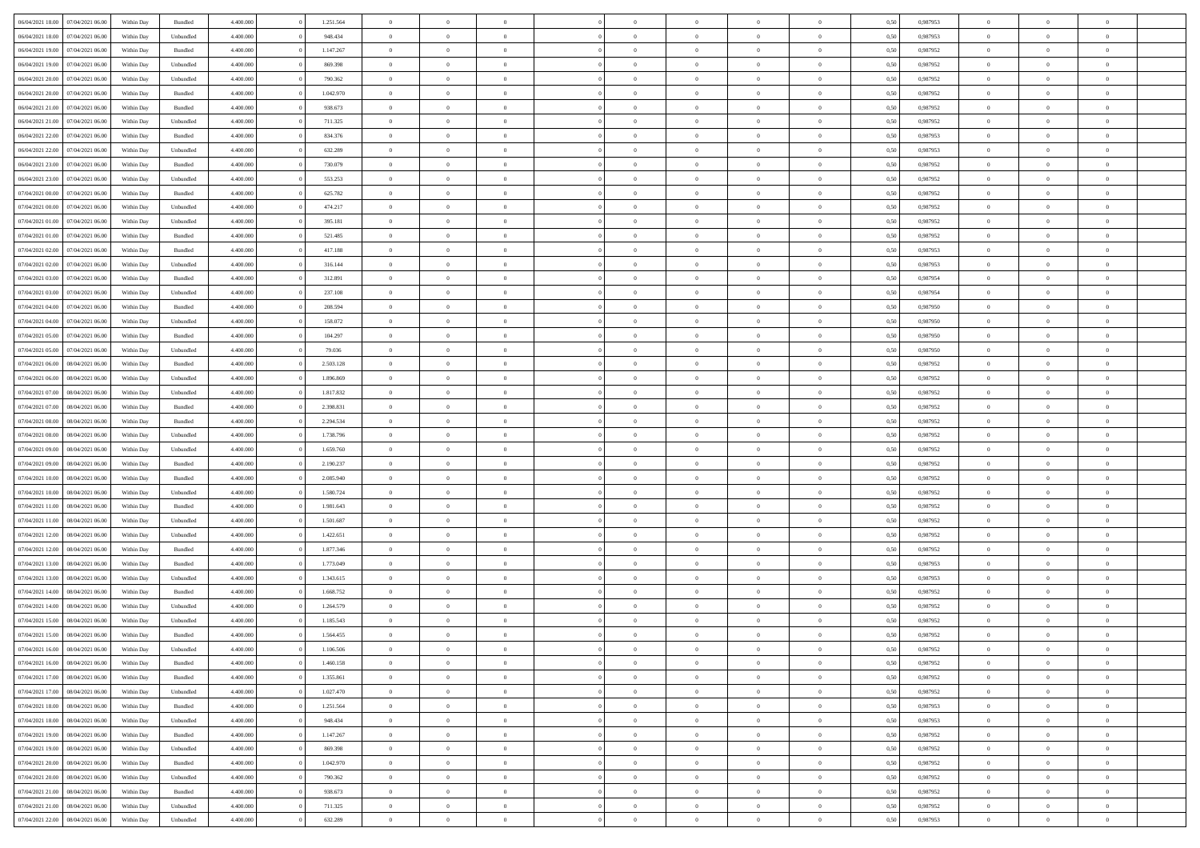| 06/04/2021 18:00<br>07/04/2021 06:00 | Within Day | Bundled            | 4.400.000 | 1.251.564 | $\overline{0}$ | $\Omega$       |                | $\Omega$       | $\Omega$       | $\theta$       | $\theta$       | 0,50 | 0.987953 | $\theta$       | $\theta$       | $\theta$       |  |
|--------------------------------------|------------|--------------------|-----------|-----------|----------------|----------------|----------------|----------------|----------------|----------------|----------------|------|----------|----------------|----------------|----------------|--|
|                                      |            |                    |           |           |                |                |                |                |                |                |                |      |          |                |                |                |  |
| 06/04/2021 18:00<br>07/04/2021 06:00 | Within Day | Unbundled          | 4.400.000 | 948.434   | $\overline{0}$ | $\theta$       | $\overline{0}$ | $\overline{0}$ | $\bf{0}$       | $\overline{0}$ | $\bf{0}$       | 0,50 | 0,987953 | $\theta$       | $\overline{0}$ | $\overline{0}$ |  |
| 06/04/2021 19:00<br>07/04/2021 06:00 | Within Day | Bundled            | 4.400.000 | 1.147.267 | $\overline{0}$ | $\bf{0}$       | $\overline{0}$ | $\bf{0}$       | $\bf{0}$       | $\bf{0}$       | $\mathbf{0}$   | 0,50 | 0,987952 | $\bf{0}$       | $\overline{0}$ | $\overline{0}$ |  |
| 06/04/2021 19:00<br>07/04/2021 06:00 | Within Day | Unbundled          | 4.400.000 | 869.398   | $\overline{0}$ | $\overline{0}$ | $\overline{0}$ | $\overline{0}$ | $\bf{0}$       | $\overline{0}$ | $\overline{0}$ | 0.50 | 0,987952 | $\theta$       | $\theta$       | $\overline{0}$ |  |
| 06/04/2021 20:00<br>07/04/2021 06:00 | Within Day | Unbundled          | 4.400.000 | 790.362   | $\overline{0}$ | $\theta$       | $\overline{0}$ | $\overline{0}$ | $\bf{0}$       | $\overline{0}$ | $\bf{0}$       | 0,50 | 0,987952 | $\theta$       | $\overline{0}$ | $\overline{0}$ |  |
| 06/04/2021 20:00<br>07/04/2021 06.00 | Within Day | Bundled            | 4.400.000 | 1.042.970 | $\overline{0}$ | $\overline{0}$ | $\overline{0}$ | $\bf{0}$       | $\overline{0}$ | $\overline{0}$ | $\mathbf{0}$   | 0,50 | 0,987952 | $\bf{0}$       | $\overline{0}$ | $\bf{0}$       |  |
| 06/04/2021 21:00<br>07/04/2021 06.00 | Within Dav | Bundled            | 4.400.000 | 938.673   | $\overline{0}$ | $\overline{0}$ | $\overline{0}$ | $\overline{0}$ | $\overline{0}$ | $\overline{0}$ | $\overline{0}$ | 0.50 | 0,987952 | $\theta$       | $\overline{0}$ | $\overline{0}$ |  |
|                                      |            |                    |           |           |                |                |                |                |                |                |                |      |          |                |                |                |  |
| 06/04/2021 21:00<br>07/04/2021 06:00 | Within Day | Unbundled          | 4.400.000 | 711.325   | $\overline{0}$ | $\theta$       | $\overline{0}$ | $\overline{0}$ | $\bf{0}$       | $\overline{0}$ | $\bf{0}$       | 0,50 | 0,987952 | $\theta$       | $\theta$       | $\overline{0}$ |  |
| 06/04/2021 22.00<br>07/04/2021 06.00 | Within Day | Bundled            | 4.400.000 | 834.376   | $\overline{0}$ | $\overline{0}$ | $\overline{0}$ | $\bf{0}$       | $\bf{0}$       | $\bf{0}$       | $\mathbf{0}$   | 0,50 | 0,987953 | $\,0\,$        | $\overline{0}$ | $\overline{0}$ |  |
| 06/04/2021 22:00<br>07/04/2021 06.00 | Within Dav | Unbundled          | 4.400.000 | 632.289   | $\overline{0}$ | $\overline{0}$ | $\overline{0}$ | $\overline{0}$ | $\overline{0}$ | $\overline{0}$ | $\overline{0}$ | 0.50 | 0,987953 | $\theta$       | $\overline{0}$ | $\overline{0}$ |  |
| 06/04/2021 23:00<br>07/04/2021 06:00 | Within Day | Bundled            | 4.400.000 | 730.079   | $\overline{0}$ | $\theta$       | $\overline{0}$ | $\overline{0}$ | $\bf{0}$       | $\overline{0}$ | $\bf{0}$       | 0,50 | 0,987952 | $\,$ 0 $\,$    | $\overline{0}$ | $\overline{0}$ |  |
| 06/04/2021 23:00<br>07/04/2021 06.00 | Within Day | Unbundled          | 4.400.000 | 553.253   | $\overline{0}$ | $\overline{0}$ | $\overline{0}$ | $\bf{0}$       | $\bf{0}$       | $\bf{0}$       | $\mathbf{0}$   | 0,50 | 0,987952 | $\overline{0}$ | $\overline{0}$ | $\bf{0}$       |  |
| 07/04/2021 00:00<br>07/04/2021 06:00 | Within Day | Bundled            | 4.400.000 | 625.782   | $\overline{0}$ | $\overline{0}$ | $\overline{0}$ | $\overline{0}$ | $\bf{0}$       | $\overline{0}$ | $\overline{0}$ | 0.50 | 0,987952 | $\theta$       | $\theta$       | $\overline{0}$ |  |
| 07/04/2021 00:00<br>07/04/2021 06.00 | Within Day | Unbundled          | 4.400.000 | 474.217   | $\overline{0}$ | $\theta$       | $\overline{0}$ | $\overline{0}$ | $\bf{0}$       | $\overline{0}$ | $\bf{0}$       | 0,50 | 0,987952 | $\theta$       | $\overline{0}$ | $\overline{0}$ |  |
|                                      |            |                    |           |           |                |                |                |                |                |                |                |      |          |                |                |                |  |
| 07/04/2021 01:00<br>07/04/2021 06:00 | Within Day | Unbundled          | 4.400.000 | 395.181   | $\overline{0}$ | $\overline{0}$ | $\overline{0}$ | $\bf{0}$       | $\overline{0}$ | $\overline{0}$ | $\mathbf{0}$   | 0,50 | 0,987952 | $\overline{0}$ | $\overline{0}$ | $\bf{0}$       |  |
| 07/04/2021 01:00<br>07/04/2021 06:00 | Within Dav | Bundled            | 4.400.000 | 521.485   | $\overline{0}$ | $\overline{0}$ | $\overline{0}$ | $\overline{0}$ | $\overline{0}$ | $\overline{0}$ | $\overline{0}$ | 0.50 | 0,987952 | $\theta$       | $\overline{0}$ | $\overline{0}$ |  |
| 07/04/2021 02:00<br>07/04/2021 06:00 | Within Day | Bundled            | 4.400.000 | 417.188   | $\overline{0}$ | $\theta$       | $\overline{0}$ | $\overline{0}$ | $\bf{0}$       | $\overline{0}$ | $\bf{0}$       | 0,50 | 0,987953 | $\theta$       | $\overline{0}$ | $\overline{0}$ |  |
| 07/04/2021 02:00<br>07/04/2021 06.00 | Within Day | Unbundled          | 4.400.000 | 316.144   | $\overline{0}$ | $\overline{0}$ | $\overline{0}$ | $\bf{0}$       | $\bf{0}$       | $\bf{0}$       | $\mathbf{0}$   | 0,50 | 0,987953 | $\,0\,$        | $\overline{0}$ | $\bf{0}$       |  |
| 07/04/2021 03:00<br>07/04/2021 06.00 | Within Dav | Bundled            | 4.400.000 | 312.891   | $\overline{0}$ | $\overline{0}$ | $\overline{0}$ | $\overline{0}$ | $\overline{0}$ | $\overline{0}$ | $\overline{0}$ | 0.50 | 0,987954 | $\theta$       | $\overline{0}$ | $\overline{0}$ |  |
| 07/04/2021 03:00<br>07/04/2021 06:00 | Within Day | Unbundled          | 4.400.000 | 237.108   | $\overline{0}$ | $\theta$       | $\overline{0}$ | $\overline{0}$ | $\bf{0}$       | $\overline{0}$ | $\bf{0}$       | 0,50 | 0,987954 | $\,$ 0 $\,$    | $\overline{0}$ | $\overline{0}$ |  |
| 07/04/2021 04:00<br>07/04/2021 06.00 | Within Day | Bundled            | 4.400.000 | 208.594   | $\overline{0}$ | $\overline{0}$ | $\overline{0}$ | $\bf{0}$       | $\bf{0}$       | $\bf{0}$       | $\mathbf{0}$   | 0,50 | 0,987950 | $\bf{0}$       | $\overline{0}$ | $\bf{0}$       |  |
| 07/04/2021 04:00<br>07/04/2021 06:00 | Within Day | Unbundled          | 4.400.000 | 158.072   | $\overline{0}$ | $\overline{0}$ | $\overline{0}$ | $\overline{0}$ | $\overline{0}$ | $\overline{0}$ | $\overline{0}$ | 0.50 | 0,987950 | $\theta$       | $\overline{0}$ | $\overline{0}$ |  |
|                                      |            |                    |           |           |                |                |                |                |                |                |                |      |          |                |                |                |  |
| 07/04/2021 05:00<br>07/04/2021 06:00 | Within Day | Bundled            | 4.400.000 | 104.297   | $\overline{0}$ | $\theta$       | $\overline{0}$ | $\overline{0}$ | $\bf{0}$       | $\overline{0}$ | $\bf{0}$       | 0,50 | 0,987950 | $\,$ 0 $\,$    | $\overline{0}$ | $\overline{0}$ |  |
| 07/04/2021 05:00<br>07/04/2021 06.00 | Within Day | Unbundled          | 4.400.000 | 79.036    | $\overline{0}$ | $\overline{0}$ | $\overline{0}$ | $\bf{0}$       | $\overline{0}$ | $\overline{0}$ | $\mathbf{0}$   | 0,50 | 0,987950 | $\bf{0}$       | $\overline{0}$ | $\bf{0}$       |  |
| 07/04/2021 06:00<br>08/04/2021 06:00 | Within Dav | Bundled            | 4.400.000 | 2.503.128 | $\overline{0}$ | $\overline{0}$ | $\overline{0}$ | $\overline{0}$ | $\overline{0}$ | $\overline{0}$ | $\overline{0}$ | 0.50 | 0,987952 | $\theta$       | $\overline{0}$ | $\overline{0}$ |  |
| 07/04/2021 06:00<br>08/04/2021 06:00 | Within Day | Unbundled          | 4.400.000 | 1.896.869 | $\overline{0}$ | $\theta$       | $\overline{0}$ | $\overline{0}$ | $\bf{0}$       | $\overline{0}$ | $\bf{0}$       | 0,50 | 0,987952 | $\theta$       | $\overline{0}$ | $\overline{0}$ |  |
| 07/04/2021 07:00<br>08/04/2021 06:00 | Within Day | Unbundled          | 4.400.000 | 1.817.832 | $\overline{0}$ | $\overline{0}$ | $\overline{0}$ | $\bf{0}$       | $\bf{0}$       | $\bf{0}$       | $\bf{0}$       | 0,50 | 0,987952 | $\,0\,$        | $\overline{0}$ | $\overline{0}$ |  |
| 07/04/2021 07:00<br>08/04/2021 06:00 | Within Day | Bundled            | 4.400.000 | 2.398.831 | $\overline{0}$ | $\overline{0}$ | $\overline{0}$ | $\overline{0}$ | $\overline{0}$ | $\overline{0}$ | $\overline{0}$ | 0.50 | 0,987952 | $\theta$       | $\overline{0}$ | $\overline{0}$ |  |
| 07/04/2021 08:00<br>08/04/2021 06:00 | Within Day | Bundled            | 4.400.000 | 2.294.534 | $\overline{0}$ | $\theta$       | $\overline{0}$ | $\overline{0}$ | $\bf{0}$       | $\overline{0}$ | $\bf{0}$       | 0,50 | 0,987952 | $\,$ 0 $\,$    | $\overline{0}$ | $\overline{0}$ |  |
|                                      |            |                    |           |           |                |                |                |                | $\bf{0}$       |                |                |      |          |                | $\overline{0}$ | $\bf{0}$       |  |
| 07/04/2021 08:00<br>08/04/2021 06:00 | Within Day | Unbundled          | 4.400.000 | 1.738.796 | $\overline{0}$ | $\overline{0}$ | $\overline{0}$ | $\bf{0}$       |                | $\bf{0}$       | $\bf{0}$       | 0,50 | 0,987952 | $\bf{0}$       |                |                |  |
| 07/04/2021 09:00<br>08/04/2021 06:00 | Within Day | Unbundled          | 4.400,000 | 1.659.760 | $\bf{0}$       | $\Omega$       | $\overline{0}$ | $\Omega$       | $\Omega$       | $\overline{0}$ | $\overline{0}$ | 0,50 | 0,987952 | $\,0\,$        | $\theta$       | $\theta$       |  |
| 07/04/2021 09:00<br>08/04/2021 06:00 | Within Day | Bundled            | 4.400.000 | 2.190.237 | $\overline{0}$ | $\theta$       | $\overline{0}$ | $\overline{0}$ | $\bf{0}$       | $\overline{0}$ | $\bf{0}$       | 0,50 | 0,987952 | $\,$ 0 $\,$    | $\overline{0}$ | $\overline{0}$ |  |
| 07/04/2021 10:00<br>08/04/2021 06:00 | Within Day | Bundled            | 4.400.000 | 2.085.940 | $\overline{0}$ | $\overline{0}$ | $\overline{0}$ | $\bf{0}$       | $\overline{0}$ | $\overline{0}$ | $\mathbf{0}$   | 0,50 | 0,987952 | $\overline{0}$ | $\overline{0}$ | $\bf{0}$       |  |
| 07/04/2021 10:00<br>08/04/2021 06:00 | Within Day | Unbundled          | 4.400,000 | 1.580.724 | $\overline{0}$ | $\Omega$       | $\Omega$       | $\Omega$       | $\overline{0}$ | $\overline{0}$ | $\overline{0}$ | 0.50 | 0,987952 | $\,0\,$        | $\theta$       | $\theta$       |  |
| 07/04/2021 11:00<br>08/04/2021 06:00 | Within Day | Bundled            | 4.400.000 | 1.981.643 | $\overline{0}$ | $\theta$       | $\overline{0}$ | $\overline{0}$ | $\bf{0}$       | $\overline{0}$ | $\bf{0}$       | 0,50 | 0,987952 | $\,$ 0 $\,$    | $\overline{0}$ | $\overline{0}$ |  |
| 07/04/2021 11:00<br>08/04/2021 06:00 | Within Day | Unbundled          | 4.400.000 | 1.501.687 | $\overline{0}$ | $\overline{0}$ | $\overline{0}$ | $\bf{0}$       | $\bf{0}$       | $\bf{0}$       | $\bf{0}$       | 0,50 | 0,987952 | $\bf{0}$       | $\overline{0}$ | $\bf{0}$       |  |
| 07/04/2021 12:00<br>08/04/2021 06:00 | Within Day | Unbundled          | 4.400,000 | 1.422.651 | $\overline{0}$ | $\Omega$       | $\overline{0}$ | $\Omega$       | $\overline{0}$ | $\overline{0}$ | $\overline{0}$ | 0.50 | 0.987952 | $\,$ 0 $\,$    | $\theta$       | $\theta$       |  |
|                                      |            |                    |           |           | $\overline{0}$ |                |                |                |                |                |                |      |          |                |                |                |  |
| 07/04/2021 12:00<br>08/04/2021 06:00 | Within Day | Bundled            | 4.400.000 | 1.877.346 |                | $\theta$       | $\overline{0}$ | $\overline{0}$ | $\,$ 0         | $\overline{0}$ | $\bf{0}$       | 0,50 | 0,987952 | $\,$ 0 $\,$    | $\overline{0}$ | $\overline{0}$ |  |
| 07/04/2021 13:00<br>08/04/2021 06:00 | Within Day | Bundled            | 4.400.000 | 1.773.049 | $\overline{0}$ | $\bf{0}$       | $\overline{0}$ | $\bf{0}$       | $\bf{0}$       | $\bf{0}$       | $\mathbf{0}$   | 0,50 | 0,987953 | $\overline{0}$ | $\overline{0}$ | $\bf{0}$       |  |
| 07/04/2021 13:00<br>08/04/2021 06:00 | Within Day | Unbundled          | 4.400,000 | 1.343.615 | $\overline{0}$ | $\Omega$       | $\overline{0}$ | $\Omega$       | $\overline{0}$ | $\overline{0}$ | $\overline{0}$ | 0.50 | 0,987953 | $\,0\,$        | $\theta$       | $\theta$       |  |
| 07/04/2021 14:00<br>08/04/2021 06:00 | Within Day | Bundled            | 4.400.000 | 1.668.752 | $\overline{0}$ | $\overline{0}$ | $\overline{0}$ | $\overline{0}$ | $\,$ 0         | $\overline{0}$ | $\bf{0}$       | 0,50 | 0,987952 | $\,$ 0 $\,$    | $\overline{0}$ | $\overline{0}$ |  |
| 07/04/2021 14:00<br>08/04/2021 06:00 | Within Day | Unbundled          | 4.400.000 | 1.264.579 | $\overline{0}$ | $\overline{0}$ | $\overline{0}$ | $\bf{0}$       | $\bf{0}$       | $\overline{0}$ | $\mathbf{0}$   | 0,50 | 0,987952 | $\overline{0}$ | $\overline{0}$ | $\bf{0}$       |  |
| 07/04/2021 15:00<br>08/04/2021 06:00 | Within Day | Unbundled          | 4.400,000 | 1.185.543 | $\overline{0}$ | $\Omega$       | $\Omega$       | $\Omega$       | $\Omega$       | $\Omega$       | $\overline{0}$ | 0.50 | 0.987952 | $\theta$       | $\theta$       | $\theta$       |  |
| 07/04/2021 15:00<br>08/04/2021 06:00 | Within Day | Bundled            | 4.400.000 | 1.564.455 | $\overline{0}$ | $\overline{0}$ | $\overline{0}$ | $\bf{0}$       | $\,$ 0         | $\bf{0}$       | $\bf{0}$       | 0,50 | 0,987952 | $\,0\,$        | $\,$ 0 $\,$    | $\overline{0}$ |  |
| 07/04/2021 16:00 08/04/2021 06:00    | Within Day | Unbundled          | 4.400.000 | 1.106.506 | $\overline{0}$ | $\bf{0}$       |                |                | $\bf{0}$       |                |                | 0,50 | 0,987952 | $\bf{0}$       | $\overline{0}$ |                |  |
| 07/04/2021 16:00<br>08/04/2021 06:00 |            | Bundled            | 4.400.000 | 1.460.158 | $\overline{0}$ | $\overline{0}$ | $\overline{0}$ | $\Omega$       | $\overline{0}$ | $\overline{0}$ | $\overline{0}$ |      | 0.987952 | $\theta$       | $\theta$       | $\theta$       |  |
|                                      | Within Day |                    |           |           |                |                |                |                |                |                |                | 0,50 |          |                |                |                |  |
| 07/04/2021 17:00<br>08/04/2021 06:00 | Within Day | Bundled            | 4.400.000 | 1.355.861 | $\overline{0}$ | $\bf{0}$       | $\overline{0}$ | $\bf{0}$       | $\,$ 0 $\,$    | $\overline{0}$ | $\,$ 0 $\,$    | 0,50 | 0,987952 | $\,$ 0 $\,$    | $\,$ 0 $\,$    | $\,$ 0         |  |
| 07/04/2021 17:00<br>08/04/2021 06:00 | Within Day | Unbundled          | 4.400.000 | 1.027.470 | $\overline{0}$ | $\overline{0}$ | $\overline{0}$ | $\overline{0}$ | $\overline{0}$ | $\overline{0}$ | $\mathbf{0}$   | 0,50 | 0,987952 | $\overline{0}$ | $\bf{0}$       | $\overline{0}$ |  |
| 07/04/2021 18:00<br>08/04/2021 06:00 | Within Day | $\mathbf B$ undled | 4.400,000 | 1.251.564 | $\overline{0}$ | $\overline{0}$ | $\overline{0}$ | $\Omega$       | $\overline{0}$ | $\overline{0}$ | $\overline{0}$ | 0,50 | 0,987953 | $\overline{0}$ | $\,$ 0 $\,$    | $\overline{0}$ |  |
| 07/04/2021 18:00<br>08/04/2021 06:00 | Within Day | Unbundled          | 4.400.000 | 948.434   | $\overline{0}$ | $\,$ 0         | $\overline{0}$ | $\bf{0}$       | $\,$ 0 $\,$    | $\overline{0}$ | $\,$ 0 $\,$    | 0,50 | 0,987953 | $\,$ 0 $\,$    | $\overline{0}$ | $\overline{0}$ |  |
| 07/04/2021 19:00<br>08/04/2021 06:00 | Within Day | Bundled            | 4.400.000 | 1.147.267 | $\overline{0}$ | $\overline{0}$ | $\overline{0}$ | $\overline{0}$ | $\overline{0}$ | $\overline{0}$ | $\mathbf{0}$   | 0,50 | 0,987952 | $\overline{0}$ | $\overline{0}$ | $\bf{0}$       |  |
| 07/04/2021 19:00<br>08/04/2021 06:00 | Within Day | Unbundled          | 4.400.000 | 869,398   | $\overline{0}$ | $\overline{0}$ | $\overline{0}$ | $\overline{0}$ | $\overline{0}$ | $\overline{0}$ | $\overline{0}$ | 0.50 | 0,987952 | $\overline{0}$ | $\theta$       | $\overline{0}$ |  |
| 07/04/2021 20:00<br>08/04/2021 06:00 | Within Day | Bundled            | 4.400.000 | 1.042.970 | $\overline{0}$ | $\,$ 0         | $\overline{0}$ | $\overline{0}$ | $\bf{0}$       | $\overline{0}$ | $\bf{0}$       | 0,50 | 0,987952 | $\,$ 0 $\,$    | $\overline{0}$ | $\overline{0}$ |  |
| 07/04/2021 20:00<br>08/04/2021 06:00 | Within Day | Unbundled          | 4.400.000 | 790.362   | $\overline{0}$ | $\bf{0}$       | $\overline{0}$ | $\overline{0}$ | $\overline{0}$ | $\overline{0}$ | $\mathbf{0}$   | 0,50 | 0,987952 | $\overline{0}$ | $\overline{0}$ | $\bf{0}$       |  |
|                                      |            |                    |           |           |                |                |                |                |                |                |                |      |          |                |                |                |  |
| 07/04/2021 21:00<br>08/04/2021 06:00 | Within Day | Bundled            | 4.400,000 | 938.673   | $\overline{0}$ | $\overline{0}$ | $\overline{0}$ | $\Omega$       | $\overline{0}$ | $\overline{0}$ | $\overline{0}$ | 0.50 | 0,987952 | $\overline{0}$ | $\overline{0}$ | $\overline{0}$ |  |
| 07/04/2021 21:00<br>08/04/2021 06:00 | Within Day | Unbundled          | 4.400.000 | 711.325   | $\overline{0}$ | $\bf{0}$       | $\overline{0}$ | $\bf{0}$       | $\bf{0}$       | $\overline{0}$ | $\mathbf{0}$   | 0,50 | 0,987952 | $\,$ 0 $\,$    | $\,$ 0 $\,$    | $\bf{0}$       |  |
| 07/04/2021 22.00<br>08/04/2021 06:00 | Within Day | Unbundled          | 4.400.000 | 632.289   | $\overline{0}$ | $\overline{0}$ | $\overline{0}$ | $\overline{0}$ | $\overline{0}$ | $\overline{0}$ | $\mathbf{0}$   | 0,50 | 0,987953 | $\overline{0}$ | $\bf{0}$       | $\overline{0}$ |  |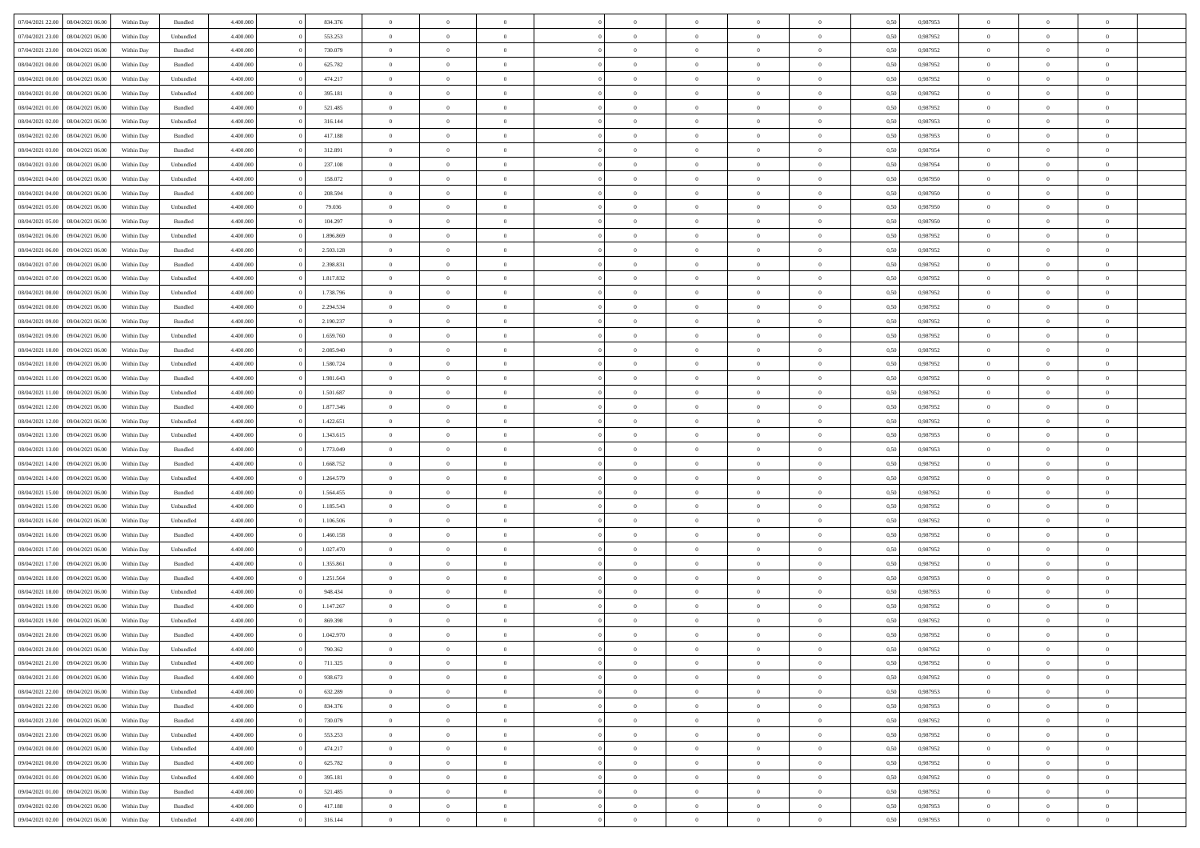| 07/04/2021 22:00 08/04/2021 06:00                                            | Within Day               | Bundled              | 4.400.000              | 834.376              | $\overline{0}$                   | $\overline{0}$             | $\Omega$                         | $\Omega$                         | $\theta$             | $\Omega$                         | $\overline{0}$             | 0,50         | 0,987953             | $\theta$                   | $\theta$                  | $\theta$                   |  |
|------------------------------------------------------------------------------|--------------------------|----------------------|------------------------|----------------------|----------------------------------|----------------------------|----------------------------------|----------------------------------|----------------------|----------------------------------|----------------------------|--------------|----------------------|----------------------------|---------------------------|----------------------------|--|
| 07/04/2021 23:00<br>08/04/2021 06:00                                         | Within Day               | Unbundled            | 4.400.000              | 553.253              | $\overline{0}$                   | $\overline{0}$             | $\overline{0}$                   | $\overline{0}$                   | $\theta$             | $\overline{0}$                   | $\bf{0}$                   | 0,50         | 0,987952             | $\theta$                   | $\theta$                  | $\overline{0}$             |  |
| 07/04/2021 23:00<br>08/04/2021 06:00                                         | Within Day               | Bundled              | 4.400.000              | 730.079              | $\overline{0}$                   | $\bf{0}$                   | $\overline{0}$                   | $\overline{0}$                   | $\overline{0}$       | $\overline{0}$                   | $\bf{0}$                   | 0,50         | 0,987952             | $\bf{0}$                   | $\overline{0}$            | $\overline{0}$             |  |
| 08/04/2021 00:00<br>08/04/2021 06:00                                         | Within Day               | Bundled              | 4.400.000              | 625.782              | $\overline{0}$                   | $\overline{0}$             | $\overline{0}$                   | $\overline{0}$                   | $\theta$             | $\overline{0}$                   | $\overline{0}$             | 0.50         | 0,987952             | $\theta$                   | $\theta$                  | $\overline{0}$             |  |
| 08/04/2021 00:00<br>08/04/2021 06:00                                         | Within Day               | Unbundled            | 4.400.000              | 474.217              | $\overline{0}$                   | $\overline{0}$             | $\overline{0}$                   | $\overline{0}$                   | $\theta$             | $\overline{0}$                   | $\bf{0}$                   | 0,50         | 0,987952             | $\theta$                   | $\theta$                  | $\overline{0}$             |  |
| 08/04/2021 01:00<br>08/04/2021 06:00                                         | Within Day               | Unbundled            | 4.400.000              | 395.181              | $\overline{0}$                   | $\bf{0}$                   | $\overline{0}$                   | $\overline{0}$                   | $\overline{0}$       | $\overline{0}$                   | $\bf{0}$                   | 0,50         | 0,987952             | $\overline{0}$             | $\overline{0}$            | $\bf{0}$                   |  |
| 08/04/2021 01:00<br>08/04/2021 06:00                                         | Within Day               | Bundled              | 4.400.000              | 521.485              | $\overline{0}$                   | $\overline{0}$             | $\overline{0}$                   | $\overline{0}$                   | $\overline{0}$       | $\overline{0}$                   | $\overline{0}$             | 0.5(         | 0,987952             | $\theta$                   | $\theta$                  | $\overline{0}$             |  |
| 08/04/2021 02:00<br>08/04/2021 06:00                                         | Within Day               | Unbundled            | 4.400.000              | 316.144              | $\bf{0}$                         | $\theta$                   | $\overline{0}$                   | $\overline{0}$                   | $\theta$             | $\overline{0}$                   | $\bf{0}$                   | 0,50         | 0,987953             | $\theta$                   | $\theta$                  | $\overline{0}$             |  |
|                                                                              |                          |                      |                        |                      |                                  | $\bf{0}$                   |                                  |                                  | $\overline{0}$       |                                  |                            |              |                      | $\bf{0}$                   | $\bf{0}$                  | $\overline{0}$             |  |
| 08/04/2021 02:00<br>08/04/2021 06:00<br>08/04/2021 03:00<br>08/04/2021 06:00 | Within Day               | Bundled<br>Bundled   | 4.400.000<br>4.400.000 | 417.188<br>312.891   | $\overline{0}$<br>$\overline{0}$ | $\overline{0}$             | $\overline{0}$<br>$\overline{0}$ | $\overline{0}$<br>$\overline{0}$ | $\overline{0}$       | $\overline{0}$<br>$\overline{0}$ | $\bf{0}$<br>$\overline{0}$ | 0,50<br>0.50 | 0,987953<br>0,987954 | $\theta$                   | $\theta$                  | $\overline{0}$             |  |
|                                                                              | Within Day               |                      |                        |                      |                                  |                            |                                  |                                  |                      |                                  |                            |              |                      |                            |                           |                            |  |
| 08/04/2021 03:00<br>08/04/2021 06:00                                         | Within Day               | Unbundled            | 4.400.000              | 237.108              | $\bf{0}$                         | $\overline{0}$             | $\overline{0}$                   | $\overline{0}$                   | $\theta$             | $\overline{0}$                   | $\bf{0}$                   | 0,50         | 0,987954             | $\theta$                   | $\theta$                  | $\overline{0}$             |  |
| 08/04/2021 04:00<br>08/04/2021 06:00                                         | Within Day               | Unbundled            | 4.400.000              | 158.072              | $\overline{0}$                   | $\bf{0}$                   | $\overline{0}$                   | $\overline{0}$                   | $\bf{0}$             | $\overline{0}$                   | $\bf{0}$                   | 0,50         | 0,987950             | $\bf{0}$                   | $\overline{0}$            | $\overline{0}$             |  |
| 08/04/2021 04:00<br>08/04/2021 06:00                                         | Within Day               | Bundled              | 4.400.000              | 208.594              | $\overline{0}$                   | $\overline{0}$             | $\overline{0}$                   | $\overline{0}$                   | $\overline{0}$       | $\overline{0}$                   | $\overline{0}$             | 0.5(         | 0.987950             | $\theta$                   | $\theta$                  | $\overline{0}$             |  |
| 08/04/2021 05:00<br>08/04/2021 06:00                                         | Within Day               | Unbundled            | 4.400.000              | 79.036               | $\overline{0}$                   | $\overline{0}$             | $\overline{0}$                   | $\overline{0}$                   | $\theta$             | $\overline{0}$                   | $\,$ 0 $\,$                | 0,50         | 0,987950             | $\theta$                   | $\theta$                  | $\overline{0}$             |  |
| 08/04/2021 05:00<br>08/04/2021 06:00                                         | Within Day               | Bundled              | 4.400.000              | 104.297              | $\overline{0}$                   | $\bf{0}$                   | $\overline{0}$                   | $\overline{0}$                   | $\overline{0}$       | $\overline{0}$                   | $\bf{0}$                   | 0,50         | 0,987950             | $\bf{0}$                   | $\overline{0}$            | $\bf{0}$                   |  |
| 08/04/2021 06:00<br>09/04/2021 06:00                                         | Within Day               | Unbundled            | 4.400.000              | 1.896.869            | $\overline{0}$                   | $\overline{0}$             | $\overline{0}$                   | $\overline{0}$                   | $\overline{0}$       | $\overline{0}$                   | $\overline{0}$             | 0.5(         | 0,987952             | $\theta$                   | $\theta$                  | $\overline{0}$             |  |
| 08/04/2021 06:00<br>09/04/2021 06:00                                         | Within Day               | Bundled              | 4.400.000              | 2.503.128            | $\bf{0}$                         | $\overline{0}$             | $\overline{0}$                   | $\overline{0}$                   | $\theta$             | $\overline{0}$                   | $\bf{0}$                   | 0,50         | 0,987952             | $\theta$                   | $\theta$                  | $\overline{0}$             |  |
| 08/04/2021 07:00<br>09/04/2021 06.00                                         | Within Day               | Bundled              | 4.400.000              | 2.398.831            | $\overline{0}$                   | $\bf{0}$                   | $\overline{0}$                   | $\overline{0}$                   | $\overline{0}$       | $\overline{0}$                   | $\bf{0}$                   | 0,50         | 0,987952             | $\bf{0}$                   | $\overline{0}$            | $\overline{0}$             |  |
| 08/04/2021 07:00<br>09/04/2021 06:00                                         | Within Day               | Unbundled            | 4.400.000              | 1.817.832            | $\overline{0}$                   | $\overline{0}$             | $\overline{0}$                   | $\overline{0}$                   | $\overline{0}$       | $\overline{0}$                   | $\overline{0}$             | 0.50         | 0,987952             | $\theta$                   | $\theta$                  | $\overline{0}$             |  |
| 08/04/2021 08:00<br>09/04/2021 06:00                                         | Within Day               | Unbundled            | 4.400.000              | 1.738.796            | $\bf{0}$                         | $\overline{0}$             | $\overline{0}$                   | $\overline{0}$                   | $\theta$             | $\overline{0}$                   | $\bf{0}$                   | 0,50         | 0,987952             | $\theta$                   | $\theta$                  | $\overline{0}$             |  |
| 08/04/2021 08:00<br>09/04/2021 06.00                                         | Within Day               | Bundled              | 4.400.000              | 2.294.534            | $\overline{0}$                   | $\bf{0}$                   | $\overline{0}$                   | $\overline{0}$                   | $\overline{0}$       | $\overline{0}$                   | $\bf{0}$                   | 0,50         | 0,987952             | $\bf{0}$                   | $\overline{0}$            | $\overline{0}$             |  |
| 08/04/2021 09:00<br>09/04/2021 06:00                                         | Within Day               | Bundled              | 4.400.000              | 2.190.237            | $\overline{0}$                   | $\overline{0}$             | $\overline{0}$                   | $\overline{0}$                   | $\overline{0}$       | $\overline{0}$                   | $\overline{0}$             | 0.5(         | 0.987952             | $\theta$                   | $\theta$                  | $\overline{0}$             |  |
| 08/04/2021 09:00<br>09/04/2021 06:00                                         | Within Day               | Unbundled            | 4.400.000              | 1.659.760            | $\bf{0}$                         | $\overline{0}$             | $\overline{0}$                   | $\overline{0}$                   | $\theta$             | $\overline{0}$                   | $\bf{0}$                   | 0,50         | 0,987952             | $\theta$                   | $\theta$                  | $\overline{0}$             |  |
| 08/04/2021 10:00<br>09/04/2021 06.00                                         | Within Day               | Bundled              | 4.400.000              | 2.085.940            | $\overline{0}$                   | $\bf{0}$                   | $\overline{0}$                   | $\overline{0}$                   | $\overline{0}$       | $\overline{0}$                   | $\bf{0}$                   | 0,50         | 0,987952             | $\overline{0}$             | $\overline{0}$            | $\bf{0}$                   |  |
| 08/04/2021 10:00<br>09/04/2021 06:00                                         | Within Day               | Unbundled            | 4.400.000              | 1.580.724            | $\overline{0}$                   | $\overline{0}$             | $\overline{0}$                   | $\overline{0}$                   | $\overline{0}$       | $\overline{0}$                   | $\overline{0}$             | 0.5(         | 0,987952             | $\theta$                   | $\theta$                  | $\overline{0}$             |  |
| 08/04/2021 11:00<br>09/04/2021 06:00                                         | Within Day               | Bundled              | 4.400.000              | 1.981.643            | $\bf{0}$                         | $\overline{0}$             | $\overline{0}$                   | $\overline{0}$                   | $\theta$             | $\overline{0}$                   | $\bf{0}$                   | 0,50         | 0,987952             | $\theta$                   | $\theta$                  | $\overline{0}$             |  |
| 08/04/2021 11:00<br>09/04/2021 06.00                                         | Within Day               | Unbundled            | 4.400.000              | 1.501.687            | $\overline{0}$                   | $\bf{0}$                   | $\overline{0}$                   | $\overline{0}$                   | $\overline{0}$       | $\overline{0}$                   | $\bf{0}$                   | 0,50         | 0,987952             | $\bf{0}$                   | $\bf{0}$                  | $\overline{0}$             |  |
| 08/04/2021 12:00<br>09/04/2021 06:00                                         | Within Day               | Bundled              | 4.400.000              | 1.877.346            | $\overline{0}$                   | $\overline{0}$             | $\overline{0}$                   | $\overline{0}$                   | $\overline{0}$       | $\overline{0}$                   | $\overline{0}$             | 0.5(         | 0,987952             | $\theta$                   | $\theta$                  | $\overline{0}$             |  |
| 08/04/2021 12:00<br>09/04/2021 06:00                                         | Within Day               | Unbundled            | 4.400.000              | 1.422.651            | $\bf{0}$                         | $\overline{0}$             | $\overline{0}$                   | $\overline{0}$                   | $\theta$             | $\overline{0}$                   | $\bf{0}$                   | 0,50         | 0,987952             | $\theta$                   | $\theta$                  | $\overline{0}$             |  |
| 08/04/2021 13:00<br>09/04/2021 06.00                                         | Within Day               | Unbundled            | 4.400.000              | 1.343.615            | $\overline{0}$                   | $\bf{0}$                   | $\overline{0}$                   | $\overline{0}$                   | $\bf{0}$             | $\overline{0}$                   | $\bf{0}$                   | 0,50         | 0,987953             | $\bf{0}$                   | $\overline{0}$            | $\overline{0}$             |  |
| 08/04/2021 13:00<br>09/04/2021 06.00                                         | Within Day               | Bundled              | 4,400,000              | 1.773.049            | $\overline{0}$                   | $\overline{0}$             | $\Omega$                         | $\Omega$                         | $\Omega$             | $\Omega$                         | $\overline{0}$             | 0.50         | 0,987953             | $\,$ 0 $\,$                | $\Omega$                  | $\theta$                   |  |
| 08/04/2021 14:00<br>09/04/2021 06:00                                         | Within Day               | Bundled              | 4.400.000              | 1.668.752            | $\bf{0}$                         | $\overline{0}$             | $\overline{0}$                   | $\overline{0}$                   | $\theta$             | $\overline{0}$                   | $\bf{0}$                   | 0,50         | 0,987952             | $\theta$                   | $\theta$                  | $\overline{0}$             |  |
| 08/04/2021 14:00<br>09/04/2021 06.00                                         | Within Day               | Unbundled            | 4.400.000              | 1.264.579            | $\overline{0}$                   | $\bf{0}$                   | $\overline{0}$                   | $\overline{0}$                   | $\overline{0}$       | $\overline{0}$                   | $\bf{0}$                   | 0,50         | 0,987952             | $\overline{0}$             | $\overline{0}$            | $\bf{0}$                   |  |
| 08/04/2021 15:00<br>09/04/2021 06:00                                         | Within Day               | Bundled              | 4,400,000              | 1.564.455            | $\overline{0}$                   | $\overline{0}$             | $\Omega$                         | $\Omega$                         | $\overline{0}$       | $\Omega$                         | $\overline{0}$             | 0.50         | 0,987952             | $\theta$                   | $\theta$                  | $\theta$                   |  |
| 08/04/2021 15:00<br>09/04/2021 06:00                                         | Within Day               | Unbundled            | 4.400.000              | 1.185.543            | $\bf{0}$                         | $\overline{0}$             | $\overline{0}$                   | $\overline{0}$                   | $\theta$             | $\overline{0}$                   | $\bf{0}$                   | 0,50         | 0,987952             | $\theta$                   | $\theta$                  | $\overline{0}$             |  |
| 08/04/2021 16:00<br>09/04/2021 06.00                                         | Within Day               | Unbundled            | 4.400.000              | 1.106.506            | $\overline{0}$                   | $\bf{0}$                   | $\overline{0}$                   | $\overline{0}$                   | $\overline{0}$       | $\overline{0}$                   | $\bf{0}$                   | 0,50         | 0,987952             | $\bf{0}$                   | $\overline{0}$            | $\overline{0}$             |  |
| 08/04/2021 16:00<br>09/04/2021 06:00                                         | Within Day               | Bundled              | 4,400,000              | 1.460.158            | $\overline{0}$                   | $\overline{0}$             | $\Omega$                         | $\Omega$                         | $\Omega$             | $\Omega$                         | $\overline{0}$             | 0.50         | 0.987952             | $\theta$                   | $\Omega$                  | $\theta$                   |  |
| 08/04/2021 17:00<br>09/04/2021 06:00                                         | Within Day               | Unbundled            | 4.400.000              | 1.027.470            | $\bf{0}$                         | $\overline{0}$             | $\overline{0}$                   | $\overline{0}$                   | $\theta$             | $\overline{0}$                   | $\bf{0}$                   | 0,50         | 0,987952             | $\theta$                   | $\theta$                  | $\overline{0}$             |  |
| 08/04/2021 17:00<br>09/04/2021 06.00                                         | Within Day               | Bundled              | 4.400.000              | 1.355.861            | $\overline{0}$                   | $\bf{0}$                   | $\overline{0}$                   | $\overline{0}$                   | $\overline{0}$       | $\overline{0}$                   | $\bf{0}$                   | 0,50         | 0,987952             | $\bf{0}$                   | $\overline{0}$            | $\overline{0}$             |  |
|                                                                              |                          |                      | 4,400,000              |                      | $\overline{0}$                   | $\overline{0}$             | $\Omega$                         | $\Omega$                         | $\theta$             | $\Omega$                         | $\overline{0}$             | 0.50         |                      | $\,$ 0 $\,$                | $\overline{0}$            | $\theta$                   |  |
| 08/04/2021 18:00<br>09/04/2021 06.00                                         | Within Day               | Bundled              |                        | 1.251.564            |                                  |                            |                                  |                                  |                      |                                  |                            |              | 0,987953             | $\theta$                   | $\theta$                  |                            |  |
| 08/04/2021 18:00<br>09/04/2021 06:00                                         | Within Day               | Unbundled            | 4.400.000              | 948.434              | $\bf{0}$                         | $\overline{0}$<br>$\bf{0}$ | $\overline{0}$                   | $\overline{0}$                   | $\theta$<br>$\bf{0}$ | $\overline{0}$                   | $\bf{0}$                   | 0,50         | 0,987953             |                            | $\overline{0}$            | $\overline{0}$<br>$\bf{0}$ |  |
| 08/04/2021 19:00<br>09/04/2021 06.00<br>09/04/2021 06:00                     | Within Day               | Bundled              | 4.400.000<br>4,400,000 | 1.147.267<br>869,398 | $\overline{0}$                   | $\Omega$                   | $\overline{0}$<br>$\Omega$       | $\overline{0}$<br>$\Omega$       | $\Omega$             | $\overline{0}$<br>$\theta$       | $\bf{0}$                   | 0,50         | 0,987952<br>0.987952 | $\overline{0}$<br>$\theta$ |                           | $\theta$                   |  |
| 08/04/2021 19:00<br>08/04/2021 20:00<br>09/04/2021 06:00                     | Within Day<br>Within Day | Unbundled<br>Bundled | 4.400.000              | 1.042.970            | $\overline{0}$<br>$\bf{0}$       | $\bf{0}$                   | $\overline{0}$                   | $\overline{0}$                   | $\bf{0}$             | $\bf{0}$                         | $\overline{0}$<br>$\bf{0}$ | 0.50<br>0,50 | 0,987952             | $\bf{0}$                   | $\overline{0}$<br>$\,0\,$ | $\overline{0}$             |  |
|                                                                              |                          |                      |                        |                      |                                  |                            |                                  |                                  |                      |                                  |                            |              |                      |                            |                           |                            |  |
| 08/04/2021 20:00 09/04/2021 06:00                                            | Within Day               | Unbundled            | 4.400.000              | 790.362              | $\bf{0}$                         | $\bf{0}$                   |                                  |                                  |                      |                                  |                            | 0,50         | 0,987952             | $\bf{0}$                   | $\bf{0}$                  |                            |  |
| 08/04/2021 21:00 09/04/2021 06:00                                            | Within Day               | Unbundled            | 4.400.000              | 711.325              | $\theta$                         | $\overline{0}$             | $\Omega$                         | $\theta$                         | $\overline{0}$       | $\overline{0}$                   | $\overline{0}$             | 0.50         | 0.987952             | $\theta$                   | $\theta$                  | $\theta$                   |  |
| 08/04/2021 21:00<br>09/04/2021 06:00                                         | Within Day               | Bundled              | 4.400.000              | 938.673              | $\overline{0}$                   | $\overline{0}$             | $\overline{0}$                   | $\overline{0}$                   | $\,$ 0 $\,$          | $\overline{0}$                   | $\,$ 0 $\,$                | 0,50         | 0,987952             | $\,$ 0 $\,$                | $\,$ 0 $\,$               | $\,$ 0                     |  |
| 08/04/2021 22.00<br>09/04/2021 06:00                                         | Within Day               | Unbundled            | 4.400.000              | 632.289              | $\overline{0}$                   | $\overline{0}$             | $\overline{0}$                   | $\overline{0}$                   | $\mathbf{0}$         | $\overline{0}$                   | $\bf{0}$                   | 0,50         | 0,987953             | $\overline{0}$             | $\overline{0}$            | $\overline{0}$             |  |
| 08/04/2021 22:00<br>09/04/2021 06:00                                         | Within Day               | Bundled              | 4.400.000              | 834.376              | $\overline{0}$                   | $\bf{0}$                   | $\overline{0}$                   | $\overline{0}$                   | $\overline{0}$       | $\overline{0}$                   | $\bf{0}$                   | 0,50         | 0,987953             | $\bf{0}$                   | $\theta$                  | $\overline{0}$             |  |
| 08/04/2021 23:00<br>09/04/2021 06:00                                         | Within Day               | Bundled              | 4.400.000              | 730.079              | $\overline{0}$                   | $\overline{0}$             | $\overline{0}$                   | $\overline{0}$                   | $\overline{0}$       | $\overline{0}$                   | $\bf{0}$                   | 0,50         | 0,987952             | $\,$ 0 $\,$                | $\,$ 0 $\,$               | $\overline{0}$             |  |
| 08/04/2021 23:00<br>09/04/2021 06:00                                         | Within Day               | Unbundled            | 4.400.000              | 553.253              | $\overline{0}$                   | $\overline{0}$             | $\overline{0}$                   | $\overline{0}$                   | $\overline{0}$       | $\overline{0}$                   | $\mathbf{0}$               | 0,50         | 0,987952             | $\overline{0}$             | $\overline{0}$            | $\overline{0}$             |  |
| 09/04/2021 00:00<br>09/04/2021 06:00                                         | Within Day               | Unbundled            | 4.400.000              | 474.217              | $\overline{0}$                   | $\bf{0}$                   | $\overline{0}$                   | $\overline{0}$                   | $\overline{0}$       | $\overline{0}$                   | $\bf{0}$                   | 0.50         | 0,987952             | $\overline{0}$             | $\theta$                  | $\overline{0}$             |  |
| 09/04/2021 00:00<br>09/04/2021 06:00                                         | Within Day               | Bundled              | 4.400.000              | 625.782              | $\overline{0}$                   | $\overline{0}$             | $\overline{0}$                   | $\overline{0}$                   | $\overline{0}$       | $\bf{0}$                         | $\bf{0}$                   | 0,50         | 0,987952             | $\,$ 0 $\,$                | $\,$ 0 $\,$               | $\overline{0}$             |  |
| 09/04/2021 01:00<br>09/04/2021 06:00                                         | Within Day               | Unbundled            | 4.400.000              | 395.181              | $\overline{0}$                   | $\bf{0}$                   | $\overline{0}$                   | $\overline{0}$                   | $\overline{0}$       | $\overline{0}$                   | $\bf{0}$                   | 0,50         | 0,987952             | $\overline{0}$             | $\overline{0}$            | $\bf{0}$                   |  |
| 09/04/2021 01:00<br>09/04/2021 06:00                                         | Within Day               | Bundled              | 4.400.000              | 521.485              | $\overline{0}$                   | $\overline{0}$             | $\overline{0}$                   | $\overline{0}$                   | $\overline{0}$       | $\overline{0}$                   | $\bf{0}$                   | 0.50         | 0,987952             | $\overline{0}$             | $\overline{0}$            | $\overline{0}$             |  |
| 09/04/2021 02:00<br>09/04/2021 06:00                                         | Within Day               | Bundled              | 4.400.000              | 417.188              | $\overline{0}$                   | $\,$ 0                     | $\overline{0}$                   | $\overline{0}$                   | $\bf{0}$             | $\bf{0}$                         | $\bf{0}$                   | 0,50         | 0,987953             | $\,$ 0 $\,$                | $\,$ 0 $\,$               | $\bf{0}$                   |  |
| 09/04/2021 02:00 09/04/2021 06:00                                            | Within Day               | Unbundled            | 4.400.000              | 316.144              | $\overline{0}$                   | $\bf{0}$                   | $\overline{0}$                   | $\overline{0}$                   | $\overline{0}$       | $\overline{0}$                   | $\bf{0}$                   | 0,50         | 0,987953             | $\bf{0}$                   | $\overline{0}$            | $\bf{0}$                   |  |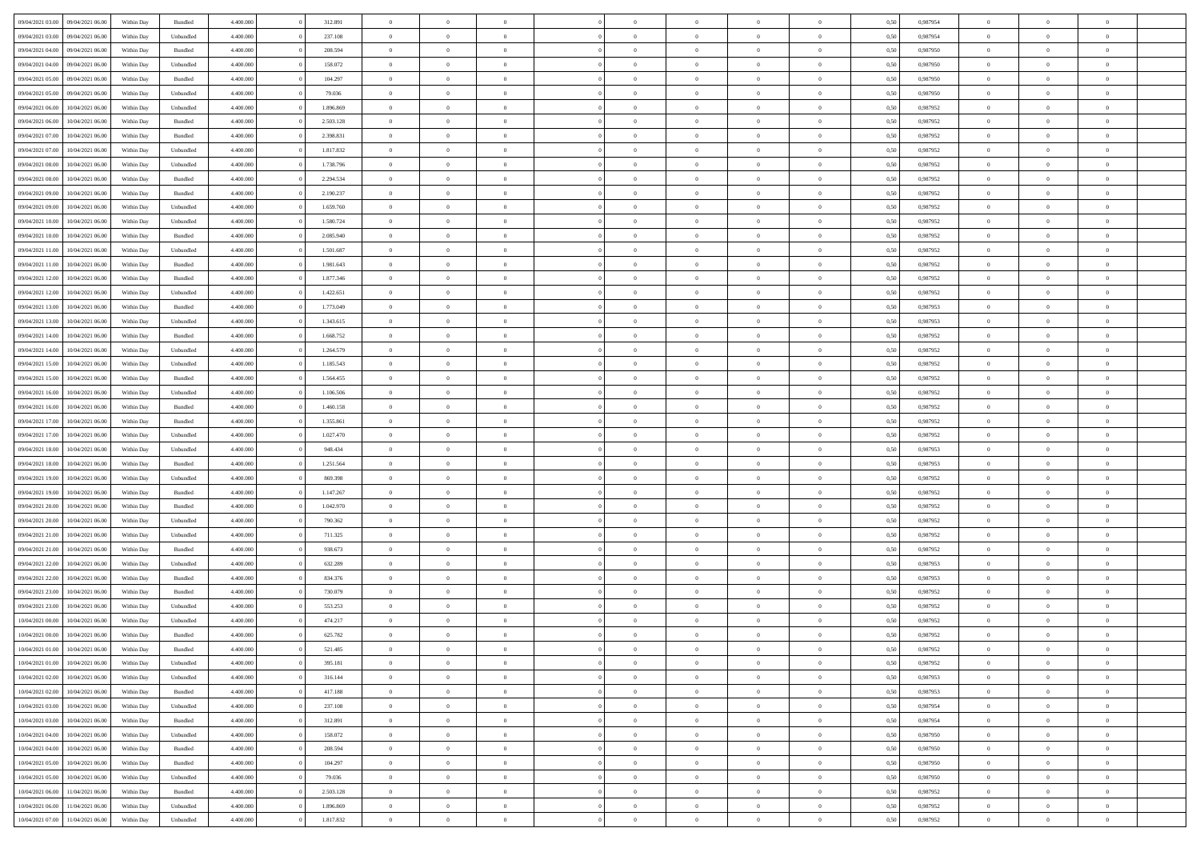|                  |                  |            |                    |           |           | $\overline{0}$ | $\Omega$       |                |                | $\Omega$       | $\Omega$       | $\theta$       |      |          | $\theta$       | $\theta$       | $\theta$       |  |
|------------------|------------------|------------|--------------------|-----------|-----------|----------------|----------------|----------------|----------------|----------------|----------------|----------------|------|----------|----------------|----------------|----------------|--|
| 09/04/2021 03:00 | 09/04/2021 06:00 | Within Day | Bundled            | 4.400.000 | 312.891   |                |                |                | $\Omega$       |                |                |                | 0.50 | 0.987954 |                |                |                |  |
| 09/04/2021 03:00 | 09/04/2021 06:00 | Within Day | Unbundled          | 4.400.000 | 237.108   | $\overline{0}$ | $\theta$       | $\overline{0}$ | $\overline{0}$ | $\bf{0}$       | $\overline{0}$ | $\bf{0}$       | 0,50 | 0,987954 | $\theta$       | $\theta$       | $\overline{0}$ |  |
| 09/04/2021 04:00 | 09/04/2021 06:00 | Within Day | Bundled            | 4.400.000 | 208.594   | $\overline{0}$ | $\overline{0}$ | $\overline{0}$ | $\bf{0}$       | $\bf{0}$       | $\bf{0}$       | $\bf{0}$       | 0,50 | 0,987950 | $\bf{0}$       | $\overline{0}$ | $\overline{0}$ |  |
| 09/04/2021 04:00 | 09/04/2021 06:00 | Within Day | Unbundled          | 4.400.000 | 158.072   | $\overline{0}$ | $\overline{0}$ | $\overline{0}$ | $\overline{0}$ | $\bf{0}$       | $\overline{0}$ | $\overline{0}$ | 0.50 | 0,987950 | $\theta$       | $\theta$       | $\overline{0}$ |  |
| 09/04/2021 05:00 | 09/04/2021 06:00 | Within Day | Bundled            | 4.400.000 | 104.297   | $\overline{0}$ | $\theta$       | $\overline{0}$ | $\overline{0}$ | $\bf{0}$       | $\overline{0}$ | $\bf{0}$       | 0,50 | 0,987950 | $\theta$       | $\theta$       | $\overline{0}$ |  |
|                  |                  |            |                    |           |           |                |                |                |                |                |                |                |      |          |                |                |                |  |
| 09/04/2021 05:00 | 09/04/2021 06:00 | Within Day | Unbundled          | 4.400.000 | 79.036    | $\overline{0}$ | $\bf{0}$       | $\overline{0}$ | $\bf{0}$       | $\overline{0}$ | $\overline{0}$ | $\mathbf{0}$   | 0,50 | 0,987950 | $\bf{0}$       | $\overline{0}$ | $\bf{0}$       |  |
| 09/04/2021 06:00 | 10/04/2021 06:00 | Within Dav | Unbundled          | 4.400.000 | 1.896.869 | $\overline{0}$ | $\overline{0}$ | $\overline{0}$ | $\overline{0}$ | $\overline{0}$ | $\overline{0}$ | $\overline{0}$ | 0.50 | 0,987952 | $\theta$       | $\overline{0}$ | $\overline{0}$ |  |
| 09/04/2021 06:00 | 10/04/2021 06:00 | Within Day | Bundled            | 4.400.000 | 2.503.128 | $\overline{0}$ | $\theta$       | $\overline{0}$ | $\overline{0}$ | $\bf{0}$       | $\overline{0}$ | $\bf{0}$       | 0,50 | 0,987952 | $\theta$       | $\theta$       | $\overline{0}$ |  |
| 09/04/2021 07:00 | 10/04/2021 06:00 | Within Day | Bundled            | 4.400.000 | 2.398.831 | $\overline{0}$ | $\overline{0}$ | $\overline{0}$ | $\bf{0}$       | $\bf{0}$       | $\bf{0}$       | $\bf{0}$       | 0,50 | 0,987952 | $\,0\,$        | $\overline{0}$ | $\overline{0}$ |  |
| 09/04/2021 07:00 | 10/04/2021 06:00 | Within Dav | Unbundled          | 4.400.000 | 1.817.832 | $\overline{0}$ | $\overline{0}$ | $\overline{0}$ | $\overline{0}$ | $\overline{0}$ | $\overline{0}$ | $\overline{0}$ | 0.50 | 0,987952 | $\theta$       | $\overline{0}$ | $\overline{0}$ |  |
| 09/04/2021 08:00 | 10/04/2021 06:00 | Within Day | Unbundled          | 4.400.000 | 1.738.796 | $\overline{0}$ | $\theta$       | $\overline{0}$ | $\overline{0}$ | $\bf{0}$       | $\overline{0}$ | $\bf{0}$       | 0,50 | 0,987952 | $\,$ 0 $\,$    | $\overline{0}$ | $\overline{0}$ |  |
| 09/04/2021 08:00 | 10/04/2021 06:00 | Within Day | Bundled            | 4.400.000 | 2.294.534 | $\overline{0}$ | $\overline{0}$ | $\overline{0}$ | $\bf{0}$       | $\bf{0}$       | $\bf{0}$       | $\bf{0}$       | 0,50 | 0,987952 | $\bf{0}$       | $\overline{0}$ | $\overline{0}$ |  |
|                  |                  |            |                    |           |           |                |                |                |                |                |                |                |      |          |                |                |                |  |
| 09/04/2021 09:00 | 10/04/2021 06:00 | Within Dav | Bundled            | 4.400.000 | 2.190.237 | $\overline{0}$ | $\overline{0}$ | $\overline{0}$ | $\overline{0}$ | $\bf{0}$       | $\overline{0}$ | $\overline{0}$ | 0.50 | 0,987952 | $\theta$       | $\theta$       | $\overline{0}$ |  |
| 09/04/2021 09:00 | 10/04/2021 06:00 | Within Day | Unbundled          | 4.400.000 | 1.659.760 | $\overline{0}$ | $\theta$       | $\overline{0}$ | $\overline{0}$ | $\bf{0}$       | $\overline{0}$ | $\overline{0}$ | 0,50 | 0,987952 | $\theta$       | $\overline{0}$ | $\overline{0}$ |  |
| 09/04/2021 10:00 | 10/04/2021 06:00 | Within Day | Unbundled          | 4.400.000 | 1.580.724 | $\overline{0}$ | $\overline{0}$ | $\overline{0}$ | $\bf{0}$       | $\overline{0}$ | $\overline{0}$ | $\mathbf{0}$   | 0,50 | 0,987952 | $\bf{0}$       | $\overline{0}$ | $\bf{0}$       |  |
| 09/04/2021 10:00 | 10/04/2021 06:00 | Within Dav | Bundled            | 4.400.000 | 2.085.940 | $\overline{0}$ | $\overline{0}$ | $\overline{0}$ | $\overline{0}$ | $\overline{0}$ | $\overline{0}$ | $\overline{0}$ | 0.50 | 0,987952 | $\theta$       | $\overline{0}$ | $\overline{0}$ |  |
| 09/04/2021 11:00 | 10/04/2021 06:00 | Within Day | Unbundled          | 4.400.000 | 1.501.687 | $\overline{0}$ | $\theta$       | $\overline{0}$ | $\overline{0}$ | $\bf{0}$       | $\overline{0}$ | $\bf{0}$       | 0,50 | 0,987952 | $\theta$       | $\theta$       | $\overline{0}$ |  |
| 09/04/2021 11:00 | 10/04/2021 06:00 | Within Day | Bundled            | 4.400.000 | 1.981.643 | $\overline{0}$ | $\overline{0}$ | $\overline{0}$ | $\bf{0}$       | $\bf{0}$       | $\bf{0}$       | $\bf{0}$       | 0,50 | 0,987952 | $\,0\,$        | $\overline{0}$ | $\overline{0}$ |  |
| 09/04/2021 12:00 | 10/04/2021 06:00 | Within Dav | Bundled            | 4.400.000 | 1.877.346 | $\overline{0}$ | $\overline{0}$ | $\overline{0}$ | $\overline{0}$ | $\overline{0}$ | $\overline{0}$ | $\overline{0}$ | 0.50 | 0,987952 | $\theta$       | $\overline{0}$ | $\overline{0}$ |  |
|                  |                  |            |                    |           |           |                |                |                |                |                |                |                |      |          |                |                |                |  |
| 09/04/2021 12:00 | 10/04/2021 06:00 | Within Day | Unbundled          | 4.400.000 | 1.422.651 | $\overline{0}$ | $\theta$       | $\overline{0}$ | $\overline{0}$ | $\bf{0}$       | $\overline{0}$ | $\bf{0}$       | 0,50 | 0,987952 | $\,$ 0 $\,$    | $\theta$       | $\overline{0}$ |  |
| 09/04/2021 13:00 | 10/04/2021 06:00 | Within Day | Bundled            | 4.400.000 | 1.773.049 | $\overline{0}$ | $\overline{0}$ | $\overline{0}$ | $\bf{0}$       | $\bf{0}$       | $\bf{0}$       | $\bf{0}$       | 0,50 | 0,987953 | $\bf{0}$       | $\overline{0}$ | $\overline{0}$ |  |
| 09/04/2021 13:00 | 10/04/2021 06:00 | Within Day | Unbundled          | 4.400.000 | 1.343.615 | $\overline{0}$ | $\overline{0}$ | $\overline{0}$ | $\overline{0}$ | $\bf{0}$       | $\overline{0}$ | $\overline{0}$ | 0.50 | 0,987953 | $\theta$       | $\overline{0}$ | $\overline{0}$ |  |
| 09/04/2021 14:00 | 10/04/2021 06:00 | Within Day | Bundled            | 4.400.000 | 1.668.752 | $\overline{0}$ | $\theta$       | $\overline{0}$ | $\overline{0}$ | $\bf{0}$       | $\overline{0}$ | $\bf{0}$       | 0,50 | 0,987952 | $\,$ 0 $\,$    | $\overline{0}$ | $\overline{0}$ |  |
| 09/04/2021 14:00 | 10/04/2021 06:00 | Within Day | Unbundled          | 4.400.000 | 1.264.579 | $\overline{0}$ | $\bf{0}$       | $\overline{0}$ | $\bf{0}$       | $\overline{0}$ | $\overline{0}$ | $\mathbf{0}$   | 0,50 | 0,987952 | $\bf{0}$       | $\overline{0}$ | $\bf{0}$       |  |
| 09/04/2021 15:00 | 10/04/2021 06:00 | Within Dav | Unbundled          | 4.400.000 | 1.185.543 | $\overline{0}$ | $\overline{0}$ | $\overline{0}$ | $\overline{0}$ | $\overline{0}$ | $\overline{0}$ | $\overline{0}$ | 0.50 | 0,987952 | $\theta$       | $\overline{0}$ | $\overline{0}$ |  |
| 09/04/2021 15:00 | 10/04/2021 06:00 |            |                    | 4.400.000 | 1.564.455 | $\overline{0}$ | $\theta$       | $\overline{0}$ | $\overline{0}$ | $\bf{0}$       | $\overline{0}$ |                |      | 0,987952 | $\theta$       | $\theta$       | $\overline{0}$ |  |
|                  |                  | Within Day | Bundled            |           |           |                |                |                |                |                |                | $\bf{0}$       | 0,50 |          |                |                |                |  |
| 09/04/2021 16:00 | 10/04/2021 06:00 | Within Day | Unbundled          | 4.400.000 | 1.106.506 | $\overline{0}$ | $\overline{0}$ | $\overline{0}$ | $\bf{0}$       | $\bf{0}$       | $\bf{0}$       | $\bf{0}$       | 0,50 | 0,987952 | $\,0\,$        | $\overline{0}$ | $\overline{0}$ |  |
| 09/04/2021 16:00 | 10/04/2021 06:00 | Within Day | Bundled            | 4.400.000 | 1.460.158 | $\overline{0}$ | $\overline{0}$ | $\overline{0}$ | $\overline{0}$ | $\overline{0}$ | $\overline{0}$ | $\overline{0}$ | 0.50 | 0,987952 | $\theta$       | $\overline{0}$ | $\overline{0}$ |  |
| 09/04/2021 17:00 | 10/04/2021 06:00 | Within Day | Bundled            | 4.400.000 | 1.355.861 | $\overline{0}$ | $\theta$       | $\overline{0}$ | $\overline{0}$ | $\bf{0}$       | $\overline{0}$ | $\bf{0}$       | 0,50 | 0,987952 | $\,$ 0 $\,$    | $\overline{0}$ | $\overline{0}$ |  |
| 09/04/2021 17:00 | 10/04/2021 06:00 | Within Day | Unbundled          | 4.400.000 | 1.027.470 | $\overline{0}$ | $\overline{0}$ | $\overline{0}$ | $\bf{0}$       | $\bf{0}$       | $\bf{0}$       | $\bf{0}$       | 0,50 | 0,987952 | $\bf{0}$       | $\overline{0}$ | $\overline{0}$ |  |
| 09/04/2021 18:00 | 10/04/2021 06:00 | Within Day | Unbundled          | 4.400,000 | 948,434   | $\overline{0}$ | $\Omega$       | $\Omega$       | $\Omega$       | $\Omega$       | $\Omega$       | $\overline{0}$ | 0.50 | 0,987953 | $\,0\,$        | $\Omega$       | $\theta$       |  |
| 09/04/2021 18:00 | 10/04/2021 06:00 | Within Day | Bundled            | 4.400.000 | 1.251.564 | $\overline{0}$ | $\theta$       | $\overline{0}$ | $\overline{0}$ | $\bf{0}$       | $\overline{0}$ | $\bf{0}$       | 0,50 | 0,987953 | $\theta$       | $\overline{0}$ | $\overline{0}$ |  |
|                  |                  |            |                    |           |           |                |                |                |                |                |                |                |      |          |                |                |                |  |
| 09/04/2021 19:00 | 10/04/2021 06:00 | Within Day | Unbundled          | 4.400.000 | 869.398   | $\overline{0}$ | $\overline{0}$ | $\overline{0}$ | $\bf{0}$       | $\bf{0}$       | $\overline{0}$ | $\mathbf{0}$   | 0,50 | 0,987952 | $\overline{0}$ | $\overline{0}$ | $\bf{0}$       |  |
| 09/04/2021 19:00 | 10/04/2021 06:00 | Within Day | Bundled            | 4.400,000 | 1.147.267 | $\overline{0}$ | $\Omega$       | $\Omega$       | $\Omega$       | $\bf{0}$       | $\overline{0}$ | $\overline{0}$ | 0.50 | 0,987952 | $\theta$       | $\theta$       | $\theta$       |  |
| 09/04/2021 20:00 | 10/04/2021 06:00 | Within Day | Bundled            | 4.400.000 | 1.042.970 | $\overline{0}$ | $\theta$       | $\overline{0}$ | $\overline{0}$ | $\bf{0}$       | $\overline{0}$ | $\bf{0}$       | 0,50 | 0,987952 | $\,$ 0 $\,$    | $\theta$       | $\overline{0}$ |  |
| 09/04/2021 20:00 | 10/04/2021 06:00 | Within Day | Unbundled          | 4.400.000 | 790.362   | $\overline{0}$ | $\overline{0}$ | $\overline{0}$ | $\bf{0}$       | $\bf{0}$       | $\bf{0}$       | $\bf{0}$       | 0,50 | 0,987952 | $\,0\,$        | $\overline{0}$ | $\overline{0}$ |  |
| 09/04/2021 21:00 | 10/04/2021 06:00 | Within Day | Unbundled          | 4.400,000 | 711.325   | $\overline{0}$ | $\Omega$       | $\Omega$       | $\Omega$       | $\Omega$       | $\theta$       | $\overline{0}$ | 0.50 | 0.987952 | $\theta$       | $\theta$       | $\theta$       |  |
| 09/04/2021 21.00 | 10/04/2021 06:00 | Within Day | Bundled            | 4.400.000 | 938.673   | $\overline{0}$ | $\theta$       | $\overline{0}$ | $\overline{0}$ | $\bf{0}$       | $\overline{0}$ | $\bf{0}$       | 0,50 | 0,987952 | $\,$ 0 $\,$    | $\overline{0}$ | $\overline{0}$ |  |
| 09/04/2021 22.00 | 10/04/2021 06:00 | Within Day | Unbundled          | 4.400.000 | 632.289   | $\overline{0}$ | $\overline{0}$ | $\overline{0}$ | $\bf{0}$       | $\bf{0}$       | $\bf{0}$       | $\bf{0}$       | 0,50 | 0,987953 | $\overline{0}$ | $\overline{0}$ | $\overline{0}$ |  |
|                  |                  |            |                    | 4.400,000 |           | $\overline{0}$ | $\Omega$       | $\Omega$       | $\Omega$       | $\Omega$       | $\overline{0}$ | $\overline{0}$ | 0.50 |          | $\,0\,$        | $\theta$       | $\theta$       |  |
| 09/04/2021 22.00 | 10/04/2021 06:00 | Within Day | Bundled            |           | 834.376   |                |                |                |                |                |                |                |      | 0,987953 |                |                |                |  |
| 09/04/2021 23:00 | 10/04/2021 06:00 | Within Day | Bundled            | 4.400.000 | 730.079   | $\overline{0}$ | $\theta$       | $\overline{0}$ | $\overline{0}$ | $\bf{0}$       | $\overline{0}$ | $\bf{0}$       | 0,50 | 0,987952 | $\,$ 0 $\,$    | $\overline{0}$ | $\overline{0}$ |  |
| 09/04/2021 23.00 | 10/04/2021 06:00 | Within Day | Unbundled          | 4.400.000 | 553.253   | $\overline{0}$ | $\overline{0}$ | $\overline{0}$ | $\bf{0}$       | $\bf{0}$       | $\bf{0}$       | $\mathbf{0}$   | 0,50 | 0,987952 | $\overline{0}$ | $\overline{0}$ | $\bf{0}$       |  |
| 10/04/2021 00:00 | 10/04/2021 06:00 | Within Day | Unbundled          | 4.400,000 | 474.217   | $\overline{0}$ | $\Omega$       | $\Omega$       | $\Omega$       | $\Omega$       | $\Omega$       | $\overline{0}$ | 0.50 | 0.987952 | $\theta$       | $\theta$       | $\theta$       |  |
| 10/04/2021 00:00 | 10/04/2021 06:00 | Within Day | Bundled            | 4.400.000 | 625.782   | $\overline{0}$ | $\overline{0}$ | $\overline{0}$ | $\bf{0}$       | $\,$ 0         | $\bf{0}$       | $\bf{0}$       | 0,50 | 0,987952 | $\,0\,$        | $\overline{0}$ | $\overline{0}$ |  |
| 10/04/2021 01:00 | 10/04/2021 06:00 | Within Day | $\mathbf B$ undled | 4.400.000 | 521.485   | $\bf{0}$       | $\bf{0}$       |                |                |                |                |                | 0,50 | 0,987952 | $\bf{0}$       | $\overline{0}$ |                |  |
| 10/04/2021 01:00 | 10/04/2021 06:00 | Within Day | Unbundled          | 4.400.000 | 395.181   | $\overline{0}$ | $\overline{0}$ | $\overline{0}$ | $\Omega$       | $\overline{0}$ | $\overline{0}$ | $\overline{0}$ | 0.50 | 0.987952 | $\theta$       | $\theta$       | $\theta$       |  |
| 10/04/2021 02:00 | 10/04/2021 06:00 | Within Day | Unbundled          | 4.400.000 | 316.144   | $\overline{0}$ | $\bf{0}$       | $\overline{0}$ | $\bf{0}$       | $\,$ 0 $\,$    | $\overline{0}$ | $\,$ 0 $\,$    | 0,50 | 0,987953 | $\,$ 0 $\,$    | $\,$ 0 $\,$    | $\,$ 0         |  |
|                  |                  |            |                    |           |           |                |                |                |                |                |                |                |      |          |                |                |                |  |
| 10/04/2021 02:00 | 10/04/2021 06:00 | Within Day | Bundled            | 4.400.000 | 417.188   | $\overline{0}$ | $\overline{0}$ | $\overline{0}$ | $\overline{0}$ | $\overline{0}$ | $\overline{0}$ | $\mathbf{0}$   | 0,50 | 0,987953 | $\overline{0}$ | $\bf{0}$       | $\overline{0}$ |  |
| 10/04/2021 03:00 | 10/04/2021 06:00 | Within Day | Unbundled          | 4.400.000 | 237.108   | $\overline{0}$ | $\overline{0}$ | $\overline{0}$ | $\Omega$       | $\overline{0}$ | $\overline{0}$ | $\overline{0}$ | 0,50 | 0,987954 | $\overline{0}$ | $\theta$       | $\overline{0}$ |  |
| 10/04/2021 03:00 | 10/04/2021 06:00 | Within Day | Bundled            | 4.400.000 | 312.891   | $\overline{0}$ | $\,$ 0         | $\overline{0}$ | $\bf{0}$       | $\,$ 0 $\,$    | $\overline{0}$ | $\,$ 0 $\,$    | 0,50 | 0,987954 | $\,$ 0 $\,$    | $\overline{0}$ | $\,$ 0         |  |
| 10/04/2021 04:00 | 10/04/2021 06:00 | Within Day | Unbundled          | 4.400.000 | 158.072   | $\overline{0}$ | $\overline{0}$ | $\overline{0}$ | $\overline{0}$ | $\overline{0}$ | $\overline{0}$ | $\mathbf{0}$   | 0,50 | 0,987950 | $\overline{0}$ | $\overline{0}$ | $\bf{0}$       |  |
| 10/04/2021 04:00 | 10/04/2021 06:00 | Within Day | Bundled            | 4.400,000 | 208,594   | $\overline{0}$ | $\overline{0}$ | $\overline{0}$ | $\overline{0}$ | $\overline{0}$ | $\overline{0}$ | $\bf{0}$       | 0.50 | 0,987950 | $\overline{0}$ | $\theta$       | $\overline{0}$ |  |
| 10/04/2021 05:00 | 10/04/2021 06:00 | Within Day | Bundled            | 4.400.000 | 104.297   | $\overline{0}$ | $\,$ 0         | $\overline{0}$ | $\bf{0}$       | $\bf{0}$       | $\bf{0}$       | $\bf{0}$       | 0,50 | 0,987950 | $\,$ 0 $\,$    | $\overline{0}$ | $\overline{0}$ |  |
| 10/04/2021 05:00 | 10/04/2021 06:00 | Within Day | Unbundled          | 4.400.000 | 79.036    | $\overline{0}$ | $\bf{0}$       | $\overline{0}$ | $\overline{0}$ | $\overline{0}$ | $\overline{0}$ | $\mathbf{0}$   | 0,50 | 0,987950 | $\overline{0}$ | $\overline{0}$ | $\bf{0}$       |  |
|                  |                  |            |                    |           |           |                |                |                |                |                |                |                |      |          |                |                |                |  |
| 10/04/2021 06:00 | 11/04/2021 06:00 | Within Day | Bundled            | 4.400,000 | 2.503.128 | $\overline{0}$ | $\overline{0}$ | $\overline{0}$ | $\Omega$       | $\overline{0}$ | $\overline{0}$ | $\overline{0}$ | 0.50 | 0,987952 | $\overline{0}$ | $\overline{0}$ | $\overline{0}$ |  |
| 10/04/2021 06:00 | 11/04/2021 06:00 | Within Day | Unbundled          | 4.400.000 | 1.896.869 | $\overline{0}$ | $\bf{0}$       | $\overline{0}$ | $\overline{0}$ | $\bf{0}$       | $\bf{0}$       | $\mathbf{0}$   | 0,50 | 0,987952 | $\,$ 0 $\,$    | $\,$ 0 $\,$    | $\bf{0}$       |  |
| 10/04/2021 07:00 | 11/04/2021 06:00 | Within Day | Unbundled          | 4.400.000 | 1.817.832 | $\overline{0}$ | $\bf{0}$       | $\overline{0}$ | $\overline{0}$ | $\bf{0}$       | $\bf{0}$       | $\bf{0}$       | 0,50 | 0,987952 | $\overline{0}$ | $\overline{0}$ | $\bf{0}$       |  |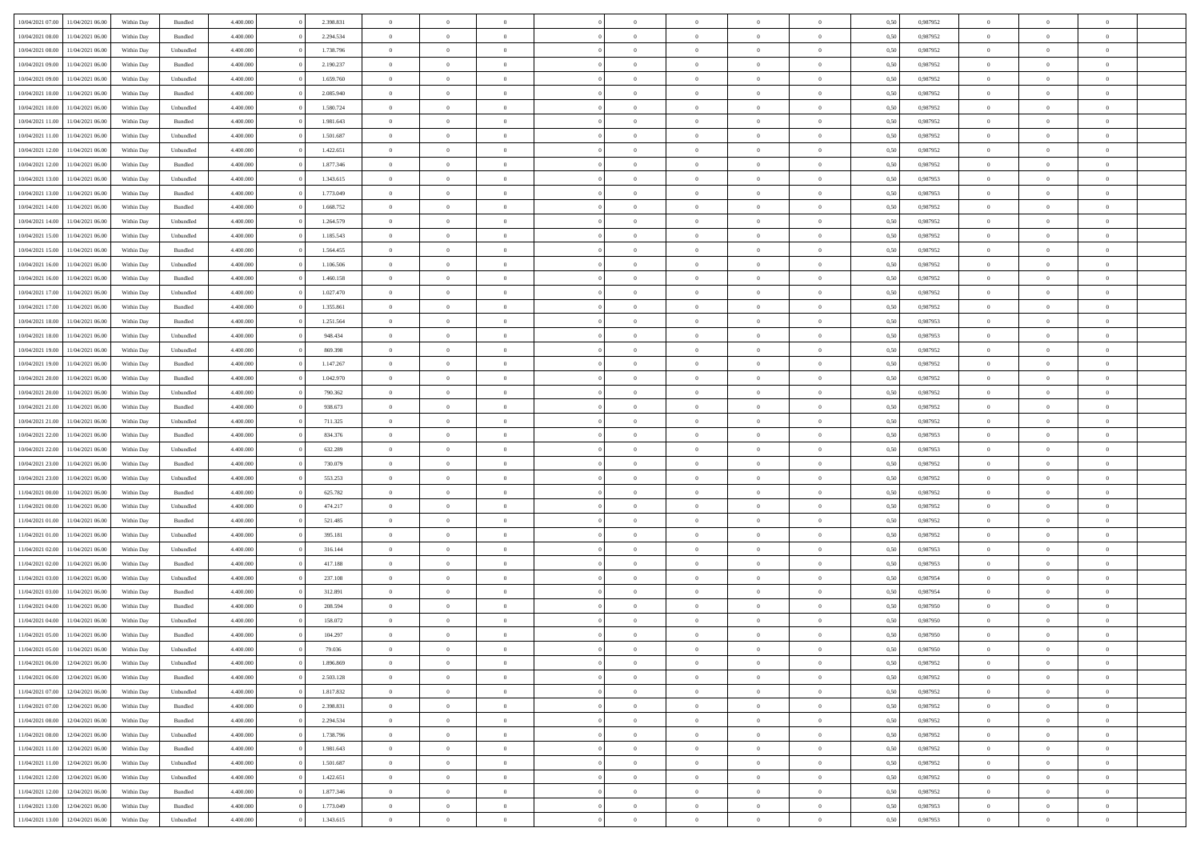| 10/04/2021 07:00 11/04/2021 06:00    | Within Day | Bundled   | 4.400.000 | 2.398.831 | $\overline{0}$ | $\overline{0}$ | $\Omega$       | $\Omega$       | $\theta$       | $\Omega$       | $\overline{0}$ | 0,50 | 0,987952 | $\theta$       | $\theta$       | $\overline{0}$ |  |
|--------------------------------------|------------|-----------|-----------|-----------|----------------|----------------|----------------|----------------|----------------|----------------|----------------|------|----------|----------------|----------------|----------------|--|
| 10/04/2021 08:00<br>11/04/2021 06:00 | Within Day | Bundled   | 4.400.000 | 2.294.534 | $\overline{0}$ | $\overline{0}$ | $\overline{0}$ | $\overline{0}$ | $\theta$       | $\overline{0}$ | $\bf{0}$       | 0,50 | 0,987952 | $\theta$       | $\theta$       | $\overline{0}$ |  |
| 10/04/2021 08:00<br>11/04/2021 06.00 | Within Day | Unbundled | 4.400.000 | 1.738.796 | $\overline{0}$ | $\bf{0}$       | $\overline{0}$ | $\overline{0}$ | $\overline{0}$ | $\overline{0}$ | $\bf{0}$       | 0,50 | 0,987952 | $\bf{0}$       | $\overline{0}$ | $\overline{0}$ |  |
| 10/04/2021 09:00<br>11/04/2021 06:00 | Within Day | Bundled   | 4.400.000 | 2.190.237 | $\overline{0}$ | $\overline{0}$ | $\overline{0}$ | $\overline{0}$ | $\theta$       | $\overline{0}$ | $\overline{0}$ | 0.50 | 0.987952 | $\theta$       | $\theta$       | $\overline{0}$ |  |
| 10/04/2021 09:00<br>11/04/2021 06:00 | Within Day | Unbundled | 4.400.000 | 1.659.760 | $\overline{0}$ | $\overline{0}$ | $\overline{0}$ | $\overline{0}$ | $\theta$       | $\overline{0}$ | $\bf{0}$       | 0,50 | 0,987952 | $\theta$       | $\theta$       | $\overline{0}$ |  |
| 10/04/2021 10:00<br>11/04/2021 06.00 | Within Day | Bundled   | 4.400.000 | 2.085.940 | $\overline{0}$ | $\bf{0}$       | $\overline{0}$ | $\overline{0}$ | $\overline{0}$ | $\overline{0}$ | $\bf{0}$       | 0,50 | 0,987952 | $\bf{0}$       | $\overline{0}$ | $\bf{0}$       |  |
| 10/04/2021 10:00<br>11/04/2021 06:00 | Within Day | Unbundled | 4.400.000 | 1.580.724 | $\overline{0}$ | $\overline{0}$ | $\overline{0}$ | $\overline{0}$ | $\overline{0}$ | $\overline{0}$ | $\overline{0}$ | 0.5( | 0,987952 | $\theta$       | $\theta$       | $\overline{0}$ |  |
| 10/04/2021 11:00<br>11/04/2021 06:00 | Within Day | Bundled   | 4.400.000 | 1.981.643 | $\bf{0}$       | $\theta$       | $\overline{0}$ | $\overline{0}$ | $\theta$       | $\overline{0}$ | $\bf{0}$       | 0,50 | 0,987952 | $\theta$       | $\theta$       | $\overline{0}$ |  |
|                                      |            |           |           |           |                |                |                |                |                |                |                |      |          |                |                |                |  |
| 10/04/2021 11:00<br>11/04/2021 06.00 | Within Day | Unbundled | 4.400.000 | 1.501.687 | $\overline{0}$ | $\bf{0}$       | $\overline{0}$ | $\overline{0}$ | $\overline{0}$ | $\overline{0}$ | $\bf{0}$       | 0,50 | 0,987952 | $\bf{0}$       | $\bf{0}$       | $\overline{0}$ |  |
| 10/04/2021 12:00<br>11/04/2021 06:00 | Within Day | Unbundled | 4.400.000 | 1.422.651 | $\overline{0}$ | $\overline{0}$ | $\overline{0}$ | $\overline{0}$ | $\overline{0}$ | $\overline{0}$ | $\bf{0}$       | 0.5( | 0,987952 | $\theta$       | $\theta$       | $\overline{0}$ |  |
| 10/04/2021 12:00<br>11/04/2021 06:00 | Within Day | Bundled   | 4.400.000 | 1.877.346 | $\bf{0}$       | $\overline{0}$ | $\overline{0}$ | $\overline{0}$ | $\theta$       | $\overline{0}$ | $\bf{0}$       | 0,50 | 0,987952 | $\theta$       | $\theta$       | $\overline{0}$ |  |
| 10/04/2021 13:00<br>11/04/2021 06.00 | Within Day | Unbundled | 4.400.000 | 1.343.615 | $\overline{0}$ | $\bf{0}$       | $\overline{0}$ | $\overline{0}$ | $\bf{0}$       | $\overline{0}$ | $\bf{0}$       | 0,50 | 0,987953 | $\bf{0}$       | $\overline{0}$ | $\overline{0}$ |  |
| 10/04/2021 13:00<br>11/04/2021 06:00 | Within Day | Bundled   | 4.400.000 | 1.773.049 | $\overline{0}$ | $\overline{0}$ | $\overline{0}$ | $\overline{0}$ | $\overline{0}$ | $\overline{0}$ | $\overline{0}$ | 0.5( | 0,987953 | $\theta$       | $\theta$       | $\overline{0}$ |  |
| 10/04/2021 14:00<br>11/04/2021 06:00 | Within Day | Bundled   | 4.400.000 | 1.668.752 | $\overline{0}$ | $\overline{0}$ | $\overline{0}$ | $\overline{0}$ | $\theta$       | $\overline{0}$ | $\,$ 0 $\,$    | 0,50 | 0,987952 | $\theta$       | $\theta$       | $\overline{0}$ |  |
| 10/04/2021 14:00<br>11/04/2021 06.00 | Within Day | Unbundled | 4.400.000 | 1.264.579 | $\overline{0}$ | $\bf{0}$       | $\overline{0}$ | $\overline{0}$ | $\overline{0}$ | $\overline{0}$ | $\bf{0}$       | 0,50 | 0,987952 | $\bf{0}$       | $\overline{0}$ | $\bf{0}$       |  |
| 10/04/2021 15:00<br>11/04/2021 06:00 | Within Day | Unbundled | 4.400.000 | 1.185.543 | $\overline{0}$ | $\overline{0}$ | $\overline{0}$ | $\overline{0}$ | $\overline{0}$ | $\overline{0}$ | $\overline{0}$ | 0.5( | 0,987952 | $\theta$       | $\overline{0}$ | $\overline{0}$ |  |
| 10/04/2021 15:00<br>11/04/2021 06:00 | Within Day | Bundled   | 4.400.000 | 1.564.455 | $\bf{0}$       | $\overline{0}$ | $\overline{0}$ | $\overline{0}$ | $\theta$       | $\overline{0}$ | $\bf{0}$       | 0,50 | 0,987952 | $\theta$       | $\theta$       | $\overline{0}$ |  |
| 10/04/2021 16:00<br>11/04/2021 06.00 | Within Day | Unbundled | 4.400.000 | 1.106.506 | $\overline{0}$ | $\bf{0}$       | $\overline{0}$ | $\overline{0}$ | $\overline{0}$ | $\overline{0}$ | $\bf{0}$       | 0,50 | 0,987952 | $\bf{0}$       | $\overline{0}$ | $\overline{0}$ |  |
| 10/04/2021 16:00<br>11/04/2021 06:00 | Within Day | Bundled   | 4.400.000 | 1.460.158 | $\overline{0}$ | $\overline{0}$ | $\overline{0}$ | $\overline{0}$ | $\overline{0}$ | $\overline{0}$ | $\overline{0}$ | 0.50 | 0,987952 | $\theta$       | $\theta$       | $\overline{0}$ |  |
| 10/04/2021 17:00<br>11/04/2021 06:00 | Within Day | Unbundled | 4.400.000 | 1.027.470 | $\bf{0}$       | $\overline{0}$ | $\overline{0}$ | $\overline{0}$ | $\theta$       | $\overline{0}$ | $\bf{0}$       | 0,50 | 0,987952 | $\theta$       | $\theta$       | $\overline{0}$ |  |
| 10/04/2021 17:00<br>11/04/2021 06.00 | Within Day | Bundled   | 4.400.000 | 1.355.861 | $\overline{0}$ | $\bf{0}$       | $\overline{0}$ | $\overline{0}$ | $\overline{0}$ | $\overline{0}$ | $\bf{0}$       | 0,50 | 0,987952 | $\bf{0}$       | $\overline{0}$ | $\overline{0}$ |  |
| 10/04/2021 18:00<br>11/04/2021 06:00 | Within Day | Bundled   | 4.400.000 | 1.251.564 | $\overline{0}$ | $\overline{0}$ | $\overline{0}$ | $\overline{0}$ | $\overline{0}$ | $\overline{0}$ | $\overline{0}$ | 0.5( | 0.987953 | $\theta$       | $\theta$       | $\overline{0}$ |  |
| 10/04/2021 18:00<br>11/04/2021 06:00 | Within Day | Unbundled | 4.400.000 | 948.434   | $\bf{0}$       | $\overline{0}$ | $\overline{0}$ | $\overline{0}$ | $\theta$       | $\overline{0}$ | $\bf{0}$       | 0,50 | 0,987953 | $\theta$       | $\theta$       | $\overline{0}$ |  |
| 10/04/2021 19:00<br>11/04/2021 06.00 | Within Day | Unbundled | 4.400.000 | 869.398   | $\overline{0}$ | $\bf{0}$       | $\overline{0}$ | $\overline{0}$ | $\overline{0}$ | $\overline{0}$ | $\bf{0}$       | 0,50 | 0,987952 | $\bf{0}$       | $\overline{0}$ | $\bf{0}$       |  |
| 10/04/2021 19:00<br>11/04/2021 06:00 | Within Day | Bundled   | 4.400.000 | 1.147.267 | $\overline{0}$ | $\overline{0}$ | $\overline{0}$ | $\overline{0}$ | $\overline{0}$ | $\overline{0}$ | $\overline{0}$ | 0.5( | 0,987952 | $\overline{0}$ | $\theta$       | $\overline{0}$ |  |
| 10/04/2021 20:00<br>11/04/2021 06:00 | Within Day | Bundled   | 4.400.000 | 1.042.970 | $\bf{0}$       | $\overline{0}$ | $\overline{0}$ | $\overline{0}$ | $\theta$       | $\overline{0}$ | $\bf{0}$       | 0,50 | 0,987952 | $\theta$       | $\theta$       | $\overline{0}$ |  |
| 10/04/2021 20:00<br>11/04/2021 06.00 | Within Day | Unbundled | 4.400.000 | 790.362   | $\overline{0}$ | $\bf{0}$       | $\overline{0}$ | $\overline{0}$ | $\overline{0}$ | $\overline{0}$ | $\bf{0}$       | 0,50 | 0,987952 | $\bf{0}$       | $\bf{0}$       | $\overline{0}$ |  |
| 10/04/2021 21:00<br>11/04/2021 06:00 | Within Day | Bundled   | 4.400.000 | 938.673   | $\overline{0}$ | $\overline{0}$ | $\overline{0}$ | $\overline{0}$ | $\overline{0}$ | $\overline{0}$ | $\overline{0}$ | 0.5( | 0,987952 | $\theta$       | $\theta$       | $\overline{0}$ |  |
| 10/04/2021 21:00<br>11/04/2021 06:00 | Within Day | Unbundled | 4.400.000 | 711.325   | $\bf{0}$       | $\overline{0}$ | $\overline{0}$ | $\overline{0}$ | $\theta$       | $\overline{0}$ | $\bf{0}$       | 0,50 | 0,987952 | $\,$ 0 $\,$    | $\theta$       | $\overline{0}$ |  |
| 10/04/2021 22:00<br>11/04/2021 06.00 | Within Day | Bundled   | 4.400.000 | 834.376   | $\overline{0}$ | $\bf{0}$       | $\overline{0}$ | $\overline{0}$ | $\bf{0}$       | $\overline{0}$ | $\bf{0}$       | 0,50 | 0,987953 | $\bf{0}$       | $\overline{0}$ | $\overline{0}$ |  |
| 10/04/2021 22:00<br>11/04/2021 06.00 | Within Day | Unbundled | 4,400,000 | 632.289   | $\overline{0}$ | $\overline{0}$ | $\Omega$       | $\Omega$       | $\Omega$       | $\Omega$       | $\overline{0}$ | 0,50 | 0,987953 | $\,$ 0 $\,$    | $\overline{0}$ | $\theta$       |  |
| 10/04/2021 23:00<br>11/04/2021 06:00 | Within Day | Bundled   | 4.400.000 | 730.079   | $\overline{0}$ | $\overline{0}$ | $\overline{0}$ | $\overline{0}$ | $\theta$       | $\overline{0}$ | $\bf{0}$       | 0,50 | 0,987952 | $\theta$       | $\theta$       | $\overline{0}$ |  |
| 10/04/2021 23:00<br>11/04/2021 06.00 | Within Day | Unbundled | 4.400.000 | 553.253   | $\overline{0}$ | $\bf{0}$       | $\overline{0}$ | $\overline{0}$ | $\overline{0}$ | $\overline{0}$ | $\bf{0}$       | 0,50 | 0,987952 | $\bf{0}$       | $\overline{0}$ | $\bf{0}$       |  |
| 11/04/2021 00:00<br>11/04/2021 06.00 | Within Day | Bundled   | 4,400,000 | 625.782   | $\overline{0}$ | $\overline{0}$ | $\Omega$       | $\Omega$       | $\overline{0}$ | $\Omega$       | $\overline{0}$ | 0.50 | 0,987952 | $\bf{0}$       | $\theta$       | $\theta$       |  |
| 11/04/2021 00:00<br>11/04/2021 06:00 | Within Day | Unbundled | 4.400.000 | 474.217   | $\bf{0}$       | $\overline{0}$ | $\overline{0}$ | $\overline{0}$ | $\theta$       | $\overline{0}$ | $\bf{0}$       | 0,50 | 0,987952 | $\theta$       | $\theta$       | $\overline{0}$ |  |
| 11/04/2021 01:00<br>11/04/2021 06.00 | Within Day | Bundled   | 4.400.000 | 521.485   | $\overline{0}$ | $\bf{0}$       | $\overline{0}$ | $\overline{0}$ | $\overline{0}$ | $\overline{0}$ | $\bf{0}$       | 0,50 | 0,987952 | $\bf{0}$       | $\overline{0}$ | $\overline{0}$ |  |
| 11/04/2021 01:00<br>11/04/2021 06.00 | Within Day | Unbundled | 4,400,000 | 395.181   | $\overline{0}$ | $\overline{0}$ | $\Omega$       | $\Omega$       | $\Omega$       | $\Omega$       | $\overline{0}$ | 0.50 | 0.987952 | $\theta$       | $\theta$       | $\theta$       |  |
| 11/04/2021 02:00<br>11/04/2021 06:00 | Within Day | Unbundled | 4.400.000 | 316.144   | $\bf{0}$       | $\bf{0}$       | $\overline{0}$ | $\overline{0}$ | $\theta$       | $\overline{0}$ | $\bf{0}$       | 0,50 | 0,987953 | $\theta$       | $\theta$       | $\overline{0}$ |  |
| 11/04/2021 02:00<br>11/04/2021 06.00 | Within Day | Bundled   | 4.400.000 | 417.188   | $\overline{0}$ | $\bf{0}$       | $\overline{0}$ | $\overline{0}$ | $\overline{0}$ | $\overline{0}$ | $\bf{0}$       | 0,50 | 0,987953 | $\bf{0}$       | $\overline{0}$ | $\overline{0}$ |  |
| 11/04/2021 03:00<br>11/04/2021 06.00 | Within Day | Unbundled | 4,400,000 | 237.108   | $\overline{0}$ | $\overline{0}$ | $\Omega$       | $\Omega$       | $\theta$       | $\Omega$       | $\bf{0}$       | 0.50 | 0,987954 | $\,$ 0 $\,$    | $\overline{0}$ | $\theta$       |  |
| 11/04/2021 03:00<br>11/04/2021 06:00 | Within Day | Bundled   | 4.400.000 | 312.891   | $\bf{0}$       | $\overline{0}$ | $\overline{0}$ | $\overline{0}$ | $\theta$       | $\overline{0}$ | $\bf{0}$       | 0,50 | 0,987954 | $\theta$       | $\theta$       | $\overline{0}$ |  |
| 11/04/2021 04:00<br>11/04/2021 06.00 | Within Day | Bundled   | 4.400.000 | 208.594   | $\overline{0}$ | $\bf{0}$       | $\overline{0}$ | $\overline{0}$ | $\bf{0}$       | $\overline{0}$ | $\bf{0}$       | 0,50 | 0,987950 | $\bf{0}$       | $\overline{0}$ | $\bf{0}$       |  |
| 11/04/2021 04:00<br>11/04/2021 06.00 | Within Day | Unbundled | 4,400,000 | 158.072   | $\overline{0}$ | $\overline{0}$ | $\Omega$       | $\Omega$       | $\Omega$       | $\theta$       | $\overline{0}$ | 0.50 | 0.987950 | $\theta$       | $\overline{0}$ | $\theta$       |  |
| 11/04/2021 05:00<br>11/04/2021 06:00 | Within Day | Bundled   | 4.400.000 | 104.297   | $\bf{0}$       | $\bf{0}$       | $\overline{0}$ | $\overline{0}$ | $\bf{0}$       | $\bf{0}$       | $\bf{0}$       | 0,50 | 0,987950 | $\bf{0}$       | $\,$ 0 $\,$    | $\overline{0}$ |  |
| 11/04/2021 05:00<br>11/04/2021 06:00 | Within Day | Unbundled | 4.400.000 | 79.036    |                | $\bf{0}$       |                |                |                |                |                | 0,50 | 0,987950 | $\bf{0}$       | $\bf{0}$       |                |  |
| 11/04/2021 06:00 12/04/2021 06:00    | Within Day | Unbundled | 4.400.000 | 1.896.869 | $\Omega$       | $\overline{0}$ | $\Omega$       | $\theta$       | $\Omega$       | $\theta$       | $\overline{0}$ | 0.50 | 0.987952 | $\theta$       | $\theta$       | $\Omega$       |  |
| 11/04/2021 06:00<br>12/04/2021 06:00 | Within Day | Bundled   | 4.400.000 | 2.503.128 | $\overline{0}$ | $\overline{0}$ | $\overline{0}$ | $\overline{0}$ | $\overline{0}$ | $\overline{0}$ | $\,$ 0 $\,$    | 0,50 | 0,987952 | $\,$ 0 $\,$    | $\,$ 0 $\,$    | $\,$ 0         |  |
| 11/04/2021 07:00 12/04/2021 06:00    | Within Day | Unbundled | 4.400.000 | 1.817.832 | $\overline{0}$ | $\overline{0}$ | $\overline{0}$ | $\overline{0}$ | $\overline{0}$ | $\overline{0}$ | $\bf{0}$       | 0,50 | 0,987952 | $\overline{0}$ | $\bf{0}$       | $\overline{0}$ |  |
| 11/04/2021 07:00<br>12/04/2021 06:00 | Within Day | Bundled   | 4.400.000 | 2.398.831 | $\overline{0}$ | $\bf{0}$       | $\overline{0}$ | $\overline{0}$ | $\overline{0}$ | $\overline{0}$ | $\bf{0}$       | 0,50 | 0,987952 | $\bf{0}$       | $\theta$       | $\overline{0}$ |  |
| 11/04/2021 08:00<br>12/04/2021 06:00 | Within Day | Bundled   | 4.400.000 | 2.294.534 | $\overline{0}$ | $\overline{0}$ | $\overline{0}$ | $\overline{0}$ | $\overline{0}$ | $\overline{0}$ | $\bf{0}$       | 0,50 | 0,987952 | $\,$ 0 $\,$    | $\,$ 0 $\,$    | $\overline{0}$ |  |
| 11/04/2021 08:00<br>12/04/2021 06:00 | Within Day | Unbundled | 4.400.000 | 1.738.796 | $\overline{0}$ | $\overline{0}$ | $\overline{0}$ | $\overline{0}$ | $\mathbf{0}$   | $\overline{0}$ | $\bf{0}$       | 0,50 | 0,987952 | $\overline{0}$ | $\overline{0}$ | $\overline{0}$ |  |
| 11/04/2021 11:00<br>12/04/2021 06:00 | Within Day | Bundled   | 4.400.000 | 1.981.643 | $\overline{0}$ | $\bf{0}$       | $\overline{0}$ | $\overline{0}$ | $\overline{0}$ | $\overline{0}$ | $\bf{0}$       | 0.50 | 0,987952 | $\overline{0}$ | $\theta$       | $\overline{0}$ |  |
| 11/04/2021 11:00<br>12/04/2021 06:00 | Within Day | Unbundled | 4.400.000 | 1.501.687 | $\overline{0}$ | $\overline{0}$ | $\overline{0}$ | $\overline{0}$ | $\overline{0}$ | $\overline{0}$ | $\bf{0}$       | 0,50 | 0,987952 | $\,$ 0 $\,$    | $\bf{0}$       | $\overline{0}$ |  |
| 12/04/2021 06:00<br>11/04/2021 12:00 | Within Day | Unbundled | 4.400.000 | 1.422.651 | $\overline{0}$ | $\bf{0}$       | $\overline{0}$ | $\overline{0}$ | $\overline{0}$ | $\overline{0}$ | $\bf{0}$       | 0,50 | 0,987952 | $\overline{0}$ | $\overline{0}$ | $\bf{0}$       |  |
| 11/04/2021 12:00<br>12/04/2021 06:00 | Within Day | Bundled   | 4.400.000 | 1.877.346 | $\overline{0}$ | $\overline{0}$ | $\overline{0}$ | $\overline{0}$ | $\overline{0}$ | $\overline{0}$ | $\bf{0}$       | 0.50 | 0,987952 | $\overline{0}$ | $\overline{0}$ | $\overline{0}$ |  |
| 11/04/2021 13:00<br>12/04/2021 06:00 | Within Day | Bundled   | 4.400.000 | 1.773.049 | $\overline{0}$ | $\,$ 0         | $\overline{0}$ | $\overline{0}$ | $\overline{0}$ | $\bf{0}$       | $\bf{0}$       | 0,50 | 0,987953 | $\,$ 0 $\,$    | $\,$ 0 $\,$    | $\overline{0}$ |  |
|                                      |            |           |           |           |                |                |                |                |                |                |                |      |          |                |                |                |  |
| 11/04/2021 13:00 12/04/2021 06:00    | Within Day | Unbundled | 4.400.000 | 1.343.615 | $\overline{0}$ | $\bf{0}$       | $\overline{0}$ | $\overline{0}$ | $\overline{0}$ | $\overline{0}$ | $\bf{0}$       | 0,50 | 0,987953 | $\overline{0}$ | $\bf{0}$       | $\overline{0}$ |  |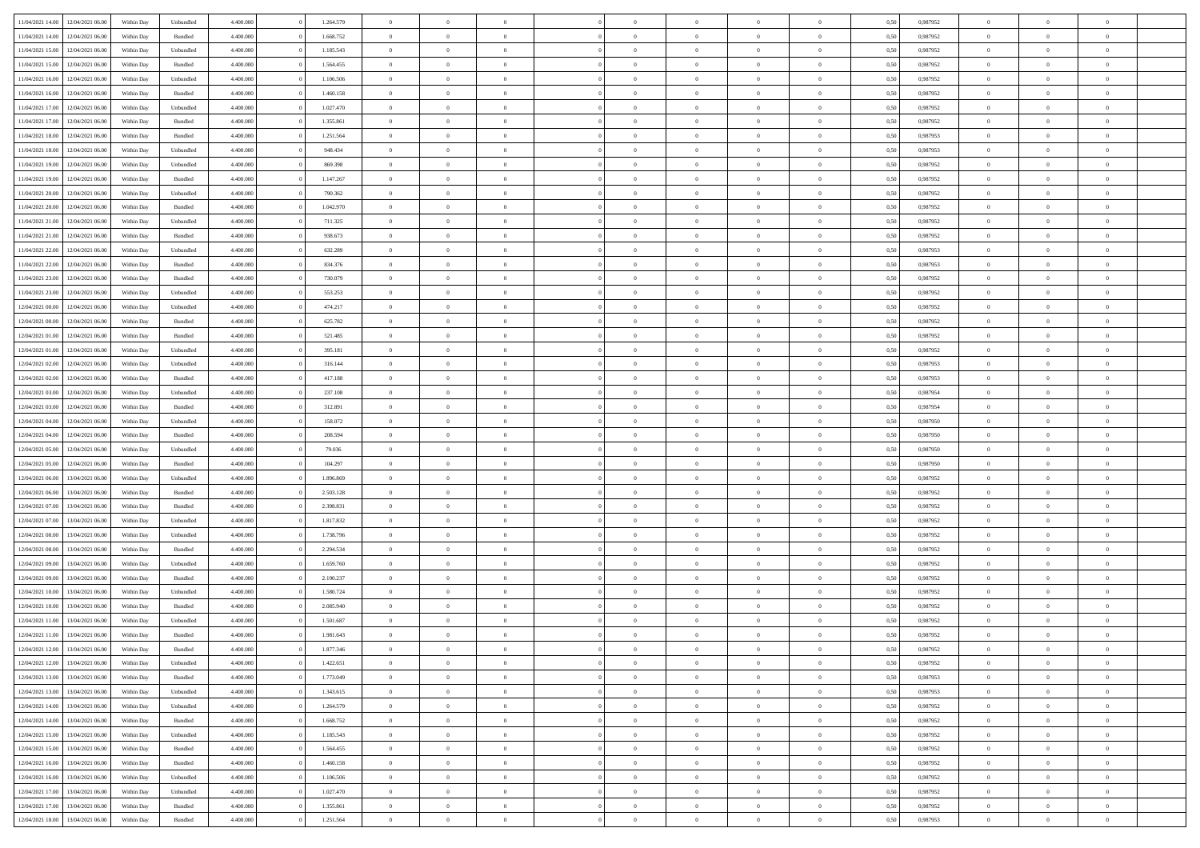| 11/04/2021 14:00                  | 12/04/2021 06:00 | Within Day | Unbundled          | 4.400.000 | 1.264.579 | $\overline{0}$ | $\theta$       |                | $\Omega$       | $\Omega$       | $\theta$       | $\theta$       | 0,50 | 0,987952 | $\theta$       | $\overline{0}$ | $\theta$       |  |
|-----------------------------------|------------------|------------|--------------------|-----------|-----------|----------------|----------------|----------------|----------------|----------------|----------------|----------------|------|----------|----------------|----------------|----------------|--|
|                                   |                  |            |                    |           |           |                |                |                |                |                |                |                |      |          |                |                |                |  |
| 11/04/2021 14:00                  | 12/04/2021 06:00 | Within Day | Bundled            | 4.400.000 | 1.668.752 | $\overline{0}$ | $\theta$       | $\overline{0}$ | $\overline{0}$ | $\bf{0}$       | $\overline{0}$ | $\bf{0}$       | 0,50 | 0,987952 | $\theta$       | $\overline{0}$ | $\overline{0}$ |  |
| 11/04/2021 15:00                  | 12/04/2021 06:00 | Within Day | Unbundled          | 4.400.000 | 1.185.543 | $\overline{0}$ | $\bf{0}$       | $\overline{0}$ | $\bf{0}$       | $\bf{0}$       | $\bf{0}$       | $\mathbf{0}$   | 0,50 | 0,987952 | $\overline{0}$ | $\overline{0}$ | $\bf{0}$       |  |
| 11/04/2021 15:00                  | 12/04/2021 06:00 | Within Dav | Bundled            | 4.400.000 | 1.564.455 | $\overline{0}$ | $\overline{0}$ | $\overline{0}$ | $\overline{0}$ | $\bf{0}$       | $\overline{0}$ | $\overline{0}$ | 0.50 | 0,987952 | $\theta$       | $\overline{0}$ | $\overline{0}$ |  |
|                                   |                  |            |                    |           |           |                |                |                |                |                |                |                |      |          |                |                |                |  |
| 11/04/2021 16:00                  | 12/04/2021 06:00 | Within Day | Unbundled          | 4.400.000 | 1.106.506 | $\overline{0}$ | $\theta$       | $\overline{0}$ | $\overline{0}$ | $\bf{0}$       | $\overline{0}$ | $\bf{0}$       | 0,50 | 0,987952 | $\,$ 0 $\,$    | $\overline{0}$ | $\overline{0}$ |  |
| 11/04/2021 16:00                  | 12/04/2021 06:00 | Within Day | Bundled            | 4.400.000 | 1.460.158 | $\overline{0}$ | $\overline{0}$ | $\overline{0}$ | $\bf{0}$       | $\overline{0}$ | $\overline{0}$ | $\mathbf{0}$   | 0,50 | 0,987952 | $\overline{0}$ | $\overline{0}$ | $\bf{0}$       |  |
| 11/04/2021 17:00                  | 12/04/2021 06:00 | Within Dav | Unbundled          | 4.400.000 | 1.027.470 | $\overline{0}$ | $\overline{0}$ | $\overline{0}$ | $\overline{0}$ | $\overline{0}$ | $\overline{0}$ | $\overline{0}$ | 0.50 | 0,987952 | $\theta$       | $\overline{0}$ | $\overline{0}$ |  |
| 11/04/2021 17:00                  | 12/04/2021 06:00 | Within Day | Bundled            | 4.400.000 | 1.355.861 | $\overline{0}$ | $\theta$       | $\overline{0}$ | $\overline{0}$ | $\bf{0}$       | $\overline{0}$ | $\bf{0}$       | 0,50 | 0,987952 | $\theta$       | $\theta$       | $\overline{0}$ |  |
| 11/04/2021 18:00                  | 12/04/2021 06:00 | Within Day | Bundled            | 4.400.000 | 1.251.564 | $\overline{0}$ | $\overline{0}$ | $\overline{0}$ | $\bf{0}$       | $\bf{0}$       | $\bf{0}$       | $\mathbf{0}$   | 0,50 | 0,987953 | $\,0\,$        | $\overline{0}$ | $\overline{0}$ |  |
|                                   |                  |            |                    |           |           |                |                |                |                |                |                |                |      |          |                |                |                |  |
| 11/04/2021 18:00                  | 12/04/2021 06:00 | Within Dav | Unbundled          | 4.400.000 | 948.434   | $\overline{0}$ | $\overline{0}$ | $\overline{0}$ | $\overline{0}$ | $\overline{0}$ | $\overline{0}$ | $\overline{0}$ | 0.50 | 0,987953 | $\theta$       | $\overline{0}$ | $\overline{0}$ |  |
| 11/04/2021 19:00                  | 12/04/2021 06:00 | Within Day | Unbundled          | 4.400.000 | 869.398   | $\overline{0}$ | $\theta$       | $\overline{0}$ | $\overline{0}$ | $\bf{0}$       | $\overline{0}$ | $\bf{0}$       | 0,50 | 0,987952 | $\,$ 0 $\,$    | $\overline{0}$ | $\overline{0}$ |  |
| 11/04/2021 19:00                  | 12/04/2021 06:00 | Within Day | Bundled            | 4.400.000 | 1.147.267 | $\overline{0}$ | $\overline{0}$ | $\overline{0}$ | $\overline{0}$ | $\bf{0}$       | $\overline{0}$ | $\mathbf{0}$   | 0,50 | 0,987952 | $\bf{0}$       | $\overline{0}$ | $\bf{0}$       |  |
| 11/04/2021 20:00                  | 12/04/2021 06:00 | Within Day | Unbundled          | 4.400.000 | 790,362   | $\overline{0}$ | $\overline{0}$ | $\overline{0}$ | $\overline{0}$ | $\bf{0}$       | $\overline{0}$ | $\overline{0}$ | 0.50 | 0,987952 | $\theta$       | $\theta$       | $\overline{0}$ |  |
|                                   |                  |            |                    |           |           | $\overline{0}$ | $\theta$       | $\overline{0}$ | $\overline{0}$ | $\bf{0}$       | $\overline{0}$ |                |      |          | $\theta$       | $\overline{0}$ | $\overline{0}$ |  |
| 11/04/2021 20:00                  | 12/04/2021 06:00 | Within Day | Bundled            | 4.400.000 | 1.042.970 |                |                |                |                |                |                | $\bf{0}$       | 0,50 | 0,987952 |                |                |                |  |
| 11/04/2021 21:00                  | 12/04/2021 06:00 | Within Day | Unbundled          | 4.400.000 | 711.325   | $\overline{0}$ | $\overline{0}$ | $\overline{0}$ | $\overline{0}$ | $\overline{0}$ | $\overline{0}$ | $\mathbf{0}$   | 0,50 | 0,987952 | $\bf{0}$       | $\overline{0}$ | $\bf{0}$       |  |
| 11/04/2021 21:00                  | 12/04/2021 06:00 | Within Dav | Bundled            | 4.400.000 | 938.673   | $\overline{0}$ | $\overline{0}$ | $\overline{0}$ | $\overline{0}$ | $\overline{0}$ | $\overline{0}$ | $\overline{0}$ | 0.50 | 0,987952 | $\theta$       | $\overline{0}$ | $\overline{0}$ |  |
| 11/04/2021 22:00                  | 12/04/2021 06:00 | Within Day | Unbundled          | 4.400.000 | 632.289   | $\overline{0}$ | $\theta$       | $\overline{0}$ | $\overline{0}$ | $\bf{0}$       | $\overline{0}$ | $\bf{0}$       | 0,50 | 0,987953 | $\,$ 0 $\,$    | $\overline{0}$ | $\overline{0}$ |  |
| 11/04/2021 22.00                  | 12/04/2021 06:00 | Within Day | Bundled            | 4.400.000 | 834.376   | $\overline{0}$ | $\overline{0}$ | $\overline{0}$ | $\bf{0}$       | $\bf{0}$       | $\bf{0}$       | $\mathbf{0}$   | 0,50 | 0,987953 | $\bf{0}$       | $\overline{0}$ | $\bf{0}$       |  |
|                                   |                  |            |                    |           |           |                |                |                |                |                |                |                |      |          |                |                |                |  |
| 11/04/2021 23:00                  | 12/04/2021 06:00 | Within Day | Bundled            | 4.400.000 | 730.079   | $\overline{0}$ | $\overline{0}$ | $\overline{0}$ | $\overline{0}$ | $\overline{0}$ | $\overline{0}$ | $\overline{0}$ | 0.50 | 0,987952 | $\theta$       | $\overline{0}$ | $\overline{0}$ |  |
| 11/04/2021 23:00                  | 12/04/2021 06:00 | Within Day | Unbundled          | 4.400.000 | 553.253   | $\overline{0}$ | $\theta$       | $\overline{0}$ | $\overline{0}$ | $\bf{0}$       | $\overline{0}$ | $\bf{0}$       | 0,50 | 0,987952 | $\,$ 0 $\,$    | $\overline{0}$ | $\overline{0}$ |  |
| 12/04/2021 00:00                  | 12/04/2021 06:00 | Within Day | Unbundled          | 4.400.000 | 474.217   | $\overline{0}$ | $\overline{0}$ | $\overline{0}$ | $\bf{0}$       | $\bf{0}$       | $\bf{0}$       | $\mathbf{0}$   | 0,50 | 0,987952 | $\overline{0}$ | $\overline{0}$ | $\bf{0}$       |  |
| 12/04/2021 00:00                  | 12/04/2021 06:00 | Within Day | Bundled            | 4.400.000 | 625.782   | $\overline{0}$ | $\overline{0}$ | $\overline{0}$ | $\overline{0}$ | $\overline{0}$ | $\overline{0}$ | $\overline{0}$ | 0.50 | 0,987952 | $\theta$       | $\overline{0}$ | $\overline{0}$ |  |
| 12/04/2021 01:00                  | 12/04/2021 06:00 |            |                    | 4.400.000 | 521.485   | $\overline{0}$ | $\theta$       | $\overline{0}$ | $\overline{0}$ | $\bf{0}$       | $\overline{0}$ | $\,$ 0 $\,$    |      | 0,987952 | $\,$ 0 $\,$    | $\overline{0}$ | $\overline{0}$ |  |
|                                   |                  | Within Day | Bundled            |           |           |                |                |                |                |                |                |                | 0,50 |          |                |                |                |  |
| 12/04/2021 01:00                  | 12/04/2021 06:00 | Within Day | Unbundled          | 4.400.000 | 395.181   | $\overline{0}$ | $\overline{0}$ | $\overline{0}$ | $\bf{0}$       | $\overline{0}$ | $\overline{0}$ | $\mathbf{0}$   | 0,50 | 0,987952 | $\overline{0}$ | $\overline{0}$ | $\bf{0}$       |  |
| 12/04/2021 02:00                  | 12/04/2021 06:00 | Within Dav | Unbundled          | 4.400.000 | 316.144   | $\overline{0}$ | $\overline{0}$ | $\overline{0}$ | $\overline{0}$ | $\overline{0}$ | $\overline{0}$ | $\overline{0}$ | 0.50 | 0,987953 | $\theta$       | $\overline{0}$ | $\overline{0}$ |  |
| 12/04/2021 02:00                  | 12/04/2021 06:00 | Within Day | Bundled            | 4.400.000 | 417.188   | $\overline{0}$ | $\theta$       | $\overline{0}$ | $\overline{0}$ | $\bf{0}$       | $\overline{0}$ | $\bf{0}$       | 0,50 | 0,987953 | $\theta$       | $\overline{0}$ | $\overline{0}$ |  |
| 12/04/2021 03:00                  | 12/04/2021 06:00 | Within Day | Unbundled          | 4.400.000 | 237.108   | $\overline{0}$ | $\overline{0}$ | $\overline{0}$ | $\bf{0}$       | $\bf{0}$       | $\bf{0}$       | $\mathbf{0}$   | 0,50 | 0,987954 | $\,0\,$        | $\overline{0}$ | $\overline{0}$ |  |
| 12/04/2021 03:00                  | 12/04/2021 06:00 |            | Bundled            | 4.400.000 | 312.891   | $\overline{0}$ | $\overline{0}$ | $\overline{0}$ | $\overline{0}$ | $\overline{0}$ | $\overline{0}$ | $\overline{0}$ | 0.50 | 0,987954 | $\theta$       | $\overline{0}$ | $\overline{0}$ |  |
|                                   |                  | Within Day |                    |           |           |                |                |                |                |                |                |                |      |          |                |                |                |  |
| 12/04/2021 04:00                  | 12/04/2021 06:00 | Within Day | Unbundled          | 4.400.000 | 158.072   | $\overline{0}$ | $\overline{0}$ | $\overline{0}$ | $\overline{0}$ | $\,$ 0         | $\overline{0}$ | $\bf{0}$       | 0,50 | 0,987950 | $\,$ 0 $\,$    | $\overline{0}$ | $\overline{0}$ |  |
| 12/04/2021 04:00                  | 12/04/2021 06:00 | Within Day | Bundled            | 4.400.000 | 208.594   | $\overline{0}$ | $\overline{0}$ | $\overline{0}$ | $\overline{0}$ | $\bf{0}$       | $\overline{0}$ | $\mathbf{0}$   | 0,50 | 0,987950 | $\bf{0}$       | $\overline{0}$ | $\bf{0}$       |  |
| 12/04/2021 05:00                  | 12/04/2021 06:00 | Within Day | Unbundled          | 4.400,000 | 79.036    | $\overline{0}$ | $\Omega$       | $\overline{0}$ | $\Omega$       | $\Omega$       | $\overline{0}$ | $\overline{0}$ | 0,50 | 0,987950 | $\,0\,$        | $\theta$       | $\theta$       |  |
| 12/04/2021 05:00                  | 12/04/2021 06:00 | Within Day | Bundled            | 4.400.000 | 104.297   | $\overline{0}$ | $\overline{0}$ | $\overline{0}$ | $\overline{0}$ | $\bf{0}$       | $\overline{0}$ | $\bf{0}$       | 0,50 | 0,987950 | $\,$ 0 $\,$    | $\overline{0}$ | $\overline{0}$ |  |
|                                   |                  |            |                    |           |           |                |                |                |                |                |                |                |      |          |                |                |                |  |
| 12/04/2021 06:00                  | 13/04/2021 06:00 | Within Day | Unbundled          | 4.400.000 | 1.896.869 | $\overline{0}$ | $\overline{0}$ | $\overline{0}$ | $\overline{0}$ | $\overline{0}$ | $\overline{0}$ | $\mathbf{0}$   | 0,50 | 0,987952 | $\bf{0}$       | $\overline{0}$ | $\bf{0}$       |  |
| 12/04/2021 06:00                  | 13/04/2021 06:00 | Within Day | Bundled            | 4.400,000 | 2.503.128 | $\overline{0}$ | $\Omega$       | $\Omega$       | $\Omega$       | $\overline{0}$ | $\overline{0}$ | $\overline{0}$ | 0.50 | 0,987952 | $\,0\,$        | $\theta$       | $\theta$       |  |
| 12/04/2021 07:00                  | 13/04/2021 06:00 | Within Day | Bundled            | 4.400.000 | 2.398.831 | $\overline{0}$ | $\theta$       | $\overline{0}$ | $\overline{0}$ | $\bf{0}$       | $\overline{0}$ | $\bf{0}$       | 0,50 | 0,987952 | $\,$ 0 $\,$    | $\overline{0}$ | $\overline{0}$ |  |
| 12/04/2021 07:00                  | 13/04/2021 06:00 | Within Day | Unbundled          | 4.400.000 | 1.817.832 | $\overline{0}$ | $\overline{0}$ | $\overline{0}$ | $\overline{0}$ | $\bf{0}$       | $\overline{0}$ | $\mathbf{0}$   | 0,50 | 0,987952 | $\bf{0}$       | $\overline{0}$ | $\bf{0}$       |  |
| 12/04/2021 08:00                  | 13/04/2021 06:00 | Within Day | Unbundled          | 4.400,000 | 1.738.796 | $\overline{0}$ | $\Omega$       | $\overline{0}$ | $\Omega$       | $\overline{0}$ | $\overline{0}$ | $\overline{0}$ | 0.50 | 0.987952 | $\,$ 0 $\,$    | $\theta$       | $\theta$       |  |
|                                   |                  |            |                    |           |           |                |                |                |                |                |                |                |      |          |                |                |                |  |
| 12/04/2021 08:00                  | 13/04/2021 06:00 | Within Day | Bundled            | 4.400.000 | 2.294.534 | $\overline{0}$ | $\,$ 0         | $\overline{0}$ | $\overline{0}$ | $\,$ 0         | $\overline{0}$ | $\bf{0}$       | 0,50 | 0,987952 | $\,$ 0 $\,$    | $\overline{0}$ | $\overline{0}$ |  |
| 12/04/2021 09:00                  | 13/04/2021 06:00 | Within Day | Unbundled          | 4.400.000 | 1.659.760 | $\overline{0}$ | $\overline{0}$ | $\overline{0}$ | $\bf{0}$       | $\bf{0}$       | $\bf{0}$       | $\mathbf{0}$   | 0,50 | 0,987952 | $\bf{0}$       | $\overline{0}$ | $\bf{0}$       |  |
| 12/04/2021 09:00                  | 13/04/2021 06:00 | Within Day | $\mathbf B$ undled | 4.400,000 | 2.190.237 | $\overline{0}$ | $\Omega$       | $\overline{0}$ | $\Omega$       | $\overline{0}$ | $\overline{0}$ | $\overline{0}$ | 0,50 | 0,987952 | $\,0\,$        | $\theta$       | $\theta$       |  |
| 12/04/2021 10:00                  | 13/04/2021 06:00 | Within Day | Unbundled          | 4.400.000 | 1.580.724 | $\overline{0}$ | $\overline{0}$ | $\overline{0}$ | $\overline{0}$ | $\,$ 0         | $\overline{0}$ | $\bf{0}$       | 0,50 | 0,987952 | $\,$ 0 $\,$    | $\overline{0}$ | $\overline{0}$ |  |
| 12/04/2021 10:00                  | 13/04/2021 06:00 | Within Day | Bundled            | 4.400.000 | 2.085.940 | $\overline{0}$ | $\overline{0}$ | $\overline{0}$ | $\bf{0}$       | $\bf{0}$       | $\overline{0}$ | $\mathbf{0}$   | 0,50 | 0,987952 | $\bf{0}$       | $\overline{0}$ | $\bf{0}$       |  |
|                                   |                  |            |                    |           |           |                |                |                |                |                |                |                |      |          |                |                |                |  |
| 12/04/2021 11:00                  | 13/04/2021 06:00 | Within Day | Unbundled          | 4.400,000 | 1.501.687 | $\overline{0}$ | $\Omega$       | $\Omega$       | $\Omega$       | $\Omega$       | $\Omega$       | $\overline{0}$ | 0.50 | 0.987952 | $\theta$       | $\theta$       | $\theta$       |  |
| 12/04/2021 11:00                  | 13/04/2021 06:00 | Within Day | Bundled            | 4.400.000 | 1.981.643 | $\overline{0}$ | $\overline{0}$ | $\overline{0}$ | $\bf{0}$       | $\,$ 0         | $\bf{0}$       | $\bf{0}$       | 0,50 | 0,987952 | $\,0\,$        | $\,0\,$        | $\overline{0}$ |  |
| 12/04/2021 12:00                  | 13/04/2021 06:00 | Within Day | $\mathbf B$ undled | 4.400.000 | 1.877.346 | $\overline{0}$ | $\bf{0}$       |                |                | $\bf{0}$       |                |                | 0,50 | 0,987952 | $\bf{0}$       | $\overline{0}$ |                |  |
| 12/04/2021 12:00                  | 13/04/2021 06:00 | Within Day | Unbundled          | 4.400.000 | 1.422.651 | $\overline{0}$ | $\overline{0}$ | $\overline{0}$ | $\Omega$       | $\overline{0}$ | $\overline{0}$ | $\overline{0}$ | 0.50 | 0.987952 | $\theta$       | $\theta$       | $\theta$       |  |
| 12/04/2021 13:00                  | 13/04/2021 06:00 | Within Day | Bundled            | 4.400.000 | 1.773.049 | $\overline{0}$ | $\,$ 0         | $\overline{0}$ | $\bf{0}$       | $\,$ 0 $\,$    | $\overline{0}$ | $\mathbf{0}$   | 0,50 | 0,987953 | $\,$ 0 $\,$    | $\,$ 0 $\,$    | $\,$ 0         |  |
|                                   |                  |            |                    |           |           |                |                |                |                |                |                |                |      |          |                |                |                |  |
| 12/04/2021 13:00                  | 13/04/2021 06:00 | Within Day | Unbundled          | 4.400.000 | 1.343.615 | $\overline{0}$ | $\overline{0}$ | $\overline{0}$ | $\overline{0}$ | $\overline{0}$ | $\overline{0}$ | $\mathbf{0}$   | 0,50 | 0,987953 | $\overline{0}$ | $\bf{0}$       | $\bf{0}$       |  |
| 12/04/2021 14:00                  | 13/04/2021 06:00 | Within Day | Unbundled          | 4.400,000 | 1.264.579 | $\overline{0}$ | $\overline{0}$ | $\overline{0}$ | $\Omega$       | $\overline{0}$ | $\overline{0}$ | $\bf{0}$       | 0,50 | 0,987952 | $\overline{0}$ | $\theta$       | $\overline{0}$ |  |
| 12/04/2021 14:00                  | 13/04/2021 06:00 | Within Day | Bundled            | 4.400.000 | 1.668.752 | $\overline{0}$ | $\,$ 0         | $\overline{0}$ | $\overline{0}$ | $\,$ 0 $\,$    | $\overline{0}$ | $\mathbf{0}$   | 0,50 | 0,987952 | $\,$ 0 $\,$    | $\overline{0}$ | $\overline{0}$ |  |
| 12/04/2021 15:00                  | 13/04/2021 06:00 | Within Day | Unbundled          | 4.400.000 | 1.185.543 | $\overline{0}$ | $\overline{0}$ | $\overline{0}$ | $\overline{0}$ | $\overline{0}$ | $\overline{0}$ | $\mathbf{0}$   | 0,50 | 0,987952 | $\overline{0}$ | $\overline{0}$ | $\bf{0}$       |  |
| 12/04/2021 15:00                  | 13/04/2021 06:00 |            | Bundled            | 4.400.000 |           | $\overline{0}$ | $\overline{0}$ | $\overline{0}$ | $\Omega$       | $\overline{0}$ | $\overline{0}$ |                | 0.50 |          | $\overline{0}$ | $\theta$       | $\overline{0}$ |  |
|                                   |                  | Within Day |                    |           | 1.564.455 |                |                |                |                |                |                | $\bf{0}$       |      | 0,987952 |                |                |                |  |
| 12/04/2021 16:00                  | 13/04/2021 06:00 | Within Day | Bundled            | 4.400.000 | 1.460.158 | $\overline{0}$ | $\,$ 0         | $\overline{0}$ | $\bf{0}$       | $\bf{0}$       | $\bf{0}$       | $\bf{0}$       | 0,50 | 0,987952 | $\,$ 0 $\,$    | $\overline{0}$ | $\overline{0}$ |  |
| 12/04/2021 16:00                  | 13/04/2021 06:00 | Within Day | Unbundled          | 4.400.000 | 1.106.506 | $\overline{0}$ | $\bf{0}$       | $\overline{0}$ | $\overline{0}$ | $\overline{0}$ | $\overline{0}$ | $\mathbf{0}$   | 0,50 | 0,987952 | $\overline{0}$ | $\overline{0}$ | $\bf{0}$       |  |
| 12/04/2021 17:00                  | 13/04/2021 06:00 | Within Day | Unbundled          | 4.400,000 | 1.027.470 | $\overline{0}$ | $\overline{0}$ | $\overline{0}$ | $\Omega$       | $\overline{0}$ | $\overline{0}$ | $\bf{0}$       | 0.50 | 0,987952 | $\overline{0}$ | $\overline{0}$ | $\overline{0}$ |  |
| 12/04/2021 17:00                  | 13/04/2021 06:00 | Within Day | Bundled            | 4.400.000 | 1.355.861 | $\overline{0}$ | $\bf{0}$       | $\overline{0}$ | $\overline{0}$ | $\bf{0}$       | $\bf{0}$       | $\mathbf{0}$   | 0,50 | 0,987952 | $\,$ 0 $\,$    | $\,$ 0 $\,$    | $\bf{0}$       |  |
|                                   |                  |            |                    |           |           |                |                |                |                |                |                |                |      |          |                |                |                |  |
| 12/04/2021 18:00 13/04/2021 06:00 |                  | Within Day | Bundled            | 4.400.000 | 1.251.564 | $\overline{0}$ | $\overline{0}$ | $\overline{0}$ | $\overline{0}$ | $\overline{0}$ | $\bf{0}$       | $\mathbf{0}$   | 0,50 | 0,987953 | $\overline{0}$ | $\bf{0}$       | $\bf{0}$       |  |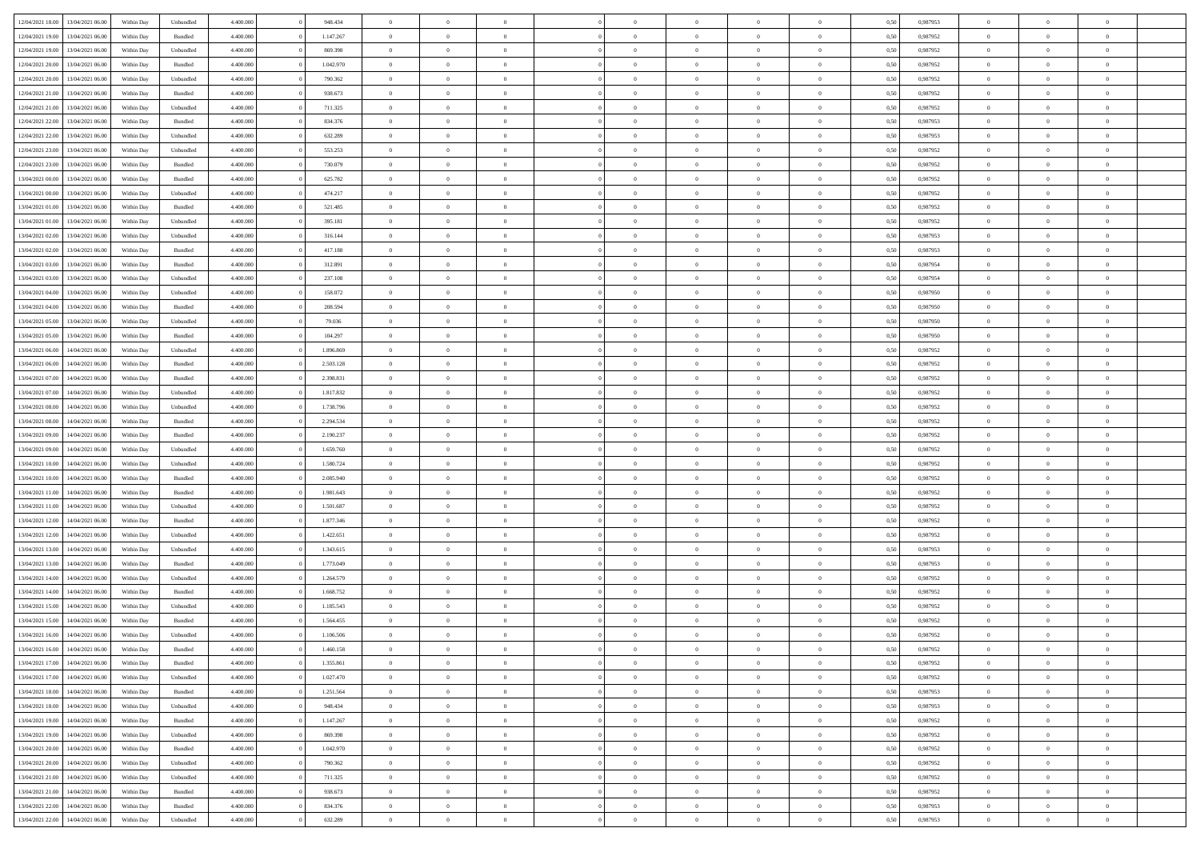| 12/04/2021 18:00                  | 13/04/2021 06:00 | Within Day | Unbundled          | 4.400.000 | 948.434   | $\overline{0}$ | $\theta$       |                | $\overline{0}$ | $\bf{0}$       | $\overline{0}$ | $\theta$       | 0,50 | 0,987953 | $\theta$       | $\theta$       | $\overline{0}$           |  |
|-----------------------------------|------------------|------------|--------------------|-----------|-----------|----------------|----------------|----------------|----------------|----------------|----------------|----------------|------|----------|----------------|----------------|--------------------------|--|
| 12/04/2021 19:00                  | 13/04/2021 06:00 | Within Day | Bundled            | 4.400.000 | 1.147.267 | $\overline{0}$ | $\overline{0}$ | $\overline{0}$ | $\overline{0}$ | $\,$ 0         | $\bf{0}$       | $\bf{0}$       | 0,50 | 0,987952 | $\,$ 0 $\,$    | $\overline{0}$ | $\overline{0}$           |  |
|                                   |                  |            |                    |           |           |                |                |                |                |                |                |                |      |          |                |                |                          |  |
| 12/04/2021 19:00                  | 13/04/2021 06:00 | Within Day | Unbundled          | 4.400,000 | 869,398   | $\overline{0}$ | $\overline{0}$ | $\overline{0}$ | $\overline{0}$ | $\bf{0}$       | $\overline{0}$ | $\overline{0}$ | 0.50 | 0.987952 | $\bf{0}$       | $\overline{0}$ | $\overline{0}$           |  |
| 12/04/2021 20:00                  | 13/04/2021 06:00 | Within Day | Bundled            | 4.400.000 | 1.042.970 | $\overline{0}$ | $\overline{0}$ | $\overline{0}$ | $\overline{0}$ | $\,$ 0         | $\overline{0}$ | $\overline{0}$ | 0,50 | 0,987952 | $\,$ 0 $\,$    | $\overline{0}$ | $\overline{0}$           |  |
| 12/04/2021 20:00                  | 13/04/2021 06:00 | Within Day | Unbundled          | 4.400.000 | 790.362   | $\overline{0}$ | $\theta$       | $\overline{0}$ |                | $\overline{0}$ | $\overline{0}$ | $\bf{0}$       | 0,50 | 0,987952 | $\,$ 0 $\,$    | $\overline{0}$ | $\overline{0}$           |  |
| 12/04/2021 21:00                  | 13/04/2021 06:00 | Within Day | Bundled            | 4.400,000 | 938.673   | $\overline{0}$ | $\overline{0}$ | $\overline{0}$ | $\overline{0}$ | $\bf{0}$       | $\overline{0}$ | $\overline{0}$ | 0.50 | 0.987952 | $\,0\,$        | $\theta$       | $\overline{0}$           |  |
| 12/04/2021 21:00                  | 13/04/2021 06:00 | Within Day | Unbundled          | 4.400.000 | 711.325   | $\overline{0}$ | $\overline{0}$ | $\overline{0}$ | $\overline{0}$ | $\,$ 0         | $\overline{0}$ | $\overline{0}$ | 0,50 | 0,987952 | $\,$ 0 $\,$    | $\theta$       | $\overline{0}$           |  |
| 12/04/2021 22:00                  | 13/04/2021 06.00 | Within Day | Bundled            | 4.400.000 | 834.376   | $\overline{0}$ | $\theta$       | $\overline{0}$ | $\overline{0}$ | $\,$ 0         | $\bf{0}$       | $\bf{0}$       | 0,50 | 0,987953 | $\,$ 0 $\,$    | $\overline{0}$ | $\overline{0}$           |  |
| 12/04/2021 22:00                  | 13/04/2021 06:00 | Within Day | Unbundled          | 4.400,000 | 632.289   | $\overline{0}$ | $\overline{0}$ | $\overline{0}$ | $\overline{0}$ | $\bf{0}$       | $\overline{0}$ | $\bf{0}$       | 0.50 | 0.987953 | $\,0\,$        | $\overline{0}$ | $\overline{0}$           |  |
| 12/04/2021 23:00                  | 13/04/2021 06:00 | Within Day | Unbundled          | 4.400.000 | 553.253   | $\overline{0}$ | $\overline{0}$ | $\overline{0}$ | $\overline{0}$ | $\,$ 0         | $\overline{0}$ | $\bf{0}$       | 0,50 | 0,987952 | $\,$ 0 $\,$    | $\overline{0}$ | $\overline{0}$           |  |
| 12/04/2021 23:00                  | 13/04/2021 06.00 | Within Day | Bundled            | 4.400.000 | 730.079   | $\bf{0}$       | $\theta$       | $\overline{0}$ | $\overline{0}$ | $\,$ 0         | $\overline{0}$ | $\bf{0}$       | 0,50 | 0,987952 | $\,$ 0 $\,$    | $\overline{0}$ | $\overline{0}$           |  |
| 13/04/2021 00:00                  | 13/04/2021 06:00 | Within Day | Bundled            | 4.400,000 | 625.782   | $\overline{0}$ | $\overline{0}$ | $\overline{0}$ | $\overline{0}$ | $\bf{0}$       | $\overline{0}$ | $\mathbf{0}$   | 0.50 | 0.987952 | $\bf{0}$       | $\overline{0}$ | $\overline{\phantom{a}}$ |  |
| 13/04/2021 00:00                  | 13/04/2021 06:00 | Within Day | Unbundled          | 4.400.000 | 474.217   | $\overline{0}$ | $\overline{0}$ | $\overline{0}$ | $\overline{0}$ | $\,$ 0         | $\overline{0}$ | $\overline{0}$ | 0,50 | 0,987952 | $\,$ 0 $\,$    | $\overline{0}$ | $\overline{0}$           |  |
|                                   |                  |            |                    |           |           |                |                |                |                |                |                |                |      |          |                |                |                          |  |
| 13/04/2021 01:00                  | 13/04/2021 06:00 | Within Day | Bundled            | 4.400.000 | 521.485   | $\overline{0}$ | $\theta$       | $\overline{0}$ | $\overline{0}$ | $\overline{0}$ | $\overline{0}$ | $\bf{0}$       | 0,50 | 0,987952 | $\,$ 0 $\,$    | $\overline{0}$ | $\overline{0}$           |  |
| 13/04/2021 01:00                  | 13/04/2021 06:00 | Within Day | Unbundled          | 4.400,000 | 395.181   | $\overline{0}$ | $\overline{0}$ | $\overline{0}$ | $\overline{0}$ | $\,$ 0         | $\overline{0}$ | $\overline{0}$ | 0.50 | 0.987952 | $\theta$       | $\theta$       | $\overline{0}$           |  |
| 13/04/2021 02:00                  | 13/04/2021 06:00 | Within Day | Unbundled          | 4.400.000 | 316.144   | $\overline{0}$ | $\overline{0}$ | $\overline{0}$ | $\overline{0}$ | $\,$ 0         | $\overline{0}$ | $\bf{0}$       | 0,50 | 0,987953 | $\,$ 0 $\,$    | $\theta$       | $\overline{0}$           |  |
| 13/04/2021 02:00                  | 13/04/2021 06.00 | Within Day | Bundled            | 4.400.000 | 417.188   | $\overline{0}$ | $\theta$       | $\overline{0}$ |                | $\bf{0}$       | $\overline{0}$ | $\bf{0}$       | 0,50 | 0,987953 | $\,$ 0 $\,$    | $\overline{0}$ | $\overline{0}$           |  |
| 13/04/2021 03:00                  | 13/04/2021 06:00 | Within Day | Bundled            | 4.400,000 | 312.891   | $\overline{0}$ | $\overline{0}$ | $\overline{0}$ | $\overline{0}$ | $\bf{0}$       | $\overline{0}$ | $\bf{0}$       | 0.50 | 0.987954 | $\,0\,$        | $\overline{0}$ | $\overline{0}$           |  |
| 13/04/2021 03:00                  | 13/04/2021 06:00 | Within Day | Unbundled          | 4.400.000 | 237.108   | $\overline{0}$ | $\overline{0}$ | $\overline{0}$ | $\overline{0}$ | $\bf{0}$       | $\overline{0}$ | $\bf{0}$       | 0,50 | 0,987954 | $\,$ 0 $\,$    | $\overline{0}$ | $\overline{0}$           |  |
| 13/04/2021 04:00                  | 13/04/2021 06.00 | Within Day | Unbundled          | 4.400.000 | 158.072   | $\bf{0}$       | $\theta$       | $\overline{0}$ | $\overline{0}$ | $\,$ 0         | $\bf{0}$       | $\bf{0}$       | 0,50 | 0,987950 | $\,$ 0 $\,$    | $\overline{0}$ | $\overline{0}$           |  |
| 13/04/2021 04:00                  | 13/04/2021 06:00 | Within Day | Bundled            | 4.400,000 | 208,594   | $\overline{0}$ | $\overline{0}$ | $\overline{0}$ | $\overline{0}$ | $\bf{0}$       | $\overline{0}$ | $\mathbf{0}$   | 0.50 | 0.987950 | $\bf{0}$       | $\overline{0}$ | $\overline{\phantom{a}}$ |  |
| 13/04/2021 05:00                  | 13/04/2021 06:00 | Within Day | Unbundled          | 4.400.000 | 79.036    | $\overline{0}$ | $\overline{0}$ | $\overline{0}$ | $\overline{0}$ | $\bf{0}$       | $\overline{0}$ | $\overline{0}$ | 0,50 | 0,987950 | $\,$ 0 $\,$    | $\overline{0}$ | $\overline{0}$           |  |
| 13/04/2021 05:00                  | 13/04/2021 06:00 | Within Day | Bundled            | 4.400.000 | 104.297   | $\overline{0}$ | $\theta$       | $\overline{0}$ | $\overline{0}$ | $\,$ 0         | $\overline{0}$ | $\bf{0}$       | 0,50 | 0,987950 | $\,$ 0 $\,$    | $\overline{0}$ | $\overline{0}$           |  |
| 13/04/2021 06:00                  | 14/04/2021 06:00 |            | Unbundled          | 4.400,000 | 1.896.869 | $\overline{0}$ | $\overline{0}$ | $\overline{0}$ | $\overline{0}$ | $\bf{0}$       | $\overline{0}$ | $\bf{0}$       | 0.50 | 0.987952 | $\,0\,$        | $\theta$       | $\overline{0}$           |  |
| 13/04/2021 06:00                  | 14/04/2021 06:00 | Within Day |                    | 4.400.000 | 2.503.128 | $\overline{0}$ | $\overline{0}$ | $\overline{0}$ | $\overline{0}$ | $\,$ 0         | $\overline{0}$ | $\overline{0}$ |      | 0,987952 | $\,0\,$        | $\theta$       | $\overline{0}$           |  |
|                                   |                  | Within Day | Bundled            |           |           |                |                |                |                |                |                |                | 0,50 |          |                |                |                          |  |
| 13/04/2021 07:00                  | 14/04/2021 06.00 | Within Day | Bundled            | 4.400.000 | 2.398.831 | $\overline{0}$ | $\theta$       | $\overline{0}$ |                | $\bf{0}$       | $\overline{0}$ | $\bf{0}$       | 0,50 | 0,987952 | $\,$ 0 $\,$    | $\overline{0}$ | $\overline{0}$           |  |
| 13/04/2021 07:00                  | 14/04/2021 06:00 | Within Day | Unbundled          | 4.400,000 | 1.817.832 | $\overline{0}$ | $\overline{0}$ | $\overline{0}$ | $\overline{0}$ | $\bf{0}$       | $\overline{0}$ | $\bf{0}$       | 0.50 | 0.987952 | $\,0\,$        | $\overline{0}$ | $\overline{0}$           |  |
| 13/04/2021 08:00                  | 14/04/2021 06:00 | Within Day | Unbundled          | 4.400.000 | 1.738.796 | $\overline{0}$ | $\overline{0}$ | $\overline{0}$ | $\overline{0}$ | $\bf{0}$       | $\overline{0}$ | $\bf{0}$       | 0,50 | 0,987952 | $\,$ 0 $\,$    | $\overline{0}$ | $\overline{0}$           |  |
| 13/04/2021 08:00                  | 14/04/2021 06.00 | Within Day | Bundled            | 4.400.000 | 2.294.534 | $\bf{0}$       | $\overline{0}$ | $\overline{0}$ | $\overline{0}$ | $\bf{0}$       | $\bf{0}$       | $\bf{0}$       | 0,50 | 0,987952 | $\,$ 0 $\,$    | $\overline{0}$ | $\overline{0}$           |  |
| 13/04/2021 09:00                  | 14/04/2021 06:00 | Within Day | Bundled            | 4.400,000 | 2.190.237 | $\overline{0}$ | $\overline{0}$ | $\overline{0}$ | $\overline{0}$ | $\bf{0}$       | $\overline{0}$ | $\mathbf{0}$   | 0.50 | 0.987952 | $\bf{0}$       | $\overline{0}$ | $\overline{\phantom{a}}$ |  |
| 13/04/2021 09:00                  | 14/04/2021 06:00 | Within Dav | Unbundled          | 4.400.000 | 1.659.760 | $\overline{0}$ | $\overline{0}$ | $\overline{0}$ | $\overline{0}$ | $\mathbf{0}$   | $\overline{0}$ | $\overline{0}$ | 0.50 | 0,987952 | $\theta$       | $\overline{0}$ | $\overline{0}$           |  |
| 13/04/2021 10:00                  | 14/04/2021 06.00 | Within Day | Unbundled          | 4.400.000 | 1.580.724 | $\overline{0}$ | $\theta$       | $\overline{0}$ | $\overline{0}$ | $\bf{0}$       | $\overline{0}$ | $\bf{0}$       | 0,50 | 0,987952 | $\,$ 0 $\,$    | $\overline{0}$ | $\overline{0}$           |  |
| 13/04/2021 10:00                  | 14/04/2021 06:00 | Within Day | Bundled            | 4.400,000 | 2.085.940 | $\overline{0}$ | $\overline{0}$ | $\overline{0}$ | $\overline{0}$ | $\,$ 0         | $\overline{0}$ | $\bf{0}$       | 0.50 | 0.987952 | $\,0\,$        | $\theta$       | $\overline{0}$           |  |
| 13/04/2021 11:00                  | 14/04/2021 06:00 | Within Dav | Bundled            | 4.400.000 | 1.981.643 | $\overline{0}$ | $\theta$       | $\Omega$       | $\overline{0}$ | $\bf{0}$       | $\overline{0}$ | $\overline{0}$ | 0.50 | 0,987952 | $\theta$       | $\overline{0}$ | $\overline{0}$           |  |
| 13/04/2021 11:00                  | 14/04/2021 06.00 | Within Day | Unbundled          | 4.400.000 | 1.501.687 | $\overline{0}$ | $\theta$       | $\overline{0}$ | $\overline{0}$ | $\,$ 0         | $\overline{0}$ | $\bf{0}$       | 0,50 | 0,987952 | $\,$ 0 $\,$    | $\overline{0}$ | $\overline{0}$           |  |
| 13/04/2021 12:00                  | 14/04/2021 06:00 | Within Day | Bundled            | 4.400,000 | 1.877.346 | $\overline{0}$ | $\overline{0}$ | $\overline{0}$ | $\overline{0}$ | $\bf{0}$       | $\overline{0}$ | $\bf{0}$       | 0.50 | 0.987952 | $\,0\,$        | $\overline{0}$ | $\overline{0}$           |  |
| 13/04/2021 12:00                  | 14/04/2021 06:00 | Within Dav | Unbundled          | 4.400.000 | 1.422.651 | $\overline{0}$ | $\overline{0}$ | $\overline{0}$ |                | $\overline{0}$ | $\overline{0}$ | $\overline{0}$ | 0.50 | 0,987952 | $\theta$       | $\overline{0}$ | $\overline{0}$           |  |
|                                   |                  |            |                    |           |           |                |                |                | $\overline{0}$ |                |                |                |      |          |                |                |                          |  |
| 13/04/2021 13:00                  | 14/04/2021 06.00 | Within Day | Unbundled          | 4.400.000 | 1.343.615 | $\bf{0}$       | $\overline{0}$ | $\overline{0}$ | $\overline{0}$ | $\bf{0}$       | $\bf{0}$       | $\bf{0}$       | 0,50 | 0,987953 | $\,$ 0 $\,$    | $\overline{0}$ | $\overline{0}$           |  |
| 13/04/2021 13:00                  | 14/04/2021 06:00 | Within Day | Bundled            | 4.400,000 | 1.773.049 | $\overline{0}$ | $\overline{0}$ | $\overline{0}$ | $\overline{0}$ | $\bf{0}$       | $\overline{0}$ | $\mathbf{0}$   | 0.50 | 0.987953 | $\bf{0}$       | $\overline{0}$ | $\overline{0}$           |  |
| 13/04/2021 14:00                  | 14/04/2021 06:00 | Within Dav | Unbundled          | 4.400.000 | 1.264.579 | $\overline{0}$ | $\overline{0}$ | $\Omega$       | $\overline{0}$ | $\mathbf{0}$   | $\overline{0}$ | $\overline{0}$ | 0.50 | 0,987952 | $\theta$       | $\overline{0}$ | $\overline{0}$           |  |
| 13/04/2021 14:00                  | 14/04/2021 06.00 | Within Day | Bundled            | 4.400.000 | 1.668.752 | $\bf{0}$       | $\theta$       | $\overline{0}$ | $\overline{0}$ | $\,$ 0         | $\overline{0}$ | $\bf{0}$       | 0,50 | 0,987952 | $\,$ 0 $\,$    | $\overline{0}$ | $\overline{0}$           |  |
| 13/04/2021 15:00                  | 14/04/2021 06:00 | Within Day | Unbundled          | 4.400,000 | 1.185.543 | $\overline{0}$ | $\theta$       | $\overline{0}$ | $\overline{0}$ | $\bf{0}$       | $\Omega$       | $\overline{0}$ | 0.50 | 0,987952 | $\,0\,$        | $\theta$       | $\overline{0}$           |  |
| 13/04/2021 15:00                  | 14/04/2021 06:00 | Within Dav | Bundled            | 4.400.000 | 1.564.455 | $\overline{0}$ | $\Omega$       | $\Omega$       | $\Omega$       | $\bf{0}$       | $\overline{0}$ | $\bf{0}$       | 0.50 | 0,987952 | $\theta$       | $\theta$       | $\overline{0}$           |  |
| 13/04/2021 16:00                  | 14/04/2021 06:00 | Within Day | Unbundled          | 4.400.000 | 1.106.506 | $\bf{0}$       | $\,$ 0 $\,$    | $\overline{0}$ | $\overline{0}$ | $\,$ 0         | $\bf{0}$       | $\bf{0}$       | 0,50 | 0,987952 | $\,$ 0 $\,$    | $\overline{0}$ | $\overline{0}$           |  |
| 13/04/2021 16:00                  | 14/04/2021 06:00 | Within Day | $\mathbf B$ undled | 4.400.000 | 1.460.158 | $\bf{0}$       | $\theta$       |                | $\Omega$       | $\Omega$       |                |                | 0,50 | 0,987952 | $\bf{0}$       | $\theta$       |                          |  |
| 13/04/2021 17:00 14/04/2021 06:00 |                  | Within Day | Bundled            | 4.400.000 | 1.355.861 | $\overline{0}$ | $\overline{0}$ | $\overline{0}$ | $\overline{0}$ | $\overline{0}$ | $\overline{0}$ | $\mathbf{0}$   | 0,50 | 0,987952 | $\theta$       | $\overline{0}$ | $\overline{0}$           |  |
| 13/04/2021 17:00                  | 14/04/2021 06:00 | Within Day | Unbundled          | 4.400.000 | 1.027.470 | $\overline{0}$ | $\overline{0}$ | $\overline{0}$ | $\overline{0}$ | $\overline{0}$ | $\overline{0}$ | $\bf{0}$       | 0,50 | 0,987952 | $\bf{0}$       | $\overline{0}$ | $\bf{0}$                 |  |
| 13/04/2021 18:00                  | 14/04/2021 06:00 | Within Day | Bundled            | 4.400.000 | 1.251.564 | $\overline{0}$ | $\overline{0}$ | $\overline{0}$ | $\overline{0}$ | $\overline{0}$ | $\overline{0}$ | $\mathbf{0}$   | 0.50 | 0.987953 | $\overline{0}$ | $\bf{0}$       | $\bf{0}$                 |  |
| 13/04/2021 18:00                  | 14/04/2021 06:00 | Within Day | Unbundled          | 4.400.000 | 948.434   | $\overline{0}$ | $\overline{0}$ | $\overline{0}$ | $\overline{0}$ | $\overline{0}$ | $\overline{0}$ | $\overline{0}$ | 0,50 | 0,987953 | $\overline{0}$ | $\theta$       | $\overline{0}$           |  |
|                                   |                  |            |                    |           |           |                |                |                |                |                |                |                |      |          |                |                |                          |  |
| 13/04/2021 19:00                  | 14/04/2021 06:00 | Within Day | Bundled            | 4.400.000 | 1.147.267 | $\overline{0}$ | $\overline{0}$ | $\overline{0}$ | $\overline{0}$ | $\bf{0}$       | $\overline{0}$ | $\bf{0}$       | 0,50 | 0,987952 | $\,$ 0 $\,$    | $\overline{0}$ | $\overline{0}$           |  |
| 13/04/2021 19:00                  | 14/04/2021 06:00 | Within Day | Unbundled          | 4.400,000 | 869.398   | $\overline{0}$ | $\overline{0}$ | $\overline{0}$ | $\overline{0}$ | $\bf{0}$       | $\overline{0}$ | $\mathbf{0}$   | 0.50 | 0.987952 | $\,$ 0 $\,$    | $\overline{0}$ | $\overline{0}$           |  |
| 13/04/2021 20:00                  | 14/04/2021 06:00 | Within Day | Bundled            | 4.400.000 | 1.042.970 | $\overline{0}$ | $\overline{0}$ | $\overline{0}$ | $\overline{0}$ | $\overline{0}$ | $\overline{0}$ | $\overline{0}$ | 0,50 | 0,987952 | $\overline{0}$ | $\overline{0}$ | $\overline{0}$           |  |
| 13/04/2021 20:00                  | 14/04/2021 06:00 | Within Day | Unbundled          | 4.400.000 | 790.362   | $\overline{0}$ | $\,$ 0         | $\overline{0}$ | $\overline{0}$ | $\overline{0}$ | $\overline{0}$ | $\bf{0}$       | 0,50 | 0,987952 | $\,$ 0 $\,$    | $\overline{0}$ | $\overline{0}$           |  |
| 13/04/2021 21:00                  | 14/04/2021 06:00 | Within Day | Unbundled          | 4.400.000 | 711.325   | $\overline{0}$ | $\overline{0}$ | $\overline{0}$ | $\overline{0}$ | $\bf{0}$       | $\overline{0}$ | $\mathbf{0}$   | 0.50 | 0.987952 | $\mathbf{0}$   | $\bf{0}$       | $\bf{0}$                 |  |
| 13/04/2021 21:00                  | 14/04/2021 06:00 | Within Day | Bundled            | 4.400.000 | 938.673   | $\overline{0}$ | $\overline{0}$ | $\overline{0}$ | $\overline{0}$ | $\overline{0}$ | $\overline{0}$ | $\overline{0}$ | 0,50 | 0,987952 | $\overline{0}$ | $\overline{0}$ | $\overline{0}$           |  |
| 13/04/2021 22:00                  | 14/04/2021 06:00 | Within Day | Bundled            | 4.400.000 | 834.376   | $\overline{0}$ | $\bf{0}$       | $\overline{0}$ | $\bf{0}$       | $\bf{0}$       | $\bf{0}$       | $\bf{0}$       | 0,50 | 0,987953 | $\overline{0}$ | $\overline{0}$ | $\bf{0}$                 |  |
| 13/04/2021 22:00 14/04/2021 06:00 |                  | Within Day | Unbundled          | 4.400.000 | 632.289   | $\,$ 0 $\,$    | $\,$ 0 $\,$    | $\overline{0}$ | $\overline{0}$ | $\,$ 0 $\,$    | $\,$ 0 $\,$    | $\,$ 0 $\,$    | 0,50 | 0,987953 | $\mathbf{0}^-$ | $\,$ 0 $\,$    | $\,$ 0 $\,$              |  |
|                                   |                  |            |                    |           |           |                |                |                |                |                |                |                |      |          |                |                |                          |  |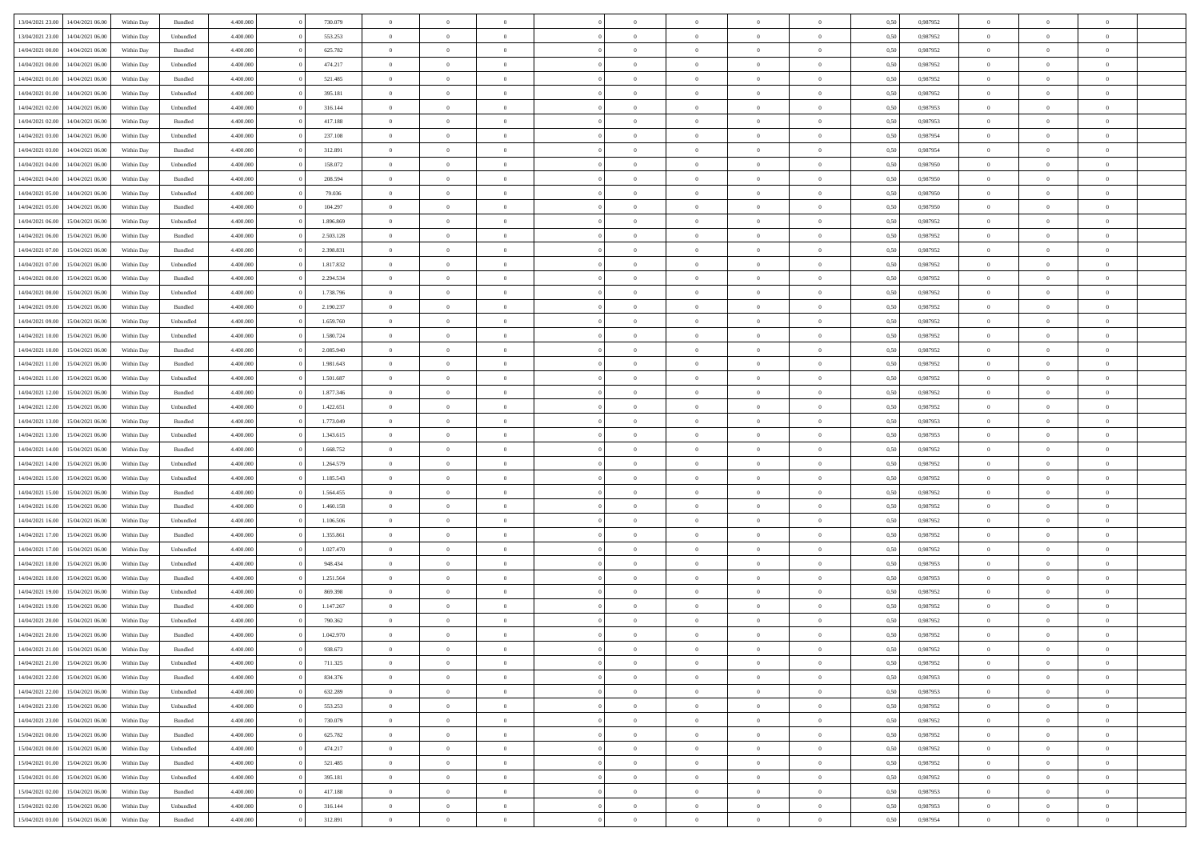| 13/04/2021 23:00 | 14/04/2021 06:00 | Within Day | Bundled            | 4.400.000 | 730.079   | $\overline{0}$ | $\Omega$       |                | $\Omega$       | $\Omega$       | $\theta$       | $\theta$       | 0.50 | 0,987952 | $\theta$       | $\theta$       | $\overline{0}$ |  |
|------------------|------------------|------------|--------------------|-----------|-----------|----------------|----------------|----------------|----------------|----------------|----------------|----------------|------|----------|----------------|----------------|----------------|--|
| 13/04/2021 23:00 | 14/04/2021 06:00 | Within Day | Unbundled          | 4.400.000 | 553.253   | $\overline{0}$ | $\theta$       | $\overline{0}$ | $\overline{0}$ | $\bf{0}$       | $\overline{0}$ | $\bf{0}$       | 0,50 | 0,987952 | $\theta$       | $\overline{0}$ | $\overline{0}$ |  |
| 14/04/2021 00:00 | 14/04/2021 06:00 | Within Day | Bundled            | 4.400.000 | 625.782   | $\overline{0}$ | $\overline{0}$ | $\overline{0}$ | $\bf{0}$       | $\bf{0}$       | $\bf{0}$       | $\mathbf{0}$   | 0,50 | 0,987952 | $\overline{0}$ | $\overline{0}$ | $\bf{0}$       |  |
| 14/04/2021 00:00 | 14/04/2021 06:00 | Within Day | Unbundled          | 4.400.000 | 474.217   | $\overline{0}$ | $\overline{0}$ | $\overline{0}$ | $\overline{0}$ | $\bf{0}$       | $\overline{0}$ | $\overline{0}$ | 0.50 | 0,987952 | $\theta$       | $\theta$       | $\overline{0}$ |  |
| 14/04/2021 01:00 | 14/04/2021 06:00 | Within Day | Bundled            | 4.400.000 | 521.485   | $\overline{0}$ | $\theta$       | $\overline{0}$ | $\overline{0}$ | $\bf{0}$       | $\overline{0}$ | $\bf{0}$       | 0,50 | 0,987952 | $\theta$       | $\overline{0}$ | $\overline{0}$ |  |
|                  |                  |            |                    |           |           |                |                |                |                |                |                |                |      |          |                |                |                |  |
| 14/04/2021 01:00 | 14/04/2021 06:00 | Within Day | Unbundled          | 4.400.000 | 395.181   | $\overline{0}$ | $\overline{0}$ | $\overline{0}$ | $\bf{0}$       | $\overline{0}$ | $\overline{0}$ | $\mathbf{0}$   | 0,50 | 0,987952 | $\overline{0}$ | $\overline{0}$ | $\bf{0}$       |  |
| 14/04/2021 02:00 | 14/04/2021 06:00 | Within Dav | Unbundled          | 4.400.000 | 316.144   | $\overline{0}$ | $\overline{0}$ | $\overline{0}$ | $\overline{0}$ | $\overline{0}$ | $\overline{0}$ | $\overline{0}$ | 0.50 | 0,987953 | $\theta$       | $\overline{0}$ | $\overline{0}$ |  |
| 14/04/2021 02.00 | 14/04/2021 06:00 | Within Day | Bundled            | 4.400.000 | 417.188   | $\overline{0}$ | $\theta$       | $\overline{0}$ | $\overline{0}$ | $\bf{0}$       | $\overline{0}$ | $\bf{0}$       | 0,50 | 0,987953 | $\theta$       | $\theta$       | $\overline{0}$ |  |
| 14/04/2021 03:00 | 14/04/2021 06:00 | Within Day | Unbundled          | 4.400.000 | 237.108   | $\overline{0}$ | $\overline{0}$ | $\overline{0}$ | $\bf{0}$       | $\bf{0}$       | $\bf{0}$       | $\bf{0}$       | 0,50 | 0,987954 | $\,0\,$        | $\overline{0}$ | $\overline{0}$ |  |
| 14/04/2021 03:00 | 14/04/2021 06:00 | Within Dav | Bundled            | 4.400.000 | 312.891   | $\overline{0}$ | $\overline{0}$ | $\overline{0}$ | $\overline{0}$ | $\overline{0}$ | $\overline{0}$ | $\overline{0}$ | 0.50 | 0,987954 | $\theta$       | $\overline{0}$ | $\overline{0}$ |  |
| 14/04/2021 04:00 | 14/04/2021 06:00 | Within Day | Unbundled          | 4.400.000 | 158.072   | $\overline{0}$ | $\theta$       | $\overline{0}$ | $\overline{0}$ | $\bf{0}$       | $\overline{0}$ | $\bf{0}$       | 0,50 | 0,987950 | $\,$ 0 $\,$    | $\overline{0}$ | $\overline{0}$ |  |
| 14/04/2021 04:00 | 14/04/2021 06:00 | Within Day | Bundled            | 4.400.000 | 208.594   | $\overline{0}$ | $\overline{0}$ | $\overline{0}$ | $\bf{0}$       | $\bf{0}$       | $\bf{0}$       | $\mathbf{0}$   | 0,50 | 0,987950 | $\overline{0}$ | $\overline{0}$ | $\bf{0}$       |  |
|                  |                  |            |                    |           |           |                |                |                |                |                |                |                |      |          |                |                |                |  |
| 14/04/2021 05:00 | 14/04/2021 06:00 | Within Day | Unbundled          | 4.400.000 | 79.036    | $\overline{0}$ | $\overline{0}$ | $\overline{0}$ | $\overline{0}$ | $\bf{0}$       | $\overline{0}$ | $\overline{0}$ | 0.50 | 0,987950 | $\theta$       | $\theta$       | $\overline{0}$ |  |
| 14/04/2021 05:00 | 14/04/2021 06:00 | Within Day | Bundled            | 4.400.000 | 104.297   | $\overline{0}$ | $\theta$       | $\overline{0}$ | $\overline{0}$ | $\bf{0}$       | $\overline{0}$ | $\bf{0}$       | 0,50 | 0,987950 | $\theta$       | $\overline{0}$ | $\overline{0}$ |  |
| 14/04/2021 06:00 | 15/04/2021 06:00 | Within Day | Unbundled          | 4.400.000 | 1.896.869 | $\overline{0}$ | $\overline{0}$ | $\overline{0}$ | $\bf{0}$       | $\overline{0}$ | $\overline{0}$ | $\mathbf{0}$   | 0,50 | 0,987952 | $\overline{0}$ | $\overline{0}$ | $\bf{0}$       |  |
| 14/04/2021 06:00 | 15/04/2021 06:00 | Within Dav | Bundled            | 4.400.000 | 2.503.128 | $\overline{0}$ | $\overline{0}$ | $\overline{0}$ | $\overline{0}$ | $\overline{0}$ | $\overline{0}$ | $\overline{0}$ | 0.50 | 0,987952 | $\theta$       | $\overline{0}$ | $\overline{0}$ |  |
| 14/04/2021 07:00 | 15/04/2021 06:00 | Within Day | Bundled            | 4.400.000 | 2.398.831 | $\overline{0}$ | $\theta$       | $\overline{0}$ | $\overline{0}$ | $\bf{0}$       | $\overline{0}$ | $\bf{0}$       | 0,50 | 0,987952 | $\theta$       | $\theta$       | $\overline{0}$ |  |
| 14/04/2021 07:00 | 15/04/2021 06:00 | Within Day | Unbundled          | 4.400.000 | 1.817.832 | $\overline{0}$ | $\overline{0}$ | $\overline{0}$ | $\bf{0}$       | $\bf{0}$       | $\overline{0}$ | $\mathbf{0}$   | 0,50 | 0,987952 | $\,0\,$        | $\overline{0}$ | $\bf{0}$       |  |
| 14/04/2021 08:00 | 15/04/2021 06:00 | Within Day | Bundled            | 4.400.000 | 2.294.534 | $\overline{0}$ | $\overline{0}$ | $\overline{0}$ | $\overline{0}$ | $\overline{0}$ | $\overline{0}$ | $\overline{0}$ | 0.50 | 0,987952 | $\theta$       | $\overline{0}$ | $\overline{0}$ |  |
|                  |                  |            |                    |           |           |                |                |                |                |                |                |                |      |          |                |                |                |  |
| 14/04/2021 08:00 | 15/04/2021 06:00 | Within Day | Unbundled          | 4.400.000 | 1.738.796 | $\overline{0}$ | $\theta$       | $\overline{0}$ | $\overline{0}$ | $\bf{0}$       | $\overline{0}$ | $\bf{0}$       | 0,50 | 0,987952 | $\,$ 0 $\,$    | $\overline{0}$ | $\overline{0}$ |  |
| 14/04/2021 09:00 | 15/04/2021 06:00 | Within Day | Bundled            | 4.400.000 | 2.190.237 | $\overline{0}$ | $\overline{0}$ | $\overline{0}$ | $\overline{0}$ | $\bf{0}$       | $\overline{0}$ | $\mathbf{0}$   | 0,50 | 0,987952 | $\bf{0}$       | $\overline{0}$ | $\bf{0}$       |  |
| 14/04/2021 09:00 | 15/04/2021 06:00 | Within Day | Unbundled          | 4.400.000 | 1.659.760 | $\overline{0}$ | $\overline{0}$ | $\overline{0}$ | $\overline{0}$ | $\overline{0}$ | $\overline{0}$ | $\overline{0}$ | 0.50 | 0,987952 | $\theta$       | $\overline{0}$ | $\overline{0}$ |  |
| 14/04/2021 10:00 | 15/04/2021 06:00 | Within Day | Unbundled          | 4.400.000 | 1.580.724 | $\overline{0}$ | $\theta$       | $\overline{0}$ | $\overline{0}$ | $\bf{0}$       | $\overline{0}$ | $\bf{0}$       | 0,50 | 0,987952 | $\,$ 0 $\,$    | $\overline{0}$ | $\overline{0}$ |  |
| 14/04/2021 10:00 | 15/04/2021 06:00 | Within Day | Bundled            | 4.400.000 | 2.085.940 | $\overline{0}$ | $\overline{0}$ | $\overline{0}$ | $\overline{0}$ | $\overline{0}$ | $\overline{0}$ | $\mathbf{0}$   | 0,50 | 0,987952 | $\bf{0}$       | $\overline{0}$ | $\bf{0}$       |  |
| 14/04/2021 11:00 | 15/04/2021 06:00 | Within Dav | Bundled            | 4.400.000 | 1.981.643 | $\overline{0}$ | $\overline{0}$ | $\overline{0}$ | $\overline{0}$ | $\overline{0}$ | $\overline{0}$ | $\overline{0}$ | 0.50 | 0,987952 | $\theta$       | $\overline{0}$ | $\overline{0}$ |  |
| 14/04/2021 11:00 | 15/04/2021 06:00 |            |                    | 4.400.000 | 1.501.687 | $\overline{0}$ | $\theta$       | $\overline{0}$ | $\overline{0}$ | $\bf{0}$       | $\overline{0}$ |                |      | 0,987952 | $\theta$       | $\overline{0}$ | $\overline{0}$ |  |
|                  |                  | Within Day | Unbundled          |           |           |                |                |                |                |                |                | $\bf{0}$       | 0,50 |          |                |                |                |  |
| 14/04/2021 12:00 | 15/04/2021 06:00 | Within Day | Bundled            | 4.400.000 | 1.877.346 | $\overline{0}$ | $\overline{0}$ | $\overline{0}$ | $\overline{0}$ | $\bf{0}$       | $\overline{0}$ | $\bf{0}$       | 0,50 | 0,987952 | $\,0\,$        | $\overline{0}$ | $\overline{0}$ |  |
| 14/04/2021 12:00 | 15/04/2021 06:00 | Within Day | Unbundled          | 4.400.000 | 1.422.651 | $\overline{0}$ | $\overline{0}$ | $\overline{0}$ | $\overline{0}$ | $\overline{0}$ | $\overline{0}$ | $\overline{0}$ | 0.50 | 0,987952 | $\theta$       | $\overline{0}$ | $\overline{0}$ |  |
| 14/04/2021 13:00 | 15/04/2021 06:00 | Within Day | Bundled            | 4.400.000 | 1.773.049 | $\overline{0}$ | $\theta$       | $\overline{0}$ | $\overline{0}$ | $\bf{0}$       | $\overline{0}$ | $\bf{0}$       | 0,50 | 0,987953 | $\,$ 0 $\,$    | $\overline{0}$ | $\overline{0}$ |  |
| 14/04/2021 13:00 | 15/04/2021 06:00 | Within Day | Unbundled          | 4.400.000 | 1.343.615 | $\overline{0}$ | $\bf{0}$       | $\overline{0}$ | $\overline{0}$ | $\bf{0}$       | $\overline{0}$ | $\bf{0}$       | 0,50 | 0,987953 | $\bf{0}$       | $\overline{0}$ | $\bf{0}$       |  |
| 14/04/2021 14:00 | 15/04/2021 06:00 | Within Day | Bundled            | 4.400,000 | 1.668.752 | $\overline{0}$ | $\Omega$       | $\Omega$       | $\Omega$       | $\Omega$       | $\overline{0}$ | $\overline{0}$ | 0,50 | 0,987952 | $\,0\,$        | $\theta$       | $\theta$       |  |
| 14/04/2021 14:00 | 15/04/2021 06:00 | Within Day | Unbundled          | 4.400.000 | 1.264.579 | $\overline{0}$ | $\theta$       | $\overline{0}$ | $\overline{0}$ | $\bf{0}$       | $\overline{0}$ | $\bf{0}$       | 0,50 | 0,987952 | $\,$ 0 $\,$    | $\overline{0}$ | $\overline{0}$ |  |
|                  |                  |            |                    |           |           |                |                |                |                |                |                |                |      |          |                |                |                |  |
| 14/04/2021 15:00 | 15/04/2021 06:00 | Within Day | Unbundled          | 4.400.000 | 1.185.543 | $\overline{0}$ | $\overline{0}$ | $\overline{0}$ | $\overline{0}$ | $\overline{0}$ | $\overline{0}$ | $\mathbf{0}$   | 0,50 | 0,987952 | $\overline{0}$ | $\overline{0}$ | $\bf{0}$       |  |
| 14/04/2021 15:00 | 15/04/2021 06:00 | Within Day | Bundled            | 4.400,000 | 1.564.455 | $\overline{0}$ | $\Omega$       | $\Omega$       | $\Omega$       | $\overline{0}$ | $\overline{0}$ | $\overline{0}$ | 0.50 | 0,987952 | $\,0\,$        | $\theta$       | $\theta$       |  |
| 14/04/2021 16:00 | 15/04/2021 06:00 | Within Day | Bundled            | 4.400.000 | 1.460.158 | $\overline{0}$ | $\theta$       | $\overline{0}$ | $\overline{0}$ | $\bf{0}$       | $\overline{0}$ | $\bf{0}$       | 0,50 | 0,987952 | $\,$ 0 $\,$    | $\overline{0}$ | $\overline{0}$ |  |
| 14/04/2021 16:00 | 15/04/2021 06:00 | Within Day | Unbundled          | 4.400.000 | 1.106.506 | $\overline{0}$ | $\overline{0}$ | $\overline{0}$ | $\bf{0}$       | $\bf{0}$       | $\bf{0}$       | $\bf{0}$       | 0,50 | 0,987952 | $\bf{0}$       | $\overline{0}$ | $\bf{0}$       |  |
| 14/04/2021 17:00 | 15/04/2021 06:00 | Within Day | Bundled            | 4.400,000 | 1.355.861 | $\overline{0}$ | $\Omega$       | $\Omega$       | $\Omega$       | $\overline{0}$ | $\overline{0}$ | $\overline{0}$ | 0.50 | 0.987952 | $\,$ 0 $\,$    | $\theta$       | $\theta$       |  |
| 14/04/2021 17:00 | 15/04/2021 06:00 | Within Day | Unbundled          | 4.400.000 | 1.027.470 | $\overline{0}$ | $\theta$       | $\overline{0}$ | $\overline{0}$ | $\,$ 0         | $\overline{0}$ | $\bf{0}$       | 0,50 | 0,987952 | $\,$ 0 $\,$    | $\overline{0}$ | $\overline{0}$ |  |
| 14/04/2021 18:00 | 15/04/2021 06:00 | Within Day | Unbundled          | 4.400.000 | 948.434   | $\overline{0}$ | $\bf{0}$       | $\overline{0}$ | $\bf{0}$       | $\bf{0}$       | $\bf{0}$       | $\mathbf{0}$   | 0,50 | 0,987953 | $\overline{0}$ | $\overline{0}$ | $\bf{0}$       |  |
| 14/04/2021 18:00 | 15/04/2021 06:00 | Within Day |                    | 4.400,000 | 1.251.564 | $\overline{0}$ | $\Omega$       | $\overline{0}$ | $\Omega$       | $\overline{0}$ | $\overline{0}$ | $\overline{0}$ | 0,50 | 0,987953 | $\,0\,$        | $\theta$       | $\theta$       |  |
|                  |                  |            | Bundled            |           |           |                |                |                |                |                |                |                |      |          |                |                |                |  |
| 14/04/2021 19:00 | 15/04/2021 06:00 | Within Day | Unbundled          | 4.400.000 | 869.398   | $\overline{0}$ | $\overline{0}$ | $\overline{0}$ | $\overline{0}$ | $\,$ 0         | $\overline{0}$ | $\bf{0}$       | 0,50 | 0,987952 | $\,$ 0 $\,$    | $\overline{0}$ | $\overline{0}$ |  |
| 14/04/2021 19:00 | 15/04/2021 06:00 | Within Day | Bundled            | 4.400.000 | 1.147.267 | $\overline{0}$ | $\overline{0}$ | $\overline{0}$ | $\bf{0}$       | $\bf{0}$       | $\overline{0}$ | $\mathbf{0}$   | 0,50 | 0,987952 | $\overline{0}$ | $\overline{0}$ | $\bf{0}$       |  |
| 14/04/2021 20:00 | 15/04/2021 06:00 | Within Day | Unbundled          | 4.400,000 | 790,362   | $\overline{0}$ | $\Omega$       | $\Omega$       | $\Omega$       | $\Omega$       | $\Omega$       | $\overline{0}$ | 0.50 | 0.987952 | $\theta$       | $\theta$       | $\theta$       |  |
| 14/04/2021 20:00 | 15/04/2021 06:00 | Within Day | Bundled            | 4.400.000 | 1.042.970 | $\overline{0}$ | $\overline{0}$ | $\overline{0}$ | $\bf{0}$       | $\,$ 0         | $\overline{0}$ | $\bf{0}$       | 0,50 | 0,987952 | $\,0\,$        | $\,$ 0 $\,$    | $\overline{0}$ |  |
| 14/04/2021 21:00 | 15/04/2021 06:00 | Within Day | $\mathbf B$ undled | 4.400.000 | 938.673   | $\bf{0}$       | $\bf{0}$       |                |                | $\bf{0}$       |                |                | 0,50 | 0,987952 | $\bf{0}$       | $\overline{0}$ |                |  |
| 14/04/2021 21:00 | 15/04/2021 06:00 | Within Day | Unbundled          | 4.400.000 | 711.325   | $\overline{0}$ | $\overline{0}$ | $\overline{0}$ | $\Omega$       | $\overline{0}$ | $\overline{0}$ | $\overline{0}$ | 0.50 | 0.987952 | $\theta$       | $\theta$       | $\theta$       |  |
| 14/04/2021 22.00 | 15/04/2021 06:00 | Within Day | Bundled            | 4.400.000 | 834.376   | $\overline{0}$ | $\bf{0}$       | $\overline{0}$ | $\overline{0}$ | $\,$ 0 $\,$    | $\overline{0}$ | $\,$ 0 $\,$    | 0,50 | 0,987953 | $\,$ 0 $\,$    | $\,$ 0 $\,$    | $\,$ 0         |  |
|                  |                  |            |                    |           |           |                |                |                |                |                |                |                |      |          |                |                |                |  |
| 14/04/2021 22.00 | 15/04/2021 06:00 | Within Day | Unbundled          | 4.400.000 | 632.289   | $\overline{0}$ | $\overline{0}$ | $\overline{0}$ | $\overline{0}$ | $\overline{0}$ | $\overline{0}$ | $\mathbf{0}$   | 0,50 | 0,987953 | $\overline{0}$ | $\bf{0}$       | $\overline{0}$ |  |
| 14/04/2021 23:00 | 15/04/2021 06:00 | Within Day | Unbundled          | 4.400.000 | 553.253   | $\overline{0}$ | $\overline{0}$ | $\overline{0}$ | $\Omega$       | $\overline{0}$ | $\overline{0}$ | $\overline{0}$ | 0,50 | 0,987952 | $\overline{0}$ | $\theta$       | $\overline{0}$ |  |
| 14/04/2021 23:00 | 15/04/2021 06:00 | Within Day | Bundled            | 4.400.000 | 730.079   | $\overline{0}$ | $\,$ 0         | $\overline{0}$ | $\overline{0}$ | $\,$ 0 $\,$    | $\overline{0}$ | $\mathbf{0}$   | 0,50 | 0,987952 | $\,$ 0 $\,$    | $\overline{0}$ | $\overline{0}$ |  |
| 15/04/2021 00:00 | 15/04/2021 06:00 | Within Day | Bundled            | 4.400.000 | 625.782   | $\overline{0}$ | $\overline{0}$ | $\overline{0}$ | $\overline{0}$ | $\overline{0}$ | $\overline{0}$ | $\mathbf{0}$   | 0,50 | 0,987952 | $\overline{0}$ | $\overline{0}$ | $\bf{0}$       |  |
| 15/04/2021 00:00 | 15/04/2021 06:00 | Within Day | Unbundled          | 4.400.000 | 474.217   | $\overline{0}$ | $\overline{0}$ | $\overline{0}$ | $\overline{0}$ | $\overline{0}$ | $\overline{0}$ | $\bf{0}$       | 0.50 | 0,987952 | $\overline{0}$ | $\theta$       | $\overline{0}$ |  |
| 15/04/2021 01:00 | 15/04/2021 06:00 | Within Day | Bundled            | 4.400.000 | 521.485   | $\overline{0}$ | $\,$ 0         | $\overline{0}$ | $\overline{0}$ | $\bf{0}$       | $\overline{0}$ | $\bf{0}$       | 0,50 | 0,987952 | $\,$ 0 $\,$    | $\overline{0}$ | $\overline{0}$ |  |
| 15/04/2021 01:00 | 15/04/2021 06:00 | Within Day | Unbundled          | 4.400.000 | 395.181   | $\overline{0}$ | $\bf{0}$       | $\overline{0}$ | $\overline{0}$ | $\overline{0}$ | $\overline{0}$ | $\mathbf{0}$   | 0,50 | 0,987952 | $\overline{0}$ | $\overline{0}$ | $\bf{0}$       |  |
|                  |                  |            |                    |           |           |                |                |                |                |                |                |                |      |          |                |                |                |  |
| 15/04/2021 02:00 | 15/04/2021 06:00 | Within Day | Bundled            | 4.400,000 | 417.188   | $\overline{0}$ | $\overline{0}$ | $\overline{0}$ | $\Omega$       | $\overline{0}$ | $\overline{0}$ | $\overline{0}$ | 0.50 | 0,987953 | $\overline{0}$ | $\overline{0}$ | $\overline{0}$ |  |
| 15/04/2021 02:00 | 15/04/2021 06:00 | Within Day | Unbundled          | 4.400.000 | 316.144   | $\overline{0}$ | $\bf{0}$       | $\overline{0}$ | $\overline{0}$ | $\bf{0}$       | $\overline{0}$ | $\mathbf{0}$   | 0,50 | 0,987953 | $\,$ 0 $\,$    | $\,$ 0 $\,$    | $\bf{0}$       |  |
| 15/04/2021 03:00 | 15/04/2021 06:00 | Within Day | Bundled            | 4.400.000 | 312.891   | $\overline{0}$ | $\bf{0}$       | $\overline{0}$ | $\overline{0}$ | $\bf{0}$       | $\overline{0}$ | $\bf{0}$       | 0,50 | 0,987954 | $\overline{0}$ | $\overline{0}$ | $\bf{0}$       |  |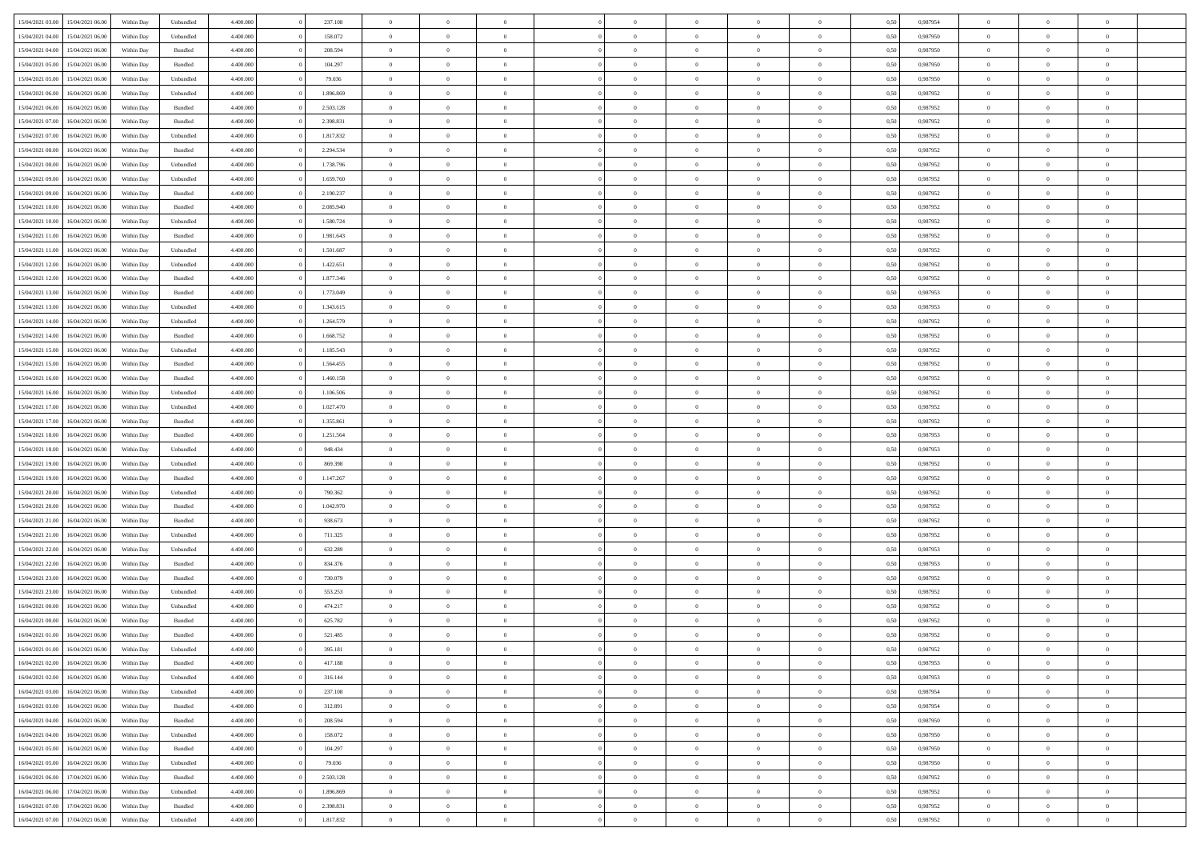| 15/04/2021 03:00 | 15/04/2021 06:00                  | Within Day | Unbundled | 4.400.000 | 237.108   | $\overline{0}$ | $\Omega$       |                | $\Omega$       | $\Omega$       | $\Omega$       | $\theta$       | 0.50 | 0.987954 | $\theta$       | $\theta$       | $\theta$       |  |
|------------------|-----------------------------------|------------|-----------|-----------|-----------|----------------|----------------|----------------|----------------|----------------|----------------|----------------|------|----------|----------------|----------------|----------------|--|
| 15/04/2021 04:00 | 15/04/2021 06:00                  | Within Day | Unbundled | 4.400.000 | 158.072   | $\overline{0}$ | $\theta$       | $\overline{0}$ | $\overline{0}$ | $\bf{0}$       | $\overline{0}$ | $\bf{0}$       | 0,50 | 0,987950 | $\theta$       | $\theta$       | $\overline{0}$ |  |
| 15/04/2021 04:00 | 15/04/2021 06:00                  | Within Day | Bundled   | 4.400.000 | 208.594   | $\overline{0}$ | $\overline{0}$ | $\overline{0}$ | $\bf{0}$       | $\bf{0}$       | $\bf{0}$       | $\mathbf{0}$   | 0,50 | 0,987950 | $\overline{0}$ | $\overline{0}$ | $\overline{0}$ |  |
| 15/04/2021 05:00 | 15/04/2021 06:00                  | Within Dav | Bundled   | 4.400.000 | 104.297   | $\overline{0}$ | $\overline{0}$ | $\overline{0}$ | $\overline{0}$ | $\bf{0}$       | $\overline{0}$ | $\overline{0}$ | 0.50 | 0,987950 | $\theta$       | $\theta$       | $\overline{0}$ |  |
| 15/04/2021 05:00 | 15/04/2021 06:00                  | Within Day | Unbundled | 4.400.000 | 79.036    | $\overline{0}$ | $\theta$       | $\overline{0}$ | $\overline{0}$ | $\bf{0}$       | $\overline{0}$ | $\bf{0}$       | 0,50 | 0,987950 | $\theta$       | $\theta$       | $\overline{0}$ |  |
|                  |                                   |            |           |           |           |                |                |                |                |                |                |                |      |          |                |                |                |  |
| 15/04/2021 06:00 | 16/04/2021 06:00                  | Within Day | Unbundled | 4.400.000 | 1.896.869 | $\overline{0}$ | $\bf{0}$       | $\overline{0}$ | $\bf{0}$       | $\overline{0}$ | $\overline{0}$ | $\mathbf{0}$   | 0,50 | 0,987952 | $\overline{0}$ | $\overline{0}$ | $\bf{0}$       |  |
| 15/04/2021 06:00 | 16/04/2021 06:00                  | Within Dav | Bundled   | 4.400.000 | 2.503.128 | $\overline{0}$ | $\overline{0}$ | $\overline{0}$ | $\overline{0}$ | $\overline{0}$ | $\overline{0}$ | $\overline{0}$ | 0.50 | 0,987952 | $\theta$       | $\overline{0}$ | $\overline{0}$ |  |
| 15/04/2021 07:00 | 16/04/2021 06:00                  | Within Day | Bundled   | 4.400.000 | 2.398.831 | $\overline{0}$ | $\theta$       | $\overline{0}$ | $\overline{0}$ | $\bf{0}$       | $\overline{0}$ | $\bf{0}$       | 0,50 | 0,987952 | $\theta$       | $\theta$       | $\overline{0}$ |  |
| 15/04/2021 07:00 | 16/04/2021 06:00                  | Within Day | Unbundled | 4.400.000 | 1.817.832 | $\overline{0}$ | $\overline{0}$ | $\overline{0}$ | $\bf{0}$       | $\bf{0}$       | $\bf{0}$       | $\bf{0}$       | 0,50 | 0,987952 | $\,0\,$        | $\overline{0}$ | $\overline{0}$ |  |
| 15/04/2021 08:00 | 16/04/2021 06:00                  | Within Dav | Bundled   | 4.400.000 | 2.294.534 | $\overline{0}$ | $\overline{0}$ | $\overline{0}$ | $\overline{0}$ | $\overline{0}$ | $\overline{0}$ | $\overline{0}$ | 0.50 | 0,987952 | $\theta$       | $\overline{0}$ | $\overline{0}$ |  |
| 15/04/2021 08:00 | 16/04/2021 06:00                  | Within Day | Unbundled | 4.400.000 | 1.738.796 | $\overline{0}$ | $\theta$       | $\overline{0}$ | $\overline{0}$ | $\bf{0}$       | $\overline{0}$ | $\bf{0}$       | 0,50 | 0,987952 | $\,$ 0 $\,$    | $\overline{0}$ | $\overline{0}$ |  |
| 15/04/2021 09:00 | 16/04/2021 06:00                  | Within Day | Unbundled | 4.400.000 | 1.659.760 | $\overline{0}$ | $\overline{0}$ | $\overline{0}$ | $\bf{0}$       | $\bf{0}$       | $\bf{0}$       | $\bf{0}$       | 0,50 | 0,987952 | $\overline{0}$ | $\overline{0}$ | $\overline{0}$ |  |
|                  |                                   |            |           |           |           |                |                |                |                |                |                |                |      |          |                |                |                |  |
| 15/04/2021 09:00 | 16/04/2021 06:00                  | Within Day | Bundled   | 4.400.000 | 2.190.237 | $\overline{0}$ | $\overline{0}$ | $\overline{0}$ | $\overline{0}$ | $\bf{0}$       | $\overline{0}$ | $\overline{0}$ | 0.50 | 0,987952 | $\theta$       | $\theta$       | $\overline{0}$ |  |
| 15/04/2021 10:00 | 16/04/2021 06:00                  | Within Day | Bundled   | 4.400.000 | 2.085.940 | $\overline{0}$ | $\theta$       | $\overline{0}$ | $\overline{0}$ | $\bf{0}$       | $\overline{0}$ | $\bf{0}$       | 0,50 | 0,987952 | $\theta$       | $\overline{0}$ | $\overline{0}$ |  |
| 15/04/2021 10:00 | 16/04/2021 06:00                  | Within Day | Unbundled | 4.400.000 | 1.580.724 | $\overline{0}$ | $\overline{0}$ | $\overline{0}$ | $\bf{0}$       | $\overline{0}$ | $\overline{0}$ | $\mathbf{0}$   | 0,50 | 0,987952 | $\overline{0}$ | $\overline{0}$ | $\bf{0}$       |  |
| 15/04/2021 11:00 | 16/04/2021 06:00                  | Within Dav | Bundled   | 4.400.000 | 1.981.643 | $\overline{0}$ | $\overline{0}$ | $\overline{0}$ | $\overline{0}$ | $\overline{0}$ | $\overline{0}$ | $\overline{0}$ | 0.50 | 0,987952 | $\theta$       | $\overline{0}$ | $\overline{0}$ |  |
| 15/04/2021 11:00 | 16/04/2021 06:00                  | Within Day | Unbundled | 4.400.000 | 1.501.687 | $\overline{0}$ | $\theta$       | $\overline{0}$ | $\overline{0}$ | $\bf{0}$       | $\overline{0}$ | $\bf{0}$       | 0,50 | 0,987952 | $\theta$       | $\theta$       | $\overline{0}$ |  |
| 15/04/2021 12:00 | 16/04/2021 06:00                  | Within Day | Unbundled | 4.400.000 | 1.422.651 | $\overline{0}$ | $\overline{0}$ | $\overline{0}$ | $\bf{0}$       | $\bf{0}$       | $\bf{0}$       | $\bf{0}$       | 0,50 | 0,987952 | $\,0\,$        | $\overline{0}$ | $\overline{0}$ |  |
|                  | 16/04/2021 06:00                  |            | Bundled   | 4.400.000 | 1.877.346 | $\overline{0}$ | $\overline{0}$ | $\overline{0}$ | $\overline{0}$ | $\overline{0}$ | $\overline{0}$ | $\overline{0}$ | 0.50 | 0,987952 | $\theta$       | $\overline{0}$ | $\overline{0}$ |  |
| 15/04/2021 12:00 |                                   | Within Day |           |           |           |                |                |                |                |                |                |                |      |          |                |                |                |  |
| 15/04/2021 13:00 | 16/04/2021 06:00                  | Within Day | Bundled   | 4.400.000 | 1.773.049 | $\overline{0}$ | $\theta$       | $\overline{0}$ | $\overline{0}$ | $\bf{0}$       | $\overline{0}$ | $\bf{0}$       | 0,50 | 0,987953 | $\,$ 0 $\,$    | $\theta$       | $\overline{0}$ |  |
| 15/04/2021 13:00 | 16/04/2021 06:00                  | Within Day | Unbundled | 4.400.000 | 1.343.615 | $\overline{0}$ | $\overline{0}$ | $\overline{0}$ | $\bf{0}$       | $\bf{0}$       | $\bf{0}$       | $\bf{0}$       | 0,50 | 0,987953 | $\bf{0}$       | $\overline{0}$ | $\overline{0}$ |  |
| 15/04/2021 14:00 | 16/04/2021 06:00                  | Within Day | Unbundled | 4.400.000 | 1.264.579 | $\overline{0}$ | $\overline{0}$ | $\overline{0}$ | $\overline{0}$ | $\bf{0}$       | $\overline{0}$ | $\overline{0}$ | 0.50 | 0,987952 | $\theta$       | $\theta$       | $\overline{0}$ |  |
| 15/04/2021 14:00 | 16/04/2021 06:00                  | Within Day | Bundled   | 4.400.000 | 1.668.752 | $\overline{0}$ | $\theta$       | $\overline{0}$ | $\overline{0}$ | $\bf{0}$       | $\overline{0}$ | $\bf{0}$       | 0,50 | 0,987952 | $\theta$       | $\overline{0}$ | $\overline{0}$ |  |
| 15/04/2021 15:00 | 16/04/2021 06:00                  | Within Day | Unbundled | 4.400.000 | 1.185.543 | $\overline{0}$ | $\bf{0}$       | $\overline{0}$ | $\overline{0}$ | $\overline{0}$ | $\overline{0}$ | $\mathbf{0}$   | 0,50 | 0,987952 | $\bf{0}$       | $\overline{0}$ | $\bf{0}$       |  |
| 15/04/2021 15:00 | 16/04/2021 06:00                  | Within Dav | Bundled   | 4.400.000 | 1.564.455 | $\overline{0}$ | $\overline{0}$ | $\overline{0}$ | $\overline{0}$ | $\overline{0}$ | $\overline{0}$ | $\overline{0}$ | 0.50 | 0,987952 | $\theta$       | $\overline{0}$ | $\overline{0}$ |  |
|                  |                                   |            |           |           |           |                |                |                |                |                |                |                |      |          |                |                |                |  |
| 15/04/2021 16:00 | 16/04/2021 06:00                  | Within Day | Bundled   | 4.400.000 | 1.460.158 | $\overline{0}$ | $\theta$       | $\overline{0}$ | $\overline{0}$ | $\bf{0}$       | $\overline{0}$ | $\bf{0}$       | 0,50 | 0,987952 | $\theta$       | $\theta$       | $\overline{0}$ |  |
| 15/04/2021 16:00 | 16/04/2021 06:00                  | Within Day | Unbundled | 4.400.000 | 1.106.506 | $\overline{0}$ | $\overline{0}$ | $\overline{0}$ | $\overline{0}$ | $\bf{0}$       | $\overline{0}$ | $\bf{0}$       | 0,50 | 0,987952 | $\,0\,$        | $\overline{0}$ | $\overline{0}$ |  |
| 15/04/2021 17:00 | 16/04/2021 06:00                  | Within Day | Unbundled | 4.400.000 | 1.027.470 | $\overline{0}$ | $\overline{0}$ | $\overline{0}$ | $\overline{0}$ | $\overline{0}$ | $\overline{0}$ | $\overline{0}$ | 0.50 | 0,987952 | $\theta$       | $\overline{0}$ | $\overline{0}$ |  |
| 15/04/2021 17:00 | 16/04/2021 06:00                  | Within Day | Bundled   | 4.400.000 | 1.355.861 | $\overline{0}$ | $\theta$       | $\overline{0}$ | $\overline{0}$ | $\bf{0}$       | $\overline{0}$ | $\bf{0}$       | 0,50 | 0,987952 | $\,$ 0 $\,$    | $\overline{0}$ | $\overline{0}$ |  |
| 15/04/2021 18:00 | 16/04/2021 06:00                  | Within Day | Bundled   | 4.400.000 | 1.251.564 | $\overline{0}$ | $\overline{0}$ | $\overline{0}$ | $\overline{0}$ | $\bf{0}$       | $\overline{0}$ | $\bf{0}$       | 0,50 | 0,987953 | $\bf{0}$       | $\overline{0}$ | $\overline{0}$ |  |
| 15/04/2021 18:00 | 16/04/2021 06:00                  | Within Day | Unbundled | 4.400,000 | 948,434   | $\overline{0}$ | $\Omega$       | $\Omega$       | $\Omega$       | $\Omega$       | $\Omega$       | $\overline{0}$ | 0.50 | 0,987953 | $\,0\,$        | $\theta$       | $\theta$       |  |
| 15/04/2021 19:00 | 16/04/2021 06:00                  | Within Day | Unbundled | 4.400.000 | 869.398   | $\overline{0}$ | $\theta$       | $\overline{0}$ | $\overline{0}$ | $\bf{0}$       | $\overline{0}$ | $\bf{0}$       | 0,50 | 0,987952 | $\theta$       | $\theta$       | $\overline{0}$ |  |
|                  |                                   |            |           |           |           |                |                |                |                |                |                |                |      |          |                |                |                |  |
| 15/04/2021 19:00 | 16/04/2021 06:00                  | Within Day | Bundled   | 4.400.000 | 1.147.267 | $\overline{0}$ | $\overline{0}$ | $\overline{0}$ | $\overline{0}$ | $\bf{0}$       | $\overline{0}$ | $\mathbf{0}$   | 0,50 | 0,987952 | $\bf{0}$       | $\overline{0}$ | $\bf{0}$       |  |
| 15/04/2021 20:00 | 16/04/2021 06:00                  | Within Day | Unbundled | 4.400,000 | 790.362   | $\overline{0}$ | $\Omega$       | $\Omega$       | $\Omega$       | $\bf{0}$       | $\overline{0}$ | $\overline{0}$ | 0.50 | 0,987952 | $\theta$       | $\theta$       | $\theta$       |  |
| 15/04/2021 20:00 | 16/04/2021 06:00                  | Within Day | Bundled   | 4.400.000 | 1.042.970 | $\overline{0}$ | $\theta$       | $\overline{0}$ | $\overline{0}$ | $\bf{0}$       | $\overline{0}$ | $\bf{0}$       | 0,50 | 0,987952 | $\,$ 0 $\,$    | $\theta$       | $\overline{0}$ |  |
| 15/04/2021 21:00 | 16/04/2021 06:00                  | Within Day | Bundled   | 4.400.000 | 938.673   | $\overline{0}$ | $\overline{0}$ | $\overline{0}$ | $\overline{0}$ | $\bf{0}$       | $\overline{0}$ | $\bf{0}$       | 0,50 | 0,987952 | $\,0\,$        | $\overline{0}$ | $\overline{0}$ |  |
| 15/04/2021 21:00 | 16/04/2021 06:00                  | Within Day | Unbundled | 4.400,000 | 711.325   | $\overline{0}$ | $\Omega$       | $\Omega$       | $\Omega$       | $\theta$       | $\theta$       | $\overline{0}$ | 0.50 | 0.987952 | $\theta$       | $\theta$       | $\theta$       |  |
| 15/04/2021 22:00 | 16/04/2021 06:00                  | Within Day | Unbundled | 4.400.000 | 632.289   | $\overline{0}$ | $\theta$       | $\overline{0}$ | $\overline{0}$ | $\bf{0}$       | $\overline{0}$ | $\bf{0}$       | 0,50 | 0,987953 | $\,$ 0 $\,$    | $\overline{0}$ | $\overline{0}$ |  |
| 15/04/2021 22.00 | 16/04/2021 06:00                  | Within Day | Bundled   | 4.400.000 | 834.376   | $\overline{0}$ | $\overline{0}$ | $\overline{0}$ | $\overline{0}$ | $\bf{0}$       | $\overline{0}$ | $\bf{0}$       | 0,50 | 0,987953 | $\bf{0}$       | $\overline{0}$ | $\overline{0}$ |  |
|                  |                                   |            |           |           |           |                |                |                |                |                |                |                |      |          |                |                |                |  |
| 15/04/2021 23:00 | 16/04/2021 06:00                  | Within Day | Bundled   | 4.400,000 | 730.079   | $\overline{0}$ | $\Omega$       | $\overline{0}$ | $\Omega$       | $\Omega$       | $\overline{0}$ | $\overline{0}$ | 0.50 | 0,987952 | $\,0\,$        | $\theta$       | $\theta$       |  |
| 15/04/2021 23:00 | 16/04/2021 06:00                  | Within Day | Unbundled | 4.400.000 | 553.253   | $\overline{0}$ | $\theta$       | $\overline{0}$ | $\overline{0}$ | $\bf{0}$       | $\overline{0}$ | $\bf{0}$       | 0,50 | 0,987952 | $\,$ 0 $\,$    | $\overline{0}$ | $\overline{0}$ |  |
| 16/04/2021 00:00 | 16/04/2021 06:00                  | Within Day | Unbundled | 4.400.000 | 474.217   | $\overline{0}$ | $\overline{0}$ | $\overline{0}$ | $\overline{0}$ | $\bf{0}$       | $\overline{0}$ | $\mathbf{0}$   | 0,50 | 0,987952 | $\bf{0}$       | $\overline{0}$ | $\bf{0}$       |  |
| 16/04/2021 00:00 | 16/04/2021 06:00                  | Within Day | Bundled   | 4.400,000 | 625.782   | $\overline{0}$ | $\Omega$       | $\Omega$       | $\Omega$       | $\Omega$       | $\Omega$       | $\overline{0}$ | 0.50 | 0.987952 | $\theta$       | $\theta$       | $\theta$       |  |
| 16/04/2021 01:00 | 16/04/2021 06:00                  | Within Day | Bundled   | 4.400.000 | 521.485   | $\overline{0}$ | $\overline{0}$ | $\overline{0}$ | $\bf{0}$       | $\,$ 0         | $\overline{0}$ | $\bf{0}$       | 0,50 | 0,987952 | $\,0\,$        | $\overline{0}$ | $\overline{0}$ |  |
| 16/04/2021 01:00 | 16/04/2021 06:00                  | Within Day | Unbundled | 4.400.000 | 395.181   | $\bf{0}$       | $\bf{0}$       |                |                |                |                |                | 0,50 | 0,987952 | $\bf{0}$       | $\overline{0}$ |                |  |
| 16/04/2021 02:00 | 16/04/2021 06:00                  | Within Day | Bundled   | 4.400.000 | 417.188   | $\overline{0}$ | $\overline{0}$ | $\overline{0}$ | $\Omega$       | $\overline{0}$ | $\overline{0}$ | $\overline{0}$ | 0.50 | 0.987953 | $\theta$       | $\theta$       | $\theta$       |  |
|                  |                                   |            |           |           |           |                |                |                |                |                |                |                |      |          |                |                |                |  |
| 16/04/2021 02:00 | 16/04/2021 06:00                  | Within Day | Unbundled | 4.400.000 | 316.144   | $\overline{0}$ | $\,$ 0         | $\overline{0}$ | $\overline{0}$ | $\,$ 0 $\,$    | $\overline{0}$ | $\,$ 0 $\,$    | 0,50 | 0,987953 | $\,$ 0 $\,$    | $\,$ 0 $\,$    | $\,$ 0         |  |
| 16/04/2021 03:00 | 16/04/2021 06:00                  | Within Day | Unbundled | 4.400.000 | 237.108   | $\overline{0}$ | $\overline{0}$ | $\overline{0}$ | $\overline{0}$ | $\overline{0}$ | $\overline{0}$ | $\mathbf{0}$   | 0,50 | 0,987954 | $\overline{0}$ | $\bf{0}$       | $\bf{0}$       |  |
| 16/04/2021 03:00 | 16/04/2021 06:00                  | Within Day | Bundled   | 4.400.000 | 312.891   | $\overline{0}$ | $\overline{0}$ | $\overline{0}$ | $\Omega$       | $\overline{0}$ | $\overline{0}$ | $\overline{0}$ | 0,50 | 0,987954 | $\overline{0}$ | $\theta$       | $\overline{0}$ |  |
| 16/04/2021 04:00 | 16/04/2021 06:00                  | Within Day | Bundled   | 4.400.000 | 208.594   | $\overline{0}$ | $\,$ 0         | $\overline{0}$ | $\overline{0}$ | $\,$ 0 $\,$    | $\overline{0}$ | $\mathbf{0}$   | 0,50 | 0,987950 | $\,$ 0 $\,$    | $\overline{0}$ | $\overline{0}$ |  |
| 16/04/2021 04:00 | 16/04/2021 06:00                  | Within Day | Unbundled | 4.400.000 | 158.072   | $\overline{0}$ | $\overline{0}$ | $\overline{0}$ | $\overline{0}$ | $\overline{0}$ | $\overline{0}$ | $\mathbf{0}$   | 0,50 | 0,987950 | $\overline{0}$ | $\overline{0}$ | $\bf{0}$       |  |
| 16/04/2021 05:00 | 16/04/2021 06:00                  | Within Day | Bundled   | 4.400,000 | 104.297   | $\overline{0}$ | $\overline{0}$ | $\overline{0}$ | $\overline{0}$ | $\overline{0}$ | $\overline{0}$ | $\bf{0}$       | 0.50 | 0,987950 | $\overline{0}$ | $\theta$       | $\overline{0}$ |  |
| 16/04/2021 05:00 | 16/04/2021 06:00                  | Within Day | Unbundled | 4.400.000 | 79.036    | $\overline{0}$ | $\,$ 0         | $\overline{0}$ | $\bf{0}$       | $\bf{0}$       | $\bf{0}$       | $\bf{0}$       | 0,50 | 0,987950 | $\,$ 0 $\,$    | $\overline{0}$ | $\overline{0}$ |  |
|                  |                                   |            |           |           |           |                |                |                |                |                |                |                |      |          |                |                |                |  |
| 16/04/2021 06:00 | 17/04/2021 06:00                  | Within Day | Bundled   | 4.400.000 | 2.503.128 | $\overline{0}$ | $\bf{0}$       | $\overline{0}$ | $\overline{0}$ | $\overline{0}$ | $\overline{0}$ | $\mathbf{0}$   | 0,50 | 0,987952 | $\overline{0}$ | $\overline{0}$ | $\bf{0}$       |  |
| 16/04/2021 06:00 | 17/04/2021 06:00                  | Within Day | Unbundled | 4.400,000 | 1.896.869 | $\overline{0}$ | $\overline{0}$ | $\overline{0}$ | $\Omega$       | $\overline{0}$ | $\overline{0}$ | $\overline{0}$ | 0.50 | 0,987952 | $\overline{0}$ | $\overline{0}$ | $\overline{0}$ |  |
| 16/04/2021 07:00 | 17/04/2021 06:00                  | Within Day | Bundled   | 4.400.000 | 2.398.831 | $\overline{0}$ | $\bf{0}$       | $\overline{0}$ | $\overline{0}$ | $\bf{0}$       | $\bf{0}$       | $\mathbf{0}$   | 0,50 | 0,987952 | $\,$ 0 $\,$    | $\,$ 0 $\,$    | $\bf{0}$       |  |
|                  | 16/04/2021 07:00 17/04/2021 06:00 | Within Day | Unbundled | 4.400.000 | 1.817.832 | $\overline{0}$ | $\bf{0}$       | $\overline{0}$ | $\bf{0}$       | $\bf{0}$       | $\bf{0}$       | $\bf{0}$       | 0,50 | 0,987952 | $\overline{0}$ | $\overline{0}$ | $\bf{0}$       |  |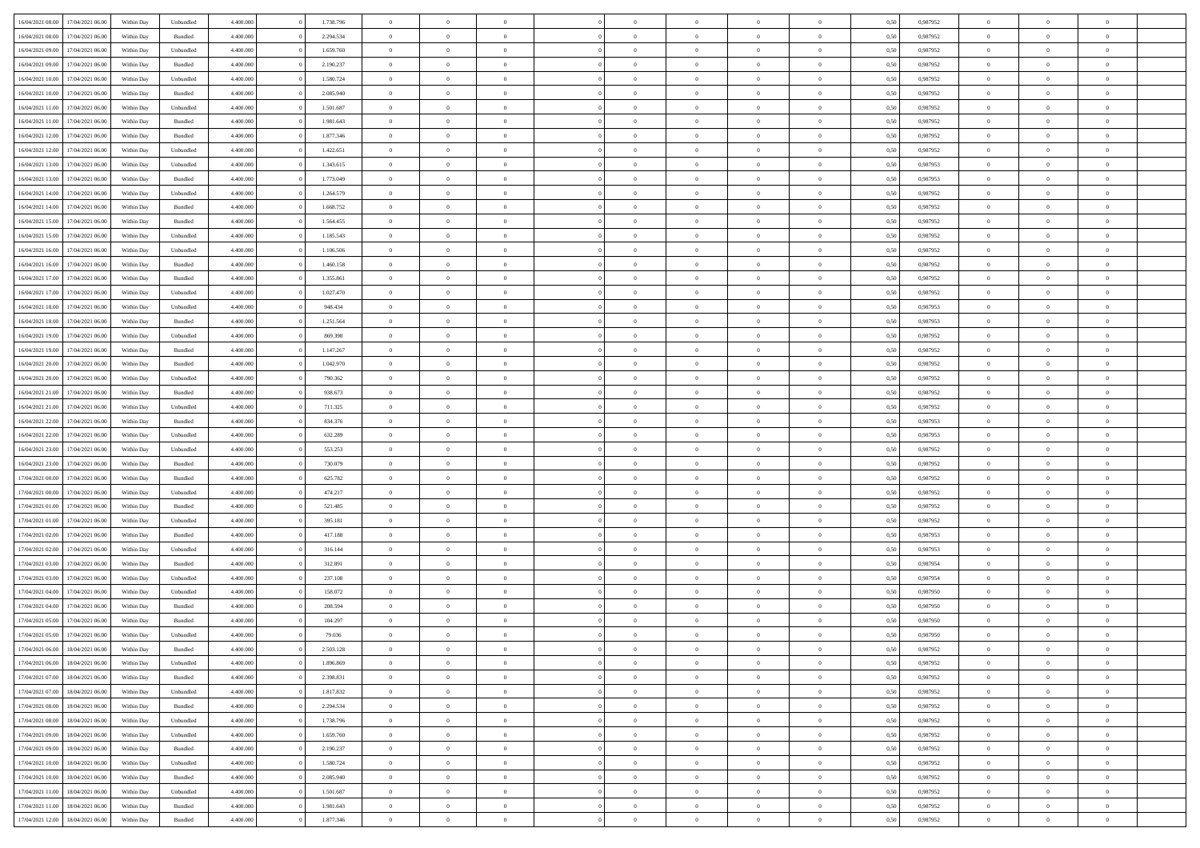| 16/04/2021 08:00 | 17/04/2021 06:00 | Within Day | Unbundled          | 4.400.000 | 1.738.796 | $\overline{0}$ | $\theta$       |                | $\Omega$       | $\Omega$       | $\theta$       | $\theta$       | 0,50 | 0,987952 | $\theta$       | $\overline{0}$ | $\theta$       |  |
|------------------|------------------|------------|--------------------|-----------|-----------|----------------|----------------|----------------|----------------|----------------|----------------|----------------|------|----------|----------------|----------------|----------------|--|
|                  |                  |            |                    |           |           |                |                |                |                |                |                |                |      |          |                |                |                |  |
| 16/04/2021 08:00 | 17/04/2021 06:00 | Within Day | Bundled            | 4.400.000 | 2.294.534 | $\overline{0}$ | $\theta$       | $\overline{0}$ | $\overline{0}$ | $\bf{0}$       | $\overline{0}$ | $\bf{0}$       | 0,50 | 0,987952 | $\theta$       | $\overline{0}$ | $\overline{0}$ |  |
| 16/04/2021 09:00 | 17/04/2021 06:00 | Within Day | Unbundled          | 4.400.000 | 1.659.760 | $\overline{0}$ | $\bf{0}$       | $\overline{0}$ | $\bf{0}$       | $\bf{0}$       | $\bf{0}$       | $\mathbf{0}$   | 0,50 | 0,987952 | $\overline{0}$ | $\overline{0}$ | $\bf{0}$       |  |
| 16/04/2021 09:00 | 17/04/2021 06:00 | Within Dav | Bundled            | 4.400.000 | 2.190.237 | $\overline{0}$ | $\overline{0}$ | $\overline{0}$ | $\overline{0}$ | $\bf{0}$       | $\overline{0}$ | $\overline{0}$ | 0.50 | 0,987952 | $\theta$       | $\theta$       | $\overline{0}$ |  |
| 16/04/2021 10:00 | 17/04/2021 06:00 | Within Day | Unbundled          | 4.400.000 | 1.580.724 | $\overline{0}$ | $\theta$       | $\overline{0}$ | $\overline{0}$ | $\bf{0}$       | $\overline{0}$ | $\bf{0}$       | 0,50 | 0,987952 | $\theta$       | $\overline{0}$ | $\overline{0}$ |  |
| 16/04/2021 10:00 | 17/04/2021 06:00 | Within Day | Bundled            | 4.400.000 | 2.085.940 | $\overline{0}$ | $\overline{0}$ | $\overline{0}$ | $\bf{0}$       | $\overline{0}$ | $\overline{0}$ | $\mathbf{0}$   | 0,50 | 0,987952 | $\overline{0}$ | $\overline{0}$ | $\bf{0}$       |  |
| 16/04/2021 11:00 | 17/04/2021 06:00 | Within Dav | Unbundled          | 4.400.000 | 1.501.687 | $\overline{0}$ | $\overline{0}$ | $\overline{0}$ |                | $\overline{0}$ | $\overline{0}$ | $\overline{0}$ | 0.50 | 0,987952 | $\theta$       | $\overline{0}$ | $\overline{0}$ |  |
|                  |                  |            |                    |           |           |                |                |                | $\overline{0}$ |                |                |                |      |          |                |                |                |  |
| 16/04/2021 11:00 | 17/04/2021 06:00 | Within Day | Bundled            | 4.400.000 | 1.981.643 | $\overline{0}$ | $\theta$       | $\overline{0}$ | $\overline{0}$ | $\bf{0}$       | $\overline{0}$ | $\bf{0}$       | 0,50 | 0,987952 | $\theta$       | $\theta$       | $\overline{0}$ |  |
| 16/04/2021 12:00 | 17/04/2021 06:00 | Within Day | Bundled            | 4.400.000 | 1.877.346 | $\overline{0}$ | $\overline{0}$ | $\overline{0}$ | $\bf{0}$       | $\bf{0}$       | $\bf{0}$       | $\bf{0}$       | 0,50 | 0,987952 | $\,0\,$        | $\overline{0}$ | $\overline{0}$ |  |
| 16/04/2021 12:00 | 17/04/2021 06:00 | Within Dav | Unbundled          | 4.400.000 | 1.422.651 | $\overline{0}$ | $\overline{0}$ | $\overline{0}$ | $\overline{0}$ | $\overline{0}$ | $\overline{0}$ | $\overline{0}$ | 0.50 | 0,987952 | $\theta$       | $\overline{0}$ | $\overline{0}$ |  |
| 16/04/2021 13:00 | 17/04/2021 06:00 | Within Day | Unbundled          | 4.400.000 | 1.343.615 | $\overline{0}$ | $\theta$       | $\overline{0}$ | $\overline{0}$ | $\bf{0}$       | $\overline{0}$ | $\bf{0}$       | 0,50 | 0,987953 | $\,$ 0 $\,$    | $\overline{0}$ | $\overline{0}$ |  |
| 16/04/2021 13:00 | 17/04/2021 06:00 | Within Day | Bundled            | 4.400.000 | 1.773.049 | $\overline{0}$ | $\overline{0}$ | $\overline{0}$ | $\bf{0}$       | $\bf{0}$       | $\bf{0}$       | $\mathbf{0}$   | 0,50 | 0,987953 | $\overline{0}$ | $\overline{0}$ | $\bf{0}$       |  |
| 16/04/2021 14:00 | 17/04/2021 06:00 | Within Day | Unbundled          | 4.400.000 | 1.264.579 | $\overline{0}$ | $\overline{0}$ | $\overline{0}$ | $\overline{0}$ | $\bf{0}$       | $\overline{0}$ | $\overline{0}$ | 0.50 | 0,987952 | $\theta$       | $\theta$       | $\overline{0}$ |  |
|                  |                  |            |                    |           |           | $\overline{0}$ | $\theta$       | $\overline{0}$ | $\overline{0}$ | $\bf{0}$       | $\overline{0}$ |                |      |          | $\theta$       | $\overline{0}$ | $\overline{0}$ |  |
| 16/04/2021 14:00 | 17/04/2021 06:00 | Within Day | Bundled            | 4.400.000 | 1.668.752 |                |                |                |                |                |                | $\bf{0}$       | 0,50 | 0,987952 |                |                |                |  |
| 16/04/2021 15:00 | 17/04/2021 06:00 | Within Day | Bundled            | 4.400.000 | 1.564.455 | $\overline{0}$ | $\overline{0}$ | $\overline{0}$ | $\bf{0}$       | $\overline{0}$ | $\overline{0}$ | $\mathbf{0}$   | 0,50 | 0,987952 | $\overline{0}$ | $\overline{0}$ | $\bf{0}$       |  |
| 16/04/2021 15:00 | 17/04/2021 06:00 | Within Dav | Unbundled          | 4.400.000 | 1.185.543 | $\overline{0}$ | $\overline{0}$ | $\overline{0}$ | $\overline{0}$ | $\overline{0}$ | $\overline{0}$ | $\overline{0}$ | 0.50 | 0,987952 | $\theta$       | $\overline{0}$ | $\overline{0}$ |  |
| 16/04/2021 16:00 | 17/04/2021 06:00 | Within Day | Unbundled          | 4.400.000 | 1.106.506 | $\overline{0}$ | $\theta$       | $\overline{0}$ | $\overline{0}$ | $\bf{0}$       | $\overline{0}$ | $\bf{0}$       | 0,50 | 0,987952 | $\theta$       | $\theta$       | $\overline{0}$ |  |
| 16/04/2021 16:00 | 17/04/2021 06:00 | Within Day | Bundled            | 4.400.000 | 1.460.158 | $\overline{0}$ | $\overline{0}$ | $\overline{0}$ | $\bf{0}$       | $\bf{0}$       | $\bf{0}$       | $\mathbf{0}$   | 0,50 | 0,987952 | $\,0\,$        | $\overline{0}$ | $\bf{0}$       |  |
| 16/04/2021 17:00 | 17/04/2021 06:00 | Within Dav | Bundled            | 4.400.000 | 1.355.861 | $\overline{0}$ | $\overline{0}$ | $\overline{0}$ | $\overline{0}$ | $\overline{0}$ | $\overline{0}$ | $\overline{0}$ | 0.50 | 0,987952 | $\theta$       | $\overline{0}$ | $\overline{0}$ |  |
| 16/04/2021 17:00 | 17/04/2021 06:00 | Within Day | Unbundled          | 4.400.000 | 1.027.470 | $\overline{0}$ | $\theta$       | $\overline{0}$ | $\overline{0}$ | $\bf{0}$       | $\overline{0}$ | $\bf{0}$       | 0,50 | 0,987952 | $\,$ 0 $\,$    | $\overline{0}$ | $\overline{0}$ |  |
|                  |                  |            |                    |           |           |                |                |                |                |                |                |                |      |          |                |                |                |  |
| 16/04/2021 18:00 | 17/04/2021 06:00 | Within Day | Unbundled          | 4.400.000 | 948.434   | $\overline{0}$ | $\overline{0}$ | $\overline{0}$ | $\bf{0}$       | $\bf{0}$       | $\bf{0}$       | $\mathbf{0}$   | 0,50 | 0,987953 | $\overline{0}$ | $\overline{0}$ | $\bf{0}$       |  |
| 16/04/2021 18:00 | 17/04/2021 06:00 | Within Day | Bundled            | 4.400.000 | 1.251.564 | $\overline{0}$ | $\overline{0}$ | $\overline{0}$ | $\overline{0}$ | $\bf{0}$       | $\overline{0}$ | $\overline{0}$ | 0.50 | 0,987953 | $\theta$       | $\overline{0}$ | $\overline{0}$ |  |
| 16/04/2021 19:00 | 17/04/2021 06:00 | Within Day | Unbundled          | 4.400.000 | 869.398   | $\overline{0}$ | $\theta$       | $\overline{0}$ | $\overline{0}$ | $\bf{0}$       | $\overline{0}$ | $\bf{0}$       | 0,50 | 0,987952 | $\,$ 0 $\,$    | $\overline{0}$ | $\overline{0}$ |  |
| 16/04/2021 19:00 | 17/04/2021 06:00 | Within Day | Bundled            | 4.400.000 | 1.147.267 | $\overline{0}$ | $\overline{0}$ | $\overline{0}$ | $\bf{0}$       | $\overline{0}$ | $\overline{0}$ | $\mathbf{0}$   | 0,50 | 0,987952 | $\overline{0}$ | $\overline{0}$ | $\bf{0}$       |  |
| 16/04/2021 20:00 | 17/04/2021 06:00 | Within Dav | Bundled            | 4.400.000 | 1.042.970 | $\overline{0}$ | $\overline{0}$ | $\overline{0}$ | $\overline{0}$ | $\overline{0}$ | $\overline{0}$ | $\overline{0}$ | 0.50 | 0,987952 | $\theta$       | $\overline{0}$ | $\overline{0}$ |  |
| 16/04/2021 20:00 | 17/04/2021 06:00 | Within Day | Unbundled          | 4.400.000 | 790.362   | $\overline{0}$ | $\theta$       | $\overline{0}$ | $\overline{0}$ | $\bf{0}$       | $\overline{0}$ | $\bf{0}$       | 0,50 | 0,987952 | $\theta$       | $\theta$       | $\overline{0}$ |  |
| 16/04/2021 21:00 | 17/04/2021 06:00 | Within Day | Bundled            | 4.400.000 | 938.673   | $\overline{0}$ | $\overline{0}$ | $\overline{0}$ | $\overline{0}$ | $\bf{0}$       | $\overline{0}$ | $\bf{0}$       | 0,50 | 0,987952 | $\,0\,$        | $\overline{0}$ | $\bf{0}$       |  |
|                  |                  |            |                    |           |           |                | $\overline{0}$ |                |                | $\overline{0}$ |                |                |      |          | $\theta$       | $\overline{0}$ | $\overline{0}$ |  |
| 16/04/2021 21:00 | 17/04/2021 06:00 | Within Day | Unbundled          | 4.400.000 | 711.325   | $\overline{0}$ |                | $\overline{0}$ | $\overline{0}$ |                | $\overline{0}$ | $\overline{0}$ | 0.50 | 0,987952 |                |                |                |  |
| 16/04/2021 22:00 | 17/04/2021 06:00 | Within Day | Bundled            | 4.400.000 | 834.376   | $\overline{0}$ | $\theta$       | $\overline{0}$ | $\overline{0}$ | $\bf{0}$       | $\overline{0}$ | $\bf{0}$       | 0,50 | 0,987953 | $\,$ 0 $\,$    | $\overline{0}$ | $\overline{0}$ |  |
| 16/04/2021 22:00 | 17/04/2021 06:00 | Within Day | Unbundled          | 4.400.000 | 632.289   | $\overline{0}$ | $\overline{0}$ | $\overline{0}$ | $\overline{0}$ | $\bf{0}$       | $\overline{0}$ | $\bf{0}$       | 0,50 | 0,987953 | $\bf{0}$       | $\overline{0}$ | $\bf{0}$       |  |
| 16/04/2021 23:00 | 17/04/2021 06:00 | Within Day | Unbundled          | 4.400,000 | 553.253   | $\overline{0}$ | $\Omega$       | $\Omega$       | $\Omega$       | $\Omega$       | $\overline{0}$ | $\overline{0}$ | 0,50 | 0,987952 | $\,0\,$        | $\theta$       | $\theta$       |  |
| 16/04/2021 23:00 | 17/04/2021 06:00 | Within Day | Bundled            | 4.400.000 | 730.079   | $\overline{0}$ | $\theta$       | $\overline{0}$ | $\overline{0}$ | $\bf{0}$       | $\overline{0}$ | $\bf{0}$       | 0,50 | 0,987952 | $\theta$       | $\overline{0}$ | $\overline{0}$ |  |
| 17/04/2021 00:00 | 17/04/2021 06:00 | Within Day | Bundled            | 4.400.000 | 625.782   | $\overline{0}$ | $\overline{0}$ | $\overline{0}$ | $\bf{0}$       | $\overline{0}$ | $\overline{0}$ | $\mathbf{0}$   | 0,50 | 0,987952 | $\bf{0}$       | $\overline{0}$ | $\bf{0}$       |  |
| 17/04/2021 00:00 | 17/04/2021 06:00 | Within Day | Unbundled          | 4.400,000 | 474.217   | $\overline{0}$ | $\Omega$       | $\Omega$       | $\Omega$       | $\bf{0}$       | $\overline{0}$ | $\overline{0}$ | 0.50 | 0,987952 | $\,0\,$        | $\theta$       | $\theta$       |  |
|                  |                  |            |                    |           |           | $\overline{0}$ | $\theta$       | $\overline{0}$ |                | $\bf{0}$       | $\overline{0}$ |                |      |          |                |                | $\overline{0}$ |  |
| 17/04/2021 01:00 | 17/04/2021 06:00 | Within Day | Bundled            | 4.400.000 | 521.485   |                |                |                | $\overline{0}$ |                |                | $\bf{0}$       | 0,50 | 0,987952 | $\,$ 0 $\,$    | $\overline{0}$ |                |  |
| 17/04/2021 01:00 | 17/04/2021 06:00 | Within Day | Unbundled          | 4.400.000 | 395.181   | $\overline{0}$ | $\overline{0}$ | $\overline{0}$ | $\bf{0}$       | $\bf{0}$       | $\bf{0}$       | $\bf{0}$       | 0,50 | 0,987952 | $\bf{0}$       | $\overline{0}$ | $\bf{0}$       |  |
| 17/04/2021 02:00 | 17/04/2021 06:00 | Within Day | Bundled            | 4.400,000 | 417.188   | $\overline{0}$ | $\Omega$       | $\Omega$       | $\Omega$       | $\theta$       | $\overline{0}$ | $\overline{0}$ | 0.50 | 0.987953 | $\,$ 0 $\,$    | $\theta$       | $\theta$       |  |
| 17/04/2021 02:00 | 17/04/2021 06:00 | Within Day | Unbundled          | 4.400.000 | 316.144   | $\overline{0}$ | $\overline{0}$ | $\overline{0}$ | $\overline{0}$ | $\bf{0}$       | $\overline{0}$ | $\bf{0}$       | 0,50 | 0,987953 | $\,$ 0 $\,$    | $\overline{0}$ | $\overline{0}$ |  |
| 17/04/2021 03:00 | 17/04/2021 06:00 | Within Day | Bundled            | 4.400.000 | 312.891   | $\overline{0}$ | $\overline{0}$ | $\overline{0}$ | $\bf{0}$       | $\bf{0}$       | $\bf{0}$       | $\mathbf{0}$   | 0,50 | 0,987954 | $\bf{0}$       | $\overline{0}$ | $\bf{0}$       |  |
| 17/04/2021 03:00 | 17/04/2021 06:00 | Within Day | Unbundled          | 4.400,000 | 237.108   | $\overline{0}$ | $\Omega$       | $\overline{0}$ | $\Omega$       | $\overline{0}$ | $\overline{0}$ | $\overline{0}$ | 0.50 | 0,987954 | $\,0\,$        | $\theta$       | $\theta$       |  |
| 17/04/2021 04:00 | 17/04/2021 06:00 | Within Day | Unbundled          | 4.400.000 | 158.072   | $\overline{0}$ | $\overline{0}$ | $\overline{0}$ | $\overline{0}$ | $\,$ 0         | $\overline{0}$ | $\bf{0}$       | 0,50 | 0,987950 | $\,$ 0 $\,$    | $\overline{0}$ | $\overline{0}$ |  |
| 17/04/2021 04:00 | 17/04/2021 06:00 | Within Day | Bundled            | 4.400.000 | 208.594   | $\overline{0}$ | $\overline{0}$ | $\overline{0}$ | $\overline{0}$ | $\bf{0}$       | $\overline{0}$ | $\mathbf{0}$   | 0,50 | 0,987950 | $\overline{0}$ | $\overline{0}$ | $\bf{0}$       |  |
|                  |                  |            |                    |           |           |                |                |                |                |                |                |                |      |          |                |                |                |  |
| 17/04/2021 05:00 | 17/04/2021 06:00 | Within Day | Bundled            | 4.400,000 | 104.297   | $\overline{0}$ | $\Omega$       | $\Omega$       | $\Omega$       | $\Omega$       | $\Omega$       | $\overline{0}$ | 0.50 | 0.987950 | $\theta$       | $\theta$       | $\theta$       |  |
| 17/04/2021 05:00 | 17/04/2021 06:00 | Within Day | Unbundled          | 4.400.000 | 79.036    | $\overline{0}$ | $\overline{0}$ | $\overline{0}$ | $\bf{0}$       | $\,$ 0         | $\overline{0}$ | $\bf{0}$       | 0,50 | 0,987950 | $\,0\,$        | $\,$ 0 $\,$    | $\overline{0}$ |  |
| 17/04/2021 06:00 | 18/04/2021 06:00 | Within Day | $\mathbf B$ undled | 4.400.000 | 2.503.128 | $\overline{0}$ | $\bf{0}$       |                |                | $\bf{0}$       |                |                | 0,50 | 0,987952 | $\bf{0}$       | $\overline{0}$ |                |  |
| 17/04/2021 06:00 | 18/04/2021 06:00 | Within Day | Unbundled          | 4.400.000 | 1.896.869 | $\overline{0}$ | $\overline{0}$ | $\overline{0}$ | $\Omega$       | $\overline{0}$ | $\overline{0}$ | $\overline{0}$ | 0.50 | 0.987952 | $\theta$       | $\theta$       | $\theta$       |  |
| 17/04/2021 07:00 | 18/04/2021 06:00 | Within Day | Bundled            | 4.400.000 | 2.398.831 | $\overline{0}$ | $\,$ 0         | $\overline{0}$ | $\overline{0}$ | $\,$ 0 $\,$    | $\overline{0}$ | $\mathbf{0}$   | 0,50 | 0,987952 | $\,$ 0 $\,$    | $\,$ 0 $\,$    | $\,$ 0         |  |
| 17/04/2021 07:00 | 18/04/2021 06:00 | Within Day | Unbundled          | 4.400.000 | 1.817.832 | $\overline{0}$ | $\overline{0}$ | $\overline{0}$ | $\overline{0}$ | $\overline{0}$ | $\overline{0}$ | $\mathbf{0}$   | 0,50 | 0,987952 | $\overline{0}$ | $\bf{0}$       | $\bf{0}$       |  |
| 17/04/2021 08:00 | 18/04/2021 06:00 | Within Day | $\mathbf B$ undled | 4.400,000 | 2.294.534 | $\overline{0}$ | $\overline{0}$ | $\overline{0}$ | $\Omega$       | $\overline{0}$ | $\overline{0}$ | $\overline{0}$ | 0,50 | 0,987952 | $\overline{0}$ | $\theta$       | $\overline{0}$ |  |
| 17/04/2021 08:00 | 18/04/2021 06:00 | Within Day |                    | 4.400.000 | 1.738.796 | $\overline{0}$ | $\,$ 0         | $\overline{0}$ | $\overline{0}$ | $\,$ 0 $\,$    | $\overline{0}$ |                | 0,50 | 0,987952 | $\,$ 0 $\,$    | $\overline{0}$ | $\overline{0}$ |  |
|                  |                  |            | Unbundled          |           |           |                |                |                |                |                |                | $\mathbf{0}$   |      |          |                |                |                |  |
| 17/04/2021 09:00 | 18/04/2021 06:00 | Within Day | Unbundled          | 4.400.000 | 1.659.760 | $\overline{0}$ | $\overline{0}$ | $\overline{0}$ | $\overline{0}$ | $\overline{0}$ | $\overline{0}$ | $\mathbf{0}$   | 0,50 | 0,987952 | $\overline{0}$ | $\overline{0}$ | $\bf{0}$       |  |
| 17/04/2021 09:00 | 18/04/2021 06:00 | Within Day | Bundled            | 4.400.000 | 2.190.237 | $\overline{0}$ | $\overline{0}$ | $\overline{0}$ | $\Omega$       | $\overline{0}$ | $\overline{0}$ | $\bf{0}$       | 0.50 | 0,987952 | $\overline{0}$ | $\theta$       | $\overline{0}$ |  |
| 17/04/2021 10:00 | 18/04/2021 06:00 | Within Day | Unbundled          | 4.400.000 | 1.580.724 | $\overline{0}$ | $\,$ 0         | $\overline{0}$ | $\overline{0}$ | $\bf{0}$       | $\overline{0}$ | $\bf{0}$       | 0,50 | 0,987952 | $\,$ 0 $\,$    | $\overline{0}$ | $\overline{0}$ |  |
| 17/04/2021 10:00 | 18/04/2021 06:00 | Within Day | Bundled            | 4.400.000 | 2.085.940 | $\overline{0}$ | $\bf{0}$       | $\overline{0}$ | $\overline{0}$ | $\overline{0}$ | $\overline{0}$ | $\mathbf{0}$   | 0,50 | 0,987952 | $\overline{0}$ | $\overline{0}$ | $\bf{0}$       |  |
| 17/04/2021 11:00 | 18/04/2021 06:00 | Within Day | Unbundled          | 4.400,000 | 1.501.687 | $\overline{0}$ | $\overline{0}$ | $\overline{0}$ | $\Omega$       | $\overline{0}$ | $\overline{0}$ | $\bf{0}$       | 0.50 | 0,987952 | $\overline{0}$ | $\overline{0}$ | $\overline{0}$ |  |
| 17/04/2021 11:00 | 18/04/2021 06:00 | Within Day | Bundled            | 4.400.000 | 1.981.643 | $\overline{0}$ | $\bf{0}$       | $\overline{0}$ | $\overline{0}$ | $\bf{0}$       | $\overline{0}$ | $\mathbf{0}$   | 0,50 | 0,987952 | $\,$ 0 $\,$    | $\,$ 0 $\,$    | $\bf{0}$       |  |
|                  |                  |            |                    |           |           |                |                |                |                |                |                |                |      |          |                |                |                |  |
| 17/04/2021 12:00 | 18/04/2021 06:00 | Within Day | Bundled            | 4.400.000 | 1.877.346 | $\overline{0}$ | $\overline{0}$ | $\overline{0}$ | $\overline{0}$ | $\overline{0}$ | $\overline{0}$ | $\mathbf{0}$   | 0,50 | 0,987952 | $\overline{0}$ | $\bf{0}$       | $\bf{0}$       |  |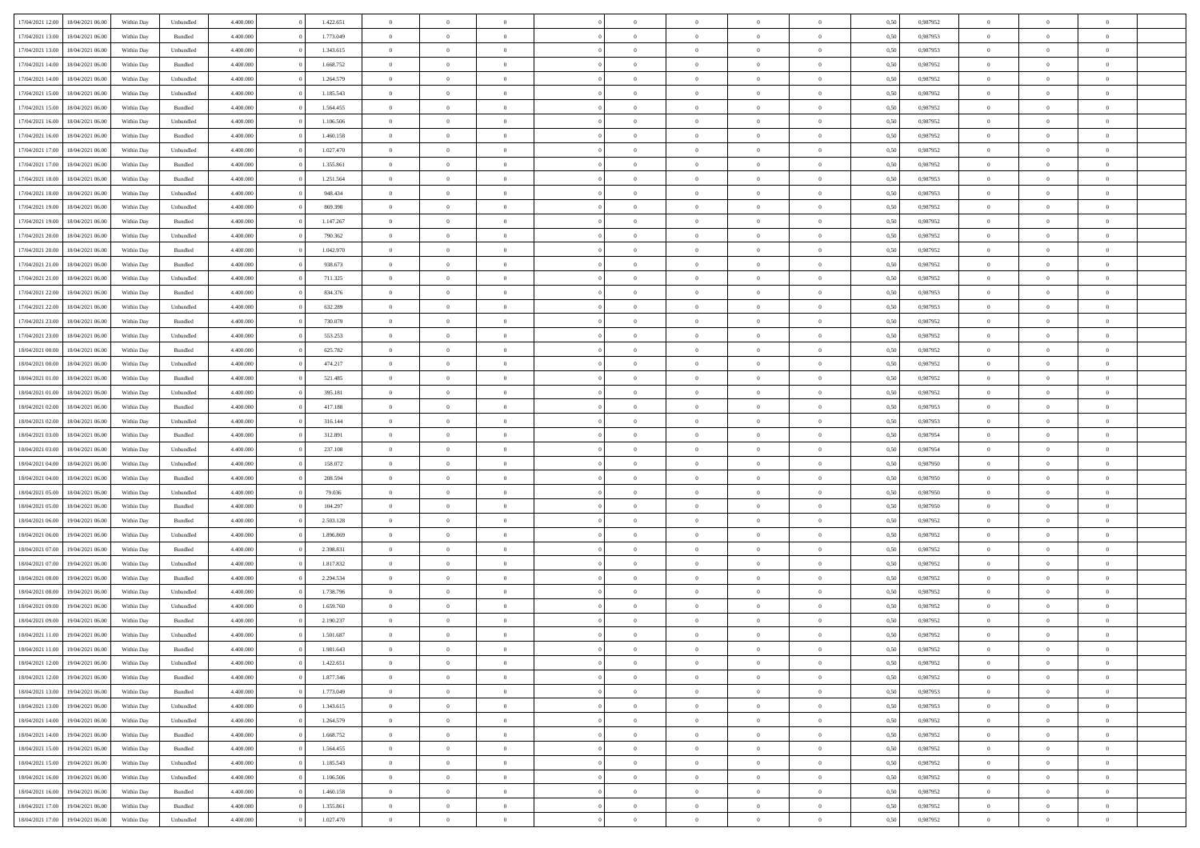| 17/04/2021 12:00 | 18/04/2021 06:00 | Within Day | Unbundled          | 4.400.000 | 1.422.651 | $\overline{0}$ | $\theta$       |                | $\overline{0}$ | $\bf{0}$       | $\overline{0}$ | $\theta$       | 0,50 | 0,987952 | $\theta$       | $\theta$       | $\overline{0}$           |  |
|------------------|------------------|------------|--------------------|-----------|-----------|----------------|----------------|----------------|----------------|----------------|----------------|----------------|------|----------|----------------|----------------|--------------------------|--|
| 17/04/2021 13:00 | 18/04/2021 06:00 | Within Day | Bundled            | 4.400.000 | 1.773.049 | $\overline{0}$ | $\overline{0}$ | $\overline{0}$ | $\overline{0}$ | $\,$ 0         | $\overline{0}$ | $\bf{0}$       | 0,50 | 0,987953 | $\,$ 0 $\,$    | $\overline{0}$ | $\overline{0}$           |  |
|                  |                  |            |                    |           |           |                |                |                |                |                |                |                |      |          |                |                |                          |  |
| 17/04/2021 13:00 | 18/04/2021 06:00 | Within Day | Unbundled          | 4.400,000 | 1.343.615 | $\overline{0}$ | $\overline{0}$ | $\overline{0}$ | $\overline{0}$ | $\bf{0}$       | $\overline{0}$ | $\mathbf{0}$   | 0.50 | 0.987953 | $\bf{0}$       | $\overline{0}$ | $\overline{0}$           |  |
| 17/04/2021 14:00 | 18/04/2021 06:00 | Within Day | Bundled            | 4.400.000 | 1.668.752 | $\overline{0}$ | $\overline{0}$ | $\overline{0}$ | $\overline{0}$ | $\,$ 0         | $\overline{0}$ | $\overline{0}$ | 0,50 | 0,987952 | $\,$ 0 $\,$    | $\overline{0}$ | $\overline{0}$           |  |
| 17/04/2021 14:00 | 18/04/2021 06:00 | Within Day | Unbundled          | 4.400.000 | 1.264.579 | $\overline{0}$ | $\theta$       | $\overline{0}$ |                | $\overline{0}$ | $\overline{0}$ | $\bf{0}$       | 0,50 | 0,987952 | $\,$ 0 $\,$    | $\overline{0}$ | $\overline{0}$           |  |
| 17/04/2021 15:00 | 18/04/2021 06:00 | Within Day | Unbundled          | 4.400,000 | 1.185.543 | $\overline{0}$ | $\overline{0}$ | $\overline{0}$ | $\overline{0}$ | $\bf{0}$       | $\overline{0}$ | $\bf{0}$       | 0.50 | 0.987952 | $\,0\,$        | $\theta$       | $\overline{0}$           |  |
| 17/04/2021 15:00 | 18/04/2021 06:00 | Within Day | Bundled            | 4.400.000 | 1.564.455 | $\overline{0}$ | $\overline{0}$ | $\overline{0}$ | $\overline{0}$ | $\bf{0}$       | $\overline{0}$ | $\overline{0}$ | 0,50 | 0,987952 | $\,$ 0 $\,$    | $\theta$       | $\overline{0}$           |  |
| 17/04/2021 16:00 | 18/04/2021 06.00 | Within Day | Unbundled          | 4.400.000 | 1.106.506 | $\overline{0}$ | $\theta$       | $\overline{0}$ | $\overline{0}$ | $\,$ 0         | $\bf{0}$       | $\bf{0}$       | 0,50 | 0,987952 | $\,$ 0 $\,$    | $\overline{0}$ | $\overline{0}$           |  |
| 17/04/2021 16:00 | 18/04/2021 06:00 | Within Day | Bundled            | 4.400,000 | 1.460.158 | $\overline{0}$ | $\overline{0}$ | $\overline{0}$ | $\overline{0}$ | $\bf{0}$       | $\overline{0}$ | $\bf{0}$       | 0.50 | 0.987952 | $\,0\,$        | $\overline{0}$ | $\overline{0}$           |  |
| 17/04/2021 17:00 | 18/04/2021 06:00 | Within Day | Unbundled          | 4.400.000 | 1.027.470 | $\overline{0}$ | $\overline{0}$ | $\overline{0}$ | $\overline{0}$ | $\,$ 0         | $\overline{0}$ | $\bf{0}$       | 0,50 | 0,987952 | $\,$ 0 $\,$    | $\overline{0}$ | $\overline{0}$           |  |
| 17/04/2021 17:00 | 18/04/2021 06:00 | Within Day | Bundled            | 4.400.000 | 1.355.861 | $\overline{0}$ | $\theta$       | $\overline{0}$ | $\overline{0}$ | $\,$ 0         | $\bf{0}$       | $\bf{0}$       | 0,50 | 0,987952 | $\,$ 0 $\,$    | $\overline{0}$ | $\overline{0}$           |  |
|                  | 18/04/2021 06:00 |            |                    | 4.400,000 |           |                | $\overline{0}$ | $\overline{0}$ |                |                | $\overline{0}$ |                |      | 0.987953 |                |                |                          |  |
| 17/04/2021 18:00 |                  | Within Day | Bundled            |           | 1.251.564 | $\overline{0}$ |                |                | $\overline{0}$ | $\bf{0}$       |                | $\mathbf{0}$   | 0.50 |          | $\bf{0}$       | $\overline{0}$ | $\overline{\phantom{a}}$ |  |
| 17/04/2021 18:00 | 18/04/2021 06:00 | Within Day | Unbundled          | 4.400.000 | 948.434   | $\overline{0}$ | $\overline{0}$ | $\overline{0}$ | $\overline{0}$ | $\,$ 0         | $\overline{0}$ | $\overline{0}$ | 0,50 | 0,987953 | $\,$ 0 $\,$    | $\overline{0}$ | $\overline{0}$           |  |
| 17/04/2021 19:00 | 18/04/2021 06:00 | Within Day | Unbundled          | 4.400.000 | 869.398   | $\overline{0}$ | $\theta$       | $\overline{0}$ | $\overline{0}$ | $\overline{0}$ | $\overline{0}$ | $\bf{0}$       | 0,50 | 0,987952 | $\,$ 0 $\,$    | $\overline{0}$ | $\overline{0}$           |  |
| 17/04/2021 19:00 | 18/04/2021 06:00 | Within Day | Bundled            | 4.400,000 | 1.147.267 | $\overline{0}$ | $\overline{0}$ | $\overline{0}$ | $\overline{0}$ | $\,$ 0         | $\overline{0}$ | $\bf{0}$       | 0.50 | 0.987952 | $\,0\,$        | $\theta$       | $\overline{0}$           |  |
| 17/04/2021 20:00 | 18/04/2021 06:00 | Within Day | Unbundled          | 4.400.000 | 790.362   | $\overline{0}$ | $\overline{0}$ | $\overline{0}$ | $\overline{0}$ | $\,$ 0         | $\overline{0}$ | $\bf{0}$       | 0,50 | 0,987952 | $\,$ 0 $\,$    | $\theta$       | $\overline{0}$           |  |
| 17/04/2021 20:00 | 18/04/2021 06.00 | Within Day | Bundled            | 4.400.000 | 1.042.970 | $\overline{0}$ | $\theta$       | $\overline{0}$ | $\overline{0}$ | $\,$ 0         | $\overline{0}$ | $\bf{0}$       | 0,50 | 0,987952 | $\,$ 0 $\,$    | $\overline{0}$ | $\overline{0}$           |  |
| 17/04/2021 21:00 | 18/04/2021 06:00 | Within Day | Bundled            | 4.400,000 | 938.673   | $\overline{0}$ | $\overline{0}$ | $\overline{0}$ | $\overline{0}$ | $\bf{0}$       | $\overline{0}$ | $\bf{0}$       | 0.50 | 0.987952 | $\,0\,$        | $\overline{0}$ | $\overline{0}$           |  |
| 17/04/2021 21:00 | 18/04/2021 06:00 | Within Day | Unbundled          | 4.400.000 | 711.325   | $\overline{0}$ | $\overline{0}$ | $\overline{0}$ | $\overline{0}$ | $\bf{0}$       | $\overline{0}$ | $\bf{0}$       | 0,50 | 0,987952 | $\,$ 0 $\,$    | $\overline{0}$ | $\overline{0}$           |  |
| 17/04/2021 22.00 | 18/04/2021 06:00 | Within Day | Bundled            | 4.400.000 | 834.376   | $\overline{0}$ | $\,$ 0 $\,$    | $\overline{0}$ | $\overline{0}$ | $\,$ 0         | $\bf{0}$       | $\bf{0}$       | 0,50 | 0,987953 | $\,$ 0 $\,$    | $\overline{0}$ | $\overline{0}$           |  |
| 17/04/2021 22:00 | 18/04/2021 06:00 | Within Day | Unbundled          | 4.400,000 | 632.289   | $\overline{0}$ | $\overline{0}$ | $\overline{0}$ | $\overline{0}$ | $\bf{0}$       | $\overline{0}$ | $\mathbf{0}$   | 0.50 | 0.987953 | $\bf{0}$       | $\overline{0}$ | $\overline{\phantom{a}}$ |  |
|                  |                  |            |                    |           |           |                | $\overline{0}$ |                |                |                |                |                |      |          |                | $\overline{0}$ |                          |  |
| 17/04/2021 23:00 | 18/04/2021 06:00 | Within Day | Bundled            | 4.400.000 | 730.079   | $\overline{0}$ |                | $\overline{0}$ | $\overline{0}$ | $\bf{0}$       | $\overline{0}$ | $\overline{0}$ | 0,50 | 0,987952 | $\,$ 0 $\,$    |                | $\overline{0}$           |  |
| 17/04/2021 23:00 | 18/04/2021 06:00 | Within Day | Unbundled          | 4.400.000 | 553.253   | $\overline{0}$ | $\theta$       | $\overline{0}$ | $\overline{0}$ | $\,$ 0         | $\overline{0}$ | $\bf{0}$       | 0,50 | 0,987952 | $\,$ 0 $\,$    | $\overline{0}$ | $\overline{0}$           |  |
| 18/04/2021 00:00 | 18/04/2021 06:00 | Within Day | Bundled            | 4.400,000 | 625.782   | $\overline{0}$ | $\overline{0}$ | $\overline{0}$ | $\overline{0}$ | $\bf{0}$       | $\overline{0}$ | $\bf{0}$       | 0.50 | 0.987952 | $\,0\,$        | $\theta$       | $\overline{0}$           |  |
| 18/04/2021 00:00 | 18/04/2021 06:00 | Within Day | Unbundled          | 4.400.000 | 474.217   | $\overline{0}$ | $\overline{0}$ | $\overline{0}$ | $\overline{0}$ | $\,$ 0         | $\overline{0}$ | $\overline{0}$ | 0,50 | 0,987952 | $\,0\,$        | $\theta$       | $\overline{0}$           |  |
| 18/04/2021 01:00 | 18/04/2021 06.00 | Within Day | Bundled            | 4.400.000 | 521.485   | $\overline{0}$ | $\theta$       | $\overline{0}$ |                | $\bf{0}$       | $\overline{0}$ | $\bf{0}$       | 0,50 | 0,987952 | $\,$ 0 $\,$    | $\overline{0}$ | $\overline{0}$           |  |
| 18/04/2021 01:00 | 18/04/2021 06:00 | Within Day | Unbundled          | 4.400,000 | 395.181   | $\overline{0}$ | $\overline{0}$ | $\overline{0}$ | $\overline{0}$ | $\bf{0}$       | $\overline{0}$ | $\bf{0}$       | 0.50 | 0.987952 | $\,0\,$        | $\overline{0}$ | $\overline{0}$           |  |
| 18/04/2021 02:00 | 18/04/2021 06:00 | Within Day | Bundled            | 4.400.000 | 417.188   | $\overline{0}$ | $\overline{0}$ | $\overline{0}$ | $\overline{0}$ | $\bf{0}$       | $\overline{0}$ | $\bf{0}$       | 0,50 | 0,987953 | $\,$ 0 $\,$    | $\overline{0}$ | $\overline{0}$           |  |
| 18/04/2021 02:00 | 18/04/2021 06:00 | Within Day | Unbundled          | 4.400.000 | 316.144   | $\bf{0}$       | $\overline{0}$ | $\overline{0}$ | $\overline{0}$ | $\bf{0}$       | $\overline{0}$ | $\bf{0}$       | 0,50 | 0,987953 | $\,$ 0 $\,$    | $\overline{0}$ | $\overline{0}$           |  |
| 18/04/2021 03:00 | 18/04/2021 06:00 | Within Day | Bundled            | 4.400,000 | 312.891   | $\overline{0}$ | $\overline{0}$ | $\overline{0}$ | $\overline{0}$ | $\bf{0}$       | $\overline{0}$ | $\mathbf{0}$   | 0.50 | 0.987954 | $\bf{0}$       | $\overline{0}$ | $\overline{\phantom{a}}$ |  |
| 18/04/2021 03:00 | 18/04/2021 06:00 | Within Dav | Unbundled          | 4.400.000 | 237.108   | $\overline{0}$ | $\overline{0}$ | $\overline{0}$ | $\overline{0}$ | $\overline{0}$ | $\overline{0}$ | $\overline{0}$ | 0.50 | 0,987954 | $\theta$       | $\overline{0}$ | $\overline{0}$           |  |
|                  |                  |            |                    |           |           |                |                |                |                |                |                |                |      |          |                |                |                          |  |
| 18/04/2021 04:00 | 18/04/2021 06:00 | Within Day | Unbundled          | 4.400.000 | 158.072   | $\overline{0}$ | $\theta$       | $\overline{0}$ | $\overline{0}$ | $\,$ 0         | $\overline{0}$ | $\bf{0}$       | 0,50 | 0,987950 | $\,$ 0 $\,$    | $\overline{0}$ | $\overline{0}$           |  |
| 18/04/2021 04:00 | 18/04/2021 06:00 | Within Day | Bundled            | 4.400,000 | 208,594   | $\overline{0}$ | $\overline{0}$ | $\overline{0}$ | $\overline{0}$ | $\,$ 0         | $\overline{0}$ | $\bf{0}$       | 0.50 | 0.987950 | $\,0\,$        | $\theta$       | $\overline{0}$           |  |
| 18/04/2021 05:00 | 18/04/2021 06:00 | Within Dav | Unbundled          | 4.400.000 | 79.036    | $\overline{0}$ | $\overline{0}$ | $\Omega$       | $\overline{0}$ | $\mathbf{0}$   | $\overline{0}$ | $\overline{0}$ | 0.50 | 0,987950 | $\theta$       | $\overline{0}$ | $\overline{0}$           |  |
| 18/04/2021 05:00 | 18/04/2021 06.00 | Within Day | Bundled            | 4.400.000 | 104.297   | $\overline{0}$ | $\theta$       | $\overline{0}$ | $\overline{0}$ | $\,$ 0         | $\overline{0}$ | $\bf{0}$       | 0,50 | 0,987950 | $\,$ 0 $\,$    | $\overline{0}$ | $\overline{0}$           |  |
| 18/04/2021 06:00 | 19/04/2021 06:00 | Within Day | Bundled            | 4.400,000 | 2.503.128 | $\overline{0}$ | $\overline{0}$ | $\overline{0}$ | $\overline{0}$ | $\bf{0}$       | $\overline{0}$ | $\bf{0}$       | 0.50 | 0.987952 | $\,0\,$        | $\overline{0}$ | $\overline{0}$           |  |
| 18/04/2021 06:00 | 19/04/2021 06:00 | Within Dav | Unbundled          | 4.400.000 | 1.896.869 | $\overline{0}$ | $\overline{0}$ | $\overline{0}$ | $\overline{0}$ | $\overline{0}$ | $\overline{0}$ | $\overline{0}$ | 0.50 | 0,987952 | $\theta$       | $\overline{0}$ | $\overline{0}$           |  |
| 18/04/2021 07:00 | 19/04/2021 06.00 | Within Day | Bundled            | 4.400.000 | 2.398.831 | $\bf{0}$       | $\overline{0}$ | $\overline{0}$ | $\overline{0}$ | $\bf{0}$       | $\overline{0}$ | $\bf{0}$       | 0,50 | 0,987952 | $\,$ 0 $\,$    | $\overline{0}$ | $\overline{0}$           |  |
| 18/04/2021 07:00 | 19/04/2021 06:00 | Within Day | Unbundled          | 4.400,000 | 1.817.832 | $\overline{0}$ | $\overline{0}$ | $\overline{0}$ | $\overline{0}$ | $\bf{0}$       | $\overline{0}$ | $\mathbf{0}$   | 0.50 | 0.987952 | $\bf{0}$       | $\overline{0}$ | $\overline{0}$           |  |
| 18/04/2021 08:00 | 19/04/2021 06:00 | Within Dav | Bundled            | 4.400.000 | 2.294.534 | $\overline{0}$ | $\overline{0}$ | $\Omega$       | $\overline{0}$ | $\mathbf{0}$   | $\overline{0}$ | $\overline{0}$ | 0.50 | 0,987952 | $\theta$       | $\overline{0}$ | $\overline{0}$           |  |
|                  |                  |            |                    |           |           |                |                |                |                |                |                |                |      |          |                |                |                          |  |
| 18/04/2021 08:00 | 19/04/2021 06.00 | Within Day | Unbundled          | 4.400.000 | 1.738.796 | $\bf{0}$       | $\theta$       | $\overline{0}$ | $\overline{0}$ | $\,$ 0         | $\overline{0}$ | $\bf{0}$       | 0,50 | 0,987952 | $\,$ 0 $\,$    | $\overline{0}$ | $\overline{0}$           |  |
| 18/04/2021 09:00 | 19/04/2021 06:00 | Within Day | Unbundled          | 4.400,000 | 1.659.760 | $\overline{0}$ | $\theta$       | $\overline{0}$ | $\overline{0}$ | $\bf{0}$       | $\overline{0}$ | $\overline{0}$ | 0.50 | 0,987952 | $\,0\,$        | $\theta$       | $\overline{0}$           |  |
| 18/04/2021 09:00 | 19/04/2021 06:00 | Within Dav | Bundled            | 4.400.000 | 2.190.237 | $\overline{0}$ | $\Omega$       | $\Omega$       | $\Omega$       | $\bf{0}$       | $\overline{0}$ | $\bf{0}$       | 0.50 | 0,987952 | $\theta$       | $\theta$       | $\overline{0}$           |  |
| 18/04/2021 11:00 | 19/04/2021 06:00 | Within Day | Unbundled          | 4.400.000 | 1.501.687 | $\bf{0}$       | $\,$ 0 $\,$    | $\overline{0}$ | $\overline{0}$ | $\,$ 0         | $\overline{0}$ | $\bf{0}$       | 0,50 | 0,987952 | $\,$ 0 $\,$    | $\overline{0}$ | $\overline{0}$           |  |
| 18/04/2021 11:00 | 19/04/2021 06:00 | Within Day | $\mathbf B$ undled | 4.400.000 | 1.981.643 | $\bf{0}$       | $\theta$       |                | $^{\circ}$     | $\Omega$       |                |                | 0,50 | 0,987952 | $\bf{0}$       | $\theta$       |                          |  |
| 18/04/2021 12:00 | 19/04/2021 06:00 | Within Day | Unbundled          | 4.400.000 | 1.422.651 | $\overline{0}$ | $\overline{0}$ | $\overline{0}$ | $\overline{0}$ | $\overline{0}$ | $\overline{0}$ | $\overline{0}$ | 0,50 | 0,987952 | $\theta$       | $\overline{0}$ | $\overline{0}$           |  |
| 18/04/2021 12:00 | 19/04/2021 06:00 | Within Day | Bundled            | 4.400.000 | 1.877.346 | $\overline{0}$ | $\overline{0}$ | $\overline{0}$ | $\overline{0}$ | $\overline{0}$ | $\overline{0}$ | $\bf{0}$       | 0,50 | 0,987952 | $\bf{0}$       | $\overline{0}$ | $\bf{0}$                 |  |
| 18/04/2021 13:00 | 19/04/2021 06:00 | Within Day | Bundled            | 4.400.000 | 1.773.049 | $\overline{0}$ | $\overline{0}$ | $\overline{0}$ | $\overline{0}$ | $\overline{0}$ | $\overline{0}$ | $\mathbf{0}$   | 0.50 | 0.987953 | $\overline{0}$ | $\bf{0}$       | $\bf{0}$                 |  |
| 18/04/2021 13:00 | 19/04/2021 06:00 | Within Day | Unbundled          | 4.400.000 | 1.343.615 | $\overline{0}$ | $\overline{0}$ | $\overline{0}$ | $\overline{0}$ | $\overline{0}$ | $\overline{0}$ | $\mathbf{0}$   | 0,50 | 0,987953 | $\overline{0}$ | $\theta$       | $\overline{0}$           |  |
| 18/04/2021 14:00 | 19/04/2021 06:00 | Within Day | Unbundled          | 4.400.000 | 1.264.579 | $\overline{0}$ | $\overline{0}$ | $\overline{0}$ | $\overline{0}$ | $\bf{0}$       | $\bf{0}$       | $\bf{0}$       | 0,50 | 0,987952 | $\,$ 0 $\,$    | $\overline{0}$ | $\overline{0}$           |  |
|                  | 19/04/2021 06:00 |            |                    | 4.400.000 | 1.668.752 |                | $\overline{0}$ | $\overline{0}$ |                |                | $\overline{0}$ |                | 0.50 | 0.987952 | $\,$ 0 $\,$    | $\overline{0}$ | $\overline{0}$           |  |
| 18/04/2021 14:00 |                  | Within Day | Bundled            |           |           | $\overline{0}$ |                |                | $\overline{0}$ | $\bf{0}$       |                | $\mathbf{0}$   |      |          |                |                |                          |  |
| 18/04/2021 15:00 | 19/04/2021 06:00 | Within Day | Bundled            | 4.400.000 | 1.564.455 | $\overline{0}$ | $\overline{0}$ | $\overline{0}$ | $\overline{0}$ | $\overline{0}$ | $\overline{0}$ | $\overline{0}$ | 0,50 | 0,987952 | $\overline{0}$ | $\overline{0}$ | $\overline{0}$           |  |
| 18/04/2021 15:00 | 19/04/2021 06:00 | Within Day | Unbundled          | 4.400.000 | 1.185.543 | $\overline{0}$ | $\,$ 0         | $\overline{0}$ | $\bf{0}$       | $\,$ 0 $\,$    | $\overline{0}$ | $\bf{0}$       | 0,50 | 0,987952 | $\,$ 0 $\,$    | $\overline{0}$ | $\overline{0}$           |  |
| 18/04/2021 16:00 | 19/04/2021 06:00 | Within Day | Unbundled          | 4.400.000 | 1.106.506 | $\overline{0}$ | $\overline{0}$ | $\overline{0}$ | $\overline{0}$ | $\bf{0}$       | $\overline{0}$ | $\mathbf{0}$   | 0.50 | 0.987952 | $\mathbf{0}$   | $\bf{0}$       | $\overline{0}$           |  |
| 18/04/2021 16:00 | 19/04/2021 06:00 | Within Dav | Bundled            | 4.400.000 | 1.460.158 | $\overline{0}$ | $\overline{0}$ | $\overline{0}$ | $\overline{0}$ | $\overline{0}$ | $\overline{0}$ | $\overline{0}$ | 0,50 | 0,987952 | $\overline{0}$ | $\overline{0}$ | $\overline{0}$           |  |
| 18/04/2021 17:00 | 19/04/2021 06:00 | Within Day | Bundled            | 4.400.000 | 1.355.861 | $\overline{0}$ | $\overline{0}$ | $\overline{0}$ | $\bf{0}$       | $\bf{0}$       | $\bf{0}$       | $\bf{0}$       | 0,50 | 0,987952 | $\bf{0}$       | $\overline{0}$ | $\bf{0}$                 |  |
| 18/04/2021 17:00 | 19/04/2021 06:00 | Within Day | Unbundled          | 4.400.000 | 1.027.470 | $\,$ 0 $\,$    | $\,$ 0 $\,$    | $\overline{0}$ | $\overline{0}$ | $\,$ 0 $\,$    | $\,$ 0 $\,$    | $\,$ 0 $\,$    | 0,50 | 0,987952 | $\mathbf{0}^-$ | $\,$ 0 $\,$    | $\,$ 0 $\,$              |  |
|                  |                  |            |                    |           |           |                |                |                |                |                |                |                |      |          |                |                |                          |  |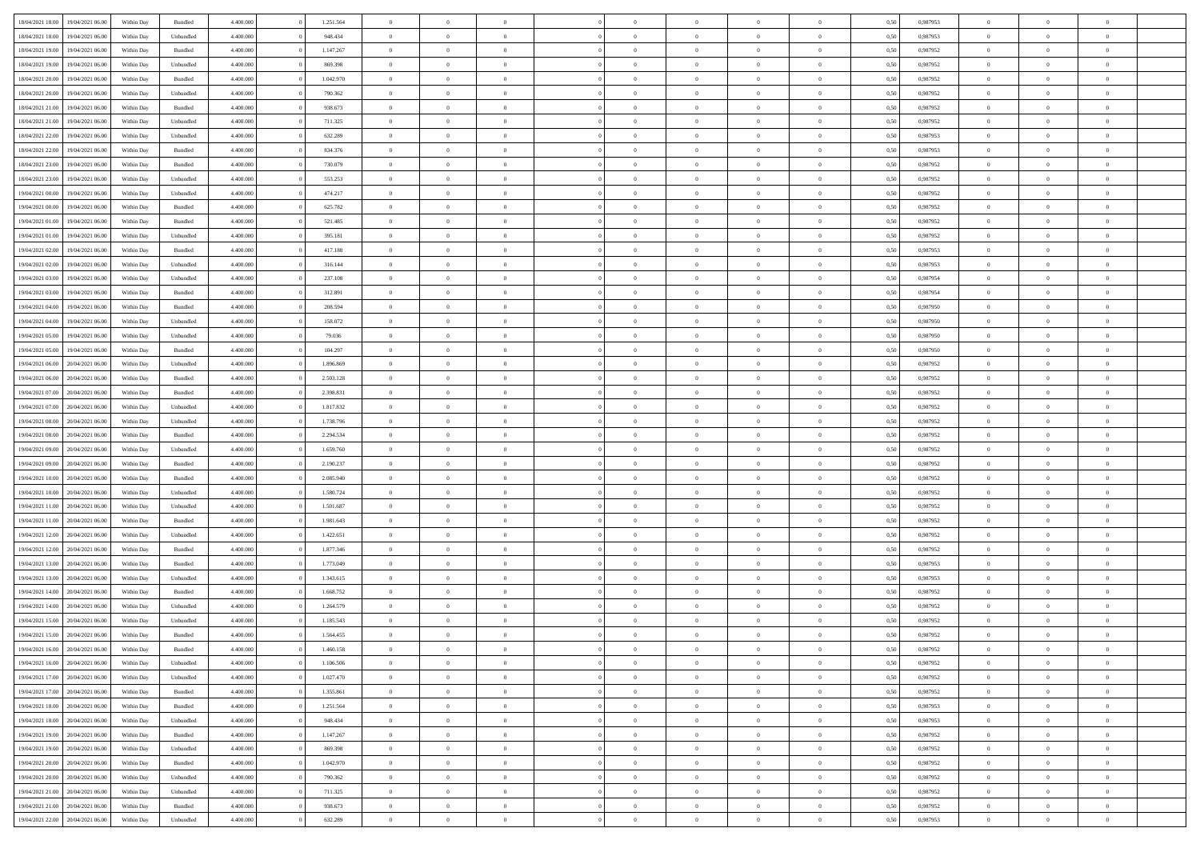| 18/04/2021 18:00 | 19/04/2021 06:00 | Within Day | Bundled            | 4.400.000 | 1.251.564 | $\overline{0}$ | $\Omega$       |                | $\Omega$       | $\Omega$       | $\theta$       | $\theta$       | 0,50 | 0.987953 | $\theta$       | $\theta$       | $\theta$       |  |
|------------------|------------------|------------|--------------------|-----------|-----------|----------------|----------------|----------------|----------------|----------------|----------------|----------------|------|----------|----------------|----------------|----------------|--|
|                  |                  |            |                    |           |           |                |                |                |                |                |                |                |      |          |                |                |                |  |
| 18/04/2021 18:00 | 19/04/2021 06:00 | Within Day | Unbundled          | 4.400.000 | 948.434   | $\overline{0}$ | $\theta$       | $\overline{0}$ | $\overline{0}$ | $\bf{0}$       | $\overline{0}$ | $\bf{0}$       | 0,50 | 0,987953 | $\theta$       | $\overline{0}$ | $\overline{0}$ |  |
| 18/04/2021 19:00 | 19/04/2021 06:00 | Within Day | Bundled            | 4.400.000 | 1.147.267 | $\overline{0}$ | $\bf{0}$       | $\overline{0}$ | $\bf{0}$       | $\bf{0}$       | $\bf{0}$       | $\mathbf{0}$   | 0,50 | 0,987952 | $\overline{0}$ | $\overline{0}$ | $\bf{0}$       |  |
| 18/04/2021 19:00 | 19/04/2021 06:00 | Within Day | Unbundled          | 4.400.000 | 869.398   | $\overline{0}$ | $\overline{0}$ | $\overline{0}$ | $\overline{0}$ | $\bf{0}$       | $\overline{0}$ | $\overline{0}$ | 0.50 | 0,987952 | $\theta$       | $\theta$       | $\overline{0}$ |  |
| 18/04/2021 20:00 | 19/04/2021 06:00 | Within Day | Bundled            | 4.400.000 | 1.042.970 | $\overline{0}$ | $\theta$       | $\overline{0}$ | $\overline{0}$ | $\bf{0}$       | $\overline{0}$ | $\bf{0}$       | 0,50 | 0,987952 | $\,$ 0 $\,$    | $\overline{0}$ | $\overline{0}$ |  |
| 18/04/2021 20:00 | 19/04/2021 06:00 | Within Day | Unbundled          | 4.400.000 | 790.362   | $\overline{0}$ | $\overline{0}$ | $\overline{0}$ | $\bf{0}$       | $\overline{0}$ | $\overline{0}$ | $\mathbf{0}$   | 0,50 | 0,987952 | $\overline{0}$ | $\overline{0}$ | $\bf{0}$       |  |
|                  |                  |            |                    |           |           |                |                |                |                |                |                |                |      |          |                |                |                |  |
| 18/04/2021 21:00 | 19/04/2021 06:00 | Within Dav | Bundled            | 4.400.000 | 938.673   | $\overline{0}$ | $\overline{0}$ | $\overline{0}$ | $\overline{0}$ | $\overline{0}$ | $\overline{0}$ | $\overline{0}$ | 0.50 | 0,987952 | $\theta$       | $\overline{0}$ | $\overline{0}$ |  |
| 18/04/2021 21:00 | 19/04/2021 06:00 | Within Day | Unbundled          | 4.400.000 | 711.325   | $\overline{0}$ | $\theta$       | $\overline{0}$ | $\overline{0}$ | $\bf{0}$       | $\overline{0}$ | $\bf{0}$       | 0,50 | 0,987952 | $\theta$       | $\theta$       | $\overline{0}$ |  |
| 18/04/2021 22:00 | 19/04/2021 06:00 | Within Day | Unbundled          | 4.400.000 | 632.289   | $\overline{0}$ | $\overline{0}$ | $\overline{0}$ | $\bf{0}$       | $\bf{0}$       | $\overline{0}$ | $\mathbf{0}$   | 0,50 | 0,987953 | $\,0\,$        | $\overline{0}$ | $\overline{0}$ |  |
| 18/04/2021 22:00 | 19/04/2021 06:00 | Within Dav | Bundled            | 4.400.000 | 834.376   | $\overline{0}$ | $\overline{0}$ | $\overline{0}$ | $\overline{0}$ | $\overline{0}$ | $\overline{0}$ | $\overline{0}$ | 0.50 | 0,987953 | $\theta$       | $\overline{0}$ | $\overline{0}$ |  |
| 18/04/2021 23:00 | 19/04/2021 06:00 | Within Day | Bundled            | 4.400.000 | 730.079   | $\overline{0}$ | $\theta$       | $\overline{0}$ | $\overline{0}$ | $\bf{0}$       | $\overline{0}$ | $\bf{0}$       | 0,50 | 0,987952 | $\,$ 0 $\,$    | $\overline{0}$ | $\overline{0}$ |  |
| 18/04/2021 23:00 | 19/04/2021 06:00 | Within Day | Unbundled          | 4.400.000 | 553.253   | $\overline{0}$ | $\overline{0}$ | $\overline{0}$ | $\overline{0}$ | $\bf{0}$       | $\overline{0}$ | $\mathbf{0}$   | 0,50 | 0,987952 | $\bf{0}$       | $\overline{0}$ | $\bf{0}$       |  |
| 19/04/2021 00:00 | 19/04/2021 06:00 | Within Day | Unbundled          | 4.400.000 | 474.217   | $\overline{0}$ | $\overline{0}$ | $\overline{0}$ | $\overline{0}$ | $\bf{0}$       | $\overline{0}$ | $\overline{0}$ | 0.50 | 0,987952 | $\theta$       | $\theta$       | $\overline{0}$ |  |
| 19/04/2021 00:00 | 19/04/2021 06:00 |            |                    | 4.400.000 | 625.782   | $\overline{0}$ | $\theta$       | $\overline{0}$ | $\overline{0}$ | $\bf{0}$       | $\overline{0}$ |                |      | 0,987952 | $\theta$       | $\overline{0}$ | $\overline{0}$ |  |
|                  |                  | Within Day | Bundled            |           |           |                |                |                |                |                |                | $\bf{0}$       | 0,50 |          |                |                |                |  |
| 19/04/2021 01:00 | 19/04/2021 06:00 | Within Day | Bundled            | 4.400.000 | 521.485   | $\overline{0}$ | $\overline{0}$ | $\overline{0}$ | $\overline{0}$ | $\overline{0}$ | $\overline{0}$ | $\mathbf{0}$   | 0,50 | 0,987952 | $\bf{0}$       | $\overline{0}$ | $\bf{0}$       |  |
| 19/04/2021 01:00 | 19/04/2021 06:00 | Within Dav | Unbundled          | 4.400.000 | 395.181   | $\overline{0}$ | $\overline{0}$ | $\overline{0}$ | $\overline{0}$ | $\overline{0}$ | $\overline{0}$ | $\overline{0}$ | 0.50 | 0,987952 | $\theta$       | $\overline{0}$ | $\overline{0}$ |  |
| 19/04/2021 02:00 | 19/04/2021 06:00 | Within Day | Bundled            | 4.400.000 | 417.188   | $\overline{0}$ | $\theta$       | $\overline{0}$ | $\overline{0}$ | $\bf{0}$       | $\overline{0}$ | $\bf{0}$       | 0,50 | 0,987953 | $\theta$       | $\overline{0}$ | $\overline{0}$ |  |
| 19/04/2021 02:00 | 19/04/2021 06:00 | Within Day | Unbundled          | 4.400.000 | 316.144   | $\overline{0}$ | $\overline{0}$ | $\overline{0}$ | $\bf{0}$       | $\bf{0}$       | $\bf{0}$       | $\mathbf{0}$   | 0,50 | 0,987953 | $\,0\,$        | $\overline{0}$ | $\bf{0}$       |  |
| 19/04/2021 03:00 | 19/04/2021 06:00 | Within Dav | Unbundled          | 4.400.000 | 237.108   | $\overline{0}$ | $\overline{0}$ | $\overline{0}$ | $\overline{0}$ | $\overline{0}$ | $\overline{0}$ | $\overline{0}$ | 0.50 | 0,987954 | $\theta$       | $\overline{0}$ | $\overline{0}$ |  |
| 19/04/2021 03:00 | 19/04/2021 06:00 | Within Day | Bundled            | 4.400.000 | 312.891   | $\overline{0}$ | $\theta$       | $\overline{0}$ | $\overline{0}$ | $\bf{0}$       | $\overline{0}$ | $\bf{0}$       | 0,50 | 0,987954 | $\,$ 0 $\,$    | $\overline{0}$ | $\overline{0}$ |  |
| 19/04/2021 04:00 | 19/04/2021 06:00 | Within Day | Bundled            | 4.400.000 | 208.594   | $\overline{0}$ | $\overline{0}$ | $\overline{0}$ | $\bf{0}$       | $\bf{0}$       | $\bf{0}$       | $\mathbf{0}$   | 0,50 | 0,987950 | $\overline{0}$ | $\overline{0}$ | $\bf{0}$       |  |
|                  |                  |            |                    |           |           |                |                |                |                |                |                |                |      |          | $\theta$       |                |                |  |
| 19/04/2021 04:00 | 19/04/2021 06:00 | Within Day | Unbundled          | 4.400.000 | 158.072   | $\overline{0}$ | $\overline{0}$ | $\overline{0}$ | $\overline{0}$ | $\overline{0}$ | $\overline{0}$ | $\overline{0}$ | 0.50 | 0,987950 |                | $\overline{0}$ | $\overline{0}$ |  |
| 19/04/2021 05:00 | 19/04/2021 06:00 | Within Day | Unbundled          | 4.400.000 | 79.036    | $\overline{0}$ | $\theta$       | $\overline{0}$ | $\overline{0}$ | $\bf{0}$       | $\overline{0}$ | $\bf{0}$       | 0,50 | 0,987950 | $\,$ 0 $\,$    | $\overline{0}$ | $\overline{0}$ |  |
| 19/04/2021 05:00 | 19/04/2021 06:00 | Within Day | Bundled            | 4.400.000 | 104.297   | $\overline{0}$ | $\overline{0}$ | $\overline{0}$ | $\bf{0}$       | $\overline{0}$ | $\overline{0}$ | $\mathbf{0}$   | 0,50 | 0,987950 | $\overline{0}$ | $\overline{0}$ | $\bf{0}$       |  |
| 19/04/2021 06:00 | 20/04/2021 06:00 | Within Day | Unbundled          | 4.400.000 | 1.896.869 | $\overline{0}$ | $\overline{0}$ | $\overline{0}$ | $\overline{0}$ | $\overline{0}$ | $\overline{0}$ | $\overline{0}$ | 0.50 | 0,987952 | $\theta$       | $\overline{0}$ | $\overline{0}$ |  |
| 19/04/2021 06:00 | 20/04/2021 06:00 | Within Day | Bundled            | 4.400.000 | 2.503.128 | $\overline{0}$ | $\theta$       | $\overline{0}$ | $\overline{0}$ | $\bf{0}$       | $\overline{0}$ | $\bf{0}$       | 0,50 | 0,987952 | $\theta$       | $\overline{0}$ | $\overline{0}$ |  |
| 19/04/2021 07:00 | 20/04/2021 06:00 | Within Day | Bundled            | 4.400.000 | 2.398.831 | $\overline{0}$ | $\overline{0}$ | $\overline{0}$ | $\bf{0}$       | $\bf{0}$       | $\bf{0}$       | $\mathbf{0}$   | 0,50 | 0,987952 | $\,0\,$        | $\overline{0}$ | $\overline{0}$ |  |
| 19/04/2021 07:00 | 20/04/2021 06:00 | Within Day | Unbundled          | 4.400.000 | 1.817.832 | $\overline{0}$ | $\overline{0}$ | $\overline{0}$ | $\overline{0}$ | $\overline{0}$ | $\overline{0}$ | $\overline{0}$ | 0.50 | 0,987952 | $\theta$       | $\overline{0}$ | $\overline{0}$ |  |
| 19/04/2021 08:00 | 20/04/2021 06:00 | Within Day | Unbundled          | 4.400.000 | 1.738.796 | $\overline{0}$ | $\theta$       | $\overline{0}$ | $\overline{0}$ | $\bf{0}$       | $\overline{0}$ | $\bf{0}$       | 0,50 | 0,987952 | $\,$ 0 $\,$    | $\overline{0}$ | $\overline{0}$ |  |
|                  |                  |            |                    |           |           |                |                |                |                |                |                |                |      |          |                |                |                |  |
| 19/04/2021 08:00 | 20/04/2021 06:00 | Within Day | Bundled            | 4.400.000 | 2.294.534 | $\overline{0}$ | $\overline{0}$ | $\overline{0}$ | $\bf{0}$       | $\bf{0}$       | $\bf{0}$       | $\mathbf{0}$   | 0,50 | 0,987952 | $\overline{0}$ | $\overline{0}$ | $\bf{0}$       |  |
| 19/04/2021 09:00 | 20/04/2021 06:00 | Within Day | Unbundled          | 4.400,000 | 1.659.760 | $\overline{0}$ | $\Omega$       | $\overline{0}$ | $\Omega$       | $\Omega$       | $\overline{0}$ | $\overline{0}$ | 0,50 | 0,987952 | $\,0\,$        | $\theta$       | $\theta$       |  |
| 19/04/2021 09:00 | 20/04/2021 06:00 | Within Day | Bundled            | 4.400.000 | 2.190.237 | $\overline{0}$ | $\theta$       | $\overline{0}$ | $\overline{0}$ | $\bf{0}$       | $\overline{0}$ | $\bf{0}$       | 0,50 | 0,987952 | $\,$ 0 $\,$    | $\overline{0}$ | $\overline{0}$ |  |
| 19/04/2021 10:00 | 20/04/2021 06:00 | Within Day | Bundled            | 4.400.000 | 2.085.940 | $\overline{0}$ | $\overline{0}$ | $\overline{0}$ | $\bf{0}$       | $\overline{0}$ | $\overline{0}$ | $\mathbf{0}$   | 0,50 | 0,987952 | $\overline{0}$ | $\overline{0}$ | $\bf{0}$       |  |
| 19/04/2021 10:00 | 20/04/2021 06:00 | Within Day | Unbundled          | 4.400,000 | 1.580.724 | $\overline{0}$ | $\Omega$       | $\Omega$       | $\Omega$       | $\overline{0}$ | $\overline{0}$ | $\overline{0}$ | 0.50 | 0,987952 | $\,0\,$        | $\theta$       | $\theta$       |  |
| 19/04/2021 11:00 | 20/04/2021 06:00 | Within Day | Unbundled          | 4.400.000 | 1.501.687 | $\overline{0}$ | $\theta$       | $\overline{0}$ | $\overline{0}$ | $\bf{0}$       | $\overline{0}$ | $\bf{0}$       | 0,50 | 0,987952 | $\,$ 0 $\,$    | $\overline{0}$ | $\overline{0}$ |  |
| 19/04/2021 11:00 | 20/04/2021 06:00 | Within Day | Bundled            | 4.400.000 | 1.981.643 | $\overline{0}$ | $\overline{0}$ | $\overline{0}$ | $\bf{0}$       | $\bf{0}$       | $\bf{0}$       | $\mathbf{0}$   | 0,50 | 0,987952 | $\bf{0}$       | $\overline{0}$ | $\bf{0}$       |  |
| 19/04/2021 12:00 | 20/04/2021 06:00 | Within Day | Unbundled          | 4.400,000 | 1.422.651 | $\overline{0}$ | $\Omega$       | $\overline{0}$ | $\Omega$       | $\overline{0}$ | $\overline{0}$ | $\overline{0}$ | 0.50 | 0.987952 | $\,$ 0 $\,$    | $\theta$       | $\theta$       |  |
|                  |                  |            |                    |           |           | $\overline{0}$ | $\overline{0}$ | $\overline{0}$ |                |                | $\overline{0}$ |                |      |          | $\,$ 0 $\,$    | $\overline{0}$ | $\overline{0}$ |  |
| 19/04/2021 12:00 | 20/04/2021 06:00 | Within Day | Bundled            | 4.400.000 | 1.877.346 |                |                |                | $\overline{0}$ | $\,$ 0         |                | $\bf{0}$       | 0,50 | 0,987952 |                |                |                |  |
| 19/04/2021 13:00 | 20/04/2021 06:00 | Within Day | Bundled            | 4.400.000 | 1.773.049 | $\overline{0}$ | $\bf{0}$       | $\overline{0}$ | $\bf{0}$       | $\bf{0}$       | $\bf{0}$       | $\mathbf{0}$   | 0,50 | 0,987953 | $\bf{0}$       | $\overline{0}$ | $\bf{0}$       |  |
| 19/04/2021 13:00 | 20/04/2021 06:00 | Within Day | Unbundled          | 4.400,000 | 1.343.615 | $\overline{0}$ | $\Omega$       | $\overline{0}$ | $\Omega$       | $\overline{0}$ | $\overline{0}$ | $\overline{0}$ | 0,50 | 0,987953 | $\,0\,$        | $\theta$       | $\theta$       |  |
| 19/04/2021 14:00 | 20/04/2021 06:00 | Within Day | Bundled            | 4.400.000 | 1.668.752 | $\overline{0}$ | $\overline{0}$ | $\overline{0}$ | $\overline{0}$ | $\,$ 0         | $\overline{0}$ | $\bf{0}$       | 0,50 | 0,987952 | $\,$ 0 $\,$    | $\overline{0}$ | $\overline{0}$ |  |
| 19/04/2021 14:00 | 20/04/2021 06:00 | Within Day | Unbundled          | 4.400.000 | 1.264.579 | $\overline{0}$ | $\overline{0}$ | $\overline{0}$ | $\bf{0}$       | $\bf{0}$       | $\overline{0}$ | $\mathbf{0}$   | 0,50 | 0,987952 | $\bf{0}$       | $\overline{0}$ | $\bf{0}$       |  |
| 19/04/2021 15:00 | 20/04/2021 06:00 | Within Day | Unbundled          | 4.400,000 | 1.185.543 | $\overline{0}$ | $\Omega$       | $\Omega$       | $\Omega$       | $\Omega$       | $\Omega$       | $\overline{0}$ | 0.50 | 0.987952 | $\theta$       | $\theta$       | $\theta$       |  |
| 19/04/2021 15:00 | 20/04/2021 06:00 | Within Day | Bundled            | 4.400.000 | 1.564.455 | $\bf{0}$       | $\overline{0}$ | $\overline{0}$ | $\bf{0}$       | $\,$ 0         | $\overline{0}$ | $\bf{0}$       | 0,50 | 0,987952 | $\,0\,$        | $\,$ 0 $\,$    | $\overline{0}$ |  |
| 19/04/2021 16:00 | 20/04/2021 06:00 | Within Day | $\mathbf B$ undled | 4.400.000 | 1.460.158 | $\overline{0}$ | $\bf{0}$       |                |                | $\bf{0}$       |                |                | 0,50 | 0,987952 | $\bf{0}$       | $\overline{0}$ |                |  |
|                  | 20/04/2021 06:00 |            |                    | 4.400.000 | 1.106.506 | $\overline{0}$ | $\overline{0}$ |                | $\Omega$       | $\overline{0}$ | $\overline{0}$ |                | 0.50 | 0.987952 | $\theta$       | $\theta$       | $\theta$       |  |
| 19/04/2021 16:00 |                  | Within Day | Unbundled          |           |           |                |                | $\overline{0}$ |                |                |                | $\overline{0}$ |      |          |                |                |                |  |
| 19/04/2021 17:00 | 20/04/2021 06:00 | Within Day | Unbundled          | 4.400.000 | 1.027.470 | $\overline{0}$ | $\,$ 0         | $\overline{0}$ | $\overline{0}$ | $\,$ 0 $\,$    | $\overline{0}$ | $\,$ 0 $\,$    | 0,50 | 0,987952 | $\,$ 0 $\,$    | $\,$ 0 $\,$    | $\,$ 0         |  |
| 19/04/2021 17:00 | 20/04/2021 06:00 | Within Day | Bundled            | 4.400.000 | 1.355.861 | $\overline{0}$ | $\overline{0}$ | $\overline{0}$ | $\overline{0}$ | $\overline{0}$ | $\overline{0}$ | $\mathbf{0}$   | 0,50 | 0,987952 | $\overline{0}$ | $\bf{0}$       | $\bf{0}$       |  |
| 19/04/2021 18:00 | 20/04/2021 06:00 | Within Day | $\mathbf B$ undled | 4.400,000 | 1.251.564 | $\overline{0}$ | $\overline{0}$ | $\overline{0}$ | $\Omega$       | $\overline{0}$ | $\overline{0}$ | $\overline{0}$ | 0,50 | 0,987953 | $\overline{0}$ | $\theta$       | $\overline{0}$ |  |
| 19/04/2021 18:00 | 20/04/2021 06:00 | Within Day | Unbundled          | 4.400.000 | 948.434   | $\overline{0}$ | $\,$ 0         | $\overline{0}$ | $\overline{0}$ | $\,$ 0 $\,$    | $\overline{0}$ | $\mathbf{0}$   | 0,50 | 0,987953 | $\,$ 0 $\,$    | $\overline{0}$ | $\overline{0}$ |  |
| 19/04/2021 19:00 | 20/04/2021 06:00 | Within Day | Bundled            | 4.400.000 | 1.147.267 | $\overline{0}$ | $\overline{0}$ | $\overline{0}$ | $\overline{0}$ | $\overline{0}$ | $\overline{0}$ | $\mathbf{0}$   | 0,50 | 0,987952 | $\overline{0}$ | $\overline{0}$ | $\bf{0}$       |  |
| 19/04/2021 19:00 | 20/04/2021 06:00 | Within Day | Unbundled          | 4.400.000 | 869,398   | $\overline{0}$ | $\overline{0}$ | $\overline{0}$ | $\overline{0}$ | $\overline{0}$ | $\overline{0}$ | $\bf{0}$       | 0.50 | 0,987952 | $\overline{0}$ | $\theta$       | $\overline{0}$ |  |
| 19/04/2021 20:00 | 20/04/2021 06:00 | Within Day | Bundled            | 4.400.000 | 1.042.970 | $\overline{0}$ | $\,$ 0         | $\overline{0}$ | $\overline{0}$ | $\bf{0}$       | $\overline{0}$ | $\bf{0}$       | 0,50 | 0,987952 | $\,$ 0 $\,$    | $\overline{0}$ | $\overline{0}$ |  |
|                  |                  |            |                    |           |           |                |                |                |                |                |                |                |      |          |                |                |                |  |
| 19/04/2021 20:00 | 20/04/2021 06:00 | Within Day | Unbundled          | 4.400.000 | 790.362   | $\overline{0}$ | $\bf{0}$       | $\overline{0}$ | $\overline{0}$ | $\overline{0}$ | $\overline{0}$ | $\mathbf{0}$   | 0,50 | 0,987952 | $\overline{0}$ | $\overline{0}$ | $\bf{0}$       |  |
| 19/04/2021 21:00 | 20/04/2021 06:00 | Within Day | Unbundled          | 4.400,000 | 711.325   | $\overline{0}$ | $\overline{0}$ | $\overline{0}$ | $\Omega$       | $\overline{0}$ | $\overline{0}$ | $\overline{0}$ | 0.50 | 0,987952 | $\overline{0}$ | $\overline{0}$ | $\overline{0}$ |  |
| 19/04/2021 21:00 | 20/04/2021 06:00 | Within Day | Bundled            | 4.400.000 | 938.673   | $\overline{0}$ | $\bf{0}$       | $\overline{0}$ | $\overline{0}$ | $\bf{0}$       | $\overline{0}$ | $\mathbf{0}$   | 0,50 | 0,987952 | $\,$ 0 $\,$    | $\,$ 0 $\,$    | $\bf{0}$       |  |
| 19/04/2021 22.00 | 20/04/2021 06:00 | Within Day | Unbundled          | 4.400.000 | 632.289   | $\overline{0}$ | $\bf{0}$       | $\overline{0}$ | $\overline{0}$ | $\bf{0}$       | $\overline{0}$ | $\bf{0}$       | 0,50 | 0,987953 | $\overline{0}$ | $\overline{0}$ | $\bf{0}$       |  |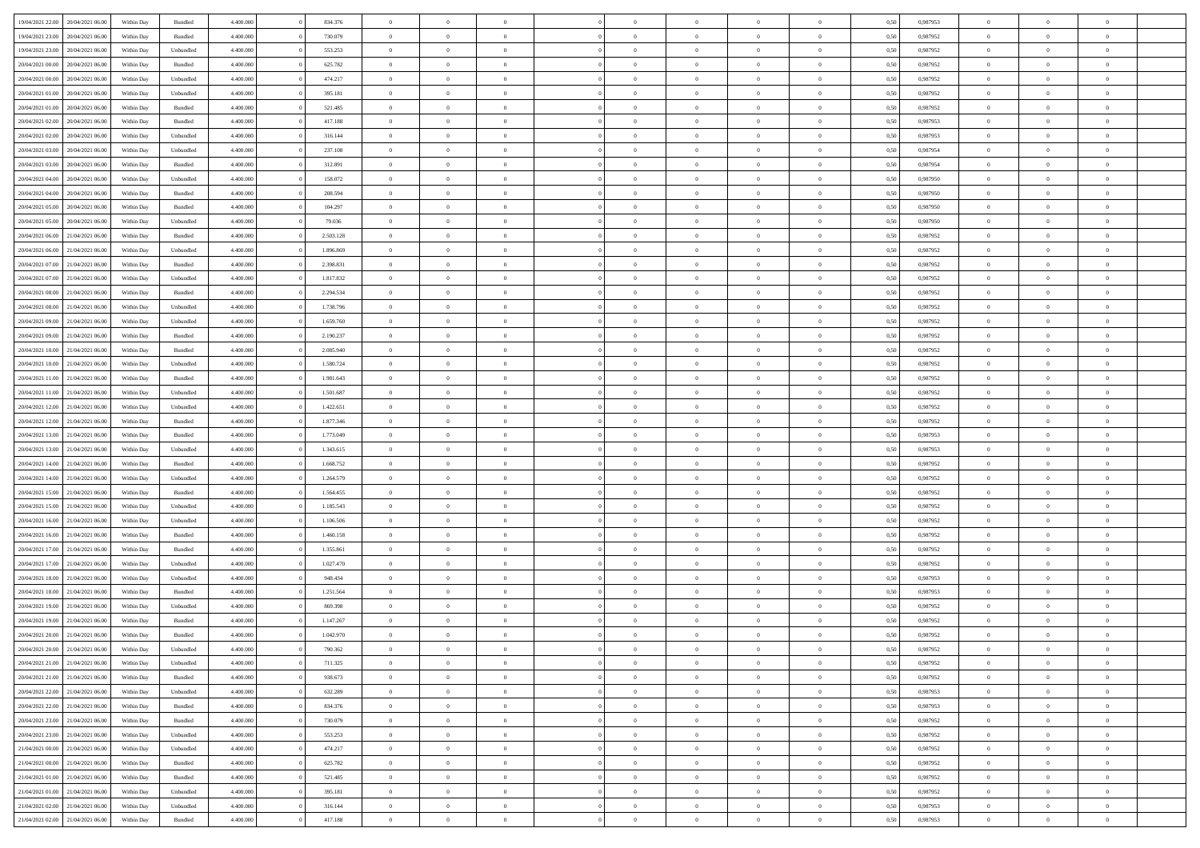|                                   |                  |            |                    |           |           | $\overline{0}$ | $\Omega$       |                |                | $\Omega$       | $\theta$       | $\theta$       |      |          | $\theta$       | $\overline{0}$ | $\theta$       |  |
|-----------------------------------|------------------|------------|--------------------|-----------|-----------|----------------|----------------|----------------|----------------|----------------|----------------|----------------|------|----------|----------------|----------------|----------------|--|
| 19/04/2021 22:00                  | 20/04/2021 06:00 | Within Day | Bundled            | 4.400.000 | 834.376   |                |                |                | $\Omega$       |                |                |                | 0,50 | 0.987953 |                |                |                |  |
| 19/04/2021 23:00                  | 20/04/2021 06:00 | Within Day | Bundled            | 4.400.000 | 730.079   | $\overline{0}$ | $\theta$       | $\overline{0}$ | $\overline{0}$ | $\bf{0}$       | $\overline{0}$ | $\bf{0}$       | 0,50 | 0,987952 | $\theta$       | $\overline{0}$ | $\overline{0}$ |  |
| 19/04/2021 23:00                  | 20/04/2021 06:00 | Within Day | Unbundled          | 4.400.000 | 553.253   | $\overline{0}$ | $\bf{0}$       | $\overline{0}$ | $\overline{0}$ | $\bf{0}$       | $\overline{0}$ | $\mathbf{0}$   | 0,50 | 0,987952 | $\bf{0}$       | $\overline{0}$ | $\bf{0}$       |  |
| 20/04/2021 00:00                  | 20/04/2021 06:00 | Within Dav | Bundled            | 4.400.000 | 625.782   | $\overline{0}$ | $\overline{0}$ | $\overline{0}$ | $\overline{0}$ | $\bf{0}$       | $\overline{0}$ | $\overline{0}$ | 0.50 | 0,987952 | $\theta$       | $\theta$       | $\overline{0}$ |  |
|                                   |                  |            |                    |           |           |                |                |                |                |                |                |                |      |          |                |                |                |  |
| 20/04/2021 00:00                  | 20/04/2021 06:00 | Within Day | Unbundled          | 4.400.000 | 474.217   | $\overline{0}$ | $\theta$       | $\overline{0}$ | $\overline{0}$ | $\bf{0}$       | $\overline{0}$ | $\bf{0}$       | 0,50 | 0,987952 | $\theta$       | $\overline{0}$ | $\overline{0}$ |  |
| 20/04/2021 01:00                  | 20/04/2021 06:00 | Within Day | Unbundled          | 4.400.000 | 395.181   | $\overline{0}$ | $\overline{0}$ | $\overline{0}$ | $\bf{0}$       | $\overline{0}$ | $\overline{0}$ | $\mathbf{0}$   | 0,50 | 0,987952 | $\bf{0}$       | $\overline{0}$ | $\bf{0}$       |  |
| 20/04/2021 01:00                  | 20/04/2021 06:00 | Within Dav | Bundled            | 4.400.000 | 521.485   | $\overline{0}$ | $\overline{0}$ | $\overline{0}$ | $\overline{0}$ | $\overline{0}$ | $\overline{0}$ | $\overline{0}$ | 0.50 | 0,987952 | $\theta$       | $\overline{0}$ | $\overline{0}$ |  |
| 20/04/2021 02:00                  | 20/04/2021 06:00 | Within Day | Bundled            | 4.400.000 | 417.188   | $\overline{0}$ | $\theta$       | $\overline{0}$ | $\overline{0}$ | $\bf{0}$       | $\overline{0}$ | $\bf{0}$       | 0,50 | 0,987953 | $\theta$       | $\theta$       | $\overline{0}$ |  |
|                                   |                  |            |                    |           |           |                | $\overline{0}$ |                |                | $\bf{0}$       |                |                |      |          | $\,0\,$        | $\overline{0}$ | $\overline{0}$ |  |
| 20/04/2021 02:00                  | 20/04/2021 06:00 | Within Day | Unbundled          | 4.400.000 | 316.144   | $\overline{0}$ |                | $\overline{0}$ | $\bf{0}$       |                | $\bf{0}$       | $\bf{0}$       | 0,50 | 0,987953 |                |                |                |  |
| 20/04/2021 03:00                  | 20/04/2021 06:00 | Within Dav | Unbundled          | 4.400.000 | 237.108   | $\overline{0}$ | $\overline{0}$ | $\overline{0}$ | $\overline{0}$ | $\overline{0}$ | $\overline{0}$ | $\overline{0}$ | 0.50 | 0,987954 | $\theta$       | $\overline{0}$ | $\overline{0}$ |  |
| 20/04/2021 03:00                  | 20/04/2021 06:00 | Within Day | Bundled            | 4.400.000 | 312.891   | $\overline{0}$ | $\theta$       | $\overline{0}$ | $\overline{0}$ | $\bf{0}$       | $\overline{0}$ | $\bf{0}$       | 0,50 | 0,987954 | $\,$ 0 $\,$    | $\overline{0}$ | $\overline{0}$ |  |
| 20/04/2021 04:00                  | 20/04/2021 06:00 | Within Day | Unbundled          | 4.400.000 | 158.072   | $\overline{0}$ | $\overline{0}$ | $\overline{0}$ | $\bf{0}$       | $\bf{0}$       | $\bf{0}$       | $\mathbf{0}$   | 0,50 | 0,987950 | $\overline{0}$ | $\overline{0}$ | $\bf{0}$       |  |
| 20/04/2021 04:00                  | 20/04/2021 06:00 | Within Dav | Bundled            | 4.400.000 | 208.594   | $\overline{0}$ | $\overline{0}$ | $\overline{0}$ | $\overline{0}$ | $\bf{0}$       | $\overline{0}$ | $\overline{0}$ | 0.50 | 0,987950 | $\theta$       | $\theta$       | $\overline{0}$ |  |
|                                   |                  |            |                    |           |           |                |                |                |                |                |                |                |      |          |                |                |                |  |
| 20/04/2021 05:00                  | 20/04/2021 06:00 | Within Day | Bundled            | 4.400.000 | 104.297   | $\overline{0}$ | $\theta$       | $\overline{0}$ | $\overline{0}$ | $\bf{0}$       | $\overline{0}$ | $\bf{0}$       | 0,50 | 0,987950 | $\theta$       | $\overline{0}$ | $\overline{0}$ |  |
| 20/04/2021 05:00                  | 20/04/2021 06:00 | Within Day | Unbundled          | 4.400.000 | 79.036    | $\overline{0}$ | $\overline{0}$ | $\overline{0}$ | $\bf{0}$       | $\overline{0}$ | $\overline{0}$ | $\mathbf{0}$   | 0,50 | 0,987950 | $\overline{0}$ | $\overline{0}$ | $\bf{0}$       |  |
| 20/04/2021 06:00                  | 21/04/2021 06:00 | Within Dav | Bundled            | 4.400.000 | 2.503.128 | $\overline{0}$ | $\overline{0}$ | $\overline{0}$ | $\overline{0}$ | $\overline{0}$ | $\overline{0}$ | $\overline{0}$ | 0.50 | 0,987952 | $\theta$       | $\overline{0}$ | $\overline{0}$ |  |
| 20/04/2021 06:00                  | 21/04/2021 06:00 | Within Day | Unbundled          | 4.400.000 | 1.896.869 | $\overline{0}$ | $\theta$       | $\overline{0}$ | $\overline{0}$ | $\bf{0}$       | $\overline{0}$ | $\bf{0}$       | 0,50 | 0,987952 | $\theta$       | $\theta$       | $\overline{0}$ |  |
|                                   |                  |            |                    |           |           |                |                |                |                |                |                |                |      |          |                |                |                |  |
| 20/04/2021 07:00                  | 21/04/2021 06:00 | Within Day | Bundled            | 4.400.000 | 2.398.831 | $\overline{0}$ | $\overline{0}$ | $\overline{0}$ | $\bf{0}$       | $\bf{0}$       | $\bf{0}$       | $\mathbf{0}$   | 0,50 | 0,987952 | $\,0\,$        | $\overline{0}$ | $\overline{0}$ |  |
| 20/04/2021 07:00                  | 21/04/2021 06:00 | Within Day | Unbundled          | 4.400.000 | 1.817.832 | $\overline{0}$ | $\overline{0}$ | $\overline{0}$ | $\overline{0}$ | $\overline{0}$ | $\overline{0}$ | $\overline{0}$ | 0.50 | 0,987952 | $\theta$       | $\overline{0}$ | $\overline{0}$ |  |
| 20/04/2021 08:00                  | 21/04/2021 06:00 | Within Day | Bundled            | 4.400.000 | 2.294.534 | $\overline{0}$ | $\theta$       | $\overline{0}$ | $\overline{0}$ | $\bf{0}$       | $\overline{0}$ | $\bf{0}$       | 0,50 | 0,987952 | $\,$ 0 $\,$    | $\overline{0}$ | $\overline{0}$ |  |
| 20/04/2021 08:00                  | 21/04/2021 06:00 | Within Day | Unbundled          | 4.400.000 | 1.738.796 | $\overline{0}$ | $\overline{0}$ | $\overline{0}$ | $\bf{0}$       | $\bf{0}$       | $\bf{0}$       | $\mathbf{0}$   | 0,50 | 0,987952 | $\overline{0}$ | $\overline{0}$ | $\bf{0}$       |  |
| 20/04/2021 09:00                  | 21/04/2021 06:00 | Within Day | Unbundled          | 4.400.000 | 1.659.760 | $\overline{0}$ | $\overline{0}$ | $\overline{0}$ | $\overline{0}$ | $\bf{0}$       | $\overline{0}$ | $\overline{0}$ | 0.50 | 0,987952 | $\theta$       | $\overline{0}$ | $\overline{0}$ |  |
|                                   |                  |            |                    |           |           |                |                |                |                |                |                |                |      |          |                |                |                |  |
| 20/04/2021 09:00                  | 21/04/2021 06:00 | Within Day | Bundled            | 4.400.000 | 2.190.237 | $\overline{0}$ | $\theta$       | $\overline{0}$ | $\overline{0}$ | $\bf{0}$       | $\overline{0}$ | $\bf{0}$       | 0,50 | 0,987952 | $\,$ 0 $\,$    | $\overline{0}$ | $\overline{0}$ |  |
| 20/04/2021 10:00                  | 21/04/2021 06:00 | Within Day | Bundled            | 4.400.000 | 2.085.940 | $\overline{0}$ | $\overline{0}$ | $\overline{0}$ | $\bf{0}$       | $\overline{0}$ | $\overline{0}$ | $\mathbf{0}$   | 0,50 | 0,987952 | $\overline{0}$ | $\overline{0}$ | $\bf{0}$       |  |
| 20/04/2021 10:00                  | 21/04/2021 06:00 | Within Day | Unbundled          | 4.400.000 | 1.580.724 | $\overline{0}$ | $\overline{0}$ | $\overline{0}$ | $\overline{0}$ | $\overline{0}$ | $\overline{0}$ | $\overline{0}$ | 0.50 | 0,987952 | $\theta$       | $\overline{0}$ | $\overline{0}$ |  |
| 20/04/2021 11:00                  | 21/04/2021 06:00 | Within Day | Bundled            | 4.400.000 | 1.981.643 | $\overline{0}$ | $\theta$       | $\overline{0}$ | $\overline{0}$ | $\bf{0}$       | $\overline{0}$ | $\bf{0}$       | 0,50 | 0,987952 | $\theta$       | $\theta$       | $\overline{0}$ |  |
|                                   |                  |            |                    |           |           |                |                |                |                |                |                |                |      |          |                |                |                |  |
| 20/04/2021 11:00                  | 21/04/2021 06:00 | Within Day | Unbundled          | 4.400.000 | 1.501.687 | $\overline{0}$ | $\overline{0}$ | $\overline{0}$ | $\overline{0}$ | $\bf{0}$       | $\overline{0}$ | $\bf{0}$       | 0,50 | 0,987952 | $\,0\,$        | $\overline{0}$ | $\overline{0}$ |  |
| 20/04/2021 12:00                  | 21/04/2021 06:00 | Within Day | Unbundled          | 4.400.000 | 1.422.651 | $\overline{0}$ | $\overline{0}$ | $\overline{0}$ | $\overline{0}$ | $\overline{0}$ | $\overline{0}$ | $\overline{0}$ | 0.50 | 0,987952 | $\theta$       | $\overline{0}$ | $\overline{0}$ |  |
| 20/04/2021 12:00                  | 21/04/2021 06:00 | Within Day | Bundled            | 4.400.000 | 1.877.346 | $\overline{0}$ | $\theta$       | $\overline{0}$ | $\overline{0}$ | $\bf{0}$       | $\overline{0}$ | $\bf{0}$       | 0,50 | 0,987952 | $\,$ 0 $\,$    | $\overline{0}$ | $\overline{0}$ |  |
| 20/04/2021 13:00                  | 21/04/2021 06:00 | Within Day | Bundled            | 4.400.000 | 1.773.049 | $\overline{0}$ | $\overline{0}$ | $\overline{0}$ | $\overline{0}$ | $\bf{0}$       | $\overline{0}$ | $\bf{0}$       | 0,50 | 0,987953 | $\bf{0}$       | $\overline{0}$ | $\bf{0}$       |  |
| 20/04/2021 13:00                  | 21/04/2021 06.00 |            |                    | 4.400,000 | 1.343.615 | $\overline{0}$ | $\Omega$       | $\Omega$       | $\Omega$       | $\Omega$       | $\overline{0}$ | $\overline{0}$ | 0.50 | 0,987953 | $\,0\,$        | $\theta$       | $\theta$       |  |
|                                   |                  | Within Day | Unbundled          |           |           |                |                |                |                |                |                |                |      |          |                |                |                |  |
| 20/04/2021 14:00                  | 21/04/2021 06:00 | Within Day | Bundled            | 4.400.000 | 1.668.752 | $\overline{0}$ | $\theta$       | $\overline{0}$ | $\overline{0}$ | $\bf{0}$       | $\overline{0}$ | $\bf{0}$       | 0,50 | 0,987952 | $\theta$       | $\overline{0}$ | $\overline{0}$ |  |
| 20/04/2021 14:00                  | 21/04/2021 06:00 | Within Day | Unbundled          | 4.400.000 | 1.264.579 | $\overline{0}$ | $\overline{0}$ | $\overline{0}$ | $\overline{0}$ | $\overline{0}$ | $\overline{0}$ | $\mathbf{0}$   | 0,50 | 0,987952 | $\bf{0}$       | $\overline{0}$ | $\bf{0}$       |  |
| 20/04/2021 15:00                  | 21/04/2021 06:00 | Within Day | Bundled            | 4.400,000 | 1.564.455 | $\overline{0}$ | $\Omega$       | $\Omega$       | $\Omega$       | $\bf{0}$       | $\overline{0}$ | $\overline{0}$ | 0.50 | 0,987952 | $\,0\,$        | $\theta$       | $\theta$       |  |
| 20/04/2021 15:00                  | 21/04/2021 06:00 | Within Day | Unbundled          | 4.400.000 | 1.185.543 | $\overline{0}$ | $\theta$       | $\overline{0}$ | $\overline{0}$ | $\bf{0}$       | $\overline{0}$ | $\bf{0}$       | 0,50 | 0,987952 | $\,$ 0 $\,$    | $\overline{0}$ | $\overline{0}$ |  |
|                                   |                  |            |                    |           |           |                |                |                |                |                |                |                |      |          |                |                |                |  |
| 20/04/2021 16:00                  | 21/04/2021 06:00 | Within Day | Unbundled          | 4.400.000 | 1.106.506 | $\overline{0}$ | $\overline{0}$ | $\overline{0}$ | $\overline{0}$ | $\bf{0}$       | $\overline{0}$ | $\bf{0}$       | 0,50 | 0,987952 | $\bf{0}$       | $\overline{0}$ | $\bf{0}$       |  |
| 20/04/2021 16:00                  | 21/04/2021 06:00 | Within Day | Bundled            | 4.400,000 | 1.460.158 | $\overline{0}$ | $\Omega$       | $\Omega$       | $\Omega$       | $\theta$       | $\overline{0}$ | $\overline{0}$ | 0.50 | 0.987952 | $\,$ 0 $\,$    | $\theta$       | $\theta$       |  |
| 20/04/2021 17:00                  | 21/04/2021 06:00 | Within Day | Bundled            | 4.400.000 | 1.355.861 | $\overline{0}$ | $\theta$       | $\overline{0}$ | $\overline{0}$ | $\bf{0}$       | $\overline{0}$ | $\bf{0}$       | 0,50 | 0,987952 | $\,$ 0 $\,$    | $\overline{0}$ | $\overline{0}$ |  |
| 20/04/2021 17:00                  | 21/04/2021 06:00 | Within Day | Unbundled          | 4.400.000 | 1.027.470 | $\overline{0}$ | $\bf{0}$       | $\overline{0}$ | $\overline{0}$ | $\bf{0}$       | $\overline{0}$ | $\mathbf{0}$   | 0,50 | 0,987952 | $\bf{0}$       | $\overline{0}$ | $\bf{0}$       |  |
| 20/04/2021 18:00                  | 21/04/2021 06.00 | Within Day | Unbundled          | 4.400,000 | 948,434   | $\overline{0}$ | $\Omega$       | $\overline{0}$ | $\Omega$       | $\overline{0}$ | $\overline{0}$ | $\overline{0}$ | 0.50 | 0,987953 | $\,0\,$        | $\theta$       | $\theta$       |  |
|                                   |                  |            |                    |           |           |                | $\overline{0}$ |                |                |                |                |                |      |          |                |                |                |  |
| 20/04/2021 18:00                  | 21/04/2021 06:00 | Within Day | Bundled            | 4.400.000 | 1.251.564 | $\overline{0}$ |                | $\overline{0}$ | $\overline{0}$ | $\bf{0}$       | $\overline{0}$ | $\bf{0}$       | 0,50 | 0,987953 | $\,$ 0 $\,$    | $\overline{0}$ | $\overline{0}$ |  |
| 20/04/2021 19:00                  | 21/04/2021 06:00 | Within Day | Unbundled          | 4.400.000 | 869.398   | $\overline{0}$ | $\overline{0}$ | $\overline{0}$ | $\overline{0}$ | $\bf{0}$       | $\overline{0}$ | $\mathbf{0}$   | 0,50 | 0,987952 | $\bf{0}$       | $\overline{0}$ | $\bf{0}$       |  |
| 20/04/2021 19:00                  | 21/04/2021 06:00 | Within Day | Bundled            | 4.400,000 | 1.147.267 | $\overline{0}$ | $\Omega$       | $\Omega$       | $\Omega$       | $\Omega$       | $\Omega$       | $\overline{0}$ | 0.50 | 0.987952 | $\theta$       | $\theta$       | $\theta$       |  |
| 20/04/2021 20:00                  | 21/04/2021 06:00 | Within Day | Bundled            | 4.400.000 | 1.042.970 | $\overline{0}$ | $\overline{0}$ | $\overline{0}$ | $\bf{0}$       | $\,$ 0         | $\bf{0}$       | $\bf{0}$       | 0,50 | 0,987952 | $\,0\,$        | $\,0\,$        | $\overline{0}$ |  |
| 20/04/2021 20:00                  | 21/04/2021 06:00 | Within Day | Unbundled          | 4.400.000 | 790.362   | $\bf{0}$       | $\bf{0}$       |                |                | $\bf{0}$       |                |                | 0,50 | 0,987952 | $\bf{0}$       | $\overline{0}$ |                |  |
|                                   |                  |            |                    |           |           |                |                |                |                |                |                |                |      |          |                |                |                |  |
| 20/04/2021 21:00                  | 21/04/2021 06:00 | Within Day | Unbundled          | 4.400.000 | 711.325   | $\overline{0}$ | $\overline{0}$ | $\overline{0}$ | $\Omega$       | $\overline{0}$ | $\overline{0}$ | $\overline{0}$ | 0.50 | 0.987952 | $\theta$       | $\theta$       | $\theta$       |  |
| 20/04/2021 21:00                  | 21/04/2021 06:00 | Within Day | Bundled            | 4.400.000 | 938.673   | $\overline{0}$ | $\bf{0}$       | $\overline{0}$ | $\bf{0}$       | $\,$ 0 $\,$    | $\overline{0}$ | $\,$ 0 $\,$    | 0,50 | 0,987952 | $\,$ 0 $\,$    | $\,$ 0 $\,$    | $\,$ 0         |  |
| 20/04/2021 22.00                  | 21/04/2021 06:00 | Within Day | Unbundled          | 4.400.000 | 632.289   | $\overline{0}$ | $\overline{0}$ | $\overline{0}$ | $\overline{0}$ | $\overline{0}$ | $\overline{0}$ | $\mathbf{0}$   | 0,50 | 0,987953 | $\overline{0}$ | $\bf{0}$       | $\overline{0}$ |  |
| 20/04/2021 22:00                  | 21/04/2021 06:00 | Within Day | $\mathbf B$ undled | 4.400.000 | 834.376   | $\overline{0}$ | $\overline{0}$ | $\overline{0}$ | $\Omega$       | $\overline{0}$ | $\overline{0}$ | $\overline{0}$ | 0,50 | 0,987953 | $\overline{0}$ | $\theta$       | $\overline{0}$ |  |
| 20/04/2021 23:00                  | 21/04/2021 06:00 | Within Day | Bundled            | 4.400.000 | 730.079   | $\overline{0}$ | $\,$ 0         | $\overline{0}$ | $\overline{0}$ | $\,$ 0 $\,$    | $\overline{0}$ | $\,$ 0 $\,$    | 0,50 | 0,987952 | $\,$ 0 $\,$    | $\overline{0}$ | $\overline{0}$ |  |
|                                   |                  |            |                    |           |           |                |                |                |                |                |                |                |      |          |                |                |                |  |
| 20/04/2021 23:00                  | 21/04/2021 06:00 | Within Day | Unbundled          | 4.400.000 | 553.253   | $\overline{0}$ | $\overline{0}$ | $\overline{0}$ | $\overline{0}$ | $\overline{0}$ | $\overline{0}$ | $\mathbf{0}$   | 0,50 | 0,987952 | $\overline{0}$ | $\overline{0}$ | $\overline{0}$ |  |
| 21/04/2021 00:00                  | 21/04/2021 06:00 | Within Day | Unbundled          | 4.400.000 | 474.217   | $\overline{0}$ | $\overline{0}$ | $\overline{0}$ | $\overline{0}$ | $\overline{0}$ | $\overline{0}$ | $\overline{0}$ | 0.50 | 0,987952 | $\overline{0}$ | $\theta$       | $\overline{0}$ |  |
| 21/04/2021 00:00                  | 21/04/2021 06:00 | Within Day | Bundled            | 4.400.000 | 625.782   | $\overline{0}$ | $\,$ 0         | $\overline{0}$ | $\bf{0}$       | $\bf{0}$       | $\bf{0}$       | $\bf{0}$       | 0,50 | 0,987952 | $\,$ 0 $\,$    | $\overline{0}$ | $\overline{0}$ |  |
| 21/04/2021 01:00                  | 21/04/2021 06:00 | Within Day | Bundled            | 4.400.000 | 521.485   | $\overline{0}$ | $\bf{0}$       | $\overline{0}$ | $\overline{0}$ | $\overline{0}$ | $\overline{0}$ | $\mathbf{0}$   | 0,50 | 0,987952 | $\overline{0}$ | $\overline{0}$ | $\bf{0}$       |  |
|                                   |                  |            |                    |           |           |                |                |                |                |                |                |                |      |          |                |                |                |  |
| 21/04/2021 01:00                  | 21/04/2021 06:00 | Within Day | Unbundled          | 4.400,000 | 395.181   | $\overline{0}$ | $\overline{0}$ | $\overline{0}$ | $\Omega$       | $\overline{0}$ | $\overline{0}$ | $\overline{0}$ | 0.50 | 0,987952 | $\overline{0}$ | $\overline{0}$ | $\overline{0}$ |  |
| 21/04/2021 02:00                  | 21/04/2021 06:00 | Within Day | Unbundled          | 4.400.000 | 316.144   | $\overline{0}$ | $\bf{0}$       | $\overline{0}$ | $\overline{0}$ | $\bf{0}$       | $\bf{0}$       | $\mathbf{0}$   | 0,50 | 0,987953 | $\,$ 0 $\,$    | $\,$ 0 $\,$    | $\bf{0}$       |  |
| 21/04/2021 02.00 21/04/2021 06.00 |                  | Within Day | Bundled            | 4.400.000 | 417.188   | $\overline{0}$ | $\bf{0}$       | $\overline{0}$ | $\overline{0}$ | $\bf{0}$       | $\bf{0}$       | $\bf{0}$       | 0,50 | 0,987953 | $\overline{0}$ | $\overline{0}$ | $\bf{0}$       |  |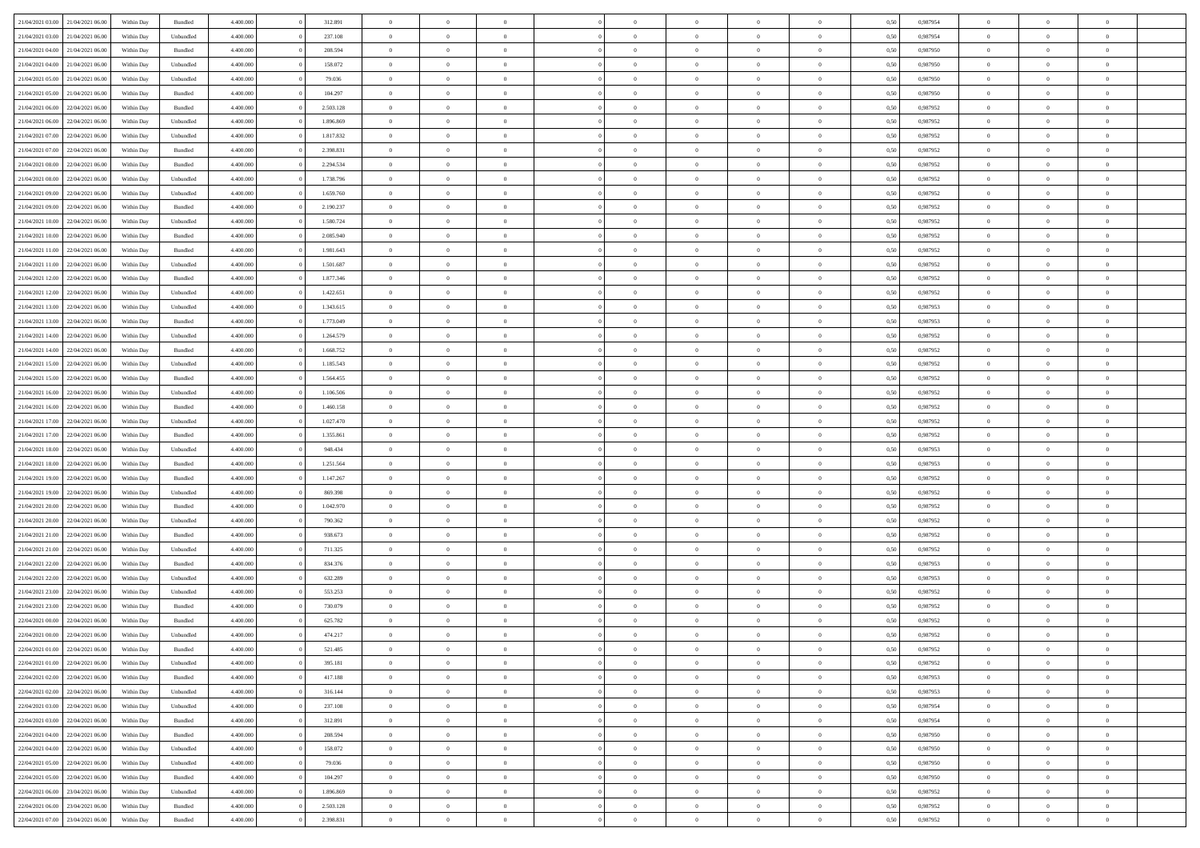| 21/04/2021 03:00                  | 21/04/2021 06:00 | Within Day | Bundled            | 4.400.000 | 312.891   | $\overline{0}$ | $\Omega$       |                | $\Omega$       | $\Omega$       | $\Omega$       | $\theta$       | 0,50 | 0.987954 | $\theta$       | $\theta$       | $\theta$       |  |
|-----------------------------------|------------------|------------|--------------------|-----------|-----------|----------------|----------------|----------------|----------------|----------------|----------------|----------------|------|----------|----------------|----------------|----------------|--|
|                                   |                  |            |                    |           |           |                |                |                |                |                |                |                |      |          |                |                |                |  |
| 21/04/2021 03:00                  | 21/04/2021 06:00 | Within Day | Unbundled          | 4.400.000 | 237.108   | $\overline{0}$ | $\theta$       | $\overline{0}$ | $\overline{0}$ | $\bf{0}$       | $\overline{0}$ | $\bf{0}$       | 0,50 | 0,987954 | $\theta$       | $\theta$       | $\overline{0}$ |  |
| 21/04/2021 04:00                  | 21/04/2021 06:00 | Within Day | Bundled            | 4.400.000 | 208.594   | $\overline{0}$ | $\overline{0}$ | $\overline{0}$ | $\bf{0}$       | $\bf{0}$       | $\bf{0}$       | $\bf{0}$       | 0,50 | 0,987950 | $\overline{0}$ | $\overline{0}$ | $\overline{0}$ |  |
| 21/04/2021 04:00                  | 21/04/2021 06:00 | Within Day | Unbundled          | 4.400.000 | 158.072   | $\overline{0}$ | $\overline{0}$ | $\overline{0}$ | $\overline{0}$ | $\bf{0}$       | $\overline{0}$ | $\overline{0}$ | 0.50 | 0,987950 | $\theta$       | $\theta$       | $\overline{0}$ |  |
| 21/04/2021 05:00                  | 21/04/2021 06:00 | Within Day | Unbundled          | 4.400.000 | 79.036    | $\overline{0}$ | $\theta$       | $\overline{0}$ | $\overline{0}$ | $\bf{0}$       | $\overline{0}$ | $\bf{0}$       | 0,50 | 0,987950 | $\theta$       | $\theta$       | $\overline{0}$ |  |
|                                   |                  |            |                    |           |           |                |                |                |                |                |                |                |      |          |                |                |                |  |
| 21/04/2021 05:00                  | 21/04/2021 06:00 | Within Day | Bundled            | 4.400.000 | 104.297   | $\overline{0}$ | $\bf{0}$       | $\overline{0}$ | $\bf{0}$       | $\overline{0}$ | $\overline{0}$ | $\mathbf{0}$   | 0,50 | 0,987950 | $\bf{0}$       | $\overline{0}$ | $\bf{0}$       |  |
| 21/04/2021 06:00                  | 22/04/2021 06:00 | Within Dav | Bundled            | 4.400.000 | 2.503.128 | $\overline{0}$ | $\overline{0}$ | $\overline{0}$ | $\overline{0}$ | $\overline{0}$ | $\overline{0}$ | $\overline{0}$ | 0.50 | 0,987952 | $\theta$       | $\overline{0}$ | $\overline{0}$ |  |
| 21/04/2021 06:00                  | 22/04/2021 06:00 | Within Day | Unbundled          | 4.400.000 | 1.896.869 | $\overline{0}$ | $\theta$       | $\overline{0}$ | $\overline{0}$ | $\bf{0}$       | $\overline{0}$ | $\bf{0}$       | 0,50 | 0,987952 | $\theta$       | $\theta$       | $\overline{0}$ |  |
| 21/04/2021 07:00                  | 22/04/2021 06:00 | Within Day | Unbundled          | 4.400.000 | 1.817.832 | $\overline{0}$ | $\overline{0}$ | $\overline{0}$ | $\overline{0}$ | $\bf{0}$       | $\overline{0}$ | $\bf{0}$       | 0,50 | 0,987952 | $\,0\,$        | $\overline{0}$ | $\overline{0}$ |  |
| 21/04/2021 07:00                  | 22/04/2021 06:00 | Within Dav | Bundled            | 4.400.000 | 2.398.831 | $\overline{0}$ | $\overline{0}$ | $\overline{0}$ | $\overline{0}$ | $\overline{0}$ | $\overline{0}$ | $\overline{0}$ | 0.50 | 0,987952 | $\theta$       | $\overline{0}$ | $\overline{0}$ |  |
| 21/04/2021 08:00                  | 22/04/2021 06:00 | Within Day | Bundled            | 4.400.000 | 2.294.534 | $\overline{0}$ | $\theta$       | $\overline{0}$ | $\overline{0}$ | $\bf{0}$       | $\overline{0}$ | $\bf{0}$       | 0,50 | 0,987952 | $\,$ 0 $\,$    | $\theta$       | $\overline{0}$ |  |
|                                   |                  |            |                    |           |           |                |                |                |                |                |                |                |      |          |                |                |                |  |
| 21/04/2021 08:00                  | 22/04/2021 06:00 | Within Day | Unbundled          | 4.400.000 | 1.738.796 | $\overline{0}$ | $\overline{0}$ | $\overline{0}$ | $\overline{0}$ | $\bf{0}$       | $\overline{0}$ | $\bf{0}$       | 0,50 | 0,987952 | $\bf{0}$       | $\overline{0}$ | $\overline{0}$ |  |
| 21/04/2021 09:00                  | 22/04/2021 06:00 | Within Day | Unbundled          | 4.400.000 | 1.659.760 | $\overline{0}$ | $\overline{0}$ | $\overline{0}$ | $\overline{0}$ | $\bf{0}$       | $\overline{0}$ | $\overline{0}$ | 0.50 | 0,987952 | $\theta$       | $\theta$       | $\overline{0}$ |  |
| 21/04/2021 09:00                  | 22/04/2021 06.00 | Within Day | Bundled            | 4.400.000 | 2.190.237 | $\overline{0}$ | $\theta$       | $\overline{0}$ | $\overline{0}$ | $\bf{0}$       | $\overline{0}$ | $\bf{0}$       | 0,50 | 0,987952 | $\theta$       | $\theta$       | $\overline{0}$ |  |
| 21/04/2021 10:00                  | 22/04/2021 06:00 | Within Day | Unbundled          | 4.400.000 | 1.580.724 | $\overline{0}$ | $\overline{0}$ | $\overline{0}$ | $\overline{0}$ | $\overline{0}$ | $\overline{0}$ | $\mathbf{0}$   | 0,50 | 0,987952 | $\bf{0}$       | $\overline{0}$ | $\bf{0}$       |  |
| 21/04/2021 10:00                  | 22/04/2021 06:00 | Within Dav | Bundled            | 4.400.000 | 2.085.940 | $\overline{0}$ | $\overline{0}$ | $\overline{0}$ | $\overline{0}$ | $\overline{0}$ | $\overline{0}$ | $\overline{0}$ | 0.50 | 0,987952 | $\theta$       | $\overline{0}$ | $\overline{0}$ |  |
| 21/04/2021 11:00                  | 22/04/2021 06:00 | Within Day | Bundled            | 4.400.000 | 1.981.643 | $\overline{0}$ | $\theta$       | $\overline{0}$ | $\overline{0}$ | $\bf{0}$       | $\overline{0}$ | $\bf{0}$       | 0,50 | 0,987952 | $\theta$       | $\theta$       | $\overline{0}$ |  |
| 21/04/2021 11:00                  | 22/04/2021 06:00 | Within Day | Unbundled          | 4.400.000 | 1.501.687 | $\overline{0}$ | $\overline{0}$ | $\overline{0}$ | $\overline{0}$ | $\bf{0}$       | $\overline{0}$ | $\bf{0}$       | 0,50 | 0,987952 | $\,0\,$        | $\overline{0}$ | $\overline{0}$ |  |
| 21/04/2021 12:00                  | 22/04/2021 06:00 |            | Bundled            | 4.400.000 | 1.877.346 | $\overline{0}$ | $\overline{0}$ | $\overline{0}$ | $\overline{0}$ | $\overline{0}$ | $\overline{0}$ | $\overline{0}$ | 0.50 | 0,987952 | $\theta$       | $\overline{0}$ | $\overline{0}$ |  |
|                                   |                  | Within Day |                    |           |           |                |                |                |                |                |                |                |      |          |                |                |                |  |
| 21/04/2021 12:00                  | 22/04/2021 06:00 | Within Day | Unbundled          | 4.400.000 | 1.422.651 | $\overline{0}$ | $\theta$       | $\overline{0}$ | $\overline{0}$ | $\bf{0}$       | $\overline{0}$ | $\bf{0}$       | 0,50 | 0,987952 | $\,$ 0 $\,$    | $\theta$       | $\overline{0}$ |  |
| 21/04/2021 13:00                  | 22/04/2021 06:00 | Within Day | Unbundled          | 4.400.000 | 1.343.615 | $\overline{0}$ | $\overline{0}$ | $\overline{0}$ | $\overline{0}$ | $\bf{0}$       | $\overline{0}$ | $\bf{0}$       | 0,50 | 0,987953 | $\bf{0}$       | $\overline{0}$ | $\overline{0}$ |  |
| 21/04/2021 13:00                  | 22/04/2021 06:00 | Within Day | Bundled            | 4.400.000 | 1.773.049 | $\overline{0}$ | $\overline{0}$ | $\overline{0}$ | $\overline{0}$ | $\bf{0}$       | $\overline{0}$ | $\overline{0}$ | 0.50 | 0,987953 | $\theta$       | $\theta$       | $\overline{0}$ |  |
| 21/04/2021 14:00                  | 22/04/2021 06:00 | Within Day | Unbundled          | 4.400.000 | 1.264.579 | $\overline{0}$ | $\theta$       | $\overline{0}$ | $\overline{0}$ | $\bf{0}$       | $\overline{0}$ | $\bf{0}$       | 0,50 | 0,987952 | $\theta$       | $\overline{0}$ | $\overline{0}$ |  |
| 21/04/2021 14:00                  | 22/04/2021 06:00 | Within Day | Bundled            | 4.400.000 | 1.668.752 | $\overline{0}$ | $\bf{0}$       | $\overline{0}$ | $\overline{0}$ | $\overline{0}$ | $\overline{0}$ | $\mathbf{0}$   | 0,50 | 0,987952 | $\bf{0}$       | $\overline{0}$ | $\bf{0}$       |  |
| 21/04/2021 15:00                  | 22/04/2021 06:00 | Within Day | Unbundled          | 4.400.000 | 1.185.543 | $\overline{0}$ | $\overline{0}$ | $\overline{0}$ | $\overline{0}$ | $\overline{0}$ | $\overline{0}$ | $\overline{0}$ | 0.50 | 0,987952 | $\theta$       | $\overline{0}$ | $\overline{0}$ |  |
| 21/04/2021 15:00                  | 22/04/2021 06:00 |            |                    | 4.400.000 | 1.564.455 | $\overline{0}$ | $\theta$       | $\overline{0}$ | $\overline{0}$ | $\bf{0}$       | $\overline{0}$ |                |      | 0,987952 | $\theta$       | $\theta$       | $\overline{0}$ |  |
|                                   |                  | Within Day | Bundled            |           |           |                |                |                |                |                |                | $\bf{0}$       | 0,50 |          |                |                |                |  |
| 21/04/2021 16:00                  | 22/04/2021 06:00 | Within Day | Unbundled          | 4.400.000 | 1.106.506 | $\overline{0}$ | $\overline{0}$ | $\overline{0}$ | $\overline{0}$ | $\bf{0}$       | $\bf{0}$       | $\bf{0}$       | 0,50 | 0,987952 | $\,0\,$        | $\overline{0}$ | $\overline{0}$ |  |
| 21/04/2021 16:00                  | 22/04/2021 06:00 | Within Day | Bundled            | 4.400.000 | 1.460.158 | $\overline{0}$ | $\overline{0}$ | $\overline{0}$ | $\overline{0}$ | $\overline{0}$ | $\overline{0}$ | $\overline{0}$ | 0.50 | 0,987952 | $\theta$       | $\overline{0}$ | $\overline{0}$ |  |
| 21/04/2021 17:00                  | 22/04/2021 06:00 | Within Day | Unbundled          | 4.400.000 | 1.027.470 | $\overline{0}$ | $\theta$       | $\overline{0}$ | $\overline{0}$ | $\bf{0}$       | $\overline{0}$ | $\bf{0}$       | 0,50 | 0,987952 | $\,$ 0 $\,$    | $\overline{0}$ | $\overline{0}$ |  |
| 21/04/2021 17:00                  | 22/04/2021 06:00 | Within Day | Bundled            | 4.400.000 | 1.355.861 | $\overline{0}$ | $\overline{0}$ | $\overline{0}$ | $\bf{0}$       | $\bf{0}$       | $\bf{0}$       | $\bf{0}$       | 0,50 | 0,987952 | $\bf{0}$       | $\overline{0}$ | $\overline{0}$ |  |
| 21/04/2021 18:00                  | 22/04/2021 06:00 | Within Day | Unbundled          | 4.400,000 | 948,434   | $\overline{0}$ | $\Omega$       | $\Omega$       | $\Omega$       | $\Omega$       | $\Omega$       | $\overline{0}$ | 0.50 | 0,987953 | $\,0\,$        | $\theta$       | $\theta$       |  |
| 21/04/2021 18:00                  | 22/04/2021 06:00 | Within Day | Bundled            | 4.400.000 | 1.251.564 | $\overline{0}$ | $\theta$       | $\overline{0}$ | $\overline{0}$ | $\bf{0}$       | $\overline{0}$ | $\bf{0}$       | 0,50 | 0,987953 | $\theta$       | $\theta$       | $\overline{0}$ |  |
|                                   |                  |            |                    |           |           |                |                |                |                |                |                |                |      |          |                |                |                |  |
| 21/04/2021 19:00                  | 22/04/2021 06:00 | Within Day | Bundled            | 4.400.000 | 1.147.267 | $\overline{0}$ | $\overline{0}$ | $\overline{0}$ | $\bf{0}$       | $\bf{0}$       | $\overline{0}$ | $\mathbf{0}$   | 0,50 | 0,987952 | $\bf{0}$       | $\overline{0}$ | $\bf{0}$       |  |
| 21/04/2021 19:00                  | 22/04/2021 06:00 | Within Day | Unbundled          | 4.400,000 | 869,398   | $\overline{0}$ | $\Omega$       | $\Omega$       | $\Omega$       | $\bf{0}$       | $\overline{0}$ | $\overline{0}$ | 0.50 | 0,987952 | $\,0\,$        | $\theta$       | $\theta$       |  |
| 21/04/2021 20:00                  | 22/04/2021 06:00 | Within Day | Bundled            | 4.400.000 | 1.042.970 | $\overline{0}$ | $\theta$       | $\overline{0}$ | $\overline{0}$ | $\bf{0}$       | $\overline{0}$ | $\bf{0}$       | 0,50 | 0,987952 | $\theta$       | $\theta$       | $\overline{0}$ |  |
| 21/04/2021 20:00                  | 22/04/2021 06:00 | Within Day | Unbundled          | 4.400.000 | 790.362   | $\overline{0}$ | $\overline{0}$ | $\overline{0}$ | $\bf{0}$       | $\bf{0}$       | $\bf{0}$       | $\bf{0}$       | 0,50 | 0,987952 | $\,0\,$        | $\overline{0}$ | $\overline{0}$ |  |
| 21/04/2021 21:00                  | 22/04/2021 06:00 | Within Day | Bundled            | 4.400,000 | 938.673   | $\overline{0}$ | $\Omega$       | $\Omega$       | $\Omega$       | $\theta$       | $\theta$       | $\overline{0}$ | 0.50 | 0.987952 | $\theta$       | $\theta$       | $\theta$       |  |
| 21/04/2021 21:00                  | 22/04/2021 06:00 | Within Day | Unbundled          | 4.400.000 | 711.325   | $\overline{0}$ | $\theta$       | $\overline{0}$ | $\overline{0}$ | $\bf{0}$       | $\overline{0}$ | $\bf{0}$       | 0,50 | 0,987952 | $\,$ 0 $\,$    | $\overline{0}$ | $\overline{0}$ |  |
| 21/04/2021 22.00                  | 22/04/2021 06:00 | Within Day | Bundled            | 4.400.000 | 834.376   | $\overline{0}$ | $\overline{0}$ | $\overline{0}$ | $\bf{0}$       | $\bf{0}$       | $\bf{0}$       | $\bf{0}$       | 0,50 | 0,987953 | $\overline{0}$ | $\overline{0}$ | $\overline{0}$ |  |
|                                   |                  |            |                    |           |           |                |                |                |                |                |                |                |      |          |                |                |                |  |
| 21/04/2021 22:00                  | 22/04/2021 06:00 | Within Day | Unbundled          | 4.400,000 | 632.289   | $\overline{0}$ | $\Omega$       | $\Omega$       | $\Omega$       | $\Omega$       | $\overline{0}$ | $\overline{0}$ | 0.50 | 0,987953 | $\,0\,$        | $\theta$       | $\theta$       |  |
| 21/04/2021 23:00                  | 22/04/2021 06:00 | Within Day | Unbundled          | 4.400.000 | 553.253   | $\overline{0}$ | $\theta$       | $\overline{0}$ | $\overline{0}$ | $\bf{0}$       | $\overline{0}$ | $\bf{0}$       | 0,50 | 0,987952 | $\,$ 0 $\,$    | $\overline{0}$ | $\overline{0}$ |  |
| 21/04/2021 23:00                  | 22/04/2021 06:00 | Within Day | Bundled            | 4.400.000 | 730.079   | $\overline{0}$ | $\overline{0}$ | $\overline{0}$ | $\bf{0}$       | $\bf{0}$       | $\bf{0}$       | $\mathbf{0}$   | 0,50 | 0,987952 | $\overline{0}$ | $\overline{0}$ | $\bf{0}$       |  |
| 22/04/2021 00:00                  | 22/04/2021 06:00 | Within Day | Bundled            | 4.400,000 | 625.782   | $\overline{0}$ | $\Omega$       | $\Omega$       | $\Omega$       | $\Omega$       | $\Omega$       | $\overline{0}$ | 0.50 | 0.987952 | $\theta$       | $\theta$       | $\theta$       |  |
| 22/04/2021 00:00                  | 22/04/2021 06:00 | Within Day | Unbundled          | 4.400.000 | 474.217   | $\overline{0}$ | $\overline{0}$ | $\overline{0}$ | $\bf{0}$       | $\,$ 0         | $\bf{0}$       | $\bf{0}$       | 0,50 | 0,987952 | $\,0\,$        | $\overline{0}$ | $\overline{0}$ |  |
| 22/04/2021 01:00 22/04/2021 06:00 |                  | Within Day | $\mathbf B$ undled | 4.400.000 | 521.485   | $\bf{0}$       | $\bf{0}$       |                |                |                |                |                | 0,50 | 0,987952 | $\bf{0}$       | $\overline{0}$ |                |  |
| 22/04/2021 01:00                  | 22/04/2021 06:00 | Within Day | Unbundled          | 4.400.000 | 395.181   | $\overline{0}$ | $\overline{0}$ | $\overline{0}$ | $\Omega$       | $\overline{0}$ | $\overline{0}$ | $\overline{0}$ | 0,50 | 0.987952 | $\theta$       | $\theta$       | $\Omega$       |  |
| 22/04/2021 02:00                  | 22/04/2021 06:00 | Within Day | Bundled            | 4.400.000 | 417.188   | $\overline{0}$ | $\bf{0}$       | $\overline{0}$ | $\bf{0}$       | $\,$ 0 $\,$    | $\overline{0}$ | $\,$ 0 $\,$    | 0,50 | 0,987953 | $\,$ 0 $\,$    | $\,$ 0 $\,$    | $\,$ 0         |  |
| 22/04/2021 02:00                  | 22/04/2021 06:00 | Within Day | Unbundled          | 4.400.000 | 316.144   | $\overline{0}$ | $\overline{0}$ | $\overline{0}$ | $\overline{0}$ | $\overline{0}$ | $\overline{0}$ | $\mathbf{0}$   | 0,50 | 0,987953 | $\overline{0}$ | $\bf{0}$       | $\overline{0}$ |  |
|                                   |                  |            |                    |           |           |                |                |                |                |                |                |                |      |          |                |                |                |  |
| 22/04/2021 03:00                  | 22/04/2021 06:00 | Within Day | Unbundled          | 4.400.000 | 237.108   | $\overline{0}$ | $\overline{0}$ | $\overline{0}$ | $\Omega$       | $\overline{0}$ | $\overline{0}$ | $\overline{0}$ | 0,50 | 0,987954 | $\overline{0}$ | $\theta$       | $\overline{0}$ |  |
| 22/04/2021 03:00                  | 22/04/2021 06:00 | Within Day | Bundled            | 4.400.000 | 312.891   | $\overline{0}$ | $\,$ 0         | $\overline{0}$ | $\bf{0}$       | $\,$ 0 $\,$    | $\overline{0}$ | $\,$ 0 $\,$    | 0,50 | 0,987954 | $\,$ 0 $\,$    | $\overline{0}$ | $\,$ 0         |  |
| 22/04/2021 04:00                  | 22/04/2021 06:00 | Within Day | Bundled            | 4.400.000 | 208.594   | $\overline{0}$ | $\overline{0}$ | $\overline{0}$ | $\overline{0}$ | $\overline{0}$ | $\overline{0}$ | $\mathbf{0}$   | 0,50 | 0,987950 | $\overline{0}$ | $\overline{0}$ | $\overline{0}$ |  |
| 22/04/2021 04:00                  | 22/04/2021 06:00 | Within Day | Unbundled          | 4.400.000 | 158.072   | $\overline{0}$ | $\overline{0}$ | $\overline{0}$ | $\overline{0}$ | $\overline{0}$ | $\overline{0}$ | $\overline{0}$ | 0.50 | 0,987950 | $\overline{0}$ | $\theta$       | $\overline{0}$ |  |
| 22/04/2021 05:00                  | 22/04/2021 06:00 | Within Day | Unbundled          | 4.400.000 | 79.036    | $\overline{0}$ | $\,$ 0         | $\overline{0}$ | $\bf{0}$       | $\bf{0}$       | $\bf{0}$       | $\bf{0}$       | 0,50 | 0,987950 | $\,$ 0 $\,$    | $\overline{0}$ | $\overline{0}$ |  |
| 22/04/2021 05:00                  | 22/04/2021 06:00 | Within Day | Bundled            | 4.400.000 | 104.297   | $\overline{0}$ | $\bf{0}$       | $\overline{0}$ | $\overline{0}$ | $\overline{0}$ | $\overline{0}$ | $\mathbf{0}$   | 0,50 | 0,987950 | $\overline{0}$ | $\overline{0}$ | $\bf{0}$       |  |
| 22/04/2021 06:00                  | 23/04/2021 06:00 | Within Day | Unbundled          | 4.400,000 | 1.896.869 | $\overline{0}$ | $\overline{0}$ | $\overline{0}$ | $\Omega$       | $\overline{0}$ | $\overline{0}$ | $\overline{0}$ | 0.50 | 0,987952 | $\overline{0}$ | $\overline{0}$ | $\overline{0}$ |  |
|                                   |                  |            |                    |           |           |                |                |                |                |                |                |                |      |          |                |                |                |  |
| 22/04/2021 06:00                  | 23/04/2021 06:00 | Within Day | Bundled            | 4.400.000 | 2.503.128 | $\overline{0}$ | $\bf{0}$       | $\overline{0}$ | $\bf{0}$       | $\bf{0}$       | $\bf{0}$       | $\mathbf{0}$   | 0,50 | 0,987952 | $\,$ 0 $\,$    | $\,$ 0 $\,$    | $\bf{0}$       |  |
| 22/04/2021 07:00 23/04/2021 06:00 |                  | Within Day | Bundled            | 4.400.000 | 2.398.831 | $\overline{0}$ | $\overline{0}$ | $\overline{0}$ | $\overline{0}$ | $\overline{0}$ | $\bf{0}$       | $\mathbf{0}$   | 0,50 | 0,987952 | $\overline{0}$ | $\bf{0}$       | $\overline{0}$ |  |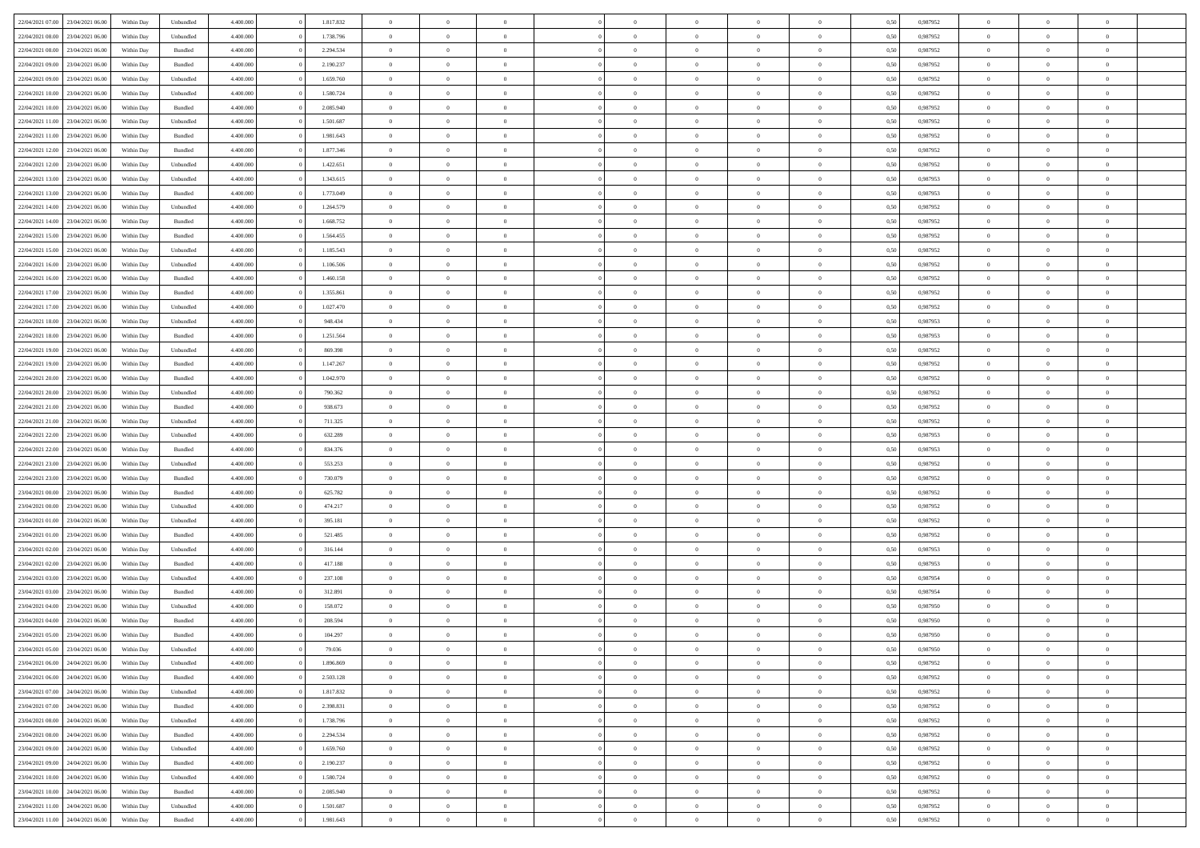| 22/04/2021 07:00 23/04/2021 06:00    | Within Day | Unbundled | 4.400.000 | 1.817.832 | $\overline{0}$ | $\overline{0}$ | $\Omega$       | $\overline{0}$ | $\theta$       | $\Omega$       | $\overline{0}$ | 0,50 | 0,987952 | $\theta$       | $\theta$       | $\overline{0}$ |  |
|--------------------------------------|------------|-----------|-----------|-----------|----------------|----------------|----------------|----------------|----------------|----------------|----------------|------|----------|----------------|----------------|----------------|--|
| 22/04/2021 08:00<br>23/04/2021 06:00 | Within Day | Unbundled | 4.400.000 | 1.738.796 | $\overline{0}$ | $\theta$       | $\overline{0}$ | $\overline{0}$ | $\theta$       | $\overline{0}$ | $\bf{0}$       | 0,50 | 0,987952 | $\theta$       | $\theta$       | $\overline{0}$ |  |
| 22/04/2021 08:00<br>23/04/2021 06:00 | Within Day | Bundled   | 4.400.000 | 2.294.534 | $\overline{0}$ | $\bf{0}$       | $\overline{0}$ | $\overline{0}$ | $\bf{0}$       | $\overline{0}$ | $\bf{0}$       | 0,50 | 0,987952 | $\bf{0}$       | $\overline{0}$ | $\bf{0}$       |  |
| 22/04/2021 09:00<br>23/04/2021 06:00 | Within Day | Bundled   | 4.400.000 | 2.190.237 | $\overline{0}$ | $\overline{0}$ | $\overline{0}$ | $\overline{0}$ | $\theta$       | $\overline{0}$ | $\overline{0}$ | 0.50 | 0,987952 | $\theta$       | $\theta$       | $\overline{0}$ |  |
| 22/04/2021 09:00<br>23/04/2021 06:00 | Within Day | Unbundled | 4.400.000 | 1.659.760 | $\overline{0}$ | $\theta$       | $\overline{0}$ | $\overline{0}$ | $\theta$       | $\overline{0}$ | $\bf{0}$       | 0,50 | 0,987952 | $\theta$       | $\theta$       | $\overline{0}$ |  |
| 22/04/2021 10:00<br>23/04/2021 06:00 | Within Day | Unbundled | 4.400.000 | 1.580.724 | $\overline{0}$ | $\bf{0}$       | $\overline{0}$ | $\overline{0}$ | $\overline{0}$ | $\overline{0}$ | $\bf{0}$       | 0,50 | 0,987952 | $\overline{0}$ | $\overline{0}$ | $\bf{0}$       |  |
| 22/04/2021 10:00<br>23/04/2021 06:00 | Within Day | Bundled   | 4.400.000 | 2.085.940 | $\overline{0}$ | $\overline{0}$ | $\overline{0}$ | $\overline{0}$ | $\overline{0}$ | $\overline{0}$ | $\bf{0}$       | 0.5( | 0,987952 | $\theta$       | $\theta$       | $\overline{0}$ |  |
|                                      |            |           |           |           |                |                |                |                |                |                |                |      |          |                |                |                |  |
| 22/04/2021 11:00<br>23/04/2021 06:00 | Within Day | Unbundled | 4.400.000 | 1.501.687 | $\bf{0}$       | $\overline{0}$ | $\overline{0}$ | $\overline{0}$ | $\theta$       | $\overline{0}$ | $\bf{0}$       | 0,50 | 0,987952 | $\theta$       | $\theta$       | $\overline{0}$ |  |
| 22/04/2021 11:00<br>23/04/2021 06:00 | Within Day | Bundled   | 4.400.000 | 1.981.643 | $\overline{0}$ | $\bf{0}$       | $\overline{0}$ | $\overline{0}$ | $\overline{0}$ | $\overline{0}$ | $\bf{0}$       | 0,50 | 0,987952 | $\bf{0}$       | $\overline{0}$ | $\overline{0}$ |  |
| 22/04/2021 12:00<br>23/04/2021 06:00 | Within Day | Bundled   | 4.400.000 | 1.877.346 | $\overline{0}$ | $\overline{0}$ | $\overline{0}$ | $\overline{0}$ | $\overline{0}$ | $\overline{0}$ | $\bf{0}$       | 0.5( | 0,987952 | $\theta$       | $\theta$       | $\overline{0}$ |  |
| 22/04/2021 12:00<br>23/04/2021 06:00 | Within Day | Unbundled | 4.400.000 | 1.422.651 | $\bf{0}$       | $\overline{0}$ | $\overline{0}$ | $\overline{0}$ | $\theta$       | $\overline{0}$ | $\bf{0}$       | 0,50 | 0,987952 | $\theta$       | $\theta$       | $\overline{0}$ |  |
| 22/04/2021 13:00<br>23/04/2021 06:00 | Within Day | Unbundled | 4.400.000 | 1.343.615 | $\overline{0}$ | $\bf{0}$       | $\overline{0}$ | $\overline{0}$ | $\bf{0}$       | $\overline{0}$ | $\bf{0}$       | 0,50 | 0,987953 | $\bf{0}$       | $\overline{0}$ | $\bf{0}$       |  |
| 22/04/2021 13:00<br>23/04/2021 06:00 | Within Day | Bundled   | 4.400.000 | 1.773.049 | $\overline{0}$ | $\overline{0}$ | $\overline{0}$ | $\overline{0}$ | $\overline{0}$ | $\overline{0}$ | $\overline{0}$ | 0.5( | 0,987953 | $\theta$       | $\theta$       | $\overline{0}$ |  |
| 22/04/2021 14:00<br>23/04/2021 06:00 | Within Day | Unbundled | 4.400.000 | 1.264.579 | $\overline{0}$ | $\theta$       | $\overline{0}$ | $\overline{0}$ | $\theta$       | $\overline{0}$ | $\,$ 0 $\,$    | 0,50 | 0,987952 | $\theta$       | $\theta$       | $\overline{0}$ |  |
| 22/04/2021 14:00<br>23/04/2021 06:00 | Within Day | Bundled   | 4.400.000 | 1.668.752 | $\overline{0}$ | $\bf{0}$       | $\overline{0}$ | $\overline{0}$ | $\overline{0}$ | $\overline{0}$ | $\bf{0}$       | 0,50 | 0,987952 | $\overline{0}$ | $\overline{0}$ | $\overline{0}$ |  |
| 22/04/2021 15:00<br>23/04/2021 06:00 | Within Day | Bundled   | 4.400.000 | 1.564.455 | $\overline{0}$ | $\overline{0}$ | $\overline{0}$ | $\overline{0}$ | $\overline{0}$ | $\overline{0}$ | $\overline{0}$ | 0.5( | 0,987952 | $\theta$       | $\overline{0}$ | $\overline{0}$ |  |
| 22/04/2021 15:00<br>23/04/2021 06:00 | Within Day | Unbundled | 4.400.000 | 1.185.543 | $\bf{0}$       | $\overline{0}$ | $\overline{0}$ | $\overline{0}$ | $\theta$       | $\overline{0}$ | $\bf{0}$       | 0,50 | 0,987952 | $\theta$       | $\theta$       | $\overline{0}$ |  |
| 22/04/2021 16:00<br>23/04/2021 06:00 | Within Day | Unbundled | 4.400.000 | 1.106.506 | $\overline{0}$ | $\bf{0}$       | $\overline{0}$ | $\overline{0}$ | $\bf{0}$       | $\overline{0}$ | $\bf{0}$       | 0,50 | 0,987952 | $\bf{0}$       | $\overline{0}$ | $\overline{0}$ |  |
| 22/04/2021 16:00<br>23/04/2021 06:00 | Within Day | Bundled   | 4.400.000 | 1.460.158 | $\overline{0}$ | $\overline{0}$ | $\overline{0}$ | $\overline{0}$ | $\overline{0}$ | $\overline{0}$ | $\overline{0}$ | 0.50 | 0,987952 | $\theta$       | $\theta$       | $\overline{0}$ |  |
| 22/04/2021 17:00<br>23/04/2021 06:00 | Within Day | Bundled   | 4.400.000 | 1.355.861 | $\bf{0}$       | $\overline{0}$ | $\overline{0}$ | $\overline{0}$ | $\theta$       | $\overline{0}$ | $\bf{0}$       | 0,50 | 0,987952 | $\theta$       | $\theta$       | $\overline{0}$ |  |
| 22/04/2021 17:00<br>23/04/2021 06:00 | Within Day | Unbundled | 4.400.000 | 1.027.470 | $\overline{0}$ | $\bf{0}$       | $\overline{0}$ | $\overline{0}$ | $\bf{0}$       | $\overline{0}$ | $\bf{0}$       | 0,50 | 0,987952 | $\bf{0}$       | $\overline{0}$ | $\bf{0}$       |  |
| 22/04/2021 18:00<br>23/04/2021 06:00 | Within Day | Unbundled | 4.400.000 | 948.434   | $\overline{0}$ | $\overline{0}$ | $\overline{0}$ | $\overline{0}$ | $\overline{0}$ | $\overline{0}$ | $\overline{0}$ | 0.5( | 0,987953 | $\theta$       | $\overline{0}$ | $\overline{0}$ |  |
|                                      |            |           |           |           |                |                |                |                |                |                |                |      |          |                |                |                |  |
| 22/04/2021 18:00<br>23/04/2021 06:00 | Within Day | Bundled   | 4.400.000 | 1.251.564 | $\bf{0}$       | $\theta$       | $\overline{0}$ | $\overline{0}$ | $\theta$       | $\overline{0}$ | $\bf{0}$       | 0,50 | 0,987953 | $\theta$       | $\theta$       | $\overline{0}$ |  |
| 22/04/2021 19:00<br>23/04/2021 06:00 | Within Day | Unbundled | 4.400.000 | 869.398   | $\overline{0}$ | $\bf{0}$       | $\overline{0}$ | $\overline{0}$ | $\overline{0}$ | $\overline{0}$ | $\bf{0}$       | 0,50 | 0,987952 | $\overline{0}$ | $\overline{0}$ | $\bf{0}$       |  |
| 22/04/2021 19:00<br>23/04/2021 06:00 | Within Day | Bundled   | 4.400.000 | 1.147.267 | $\overline{0}$ | $\overline{0}$ | $\overline{0}$ | $\overline{0}$ | $\overline{0}$ | $\overline{0}$ | $\overline{0}$ | 0.5( | 0,987952 | $\overline{0}$ | $\theta$       | $\overline{0}$ |  |
| 22/04/2021 20:00<br>23/04/2021 06:00 | Within Day | Bundled   | 4.400.000 | 1.042.970 | $\overline{0}$ | $\overline{0}$ | $\overline{0}$ | $\overline{0}$ | $\theta$       | $\overline{0}$ | $\bf{0}$       | 0,50 | 0,987952 | $\theta$       | $\theta$       | $\overline{0}$ |  |
| 22/04/2021 20:00<br>23/04/2021 06:00 | Within Day | Unbundled | 4.400.000 | 790.362   | $\overline{0}$ | $\bf{0}$       | $\overline{0}$ | $\overline{0}$ | $\overline{0}$ | $\overline{0}$ | $\bf{0}$       | 0,50 | 0,987952 | $\bf{0}$       | $\overline{0}$ | $\overline{0}$ |  |
| 22/04/2021 21:00<br>23/04/2021 06:00 | Within Day | Bundled   | 4.400.000 | 938.673   | $\overline{0}$ | $\overline{0}$ | $\overline{0}$ | $\overline{0}$ | $\overline{0}$ | $\overline{0}$ | $\overline{0}$ | 0.5( | 0,987952 | $\theta$       | $\theta$       | $\overline{0}$ |  |
| 22/04/2021 21:00<br>23/04/2021 06:00 | Within Day | Unbundled | 4.400.000 | 711.325   | $\bf{0}$       | $\overline{0}$ | $\overline{0}$ | $\overline{0}$ | $\theta$       | $\overline{0}$ | $\bf{0}$       | 0,50 | 0,987952 | $\,$ 0 $\,$    | $\theta$       | $\overline{0}$ |  |
| 22/04/2021 22:00<br>23/04/2021 06:00 | Within Day | Unbundled | 4.400.000 | 632.289   | $\overline{0}$ | $\bf{0}$       | $\overline{0}$ | $\overline{0}$ | $\bf{0}$       | $\overline{0}$ | $\bf{0}$       | 0,50 | 0,987953 | $\bf{0}$       | $\overline{0}$ | $\bf{0}$       |  |
| 22/04/2021 22:00<br>23/04/2021 06.00 | Within Day | Bundled   | 4,400,000 | 834.376   | $\overline{0}$ | $\overline{0}$ | $\Omega$       | $\Omega$       | $\Omega$       | $\Omega$       | $\overline{0}$ | 0,50 | 0,987953 | $\,$ 0 $\,$    | $\overline{0}$ | $\theta$       |  |
| 22/04/2021 23:00<br>23/04/2021 06:00 | Within Day | Unbundled | 4.400.000 | 553.253   | $\bf{0}$       | $\theta$       | $\overline{0}$ | $\overline{0}$ | $\theta$       | $\overline{0}$ | $\bf{0}$       | 0,50 | 0,987952 | $\theta$       | $\theta$       | $\overline{0}$ |  |
| 22/04/2021 23:00<br>23/04/2021 06:00 | Within Day | Bundled   | 4.400.000 | 730.079   | $\overline{0}$ | $\bf{0}$       | $\overline{0}$ | $\overline{0}$ | $\overline{0}$ | $\overline{0}$ | $\bf{0}$       | 0,50 | 0,987952 | $\overline{0}$ | $\overline{0}$ | $\bf{0}$       |  |
| 23/04/2021 00:00<br>23/04/2021 06:00 | Within Day | Bundled   | 4,400,000 | 625.782   | $\overline{0}$ | $\overline{0}$ | $\Omega$       | $\Omega$       | $\overline{0}$ | $\Omega$       | $\overline{0}$ | 0.50 | 0,987952 | $\bf{0}$       | $\theta$       | $\theta$       |  |
| 23/04/2021 00:00<br>23/04/2021 06:00 | Within Day | Unbundled | 4.400.000 | 474.217   | $\bf{0}$       | $\overline{0}$ | $\overline{0}$ | $\overline{0}$ | $\theta$       | $\overline{0}$ | $\bf{0}$       | 0,50 | 0,987952 | $\theta$       | $\theta$       | $\overline{0}$ |  |
| 23/04/2021 01:00<br>23/04/2021 06:00 | Within Day | Unbundled | 4.400.000 | 395.181   | $\overline{0}$ | $\bf{0}$       | $\overline{0}$ | $\overline{0}$ | $\overline{0}$ | $\overline{0}$ | $\bf{0}$       | 0,50 | 0,987952 | $\bf{0}$       | $\overline{0}$ | $\bf{0}$       |  |
| 23/04/2021 01:00<br>23/04/2021 06:00 | Within Day | Bundled   | 4,400,000 | 521.485   | $\overline{0}$ | $\overline{0}$ | $\Omega$       | $\theta$       | $\Omega$       | $\theta$       | $\overline{0}$ | 0.50 | 0.987952 | $\,$ 0 $\,$    | $\theta$       | $\theta$       |  |
| 23/04/2021 02:00<br>23/04/2021 06:00 | Within Day | Unbundled | 4.400.000 | 316.144   | $\bf{0}$       | $\bf{0}$       | $\overline{0}$ | $\overline{0}$ | $\theta$       | $\overline{0}$ | $\bf{0}$       | 0,50 | 0,987953 | $\theta$       | $\,$ 0 $\,$    | $\overline{0}$ |  |
| 23/04/2021 02:00<br>23/04/2021 06:00 | Within Day | Bundled   | 4.400.000 | 417.188   | $\overline{0}$ | $\bf{0}$       | $\overline{0}$ | $\overline{0}$ | $\bf{0}$       | $\overline{0}$ | $\bf{0}$       | 0,50 | 0,987953 | $\bf{0}$       | $\overline{0}$ | $\bf{0}$       |  |
|                                      |            |           | 4,400,000 |           | $\overline{0}$ |                | $\Omega$       | $\Omega$       |                | $\Omega$       |                |      |          |                |                | $\theta$       |  |
| 23/04/2021 03:00<br>23/04/2021 06.00 | Within Day | Unbundled |           | 237.108   |                | $\overline{0}$ |                |                | $\overline{0}$ |                | $\overline{0}$ | 0.50 | 0,987954 | $\bf{0}$       | $\overline{0}$ |                |  |
| 23/04/2021 03:00<br>23/04/2021 06:00 | Within Day | Bundled   | 4.400.000 | 312.891   | $\bf{0}$       | $\theta$       | $\overline{0}$ | $\overline{0}$ | $\theta$       | $\overline{0}$ | $\bf{0}$       | 0,50 | 0,987954 | $\theta$       | $\theta$       | $\overline{0}$ |  |
| 23/04/2021 04:00<br>23/04/2021 06.00 | Within Day | Unbundled | 4.400.000 | 158.072   | $\overline{0}$ | $\bf{0}$       | $\overline{0}$ | $\overline{0}$ | $\overline{0}$ | $\overline{0}$ | $\bf{0}$       | 0,50 | 0,987950 | $\overline{0}$ | $\overline{0}$ | $\bf{0}$       |  |
| 23/04/2021 04:00<br>23/04/2021 06.00 | Within Day | Bundled   | 4,400,000 | 208,594   | $\overline{0}$ | $\overline{0}$ | $\Omega$       | $\Omega$       | $\Omega$       | $\theta$       | $\overline{0}$ | 0.50 | 0.987950 | $\theta$       | $\theta$       | $\theta$       |  |
| 23/04/2021 05:00<br>23/04/2021 06:00 | Within Day | Bundled   | 4.400.000 | 104.297   | $\bf{0}$       | $\bf{0}$       | $\overline{0}$ | $\overline{0}$ | $\overline{0}$ | $\bf{0}$       | $\bf{0}$       | 0,50 | 0,987950 | $\bf{0}$       | $\,$ 0 $\,$    | $\overline{0}$ |  |
| 23/04/2021 05:00 23/04/2021 06:00    | Within Day | Unbundled | 4.400.000 | 79.036    | $\bf{0}$       | $\bf{0}$       |                | $\bf{0}$       |                |                |                | 0,50 | 0,987950 | $\bf{0}$       | $\bf{0}$       |                |  |
| 23/04/2021 06:00 24/04/2021 06:00    | Within Day | Unbundled | 4.400.000 | 1.896.869 | $\Omega$       | $\overline{0}$ | $\Omega$       | $\theta$       | $\Omega$       | $\theta$       | $\overline{0}$ | 0.50 | 0.987952 | $\theta$       | $\theta$       | $\Omega$       |  |
| 23/04/2021 06:00<br>24/04/2021 06:00 | Within Day | Bundled   | 4.400.000 | 2.503.128 | $\overline{0}$ | $\overline{0}$ | $\overline{0}$ | $\overline{0}$ | $\overline{0}$ | $\overline{0}$ | $\,$ 0 $\,$    | 0,50 | 0,987952 | $\,$ 0 $\,$    | $\,$ 0 $\,$    | $\,$ 0         |  |
| 23/04/2021 07:00 24/04/2021 06:00    | Within Day | Unbundled | 4.400.000 | 1.817.832 | $\overline{0}$ | $\overline{0}$ | $\overline{0}$ | $\overline{0}$ | $\overline{0}$ | $\overline{0}$ | $\bf{0}$       | 0,50 | 0,987952 | $\overline{0}$ | $\bf{0}$       | $\overline{0}$ |  |
| 23/04/2021 07:00<br>24/04/2021 06:00 | Within Day | Bundled   | 4.400.000 | 2.398.831 | $\overline{0}$ | $\bf{0}$       | $\overline{0}$ | $\overline{0}$ | $\overline{0}$ | $\overline{0}$ | $\bf{0}$       | 0,50 | 0,987952 | $\bf{0}$       | $\theta$       | $\overline{0}$ |  |
| 23/04/2021 08:00<br>24/04/2021 06:00 | Within Day | Unbundled | 4.400.000 | 1.738.796 | $\overline{0}$ | $\overline{0}$ | $\overline{0}$ | $\overline{0}$ | $\overline{0}$ | $\overline{0}$ | $\bf{0}$       | 0,50 | 0,987952 | $\,$ 0 $\,$    | $\,$ 0 $\,$    | $\overline{0}$ |  |
| 23/04/2021 08:00<br>24/04/2021 06:00 | Within Day | Bundled   | 4.400.000 | 2.294.534 | $\overline{0}$ | $\overline{0}$ | $\overline{0}$ | $\overline{0}$ | $\bf{0}$       | $\overline{0}$ | $\bf{0}$       | 0,50 | 0,987952 | $\overline{0}$ | $\overline{0}$ | $\overline{0}$ |  |
| 23/04/2021 09:00<br>24/04/2021 06:00 | Within Day | Unbundled | 4.400.000 | 1.659.760 | $\overline{0}$ | $\bf{0}$       | $\overline{0}$ | $\overline{0}$ | $\overline{0}$ | $\overline{0}$ | $\bf{0}$       | 0.50 | 0,987952 | $\overline{0}$ | $\theta$       | $\overline{0}$ |  |
| 23/04/2021 09:00<br>24/04/2021 06:00 | Within Day | Bundled   | 4.400.000 | 2.190.237 | $\overline{0}$ | $\,$ 0         | $\overline{0}$ | $\overline{0}$ | $\overline{0}$ | $\overline{0}$ | $\bf{0}$       | 0,50 | 0,987952 | $\,$ 0 $\,$    | $\bf{0}$       | $\overline{0}$ |  |
| 24/04/2021 06:00<br>23/04/2021 10:00 | Within Day | Unbundled | 4.400.000 | 1.580.724 | $\overline{0}$ | $\bf{0}$       | $\overline{0}$ | $\overline{0}$ | $\overline{0}$ | $\overline{0}$ | $\bf{0}$       | 0,50 | 0,987952 | $\overline{0}$ | $\overline{0}$ | $\bf{0}$       |  |
| 23/04/2021 10:00 24/04/2021 06:00    |            | Bundled   | 4.400.000 |           | $\overline{0}$ | $\overline{0}$ | $\overline{0}$ | $\overline{0}$ | $\overline{0}$ | $\overline{0}$ |                | 0.50 |          | $\overline{0}$ | $\theta$       | $\overline{0}$ |  |
|                                      | Within Day |           |           | 2.085.940 |                |                |                |                |                |                | $\bf{0}$       |      | 0,987952 |                |                |                |  |
| 23/04/2021 11:00<br>24/04/2021 06:00 | Within Day | Unbundled | 4.400.000 | 1.501.687 | $\overline{0}$ | $\,$ 0         | $\overline{0}$ | $\overline{0}$ | $\overline{0}$ | $\bf{0}$       | $\bf{0}$       | 0,50 | 0,987952 | $\,$ 0 $\,$    | $\,$ 0 $\,$    | $\overline{0}$ |  |
| 23/04/2021 11:00 24/04/2021 06:00    | Within Day | Bundled   | 4.400.000 | 1.981.643 | $\overline{0}$ | $\bf{0}$       | $\overline{0}$ | $\overline{0}$ | $\overline{0}$ | $\overline{0}$ | $\bf{0}$       | 0,50 | 0,987952 | $\overline{0}$ | $\bf{0}$       | $\overline{0}$ |  |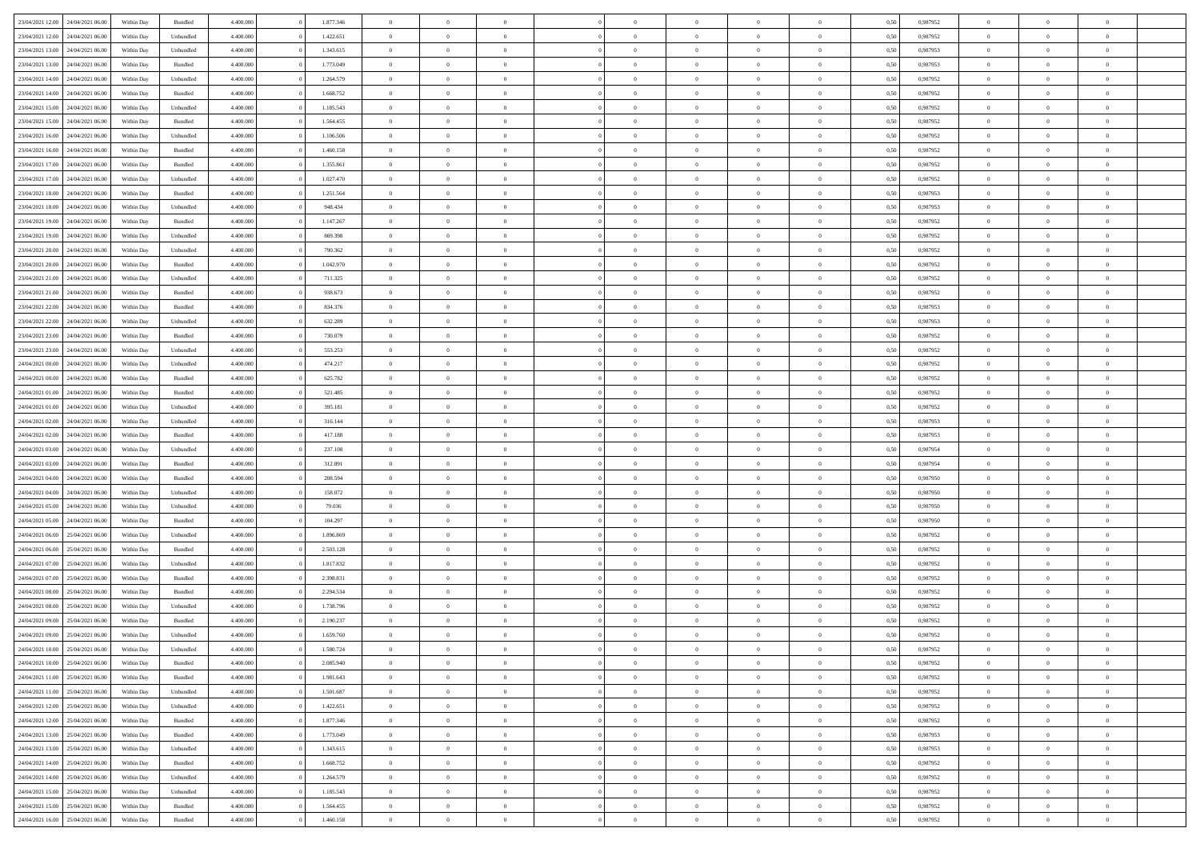| 23/04/2021 12:00                  | 24/04/2021 06:00 | Within Day | Bundled   | 4.400.000 | 1.877.346 | $\overline{0}$ | $\Omega$       |                | $\Omega$       | $\Omega$       | $\theta$       | $\theta$       | 0,50 | 0,987952 | $\theta$       | $\theta$       | $\theta$       |  |
|-----------------------------------|------------------|------------|-----------|-----------|-----------|----------------|----------------|----------------|----------------|----------------|----------------|----------------|------|----------|----------------|----------------|----------------|--|
|                                   |                  |            |           |           |           |                |                |                |                |                |                |                |      |          |                |                |                |  |
| 23/04/2021 12:00                  | 24/04/2021 06.00 | Within Day | Unbundled | 4.400.000 | 1.422.651 | $\overline{0}$ | $\theta$       | $\overline{0}$ | $\overline{0}$ | $\bf{0}$       | $\overline{0}$ | $\bf{0}$       | 0,50 | 0,987952 | $\theta$       | $\overline{0}$ | $\overline{0}$ |  |
| 23/04/2021 13:00                  | 24/04/2021 06.00 | Within Day | Unbundled | 4.400.000 | 1.343.615 | $\overline{0}$ | $\bf{0}$       | $\overline{0}$ | $\bf{0}$       | $\bf{0}$       | $\bf{0}$       | $\mathbf{0}$   | 0,50 | 0,987953 | $\bf{0}$       | $\overline{0}$ | $\bf{0}$       |  |
| 23/04/2021 13:00                  | 24/04/2021 06:00 | Within Dav | Bundled   | 4.400.000 | 1.773.049 | $\overline{0}$ | $\overline{0}$ | $\overline{0}$ | $\overline{0}$ | $\bf{0}$       | $\overline{0}$ | $\overline{0}$ | 0.50 | 0,987953 | $\theta$       | $\theta$       | $\overline{0}$ |  |
|                                   |                  |            |           |           |           |                |                |                |                |                |                |                |      |          |                |                |                |  |
| 23/04/2021 14:00                  | 24/04/2021 06.00 | Within Day | Unbundled | 4.400.000 | 1.264.579 | $\overline{0}$ | $\theta$       | $\overline{0}$ | $\overline{0}$ | $\bf{0}$       | $\overline{0}$ | $\bf{0}$       | 0,50 | 0,987952 | $\theta$       | $\overline{0}$ | $\overline{0}$ |  |
| 23/04/2021 14:00                  | 24/04/2021 06.00 | Within Day | Bundled   | 4.400.000 | 1.668.752 | $\overline{0}$ | $\overline{0}$ | $\overline{0}$ | $\bf{0}$       | $\overline{0}$ | $\overline{0}$ | $\mathbf{0}$   | 0,50 | 0,987952 | $\bf{0}$       | $\overline{0}$ | $\bf{0}$       |  |
| 23/04/2021 15:00                  | 24/04/2021 06.00 | Within Dav | Unbundled | 4.400.000 | 1.185.543 | $\overline{0}$ | $\overline{0}$ | $\overline{0}$ | $\overline{0}$ | $\overline{0}$ | $\overline{0}$ | $\overline{0}$ | 0.50 | 0,987952 | $\theta$       | $\overline{0}$ | $\overline{0}$ |  |
| 23/04/2021 15:00                  | 24/04/2021 06.00 | Within Day | Bundled   | 4.400.000 | 1.564.455 | $\overline{0}$ | $\theta$       | $\overline{0}$ | $\overline{0}$ | $\bf{0}$       | $\overline{0}$ | $\bf{0}$       | 0,50 | 0,987952 | $\theta$       | $\theta$       | $\overline{0}$ |  |
|                                   |                  |            |           |           |           |                | $\overline{0}$ |                |                | $\bf{0}$       |                |                |      |          | $\,0\,$        | $\overline{0}$ | $\overline{0}$ |  |
| 23/04/2021 16:00                  | 24/04/2021 06.00 | Within Day | Unbundled | 4.400.000 | 1.106.506 | $\overline{0}$ |                | $\overline{0}$ | $\bf{0}$       |                | $\bf{0}$       | $\bf{0}$       | 0,50 | 0,987952 |                |                |                |  |
| 23/04/2021 16:00                  | 24/04/2021 06.00 | Within Dav | Bundled   | 4.400.000 | 1.460.158 | $\overline{0}$ | $\overline{0}$ | $\overline{0}$ | $\overline{0}$ | $\overline{0}$ | $\overline{0}$ | $\overline{0}$ | 0.50 | 0,987952 | $\theta$       | $\overline{0}$ | $\overline{0}$ |  |
| 23/04/2021 17:00                  | 24/04/2021 06.00 | Within Day | Bundled   | 4.400.000 | 1.355.861 | $\overline{0}$ | $\theta$       | $\overline{0}$ | $\overline{0}$ | $\bf{0}$       | $\overline{0}$ | $\bf{0}$       | 0,50 | 0,987952 | $\,$ 0 $\,$    | $\overline{0}$ | $\overline{0}$ |  |
| 23/04/2021 17:00                  | 24/04/2021 06.00 | Within Day | Unbundled | 4.400.000 | 1.027.470 | $\overline{0}$ | $\bf{0}$       | $\overline{0}$ | $\bf{0}$       | $\bf{0}$       | $\bf{0}$       | $\mathbf{0}$   | 0,50 | 0,987952 | $\bf{0}$       | $\overline{0}$ | $\bf{0}$       |  |
| 23/04/2021 18:00                  | 24/04/2021 06:00 | Within Day | Bundled   | 4.400.000 | 1.251.564 | $\overline{0}$ | $\overline{0}$ | $\overline{0}$ | $\overline{0}$ | $\bf{0}$       | $\overline{0}$ | $\overline{0}$ | 0.50 | 0,987953 | $\theta$       | $\theta$       | $\overline{0}$ |  |
|                                   |                  |            |           |           |           |                |                |                |                |                |                |                |      |          |                |                |                |  |
| 23/04/2021 18:00                  | 24/04/2021 06.00 | Within Day | Unbundled | 4.400.000 | 948.434   | $\overline{0}$ | $\theta$       | $\overline{0}$ | $\overline{0}$ | $\bf{0}$       | $\overline{0}$ | $\bf{0}$       | 0,50 | 0,987953 | $\theta$       | $\overline{0}$ | $\overline{0}$ |  |
| 23/04/2021 19:00                  | 24/04/2021 06.00 | Within Day | Bundled   | 4.400.000 | 1.147.267 | $\overline{0}$ | $\overline{0}$ | $\overline{0}$ | $\bf{0}$       | $\overline{0}$ | $\overline{0}$ | $\mathbf{0}$   | 0,50 | 0,987952 | $\overline{0}$ | $\overline{0}$ | $\bf{0}$       |  |
| 23/04/2021 19:00                  | 24/04/2021 06:00 | Within Day | Unbundled | 4.400.000 | 869.398   | $\overline{0}$ | $\overline{0}$ | $\overline{0}$ | $\overline{0}$ | $\overline{0}$ | $\overline{0}$ | $\overline{0}$ | 0.50 | 0,987952 | $\theta$       | $\overline{0}$ | $\overline{0}$ |  |
| 23/04/2021 20:00                  | 24/04/2021 06.00 | Within Day | Unbundled | 4.400.000 | 790.362   | $\overline{0}$ | $\theta$       | $\overline{0}$ | $\overline{0}$ | $\bf{0}$       | $\overline{0}$ | $\bf{0}$       | 0,50 | 0,987952 | $\theta$       | $\theta$       | $\overline{0}$ |  |
|                                   |                  |            |           |           |           |                |                |                |                |                |                |                |      |          |                |                |                |  |
| 23/04/2021 20:00                  | 24/04/2021 06.00 | Within Day | Bundled   | 4.400.000 | 1.042.970 | $\overline{0}$ | $\overline{0}$ | $\overline{0}$ | $\bf{0}$       | $\bf{0}$       | $\bf{0}$       | $\mathbf{0}$   | 0,50 | 0,987952 | $\bf{0}$       | $\overline{0}$ | $\bf{0}$       |  |
| 23/04/2021 21:00                  | 24/04/2021 06.00 | Within Dav | Unbundled | 4.400.000 | 711.325   | $\overline{0}$ | $\overline{0}$ | $\overline{0}$ | $\overline{0}$ | $\overline{0}$ | $\overline{0}$ | $\overline{0}$ | 0.50 | 0,987952 | $\theta$       | $\overline{0}$ | $\overline{0}$ |  |
| 23/04/2021 21:00                  | 24/04/2021 06.00 | Within Day | Bundled   | 4.400.000 | 938.673   | $\overline{0}$ | $\theta$       | $\overline{0}$ | $\overline{0}$ | $\bf{0}$       | $\overline{0}$ | $\bf{0}$       | 0,50 | 0,987952 | $\,$ 0 $\,$    | $\overline{0}$ | $\overline{0}$ |  |
| 23/04/2021 22:00                  | 24/04/2021 06.00 | Within Day | Bundled   | 4.400.000 | 834.376   | $\overline{0}$ | $\overline{0}$ | $\overline{0}$ | $\bf{0}$       | $\bf{0}$       | $\bf{0}$       | $\mathbf{0}$   | 0,50 | 0,987953 | $\overline{0}$ | $\overline{0}$ | $\bf{0}$       |  |
| 23/04/2021 22:00                  | 24/04/2021 06:00 | Within Day | Unbundled | 4.400.000 | 632.289   | $\overline{0}$ | $\overline{0}$ | $\overline{0}$ | $\overline{0}$ | $\bf{0}$       | $\overline{0}$ | $\overline{0}$ | 0.50 | 0,987953 | $\theta$       | $\overline{0}$ | $\overline{0}$ |  |
|                                   |                  |            |           |           |           |                |                |                |                |                |                |                |      |          |                |                |                |  |
| 23/04/2021 23:00                  | 24/04/2021 06.00 | Within Day | Bundled   | 4.400.000 | 730.079   | $\overline{0}$ | $\theta$       | $\overline{0}$ | $\overline{0}$ | $\bf{0}$       | $\overline{0}$ | $\bf{0}$       | 0,50 | 0,987952 | $\,$ 0 $\,$    | $\overline{0}$ | $\overline{0}$ |  |
| 23/04/2021 23:00                  | 24/04/2021 06.00 | Within Day | Unbundled | 4.400.000 | 553.253   | $\overline{0}$ | $\overline{0}$ | $\overline{0}$ | $\bf{0}$       | $\overline{0}$ | $\overline{0}$ | $\mathbf{0}$   | 0,50 | 0,987952 | $\bf{0}$       | $\overline{0}$ | $\bf{0}$       |  |
| 24/04/2021 00:00                  | 24/04/2021 06.00 | Within Dav | Unbundled | 4.400.000 | 474.217   | $\overline{0}$ | $\overline{0}$ | $\overline{0}$ | $\overline{0}$ | $\overline{0}$ | $\overline{0}$ | $\overline{0}$ | 0.50 | 0,987952 | $\theta$       | $\overline{0}$ | $\overline{0}$ |  |
| 24/04/2021 00:00                  | 24/04/2021 06.00 | Within Day | Bundled   | 4.400.000 | 625.782   | $\overline{0}$ | $\theta$       | $\overline{0}$ | $\overline{0}$ | $\bf{0}$       | $\overline{0}$ | $\bf{0}$       | 0,50 | 0,987952 | $\theta$       | $\theta$       | $\overline{0}$ |  |
|                                   |                  |            |           |           |           |                |                |                |                |                |                |                |      |          |                |                |                |  |
| 24/04/2021 01:00                  | 24/04/2021 06.00 | Within Day | Bundled   | 4.400.000 | 521.485   | $\overline{0}$ | $\overline{0}$ | $\overline{0}$ | $\bf{0}$       | $\bf{0}$       | $\bf{0}$       | $\bf{0}$       | 0,50 | 0,987952 | $\,0\,$        | $\overline{0}$ | $\overline{0}$ |  |
| 24/04/2021 01:00                  | 24/04/2021 06.00 | Within Day | Unbundled | 4.400.000 | 395.181   | $\overline{0}$ | $\overline{0}$ | $\overline{0}$ | $\overline{0}$ | $\overline{0}$ | $\overline{0}$ | $\overline{0}$ | 0.50 | 0,987952 | $\theta$       | $\overline{0}$ | $\overline{0}$ |  |
| 24/04/2021 02:00                  | 24/04/2021 06.00 | Within Day | Unbundled | 4.400.000 | 316.144   | $\overline{0}$ | $\theta$       | $\overline{0}$ | $\overline{0}$ | $\bf{0}$       | $\overline{0}$ | $\bf{0}$       | 0,50 | 0,987953 | $\,$ 0 $\,$    | $\overline{0}$ | $\overline{0}$ |  |
| 24/04/2021 02:00                  | 24/04/2021 06.00 | Within Day | Bundled   | 4.400.000 | 417.188   | $\overline{0}$ | $\overline{0}$ | $\overline{0}$ | $\bf{0}$       | $\bf{0}$       | $\bf{0}$       | $\bf{0}$       | 0,50 | 0,987953 | $\bf{0}$       | $\overline{0}$ | $\bf{0}$       |  |
| 24/04/2021 03:00                  | 24/04/2021 06.00 | Within Day | Unbundled | 4.400,000 | 237.108   | $\bf{0}$       | $\Omega$       | $\overline{0}$ | $\Omega$       | $\Omega$       | $\overline{0}$ | $\overline{0}$ | 0,50 | 0,987954 | $\,0\,$        | $\theta$       | $\theta$       |  |
|                                   |                  |            |           |           |           |                |                |                |                |                |                |                |      |          |                |                |                |  |
| 24/04/2021 03:00                  | 24/04/2021 06.00 | Within Day | Bundled   | 4.400.000 | 312.891   | $\overline{0}$ | $\theta$       | $\overline{0}$ | $\overline{0}$ | $\bf{0}$       | $\overline{0}$ | $\bf{0}$       | 0,50 | 0,987954 | $\theta$       | $\overline{0}$ | $\overline{0}$ |  |
| 24/04/2021 04:00                  | 24/04/2021 06.00 | Within Day | Bundled   | 4.400.000 | 208.594   | $\overline{0}$ | $\overline{0}$ | $\overline{0}$ | $\bf{0}$       | $\overline{0}$ | $\overline{0}$ | $\mathbf{0}$   | 0,50 | 0,987950 | $\bf{0}$       | $\overline{0}$ | $\bf{0}$       |  |
| 24/04/2021 04:00                  | 24/04/2021 06:00 | Within Day | Unbundled | 4.400,000 | 158,072   | $\overline{0}$ | $\Omega$       | $\Omega$       | $\Omega$       | $\bf{0}$       | $\overline{0}$ | $\overline{0}$ | 0.50 | 0,987950 | $\,0\,$        | $\theta$       | $\theta$       |  |
| 24/04/2021 05:00                  | 24/04/2021 06.00 | Within Day | Unbundled | 4.400.000 | 79.036    | $\overline{0}$ | $\theta$       | $\overline{0}$ | $\overline{0}$ | $\bf{0}$       | $\overline{0}$ | $\bf{0}$       | 0,50 | 0,987950 | $\,$ 0 $\,$    | $\overline{0}$ | $\overline{0}$ |  |
|                                   |                  |            |           |           |           |                | $\overline{0}$ |                |                | $\bf{0}$       |                |                |      |          | $\bf{0}$       | $\overline{0}$ | $\bf{0}$       |  |
| 24/04/2021 05:00                  | 24/04/2021 06.00 | Within Day | Bundled   | 4.400.000 | 104.297   | $\overline{0}$ |                | $\overline{0}$ | $\bf{0}$       |                | $\bf{0}$       | $\bf{0}$       | 0,50 | 0,987950 |                |                |                |  |
| 24/04/2021 06:00                  | 25/04/2021 06:00 | Within Day | Unbundled | 4.400,000 | 1.896.869 | $\overline{0}$ | $\Omega$       | $\overline{0}$ | $\Omega$       | $\overline{0}$ | $\overline{0}$ | $\overline{0}$ | 0.50 | 0.987952 | $\,$ 0 $\,$    | $\theta$       | $\theta$       |  |
| 24/04/2021 06:00                  | 25/04/2021 06:00 | Within Day | Bundled   | 4.400.000 | 2.503.128 | $\overline{0}$ | $\theta$       | $\overline{0}$ | $\overline{0}$ | $\,$ 0         | $\overline{0}$ | $\bf{0}$       | 0,50 | 0,987952 | $\,$ 0 $\,$    | $\overline{0}$ | $\overline{0}$ |  |
| 24/04/2021 07:00                  | 25/04/2021 06:00 | Within Day | Unbundled | 4.400.000 | 1.817.832 | $\overline{0}$ | $\bf{0}$       | $\overline{0}$ | $\bf{0}$       | $\bf{0}$       | $\bf{0}$       | $\mathbf{0}$   | 0,50 | 0,987952 | $\overline{0}$ | $\overline{0}$ | $\bf{0}$       |  |
| 24/04/2021 07:00                  | 25/04/2021 06.00 | Within Day | Bundled   | 4.400,000 | 2.398.831 | $\overline{0}$ | $\Omega$       | $\overline{0}$ | $\Omega$       | $\overline{0}$ | $\overline{0}$ | $\overline{0}$ | 0.50 | 0,987952 | $\,0\,$        | $\theta$       | $\theta$       |  |
|                                   |                  |            |           |           |           | $\overline{0}$ | $\overline{0}$ | $\overline{0}$ | $\overline{0}$ |                | $\overline{0}$ |                |      |          | $\,$ 0 $\,$    | $\overline{0}$ | $\overline{0}$ |  |
| 24/04/2021 08:00                  | 25/04/2021 06:00 | Within Day | Bundled   | 4.400.000 | 2.294.534 |                |                |                |                | $\,$ 0         |                | $\bf{0}$       | 0,50 | 0,987952 |                |                |                |  |
| 24/04/2021 08:00                  | 25/04/2021 06:00 | Within Day | Unbundled | 4.400.000 | 1.738.796 | $\overline{0}$ | $\overline{0}$ | $\overline{0}$ | $\bf{0}$       | $\bf{0}$       | $\bf{0}$       | $\mathbf{0}$   | 0,50 | 0,987952 | $\overline{0}$ | $\overline{0}$ | $\bf{0}$       |  |
| 24/04/2021 09:00                  | 25/04/2021 06:00 | Within Day | Bundled   | 4.400,000 | 2.190.237 | $\overline{0}$ | $\Omega$       | $\Omega$       | $\Omega$       | $\Omega$       | $\Omega$       | $\overline{0}$ | 0.50 | 0.987952 | $\theta$       | $\theta$       | $\theta$       |  |
| 24/04/2021 09:00                  | 25/04/2021 06:00 | Within Day | Unbundled | 4.400.000 | 1.659.760 | $\overline{0}$ | $\overline{0}$ | $\overline{0}$ | $\bf{0}$       | $\,$ 0         | $\bf{0}$       | $\bf{0}$       | 0,50 | 0,987952 | $\,0\,$        | $\,$ 0 $\,$    | $\overline{0}$ |  |
| 24/04/2021 10:00                  | 25/04/2021 06:00 | Within Day | Unbundled | 4.400.000 | 1.580.724 | $\overline{0}$ | $\bf{0}$       |                |                | $\bf{0}$       |                |                | 0,50 | 0,987952 | $\bf{0}$       | $\overline{0}$ |                |  |
|                                   |                  |            |           |           |           |                |                |                |                |                |                |                |      |          |                |                | $\Omega$       |  |
| 24/04/2021 10:00                  | 25/04/2021 06:00 | Within Day | Bundled   | 4.400.000 | 2.085.940 | $\overline{0}$ | $\overline{0}$ | $\overline{0}$ | $\Omega$       | $\overline{0}$ | $\overline{0}$ | $\overline{0}$ | 0.50 | 0.987952 | $\theta$       | $\theta$       |                |  |
| 24/04/2021 11:00                  | 25/04/2021 06:00 | Within Day | Bundled   | 4.400.000 | 1.981.643 | $\overline{0}$ | $\,$ 0         | $\overline{0}$ | $\bf{0}$       | $\,$ 0 $\,$    | $\overline{0}$ | $\mathbf{0}$   | 0,50 | 0,987952 | $\,$ 0 $\,$    | $\,$ 0 $\,$    | $\,$ 0         |  |
| 24/04/2021 11:00                  | 25/04/2021 06:00 | Within Day | Unbundled | 4.400.000 | 1.501.687 | $\overline{0}$ | $\overline{0}$ | $\overline{0}$ | $\overline{0}$ | $\overline{0}$ | $\overline{0}$ | $\mathbf{0}$   | 0,50 | 0,987952 | $\overline{0}$ | $\bf{0}$       | $\bf{0}$       |  |
| 24/04/2021 12:00                  | 25/04/2021 06:00 | Within Day | Unbundled | 4.400,000 | 1.422.651 | $\overline{0}$ | $\overline{0}$ | $\overline{0}$ | $\Omega$       | $\overline{0}$ | $\overline{0}$ | $\overline{0}$ | 0,50 | 0,987952 | $\overline{0}$ | $\theta$       | $\overline{0}$ |  |
| 24/04/2021 12:00                  | 25/04/2021 06:00 | Within Day | Bundled   | 4.400.000 | 1.877.346 | $\overline{0}$ | $\,$ 0         | $\overline{0}$ | $\overline{0}$ | $\,$ 0 $\,$    | $\overline{0}$ | $\mathbf{0}$   | 0,50 | 0,987952 | $\,$ 0 $\,$    | $\overline{0}$ | $\overline{0}$ |  |
|                                   |                  |            |           |           |           |                |                |                |                |                |                |                |      |          |                |                |                |  |
| 24/04/2021 13:00                  | 25/04/2021 06:00 | Within Day | Bundled   | 4.400.000 | 1.773.049 | $\overline{0}$ | $\overline{0}$ | $\overline{0}$ | $\overline{0}$ | $\overline{0}$ | $\overline{0}$ | $\mathbf{0}$   | 0,50 | 0,987953 | $\overline{0}$ | $\overline{0}$ | $\bf{0}$       |  |
| 24/04/2021 13:00                  | 25/04/2021 06:00 | Within Day | Unbundled | 4.400.000 | 1.343.615 | $\overline{0}$ | $\overline{0}$ | $\overline{0}$ | $\Omega$       | $\overline{0}$ | $\overline{0}$ | $\bf{0}$       | 0.50 | 0,987953 | $\overline{0}$ | $\theta$       | $\overline{0}$ |  |
| 24/04/2021 14:00                  | 25/04/2021 06:00 | Within Day | Bundled   | 4.400.000 | 1.668.752 | $\overline{0}$ | $\,$ 0         | $\overline{0}$ | $\bf{0}$       | $\bf{0}$       | $\bf{0}$       | $\bf{0}$       | 0,50 | 0,987952 | $\,$ 0 $\,$    | $\overline{0}$ | $\overline{0}$ |  |
| 24/04/2021 14:00                  | 25/04/2021 06:00 | Within Day | Unbundled | 4.400.000 | 1.264.579 | $\overline{0}$ | $\bf{0}$       | $\overline{0}$ | $\overline{0}$ | $\overline{0}$ | $\overline{0}$ | $\mathbf{0}$   | 0,50 | 0,987952 | $\overline{0}$ | $\overline{0}$ | $\bf{0}$       |  |
|                                   |                  |            |           |           |           |                |                |                |                |                |                |                |      |          |                |                |                |  |
| 24/04/2021 15:00                  | 25/04/2021 06:00 | Within Day | Unbundled | 4.400,000 | 1.185.543 | $\overline{0}$ | $\overline{0}$ | $\overline{0}$ | $\Omega$       | $\overline{0}$ | $\overline{0}$ | $\bf{0}$       | 0.50 | 0,987952 | $\overline{0}$ | $\overline{0}$ | $\overline{0}$ |  |
| 24/04/2021 15:00                  | 25/04/2021 06:00 | Within Day | Bundled   | 4.400.000 | 1.564.455 | $\overline{0}$ | $\bf{0}$       | $\overline{0}$ | $\overline{0}$ | $\bf{0}$       | $\bf{0}$       | $\mathbf{0}$   | 0,50 | 0,987952 | $\,$ 0 $\,$    | $\,$ 0 $\,$    | $\bf{0}$       |  |
| 24/04/2021 16:00 25/04/2021 06:00 |                  | Within Day | Bundled   | 4.400.000 | 1.460.158 | $\overline{0}$ | $\overline{0}$ | $\overline{0}$ | $\overline{0}$ | $\overline{0}$ | $\bf{0}$       | $\mathbf{0}$   | 0,50 | 0,987952 | $\overline{0}$ | $\bf{0}$       | $\bf{0}$       |  |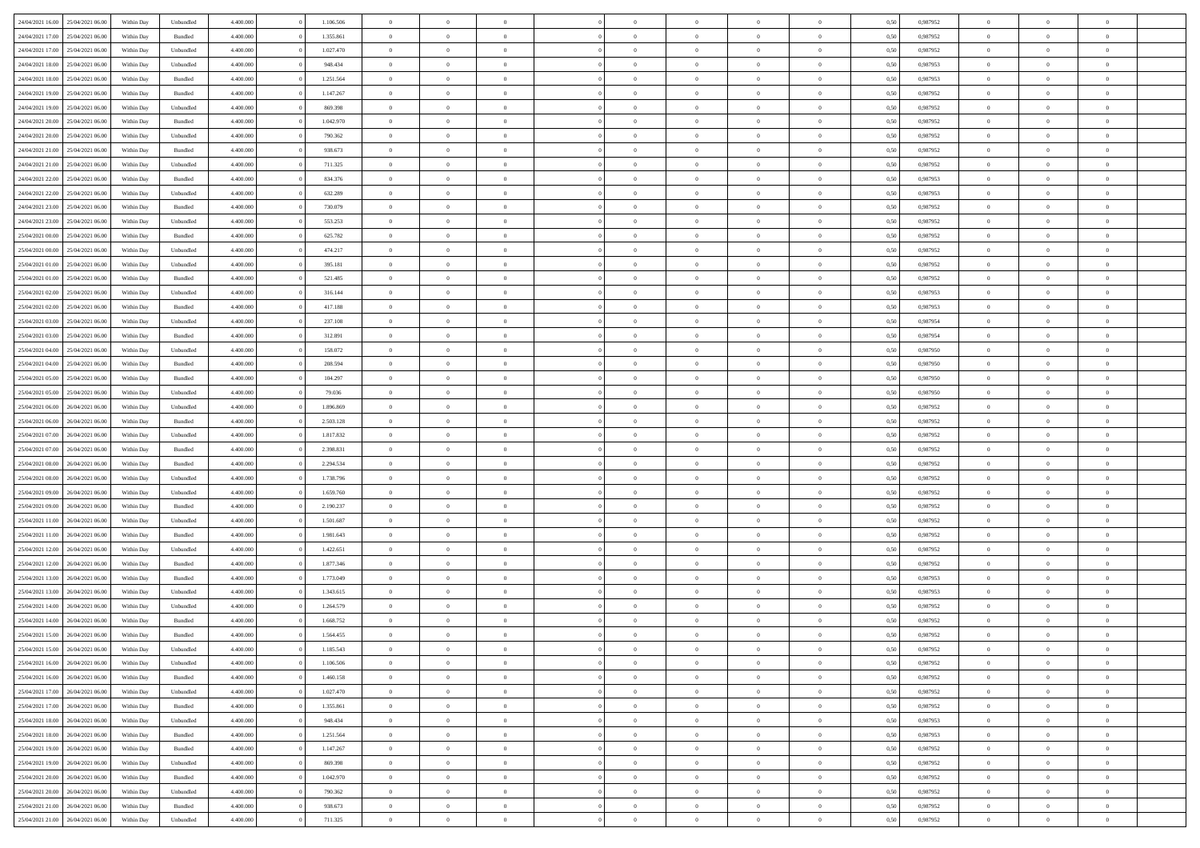| 24/04/2021 16:00 | 25/04/2021 06:00 | Within Day | Unbundled          | 4.400.000 | 1.106.506 | $\overline{0}$ | $\theta$       |                | $\Omega$       | $\Omega$       | $\theta$       | $\theta$       | 0,50 | 0,987952 | $\theta$       | $\overline{0}$ | $\theta$       |  |
|------------------|------------------|------------|--------------------|-----------|-----------|----------------|----------------|----------------|----------------|----------------|----------------|----------------|------|----------|----------------|----------------|----------------|--|
|                  |                  |            |                    |           |           |                |                |                |                |                |                |                |      |          |                |                |                |  |
| 24/04/2021 17:00 | 25/04/2021 06:00 | Within Day | Bundled            | 4.400.000 | 1.355.861 | $\overline{0}$ | $\theta$       | $\overline{0}$ | $\overline{0}$ | $\bf{0}$       | $\overline{0}$ | $\bf{0}$       | 0,50 | 0,987952 | $\theta$       | $\overline{0}$ | $\overline{0}$ |  |
| 24/04/2021 17:00 | 25/04/2021 06:00 | Within Day | Unbundled          | 4.400.000 | 1.027.470 | $\overline{0}$ | $\bf{0}$       | $\overline{0}$ | $\bf{0}$       | $\bf{0}$       | $\bf{0}$       | $\mathbf{0}$   | 0,50 | 0,987952 | $\bf{0}$       | $\overline{0}$ | $\bf{0}$       |  |
| 24/04/2021 18:00 | 25/04/2021 06:00 | Within Day | Unbundled          | 4.400.000 | 948,434   | $\overline{0}$ | $\overline{0}$ | $\overline{0}$ | $\overline{0}$ | $\bf{0}$       | $\overline{0}$ | $\overline{0}$ | 0.50 | 0,987953 | $\theta$       | $\theta$       | $\overline{0}$ |  |
| 24/04/2021 18:00 | 25/04/2021 06:00 | Within Day | Bundled            | 4.400.000 | 1.251.564 | $\overline{0}$ | $\theta$       | $\overline{0}$ | $\overline{0}$ | $\bf{0}$       | $\overline{0}$ | $\bf{0}$       | 0,50 | 0,987953 | $\,$ 0 $\,$    | $\overline{0}$ | $\overline{0}$ |  |
| 24/04/2021 19:00 | 25/04/2021 06:00 | Within Day | Bundled            | 4.400.000 | 1.147.267 | $\overline{0}$ | $\overline{0}$ | $\overline{0}$ | $\bf{0}$       | $\overline{0}$ | $\overline{0}$ | $\mathbf{0}$   | 0,50 | 0,987952 | $\bf{0}$       | $\overline{0}$ | $\bf{0}$       |  |
|                  |                  |            |                    |           |           |                | $\overline{0}$ |                |                | $\overline{0}$ |                |                |      |          | $\theta$       | $\overline{0}$ | $\overline{0}$ |  |
| 24/04/2021 19:00 | 25/04/2021 06.00 | Within Dav | Unbundled          | 4.400.000 | 869.398   | $\overline{0}$ |                | $\overline{0}$ | $\overline{0}$ |                | $\overline{0}$ | $\overline{0}$ | 0.50 | 0,987952 |                |                |                |  |
| 24/04/2021 20:00 | 25/04/2021 06:00 | Within Day | Bundled            | 4.400.000 | 1.042.970 | $\overline{0}$ | $\theta$       | $\overline{0}$ | $\overline{0}$ | $\bf{0}$       | $\overline{0}$ | $\bf{0}$       | 0,50 | 0,987952 | $\theta$       | $\theta$       | $\overline{0}$ |  |
| 24/04/2021 20:00 | 25/04/2021 06:00 | Within Day | Unbundled          | 4.400.000 | 790.362   | $\overline{0}$ | $\overline{0}$ | $\overline{0}$ | $\bf{0}$       | $\bf{0}$       | $\bf{0}$       | $\mathbf{0}$   | 0,50 | 0,987952 | $\,0\,$        | $\overline{0}$ | $\overline{0}$ |  |
| 24/04/2021 21:00 | 25/04/2021 06:00 | Within Dav | Bundled            | 4.400.000 | 938.673   | $\overline{0}$ | $\overline{0}$ | $\overline{0}$ | $\overline{0}$ | $\overline{0}$ | $\overline{0}$ | $\overline{0}$ | 0.50 | 0,987952 | $\theta$       | $\overline{0}$ | $\overline{0}$ |  |
| 24/04/2021 21.00 | 25/04/2021 06:00 | Within Day | Unbundled          | 4.400.000 | 711.325   | $\overline{0}$ | $\theta$       | $\overline{0}$ | $\overline{0}$ | $\bf{0}$       | $\overline{0}$ | $\bf{0}$       | 0,50 | 0,987952 | $\,$ 0 $\,$    | $\overline{0}$ | $\overline{0}$ |  |
| 24/04/2021 22.00 | 25/04/2021 06:00 | Within Day | Bundled            | 4.400.000 | 834.376   | $\overline{0}$ | $\overline{0}$ | $\overline{0}$ | $\bf{0}$       | $\bf{0}$       | $\bf{0}$       | $\mathbf{0}$   | 0,50 | 0,987953 | $\bf{0}$       | $\overline{0}$ | $\bf{0}$       |  |
| 24/04/2021 22:00 | 25/04/2021 06:00 | Within Day | Unbundled          | 4.400.000 | 632.289   | $\overline{0}$ | $\overline{0}$ | $\overline{0}$ | $\overline{0}$ | $\bf{0}$       | $\overline{0}$ | $\overline{0}$ | 0.50 | 0,987953 | $\theta$       | $\theta$       | $\overline{0}$ |  |
|                  |                  |            |                    |           |           | $\overline{0}$ | $\theta$       | $\overline{0}$ | $\overline{0}$ | $\bf{0}$       | $\overline{0}$ |                |      |          | $\theta$       | $\overline{0}$ | $\overline{0}$ |  |
| 24/04/2021 23:00 | 25/04/2021 06:00 | Within Day | Bundled            | 4.400.000 | 730.079   |                |                |                |                |                |                | $\bf{0}$       | 0,50 | 0,987952 |                |                |                |  |
| 24/04/2021 23:00 | 25/04/2021 06:00 | Within Day | Unbundled          | 4.400.000 | 553.253   | $\overline{0}$ | $\overline{0}$ | $\overline{0}$ | $\bf{0}$       | $\overline{0}$ | $\overline{0}$ | $\mathbf{0}$   | 0,50 | 0,987952 | $\bf{0}$       | $\overline{0}$ | $\bf{0}$       |  |
| 25/04/2021 00:00 | 25/04/2021 06:00 | Within Dav | Bundled            | 4.400.000 | 625.782   | $\overline{0}$ | $\overline{0}$ | $\overline{0}$ | $\overline{0}$ | $\overline{0}$ | $\overline{0}$ | $\overline{0}$ | 0.50 | 0,987952 | $\theta$       | $\overline{0}$ | $\overline{0}$ |  |
| 25/04/2021 00:00 | 25/04/2021 06:00 | Within Day | Unbundled          | 4.400.000 | 474.217   | $\overline{0}$ | $\theta$       | $\overline{0}$ | $\overline{0}$ | $\bf{0}$       | $\overline{0}$ | $\bf{0}$       | 0,50 | 0,987952 | $\,$ 0 $\,$    | $\overline{0}$ | $\overline{0}$ |  |
| 25/04/2021 01:00 | 25/04/2021 06:00 | Within Day | Unbundled          | 4.400.000 | 395.181   | $\overline{0}$ | $\overline{0}$ | $\overline{0}$ | $\bf{0}$       | $\bf{0}$       | $\bf{0}$       | $\mathbf{0}$   | 0,50 | 0,987952 | $\bf{0}$       | $\overline{0}$ | $\bf{0}$       |  |
| 25/04/2021 01:00 | 25/04/2021 06:00 | Within Day | Bundled            | 4.400.000 | 521.485   | $\overline{0}$ | $\overline{0}$ | $\overline{0}$ | $\overline{0}$ | $\overline{0}$ | $\overline{0}$ | $\overline{0}$ | 0.50 | 0,987952 | $\theta$       | $\overline{0}$ | $\overline{0}$ |  |
| 25/04/2021 02:00 | 25/04/2021 06:00 | Within Day | Unbundled          | 4.400.000 | 316.144   | $\overline{0}$ | $\theta$       | $\overline{0}$ | $\overline{0}$ | $\bf{0}$       | $\overline{0}$ | $\bf{0}$       | 0,50 | 0,987953 | $\,$ 0 $\,$    | $\overline{0}$ | $\overline{0}$ |  |
|                  |                  |            |                    |           |           |                |                |                |                |                |                |                |      |          |                |                |                |  |
| 25/04/2021 02:00 | 25/04/2021 06:00 | Within Day | Bundled            | 4.400.000 | 417.188   | $\overline{0}$ | $\overline{0}$ | $\overline{0}$ | $\bf{0}$       | $\bf{0}$       | $\bf{0}$       | $\mathbf{0}$   | 0,50 | 0,987953 | $\overline{0}$ | $\overline{0}$ | $\bf{0}$       |  |
| 25/04/2021 03:00 | 25/04/2021 06:00 | Within Day | Unbundled          | 4.400.000 | 237.108   | $\overline{0}$ | $\overline{0}$ | $\overline{0}$ | $\overline{0}$ | $\overline{0}$ | $\overline{0}$ | $\overline{0}$ | 0.50 | 0,987954 | $\theta$       | $\overline{0}$ | $\overline{0}$ |  |
| 25/04/2021 03:00 | 25/04/2021 06:00 | Within Day | Bundled            | 4.400.000 | 312.891   | $\overline{0}$ | $\theta$       | $\overline{0}$ | $\overline{0}$ | $\bf{0}$       | $\overline{0}$ | $\,$ 0 $\,$    | 0,50 | 0,987954 | $\,$ 0 $\,$    | $\overline{0}$ | $\overline{0}$ |  |
| 25/04/2021 04:00 | 25/04/2021 06:00 | Within Day | Unbundled          | 4.400.000 | 158.072   | $\overline{0}$ | $\overline{0}$ | $\overline{0}$ | $\bf{0}$       | $\overline{0}$ | $\overline{0}$ | $\mathbf{0}$   | 0,50 | 0,987950 | $\overline{0}$ | $\overline{0}$ | $\bf{0}$       |  |
| 25/04/2021 04:00 | 25/04/2021 06:00 | Within Dav | Bundled            | 4.400.000 | 208.594   | $\overline{0}$ | $\overline{0}$ | $\overline{0}$ | $\overline{0}$ | $\overline{0}$ | $\overline{0}$ | $\overline{0}$ | 0.50 | 0,987950 | $\overline{0}$ | $\overline{0}$ | $\overline{0}$ |  |
| 25/04/2021 05:00 | 25/04/2021 06:00 | Within Day | Bundled            | 4.400.000 | 104.297   | $\overline{0}$ | $\theta$       | $\overline{0}$ | $\overline{0}$ | $\bf{0}$       | $\overline{0}$ | $\bf{0}$       | 0,50 | 0,987950 | $\,$ 0 $\,$    | $\overline{0}$ | $\overline{0}$ |  |
| 25/04/2021 05:00 | 25/04/2021 06:00 | Within Day | Unbundled          | 4.400.000 | 79.036    | $\overline{0}$ | $\overline{0}$ | $\overline{0}$ | $\bf{0}$       | $\bf{0}$       | $\bf{0}$       | $\mathbf{0}$   | 0,50 | 0,987950 | $\,0\,$        | $\overline{0}$ | $\bf{0}$       |  |
|                  |                  |            |                    |           |           |                | $\overline{0}$ |                |                | $\overline{0}$ |                |                |      |          | $\theta$       | $\overline{0}$ | $\overline{0}$ |  |
| 25/04/2021 06:00 | 26/04/2021 06:00 | Within Day | Unbundled          | 4.400.000 | 1.896.869 | $\overline{0}$ |                | $\overline{0}$ | $\overline{0}$ |                | $\overline{0}$ | $\overline{0}$ | 0.50 | 0,987952 |                |                |                |  |
| 25/04/2021 06:00 | 26/04/2021 06:00 | Within Day | Bundled            | 4.400.000 | 2.503.128 | $\overline{0}$ | $\overline{0}$ | $\overline{0}$ | $\overline{0}$ | $\bf{0}$       | $\overline{0}$ | $\bf{0}$       | 0,50 | 0,987952 | $\,$ 0 $\,$    | $\overline{0}$ | $\overline{0}$ |  |
| 25/04/2021 07:00 | 26/04/2021 06:00 | Within Day | Unbundled          | 4.400.000 | 1.817.832 | $\overline{0}$ | $\overline{0}$ | $\overline{0}$ | $\bf{0}$       | $\bf{0}$       | $\bf{0}$       | $\mathbf{0}$   | 0,50 | 0,987952 | $\overline{0}$ | $\overline{0}$ | $\bf{0}$       |  |
| 25/04/2021 07:00 | 26/04/2021 06:00 | Within Day | Bundled            | 4.400,000 | 2.398.831 | $\overline{0}$ | $\Omega$       | $\overline{0}$ | $\Omega$       | $\Omega$       | $\overline{0}$ | $\overline{0}$ | 0,50 | 0,987952 | $\,0\,$        | $\theta$       | $\theta$       |  |
| 25/04/2021 08:00 | 26/04/2021 06:00 | Within Day | Bundled            | 4.400.000 | 2.294.534 | $\overline{0}$ | $\theta$       | $\overline{0}$ | $\overline{0}$ | $\bf{0}$       | $\overline{0}$ | $\bf{0}$       | 0,50 | 0,987952 | $\,$ 0 $\,$    | $\overline{0}$ | $\overline{0}$ |  |
| 25/04/2021 08:00 | 26/04/2021 06:00 | Within Day | Unbundled          | 4.400.000 | 1.738.796 | $\overline{0}$ | $\overline{0}$ | $\overline{0}$ | $\bf{0}$       | $\overline{0}$ | $\overline{0}$ | $\mathbf{0}$   | 0,50 | 0,987952 | $\bf{0}$       | $\overline{0}$ | $\bf{0}$       |  |
| 25/04/2021 09:00 | 26/04/2021 06:00 | Within Day | Unbundled          | 4.400,000 | 1.659.760 | $\overline{0}$ | $\Omega$       | $\Omega$       | $\Omega$       | $\overline{0}$ | $\overline{0}$ | $\overline{0}$ | 0.50 | 0,987952 | $\,0\,$        | $\theta$       | $\theta$       |  |
|                  |                  |            |                    |           |           | $\overline{0}$ | $\theta$       | $\overline{0}$ |                | $\bf{0}$       | $\overline{0}$ |                |      |          |                |                | $\overline{0}$ |  |
| 25/04/2021 09:00 | 26/04/2021 06:00 | Within Day | Bundled            | 4.400.000 | 2.190.237 |                |                |                | $\overline{0}$ |                |                | $\bf{0}$       | 0,50 | 0,987952 | $\,$ 0 $\,$    | $\overline{0}$ |                |  |
| 25/04/2021 11:00 | 26/04/2021 06:00 | Within Day | Unbundled          | 4.400.000 | 1.501.687 | $\overline{0}$ | $\overline{0}$ | $\overline{0}$ | $\bf{0}$       | $\bf{0}$       | $\bf{0}$       | $\mathbf{0}$   | 0,50 | 0,987952 | $\bf{0}$       | $\overline{0}$ | $\bf{0}$       |  |
| 25/04/2021 11:00 | 26/04/2021 06:00 | Within Day | Bundled            | 4.400,000 | 1.981.643 | $\overline{0}$ | $\Omega$       | $\overline{0}$ | $\Omega$       | $\overline{0}$ | $\overline{0}$ | $\overline{0}$ | 0.50 | 0.987952 | $\,$ 0 $\,$    | $\theta$       | $\theta$       |  |
| 25/04/2021 12:00 | 26/04/2021 06:00 | Within Day | Unbundled          | 4.400.000 | 1.422.651 | $\overline{0}$ | $\overline{0}$ | $\overline{0}$ | $\overline{0}$ | $\,$ 0         | $\overline{0}$ | $\bf{0}$       | 0,50 | 0,987952 | $\,$ 0 $\,$    | $\overline{0}$ | $\overline{0}$ |  |
| 25/04/2021 12:00 | 26/04/2021 06:00 | Within Day | Bundled            | 4.400.000 | 1.877.346 | $\overline{0}$ | $\bf{0}$       | $\overline{0}$ | $\bf{0}$       | $\bf{0}$       | $\bf{0}$       | $\mathbf{0}$   | 0,50 | 0,987952 | $\bf{0}$       | $\overline{0}$ | $\bf{0}$       |  |
| 25/04/2021 13:00 | 26/04/2021 06:00 | Within Day | Bundled            | 4.400,000 | 1.773.049 | $\overline{0}$ | $\Omega$       | $\overline{0}$ | $\Omega$       | $\overline{0}$ | $\overline{0}$ | $\overline{0}$ | 0.50 | 0,987953 | $\,0\,$        | $\theta$       | $\theta$       |  |
| 25/04/2021 13:00 | 26/04/2021 06:00 | Within Day | Unbundled          | 4.400.000 | 1.343.615 | $\overline{0}$ | $\overline{0}$ | $\overline{0}$ | $\overline{0}$ | $\,$ 0         | $\overline{0}$ | $\bf{0}$       | 0,50 | 0,987953 | $\,$ 0 $\,$    | $\overline{0}$ | $\overline{0}$ |  |
| 25/04/2021 14:00 | 26/04/2021 06:00 | Within Day | Unbundled          | 4.400.000 | 1.264.579 | $\overline{0}$ | $\overline{0}$ | $\overline{0}$ | $\bf{0}$       | $\bf{0}$       | $\overline{0}$ | $\mathbf{0}$   | 0,50 | 0,987952 | $\bf{0}$       | $\overline{0}$ | $\bf{0}$       |  |
|                  |                  |            |                    |           |           |                |                |                |                |                |                |                |      |          |                |                |                |  |
| 25/04/2021 14:00 | 26/04/2021 06:00 | Within Day | Bundled            | 4.400,000 | 1.668.752 | $\overline{0}$ | $\Omega$       | $\Omega$       | $\Omega$       | $\Omega$       | $\Omega$       | $\overline{0}$ | 0.50 | 0.987952 | $\theta$       | $\theta$       | $\theta$       |  |
| 25/04/2021 15:00 | 26/04/2021 06:00 | Within Day | Bundled            | 4.400.000 | 1.564.455 | $\bf{0}$       | $\overline{0}$ | $\overline{0}$ | $\bf{0}$       | $\,$ 0         | $\bf{0}$       | $\bf{0}$       | 0,50 | 0,987952 | $\,0\,$        | $\,0\,$        | $\overline{0}$ |  |
| 25/04/2021 15:00 | 26/04/2021 06:00 | Within Day | Unbundled          | 4.400.000 | 1.185.543 | $\overline{0}$ | $\bf{0}$       |                |                | $\bf{0}$       |                |                | 0,50 | 0,987952 | $\bf{0}$       | $\overline{0}$ |                |  |
| 25/04/2021 16:00 | 26/04/2021 06:00 | Within Day | Unbundled          | 4.400.000 | 1.106.506 | $\overline{0}$ | $\overline{0}$ | $\overline{0}$ | $\Omega$       | $\overline{0}$ | $\overline{0}$ | $\overline{0}$ | 0.50 | 0.987952 | $\theta$       | $\theta$       | $\theta$       |  |
| 25/04/2021 16:00 | 26/04/2021 06:00 | Within Day | Bundled            | 4.400.000 | 1.460.158 | $\overline{0}$ | $\bf{0}$       | $\overline{0}$ | $\bf{0}$       | $\,$ 0 $\,$    | $\overline{0}$ | $\mathbf{0}$   | 0,50 | 0,987952 | $\,$ 0 $\,$    | $\,$ 0 $\,$    | $\,$ 0         |  |
| 25/04/2021 17:00 | 26/04/2021 06:00 | Within Day | Unbundled          | 4.400.000 | 1.027.470 | $\overline{0}$ | $\overline{0}$ | $\overline{0}$ | $\overline{0}$ | $\overline{0}$ | $\overline{0}$ | $\mathbf{0}$   | 0,50 | 0,987952 | $\overline{0}$ | $\bf{0}$       | $\bf{0}$       |  |
| 25/04/2021 17:00 | 26/04/2021 06:00 | Within Day | $\mathbf B$ undled | 4.400,000 | 1.355.861 | $\overline{0}$ | $\overline{0}$ | $\overline{0}$ | $\Omega$       | $\overline{0}$ | $\overline{0}$ | $\overline{0}$ | 0,50 | 0,987952 | $\overline{0}$ | $\overline{0}$ | $\overline{0}$ |  |
| 25/04/2021 18:00 | 26/04/2021 06:00 | Within Day |                    | 4.400.000 | 948.434   | $\overline{0}$ | $\,$ 0         | $\overline{0}$ | $\overline{0}$ | $\,$ 0 $\,$    | $\overline{0}$ |                |      | 0,987953 | $\,$ 0 $\,$    | $\overline{0}$ | $\overline{0}$ |  |
|                  |                  |            | Unbundled          |           |           |                |                |                |                |                |                | $\mathbf{0}$   | 0,50 |          |                |                |                |  |
| 25/04/2021 18:00 | 26/04/2021 06:00 | Within Day | Bundled            | 4.400.000 | 1.251.564 | $\overline{0}$ | $\overline{0}$ | $\overline{0}$ | $\overline{0}$ | $\overline{0}$ | $\overline{0}$ | $\mathbf{0}$   | 0,50 | 0,987953 | $\overline{0}$ | $\overline{0}$ | $\bf{0}$       |  |
| 25/04/2021 19:00 | 26/04/2021 06:00 | Within Day | Bundled            | 4.400.000 | 1.147.267 | $\overline{0}$ | $\overline{0}$ | $\overline{0}$ | $\overline{0}$ | $\overline{0}$ | $\overline{0}$ | $\bf{0}$       | 0.50 | 0,987952 | $\overline{0}$ | $\theta$       | $\overline{0}$ |  |
| 25/04/2021 19:00 | 26/04/2021 06:00 | Within Day | Unbundled          | 4.400.000 | 869.398   | $\overline{0}$ | $\,$ 0         | $\overline{0}$ | $\bf{0}$       | $\bf{0}$       | $\bf{0}$       | $\bf{0}$       | 0,50 | 0,987952 | $\,$ 0 $\,$    | $\overline{0}$ | $\overline{0}$ |  |
| 25/04/2021 20.00 | 26/04/2021 06:00 | Within Day | Bundled            | 4.400.000 | 1.042.970 | $\overline{0}$ | $\bf{0}$       | $\overline{0}$ | $\overline{0}$ | $\overline{0}$ | $\overline{0}$ | $\mathbf{0}$   | 0,50 | 0,987952 | $\overline{0}$ | $\overline{0}$ | $\bf{0}$       |  |
| 25/04/2021 20:00 | 26/04/2021 06:00 | Within Day | Unbundled          | 4.400,000 | 790.362   | $\overline{0}$ | $\overline{0}$ | $\overline{0}$ | $\Omega$       | $\overline{0}$ | $\overline{0}$ | $\overline{0}$ | 0.50 | 0,987952 | $\overline{0}$ | $\overline{0}$ | $\overline{0}$ |  |
| 25/04/2021 21:00 | 26/04/2021 06:00 | Within Day | Bundled            | 4.400.000 | 938.673   | $\overline{0}$ | $\bf{0}$       | $\overline{0}$ | $\bf{0}$       | $\bf{0}$       | $\bf{0}$       | $\mathbf{0}$   | 0,50 | 0,987952 | $\,$ 0 $\,$    | $\,$ 0 $\,$    | $\bf{0}$       |  |
|                  |                  |            |                    |           |           |                |                |                |                |                |                |                |      |          |                |                |                |  |
| 25/04/2021 21:00 | 26/04/2021 06:00 | Within Day | Unbundled          | 4.400.000 | 711.325   | $\overline{0}$ | $\overline{0}$ | $\overline{0}$ | $\overline{0}$ | $\overline{0}$ | $\bf{0}$       | $\mathbf{0}$   | 0,50 | 0,987952 | $\overline{0}$ | $\bf{0}$       | $\bf{0}$       |  |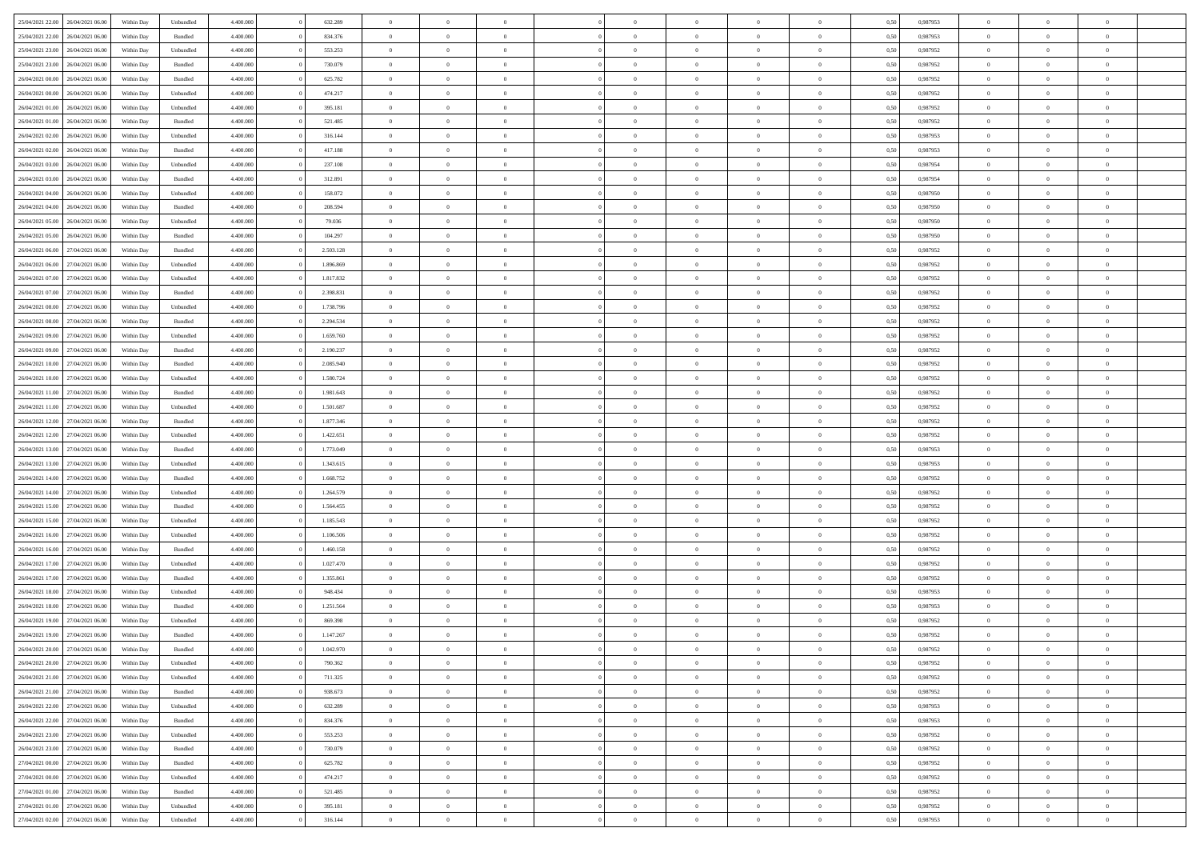| 25/04/2021 22:00                  | 26/04/2021 06:00 | Within Day | Unbundled          | 4.400.000 | 632.289   | $\overline{0}$ | $\Omega$       |                | $\Omega$       | $\Omega$       | $\Omega$       | $\theta$       | 0.50 | 0.987953 | $\theta$       | $\theta$       | $\theta$       |  |
|-----------------------------------|------------------|------------|--------------------|-----------|-----------|----------------|----------------|----------------|----------------|----------------|----------------|----------------|------|----------|----------------|----------------|----------------|--|
| 25/04/2021 22.00                  | 26/04/2021 06:00 | Within Day | Bundled            | 4.400.000 | 834.376   | $\overline{0}$ | $\theta$       | $\overline{0}$ | $\overline{0}$ | $\bf{0}$       | $\overline{0}$ | $\bf{0}$       | 0,50 | 0,987953 | $\theta$       | $\theta$       | $\overline{0}$ |  |
| 25/04/2021 23:00                  | 26/04/2021 06:00 | Within Day | Unbundled          | 4.400.000 | 553.253   | $\overline{0}$ | $\overline{0}$ | $\overline{0}$ | $\bf{0}$       | $\bf{0}$       | $\bf{0}$       | $\mathbf{0}$   | 0,50 | 0,987952 | $\overline{0}$ | $\overline{0}$ | $\overline{0}$ |  |
| 25/04/2021 23:00                  | 26/04/2021 06:00 | Within Dav | Bundled            | 4.400.000 | 730.079   | $\overline{0}$ | $\overline{0}$ | $\overline{0}$ | $\overline{0}$ | $\bf{0}$       | $\overline{0}$ | $\overline{0}$ | 0.50 | 0,987952 | $\theta$       | $\theta$       | $\overline{0}$ |  |
| 26/04/2021 00:00                  | 26/04/2021 06:00 | Within Day | Bundled            | 4.400.000 | 625.782   | $\overline{0}$ | $\theta$       | $\overline{0}$ | $\overline{0}$ | $\bf{0}$       | $\overline{0}$ | $\bf{0}$       | 0,50 | 0,987952 | $\theta$       | $\theta$       | $\overline{0}$ |  |
|                                   |                  |            |                    |           |           |                |                |                |                |                |                |                |      |          |                |                |                |  |
| 26/04/2021 00:00                  | 26/04/2021 06:00 | Within Day | Unbundled          | 4.400.000 | 474.217   | $\overline{0}$ | $\bf{0}$       | $\overline{0}$ | $\bf{0}$       | $\overline{0}$ | $\overline{0}$ | $\mathbf{0}$   | 0,50 | 0,987952 | $\overline{0}$ | $\overline{0}$ | $\bf{0}$       |  |
| 26/04/2021 01:00                  | 26/04/2021 06:00 | Within Dav | Unbundled          | 4.400.000 | 395.181   | $\overline{0}$ | $\overline{0}$ | $\overline{0}$ | $\overline{0}$ | $\overline{0}$ | $\overline{0}$ | $\overline{0}$ | 0.50 | 0,987952 | $\theta$       | $\overline{0}$ | $\overline{0}$ |  |
| 26/04/2021 01:00                  | 26/04/2021 06:00 | Within Day | Bundled            | 4.400.000 | 521.485   | $\overline{0}$ | $\theta$       | $\overline{0}$ | $\overline{0}$ | $\bf{0}$       | $\overline{0}$ | $\bf{0}$       | 0,50 | 0,987952 | $\theta$       | $\theta$       | $\overline{0}$ |  |
| 26/04/2021 02:00                  | 26/04/2021 06:00 | Within Day | Unbundled          | 4.400.000 | 316.144   | $\overline{0}$ | $\overline{0}$ | $\overline{0}$ | $\bf{0}$       | $\bf{0}$       | $\bf{0}$       | $\bf{0}$       | 0,50 | 0,987953 | $\,0\,$        | $\overline{0}$ | $\overline{0}$ |  |
| 26/04/2021 02:00                  | 26/04/2021 06:00 | Within Dav | Bundled            | 4.400.000 | 417.188   | $\overline{0}$ | $\overline{0}$ | $\overline{0}$ | $\overline{0}$ | $\overline{0}$ | $\overline{0}$ | $\overline{0}$ | 0.50 | 0,987953 | $\theta$       | $\overline{0}$ | $\overline{0}$ |  |
| 26/04/2021 03:00                  | 26/04/2021 06:00 | Within Day | Unbundled          | 4.400.000 | 237.108   | $\overline{0}$ | $\theta$       | $\overline{0}$ | $\overline{0}$ | $\bf{0}$       | $\overline{0}$ | $\bf{0}$       | 0,50 | 0,987954 | $\theta$       | $\overline{0}$ | $\overline{0}$ |  |
|                                   |                  |            |                    |           |           |                |                |                |                |                |                |                |      |          |                |                |                |  |
| 26/04/2021 03:00                  | 26/04/2021 06:00 | Within Day | Bundled            | 4.400.000 | 312.891   | $\overline{0}$ | $\overline{0}$ | $\overline{0}$ | $\bf{0}$       | $\bf{0}$       | $\bf{0}$       | $\bf{0}$       | 0,50 | 0,987954 | $\overline{0}$ | $\overline{0}$ | $\overline{0}$ |  |
| 26/04/2021 04:00                  | 26/04/2021 06:00 | Within Day | Unbundled          | 4.400.000 | 158.072   | $\overline{0}$ | $\overline{0}$ | $\overline{0}$ | $\overline{0}$ | $\bf{0}$       | $\overline{0}$ | $\overline{0}$ | 0.50 | 0,987950 | $\theta$       | $\theta$       | $\overline{0}$ |  |
| 26/04/2021 04:00                  | 26/04/2021 06:00 | Within Day | Bundled            | 4.400.000 | 208.594   | $\overline{0}$ | $\theta$       | $\overline{0}$ | $\overline{0}$ | $\bf{0}$       | $\overline{0}$ | $\bf{0}$       | 0,50 | 0,987950 | $\theta$       | $\overline{0}$ | $\overline{0}$ |  |
| 26/04/2021 05:00                  | 26/04/2021 06:00 | Within Day | Unbundled          | 4.400.000 | 79.036    | $\overline{0}$ | $\overline{0}$ | $\overline{0}$ | $\overline{0}$ | $\overline{0}$ | $\overline{0}$ | $\mathbf{0}$   | 0,50 | 0,987950 | $\overline{0}$ | $\overline{0}$ | $\bf{0}$       |  |
| 26/04/2021 05:00                  | 26/04/2021 06:00 | Within Dav | Bundled            | 4.400.000 | 104.297   | $\overline{0}$ | $\overline{0}$ | $\overline{0}$ | $\overline{0}$ | $\overline{0}$ | $\overline{0}$ | $\overline{0}$ | 0.50 | 0,987950 | $\theta$       | $\overline{0}$ | $\overline{0}$ |  |
| 26/04/2021 06:00                  | 27/04/2021 06.00 | Within Day | Bundled            | 4.400.000 | 2.503.128 | $\overline{0}$ | $\theta$       | $\overline{0}$ | $\overline{0}$ | $\bf{0}$       | $\overline{0}$ | $\bf{0}$       | 0,50 | 0,987952 | $\theta$       | $\theta$       | $\overline{0}$ |  |
| 26/04/2021 06:00                  | 27/04/2021 06:00 | Within Day | Unbundled          | 4.400.000 | 1.896.869 | $\overline{0}$ | $\overline{0}$ | $\overline{0}$ | $\overline{0}$ | $\bf{0}$       | $\overline{0}$ | $\bf{0}$       | 0,50 | 0,987952 | $\,0\,$        | $\overline{0}$ | $\overline{0}$ |  |
| 26/04/2021 07:00                  | 27/04/2021 06:00 |            | Unbundled          | 4.400.000 | 1.817.832 | $\overline{0}$ | $\overline{0}$ | $\overline{0}$ | $\overline{0}$ | $\overline{0}$ | $\overline{0}$ | $\overline{0}$ | 0.50 | 0,987952 | $\theta$       | $\overline{0}$ | $\overline{0}$ |  |
|                                   |                  | Within Day |                    |           |           |                |                |                |                |                |                |                |      |          |                |                |                |  |
| 26/04/2021 07:00                  | 27/04/2021 06.00 | Within Day | Bundled            | 4.400.000 | 2.398.831 | $\overline{0}$ | $\theta$       | $\overline{0}$ | $\overline{0}$ | $\bf{0}$       | $\overline{0}$ | $\bf{0}$       | 0,50 | 0,987952 | $\,$ 0 $\,$    | $\theta$       | $\overline{0}$ |  |
| 26/04/2021 08:00                  | 27/04/2021 06:00 | Within Day | Unbundled          | 4.400.000 | 1.738.796 | $\overline{0}$ | $\overline{0}$ | $\overline{0}$ | $\overline{0}$ | $\bf{0}$       | $\overline{0}$ | $\bf{0}$       | 0,50 | 0,987952 | $\bf{0}$       | $\overline{0}$ | $\overline{0}$ |  |
| 26/04/2021 08:00                  | 27/04/2021 06:00 | Within Day | Bundled            | 4.400.000 | 2.294.534 | $\overline{0}$ | $\overline{0}$ | $\overline{0}$ | $\overline{0}$ | $\bf{0}$       | $\overline{0}$ | $\overline{0}$ | 0.50 | 0,987952 | $\theta$       | $\theta$       | $\overline{0}$ |  |
| 26/04/2021 09:00                  | 27/04/2021 06.00 | Within Day | Unbundled          | 4.400.000 | 1.659.760 | $\overline{0}$ | $\theta$       | $\overline{0}$ | $\overline{0}$ | $\bf{0}$       | $\overline{0}$ | $\bf{0}$       | 0,50 | 0,987952 | $\theta$       | $\overline{0}$ | $\overline{0}$ |  |
| 26/04/2021 09:00                  | 27/04/2021 06:00 | Within Day | Bundled            | 4.400.000 | 2.190.237 | $\overline{0}$ | $\bf{0}$       | $\overline{0}$ | $\overline{0}$ | $\overline{0}$ | $\overline{0}$ | $\mathbf{0}$   | 0,50 | 0,987952 | $\overline{0}$ | $\overline{0}$ | $\bf{0}$       |  |
| 26/04/2021 10:00                  | 27/04/2021 06:00 | Within Dav | Bundled            | 4.400.000 | 2.085.940 | $\overline{0}$ | $\overline{0}$ | $\overline{0}$ | $\overline{0}$ | $\overline{0}$ | $\overline{0}$ | $\overline{0}$ | 0.50 | 0,987952 | $\theta$       | $\overline{0}$ | $\overline{0}$ |  |
|                                   |                  |            |                    |           |           | $\overline{0}$ | $\theta$       | $\overline{0}$ |                | $\bf{0}$       | $\overline{0}$ |                |      |          | $\theta$       | $\theta$       | $\overline{0}$ |  |
| 26/04/2021 10:00                  | 27/04/2021 06.00 | Within Day | Unbundled          | 4.400.000 | 1.580.724 |                |                |                | $\overline{0}$ |                |                | $\bf{0}$       | 0,50 | 0,987952 |                |                |                |  |
| 26/04/2021 11:00                  | 27/04/2021 06:00 | Within Day | Bundled            | 4.400.000 | 1.981.643 | $\overline{0}$ | $\overline{0}$ | $\overline{0}$ | $\overline{0}$ | $\bf{0}$       | $\overline{0}$ | $\bf{0}$       | 0,50 | 0,987952 | $\,0\,$        | $\overline{0}$ | $\overline{0}$ |  |
| 26/04/2021 11:00                  | 27/04/2021 06:00 | Within Day | Unbundled          | 4.400.000 | 1.501.687 | $\overline{0}$ | $\overline{0}$ | $\overline{0}$ | $\overline{0}$ | $\overline{0}$ | $\overline{0}$ | $\overline{0}$ | 0.50 | 0,987952 | $\theta$       | $\overline{0}$ | $\overline{0}$ |  |
| 26/04/2021 12:00                  | 27/04/2021 06.00 | Within Day | Bundled            | 4.400.000 | 1.877.346 | $\overline{0}$ | $\theta$       | $\overline{0}$ | $\overline{0}$ | $\bf{0}$       | $\overline{0}$ | $\bf{0}$       | 0,50 | 0,987952 | $\,$ 0 $\,$    | $\overline{0}$ | $\overline{0}$ |  |
| 26/04/2021 12:00                  | 27/04/2021 06:00 | Within Day | Unbundled          | 4.400.000 | 1.422.651 | $\overline{0}$ | $\overline{0}$ | $\overline{0}$ | $\overline{0}$ | $\bf{0}$       | $\overline{0}$ | $\bf{0}$       | 0,50 | 0,987952 | $\bf{0}$       | $\overline{0}$ | $\overline{0}$ |  |
| 26/04/2021 13:00                  | 27/04/2021 06.00 | Within Day | Bundled            | 4.400,000 | 1.773.049 | $\overline{0}$ | $\Omega$       | $\Omega$       | $\Omega$       | $\Omega$       | $\Omega$       | $\overline{0}$ | 0.50 | 0,987953 | $\,0\,$        | $\theta$       | $\theta$       |  |
| 26/04/2021 13:00                  | 27/04/2021 06.00 | Within Day | Unbundled          | 4.400.000 | 1.343.615 | $\overline{0}$ | $\theta$       | $\overline{0}$ | $\overline{0}$ | $\bf{0}$       | $\overline{0}$ | $\bf{0}$       | 0,50 | 0,987953 | $\theta$       | $\theta$       | $\overline{0}$ |  |
| 26/04/2021 14:00                  | 27/04/2021 06:00 | Within Day | Bundled            | 4.400.000 | 1.668.752 | $\overline{0}$ | $\overline{0}$ | $\overline{0}$ | $\bf{0}$       | $\bf{0}$       | $\overline{0}$ | $\mathbf{0}$   | 0,50 | 0,987952 | $\bf{0}$       | $\overline{0}$ | $\bf{0}$       |  |
|                                   |                  |            |                    |           |           |                |                |                |                |                |                |                |      |          |                |                |                |  |
| 26/04/2021 14:00                  | 27/04/2021 06:00 | Within Day | Unbundled          | 4.400,000 | 1.264.579 | $\overline{0}$ | $\Omega$       | $\Omega$       | $\Omega$       | $\bf{0}$       | $\overline{0}$ | $\overline{0}$ | 0.50 | 0,987952 | $\,0\,$        | $\theta$       | $\theta$       |  |
| 26/04/2021 15:00                  | 27/04/2021 06.00 | Within Day | Bundled            | 4.400.000 | 1.564.455 | $\overline{0}$ | $\theta$       | $\overline{0}$ | $\overline{0}$ | $\bf{0}$       | $\overline{0}$ | $\bf{0}$       | 0,50 | 0,987952 | $\theta$       | $\theta$       | $\overline{0}$ |  |
| 26/04/2021 15:00                  | 27/04/2021 06:00 | Within Day | Unbundled          | 4.400.000 | 1.185.543 | $\overline{0}$ | $\overline{0}$ | $\overline{0}$ | $\bf{0}$       | $\bf{0}$       | $\bf{0}$       | $\bf{0}$       | 0,50 | 0,987952 | $\,0\,$        | $\overline{0}$ | $\overline{0}$ |  |
| 26/04/2021 16:00                  | 27/04/2021 06:00 | Within Day | Unbundled          | 4.400,000 | 1.106.506 | $\overline{0}$ | $\Omega$       | $\Omega$       | $\Omega$       | $\theta$       | $\theta$       | $\overline{0}$ | 0.50 | 0.987952 | $\theta$       | $\theta$       | $\theta$       |  |
| 26/04/2021 16:00                  | 27/04/2021 06.00 | Within Day | Bundled            | 4.400.000 | 1.460.158 | $\overline{0}$ | $\theta$       | $\overline{0}$ | $\overline{0}$ | $\bf{0}$       | $\overline{0}$ | $\bf{0}$       | 0,50 | 0,987952 | $\,$ 0 $\,$    | $\overline{0}$ | $\overline{0}$ |  |
| 26/04/2021 17:00                  | 27/04/2021 06:00 | Within Day | Unbundled          | 4.400.000 | 1.027.470 | $\overline{0}$ | $\overline{0}$ | $\overline{0}$ | $\bf{0}$       | $\bf{0}$       | $\bf{0}$       | $\bf{0}$       | 0,50 | 0,987952 | $\bf{0}$       | $\overline{0}$ | $\overline{0}$ |  |
| 26/04/2021 17:00                  | 27/04/2021 06.00 | Within Day | Bundled            | 4.400,000 | 1.355.861 | $\overline{0}$ | $\Omega$       | $\Omega$       | $\Omega$       | $\Omega$       | $\overline{0}$ | $\overline{0}$ | 0.50 | 0,987952 | $\,0\,$        | $\theta$       | $\theta$       |  |
| 26/04/2021 18:00                  | 27/04/2021 06.00 |            |                    | 4.400.000 | 948.434   | $\overline{0}$ | $\theta$       | $\overline{0}$ | $\overline{0}$ | $\bf{0}$       | $\overline{0}$ |                |      | 0,987953 | $\,$ 0 $\,$    | $\overline{0}$ | $\overline{0}$ |  |
|                                   |                  | Within Day | Unbundled          |           |           |                |                |                |                |                |                | $\bf{0}$       | 0,50 |          |                |                |                |  |
| 26/04/2021 18:00                  | 27/04/2021 06:00 | Within Day | Bundled            | 4.400.000 | 1.251.564 | $\overline{0}$ | $\overline{0}$ | $\overline{0}$ | $\bf{0}$       | $\bf{0}$       | $\bf{0}$       | $\mathbf{0}$   | 0,50 | 0,987953 | $\bf{0}$       | $\overline{0}$ | $\bf{0}$       |  |
| 26/04/2021 19:00                  | 27/04/2021 06:00 | Within Day | Unbundled          | 4.400,000 | 869,398   | $\overline{0}$ | $\Omega$       | $\Omega$       | $\Omega$       | $\Omega$       | $\Omega$       | $\overline{0}$ | 0.50 | 0.987952 | $\theta$       | $\theta$       | $\theta$       |  |
| 26/04/2021 19:00                  | 27/04/2021 06:00 | Within Day | Bundled            | 4.400.000 | 1.147.267 | $\overline{0}$ | $\overline{0}$ | $\overline{0}$ | $\bf{0}$       | $\,$ 0         | $\bf{0}$       | $\bf{0}$       | 0,50 | 0,987952 | $\,0\,$        | $\overline{0}$ | $\overline{0}$ |  |
| 26/04/2021 20:00                  | 27/04/2021 06:00 | Within Day | $\mathbf B$ undled | 4.400.000 | 1.042.970 | $\bf{0}$       | $\bf{0}$       |                |                |                |                |                | 0,50 | 0,987952 | $\bf{0}$       | $\overline{0}$ |                |  |
| 26/04/2021 20:00 27/04/2021 06:00 |                  | Within Day | Unbundled          | 4.400.000 | 790,362   | $\overline{0}$ | $\overline{0}$ | $\overline{0}$ | $\Omega$       | $\overline{0}$ | $\overline{0}$ | $\overline{0}$ | 0.50 | 0.987952 | $\theta$       | $\theta$       | $\theta$       |  |
| 26/04/2021 21:00                  | 27/04/2021 06.00 | Within Day | Unbundled          | 4.400.000 | 711.325   | $\overline{0}$ | $\bf{0}$       | $\overline{0}$ | $\bf{0}$       | $\,$ 0 $\,$    | $\overline{0}$ | $\,$ 0 $\,$    | 0,50 | 0,987952 | $\,$ 0 $\,$    | $\,$ 0 $\,$    | $\,$ 0         |  |
| 26/04/2021 21.00                  | 27/04/2021 06:00 | Within Day | Bundled            | 4.400.000 | 938.673   | $\overline{0}$ | $\overline{0}$ | $\overline{0}$ | $\overline{0}$ | $\overline{0}$ | $\overline{0}$ | $\mathbf{0}$   | 0,50 | 0,987952 | $\overline{0}$ | $\overline{0}$ | $\overline{0}$ |  |
|                                   |                  |            |                    |           |           |                |                |                |                |                |                |                |      |          |                |                |                |  |
| 26/04/2021 22:00                  | 27/04/2021 06:00 | Within Day | Unbundled          | 4.400.000 | 632.289   | $\overline{0}$ | $\overline{0}$ | $\overline{0}$ | $\Omega$       | $\overline{0}$ | $\overline{0}$ | $\overline{0}$ | 0,50 | 0,987953 | $\overline{0}$ | $\theta$       | $\overline{0}$ |  |
| 26/04/2021 22.00                  | 27/04/2021 06.00 | Within Day | Bundled            | 4.400.000 | 834.376   | $\overline{0}$ | $\,$ 0         | $\overline{0}$ | $\bf{0}$       | $\,$ 0 $\,$    | $\overline{0}$ | $\,$ 0 $\,$    | 0,50 | 0,987953 | $\,$ 0 $\,$    | $\overline{0}$ | $\overline{0}$ |  |
| 26/04/2021 23.00                  | 27/04/2021 06:00 | Within Day | Unbundled          | 4.400.000 | 553.253   | $\overline{0}$ | $\overline{0}$ | $\overline{0}$ | $\overline{0}$ | $\overline{0}$ | $\overline{0}$ | $\mathbf{0}$   | 0,50 | 0,987952 | $\overline{0}$ | $\overline{0}$ | $\overline{0}$ |  |
| 26/04/2021 23:00                  | 27/04/2021 06:00 | Within Day | Bundled            | 4.400,000 | 730.079   | $\overline{0}$ | $\overline{0}$ | $\overline{0}$ | $\overline{0}$ | $\overline{0}$ | $\overline{0}$ | $\overline{0}$ | 0.50 | 0,987952 | $\overline{0}$ | $\theta$       | $\overline{0}$ |  |
| 27/04/2021 00:00                  | 27/04/2021 06:00 | Within Day | Bundled            | 4.400.000 | 625.782   | $\overline{0}$ | $\,$ 0         | $\overline{0}$ | $\bf{0}$       | $\bf{0}$       | $\overline{0}$ | $\bf{0}$       | 0,50 | 0,987952 | $\,$ 0 $\,$    | $\overline{0}$ | $\overline{0}$ |  |
| 27/04/2021 00:00                  | 27/04/2021 06:00 | Within Day | Unbundled          | 4.400.000 | 474.217   | $\overline{0}$ | $\bf{0}$       | $\overline{0}$ | $\overline{0}$ | $\overline{0}$ | $\overline{0}$ | $\mathbf{0}$   | 0,50 | 0,987952 | $\overline{0}$ | $\overline{0}$ | $\bf{0}$       |  |
| 27/04/2021 01:00                  | 27/04/2021 06:00 | Within Day | Bundled            | 4.400,000 | 521.485   | $\overline{0}$ | $\overline{0}$ | $\overline{0}$ | $\Omega$       | $\overline{0}$ | $\overline{0}$ | $\overline{0}$ | 0.50 | 0,987952 | $\overline{0}$ | $\overline{0}$ | $\overline{0}$ |  |
|                                   |                  |            |                    |           |           |                |                |                |                |                |                |                |      |          |                |                |                |  |
| 27/04/2021 01:00                  | 27/04/2021 06.00 | Within Day | Unbundled          | 4.400.000 | 395.181   | $\overline{0}$ | $\bf{0}$       | $\overline{0}$ | $\overline{0}$ | $\bf{0}$       | $\overline{0}$ | $\mathbf{0}$   | 0,50 | 0,987952 | $\,$ 0 $\,$    | $\,$ 0 $\,$    | $\bf{0}$       |  |
| 27/04/2021 02.00 27/04/2021 06.00 |                  | Within Day | Unbundled          | 4.400.000 | 316.144   | $\overline{0}$ | $\bf{0}$       | $\overline{0}$ | $\overline{0}$ | $\bf{0}$       | $\overline{0}$ | $\bf{0}$       | 0,50 | 0,987953 | $\overline{0}$ | $\overline{0}$ | $\bf{0}$       |  |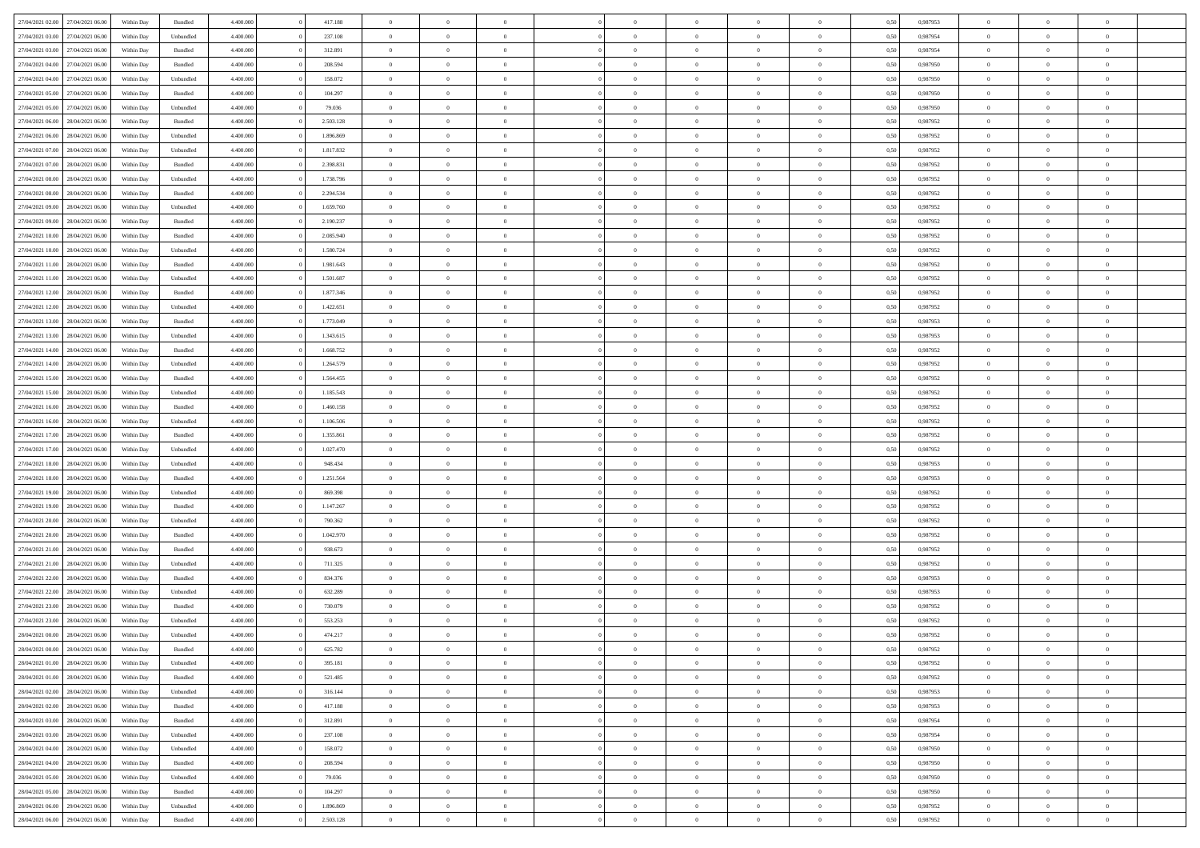|                  |                  |            |                    |           |           | $\overline{0}$ | $\Omega$       |                |                | $\Omega$       | $\Omega$       | $\theta$       |      |          | $\theta$       | $\theta$       | $\theta$       |  |
|------------------|------------------|------------|--------------------|-----------|-----------|----------------|----------------|----------------|----------------|----------------|----------------|----------------|------|----------|----------------|----------------|----------------|--|
| 27/04/2021 02:00 | 27/04/2021 06:00 | Within Day | Bundled            | 4.400.000 | 417.188   |                |                |                | $\Omega$       |                |                |                | 0.50 | 0.987953 |                |                |                |  |
| 27/04/2021 03:00 | 27/04/2021 06.00 | Within Day | Unbundled          | 4.400.000 | 237.108   | $\overline{0}$ | $\theta$       | $\overline{0}$ | $\overline{0}$ | $\bf{0}$       | $\overline{0}$ | $\bf{0}$       | 0,50 | 0,987954 | $\theta$       | $\theta$       | $\overline{0}$ |  |
| 27/04/2021 03:00 | 27/04/2021 06:00 | Within Day | Bundled            | 4.400.000 | 312.891   | $\overline{0}$ | $\overline{0}$ | $\overline{0}$ | $\overline{0}$ | $\bf{0}$       | $\overline{0}$ | $\bf{0}$       | 0,50 | 0,987954 | $\bf{0}$       | $\overline{0}$ | $\overline{0}$ |  |
| 27/04/2021 04:00 | 27/04/2021 06:00 | Within Dav | Bundled            | 4.400.000 | 208,594   | $\overline{0}$ | $\overline{0}$ | $\overline{0}$ | $\overline{0}$ | $\bf{0}$       | $\overline{0}$ | $\overline{0}$ | 0.50 | 0,987950 | $\theta$       | $\theta$       | $\overline{0}$ |  |
| 27/04/2021 04:00 | 27/04/2021 06.00 |            |                    | 4.400.000 | 158.072   | $\overline{0}$ | $\theta$       | $\overline{0}$ | $\overline{0}$ | $\bf{0}$       | $\overline{0}$ |                |      | 0,987950 | $\theta$       | $\theta$       | $\overline{0}$ |  |
|                  |                  | Within Day | Unbundled          |           |           |                |                |                |                |                |                | $\bf{0}$       | 0,50 |          |                |                |                |  |
| 27/04/2021 05:00 | 27/04/2021 06:00 | Within Day | Bundled            | 4.400.000 | 104.297   | $\overline{0}$ | $\bf{0}$       | $\overline{0}$ | $\bf{0}$       | $\overline{0}$ | $\overline{0}$ | $\mathbf{0}$   | 0,50 | 0,987950 | $\overline{0}$ | $\overline{0}$ | $\bf{0}$       |  |
| 27/04/2021 05:00 | 27/04/2021 06:00 | Within Dav | Unbundled          | 4.400.000 | 79.036    | $\overline{0}$ | $\overline{0}$ | $\overline{0}$ | $\overline{0}$ | $\overline{0}$ | $\overline{0}$ | $\overline{0}$ | 0.50 | 0,987950 | $\theta$       | $\overline{0}$ | $\overline{0}$ |  |
| 27/04/2021 06:00 | 28/04/2021 06:00 | Within Day | Bundled            | 4.400.000 | 2.503.128 | $\overline{0}$ | $\theta$       | $\overline{0}$ | $\overline{0}$ | $\bf{0}$       | $\overline{0}$ | $\bf{0}$       | 0,50 | 0,987952 | $\theta$       | $\theta$       | $\overline{0}$ |  |
| 27/04/2021 06:00 | 28/04/2021 06:00 | Within Day | Unbundled          | 4.400.000 | 1.896.869 | $\overline{0}$ | $\overline{0}$ | $\overline{0}$ | $\bf{0}$       | $\bf{0}$       | $\bf{0}$       | $\bf{0}$       | 0,50 | 0,987952 | $\,0\,$        | $\overline{0}$ | $\overline{0}$ |  |
| 27/04/2021 07:00 | 28/04/2021 06:00 | Within Dav | Unbundled          | 4.400.000 | 1.817.832 | $\overline{0}$ | $\overline{0}$ | $\overline{0}$ | $\overline{0}$ | $\overline{0}$ | $\overline{0}$ | $\overline{0}$ | 0.50 | 0,987952 | $\theta$       | $\overline{0}$ | $\overline{0}$ |  |
|                  |                  |            |                    |           |           |                |                |                |                |                |                |                |      |          |                |                |                |  |
| 27/04/2021 07:00 | 28/04/2021 06:00 | Within Day | Bundled            | 4.400.000 | 2.398.831 | $\overline{0}$ | $\theta$       | $\overline{0}$ | $\overline{0}$ | $\bf{0}$       | $\overline{0}$ | $\bf{0}$       | 0,50 | 0,987952 | $\,$ 0 $\,$    | $\theta$       | $\overline{0}$ |  |
| 27/04/2021 08:00 | 28/04/2021 06:00 | Within Day | Unbundled          | 4.400.000 | 1.738.796 | $\overline{0}$ | $\overline{0}$ | $\overline{0}$ | $\bf{0}$       | $\bf{0}$       | $\bf{0}$       | $\bf{0}$       | 0,50 | 0,987952 | $\overline{0}$ | $\overline{0}$ | $\overline{0}$ |  |
| 27/04/2021 08:00 | 28/04/2021 06:00 | Within Day | Bundled            | 4.400.000 | 2.294.534 | $\overline{0}$ | $\overline{0}$ | $\overline{0}$ | $\overline{0}$ | $\bf{0}$       | $\overline{0}$ | $\overline{0}$ | 0.50 | 0,987952 | $\theta$       | $\theta$       | $\overline{0}$ |  |
| 27/04/2021 09:00 | 28/04/2021 06:00 | Within Day | Unbundled          | 4.400.000 | 1.659.760 | $\overline{0}$ | $\theta$       | $\overline{0}$ | $\overline{0}$ | $\bf{0}$       | $\overline{0}$ | $\bf{0}$       | 0,50 | 0,987952 | $\theta$       | $\theta$       | $\overline{0}$ |  |
| 27/04/2021 09:00 | 28/04/2021 06:00 | Within Day | Bundled            | 4.400.000 | 2.190.237 | $\overline{0}$ | $\overline{0}$ | $\overline{0}$ | $\bf{0}$       | $\overline{0}$ | $\overline{0}$ | $\mathbf{0}$   | 0,50 | 0,987952 | $\bf{0}$       | $\overline{0}$ | $\bf{0}$       |  |
|                  |                  |            |                    |           |           |                |                |                |                |                |                |                |      |          |                |                |                |  |
| 27/04/2021 10:00 | 28/04/2021 06:00 | Within Dav | Bundled            | 4.400.000 | 2.085.940 | $\overline{0}$ | $\overline{0}$ | $\overline{0}$ | $\overline{0}$ | $\overline{0}$ | $\overline{0}$ | $\overline{0}$ | 0.50 | 0,987952 | $\theta$       | $\overline{0}$ | $\overline{0}$ |  |
| 27/04/2021 10:00 | 28/04/2021 06:00 | Within Day | Unbundled          | 4.400.000 | 1.580.724 | $\overline{0}$ | $\theta$       | $\overline{0}$ | $\overline{0}$ | $\bf{0}$       | $\overline{0}$ | $\bf{0}$       | 0,50 | 0,987952 | $\theta$       | $\theta$       | $\overline{0}$ |  |
| 27/04/2021 11:00 | 28/04/2021 06:00 | Within Day | Bundled            | 4.400.000 | 1.981.643 | $\overline{0}$ | $\overline{0}$ | $\overline{0}$ | $\bf{0}$       | $\bf{0}$       | $\bf{0}$       | $\bf{0}$       | 0,50 | 0,987952 | $\,0\,$        | $\overline{0}$ | $\overline{0}$ |  |
| 27/04/2021 11:00 | 28/04/2021 06:00 | Within Day | Unbundled          | 4.400.000 | 1.501.687 | $\overline{0}$ | $\overline{0}$ | $\overline{0}$ | $\overline{0}$ | $\overline{0}$ | $\overline{0}$ | $\overline{0}$ | 0.50 | 0,987952 | $\theta$       | $\overline{0}$ | $\overline{0}$ |  |
| 27/04/2021 12:00 | 28/04/2021 06:00 | Within Day | Bundled            | 4.400.000 | 1.877.346 | $\overline{0}$ | $\theta$       | $\overline{0}$ | $\overline{0}$ | $\bf{0}$       | $\overline{0}$ | $\bf{0}$       | 0,50 | 0,987952 | $\,$ 0 $\,$    | $\theta$       | $\overline{0}$ |  |
| 27/04/2021 12:00 | 28/04/2021 06:00 | Within Day | Unbundled          | 4.400.000 | 1.422.651 | $\overline{0}$ | $\overline{0}$ | $\overline{0}$ | $\bf{0}$       | $\bf{0}$       | $\bf{0}$       | $\bf{0}$       | 0,50 | 0,987952 | $\bf{0}$       | $\overline{0}$ | $\overline{0}$ |  |
|                  |                  |            |                    |           |           |                |                |                |                |                |                |                |      |          |                |                |                |  |
| 27/04/2021 13:00 | 28/04/2021 06:00 | Within Day | Bundled            | 4.400.000 | 1.773.049 | $\overline{0}$ | $\overline{0}$ | $\overline{0}$ | $\overline{0}$ | $\bf{0}$       | $\overline{0}$ | $\overline{0}$ | 0.50 | 0,987953 | $\theta$       | $\theta$       | $\overline{0}$ |  |
| 27/04/2021 13:00 | 28/04/2021 06:00 | Within Day | Unbundled          | 4.400.000 | 1.343.615 | $\overline{0}$ | $\theta$       | $\overline{0}$ | $\overline{0}$ | $\bf{0}$       | $\overline{0}$ | $\bf{0}$       | 0,50 | 0,987953 | $\theta$       | $\overline{0}$ | $\overline{0}$ |  |
| 27/04/2021 14:00 | 28/04/2021 06:00 | Within Day | Bundled            | 4.400.000 | 1.668.752 | $\overline{0}$ | $\bf{0}$       | $\overline{0}$ | $\bf{0}$       | $\overline{0}$ | $\overline{0}$ | $\mathbf{0}$   | 0,50 | 0,987952 | $\bf{0}$       | $\overline{0}$ | $\bf{0}$       |  |
| 27/04/2021 14:00 | 28/04/2021 06:00 | Within Day | Unbundled          | 4.400.000 | 1.264.579 | $\overline{0}$ | $\overline{0}$ | $\overline{0}$ | $\overline{0}$ | $\overline{0}$ | $\overline{0}$ | $\overline{0}$ | 0.50 | 0,987952 | $\theta$       | $\overline{0}$ | $\overline{0}$ |  |
| 27/04/2021 15:00 | 28/04/2021 06:00 | Within Day | Bundled            | 4.400.000 | 1.564.455 | $\overline{0}$ | $\theta$       | $\overline{0}$ | $\overline{0}$ | $\bf{0}$       | $\overline{0}$ | $\bf{0}$       | 0,50 | 0,987952 | $\theta$       | $\theta$       | $\overline{0}$ |  |
| 27/04/2021 15:00 | 28/04/2021 06:00 | Within Day | Unbundled          | 4.400.000 | 1.185.543 | $\overline{0}$ | $\overline{0}$ | $\overline{0}$ | $\bf{0}$       | $\bf{0}$       | $\bf{0}$       | $\bf{0}$       | 0,50 | 0,987952 | $\,0\,$        | $\overline{0}$ | $\overline{0}$ |  |
|                  |                  |            |                    |           |           |                |                |                |                | $\overline{0}$ |                |                |      |          | $\theta$       | $\overline{0}$ | $\overline{0}$ |  |
| 27/04/2021 16:00 | 28/04/2021 06:00 | Within Day | Bundled            | 4.400.000 | 1.460.158 | $\overline{0}$ | $\overline{0}$ | $\overline{0}$ | $\overline{0}$ |                | $\overline{0}$ | $\overline{0}$ | 0.50 | 0,987952 |                |                |                |  |
| 27/04/2021 16:00 | 28/04/2021 06:00 | Within Day | Unbundled          | 4.400.000 | 1.106.506 | $\overline{0}$ | $\theta$       | $\overline{0}$ | $\overline{0}$ | $\bf{0}$       | $\overline{0}$ | $\bf{0}$       | 0,50 | 0,987952 | $\,$ 0 $\,$    | $\overline{0}$ | $\overline{0}$ |  |
| 27/04/2021 17:00 | 28/04/2021 06:00 | Within Day | Bundled            | 4.400.000 | 1.355.861 | $\overline{0}$ | $\overline{0}$ | $\overline{0}$ | $\bf{0}$       | $\bf{0}$       | $\bf{0}$       | $\bf{0}$       | 0,50 | 0,987952 | $\bf{0}$       | $\overline{0}$ | $\overline{0}$ |  |
| 27/04/2021 17:00 | 28/04/2021 06:00 | Within Day | Unbundled          | 4.400,000 | 1.027.470 | $\overline{0}$ | $\Omega$       | $\Omega$       | $\Omega$       | $\Omega$       | $\Omega$       | $\overline{0}$ | 0.50 | 0,987952 | $\,0\,$        | $\theta$       | $\theta$       |  |
| 27/04/2021 18:00 | 28/04/2021 06:00 | Within Day | Unbundled          | 4.400.000 | 948.434   | $\overline{0}$ | $\theta$       | $\overline{0}$ | $\overline{0}$ | $\bf{0}$       | $\overline{0}$ | $\bf{0}$       | 0,50 | 0,987953 | $\theta$       | $\theta$       | $\overline{0}$ |  |
| 27/04/2021 18:00 | 28/04/2021 06:00 | Within Day | Bundled            | 4.400.000 | 1.251.564 | $\overline{0}$ | $\overline{0}$ | $\overline{0}$ | $\bf{0}$       | $\bf{0}$       | $\overline{0}$ | $\mathbf{0}$   | 0,50 | 0,987953 | $\bf{0}$       | $\overline{0}$ | $\bf{0}$       |  |
|                  | 28/04/2021 06:00 |            |                    | 4.400,000 | 869,398   | $\overline{0}$ | $\Omega$       | $\Omega$       | $\Omega$       | $\bf{0}$       | $\overline{0}$ | $\overline{0}$ | 0.50 |          | $\,0\,$        | $\theta$       | $\theta$       |  |
| 27/04/2021 19:00 |                  | Within Day | Unbundled          |           |           |                |                |                |                |                |                |                |      | 0,987952 |                |                |                |  |
| 27/04/2021 19:00 | 28/04/2021 06:00 | Within Day | Bundled            | 4.400.000 | 1.147.267 | $\overline{0}$ | $\theta$       | $\overline{0}$ | $\overline{0}$ | $\bf{0}$       | $\overline{0}$ | $\bf{0}$       | 0,50 | 0,987952 | $\theta$       | $\theta$       | $\overline{0}$ |  |
| 27/04/2021 20:00 | 28/04/2021 06:00 | Within Day | Unbundled          | 4.400.000 | 790.362   | $\overline{0}$ | $\overline{0}$ | $\overline{0}$ | $\bf{0}$       | $\bf{0}$       | $\bf{0}$       | $\bf{0}$       | 0,50 | 0,987952 | $\,0\,$        | $\overline{0}$ | $\overline{0}$ |  |
| 27/04/2021 20:00 | 28/04/2021 06:00 | Within Day | Bundled            | 4.400,000 | 1.042.970 | $\overline{0}$ | $\Omega$       | $\Omega$       | $\Omega$       | $\Omega$       | $\theta$       | $\overline{0}$ | 0.50 | 0.987952 | $\theta$       | $\theta$       | $\theta$       |  |
| 27/04/2021 21:00 | 28/04/2021 06:00 | Within Day | Bundled            | 4.400.000 | 938.673   | $\overline{0}$ | $\theta$       | $\overline{0}$ | $\overline{0}$ | $\bf{0}$       | $\overline{0}$ | $\bf{0}$       | 0,50 | 0,987952 | $\,$ 0 $\,$    | $\overline{0}$ | $\overline{0}$ |  |
| 27/04/2021 21:00 | 28/04/2021 06:00 | Within Day | Unbundled          | 4.400.000 | 711.325   | $\overline{0}$ | $\overline{0}$ | $\overline{0}$ | $\bf{0}$       | $\bf{0}$       | $\bf{0}$       | $\bf{0}$       | 0,50 | 0,987952 | $\bf{0}$       | $\overline{0}$ | $\overline{0}$ |  |
| 27/04/2021 22:00 | 28/04/2021 06:00 |            |                    | 4.400,000 | 834.376   | $\overline{0}$ | $\Omega$       | $\Omega$       | $\Omega$       | $\Omega$       | $\overline{0}$ | $\overline{0}$ | 0.50 | 0,987953 | $\,0\,$        | $\theta$       | $\theta$       |  |
|                  |                  | Within Day | Bundled            |           |           |                |                |                |                |                |                |                |      |          |                |                |                |  |
| 27/04/2021 22.00 | 28/04/2021 06:00 | Within Day | Unbundled          | 4.400.000 | 632.289   | $\overline{0}$ | $\theta$       | $\overline{0}$ | $\overline{0}$ | $\bf{0}$       | $\overline{0}$ | $\bf{0}$       | 0,50 | 0,987953 | $\,$ 0 $\,$    | $\overline{0}$ | $\overline{0}$ |  |
| 27/04/2021 23:00 | 28/04/2021 06:00 | Within Day | Bundled            | 4.400.000 | 730.079   | $\overline{0}$ | $\overline{0}$ | $\overline{0}$ | $\bf{0}$       | $\bf{0}$       | $\bf{0}$       | $\mathbf{0}$   | 0,50 | 0,987952 | $\bf{0}$       | $\overline{0}$ | $\bf{0}$       |  |
| 27/04/2021 23:00 | 28/04/2021 06:00 | Within Day | Unbundled          | 4.400,000 | 553.253   | $\overline{0}$ | $\Omega$       | $\Omega$       | $\Omega$       | $\Omega$       | $\Omega$       | $\overline{0}$ | 0.50 | 0.987952 | $\theta$       | $\theta$       | $\theta$       |  |
| 28/04/2021 00:00 | 28/04/2021 06:00 | Within Day | Unbundled          | 4.400.000 | 474.217   | $\overline{0}$ | $\overline{0}$ | $\overline{0}$ | $\bf{0}$       | $\,$ 0         | $\bf{0}$       | $\bf{0}$       | 0,50 | 0,987952 | $\,0\,$        | $\overline{0}$ | $\overline{0}$ |  |
| 28/04/2021 00:00 | 28/04/2021 06:00 | Within Day | $\mathbf B$ undled | 4.400.000 | 625.782   | $\bf{0}$       | $\bf{0}$       |                |                |                |                |                | 0,50 | 0,987952 | $\bf{0}$       | $\overline{0}$ |                |  |
| 28/04/2021 01:00 | 28/04/2021 06:00 | Within Day | Unbundled          | 4.400.000 | 395.181   | $\overline{0}$ | $\overline{0}$ | $\overline{0}$ | $\Omega$       | $\overline{0}$ | $\overline{0}$ | $\overline{0}$ | 0,50 | 0.987952 | $\theta$       | $\theta$       | $\Omega$       |  |
| 28/04/2021 01:00 | 28/04/2021 06:00 | Within Day | Bundled            | 4.400.000 | 521.485   | $\overline{0}$ | $\bf{0}$       | $\overline{0}$ | $\bf{0}$       | $\,$ 0 $\,$    | $\overline{0}$ | $\,$ 0 $\,$    | 0,50 | 0,987952 | $\,$ 0 $\,$    | $\,$ 0 $\,$    | $\,$ 0         |  |
|                  |                  |            |                    |           |           |                |                |                |                |                |                |                |      |          |                |                |                |  |
| 28/04/2021 02:00 | 28/04/2021 06:00 | Within Day | Unbundled          | 4.400.000 | 316.144   | $\overline{0}$ | $\overline{0}$ | $\overline{0}$ | $\overline{0}$ | $\overline{0}$ | $\overline{0}$ | $\mathbf{0}$   | 0,50 | 0,987953 | $\overline{0}$ | $\bf{0}$       | $\overline{0}$ |  |
| 28/04/2021 02:00 | 28/04/2021 06:00 | Within Day | $\mathbf B$ undled | 4.400.000 | 417.188   | $\overline{0}$ | $\overline{0}$ | $\overline{0}$ | $\Omega$       | $\overline{0}$ | $\overline{0}$ | $\overline{0}$ | 0,50 | 0,987953 | $\overline{0}$ | $\theta$       | $\overline{0}$ |  |
| 28/04/2021 03:00 | 28/04/2021 06:00 | Within Day | Bundled            | 4.400.000 | 312.891   | $\overline{0}$ | $\,$ 0         | $\overline{0}$ | $\bf{0}$       | $\,$ 0 $\,$    | $\overline{0}$ | $\,$ 0 $\,$    | 0,50 | 0,987954 | $\,$ 0 $\,$    | $\overline{0}$ | $\,$ 0         |  |
| 28/04/2021 03:00 | 28/04/2021 06:00 | Within Day | Unbundled          | 4.400.000 | 237.108   | $\overline{0}$ | $\overline{0}$ | $\overline{0}$ | $\overline{0}$ | $\overline{0}$ | $\overline{0}$ | $\mathbf{0}$   | 0,50 | 0,987954 | $\overline{0}$ | $\overline{0}$ | $\overline{0}$ |  |
| 28/04/2021 04:00 | 28/04/2021 06:00 | Within Day | Unbundled          | 4.400.000 | 158.072   | $\overline{0}$ | $\overline{0}$ | $\overline{0}$ | $\overline{0}$ | $\overline{0}$ | $\overline{0}$ | $\overline{0}$ | 0.50 | 0,987950 | $\overline{0}$ | $\theta$       | $\overline{0}$ |  |
| 28/04/2021 04:00 | 28/04/2021 06:00 | Within Day | Bundled            | 4.400.000 | 208.594   | $\overline{0}$ | $\,$ 0         | $\overline{0}$ | $\bf{0}$       | $\bf{0}$       | $\bf{0}$       | $\bf{0}$       | 0,50 | 0,987950 | $\,$ 0 $\,$    | $\overline{0}$ | $\overline{0}$ |  |
|                  |                  |            |                    |           |           |                |                |                |                |                |                |                |      |          |                |                |                |  |
| 28/04/2021 05:00 | 28/04/2021 06:00 | Within Day | Unbundled          | 4.400.000 | 79.036    | $\overline{0}$ | $\bf{0}$       | $\overline{0}$ | $\overline{0}$ | $\overline{0}$ | $\overline{0}$ | $\mathbf{0}$   | 0,50 | 0,987950 | $\overline{0}$ | $\overline{0}$ | $\bf{0}$       |  |
| 28/04/2021 05:00 | 28/04/2021 06:00 | Within Day | Bundled            | 4.400,000 | 104.297   | $\overline{0}$ | $\overline{0}$ | $\overline{0}$ | $\Omega$       | $\overline{0}$ | $\overline{0}$ | $\overline{0}$ | 0.50 | 0,987950 | $\overline{0}$ | $\overline{0}$ | $\overline{0}$ |  |
| 28/04/2021 06:00 | 29/04/2021 06.00 | Within Day | Unbundled          | 4.400.000 | 1.896.869 | $\overline{0}$ | $\bf{0}$       | $\overline{0}$ | $\bf{0}$       | $\bf{0}$       | $\bf{0}$       | $\mathbf{0}$   | 0,50 | 0,987952 | $\,$ 0 $\,$    | $\,$ 0 $\,$    | $\bf{0}$       |  |
| 28/04/2021 06:00 | 29/04/2021 06:00 | Within Day | Bundled            | 4.400.000 | 2.503.128 | $\overline{0}$ | $\overline{0}$ | $\overline{0}$ | $\overline{0}$ | $\overline{0}$ | $\bf{0}$       | $\mathbf{0}$   | 0,50 | 0,987952 | $\overline{0}$ | $\bf{0}$       | $\overline{0}$ |  |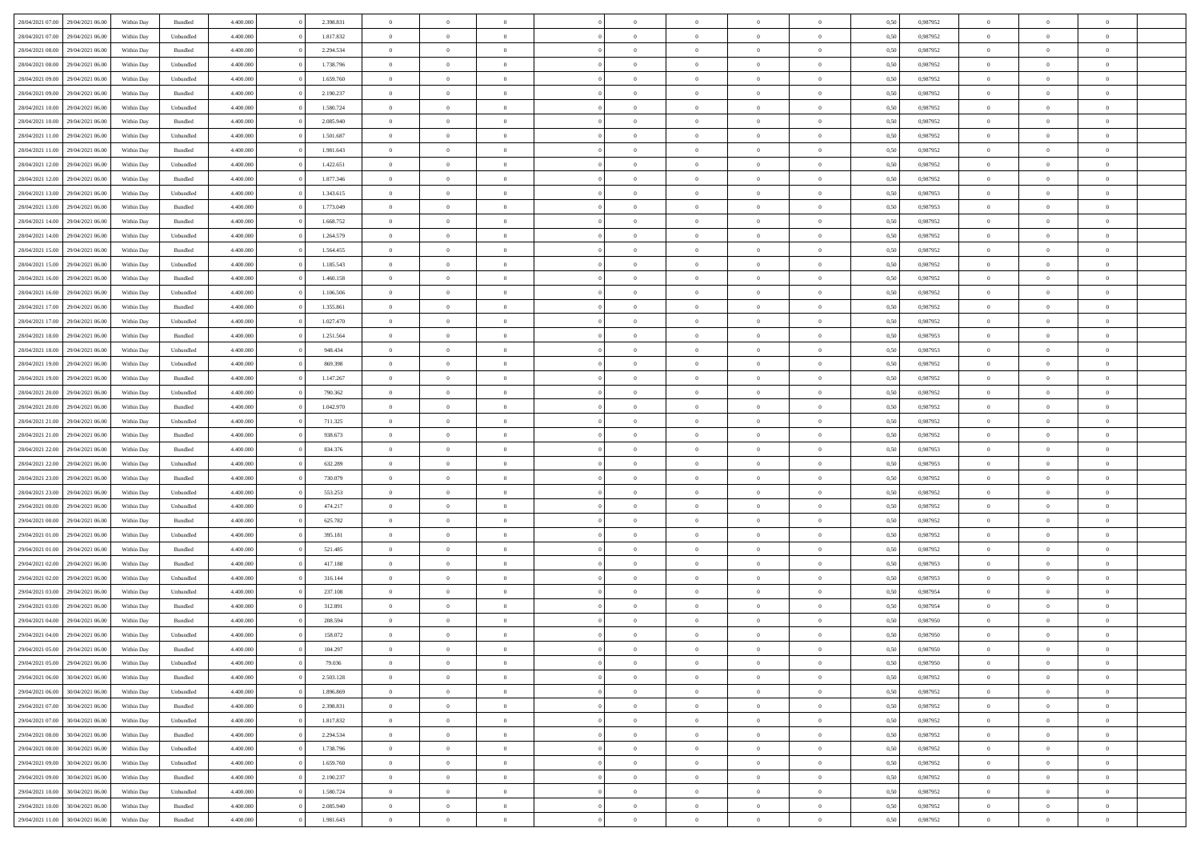| 28/04/2021 07:00 29/04/2021 06:00                                            | Within Day               | Bundled              | 4.400.000 | 2.398.831              | $\overline{0}$ | $\overline{0}$             | $\Omega$                         | $\Omega$                         | $\theta$       | $\Omega$                         | $\overline{0}$       | 0,50         | 0,987952             | $\theta$       | $\theta$       | $\theta$       |  |
|------------------------------------------------------------------------------|--------------------------|----------------------|-----------|------------------------|----------------|----------------------------|----------------------------------|----------------------------------|----------------|----------------------------------|----------------------|--------------|----------------------|----------------|----------------|----------------|--|
| 28/04/2021 07:00<br>29/04/2021 06:00                                         | Within Day               | Unbundled            | 4.400.000 | 1.817.832              | $\overline{0}$ | $\overline{0}$             | $\overline{0}$                   | $\overline{0}$                   | $\theta$       | $\overline{0}$                   | $\bf{0}$             | 0,50         | 0,987952             | $\theta$       | $\theta$       | $\overline{0}$ |  |
| 28/04/2021 08:00<br>29/04/2021 06.00                                         | Within Day               | Bundled              | 4.400.000 | 2.294.534              | $\overline{0}$ | $\bf{0}$                   | $\overline{0}$                   | $\overline{0}$                   | $\overline{0}$ | $\overline{0}$                   | $\bf{0}$             | 0,50         | 0,987952             | $\bf{0}$       | $\overline{0}$ | $\overline{0}$ |  |
| 28/04/2021 08:00<br>29/04/2021 06:00                                         | Within Day               | Unbundled            | 4.400.000 | 1.738.796              | $\overline{0}$ | $\overline{0}$             | $\overline{0}$                   | $\overline{0}$                   | $\theta$       | $\overline{0}$                   | $\overline{0}$       | 0.50         | 0,987952             | $\theta$       | $\theta$       | $\overline{0}$ |  |
| 28/04/2021 09:00<br>29/04/2021 06:00                                         | Within Day               | Unbundled            | 4.400.000 | 1.659.760              | $\overline{0}$ | $\overline{0}$             | $\overline{0}$                   | $\overline{0}$                   | $\theta$       | $\overline{0}$                   | $\bf{0}$             | 0,50         | 0,987952             | $\theta$       | $\theta$       | $\overline{0}$ |  |
| 28/04/2021 09:00<br>29/04/2021 06.00                                         | Within Day               | Bundled              | 4.400.000 | 2.190.237              | $\overline{0}$ | $\bf{0}$                   | $\overline{0}$                   | $\overline{0}$                   | $\overline{0}$ | $\overline{0}$                   | $\bf{0}$             | 0,50         | 0,987952             | $\overline{0}$ | $\overline{0}$ | $\bf{0}$       |  |
| 28/04/2021 10:00<br>29/04/2021 06:00                                         | Within Day               | Unbundled            | 4.400.000 | 1.580.724              | $\overline{0}$ | $\overline{0}$             | $\overline{0}$                   | $\overline{0}$                   | $\overline{0}$ | $\overline{0}$                   | $\overline{0}$       | 0.5(         | 0,987952             | $\theta$       | $\theta$       | $\overline{0}$ |  |
|                                                                              |                          |                      |           |                        |                |                            |                                  |                                  |                |                                  |                      |              |                      |                |                |                |  |
| 28/04/2021 10:00<br>29/04/2021 06:00                                         | Within Day               | Bundled              | 4.400.000 | 2.085.940              | $\overline{0}$ | $\theta$                   | $\overline{0}$                   | $\overline{0}$                   | $\theta$       | $\overline{0}$                   | $\bf{0}$             | 0,50         | 0,987952             | $\theta$       | $\theta$       | $\overline{0}$ |  |
| 28/04/2021 11:00<br>29/04/2021 06.00                                         | Within Day               | Unbundled            | 4.400.000 | 1.501.687              | $\overline{0}$ | $\bf{0}$                   | $\overline{0}$                   | $\overline{0}$                   | $\overline{0}$ | $\overline{0}$                   | $\bf{0}$             | 0,50         | 0,987952             | $\bf{0}$       | $\bf{0}$       | $\overline{0}$ |  |
| 28/04/2021 11:00<br>29/04/2021 06:00                                         | Within Day               | Bundled              | 4.400.000 | 1.981.643              | $\overline{0}$ | $\overline{0}$             | $\overline{0}$                   | $\overline{0}$                   | $\overline{0}$ | $\overline{0}$                   | $\overline{0}$       | 0.50         | 0,987952             | $\theta$       | $\theta$       | $\overline{0}$ |  |
| 28/04/2021 12:00<br>29/04/2021 06:00                                         | Within Day               | Unbundled            | 4.400.000 | 1.422.651              | $\bf{0}$       | $\overline{0}$             | $\overline{0}$                   | $\overline{0}$                   | $\theta$       | $\overline{0}$                   | $\bf{0}$             | 0,50         | 0,987952             | $\theta$       | $\theta$       | $\overline{0}$ |  |
| 28/04/2021 12:00<br>29/04/2021 06:00                                         | Within Day               | Bundled              | 4.400.000 | 1.877.346              | $\overline{0}$ | $\bf{0}$                   | $\overline{0}$                   | $\overline{0}$                   | $\bf{0}$       | $\overline{0}$                   | $\bf{0}$             | 0,50         | 0,987952             | $\bf{0}$       | $\overline{0}$ | $\overline{0}$ |  |
| 28/04/2021 13:00<br>29/04/2021 06:00                                         | Within Day               | Unbundled            | 4.400.000 | 1.343.615              | $\overline{0}$ | $\overline{0}$             | $\overline{0}$                   | $\overline{0}$                   | $\overline{0}$ | $\overline{0}$                   | $\overline{0}$       | 0.5(         | 0,987953             | $\theta$       | $\theta$       | $\overline{0}$ |  |
| 28/04/2021 13:00<br>29/04/2021 06:00                                         | Within Day               | Bundled              | 4.400.000 | 1.773.049              | $\overline{0}$ | $\theta$                   | $\overline{0}$                   | $\overline{0}$                   | $\theta$       | $\overline{0}$                   | $\,$ 0 $\,$          | 0,50         | 0,987953             | $\theta$       | $\theta$       | $\overline{0}$ |  |
| 28/04/2021 14:00<br>29/04/2021 06.00                                         | Within Day               | Bundled              | 4.400.000 | 1.668.752              | $\overline{0}$ | $\bf{0}$                   | $\overline{0}$                   | $\overline{0}$                   | $\overline{0}$ | $\overline{0}$                   | $\bf{0}$             | 0,50         | 0,987952             | $\bf{0}$       | $\overline{0}$ | $\bf{0}$       |  |
| 28/04/2021 14:00<br>29/04/2021 06:00                                         | Within Day               | Unbundled            | 4.400.000 | 1.264.579              | $\overline{0}$ | $\overline{0}$             | $\overline{0}$                   | $\overline{0}$                   | $\overline{0}$ | $\overline{0}$                   | $\overline{0}$       | 0.5(         | 0,987952             | $\theta$       | $\theta$       | $\overline{0}$ |  |
| 28/04/2021 15:00<br>29/04/2021 06:00                                         | Within Day               | Bundled              | 4.400.000 | 1.564.455              | $\bf{0}$       | $\overline{0}$             | $\overline{0}$                   | $\overline{0}$                   | $\theta$       | $\overline{0}$                   | $\bf{0}$             | 0,50         | 0,987952             | $\theta$       | $\theta$       | $\overline{0}$ |  |
| 28/04/2021 15:00<br>29/04/2021 06.00                                         | Within Day               | Unbundled            | 4.400.000 | 1.185.543              | $\overline{0}$ | $\bf{0}$                   | $\overline{0}$                   | $\overline{0}$                   | $\overline{0}$ | $\overline{0}$                   | $\bf{0}$             | 0,50         | 0,987952             | $\bf{0}$       | $\overline{0}$ | $\overline{0}$ |  |
| 28/04/2021 16:00<br>29/04/2021 06:00                                         | Within Day               | Bundled              | 4.400.000 | 1.460.158              | $\overline{0}$ | $\overline{0}$             | $\overline{0}$                   | $\overline{0}$                   | $\overline{0}$ | $\overline{0}$                   | $\overline{0}$       | 0.50         | 0,987952             | $\theta$       | $\theta$       | $\overline{0}$ |  |
| 28/04/2021 16:00<br>29/04/2021 06:00                                         | Within Day               | Unbundled            | 4.400.000 | 1.106.506              | $\bf{0}$       | $\overline{0}$             | $\overline{0}$                   | $\overline{0}$                   | $\theta$       | $\overline{0}$                   | $\bf{0}$             | 0,50         | 0,987952             | $\theta$       | $\theta$       | $\overline{0}$ |  |
| 28/04/2021 17:00<br>29/04/2021 06:00                                         | Within Day               | Bundled              | 4.400.000 | 1.355.861              | $\overline{0}$ | $\bf{0}$                   | $\overline{0}$                   | $\overline{0}$                   | $\overline{0}$ | $\overline{0}$                   | $\bf{0}$             | 0,50         | 0,987952             | $\bf{0}$       | $\overline{0}$ | $\overline{0}$ |  |
| 28/04/2021 17:00<br>29/04/2021 06:00                                         | Within Day               | Unbundled            | 4.400.000 | 1.027.470              | $\overline{0}$ | $\overline{0}$             | $\overline{0}$                   | $\overline{0}$                   | $\overline{0}$ | $\overline{0}$                   | $\overline{0}$       | 0.5(         | 0.987952             | $\theta$       | $\theta$       | $\overline{0}$ |  |
| 28/04/2021 18:00<br>29/04/2021 06:00                                         | Within Day               | Bundled              | 4.400.000 | 1.251.564              | $\overline{0}$ | $\overline{0}$             | $\overline{0}$                   | $\overline{0}$                   | $\theta$       | $\overline{0}$                   | $\bf{0}$             | 0,50         | 0,987953             | $\theta$       | $\theta$       | $\overline{0}$ |  |
| 28/04/2021 18:00<br>29/04/2021 06.00                                         | Within Day               | Unbundled            | 4.400.000 | 948.434                | $\overline{0}$ | $\bf{0}$                   | $\overline{0}$                   | $\overline{0}$                   | $\overline{0}$ | $\overline{0}$                   | $\bf{0}$             | 0,50         | 0,987953             | $\overline{0}$ | $\overline{0}$ | $\bf{0}$       |  |
| 28/04/2021 19:00<br>29/04/2021 06:00                                         | Within Day               | Unbundled            | 4.400.000 | 869.398                | $\overline{0}$ | $\overline{0}$             | $\overline{0}$                   | $\overline{0}$                   | $\overline{0}$ | $\overline{0}$                   | $\overline{0}$       | 0.5(         | 0,987952             | $\overline{0}$ | $\theta$       | $\overline{0}$ |  |
| 28/04/2021 19:00<br>29/04/2021 06:00                                         | Within Day               | Bundled              | 4.400.000 | 1.147.267              | $\bf{0}$       | $\overline{0}$             | $\overline{0}$                   | $\overline{0}$                   | $\theta$       | $\overline{0}$                   | $\bf{0}$             | 0,50         | 0,987952             | $\theta$       | $\theta$       | $\overline{0}$ |  |
| 28/04/2021 20:00<br>29/04/2021 06.00                                         | Within Day               | Unbundled            | 4.400.000 | 790.362                | $\overline{0}$ | $\bf{0}$                   | $\overline{0}$                   | $\overline{0}$                   | $\overline{0}$ | $\overline{0}$                   | $\bf{0}$             | 0,50         | 0,987952             | $\bf{0}$       | $\bf{0}$       | $\overline{0}$ |  |
| 28/04/2021 20:00<br>29/04/2021 06:00                                         | Within Day               | Bundled              | 4.400.000 | 1.042.970              | $\overline{0}$ | $\overline{0}$             | $\overline{0}$                   | $\overline{0}$                   | $\overline{0}$ | $\overline{0}$                   | $\overline{0}$       | 0.5(         | 0,987952             | $\theta$       | $\theta$       | $\overline{0}$ |  |
| 28/04/2021 21:00<br>29/04/2021 06:00                                         | Within Day               | Unbundled            | 4.400.000 | 711.325                | $\bf{0}$       | $\overline{0}$             | $\overline{0}$                   | $\overline{0}$                   | $\theta$       | $\overline{0}$                   | $\bf{0}$             | 0,50         | 0,987952             | $\theta$       | $\theta$       | $\overline{0}$ |  |
| 28/04/2021 21:00<br>29/04/2021 06.00                                         | Within Day               | Bundled              | 4.400.000 | 938.673                | $\overline{0}$ | $\bf{0}$                   | $\overline{0}$                   | $\overline{0}$                   | $\bf{0}$       | $\overline{0}$                   | $\bf{0}$             | 0,50         | 0,987952             | $\bf{0}$       | $\overline{0}$ | $\overline{0}$ |  |
| 28/04/2021 22:00<br>29/04/2021 06.00                                         | Within Day               | Bundled              | 4,400,000 | 834.376                | $\overline{0}$ | $\overline{0}$             | $\Omega$                         | $\Omega$                         | $\Omega$       | $\theta$                         | $\overline{0}$       | 0.50         | 0,987953             | $\,$ 0 $\,$    | $\Omega$       | $\theta$       |  |
| 28/04/2021 22:00<br>29/04/2021 06:00                                         | Within Day               | Unbundled            | 4.400.000 | 632.289                | $\overline{0}$ | $\overline{0}$             | $\overline{0}$                   | $\overline{0}$                   | $\theta$       | $\overline{0}$                   | $\bf{0}$             | 0,50         | 0,987953             | $\theta$       | $\theta$       | $\overline{0}$ |  |
| 28/04/2021 23:00<br>29/04/2021 06.00                                         | Within Day               | Bundled              | 4.400.000 | 730.079                | $\overline{0}$ | $\bf{0}$                   | $\overline{0}$                   | $\overline{0}$                   | $\bf{0}$       | $\overline{0}$                   | $\bf{0}$             | 0,50         | 0,987952             | $\bf{0}$       | $\overline{0}$ | $\bf{0}$       |  |
| 28/04/2021 23:00<br>29/04/2021 06:00                                         | Within Day               | Unbundled            | 4,400,000 | 553.253                | $\overline{0}$ | $\overline{0}$             | $\Omega$                         | $\Omega$                         | $\overline{0}$ | $\Omega$                         | $\overline{0}$       | 0.50         | 0,987952             | $\overline{0}$ | $\overline{0}$ | $\theta$       |  |
| 29/04/2021 00:00<br>29/04/2021 06:00                                         | Within Day               | Unbundled            | 4.400.000 | 474.217                | $\bf{0}$       | $\overline{0}$             | $\overline{0}$                   | $\overline{0}$                   | $\theta$       | $\overline{0}$                   | $\bf{0}$             | 0,50         | 0,987952             | $\theta$       | $\theta$       | $\overline{0}$ |  |
| 29/04/2021 00:00<br>29/04/2021 06.00                                         | Within Day               | Bundled              | 4.400.000 | 625.782                | $\overline{0}$ | $\bf{0}$                   | $\overline{0}$                   | $\overline{0}$                   | $\overline{0}$ | $\bf{0}$                         | $\bf{0}$             | 0,50         | 0,987952             | $\bf{0}$       | $\overline{0}$ | $\overline{0}$ |  |
| 29/04/2021 01:00<br>29/04/2021 06:00                                         | Within Day               | Unbundled            | 4,400,000 | 395.181                | $\overline{0}$ | $\overline{0}$             | $\Omega$                         | $\Omega$                         | $\Omega$       | $\Omega$                         | $\overline{0}$       | 0.50         | 0.987952             | $\theta$       | $\Omega$       | $\theta$       |  |
| 29/04/2021 01:00<br>29/04/2021 06:00                                         | Within Day               | Bundled              | 4.400.000 | 521.485                | $\bf{0}$       | $\overline{0}$             | $\overline{0}$                   | $\overline{0}$                   | $\theta$       | $\overline{0}$                   | $\bf{0}$             | 0,50         | 0,987952             | $\theta$       | $\theta$       | $\overline{0}$ |  |
| 29/04/2021 02:00<br>29/04/2021 06.00                                         | Within Day               | Bundled              | 4.400.000 | 417.188                | $\overline{0}$ | $\bf{0}$                   | $\overline{0}$                   | $\overline{0}$                   | $\overline{0}$ | $\overline{0}$                   | $\bf{0}$             | 0,50         | 0,987953             | $\bf{0}$       | $\overline{0}$ | $\overline{0}$ |  |
| 29/04/2021 02:00<br>29/04/2021 06.00                                         | Within Day               | Unbundled            | 4,400,000 | 316.144                | $\overline{0}$ | $\overline{0}$             | $\Omega$                         | $\Omega$                         | $\theta$       | $\Omega$                         | $\overline{0}$       | 0.50         | 0,987953             | $\,$ 0 $\,$    | $\overline{0}$ | $\theta$       |  |
| 29/04/2021 03:00<br>29/04/2021 06:00                                         | Within Day               | Unbundled            | 4.400.000 | 237.108                | $\bf{0}$       | $\overline{0}$             | $\overline{0}$                   | $\overline{0}$                   | $\theta$       | $\overline{0}$                   | $\bf{0}$             | 0,50         | 0,987954             | $\theta$       | $\theta$       | $\overline{0}$ |  |
| 29/04/2021 03:00<br>29/04/2021 06.00                                         | Within Day               | Bundled              | 4.400.000 | 312.891                | $\overline{0}$ | $\bf{0}$                   | $\overline{0}$                   | $\overline{0}$                   | $\bf{0}$       | $\overline{0}$                   | $\bf{0}$             | 0,50         | 0,987954             | $\overline{0}$ | $\overline{0}$ | $\bf{0}$       |  |
| 29/04/2021 04:00<br>29/04/2021 06:00                                         | Within Day               | Bundled              | 4,400,000 | 208,594                | $\overline{0}$ | $\Omega$                   | $\Omega$                         | $\Omega$                         | $\Omega$       | $\theta$                         | $\overline{0}$       | 0.50         | 0.987950             | $\theta$       | $\Omega$       | $\theta$       |  |
| 29/04/2021 04:00<br>29/04/2021 06:00                                         | Within Day               | Unbundled            | 4.400.000 | 158.072                | $\bf{0}$       | $\bf{0}$                   | $\overline{0}$                   | $\overline{0}$                   | $\bf{0}$       | $\bf{0}$                         | $\bf{0}$             | 0,50         | 0,987950             | $\bf{0}$       | $\bf{0}$       | $\overline{0}$ |  |
| 29/04/2021 05:00 29/04/2021 06:00                                            | Within Day               | Bundled              | 4.400.000 | 104.297                | $\bf{0}$       | $\bf{0}$                   |                                  |                                  |                |                                  |                      | 0,50         | 0,987950             | $\bf{0}$       | $\bf{0}$       |                |  |
| 29/04/2021 05:00 29/04/2021 06:00                                            | Within Day               | Unbundled            | 4.400.000 | 79.036                 | $\Omega$       | $\overline{0}$             | $\Omega$                         | $\theta$                         | $\overline{0}$ | $\theta$                         | $\overline{0}$       | 0.50         | 0.987950             | $\theta$       | $\theta$       | $\theta$       |  |
| 29/04/2021 06:00<br>30/04/2021 06:00                                         | Within Day               | Bundled              | 4.400.000 | 2.503.128              | $\overline{0}$ | $\overline{0}$             | $\overline{0}$                   | $\overline{0}$                   | $\overline{0}$ | $\overline{0}$                   | $\,$ 0 $\,$          | 0,50         | 0,987952             | $\,$ 0 $\,$    | $\,$ 0 $\,$    | $\,$ 0         |  |
| 29/04/2021 06:00<br>30/04/2021 06:00                                         | Within Day               | Unbundled            | 4.400.000 | 1.896.869              | $\overline{0}$ | $\overline{0}$             | $\overline{0}$                   | $\overline{0}$                   | $\overline{0}$ | $\overline{0}$                   | $\bf{0}$             | 0,50         | 0,987952             | $\overline{0}$ | $\bf{0}$       | $\overline{0}$ |  |
|                                                                              |                          |                      | 4.400.000 |                        | $\overline{0}$ |                            |                                  |                                  | $\overline{0}$ |                                  |                      |              |                      | $\bf{0}$       | $\theta$       | $\overline{0}$ |  |
| 29/04/2021 07:00<br>30/04/2021 06:00<br>29/04/2021 07:00<br>30/04/2021 06:00 | Within Day<br>Within Day | Bundled<br>Unbundled | 4.400.000 | 2.398.831<br>1.817.832 | $\overline{0}$ | $\bf{0}$<br>$\overline{0}$ | $\overline{0}$<br>$\overline{0}$ | $\overline{0}$<br>$\overline{0}$ | $\overline{0}$ | $\overline{0}$<br>$\overline{0}$ | $\bf{0}$<br>$\bf{0}$ | 0,50<br>0,50 | 0,987952<br>0,987952 | $\,$ 0 $\,$    | $\,$ 0 $\,$    | $\overline{0}$ |  |
|                                                                              |                          |                      |           |                        |                |                            |                                  |                                  |                |                                  |                      |              |                      |                |                |                |  |
| 29/04/2021 08:00<br>30/04/2021 06:00                                         | Within Day               | Bundled              | 4.400.000 | 2.294.534              | $\overline{0}$ | $\overline{0}$             | $\overline{0}$                   | $\overline{0}$                   | $\mathbf{0}$   | $\overline{0}$                   | $\bf{0}$             | 0,50         | 0,987952             | $\overline{0}$ | $\overline{0}$ | $\overline{0}$ |  |
| 29/04/2021 08:00<br>30/04/2021 06:00                                         | Within Day               | Unbundled            | 4.400.000 | 1.738.796              | $\overline{0}$ | $\bf{0}$                   | $\overline{0}$                   | $\overline{0}$                   | $\overline{0}$ | $\overline{0}$                   | $\bf{0}$             | 0.50         | 0,987952             | $\overline{0}$ | $\theta$       | $\overline{0}$ |  |
| 29/04/2021 09:00<br>30/04/2021 06:00                                         | Within Day               | Unbundled            | 4.400.000 | 1.659.760              | $\overline{0}$ | $\overline{0}$             | $\overline{0}$                   | $\overline{0}$                   | $\overline{0}$ | $\overline{0}$                   | $\bf{0}$             | 0,50         | 0,987952             | $\,$ 0 $\,$    | $\bf{0}$       | $\overline{0}$ |  |
| 29/04/2021 09:00<br>30/04/2021 06:00                                         | Within Day               | Bundled              | 4.400.000 | 2.190.237              | $\overline{0}$ | $\bf{0}$                   | $\overline{0}$                   | $\overline{0}$                   | $\overline{0}$ | $\overline{0}$                   | $\bf{0}$             | 0,50         | 0,987952             | $\overline{0}$ | $\overline{0}$ | $\bf{0}$       |  |
| 29/04/2021 10:00<br>30/04/2021 06:00                                         | Within Day               | Unbundled            | 4.400.000 | 1.580.724              | $\overline{0}$ | $\overline{0}$             | $\overline{0}$                   | $\overline{0}$                   | $\overline{0}$ | $\overline{0}$                   | $\bf{0}$             | 0.50         | 0,987952             | $\overline{0}$ | $\overline{0}$ | $\overline{0}$ |  |
| 29/04/2021 10:00<br>30/04/2021 06:00                                         | Within Day               | Bundled              | 4.400.000 | 2.085.940              | $\overline{0}$ | $\,$ 0                     | $\overline{0}$                   | $\overline{0}$                   | $\overline{0}$ | $\bf{0}$                         | $\bf{0}$             | 0,50         | 0,987952             | $\,$ 0 $\,$    | $\,$ 0 $\,$    | $\overline{0}$ |  |
| 29/04/2021 11:00 30/04/2021 06:00                                            | Within Day               | Bundled              | 4.400.000 | 1.981.643              | $\overline{0}$ | $\bf{0}$                   | $\overline{0}$                   | $\overline{0}$                   | $\overline{0}$ | $\overline{0}$                   | $\bf{0}$             | 0,50         | 0,987952             | $\overline{0}$ | $\bf{0}$       | $\overline{0}$ |  |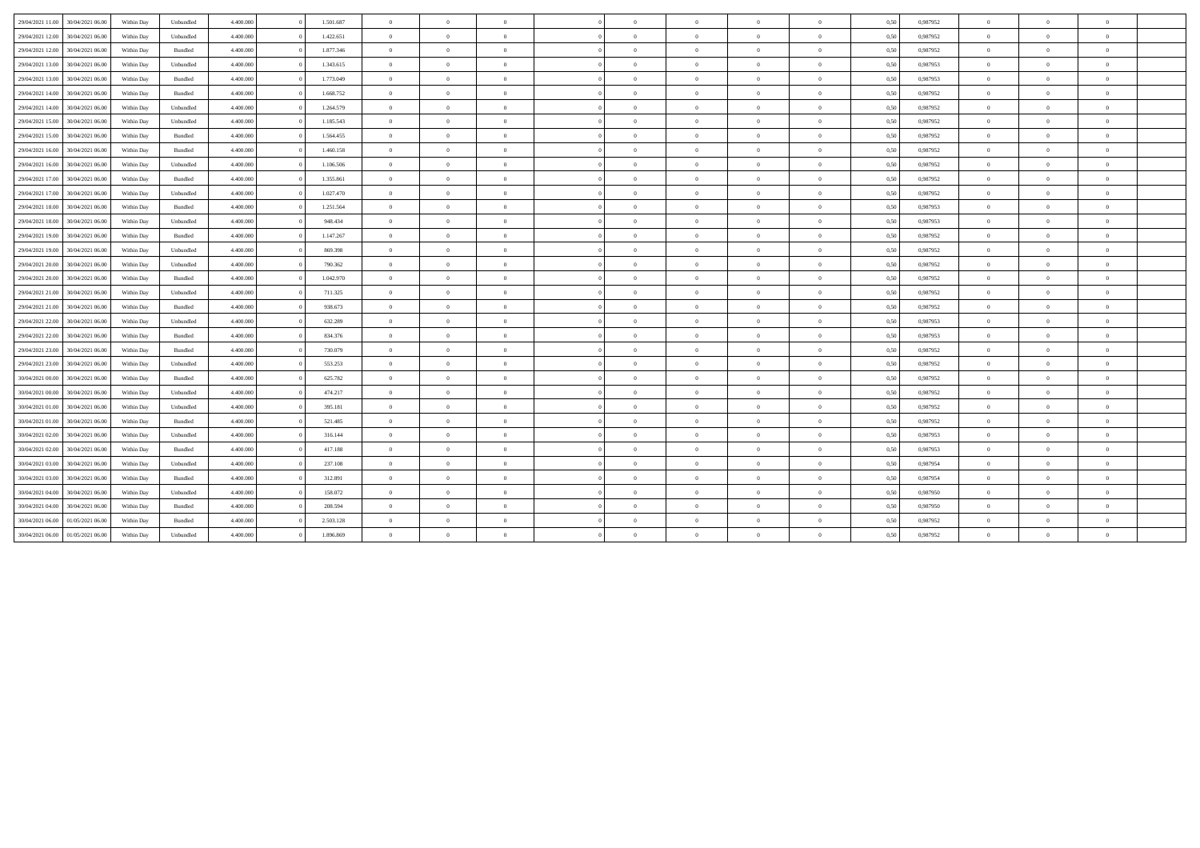| 29/04/2021 11:00<br>30/04/2021 06:00 | Within Day | Unbundled | 4.400,000 | 1.501.687 | $\overline{0}$ | $\theta$       | $\overline{0}$ | $\Omega$   | $\bf{0}$       | $\overline{0}$ | $\overline{0}$ | 0,50 | 0,987952 | $\Omega$       | $\theta$       | $\overline{0}$ |  |
|--------------------------------------|------------|-----------|-----------|-----------|----------------|----------------|----------------|------------|----------------|----------------|----------------|------|----------|----------------|----------------|----------------|--|
| 29/04/2021 12:00<br>30/04/2021 06:00 | Within Day | Unbundled | 4.400,000 | 1.422.651 | $\overline{0}$ | $\overline{0}$ | $\overline{0}$ | $\Omega$   | $\overline{0}$ | $\overline{0}$ | $\overline{0}$ | 0,50 | 0,987952 | $\theta$       | $\theta$       | $\overline{0}$ |  |
| 29/04/2021 12:00<br>30/04/2021 06:00 | Within Day | Bundled   | 4.400.000 | 1.877.346 | $\overline{0}$ | $\theta$       | $\alpha$       | $\sqrt{2}$ | $\overline{0}$ | $\overline{0}$ | $\Omega$       | 0,50 | 0,987952 | $\overline{0}$ | $\theta$       | $\theta$       |  |
| 29/04/2021 13:00<br>30/04/2021 06:00 | Within Day | Unbundled | 4.400,000 | 1.343.615 | $\overline{0}$ | $\theta$       | $\overline{0}$ | $\Omega$   | $\overline{0}$ | $\overline{0}$ | $\overline{0}$ | 0,50 | 0,987953 | $\overline{0}$ | $\theta$       | $\overline{0}$ |  |
| 29/04/2021 13:00<br>30/04/2021 06:00 | Within Day | Bundled   | 4.400,000 | 1.773.049 | $\overline{0}$ | $\theta$       | $\theta$       | $\Omega$   | $\overline{0}$ | $\overline{0}$ | $\theta$       | 0,50 | 0,987953 | $\theta$       | $\theta$       | $\theta$       |  |
| 29/04/2021 14:00<br>30/04/2021 06:00 | Within Day | Bundled   | 4.400.000 | 1.668.752 | $\overline{0}$ | $\overline{0}$ | $\overline{0}$ | $\sqrt{2}$ | $\overline{0}$ | $\overline{0}$ | $\overline{0}$ | 0,50 | 0,987952 | $\overline{0}$ | $\Omega$       | $\overline{0}$ |  |
| 29/04/2021 14:00<br>30/04/2021 06:00 | Within Day | Unbundled | 4.400,000 | 1.264.579 | $\overline{0}$ | $\theta$       | $\overline{0}$ | $\Omega$   | $\overline{0}$ | $\overline{0}$ | $\Omega$       | 0,50 | 0,987952 | $\overline{0}$ | $\Omega$       | $\overline{0}$ |  |
| 29/04/2021 15:00<br>30/04/2021 06:00 | Within Day | Unbundled | 4.400,000 | 1.185.543 | $\overline{0}$ | $\overline{0}$ | $\overline{0}$ | $\Omega$   | $\overline{0}$ | $\overline{0}$ | $\theta$       | 0,50 | 0,987952 | $\theta$       | $\theta$       | $\theta$       |  |
| 29/04/2021 15:00<br>30/04/2021 06:00 | Within Day | Bundled   | 4.400.000 | 1.564.455 | $\overline{0}$ | $\theta$       | $\overline{0}$ | $\Omega$   | $\overline{0}$ | $\overline{0}$ | $\Omega$       | 0,50 | 0,987952 | $\theta$       | $\Omega$       | $\overline{0}$ |  |
| 29/04/2021 16:00<br>30/04/2021 06:00 | Within Day | Bundled   | 4.400,000 | 1.460.158 | $\overline{0}$ | $\theta$       | $\overline{0}$ | $\Omega$   | $\theta$       | $\overline{0}$ | $\overline{0}$ | 0,50 | 0,987952 | $\theta$       | $\Omega$       | $\theta$       |  |
| 29/04/2021 16:00<br>30/04/2021 06:00 | Within Day | Unbundled | 4.400,000 | 1.106.506 | $\overline{0}$ | $\overline{0}$ | $\overline{0}$ | $\Omega$   | $\overline{0}$ | $\overline{0}$ | $\overline{0}$ | 0,50 | 0,987952 | $\overline{0}$ | $\overline{0}$ | $\overline{0}$ |  |
| 29/04/2021 17:00<br>30/04/2021 06:00 | Within Day | Bundled   | 4.400.000 | 1.355.861 | $\overline{0}$ | $\overline{0}$ | $\alpha$       | $\sqrt{2}$ | $\overline{0}$ | $\overline{0}$ | $\Omega$       | 0,50 | 0,987952 | $\theta$       | $\Omega$       | $\overline{0}$ |  |
| 29/04/2021 17:00<br>30/04/2021 06:00 | Within Day | Unbundled | 4.400,000 | 1.027.470 | $\overline{0}$ | $\theta$       | $\overline{0}$ | $\Omega$   | $\theta$       | $\overline{0}$ | $\overline{0}$ | 0,50 | 0,987952 | $\theta$       | $\Omega$       | $\theta$       |  |
| 29/04/2021 18:00<br>30/04/2021 06:00 | Within Dav | Bundled   | 4.400,000 | 1.251.564 | $\overline{0}$ | $\theta$       | $\overline{0}$ | $\Omega$   | $\overline{0}$ | $\overline{0}$ | $\overline{0}$ | 0,50 | 0,987953 | $\overline{0}$ | $\Omega$       | $\overline{0}$ |  |
| 29/04/2021 18:00<br>30/04/2021 06:00 | Within Day | Unbundled | 4.400.000 | 948.434   | $\overline{0}$ | $\theta$       | $\alpha$       | $\sqrt{2}$ | $\overline{0}$ | $\overline{0}$ | $\overline{0}$ | 0,50 | 0,987953 | $\theta$       | $\Omega$       | $\theta$       |  |
| 29/04/2021 19:00<br>30/04/2021 06:00 | Within Day | Bundled   | 4.400,000 | 1.147.267 | $\overline{0}$ | $\theta$       | $\overline{0}$ | $\Omega$   | $\overline{0}$ | $\overline{0}$ | $\overline{0}$ | 0,50 | 0,987952 | $\overline{0}$ | $\Omega$       | $\overline{0}$ |  |
| 29/04/2021 19:00<br>30/04/2021 06:00 | Within Day | Unbundled | 4.400,000 | 869,398   | $\overline{0}$ | $\overline{0}$ | $\overline{0}$ | $\Omega$   | $\overline{0}$ | $\overline{0}$ | $\theta$       | 0,50 | 0,987952 | $\theta$       | $\theta$       | $\theta$       |  |
| 29/04/2021 20:00<br>30/04/2021 06:00 | Within Day | Unbundled | 4.400.000 | 790.362   | $\overline{0}$ | $\overline{0}$ | $\overline{0}$ | $\sqrt{2}$ | $\overline{0}$ | $\overline{0}$ | $\overline{0}$ | 0,50 | 0,987952 | $\theta$       | $\Omega$       | $\overline{0}$ |  |
| 29/04/2021 20:00<br>30/04/2021 06:00 | Within Day | Bundled   | 4.400,000 | 1.042.970 | $\overline{0}$ | $\theta$       | $\overline{0}$ | $\Omega$   | $\theta$       | $\overline{0}$ | $\Omega$       | 0,50 | 0,987952 | $\theta$       | $\Omega$       | $\theta$       |  |
| 29/04/2021 21:00<br>30/04/2021 06:00 | Within Day | Unbundled | 4.400,000 | 711.325   | $\overline{0}$ | $\overline{0}$ | $\overline{0}$ | $\Omega$   | $\overline{0}$ | $\overline{0}$ | $\overline{0}$ | 0,50 | 0,987952 | $\overline{0}$ | $\overline{0}$ | $\overline{0}$ |  |
| 29/04/2021 21:00<br>30/04/2021 06:00 | Within Day | Bundled   | 4.400.000 | 938.673   | $\overline{0}$ | $\overline{0}$ | $\alpha$       | $\sqrt{2}$ | $\overline{0}$ | $\overline{0}$ | $\Omega$       | 0,50 | 0,987952 | $\theta$       | $\Omega$       | $\theta$       |  |
| 29/04/2021 22:00<br>30/04/2021 06:00 | Within Day | Unbundled | 4.400,000 | 632.289   | $\overline{0}$ | $\theta$       | $\overline{0}$ | $\Omega$   | $\theta$       | $\overline{0}$ | $\overline{0}$ | 0,50 | 0,987953 | $\Omega$       | $\Omega$       | $\theta$       |  |
| 29/04/2021 22:00<br>30/04/2021 06:00 | Within Day | Bundled   | 4.400,000 | 834.376   | $\overline{0}$ | $\overline{0}$ | $\overline{0}$ | $\Omega$   | $\overline{0}$ | $\overline{0}$ | $\overline{0}$ | 0,50 | 0,987953 | $\overline{0}$ | $\overline{0}$ | $\overline{0}$ |  |
| 29/04/2021 23:00<br>30/04/2021 06:00 | Within Day | Bundled   | 4.400.000 | 730.079   | $\overline{0}$ | $\overline{0}$ | $\alpha$       | $\sqrt{2}$ | $\overline{0}$ | $\overline{0}$ | $\Omega$       | 0,50 | 0,987952 | $\theta$       | $\Omega$       | $\overline{0}$ |  |
| 29/04/2021 23:00<br>30/04/2021 06:00 | Within Day | Unbundled | 4.400,000 | 553.253   | $\overline{0}$ | $\theta$       | $\overline{0}$ | $\Omega$   | $\overline{0}$ | $\overline{0}$ | $\overline{0}$ | 0,50 | 0,987952 | $\overline{0}$ | $\Omega$       | $\overline{0}$ |  |
| 30/04/2021 00:00<br>30/04/2021 06:00 | Within Day | Bundled   | 4.400,000 | 625.782   | $\overline{0}$ | $\theta$       | $\theta$       | $\Omega$   | $\overline{0}$ | $\overline{0}$ | $\theta$       | 0,50 | 0,987952 | $\overline{0}$ | $\Omega$       | $\theta$       |  |
| 30/04/2021 00:00<br>30/04/2021 06:00 | Within Day | Unbundled | 4.400.000 | 474.217   | $\overline{0}$ | $\overline{0}$ | $\alpha$       | $\sqrt{2}$ | $\overline{0}$ | $\overline{0}$ | $\overline{0}$ | 0,50 | 0,987952 | $\overline{0}$ | $\Omega$       | $\overline{0}$ |  |
| 30/04/2021 01:00<br>30/04/2021 06:00 | Within Day | Unbundled | 4.400.000 | 395.181   | $\overline{0}$ | $\theta$       | $\overline{0}$ | $\Omega$   | $\theta$       | $\overline{0}$ | $\Omega$       | 0,50 | 0,987952 | $\theta$       | $\Omega$       | $\theta$       |  |
| 30/04/2021 01:00<br>30/04/2021 06:00 | Within Day | Bundled   | 4.400,000 | 521.485   | $\overline{0}$ | $\theta$       | $\overline{0}$ | $\Omega$   | $\overline{0}$ | $\overline{0}$ | $\theta$       | 0,50 | 0,987952 | $\theta$       | $\theta$       | $\theta$       |  |
| 30/04/2021 02:00<br>30/04/2021 06:00 | Within Day | Unbundled | 4.400.000 | 316.144   | $\overline{0}$ | $\theta$       | $\overline{0}$ | $\Omega$   | $\overline{0}$ | $\overline{0}$ | $\overline{0}$ | 0,50 | 0,987953 | $\theta$       | $\Omega$       | $\overline{0}$ |  |
| 30/04/2021 02:00<br>30/04/2021 06:00 | Within Day | Bundled   | 4.400.000 | 417.188   | $\overline{0}$ | $\overline{0}$ | $\overline{0}$ | $\Omega$   | $\overline{0}$ | $\overline{0}$ | $\overline{0}$ | 0,50 | 0,987953 | $\theta$       | $\overline{0}$ | $\overline{0}$ |  |
| 30/04/2021 03:00<br>30/04/2021 06:00 | Within Day | Unbundled | 4.400,000 | 237.108   | $\overline{0}$ | $\overline{0}$ | $\overline{0}$ | $\Omega$   | $\overline{0}$ | $\overline{0}$ | $\overline{0}$ | 0,50 | 0,987954 | $\overline{0}$ | $\overline{0}$ | $\overline{0}$ |  |
| 30/04/2021 03:00<br>30/04/2021 06:00 | Within Day | Bundled   | 4.400.000 | 312.891   | $\overline{0}$ | $\overline{0}$ | $\alpha$       | $\sqrt{2}$ | $\overline{0}$ | $\overline{0}$ | $\Omega$       | 0,50 | 0,987954 | $\theta$       | $\Omega$       | $\theta$       |  |
| 30/04/2021 04:00<br>30/04/2021 06:00 | Within Day | Unbundled | 4.400.000 | 158.072   | $\overline{0}$ | $\overline{0}$ | $\overline{0}$ | $\Omega$   | $\bf{0}$       | $\overline{0}$ | $\overline{0}$ | 0,50 | 0,987950 | $\bf{0}$       | $\overline{0}$ | $\overline{0}$ |  |
| 30/04/2021 04:00<br>30/04/2021 06:00 | Within Day | Bundled   | 4.400,000 | 208,594   | $\overline{0}$ | $\theta$       | $\overline{0}$ | $\Omega$   | $\overline{0}$ | $\overline{0}$ | $\overline{0}$ | 0,50 | 0,987950 | $\overline{0}$ | $\Omega$       | $\overline{0}$ |  |
| 30/04/2021 06:00<br>01/05/2021 06:00 | Within Day | Bundled   | 4.400.000 | 2.503.128 | $\overline{0}$ | $\theta$       | $\Omega$       | $\sqrt{2}$ | $\theta$       | $\overline{0}$ | $\Omega$       | 0,50 | 0,987952 | $\theta$       | $\Omega$       | $\overline{0}$ |  |
| 30/04/2021 06:00 01/05/2021 06:00    | Within Day | Unbundled | 4.400.000 | 1.896.869 | $\overline{0}$ | $\overline{0}$ | $\Omega$       | $\Omega$   | $\bf{0}$       | $\overline{0}$ | $\overline{0}$ | 0,50 | 0,987952 | $\theta$       | $\overline{0}$ | $\theta$       |  |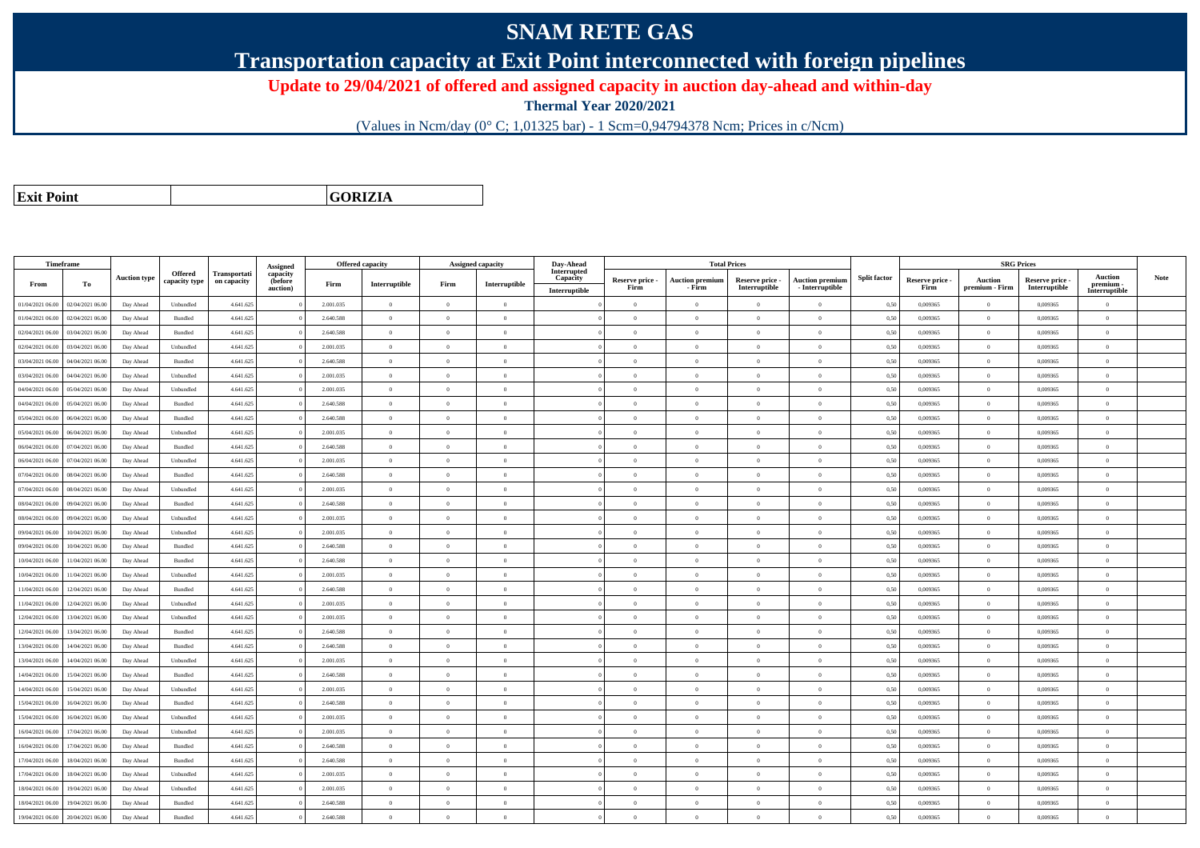## **SNAM RETE GAS**

**Transportation capacity at Exit Point interconnected with foreign pipelines**

**Update to 29/04/2021 of offered and assigned capacity in auction day-ahead and within-day**

**Thermal Year 2020/2021**

(Values in Ncm/day (0° C; 1,01325 bar) - 1 Scm=0,94794378 Ncm; Prices in c/Ncm)

**Exit Point**

**GORIZIA**

|                  | Timeframe        |                     |                          |                             |                                             |           | <b>Offered capacity</b> |                | <b>Assigned capacity</b> | Day-Ahead                                |                         |                                  | <b>Total Prices</b>              |                                             |                     |                         | <b>SRG Prices</b>         |                                  |                                              |      |
|------------------|------------------|---------------------|--------------------------|-----------------------------|---------------------------------------------|-----------|-------------------------|----------------|--------------------------|------------------------------------------|-------------------------|----------------------------------|----------------------------------|---------------------------------------------|---------------------|-------------------------|---------------------------|----------------------------------|----------------------------------------------|------|
| From             | To               | <b>Auction type</b> | Offered<br>capacity type | Transportati<br>on capacity | Assigned<br>capacity<br>(before<br>auction) | Firm      | Interruptible           | Firm           | Interruptible            | Interrupted<br>Capacity<br>Interruptible | Reserve price -<br>Firm | <b>Auction premium</b><br>- Firm | Reserve price -<br>Interruptible | <b>Auction premium</b><br>$-$ Interruptible | <b>Split factor</b> | Reserve price -<br>Firm | Auction<br>premium - Firm | Reserve price -<br>Interruptible | <b>Auction</b><br>premium -<br>Interruptible | Note |
| 01/04/2021 06:00 | 02/04/2021 06:00 | Day Ahead           | Unbundled                | 4.641.625                   |                                             | 2.001.035 | $\overline{0}$          | $\overline{0}$ | $\overline{0}$           |                                          | $\theta$                | $\overline{0}$                   | $\overline{0}$                   | $\overline{0}$                              | 0,50                | 0,009365                | $\theta$                  | 0,009365                         | $\overline{0}$                               |      |
| 01/04/2021 06:00 | 02/04/2021 06:00 | Day Ahead           | Bundled                  | 4.641.625                   |                                             | 2.640.588 | $\overline{0}$          | $\Omega$       | $\overline{0}$           |                                          | $\overline{0}$          | $\theta$                         | $\Omega$                         | $\overline{0}$                              | 0,50                | 0,009365                | $\bf{0}$                  | 0,009365                         | $\bf{0}$                                     |      |
| 02/04/2021 06:00 | 03/04/2021 06:00 | Day Ahead           | Bundled                  | 4.641.625                   |                                             | 2.640.588 | $\overline{0}$          | $\Omega$       | $\theta$                 |                                          | $\Omega$                |                                  |                                  | $\theta$                                    | 0,50                | 0,009365                | $\theta$                  | 0,009365                         | $\overline{0}$                               |      |
| 02/04/2021 06:00 | 03/04/2021 06:00 | Day Ahead           | Unbundled                | 4.641.625                   |                                             | 2.001.035 | $\overline{0}$          | $\overline{0}$ | $\Omega$                 |                                          | $\theta$                | $\theta$                         | $\Omega$                         | $\theta$                                    | 0,50                | 0.009365                | $\overline{0}$            | 0.009365                         | $\theta$                                     |      |
| 03/04/2021 06:00 | 04/04/2021 06.00 | Day Ahead           | Bundled                  | 4.641.625                   |                                             | 2.640.588 | $\overline{0}$          | $\theta$       | $\theta$                 |                                          | $\theta$                | $\theta$                         | $\overline{0}$                   | $\overline{0}$                              | 0,50                | 0,009365                | $\theta$                  | 0,009365                         | $\overline{0}$                               |      |
| 03/04/2021 06:00 | 04/04/2021 06:00 | Day Ahead           | Unbundled                | 4.641.625                   |                                             | 2.001.035 | $\overline{0}$          | $\Omega$       | $\Omega$                 |                                          | $\theta$                | $\theta$                         | $\Omega$                         | $\theta$                                    | 0,50                | 0.009365                | $\theta$                  | 0.009365                         | $\theta$                                     |      |
| 04/04/2021 06:00 | 05/04/2021 06:00 | Day Ahead           | Unbundled                | 4.641.625                   |                                             | 2.001.035 | $\overline{0}$          | $\theta$       | $\theta$                 |                                          | $\theta$                | $\sqrt{2}$                       | $\Omega$                         | $\theta$                                    | 0,50                | 0.009365                | $\mathbf{0}$              | 0.009365                         | $\theta$                                     |      |
| 04/04/2021 06:00 | 05/04/2021 06:00 | Day Ahead           | Bundled                  | 4.641.625                   |                                             | 2.640.588 | $\overline{0}$          | $\Omega$       | $\Omega$                 |                                          | $\theta$                | $\theta$                         | $\Omega$                         | $\theta$                                    | 0,50                | 0,009365                | $\theta$                  | 0,009365                         | $\Omega$                                     |      |
| 05/04/2021 06:00 | 06/04/2021 06:00 | Day Ahead           | Bundled                  | 4.641.625                   |                                             | 2.640.588 | $\overline{0}$          | $\Omega$       | $\Omega$                 |                                          | $\theta$                | $\sqrt{2}$                       | $\Omega$                         | $\theta$                                    | 0.50                | 0.009365                | $\Omega$                  | 0.009365                         | $\theta$                                     |      |
| 05/04/2021 06:00 | 06/04/2021 06.00 | Day Ahead           | Unbundled                | 4.641.625                   |                                             | 2.001.035 | $\Omega$                | $\Omega$       | $\Omega$                 |                                          | $\theta$                | $\theta$                         |                                  | $\theta$                                    | 0,50                | 0,009365                | $\theta$                  | 0,009365                         | $\Omega$                                     |      |
| 06/04/2021 06:00 | 07/04/2021 06:00 | Day Ahead           | Bundled                  | 4.641.625                   |                                             | 2.640.588 | $\overline{0}$          | $\overline{0}$ | $\theta$                 |                                          | $\theta$                | $\theta$                         | $\Omega$                         | $\theta$                                    | 0.50                | 0.009365                | $\Omega$                  | 0.009365                         | $\theta$                                     |      |
| 06/04/2021 06:00 | 07/04/2021 06.00 | Day Ahead           | Unbundled                | 4.641.625                   |                                             | 2.001.035 | $\overline{0}$          | $\overline{0}$ | $\theta$                 |                                          | $\theta$                | $\bf{0}$                         | $\overline{0}$                   | $\overline{0}$                              | 0,50                | 0,009365                | $\overline{0}$            | 0,009365                         | $\overline{0}$                               |      |
| 07/04/2021 06:00 | 08/04/2021 06:00 | Day Ahead           | Bundled                  | 4.641.625                   |                                             | 2.640.588 | $\overline{0}$          | $\Omega$       | $\theta$                 |                                          | $\theta$                | $\theta$                         | $\Omega$                         | $\overline{0}$                              | 0.50                | 0.009365                | $\theta$                  | 0.009365                         | $\overline{0}$                               |      |
| 07/04/2021 06:00 | 08/04/2021 06:00 | Day Ahead           | Unbundled                | 4.641.625                   |                                             | 2.001.035 | $\overline{0}$          | $\overline{0}$ | $\Omega$                 |                                          | $\theta$                | $\theta$                         | $\Omega$                         | $\overline{0}$                              | 0,50                | 0.009365                | $\bf{0}$                  | 0.009365                         | $\overline{0}$                               |      |
| 08/04/2021 06:00 | 09/04/2021 06:00 | Day Ahead           | Bundled                  | 4.641.625                   |                                             | 2.640.588 | $\overline{0}$          | $\Omega$       | $\theta$                 |                                          | $\theta$                | $\theta$                         | $\Omega$                         | $\overline{0}$                              | 0,50                | 0,009365                | $\theta$                  | 0,009365                         | $\overline{0}$                               |      |
| 08/04/2021 06:00 | 09/04/2021 06:00 | Day Ahead           | Unbundled                | 4.641.625                   |                                             | 2.001.035 | $\overline{0}$          | $\Omega$       | $\Omega$                 |                                          | $\theta$                | $\Omega$                         | $\Omega$                         | $\theta$                                    | 0,50                | 0.009365                | $\theta$                  | 0.009365                         | $\theta$                                     |      |
| 09/04/2021 06:00 | 10/04/2021 06:00 | Day Ahead           | Unbundled                | 4.641.625                   |                                             | 2.001.035 | $\overline{0}$          | $\theta$       | $\Omega$                 |                                          | $\Omega$                | $\sqrt{2}$                       | $\Omega$                         | $\theta$                                    | 0,50                | 0,009365                | $\theta$                  | 0,009365                         | $\theta$                                     |      |
| 09/04/2021 06:00 | 10/04/2021 06:00 | Day Ahead           | Bundled                  | 4.641.625                   |                                             | 2.640.588 | $\overline{0}$          | $\Omega$       | $\Omega$                 |                                          | $\theta$                | $\theta$                         | $\Omega$                         | $\overline{0}$                              | 0,50                | 0,009365                | $\theta$                  | 0,009365                         | $\overline{0}$                               |      |
| 10/04/2021 06:00 | 11/04/2021 06:00 | Day Ahead           | Bundled                  | 4.641.625                   |                                             | 2.640.588 | $\overline{0}$          | $\theta$       | $\Omega$                 |                                          | $\theta$                | $\Omega$                         | $\Omega$                         | $\overline{0}$                              | 0.50                | 0.009365                | $\overline{0}$            | 0.009365                         | $\theta$                                     |      |
| 10/04/2021 06:00 | 11/04/2021 06.00 | Day Ahead           | Unbundled                | 4.641.625                   |                                             | 2.001.035 | $\overline{0}$          | $\overline{0}$ | $\Omega$                 |                                          | $\theta$                | $\theta$                         | $\Omega$                         | $\overline{0}$                              | 0,50                | 0,009365                | $\theta$                  | 0,009365                         | $\overline{0}$                               |      |
| 11/04/2021 06:00 | 12/04/2021 06:00 | Day Ahead           | Bundled                  | 4.641.625                   |                                             | 2.640.588 | $\theta$                | $\theta$       | $\theta$                 |                                          | $\theta$                | $\Omega$                         | $\Omega$                         | $\theta$                                    | 0.50                | 0.009365                | $\Omega$                  | 0.009365                         | $\theta$                                     |      |
| 11/04/2021 06:00 | 12/04/2021 06:00 | Day Ahead           | Unbundled                | 4.641.625                   |                                             | 2.001.035 | $\overline{0}$          | $\Omega$       | $\Omega$                 |                                          | $\Omega$                | $\theta$                         | $\Omega$                         | $\theta$                                    | 0,50                | 0,009365                | $\theta$                  | 0.009365                         | $\theta$                                     |      |
| 12/04/2021 06:00 | 13/04/2021 06:00 | Day Ahead           | Unbundled                | 4.641.625                   |                                             | 2.001.035 | $\overline{0}$          | $\overline{0}$ | $\overline{0}$           |                                          | $\theta$                | $\theta$                         |                                  | $\overline{0}$                              | 0,50                | 0,009365                | $\theta$                  | 0.009365                         | $\overline{0}$                               |      |
| 12/04/2021 06:00 | 13/04/2021 06:00 | Day Ahead           | Bundled                  | 4.641.625                   |                                             | 2.640.588 | $\overline{0}$          | $\overline{0}$ | $\theta$                 |                                          | $\theta$                | $\theta$                         | $\Omega$                         | $\theta$                                    | 0,50                | 0,009365                | $\,$ 0 $\,$               | 0,009365                         | $\overline{0}$                               |      |
| 13/04/2021 06:00 | 14/04/2021 06.00 | Day Ahead           | Bundled                  | 4.641.625                   |                                             | 2.640.588 | $\overline{0}$          | $\theta$       | $\theta$                 |                                          | $\theta$                | $\overline{0}$                   | $\overline{0}$                   | $\overline{0}$                              | 0,50                | 0,009365                | $\theta$                  | 0,009365                         | $\overline{0}$                               |      |
| 13/04/2021 06:00 | 14/04/2021 06:00 | Day Ahead           | Unbundled                | 4.641.625                   |                                             | 2.001.035 | $\overline{0}$          | $\Omega$       | $\Omega$                 |                                          | $\Omega$                | $\Omega$                         |                                  | $\overline{0}$                              | 0,50                | 0,009365                | $\theta$                  | 0,009365                         | $\theta$                                     |      |
| 14/04/2021 06:00 | 15/04/2021 06.00 | Day Ahead           | Bundled                  | 4.641.625                   |                                             | 2.640.588 | $\,$ 0 $\,$             | $\theta$       | $\Omega$                 |                                          | $\theta$                | $\sqrt{2}$                       | $\Omega$                         | $\overline{0}$                              | 0,50                | 0,009365                | $\,$ 0 $\,$               | 0.009365                         | $\overline{0}$                               |      |
| 14/04/2021 06:00 | 15/04/2021 06:00 | Day Ahead           | Unbundled                | 4.641.625                   |                                             | 2.001.035 | $\overline{0}$          | $\Omega$       | $\Omega$                 |                                          | $\Omega$                | $\theta$                         | $\Omega$                         | $\overline{0}$                              | 0,50                | 0,009365                | $\theta$                  | 0,009365                         | $\theta$                                     |      |
| 15/04/2021 06:00 | 16/04/2021 06:00 | Day Ahead           | Bundled                  | 4.641.625                   |                                             | 2.640.588 | $\overline{0}$          | $\theta$       | $\theta$                 |                                          | $\theta$                | $\theta$                         | $\Omega$                         | $\theta$                                    | 0.50                | 0.009365                | $\Omega$                  | 0.009365                         | $\theta$                                     |      |
| 15/04/2021 06:00 | 16/04/2021 06.0  | Day Ahead           | Unbundled                | 4.641.625                   |                                             | 2.001.035 | $\overline{0}$          | $\theta$       | $\Omega$                 |                                          | $\theta$                | $\theta$                         | $\Omega$                         | $\overline{0}$                              | 0,50                | 0,009365                | $\theta$                  | 0,009365                         | $\overline{0}$                               |      |
| 16/04/2021 06:00 | 17/04/2021 06:00 | Day Ahead           | Unbundled                | 4.641.625                   |                                             | 2.001.035 | $\overline{0}$          | $\theta$       | $\Omega$                 |                                          | $\theta$                | $\theta$                         | $\Omega$                         | $\overline{0}$                              | 0,50                | 0.009365                | $\theta$                  | 0.009365                         | $\theta$                                     |      |
| 16/04/2021 06:00 | 17/04/2021 06:00 | Day Ahead           | Bundled                  | 4.641.625                   |                                             | 2.640.588 | $\overline{0}$          | $\theta$       | $\Omega$                 |                                          | $\theta$                | $\theta$                         | $\Omega$                         | $\overline{0}$                              | 0.50                | 0.009365                | $\overline{0}$            | 0.009365                         | $\theta$                                     |      |
| 17/04/2021 06:00 | 18/04/2021 06:00 | Day Ahead           | Bundled                  | 4.641.625                   |                                             | 2.640.588 | $\overline{0}$          | $\theta$       | $\Omega$                 |                                          | $\theta$                | $\theta$                         |                                  | $\theta$                                    | 0.50                | 0.009365                | $\theta$                  | 0.009365                         | $\Omega$                                     |      |
| 17/04/2021 06:00 | 18/04/2021 06:00 | Day Ahead           | Unbundled                | 4.641.625                   |                                             | 2.001.035 | $\overline{0}$          | $\overline{0}$ | $\theta$                 |                                          | $\theta$                | $\theta$                         | $\Omega$                         | $\overline{0}$                              | 0.50                | 0.009365                | $\theta$                  | 0.009365                         | $\overline{0}$                               |      |
| 18/04/2021 06:00 | 19/04/2021 06:00 | Day Ahead           | Unbundled                | 4.641.625                   |                                             | 2.001.035 | $\overline{0}$          | $\Omega$       | $\theta$                 |                                          | $\theta$                | $\theta$                         | $\Omega$                         | $\overline{0}$                              | 0,50                | 0,009365                | $\bf{0}$                  | 0,009365                         | $\bf{0}$                                     |      |
| 18/04/2021 06:00 | 19/04/2021 06.00 | Day Ahead           | Bundled                  | 4.641.625                   |                                             | 2.640.588 | $\overline{0}$          | $\Omega$       | $\Omega$                 |                                          | $\Omega$                |                                  |                                  | $\theta$                                    | 0,50                | 0,009365                | $\theta$                  | 0,009365                         | $\overline{0}$                               |      |
| 19/04/2021 06:00 | 20/04/2021 06:00 | Day Ahead           | Bundled                  | 4.641.625                   |                                             | 2.640.588 | $\overline{0}$          | $\Omega$       | $\Omega$                 |                                          | $\Omega$                | $\Omega$                         |                                  | $\theta$                                    | 0,50                | 0,009365                | $\theta$                  | 0,009365                         | $\overline{0}$                               |      |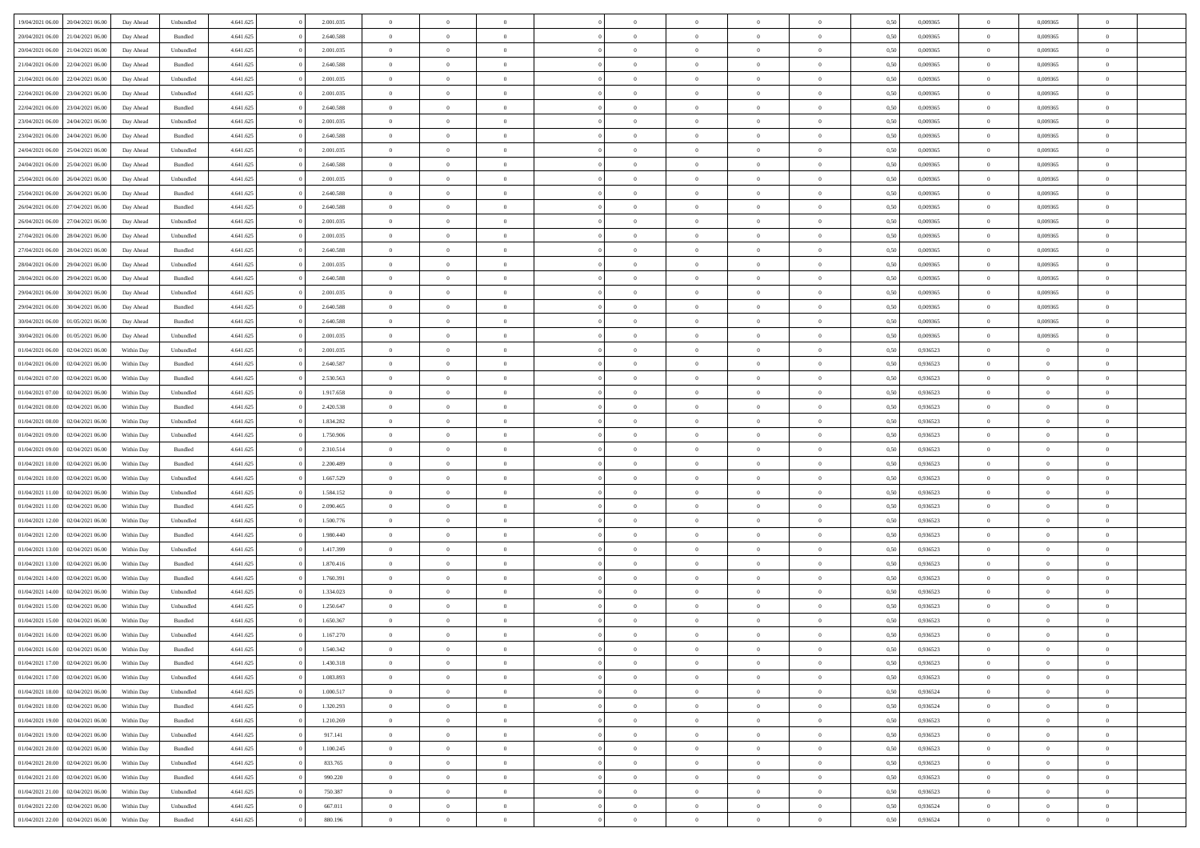| 19/04/2021 06:00 20/04/2021 06:00            | Day Ahead  | Unbundled | 4.641.625 | 2.001.035 | $\overline{0}$ | $\overline{0}$ |                | $\overline{0}$ | $\theta$       |                | $\theta$       | 0,50 | 0,009365 | $\theta$       | 0,009365       | $\theta$       |  |
|----------------------------------------------|------------|-----------|-----------|-----------|----------------|----------------|----------------|----------------|----------------|----------------|----------------|------|----------|----------------|----------------|----------------|--|
| 20/04/2021 06:00<br>21/04/2021 06.00         | Day Ahead  | Bundled   | 4.641.625 | 2.640.588 | $\bf{0}$       | $\bf{0}$       | $\bf{0}$       | $\overline{0}$ | $\theta$       | $\overline{0}$ | $\bf{0}$       | 0,50 | 0,009365 | $\,$ 0 $\,$    | 0,009365       | $\overline{0}$ |  |
| 20/04/2021 06:00<br>21/04/2021 06:00         | Day Ahead  | Unbundled | 4.641.625 | 2.001.035 | $\overline{0}$ | $\bf{0}$       | $\overline{0}$ | $\bf{0}$       | $\bf{0}$       | $\overline{0}$ | $\bf{0}$       | 0.50 | 0.009365 | $\bf{0}$       | 0.009365       | $\overline{0}$ |  |
| 21/04/2021 06:00<br>22/04/2021 06:00         | Day Ahead  | Bundled   | 4.641.625 | 2.640.588 | $\overline{0}$ | $\theta$       | $\overline{0}$ | $\theta$       | $\theta$       | $\overline{0}$ | $\bf{0}$       | 0,50 | 0,009365 | $\,$ 0 $\,$    | 0,009365       | $\overline{0}$ |  |
| 21/04/2021 06:00<br>22/04/2021 06.00         | Day Ahead  | Unbundled | 4.641.625 | 2.001.035 | $\overline{0}$ | $\overline{0}$ | $\bf{0}$       | $\overline{0}$ | $\theta$       | $\overline{0}$ | $\bf{0}$       | 0,50 | 0,009365 | $\,$ 0 $\,$    | 0,009365       | $\overline{0}$ |  |
| 22/04/2021 06:00<br>23/04/2021 06:00         | Day Ahead  | Unbundled | 4.641.625 | 2.001.035 | $\overline{0}$ | $\overline{0}$ | $\overline{0}$ | $\overline{0}$ | $\overline{0}$ | $\Omega$       | $\bf{0}$       | 0.50 | 0.009365 | $\bf{0}$       | 0,009365       | $\overline{0}$ |  |
| 22/04/2021 06:00<br>23/04/2021 06:00         | Day Ahead  | Bundled   | 4.641.625 | 2.640.588 | $\bf{0}$       | $\overline{0}$ | $\overline{0}$ | $\overline{0}$ | $\overline{0}$ | $\overline{0}$ | $\bf{0}$       | 0,50 | 0,009365 | $\,$ 0 $\,$    | 0,009365       | $\overline{0}$ |  |
| 23/04/2021 06:00<br>24/04/2021 06.00         | Day Ahead  | Unbundled | 4.641.625 | 2.001.035 | $\overline{0}$ | $\overline{0}$ | $\overline{0}$ | $\overline{0}$ | $\overline{0}$ | $\overline{0}$ | $\bf{0}$       | 0,50 | 0,009365 | $\,$ 0 $\,$    | 0,009365       | $\overline{0}$ |  |
|                                              |            |           |           |           |                |                |                |                |                |                |                |      |          |                |                |                |  |
| 23/04/2021 06:00<br>24/04/2021 06:00         | Day Ahead  | Bundled   | 4.641.625 | 2.640.588 | $\overline{0}$ | $\overline{0}$ | $\overline{0}$ | $\bf{0}$       | $\overline{0}$ | $\overline{0}$ | $\bf{0}$       | 0.50 | 0.009365 | $\bf{0}$       | 0.009365       | $\overline{0}$ |  |
| 24/04/2021 06:00<br>25/04/2021 06:00         | Day Ahead  | Unbundled | 4.641.625 | 2.001.035 | $\bf{0}$       | $\bf{0}$       | $\overline{0}$ | $\overline{0}$ | $\overline{0}$ | $\overline{0}$ | $\bf{0}$       | 0,50 | 0,009365 | $\bf{0}$       | 0,009365       | $\overline{0}$ |  |
| 24/04/2021 06:00<br>25/04/2021 06.00         | Day Ahead  | Bundled   | 4.641.625 | 2.640.588 | $\bf{0}$       | $\overline{0}$ | $\bf{0}$       | $\overline{0}$ | $\bf{0}$       | $\overline{0}$ | $\bf{0}$       | 0,50 | 0,009365 | $\,$ 0 $\,$    | 0,009365       | $\overline{0}$ |  |
| 25/04/2021 06:00<br>26/04/2021 06:00         | Day Ahead  | Unbundled | 4.641.625 | 2.001.035 | $\overline{0}$ | $\overline{0}$ | $\overline{0}$ | $\bf{0}$       | $\bf{0}$       | $\overline{0}$ | $\bf{0}$       | 0.50 | 0.009365 | $\bf{0}$       | 0.009365       | $\overline{0}$ |  |
| 25/04/2021 06:00<br>26/04/2021 06:00         | Day Ahead  | Bundled   | 4.641.625 | 2.640.588 | $\overline{0}$ | $\overline{0}$ | $\overline{0}$ | $\overline{0}$ | $\theta$       | $\overline{0}$ | $\bf{0}$       | 0,50 | 0,009365 | $\,$ 0 $\,$    | 0,009365       | $\overline{0}$ |  |
| 26/04/2021 06:00<br>27/04/2021 06.00         | Day Ahead  | Bundled   | 4.641.625 | 2.640.588 | $\overline{0}$ | $\overline{0}$ | $\bf{0}$       | $\overline{0}$ | $\theta$       | $\overline{0}$ | $\bf{0}$       | 0,50 | 0,009365 | $\,$ 0 $\,$    | 0,009365       | $\overline{0}$ |  |
| 26/04/2021 06:00<br>27/04/2021 06:00         | Day Ahead  | Unbundled | 4.641.625 | 2.001.035 | $\overline{0}$ | $\overline{0}$ | $\overline{0}$ | $\bf{0}$       | $\theta$       | $\Omega$       | $\bf{0}$       | 0.50 | 0.009365 | $\bf{0}$       | 0.009365       | $\overline{0}$ |  |
| 27/04/2021 06:00<br>28/04/2021 06:00         | Day Ahead  | Unbundled | 4.641.625 | 2.001.035 | $\overline{0}$ | $\overline{0}$ | $\overline{0}$ | $\overline{0}$ | $\overline{0}$ | $\overline{0}$ | $\bf{0}$       | 0,50 | 0,009365 | $\bf{0}$       | 0,009365       | $\overline{0}$ |  |
| 27/04/2021 06:00<br>28/04/2021 06.00         | Day Ahead  | Bundled   | 4.641.625 | 2.640.588 | $\overline{0}$ | $\overline{0}$ | $\overline{0}$ | $\overline{0}$ | $\theta$       | $\overline{0}$ | $\bf{0}$       | 0,50 | 0,009365 | $\,$ 0 $\,$    | 0,009365       | $\overline{0}$ |  |
| 28/04/2021 06:00<br>29/04/2021 06:00         | Day Ahead  | Unbundled | 4.641.625 | 2.001.035 | $\overline{0}$ | $\overline{0}$ | $\overline{0}$ | $\bf{0}$       | $\overline{0}$ | $\overline{0}$ | $\bf{0}$       | 0.50 | 0.009365 | $\bf{0}$       | 0.009365       | $\overline{0}$ |  |
| 28/04/2021 06:00<br>29/04/2021 06:00         | Day Ahead  | Bundled   | 4.641.625 | 2.640.588 | $\bf{0}$       | $\overline{0}$ | $\overline{0}$ | $\overline{0}$ | $\overline{0}$ | $\overline{0}$ | $\bf{0}$       | 0,50 | 0,009365 | $\,$ 0 $\,$    | 0,009365       | $\overline{0}$ |  |
| 29/04/2021 06:00<br>30/04/2021 06.00         | Day Ahead  | Unbundled | 4.641.625 | 2.001.035 | $\bf{0}$       | $\overline{0}$ | $\bf{0}$       | $\bf{0}$       | $\overline{0}$ | $\overline{0}$ | $\bf{0}$       | 0,50 | 0,009365 | $\,$ 0 $\,$    | 0,009365       | $\overline{0}$ |  |
|                                              |            |           |           |           |                |                |                |                |                |                |                |      |          |                |                |                |  |
| 29/04/2021 06:00<br>30/04/2021 06:00         | Day Ahead  | Bundled   | 4.641.625 | 2.640.588 | $\overline{0}$ | $\overline{0}$ | $\overline{0}$ | $\overline{0}$ | $\bf{0}$       | $\overline{0}$ | $\bf{0}$       | 0.50 | 0.009365 | $\bf{0}$       | 0.009365       | $\overline{0}$ |  |
| 30/04/2021 06:00<br>01/05/2021 06:00         | Day Ahead  | Bundled   | 4.641.625 | 2.640.588 | $\overline{0}$ | $\overline{0}$ | $\overline{0}$ | $\overline{0}$ | $\theta$       | $\overline{0}$ | $\bf{0}$       | 0,50 | 0,009365 | $\theta$       | 0,009365       | $\overline{0}$ |  |
| 30/04/2021 06:00<br>01/05/2021 06.00         | Day Ahead  | Unbundled | 4.641.625 | 2.001.035 | $\bf{0}$       | $\overline{0}$ | $\bf{0}$       | $\overline{0}$ | $\theta$       | $\overline{0}$ | $\bf{0}$       | 0,50 | 0,009365 | $\,$ 0 $\,$    | 0,009365       | $\overline{0}$ |  |
| 01/04/2021 06:00<br>02/04/2021 06:00         | Within Day | Unbundled | 4.641.625 | 2.001.035 | $\overline{0}$ | $\overline{0}$ | $\overline{0}$ | $\overline{0}$ | $\overline{0}$ | $\Omega$       | $\bf{0}$       | 0.50 | 0.936523 | $\bf{0}$       | $\overline{0}$ | $\overline{0}$ |  |
| 01/04/2021 06:00<br>02/04/2021 06:00         | Within Day | Bundled   | 4.641.625 | 2.640.587 | $\bf{0}$       | $\overline{0}$ | $\overline{0}$ | $\overline{0}$ | $\overline{0}$ | $\overline{0}$ | $\bf{0}$       | 0,50 | 0,936523 | $\theta$       | $\theta$       | $\overline{0}$ |  |
| 01/04/2021 07:00<br>02/04/2021 06.00         | Within Day | Bundled   | 4.641.625 | 2.530.563 | $\bf{0}$       | $\overline{0}$ | $\bf{0}$       | $\overline{0}$ | $\theta$       | $\overline{0}$ | $\bf{0}$       | 0,50 | 0,936523 | $\theta$       | $\theta$       | $\overline{0}$ |  |
| 01/04/2021 07:00<br>02/04/2021 06:00         | Within Day | Unbundled | 4.641.625 | 1.917.658 | $\overline{0}$ | $\overline{0}$ | $\overline{0}$ | $\bf{0}$       | $\overline{0}$ | $\overline{0}$ | $\bf{0}$       | 0.50 | 0.936523 | $\theta$       | $\overline{0}$ | $\overline{0}$ |  |
| 01/04/2021 08:00<br>02/04/2021 06:00         | Within Day | Bundled   | 4.641.625 | 2.420.538 | $\overline{0}$ | $\overline{0}$ | $\overline{0}$ | $\overline{0}$ | $\overline{0}$ | $\overline{0}$ | $\bf{0}$       | 0,50 | 0,936523 | $\theta$       | $\theta$       | $\overline{0}$ |  |
| 01/04/2021 08:00<br>02/04/2021 06.00         | Within Day | Unbundled | 4.641.625 | 1.834.282 | $\bf{0}$       | $\bf{0}$       | $\bf{0}$       | $\bf{0}$       | $\overline{0}$ | $\overline{0}$ | $\bf{0}$       | 0,50 | 0,936523 | $\,$ 0 $\,$    | $\bf{0}$       | $\overline{0}$ |  |
| 01/04/2021 09:00<br>02/04/2021 06:00         | Within Day | Unbundled | 4.641.625 | 1.750.906 | $\overline{0}$ | $\overline{0}$ | $\overline{0}$ | $\bf{0}$       | $\bf{0}$       | $\overline{0}$ | $\bf{0}$       | 0.50 | 0.936523 | $\bf{0}$       | $\overline{0}$ | $\bf{0}$       |  |
| 01/04/2021 09:00<br>02/04/2021 06:00         | Within Day | Bundled   | 4.641.625 | 2.310.514 | $\overline{0}$ | $\overline{0}$ | $\overline{0}$ | $\overline{0}$ | $\overline{0}$ | $\overline{0}$ | $\bf{0}$       | 0.50 | 0.936523 | $\theta$       | $\theta$       | $\overline{0}$ |  |
| 01/04/2021 10:00<br>02/04/2021 06.00         | Within Day | Bundled   | 4.641.625 | 2.200.489 | $\bf{0}$       | $\overline{0}$ | $\bf{0}$       | $\overline{0}$ | $\overline{0}$ | $\overline{0}$ | $\bf{0}$       | 0,50 | 0,936523 | $\,$ 0 $\,$    | $\bf{0}$       | $\overline{0}$ |  |
| 02/04/2021 06:00                             |            |           |           |           | $\overline{0}$ | $\overline{0}$ | $\overline{0}$ |                | $\theta$       | $\Omega$       |                | 0.50 | 0.936523 | $\theta$       | $\overline{0}$ | $\overline{0}$ |  |
| 01/04/2021 10:00                             | Within Day | Unbundled | 4.641.625 | 1.667.529 |                |                |                | $\bf{0}$       |                |                | $\bf{0}$       |      |          |                |                |                |  |
| 01/04/2021 11:00<br>02/04/2021 06:00         | Within Dav | Unbundled | 4.641.625 | 1.584.152 | $\overline{0}$ | $\overline{0}$ | $\overline{0}$ | $\overline{0}$ | $\overline{0}$ | $\overline{0}$ | $\overline{0}$ | 0.50 | 0.936523 | $\theta$       | $\theta$       | $\overline{0}$ |  |
| 01/04/2021 11:00<br>02/04/2021 06.00         | Within Day | Bundled   | 4.641.625 | 2.090.465 | $\bf{0}$       | $\overline{0}$ | $\bf{0}$       | $\overline{0}$ | $\bf{0}$       | $\overline{0}$ | $\bf{0}$       | 0,50 | 0,936523 | $\,$ 0 $\,$    | $\theta$       | $\overline{0}$ |  |
| 01/04/2021 12:00<br>02/04/2021 06:00         | Within Day | Unbundled | 4.641.625 | 1.500.776 | $\overline{0}$ | $\overline{0}$ | $\overline{0}$ | $\bf{0}$       | $\overline{0}$ | $\overline{0}$ | $\bf{0}$       | 0.50 | 0.936523 | $\bf{0}$       | $\overline{0}$ | $\overline{0}$ |  |
| 01/04/2021 12:00<br>02/04/2021 06:00         | Within Day | Bundled   | 4.641.625 | 1.980.440 | $\overline{0}$ | $\overline{0}$ | $\overline{0}$ | $\overline{0}$ | $\overline{0}$ | $\overline{0}$ | $\overline{0}$ | 0.50 | 0.936523 | $\theta$       | $\theta$       | $\overline{0}$ |  |
| 01/04/2021 13:00<br>02/04/2021 06.00         | Within Day | Unbundled | 4.641.625 | 1.417.399 | $\bf{0}$       | $\bf{0}$       | $\bf{0}$       | $\bf{0}$       | $\overline{0}$ | $\overline{0}$ | $\bf{0}$       | 0,50 | 0,936523 | $\,$ 0 $\,$    | $\bf{0}$       | $\overline{0}$ |  |
| 01/04/2021 13:00<br>02/04/2021 06:00         | Within Day | Bundled   | 4.641.625 | 1.870.416 | $\overline{0}$ | $\overline{0}$ | $\overline{0}$ | $\bf{0}$       | $\bf{0}$       | $\overline{0}$ | $\bf{0}$       | 0.50 | 0.936523 | $\bf{0}$       | $\overline{0}$ | $\bf{0}$       |  |
| 01/04/2021 14:00<br>02/04/2021 06:00         | Within Day | Bundled   | 4.641.625 | 1.760.391 | $\overline{0}$ | $\overline{0}$ | $\overline{0}$ | $\overline{0}$ | $\overline{0}$ | $\overline{0}$ | $\overline{0}$ | 0.50 | 0.936523 | $\theta$       | $\theta$       | $\overline{0}$ |  |
| 01/04/2021 14:00<br>02/04/2021 06.00         | Within Day | Unbundled | 4.641.625 | 1.334.023 | $\bf{0}$       | $\overline{0}$ | $\bf{0}$       | $\bf{0}$       | $\overline{0}$ | $\overline{0}$ | $\bf{0}$       | 0,50 | 0,936523 | $\,$ 0 $\,$    | $\bf{0}$       | $\overline{0}$ |  |
| 01/04/2021 15:00<br>02/04/2021 06.00         | Within Day | Unbundled | 4.641.625 | 1.250.647 | $\overline{0}$ | $\overline{0}$ | $\Omega$       | $\overline{0}$ | $\theta$       | $\Omega$       | $\bf{0}$       | 0.50 | 0.936523 | $\bf{0}$       | $\overline{0}$ | $\overline{0}$ |  |
| 01/04/2021 15:00<br>02/04/2021 06:00         | Within Dav | Bundled   | 4.641.625 | 1.650.367 | $\overline{0}$ | $\overline{0}$ | $\Omega$       | $\overline{0}$ | $\theta$       | $\Omega$       | $\overline{0}$ | 0.50 | 0.936523 | $\theta$       | $\theta$       | $\overline{0}$ |  |
| 01/04/2021 16:00<br>02/04/2021 06:00         | Within Day | Unbundled | 4.641.625 | 1.167.270 | $\bf{0}$       | $\bf{0}$       | $\overline{0}$ | $\bf{0}$       | $\bf{0}$       | $\overline{0}$ | $\bf{0}$       | 0,50 | 0,936523 | $\,$ 0 $\,$    | $\bf{0}$       | $\overline{0}$ |  |
| $01/04/2021\ 16.00 \qquad 02/04/2021\ 06.00$ | Within Day | Bundled   | 4.641.625 | 1.540.342 | $\overline{0}$ | $\Omega$       |                | $\Omega$       |                |                |                | 0,50 | 0,936523 | $\theta$       | $\overline{0}$ |                |  |
| 01/04/2021 17:00 02/04/2021 06:00            | Within Day | Bundled   | 4.641.625 | 1.430.318 | $\overline{0}$ | $\overline{0}$ | $\overline{0}$ | $\overline{0}$ | $\overline{0}$ | $\overline{0}$ | $\bf{0}$       | 0,50 | 0.936523 | $\theta$       | $\overline{0}$ | $\overline{0}$ |  |
|                                              |            |           |           |           |                |                |                |                |                |                |                |      |          |                |                |                |  |
| 01/04/2021 17:00<br>02/04/2021 06:00         | Within Day | Unbundled | 4.641.625 | 1.083.893 | $\overline{0}$ | $\bf{0}$       | $\overline{0}$ | $\overline{0}$ | $\bf{0}$       | $\overline{0}$ | $\bf{0}$       | 0,50 | 0,936523 | $\bf{0}$       | $\overline{0}$ | $\bf{0}$       |  |
| 01/04/2021 18:00 02/04/2021 06:00            | Within Day | Unbundled | 4.641.625 | 1.000.517 | $\overline{0}$ | $\bf{0}$       | $\overline{0}$ | $\overline{0}$ | $\mathbf{0}$   | $\overline{0}$ | $\,$ 0 $\,$    | 0.50 | 0.936524 | $\overline{0}$ | $\bf{0}$       | $\,$ 0 $\,$    |  |
| 01/04/2021 18:00 02/04/2021 06:00            | Within Day | Bundled   | 4.641.625 | 1.320.293 | $\overline{0}$ | $\overline{0}$ | $\overline{0}$ | $\overline{0}$ | $\overline{0}$ | $\overline{0}$ | $\bf{0}$       | 0,50 | 0,936524 | $\overline{0}$ | $\theta$       | $\overline{0}$ |  |
| 01/04/2021 19:00<br>02/04/2021 06:00         | Within Day | Bundled   | 4.641.625 | 1.210.269 | $\overline{0}$ | $\bf{0}$       | $\overline{0}$ | $\overline{0}$ | $\bf{0}$       | $\overline{0}$ | $\bf{0}$       | 0,50 | 0,936523 | $\bf{0}$       | $\overline{0}$ | $\overline{0}$ |  |
| 01/04/2021 19:00 02/04/2021 06:00            | Within Day | Unbundled | 4.641.625 | 917.141   | $\overline{0}$ | $\bf{0}$       | $\overline{0}$ | $\overline{0}$ | $\bf{0}$       | $\overline{0}$ | $\bf{0}$       | 0.50 | 0.936523 | $\,$ 0 $\,$    | $\theta$       | $\,$ 0         |  |
| 01/04/2021 20:00<br>02/04/2021 06:00         | Within Day | Bundled   | 4.641.625 | 1.100.245 | $\overline{0}$ | $\overline{0}$ | $\overline{0}$ | $\overline{0}$ | $\overline{0}$ | $\overline{0}$ | $\bf{0}$       | 0,50 | 0.936523 | $\overline{0}$ | $\theta$       | $\overline{0}$ |  |
| 01/04/2021 20:00<br>02/04/2021 06:00         | Within Day | Unbundled | 4.641.625 | 833.765   | $\overline{0}$ | $\overline{0}$ | $\overline{0}$ | $\overline{0}$ | $\overline{0}$ | $\overline{0}$ | $\bf{0}$       | 0,50 | 0,936523 | $\bf{0}$       | $\overline{0}$ | $\,$ 0         |  |
| 01/04/2021 21:00 02/04/2021 06:00            | Within Day | Bundled   | 4.641.625 | 990.220   | $\overline{0}$ | $\overline{0}$ | $\overline{0}$ | $\overline{0}$ | $\overline{0}$ | $\overline{0}$ | $\bf{0}$       | 0.50 | 0.936523 | $\overline{0}$ | $\bf{0}$       | $\,$ 0         |  |
| 01/04/2021 21:00 02/04/2021 06:00            | Within Day | Unbundled | 4.641.625 | 750.387   | $\overline{0}$ | $\overline{0}$ | $\overline{0}$ | $\overline{0}$ | $\overline{0}$ | $\overline{0}$ | $\bf{0}$       | 0,50 | 0.936523 | $\overline{0}$ | $\theta$       | $\overline{0}$ |  |
| 01/04/2021 22:00<br>02/04/2021 06.00         | Within Day | Unbundled | 4.641.625 | 667.011   | $\overline{0}$ | $\bf{0}$       | $\overline{0}$ | $\overline{0}$ | $\overline{0}$ | $\overline{0}$ | $\bf{0}$       | 0,50 | 0,936524 | $\bf{0}$       | $\bf{0}$       | $\bf{0}$       |  |
| 01/04/2021 22:00 02/04/2021 06:00            |            | Bundled   | 4.641.625 | 880.196   | $\,$ 0 $\,$    | $\bf{0}$       | $\overline{0}$ |                | $\,$ 0 $\,$    | $\overline{0}$ | $\,$ 0 $\,$    | 0,50 | 0,936524 | $\overline{0}$ | $\,$ 0 $\,$    | $\,$ 0 $\,$    |  |
|                                              | Within Day |           |           |           |                |                |                | $\overline{0}$ |                |                |                |      |          |                |                |                |  |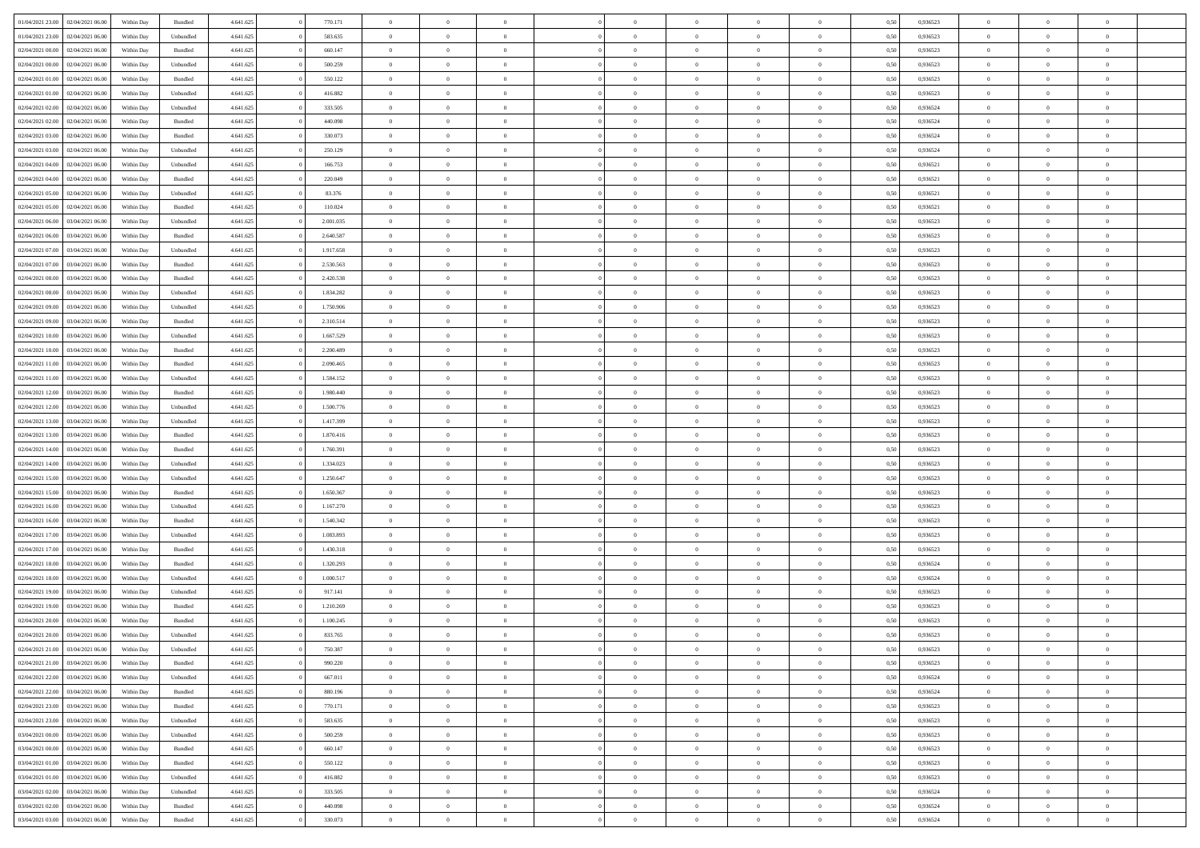| 01/04/2021 23:00 | 02/04/2021 06:00 | Within Day | Bundled            | 4.641.625 | 770.171   | $\overline{0}$ | $\Omega$       |                | $\Omega$       | $\Omega$       | $\theta$       | $\theta$       | 0.50 | 0,936523 | $\theta$       | $\theta$       | $\overline{0}$ |  |
|------------------|------------------|------------|--------------------|-----------|-----------|----------------|----------------|----------------|----------------|----------------|----------------|----------------|------|----------|----------------|----------------|----------------|--|
|                  |                  |            |                    |           |           |                |                |                |                |                |                |                |      |          |                |                |                |  |
| 01/04/2021 23:00 | 02/04/2021 06:00 | Within Day | Unbundled          | 4.641.625 | 583.635   | $\overline{0}$ | $\theta$       | $\overline{0}$ | $\overline{0}$ | $\bf{0}$       | $\overline{0}$ | $\bf{0}$       | 0,50 | 0,936523 | $\theta$       | $\overline{0}$ | $\overline{0}$ |  |
| 02/04/2021 00:00 | 02/04/2021 06:00 | Within Day | Bundled            | 4.641.625 | 660.147   | $\overline{0}$ | $\bf{0}$       | $\overline{0}$ | $\bf{0}$       | $\bf{0}$       | $\bf{0}$       | $\mathbf{0}$   | 0,50 | 0,936523 | $\overline{0}$ | $\overline{0}$ | $\bf{0}$       |  |
| 02/04/2021 00:00 | 02/04/2021 06:00 | Within Day | Unbundled          | 4.641.625 | 500.259   | $\overline{0}$ | $\overline{0}$ | $\overline{0}$ | $\overline{0}$ | $\bf{0}$       | $\overline{0}$ | $\overline{0}$ | 0.50 | 0.936523 | $\theta$       | $\theta$       | $\overline{0}$ |  |
|                  |                  |            |                    |           |           |                |                |                |                |                |                |                |      |          |                |                |                |  |
| 02/04/2021 01:00 | 02/04/2021 06:00 | Within Day | Bundled            | 4.641.625 | 550.122   | $\overline{0}$ | $\theta$       | $\overline{0}$ | $\overline{0}$ | $\bf{0}$       | $\overline{0}$ | $\bf{0}$       | 0,50 | 0,936523 | $\theta$       | $\overline{0}$ | $\overline{0}$ |  |
| 02/04/2021 01:00 | 02/04/2021 06:00 | Within Day | Unbundled          | 4.641.625 | 416.882   | $\overline{0}$ | $\overline{0}$ | $\overline{0}$ | $\bf{0}$       | $\overline{0}$ | $\overline{0}$ | $\mathbf{0}$   | 0,50 | 0,936523 | $\overline{0}$ | $\overline{0}$ | $\bf{0}$       |  |
| 02/04/2021 02:00 | 02/04/2021 06:00 | Within Dav | Unbundled          | 4.641.625 | 333.505   | $\overline{0}$ | $\overline{0}$ | $\overline{0}$ | $\overline{0}$ | $\overline{0}$ | $\overline{0}$ | $\overline{0}$ | 0.50 | 0,936524 | $\theta$       | $\overline{0}$ | $\overline{0}$ |  |
| 02/04/2021 02:00 | 02/04/2021 06:00 | Within Day | Bundled            | 4.641.625 | 440.098   | $\overline{0}$ | $\theta$       | $\overline{0}$ | $\overline{0}$ | $\bf{0}$       | $\overline{0}$ | $\bf{0}$       | 0,50 | 0,936524 | $\theta$       | $\theta$       | $\overline{0}$ |  |
|                  |                  |            |                    |           |           |                | $\overline{0}$ |                |                | $\bf{0}$       |                |                |      |          | $\,0\,$        | $\overline{0}$ | $\overline{0}$ |  |
| 02/04/2021 03:00 | 02/04/2021 06.00 | Within Day | Bundled            | 4.641.625 | 330.073   | $\overline{0}$ |                | $\overline{0}$ | $\bf{0}$       |                | $\bf{0}$       | $\bf{0}$       | 0,50 | 0,936524 |                |                |                |  |
| 02/04/2021 03:00 | 02/04/2021 06:00 | Within Dav | Unbundled          | 4.641.625 | 250.129   | $\overline{0}$ | $\overline{0}$ | $\overline{0}$ | $\overline{0}$ | $\overline{0}$ | $\overline{0}$ | $\overline{0}$ | 0.50 | 0,936524 | $\theta$       | $\overline{0}$ | $\overline{0}$ |  |
| 02/04/2021 04:00 | 02/04/2021 06:00 | Within Day | Unbundled          | 4.641.625 | 166.753   | $\overline{0}$ | $\theta$       | $\overline{0}$ | $\overline{0}$ | $\bf{0}$       | $\overline{0}$ | $\bf{0}$       | 0,50 | 0,936521 | $\,$ 0 $\,$    | $\overline{0}$ | $\overline{0}$ |  |
| 02/04/2021 04:00 | 02/04/2021 06.00 | Within Day | Bundled            | 4.641.625 | 220.049   | $\overline{0}$ | $\bf{0}$       | $\overline{0}$ | $\bf{0}$       | $\bf{0}$       | $\bf{0}$       | $\mathbf{0}$   | 0,50 | 0,936521 | $\bf{0}$       | $\overline{0}$ | $\bf{0}$       |  |
| 02/04/2021 05:00 | 02/04/2021 06:00 | Within Day | Unbundled          | 4.641.625 | 83.376    | $\overline{0}$ | $\overline{0}$ | $\overline{0}$ | $\overline{0}$ | $\bf{0}$       | $\overline{0}$ | $\overline{0}$ | 0.50 | 0,936521 | $\theta$       | $\theta$       | $\overline{0}$ |  |
|                  |                  |            |                    |           |           | $\overline{0}$ | $\theta$       | $\overline{0}$ | $\overline{0}$ | $\bf{0}$       | $\overline{0}$ |                |      |          | $\theta$       | $\overline{0}$ | $\overline{0}$ |  |
| 02/04/2021 05:00 | 02/04/2021 06:00 | Within Day | Bundled            | 4.641.625 | 110.024   |                |                |                |                |                |                | $\bf{0}$       | 0,50 | 0,936521 |                |                |                |  |
| 02/04/2021 06.00 | 03/04/2021 06:00 | Within Day | Unbundled          | 4.641.625 | 2.001.035 | $\overline{0}$ | $\overline{0}$ | $\overline{0}$ | $\bf{0}$       | $\overline{0}$ | $\overline{0}$ | $\mathbf{0}$   | 0,50 | 0,936523 | $\bf{0}$       | $\overline{0}$ | $\bf{0}$       |  |
| 02/04/2021 06:00 | 03/04/2021 06:00 | Within Dav | Bundled            | 4.641.625 | 2.640.587 | $\overline{0}$ | $\overline{0}$ | $\overline{0}$ | $\overline{0}$ | $\overline{0}$ | $\overline{0}$ | $\overline{0}$ | 0.50 | 0.936523 | $\theta$       | $\overline{0}$ | $\overline{0}$ |  |
| 02/04/2021 07:00 | 03/04/2021 06:00 | Within Day | Unbundled          | 4.641.625 | 1.917.658 | $\overline{0}$ | $\theta$       | $\overline{0}$ | $\overline{0}$ | $\bf{0}$       | $\overline{0}$ | $\bf{0}$       | 0,50 | 0,936523 | $\theta$       | $\theta$       | $\overline{0}$ |  |
| 02/04/2021 07:00 | 03/04/2021 06:00 | Within Day | Bundled            | 4.641.625 | 2.530.563 | $\overline{0}$ | $\overline{0}$ | $\overline{0}$ | $\bf{0}$       | $\bf{0}$       | $\bf{0}$       | $\mathbf{0}$   | 0,50 | 0,936523 | $\,0\,$        | $\overline{0}$ | $\overline{0}$ |  |
|                  |                  |            |                    |           |           |                | $\overline{0}$ |                |                | $\overline{0}$ |                |                |      |          | $\theta$       | $\overline{0}$ | $\overline{0}$ |  |
| 02/04/2021 08:00 | 03/04/2021 06:00 | Within Day | Bundled            | 4.641.625 | 2.420.538 | $\overline{0}$ |                | $\overline{0}$ | $\overline{0}$ |                | $\overline{0}$ | $\overline{0}$ | 0.50 | 0.936523 |                |                |                |  |
| 02/04/2021 08:00 | 03/04/2021 06:00 | Within Day | Unbundled          | 4.641.625 | 1.834.282 | $\overline{0}$ | $\theta$       | $\overline{0}$ | $\overline{0}$ | $\bf{0}$       | $\overline{0}$ | $\bf{0}$       | 0,50 | 0,936523 | $\theta$       | $\overline{0}$ | $\overline{0}$ |  |
| 02/04/2021 09:00 | 03/04/2021 06:00 | Within Day | Unbundled          | 4.641.625 | 1.750.906 | $\overline{0}$ | $\overline{0}$ | $\overline{0}$ | $\bf{0}$       | $\bf{0}$       | $\bf{0}$       | $\bf{0}$       | 0,50 | 0,936523 | $\,0\,$        | $\overline{0}$ | $\bf{0}$       |  |
| 02/04/2021 09:00 | 03/04/2021 06:00 | Within Day | Bundled            | 4.641.625 | 2.310.514 | $\overline{0}$ | $\overline{0}$ | $\overline{0}$ | $\overline{0}$ | $\bf{0}$       | $\overline{0}$ | $\overline{0}$ | 0.50 | 0.936523 | $\theta$       | $\overline{0}$ | $\overline{0}$ |  |
| 02/04/2021 10:00 | 03/04/2021 06:00 | Within Day | Unbundled          | 4.641.625 | 1.667.529 | $\overline{0}$ | $\theta$       | $\overline{0}$ | $\overline{0}$ | $\bf{0}$       | $\overline{0}$ | $\bf{0}$       | 0,50 | 0,936523 | $\theta$       | $\overline{0}$ | $\overline{0}$ |  |
|                  |                  |            |                    |           |           |                |                |                |                |                |                |                |      |          |                |                |                |  |
| 02/04/2021 10:00 | 03/04/2021 06:00 | Within Day | Bundled            | 4.641.625 | 2.200.489 | $\overline{0}$ | $\overline{0}$ | $\overline{0}$ | $\bf{0}$       | $\overline{0}$ | $\overline{0}$ | $\mathbf{0}$   | 0,50 | 0,936523 | $\overline{0}$ | $\overline{0}$ | $\bf{0}$       |  |
| 02/04/2021 11:00 | 03/04/2021 06:00 | Within Dav | Bundled            | 4.641.625 | 2.090.465 | $\overline{0}$ | $\overline{0}$ | $\overline{0}$ | $\overline{0}$ | $\overline{0}$ | $\overline{0}$ | $\overline{0}$ | 0.50 | 0.936523 | $\theta$       | $\overline{0}$ | $\overline{0}$ |  |
| 02/04/2021 11:00 | 03/04/2021 06:00 | Within Day | Unbundled          | 4.641.625 | 1.584.152 | $\overline{0}$ | $\theta$       | $\overline{0}$ | $\overline{0}$ | $\bf{0}$       | $\overline{0}$ | $\bf{0}$       | 0,50 | 0,936523 | $\theta$       | $\theta$       | $\overline{0}$ |  |
| 02/04/2021 12:00 | 03/04/2021 06:00 | Within Day | Bundled            | 4.641.625 | 1.980.440 | $\overline{0}$ | $\overline{0}$ | $\overline{0}$ | $\bf{0}$       | $\bf{0}$       | $\bf{0}$       | $\bf{0}$       | 0,50 | 0,936523 | $\,0\,$        | $\overline{0}$ | $\overline{0}$ |  |
| 02/04/2021 12:00 | 03/04/2021 06:00 | Within Day | Unbundled          | 4.641.625 | 1.500.776 | $\overline{0}$ | $\overline{0}$ | $\overline{0}$ | $\overline{0}$ | $\overline{0}$ | $\overline{0}$ | $\overline{0}$ | 0.50 | 0.936523 | $\theta$       | $\overline{0}$ | $\overline{0}$ |  |
|                  |                  |            |                    |           |           |                |                |                |                |                |                |                |      |          |                |                |                |  |
| 02/04/2021 13:00 | 03/04/2021 06:00 | Within Day | Unbundled          | 4.641.625 | 1.417.399 | $\overline{0}$ | $\theta$       | $\overline{0}$ | $\overline{0}$ | $\bf{0}$       | $\overline{0}$ | $\bf{0}$       | 0,50 | 0,936523 | $\,$ 0 $\,$    | $\overline{0}$ | $\overline{0}$ |  |
| 02/04/2021 13:00 | 03/04/2021 06:00 | Within Day | Bundled            | 4.641.625 | 1.870.416 | $\overline{0}$ | $\overline{0}$ | $\overline{0}$ | $\bf{0}$       | $\bf{0}$       | $\bf{0}$       | $\bf{0}$       | 0,50 | 0,936523 | $\bf{0}$       | $\overline{0}$ | $\bf{0}$       |  |
| 02/04/2021 14:00 | 03/04/2021 06:00 | Within Day | Bundled            | 4.641.625 | 1.760.391 | $\overline{0}$ | $\Omega$       | $\Omega$       | $\Omega$       | $\Omega$       | $\overline{0}$ | $\overline{0}$ | 0,50 | 0,936523 | $\,0\,$        | $\theta$       | $\theta$       |  |
| 02/04/2021 14:00 | 03/04/2021 06:00 | Within Day | Unbundled          | 4.641.625 | 1.334.023 | $\overline{0}$ | $\theta$       | $\overline{0}$ | $\overline{0}$ | $\bf{0}$       | $\overline{0}$ | $\bf{0}$       | 0,50 | 0,936523 | $\theta$       | $\overline{0}$ | $\overline{0}$ |  |
|                  |                  |            |                    |           |           |                |                |                |                |                |                |                |      |          |                | $\overline{0}$ | $\bf{0}$       |  |
| 02/04/2021 15:00 | 03/04/2021 06:00 | Within Day | Unbundled          | 4.641.625 | 1.250.647 | $\overline{0}$ | $\overline{0}$ | $\overline{0}$ | $\bf{0}$       | $\overline{0}$ | $\overline{0}$ | $\mathbf{0}$   | 0,50 | 0,936523 | $\bf{0}$       |                |                |  |
| 02/04/2021 15:00 | 03/04/2021 06:00 | Within Day | Bundled            | 4.641.625 | 1.650.367 | $\overline{0}$ | $\Omega$       | $\Omega$       | $\Omega$       | $\bf{0}$       | $\overline{0}$ | $\overline{0}$ | 0.50 | 0.936523 | $\,0\,$        | $\theta$       | $\theta$       |  |
| 02/04/2021 16:00 | 03/04/2021 06:00 | Within Day | Unbundled          | 4.641.625 | 1.167.270 | $\overline{0}$ | $\theta$       | $\overline{0}$ | $\overline{0}$ | $\bf{0}$       | $\overline{0}$ | $\bf{0}$       | 0,50 | 0,936523 | $\theta$       | $\overline{0}$ | $\overline{0}$ |  |
| 02/04/2021 16:00 | 03/04/2021 06:00 | Within Day | Bundled            | 4.641.625 | 1.540.342 | $\overline{0}$ | $\overline{0}$ | $\overline{0}$ | $\bf{0}$       | $\bf{0}$       | $\bf{0}$       | $\bf{0}$       | 0,50 | 0,936523 | $\,0\,$        | $\overline{0}$ | $\bf{0}$       |  |
| 02/04/2021 17:00 | 03/04/2021 06:00 | Within Day | Unbundled          | 4.641.625 | 1.083.893 | $\overline{0}$ | $\Omega$       | $\Omega$       | $\Omega$       | $\theta$       | $\overline{0}$ | $\overline{0}$ | 0.50 | 0.936523 | $\,$ 0 $\,$    | $\theta$       | $\theta$       |  |
| 02/04/2021 17:00 | 03/04/2021 06:00 | Within Day | Bundled            | 4.641.625 | 1.430.318 | $\overline{0}$ | $\theta$       | $\overline{0}$ | $\overline{0}$ | $\,$ 0         | $\overline{0}$ | $\bf{0}$       | 0,50 | 0,936523 | $\,$ 0 $\,$    | $\overline{0}$ | $\overline{0}$ |  |
|                  |                  |            |                    |           |           |                |                |                |                |                |                |                |      |          |                |                |                |  |
| 02/04/2021 18:00 | 03/04/2021 06:00 | Within Day | Bundled            | 4.641.625 | 1.320.293 | $\overline{0}$ | $\bf{0}$       | $\overline{0}$ | $\bf{0}$       | $\bf{0}$       | $\bf{0}$       | $\mathbf{0}$   | 0,50 | 0,936524 | $\bf{0}$       | $\overline{0}$ | $\bf{0}$       |  |
| 02/04/2021 18:00 | 03/04/2021 06:00 | Within Day | Unbundled          | 4.641.625 | 1.000.517 | $\overline{0}$ | $\Omega$       | $\overline{0}$ | $\Omega$       | $\overline{0}$ | $\overline{0}$ | $\overline{0}$ | 0,50 | 0,936524 | $\,0\,$        | $\theta$       | $\theta$       |  |
| 02/04/2021 19:00 | 03/04/2021 06:00 | Within Day | Unbundled          | 4.641.625 | 917.141   | $\overline{0}$ | $\theta$       | $\overline{0}$ | $\overline{0}$ | $\,$ 0         | $\overline{0}$ | $\bf{0}$       | 0,50 | 0,936523 | $\,$ 0 $\,$    | $\overline{0}$ | $\overline{0}$ |  |
| 02/04/2021 19:00 | 03/04/2021 06:00 | Within Day | Bundled            | 4.641.625 | 1.210.269 | $\overline{0}$ | $\overline{0}$ | $\overline{0}$ | $\overline{0}$ | $\bf{0}$       | $\overline{0}$ | $\mathbf{0}$   | 0,50 | 0,936523 | $\bf{0}$       | $\overline{0}$ | $\bf{0}$       |  |
|                  |                  |            |                    |           |           |                |                |                |                |                |                |                |      |          |                |                | $\theta$       |  |
| 02/04/2021 20:00 | 03/04/2021 06:00 | Within Day | Bundled            | 4.641.625 | 1.100.245 | $\overline{0}$ | $\Omega$       | $\Omega$       | $\Omega$       | $\Omega$       | $\Omega$       | $\overline{0}$ | 0.50 | 0.936523 | $\theta$       | $\theta$       |                |  |
| 02/04/2021 20:00 | 03/04/2021 06:00 | Within Day | Unbundled          | 4.641.625 | 833.765   | $\overline{0}$ | $\overline{0}$ | $\overline{0}$ | $\bf{0}$       | $\,$ 0         | $\overline{0}$ | $\bf{0}$       | 0,50 | 0,936523 | $\,0\,$        | $\,$ 0 $\,$    | $\overline{0}$ |  |
| 02/04/2021 21:00 | 03/04/2021 06:00 | Within Day | Unbundled          | 4.641.625 | 750.387   | $\bf{0}$       | $\bf{0}$       |                |                |                |                |                | 0,50 | 0,936523 | $\bf{0}$       | $\overline{0}$ |                |  |
| 02/04/2021 21:00 | 03/04/2021 06:00 | Within Day | Bundled            | 4.641.625 | 990.220   | $\overline{0}$ | $\overline{0}$ | $\overline{0}$ | $\Omega$       | $\overline{0}$ | $\overline{0}$ | $\overline{0}$ | 0,50 | 0.936523 | $\theta$       | $\theta$       | $\theta$       |  |
| 02/04/2021 22.00 | 03/04/2021 06:00 | Within Day | Unbundled          | 4.641.625 | 667.011   | $\overline{0}$ | $\bf{0}$       | $\overline{0}$ | $\overline{0}$ | $\,$ 0 $\,$    | $\overline{0}$ | $\,$ 0 $\,$    | 0,50 | 0,936524 | $\,$ 0 $\,$    | $\,$ 0 $\,$    | $\,$ 0         |  |
|                  |                  |            |                    |           |           |                |                |                |                |                |                |                |      |          |                |                |                |  |
| 02/04/2021 22.00 | 03/04/2021 06:00 | Within Day | Bundled            | 4.641.625 | 880.196   | $\overline{0}$ | $\overline{0}$ | $\overline{0}$ | $\overline{0}$ | $\overline{0}$ | $\overline{0}$ | $\mathbf{0}$   | 0,50 | 0,936524 | $\overline{0}$ | $\bf{0}$       | $\overline{0}$ |  |
| 02/04/2021 23:00 | 03/04/2021 06:00 | Within Day | $\mathbf B$ undled | 4.641.625 | 770.171   | $\overline{0}$ | $\overline{0}$ | $\overline{0}$ | $\Omega$       | $\overline{0}$ | $\overline{0}$ | $\overline{0}$ | 0,50 | 0,936523 | $\overline{0}$ | $\theta$       | $\overline{0}$ |  |
| 02/04/2021 23:00 | 03/04/2021 06:00 | Within Day | Unbundled          | 4.641.625 | 583.635   | $\overline{0}$ | $\,$ 0         | $\overline{0}$ | $\bf{0}$       | $\,$ 0 $\,$    | $\overline{0}$ | $\,$ 0 $\,$    | 0,50 | 0,936523 | $\,$ 0 $\,$    | $\overline{0}$ | $\overline{0}$ |  |
| 03/04/2021 00:00 | 03/04/2021 06:00 | Within Day | Unbundled          | 4.641.625 | 500.259   | $\overline{0}$ | $\overline{0}$ | $\overline{0}$ | $\overline{0}$ | $\overline{0}$ | $\overline{0}$ | $\mathbf{0}$   | 0,50 | 0,936523 | $\overline{0}$ | $\overline{0}$ | $\overline{0}$ |  |
| 03/04/2021 00:00 | 03/04/2021 06:00 | Within Day | Bundled            | 4.641.625 | 660.147   | $\overline{0}$ | $\overline{0}$ | $\overline{0}$ | $\overline{0}$ | $\overline{0}$ | $\overline{0}$ | $\bf{0}$       | 0.50 | 0,936523 | $\overline{0}$ | $\theta$       | $\overline{0}$ |  |
| 03/04/2021 01:00 | 03/04/2021 06:00 |            | Bundled            | 4.641.625 | 550.122   | $\overline{0}$ | $\,$ 0         |                |                | $\bf{0}$       |                |                |      | 0,936523 | $\,$ 0 $\,$    | $\overline{0}$ | $\overline{0}$ |  |
|                  |                  | Within Day |                    |           |           |                |                | $\overline{0}$ | $\bf{0}$       |                | $\bf{0}$       | $\bf{0}$       | 0,50 |          |                |                |                |  |
| 03/04/2021 01:00 | 03/04/2021 06:00 | Within Day | Unbundled          | 4.641.625 | 416.882   | $\overline{0}$ | $\bf{0}$       | $\overline{0}$ | $\overline{0}$ | $\overline{0}$ | $\overline{0}$ | $\mathbf{0}$   | 0,50 | 0,936523 | $\overline{0}$ | $\overline{0}$ | $\bf{0}$       |  |
| 03/04/2021 02:00 | 03/04/2021 06:00 | Within Day | Unbundled          | 4.641.625 | 333.505   | $\overline{0}$ | $\overline{0}$ | $\overline{0}$ | $\Omega$       | $\overline{0}$ | $\overline{0}$ | $\overline{0}$ | 0.50 | 0.936524 | $\overline{0}$ | $\overline{0}$ | $\overline{0}$ |  |
| 03/04/2021 02:00 | 03/04/2021 06:00 | Within Day | Bundled            | 4.641.625 | 440.098   | $\overline{0}$ | $\bf{0}$       | $\overline{0}$ | $\bf{0}$       | $\bf{0}$       | $\bf{0}$       | $\mathbf{0}$   | 0,50 | 0,936524 | $\,$ 0 $\,$    | $\,$ 0 $\,$    | $\bf{0}$       |  |
| 03/04/2021 03:00 | 03/04/2021 06:00 | Within Day | Bundled            | 4.641.625 | 330.073   | $\overline{0}$ | $\overline{0}$ | $\overline{0}$ | $\overline{0}$ | $\overline{0}$ | $\bf{0}$       | $\mathbf{0}$   | 0,50 | 0,936524 | $\overline{0}$ | $\bf{0}$       | $\overline{0}$ |  |
|                  |                  |            |                    |           |           |                |                |                |                |                |                |                |      |          |                |                |                |  |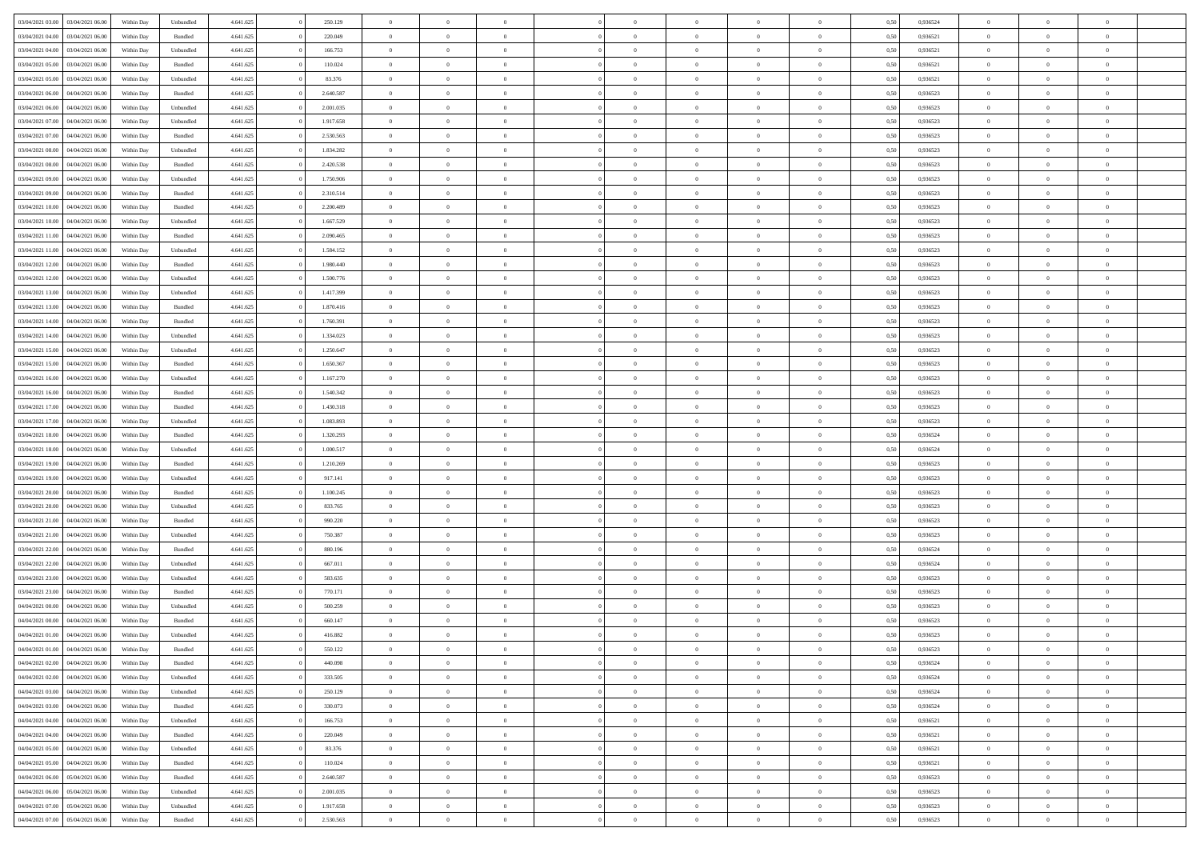| 03/04/2021 03:00                  | 03/04/2021 06:00 | Within Day | Unbundled          | 4.641.625 | 250.129   | $\overline{0}$ | $\theta$       |                | $\Omega$       | $\Omega$       | $\theta$       | $\theta$       | 0.50 | 0,936524 | $\theta$       | $\overline{0}$ | $\theta$       |  |
|-----------------------------------|------------------|------------|--------------------|-----------|-----------|----------------|----------------|----------------|----------------|----------------|----------------|----------------|------|----------|----------------|----------------|----------------|--|
| 03/04/2021 04:00                  | 03/04/2021 06:00 | Within Day | Bundled            | 4.641.625 | 220.049   | $\overline{0}$ | $\theta$       | $\overline{0}$ | $\overline{0}$ | $\bf{0}$       | $\overline{0}$ | $\bf{0}$       | 0,50 | 0,936521 | $\theta$       | $\overline{0}$ | $\overline{0}$ |  |
| 03/04/2021 04:00                  | 03/04/2021 06:00 | Within Day | Unbundled          | 4.641.625 | 166.753   | $\overline{0}$ | $\overline{0}$ | $\overline{0}$ | $\bf{0}$       | $\bf{0}$       | $\bf{0}$       | $\bf{0}$       | 0,50 | 0,936521 | $\overline{0}$ | $\overline{0}$ | $\overline{0}$ |  |
|                                   |                  |            |                    |           |           |                |                |                |                |                |                |                |      |          |                |                |                |  |
| 03/04/2021 05:00                  | 03/04/2021 06:00 | Within Dav | Bundled            | 4.641.625 | 110.024   | $\overline{0}$ | $\overline{0}$ | $\overline{0}$ | $\overline{0}$ | $\bf{0}$       | $\overline{0}$ | $\overline{0}$ | 0.50 | 0.936521 | $\theta$       | $\theta$       | $\overline{0}$ |  |
| 03/04/2021 05:00                  | 03/04/2021 06:00 | Within Day | Unbundled          | 4.641.625 | 83.376    | $\overline{0}$ | $\theta$       | $\overline{0}$ | $\overline{0}$ | $\bf{0}$       | $\overline{0}$ | $\bf{0}$       | 0,50 | 0,936521 | $\theta$       | $\overline{0}$ | $\overline{0}$ |  |
| 03/04/2021 06:00                  | 04/04/2021 06.00 | Within Day | Bundled            | 4.641.625 | 2.640.587 | $\overline{0}$ | $\bf{0}$       | $\overline{0}$ | $\bf{0}$       | $\overline{0}$ | $\overline{0}$ | $\mathbf{0}$   | 0,50 | 0,936523 | $\overline{0}$ | $\overline{0}$ | $\bf{0}$       |  |
| 03/04/2021 06:00                  | 04/04/2021 06.00 | Within Dav | Unbundled          | 4.641.625 | 2.001.035 | $\overline{0}$ | $\overline{0}$ | $\overline{0}$ | $\overline{0}$ | $\overline{0}$ | $\overline{0}$ | $\overline{0}$ | 0.50 | 0.936523 | $\theta$       | $\overline{0}$ | $\overline{0}$ |  |
|                                   |                  |            |                    |           |           |                |                |                |                |                |                |                |      |          |                |                |                |  |
| 03/04/2021 07:00                  | 04/04/2021 06.00 | Within Day | Unbundled          | 4.641.625 | 1.917.658 | $\overline{0}$ | $\theta$       | $\overline{0}$ | $\overline{0}$ | $\bf{0}$       | $\overline{0}$ | $\bf{0}$       | 0,50 | 0,936523 | $\theta$       | $\theta$       | $\overline{0}$ |  |
| 03/04/2021 07:00                  | 04/04/2021 06.00 | Within Day | Bundled            | 4.641.625 | 2.530.563 | $\overline{0}$ | $\overline{0}$ | $\overline{0}$ | $\bf{0}$       | $\bf{0}$       | $\bf{0}$       | $\bf{0}$       | 0,50 | 0,936523 | $\,0\,$        | $\overline{0}$ | $\overline{0}$ |  |
| 03/04/2021 08:00                  | 04/04/2021 06.00 | Within Dav | Unbundled          | 4.641.625 | 1.834.282 | $\overline{0}$ | $\overline{0}$ | $\overline{0}$ | $\overline{0}$ | $\overline{0}$ | $\overline{0}$ | $\overline{0}$ | 0.50 | 0.936523 | $\theta$       | $\overline{0}$ | $\overline{0}$ |  |
|                                   |                  |            |                    |           |           |                |                |                |                |                |                |                |      |          |                |                |                |  |
| 03/04/2021 08:00                  | 04/04/2021 06.00 | Within Day | Bundled            | 4.641.625 | 2.420.538 | $\overline{0}$ | $\theta$       | $\overline{0}$ | $\overline{0}$ | $\bf{0}$       | $\overline{0}$ | $\bf{0}$       | 0,50 | 0,936523 | $\,$ 0 $\,$    | $\overline{0}$ | $\overline{0}$ |  |
| 03/04/2021 09:00                  | 04/04/2021 06.00 | Within Day | Unbundled          | 4.641.625 | 1.750.906 | $\overline{0}$ | $\overline{0}$ | $\overline{0}$ | $\bf{0}$       | $\bf{0}$       | $\bf{0}$       | $\bf{0}$       | 0,50 | 0,936523 | $\overline{0}$ | $\overline{0}$ | $\overline{0}$ |  |
| 03/04/2021 09:00                  | 04/04/2021 06:00 | Within Day | Bundled            | 4.641.625 | 2.310.514 | $\overline{0}$ | $\overline{0}$ | $\overline{0}$ | $\overline{0}$ | $\bf{0}$       | $\overline{0}$ | $\overline{0}$ | 0.50 | 0.936523 | $\theta$       | $\theta$       | $\overline{0}$ |  |
| 03/04/2021 10:00                  | 04/04/2021 06.00 | Within Day | Bundled            | 4.641.625 | 2.200.489 | $\overline{0}$ | $\theta$       | $\overline{0}$ | $\overline{0}$ | $\bf{0}$       | $\overline{0}$ | $\overline{0}$ | 0,50 | 0,936523 | $\theta$       | $\overline{0}$ | $\overline{0}$ |  |
|                                   |                  |            |                    |           |           |                |                |                |                |                |                |                |      |          |                |                |                |  |
| 03/04/2021 10:00                  | 04/04/2021 06.00 | Within Day | Unbundled          | 4.641.625 | 1.667.529 | $\overline{0}$ | $\bf{0}$       | $\overline{0}$ | $\bf{0}$       | $\overline{0}$ | $\overline{0}$ | $\mathbf{0}$   | 0,50 | 0,936523 | $\overline{0}$ | $\overline{0}$ | $\bf{0}$       |  |
| 03/04/2021 11:00                  | 04/04/2021 06.00 | Within Dav | Bundled            | 4.641.625 | 2.090.465 | $\overline{0}$ | $\overline{0}$ | $\overline{0}$ | $\overline{0}$ | $\overline{0}$ | $\overline{0}$ | $\overline{0}$ | 0.50 | 0.936523 | $\theta$       | $\overline{0}$ | $\overline{0}$ |  |
| 03/04/2021 11:00                  | 04/04/2021 06.00 | Within Day | Unbundled          | 4.641.625 | 1.584.152 | $\overline{0}$ | $\theta$       | $\overline{0}$ | $\overline{0}$ | $\bf{0}$       | $\overline{0}$ | $\bf{0}$       | 0,50 | 0,936523 | $\theta$       | $\theta$       | $\overline{0}$ |  |
|                                   |                  |            |                    |           |           |                |                |                |                |                |                |                |      |          |                |                |                |  |
| 03/04/2021 12:00                  | 04/04/2021 06.00 | Within Day | Bundled            | 4.641.625 | 1.980.440 | $\overline{0}$ | $\overline{0}$ | $\overline{0}$ | $\bf{0}$       | $\bf{0}$       | $\bf{0}$       | $\bf{0}$       | 0,50 | 0,936523 | $\,0\,$        | $\overline{0}$ | $\overline{0}$ |  |
| 03/04/2021 12:00                  | 04/04/2021 06.00 | Within Day | Unbundled          | 4.641.625 | 1.500.776 | $\overline{0}$ | $\overline{0}$ | $\overline{0}$ | $\overline{0}$ | $\overline{0}$ | $\overline{0}$ | $\overline{0}$ | 0.50 | 0.936523 | $\theta$       | $\overline{0}$ | $\overline{0}$ |  |
| 03/04/2021 13:00                  | 04/04/2021 06.00 | Within Day | Unbundled          | 4.641.625 | 1.417.399 | $\overline{0}$ | $\theta$       | $\overline{0}$ | $\overline{0}$ | $\bf{0}$       | $\overline{0}$ | $\bf{0}$       | 0,50 | 0,936523 | $\,$ 0 $\,$    | $\theta$       | $\overline{0}$ |  |
| 03/04/2021 13:00                  | 04/04/2021 06:00 | Within Day | Bundled            | 4.641.625 | 1.870.416 | $\overline{0}$ | $\overline{0}$ | $\overline{0}$ | $\bf{0}$       | $\bf{0}$       | $\bf{0}$       | $\bf{0}$       | 0,50 | 0,936523 | $\,0\,$        | $\overline{0}$ | $\overline{0}$ |  |
|                                   |                  |            |                    |           |           |                |                |                |                |                |                |                |      |          |                |                |                |  |
| 03/04/2021 14:00                  | 04/04/2021 06:00 | Within Day | Bundled            | 4.641.625 | 1.760.391 | $\overline{0}$ | $\overline{0}$ | $\overline{0}$ | $\overline{0}$ | $\bf{0}$       | $\overline{0}$ | $\overline{0}$ | 0.50 | 0.936523 | $\theta$       | $\theta$       | $\overline{0}$ |  |
| 03/04/2021 14:00                  | 04/04/2021 06.00 | Within Day | Unbundled          | 4.641.625 | 1.334.023 | $\overline{0}$ | $\theta$       | $\overline{0}$ | $\overline{0}$ | $\bf{0}$       | $\overline{0}$ | $\bf{0}$       | 0,50 | 0,936523 | $\theta$       | $\overline{0}$ | $\overline{0}$ |  |
| 03/04/2021 15:00                  | 04/04/2021 06.00 | Within Day | Unbundled          | 4.641.625 | 1.250.647 | $\overline{0}$ | $\bf{0}$       | $\overline{0}$ | $\bf{0}$       | $\overline{0}$ | $\overline{0}$ | $\mathbf{0}$   | 0,50 | 0,936523 | $\overline{0}$ | $\overline{0}$ | $\bf{0}$       |  |
| 03/04/2021 15:00                  | 04/04/2021 06.00 | Within Dav | Bundled            | 4.641.625 | 1.650.367 | $\overline{0}$ | $\overline{0}$ | $\overline{0}$ | $\overline{0}$ | $\overline{0}$ | $\overline{0}$ | $\overline{0}$ | 0.50 | 0.936523 | $\theta$       | $\overline{0}$ | $\overline{0}$ |  |
|                                   |                  |            |                    |           |           |                |                |                |                |                |                |                |      |          |                |                |                |  |
| 03/04/2021 16:00                  | 04/04/2021 06.00 | Within Day | Unbundled          | 4.641.625 | 1.167.270 | $\overline{0}$ | $\theta$       | $\overline{0}$ | $\overline{0}$ | $\bf{0}$       | $\overline{0}$ | $\bf{0}$       | 0,50 | 0,936523 | $\theta$       | $\theta$       | $\overline{0}$ |  |
| 03/04/2021 16:00                  | 04/04/2021 06:00 | Within Day | Bundled            | 4.641.625 | 1.540.342 | $\overline{0}$ | $\overline{0}$ | $\overline{0}$ | $\bf{0}$       | $\bf{0}$       | $\bf{0}$       | $\bf{0}$       | 0,50 | 0,936523 | $\,0\,$        | $\overline{0}$ | $\overline{0}$ |  |
| 03/04/2021 17:00                  | 04/04/2021 06.00 | Within Day | Bundled            | 4.641.625 | 1.430.318 | $\overline{0}$ | $\overline{0}$ | $\overline{0}$ | $\overline{0}$ | $\overline{0}$ | $\overline{0}$ | $\overline{0}$ | 0.50 | 0.936523 | $\theta$       | $\overline{0}$ | $\overline{0}$ |  |
| 03/04/2021 17:00                  | 04/04/2021 06.00 |            |                    | 4.641.625 | 1.083.893 | $\overline{0}$ | $\theta$       | $\overline{0}$ | $\overline{0}$ | $\bf{0}$       | $\overline{0}$ |                |      | 0,936523 | $\,$ 0 $\,$    | $\overline{0}$ | $\overline{0}$ |  |
|                                   |                  | Within Day | Unbundled          |           |           |                |                |                |                |                |                | $\bf{0}$       | 0,50 |          |                |                |                |  |
| 03/04/2021 18:00                  | 04/04/2021 06:00 | Within Day | Bundled            | 4.641.625 | 1.320.293 | $\overline{0}$ | $\overline{0}$ | $\overline{0}$ | $\bf{0}$       | $\bf{0}$       | $\bf{0}$       | $\bf{0}$       | 0,50 | 0,936524 | $\bf{0}$       | $\overline{0}$ | $\overline{0}$ |  |
| 03/04/2021 18:00                  | 04/04/2021 06.00 | Within Day | Unbundled          | 4.641.625 | 1.000.517 | $\overline{0}$ | $\Omega$       | $\Omega$       | $\Omega$       | $\Omega$       | $\Omega$       | $\overline{0}$ | 0,50 | 0,936524 | $\,0\,$        | $\theta$       | $\theta$       |  |
| 03/04/2021 19:00                  | 04/04/2021 06.00 | Within Day | Bundled            | 4.641.625 | 1.210.269 | $\overline{0}$ | $\theta$       | $\overline{0}$ | $\overline{0}$ | $\bf{0}$       | $\overline{0}$ | $\bf{0}$       | 0,50 | 0,936523 | $\theta$       | $\theta$       | $\overline{0}$ |  |
|                                   |                  |            |                    |           |           |                |                |                |                |                |                |                |      |          |                |                |                |  |
| 03/04/2021 19:00                  | 04/04/2021 06:00 | Within Day | Unbundled          | 4.641.625 | 917.141   | $\overline{0}$ | $\overline{0}$ | $\overline{0}$ | $\bf{0}$       | $\bf{0}$       | $\overline{0}$ | $\mathbf{0}$   | 0,50 | 0,936523 | $\overline{0}$ | $\overline{0}$ | $\bf{0}$       |  |
| 03/04/2021 20.00                  | 04/04/2021 06:00 | Within Day | Bundled            | 4.641.625 | 1.100.245 | $\overline{0}$ | $\Omega$       | $\Omega$       | $\Omega$       | $\bf{0}$       | $\overline{0}$ | $\overline{0}$ | 0.50 | 0.936523 | $\theta$       | $\theta$       | $\theta$       |  |
| 03/04/2021 20:00                  | 04/04/2021 06.00 | Within Day | Unbundled          | 4.641.625 | 833.765   | $\overline{0}$ | $\theta$       | $\overline{0}$ | $\overline{0}$ | $\bf{0}$       | $\overline{0}$ | $\bf{0}$       | 0,50 | 0,936523 | $\theta$       | $\theta$       | $\overline{0}$ |  |
| 03/04/2021 21.00                  | 04/04/2021 06.00 | Within Day | Bundled            | 4.641.625 | 990.220   | $\overline{0}$ | $\overline{0}$ | $\overline{0}$ | $\overline{0}$ | $\bf{0}$       | $\overline{0}$ | $\bf{0}$       | 0,50 | 0,936523 | $\,0\,$        | $\overline{0}$ | $\overline{0}$ |  |
|                                   |                  |            |                    |           |           |                |                |                |                |                |                |                |      |          |                |                |                |  |
| 03/04/2021 21:00                  | 04/04/2021 06:00 | Within Day | Unbundled          | 4.641.625 | 750,387   | $\overline{0}$ | $\Omega$       | $\Omega$       | $\Omega$       | $\theta$       | $\theta$       | $\overline{0}$ | 0.50 | 0.936523 | $\theta$       | $\theta$       | $\theta$       |  |
| 03/04/2021 22:00                  | 04/04/2021 06.00 | Within Day | Bundled            | 4.641.625 | 880.196   | $\overline{0}$ | $\theta$       | $\overline{0}$ | $\overline{0}$ | $\bf{0}$       | $\overline{0}$ | $\bf{0}$       | 0,50 | 0,936524 | $\,$ 0 $\,$    | $\overline{0}$ | $\overline{0}$ |  |
| 03/04/2021 22.00                  | 04/04/2021 06.00 | Within Day | Unbundled          | 4.641.625 | 667.011   | $\overline{0}$ | $\overline{0}$ | $\overline{0}$ | $\overline{0}$ | $\bf{0}$       | $\overline{0}$ | $\bf{0}$       | 0,50 | 0,936524 | $\overline{0}$ | $\overline{0}$ | $\overline{0}$ |  |
| 03/04/2021 23:00                  | 04/04/2021 06.00 | Within Day | Unbundled          | 4.641.625 | 583.635   | $\overline{0}$ | $\Omega$       | $\Omega$       | $\Omega$       | $\Omega$       | $\overline{0}$ | $\overline{0}$ | 0.50 | 0,936523 | $\,0\,$        | $\theta$       | $\theta$       |  |
|                                   |                  |            |                    |           |           |                |                |                |                |                |                |                |      |          |                |                |                |  |
| 03/04/2021 23:00                  | 04/04/2021 06.00 | Within Day | Bundled            | 4.641.625 | 770.171   | $\overline{0}$ | $\theta$       | $\overline{0}$ | $\overline{0}$ | $\bf{0}$       | $\overline{0}$ | $\bf{0}$       | 0,50 | 0,936523 | $\,$ 0 $\,$    | $\overline{0}$ | $\overline{0}$ |  |
| 04/04/2021 00:00                  | 04/04/2021 06.00 | Within Day | Unbundled          | 4.641.625 | 500.259   | $\overline{0}$ | $\overline{0}$ | $\overline{0}$ | $\overline{0}$ | $\bf{0}$       | $\overline{0}$ | $\mathbf{0}$   | 0,50 | 0,936523 | $\overline{0}$ | $\overline{0}$ | $\bf{0}$       |  |
| 04/04/2021 00:00                  | 04/04/2021 06:00 | Within Day | Bundled            | 4.641.625 | 660.147   | $\overline{0}$ | $\Omega$       | $\Omega$       | $\Omega$       | $\Omega$       | $\Omega$       | $\overline{0}$ | 0.50 | 0.936523 | $\theta$       | $\theta$       | $\theta$       |  |
| 04/04/2021 01:00                  | 04/04/2021 06:00 | Within Day | Unbundled          | 4.641.625 | 416.882   | $\overline{0}$ | $\overline{0}$ | $\overline{0}$ | $\bf{0}$       | $\,$ 0         | $\overline{0}$ | $\bf{0}$       | 0,50 | 0,936523 | $\,0\,$        | $\overline{0}$ | $\overline{0}$ |  |
|                                   |                  |            |                    |           |           |                |                |                |                |                |                |                |      |          |                |                |                |  |
| 04/04/2021 01:00 04/04/2021 06:00 |                  | Within Day | $\mathbf B$ undled | 4.641.625 | 550.122   | $\bf{0}$       | $\bf{0}$       |                |                |                |                |                | 0,50 | 0,936523 | $\bf{0}$       | $\overline{0}$ |                |  |
| 04/04/2021 02.00                  | 04/04/2021 06:00 | Within Day | Bundled            | 4.641.625 | 440 098   | $\overline{0}$ | $\overline{0}$ | $\overline{0}$ | $\Omega$       | $\overline{0}$ | $\overline{0}$ | $\overline{0}$ | 0.50 | 0.936524 | $\theta$       | $\theta$       | $\theta$       |  |
| 04/04/2021 02:00                  | 04/04/2021 06:00 | Within Day | Unbundled          | 4.641.625 | 333.505   | $\overline{0}$ | $\,$ 0         | $\overline{0}$ | $\overline{0}$ | $\,$ 0 $\,$    | $\overline{0}$ | $\,$ 0 $\,$    | 0,50 | 0,936524 | $\,$ 0 $\,$    | $\,$ 0 $\,$    | $\,$ 0         |  |
|                                   |                  |            |                    |           |           |                |                |                |                |                |                |                |      |          |                |                |                |  |
| 04/04/2021 03:00                  | 04/04/2021 06:00 | Within Day | Unbundled          | 4.641.625 | 250.129   | $\overline{0}$ | $\overline{0}$ | $\overline{0}$ | $\overline{0}$ | $\overline{0}$ | $\overline{0}$ | $\mathbf{0}$   | 0,50 | 0,936524 | $\overline{0}$ | $\bf{0}$       | $\bf{0}$       |  |
| 04/04/2021 03:00                  | 04/04/2021 06:00 | Within Day | $\mathbf B$ undled | 4.641.625 | 330.073   | $\overline{0}$ | $\overline{0}$ | $\overline{0}$ | $\Omega$       | $\overline{0}$ | $\overline{0}$ | $\overline{0}$ | 0,50 | 0,936524 | $\overline{0}$ | $\theta$       | $\overline{0}$ |  |
| 04/04/2021 04:00                  | 04/04/2021 06:00 | Within Day | Unbundled          | 4.641.625 | 166.753   | $\overline{0}$ | $\,$ 0         | $\overline{0}$ | $\overline{0}$ | $\,$ 0 $\,$    | $\overline{0}$ | $\mathbf{0}$   | 0,50 | 0,936521 | $\,$ 0 $\,$    | $\overline{0}$ | $\overline{0}$ |  |
| 04/04/2021 04:00                  | 04/04/2021 06:00 | Within Day | Bundled            | 4.641.625 | 220.049   | $\overline{0}$ | $\overline{0}$ | $\overline{0}$ | $\overline{0}$ | $\overline{0}$ | $\overline{0}$ | $\mathbf{0}$   | 0,50 | 0,936521 | $\overline{0}$ | $\overline{0}$ | $\bf{0}$       |  |
|                                   |                  |            |                    |           |           |                |                |                |                |                |                |                |      |          |                |                |                |  |
| 04/04/2021 05:00                  | 04/04/2021 06:00 | Within Day | Unbundled          | 4.641.625 | 83.376    | $\overline{0}$ | $\overline{0}$ | $\overline{0}$ | $\overline{0}$ | $\overline{0}$ | $\overline{0}$ | $\bf{0}$       | 0.50 | 0,936521 | $\overline{0}$ | $\theta$       | $\overline{0}$ |  |
| 04/04/2021 05:00                  | 04/04/2021 06:00 | Within Day | Bundled            | 4.641.625 | 110.024   | $\overline{0}$ | $\,$ 0         | $\overline{0}$ | $\overline{0}$ | $\bf{0}$       | $\overline{0}$ | $\bf{0}$       | 0,50 | 0,936521 | $\,$ 0 $\,$    | $\overline{0}$ | $\overline{0}$ |  |
| 04/04/2021 06.00                  | 05/04/2021 06:00 | Within Day | Bundled            | 4.641.625 | 2.640.587 | $\overline{0}$ | $\bf{0}$       | $\overline{0}$ | $\overline{0}$ | $\overline{0}$ | $\overline{0}$ | $\mathbf{0}$   | 0,50 | 0,936523 | $\overline{0}$ | $\overline{0}$ | $\bf{0}$       |  |
| 04/04/2021 06:00                  | 05/04/2021 06:00 | Within Day | Unbundled          | 4.641.625 | 2.001.035 | $\overline{0}$ | $\overline{0}$ | $\overline{0}$ | $\Omega$       | $\overline{0}$ | $\overline{0}$ | $\overline{0}$ | 0.50 | 0.936523 | $\overline{0}$ | $\overline{0}$ | $\overline{0}$ |  |
|                                   |                  |            |                    |           |           |                |                |                |                |                |                |                |      |          |                |                |                |  |
| 04/04/2021 07:00                  | 05/04/2021 06:00 | Within Day | Unbundled          | 4.641.625 | 1.917.658 | $\overline{0}$ | $\bf{0}$       | $\overline{0}$ | $\overline{0}$ | $\bf{0}$       | $\bf{0}$       | $\mathbf{0}$   | 0,50 | 0,936523 | $\,$ 0 $\,$    | $\,$ 0 $\,$    | $\bf{0}$       |  |
| 04/04/2021 07:00                  | 05/04/2021 06:00 | Within Day | Bundled            | 4.641.625 | 2.530.563 | $\overline{0}$ | $\bf{0}$       | $\overline{0}$ | $\bf{0}$       | $\bf{0}$       | $\bf{0}$       | $\bf{0}$       | 0,50 | 0,936523 | $\overline{0}$ | $\overline{0}$ | $\bf{0}$       |  |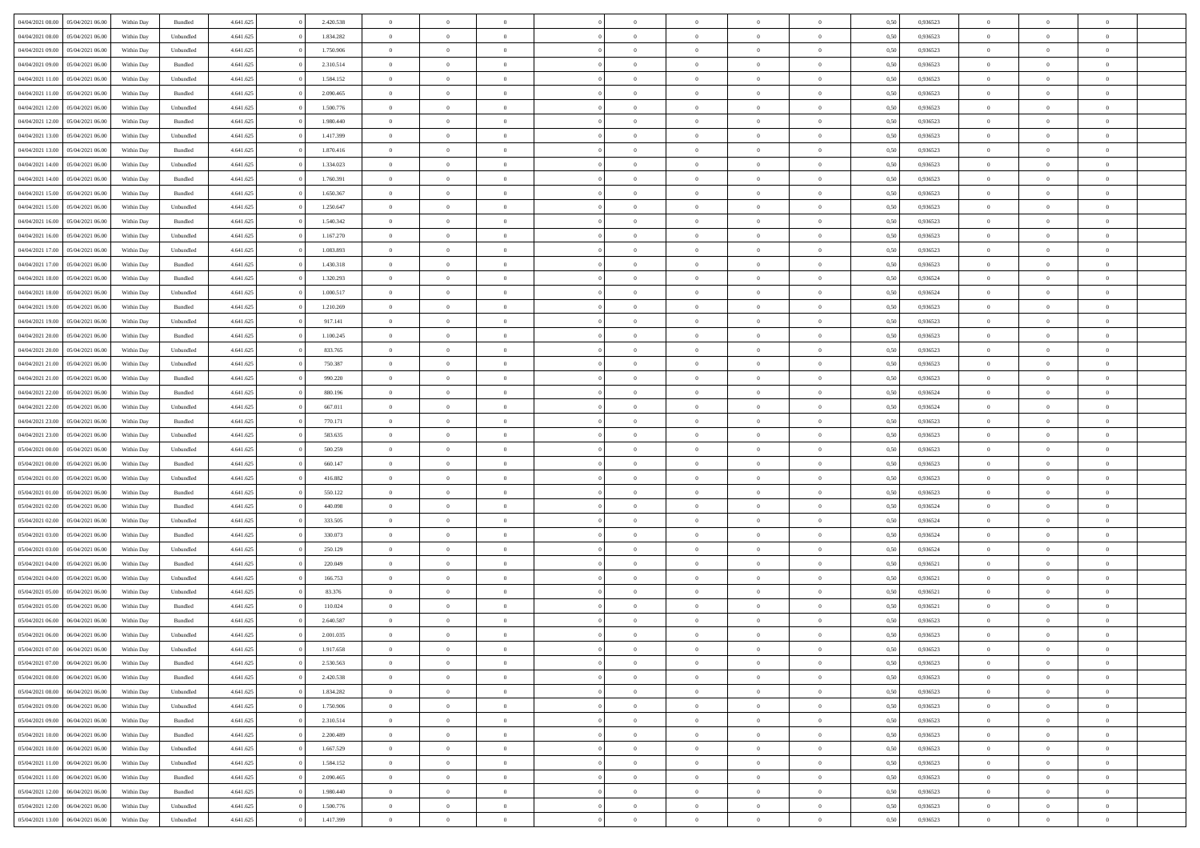| 04/04/2021 08:00 | 05/04/2021 06:00                  | Within Day | Bundled   | 4.641.625 | 2.420.538 | $\overline{0}$ | $\Omega$       |                | $\Omega$       | $\Omega$       | $\theta$       | $\theta$       | 0.50 | 0,936523 | $\theta$       | $\theta$       | $\overline{0}$ |  |
|------------------|-----------------------------------|------------|-----------|-----------|-----------|----------------|----------------|----------------|----------------|----------------|----------------|----------------|------|----------|----------------|----------------|----------------|--|
| 04/04/2021 08:00 | 05/04/2021 06:00                  | Within Day | Unbundled | 4.641.625 | 1.834.282 | $\overline{0}$ | $\theta$       | $\overline{0}$ | $\overline{0}$ | $\bf{0}$       | $\overline{0}$ | $\bf{0}$       | 0,50 | 0,936523 | $\theta$       | $\overline{0}$ | $\overline{0}$ |  |
| 04/04/2021 09:00 | 05/04/2021 06:00                  | Within Day | Unbundled | 4.641.625 | 1.750.906 | $\overline{0}$ | $\bf{0}$       | $\overline{0}$ | $\bf{0}$       | $\bf{0}$       | $\bf{0}$       | $\mathbf{0}$   | 0,50 | 0,936523 | $\overline{0}$ | $\overline{0}$ | $\bf{0}$       |  |
| 04/04/2021 09:00 | 05/04/2021 06:00                  | Within Dav | Bundled   | 4.641.625 | 2.310.514 | $\overline{0}$ | $\overline{0}$ | $\overline{0}$ | $\overline{0}$ | $\bf{0}$       | $\overline{0}$ | $\overline{0}$ | 0.50 | 0.936523 | $\theta$       | $\theta$       | $\overline{0}$ |  |
| 04/04/2021 11:00 | 05/04/2021 06:00                  | Within Day | Unbundled | 4.641.625 | 1.584.152 | $\overline{0}$ | $\theta$       | $\overline{0}$ | $\overline{0}$ | $\bf{0}$       | $\overline{0}$ | $\bf{0}$       | 0,50 | 0,936523 | $\theta$       | $\overline{0}$ | $\overline{0}$ |  |
|                  |                                   |            |           |           |           |                |                |                |                |                |                |                |      |          |                |                |                |  |
| 04/04/2021 11:00 | 05/04/2021 06:00                  | Within Day | Bundled   | 4.641.625 | 2.090.465 | $\overline{0}$ | $\overline{0}$ | $\overline{0}$ | $\bf{0}$       | $\overline{0}$ | $\overline{0}$ | $\mathbf{0}$   | 0,50 | 0,936523 | $\overline{0}$ | $\overline{0}$ | $\bf{0}$       |  |
| 04/04/2021 12:00 | 05/04/2021 06:00                  | Within Dav | Unbundled | 4.641.625 | 1.500.776 | $\overline{0}$ | $\overline{0}$ | $\overline{0}$ | $\overline{0}$ | $\overline{0}$ | $\overline{0}$ | $\overline{0}$ | 0.50 | 0.936523 | $\theta$       | $\overline{0}$ | $\overline{0}$ |  |
| 04/04/2021 12:00 | 05/04/2021 06:00                  | Within Day | Bundled   | 4.641.625 | 1.980.440 | $\overline{0}$ | $\theta$       | $\overline{0}$ | $\overline{0}$ | $\bf{0}$       | $\overline{0}$ | $\bf{0}$       | 0,50 | 0,936523 | $\theta$       | $\theta$       | $\overline{0}$ |  |
| 04/04/2021 13:00 | 05/04/2021 06:00                  | Within Day | Unbundled | 4.641.625 | 1.417.399 | $\overline{0}$ | $\overline{0}$ | $\overline{0}$ | $\bf{0}$       | $\bf{0}$       | $\bf{0}$       | $\bf{0}$       | 0,50 | 0,936523 | $\,0\,$        | $\overline{0}$ | $\overline{0}$ |  |
| 04/04/2021 13:00 | 05/04/2021 06:00                  | Within Dav | Bundled   | 4.641.625 | 1.870.416 | $\overline{0}$ | $\overline{0}$ | $\overline{0}$ | $\overline{0}$ | $\overline{0}$ | $\overline{0}$ | $\overline{0}$ | 0.50 | 0.936523 | $\theta$       | $\overline{0}$ | $\overline{0}$ |  |
| 04/04/2021 14:00 | 05/04/2021 06:00                  | Within Day | Unbundled | 4.641.625 | 1.334.023 | $\overline{0}$ | $\theta$       | $\overline{0}$ | $\overline{0}$ | $\bf{0}$       | $\overline{0}$ | $\bf{0}$       | 0,50 | 0,936523 | $\,$ 0 $\,$    | $\overline{0}$ | $\overline{0}$ |  |
| 04/04/2021 14:00 | 05/04/2021 06:00                  | Within Day | Bundled   | 4.641.625 | 1.760.391 | $\overline{0}$ | $\bf{0}$       | $\overline{0}$ | $\bf{0}$       | $\bf{0}$       | $\bf{0}$       | $\mathbf{0}$   | 0,50 | 0,936523 | $\overline{0}$ | $\overline{0}$ | $\bf{0}$       |  |
|                  |                                   |            |           |           |           |                |                |                |                |                |                |                |      |          |                |                |                |  |
| 04/04/2021 15:00 | 05/04/2021 06:00                  | Within Dav | Bundled   | 4.641.625 | 1.650.367 | $\overline{0}$ | $\overline{0}$ | $\overline{0}$ | $\overline{0}$ | $\bf{0}$       | $\overline{0}$ | $\overline{0}$ | 0.50 | 0.936523 | $\theta$       | $\theta$       | $\overline{0}$ |  |
| 04/04/2021 15:00 | 05/04/2021 06:00                  | Within Day | Unbundled | 4.641.625 | 1.250.647 | $\overline{0}$ | $\theta$       | $\overline{0}$ | $\overline{0}$ | $\bf{0}$       | $\overline{0}$ | $\bf{0}$       | 0,50 | 0,936523 | $\theta$       | $\overline{0}$ | $\overline{0}$ |  |
| 04/04/2021 16:00 | 05/04/2021 06:00                  | Within Day | Bundled   | 4.641.625 | 1.540.342 | $\overline{0}$ | $\overline{0}$ | $\overline{0}$ | $\bf{0}$       | $\overline{0}$ | $\overline{0}$ | $\mathbf{0}$   | 0,50 | 0,936523 | $\overline{0}$ | $\overline{0}$ | $\bf{0}$       |  |
| 04/04/2021 16:00 | 05/04/2021 06:00                  | Within Dav | Unbundled | 4.641.625 | 1.167.270 | $\overline{0}$ | $\overline{0}$ | $\overline{0}$ | $\overline{0}$ | $\overline{0}$ | $\overline{0}$ | $\overline{0}$ | 0.50 | 0.936523 | $\theta$       | $\overline{0}$ | $\overline{0}$ |  |
| 04/04/2021 17.00 | 05/04/2021 06:00                  | Within Day | Unbundled | 4.641.625 | 1.083.893 | $\overline{0}$ | $\theta$       | $\overline{0}$ | $\overline{0}$ | $\bf{0}$       | $\overline{0}$ | $\bf{0}$       | 0,50 | 0,936523 | $\theta$       | $\theta$       | $\overline{0}$ |  |
| 04/04/2021 17.00 | 05/04/2021 06:00                  | Within Day | Bundled   | 4.641.625 | 1.430.318 | $\overline{0}$ | $\overline{0}$ | $\overline{0}$ | $\overline{0}$ | $\bf{0}$       | $\overline{0}$ | $\mathbf{0}$   | 0,50 | 0,936523 | $\,0\,$        | $\overline{0}$ | $\bf{0}$       |  |
| 04/04/2021 18:00 | 05/04/2021 06:00                  | Within Dav | Bundled   | 4.641.625 | 1.320.293 | $\overline{0}$ | $\overline{0}$ | $\overline{0}$ | $\overline{0}$ | $\overline{0}$ | $\overline{0}$ | $\overline{0}$ | 0.50 | 0,936524 | $\theta$       | $\overline{0}$ | $\overline{0}$ |  |
|                  |                                   |            |           |           |           | $\overline{0}$ | $\theta$       | $\overline{0}$ |                | $\bf{0}$       | $\overline{0}$ |                |      |          |                | $\overline{0}$ | $\overline{0}$ |  |
| 04/04/2021 18:00 | 05/04/2021 06:00                  | Within Day | Unbundled | 4.641.625 | 1.000.517 |                |                |                | $\overline{0}$ |                |                | $\bf{0}$       | 0,50 | 0,936524 | $\,$ 0 $\,$    |                |                |  |
| 04/04/2021 19:00 | 05/04/2021 06:00                  | Within Day | Bundled   | 4.641.625 | 1.210.269 | $\overline{0}$ | $\overline{0}$ | $\overline{0}$ | $\overline{0}$ | $\bf{0}$       | $\overline{0}$ | $\bf{0}$       | 0,50 | 0,936523 | $\bf{0}$       | $\overline{0}$ | $\bf{0}$       |  |
| 04/04/2021 19:00 | 05/04/2021 06:00                  | Within Day | Unbundled | 4.641.625 | 917.141   | $\overline{0}$ | $\overline{0}$ | $\overline{0}$ | $\overline{0}$ | $\bf{0}$       | $\overline{0}$ | $\overline{0}$ | 0.50 | 0.936523 | $\theta$       | $\overline{0}$ | $\overline{0}$ |  |
| 04/04/2021 20.00 | 05/04/2021 06:00                  | Within Day | Bundled   | 4.641.625 | 1.100.245 | $\overline{0}$ | $\theta$       | $\overline{0}$ | $\overline{0}$ | $\bf{0}$       | $\overline{0}$ | $\bf{0}$       | 0,50 | 0,936523 | $\theta$       | $\overline{0}$ | $\overline{0}$ |  |
| 04/04/2021 20.00 | 05/04/2021 06:00                  | Within Day | Unbundled | 4.641.625 | 833.765   | $\overline{0}$ | $\overline{0}$ | $\overline{0}$ | $\overline{0}$ | $\overline{0}$ | $\overline{0}$ | $\mathbf{0}$   | 0,50 | 0,936523 | $\bf{0}$       | $\overline{0}$ | $\bf{0}$       |  |
| 04/04/2021 21:00 | 05/04/2021 06:00                  | Within Dav | Unbundled | 4.641.625 | 750.387   | $\overline{0}$ | $\overline{0}$ | $\overline{0}$ | $\overline{0}$ | $\overline{0}$ | $\overline{0}$ | $\overline{0}$ | 0.50 | 0.936523 | $\theta$       | $\overline{0}$ | $\overline{0}$ |  |
| 04/04/2021 21:00 | 05/04/2021 06:00                  | Within Day | Bundled   | 4.641.625 | 990.220   | $\overline{0}$ | $\theta$       | $\overline{0}$ | $\overline{0}$ | $\bf{0}$       | $\overline{0}$ | $\bf{0}$       | 0,50 | 0,936523 | $\theta$       | $\theta$       | $\overline{0}$ |  |
| 04/04/2021 22.00 | 05/04/2021 06:00                  | Within Day | Bundled   | 4.641.625 | 880.196   | $\overline{0}$ | $\overline{0}$ | $\overline{0}$ | $\overline{0}$ | $\bf{0}$       | $\overline{0}$ | $\bf{0}$       | 0,50 | 0,936524 | $\,0\,$        | $\overline{0}$ | $\bf{0}$       |  |
|                  |                                   |            |           |           |           |                | $\overline{0}$ |                |                | $\overline{0}$ |                |                |      |          | $\theta$       | $\overline{0}$ | $\overline{0}$ |  |
| 04/04/2021 22.00 | 05/04/2021 06:00                  | Within Day | Unbundled | 4.641.625 | 667.011   | $\overline{0}$ |                | $\overline{0}$ | $\overline{0}$ |                | $\overline{0}$ | $\overline{0}$ | 0.50 | 0,936524 |                |                |                |  |
| 04/04/2021 23:00 | 05/04/2021 06:00                  | Within Day | Bundled   | 4.641.625 | 770.171   | $\overline{0}$ | $\theta$       | $\overline{0}$ | $\overline{0}$ | $\bf{0}$       | $\overline{0}$ | $\bf{0}$       | 0,50 | 0,936523 | $\,$ 0 $\,$    | $\overline{0}$ | $\overline{0}$ |  |
| 04/04/2021 23.00 | 05/04/2021 06:00                  | Within Day | Unbundled | 4.641.625 | 583.635   | $\overline{0}$ | $\overline{0}$ | $\overline{0}$ | $\overline{0}$ | $\bf{0}$       | $\overline{0}$ | $\bf{0}$       | 0,50 | 0,936523 | $\bf{0}$       | $\overline{0}$ | $\bf{0}$       |  |
| 05/04/2021 00:00 | 05/04/2021 06:00                  | Within Day | Unbundled | 4.641.625 | 500.259   | $\overline{0}$ | $\Omega$       | $\Omega$       | $\Omega$       | $\Omega$       | $\overline{0}$ | $\overline{0}$ | 0,50 | 0,936523 | $\,0\,$        | $\theta$       | $\theta$       |  |
| 05/04/2021 00:00 | 05/04/2021 06:00                  | Within Day | Bundled   | 4.641.625 | 660.147   | $\overline{0}$ | $\theta$       | $\overline{0}$ | $\overline{0}$ | $\bf{0}$       | $\overline{0}$ | $\bf{0}$       | 0,50 | 0,936523 | $\theta$       | $\overline{0}$ | $\overline{0}$ |  |
| 05/04/2021 01:00 | 05/04/2021 06:00                  | Within Day | Unbundled | 4.641.625 | 416.882   | $\overline{0}$ | $\overline{0}$ | $\overline{0}$ | $\overline{0}$ | $\overline{0}$ | $\overline{0}$ | $\mathbf{0}$   | 0,50 | 0,936523 | $\bf{0}$       | $\overline{0}$ | $\bf{0}$       |  |
| 05/04/2021 01:00 | 05/04/2021 06:00                  | Within Day | Bundled   | 4.641.625 | 550.122   | $\overline{0}$ | $\Omega$       | $\Omega$       | $\Omega$       | $\bf{0}$       | $\overline{0}$ | $\overline{0}$ | 0.50 | 0.936523 | $\,0\,$        | $\theta$       | $\theta$       |  |
| 05/04/2021 02:00 | 05/04/2021 06:00                  | Within Day | Bundled   | 4.641.625 | 440.098   | $\overline{0}$ | $\theta$       | $\overline{0}$ | $\overline{0}$ | $\bf{0}$       | $\overline{0}$ | $\bf{0}$       | 0,50 | 0,936524 | $\theta$       | $\overline{0}$ | $\overline{0}$ |  |
|                  |                                   |            |           |           |           |                | $\overline{0}$ |                |                | $\bf{0}$       |                |                |      |          | $\,0\,$        | $\overline{0}$ | $\bf{0}$       |  |
| 05/04/2021 02:00 | 05/04/2021 06:00                  | Within Day | Unbundled | 4.641.625 | 333.505   | $\overline{0}$ |                | $\overline{0}$ | $\overline{0}$ |                | $\overline{0}$ | $\bf{0}$       | 0,50 | 0,936524 |                |                |                |  |
| 05/04/2021 03:00 | 05/04/2021 06:00                  | Within Day | Bundled   | 4.641.625 | 330,073   | $\overline{0}$ | $\Omega$       | $\Omega$       | $\Omega$       | $\theta$       | $\overline{0}$ | $\overline{0}$ | 0.50 | 0.936524 | $\,$ 0 $\,$    | $\theta$       | $\theta$       |  |
| 05/04/2021 03:00 | 05/04/2021 06:00                  | Within Day | Unbundled | 4.641.625 | 250.129   | $\overline{0}$ | $\overline{0}$ | $\overline{0}$ | $\overline{0}$ | $\bf{0}$       | $\overline{0}$ | $\bf{0}$       | 0,50 | 0,936524 | $\,$ 0 $\,$    | $\overline{0}$ | $\overline{0}$ |  |
| 05/04/2021 04:00 | 05/04/2021 06:00                  | Within Day | Bundled   | 4.641.625 | 220.049   | $\overline{0}$ | $\overline{0}$ | $\overline{0}$ | $\bf{0}$       | $\bf{0}$       | $\bf{0}$       | $\mathbf{0}$   | 0,50 | 0,936521 | $\overline{0}$ | $\overline{0}$ | $\bf{0}$       |  |
| 05/04/2021 04:00 | 05/04/2021 06:00                  | Within Day | Unbundled | 4.641.625 | 166.753   | $\overline{0}$ | $\Omega$       | $\overline{0}$ | $\Omega$       | $\overline{0}$ | $\overline{0}$ | $\overline{0}$ | 0,50 | 0,936521 | $\,0\,$        | $\theta$       | $\theta$       |  |
| 05/04/2021 05:00 | 05/04/2021 06:00                  | Within Day | Unbundled | 4.641.625 | 83.376    | $\overline{0}$ | $\overline{0}$ | $\overline{0}$ | $\overline{0}$ | $\,$ 0         | $\overline{0}$ | $\bf{0}$       | 0,50 | 0,936521 | $\,$ 0 $\,$    | $\overline{0}$ | $\overline{0}$ |  |
| 05/04/2021 05:00 | 05/04/2021 06:00                  | Within Day | Bundled   | 4.641.625 | 110.024   | $\overline{0}$ | $\overline{0}$ | $\overline{0}$ | $\bf{0}$       | $\bf{0}$       | $\bf{0}$       | $\mathbf{0}$   | 0,50 | 0,936521 | $\overline{0}$ | $\overline{0}$ | $\bf{0}$       |  |
| 05/04/2021 06:00 | 06/04/2021 06:00                  | Within Day | Bundled   | 4.641.625 | 2.640.587 | $\overline{0}$ | $\Omega$       | $\Omega$       | $\Omega$       | $\Omega$       | $\Omega$       | $\overline{0}$ | 0.50 | 0.936523 | $\theta$       | $\theta$       | $\theta$       |  |
| 05/04/2021 06:00 | 06/04/2021 06:00                  | Within Day | Unbundled | 4.641.625 | 2.001.035 | $\overline{0}$ | $\overline{0}$ | $\overline{0}$ | $\bf{0}$       | $\,$ 0         | $\bf{0}$       | $\bf{0}$       | 0,50 | 0,936523 | $\,0\,$        | $\,$ 0 $\,$    | $\overline{0}$ |  |
|                  | 05/04/2021 07:00 06/04/2021 06:00 | Within Day | Unbundled | 4.641.625 |           |                |                |                |                |                |                |                |      |          |                |                |                |  |
|                  |                                   |            |           |           | 1.917.658 | $\overline{0}$ | $\bf{0}$       |                |                |                |                |                | 0,50 | 0,936523 | $\bf{0}$       | $\overline{0}$ |                |  |
| 05/04/2021 07:00 | 06/04/2021 06:00                  | Within Day | Bundled   | 4.641.625 | 2.530.563 | $\overline{0}$ | $\overline{0}$ | $\overline{0}$ | $\Omega$       | $\overline{0}$ | $\overline{0}$ | $\overline{0}$ | 0.50 | 0.936523 | $\theta$       | $\theta$       | $\theta$       |  |
| 05/04/2021 08:00 | 06/04/2021 06:00                  | Within Day | Bundled   | 4.641.625 | 2.420.538 | $\overline{0}$ | $\,$ 0         | $\overline{0}$ | $\bf{0}$       | $\,$ 0 $\,$    | $\overline{0}$ | $\mathbf{0}$   | 0,50 | 0,936523 | $\,$ 0 $\,$    | $\,$ 0 $\,$    | $\,$ 0         |  |
| 05/04/2021 08:00 | 06/04/2021 06:00                  | Within Day | Unbundled | 4.641.625 | 1.834.282 | $\overline{0}$ | $\overline{0}$ | $\overline{0}$ | $\overline{0}$ | $\overline{0}$ | $\overline{0}$ | $\mathbf{0}$   | 0,50 | 0,936523 | $\overline{0}$ | $\bf{0}$       | $\bf{0}$       |  |
| 05/04/2021 09:00 | 06/04/2021 06:00                  | Within Day | Unbundled | 4.641.625 | 1.750.906 | $\overline{0}$ | $\theta$       | $\overline{0}$ | $\Omega$       | $\overline{0}$ | $\overline{0}$ | $\bf{0}$       | 0,50 | 0,936523 | $\overline{0}$ | $\theta$       | $\overline{0}$ |  |
| 05/04/2021 09:00 | 06/04/2021 06:00                  | Within Day | Bundled   | 4.641.625 | 2.310.514 | $\overline{0}$ | $\,$ 0         | $\overline{0}$ | $\overline{0}$ | $\overline{0}$ | $\overline{0}$ | $\bf{0}$       | 0,50 | 0,936523 | $\,$ 0 $\,$    | $\overline{0}$ | $\overline{0}$ |  |
| 05/04/2021 10:00 | 06/04/2021 06:00                  | Within Day | Bundled   | 4.641.625 | 2.200.489 | $\overline{0}$ | $\overline{0}$ | $\overline{0}$ | $\overline{0}$ | $\overline{0}$ | $\overline{0}$ | $\mathbf{0}$   | 0,50 | 0,936523 | $\overline{0}$ | $\bf{0}$       | $\bf{0}$       |  |
| 05/04/2021 10:00 | 06/04/2021 06:00                  | Within Day | Unbundled | 4.641.625 | 1.667.529 | $\overline{0}$ | $\overline{0}$ | $\overline{0}$ | $\Omega$       | $\overline{0}$ | $\overline{0}$ | $\bf{0}$       | 0.50 | 0,936523 | $\overline{0}$ | $\theta$       | $\overline{0}$ |  |
|                  |                                   |            |           |           |           |                |                |                |                |                |                |                |      |          |                |                |                |  |
| 05/04/2021 11:00 | 06/04/2021 06:00                  | Within Day | Unbundled | 4.641.625 | 1.584.152 | $\overline{0}$ | $\,$ 0         | $\overline{0}$ | $\bf{0}$       | $\bf{0}$       | $\bf{0}$       | $\bf{0}$       | 0,50 | 0,936523 | $\,$ 0 $\,$    | $\overline{0}$ | $\overline{0}$ |  |
| 05/04/2021 11:00 | 06/04/2021 06:00                  | Within Day | Bundled   | 4.641.625 | 2.090.465 | $\overline{0}$ | $\bf{0}$       | $\overline{0}$ | $\overline{0}$ | $\overline{0}$ | $\overline{0}$ | $\mathbf{0}$   | 0,50 | 0,936523 | $\overline{0}$ | $\overline{0}$ | $\bf{0}$       |  |
| 05/04/2021 12:00 | 06/04/2021 06:00                  | Within Day | Bundled   | 4.641.625 | 1.980.440 | $\overline{0}$ | $\overline{0}$ | $\overline{0}$ | $\Omega$       | $\overline{0}$ | $\overline{0}$ | $\bf{0}$       | 0.50 | 0.936523 | $\overline{0}$ | $\theta$       | $\overline{0}$ |  |
| 05/04/2021 12:00 | 06/04/2021 06:00                  | Within Day | Unbundled | 4.641.625 | 1.500.776 | $\overline{0}$ | $\,$ 0 $\,$    | $\overline{0}$ | $\overline{0}$ | $\bf{0}$       | $\overline{0}$ | $\bf{0}$       | 0,50 | 0,936523 | $\,$ 0 $\,$    | $\,$ 0 $\,$    | $\bf{0}$       |  |
| 05/04/2021 13:00 | 06/04/2021 06:00                  | Within Day | Unbundled | 4.641.625 | 1.417.399 | $\overline{0}$ | $\bf{0}$       | $\overline{0}$ | $\bf{0}$       | $\bf{0}$       | $\overline{0}$ | $\bf{0}$       | 0,50 | 0,936523 | $\overline{0}$ | $\overline{0}$ | $\bf{0}$       |  |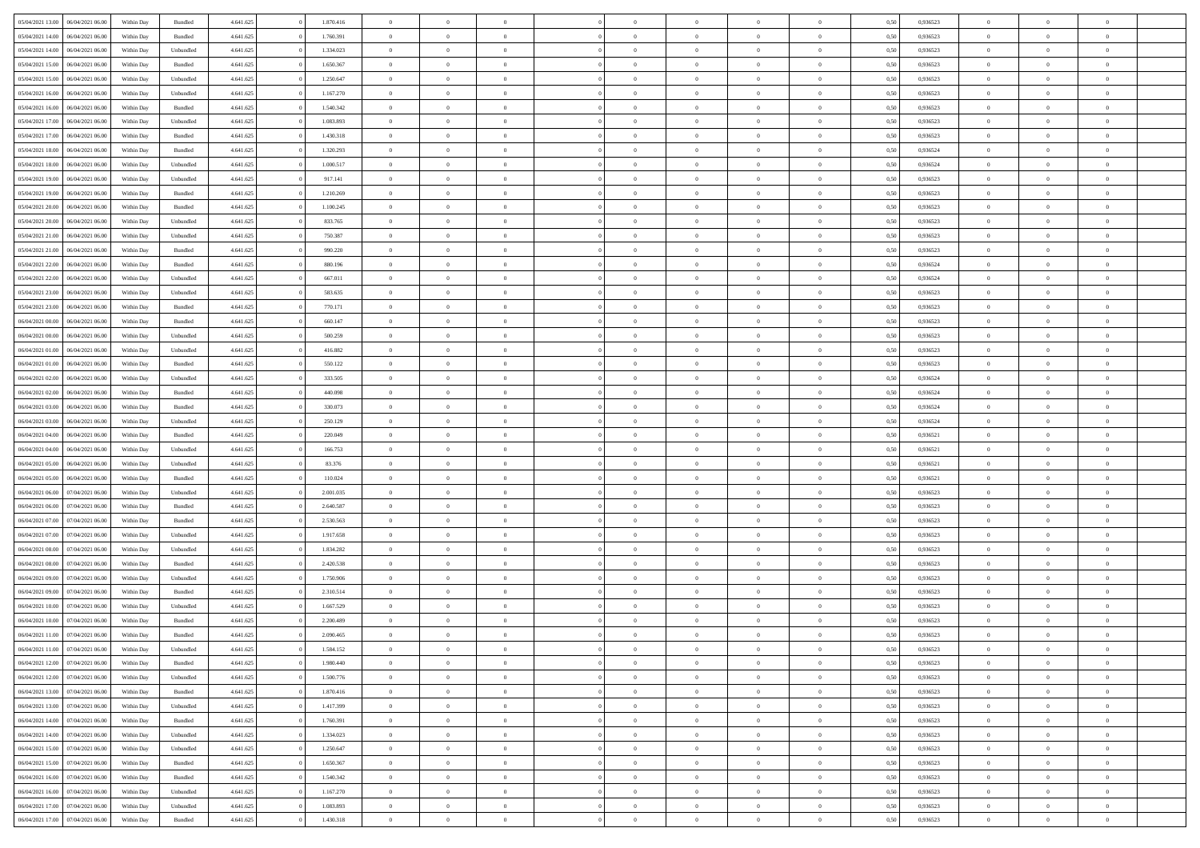| 05/04/2021 13:00                  | 06/04/2021 06:00 | Within Day | Bundled   | 4.641.625 | 1.870.416 | $\overline{0}$ | $\theta$       |                | $\overline{0}$ | $\bf{0}$       | $\overline{0}$ | $\theta$       | 0,50 | 0,936523 | $\theta$       | $\theta$       | $\overline{0}$           |  |
|-----------------------------------|------------------|------------|-----------|-----------|-----------|----------------|----------------|----------------|----------------|----------------|----------------|----------------|------|----------|----------------|----------------|--------------------------|--|
|                                   |                  |            |           |           |           | $\overline{0}$ | $\overline{0}$ |                |                |                |                |                |      |          |                |                | $\overline{0}$           |  |
| 05/04/2021 14:00                  | 06/04/2021 06.0  | Within Day | Bundled   | 4.641.625 | 1.760.391 |                |                | $\overline{0}$ | $\overline{0}$ | $\,$ 0         | $\overline{0}$ | $\bf{0}$       | 0,50 | 0,936523 | $\,$ 0 $\,$    | $\overline{0}$ |                          |  |
| 05/04/2021 14:00                  | 06/04/2021 06:00 | Within Day | Unbundled | 4.641.625 | 1.334.023 | $\overline{0}$ | $\overline{0}$ | $\overline{0}$ | $\overline{0}$ | $\bf{0}$       | $\overline{0}$ | $\mathbf{0}$   | 0.50 | 0.936523 | $\bf{0}$       | $\overline{0}$ | $\overline{0}$           |  |
| 05/04/2021 15:00                  | 06/04/2021 06:00 | Within Day | Bundled   | 4.641.625 | 1.650.367 | $\overline{0}$ | $\overline{0}$ | $\overline{0}$ | $\overline{0}$ | $\,$ 0         | $\overline{0}$ | $\overline{0}$ | 0,50 | 0,936523 | $\,$ 0 $\,$    | $\overline{0}$ | $\overline{0}$           |  |
| 05/04/2021 15:00                  | 06/04/2021 06.00 | Within Day | Unbundled | 4.641.625 | 1.250.647 | $\overline{0}$ | $\theta$       | $\overline{0}$ |                | $\overline{0}$ | $\overline{0}$ | $\bf{0}$       | 0,50 | 0,936523 | $\theta$       | $\overline{0}$ | $\overline{0}$           |  |
| 05/04/2021 16:00                  | 06/04/2021 06:00 | Within Day | Unbundled | 4.641.625 | 1.167.270 | $\overline{0}$ | $\overline{0}$ | $\overline{0}$ | $\overline{0}$ | $\bf{0}$       | $\overline{0}$ | $\bf{0}$       | 0.50 | 0.936523 | $\,0\,$        | $\theta$       | $\overline{0}$           |  |
| 05/04/2021 16:00                  | 06/04/2021 06:00 | Within Day | Bundled   | 4.641.625 | 1.540.342 | $\overline{0}$ | $\overline{0}$ | $\overline{0}$ | $\overline{0}$ | $\,$ 0         | $\overline{0}$ | $\overline{0}$ | 0,50 | 0,936523 | $\,$ 0 $\,$    | $\theta$       | $\overline{0}$           |  |
| 05/04/2021 17:00                  | 06/04/2021 06.00 | Within Day | Unbundled | 4.641.625 | 1.083.893 | $\overline{0}$ | $\theta$       | $\overline{0}$ | $\overline{0}$ | $\bf{0}$       | $\overline{0}$ | $\bf{0}$       | 0,50 | 0,936523 | $\,$ 0 $\,$    | $\overline{0}$ | $\overline{0}$           |  |
|                                   |                  |            |           |           |           |                |                |                |                |                |                |                |      |          |                |                |                          |  |
| 05/04/2021 17:00                  | 06/04/2021 06:00 | Within Day | Bundled   | 4.641.625 | 1.430.318 | $\overline{0}$ | $\overline{0}$ | $\overline{0}$ | $\overline{0}$ | $\bf{0}$       | $\overline{0}$ | $\bf{0}$       | 0.50 | 0.936523 | $\,0\,$        | $\overline{0}$ | $\overline{0}$           |  |
| 05/04/2021 18:00                  | 06/04/2021 06:00 | Within Day | Bundled   | 4.641.625 | 1.320.293 | $\overline{0}$ | $\overline{0}$ | $\overline{0}$ | $\overline{0}$ | $\,$ 0         | $\overline{0}$ | $\bf{0}$       | 0,50 | 0,936524 | $\,$ 0 $\,$    | $\overline{0}$ | $\overline{0}$           |  |
| 05/04/2021 18:00                  | 06/04/2021 06.00 | Within Day | Unbundled | 4.641.625 | 1.000.517 | $\overline{0}$ | $\theta$       | $\overline{0}$ | $\overline{0}$ | $\,$ 0         | $\overline{0}$ | $\bf{0}$       | 0,50 | 0,936524 | $\,$ 0 $\,$    | $\overline{0}$ | $\overline{0}$           |  |
| 05/04/2021 19:00                  | 06/04/2021 06:00 | Within Day | Unbundled | 4.641.625 | 917.141   | $\overline{0}$ | $\overline{0}$ | $\overline{0}$ | $\overline{0}$ | $\bf{0}$       | $\overline{0}$ | $\mathbf{0}$   | 0.50 | 0.936523 | $\bf{0}$       | $\overline{0}$ | $\overline{\phantom{a}}$ |  |
| 05/04/2021 19:00                  | 06/04/2021 06:00 | Within Day | Bundled   | 4.641.625 | 1.210.269 | $\overline{0}$ | $\overline{0}$ | $\overline{0}$ | $\overline{0}$ | $\,$ 0         | $\overline{0}$ | $\overline{0}$ | 0,50 | 0,936523 | $\,$ 0 $\,$    | $\overline{0}$ | $\overline{0}$           |  |
| 05/04/2021 20:00                  | 06/04/2021 06.00 | Within Day | Bundled   | 4.641.625 | 1.100.245 | $\overline{0}$ | $\theta$       | $\overline{0}$ | $\overline{0}$ | $\overline{0}$ | $\overline{0}$ | $\bf{0}$       | 0,50 | 0,936523 | $\,$ 0 $\,$    | $\overline{0}$ | $\overline{0}$           |  |
|                                   | 06/04/2021 06:00 |            |           |           | 833,765   |                | $\overline{0}$ |                |                |                | $\overline{0}$ |                | 0.50 | 0.936523 | $\theta$       | $\theta$       |                          |  |
| 05/04/2021 20:00                  |                  | Within Day | Unbundled | 4.641.625 |           | $\overline{0}$ |                | $\overline{0}$ | $\overline{0}$ | $\,$ 0         |                | $\bf{0}$       |      |          |                |                | $\overline{0}$           |  |
| 05/04/2021 21:00                  | 06/04/2021 06:00 | Within Day | Unbundled | 4.641.625 | 750.387   | $\overline{0}$ | $\overline{0}$ | $\overline{0}$ | $\overline{0}$ | $\,$ 0         | $\overline{0}$ | $\bf{0}$       | 0,50 | 0,936523 | $\,$ 0 $\,$    | $\theta$       | $\overline{0}$           |  |
| 05/04/2021 21:00                  | 06/04/2021 06.00 | Within Day | Bundled   | 4.641.625 | 990.220   | $\overline{0}$ | $\theta$       | $\overline{0}$ | $\overline{0}$ | $\bf{0}$       | $\overline{0}$ | $\bf{0}$       | 0,50 | 0,936523 | $\,$ 0 $\,$    | $\overline{0}$ | $\overline{0}$           |  |
| 05/04/2021 22.00                  | 06/04/2021 06:00 | Within Day | Bundled   | 4.641.625 | 880.196   | $\overline{0}$ | $\overline{0}$ | $\overline{0}$ | $\overline{0}$ | $\bf{0}$       | $\overline{0}$ | $\bf{0}$       | 0.50 | 0.936524 | $\,0\,$        | $\overline{0}$ | $\overline{0}$           |  |
| 05/04/2021 22.00                  | 06/04/2021 06:00 | Within Day | Unbundled | 4.641.625 | 667.011   | $\overline{0}$ | $\overline{0}$ | $\overline{0}$ | $\overline{0}$ | $\,$ 0         | $\overline{0}$ | $\bf{0}$       | 0,50 | 0,936524 | $\,$ 0 $\,$    | $\overline{0}$ | $\overline{0}$           |  |
| 05/04/2021 23:00                  | 06/04/2021 06.00 | Within Day | Unbundled | 4.641.625 | 583.635   | $\overline{0}$ | $\theta$       | $\overline{0}$ | $\overline{0}$ | $\,$ 0         | $\bf{0}$       | $\bf{0}$       | 0,50 | 0,936523 | $\,$ 0 $\,$    | $\overline{0}$ | $\overline{0}$           |  |
| 05/04/2021 23:00                  | 06/04/2021 06:00 | Within Day | Bundled   | 4.641.625 | 770.171   | $\overline{0}$ | $\overline{0}$ | $\overline{0}$ | $\overline{0}$ | $\bf{0}$       | $\overline{0}$ | $\mathbf{0}$   | 0.50 | 0.936523 | $\bf{0}$       | $\overline{0}$ | $\bf{0}$                 |  |
|                                   |                  |            |           |           |           |                |                |                |                |                |                |                |      |          |                |                |                          |  |
| 06/04/2021 00:00                  | 06/04/2021 06:00 | Within Day | Bundled   | 4.641.625 | 660.147   | $\overline{0}$ | $\overline{0}$ | $\overline{0}$ | $\overline{0}$ | $\bf{0}$       | $\overline{0}$ | $\overline{0}$ | 0,50 | 0,936523 | $\,$ 0 $\,$    | $\overline{0}$ | $\overline{0}$           |  |
| 06/04/2021 00:00                  | 06/04/2021 06.00 | Within Day | Unbundled | 4.641.625 | 500.259   | $\overline{0}$ | $\theta$       | $\overline{0}$ | $\overline{0}$ | $\bf{0}$       | $\overline{0}$ | $\bf{0}$       | 0,50 | 0,936523 | $\,$ 0 $\,$    | $\overline{0}$ | $\overline{0}$           |  |
| 06/04/2021 01:00                  | 06/04/2021 06:00 | Within Day | Unbundled | 4.641.625 | 416.882   | $\overline{0}$ | $\overline{0}$ | $\overline{0}$ | $\overline{0}$ | $\bf{0}$       | $\overline{0}$ | $\bf{0}$       | 0.50 | 0.936523 | $\,0\,$        | $\theta$       | $\overline{0}$           |  |
| 06/04/2021 01:00                  | 06/04/2021 06:00 | Within Day | Bundled   | 4.641.625 | 550.122   | $\overline{0}$ | $\overline{0}$ | $\overline{0}$ | $\overline{0}$ | $\,$ 0         | $\overline{0}$ | $\overline{0}$ | 0,50 | 0,936523 | $\,$ 0 $\,$    | $\theta$       | $\overline{0}$           |  |
| 06/04/2021 02:00                  | 06/04/2021 06.00 | Within Day | Unbundled | 4.641.625 | 333.505   | $\overline{0}$ | $\theta$       | $\overline{0}$ |                | $\bf{0}$       | $\overline{0}$ | $\bf{0}$       | 0,50 | 0,936524 | $\,$ 0 $\,$    | $\overline{0}$ | $\overline{0}$           |  |
| 06/04/2021 02:00                  | 06/04/2021 06:00 | Within Day | Bundled   | 4.641.625 | 440.098   | $\overline{0}$ | $\overline{0}$ | $\overline{0}$ | $\overline{0}$ | $\bf{0}$       | $\overline{0}$ | $\bf{0}$       | 0.50 | 0.936524 | $\,0\,$        | $\overline{0}$ | $\overline{0}$           |  |
| 06/04/2021 03:00                  | 06/04/2021 06:00 | Within Day | Bundled   | 4.641.625 | 330.073   | $\overline{0}$ | $\overline{0}$ | $\overline{0}$ | $\overline{0}$ | $\,$ 0         | $\overline{0}$ | $\bf{0}$       | 0,50 | 0,936524 | $\,$ 0 $\,$    | $\overline{0}$ | $\overline{0}$           |  |
|                                   |                  |            |           |           |           |                |                |                |                |                |                |                |      |          |                |                |                          |  |
| 06/04/2021 03:00                  | 06/04/2021 06.00 | Within Day | Unbundled | 4.641.625 | 250.129   | $\overline{0}$ | $\overline{0}$ | $\overline{0}$ | $\overline{0}$ | $\bf{0}$       | $\bf{0}$       | $\bf{0}$       | 0,50 | 0,936524 | $\,$ 0 $\,$    | $\overline{0}$ | $\overline{0}$           |  |
| 06/04/2021 04:00                  | 06/04/2021 06:00 | Within Day | Bundled   | 4.641.625 | 220.049   | $\overline{0}$ | $\overline{0}$ | $\overline{0}$ | $\overline{0}$ | $\bf{0}$       | $\overline{0}$ | $\mathbf{0}$   | 0.50 | 0.936521 | $\bf{0}$       | $\overline{0}$ | $\overline{\phantom{a}}$ |  |
| 06/04/2021 04:00                  | 06/04/2021 06:00 | Within Dav | Unbundled | 4.641.625 | 166.753   | $\overline{0}$ | $\overline{0}$ | $\overline{0}$ | $\overline{0}$ | $\bf{0}$       | $\overline{0}$ | $\overline{0}$ | 0.50 | 0,936521 | $\theta$       | $\overline{0}$ | $\overline{0}$           |  |
| 06/04/2021 05:00                  | 06/04/2021 06.00 | Within Day | Unbundled | 4.641.625 | 83.376    | $\overline{0}$ | $\theta$       | $\overline{0}$ | $\overline{0}$ | $\bf{0}$       | $\overline{0}$ | $\bf{0}$       | 0,50 | 0,936521 | $\,$ 0 $\,$    | $\overline{0}$ | $\overline{0}$           |  |
| 06/04/2021 05:00                  | 06/04/2021 06:00 | Within Day | Bundled   | 4.641.625 | 110.024   | $\overline{0}$ | $\overline{0}$ | $\overline{0}$ | $\overline{0}$ | $\,$ 0         | $\overline{0}$ | $\bf{0}$       | 0.50 | 0.936521 | $\,0\,$        | $\theta$       | $\overline{0}$           |  |
| 06/04/2021 06:00                  | 07/04/2021 06.00 | Within Dav | Unbundled | 4.641.625 | 2.001.035 | $\overline{0}$ | $\theta$       | $\Omega$       | $\overline{0}$ | $\bf{0}$       | $\overline{0}$ | $\overline{0}$ | 0.50 | 0.936523 | $\theta$       | $\overline{0}$ | $\overline{0}$           |  |
| 06/04/2021 06:00                  | 07/04/2021 06.00 | Within Day | Bundled   | 4.641.625 | 2.640.587 | $\overline{0}$ | $\theta$       | $\overline{0}$ | $\overline{0}$ | $\,$ 0         | $\overline{0}$ | $\bf{0}$       | 0,50 | 0,936523 | $\,$ 0 $\,$    | $\overline{0}$ | $\overline{0}$           |  |
|                                   |                  |            |           |           |           |                |                |                |                |                |                |                |      |          |                |                |                          |  |
| 06/04/2021 07:00                  | 07/04/2021 06:00 | Within Day | Bundled   | 4.641.625 | 2.530.563 | $\overline{0}$ | $\overline{0}$ | $\overline{0}$ | $\overline{0}$ | $\bf{0}$       | $\overline{0}$ | $\bf{0}$       | 0.50 | 0.936523 | $\,0\,$        | $\overline{0}$ | $\overline{0}$           |  |
| 06/04/2021 07:00                  | 07/04/2021 06.00 | Within Dav | Unbundled | 4.641.625 | 1.917.658 | $\overline{0}$ | $\overline{0}$ | $\overline{0}$ | $\overline{0}$ | $\overline{0}$ | $\overline{0}$ | $\overline{0}$ | 0.50 | 0.936523 | $\theta$       | $\overline{0}$ | $\overline{0}$           |  |
| 06/04/2021 08:00                  | 07/04/2021 06.00 | Within Day | Unbundled | 4.641.625 | 1.834.282 | $\overline{0}$ | $\overline{0}$ | $\overline{0}$ | $\overline{0}$ | $\bf{0}$       | $\bf{0}$       | $\bf{0}$       | 0,50 | 0,936523 | $\,$ 0 $\,$    | $\overline{0}$ | $\overline{0}$           |  |
| 06/04/2021 08:00                  | 07/04/2021 06:00 | Within Day | Bundled   | 4.641.625 | 2.420.538 | $\overline{0}$ | $\overline{0}$ | $\overline{0}$ | $\overline{0}$ | $\bf{0}$       | $\overline{0}$ | $\mathbf{0}$   | 0.50 | 0.936523 | $\bf{0}$       | $\overline{0}$ | $\overline{0}$           |  |
| 06/04/2021 09:00                  | 07/04/2021 06.00 | Within Dav | Unbundled | 4.641.625 | 1.750.906 | $\overline{0}$ | $\overline{0}$ | $\Omega$       | $\overline{0}$ | $\mathbf{0}$   | $\overline{0}$ | $\overline{0}$ | 0.50 | 0.936523 | $\theta$       | $\overline{0}$ | $\overline{0}$           |  |
| 06/04/2021 09:00                  | 07/04/2021 06.00 | Within Day | Bundled   | 4.641.625 | 2.310.514 | $\overline{0}$ | $\theta$       | $\overline{0}$ | $\overline{0}$ | $\,$ 0         | $\overline{0}$ | $\bf{0}$       | 0,50 | 0,936523 | $\,$ 0 $\,$    | $\overline{0}$ | $\overline{0}$           |  |
| 06/04/2021 10:00                  | 07/04/2021 06:00 | Within Day | Unbundled | 4.641.625 | 1.667.529 | $\overline{0}$ | $\theta$       | $\overline{0}$ | $\overline{0}$ | $\bf{0}$       | $\Omega$       | $\overline{0}$ | 0.50 | 0.936523 | $\,0\,$        | $\theta$       | $\overline{0}$           |  |
| 06/04/2021 10:00                  | 07/04/2021 06:00 | Within Dav | Bundled   | 4.641.625 | 2.200.489 | $\overline{0}$ | $\Omega$       | $\Omega$       | $\Omega$       | $\bf{0}$       | $\overline{0}$ |                | 0.50 | 0.936523 | $\theta$       | $\theta$       | $\overline{0}$           |  |
|                                   |                  |            |           |           |           |                |                |                |                |                |                | $\bf{0}$       |      |          |                |                |                          |  |
| 06/04/2021 11:00                  | 07/04/2021 06.00 | Within Day | Bundled   | 4.641.625 | 2.090.465 | $\overline{0}$ | $\,$ 0 $\,$    | $\overline{0}$ | $\overline{0}$ | $\,$ 0         | $\bf{0}$       | $\bf{0}$       | 0,50 | 0,936523 | $\,$ 0 $\,$    | $\overline{0}$ | $\overline{0}$           |  |
| 06/04/2021 11:00                  | 07/04/2021 06:00 | Within Day | Unbundled | 4.641.625 | 1.584.152 | $\bf{0}$       | $\theta$       |                |                |                |                |                | 0,50 | 0.936523 | $\bf{0}$       | $\theta$       |                          |  |
| 06/04/2021 12:00 07/04/2021 06:00 |                  | Within Day | Bundled   | 4.641.625 | 1.980.440 | $\overline{0}$ | $\overline{0}$ | $\overline{0}$ | $\overline{0}$ | $\overline{0}$ | $\overline{0}$ | $\mathbf{0}$   | 0,50 | 0.936523 | $\theta$       | $\overline{0}$ | $\overline{0}$           |  |
| 06/04/2021 12:00                  | 07/04/2021 06.00 | Within Day | Unbundled | 4.641.625 | 1.500.776 | $\overline{0}$ | $\overline{0}$ | $\overline{0}$ | $\bf{0}$       | $\overline{0}$ | $\overline{0}$ | $\bf{0}$       | 0,50 | 0,936523 | $\bf{0}$       | $\overline{0}$ | $\bf{0}$                 |  |
| 06/04/2021 13:00                  | 07/04/2021 06:00 | Within Day | Bundled   | 4.641.625 | 1.870.416 | $\overline{0}$ | $\overline{0}$ | $\overline{0}$ | $\overline{0}$ | $\overline{0}$ | $\overline{0}$ | $\mathbf{0}$   | 0.50 | 0.936523 | $\overline{0}$ | $\bf{0}$       | $\bf{0}$                 |  |
| 06/04/2021 13:00                  | 07/04/2021 06:00 | Within Day | Unbundled | 4.641.625 | 1.417.399 | $\overline{0}$ | $\overline{0}$ | $\overline{0}$ | $\overline{0}$ | $\overline{0}$ | $\overline{0}$ | $\mathbf{0}$   | 0,50 | 0.936523 | $\overline{0}$ | $\theta$       | $\overline{0}$           |  |
| 06/04/2021 14:00                  | 07/04/2021 06.00 | Within Day | Bundled   | 4.641.625 | 1.760.391 | $\overline{0}$ | $\overline{0}$ | $\overline{0}$ | $\overline{0}$ | $\bf{0}$       | $\bf{0}$       | $\bf{0}$       | 0,50 | 0,936523 | $\bf{0}$       | $\overline{0}$ | $\overline{0}$           |  |
|                                   |                  |            |           |           |           |                |                |                |                |                |                |                |      |          |                |                |                          |  |
| 06/04/2021 14:00                  | 07/04/2021 06:00 | Within Day | Unbundled | 4.641.625 | 1.334.023 | $\overline{0}$ | $\overline{0}$ | $\overline{0}$ | $\overline{0}$ | $\bf{0}$       | $\overline{0}$ | $\mathbf{0}$   | 0.50 | 0.936523 | $\,$ 0 $\,$    | $\overline{0}$ | $\overline{0}$           |  |
| 06/04/2021 15:00                  | 07/04/2021 06:00 | Within Day | Unbundled | 4.641.625 | 1.250.647 | $\overline{0}$ | $\overline{0}$ | $\overline{0}$ | $\overline{0}$ | $\overline{0}$ | $\overline{0}$ | $\overline{0}$ | 0,50 | 0.936523 | $\overline{0}$ | $\theta$       | $\overline{0}$           |  |
| 06/04/2021 15:00                  | 07/04/2021 06.00 | Within Day | Bundled   | 4.641.625 | 1.650.367 | $\overline{0}$ | $\,$ 0         | $\overline{0}$ | $\bf{0}$       | $\,$ 0 $\,$    | $\overline{0}$ | $\bf{0}$       | 0,50 | 0,936523 | $\,$ 0 $\,$    | $\overline{0}$ | $\overline{0}$           |  |
| 06/04/2021 16:00                  | 07/04/2021 06:00 | Within Day | Bundled   | 4.641.625 | 1.540.342 | $\overline{0}$ | $\overline{0}$ | $\overline{0}$ | $\overline{0}$ | $\bf{0}$       | $\overline{0}$ | $\mathbf{0}$   | 0.50 | 0.936523 | $\mathbf{0}$   | $\bf{0}$       | $\overline{0}$           |  |
| 06/04/2021 16:00                  | 07/04/2021 06:00 | Within Day | Unbundled | 4.641.625 | 1.167.270 | $\overline{0}$ | $\overline{0}$ | $\overline{0}$ | $\overline{0}$ | $\overline{0}$ | $\overline{0}$ | $\overline{0}$ | 0,50 | 0.936523 | $\overline{0}$ | $\theta$       | $\overline{0}$           |  |
| 06/04/2021 17:00                  | 07/04/2021 06.00 | Within Day | Unbundled | 4.641.625 | 1.083.893 | $\overline{0}$ | $\overline{0}$ | $\overline{0}$ | $\bf{0}$       | $\bf{0}$       | $\bf{0}$       | $\bf{0}$       | 0,50 | 0,936523 | $\bf{0}$       | $\overline{0}$ | $\bf{0}$                 |  |
|                                   |                  |            |           |           |           |                |                |                |                |                |                |                |      |          |                |                |                          |  |
| 06/04/2021 17:00 07/04/2021 06:00 |                  | Within Day | Bundled   | 4.641.625 | 1.430.318 | $\,$ 0 $\,$    | $\,$ 0 $\,$    | $\overline{0}$ | $\overline{0}$ | $\,$ 0 $\,$    | $\,$ 0 $\,$    | $\,$ 0 $\,$    | 0,50 | 0,936523 | $\mathbf{0}^-$ | $\,$ 0 $\,$    | $\,$ 0 $\,$              |  |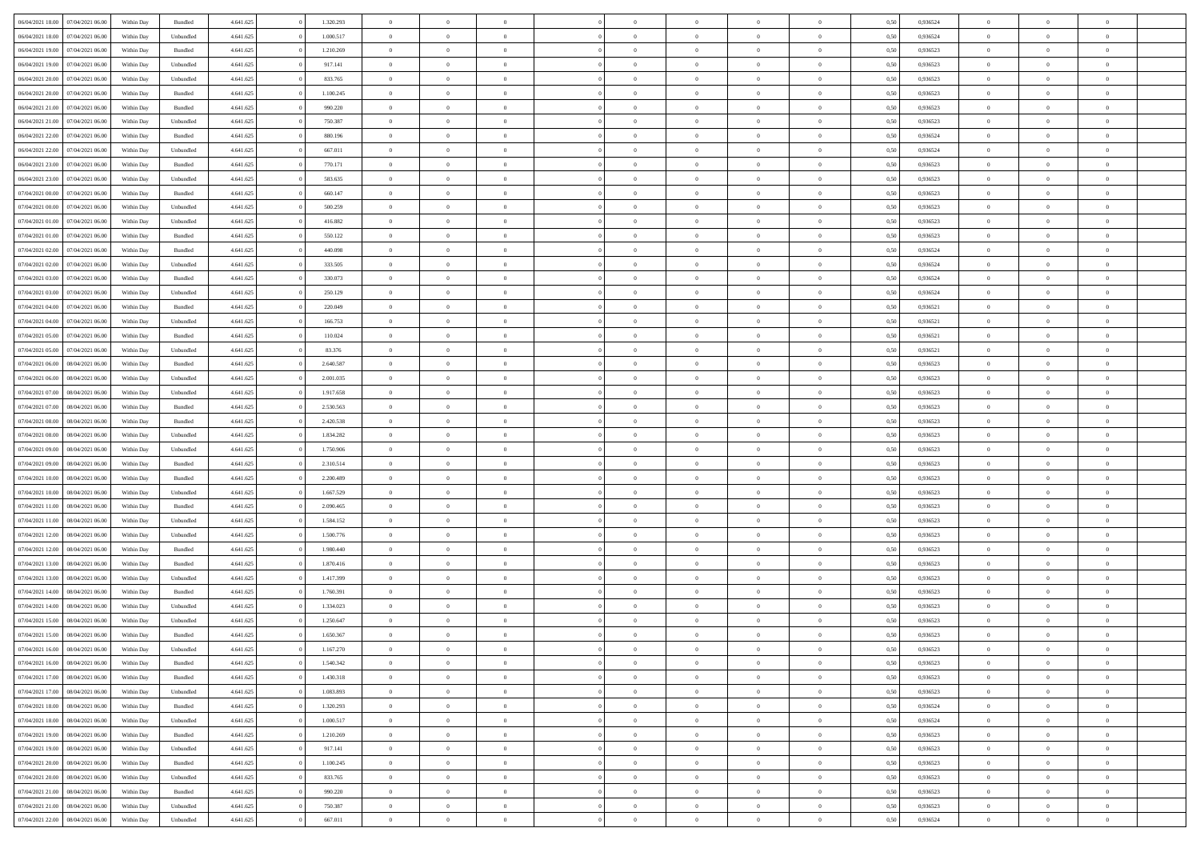|                                   |                  |            |                    |           | 1.320.293 |                | $\Omega$       |                |                | $\Omega$       | $\theta$       | $\theta$       |      |          | $\theta$       |                | $\theta$       |  |
|-----------------------------------|------------------|------------|--------------------|-----------|-----------|----------------|----------------|----------------|----------------|----------------|----------------|----------------|------|----------|----------------|----------------|----------------|--|
| 06/04/2021 18:00                  | 07/04/2021 06:00 | Within Day | Bundled            | 4.641.625 |           | $\overline{0}$ |                |                | $\Omega$       |                |                |                | 0,50 | 0,936524 |                | $\theta$       |                |  |
| 06/04/2021 18:00                  | 07/04/2021 06:00 | Within Day | Unbundled          | 4.641.625 | 1.000.517 | $\overline{0}$ | $\theta$       | $\overline{0}$ | $\overline{0}$ | $\bf{0}$       | $\overline{0}$ | $\bf{0}$       | 0,50 | 0,936524 | $\theta$       | $\overline{0}$ | $\overline{0}$ |  |
| 06/04/2021 19:00                  | 07/04/2021 06.00 | Within Day | Bundled            | 4.641.625 | 1.210.269 | $\overline{0}$ | $\bf{0}$       | $\overline{0}$ | $\bf{0}$       | $\bf{0}$       | $\bf{0}$       | $\mathbf{0}$   | 0,50 | 0,936523 | $\overline{0}$ | $\overline{0}$ | $\bf{0}$       |  |
| 06/04/2021 19:00                  | 07/04/2021 06:00 | Within Day | Unbundled          | 4.641.625 | 917.141   | $\overline{0}$ | $\overline{0}$ | $\overline{0}$ | $\overline{0}$ | $\bf{0}$       | $\overline{0}$ | $\overline{0}$ | 0.50 | 0.936523 | $\theta$       | $\theta$       | $\overline{0}$ |  |
|                                   |                  |            |                    |           |           | $\overline{0}$ | $\theta$       |                |                |                |                |                |      |          | $\theta$       | $\overline{0}$ |                |  |
| 06/04/2021 20:00                  | 07/04/2021 06:00 | Within Day | Unbundled          | 4.641.625 | 833.765   |                |                | $\overline{0}$ | $\overline{0}$ | $\bf{0}$       | $\overline{0}$ | $\bf{0}$       | 0,50 | 0,936523 |                |                | $\overline{0}$ |  |
| 06/04/2021 20:00                  | 07/04/2021 06.00 | Within Day | Bundled            | 4.641.625 | 1.100.245 | $\overline{0}$ | $\overline{0}$ | $\overline{0}$ | $\bf{0}$       | $\overline{0}$ | $\overline{0}$ | $\mathbf{0}$   | 0,50 | 0,936523 | $\overline{0}$ | $\overline{0}$ | $\bf{0}$       |  |
| 06/04/2021 21:00                  | 07/04/2021 06.00 | Within Dav | Bundled            | 4.641.625 | 990.220   | $\overline{0}$ | $\overline{0}$ | $\overline{0}$ | $\overline{0}$ | $\overline{0}$ | $\overline{0}$ | $\overline{0}$ | 0.50 | 0.936523 | $\theta$       | $\overline{0}$ | $\overline{0}$ |  |
| 06/04/2021 21:00                  | 07/04/2021 06:00 | Within Day | Unbundled          | 4.641.625 | 750.387   | $\overline{0}$ | $\theta$       | $\overline{0}$ | $\overline{0}$ | $\bf{0}$       | $\overline{0}$ | $\bf{0}$       | 0,50 | 0,936523 | $\theta$       | $\theta$       | $\overline{0}$ |  |
| 06/04/2021 22.00                  | 07/04/2021 06.00 | Within Day | Bundled            | 4.641.625 | 880.196   | $\overline{0}$ | $\overline{0}$ | $\overline{0}$ | $\bf{0}$       | $\bf{0}$       | $\bf{0}$       | $\mathbf{0}$   | 0,50 | 0,936524 | $\,0\,$        | $\overline{0}$ | $\overline{0}$ |  |
|                                   |                  |            |                    |           |           |                |                |                |                |                |                |                |      |          |                |                |                |  |
| 06/04/2021 22:00                  | 07/04/2021 06.00 | Within Dav | Unbundled          | 4.641.625 | 667.011   | $\overline{0}$ | $\overline{0}$ | $\overline{0}$ | $\overline{0}$ | $\overline{0}$ | $\overline{0}$ | $\overline{0}$ | 0.50 | 0,936524 | $\theta$       | $\overline{0}$ | $\overline{0}$ |  |
| 06/04/2021 23:00                  | 07/04/2021 06:00 | Within Day | Bundled            | 4.641.625 | 770.171   | $\overline{0}$ | $\theta$       | $\overline{0}$ | $\overline{0}$ | $\bf{0}$       | $\overline{0}$ | $\bf{0}$       | 0,50 | 0,936523 | $\,$ 0 $\,$    | $\overline{0}$ | $\overline{0}$ |  |
| 06/04/2021 23.00                  | 07/04/2021 06.00 | Within Day | Unbundled          | 4.641.625 | 583.635   | $\overline{0}$ | $\overline{0}$ | $\overline{0}$ | $\bf{0}$       | $\bf{0}$       | $\bf{0}$       | $\mathbf{0}$   | 0,50 | 0,936523 | $\overline{0}$ | $\overline{0}$ | $\bf{0}$       |  |
| 07/04/2021 00:00                  | 07/04/2021 06:00 | Within Day | Bundled            | 4.641.625 | 660.147   | $\overline{0}$ | $\overline{0}$ | $\overline{0}$ | $\overline{0}$ | $\bf{0}$       | $\overline{0}$ | $\overline{0}$ | 0.50 | 0.936523 | $\theta$       | $\theta$       | $\overline{0}$ |  |
| 07/04/2021 00:00                  | 07/04/2021 06.00 | Within Day | Unbundled          | 4.641.625 | 500.259   | $\overline{0}$ | $\theta$       | $\overline{0}$ | $\overline{0}$ | $\bf{0}$       | $\overline{0}$ | $\bf{0}$       | 0,50 | 0,936523 | $\theta$       | $\overline{0}$ | $\overline{0}$ |  |
|                                   |                  |            |                    |           |           |                |                |                |                |                |                |                |      |          |                |                |                |  |
| 07/04/2021 01:00                  | 07/04/2021 06.00 | Within Day | Unbundled          | 4.641.625 | 416.882   | $\overline{0}$ | $\overline{0}$ | $\overline{0}$ | $\bf{0}$       | $\overline{0}$ | $\overline{0}$ | $\mathbf{0}$   | 0,50 | 0,936523 | $\overline{0}$ | $\overline{0}$ | $\bf{0}$       |  |
| 07/04/2021 01:00                  | 07/04/2021 06:00 | Within Dav | Bundled            | 4.641.625 | 550.122   | $\overline{0}$ | $\overline{0}$ | $\overline{0}$ | $\overline{0}$ | $\overline{0}$ | $\overline{0}$ | $\overline{0}$ | 0.50 | 0.936523 | $\theta$       | $\overline{0}$ | $\overline{0}$ |  |
| 07/04/2021 02:00                  | 07/04/2021 06:00 | Within Day | Bundled            | 4.641.625 | 440.098   | $\overline{0}$ | $\theta$       | $\overline{0}$ | $\overline{0}$ | $\bf{0}$       | $\overline{0}$ | $\bf{0}$       | 0,50 | 0,936524 | $\theta$       | $\theta$       | $\overline{0}$ |  |
| 07/04/2021 02:00                  | 07/04/2021 06.00 | Within Day | Unbundled          | 4.641.625 | 333.505   | $\overline{0}$ | $\overline{0}$ | $\overline{0}$ | $\bf{0}$       | $\bf{0}$       | $\bf{0}$       | $\mathbf{0}$   | 0,50 | 0,936524 | $\,0\,$        | $\overline{0}$ | $\bf{0}$       |  |
| 07/04/2021 03:00                  | 07/04/2021 06.00 | Within Day | Bundled            | 4.641.625 | 330.073   | $\overline{0}$ | $\overline{0}$ | $\overline{0}$ | $\overline{0}$ | $\overline{0}$ | $\overline{0}$ | $\overline{0}$ | 0.50 | 0,936524 | $\theta$       | $\overline{0}$ | $\overline{0}$ |  |
|                                   |                  |            |                    |           |           |                |                |                |                |                |                |                |      |          |                |                |                |  |
| 07/04/2021 03:00                  | 07/04/2021 06:00 | Within Day | Unbundled          | 4.641.625 | 250.129   | $\overline{0}$ | $\theta$       | $\overline{0}$ | $\overline{0}$ | $\bf{0}$       | $\overline{0}$ | $\bf{0}$       | 0,50 | 0,936524 | $\,$ 0 $\,$    | $\overline{0}$ | $\overline{0}$ |  |
| 07/04/2021 04:00                  | 07/04/2021 06.00 | Within Day | Bundled            | 4.641.625 | 220.049   | $\overline{0}$ | $\overline{0}$ | $\overline{0}$ | $\bf{0}$       | $\bf{0}$       | $\bf{0}$       | $\mathbf{0}$   | 0,50 | 0,936521 | $\bf{0}$       | $\overline{0}$ | $\bf{0}$       |  |
| 07/04/2021 04:00                  | 07/04/2021 06:00 | Within Day | Unbundled          | 4.641.625 | 166,753   | $\overline{0}$ | $\overline{0}$ | $\overline{0}$ | $\overline{0}$ | $\overline{0}$ | $\overline{0}$ | $\overline{0}$ | 0.50 | 0.936521 | $\theta$       | $\overline{0}$ | $\overline{0}$ |  |
| 07/04/2021 05:00                  | 07/04/2021 06:00 | Within Day | Bundled            | 4.641.625 | 110.024   | $\overline{0}$ | $\theta$       | $\overline{0}$ | $\overline{0}$ | $\bf{0}$       | $\overline{0}$ | $\bf{0}$       | 0,50 | 0,936521 | $\,$ 0 $\,$    | $\overline{0}$ | $\overline{0}$ |  |
|                                   |                  |            |                    |           |           |                |                |                |                |                |                |                |      |          |                |                |                |  |
| 07/04/2021 05:00                  | 07/04/2021 06.00 | Within Day | Unbundled          | 4.641.625 | 83.376    | $\overline{0}$ | $\overline{0}$ | $\overline{0}$ | $\bf{0}$       | $\overline{0}$ | $\overline{0}$ | $\mathbf{0}$   | 0,50 | 0,936521 | $\overline{0}$ | $\overline{0}$ | $\bf{0}$       |  |
| 07/04/2021 06:00                  | 08/04/2021 06:00 | Within Dav | Bundled            | 4.641.625 | 2.640.587 | $\overline{0}$ | $\overline{0}$ | $\overline{0}$ | $\overline{0}$ | $\overline{0}$ | $\overline{0}$ | $\overline{0}$ | 0.50 | 0.936523 | $\theta$       | $\overline{0}$ | $\overline{0}$ |  |
| 07/04/2021 06:00                  | 08/04/2021 06:00 | Within Day | Unbundled          | 4.641.625 | 2.001.035 | $\overline{0}$ | $\theta$       | $\overline{0}$ | $\overline{0}$ | $\bf{0}$       | $\overline{0}$ | $\bf{0}$       | 0,50 | 0,936523 | $\theta$       | $\theta$       | $\overline{0}$ |  |
| 07/04/2021 07:00                  | 08/04/2021 06:00 | Within Day | Unbundled          | 4.641.625 | 1.917.658 | $\overline{0}$ | $\overline{0}$ | $\overline{0}$ | $\bf{0}$       | $\bf{0}$       | $\bf{0}$       | $\bf{0}$       | 0,50 | 0,936523 | $\,0\,$        | $\overline{0}$ | $\bf{0}$       |  |
| 07/04/2021 07:00                  | 08/04/2021 06:00 | Within Day | Bundled            | 4.641.625 | 2.530.563 | $\overline{0}$ | $\overline{0}$ | $\overline{0}$ | $\overline{0}$ | $\overline{0}$ | $\overline{0}$ | $\overline{0}$ | 0.50 | 0.936523 | $\theta$       | $\overline{0}$ | $\overline{0}$ |  |
| 07/04/2021 08:00                  | 08/04/2021 06:00 | Within Day | Bundled            | 4.641.625 | 2.420.538 | $\overline{0}$ | $\theta$       | $\overline{0}$ | $\overline{0}$ | $\bf{0}$       | $\overline{0}$ | $\bf{0}$       | 0,50 | 0,936523 | $\,$ 0 $\,$    | $\overline{0}$ | $\overline{0}$ |  |
|                                   |                  |            |                    |           |           |                |                |                |                |                |                |                |      |          |                |                |                |  |
| 07/04/2021 08:00                  | 08/04/2021 06:00 | Within Day | Unbundled          | 4.641.625 | 1.834.282 | $\overline{0}$ | $\overline{0}$ | $\overline{0}$ | $\bf{0}$       | $\bf{0}$       | $\bf{0}$       | $\bf{0}$       | 0,50 | 0,936523 | $\overline{0}$ | $\overline{0}$ | $\bf{0}$       |  |
| 07/04/2021 09:00                  | 08/04/2021 06:00 | Within Day | Unbundled          | 4.641.625 | 1.750.906 | $\overline{0}$ | $\Omega$       | $\overline{0}$ | $\Omega$       | $\Omega$       | $\overline{0}$ | $\overline{0}$ | 0,50 | 0,936523 | $\,0\,$        | $\theta$       | $\theta$       |  |
| 07/04/2021 09:00                  | 08/04/2021 06:00 | Within Day | Bundled            | 4.641.625 | 2.310.514 | $\overline{0}$ | $\theta$       | $\overline{0}$ | $\overline{0}$ | $\bf{0}$       | $\overline{0}$ | $\bf{0}$       | 0,50 | 0,936523 | $\theta$       | $\overline{0}$ | $\overline{0}$ |  |
| 07/04/2021 10:00                  | 08/04/2021 06:00 | Within Day | Bundled            | 4.641.625 | 2.200.489 | $\overline{0}$ | $\overline{0}$ | $\overline{0}$ | $\bf{0}$       | $\overline{0}$ | $\overline{0}$ | $\mathbf{0}$   | 0,50 | 0,936523 | $\overline{0}$ | $\overline{0}$ | $\bf{0}$       |  |
| 07/04/2021 10:00                  | 08/04/2021 06:00 |            |                    |           |           | $\overline{0}$ | $\Omega$       | $\Omega$       | $\Omega$       | $\overline{0}$ | $\overline{0}$ | $\overline{0}$ | 0.50 | 0.936523 | $\,0\,$        | $\theta$       | $\theta$       |  |
|                                   |                  | Within Day | Unbundled          | 4.641.625 | 1.667.529 |                |                |                |                |                |                |                |      |          |                |                |                |  |
| 07/04/2021 11:00                  | 08/04/2021 06:00 | Within Day | Bundled            | 4.641.625 | 2.090.465 | $\overline{0}$ | $\theta$       | $\overline{0}$ | $\overline{0}$ | $\bf{0}$       | $\overline{0}$ | $\bf{0}$       | 0,50 | 0,936523 | $\theta$       | $\overline{0}$ | $\overline{0}$ |  |
| 07/04/2021 11:00                  | 08/04/2021 06:00 | Within Day | Unbundled          | 4.641.625 | 1.584.152 | $\overline{0}$ | $\overline{0}$ | $\overline{0}$ | $\bf{0}$       | $\bf{0}$       | $\bf{0}$       | $\mathbf{0}$   | 0,50 | 0,936523 | $\,0\,$        | $\overline{0}$ | $\bf{0}$       |  |
| 07/04/2021 12:00                  | 08/04/2021 06:00 | Within Day | Unbundled          | 4.641.625 | 1.500.776 | $\overline{0}$ | $\Omega$       | $\Omega$       | $\Omega$       | $\overline{0}$ | $\overline{0}$ | $\overline{0}$ | 0.50 | 0.936523 | $\,$ 0 $\,$    | $\theta$       | $\theta$       |  |
| 07/04/2021 12:00                  | 08/04/2021 06:00 | Within Day | Bundled            | 4.641.625 | 1.980.440 | $\overline{0}$ | $\theta$       | $\overline{0}$ | $\overline{0}$ | $\,$ 0         | $\overline{0}$ | $\bf{0}$       | 0,50 | 0,936523 | $\,$ 0 $\,$    | $\overline{0}$ | $\overline{0}$ |  |
| 07/04/2021 13:00                  | 08/04/2021 06:00 | Within Day | Bundled            | 4.641.625 | 1.870.416 | $\overline{0}$ | $\bf{0}$       | $\overline{0}$ | $\bf{0}$       | $\bf{0}$       | $\bf{0}$       | $\mathbf{0}$   | 0,50 | 0,936523 | $\overline{0}$ | $\overline{0}$ | $\bf{0}$       |  |
|                                   |                  |            |                    |           |           |                |                |                |                |                |                |                |      |          |                |                |                |  |
| 07/04/2021 13:00                  | 08/04/2021 06:00 | Within Day | Unbundled          | 4.641.625 | 1.417.399 | $\overline{0}$ | $\Omega$       | $\overline{0}$ | $\Omega$       | $\overline{0}$ | $\overline{0}$ | $\overline{0}$ | 0,50 | 0,936523 | $\,0\,$        | $\theta$       | $\theta$       |  |
| 07/04/2021 14:00                  | 08/04/2021 06:00 | Within Day | Bundled            | 4.641.625 | 1.760.391 | $\overline{0}$ | $\overline{0}$ | $\overline{0}$ | $\overline{0}$ | $\,$ 0         | $\overline{0}$ | $\bf{0}$       | 0,50 | 0,936523 | $\,$ 0 $\,$    | $\overline{0}$ | $\overline{0}$ |  |
| 07/04/2021 14:00                  | 08/04/2021 06:00 | Within Day | Unbundled          | 4.641.625 | 1.334.023 | $\overline{0}$ | $\overline{0}$ | $\overline{0}$ | $\bf{0}$       | $\bf{0}$       | $\overline{0}$ | $\mathbf{0}$   | 0,50 | 0,936523 | $\overline{0}$ | $\overline{0}$ | $\bf{0}$       |  |
| 07/04/2021 15:00                  | 08/04/2021 06:00 | Within Day | Unbundled          | 4.641.625 | 1.250.647 | $\overline{0}$ | $\Omega$       | $\Omega$       | $\Omega$       | $\Omega$       | $\Omega$       | $\overline{0}$ | 0.50 | 0.936523 | $\theta$       | $\theta$       | $\theta$       |  |
| 07/04/2021 15:00                  | 08/04/2021 06:00 | Within Day | Bundled            | 4.641.625 | 1.650.367 | $\overline{0}$ | $\overline{0}$ | $\overline{0}$ | $\bf{0}$       | $\,$ 0         | $\bf{0}$       | $\bf{0}$       | 0,50 | 0,936523 | $\,0\,$        | $\,$ 0 $\,$    | $\overline{0}$ |  |
|                                   |                  |            |                    |           |           |                |                |                |                |                |                |                |      |          |                |                |                |  |
| 07/04/2021 16:00 08/04/2021 06:00 |                  | Within Day | Unbundled          | 4.641.625 | 1.167.270 | $\bf{0}$       | $\bf{0}$       |                |                |                |                |                | 0,50 | 0,936523 | $\bf{0}$       | $\overline{0}$ |                |  |
| 07/04/2021 16:00                  | 08/04/2021 06:00 | Within Day | Bundled            | 4.641.625 | 1.540.342 | $\overline{0}$ | $\overline{0}$ | $\overline{0}$ | $\Omega$       | $\overline{0}$ | $\overline{0}$ | $\overline{0}$ | 0.50 | 0.936523 | $\theta$       | $\theta$       | $\theta$       |  |
| 07/04/2021 17:00                  | 08/04/2021 06:00 | Within Day | Bundled            | 4.641.625 | 1.430.318 | $\overline{0}$ | $\,$ 0         | $\overline{0}$ | $\bf{0}$       | $\,$ 0 $\,$    | $\overline{0}$ | $\,$ 0 $\,$    | 0,50 | 0,936523 | $\,$ 0 $\,$    | $\,$ 0 $\,$    | $\,$ 0         |  |
| 07/04/2021 17:00                  | 08/04/2021 06:00 | Within Day | Unbundled          | 4.641.625 | 1.083.893 | $\overline{0}$ | $\overline{0}$ | $\overline{0}$ | $\overline{0}$ | $\overline{0}$ | $\overline{0}$ | $\mathbf{0}$   | 0,50 | 0,936523 | $\overline{0}$ | $\bf{0}$       | $\bf{0}$       |  |
| 07/04/2021 18:00                  | 08/04/2021 06:00 | Within Day | $\mathbf B$ undled | 4.641.625 | 1.320.293 | $\overline{0}$ | $\overline{0}$ | $\overline{0}$ | $\Omega$       | $\overline{0}$ | $\overline{0}$ | $\overline{0}$ | 0,50 | 0,936524 | $\overline{0}$ | $\theta$       | $\overline{0}$ |  |
|                                   |                  |            |                    |           |           |                |                |                |                |                |                |                |      |          |                |                |                |  |
| 07/04/2021 18:00                  | 08/04/2021 06:00 | Within Day | Unbundled          | 4.641.625 | 1.000.517 | $\overline{0}$ | $\,$ 0         | $\overline{0}$ | $\overline{0}$ | $\,$ 0 $\,$    | $\overline{0}$ | $\mathbf{0}$   | 0,50 | 0,936524 | $\,$ 0 $\,$    | $\overline{0}$ | $\overline{0}$ |  |
| 07/04/2021 19:00                  | 08/04/2021 06:00 | Within Day | Bundled            | 4.641.625 | 1.210.269 | $\overline{0}$ | $\overline{0}$ | $\overline{0}$ | $\overline{0}$ | $\overline{0}$ | $\overline{0}$ | $\mathbf{0}$   | 0,50 | 0,936523 | $\overline{0}$ | $\overline{0}$ | $\bf{0}$       |  |
| 07/04/2021 19:00                  | 08/04/2021 06:00 | Within Day | Unbundled          | 4.641.625 | 917.141   | $\overline{0}$ | $\overline{0}$ | $\overline{0}$ | $\Omega$       | $\overline{0}$ | $\overline{0}$ | $\bf{0}$       | 0.50 | 0,936523 | $\overline{0}$ | $\theta$       | $\overline{0}$ |  |
| 07/04/2021 20:00                  | 08/04/2021 06:00 | Within Day | Bundled            | 4.641.625 | 1.100.245 | $\overline{0}$ | $\,$ 0         | $\overline{0}$ | $\bf{0}$       | $\bf{0}$       | $\bf{0}$       | $\bf{0}$       | 0,50 | 0,936523 | $\,$ 0 $\,$    | $\overline{0}$ | $\overline{0}$ |  |
| 07/04/2021 20:00                  | 08/04/2021 06:00 | Within Day | Unbundled          | 4.641.625 | 833.765   | $\overline{0}$ | $\bf{0}$       | $\overline{0}$ | $\overline{0}$ | $\overline{0}$ | $\overline{0}$ | $\mathbf{0}$   | 0,50 | 0,936523 | $\overline{0}$ | $\overline{0}$ | $\bf{0}$       |  |
|                                   |                  |            |                    |           |           |                |                |                |                |                |                |                |      |          |                |                |                |  |
| 07/04/2021 21:00                  | 08/04/2021 06:00 | Within Day | Bundled            | 4.641.625 | 990.220   | $\overline{0}$ | $\overline{0}$ | $\overline{0}$ | $\Omega$       | $\overline{0}$ | $\overline{0}$ | $\overline{0}$ | 0.50 | 0.936523 | $\overline{0}$ | $\theta$       | $\overline{0}$ |  |
| 07/04/2021 21:00                  | 08/04/2021 06:00 | Within Day | Unbundled          | 4.641.625 | 750.387   | $\overline{0}$ | $\bf{0}$       | $\overline{0}$ | $\overline{0}$ | $\bf{0}$       | $\bf{0}$       | $\bf{0}$       | 0,50 | 0,936523 | $\,$ 0 $\,$    | $\,$ 0 $\,$    | $\bf{0}$       |  |
| 07/04/2021 22.00                  | 08/04/2021 06:00 | Within Day | Unbundled          | 4.641.625 | 667.011   | $\overline{0}$ | $\bf{0}$       | $\overline{0}$ | $\bf{0}$       | $\bf{0}$       | $\bf{0}$       | $\bf{0}$       | 0,50 | 0,936524 | $\overline{0}$ | $\overline{0}$ | $\bf{0}$       |  |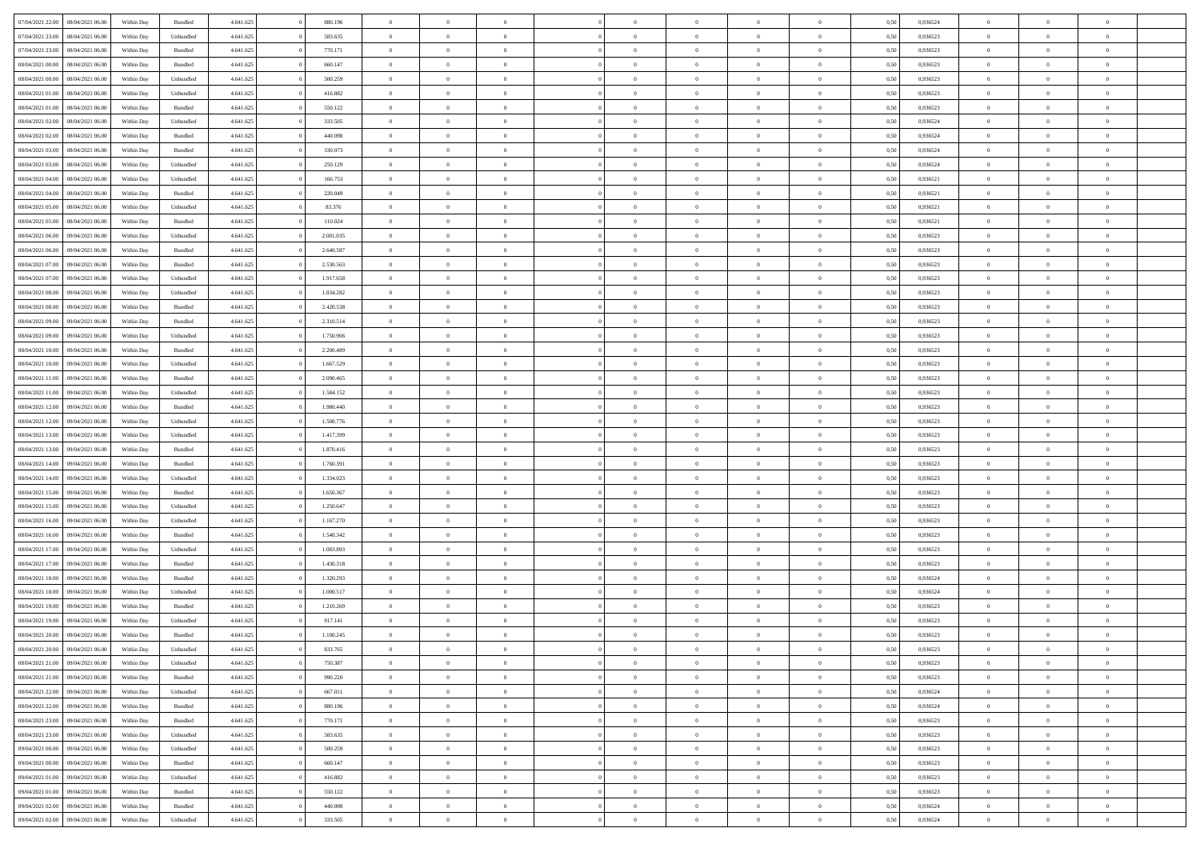| 07/04/2021 22:00<br>08/04/2021 06:00 | Within Day | Bundled            | 4.641.625 | 880.196   | $\overline{0}$ | $\Omega$       |                | $\Omega$       | $\Omega$       | $\theta$       | $\theta$       | 0.50 | 0,936524 | $\theta$       | $\theta$       | $\overline{0}$ |  |
|--------------------------------------|------------|--------------------|-----------|-----------|----------------|----------------|----------------|----------------|----------------|----------------|----------------|------|----------|----------------|----------------|----------------|--|
| 07/04/2021 23:00<br>08/04/2021 06:00 | Within Day | Unbundled          | 4.641.625 | 583.635   | $\overline{0}$ | $\theta$       | $\overline{0}$ | $\overline{0}$ | $\bf{0}$       | $\overline{0}$ | $\bf{0}$       | 0,50 | 0,936523 | $\theta$       | $\overline{0}$ | $\overline{0}$ |  |
| 07/04/2021 23.00<br>08/04/2021 06:00 | Within Day | Bundled            | 4.641.625 | 770.171   | $\overline{0}$ | $\bf{0}$       | $\overline{0}$ | $\bf{0}$       | $\bf{0}$       | $\bf{0}$       | $\mathbf{0}$   | 0,50 | 0,936523 | $\overline{0}$ | $\overline{0}$ | $\bf{0}$       |  |
| 08/04/2021 00:00<br>08/04/2021 06:00 | Within Dav | Bundled            | 4.641.625 | 660.147   | $\overline{0}$ | $\overline{0}$ | $\overline{0}$ | $\overline{0}$ | $\bf{0}$       | $\overline{0}$ | $\overline{0}$ | 0.50 | 0.936523 | $\theta$       | $\theta$       | $\overline{0}$ |  |
|                                      |            |                    |           |           |                |                |                |                |                |                |                |      |          |                |                |                |  |
| 08/04/2021 00:00<br>08/04/2021 06:00 | Within Day | Unbundled          | 4.641.625 | 500.259   | $\overline{0}$ | $\theta$       | $\overline{0}$ | $\overline{0}$ | $\bf{0}$       | $\overline{0}$ | $\bf{0}$       | 0,50 | 0,936523 | $\theta$       | $\overline{0}$ | $\overline{0}$ |  |
| 08/04/2021 01:00<br>08/04/2021 06:00 | Within Day | Unbundled          | 4.641.625 | 416.882   | $\overline{0}$ | $\overline{0}$ | $\overline{0}$ | $\bf{0}$       | $\overline{0}$ | $\overline{0}$ | $\mathbf{0}$   | 0,50 | 0,936523 | $\overline{0}$ | $\overline{0}$ | $\bf{0}$       |  |
| 08/04/2021 01:00<br>08/04/2021 06:00 | Within Dav | Bundled            | 4.641.625 | 550.122   | $\overline{0}$ | $\overline{0}$ | $\overline{0}$ | $\overline{0}$ | $\overline{0}$ | $\overline{0}$ | $\overline{0}$ | 0.50 | 0.936523 | $\theta$       | $\overline{0}$ | $\overline{0}$ |  |
| 08/04/2021 02:00<br>08/04/2021 06:00 | Within Day | Unbundled          | 4.641.625 | 333.505   | $\overline{0}$ | $\theta$       | $\overline{0}$ | $\overline{0}$ | $\bf{0}$       | $\overline{0}$ | $\bf{0}$       | 0,50 | 0,936524 | $\theta$       | $\theta$       | $\overline{0}$ |  |
|                                      |            |                    |           |           |                |                |                |                |                |                |                |      |          |                |                |                |  |
| 08/04/2021 02:00<br>08/04/2021 06:00 | Within Day | Bundled            | 4.641.625 | 440.098   | $\overline{0}$ | $\overline{0}$ | $\overline{0}$ | $\bf{0}$       | $\bf{0}$       | $\bf{0}$       | $\bf{0}$       | 0,50 | 0,936524 | $\,0\,$        | $\overline{0}$ | $\overline{0}$ |  |
| 08/04/2021 03:00<br>08/04/2021 06:00 | Within Dav | Bundled            | 4.641.625 | 330.073   | $\overline{0}$ | $\overline{0}$ | $\overline{0}$ | $\overline{0}$ | $\overline{0}$ | $\overline{0}$ | $\overline{0}$ | 0.50 | 0,936524 | $\theta$       | $\overline{0}$ | $\overline{0}$ |  |
| 08/04/2021 03:00<br>08/04/2021 06:00 | Within Day | Unbundled          | 4.641.625 | 250.129   | $\overline{0}$ | $\theta$       | $\overline{0}$ | $\overline{0}$ | $\bf{0}$       | $\overline{0}$ | $\bf{0}$       | 0,50 | 0,936524 | $\,$ 0 $\,$    | $\overline{0}$ | $\overline{0}$ |  |
| 08/04/2021 04:00<br>08/04/2021 06:00 | Within Day | Unbundled          | 4.641.625 | 166.753   | $\overline{0}$ | $\bf{0}$       | $\overline{0}$ | $\bf{0}$       | $\bf{0}$       | $\bf{0}$       | $\mathbf{0}$   | 0,50 | 0,936521 | $\overline{0}$ | $\overline{0}$ | $\bf{0}$       |  |
| 08/04/2021 04:00<br>08/04/2021 06:00 | Within Day | Bundled            | 4.641.625 | 220.049   | $\overline{0}$ | $\overline{0}$ | $\overline{0}$ | $\overline{0}$ | $\bf{0}$       | $\overline{0}$ | $\overline{0}$ | 0.50 | 0,936521 | $\theta$       | $\theta$       | $\overline{0}$ |  |
|                                      |            |                    |           |           | $\overline{0}$ | $\theta$       |                |                | $\bf{0}$       |                |                |      |          | $\theta$       | $\overline{0}$ |                |  |
| 08/04/2021 05:00<br>08/04/2021 06:00 | Within Day | Unbundled          | 4.641.625 | 83.376    |                |                | $\overline{0}$ | $\overline{0}$ |                | $\overline{0}$ | $\bf{0}$       | 0,50 | 0,936521 |                |                | $\overline{0}$ |  |
| 08/04/2021 05:00<br>08/04/2021 06:00 | Within Day | Bundled            | 4.641.625 | 110.024   | $\overline{0}$ | $\overline{0}$ | $\overline{0}$ | $\bf{0}$       | $\overline{0}$ | $\overline{0}$ | $\mathbf{0}$   | 0,50 | 0,936521 | $\overline{0}$ | $\overline{0}$ | $\bf{0}$       |  |
| 08/04/2021 06:00<br>09/04/2021 06:00 | Within Dav | Unbundled          | 4.641.625 | 2.001.035 | $\overline{0}$ | $\overline{0}$ | $\overline{0}$ | $\overline{0}$ | $\overline{0}$ | $\overline{0}$ | $\overline{0}$ | 0.50 | 0.936523 | $\theta$       | $\overline{0}$ | $\overline{0}$ |  |
| 08/04/2021 06:00<br>09/04/2021 06:00 | Within Day | Bundled            | 4.641.625 | 2.640.587 | $\overline{0}$ | $\theta$       | $\overline{0}$ | $\overline{0}$ | $\bf{0}$       | $\overline{0}$ | $\bf{0}$       | 0,50 | 0,936523 | $\theta$       | $\theta$       | $\overline{0}$ |  |
| 08/04/2021 07:00<br>09/04/2021 06:00 | Within Day | Bundled            | 4.641.625 | 2.530.563 | $\overline{0}$ | $\overline{0}$ | $\overline{0}$ | $\bf{0}$       | $\bf{0}$       | $\bf{0}$       | $\mathbf{0}$   | 0,50 | 0,936523 | $\,0\,$        | $\overline{0}$ | $\overline{0}$ |  |
|                                      |            |                    |           |           |                |                |                |                |                |                |                |      |          |                |                |                |  |
| 08/04/2021 07:00<br>09/04/2021 06:00 | Within Dav | Unbundled          | 4.641.625 | 1.917.658 | $\overline{0}$ | $\overline{0}$ | $\overline{0}$ | $\overline{0}$ | $\overline{0}$ | $\overline{0}$ | $\overline{0}$ | 0.50 | 0.936523 | $\theta$       | $\overline{0}$ | $\overline{0}$ |  |
| 08/04/2021 08:00<br>09/04/2021 06:00 | Within Day | Unbundled          | 4.641.625 | 1.834.282 | $\overline{0}$ | $\theta$       | $\overline{0}$ | $\overline{0}$ | $\bf{0}$       | $\overline{0}$ | $\bf{0}$       | 0,50 | 0,936523 | $\,$ 0 $\,$    | $\overline{0}$ | $\overline{0}$ |  |
| 08/04/2021 08:00<br>09/04/2021 06:00 | Within Day | Bundled            | 4.641.625 | 2.420.538 | $\overline{0}$ | $\overline{0}$ | $\overline{0}$ | $\bf{0}$       | $\bf{0}$       | $\bf{0}$       | $\bf{0}$       | 0,50 | 0,936523 | $\,0\,$        | $\overline{0}$ | $\bf{0}$       |  |
| 08/04/2021 09:00<br>09/04/2021 06:00 | Within Day | Bundled            | 4.641.625 | 2.310.514 | $\overline{0}$ | $\overline{0}$ | $\overline{0}$ | $\overline{0}$ | $\bf{0}$       | $\overline{0}$ | $\overline{0}$ | 0.50 | 0.936523 | $\theta$       | $\overline{0}$ | $\overline{0}$ |  |
| 08/04/2021 09:00<br>09/04/2021 06:00 | Within Day | Unbundled          | 4.641.625 | 1.750.906 | $\overline{0}$ | $\theta$       | $\overline{0}$ | $\overline{0}$ | $\bf{0}$       | $\overline{0}$ | $\bf{0}$       | 0,50 | 0,936523 | $\theta$       | $\overline{0}$ | $\overline{0}$ |  |
|                                      |            |                    |           |           |                |                |                |                |                |                |                |      |          |                |                |                |  |
| 08/04/2021 10:00<br>09/04/2021 06:00 | Within Day | Bundled            | 4.641.625 | 2.200.489 | $\overline{0}$ | $\overline{0}$ | $\overline{0}$ | $\bf{0}$       | $\overline{0}$ | $\overline{0}$ | $\mathbf{0}$   | 0,50 | 0,936523 | $\overline{0}$ | $\overline{0}$ | $\bf{0}$       |  |
| 08/04/2021 10:00<br>09/04/2021 06:00 | Within Dav | Unbundled          | 4.641.625 | 1.667.529 | $\overline{0}$ | $\overline{0}$ | $\overline{0}$ | $\overline{0}$ | $\overline{0}$ | $\overline{0}$ | $\overline{0}$ | 0.50 | 0.936523 | $\theta$       | $\overline{0}$ | $\overline{0}$ |  |
| 08/04/2021 11:00<br>09/04/2021 06:00 | Within Day | Bundled            | 4.641.625 | 2.090.465 | $\overline{0}$ | $\theta$       | $\overline{0}$ | $\overline{0}$ | $\bf{0}$       | $\overline{0}$ | $\bf{0}$       | 0,50 | 0,936523 | $\theta$       | $\theta$       | $\overline{0}$ |  |
| 08/04/2021 11:00<br>09/04/2021 06:00 | Within Day | Unbundled          | 4.641.625 | 1.584.152 | $\overline{0}$ | $\overline{0}$ | $\overline{0}$ | $\bf{0}$       | $\bf{0}$       | $\bf{0}$       | $\bf{0}$       | 0,50 | 0,936523 | $\,0\,$        | $\overline{0}$ | $\overline{0}$ |  |
| 08/04/2021 12:00<br>09/04/2021 06:00 |            | Bundled            | 4.641.625 | 1.980.440 | $\overline{0}$ | $\overline{0}$ | $\overline{0}$ | $\overline{0}$ | $\overline{0}$ | $\overline{0}$ | $\overline{0}$ | 0.50 | 0.936523 | $\theta$       | $\overline{0}$ | $\overline{0}$ |  |
|                                      | Within Day |                    |           |           |                |                |                |                |                |                |                |      |          |                |                |                |  |
| 08/04/2021 12:00<br>09/04/2021 06:00 | Within Day | Unbundled          | 4.641.625 | 1.500.776 | $\overline{0}$ | $\theta$       | $\overline{0}$ | $\overline{0}$ | $\bf{0}$       | $\overline{0}$ | $\bf{0}$       | 0,50 | 0,936523 | $\,$ 0 $\,$    | $\overline{0}$ | $\overline{0}$ |  |
| 08/04/2021 13:00<br>09/04/2021 06:00 | Within Day | Unbundled          | 4.641.625 | 1.417.399 | $\overline{0}$ | $\overline{0}$ | $\overline{0}$ | $\bf{0}$       | $\bf{0}$       | $\bf{0}$       | $\bf{0}$       | 0,50 | 0,936523 | $\overline{0}$ | $\overline{0}$ | $\bf{0}$       |  |
| 08/04/2021 13:00<br>09/04/2021 06:00 | Within Day | Bundled            | 4.641.625 | 1.870.416 | $\overline{0}$ | $\Omega$       | $\Omega$       | $\Omega$       | $\Omega$       | $\overline{0}$ | $\overline{0}$ | 0,50 | 0,936523 | $\,0\,$        | $\theta$       | $\theta$       |  |
| 08/04/2021 14:00<br>09/04/2021 06:00 | Within Day | Bundled            | 4.641.625 | 1.760.391 | $\overline{0}$ | $\theta$       | $\overline{0}$ | $\overline{0}$ | $\bf{0}$       | $\overline{0}$ | $\bf{0}$       | 0,50 | 0,936523 | $\theta$       | $\overline{0}$ | $\overline{0}$ |  |
|                                      |            |                    |           |           |                |                |                |                |                |                |                |      |          |                | $\overline{0}$ | $\bf{0}$       |  |
| 08/04/2021 14:00<br>09/04/2021 06:00 | Within Day | Unbundled          | 4.641.625 | 1.334.023 | $\overline{0}$ | $\overline{0}$ | $\overline{0}$ | $\bf{0}$       | $\overline{0}$ | $\overline{0}$ | $\mathbf{0}$   | 0,50 | 0,936523 | $\overline{0}$ |                |                |  |
| 08/04/2021 15:00<br>09/04/2021 06:00 | Within Day | Bundled            | 4.641.625 | 1.650.367 | $\overline{0}$ | $\Omega$       | $\Omega$       | $\Omega$       | $\bf{0}$       | $\overline{0}$ | $\overline{0}$ | 0.50 | 0.936523 | $\,0\,$        | $\theta$       | $\theta$       |  |
| 08/04/2021 15:00<br>09/04/2021 06:00 | Within Day | Unbundled          | 4.641.625 | 1.250.647 | $\overline{0}$ | $\theta$       | $\overline{0}$ | $\overline{0}$ | $\bf{0}$       | $\overline{0}$ | $\bf{0}$       | 0,50 | 0,936523 | $\theta$       | $\overline{0}$ | $\overline{0}$ |  |
| 08/04/2021 16:00<br>09/04/2021 06:00 | Within Day | Unbundled          | 4.641.625 | 1.167.270 | $\overline{0}$ | $\overline{0}$ | $\overline{0}$ | $\bf{0}$       | $\bf{0}$       | $\bf{0}$       | $\bf{0}$       | 0,50 | 0,936523 | $\bf{0}$       | $\overline{0}$ | $\bf{0}$       |  |
| 08/04/2021 16:00<br>09/04/2021 06:00 | Within Day | Bundled            | 4.641.625 | 1.540.342 | $\overline{0}$ | $\Omega$       | $\Omega$       | $\Omega$       | $\theta$       | $\overline{0}$ | $\overline{0}$ | 0.50 | 0.936523 | $\,$ 0 $\,$    | $\theta$       | $\theta$       |  |
| 08/04/2021 17:00<br>09/04/2021 06:00 | Within Day | Unbundled          | 4.641.625 | 1.083.893 | $\overline{0}$ | $\theta$       | $\overline{0}$ | $\overline{0}$ | $\,$ 0         | $\overline{0}$ | $\bf{0}$       | 0,50 | 0,936523 | $\,$ 0 $\,$    | $\overline{0}$ | $\overline{0}$ |  |
|                                      |            |                    |           |           |                |                |                |                |                |                |                |      |          |                |                |                |  |
| 08/04/2021 17:00<br>09/04/2021 06:00 | Within Day | Bundled            | 4.641.625 | 1.430.318 | $\overline{0}$ | $\bf{0}$       | $\overline{0}$ | $\bf{0}$       | $\bf{0}$       | $\bf{0}$       | $\mathbf{0}$   | 0,50 | 0,936523 | $\bf{0}$       | $\overline{0}$ | $\bf{0}$       |  |
| 08/04/2021 18:00<br>09/04/2021 06:00 | Within Day | Bundled            | 4.641.625 | 1.320.293 | $\overline{0}$ | $\Omega$       | $\overline{0}$ | $\Omega$       | $\overline{0}$ | $\overline{0}$ | $\overline{0}$ | 0,50 | 0,936524 | $\,0\,$        | $\theta$       | $\theta$       |  |
| 08/04/2021 18:00<br>09/04/2021 06:00 | Within Day | Unbundled          | 4.641.625 | 1.000.517 | $\overline{0}$ | $\overline{0}$ | $\overline{0}$ | $\overline{0}$ | $\,$ 0         | $\overline{0}$ | $\bf{0}$       | 0,50 | 0,936524 | $\,$ 0 $\,$    | $\overline{0}$ | $\overline{0}$ |  |
| 08/04/2021 19:00<br>09/04/2021 06:00 | Within Day | Bundled            | 4.641.625 | 1.210.269 | $\overline{0}$ | $\overline{0}$ | $\overline{0}$ | $\bf{0}$       | $\bf{0}$       | $\bf{0}$       | $\mathbf{0}$   | 0,50 | 0,936523 | $\bf{0}$       | $\overline{0}$ | $\bf{0}$       |  |
| 08/04/2021 19:00<br>09/04/2021 06:00 | Within Day | Unbundled          | 4.641.625 | 917.141   | $\overline{0}$ | $\Omega$       | $\Omega$       | $\Omega$       | $\Omega$       | $\Omega$       | $\overline{0}$ | 0.50 | 0.936523 | $\theta$       | $\theta$       | $\theta$       |  |
|                                      |            |                    |           |           |                |                |                |                |                |                |                |      |          |                |                |                |  |
| 08/04/2021 20:00<br>09/04/2021 06:00 | Within Day | Bundled            | 4.641.625 | 1.100.245 | $\overline{0}$ | $\overline{0}$ | $\overline{0}$ | $\bf{0}$       | $\,$ 0         | $\bf{0}$       | $\bf{0}$       | 0,50 | 0,936523 | $\,0\,$        | $\,0\,$        | $\overline{0}$ |  |
| 08/04/2021 20:00<br>09/04/2021 06:00 | Within Day | Unbundled          | 4.641.625 | 833.765   | $\bf{0}$       | $\bf{0}$       |                |                | $\bf{0}$       |                |                | 0,50 | 0,936523 | $\bf{0}$       | $\overline{0}$ |                |  |
| 08/04/2021 21:00<br>09/04/2021 06:00 | Within Day | Unbundled          | 4.641.625 | 750,387   | $\overline{0}$ | $\overline{0}$ | $\overline{0}$ | $\Omega$       | $\overline{0}$ | $\overline{0}$ | $\overline{0}$ | 0.50 | 0.936523 | $\theta$       | $\theta$       | $\theta$       |  |
| 08/04/2021 21:00<br>09/04/2021 06:00 | Within Day | Bundled            | 4.641.625 | 990.220   | $\overline{0}$ | $\bf{0}$       | $\overline{0}$ | $\bf{0}$       | $\,$ 0 $\,$    | $\overline{0}$ | $\,$ 0 $\,$    | 0,50 | 0,936523 | $\,$ 0 $\,$    | $\,$ 0 $\,$    | $\,$ 0         |  |
| 08/04/2021 22.00<br>09/04/2021 06:00 | Within Day | Unbundled          | 4.641.625 | 667.011   | $\overline{0}$ | $\overline{0}$ | $\overline{0}$ | $\overline{0}$ | $\overline{0}$ | $\overline{0}$ | $\mathbf{0}$   | 0,50 | 0,936524 | $\overline{0}$ | $\bf{0}$       | $\bf{0}$       |  |
|                                      |            |                    |           |           |                |                |                |                |                |                |                |      |          |                |                |                |  |
| 08/04/2021 22:00<br>09/04/2021 06:00 | Within Day | $\mathbf B$ undled | 4.641.625 | 880.196   | $\overline{0}$ | $\overline{0}$ | $\overline{0}$ | $\Omega$       | $\overline{0}$ | $\overline{0}$ | $\overline{0}$ | 0,50 | 0,936524 | $\overline{0}$ | $\theta$       | $\overline{0}$ |  |
| 08/04/2021 23:00<br>09/04/2021 06:00 | Within Day | Bundled            | 4.641.625 | 770.171   | $\overline{0}$ | $\,$ 0         | $\overline{0}$ | $\overline{0}$ | $\,$ 0 $\,$    | $\overline{0}$ | $\mathbf{0}$   | 0,50 | 0,936523 | $\,$ 0 $\,$    | $\overline{0}$ | $\overline{0}$ |  |
| 08/04/2021 23:00<br>09/04/2021 06:00 | Within Day | Unbundled          | 4.641.625 | 583.635   | $\overline{0}$ | $\overline{0}$ | $\overline{0}$ | $\overline{0}$ | $\overline{0}$ | $\overline{0}$ | $\mathbf{0}$   | 0,50 | 0,936523 | $\overline{0}$ | $\overline{0}$ | $\bf{0}$       |  |
| 09/04/2021 00:00<br>09/04/2021 06:00 | Within Day | Unbundled          | 4.641.625 | 500.259   | $\overline{0}$ | $\overline{0}$ | $\overline{0}$ | $\Omega$       | $\overline{0}$ | $\overline{0}$ | $\bf{0}$       | 0.50 | 0,936523 | $\overline{0}$ | $\theta$       | $\overline{0}$ |  |
| 09/04/2021 00:00<br>09/04/2021 06:00 | Within Day | Bundled            | 4.641.625 | 660.147   | $\overline{0}$ | $\,$ 0         | $\overline{0}$ | $\bf{0}$       | $\bf{0}$       | $\bf{0}$       | $\bf{0}$       | 0,50 | 0,936523 | $\,$ 0 $\,$    | $\overline{0}$ | $\overline{0}$ |  |
|                                      |            |                    |           |           |                |                |                |                |                |                |                |      |          |                |                |                |  |
| 09/04/2021 01:00<br>09/04/2021 06:00 | Within Day | Unbundled          | 4.641.625 | 416.882   | $\overline{0}$ | $\bf{0}$       | $\overline{0}$ | $\overline{0}$ | $\overline{0}$ | $\overline{0}$ | $\mathbf{0}$   | 0,50 | 0,936523 | $\overline{0}$ | $\overline{0}$ | $\bf{0}$       |  |
| 09/04/2021 01:00<br>09/04/2021 06:00 | Within Day | Bundled            | 4.641.625 | 550.122   | $\overline{0}$ | $\overline{0}$ | $\overline{0}$ | $\Omega$       | $\overline{0}$ | $\overline{0}$ | $\overline{0}$ | 0.50 | 0.936523 | $\overline{0}$ | $\overline{0}$ | $\overline{0}$ |  |
| 09/04/2021 02:00<br>09/04/2021 06:00 | Within Day | Bundled            | 4.641.625 | 440.098   | $\overline{0}$ | $\bf{0}$       | $\overline{0}$ | $\overline{0}$ | $\bf{0}$       | $\bf{0}$       | $\mathbf{0}$   | 0,50 | 0,936524 | $\,$ 0 $\,$    | $\,$ 0 $\,$    | $\bf{0}$       |  |
| 09/04/2021 02:00<br>09/04/2021 06:00 | Within Day | Unbundled          | 4.641.625 | 333.505   | $\overline{0}$ | $\bf{0}$       | $\overline{0}$ | $\bf{0}$       | $\bf{0}$       | $\bf{0}$       | $\bf{0}$       | 0,50 | 0,936524 | $\overline{0}$ | $\overline{0}$ | $\bf{0}$       |  |
|                                      |            |                    |           |           |                |                |                |                |                |                |                |      |          |                |                |                |  |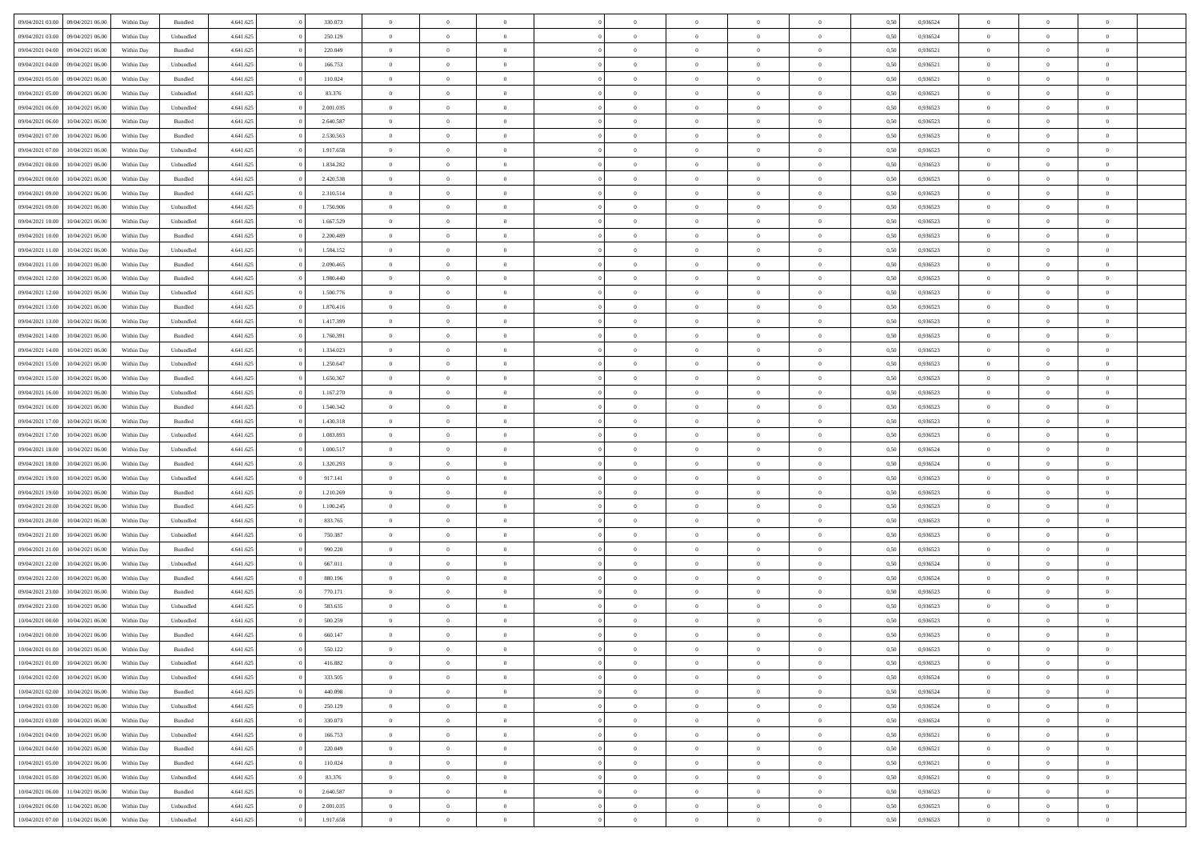| 09/04/2021 03:00 | 09/04/2021 06:00 | Within Day | Bundled            | 4.641.625 | 330.073   | $\overline{0}$ | $\Omega$       |                | $\Omega$       | $\Omega$       | $\theta$       | $\theta$       | 0.50 | 0,936524 | $\theta$       | $\theta$       | $\overline{0}$ |  |
|------------------|------------------|------------|--------------------|-----------|-----------|----------------|----------------|----------------|----------------|----------------|----------------|----------------|------|----------|----------------|----------------|----------------|--|
|                  |                  |            |                    |           |           |                |                |                |                |                |                |                |      |          |                |                |                |  |
| 09/04/2021 03:00 | 09/04/2021 06:00 | Within Day | Unbundled          | 4.641.625 | 250.129   | $\overline{0}$ | $\theta$       | $\overline{0}$ | $\overline{0}$ | $\bf{0}$       | $\overline{0}$ | $\bf{0}$       | 0,50 | 0,936524 | $\theta$       | $\overline{0}$ | $\overline{0}$ |  |
| 09/04/2021 04:00 | 09/04/2021 06:00 | Within Day | Bundled            | 4.641.625 | 220.049   | $\overline{0}$ | $\bf{0}$       | $\overline{0}$ | $\bf{0}$       | $\bf{0}$       | $\bf{0}$       | $\mathbf{0}$   | 0,50 | 0,936521 | $\overline{0}$ | $\overline{0}$ | $\bf{0}$       |  |
| 09/04/2021 04:00 | 09/04/2021 06:00 | Within Dav | Unbundled          | 4.641.625 | 166.753   | $\overline{0}$ | $\overline{0}$ | $\overline{0}$ | $\overline{0}$ | $\bf{0}$       | $\overline{0}$ | $\overline{0}$ | 0.50 | 0.936521 | $\theta$       | $\theta$       | $\overline{0}$ |  |
| 09/04/2021 05:00 | 09/04/2021 06:00 | Within Day | Bundled            | 4.641.625 | 110.024   | $\overline{0}$ | $\theta$       | $\overline{0}$ | $\overline{0}$ | $\bf{0}$       | $\overline{0}$ | $\bf{0}$       | 0,50 | 0,936521 | $\theta$       | $\overline{0}$ | $\overline{0}$ |  |
| 09/04/2021 05:00 | 09/04/2021 06:00 | Within Day | Unbundled          | 4.641.625 | 83.376    | $\overline{0}$ | $\overline{0}$ | $\overline{0}$ | $\bf{0}$       | $\overline{0}$ | $\overline{0}$ | $\mathbf{0}$   | 0,50 | 0,936521 | $\overline{0}$ | $\overline{0}$ | $\bf{0}$       |  |
|                  |                  |            |                    |           |           |                | $\overline{0}$ |                |                | $\overline{0}$ |                |                |      |          | $\theta$       | $\overline{0}$ | $\overline{0}$ |  |
| 09/04/2021 06:00 | 10/04/2021 06:00 | Within Dav | Unbundled          | 4.641.625 | 2.001.035 | $\overline{0}$ |                | $\overline{0}$ | $\overline{0}$ |                | $\overline{0}$ | $\overline{0}$ | 0.50 | 0.936523 |                |                |                |  |
| 09/04/2021 06:00 | 10/04/2021 06:00 | Within Day | Bundled            | 4.641.625 | 2.640.587 | $\overline{0}$ | $\theta$       | $\overline{0}$ | $\overline{0}$ | $\bf{0}$       | $\overline{0}$ | $\bf{0}$       | 0,50 | 0,936523 | $\theta$       | $\theta$       | $\overline{0}$ |  |
| 09/04/2021 07:00 | 10/04/2021 06:00 | Within Day | Bundled            | 4.641.625 | 2.530.563 | $\overline{0}$ | $\overline{0}$ | $\overline{0}$ | $\bf{0}$       | $\bf{0}$       | $\bf{0}$       | $\bf{0}$       | 0,50 | 0,936523 | $\,0\,$        | $\overline{0}$ | $\overline{0}$ |  |
| 09/04/2021 07:00 | 10/04/2021 06:00 | Within Dav | Unbundled          | 4.641.625 | 1.917.658 | $\overline{0}$ | $\overline{0}$ | $\overline{0}$ | $\overline{0}$ | $\overline{0}$ | $\overline{0}$ | $\overline{0}$ | 0.50 | 0.936523 | $\theta$       | $\overline{0}$ | $\overline{0}$ |  |
| 09/04/2021 08:00 | 10/04/2021 06:00 | Within Day | Unbundled          | 4.641.625 | 1.834.282 | $\overline{0}$ | $\theta$       | $\overline{0}$ | $\overline{0}$ | $\bf{0}$       | $\overline{0}$ | $\bf{0}$       | 0,50 | 0,936523 | $\,$ 0 $\,$    | $\overline{0}$ | $\overline{0}$ |  |
| 09/04/2021 08:00 | 10/04/2021 06:00 | Within Day | Bundled            | 4.641.625 | 2.420.538 | $\overline{0}$ | $\overline{0}$ | $\overline{0}$ | $\bf{0}$       | $\bf{0}$       | $\bf{0}$       | $\mathbf{0}$   | 0,50 | 0,936523 | $\overline{0}$ | $\overline{0}$ | $\bf{0}$       |  |
| 09/04/2021 09:00 | 10/04/2021 06:00 | Within Day | Bundled            | 4.641.625 | 2.310.514 | $\overline{0}$ | $\overline{0}$ | $\overline{0}$ | $\overline{0}$ | $\bf{0}$       | $\overline{0}$ | $\overline{0}$ | 0.50 | 0.936523 | $\theta$       | $\theta$       | $\overline{0}$ |  |
| 09/04/2021 09:00 | 10/04/2021 06:00 |            |                    | 4.641.625 | 1.750.906 | $\overline{0}$ | $\theta$       | $\overline{0}$ | $\overline{0}$ | $\bf{0}$       | $\overline{0}$ | $\overline{0}$ |      | 0,936523 | $\theta$       | $\overline{0}$ | $\overline{0}$ |  |
|                  |                  | Within Day | Unbundled          |           |           |                |                |                |                |                |                |                | 0,50 |          |                |                |                |  |
| 09/04/2021 10:00 | 10/04/2021 06:00 | Within Day | Unbundled          | 4.641.625 | 1.667.529 | $\overline{0}$ | $\overline{0}$ | $\overline{0}$ | $\bf{0}$       | $\overline{0}$ | $\overline{0}$ | $\mathbf{0}$   | 0,50 | 0,936523 | $\overline{0}$ | $\overline{0}$ | $\bf{0}$       |  |
| 09/04/2021 10:00 | 10/04/2021 06:00 | Within Dav | Bundled            | 4.641.625 | 2.200.489 | $\overline{0}$ | $\overline{0}$ | $\overline{0}$ | $\overline{0}$ | $\overline{0}$ | $\overline{0}$ | $\overline{0}$ | 0.50 | 0.936523 | $\theta$       | $\overline{0}$ | $\overline{0}$ |  |
| 09/04/2021 11:00 | 10/04/2021 06:00 | Within Day | Unbundled          | 4.641.625 | 1.584.152 | $\overline{0}$ | $\theta$       | $\overline{0}$ | $\overline{0}$ | $\bf{0}$       | $\overline{0}$ | $\bf{0}$       | 0,50 | 0,936523 | $\theta$       | $\theta$       | $\overline{0}$ |  |
| 09/04/2021 11:00 | 10/04/2021 06:00 | Within Day | Bundled            | 4.641.625 | 2.090.465 | $\overline{0}$ | $\overline{0}$ | $\overline{0}$ | $\bf{0}$       | $\bf{0}$       | $\bf{0}$       | $\bf{0}$       | 0,50 | 0,936523 | $\,0\,$        | $\overline{0}$ | $\overline{0}$ |  |
| 09/04/2021 12:00 | 10/04/2021 06:00 | Within Dav | Bundled            | 4.641.625 | 1.980.440 | $\overline{0}$ | $\overline{0}$ | $\overline{0}$ | $\overline{0}$ | $\overline{0}$ | $\overline{0}$ | $\overline{0}$ | 0.50 | 0.936523 | $\theta$       | $\overline{0}$ | $\overline{0}$ |  |
| 09/04/2021 12:00 | 10/04/2021 06:00 | Within Day | Unbundled          | 4.641.625 | 1.500.776 | $\overline{0}$ | $\theta$       | $\overline{0}$ | $\overline{0}$ | $\bf{0}$       | $\overline{0}$ | $\bf{0}$       | 0,50 | 0,936523 | $\,$ 0 $\,$    | $\overline{0}$ | $\overline{0}$ |  |
| 09/04/2021 13:00 | 10/04/2021 06:00 | Within Day | Bundled            | 4.641.625 | 1.870.416 | $\overline{0}$ | $\overline{0}$ | $\overline{0}$ | $\bf{0}$       | $\bf{0}$       | $\bf{0}$       | $\bf{0}$       | 0,50 | 0,936523 | $\bf{0}$       | $\overline{0}$ | $\bf{0}$       |  |
|                  | 10/04/2021 06:00 |            | Unbundled          | 4.641.625 | 1.417.399 | $\overline{0}$ | $\overline{0}$ | $\overline{0}$ |                | $\bf{0}$       | $\overline{0}$ | $\overline{0}$ | 0.50 | 0.936523 | $\theta$       | $\overline{0}$ | $\overline{0}$ |  |
| 09/04/2021 13:00 |                  | Within Day |                    |           |           |                |                |                | $\overline{0}$ |                |                |                |      |          |                |                |                |  |
| 09/04/2021 14:00 | 10/04/2021 06:00 | Within Day | Bundled            | 4.641.625 | 1.760.391 | $\overline{0}$ | $\theta$       | $\overline{0}$ | $\overline{0}$ | $\bf{0}$       | $\overline{0}$ | $\bf{0}$       | 0,50 | 0,936523 | $\theta$       | $\overline{0}$ | $\overline{0}$ |  |
| 09/04/2021 14:00 | 10/04/2021 06:00 | Within Day | Unbundled          | 4.641.625 | 1.334.023 | $\overline{0}$ | $\overline{0}$ | $\overline{0}$ | $\bf{0}$       | $\overline{0}$ | $\overline{0}$ | $\mathbf{0}$   | 0,50 | 0,936523 | $\overline{0}$ | $\overline{0}$ | $\bf{0}$       |  |
| 09/04/2021 15:00 | 10/04/2021 06:00 | Within Dav | Unbundled          | 4.641.625 | 1.250.647 | $\overline{0}$ | $\overline{0}$ | $\overline{0}$ | $\overline{0}$ | $\overline{0}$ | $\overline{0}$ | $\overline{0}$ | 0.50 | 0.936523 | $\theta$       | $\overline{0}$ | $\overline{0}$ |  |
| 09/04/2021 15:00 | 10/04/2021 06:00 | Within Day | Bundled            | 4.641.625 | 1.650.367 | $\overline{0}$ | $\theta$       | $\overline{0}$ | $\overline{0}$ | $\bf{0}$       | $\overline{0}$ | $\bf{0}$       | 0,50 | 0,936523 | $\theta$       | $\theta$       | $\overline{0}$ |  |
| 09/04/2021 16:00 | 10/04/2021 06:00 | Within Day | Unbundled          | 4.641.625 | 1.167.270 | $\overline{0}$ | $\overline{0}$ | $\overline{0}$ | $\bf{0}$       | $\bf{0}$       | $\bf{0}$       | $\bf{0}$       | 0,50 | 0,936523 | $\,0\,$        | $\overline{0}$ | $\overline{0}$ |  |
| 09/04/2021 16:00 | 10/04/2021 06:00 | Within Day | Bundled            | 4.641.625 | 1.540.342 | $\overline{0}$ | $\overline{0}$ | $\overline{0}$ | $\overline{0}$ | $\overline{0}$ | $\overline{0}$ | $\overline{0}$ | 0.50 | 0.936523 | $\theta$       | $\overline{0}$ | $\overline{0}$ |  |
| 09/04/2021 17:00 | 10/04/2021 06:00 | Within Day | Bundled            | 4.641.625 | 1.430.318 | $\overline{0}$ | $\theta$       | $\overline{0}$ | $\overline{0}$ | $\bf{0}$       | $\overline{0}$ | $\bf{0}$       | 0,50 | 0,936523 | $\,$ 0 $\,$    | $\overline{0}$ | $\overline{0}$ |  |
|                  |                  |            |                    |           |           |                |                |                |                |                |                |                |      |          |                |                |                |  |
| 09/04/2021 17:00 | 10/04/2021 06:00 | Within Day | Unbundled          | 4.641.625 | 1.083.893 | $\overline{0}$ | $\overline{0}$ | $\overline{0}$ | $\bf{0}$       | $\bf{0}$       | $\bf{0}$       | $\bf{0}$       | 0,50 | 0,936523 | $\overline{0}$ | $\overline{0}$ | $\bf{0}$       |  |
| 09/04/2021 18:00 | 10/04/2021 06:00 | Within Day | Unbundled          | 4.641.625 | 1.000.517 | $\overline{0}$ | $\Omega$       | $\Omega$       | $\Omega$       | $\Omega$       | $\overline{0}$ | $\overline{0}$ | 0,50 | 0,936524 | $\,0\,$        | $\theta$       | $\theta$       |  |
| 09/04/2021 18:00 | 10/04/2021 06:00 | Within Day | Bundled            | 4.641.625 | 1.320.293 | $\overline{0}$ | $\theta$       | $\overline{0}$ | $\overline{0}$ | $\bf{0}$       | $\overline{0}$ | $\bf{0}$       | 0,50 | 0,936524 | $\theta$       | $\overline{0}$ | $\overline{0}$ |  |
| 09/04/2021 19:00 | 10/04/2021 06:00 | Within Day | Unbundled          | 4.641.625 | 917.141   | $\overline{0}$ | $\overline{0}$ | $\overline{0}$ | $\bf{0}$       | $\overline{0}$ | $\overline{0}$ | $\mathbf{0}$   | 0,50 | 0,936523 | $\overline{0}$ | $\overline{0}$ | $\bf{0}$       |  |
| 09/04/2021 19:00 | 10/04/2021 06:00 | Within Day | Bundled            | 4.641.625 | 1.210.269 | $\overline{0}$ | $\Omega$       | $\Omega$       | $\Omega$       | $\bf{0}$       | $\overline{0}$ | $\overline{0}$ | 0.50 | 0.936523 | $\theta$       | $\theta$       | $\theta$       |  |
| 09/04/2021 20:00 | 10/04/2021 06:00 | Within Day | Bundled            | 4.641.625 | 1.100.245 | $\overline{0}$ | $\theta$       | $\overline{0}$ | $\overline{0}$ | $\bf{0}$       | $\overline{0}$ | $\bf{0}$       | 0,50 | 0,936523 | $\theta$       | $\overline{0}$ | $\overline{0}$ |  |
| 09/04/2021 20.00 | 10/04/2021 06:00 | Within Day | Unbundled          | 4.641.625 | 833.765   | $\overline{0}$ | $\overline{0}$ | $\overline{0}$ | $\bf{0}$       | $\bf{0}$       | $\bf{0}$       | $\bf{0}$       | 0,50 | 0,936523 | $\bf{0}$       | $\overline{0}$ | $\bf{0}$       |  |
| 09/04/2021 21:00 | 10/04/2021 06:00 | Within Day | Unbundled          | 4.641.625 | 750,387   | $\overline{0}$ | $\Omega$       | $\Omega$       | $\Omega$       | $\theta$       | $\theta$       | $\overline{0}$ | 0.50 | 0.936523 | $\theta$       | $\theta$       | $\theta$       |  |
| 09/04/2021 21.00 | 10/04/2021 06:00 |            | Bundled            | 4.641.625 | 990.220   | $\overline{0}$ | $\theta$       | $\overline{0}$ | $\overline{0}$ | $\bf{0}$       | $\overline{0}$ |                |      | 0,936523 | $\,$ 0 $\,$    | $\overline{0}$ | $\overline{0}$ |  |
|                  |                  | Within Day |                    |           |           |                |                |                |                |                |                | $\bf{0}$       | 0,50 |          |                |                |                |  |
| 09/04/2021 22.00 | 10/04/2021 06:00 | Within Day | Unbundled          | 4.641.625 | 667.011   | $\overline{0}$ | $\bf{0}$       | $\overline{0}$ | $\bf{0}$       | $\bf{0}$       | $\bf{0}$       | $\bf{0}$       | 0,50 | 0,936524 | $\overline{0}$ | $\overline{0}$ | $\bf{0}$       |  |
| 09/04/2021 22.00 | 10/04/2021 06:00 | Within Day | Bundled            | 4.641.625 | 880,196   | $\overline{0}$ | $\Omega$       | $\Omega$       | $\Omega$       | $\overline{0}$ | $\overline{0}$ | $\overline{0}$ | 0,50 | 0,936524 | $\,0\,$        | $\theta$       | $\theta$       |  |
| 09/04/2021 23:00 | 10/04/2021 06:00 | Within Day | Bundled            | 4.641.625 | 770.171   | $\overline{0}$ | $\overline{0}$ | $\overline{0}$ | $\overline{0}$ | $\bf{0}$       | $\overline{0}$ | $\bf{0}$       | 0,50 | 0,936523 | $\,$ 0 $\,$    | $\overline{0}$ | $\overline{0}$ |  |
| 09/04/2021 23.00 | 10/04/2021 06:00 | Within Day | Unbundled          | 4.641.625 | 583.635   | $\overline{0}$ | $\overline{0}$ | $\overline{0}$ | $\bf{0}$       | $\bf{0}$       | $\bf{0}$       | $\mathbf{0}$   | 0,50 | 0,936523 | $\overline{0}$ | $\overline{0}$ | $\bf{0}$       |  |
| 10/04/2021 00:00 | 10/04/2021 06:00 | Within Day | Unbundled          | 4.641.625 | 500.259   | $\overline{0}$ | $\Omega$       | $\Omega$       | $\Omega$       | $\Omega$       | $\Omega$       | $\overline{0}$ | 0.50 | 0.936523 | $\theta$       | $\theta$       | $\theta$       |  |
| 10/04/2021 00:00 | 10/04/2021 06:00 | Within Day | Bundled            | 4.641.625 | 660.147   | $\overline{0}$ | $\overline{0}$ | $\overline{0}$ | $\bf{0}$       | $\,$ 0         | $\bf{0}$       | $\bf{0}$       | 0,50 | 0,936523 | $\,0\,$        | $\,0\,$        | $\overline{0}$ |  |
| 10/04/2021 01:00 | 10/04/2021 06:00 | Within Day | $\mathbf B$ undled | 4.641.625 | 550.122   | $\bf{0}$       | $\bf{0}$       |                |                |                |                |                | 0,50 | 0,936523 | $\bf{0}$       | $\overline{0}$ |                |  |
| 10/04/2021 01:00 | 10/04/2021 06:00 | Within Day | Unbundled          | 4.641.625 | 416.882   | $\overline{0}$ | $\overline{0}$ | $\overline{0}$ | $\Omega$       | $\overline{0}$ | $\overline{0}$ | $\overline{0}$ | 0,50 | 0.936523 | $\theta$       | $\theta$       | $\theta$       |  |
|                  |                  |            |                    |           |           |                |                |                |                |                |                |                |      |          |                |                |                |  |
| 10/04/2021 02:00 | 10/04/2021 06:00 | Within Day | Unbundled          | 4.641.625 | 333.505   | $\overline{0}$ | $\bf{0}$       | $\overline{0}$ | $\bf{0}$       | $\,$ 0 $\,$    | $\overline{0}$ | $\,$ 0 $\,$    | 0,50 | 0,936524 | $\,$ 0 $\,$    | $\,$ 0 $\,$    | $\,$ 0         |  |
| 10/04/2021 02:00 | 10/04/2021 06:00 | Within Day | Bundled            | 4.641.625 | 440.098   | $\overline{0}$ | $\overline{0}$ | $\overline{0}$ | $\overline{0}$ | $\overline{0}$ | $\overline{0}$ | $\mathbf{0}$   | 0,50 | 0,936524 | $\overline{0}$ | $\bf{0}$       | $\bf{0}$       |  |
| 10/04/2021 03:00 | 10/04/2021 06:00 | Within Day | Unbundled          | 4.641.625 | 250.129   | $\overline{0}$ | $\overline{0}$ | $\overline{0}$ | $\Omega$       | $\overline{0}$ | $\overline{0}$ | $\overline{0}$ | 0,50 | 0,936524 | $\overline{0}$ | $\theta$       | $\overline{0}$ |  |
| 10/04/2021 03:00 | 10/04/2021 06:00 | Within Day | Bundled            | 4.641.625 | 330.073   | $\overline{0}$ | $\,$ 0         | $\overline{0}$ | $\overline{0}$ | $\,$ 0 $\,$    | $\overline{0}$ | $\mathbf{0}$   | 0,50 | 0,936524 | $\,$ 0 $\,$    | $\overline{0}$ | $\overline{0}$ |  |
| 10/04/2021 04:00 | 10/04/2021 06:00 | Within Day | Unbundled          | 4.641.625 | 166.753   | $\overline{0}$ | $\overline{0}$ | $\overline{0}$ | $\overline{0}$ | $\overline{0}$ | $\overline{0}$ | $\mathbf{0}$   | 0,50 | 0,936521 | $\overline{0}$ | $\overline{0}$ | $\bf{0}$       |  |
| 10/04/2021 04:00 | 10/04/2021 06:00 | Within Day | Bundled            | 4.641.625 | 220.049   | $\overline{0}$ | $\overline{0}$ | $\overline{0}$ | $\Omega$       | $\overline{0}$ | $\overline{0}$ | $\bf{0}$       | 0.50 | 0,936521 | $\overline{0}$ | $\theta$       | $\overline{0}$ |  |
| 10/04/2021 05:00 | 10/04/2021 06:00 | Within Day | Bundled            | 4.641.625 | 110.024   | $\overline{0}$ | $\,$ 0         | $\overline{0}$ | $\bf{0}$       | $\bf{0}$       | $\bf{0}$       | $\bf{0}$       | 0,50 | 0,936521 | $\,$ 0 $\,$    | $\overline{0}$ | $\overline{0}$ |  |
| 10/04/2021 05:00 | 10/04/2021 06:00 | Within Day | Unbundled          | 4.641.625 | 83.376    | $\overline{0}$ | $\bf{0}$       | $\overline{0}$ | $\overline{0}$ | $\overline{0}$ | $\overline{0}$ | $\mathbf{0}$   | 0,50 | 0,936521 | $\overline{0}$ | $\overline{0}$ | $\bf{0}$       |  |
|                  |                  |            |                    |           |           |                |                |                |                |                |                |                |      |          |                |                |                |  |
| 10/04/2021 06:00 | 11/04/2021 06:00 | Within Day | Bundled            | 4.641.625 | 2.640.587 | $\overline{0}$ | $\overline{0}$ | $\overline{0}$ | $\Omega$       | $\overline{0}$ | $\overline{0}$ | $\overline{0}$ | 0.50 | 0.936523 | $\overline{0}$ | $\theta$       | $\overline{0}$ |  |
| 10/04/2021 06:00 | 11/04/2021 06:00 | Within Day | Unbundled          | 4.641.625 | 2.001.035 | $\overline{0}$ | $\bf{0}$       | $\overline{0}$ | $\overline{0}$ | $\bf{0}$       | $\bf{0}$       | $\mathbf{0}$   | 0,50 | 0,936523 | $\,$ 0 $\,$    | $\,$ 0 $\,$    | $\bf{0}$       |  |
| 10/04/2021 07:00 | 11/04/2021 06:00 | Within Day | Unbundled          | 4.641.625 | 1.917.658 | $\overline{0}$ | $\overline{0}$ | $\overline{0}$ | $\overline{0}$ | $\bf{0}$       | $\bf{0}$       | $\mathbf{0}$   | 0,50 | 0,936523 | $\overline{0}$ | $\bf{0}$       | $\bf{0}$       |  |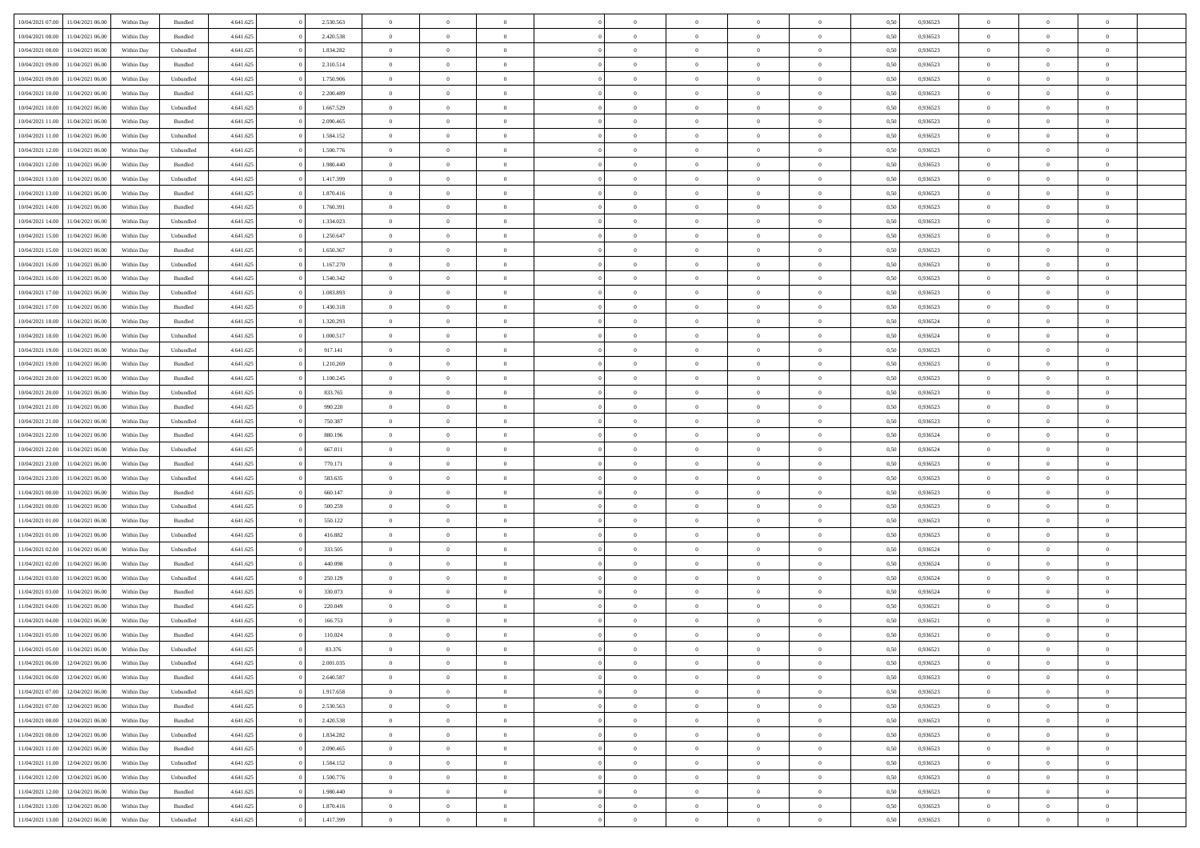| 10/04/2021 07:00 | 11/04/2021 06:00 | Within Day | Bundled            | 4.641.625 | 2.530.563 | $\overline{0}$ | $\Omega$       |                | $\Omega$       | $\Omega$       | $\theta$       | $\theta$       | 0.50 | 0,936523 | $\theta$       | $\theta$       | $\overline{0}$ |  |
|------------------|------------------|------------|--------------------|-----------|-----------|----------------|----------------|----------------|----------------|----------------|----------------|----------------|------|----------|----------------|----------------|----------------|--|
|                  |                  |            |                    |           |           |                |                |                |                |                |                |                |      |          |                |                |                |  |
| 10/04/2021 08:00 | 11/04/2021 06:00 | Within Day | Bundled            | 4.641.625 | 2.420.538 | $\overline{0}$ | $\theta$       | $\overline{0}$ | $\overline{0}$ | $\bf{0}$       | $\overline{0}$ | $\bf{0}$       | 0,50 | 0,936523 | $\theta$       | $\overline{0}$ | $\overline{0}$ |  |
| 10/04/2021 08:00 | 11/04/2021 06:00 | Within Day | Unbundled          | 4.641.625 | 1.834.282 | $\overline{0}$ | $\bf{0}$       | $\overline{0}$ | $\bf{0}$       | $\bf{0}$       | $\bf{0}$       | $\mathbf{0}$   | 0,50 | 0,936523 | $\bf{0}$       | $\overline{0}$ | $\bf{0}$       |  |
| 10/04/2021 09:00 | 11/04/2021 06:00 | Within Dav | Bundled            | 4.641.625 | 2.310.514 | $\overline{0}$ | $\overline{0}$ | $\overline{0}$ | $\overline{0}$ | $\bf{0}$       | $\overline{0}$ | $\overline{0}$ | 0.50 | 0.936523 | $\theta$       | $\theta$       | $\overline{0}$ |  |
| 10/04/2021 09:00 | 11/04/2021 06:00 | Within Day | Unbundled          | 4.641.625 | 1.750.906 | $\overline{0}$ | $\theta$       | $\overline{0}$ | $\overline{0}$ | $\bf{0}$       | $\overline{0}$ | $\bf{0}$       | 0,50 | 0,936523 | $\theta$       | $\overline{0}$ | $\overline{0}$ |  |
| 10/04/2021 10:00 | 11/04/2021 06:00 | Within Day | Bundled            | 4.641.625 | 2.200.489 | $\overline{0}$ | $\overline{0}$ | $\overline{0}$ | $\bf{0}$       | $\overline{0}$ | $\overline{0}$ | $\mathbf{0}$   | 0,50 | 0,936523 | $\bf{0}$       | $\overline{0}$ | $\bf{0}$       |  |
| 10/04/2021 10:00 | 11/04/2021 06:00 | Within Dav | Unbundled          | 4.641.625 | 1.667.529 | $\overline{0}$ | $\overline{0}$ | $\overline{0}$ | $\overline{0}$ | $\overline{0}$ | $\overline{0}$ | $\overline{0}$ | 0.50 | 0.936523 | $\theta$       | $\overline{0}$ | $\overline{0}$ |  |
|                  |                  |            |                    |           |           |                |                |                |                |                |                |                |      |          |                |                |                |  |
| 10/04/2021 11:00 | 11/04/2021 06:00 | Within Day | Bundled            | 4.641.625 | 2.090.465 | $\overline{0}$ | $\theta$       | $\overline{0}$ | $\overline{0}$ | $\bf{0}$       | $\overline{0}$ | $\bf{0}$       | 0,50 | 0,936523 | $\theta$       | $\theta$       | $\overline{0}$ |  |
| 10/04/2021 11:00 | 11/04/2021 06:00 | Within Day | Unbundled          | 4.641.625 | 1.584.152 | $\overline{0}$ | $\overline{0}$ | $\overline{0}$ | $\bf{0}$       | $\bf{0}$       | $\bf{0}$       | $\bf{0}$       | 0,50 | 0,936523 | $\,0\,$        | $\overline{0}$ | $\overline{0}$ |  |
| 10/04/2021 12:00 | 11/04/2021 06:00 | Within Dav | Unbundled          | 4.641.625 | 1.500.776 | $\overline{0}$ | $\overline{0}$ | $\overline{0}$ | $\overline{0}$ | $\overline{0}$ | $\overline{0}$ | $\overline{0}$ | 0.50 | 0.936523 | $\theta$       | $\overline{0}$ | $\overline{0}$ |  |
| 10/04/2021 12:00 | 11/04/2021 06:00 | Within Day | Bundled            | 4.641.625 | 1.980.440 | $\overline{0}$ | $\theta$       | $\overline{0}$ | $\overline{0}$ | $\bf{0}$       | $\overline{0}$ | $\bf{0}$       | 0,50 | 0,936523 | $\,$ 0 $\,$    | $\overline{0}$ | $\overline{0}$ |  |
| 10/04/2021 13:00 | 11/04/2021 06:00 | Within Day | Unbundled          | 4.641.625 | 1.417.399 | $\overline{0}$ | $\overline{0}$ | $\overline{0}$ | $\bf{0}$       | $\bf{0}$       | $\bf{0}$       | $\mathbf{0}$   | 0,50 | 0,936523 | $\overline{0}$ | $\overline{0}$ | $\bf{0}$       |  |
| 10/04/2021 13:00 | 11/04/2021 06:00 | Within Day | Bundled            | 4.641.625 | 1.870.416 | $\overline{0}$ | $\overline{0}$ | $\overline{0}$ | $\overline{0}$ | $\bf{0}$       | $\overline{0}$ | $\overline{0}$ | 0.50 | 0.936523 | $\theta$       | $\theta$       | $\overline{0}$ |  |
| 10/04/2021 14:00 | 11/04/2021 06:00 | Within Day | Bundled            | 4.641.625 | 1.760.391 | $\overline{0}$ | $\theta$       | $\overline{0}$ | $\overline{0}$ | $\bf{0}$       | $\overline{0}$ | $\bf{0}$       | 0,50 | 0,936523 | $\theta$       | $\overline{0}$ | $\overline{0}$ |  |
|                  |                  |            |                    |           |           |                |                |                |                |                |                |                |      |          |                |                |                |  |
| 10/04/2021 14:00 | 11/04/2021 06:00 | Within Day | Unbundled          | 4.641.625 | 1.334.023 | $\overline{0}$ | $\overline{0}$ | $\overline{0}$ | $\bf{0}$       | $\overline{0}$ | $\overline{0}$ | $\mathbf{0}$   | 0,50 | 0,936523 | $\overline{0}$ | $\overline{0}$ | $\bf{0}$       |  |
| 10/04/2021 15:00 | 11/04/2021 06:00 | Within Dav | Unbundled          | 4.641.625 | 1.250.647 | $\overline{0}$ | $\overline{0}$ | $\overline{0}$ | $\overline{0}$ | $\overline{0}$ | $\overline{0}$ | $\overline{0}$ | 0.50 | 0.936523 | $\theta$       | $\overline{0}$ | $\overline{0}$ |  |
| 10/04/2021 15:00 | 11/04/2021 06:00 | Within Day | Bundled            | 4.641.625 | 1.650.367 | $\overline{0}$ | $\theta$       | $\overline{0}$ | $\overline{0}$ | $\bf{0}$       | $\overline{0}$ | $\bf{0}$       | 0,50 | 0,936523 | $\theta$       | $\theta$       | $\overline{0}$ |  |
| 10/04/2021 16:00 | 11/04/2021 06:00 | Within Day | Unbundled          | 4.641.625 | 1.167.270 | $\overline{0}$ | $\overline{0}$ | $\overline{0}$ | $\bf{0}$       | $\bf{0}$       | $\bf{0}$       | $\mathbf{0}$   | 0,50 | 0,936523 | $\,0\,$        | $\overline{0}$ | $\bf{0}$       |  |
| 10/04/2021 16:00 | 11/04/2021 06:00 | Within Day | Bundled            | 4.641.625 | 1.540.342 | $\overline{0}$ | $\overline{0}$ | $\overline{0}$ | $\overline{0}$ | $\overline{0}$ | $\overline{0}$ | $\overline{0}$ | 0.50 | 0.936523 | $\theta$       | $\overline{0}$ | $\overline{0}$ |  |
| 10/04/2021 17:00 | 11/04/2021 06:00 | Within Day | Unbundled          | 4.641.625 | 1.083.893 | $\overline{0}$ | $\theta$       | $\overline{0}$ | $\overline{0}$ | $\bf{0}$       | $\overline{0}$ | $\bf{0}$       | 0,50 | 0,936523 | $\,$ 0 $\,$    | $\overline{0}$ | $\overline{0}$ |  |
| 10/04/2021 17:00 | 11/04/2021 06:00 | Within Day | Bundled            | 4.641.625 | 1.430.318 | $\overline{0}$ | $\overline{0}$ | $\overline{0}$ | $\bf{0}$       | $\bf{0}$       | $\bf{0}$       | $\mathbf{0}$   | 0,50 | 0,936523 | $\bf{0}$       | $\overline{0}$ | $\bf{0}$       |  |
| 10/04/2021 18:00 | 11/04/2021 06:00 | Within Day | Bundled            | 4.641.625 | 1.320.293 | $\overline{0}$ | $\overline{0}$ | $\overline{0}$ | $\overline{0}$ | $\bf{0}$       | $\overline{0}$ | $\overline{0}$ | 0.50 | 0.936524 | $\theta$       | $\overline{0}$ | $\overline{0}$ |  |
|                  |                  |            |                    |           |           |                |                |                |                |                |                |                |      |          |                |                |                |  |
| 10/04/2021 18:00 | 11/04/2021 06:00 | Within Day | Unbundled          | 4.641.625 | 1.000.517 | $\overline{0}$ | $\theta$       | $\overline{0}$ | $\overline{0}$ | $\bf{0}$       | $\overline{0}$ | $\,$ 0 $\,$    | 0,50 | 0,936524 | $\,$ 0 $\,$    | $\overline{0}$ | $\overline{0}$ |  |
| 10/04/2021 19:00 | 11/04/2021 06:00 | Within Day | Unbundled          | 4.641.625 | 917.141   | $\overline{0}$ | $\overline{0}$ | $\overline{0}$ | $\bf{0}$       | $\overline{0}$ | $\overline{0}$ | $\mathbf{0}$   | 0,50 | 0,936523 | $\bf{0}$       | $\overline{0}$ | $\bf{0}$       |  |
| 10/04/2021 19:00 | 11/04/2021 06:00 | Within Dav | Bundled            | 4.641.625 | 1.210.269 | $\overline{0}$ | $\overline{0}$ | $\overline{0}$ | $\overline{0}$ | $\overline{0}$ | $\overline{0}$ | $\overline{0}$ | 0.50 | 0.936523 | $\theta$       | $\overline{0}$ | $\overline{0}$ |  |
| 10/04/2021 20:00 | 11/04/2021 06:00 | Within Day | Bundled            | 4.641.625 | 1.100.245 | $\overline{0}$ | $\theta$       | $\overline{0}$ | $\overline{0}$ | $\bf{0}$       | $\overline{0}$ | $\bf{0}$       | 0,50 | 0,936523 | $\theta$       | $\theta$       | $\overline{0}$ |  |
| 10/04/2021 20:00 | 11/04/2021 06:00 | Within Day | Unbundled          | 4.641.625 | 833.765   | $\overline{0}$ | $\overline{0}$ | $\overline{0}$ | $\bf{0}$       | $\bf{0}$       | $\bf{0}$       | $\bf{0}$       | 0,50 | 0,936523 | $\,0\,$        | $\overline{0}$ | $\overline{0}$ |  |
| 10/04/2021 21:00 | 11/04/2021 06:00 | Within Day | Bundled            | 4.641.625 | 990.220   | $\overline{0}$ | $\overline{0}$ | $\overline{0}$ | $\overline{0}$ | $\overline{0}$ | $\overline{0}$ | $\overline{0}$ | 0.50 | 0.936523 | $\theta$       | $\overline{0}$ | $\overline{0}$ |  |
| 10/04/2021 21:00 | 11/04/2021 06:00 | Within Day | Unbundled          | 4.641.625 | 750.387   | $\overline{0}$ | $\theta$       | $\overline{0}$ | $\overline{0}$ | $\bf{0}$       | $\overline{0}$ | $\bf{0}$       | 0,50 | 0,936523 | $\,$ 0 $\,$    | $\overline{0}$ | $\overline{0}$ |  |
|                  |                  |            |                    |           |           |                |                |                |                |                |                |                |      |          |                |                |                |  |
| 10/04/2021 22:00 | 11/04/2021 06:00 | Within Day | Bundled            | 4.641.625 | 880.196   | $\overline{0}$ | $\bf{0}$       | $\overline{0}$ | $\bf{0}$       | $\bf{0}$       | $\bf{0}$       | $\bf{0}$       | 0,50 | 0,936524 | $\bf{0}$       | $\overline{0}$ | $\bf{0}$       |  |
| 10/04/2021 22:00 | 11/04/2021 06.00 | Within Day | Unbundled          | 4.641.625 | 667.011   | $\overline{0}$ | $\Omega$       | $\Omega$       | $\Omega$       | $\Omega$       | $\overline{0}$ | $\overline{0}$ | 0,50 | 0,936524 | $\,0\,$        | $\theta$       | $\theta$       |  |
| 10/04/2021 23:00 | 11/04/2021 06:00 | Within Day | Bundled            | 4.641.625 | 770.171   | $\overline{0}$ | $\theta$       | $\overline{0}$ | $\overline{0}$ | $\bf{0}$       | $\overline{0}$ | $\bf{0}$       | 0,50 | 0,936523 | $\theta$       | $\overline{0}$ | $\overline{0}$ |  |
| 10/04/2021 23:00 | 11/04/2021 06:00 | Within Day | Unbundled          | 4.641.625 | 583.635   | $\overline{0}$ | $\overline{0}$ | $\overline{0}$ | $\bf{0}$       | $\overline{0}$ | $\overline{0}$ | $\mathbf{0}$   | 0,50 | 0,936523 | $\bf{0}$       | $\overline{0}$ | $\bf{0}$       |  |
| 11/04/2021 00:00 | 11/04/2021 06:00 | Within Day | Bundled            | 4.641.625 | 660.147   | $\overline{0}$ | $\Omega$       | $\Omega$       | $\Omega$       | $\bf{0}$       | $\overline{0}$ | $\overline{0}$ | 0.50 | 0.936523 | $\,0\,$        | $\theta$       | $\theta$       |  |
| 11/04/2021 00:00 | 11/04/2021 06:00 | Within Day | Unbundled          | 4.641.625 | 500.259   | $\overline{0}$ | $\theta$       | $\overline{0}$ | $\overline{0}$ | $\bf{0}$       | $\overline{0}$ | $\bf{0}$       | 0,50 | 0,936523 | $\theta$       | $\overline{0}$ | $\overline{0}$ |  |
| 11/04/2021 01:00 | 11/04/2021 06:00 | Within Day | Bundled            | 4.641.625 | 550.122   | $\overline{0}$ | $\overline{0}$ | $\overline{0}$ | $\bf{0}$       | $\bf{0}$       | $\bf{0}$       | $\bf{0}$       | 0,50 | 0,936523 | $\bf{0}$       | $\overline{0}$ | $\bf{0}$       |  |
| 11/04/2021 01:00 | 11/04/2021 06:00 | Within Day | Unbundled          | 4.641.625 | 416.882   | $\overline{0}$ | $\Omega$       | $\Omega$       | $\Omega$       | $\theta$       | $\overline{0}$ | $\overline{0}$ | 0.50 | 0.936523 | $\,$ 0 $\,$    | $\theta$       | $\theta$       |  |
|                  |                  |            |                    |           |           | $\overline{0}$ | $\theta$       |                |                |                |                |                |      |          |                |                |                |  |
| 11/04/2021 02:00 | 11/04/2021 06:00 | Within Day | Unbundled          | 4.641.625 | 333.505   |                |                | $\overline{0}$ | $\overline{0}$ | $\,$ 0         | $\overline{0}$ | $\bf{0}$       | 0,50 | 0,936524 | $\,$ 0 $\,$    | $\overline{0}$ | $\overline{0}$ |  |
| 11/04/2021 02:00 | 11/04/2021 06:00 | Within Day | Bundled            | 4.641.625 | 440.098   | $\overline{0}$ | $\bf{0}$       | $\overline{0}$ | $\bf{0}$       | $\bf{0}$       | $\bf{0}$       | $\mathbf{0}$   | 0,50 | 0,936524 | $\overline{0}$ | $\overline{0}$ | $\bf{0}$       |  |
| 11/04/2021 03:00 | 11/04/2021 06.00 | Within Day | Unbundled          | 4.641.625 | 250.129   | $\overline{0}$ | $\Omega$       | $\overline{0}$ | $\Omega$       | $\bf{0}$       | $\overline{0}$ | $\overline{0}$ | 0,50 | 0,936524 | $\,0\,$        | $\theta$       | $\theta$       |  |
| 11/04/2021 03:00 | 11/04/2021 06:00 | Within Day | Bundled            | 4.641.625 | 330.073   | $\overline{0}$ | $\overline{0}$ | $\overline{0}$ | $\overline{0}$ | $\,$ 0         | $\overline{0}$ | $\bf{0}$       | 0,50 | 0,936524 | $\,$ 0 $\,$    | $\overline{0}$ | $\overline{0}$ |  |
| 11/04/2021 04:00 | 11/04/2021 06:00 | Within Day | Bundled            | 4.641.625 | 220.049   | $\overline{0}$ | $\overline{0}$ | $\overline{0}$ | $\bf{0}$       | $\bf{0}$       | $\bf{0}$       | $\mathbf{0}$   | 0,50 | 0,936521 | $\overline{0}$ | $\overline{0}$ | $\bf{0}$       |  |
| 11/04/2021 04:00 | 11/04/2021 06:00 | Within Day | Unbundled          | 4.641.625 | 166.753   | $\overline{0}$ | $\Omega$       | $\Omega$       | $\Omega$       | $\Omega$       | $\Omega$       | $\overline{0}$ | 0.50 | 0.936521 | $\theta$       | $\theta$       | $\theta$       |  |
| 11/04/2021 05:00 | 11/04/2021 06:00 | Within Day | Bundled            | 4.641.625 | 110.024   | $\overline{0}$ | $\overline{0}$ | $\overline{0}$ | $\bf{0}$       | $\,$ 0         | $\bf{0}$       | $\bf{0}$       | 0,50 | 0,936521 | $\,0\,$        | $\,$ 0 $\,$    | $\overline{0}$ |  |
| 11/04/2021 05:00 | 11/04/2021 06:00 | Within Day | Unbundled          | 4.641.625 | 83.376    | $\bf{0}$       | $\bf{0}$       |                |                | $\bf{0}$       |                |                | 0,50 | 0,936521 | $\bf{0}$       | $\overline{0}$ |                |  |
| 11/04/2021 06:00 | 12/04/2021 06:00 |            |                    | 4.641.625 | 2.001.035 | $\overline{0}$ | $\overline{0}$ | $\overline{0}$ | $\Omega$       | $\theta$       | $\overline{0}$ | $\overline{0}$ | 0.50 | 0.936523 | $\theta$       | $\theta$       | $\theta$       |  |
|                  |                  | Within Day | Unbundled          |           |           |                |                |                |                |                |                |                |      |          |                |                |                |  |
| 11/04/2021 06:00 | 12/04/2021 06:00 | Within Day | Bundled            | 4.641.625 | 2.640.587 | $\overline{0}$ | $\,$ 0         | $\overline{0}$ | $\bf{0}$       | $\,$ 0 $\,$    | $\overline{0}$ | $\mathbf{0}$   | 0,50 | 0,936523 | $\,$ 0 $\,$    | $\,$ 0 $\,$    | $\,$ 0         |  |
| 11/04/2021 07:00 | 12/04/2021 06:00 | Within Day | Unbundled          | 4.641.625 | 1.917.658 | $\overline{0}$ | $\overline{0}$ | $\overline{0}$ | $\overline{0}$ | $\overline{0}$ | $\overline{0}$ | $\mathbf{0}$   | 0,50 | 0,936523 | $\overline{0}$ | $\bf{0}$       | $\bf{0}$       |  |
| 11/04/2021 07:00 | 12/04/2021 06:00 | Within Day | $\mathbf B$ undled | 4.641.625 | 2.530.563 | $\overline{0}$ | $\theta$       | $\overline{0}$ | $\Omega$       | $\overline{0}$ | $\overline{0}$ | $\bf{0}$       | 0,50 | 0,936523 | $\overline{0}$ | $\theta$       | $\overline{0}$ |  |
| 11/04/2021 08:00 | 12/04/2021 06:00 | Within Day | Bundled            | 4.641.625 | 2.420.538 | $\overline{0}$ | $\,$ 0         | $\overline{0}$ | $\overline{0}$ | $\overline{0}$ | $\overline{0}$ | $\bf{0}$       | 0,50 | 0,936523 | $\,$ 0 $\,$    | $\overline{0}$ | $\overline{0}$ |  |
| 11/04/2021 08:00 | 12/04/2021 06:00 | Within Day | Unbundled          | 4.641.625 | 1.834.282 | $\overline{0}$ | $\overline{0}$ | $\overline{0}$ | $\overline{0}$ | $\overline{0}$ | $\overline{0}$ | $\mathbf{0}$   | 0,50 | 0,936523 | $\overline{0}$ | $\bf{0}$       | $\bf{0}$       |  |
| 11/04/2021 11:00 | 12/04/2021 06:00 | Within Day | Bundled            | 4.641.625 | 2.090.465 | $\overline{0}$ | $\overline{0}$ | $\overline{0}$ | $\Omega$       | $\overline{0}$ | $\overline{0}$ | $\bf{0}$       | 0.50 | 0,936523 | $\overline{0}$ | $\theta$       | $\overline{0}$ |  |
| 11/04/2021 11:00 | 12/04/2021 06:00 | Within Day | Unbundled          | 4.641.625 | 1.584.152 | $\overline{0}$ | $\,$ 0         | $\overline{0}$ | $\bf{0}$       | $\bf{0}$       | $\bf{0}$       | $\bf{0}$       | 0,50 | 0,936523 | $\,$ 0 $\,$    | $\overline{0}$ | $\overline{0}$ |  |
|                  |                  |            |                    |           |           |                |                |                |                |                |                |                |      |          |                |                |                |  |
| 11/04/2021 12:00 | 12/04/2021 06:00 | Within Day | Unbundled          | 4.641.625 | 1.500.776 | $\overline{0}$ | $\bf{0}$       | $\overline{0}$ | $\overline{0}$ | $\overline{0}$ | $\bf{0}$       | $\mathbf{0}$   | 0,50 | 0,936523 | $\overline{0}$ | $\overline{0}$ | $\bf{0}$       |  |
| 11/04/2021 12:00 | 12/04/2021 06:00 | Within Day | Bundled            | 4.641.625 | 1.980.440 | $\overline{0}$ | $\overline{0}$ | $\overline{0}$ | $\Omega$       | $\overline{0}$ | $\overline{0}$ | $\bf{0}$       | 0.50 | 0.936523 | $\overline{0}$ | $\theta$       | $\overline{0}$ |  |
| 11/04/2021 13:00 | 12/04/2021 06:00 | Within Day | Bundled            | 4.641.625 | 1.870.416 | $\overline{0}$ | $\bf{0}$       | $\overline{0}$ | $\overline{0}$ | $\bf{0}$       | $\bf{0}$       | $\mathbf{0}$   | 0,50 | 0,936523 | $\,$ 0 $\,$    | $\,$ 0 $\,$    | $\bf{0}$       |  |
| 11/04/2021 13:00 | 12/04/2021 06:00 | Within Day | Unbundled          | 4.641.625 | 1.417.399 | $\overline{0}$ | $\overline{0}$ | $\overline{0}$ | $\overline{0}$ | $\bf{0}$       | $\bf{0}$       | $\mathbf{0}$   | 0,50 | 0,936523 | $\overline{0}$ | $\bf{0}$       | $\bf{0}$       |  |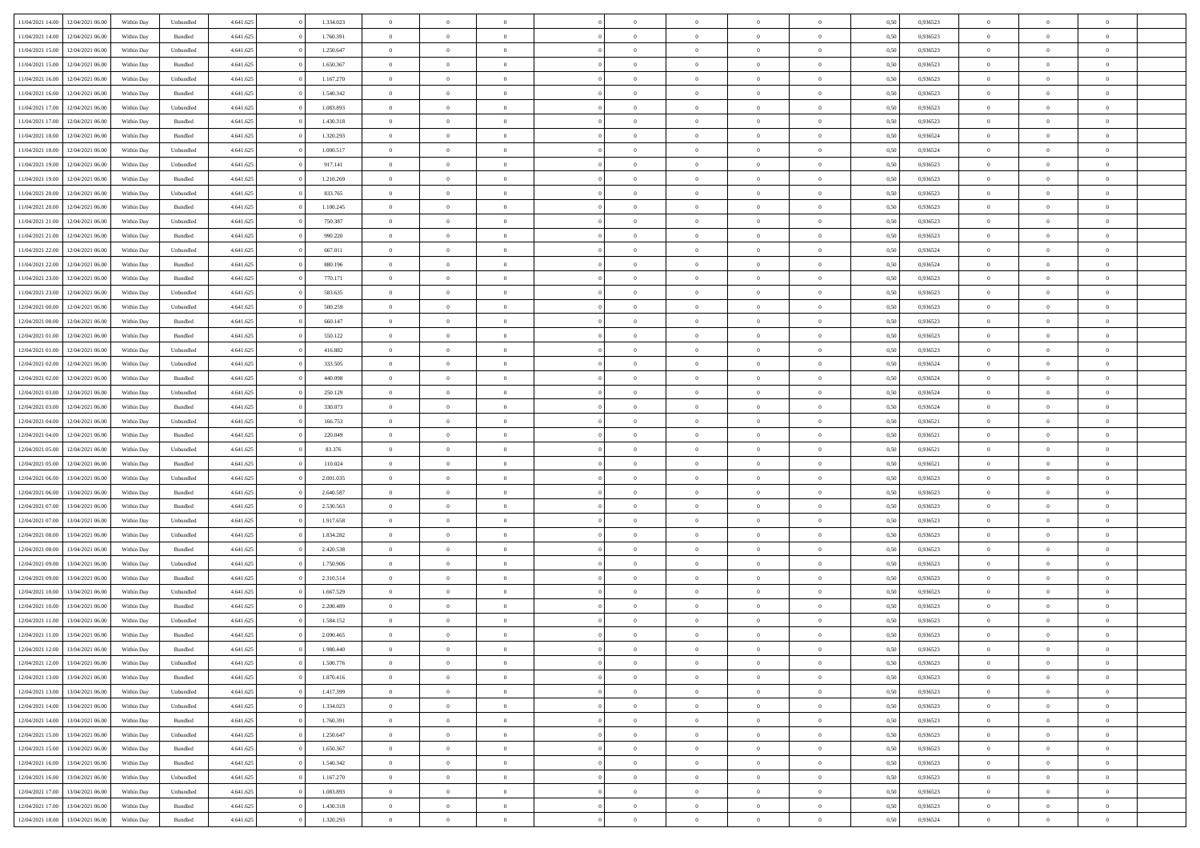| 11/04/2021 14:00 | 12/04/2021 06:00                  | Within Day | Unbundled          | 4.641.625 | 1.334.023 | $\overline{0}$ | $\theta$       |                | $\Omega$       | $\Omega$       | $\overline{0}$ | $\theta$       | 0.50 | 0,936523 | $\theta$       | $\overline{0}$ | $\overline{0}$ |  |
|------------------|-----------------------------------|------------|--------------------|-----------|-----------|----------------|----------------|----------------|----------------|----------------|----------------|----------------|------|----------|----------------|----------------|----------------|--|
|                  |                                   |            |                    |           |           |                |                |                |                |                |                |                |      |          |                |                |                |  |
| 11/04/2021 14:00 | 12/04/2021 06:00                  | Within Day | Bundled            | 4.641.625 | 1.760.391 | $\overline{0}$ | $\theta$       | $\overline{0}$ | $\overline{0}$ | $\bf{0}$       | $\overline{0}$ | $\,$ 0 $\,$    | 0,50 | 0,936523 | $\theta$       | $\overline{0}$ | $\overline{0}$ |  |
| 11/04/2021 15:00 | 12/04/2021 06:00                  | Within Day | Unbundled          | 4.641.625 | 1.250.647 | $\overline{0}$ | $\bf{0}$       | $\overline{0}$ | $\bf{0}$       | $\bf{0}$       | $\bf{0}$       | $\mathbf{0}$   | 0,50 | 0,936523 | $\bf{0}$       | $\overline{0}$ | $\bf{0}$       |  |
| 11/04/2021 15:00 | 12/04/2021 06:00                  | Within Dav | Bundled            | 4.641.625 | 1.650.367 | $\overline{0}$ | $\overline{0}$ | $\overline{0}$ | $\overline{0}$ | $\bf{0}$       | $\overline{0}$ | $\overline{0}$ | 0.50 | 0.936523 | $\theta$       | $\theta$       | $\overline{0}$ |  |
| 11/04/2021 16:00 | 12/04/2021 06:00                  | Within Day | Unbundled          | 4.641.625 | 1.167.270 | $\overline{0}$ | $\theta$       | $\overline{0}$ | $\overline{0}$ | $\bf{0}$       | $\overline{0}$ | $\bf{0}$       | 0,50 | 0,936523 | $\theta$       | $\overline{0}$ | $\overline{0}$ |  |
| 11/04/2021 16:00 | 12/04/2021 06:00                  | Within Day | Bundled            | 4.641.625 | 1.540.342 | $\overline{0}$ | $\overline{0}$ | $\overline{0}$ | $\bf{0}$       | $\overline{0}$ | $\overline{0}$ | $\mathbf{0}$   | 0,50 | 0,936523 | $\bf{0}$       | $\overline{0}$ | $\bf{0}$       |  |
|                  |                                   |            |                    |           |           |                | $\overline{0}$ |                |                | $\overline{0}$ |                |                |      |          | $\theta$       | $\overline{0}$ | $\overline{0}$ |  |
| 11/04/2021 17:00 | 12/04/2021 06:00                  | Within Dav | Unbundled          | 4.641.625 | 1.083.893 | $\overline{0}$ |                | $\overline{0}$ | $\overline{0}$ |                | $\overline{0}$ | $\overline{0}$ | 0.50 | 0.936523 |                |                |                |  |
| 11/04/2021 17:00 | 12/04/2021 06:00                  | Within Day | Bundled            | 4.641.625 | 1.430.318 | $\overline{0}$ | $\theta$       | $\overline{0}$ | $\overline{0}$ | $\bf{0}$       | $\overline{0}$ | $\bf{0}$       | 0,50 | 0,936523 | $\theta$       | $\theta$       | $\overline{0}$ |  |
| 11/04/2021 18:00 | 12/04/2021 06:00                  | Within Day | Bundled            | 4.641.625 | 1.320.293 | $\overline{0}$ | $\overline{0}$ | $\overline{0}$ | $\bf{0}$       | $\bf{0}$       | $\bf{0}$       | $\mathbf{0}$   | 0,50 | 0,936524 | $\,0\,$        | $\overline{0}$ | $\overline{0}$ |  |
| 11/04/2021 18:00 | 12/04/2021 06:00                  | Within Dav | Unbundled          | 4.641.625 | 1.000.517 | $\overline{0}$ | $\overline{0}$ | $\overline{0}$ | $\overline{0}$ | $\overline{0}$ | $\overline{0}$ | $\overline{0}$ | 0.50 | 0,936524 | $\theta$       | $\overline{0}$ | $\overline{0}$ |  |
| 11/04/2021 19:00 | 12/04/2021 06:00                  | Within Day | Unbundled          | 4.641.625 | 917.141   | $\overline{0}$ | $\theta$       | $\overline{0}$ | $\overline{0}$ | $\bf{0}$       | $\overline{0}$ | $\bf{0}$       | 0,50 | 0,936523 | $\,$ 0 $\,$    | $\overline{0}$ | $\overline{0}$ |  |
| 11/04/2021 19:00 | 12/04/2021 06:00                  | Within Day | Bundled            | 4.641.625 | 1.210.269 | $\overline{0}$ | $\bf{0}$       | $\overline{0}$ | $\bf{0}$       | $\bf{0}$       | $\bf{0}$       | $\mathbf{0}$   | 0,50 | 0,936523 | $\overline{0}$ | $\overline{0}$ | $\bf{0}$       |  |
| 11/04/2021 20:00 | 12/04/2021 06:00                  | Within Day | Unbundled          | 4.641.625 | 833.765   | $\overline{0}$ | $\overline{0}$ | $\overline{0}$ | $\overline{0}$ | $\bf{0}$       | $\overline{0}$ | $\overline{0}$ | 0.50 | 0.936523 | $\theta$       | $\theta$       | $\overline{0}$ |  |
| 11/04/2021 20:00 | 12/04/2021 06:00                  |            |                    | 4.641.625 | 1.100.245 | $\overline{0}$ | $\theta$       | $\overline{0}$ | $\overline{0}$ | $\bf{0}$       | $\overline{0}$ |                |      | 0,936523 | $\theta$       | $\overline{0}$ | $\overline{0}$ |  |
|                  |                                   | Within Day | Bundled            |           |           |                |                |                |                |                |                | $\bf{0}$       | 0,50 |          |                |                |                |  |
| 11/04/2021 21:00 | 12/04/2021 06:00                  | Within Day | Unbundled          | 4.641.625 | 750.387   | $\overline{0}$ | $\overline{0}$ | $\overline{0}$ | $\bf{0}$       | $\overline{0}$ | $\overline{0}$ | $\mathbf{0}$   | 0,50 | 0,936523 | $\overline{0}$ | $\overline{0}$ | $\bf{0}$       |  |
| 11/04/2021 21:00 | 12/04/2021 06:00                  | Within Dav | Bundled            | 4.641.625 | 990.220   | $\overline{0}$ | $\overline{0}$ | $\overline{0}$ | $\overline{0}$ | $\overline{0}$ | $\overline{0}$ | $\overline{0}$ | 0.50 | 0.936523 | $\theta$       | $\overline{0}$ | $\overline{0}$ |  |
| 11/04/2021 22:00 | 12/04/2021 06:00                  | Within Day | Unbundled          | 4.641.625 | 667.011   | $\overline{0}$ | $\theta$       | $\overline{0}$ | $\overline{0}$ | $\bf{0}$       | $\overline{0}$ | $\bf{0}$       | 0,50 | 0,936524 | $\theta$       | $\overline{0}$ | $\overline{0}$ |  |
| 11/04/2021 22.00 | 12/04/2021 06:00                  | Within Day | Bundled            | 4.641.625 | 880.196   | $\overline{0}$ | $\overline{0}$ | $\overline{0}$ | $\bf{0}$       | $\bf{0}$       | $\bf{0}$       | $\mathbf{0}$   | 0,50 | 0,936524 | $\,0\,$        | $\overline{0}$ | $\bf{0}$       |  |
| 11/04/2021 23:00 | 12/04/2021 06:00                  | Within Day | Bundled            | 4.641.625 | 770.171   | $\overline{0}$ | $\overline{0}$ | $\overline{0}$ | $\overline{0}$ | $\overline{0}$ | $\overline{0}$ | $\overline{0}$ | 0.50 | 0.936523 | $\theta$       | $\overline{0}$ | $\overline{0}$ |  |
| 11/04/2021 23:00 | 12/04/2021 06:00                  | Within Day | Unbundled          | 4.641.625 | 583.635   | $\overline{0}$ | $\theta$       | $\overline{0}$ | $\overline{0}$ | $\bf{0}$       | $\overline{0}$ | $\bf{0}$       | 0,50 | 0,936523 | $\,$ 0 $\,$    | $\overline{0}$ | $\overline{0}$ |  |
|                  |                                   |            |                    |           |           |                | $\overline{0}$ |                |                | $\bf{0}$       |                |                |      |          |                | $\overline{0}$ | $\bf{0}$       |  |
| 12/04/2021 00:00 | 12/04/2021 06:00                  | Within Day | Unbundled          | 4.641.625 | 500.259   | $\overline{0}$ |                | $\overline{0}$ | $\bf{0}$       |                | $\bf{0}$       | $\mathbf{0}$   | 0,50 | 0,936523 | $\overline{0}$ |                |                |  |
| 12/04/2021 00:00 | 12/04/2021 06:00                  | Within Day | Bundled            | 4.641.625 | 660.147   | $\overline{0}$ | $\overline{0}$ | $\overline{0}$ | $\overline{0}$ | $\overline{0}$ | $\overline{0}$ | $\overline{0}$ | 0.50 | 0.936523 | $\theta$       | $\overline{0}$ | $\overline{0}$ |  |
| 12/04/2021 01:00 | 12/04/2021 06:00                  | Within Day | Bundled            | 4.641.625 | 550.122   | $\overline{0}$ | $\theta$       | $\overline{0}$ | $\overline{0}$ | $\bf{0}$       | $\overline{0}$ | $\,$ 0 $\,$    | 0,50 | 0,936523 | $\,$ 0 $\,$    | $\overline{0}$ | $\overline{0}$ |  |
| 12/04/2021 01:00 | 12/04/2021 06:00                  | Within Day | Unbundled          | 4.641.625 | 416.882   | $\overline{0}$ | $\overline{0}$ | $\overline{0}$ | $\bf{0}$       | $\overline{0}$ | $\overline{0}$ | $\mathbf{0}$   | 0,50 | 0,936523 | $\bf{0}$       | $\overline{0}$ | $\bf{0}$       |  |
| 12/04/2021 02:00 | 12/04/2021 06:00                  | Within Dav | Unbundled          | 4.641.625 | 333.505   | $\overline{0}$ | $\overline{0}$ | $\overline{0}$ | $\overline{0}$ | $\overline{0}$ | $\overline{0}$ | $\overline{0}$ | 0.50 | 0,936524 | $\theta$       | $\overline{0}$ | $\overline{0}$ |  |
| 12/04/2021 02:00 | 12/04/2021 06:00                  | Within Day | Bundled            | 4.641.625 | 440.098   | $\overline{0}$ | $\theta$       | $\overline{0}$ | $\overline{0}$ | $\bf{0}$       | $\overline{0}$ | $\bf{0}$       | 0,50 | 0,936524 | $\theta$       | $\theta$       | $\overline{0}$ |  |
| 12/04/2021 03:00 | 12/04/2021 06:00                  | Within Day | Unbundled          | 4.641.625 | 250.129   | $\overline{0}$ | $\overline{0}$ | $\overline{0}$ | $\bf{0}$       | $\bf{0}$       | $\bf{0}$       | $\mathbf{0}$   | 0,50 | 0,936524 | $\,0\,$        | $\overline{0}$ | $\overline{0}$ |  |
| 12/04/2021 03:00 | 12/04/2021 06:00                  | Within Day | Bundled            | 4.641.625 | 330.073   | $\overline{0}$ | $\overline{0}$ | $\overline{0}$ | $\overline{0}$ | $\overline{0}$ | $\overline{0}$ | $\overline{0}$ | 0.50 | 0,936524 | $\theta$       | $\overline{0}$ | $\overline{0}$ |  |
|                  |                                   |            |                    |           |           |                |                |                |                |                |                |                |      |          |                |                |                |  |
| 12/04/2021 04:00 | 12/04/2021 06:00                  | Within Day | Unbundled          | 4.641.625 | 166.753   | $\overline{0}$ | $\theta$       | $\overline{0}$ | $\overline{0}$ | $\bf{0}$       | $\overline{0}$ | $\bf{0}$       | 0,50 | 0,936521 | $\,$ 0 $\,$    | $\overline{0}$ | $\overline{0}$ |  |
| 12/04/2021 04:00 | 12/04/2021 06:00                  | Within Day | Bundled            | 4.641.625 | 220.049   | $\overline{0}$ | $\overline{0}$ | $\overline{0}$ | $\bf{0}$       | $\bf{0}$       | $\bf{0}$       | $\mathbf{0}$   | 0,50 | 0,936521 | $\bf{0}$       | $\overline{0}$ | $\bf{0}$       |  |
| 12/04/2021 05:00 | 12/04/2021 06:00                  | Within Day | Unbundled          | 4.641.625 | 83.376    | $\bf{0}$       | $\Omega$       | $\overline{0}$ | $\Omega$       | $\Omega$       | $\overline{0}$ | $\overline{0}$ | 0,50 | 0,936521 | $\,0\,$        | $\theta$       | $\theta$       |  |
| 12/04/2021 05:00 | 12/04/2021 06:00                  | Within Day | Bundled            | 4.641.625 | 110.024   | $\overline{0}$ | $\theta$       | $\overline{0}$ | $\overline{0}$ | $\bf{0}$       | $\overline{0}$ | $\bf{0}$       | 0,50 | 0,936521 | $\theta$       | $\overline{0}$ | $\overline{0}$ |  |
| 12/04/2021 06:00 | 13/04/2021 06:00                  | Within Day | Unbundled          | 4.641.625 | 2.001.035 | $\overline{0}$ | $\overline{0}$ | $\overline{0}$ | $\bf{0}$       | $\overline{0}$ | $\overline{0}$ | $\mathbf{0}$   | 0,50 | 0,936523 | $\bf{0}$       | $\overline{0}$ | $\bf{0}$       |  |
| 12/04/2021 06:00 | 13/04/2021 06:00                  | Within Day | Bundled            | 4.641.625 | 2.640.587 | $\overline{0}$ | $\Omega$       | $\Omega$       | $\Omega$       | $\overline{0}$ | $\overline{0}$ | $\overline{0}$ | 0.50 | 0.936523 | $\,0\,$        | $\theta$       | $\theta$       |  |
| 12/04/2021 07:00 | 13/04/2021 06:00                  | Within Day | Bundled            | 4.641.625 | 2.530.563 | $\overline{0}$ | $\theta$       | $\overline{0}$ | $\overline{0}$ | $\bf{0}$       | $\overline{0}$ | $\bf{0}$       | 0,50 | 0,936523 | $\,$ 0 $\,$    | $\overline{0}$ | $\overline{0}$ |  |
| 12/04/2021 07:00 | 13/04/2021 06:00                  | Within Day | Unbundled          | 4.641.625 | 1.917.658 | $\overline{0}$ | $\overline{0}$ | $\overline{0}$ | $\bf{0}$       | $\bf{0}$       | $\bf{0}$       | $\mathbf{0}$   | 0,50 | 0,936523 | $\bf{0}$       | $\overline{0}$ | $\bf{0}$       |  |
|                  |                                   |            |                    |           |           |                |                |                |                |                |                |                |      |          |                |                |                |  |
| 12/04/2021 08:00 | 13/04/2021 06:00                  | Within Day | Unbundled          | 4.641.625 | 1.834.282 | $\overline{0}$ | $\Omega$       | $\overline{0}$ | $\Omega$       | $\overline{0}$ | $\overline{0}$ | $\overline{0}$ | 0.50 | 0.936523 | $\,$ 0 $\,$    | $\theta$       | $\theta$       |  |
| 12/04/2021 08:00 | 13/04/2021 06:00                  | Within Day | Bundled            | 4.641.625 | 2.420.538 | $\overline{0}$ | $\theta$       | $\overline{0}$ | $\overline{0}$ | $\,$ 0         | $\overline{0}$ | $\bf{0}$       | 0,50 | 0,936523 | $\,$ 0 $\,$    | $\overline{0}$ | $\overline{0}$ |  |
| 12/04/2021 09:00 | 13/04/2021 06:00                  | Within Day | Unbundled          | 4.641.625 | 1.750.906 | $\overline{0}$ | $\bf{0}$       | $\overline{0}$ | $\bf{0}$       | $\bf{0}$       | $\bf{0}$       | $\mathbf{0}$   | 0,50 | 0,936523 | $\bf{0}$       | $\overline{0}$ | $\bf{0}$       |  |
| 12/04/2021 09:00 | 13/04/2021 06:00                  | Within Day | Bundled            | 4.641.625 | 2.310.514 | $\overline{0}$ | $\Omega$       | $\overline{0}$ | $\Omega$       | $\bf{0}$       | $\overline{0}$ | $\overline{0}$ | 0,50 | 0,936523 | $\,0\,$        | $\theta$       | $\theta$       |  |
| 12/04/2021 10:00 | 13/04/2021 06:00                  | Within Day | Unbundled          | 4.641.625 | 1.667.529 | $\overline{0}$ | $\overline{0}$ | $\overline{0}$ | $\overline{0}$ | $\,$ 0         | $\overline{0}$ | $\bf{0}$       | 0,50 | 0,936523 | $\,$ 0 $\,$    | $\overline{0}$ | $\overline{0}$ |  |
| 12/04/2021 10:00 | 13/04/2021 06:00                  | Within Day | Bundled            | 4.641.625 | 2.200.489 | $\overline{0}$ | $\overline{0}$ | $\overline{0}$ | $\bf{0}$       | $\bf{0}$       | $\overline{0}$ | $\mathbf{0}$   | 0,50 | 0,936523 | $\bf{0}$       | $\overline{0}$ | $\bf{0}$       |  |
| 12/04/2021 11:00 | 13/04/2021 06:00                  | Within Day | Unbundled          | 4.641.625 | 1.584.152 | $\overline{0}$ | $\Omega$       | $\Omega$       | $\Omega$       | $\Omega$       | $\Omega$       | $\overline{0}$ | 0.50 | 0.936523 | $\theta$       | $\theta$       | $\theta$       |  |
| 12/04/2021 11:00 | 13/04/2021 06:00                  | Within Day | Bundled            | 4.641.625 | 2.090.465 | $\bf{0}$       | $\overline{0}$ | $\overline{0}$ | $\bf{0}$       | $\,$ 0         | $\bf{0}$       | $\bf{0}$       | 0,50 | 0,936523 | $\,0\,$        | $\,$ 0 $\,$    | $\overline{0}$ |  |
| 12/04/2021 12:00 | 13/04/2021 06:00                  | Within Day | $\mathbf B$ undled | 4.641.625 | 1.980.440 | $\overline{0}$ | $\bf{0}$       |                |                | $\bf{0}$       |                |                | 0,50 | 0,936523 | $\bf{0}$       | $\overline{0}$ |                |  |
|                  |                                   |            |                    |           |           |                |                |                |                |                |                |                |      |          |                |                |                |  |
| 12/04/2021 12:00 | 13/04/2021 06:00                  | Within Day | Unbundled          | 4.641.625 | 1.500.776 | $\overline{0}$ | $\overline{0}$ | $\overline{0}$ | $\Omega$       | $\theta$       | $\overline{0}$ | $\overline{0}$ | 0.50 | 0.936523 | $\theta$       | $\theta$       | $\theta$       |  |
| 12/04/2021 13:00 | 13/04/2021 06:00                  | Within Day | Bundled            | 4.641.625 | 1.870.416 | $\overline{0}$ | $\,$ 0         | $\overline{0}$ | $\bf{0}$       | $\,$ 0 $\,$    | $\overline{0}$ | $\mathbf{0}$   | 0,50 | 0,936523 | $\,$ 0 $\,$    | $\,$ 0 $\,$    | $\,$ 0         |  |
| 12/04/2021 13:00 | 13/04/2021 06:00                  | Within Day | Unbundled          | 4.641.625 | 1.417.399 | $\overline{0}$ | $\overline{0}$ | $\overline{0}$ | $\overline{0}$ | $\overline{0}$ | $\overline{0}$ | $\mathbf{0}$   | 0,50 | 0,936523 | $\overline{0}$ | $\bf{0}$       | $\bf{0}$       |  |
| 12/04/2021 14:00 | 13/04/2021 06:00                  | Within Day | Unbundled          | 4.641.625 | 1.334.023 | $\overline{0}$ | $\overline{0}$ | $\overline{0}$ | $\Omega$       | $\overline{0}$ | $\overline{0}$ | $\bf{0}$       | 0,50 | 0,936523 | $\overline{0}$ | $\theta$       | $\overline{0}$ |  |
| 12/04/2021 14:00 | 13/04/2021 06:00                  | Within Day | Bundled            | 4.641.625 | 1.760.391 | $\overline{0}$ | $\,$ 0         | $\overline{0}$ | $\overline{0}$ | $\overline{0}$ | $\overline{0}$ | $\bf{0}$       | 0,50 | 0,936523 | $\,$ 0 $\,$    | $\overline{0}$ | $\overline{0}$ |  |
| 12/04/2021 15:00 | 13/04/2021 06:00                  | Within Day | Unbundled          | 4.641.625 | 1.250.647 | $\overline{0}$ | $\overline{0}$ | $\overline{0}$ | $\overline{0}$ | $\overline{0}$ | $\overline{0}$ | $\mathbf{0}$   | 0,50 | 0,936523 | $\overline{0}$ | $\overline{0}$ | $\bf{0}$       |  |
| 12/04/2021 15:00 | 13/04/2021 06:00                  | Within Day | Bundled            | 4.641.625 | 1.650.367 | $\overline{0}$ | $\overline{0}$ | $\overline{0}$ | $\Omega$       | $\overline{0}$ | $\overline{0}$ | $\bf{0}$       | 0.50 | 0,936523 | $\overline{0}$ | $\theta$       | $\overline{0}$ |  |
|                  |                                   |            |                    |           |           |                |                |                |                |                |                |                |      |          |                |                |                |  |
| 12/04/2021 16:00 | 13/04/2021 06:00                  | Within Day | Bundled            | 4.641.625 | 1.540.342 | $\overline{0}$ | $\,$ 0         | $\overline{0}$ | $\bf{0}$       | $\bf{0}$       | $\bf{0}$       | $\bf{0}$       | 0,50 | 0,936523 | $\,$ 0 $\,$    | $\overline{0}$ | $\overline{0}$ |  |
| 12/04/2021 16:00 | 13/04/2021 06:00                  | Within Day | Unbundled          | 4.641.625 | 1.167.270 | $\overline{0}$ | $\bf{0}$       | $\overline{0}$ | $\overline{0}$ | $\overline{0}$ | $\bf{0}$       | $\mathbf{0}$   | 0,50 | 0,936523 | $\overline{0}$ | $\overline{0}$ | $\bf{0}$       |  |
| 12/04/2021 17:00 | 13/04/2021 06:00                  | Within Day | Unbundled          | 4.641.625 | 1.083.893 | $\overline{0}$ | $\overline{0}$ | $\overline{0}$ | $\Omega$       | $\overline{0}$ | $\overline{0}$ | $\bf{0}$       | 0.50 | 0.936523 | $\overline{0}$ | $\theta$       | $\overline{0}$ |  |
| 12/04/2021 17:00 | 13/04/2021 06:00                  | Within Day | Bundled            | 4.641.625 | 1.430.318 | $\overline{0}$ | $\bf{0}$       | $\overline{0}$ | $\overline{0}$ | $\bf{0}$       | $\bf{0}$       | $\mathbf{0}$   | 0,50 | 0,936523 | $\,$ 0 $\,$    | $\,$ 0 $\,$    | $\bf{0}$       |  |
|                  | 12/04/2021 18:00 13/04/2021 06:00 | Within Day | Bundled            | 4.641.625 | 1.320.293 | $\overline{0}$ | $\overline{0}$ | $\overline{0}$ | $\overline{0}$ | $\bf{0}$       | $\bf{0}$       | $\mathbf{0}$   | 0,50 | 0,936524 | $\overline{0}$ | $\bf{0}$       | $\bf{0}$       |  |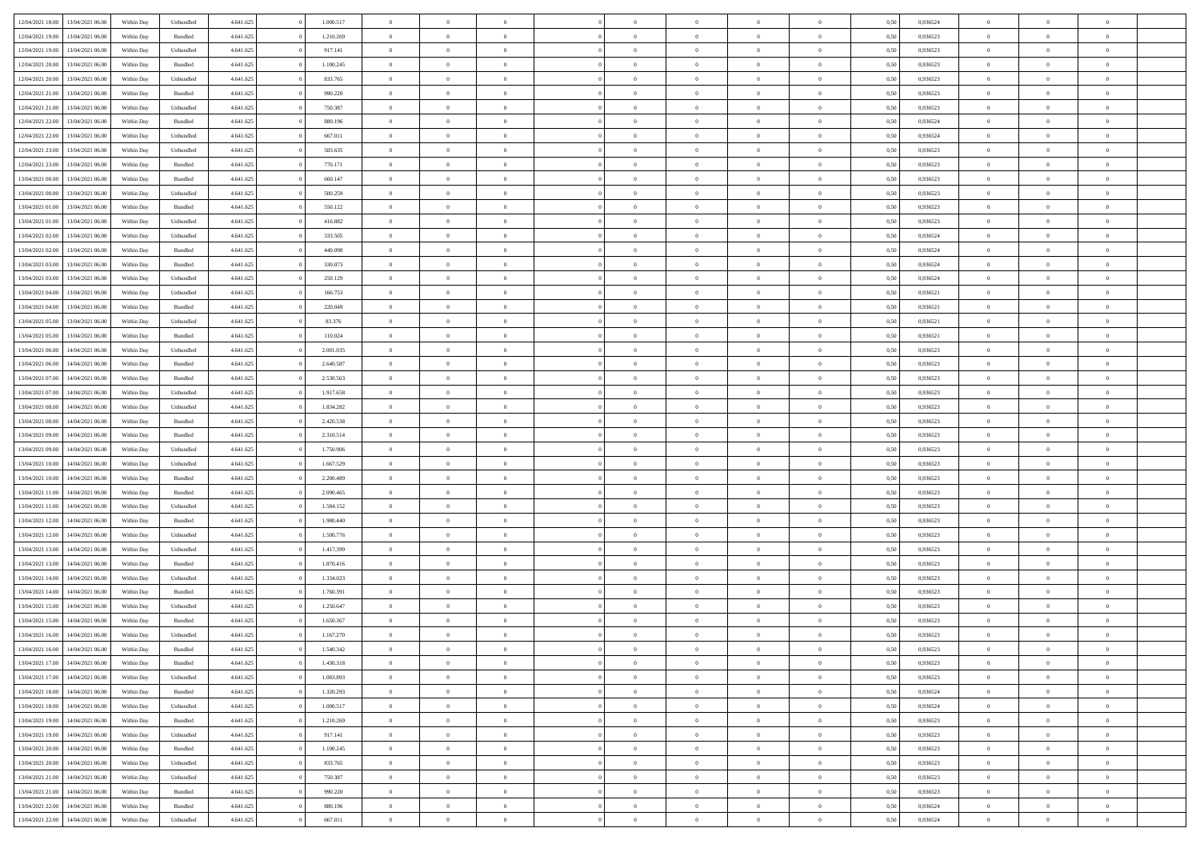| 12/04/2021 18:00                  | 13/04/2021 06:00 | Within Day | Unbundled          | 4.641.625 | 1.000.517 | $\overline{0}$ | $\theta$       |                | $\overline{0}$ | $\bf{0}$       | $\overline{0}$ | $\theta$       | 0,50 | 0,936524 | $\theta$       | $\theta$       | $\theta$                 |  |
|-----------------------------------|------------------|------------|--------------------|-----------|-----------|----------------|----------------|----------------|----------------|----------------|----------------|----------------|------|----------|----------------|----------------|--------------------------|--|
| 12/04/2021 19:00                  | 13/04/2021 06:00 | Within Day | Bundled            | 4.641.625 | 1.210.269 | $\overline{0}$ | $\overline{0}$ | $\overline{0}$ | $\overline{0}$ | $\,$ 0         | $\bf{0}$       | $\bf{0}$       | 0,50 | 0,936523 | $\,$ 0 $\,$    | $\overline{0}$ | $\overline{0}$           |  |
|                                   |                  |            |                    |           |           |                |                |                |                |                |                |                |      |          |                |                |                          |  |
| 12/04/2021 19:00                  | 13/04/2021 06:00 | Within Day | Unbundled          | 4.641.625 | 917.141   | $\overline{0}$ | $\overline{0}$ | $\overline{0}$ | $\overline{0}$ | $\bf{0}$       | $\overline{0}$ | $\mathbf{0}$   | 0.50 | 0.936523 | $\bf{0}$       | $\overline{0}$ | $\overline{0}$           |  |
| 12/04/2021 20:00                  | 13/04/2021 06:00 | Within Day | Bundled            | 4.641.625 | 1.100.245 | $\overline{0}$ | $\overline{0}$ | $\overline{0}$ | $\overline{0}$ | $\,$ 0         | $\overline{0}$ | $\overline{0}$ | 0,50 | 0,936523 | $\,$ 0 $\,$    | $\overline{0}$ | $\overline{0}$           |  |
| 12/04/2021 20:00                  | 13/04/2021 06.00 | Within Day | Unbundled          | 4.641.625 | 833.765   | $\overline{0}$ | $\theta$       | $\overline{0}$ |                | $\overline{0}$ | $\overline{0}$ | $\bf{0}$       | 0,50 | 0,936523 | $\,$ 0 $\,$    | $\overline{0}$ | $\overline{0}$           |  |
| 12/04/2021 21:00                  | 13/04/2021 06:00 | Within Day | Bundled            | 4.641.625 | 990.220   | $\overline{0}$ | $\overline{0}$ | $\overline{0}$ | $\overline{0}$ | $\bf{0}$       | $\overline{0}$ | $\bf{0}$       | 0.50 | 0.936523 | $\,0\,$        | $\theta$       | $\overline{0}$           |  |
| 12/04/2021 21:00                  | 13/04/2021 06:00 | Within Day | Unbundled          | 4.641.625 | 750.387   | $\overline{0}$ | $\overline{0}$ | $\overline{0}$ | $\overline{0}$ | $\bf{0}$       | $\overline{0}$ | $\overline{0}$ | 0,50 | 0,936523 | $\,$ 0 $\,$    | $\theta$       | $\overline{0}$           |  |
| 12/04/2021 22:00                  | 13/04/2021 06.00 | Within Day | Bundled            | 4.641.625 | 880.196   | $\overline{0}$ | $\theta$       | $\overline{0}$ | $\overline{0}$ | $\,$ 0         | $\bf{0}$       | $\bf{0}$       | 0,50 | 0,936524 | $\,$ 0 $\,$    | $\overline{0}$ | $\overline{0}$           |  |
| 12/04/2021 22:00                  | 13/04/2021 06:00 | Within Day | Unbundled          | 4.641.625 | 667.011   | $\overline{0}$ | $\overline{0}$ | $\overline{0}$ | $\overline{0}$ | $\bf{0}$       | $\overline{0}$ | $\bf{0}$       | 0.50 | 0.936524 | $\,0\,$        | $\overline{0}$ | $\overline{0}$           |  |
| 12/04/2021 23:00                  | 13/04/2021 06:00 | Within Day | Unbundled          | 4.641.625 | 583.635   | $\overline{0}$ | $\overline{0}$ | $\overline{0}$ | $\overline{0}$ | $\,$ 0         | $\overline{0}$ | $\bf{0}$       | 0,50 | 0,936523 | $\,$ 0 $\,$    | $\overline{0}$ | $\overline{0}$           |  |
| 12/04/2021 23:00                  | 13/04/2021 06.00 | Within Day | Bundled            | 4.641.625 | 770.171   | $\bf{0}$       | $\theta$       | $\overline{0}$ | $\overline{0}$ | $\,$ 0         | $\bf{0}$       | $\bf{0}$       | 0,50 | 0,936523 | $\,$ 0 $\,$    | $\overline{0}$ | $\overline{0}$           |  |
| 13/04/2021 00:00                  | 13/04/2021 06:00 | Within Day | Bundled            | 4.641.625 | 660.147   | $\overline{0}$ | $\overline{0}$ | $\overline{0}$ | $\overline{0}$ | $\bf{0}$       | $\overline{0}$ | $\mathbf{0}$   | 0.50 | 0.936523 | $\bf{0}$       | $\overline{0}$ | $\overline{\phantom{a}}$ |  |
|                                   |                  |            |                    |           |           |                | $\overline{0}$ |                |                |                |                |                |      |          |                | $\overline{0}$ |                          |  |
| 13/04/2021 00:00                  | 13/04/2021 06:00 | Within Day | Unbundled          | 4.641.625 | 500.259   | $\overline{0}$ |                | $\overline{0}$ | $\overline{0}$ | $\bf{0}$       | $\overline{0}$ | $\overline{0}$ | 0,50 | 0,936523 | $\,$ 0 $\,$    |                | $\overline{0}$           |  |
| 13/04/2021 01:00                  | 13/04/2021 06:00 | Within Day | Bundled            | 4.641.625 | 550.122   | $\overline{0}$ | $\theta$       | $\overline{0}$ | $\overline{0}$ | $\bf{0}$       | $\overline{0}$ | $\bf{0}$       | 0,50 | 0,936523 | $\,$ 0 $\,$    | $\overline{0}$ | $\overline{0}$           |  |
| 13/04/2021 01:00                  | 13/04/2021 06:00 | Within Day | Unbundled          | 4.641.625 | 416.882   | $\overline{0}$ | $\overline{0}$ | $\overline{0}$ | $\overline{0}$ | $\,$ 0         | $\overline{0}$ | $\bf{0}$       | 0.50 | 0.936523 | $\theta$       | $\theta$       | $\overline{0}$           |  |
| 13/04/2021 02:00                  | 13/04/2021 06:00 | Within Day | Unbundled          | 4.641.625 | 333.505   | $\overline{0}$ | $\overline{0}$ | $\overline{0}$ | $\overline{0}$ | $\,$ 0         | $\overline{0}$ | $\bf{0}$       | 0,50 | 0,936524 | $\,$ 0 $\,$    | $\theta$       | $\overline{0}$           |  |
| 13/04/2021 02:00                  | 13/04/2021 06.00 | Within Day | Bundled            | 4.641.625 | 440.098   | $\overline{0}$ | $\theta$       | $\overline{0}$ | $\overline{0}$ | $\,$ 0         | $\overline{0}$ | $\bf{0}$       | 0,50 | 0,936524 | $\,$ 0 $\,$    | $\overline{0}$ | $\overline{0}$           |  |
| 13/04/2021 03:00                  | 13/04/2021 06:00 | Within Day | Bundled            | 4.641.625 | 330,073   | $\overline{0}$ | $\overline{0}$ | $\overline{0}$ | $\overline{0}$ | $\bf{0}$       | $\overline{0}$ | $\bf{0}$       | 0.50 | 0.936524 | $\,0\,$        | $\overline{0}$ | $\overline{0}$           |  |
| 13/04/2021 03:00                  | 13/04/2021 06:00 | Within Day | Unbundled          | 4.641.625 | 250.129   | $\overline{0}$ | $\overline{0}$ | $\overline{0}$ | $\overline{0}$ | $\bf{0}$       | $\overline{0}$ | $\bf{0}$       | 0,50 | 0,936524 | $\,$ 0 $\,$    | $\overline{0}$ | $\overline{0}$           |  |
| 13/04/2021 04:00                  | 13/04/2021 06.00 | Within Day | Unbundled          | 4.641.625 | 166.753   | $\bf{0}$       | $\theta$       | $\overline{0}$ | $\overline{0}$ | $\,$ 0         | $\bf{0}$       | $\bf{0}$       | 0,50 | 0,936521 | $\,$ 0 $\,$    | $\overline{0}$ | $\overline{0}$           |  |
| 13/04/2021 04:00                  | 13/04/2021 06:00 | Within Day | Bundled            | 4.641.625 | 220.049   | $\overline{0}$ | $\overline{0}$ | $\overline{0}$ | $\overline{0}$ | $\bf{0}$       | $\overline{0}$ | $\mathbf{0}$   | 0.50 | 0.936521 | $\bf{0}$       | $\overline{0}$ | $\overline{\phantom{a}}$ |  |
| 13/04/2021 05:00                  | 13/04/2021 06:00 | Within Day | Unbundled          | 4.641.625 | 83.376    | $\overline{0}$ | $\overline{0}$ | $\overline{0}$ | $\overline{0}$ | $\bf{0}$       | $\overline{0}$ | $\overline{0}$ | 0,50 | 0,936521 | $\,$ 0 $\,$    | $\overline{0}$ | $\overline{0}$           |  |
| 13/04/2021 05:00                  | 13/04/2021 06:00 | Within Day | Bundled            | 4.641.625 | 110.024   | $\overline{0}$ | $\theta$       | $\overline{0}$ | $\overline{0}$ | $\,$ 0         | $\overline{0}$ | $\bf{0}$       | 0,50 | 0,936521 | $\,$ 0 $\,$    | $\overline{0}$ | $\overline{0}$           |  |
|                                   |                  |            |                    |           |           |                |                |                |                |                |                |                |      |          |                |                |                          |  |
| 13/04/2021 06:00                  | 14/04/2021 06:00 | Within Day | Unbundled          | 4.641.625 | 2.001.035 | $\overline{0}$ | $\overline{0}$ | $\overline{0}$ | $\overline{0}$ | $\bf{0}$       | $\overline{0}$ | $\bf{0}$       | 0.50 | 0.936523 | $\,0\,$        | $\theta$       | $\overline{0}$           |  |
| 13/04/2021 06:00                  | 14/04/2021 06:00 | Within Day | Bundled            | 4.641.625 | 2.640.587 | $\overline{0}$ | $\overline{0}$ | $\overline{0}$ | $\overline{0}$ | $\,$ 0         | $\overline{0}$ | $\overline{0}$ | 0,50 | 0,936523 | $\,0\,$        | $\theta$       | $\overline{0}$           |  |
| 13/04/2021 07:00                  | 14/04/2021 06.00 | Within Day | Bundled            | 4.641.625 | 2.530.563 | $\overline{0}$ | $\theta$       | $\overline{0}$ |                | $\bf{0}$       | $\overline{0}$ | $\bf{0}$       | 0,50 | 0,936523 | $\,$ 0 $\,$    | $\overline{0}$ | $\overline{0}$           |  |
| 13/04/2021 07:00                  | 14/04/2021 06:00 | Within Day | Unbundled          | 4.641.625 | 1.917.658 | $\overline{0}$ | $\overline{0}$ | $\overline{0}$ | $\overline{0}$ | $\bf{0}$       | $\overline{0}$ | $\bf{0}$       | 0.50 | 0.936523 | $\,0\,$        | $\overline{0}$ | $\overline{0}$           |  |
| 13/04/2021 08:00                  | 14/04/2021 06:00 | Within Day | Unbundled          | 4.641.625 | 1.834.282 | $\overline{0}$ | $\overline{0}$ | $\overline{0}$ | $\overline{0}$ | $\bf{0}$       | $\overline{0}$ | $\bf{0}$       | 0,50 | 0,936523 | $\,$ 0 $\,$    | $\overline{0}$ | $\overline{0}$           |  |
| 13/04/2021 08:00                  | 14/04/2021 06.00 | Within Day | Bundled            | 4.641.625 | 2.420.538 | $\overline{0}$ | $\overline{0}$ | $\overline{0}$ | $\overline{0}$ | $\bf{0}$       | $\bf{0}$       | $\bf{0}$       | 0,50 | 0,936523 | $\,$ 0 $\,$    | $\overline{0}$ | $\overline{0}$           |  |
| 13/04/2021 09:00                  | 14/04/2021 06:00 | Within Day | Bundled            | 4.641.625 | 2.310.514 | $\overline{0}$ | $\overline{0}$ | $\overline{0}$ | $\overline{0}$ | $\bf{0}$       | $\overline{0}$ | $\mathbf{0}$   | 0.50 | 0.936523 | $\bf{0}$       | $\overline{0}$ | $\overline{\phantom{a}}$ |  |
| 13/04/2021 09:00                  | 14/04/2021 06:00 | Within Dav | Unbundled          | 4.641.625 | 1.750.906 | $\overline{0}$ | $\overline{0}$ | $\overline{0}$ | $\overline{0}$ | $\overline{0}$ | $\overline{0}$ | $\overline{0}$ | 0.50 | 0.936523 | $\theta$       | $\overline{0}$ | $\overline{0}$           |  |
| 13/04/2021 10:00                  | 14/04/2021 06.00 | Within Day | Unbundled          | 4.641.625 | 1.667.529 | $\overline{0}$ | $\theta$       | $\overline{0}$ | $\overline{0}$ | $\,$ 0         | $\overline{0}$ | $\bf{0}$       | 0,50 | 0,936523 | $\,$ 0 $\,$    | $\overline{0}$ | $\overline{0}$           |  |
| 13/04/2021 10:00                  | 14/04/2021 06:00 | Within Day | Bundled            | 4.641.625 | 2.200.489 | $\overline{0}$ | $\overline{0}$ | $\overline{0}$ | $\overline{0}$ | $\,$ 0         | $\overline{0}$ | $\bf{0}$       | 0.50 | 0.936523 | $\,0\,$        | $\theta$       | $\overline{0}$           |  |
| 13/04/2021 11:00                  | 14/04/2021 06:00 | Within Dav | Bundled            | 4.641.625 | 2.090.465 | $\overline{0}$ | $\theta$       | $\Omega$       | $\overline{0}$ | $\mathbf{0}$   | $\overline{0}$ | $\overline{0}$ | 0.50 | 0.936523 | $\theta$       | $\overline{0}$ | $\overline{0}$           |  |
| 13/04/2021 11:00                  | 14/04/2021 06.00 | Within Day | Unbundled          | 4.641.625 | 1.584.152 | $\overline{0}$ | $\theta$       | $\overline{0}$ | $\overline{0}$ | $\,$ 0         | $\overline{0}$ | $\bf{0}$       | 0,50 | 0,936523 | $\,$ 0 $\,$    | $\overline{0}$ | $\overline{0}$           |  |
|                                   | 14/04/2021 06:00 |            |                    |           | 1.980.440 |                | $\overline{0}$ |                |                |                | $\overline{0}$ |                |      | 0.936523 |                | $\overline{0}$ |                          |  |
| 13/04/2021 12:00                  |                  | Within Day | Bundled            | 4.641.625 |           | $\overline{0}$ |                | $\overline{0}$ | $\overline{0}$ | $\bf{0}$       |                | $\bf{0}$       | 0.50 |          | $\,0\,$        |                | $\overline{0}$           |  |
| 13/04/2021 12:00                  | 14/04/2021 06:00 | Within Dav | Unbundled          | 4.641.625 | 1.500.776 | $\overline{0}$ | $\overline{0}$ | $\overline{0}$ | $\overline{0}$ | $\overline{0}$ | $\overline{0}$ | $\overline{0}$ | 0.50 | 0.936523 | $\theta$       | $\overline{0}$ | $\overline{0}$           |  |
| 13/04/2021 13:00                  | 14/04/2021 06.00 | Within Day | Unbundled          | 4.641.625 | 1.417.399 | $\overline{0}$ | $\overline{0}$ | $\overline{0}$ | $\overline{0}$ | $\bf{0}$       | $\bf{0}$       | $\bf{0}$       | 0,50 | 0,936523 | $\,$ 0 $\,$    | $\overline{0}$ | $\overline{0}$           |  |
| 13/04/2021 13:00                  | 14/04/2021 06:00 | Within Day | Bundled            | 4.641.625 | 1.870.416 | $\overline{0}$ | $\overline{0}$ | $\overline{0}$ | $\overline{0}$ | $\bf{0}$       | $\overline{0}$ | $\mathbf{0}$   | 0.50 | 0.936523 | $\bf{0}$       | $\overline{0}$ | $\overline{0}$           |  |
| 13/04/2021 14:00                  | 14/04/2021 06:00 | Within Dav | Unbundled          | 4.641.625 | 1.334.023 | $\overline{0}$ | $\overline{0}$ | $\Omega$       | $\overline{0}$ | $\mathbf{0}$   | $\overline{0}$ | $\overline{0}$ | 0.50 | 0.936523 | $\theta$       | $\overline{0}$ | $\overline{0}$           |  |
| 13/04/2021 14:00                  | 14/04/2021 06.00 | Within Day | Bundled            | 4.641.625 | 1.760.391 | $\overline{0}$ | $\theta$       | $\overline{0}$ | $\overline{0}$ | $\,$ 0         | $\overline{0}$ | $\bf{0}$       | 0,50 | 0,936523 | $\,$ 0 $\,$    | $\overline{0}$ | $\overline{0}$           |  |
| 13/04/2021 15:00                  | 14/04/2021 06:00 | Within Day | Unbundled          | 4.641.625 | 1.250.647 | $\overline{0}$ | $\theta$       | $\overline{0}$ | $\overline{0}$ | $\bf{0}$       | $\Omega$       | $\overline{0}$ | 0.50 | 0.936523 | $\,0\,$        | $\theta$       | $\overline{0}$           |  |
| 13/04/2021 15:00                  | 14/04/2021 06:00 | Within Dav | Bundled            | 4.641.625 | 1.650.367 | $\overline{0}$ | $\Omega$       | $\Omega$       | $\Omega$       | $\bf{0}$       | $\overline{0}$ | $\bf{0}$       | 0.50 | 0.936523 | $\theta$       | $\theta$       | $\overline{0}$           |  |
| 13/04/2021 16:00                  | 14/04/2021 06:00 | Within Day | Unbundled          | 4.641.625 | 1.167.270 | $\overline{0}$ | $\,$ 0 $\,$    | $\overline{0}$ | $\overline{0}$ | $\,$ 0         | $\bf{0}$       | $\bf{0}$       | 0,50 | 0,936523 | $\,$ 0 $\,$    | $\overline{0}$ | $\overline{0}$           |  |
| 13/04/2021 16:00                  | 14/04/2021 06:00 | Within Day | $\mathbf B$ undled | 4.641.625 | 1.540.342 | $\bf{0}$       | $\theta$       |                | $\Omega$       | $\Omega$       |                |                | 0,50 | 0.936523 | $\bf{0}$       | $\theta$       |                          |  |
| 13/04/2021 17:00                  | 14/04/2021 06:00 | Within Day | Bundled            | 4.641.625 | 1.430.318 | $\overline{0}$ | $\overline{0}$ | $\overline{0}$ | $\overline{0}$ | $\overline{0}$ | $\overline{0}$ | $\mathbf{0}$   | 0,50 | 0.936523 | $\theta$       | $\overline{0}$ | $\overline{0}$           |  |
| 13/04/2021 17:00                  | 14/04/2021 06:00 | Within Day | Unbundled          | 4.641.625 | 1.083.893 | $\overline{0}$ | $\overline{0}$ | $\overline{0}$ | $\bf{0}$       | $\overline{0}$ | $\overline{0}$ | $\bf{0}$       | 0,50 | 0,936523 | $\bf{0}$       | $\overline{0}$ | $\bf{0}$                 |  |
|                                   | 14/04/2021 06:00 |            |                    |           | 1.320.293 |                |                |                | $\overline{0}$ |                |                |                | 0.50 | 0.936524 | $\overline{0}$ |                |                          |  |
| 13/04/2021 18:00                  |                  | Within Day | Bundled            | 4.641.625 |           | $\overline{0}$ | $\overline{0}$ | $\overline{0}$ |                | $\overline{0}$ | $\overline{0}$ | $\mathbf{0}$   |      |          |                | $\bf{0}$       | $\bf{0}$                 |  |
| 13/04/2021 18:00                  | 14/04/2021 06:00 | Within Day | Unbundled          | 4.641.625 | 1.000.517 | $\overline{0}$ | $\overline{0}$ | $\overline{0}$ | $\overline{0}$ | $\overline{0}$ | $\overline{0}$ | $\mathbf{0}$   | 0,50 | 0,936524 | $\overline{0}$ | $\theta$       | $\overline{0}$           |  |
| 13/04/2021 19:00                  | 14/04/2021 06:00 | Within Day | Bundled            | 4.641.625 | 1.210.269 | $\overline{0}$ | $\overline{0}$ | $\overline{0}$ | $\overline{0}$ | $\bf{0}$       | $\bf{0}$       | $\bf{0}$       | 0,50 | 0,936523 | $\,$ 0 $\,$    | $\overline{0}$ | $\overline{0}$           |  |
| 13/04/2021 19:00                  | 14/04/2021 06:00 | Within Day | Unbundled          | 4.641.625 | 917.141   | $\overline{0}$ | $\overline{0}$ | $\overline{0}$ | $\overline{0}$ | $\bf{0}$       | $\overline{0}$ | $\mathbf{0}$   | 0.50 | 0.936523 | $\,$ 0 $\,$    | $\overline{0}$ | $\overline{0}$           |  |
| 13/04/2021 20:00                  | 14/04/2021 06:00 | Within Day | Bundled            | 4.641.625 | 1.100.245 | $\overline{0}$ | $\overline{0}$ | $\overline{0}$ | $\overline{0}$ | $\overline{0}$ | $\overline{0}$ | $\overline{0}$ | 0,50 | 0.936523 | $\overline{0}$ | $\theta$       | $\overline{0}$           |  |
| 13/04/2021 20:00                  | 14/04/2021 06:00 | Within Day | Unbundled          | 4.641.625 | 833.765   | $\overline{0}$ | $\,$ 0         | $\overline{0}$ | $\bf{0}$       | $\,$ 0 $\,$    | $\overline{0}$ | $\bf{0}$       | 0,50 | 0,936523 | $\,$ 0 $\,$    | $\overline{0}$ | $\overline{0}$           |  |
| 13/04/2021 21:00                  | 14/04/2021 06:00 | Within Day | Unbundled          | 4.641.625 | 750.387   | $\overline{0}$ | $\overline{0}$ | $\overline{0}$ | $\overline{0}$ | $\bf{0}$       | $\overline{0}$ | $\mathbf{0}$   | 0.50 | 0.936523 | $\mathbf{0}$   | $\bf{0}$       | $\overline{0}$           |  |
| 13/04/2021 21:00                  | 14/04/2021 06:00 | Within Dav | Bundled            | 4.641.625 | 990.220   | $\overline{0}$ | $\overline{0}$ | $\overline{0}$ | $\overline{0}$ | $\overline{0}$ | $\overline{0}$ | $\overline{0}$ | 0,50 | 0.936523 | $\overline{0}$ | $\overline{0}$ | $\overline{0}$           |  |
| 13/04/2021 22:00                  | 14/04/2021 06:00 | Within Day | Bundled            | 4.641.625 | 880.196   | $\overline{0}$ | $\bf{0}$       | $\overline{0}$ | $\bf{0}$       | $\bf{0}$       | $\bf{0}$       | $\bf{0}$       | 0,50 | 0,936524 | $\bf{0}$       | $\overline{0}$ | $\bf{0}$                 |  |
| 13/04/2021 22:00 14/04/2021 06:00 |                  | Within Day | Unbundled          | 4.641.625 | 667.011   | $\overline{0}$ | $\,$ 0 $\,$    | $\overline{0}$ | $\overline{0}$ | $\,$ 0 $\,$    | $\,$ 0 $\,$    | $\,$ 0 $\,$    | 0,50 | 0,936524 | $\mathbf{0}^-$ | $\,$ 0 $\,$    | $\,$ 0 $\,$              |  |
|                                   |                  |            |                    |           |           |                |                |                |                |                |                |                |      |          |                |                |                          |  |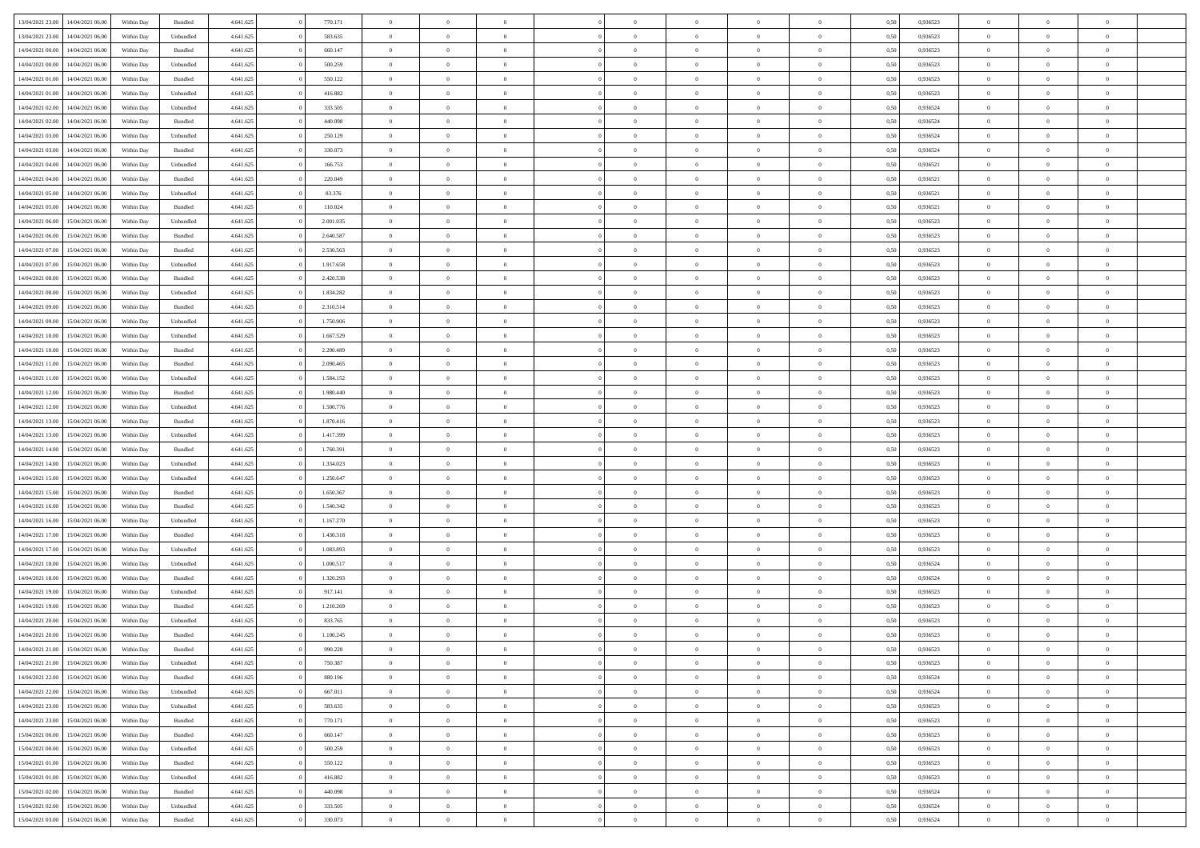| 13/04/2021 23:00                  | 14/04/2021 06:00 | Within Day | Bundled   | 4.641.625 | 770.171   | $\overline{0}$ | $\theta$       |                | $\overline{0}$ | $\bf{0}$       | $\overline{0}$ | $\theta$       | 0,50 | 0,936523 | $\theta$       | $\theta$       | $\overline{0}$           |  |
|-----------------------------------|------------------|------------|-----------|-----------|-----------|----------------|----------------|----------------|----------------|----------------|----------------|----------------|------|----------|----------------|----------------|--------------------------|--|
|                                   |                  |            |           |           |           | $\overline{0}$ | $\overline{0}$ |                |                |                |                |                |      |          |                |                | $\overline{0}$           |  |
| 13/04/2021 23:00                  | 14/04/2021 06.00 | Within Day | Unbundled | 4.641.625 | 583.635   |                |                | $\overline{0}$ | $\overline{0}$ | $\,$ 0         | $\bf{0}$       | $\bf{0}$       | 0,50 | 0,936523 | $\,$ 0 $\,$    | $\overline{0}$ |                          |  |
| 14/04/2021 00:00                  | 14/04/2021 06:00 | Within Day | Bundled   | 4.641.625 | 660.147   | $\overline{0}$ | $\overline{0}$ | $\overline{0}$ | $\overline{0}$ | $\bf{0}$       | $\overline{0}$ | $\mathbf{0}$   | 0.50 | 0.936523 | $\bf{0}$       | $\overline{0}$ | $\overline{0}$           |  |
| 14/04/2021 00:00                  | 14/04/2021 06:00 | Within Day | Unbundled | 4.641.625 | 500.259   | $\overline{0}$ | $\overline{0}$ | $\overline{0}$ | $\overline{0}$ | $\,$ 0         | $\overline{0}$ | $\overline{0}$ | 0,50 | 0,936523 | $\,$ 0 $\,$    | $\overline{0}$ | $\overline{0}$           |  |
| 14/04/2021 01:00                  | 14/04/2021 06.00 | Within Day | Bundled   | 4.641.625 | 550.122   | $\overline{0}$ | $\theta$       | $\overline{0}$ |                | $\overline{0}$ | $\overline{0}$ | $\bf{0}$       | 0,50 | 0,936523 | $\,$ 0 $\,$    | $\overline{0}$ | $\overline{0}$           |  |
| 14/04/2021 01:00                  | 14/04/2021 06:00 | Within Day | Unbundled | 4.641.625 | 416.882   | $\overline{0}$ | $\overline{0}$ | $\overline{0}$ | $\overline{0}$ | $\bf{0}$       | $\overline{0}$ | $\bf{0}$       | 0.50 | 0.936523 | $\,0\,$        | $\theta$       | $\overline{0}$           |  |
| 14/04/2021 02:00                  | 14/04/2021 06:00 | Within Day | Unbundled | 4.641.625 | 333.505   | $\overline{0}$ | $\overline{0}$ | $\overline{0}$ | $\overline{0}$ | $\,$ 0         | $\overline{0}$ | $\overline{0}$ | 0,50 | 0,936524 | $\,$ 0 $\,$    | $\theta$       | $\overline{0}$           |  |
| 14/04/2021 02:00                  | 14/04/2021 06.00 | Within Day | Bundled   | 4.641.625 | 440.098   | $\overline{0}$ | $\theta$       | $\overline{0}$ | $\overline{0}$ | $\,$ 0         | $\overline{0}$ | $\bf{0}$       | 0,50 | 0,936524 | $\,$ 0 $\,$    | $\overline{0}$ | $\overline{0}$           |  |
| 14/04/2021 03:00                  | 14/04/2021 06:00 | Within Day | Unbundled | 4.641.625 | 250.129   | $\overline{0}$ | $\overline{0}$ | $\overline{0}$ | $\overline{0}$ | $\bf{0}$       | $\overline{0}$ | $\bf{0}$       | 0.50 | 0.936524 | $\,0\,$        | $\overline{0}$ | $\overline{0}$           |  |
| 14/04/2021 03:00                  | 14/04/2021 06:00 | Within Day | Bundled   | 4.641.625 | 330.073   | $\overline{0}$ | $\overline{0}$ | $\overline{0}$ | $\overline{0}$ | $\,$ 0         | $\overline{0}$ | $\bf{0}$       | 0,50 | 0,936524 | $\,$ 0 $\,$    | $\overline{0}$ | $\overline{0}$           |  |
|                                   |                  |            |           |           |           |                |                |                |                |                |                |                |      |          |                |                |                          |  |
| 14/04/2021 04:00                  | 14/04/2021 06.00 | Within Day | Unbundled | 4.641.625 | 166.753   | $\overline{0}$ | $\theta$       | $\overline{0}$ | $\overline{0}$ | $\,$ 0         | $\bf{0}$       | $\bf{0}$       | 0,50 | 0,936521 | $\,$ 0 $\,$    | $\overline{0}$ | $\overline{0}$           |  |
| 14/04/2021 04:00                  | 14/04/2021 06:00 | Within Day | Bundled   | 4.641.625 | 220.049   | $\overline{0}$ | $\overline{0}$ | $\overline{0}$ | $\overline{0}$ | $\bf{0}$       | $\overline{0}$ | $\mathbf{0}$   | 0.50 | 0.936521 | $\bf{0}$       | $\overline{0}$ | $\overline{\phantom{a}}$ |  |
| 14/04/2021 05:00                  | 14/04/2021 06:00 | Within Day | Unbundled | 4.641.625 | 83.376    | $\overline{0}$ | $\overline{0}$ | $\overline{0}$ | $\overline{0}$ | $\bf{0}$       | $\overline{0}$ | $\overline{0}$ | 0,50 | 0,936521 | $\,$ 0 $\,$    | $\overline{0}$ | $\overline{0}$           |  |
| 14/04/2021 05:00                  | 14/04/2021 06.00 | Within Day | Bundled   | 4.641.625 | 110.024   | $\overline{0}$ | $\theta$       | $\overline{0}$ | $\overline{0}$ | $\bf{0}$       | $\overline{0}$ | $\bf{0}$       | 0,50 | 0,936521 | $\,$ 0 $\,$    | $\overline{0}$ | $\overline{0}$           |  |
| 14/04/2021 06:00                  | 15/04/2021 06:00 | Within Day | Unbundled | 4.641.625 | 2.001.035 | $\overline{0}$ | $\overline{0}$ | $\overline{0}$ | $\overline{0}$ | $\,$ 0         | $\overline{0}$ | $\bf{0}$       | 0.50 | 0.936523 | $\theta$       | $\theta$       | $\overline{0}$           |  |
| 14/04/2021 06:00                  | 15/04/2021 06:00 | Within Day | Bundled   | 4.641.625 | 2.640.587 | $\overline{0}$ | $\overline{0}$ | $\overline{0}$ | $\overline{0}$ | $\,$ 0         | $\overline{0}$ | $\bf{0}$       | 0,50 | 0,936523 | $\,$ 0 $\,$    | $\theta$       | $\overline{0}$           |  |
| 14/04/2021 07:00                  | 15/04/2021 06.00 | Within Day | Bundled   | 4.641.625 | 2.530.563 | $\overline{0}$ | $\theta$       | $\overline{0}$ | $\overline{0}$ | $\bf{0}$       | $\overline{0}$ | $\bf{0}$       | 0,50 | 0,936523 | $\,$ 0 $\,$    | $\overline{0}$ | $\overline{0}$           |  |
| 14/04/2021 07:00                  | 15/04/2021 06:00 | Within Day | Unbundled | 4.641.625 | 1.917.658 | $\overline{0}$ | $\overline{0}$ | $\overline{0}$ | $\overline{0}$ | $\bf{0}$       | $\overline{0}$ | $\bf{0}$       | 0.50 | 0.936523 | $\,0\,$        | $\overline{0}$ | $\overline{0}$           |  |
| 14/04/2021 08:00                  | 15/04/2021 06:00 | Within Day | Bundled   | 4.641.625 | 2.420.538 | $\overline{0}$ | $\overline{0}$ | $\overline{0}$ | $\overline{0}$ | $\,$ 0         | $\overline{0}$ | $\bf{0}$       | 0,50 | 0,936523 | $\,$ 0 $\,$    | $\overline{0}$ | $\overline{0}$           |  |
|                                   |                  |            |           |           |           |                | $\theta$       | $\overline{0}$ | $\overline{0}$ | $\,$ 0         |                |                |      |          | $\,$ 0 $\,$    | $\overline{0}$ | $\overline{0}$           |  |
| 14/04/2021 08:00                  | 15/04/2021 06.00 | Within Day | Unbundled | 4.641.625 | 1.834.282 | $\overline{0}$ |                |                |                |                | $\bf{0}$       | $\bf{0}$       | 0,50 | 0,936523 |                |                |                          |  |
| 14/04/2021 09:00                  | 15/04/2021 06:00 | Within Day | Bundled   | 4.641.625 | 2.310.514 | $\overline{0}$ | $\overline{0}$ | $\overline{0}$ | $\overline{0}$ | $\bf{0}$       | $\overline{0}$ | $\mathbf{0}$   | 0.50 | 0.936523 | $\bf{0}$       | $\overline{0}$ | $\overline{0}$           |  |
| 14/04/2021 09:00                  | 15/04/2021 06:00 | Within Day | Unbundled | 4.641.625 | 1.750.906 | $\overline{0}$ | $\overline{0}$ | $\overline{0}$ | $\overline{0}$ | $\bf{0}$       | $\overline{0}$ | $\overline{0}$ | 0,50 | 0,936523 | $\,$ 0 $\,$    | $\overline{0}$ | $\overline{0}$           |  |
| 14/04/2021 10:00                  | 15/04/2021 06.00 | Within Day | Unbundled | 4.641.625 | 1.667.529 | $\overline{0}$ | $\theta$       | $\overline{0}$ | $\overline{0}$ | $\,$ 0         | $\overline{0}$ | $\bf{0}$       | 0,50 | 0,936523 | $\,$ 0 $\,$    | $\overline{0}$ | $\overline{0}$           |  |
| 14/04/2021 10:00                  | 15/04/2021 06:00 | Within Day | Bundled   | 4.641.625 | 2.200.489 | $\overline{0}$ | $\overline{0}$ | $\overline{0}$ | $\overline{0}$ | $\bf{0}$       | $\overline{0}$ | $\bf{0}$       | 0.50 | 0.936523 | $\,0\,$        | $\theta$       | $\overline{0}$           |  |
| 14/04/2021 11:00                  | 15/04/2021 06:00 | Within Day | Bundled   | 4.641.625 | 2.090.465 | $\overline{0}$ | $\theta$       | $\overline{0}$ | $\overline{0}$ | $\,$ 0         | $\overline{0}$ | $\overline{0}$ | 0,50 | 0,936523 | $\,$ 0 $\,$    | $\theta$       | $\overline{0}$           |  |
| 14/04/2021 11:00                  | 15/04/2021 06.00 | Within Day | Unbundled | 4.641.625 | 1.584.152 | $\overline{0}$ | $\theta$       | $\overline{0}$ |                | $\bf{0}$       | $\overline{0}$ | $\bf{0}$       | 0,50 | 0,936523 | $\,$ 0 $\,$    | $\overline{0}$ | $\overline{0}$           |  |
| 14/04/2021 12:00                  | 15/04/2021 06:00 | Within Day | Bundled   | 4.641.625 | 1.980.440 | $\overline{0}$ | $\overline{0}$ | $\overline{0}$ | $\overline{0}$ | $\bf{0}$       | $\overline{0}$ | $\bf{0}$       | 0.50 | 0.936523 | $\,0\,$        | $\overline{0}$ | $\overline{0}$           |  |
| 14/04/2021 12:00                  | 15/04/2021 06:00 | Within Day | Unbundled | 4.641.625 | 1.500.776 | $\overline{0}$ | $\overline{0}$ | $\overline{0}$ | $\overline{0}$ | $\,$ 0         | $\overline{0}$ | $\bf{0}$       | 0,50 | 0,936523 | $\,$ 0 $\,$    | $\overline{0}$ | $\overline{0}$           |  |
| 14/04/2021 13:00                  | 15/04/2021 06.00 | Within Day | Bundled   | 4.641.625 | 1.870.416 | $\overline{0}$ | $\overline{0}$ | $\overline{0}$ | $\overline{0}$ | $\bf{0}$       | $\bf{0}$       | $\bf{0}$       | 0,50 | 0,936523 | $\,$ 0 $\,$    | $\overline{0}$ | $\overline{0}$           |  |
| 14/04/2021 13:00                  | 15/04/2021 06:00 | Within Day | Unbundled | 4.641.625 | 1.417.399 | $\overline{0}$ | $\overline{0}$ | $\overline{0}$ | $\overline{0}$ | $\bf{0}$       | $\overline{0}$ | $\mathbf{0}$   | 0.50 | 0.936523 | $\bf{0}$       | $\overline{0}$ | $\overline{\phantom{a}}$ |  |
|                                   |                  |            |           |           |           |                |                |                |                |                |                |                |      |          |                |                |                          |  |
| 14/04/2021 14:00                  | 15/04/2021 06:00 | Within Dav | Bundled   | 4.641.625 | 1.760.391 | $\overline{0}$ | $\overline{0}$ | $\overline{0}$ | $\overline{0}$ | $\bf{0}$       | $\overline{0}$ | $\overline{0}$ | 0.50 | 0.936523 | $\theta$       | $\overline{0}$ | $\overline{0}$           |  |
| 14/04/2021 14:00                  | 15/04/2021 06.00 | Within Day | Unbundled | 4.641.625 | 1.334.023 | $\overline{0}$ | $\theta$       | $\overline{0}$ | $\overline{0}$ | $\bf{0}$       | $\overline{0}$ | $\bf{0}$       | 0,50 | 0,936523 | $\,$ 0 $\,$    | $\overline{0}$ | $\overline{0}$           |  |
| 14/04/2021 15:00                  | 15/04/2021 06:00 | Within Day | Unbundled | 4.641.625 | 1.250.647 | $\overline{0}$ | $\overline{0}$ | $\overline{0}$ | $\overline{0}$ | $\,$ 0         | $\overline{0}$ | $\bf{0}$       | 0.50 | 0.936523 | $\theta$       | $\theta$       | $\overline{0}$           |  |
| 14/04/2021 15:00                  | 15/04/2021 06:00 | Within Dav | Bundled   | 4.641.625 | 1.650.367 | $\overline{0}$ | $\theta$       | $\Omega$       | $\overline{0}$ | $\bf{0}$       | $\overline{0}$ | $\overline{0}$ | 0.50 | 0.936523 | $\theta$       | $\overline{0}$ | $\overline{0}$           |  |
| 14/04/2021 16:00                  | 15/04/2021 06.00 | Within Day | Bundled   | 4.641.625 | 1.540.342 | $\overline{0}$ | $\theta$       | $\overline{0}$ | $\overline{0}$ | $\,$ 0         | $\overline{0}$ | $\bf{0}$       | 0,50 | 0,936523 | $\,$ 0 $\,$    | $\overline{0}$ | $\overline{0}$           |  |
| 14/04/2021 16:00                  | 15/04/2021 06:00 | Within Day | Unbundled | 4.641.625 | 1.167.270 | $\overline{0}$ | $\overline{0}$ | $\overline{0}$ | $\overline{0}$ | $\bf{0}$       | $\overline{0}$ | $\bf{0}$       | 0.50 | 0.936523 | $\,0\,$        | $\overline{0}$ | $\overline{0}$           |  |
| 14/04/2021 17:00                  | 15/04/2021 06:00 | Within Dav | Bundled   | 4.641.625 | 1.430.318 | $\overline{0}$ | $\overline{0}$ | $\overline{0}$ | $\overline{0}$ | $\overline{0}$ | $\overline{0}$ | $\overline{0}$ | 0.50 | 0.936523 | $\theta$       | $\overline{0}$ | $\overline{0}$           |  |
| 14/04/2021 17:00                  | 15/04/2021 06.00 | Within Day | Unbundled | 4.641.625 | 1.083.893 | $\overline{0}$ | $\overline{0}$ | $\overline{0}$ | $\overline{0}$ | $\bf{0}$       | $\bf{0}$       | $\bf{0}$       | 0,50 | 0,936523 | $\,$ 0 $\,$    | $\overline{0}$ | $\overline{0}$           |  |
| 14/04/2021 18:00                  | 15/04/2021 06:00 | Within Day | Unbundled | 4.641.625 | 1.000.517 | $\overline{0}$ | $\overline{0}$ | $\overline{0}$ | $\overline{0}$ | $\bf{0}$       | $\overline{0}$ | $\mathbf{0}$   | 0.50 | 0.936524 | $\bf{0}$       | $\overline{0}$ | $\overline{0}$           |  |
| 14/04/2021 18:00                  | 15/04/2021 06:00 | Within Dav | Bundled   | 4.641.625 | 1.320.293 | $\overline{0}$ | $\overline{0}$ | $\Omega$       | $\overline{0}$ | $\mathbf{0}$   | $\overline{0}$ | $\overline{0}$ | 0.50 | 0,936524 | $\theta$       | $\overline{0}$ | $\overline{0}$           |  |
| 14/04/2021 19:00                  | 15/04/2021 06.00 | Within Day | Unbundled | 4.641.625 | 917.141   | $\overline{0}$ | $\theta$       | $\overline{0}$ | $\overline{0}$ | $\,$ 0         | $\overline{0}$ | $\bf{0}$       | 0,50 | 0,936523 | $\,$ 0 $\,$    | $\overline{0}$ | $\overline{0}$           |  |
| 14/04/2021 19:00                  | 15/04/2021 06:00 |            | Bundled   | 4.641.625 | 1.210.269 | $\overline{0}$ | $\theta$       | $\overline{0}$ | $\overline{0}$ | $\bf{0}$       | $\Omega$       | $\overline{0}$ | 0.50 | 0.936523 | $\,0\,$        | $\theta$       | $\overline{0}$           |  |
|                                   |                  | Within Day |           |           |           |                |                |                |                |                |                |                |      |          |                |                |                          |  |
| 14/04/2021 20:00                  | 15/04/2021 06:00 | Within Dav | Unbundled | 4.641.625 | 833.765   | $\overline{0}$ | $\Omega$       | $\Omega$       | $\Omega$       | $\bf{0}$       | $\overline{0}$ | $\bf{0}$       | 0.50 | 0.936523 | $\theta$       | $\theta$       | $\overline{0}$           |  |
| 14/04/2021 20:00                  | 15/04/2021 06:00 | Within Day | Bundled   | 4.641.625 | 1.100.245 | $\overline{0}$ | $\,$ 0 $\,$    | $\overline{0}$ | $\overline{0}$ | $\,$ 0         | $\bf{0}$       | $\bf{0}$       | 0,50 | 0,936523 | $\,$ 0 $\,$    | $\overline{0}$ | $\overline{0}$           |  |
| 14/04/2021 21:00                  | 15/04/2021 06:00 | Within Day | Bundled   | 4.641.625 | 990.220   | $\bf{0}$       | $\theta$       |                |                |                |                |                | 0,50 | 0.936523 | $\bf{0}$       | $\theta$       |                          |  |
| 14/04/2021 21:00                  | 15/04/2021 06:00 | Within Day | Unbundled | 4.641.625 | 750.387   | $\overline{0}$ | $\overline{0}$ | $\overline{0}$ | $\overline{0}$ | $\overline{0}$ | $\overline{0}$ | $\mathbf{0}$   | 0,50 | 0.936523 | $\theta$       | $\overline{0}$ | $\overline{0}$           |  |
| 14/04/2021 22.00                  | 15/04/2021 06:00 | Within Day | Bundled   | 4.641.625 | 880.196   | $\overline{0}$ | $\overline{0}$ | $\overline{0}$ | $\bf{0}$       | $\overline{0}$ | $\overline{0}$ | $\bf{0}$       | 0,50 | 0,936524 | $\overline{0}$ | $\overline{0}$ | $\bf{0}$                 |  |
| 14/04/2021 22.00                  | 15/04/2021 06:00 | Within Day | Unbundled | 4.641.625 | 667.011   | $\overline{0}$ | $\overline{0}$ | $\overline{0}$ | $\overline{0}$ | $\overline{0}$ | $\overline{0}$ | $\mathbf{0}$   | 0.50 | 0.936524 | $\overline{0}$ | $\bf{0}$       | $\bf{0}$                 |  |
| 14/04/2021 23:00                  | 15/04/2021 06:00 | Within Day | Unbundled | 4.641.625 | 583.635   | $\overline{0}$ | $\overline{0}$ | $\overline{0}$ | $\overline{0}$ | $\overline{0}$ | $\overline{0}$ | $\mathbf{0}$   | 0,50 | 0.936523 | $\overline{0}$ | $\theta$       | $\overline{0}$           |  |
| 14/04/2021 23:00                  | 15/04/2021 06:00 | Within Day | Bundled   | 4.641.625 | 770.171   | $\overline{0}$ | $\overline{0}$ | $\overline{0}$ | $\overline{0}$ | $\bf{0}$       | $\bf{0}$       | $\bf{0}$       | 0,50 | 0,936523 | $\,$ 0 $\,$    | $\overline{0}$ | $\overline{0}$           |  |
| 15/04/2021 00:00                  | 15/04/2021 06:00 | Within Day | Bundled   | 4.641.625 | 660.147   | $\overline{0}$ | $\overline{0}$ | $\overline{0}$ | $\overline{0}$ | $\bf{0}$       | $\overline{0}$ | $\mathbf{0}$   | 0.50 | 0.936523 | $\,$ 0 $\,$    | $\overline{0}$ | $\overline{0}$           |  |
| 15/04/2021 00:00                  | 15/04/2021 06:00 | Within Day | Unbundled | 4.641.625 | 500.259   | $\overline{0}$ | $\overline{0}$ | $\overline{0}$ | $\overline{0}$ | $\overline{0}$ | $\overline{0}$ | $\overline{0}$ | 0,50 | 0.936523 | $\overline{0}$ | $\overline{0}$ | $\overline{0}$           |  |
| 15/04/2021 01:00                  | 15/04/2021 06:00 | Within Day | Bundled   | 4.641.625 | 550.122   | $\overline{0}$ | $\,$ 0         | $\overline{0}$ | $\bf{0}$       | $\,$ 0 $\,$    | $\overline{0}$ | $\bf{0}$       | 0,50 | 0,936523 | $\,$ 0 $\,$    | $\overline{0}$ | $\overline{0}$           |  |
|                                   |                  |            |           |           |           |                |                |                |                |                |                |                |      |          |                |                |                          |  |
| 15/04/2021 01:00                  | 15/04/2021 06:00 | Within Day | Unbundled | 4.641.625 | 416.882   | $\overline{0}$ | $\overline{0}$ | $\overline{0}$ | $\overline{0}$ | $\bf{0}$       | $\overline{0}$ | $\mathbf{0}$   | 0.50 | 0.936523 | $\mathbf{0}$   | $\bf{0}$       | $\bf{0}$                 |  |
| 15/04/2021 02:00                  | 15/04/2021 06:00 | Within Day | Bundled   | 4.641.625 | 440.098   | $\overline{0}$ | $\overline{0}$ | $\overline{0}$ | $\overline{0}$ | $\overline{0}$ | $\overline{0}$ | $\overline{0}$ | 0,50 | 0,936524 | $\overline{0}$ | $\overline{0}$ | $\overline{0}$           |  |
| 15/04/2021 02:00                  | 15/04/2021 06:00 | Within Day | Unbundled | 4.641.625 | 333.505   | $\overline{0}$ | $\bf{0}$       | $\overline{0}$ | $\bf{0}$       | $\bf{0}$       | $\bf{0}$       | $\bf{0}$       | 0,50 | 0,936524 | $\bf{0}$       | $\overline{0}$ | $\bf{0}$                 |  |
| 15/04/2021 03:00 15/04/2021 06:00 |                  | Within Day | Bundled   | 4.641.625 | 330.073   | $\,$ 0 $\,$    | $\,$ 0 $\,$    | $\overline{0}$ | $\overline{0}$ | $\,$ 0 $\,$    | $\,$ 0 $\,$    | $\,$ 0 $\,$    | 0,50 | 0,936524 | $\mathbf{0}^-$ | $\,$ 0 $\,$    | $\,$ 0 $\,$              |  |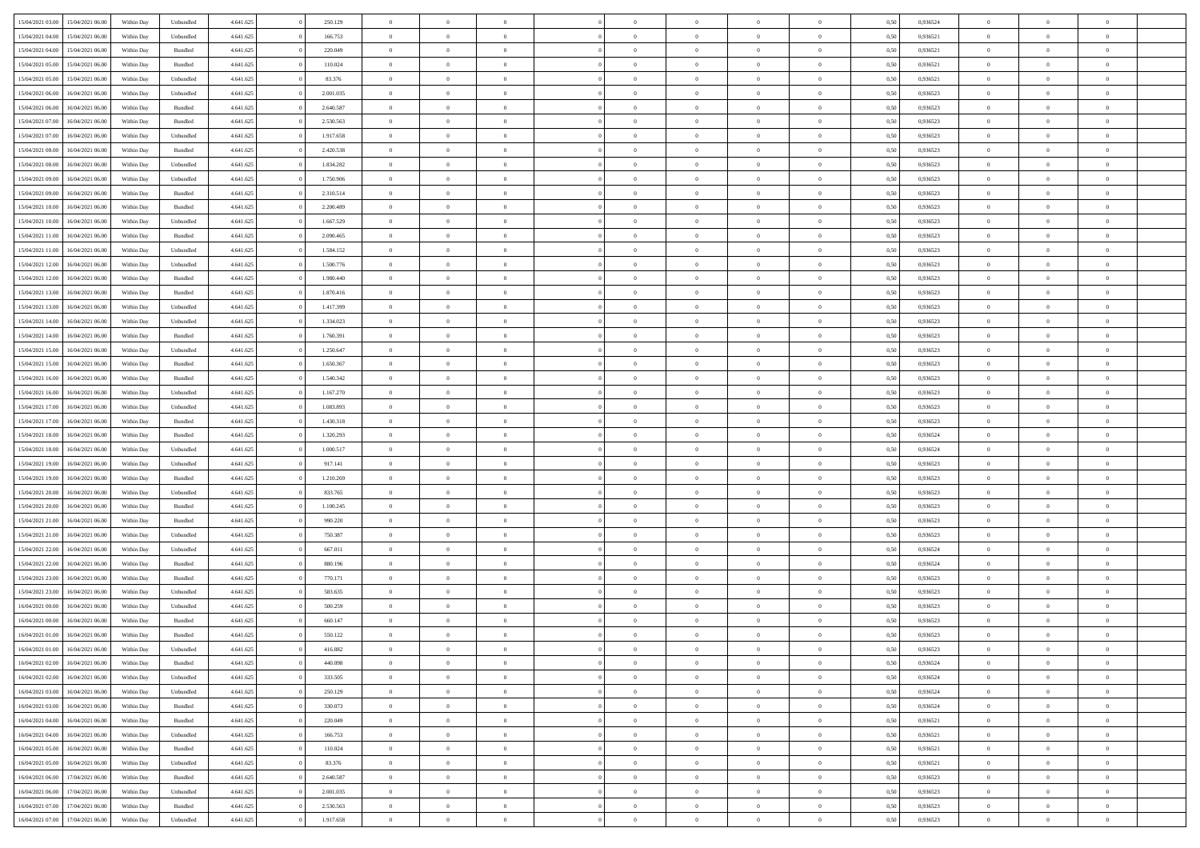|                  |                                   |            |           |           |           | $\overline{0}$ |                |                |                | $\Omega$       | $\Omega$       | $\theta$       |      |          | $\theta$       | $\overline{0}$ | $\theta$       |  |
|------------------|-----------------------------------|------------|-----------|-----------|-----------|----------------|----------------|----------------|----------------|----------------|----------------|----------------|------|----------|----------------|----------------|----------------|--|
| 15/04/2021 03:00 | 15/04/2021 06:00                  | Within Day | Unbundled | 4.641.625 | 250.129   |                | $\theta$       |                | $\Omega$       |                |                |                | 0.50 | 0,936524 |                |                |                |  |
| 15/04/2021 04:00 | 15/04/2021 06:00                  | Within Day | Unbundled | 4.641.625 | 166.753   | $\overline{0}$ | $\theta$       | $\overline{0}$ | $\overline{0}$ | $\bf{0}$       | $\overline{0}$ | $\bf{0}$       | 0,50 | 0,936521 | $\theta$       | $\overline{0}$ | $\overline{0}$ |  |
| 15/04/2021 04:00 | 15/04/2021 06:00                  | Within Day | Bundled   | 4.641.625 | 220.049   | $\overline{0}$ | $\overline{0}$ | $\overline{0}$ | $\bf{0}$       | $\bf{0}$       | $\bf{0}$       | $\bf{0}$       | 0,50 | 0,936521 | $\overline{0}$ | $\overline{0}$ | $\overline{0}$ |  |
| 15/04/2021 05:00 | 15/04/2021 06:00                  | Within Dav | Bundled   | 4.641.625 | 110.024   | $\overline{0}$ | $\overline{0}$ | $\overline{0}$ | $\overline{0}$ | $\bf{0}$       | $\overline{0}$ | $\overline{0}$ | 0.50 | 0.936521 | $\theta$       | $\theta$       | $\overline{0}$ |  |
|                  |                                   |            |           |           |           |                |                |                |                |                |                |                |      |          |                |                |                |  |
| 15/04/2021 05:00 | 15/04/2021 06:00                  | Within Day | Unbundled | 4.641.625 | 83.376    | $\overline{0}$ | $\theta$       | $\overline{0}$ | $\overline{0}$ | $\bf{0}$       | $\overline{0}$ | $\bf{0}$       | 0,50 | 0,936521 | $\theta$       | $\overline{0}$ | $\overline{0}$ |  |
| 15/04/2021 06:00 | 16/04/2021 06:00                  | Within Day | Unbundled | 4.641.625 | 2.001.035 | $\overline{0}$ | $\bf{0}$       | $\overline{0}$ | $\bf{0}$       | $\overline{0}$ | $\overline{0}$ | $\mathbf{0}$   | 0,50 | 0,936523 | $\overline{0}$ | $\overline{0}$ | $\bf{0}$       |  |
| 15/04/2021 06:00 | 16/04/2021 06:00                  | Within Dav | Bundled   | 4.641.625 | 2.640.587 | $\overline{0}$ | $\overline{0}$ | $\overline{0}$ | $\overline{0}$ | $\overline{0}$ | $\overline{0}$ | $\overline{0}$ | 0.50 | 0.936523 | $\theta$       | $\overline{0}$ | $\overline{0}$ |  |
| 15/04/2021 07:00 | 16/04/2021 06:00                  | Within Day | Bundled   | 4.641.625 | 2.530.563 | $\overline{0}$ | $\theta$       | $\overline{0}$ | $\overline{0}$ | $\bf{0}$       | $\overline{0}$ | $\bf{0}$       | 0,50 | 0,936523 | $\theta$       | $\theta$       | $\overline{0}$ |  |
|                  | 16/04/2021 06:00                  | Within Day | Unbundled | 4.641.625 | 1.917.658 | $\overline{0}$ | $\overline{0}$ | $\overline{0}$ | $\bf{0}$       | $\bf{0}$       | $\bf{0}$       | $\bf{0}$       | 0,50 | 0,936523 | $\,0\,$        | $\overline{0}$ | $\overline{0}$ |  |
| 15/04/2021 07:00 |                                   |            |           |           |           |                |                |                |                |                |                |                |      |          |                |                |                |  |
| 15/04/2021 08:00 | 16/04/2021 06:00                  | Within Dav | Bundled   | 4.641.625 | 2.420.538 | $\overline{0}$ | $\overline{0}$ | $\overline{0}$ | $\overline{0}$ | $\overline{0}$ | $\overline{0}$ | $\overline{0}$ | 0.50 | 0.936523 | $\theta$       | $\overline{0}$ | $\overline{0}$ |  |
| 15/04/2021 08:00 | 16/04/2021 06:00                  | Within Day | Unbundled | 4.641.625 | 1.834.282 | $\overline{0}$ | $\theta$       | $\overline{0}$ | $\overline{0}$ | $\bf{0}$       | $\overline{0}$ | $\bf{0}$       | 0,50 | 0,936523 | $\theta$       | $\overline{0}$ | $\overline{0}$ |  |
| 15/04/2021 09:00 | 16/04/2021 06:00                  | Within Day | Unbundled | 4.641.625 | 1.750.906 | $\overline{0}$ | $\overline{0}$ | $\overline{0}$ | $\bf{0}$       | $\bf{0}$       | $\bf{0}$       | $\bf{0}$       | 0,50 | 0,936523 | $\bf{0}$       | $\overline{0}$ | $\overline{0}$ |  |
| 15/04/2021 09:00 | 16/04/2021 06:00                  | Within Day | Bundled   | 4.641.625 | 2.310.514 | $\overline{0}$ | $\overline{0}$ | $\overline{0}$ | $\overline{0}$ | $\bf{0}$       | $\overline{0}$ | $\overline{0}$ | 0.50 | 0.936523 | $\theta$       | $\theta$       | $\overline{0}$ |  |
| 15/04/2021 10:00 | 16/04/2021 06:00                  | Within Day | Bundled   | 4.641.625 | 2.200.489 | $\overline{0}$ | $\theta$       | $\overline{0}$ | $\overline{0}$ | $\bf{0}$       | $\overline{0}$ | $\bf{0}$       | 0,50 | 0,936523 | $\theta$       | $\overline{0}$ | $\overline{0}$ |  |
|                  |                                   |            |           |           |           |                |                |                |                |                |                |                |      |          |                |                |                |  |
| 15/04/2021 10:00 | 16/04/2021 06:00                  | Within Day | Unbundled | 4.641.625 | 1.667.529 | $\overline{0}$ | $\bf{0}$       | $\overline{0}$ | $\bf{0}$       | $\overline{0}$ | $\overline{0}$ | $\mathbf{0}$   | 0,50 | 0,936523 | $\overline{0}$ | $\overline{0}$ | $\bf{0}$       |  |
| 15/04/2021 11:00 | 16/04/2021 06:00                  | Within Dav | Bundled   | 4.641.625 | 2.090.465 | $\overline{0}$ | $\overline{0}$ | $\overline{0}$ | $\overline{0}$ | $\overline{0}$ | $\overline{0}$ | $\overline{0}$ | 0.50 | 0.936523 | $\theta$       | $\overline{0}$ | $\overline{0}$ |  |
| 15/04/2021 11:00 | 16/04/2021 06:00                  | Within Day | Unbundled | 4.641.625 | 1.584.152 | $\overline{0}$ | $\theta$       | $\overline{0}$ | $\overline{0}$ | $\bf{0}$       | $\overline{0}$ | $\bf{0}$       | 0,50 | 0,936523 | $\theta$       | $\theta$       | $\overline{0}$ |  |
| 15/04/2021 12:00 | 16/04/2021 06:00                  | Within Day | Unbundled | 4.641.625 | 1.500.776 | $\overline{0}$ | $\overline{0}$ | $\overline{0}$ | $\bf{0}$       | $\bf{0}$       | $\bf{0}$       | $\bf{0}$       | 0,50 | 0,936523 | $\,0\,$        | $\overline{0}$ | $\overline{0}$ |  |
| 15/04/2021 12:00 | 16/04/2021 06:00                  | Within Day | Bundled   | 4.641.625 | 1.980.440 | $\overline{0}$ | $\overline{0}$ | $\overline{0}$ | $\overline{0}$ | $\overline{0}$ | $\overline{0}$ | $\overline{0}$ | 0.50 | 0.936523 | $\theta$       | $\overline{0}$ | $\overline{0}$ |  |
|                  |                                   |            |           |           |           |                |                |                |                |                |                |                |      |          |                |                |                |  |
| 15/04/2021 13:00 | 16/04/2021 06:00                  | Within Day | Bundled   | 4.641.625 | 1.870.416 | $\overline{0}$ | $\theta$       | $\overline{0}$ | $\overline{0}$ | $\bf{0}$       | $\overline{0}$ | $\bf{0}$       | 0,50 | 0,936523 | $\theta$       | $\theta$       | $\overline{0}$ |  |
| 15/04/2021 13:00 | 16/04/2021 06:00                  | Within Day | Unbundled | 4.641.625 | 1.417.399 | $\overline{0}$ | $\overline{0}$ | $\overline{0}$ | $\bf{0}$       | $\bf{0}$       | $\bf{0}$       | $\bf{0}$       | 0,50 | 0,936523 | $\,0\,$        | $\overline{0}$ | $\overline{0}$ |  |
| 15/04/2021 14:00 | 16/04/2021 06:00                  | Within Day | Unbundled | 4.641.625 | 1.334.023 | $\overline{0}$ | $\overline{0}$ | $\overline{0}$ | $\overline{0}$ | $\bf{0}$       | $\overline{0}$ | $\overline{0}$ | 0.50 | 0.936523 | $\theta$       | $\theta$       | $\overline{0}$ |  |
| 15/04/2021 14:00 | 16/04/2021 06:00                  | Within Day | Bundled   | 4.641.625 | 1.760.391 | $\overline{0}$ | $\theta$       | $\overline{0}$ | $\overline{0}$ | $\bf{0}$       | $\overline{0}$ | $\bf{0}$       | 0,50 | 0,936523 | $\theta$       | $\overline{0}$ | $\overline{0}$ |  |
|                  |                                   |            |           |           |           |                | $\bf{0}$       |                |                |                |                |                |      |          |                | $\overline{0}$ | $\bf{0}$       |  |
| 15/04/2021 15:00 | 16/04/2021 06:00                  | Within Day | Unbundled | 4.641.625 | 1.250.647 | $\overline{0}$ |                | $\overline{0}$ | $\bf{0}$       | $\overline{0}$ | $\overline{0}$ | $\mathbf{0}$   | 0,50 | 0,936523 | $\overline{0}$ |                |                |  |
| 15/04/2021 15:00 | 16/04/2021 06:00                  | Within Dav | Bundled   | 4.641.625 | 1.650.367 | $\overline{0}$ | $\overline{0}$ | $\overline{0}$ | $\overline{0}$ | $\overline{0}$ | $\overline{0}$ | $\overline{0}$ | 0.50 | 0.936523 | $\theta$       | $\overline{0}$ | $\overline{0}$ |  |
| 15/04/2021 16:00 | 16/04/2021 06:00                  | Within Day | Bundled   | 4.641.625 | 1.540.342 | $\overline{0}$ | $\theta$       | $\overline{0}$ | $\overline{0}$ | $\bf{0}$       | $\overline{0}$ | $\bf{0}$       | 0,50 | 0,936523 | $\theta$       | $\theta$       | $\overline{0}$ |  |
| 15/04/2021 16:00 | 16/04/2021 06:00                  | Within Day | Unbundled | 4.641.625 | 1.167.270 | $\overline{0}$ | $\overline{0}$ | $\overline{0}$ | $\bf{0}$       | $\bf{0}$       | $\bf{0}$       | $\bf{0}$       | 0,50 | 0,936523 | $\,0\,$        | $\overline{0}$ | $\overline{0}$ |  |
| 15/04/2021 17:00 | 16/04/2021 06:00                  | Within Day | Unbundled | 4.641.625 | 1.083.893 | $\overline{0}$ | $\overline{0}$ | $\overline{0}$ | $\overline{0}$ | $\overline{0}$ | $\overline{0}$ | $\overline{0}$ | 0.50 | 0.936523 | $\theta$       | $\overline{0}$ | $\overline{0}$ |  |
| 15/04/2021 17:00 | 16/04/2021 06:00                  | Within Day | Bundled   | 4.641.625 | 1.430.318 | $\overline{0}$ | $\theta$       | $\overline{0}$ | $\overline{0}$ | $\bf{0}$       | $\overline{0}$ | $\bf{0}$       | 0,50 | 0,936523 | $\,$ 0 $\,$    | $\overline{0}$ | $\overline{0}$ |  |
|                  |                                   |            |           |           |           |                |                |                |                |                |                |                |      |          |                |                |                |  |
| 15/04/2021 18:00 | 16/04/2021 06:00                  | Within Day | Bundled   | 4.641.625 | 1.320.293 | $\overline{0}$ | $\overline{0}$ | $\overline{0}$ | $\bf{0}$       | $\bf{0}$       | $\bf{0}$       | $\bf{0}$       | 0,50 | 0,936524 | $\bf{0}$       | $\overline{0}$ | $\overline{0}$ |  |
| 15/04/2021 18:00 | 16/04/2021 06:00                  | Within Day | Unbundled | 4.641.625 | 1.000.517 | $\overline{0}$ | $\Omega$       | $\Omega$       | $\Omega$       | $\Omega$       | $\overline{0}$ | $\overline{0}$ | 0,50 | 0,936524 | $\,0\,$        | $\theta$       | $\theta$       |  |
| 15/04/2021 19:00 | 16/04/2021 06:00                  | Within Day | Unbundled | 4.641.625 | 917.141   | $\overline{0}$ | $\theta$       | $\overline{0}$ | $\overline{0}$ | $\bf{0}$       | $\overline{0}$ | $\bf{0}$       | 0,50 | 0,936523 | $\theta$       | $\theta$       | $\overline{0}$ |  |
| 15/04/2021 19:00 | 16/04/2021 06:00                  | Within Day | Bundled   | 4.641.625 | 1.210.269 | $\overline{0}$ | $\overline{0}$ | $\overline{0}$ | $\bf{0}$       | $\bf{0}$       | $\overline{0}$ | $\mathbf{0}$   | 0,50 | 0,936523 | $\overline{0}$ | $\overline{0}$ | $\bf{0}$       |  |
| 15/04/2021 20:00 | 16/04/2021 06:00                  | Within Day | Unbundled | 4.641.625 | 833.765   | $\overline{0}$ | $\Omega$       | $\Omega$       | $\Omega$       | $\bf{0}$       | $\overline{0}$ | $\overline{0}$ | 0.50 | 0.936523 | $\theta$       | $\theta$       | $\theta$       |  |
|                  |                                   |            |           |           |           |                |                |                |                |                |                |                |      |          |                |                |                |  |
| 15/04/2021 20:00 | 16/04/2021 06:00                  | Within Day | Bundled   | 4.641.625 | 1.100.245 | $\overline{0}$ | $\theta$       | $\overline{0}$ | $\overline{0}$ | $\bf{0}$       | $\overline{0}$ | $\bf{0}$       | 0,50 | 0,936523 | $\theta$       | $\theta$       | $\overline{0}$ |  |
| 15/04/2021 21:00 | 16/04/2021 06:00                  | Within Day | Bundled   | 4.641.625 | 990.220   | $\overline{0}$ | $\overline{0}$ | $\overline{0}$ | $\bf{0}$       | $\bf{0}$       | $\bf{0}$       | $\bf{0}$       | 0,50 | 0,936523 | $\,0\,$        | $\overline{0}$ | $\overline{0}$ |  |
| 15/04/2021 21:00 | 16/04/2021 06:00                  | Within Day | Unbundled | 4.641.625 | 750,387   | $\overline{0}$ | $\Omega$       | $\Omega$       | $\Omega$       | $\theta$       | $\theta$       | $\overline{0}$ | 0.50 | 0.936523 | $\theta$       | $\theta$       | $\theta$       |  |
| 15/04/2021 22:00 | 16/04/2021 06:00                  | Within Day | Unbundled | 4.641.625 | 667.011   | $\overline{0}$ | $\theta$       | $\overline{0}$ | $\overline{0}$ | $\bf{0}$       | $\overline{0}$ | $\bf{0}$       | 0,50 | 0,936524 | $\,$ 0 $\,$    | $\overline{0}$ | $\overline{0}$ |  |
| 15/04/2021 22.00 | 16/04/2021 06:00                  | Within Day | Bundled   | 4.641.625 | 880.196   | $\overline{0}$ | $\overline{0}$ | $\overline{0}$ | $\bf{0}$       | $\bf{0}$       | $\bf{0}$       | $\bf{0}$       | 0,50 | 0,936524 | $\bf{0}$       | $\overline{0}$ | $\overline{0}$ |  |
|                  |                                   |            |           |           |           | $\overline{0}$ | $\Omega$       | $\Omega$       | $\Omega$       | $\Omega$       |                |                |      |          |                |                | $\theta$       |  |
| 15/04/2021 23:00 | 16/04/2021 06:00                  | Within Day | Bundled   | 4.641.625 | 770.171   |                |                |                |                |                | $\overline{0}$ | $\overline{0}$ | 0.50 | 0,936523 | $\,0\,$        | $\theta$       |                |  |
| 15/04/2021 23:00 | 16/04/2021 06:00                  | Within Day | Unbundled | 4.641.625 | 583.635   | $\overline{0}$ | $\theta$       | $\overline{0}$ | $\overline{0}$ | $\bf{0}$       | $\overline{0}$ | $\bf{0}$       | 0,50 | 0,936523 | $\,$ 0 $\,$    | $\overline{0}$ | $\overline{0}$ |  |
| 16/04/2021 00:00 | 16/04/2021 06:00                  | Within Day | Unbundled | 4.641.625 | 500.259   | $\overline{0}$ | $\overline{0}$ | $\overline{0}$ | $\bf{0}$       | $\bf{0}$       | $\bf{0}$       | $\mathbf{0}$   | 0,50 | 0,936523 | $\bf{0}$       | $\overline{0}$ | $\bf{0}$       |  |
| 16/04/2021 00:00 | 16/04/2021 06:00                  | Within Day | Bundled   | 4.641.625 | 660.147   | $\overline{0}$ | $\Omega$       | $\Omega$       | $\Omega$       | $\Omega$       | $\Omega$       | $\overline{0}$ | 0.50 | 0.936523 | $\theta$       | $\theta$       | $\theta$       |  |
| 16/04/2021 01:00 | 16/04/2021 06:00                  | Within Day | Bundled   | 4.641.625 | 550.122   | $\overline{0}$ | $\overline{0}$ | $\overline{0}$ | $\bf{0}$       | $\,$ 0         | $\bf{0}$       | $\bf{0}$       | 0,50 | 0,936523 | $\,0\,$        | $\overline{0}$ | $\overline{0}$ |  |
| 16/04/2021 01:00 | 16/04/2021 06:00                  | Within Day | Unbundled | 4.641.625 | 416.882   | $\bf{0}$       | $\bf{0}$       |                |                |                |                |                | 0,50 | 0,936523 | $\bf{0}$       | $\overline{0}$ |                |  |
|                  |                                   |            |           |           |           |                |                |                |                |                |                |                |      |          |                |                |                |  |
| 16/04/2021 02:00 | 16/04/2021 06:00                  | Within Day | Bundled   | 4.641.625 | 440 098   | $\overline{0}$ | $\overline{0}$ | $\overline{0}$ | $\Omega$       | $\overline{0}$ | $\overline{0}$ | $\overline{0}$ | 0.50 | 0.936524 | $\theta$       | $\theta$       | $\theta$       |  |
| 16/04/2021 02:00 | 16/04/2021 06:00                  | Within Day | Unbundled | 4.641.625 | 333.505   | $\overline{0}$ | $\,$ 0         | $\overline{0}$ | $\bf{0}$       | $\,$ 0 $\,$    | $\overline{0}$ | $\,$ 0 $\,$    | 0,50 | 0,936524 | $\,$ 0 $\,$    | $\,$ 0 $\,$    | $\,$ 0         |  |
| 16/04/2021 03:00 | 16/04/2021 06:00                  | Within Day | Unbundled | 4.641.625 | 250.129   | $\overline{0}$ | $\overline{0}$ | $\overline{0}$ | $\overline{0}$ | $\overline{0}$ | $\overline{0}$ | $\mathbf{0}$   | 0,50 | 0,936524 | $\overline{0}$ | $\bf{0}$       | $\bf{0}$       |  |
| 16/04/2021 03:00 | 16/04/2021 06:00                  | Within Day | Bundled   | 4.641.625 | 330.073   | $\overline{0}$ | $\overline{0}$ | $\overline{0}$ | $\Omega$       | $\overline{0}$ | $\overline{0}$ | $\overline{0}$ | 0,50 | 0,936524 | $\overline{0}$ | $\theta$       | $\overline{0}$ |  |
| 16/04/2021 04:00 | 16/04/2021 06:00                  | Within Day | Bundled   | 4.641.625 | 220.049   | $\overline{0}$ | $\,$ 0         | $\overline{0}$ | $\overline{0}$ | $\,$ 0 $\,$    | $\overline{0}$ | $\mathbf{0}$   | 0,50 | 0,936521 | $\,$ 0 $\,$    | $\overline{0}$ | $\overline{0}$ |  |
|                  |                                   |            |           |           |           |                |                |                |                |                |                |                |      |          |                |                |                |  |
| 16/04/2021 04:00 | 16/04/2021 06:00                  | Within Day | Unbundled | 4.641.625 | 166.753   | $\overline{0}$ | $\overline{0}$ | $\overline{0}$ | $\overline{0}$ | $\overline{0}$ | $\overline{0}$ | $\mathbf{0}$   | 0,50 | 0,936521 | $\overline{0}$ | $\overline{0}$ | $\bf{0}$       |  |
| 16/04/2021 05:00 | 16/04/2021 06:00                  | Within Day | Bundled   | 4.641.625 | 110.024   | $\overline{0}$ | $\overline{0}$ | $\overline{0}$ | $\Omega$       | $\overline{0}$ | $\overline{0}$ | $\bf{0}$       | 0.50 | 0,936521 | $\overline{0}$ | $\theta$       | $\overline{0}$ |  |
| 16/04/2021 05:00 | 16/04/2021 06:00                  | Within Day | Unbundled | 4.641.625 | 83.376    | $\overline{0}$ | $\,$ 0         | $\overline{0}$ | $\bf{0}$       | $\bf{0}$       | $\bf{0}$       | $\bf{0}$       | 0,50 | 0,936521 | $\,$ 0 $\,$    | $\overline{0}$ | $\overline{0}$ |  |
| 16/04/2021 06:00 | 17/04/2021 06:00                  | Within Day | Bundled   | 4.641.625 | 2.640.587 | $\overline{0}$ | $\bf{0}$       | $\overline{0}$ | $\overline{0}$ | $\overline{0}$ | $\overline{0}$ | $\mathbf{0}$   | 0,50 | 0,936523 | $\overline{0}$ | $\overline{0}$ | $\bf{0}$       |  |
|                  | 17/04/2021 06:00                  |            |           |           | 2.001.035 |                | $\overline{0}$ | $\overline{0}$ | $\Omega$       | $\overline{0}$ | $\overline{0}$ |                |      | 0.936523 |                | $\theta$       | $\overline{0}$ |  |
| 16/04/2021 06:00 |                                   | Within Day | Unbundled | 4.641.625 |           | $\overline{0}$ |                |                |                |                |                | $\overline{0}$ | 0.50 |          | $\overline{0}$ |                |                |  |
| 16/04/2021 07:00 | 17/04/2021 06:00                  | Within Day | Bundled   | 4.641.625 | 2.530.563 | $\overline{0}$ | $\bf{0}$       | $\overline{0}$ | $\overline{0}$ | $\bf{0}$       | $\bf{0}$       | $\mathbf{0}$   | 0,50 | 0,936523 | $\,$ 0 $\,$    | $\,$ 0 $\,$    | $\bf{0}$       |  |
|                  | 16/04/2021 07:00 17/04/2021 06:00 | Within Day | Unbundled | 4.641.625 | 1.917.658 | $\overline{0}$ | $\overline{0}$ | $\overline{0}$ | $\overline{0}$ | $\bf{0}$       | $\bf{0}$       | $\mathbf{0}$   | 0,50 | 0,936523 | $\overline{0}$ | $\bf{0}$       | $\bf{0}$       |  |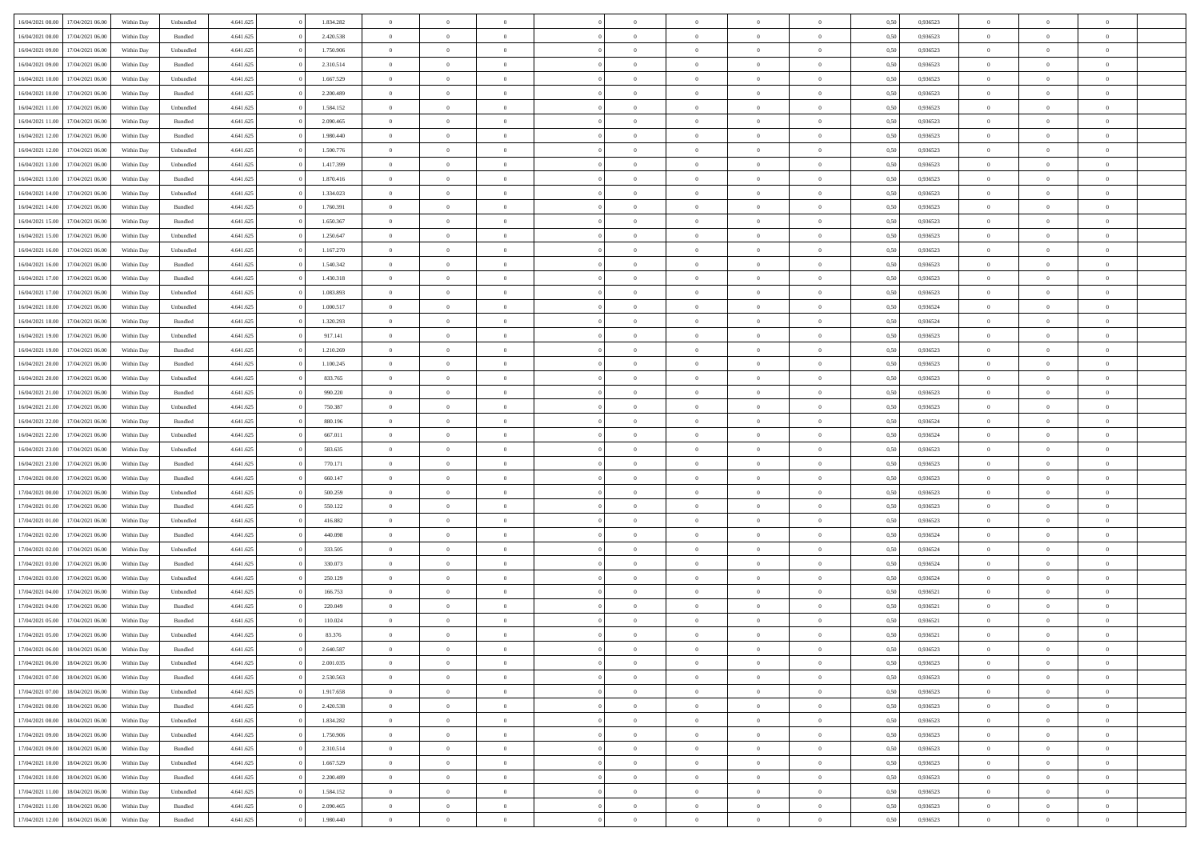| 16/04/2021 08:00 | 17/04/2021 06:00 | Within Day | Unbundled          | 4.641.625 | 1.834.282 | $\overline{0}$ | $\theta$       |                | $\Omega$       | $\Omega$       | $\theta$       | $\theta$       | 0.50 | 0,936523 | $\theta$       | $\overline{0}$ | $\overline{0}$ |  |
|------------------|------------------|------------|--------------------|-----------|-----------|----------------|----------------|----------------|----------------|----------------|----------------|----------------|------|----------|----------------|----------------|----------------|--|
|                  |                  |            |                    |           |           |                |                |                |                |                |                |                |      |          |                |                |                |  |
| 16/04/2021 08:00 | 17/04/2021 06:00 | Within Day | Bundled            | 4.641.625 | 2.420.538 | $\overline{0}$ | $\theta$       | $\overline{0}$ | $\overline{0}$ | $\bf{0}$       | $\overline{0}$ | $\bf{0}$       | 0,50 | 0,936523 | $\theta$       | $\overline{0}$ | $\overline{0}$ |  |
| 16/04/2021 09:00 | 17/04/2021 06:00 | Within Day | Unbundled          | 4.641.625 | 1.750.906 | $\overline{0}$ | $\bf{0}$       | $\overline{0}$ | $\bf{0}$       | $\bf{0}$       | $\bf{0}$       | $\mathbf{0}$   | 0,50 | 0,936523 | $\overline{0}$ | $\overline{0}$ | $\bf{0}$       |  |
| 16/04/2021 09:00 | 17/04/2021 06:00 | Within Dav | Bundled            | 4.641.625 | 2.310.514 | $\overline{0}$ | $\overline{0}$ | $\overline{0}$ | $\overline{0}$ | $\bf{0}$       | $\overline{0}$ | $\overline{0}$ | 0.50 | 0.936523 | $\theta$       | $\theta$       | $\overline{0}$ |  |
| 16/04/2021 10:00 | 17/04/2021 06:00 | Within Day | Unbundled          | 4.641.625 | 1.667.529 | $\overline{0}$ | $\theta$       | $\overline{0}$ | $\overline{0}$ | $\bf{0}$       | $\overline{0}$ | $\bf{0}$       | 0,50 | 0,936523 | $\theta$       | $\overline{0}$ | $\overline{0}$ |  |
| 16/04/2021 10:00 | 17/04/2021 06:00 | Within Day | Bundled            | 4.641.625 | 2.200.489 | $\overline{0}$ | $\overline{0}$ | $\overline{0}$ | $\bf{0}$       | $\overline{0}$ | $\overline{0}$ | $\mathbf{0}$   | 0,50 | 0,936523 | $\overline{0}$ | $\overline{0}$ | $\bf{0}$       |  |
|                  |                  |            |                    |           |           |                | $\overline{0}$ |                |                | $\overline{0}$ |                |                |      |          | $\theta$       | $\overline{0}$ | $\overline{0}$ |  |
| 16/04/2021 11:00 | 17/04/2021 06:00 | Within Dav | Unbundled          | 4.641.625 | 1.584.152 | $\overline{0}$ |                | $\overline{0}$ | $\overline{0}$ |                | $\overline{0}$ | $\overline{0}$ | 0.50 | 0.936523 |                |                |                |  |
| 16/04/2021 11:00 | 17/04/2021 06:00 | Within Day | Bundled            | 4.641.625 | 2.090.465 | $\overline{0}$ | $\theta$       | $\overline{0}$ | $\overline{0}$ | $\bf{0}$       | $\overline{0}$ | $\bf{0}$       | 0,50 | 0,936523 | $\theta$       | $\theta$       | $\overline{0}$ |  |
| 16/04/2021 12:00 | 17/04/2021 06:00 | Within Day | Bundled            | 4.641.625 | 1.980.440 | $\overline{0}$ | $\overline{0}$ | $\overline{0}$ | $\bf{0}$       | $\bf{0}$       | $\bf{0}$       | $\bf{0}$       | 0,50 | 0,936523 | $\,0\,$        | $\overline{0}$ | $\overline{0}$ |  |
| 16/04/2021 12:00 | 17/04/2021 06:00 | Within Dav | Unbundled          | 4.641.625 | 1.500.776 | $\overline{0}$ | $\overline{0}$ | $\overline{0}$ | $\overline{0}$ | $\overline{0}$ | $\overline{0}$ | $\overline{0}$ | 0.50 | 0.936523 | $\theta$       | $\overline{0}$ | $\overline{0}$ |  |
| 16/04/2021 13:00 | 17/04/2021 06:00 | Within Day | Unbundled          | 4.641.625 | 1.417.399 | $\overline{0}$ | $\theta$       | $\overline{0}$ | $\overline{0}$ | $\bf{0}$       | $\overline{0}$ | $\bf{0}$       | 0,50 | 0,936523 | $\,$ 0 $\,$    | $\overline{0}$ | $\overline{0}$ |  |
| 16/04/2021 13:00 | 17/04/2021 06:00 | Within Day | Bundled            | 4.641.625 | 1.870.416 | $\overline{0}$ | $\bf{0}$       | $\overline{0}$ | $\bf{0}$       | $\bf{0}$       | $\bf{0}$       | $\mathbf{0}$   | 0,50 | 0,936523 | $\overline{0}$ | $\overline{0}$ | $\bf{0}$       |  |
| 16/04/2021 14:00 | 17/04/2021 06:00 | Within Day | Unbundled          | 4.641.625 | 1.334.023 | $\overline{0}$ | $\overline{0}$ | $\overline{0}$ | $\overline{0}$ | $\bf{0}$       | $\overline{0}$ | $\overline{0}$ | 0.50 | 0.936523 | $\theta$       | $\theta$       | $\overline{0}$ |  |
|                  |                  |            |                    |           |           | $\overline{0}$ | $\theta$       | $\overline{0}$ | $\overline{0}$ | $\bf{0}$       | $\overline{0}$ |                |      |          | $\theta$       | $\overline{0}$ | $\overline{0}$ |  |
| 16/04/2021 14:00 | 17/04/2021 06:00 | Within Day | Bundled            | 4.641.625 | 1.760.391 |                |                |                |                |                |                | $\bf{0}$       | 0,50 | 0,936523 |                |                |                |  |
| 16/04/2021 15:00 | 17/04/2021 06:00 | Within Day | Bundled            | 4.641.625 | 1.650.367 | $\overline{0}$ | $\overline{0}$ | $\overline{0}$ | $\bf{0}$       | $\overline{0}$ | $\overline{0}$ | $\mathbf{0}$   | 0,50 | 0,936523 | $\overline{0}$ | $\overline{0}$ | $\bf{0}$       |  |
| 16/04/2021 15:00 | 17/04/2021 06:00 | Within Dav | Unbundled          | 4.641.625 | 1.250.647 | $\overline{0}$ | $\overline{0}$ | $\overline{0}$ | $\overline{0}$ | $\overline{0}$ | $\overline{0}$ | $\overline{0}$ | 0.50 | 0.936523 | $\theta$       | $\overline{0}$ | $\overline{0}$ |  |
| 16/04/2021 16:00 | 17/04/2021 06:00 | Within Day | Unbundled          | 4.641.625 | 1.167.270 | $\overline{0}$ | $\theta$       | $\overline{0}$ | $\overline{0}$ | $\bf{0}$       | $\overline{0}$ | $\bf{0}$       | 0,50 | 0,936523 | $\theta$       | $\theta$       | $\overline{0}$ |  |
| 16/04/2021 16:00 | 17/04/2021 06:00 | Within Day | Bundled            | 4.641.625 | 1.540.342 | $\overline{0}$ | $\overline{0}$ | $\overline{0}$ | $\bf{0}$       | $\bf{0}$       | $\bf{0}$       | $\mathbf{0}$   | 0,50 | 0,936523 | $\,0\,$        | $\overline{0}$ | $\bf{0}$       |  |
| 16/04/2021 17:00 | 17/04/2021 06:00 | Within Day | Bundled            | 4.641.625 | 1.430.318 | $\overline{0}$ | $\overline{0}$ | $\overline{0}$ | $\overline{0}$ | $\overline{0}$ | $\overline{0}$ | $\overline{0}$ | 0.50 | 0.936523 | $\theta$       | $\overline{0}$ | $\overline{0}$ |  |
| 16/04/2021 17:00 | 17/04/2021 06:00 | Within Day | Unbundled          | 4.641.625 | 1.083.893 | $\overline{0}$ | $\theta$       | $\overline{0}$ | $\overline{0}$ | $\bf{0}$       | $\overline{0}$ | $\bf{0}$       | 0,50 | 0,936523 | $\,$ 0 $\,$    | $\overline{0}$ | $\overline{0}$ |  |
|                  |                  |            |                    |           |           |                |                |                |                |                |                |                |      |          |                |                |                |  |
| 16/04/2021 18:00 | 17/04/2021 06:00 | Within Day | Unbundled          | 4.641.625 | 1.000.517 | $\overline{0}$ | $\overline{0}$ | $\overline{0}$ | $\bf{0}$       | $\bf{0}$       | $\bf{0}$       | $\mathbf{0}$   | 0,50 | 0,936524 | $\bf{0}$       | $\overline{0}$ | $\bf{0}$       |  |
| 16/04/2021 18:00 | 17/04/2021 06:00 | Within Day | Bundled            | 4.641.625 | 1.320.293 | $\overline{0}$ | $\overline{0}$ | $\overline{0}$ | $\overline{0}$ | $\bf{0}$       | $\overline{0}$ | $\overline{0}$ | 0.50 | 0.936524 | $\theta$       | $\overline{0}$ | $\overline{0}$ |  |
| 16/04/2021 19:00 | 17/04/2021 06:00 | Within Day | Unbundled          | 4.641.625 | 917.141   | $\overline{0}$ | $\theta$       | $\overline{0}$ | $\overline{0}$ | $\bf{0}$       | $\overline{0}$ | $\,$ 0 $\,$    | 0,50 | 0,936523 | $\,$ 0 $\,$    | $\overline{0}$ | $\overline{0}$ |  |
| 16/04/2021 19:00 | 17/04/2021 06:00 | Within Day | Bundled            | 4.641.625 | 1.210.269 | $\overline{0}$ | $\overline{0}$ | $\overline{0}$ | $\bf{0}$       | $\overline{0}$ | $\overline{0}$ | $\mathbf{0}$   | 0,50 | 0,936523 | $\overline{0}$ | $\overline{0}$ | $\bf{0}$       |  |
| 16/04/2021 20:00 | 17/04/2021 06:00 | Within Dav | Bundled            | 4.641.625 | 1.100.245 | $\overline{0}$ | $\overline{0}$ | $\overline{0}$ | $\overline{0}$ | $\overline{0}$ | $\overline{0}$ | $\overline{0}$ | 0.50 | 0.936523 | $\theta$       | $\overline{0}$ | $\overline{0}$ |  |
| 16/04/2021 20:00 | 17/04/2021 06:00 | Within Day | Unbundled          | 4.641.625 | 833.765   | $\overline{0}$ | $\theta$       | $\overline{0}$ | $\overline{0}$ | $\bf{0}$       | $\overline{0}$ | $\bf{0}$       | 0,50 | 0,936523 | $\theta$       | $\theta$       | $\overline{0}$ |  |
| 16/04/2021 21:00 | 17/04/2021 06:00 | Within Day | Bundled            | 4.641.625 | 990.220   | $\overline{0}$ | $\overline{0}$ | $\overline{0}$ | $\bf{0}$       | $\bf{0}$       | $\bf{0}$       | $\bf{0}$       | 0,50 | 0,936523 | $\,0\,$        | $\overline{0}$ | $\bf{0}$       |  |
| 16/04/2021 21:00 | 17/04/2021 06:00 | Within Day | Unbundled          | 4.641.625 | 750.387   | $\overline{0}$ | $\overline{0}$ | $\overline{0}$ | $\overline{0}$ | $\overline{0}$ | $\overline{0}$ | $\overline{0}$ | 0.50 | 0.936523 | $\theta$       | $\overline{0}$ | $\overline{0}$ |  |
|                  |                  |            |                    |           |           |                |                |                |                |                |                |                |      |          |                |                |                |  |
| 16/04/2021 22:00 | 17/04/2021 06:00 | Within Day | Bundled            | 4.641.625 | 880.196   | $\overline{0}$ | $\theta$       | $\overline{0}$ | $\overline{0}$ | $\bf{0}$       | $\overline{0}$ | $\bf{0}$       | 0,50 | 0,936524 | $\,$ 0 $\,$    | $\overline{0}$ | $\overline{0}$ |  |
| 16/04/2021 22:00 | 17/04/2021 06:00 | Within Day | Unbundled          | 4.641.625 | 667.011   | $\overline{0}$ | $\overline{0}$ | $\overline{0}$ | $\bf{0}$       | $\bf{0}$       | $\bf{0}$       | $\bf{0}$       | 0,50 | 0,936524 | $\overline{0}$ | $\overline{0}$ | $\bf{0}$       |  |
| 16/04/2021 23:00 | 17/04/2021 06:00 | Within Day | Unbundled          | 4.641.625 | 583.635   | $\overline{0}$ | $\Omega$       | $\Omega$       | $\Omega$       | $\Omega$       | $\overline{0}$ | $\overline{0}$ | 0,50 | 0,936523 | $\,0\,$        | $\theta$       | $\theta$       |  |
| 16/04/2021 23:00 | 17/04/2021 06:00 | Within Day | Bundled            | 4.641.625 | 770.171   | $\overline{0}$ | $\theta$       | $\overline{0}$ | $\overline{0}$ | $\bf{0}$       | $\overline{0}$ | $\bf{0}$       | 0,50 | 0,936523 | $\theta$       | $\overline{0}$ | $\overline{0}$ |  |
| 17/04/2021 00:00 | 17/04/2021 06:00 | Within Day | Bundled            | 4.641.625 | 660.147   | $\overline{0}$ | $\overline{0}$ | $\overline{0}$ | $\bf{0}$       | $\overline{0}$ | $\overline{0}$ | $\mathbf{0}$   | 0,50 | 0,936523 | $\bf{0}$       | $\overline{0}$ | $\bf{0}$       |  |
| 17/04/2021 00:00 | 17/04/2021 06:00 | Within Day | Unbundled          | 4.641.625 | 500.259   | $\overline{0}$ | $\Omega$       | $\Omega$       | $\Omega$       | $\bf{0}$       | $\overline{0}$ | $\overline{0}$ | 0.50 | 0.936523 | $\,0\,$        | $\theta$       | $\theta$       |  |
| 17/04/2021 01:00 | 17/04/2021 06:00 | Within Day | Bundled            | 4.641.625 | 550.122   | $\overline{0}$ | $\theta$       | $\overline{0}$ | $\overline{0}$ | $\bf{0}$       | $\overline{0}$ | $\bf{0}$       | 0,50 | 0,936523 | $\theta$       | $\overline{0}$ | $\overline{0}$ |  |
|                  |                  |            |                    |           |           |                |                |                |                |                |                |                |      |          |                |                |                |  |
| 17/04/2021 01:00 | 17/04/2021 06:00 | Within Day | Unbundled          | 4.641.625 | 416.882   | $\overline{0}$ | $\overline{0}$ | $\overline{0}$ | $\bf{0}$       | $\bf{0}$       | $\bf{0}$       | $\bf{0}$       | 0,50 | 0,936523 | $\bf{0}$       | $\overline{0}$ | $\bf{0}$       |  |
| 17/04/2021 02.00 | 17/04/2021 06:00 | Within Day | Bundled            | 4.641.625 | 440 098   | $\overline{0}$ | $\Omega$       | $\Omega$       | $\Omega$       | $\theta$       | $\overline{0}$ | $\overline{0}$ | 0.50 | 0.936524 | $\,$ 0 $\,$    | $\theta$       | $\theta$       |  |
| 17/04/2021 02:00 | 17/04/2021 06:00 | Within Day | Unbundled          | 4.641.625 | 333.505   | $\overline{0}$ | $\theta$       | $\overline{0}$ | $\overline{0}$ | $\,$ 0         | $\overline{0}$ | $\bf{0}$       | 0,50 | 0,936524 | $\,$ 0 $\,$    | $\overline{0}$ | $\overline{0}$ |  |
| 17/04/2021 03:00 | 17/04/2021 06:00 | Within Day | Bundled            | 4.641.625 | 330.073   | $\overline{0}$ | $\overline{0}$ | $\overline{0}$ | $\bf{0}$       | $\bf{0}$       | $\bf{0}$       | $\mathbf{0}$   | 0,50 | 0,936524 | $\bf{0}$       | $\overline{0}$ | $\bf{0}$       |  |
| 17/04/2021 03:00 | 17/04/2021 06:00 | Within Day | Unbundled          | 4.641.625 | 250.129   | $\overline{0}$ | $\Omega$       | $\overline{0}$ | $\Omega$       | $\bf{0}$       | $\overline{0}$ | $\overline{0}$ | 0,50 | 0,936524 | $\,0\,$        | $\theta$       | $\theta$       |  |
| 17/04/2021 04:00 | 17/04/2021 06:00 | Within Day | Unbundled          | 4.641.625 | 166.753   | $\overline{0}$ | $\overline{0}$ | $\overline{0}$ | $\overline{0}$ | $\,$ 0         | $\overline{0}$ | $\bf{0}$       | 0,50 | 0,936521 | $\,$ 0 $\,$    | $\overline{0}$ | $\overline{0}$ |  |
| 17/04/2021 04:00 | 17/04/2021 06:00 | Within Day | Bundled            | 4.641.625 | 220.049   | $\overline{0}$ | $\overline{0}$ | $\overline{0}$ | $\bf{0}$       | $\bf{0}$       | $\overline{0}$ | $\mathbf{0}$   | 0,50 | 0,936521 | $\bf{0}$       | $\overline{0}$ | $\bf{0}$       |  |
| 17/04/2021 05:00 | 17/04/2021 06:00 |            | Bundled            | 4.641.625 | 110.024   | $\overline{0}$ | $\Omega$       | $\Omega$       | $\Omega$       | $\Omega$       | $\Omega$       | $\overline{0}$ | 0.50 | 0.936521 | $\theta$       | $\theta$       | $\theta$       |  |
|                  |                  | Within Day |                    |           |           |                |                |                |                |                |                |                |      |          |                |                |                |  |
| 17/04/2021 05:00 | 17/04/2021 06:00 | Within Day | Unbundled          | 4.641.625 | 83.376    | $\overline{0}$ | $\overline{0}$ | $\overline{0}$ | $\bf{0}$       | $\,$ 0         | $\bf{0}$       | $\bf{0}$       | 0,50 | 0,936521 | $\,0\,$        | $\,0\,$        | $\overline{0}$ |  |
| 17/04/2021 06:00 | 18/04/2021 06:00 | Within Day | $\mathbf B$ undled | 4.641.625 | 2.640.587 | $\bf{0}$       | $\bf{0}$       |                |                |                |                |                | 0,50 | 0,936523 | $\bf{0}$       | $\overline{0}$ |                |  |
| 17/04/2021 06:00 | 18/04/2021 06:00 | Within Day | Unbundled          | 4.641.625 | 2.001.035 | $\overline{0}$ | $\overline{0}$ | $\overline{0}$ | $\Omega$       | $\theta$       | $\overline{0}$ | $\overline{0}$ | 0.50 | 0.936523 | $\theta$       | $\theta$       | $\theta$       |  |
| 17/04/2021 07:00 | 18/04/2021 06:00 | Within Day | Bundled            | 4.641.625 | 2.530.563 | $\overline{0}$ | $\,$ 0         | $\overline{0}$ | $\bf{0}$       | $\,$ 0 $\,$    | $\overline{0}$ | $\mathbf{0}$   | 0,50 | 0,936523 | $\,$ 0 $\,$    | $\,$ 0 $\,$    | $\,$ 0         |  |
| 17/04/2021 07:00 | 18/04/2021 06:00 | Within Day | Unbundled          | 4.641.625 | 1.917.658 | $\overline{0}$ | $\overline{0}$ | $\overline{0}$ | $\overline{0}$ | $\overline{0}$ | $\overline{0}$ | $\mathbf{0}$   | 0,50 | 0,936523 | $\overline{0}$ | $\bf{0}$       | $\bf{0}$       |  |
| 17/04/2021 08:00 | 18/04/2021 06:00 | Within Day | $\mathbf B$ undled | 4.641.625 | 2.420.538 | $\overline{0}$ | $\overline{0}$ | $\overline{0}$ | $\Omega$       | $\overline{0}$ | $\overline{0}$ | $\bf{0}$       | 0,50 | 0,936523 | $\overline{0}$ | $\theta$       | $\overline{0}$ |  |
| 17/04/2021 08:00 | 18/04/2021 06:00 | Within Day | Unbundled          | 4.641.625 | 1.834.282 | $\overline{0}$ | $\,$ 0         | $\overline{0}$ | $\overline{0}$ | $\overline{0}$ | $\overline{0}$ | $\bf{0}$       | 0,50 | 0,936523 | $\,$ 0 $\,$    | $\overline{0}$ | $\overline{0}$ |  |
|                  |                  |            |                    |           |           |                |                |                |                |                |                |                |      |          |                |                |                |  |
| 17/04/2021 09:00 | 18/04/2021 06:00 | Within Day | Unbundled          | 4.641.625 | 1.750.906 | $\overline{0}$ | $\overline{0}$ | $\overline{0}$ | $\overline{0}$ | $\overline{0}$ | $\overline{0}$ | $\mathbf{0}$   | 0,50 | 0,936523 | $\overline{0}$ | $\bf{0}$       | $\bf{0}$       |  |
| 17/04/2021 09:00 | 18/04/2021 06:00 | Within Day | Bundled            | 4.641.625 | 2.310.514 | $\overline{0}$ | $\overline{0}$ | $\overline{0}$ | $\Omega$       | $\overline{0}$ | $\overline{0}$ | $\bf{0}$       | 0.50 | 0,936523 | $\overline{0}$ | $\theta$       | $\overline{0}$ |  |
| 17/04/2021 10:00 | 18/04/2021 06:00 | Within Day | Unbundled          | 4.641.625 | 1.667.529 | $\overline{0}$ | $\,$ 0         | $\overline{0}$ | $\bf{0}$       | $\bf{0}$       | $\bf{0}$       | $\bf{0}$       | 0,50 | 0,936523 | $\,$ 0 $\,$    | $\overline{0}$ | $\overline{0}$ |  |
| 17/04/2021 10:00 | 18/04/2021 06:00 | Within Day | Bundled            | 4.641.625 | 2.200.489 | $\overline{0}$ | $\bf{0}$       | $\overline{0}$ | $\overline{0}$ | $\overline{0}$ | $\bf{0}$       | $\mathbf{0}$   | 0,50 | 0,936523 | $\overline{0}$ | $\overline{0}$ | $\bf{0}$       |  |
| 17/04/2021 11:00 | 18/04/2021 06:00 | Within Day | Unbundled          | 4.641.625 | 1.584.152 | $\overline{0}$ | $\overline{0}$ | $\overline{0}$ | $\Omega$       | $\overline{0}$ | $\overline{0}$ | $\bf{0}$       | 0.50 | 0.936523 | $\overline{0}$ | $\theta$       | $\overline{0}$ |  |
| 17/04/2021 11:00 | 18/04/2021 06:00 | Within Day | Bundled            | 4.641.625 | 2.090.465 | $\overline{0}$ | $\bf{0}$       | $\overline{0}$ | $\overline{0}$ | $\bf{0}$       | $\bf{0}$       | $\mathbf{0}$   | 0,50 | 0,936523 | $\,$ 0 $\,$    | $\,$ 0 $\,$    | $\bf{0}$       |  |
| 17/04/2021 12:00 | 18/04/2021 06:00 | Within Day | Bundled            | 4.641.625 | 1.980.440 | $\overline{0}$ | $\overline{0}$ | $\overline{0}$ | $\overline{0}$ | $\bf{0}$       | $\bf{0}$       | $\mathbf{0}$   | 0,50 | 0,936523 | $\overline{0}$ | $\bf{0}$       | $\bf{0}$       |  |
|                  |                  |            |                    |           |           |                |                |                |                |                |                |                |      |          |                |                |                |  |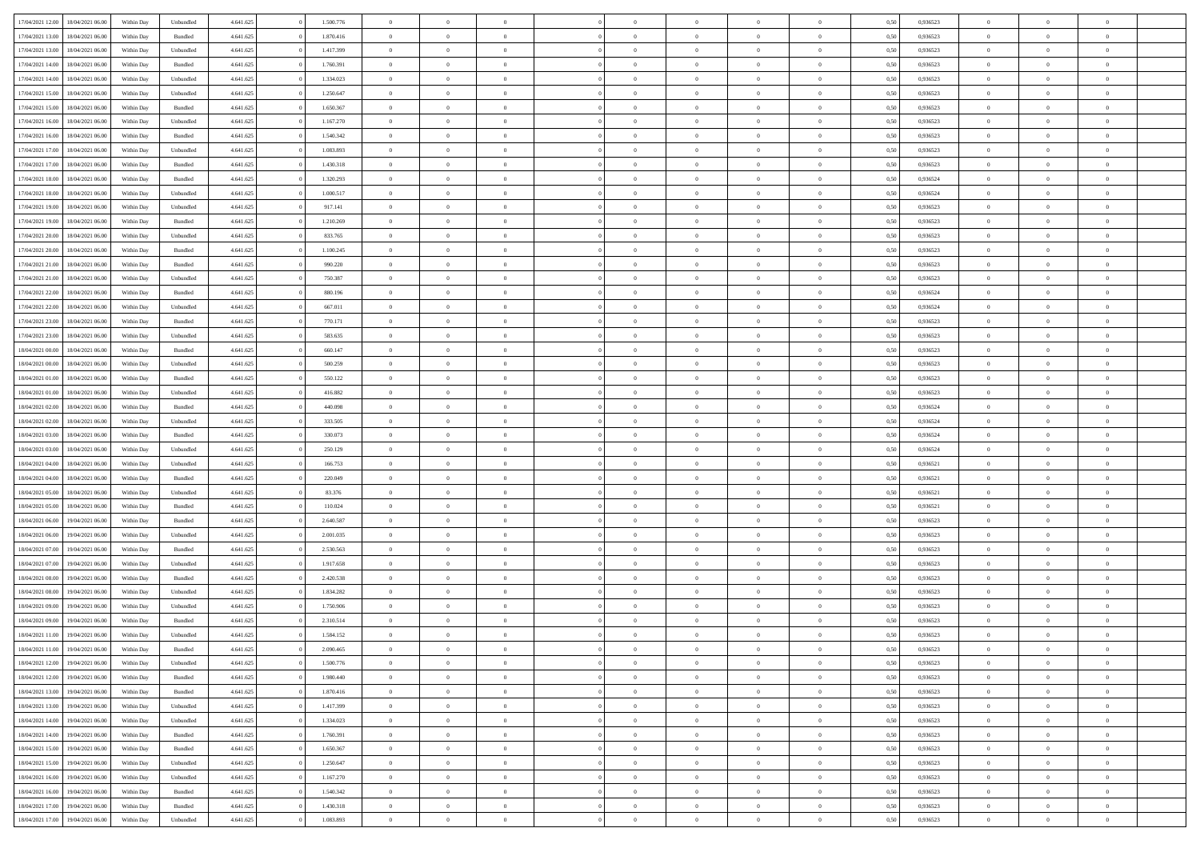| 17/04/2021 12:00 | 18/04/2021 06:00 | Within Day | Unbundled          | 4.641.625 | 1.500.776 | $\overline{0}$ | $\theta$       |                | $\overline{0}$ | $\bf{0}$       | $\overline{0}$ | $\theta$       | 0,50 | 0,936523 | $\theta$       | $\theta$       | $\overline{0}$           |  |
|------------------|------------------|------------|--------------------|-----------|-----------|----------------|----------------|----------------|----------------|----------------|----------------|----------------|------|----------|----------------|----------------|--------------------------|--|
|                  |                  |            |                    |           |           | $\overline{0}$ | $\overline{0}$ |                |                |                |                |                |      |          |                |                | $\overline{0}$           |  |
| 17/04/2021 13:00 | 18/04/2021 06:00 | Within Day | Bundled            | 4.641.625 | 1.870.416 |                |                | $\overline{0}$ | $\overline{0}$ | $\,$ 0         | $\bf{0}$       | $\bf{0}$       | 0,50 | 0,936523 | $\,$ 0 $\,$    | $\overline{0}$ |                          |  |
| 17/04/2021 13:00 | 18/04/2021 06:00 | Within Day | Unbundled          | 4.641.625 | 1.417.399 | $\overline{0}$ | $\overline{0}$ | $\overline{0}$ | $\overline{0}$ | $\bf{0}$       | $\overline{0}$ | $\mathbf{0}$   | 0.50 | 0.936523 | $\bf{0}$       | $\overline{0}$ | $\overline{0}$           |  |
| 17/04/2021 14:00 | 18/04/2021 06:00 | Within Day | Bundled            | 4.641.625 | 1.760.391 | $\overline{0}$ | $\overline{0}$ | $\overline{0}$ | $\overline{0}$ | $\,$ 0         | $\overline{0}$ | $\overline{0}$ | 0,50 | 0,936523 | $\,$ 0 $\,$    | $\overline{0}$ | $\overline{0}$           |  |
| 17/04/2021 14:00 | 18/04/2021 06:00 | Within Day | Unbundled          | 4.641.625 | 1.334.023 | $\overline{0}$ | $\theta$       | $\overline{0}$ | $\overline{0}$ | $\overline{0}$ | $\overline{0}$ | $\bf{0}$       | 0,50 | 0,936523 | $\,$ 0 $\,$    | $\overline{0}$ | $\overline{0}$           |  |
| 17/04/2021 15:00 | 18/04/2021 06:00 | Within Day | Unbundled          | 4.641.625 | 1.250.647 | $\overline{0}$ | $\overline{0}$ | $\overline{0}$ | $\overline{0}$ | $\bf{0}$       | $\overline{0}$ | $\bf{0}$       | 0.50 | 0.936523 | $\,0\,$        | $\theta$       | $\overline{0}$           |  |
| 17/04/2021 15:00 | 18/04/2021 06:00 | Within Day | Bundled            | 4.641.625 | 1.650.367 | $\overline{0}$ | $\overline{0}$ | $\overline{0}$ | $\overline{0}$ | $\bf{0}$       | $\overline{0}$ | $\overline{0}$ | 0,50 | 0,936523 | $\,$ 0 $\,$    | $\theta$       | $\overline{0}$           |  |
| 17/04/2021 16:00 | 18/04/2021 06.00 | Within Day | Unbundled          | 4.641.625 | 1.167.270 | $\overline{0}$ | $\theta$       | $\overline{0}$ | $\overline{0}$ | $\,$ 0         | $\bf{0}$       | $\bf{0}$       | 0,50 | 0,936523 | $\,$ 0 $\,$    | $\overline{0}$ | $\overline{0}$           |  |
| 17/04/2021 16:00 | 18/04/2021 06:00 | Within Day | Bundled            | 4.641.625 | 1.540.342 | $\overline{0}$ | $\overline{0}$ | $\overline{0}$ | $\overline{0}$ | $\bf{0}$       | $\overline{0}$ | $\bf{0}$       | 0.50 | 0.936523 | $\,0\,$        | $\overline{0}$ | $\overline{0}$           |  |
| 17/04/2021 17:00 | 18/04/2021 06:00 | Within Day | Unbundled          | 4.641.625 | 1.083.893 | $\overline{0}$ | $\overline{0}$ | $\overline{0}$ | $\overline{0}$ | $\,$ 0         | $\overline{0}$ | $\bf{0}$       | 0,50 | 0,936523 | $\,$ 0 $\,$    | $\overline{0}$ | $\overline{0}$           |  |
|                  |                  |            |                    |           |           |                |                |                |                |                |                |                |      |          |                |                |                          |  |
| 17/04/2021 17:00 | 18/04/2021 06:00 | Within Day | Bundled            | 4.641.625 | 1.430.318 | $\bf{0}$       | $\theta$       | $\overline{0}$ | $\overline{0}$ | $\,$ 0         | $\bf{0}$       | $\bf{0}$       | 0,50 | 0,936523 | $\,$ 0 $\,$    | $\overline{0}$ | $\overline{0}$           |  |
| 17/04/2021 18:00 | 18/04/2021 06:00 | Within Day | Bundled            | 4.641.625 | 1.320.293 | $\overline{0}$ | $\overline{0}$ | $\overline{0}$ | $\overline{0}$ | $\bf{0}$       | $\overline{0}$ | $\mathbf{0}$   | 0.50 | 0.936524 | $\bf{0}$       | $\overline{0}$ | $\overline{\phantom{a}}$ |  |
| 17/04/2021 18:00 | 18/04/2021 06:00 | Within Day | Unbundled          | 4.641.625 | 1.000.517 | $\overline{0}$ | $\overline{0}$ | $\overline{0}$ | $\overline{0}$ | $\,$ 0         | $\overline{0}$ | $\overline{0}$ | 0,50 | 0,936524 | $\,$ 0 $\,$    | $\overline{0}$ | $\overline{0}$           |  |
| 17/04/2021 19:00 | 18/04/2021 06:00 | Within Day | Unbundled          | 4.641.625 | 917.141   | $\overline{0}$ | $\theta$       | $\overline{0}$ | $\overline{0}$ | $\overline{0}$ | $\overline{0}$ | $\bf{0}$       | 0,50 | 0,936523 | $\,$ 0 $\,$    | $\overline{0}$ | $\overline{0}$           |  |
| 17/04/2021 19:00 | 18/04/2021 06:00 | Within Day | Bundled            | 4.641.625 | 1.210.269 | $\overline{0}$ | $\overline{0}$ | $\overline{0}$ | $\overline{0}$ | $\,$ 0         | $\overline{0}$ | $\bf{0}$       | 0.50 | 0.936523 | $\,0\,$        | $\theta$       | $\overline{0}$           |  |
| 17/04/2021 20:00 | 18/04/2021 06:00 | Within Day | Unbundled          | 4.641.625 | 833.765   | $\overline{0}$ | $\overline{0}$ | $\overline{0}$ | $\overline{0}$ | $\,$ 0         | $\overline{0}$ | $\bf{0}$       | 0,50 | 0,936523 | $\,$ 0 $\,$    | $\theta$       | $\overline{0}$           |  |
| 17/04/2021 20:00 | 18/04/2021 06.00 | Within Day | Bundled            | 4.641.625 | 1.100.245 | $\overline{0}$ | $\theta$       | $\overline{0}$ | $\overline{0}$ | $\,$ 0         | $\overline{0}$ | $\bf{0}$       | 0,50 | 0,936523 | $\,$ 0 $\,$    | $\overline{0}$ | $\overline{0}$           |  |
| 17/04/2021 21:00 | 18/04/2021 06:00 | Within Day | Bundled            | 4.641.625 | 990.220   | $\overline{0}$ | $\overline{0}$ | $\overline{0}$ | $\overline{0}$ | $\bf{0}$       | $\overline{0}$ | $\bf{0}$       | 0.50 | 0.936523 | $\,0\,$        | $\overline{0}$ | $\overline{\phantom{a}}$ |  |
| 17/04/2021 21:00 | 18/04/2021 06:00 | Within Day | Unbundled          | 4.641.625 | 750.387   | $\overline{0}$ | $\overline{0}$ | $\overline{0}$ | $\overline{0}$ | $\bf{0}$       | $\overline{0}$ | $\bf{0}$       | 0,50 | 0,936523 | $\,$ 0 $\,$    | $\overline{0}$ | $\overline{0}$           |  |
| 17/04/2021 22:00 | 18/04/2021 06:00 | Within Day | Bundled            | 4.641.625 | 880.196   | $\bf{0}$       | $\theta$       | $\overline{0}$ | $\overline{0}$ | $\,$ 0         | $\bf{0}$       | $\bf{0}$       | 0,50 | 0,936524 | $\,$ 0 $\,$    | $\overline{0}$ | $\overline{0}$           |  |
|                  |                  |            |                    |           |           |                |                |                |                |                |                |                |      |          |                |                |                          |  |
| 17/04/2021 22:00 | 18/04/2021 06:00 | Within Day | Unbundled          | 4.641.625 | 667.011   | $\overline{0}$ | $\overline{0}$ | $\overline{0}$ | $\overline{0}$ | $\bf{0}$       | $\overline{0}$ | $\mathbf{0}$   | 0.50 | 0.936524 | $\bf{0}$       | $\overline{0}$ | $\bf{0}$                 |  |
| 17/04/2021 23:00 | 18/04/2021 06:00 | Within Day | Bundled            | 4.641.625 | 770.171   | $\overline{0}$ | $\overline{0}$ | $\overline{0}$ | $\overline{0}$ | $\bf{0}$       | $\overline{0}$ | $\overline{0}$ | 0,50 | 0,936523 | $\,$ 0 $\,$    | $\overline{0}$ | $\overline{0}$           |  |
| 17/04/2021 23:00 | 18/04/2021 06:00 | Within Day | Unbundled          | 4.641.625 | 583.635   | $\overline{0}$ | $\theta$       | $\overline{0}$ | $\overline{0}$ | $\,$ 0         | $\overline{0}$ | $\bf{0}$       | 0,50 | 0,936523 | $\,$ 0 $\,$    | $\overline{0}$ | $\overline{0}$           |  |
| 18/04/2021 00:00 | 18/04/2021 06:00 | Within Day | Bundled            | 4.641.625 | 660.147   | $\overline{0}$ | $\overline{0}$ | $\overline{0}$ | $\overline{0}$ | $\bf{0}$       | $\overline{0}$ | $\bf{0}$       | 0.50 | 0.936523 | $\,0\,$        | $\theta$       | $\overline{0}$           |  |
| 18/04/2021 00:00 | 18/04/2021 06:00 | Within Day | Unbundled          | 4.641.625 | 500.259   | $\overline{0}$ | $\overline{0}$ | $\overline{0}$ | $\overline{0}$ | $\,$ 0         | $\overline{0}$ | $\overline{0}$ | 0,50 | 0,936523 | $\,0\,$        | $\theta$       | $\overline{0}$           |  |
| 18/04/2021 01:00 | 18/04/2021 06.00 | Within Day | Bundled            | 4.641.625 | 550.122   | $\overline{0}$ | $\theta$       | $\overline{0}$ |                | $\bf{0}$       | $\overline{0}$ | $\bf{0}$       | 0,50 | 0,936523 | $\,$ 0 $\,$    | $\overline{0}$ | $\overline{0}$           |  |
| 18/04/2021 01:00 | 18/04/2021 06:00 | Within Day | Unbundled          | 4.641.625 | 416.882   | $\overline{0}$ | $\overline{0}$ | $\overline{0}$ | $\overline{0}$ | $\bf{0}$       | $\overline{0}$ | $\bf{0}$       | 0.50 | 0.936523 | $\,0\,$        | $\overline{0}$ | $\overline{0}$           |  |
| 18/04/2021 02:00 | 18/04/2021 06:00 | Within Day | Bundled            | 4.641.625 | 440.098   | $\overline{0}$ | $\overline{0}$ | $\overline{0}$ | $\overline{0}$ | $\bf{0}$       | $\overline{0}$ | $\bf{0}$       | 0,50 | 0,936524 | $\,$ 0 $\,$    | $\overline{0}$ | $\overline{0}$           |  |
| 18/04/2021 02:00 | 18/04/2021 06:00 | Within Day | Unbundled          | 4.641.625 | 333.505   | $\overline{0}$ | $\overline{0}$ | $\overline{0}$ | $\overline{0}$ | $\bf{0}$       | $\bf{0}$       | $\bf{0}$       | 0,50 | 0,936524 | $\,$ 0 $\,$    | $\overline{0}$ | $\overline{0}$           |  |
| 18/04/2021 03:00 | 18/04/2021 06:00 | Within Day | Bundled            | 4.641.625 | 330.073   | $\overline{0}$ | $\overline{0}$ | $\overline{0}$ | $\overline{0}$ | $\bf{0}$       | $\overline{0}$ | $\mathbf{0}$   | 0.50 | 0.936524 | $\bf{0}$       | $\overline{0}$ | $\overline{\phantom{a}}$ |  |
| 18/04/2021 03:00 | 18/04/2021 06:00 | Within Dav | Unbundled          | 4.641.625 | 250.129   | $\overline{0}$ | $\overline{0}$ | $\overline{0}$ | $\overline{0}$ | $\overline{0}$ | $\overline{0}$ | $\overline{0}$ | 0.50 | 0,936524 | $\theta$       | $\overline{0}$ | $\overline{0}$           |  |
|                  |                  |            |                    |           |           |                |                |                |                |                |                |                |      |          |                |                |                          |  |
| 18/04/2021 04:00 | 18/04/2021 06.00 | Within Day | Unbundled          | 4.641.625 | 166.753   | $\overline{0}$ | $\theta$       | $\overline{0}$ | $\overline{0}$ | $\,$ 0         | $\overline{0}$ | $\bf{0}$       | 0,50 | 0,936521 | $\,$ 0 $\,$    | $\overline{0}$ | $\overline{0}$           |  |
| 18/04/2021 04:00 | 18/04/2021 06:00 | Within Day | Bundled            | 4.641.625 | 220,049   | $\overline{0}$ | $\overline{0}$ | $\overline{0}$ | $\overline{0}$ | $\,$ 0         | $\overline{0}$ | $\bf{0}$       | 0.50 | 0.936521 | $\,0\,$        | $\theta$       | $\overline{0}$           |  |
| 18/04/2021 05:00 | 18/04/2021 06:00 | Within Dav | Unbundled          | 4.641.625 | 83.376    | $\overline{0}$ | $\theta$       | $\Omega$       | $\overline{0}$ | $\bf{0}$       | $\overline{0}$ | $\overline{0}$ | 0.50 | 0,936521 | $\theta$       | $\overline{0}$ | $\overline{0}$           |  |
| 18/04/2021 05:00 | 18/04/2021 06.00 | Within Day | Bundled            | 4.641.625 | 110.024   | $\overline{0}$ | $\theta$       | $\overline{0}$ | $\overline{0}$ | $\,$ 0         | $\overline{0}$ | $\bf{0}$       | 0,50 | 0,936521 | $\,$ 0 $\,$    | $\overline{0}$ | $\overline{0}$           |  |
| 18/04/2021 06:00 | 19/04/2021 06:00 | Within Day | Bundled            | 4.641.625 | 2.640.587 | $\overline{0}$ | $\overline{0}$ | $\overline{0}$ | $\overline{0}$ | $\bf{0}$       | $\overline{0}$ | $\bf{0}$       | 0.50 | 0.936523 | $\,0\,$        | $\overline{0}$ | $\overline{0}$           |  |
| 18/04/2021 06:00 | 19/04/2021 06:00 | Within Dav | Unbundled          | 4.641.625 | 2.001.035 | $\overline{0}$ | $\overline{0}$ | $\overline{0}$ | $\overline{0}$ | $\overline{0}$ | $\overline{0}$ | $\overline{0}$ | 0.50 | 0.936523 | $\theta$       | $\overline{0}$ | $\overline{0}$           |  |
| 18/04/2021 07:00 | 19/04/2021 06.00 | Within Day | Bundled            | 4.641.625 | 2.530.563 | $\overline{0}$ | $\overline{0}$ | $\overline{0}$ | $\overline{0}$ | $\bf{0}$       | $\bf{0}$       | $\bf{0}$       | 0,50 | 0,936523 | $\,$ 0 $\,$    | $\overline{0}$ | $\overline{0}$           |  |
| 18/04/2021 07:00 | 19/04/2021 06:00 | Within Day | Unbundled          | 4.641.625 | 1.917.658 | $\overline{0}$ | $\overline{0}$ | $\overline{0}$ | $\overline{0}$ | $\bf{0}$       | $\overline{0}$ | $\mathbf{0}$   | 0.50 | 0.936523 | $\,$ 0 $\,$    | $\overline{0}$ | $\overline{0}$           |  |
| 18/04/2021 08:00 | 19/04/2021 06:00 | Within Dav | Bundled            | 4.641.625 | 2.420.538 | $\overline{0}$ | $\overline{0}$ | $\Omega$       | $\overline{0}$ | $\mathbf{0}$   | $\overline{0}$ | $\overline{0}$ | 0.50 | 0.936523 | $\theta$       | $\overline{0}$ | $\overline{0}$           |  |
| 18/04/2021 08:00 | 19/04/2021 06.00 | Within Day | Unbundled          | 4.641.625 | 1.834.282 | $\overline{0}$ | $\theta$       | $\overline{0}$ | $\overline{0}$ | $\,$ 0         | $\overline{0}$ | $\bf{0}$       | 0,50 | 0,936523 | $\,$ 0 $\,$    | $\overline{0}$ | $\overline{0}$           |  |
| 18/04/2021 09:00 | 19/04/2021 06:00 | Within Day | Unbundled          | 4.641.625 | 1.750.906 | $\overline{0}$ | $\theta$       | $\overline{0}$ | $\overline{0}$ | $\bf{0}$       | $\Omega$       | $\overline{0}$ | 0.50 | 0.936523 | $\,0\,$        | $\theta$       | $\overline{0}$           |  |
| 18/04/2021 09:00 | 19/04/2021 06:00 | Within Dav | Bundled            | 4.641.625 | 2.310.514 | $\overline{0}$ | $\Omega$       | $\Omega$       | $\Omega$       | $\bf{0}$       | $\overline{0}$ |                | 0.50 | 0.936523 | $\theta$       | $\theta$       | $\overline{0}$           |  |
|                  |                  |            |                    |           |           |                |                |                |                |                |                | $\bf{0}$       |      |          |                |                |                          |  |
| 18/04/2021 11:00 | 19/04/2021 06:00 | Within Day | Unbundled          | 4.641.625 | 1.584.152 | $\overline{0}$ | $\,$ 0 $\,$    | $\overline{0}$ | $\overline{0}$ | $\,$ 0         | $\bf{0}$       | $\bf{0}$       | 0,50 | 0,936523 | $\,$ 0 $\,$    | $\overline{0}$ | $\overline{0}$           |  |
| 18/04/2021 11:00 | 19/04/2021 06:00 | Within Day | $\mathbf B$ undled | 4.641.625 | 2.090.465 | $\bf{0}$       | $\theta$       |                | $\Omega$       |                |                |                | 0,50 | 0.936523 | $\bf{0}$       | $\theta$       |                          |  |
| 18/04/2021 12:00 | 19/04/2021 06:00 | Within Day | Unbundled          | 4.641.625 | 1.500.776 | $\overline{0}$ | $\overline{0}$ | $\overline{0}$ | $\overline{0}$ | $\overline{0}$ | $\overline{0}$ | $\mathbf{0}$   | 0,50 | 0.936523 | $\theta$       | $\overline{0}$ | $\overline{0}$           |  |
| 18/04/2021 12:00 | 19/04/2021 06:00 | Within Day | Bundled            | 4.641.625 | 1.980.440 | $\overline{0}$ | $\overline{0}$ | $\overline{0}$ | $\bf{0}$       | $\overline{0}$ | $\overline{0}$ | $\bf{0}$       | 0,50 | 0,936523 | $\bf{0}$       | $\overline{0}$ | $\bf{0}$                 |  |
| 18/04/2021 13:00 | 19/04/2021 06:00 | Within Day | Bundled            | 4.641.625 | 1.870.416 | $\overline{0}$ | $\overline{0}$ | $\overline{0}$ | $\overline{0}$ | $\overline{0}$ | $\overline{0}$ | $\mathbf{0}$   | 0.50 | 0.936523 | $\overline{0}$ | $\bf{0}$       | $\bf{0}$                 |  |
| 18/04/2021 13:00 | 19/04/2021 06:00 | Within Day | Unbundled          | 4.641.625 | 1.417.399 | $\overline{0}$ | $\overline{0}$ | $\overline{0}$ | $\overline{0}$ | $\overline{0}$ | $\overline{0}$ | $\mathbf{0}$   | 0,50 | 0.936523 | $\overline{0}$ | $\theta$       | $\overline{0}$           |  |
| 18/04/2021 14:00 | 19/04/2021 06:00 | Within Day | Unbundled          | 4.641.625 | 1.334.023 | $\overline{0}$ | $\overline{0}$ | $\overline{0}$ | $\overline{0}$ | $\bf{0}$       | $\bf{0}$       | $\bf{0}$       | 0,50 | 0,936523 | $\bf{0}$       | $\overline{0}$ | $\overline{0}$           |  |
| 18/04/2021 14:00 | 19/04/2021 06:00 | Within Day | Bundled            | 4.641.625 | 1.760.391 | $\overline{0}$ | $\overline{0}$ | $\overline{0}$ | $\overline{0}$ | $\bf{0}$       | $\overline{0}$ | $\mathbf{0}$   | 0.50 | 0.936523 | $\,$ 0 $\,$    | $\theta$       | $\overline{0}$           |  |
| 18/04/2021 15:00 | 19/04/2021 06:00 | Within Day | Bundled            | 4.641.625 | 1.650.367 | $\overline{0}$ | $\overline{0}$ | $\overline{0}$ | $\overline{0}$ | $\overline{0}$ | $\overline{0}$ | $\overline{0}$ | 0,50 | 0.936523 | $\overline{0}$ | $\theta$       | $\overline{0}$           |  |
| 18/04/2021 15:00 | 19/04/2021 06:00 | Within Day | Unbundled          | 4.641.625 | 1.250.647 | $\overline{0}$ | $\,$ 0         | $\overline{0}$ | $\bf{0}$       | $\,$ 0 $\,$    | $\overline{0}$ | $\bf{0}$       | 0,50 | 0,936523 | $\,$ 0 $\,$    | $\overline{0}$ | $\overline{0}$           |  |
| 18/04/2021 16:00 | 19/04/2021 06:00 | Within Day | Unbundled          | 4.641.625 | 1.167.270 | $\overline{0}$ | $\overline{0}$ | $\overline{0}$ | $\overline{0}$ | $\bf{0}$       | $\overline{0}$ | $\mathbf{0}$   | 0.50 | 0.936523 | $\mathbf{0}$   | $\,$ 0 $\,$    | $\overline{0}$           |  |
|                  |                  |            |                    |           |           | $\overline{0}$ | $\overline{0}$ |                |                | $\overline{0}$ |                |                |      |          |                | $\theta$       | $\overline{0}$           |  |
| 18/04/2021 16:00 | 19/04/2021 06:00 | Within Dav | Bundled            | 4.641.625 | 1.540.342 |                |                | $\overline{0}$ | $\overline{0}$ |                | $\overline{0}$ | $\overline{0}$ | 0,50 | 0.936523 | $\overline{0}$ |                |                          |  |
| 18/04/2021 17:00 | 19/04/2021 06.00 | Within Day | Bundled            | 4.641.625 | 1.430.318 | $\overline{0}$ | $\overline{0}$ | $\overline{0}$ | $\bf{0}$       | $\bf{0}$       | $\bf{0}$       | $\bf{0}$       | 0,50 | 0,936523 | $\bf{0}$       | $\overline{0}$ | $\bf{0}$                 |  |
| 18/04/2021 17:00 | 19/04/2021 06:00 | Within Day | Unbundled          | 4.641.625 | 1.083.893 | $\,$ 0 $\,$    | $\,$ 0 $\,$    | $\overline{0}$ | $\overline{0}$ | $\,$ 0 $\,$    | $\,$ 0 $\,$    | $\,$ 0 $\,$    | 0,50 | 0,936523 | $\mathbf{0}^-$ | $\,$ 0 $\,$    | $\,$ 0 $\,$              |  |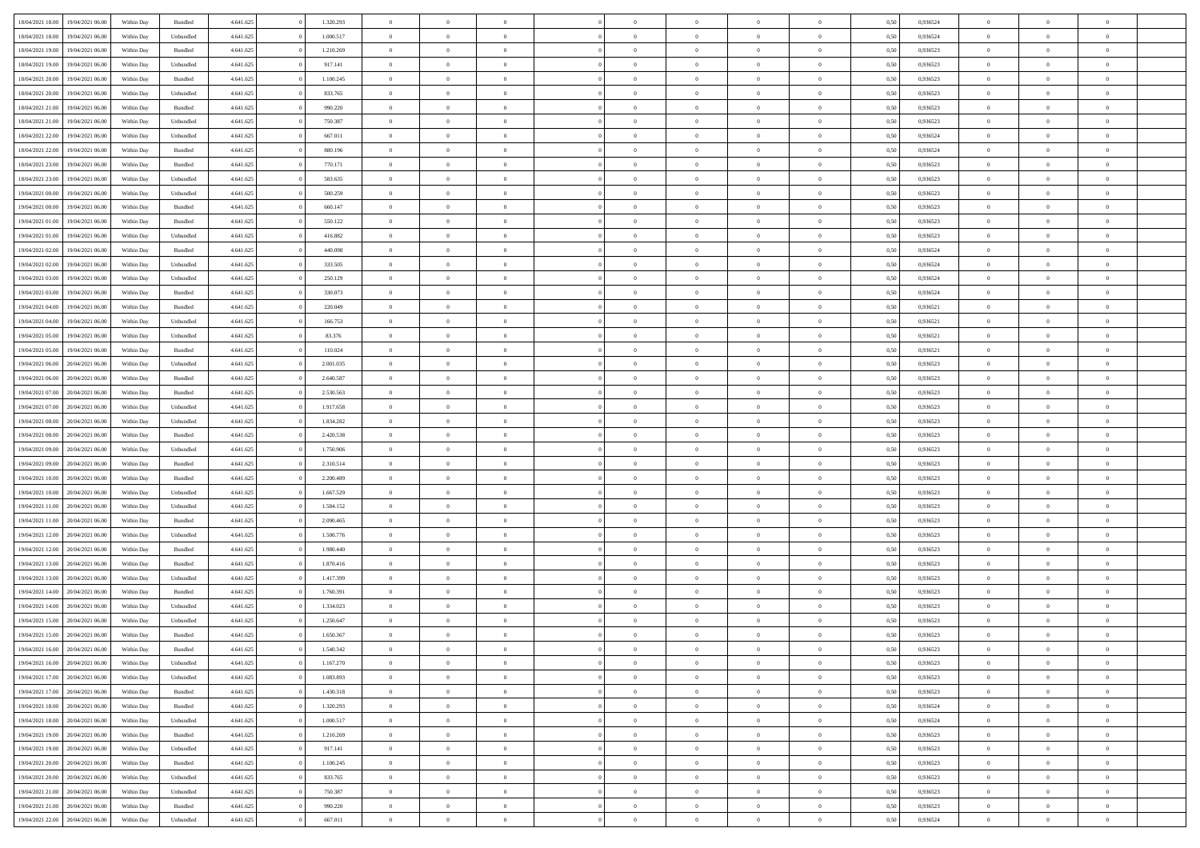| 18/04/2021 18:00 | 19/04/2021 06:00 | Within Day | Bundled            | 4.641.625 | 1.320.293 | $\overline{0}$ | $\Omega$       |                | $\Omega$       | $\Omega$       | $\theta$       | $\theta$       | 0.50 | 0,936524 | $\theta$       | $\theta$       | $\overline{0}$ |  |
|------------------|------------------|------------|--------------------|-----------|-----------|----------------|----------------|----------------|----------------|----------------|----------------|----------------|------|----------|----------------|----------------|----------------|--|
|                  |                  |            |                    |           |           |                |                |                |                |                |                |                |      |          |                |                |                |  |
| 18/04/2021 18:00 | 19/04/2021 06:00 | Within Day | Unbundled          | 4.641.625 | 1.000.517 | $\overline{0}$ | $\theta$       | $\overline{0}$ | $\overline{0}$ | $\bf{0}$       | $\overline{0}$ | $\bf{0}$       | 0,50 | 0,936524 | $\theta$       | $\overline{0}$ | $\overline{0}$ |  |
| 18/04/2021 19:00 | 19/04/2021 06:00 | Within Day | Bundled            | 4.641.625 | 1.210.269 | $\overline{0}$ | $\bf{0}$       | $\overline{0}$ | $\bf{0}$       | $\bf{0}$       | $\bf{0}$       | $\mathbf{0}$   | 0,50 | 0,936523 | $\bf{0}$       | $\overline{0}$ | $\bf{0}$       |  |
| 18/04/2021 19:00 | 19/04/2021 06:00 | Within Day | Unbundled          | 4.641.625 | 917.141   | $\overline{0}$ | $\overline{0}$ | $\overline{0}$ | $\overline{0}$ | $\bf{0}$       | $\overline{0}$ | $\overline{0}$ | 0.50 | 0.936523 | $\theta$       | $\theta$       | $\overline{0}$ |  |
| 18/04/2021 20:00 | 19/04/2021 06:00 | Within Day | Bundled            | 4.641.625 | 1.100.245 | $\overline{0}$ | $\theta$       | $\overline{0}$ | $\overline{0}$ | $\bf{0}$       | $\overline{0}$ | $\bf{0}$       | 0,50 | 0,936523 | $\theta$       | $\overline{0}$ | $\overline{0}$ |  |
|                  |                  |            |                    |           |           |                |                |                |                |                |                |                |      |          |                |                |                |  |
| 18/04/2021 20:00 | 19/04/2021 06:00 | Within Day | Unbundled          | 4.641.625 | 833.765   | $\overline{0}$ | $\overline{0}$ | $\overline{0}$ | $\bf{0}$       | $\overline{0}$ | $\overline{0}$ | $\mathbf{0}$   | 0,50 | 0,936523 | $\overline{0}$ | $\overline{0}$ | $\bf{0}$       |  |
| 18/04/2021 21:00 | 19/04/2021 06:00 | Within Dav | Bundled            | 4.641.625 | 990.220   | $\overline{0}$ | $\overline{0}$ | $\overline{0}$ | $\overline{0}$ | $\overline{0}$ | $\overline{0}$ | $\overline{0}$ | 0.50 | 0.936523 | $\theta$       | $\overline{0}$ | $\overline{0}$ |  |
| 18/04/2021 21:00 | 19/04/2021 06:00 | Within Day | Unbundled          | 4.641.625 | 750.387   | $\overline{0}$ | $\theta$       | $\overline{0}$ | $\overline{0}$ | $\bf{0}$       | $\overline{0}$ | $\bf{0}$       | 0,50 | 0,936523 | $\theta$       | $\theta$       | $\overline{0}$ |  |
| 18/04/2021 22:00 | 19/04/2021 06:00 | Within Day | Unbundled          | 4.641.625 | 667.011   | $\overline{0}$ | $\overline{0}$ | $\overline{0}$ | $\bf{0}$       | $\bf{0}$       | $\bf{0}$       | $\mathbf{0}$   | 0,50 | 0,936524 | $\,0\,$        | $\overline{0}$ | $\overline{0}$ |  |
| 18/04/2021 22:00 | 19/04/2021 06:00 | Within Dav | Bundled            | 4.641.625 | 880.196   | $\overline{0}$ | $\overline{0}$ | $\overline{0}$ | $\overline{0}$ | $\overline{0}$ | $\overline{0}$ | $\overline{0}$ | 0.50 | 0,936524 | $\theta$       | $\overline{0}$ | $\overline{0}$ |  |
| 18/04/2021 23:00 | 19/04/2021 06:00 | Within Day | Bundled            | 4.641.625 | 770.171   | $\overline{0}$ | $\theta$       | $\overline{0}$ | $\overline{0}$ | $\bf{0}$       | $\overline{0}$ | $\bf{0}$       | 0,50 | 0,936523 | $\,$ 0 $\,$    | $\overline{0}$ | $\overline{0}$ |  |
| 18/04/2021 23:00 | 19/04/2021 06:00 | Within Day | Unbundled          | 4.641.625 | 583.635   | $\overline{0}$ | $\overline{0}$ | $\overline{0}$ | $\bf{0}$       | $\bf{0}$       | $\bf{0}$       | $\mathbf{0}$   | 0,50 | 0,936523 | $\overline{0}$ | $\overline{0}$ | $\bf{0}$       |  |
|                  |                  |            |                    |           |           |                |                |                |                |                |                |                |      |          |                |                |                |  |
| 19/04/2021 00:00 | 19/04/2021 06:00 | Within Day | Unbundled          | 4.641.625 | 500.259   | $\overline{0}$ | $\overline{0}$ | $\overline{0}$ | $\overline{0}$ | $\bf{0}$       | $\overline{0}$ | $\overline{0}$ | 0.50 | 0.936523 | $\theta$       | $\theta$       | $\overline{0}$ |  |
| 19/04/2021 00:00 | 19/04/2021 06:00 | Within Day | Bundled            | 4.641.625 | 660.147   | $\overline{0}$ | $\theta$       | $\overline{0}$ | $\overline{0}$ | $\bf{0}$       | $\overline{0}$ | $\bf{0}$       | 0,50 | 0,936523 | $\theta$       | $\overline{0}$ | $\overline{0}$ |  |
| 19/04/2021 01:00 | 19/04/2021 06:00 | Within Day | Bundled            | 4.641.625 | 550.122   | $\overline{0}$ | $\overline{0}$ | $\overline{0}$ | $\bf{0}$       | $\overline{0}$ | $\overline{0}$ | $\mathbf{0}$   | 0,50 | 0,936523 | $\overline{0}$ | $\overline{0}$ | $\bf{0}$       |  |
| 19/04/2021 01:00 | 19/04/2021 06:00 | Within Dav | Unbundled          | 4.641.625 | 416.882   | $\overline{0}$ | $\overline{0}$ | $\overline{0}$ | $\overline{0}$ | $\overline{0}$ | $\overline{0}$ | $\overline{0}$ | 0.50 | 0.936523 | $\theta$       | $\overline{0}$ | $\overline{0}$ |  |
| 19/04/2021 02:00 | 19/04/2021 06:00 | Within Day | Bundled            | 4.641.625 | 440.098   | $\overline{0}$ | $\theta$       | $\overline{0}$ | $\overline{0}$ | $\bf{0}$       | $\overline{0}$ | $\bf{0}$       | 0,50 | 0,936524 | $\theta$       | $\overline{0}$ | $\overline{0}$ |  |
| 19/04/2021 02:00 | 19/04/2021 06:00 | Within Day | Unbundled          | 4.641.625 | 333.505   | $\overline{0}$ | $\overline{0}$ | $\overline{0}$ | $\bf{0}$       | $\bf{0}$       | $\bf{0}$       | $\mathbf{0}$   | 0,50 | 0,936524 | $\,0\,$        | $\overline{0}$ | $\bf{0}$       |  |
| 19/04/2021 03:00 | 19/04/2021 06:00 | Within Day | Unbundled          | 4.641.625 | 250.129   | $\overline{0}$ | $\overline{0}$ | $\overline{0}$ | $\overline{0}$ | $\overline{0}$ | $\overline{0}$ | $\overline{0}$ | 0.50 | 0,936524 | $\theta$       | $\overline{0}$ | $\overline{0}$ |  |
|                  |                  |            |                    |           |           |                |                |                |                |                |                |                |      |          |                |                |                |  |
| 19/04/2021 03:00 | 19/04/2021 06:00 | Within Day | Bundled            | 4.641.625 | 330.073   | $\overline{0}$ | $\theta$       | $\overline{0}$ | $\overline{0}$ | $\bf{0}$       | $\overline{0}$ | $\bf{0}$       | 0,50 | 0,936524 | $\,$ 0 $\,$    | $\overline{0}$ | $\overline{0}$ |  |
| 19/04/2021 04:00 | 19/04/2021 06:00 | Within Day | Bundled            | 4.641.625 | 220.049   | $\overline{0}$ | $\overline{0}$ | $\overline{0}$ | $\bf{0}$       | $\bf{0}$       | $\bf{0}$       | $\mathbf{0}$   | 0,50 | 0,936521 | $\bf{0}$       | $\overline{0}$ | $\bf{0}$       |  |
| 19/04/2021 04:00 | 19/04/2021 06:00 | Within Day | Unbundled          | 4.641.625 | 166,753   | $\overline{0}$ | $\overline{0}$ | $\overline{0}$ | $\overline{0}$ | $\overline{0}$ | $\overline{0}$ | $\overline{0}$ | 0.50 | 0.936521 | $\theta$       | $\overline{0}$ | $\overline{0}$ |  |
| 19/04/2021 05:00 | 19/04/2021 06:00 | Within Day | Unbundled          | 4.641.625 | 83.376    | $\overline{0}$ | $\theta$       | $\overline{0}$ | $\overline{0}$ | $\bf{0}$       | $\overline{0}$ | $\,$ 0 $\,$    | 0,50 | 0,936521 | $\,$ 0 $\,$    | $\overline{0}$ | $\overline{0}$ |  |
| 19/04/2021 05:00 | 19/04/2021 06:00 | Within Day | Bundled            | 4.641.625 | 110.024   | $\overline{0}$ | $\overline{0}$ | $\overline{0}$ | $\bf{0}$       | $\overline{0}$ | $\overline{0}$ | $\mathbf{0}$   | 0,50 | 0,936521 | $\bf{0}$       | $\overline{0}$ | $\bf{0}$       |  |
| 19/04/2021 06:00 | 20/04/2021 06:00 | Within Dav | Unbundled          | 4.641.625 | 2.001.035 | $\overline{0}$ | $\overline{0}$ | $\overline{0}$ | $\overline{0}$ | $\overline{0}$ | $\overline{0}$ | $\overline{0}$ | 0.50 | 0.936523 | $\theta$       | $\overline{0}$ | $\overline{0}$ |  |
| 19/04/2021 06:00 | 20/04/2021 06:00 |            |                    | 4.641.625 | 2.640.587 | $\overline{0}$ | $\theta$       | $\overline{0}$ | $\overline{0}$ | $\bf{0}$       | $\overline{0}$ |                |      | 0,936523 | $\theta$       | $\theta$       | $\overline{0}$ |  |
|                  |                  | Within Day | Bundled            |           |           |                |                |                |                |                |                | $\bf{0}$       | 0,50 |          |                |                |                |  |
| 19/04/2021 07:00 | 20/04/2021 06:00 | Within Day | Bundled            | 4.641.625 | 2.530.563 | $\overline{0}$ | $\overline{0}$ | $\overline{0}$ | $\bf{0}$       | $\bf{0}$       | $\bf{0}$       | $\mathbf{0}$   | 0,50 | 0,936523 | $\,0\,$        | $\overline{0}$ | $\overline{0}$ |  |
| 19/04/2021 07:00 | 20/04/2021 06:00 | Within Day | Unbundled          | 4.641.625 | 1.917.658 | $\overline{0}$ | $\overline{0}$ | $\overline{0}$ | $\overline{0}$ | $\overline{0}$ | $\overline{0}$ | $\overline{0}$ | 0.50 | 0.936523 | $\theta$       | $\overline{0}$ | $\overline{0}$ |  |
| 19/04/2021 08:00 | 20/04/2021 06:00 | Within Day | Unbundled          | 4.641.625 | 1.834.282 | $\overline{0}$ | $\theta$       | $\overline{0}$ | $\overline{0}$ | $\bf{0}$       | $\overline{0}$ | $\bf{0}$       | 0,50 | 0,936523 | $\,$ 0 $\,$    | $\overline{0}$ | $\overline{0}$ |  |
| 19/04/2021 08:00 | 20/04/2021 06:00 | Within Day | Bundled            | 4.641.625 | 2.420.538 | $\overline{0}$ | $\overline{0}$ | $\overline{0}$ | $\bf{0}$       | $\bf{0}$       | $\bf{0}$       | $\bf{0}$       | 0,50 | 0,936523 | $\bf{0}$       | $\overline{0}$ | $\bf{0}$       |  |
| 19/04/2021 09:00 | 20/04/2021 06:00 | Within Day | Unbundled          | 4.641.625 | 1.750.906 | $\overline{0}$ | $\Omega$       | $\overline{0}$ | $\Omega$       | $\bf{0}$       | $\overline{0}$ | $\overline{0}$ | 0,50 | 0,936523 | $\,0\,$        | $\theta$       | $\theta$       |  |
| 19/04/2021 09:00 | 20/04/2021 06:00 | Within Day | Bundled            | 4.641.625 | 2.310.514 | $\overline{0}$ | $\theta$       | $\overline{0}$ | $\overline{0}$ | $\bf{0}$       | $\overline{0}$ | $\bf{0}$       | 0,50 | 0,936523 | $\theta$       | $\overline{0}$ | $\overline{0}$ |  |
|                  |                  |            |                    |           |           |                |                |                |                |                |                |                |      |          |                |                |                |  |
| 19/04/2021 10:00 | 20/04/2021 06:00 | Within Day | Bundled            | 4.641.625 | 2.200.489 | $\overline{0}$ | $\overline{0}$ | $\overline{0}$ | $\bf{0}$       | $\overline{0}$ | $\overline{0}$ | $\mathbf{0}$   | 0,50 | 0,936523 | $\bf{0}$       | $\overline{0}$ | $\bf{0}$       |  |
| 19/04/2021 10:00 | 20/04/2021 06:00 | Within Day | Unbundled          | 4.641.625 | 1.667.529 | $\overline{0}$ | $\Omega$       | $\Omega$       | $\Omega$       | $\overline{0}$ | $\overline{0}$ | $\overline{0}$ | 0.50 | 0.936523 | $\,0\,$        | $\theta$       | $\theta$       |  |
| 19/04/2021 11:00 | 20/04/2021 06:00 | Within Day | Unbundled          | 4.641.625 | 1.584.152 | $\overline{0}$ | $\theta$       | $\overline{0}$ | $\overline{0}$ | $\bf{0}$       | $\overline{0}$ | $\bf{0}$       | 0,50 | 0,936523 | $\,$ 0 $\,$    | $\overline{0}$ | $\overline{0}$ |  |
| 19/04/2021 11:00 | 20/04/2021 06:00 | Within Day | Bundled            | 4.641.625 | 2.090.465 | $\overline{0}$ | $\overline{0}$ | $\overline{0}$ | $\bf{0}$       | $\bf{0}$       | $\bf{0}$       | $\mathbf{0}$   | 0,50 | 0,936523 | $\bf{0}$       | $\overline{0}$ | $\bf{0}$       |  |
| 19/04/2021 12:00 | 20/04/2021 06:00 | Within Day | Unbundled          | 4.641.625 | 1.500.776 | $\overline{0}$ | $\Omega$       | $\overline{0}$ | $\Omega$       | $\overline{0}$ | $\overline{0}$ | $\overline{0}$ | 0.50 | 0.936523 | $\,$ 0 $\,$    | $\theta$       | $\theta$       |  |
| 19/04/2021 12:00 | 20/04/2021 06:00 | Within Day | Bundled            | 4.641.625 | 1.980.440 | $\overline{0}$ | $\theta$       | $\overline{0}$ | $\overline{0}$ | $\,$ 0         | $\overline{0}$ | $\bf{0}$       | 0,50 | 0,936523 | $\,$ 0 $\,$    | $\overline{0}$ | $\overline{0}$ |  |
| 19/04/2021 13:00 | 20/04/2021 06:00 | Within Day | Bundled            | 4.641.625 | 1.870.416 | $\overline{0}$ | $\bf{0}$       | $\overline{0}$ | $\bf{0}$       | $\bf{0}$       | $\bf{0}$       | $\mathbf{0}$   | 0,50 | 0,936523 | $\overline{0}$ | $\overline{0}$ | $\bf{0}$       |  |
|                  | 20/04/2021 06:00 |            | Unbundled          |           | 1.417.399 | $\overline{0}$ | $\Omega$       | $\overline{0}$ | $\Omega$       | $\bf{0}$       | $\overline{0}$ | $\overline{0}$ | 0,50 | 0,936523 | $\,0\,$        | $\theta$       | $\theta$       |  |
| 19/04/2021 13:00 |                  | Within Day |                    | 4.641.625 |           |                |                |                |                |                |                |                |      |          |                |                |                |  |
| 19/04/2021 14:00 | 20/04/2021 06:00 | Within Day | Bundled            | 4.641.625 | 1.760.391 | $\overline{0}$ | $\overline{0}$ | $\overline{0}$ | $\overline{0}$ | $\,$ 0         | $\overline{0}$ | $\bf{0}$       | 0,50 | 0,936523 | $\,$ 0 $\,$    | $\overline{0}$ | $\overline{0}$ |  |
| 19/04/2021 14:00 | 20/04/2021 06:00 | Within Day | Unbundled          | 4.641.625 | 1.334.023 | $\overline{0}$ | $\overline{0}$ | $\overline{0}$ | $\bf{0}$       | $\bf{0}$       | $\overline{0}$ | $\mathbf{0}$   | 0,50 | 0,936523 | $\overline{0}$ | $\overline{0}$ | $\bf{0}$       |  |
| 19/04/2021 15:00 | 20/04/2021 06:00 | Within Day | Unbundled          | 4.641.625 | 1.250.647 | $\overline{0}$ | $\Omega$       | $\Omega$       | $\Omega$       | $\Omega$       | $\Omega$       | $\overline{0}$ | 0.50 | 0.936523 | $\theta$       | $\theta$       | $\theta$       |  |
| 19/04/2021 15:00 | 20/04/2021 06:00 | Within Day | Bundled            | 4.641.625 | 1.650.367 | $\overline{0}$ | $\overline{0}$ | $\overline{0}$ | $\bf{0}$       | $\,$ 0         | $\bf{0}$       | $\bf{0}$       | 0,50 | 0,936523 | $\,0\,$        | $\,$ 0 $\,$    | $\overline{0}$ |  |
| 19/04/2021 16:00 | 20/04/2021 06:00 | Within Day | $\mathbf B$ undled | 4.641.625 | 1.540.342 | $\bf{0}$       | $\bf{0}$       |                |                |                |                |                | 0,50 | 0,936523 | $\bf{0}$       | $\overline{0}$ |                |  |
| 19/04/2021 16:00 | 20/04/2021 06:00 | Within Day | Unbundled          | 4.641.625 | 1.167.270 | $\overline{0}$ | $\overline{0}$ | $\overline{0}$ | $\Omega$       | $\overline{0}$ | $\overline{0}$ | $\overline{0}$ | 0.50 | 0.936523 | $\theta$       | $\theta$       | $\theta$       |  |
| 19/04/2021 17:00 | 20/04/2021 06:00 | Within Day | Unbundled          | 4.641.625 | 1.083.893 | $\overline{0}$ | $\,$ 0         | $\overline{0}$ | $\bf{0}$       | $\,$ 0 $\,$    | $\overline{0}$ | $\,$ 0 $\,$    | 0,50 | 0,936523 | $\,$ 0 $\,$    | $\,$ 0 $\,$    | $\,$ 0         |  |
|                  |                  |            |                    |           |           |                |                |                |                |                |                |                |      |          |                |                |                |  |
| 19/04/2021 17:00 | 20/04/2021 06:00 | Within Day | Bundled            | 4.641.625 | 1.430.318 | $\overline{0}$ | $\overline{0}$ | $\overline{0}$ | $\overline{0}$ | $\overline{0}$ | $\overline{0}$ | $\mathbf{0}$   | 0,50 | 0,936523 | $\overline{0}$ | $\bf{0}$       | $\bf{0}$       |  |
| 19/04/2021 18:00 | 20/04/2021 06:00 | Within Day | $\mathbf B$ undled | 4.641.625 | 1.320.293 | $\overline{0}$ | $\overline{0}$ | $\overline{0}$ | $\Omega$       | $\overline{0}$ | $\overline{0}$ | $\overline{0}$ | 0,50 | 0,936524 | $\overline{0}$ | $\theta$       | $\overline{0}$ |  |
| 19/04/2021 18:00 | 20/04/2021 06:00 | Within Day | Unbundled          | 4.641.625 | 1.000.517 | $\overline{0}$ | $\,$ 0         | $\overline{0}$ | $\overline{0}$ | $\,$ 0 $\,$    | $\overline{0}$ | $\mathbf{0}$   | 0,50 | 0,936524 | $\,$ 0 $\,$    | $\overline{0}$ | $\overline{0}$ |  |
| 19/04/2021 19:00 | 20/04/2021 06:00 | Within Day | Bundled            | 4.641.625 | 1.210.269 | $\overline{0}$ | $\overline{0}$ | $\overline{0}$ | $\overline{0}$ | $\overline{0}$ | $\overline{0}$ | $\mathbf{0}$   | 0,50 | 0,936523 | $\overline{0}$ | $\overline{0}$ | $\bf{0}$       |  |
| 19/04/2021 19:00 | 20/04/2021 06:00 | Within Day | Unbundled          | 4.641.625 | 917.141   | $\overline{0}$ | $\overline{0}$ | $\overline{0}$ | $\Omega$       | $\overline{0}$ | $\overline{0}$ | $\bf{0}$       | 0.50 | 0,936523 | $\overline{0}$ | $\theta$       | $\overline{0}$ |  |
| 19/04/2021 20:00 | 20/04/2021 06:00 | Within Day | Bundled            | 4.641.625 | 1.100.245 | $\overline{0}$ | $\,$ 0         | $\overline{0}$ | $\bf{0}$       | $\bf{0}$       | $\bf{0}$       | $\bf{0}$       | 0,50 | 0,936523 | $\,$ 0 $\,$    | $\overline{0}$ | $\overline{0}$ |  |
|                  |                  |            |                    |           |           |                | $\bf{0}$       |                |                |                |                |                |      |          |                | $\overline{0}$ | $\bf{0}$       |  |
| 19/04/2021 20:00 | 20/04/2021 06:00 | Within Day | Unbundled          | 4.641.625 | 833.765   | $\overline{0}$ |                | $\overline{0}$ | $\overline{0}$ | $\overline{0}$ | $\overline{0}$ | $\mathbf{0}$   | 0,50 | 0,936523 | $\overline{0}$ |                |                |  |
| 19/04/2021 21:00 | 20/04/2021 06:00 | Within Day | Unbundled          | 4.641.625 | 750.387   | $\overline{0}$ | $\overline{0}$ | $\overline{0}$ | $\Omega$       | $\overline{0}$ | $\overline{0}$ | $\overline{0}$ | 0.50 | 0.936523 | $\overline{0}$ | $\theta$       | $\overline{0}$ |  |
| 19/04/2021 21:00 | 20/04/2021 06:00 | Within Day | Bundled            | 4.641.625 | 990.220   | $\overline{0}$ | $\bf{0}$       | $\overline{0}$ | $\overline{0}$ | $\bf{0}$       | $\bf{0}$       | $\bf{0}$       | 0,50 | 0,936523 | $\,$ 0 $\,$    | $\,$ 0 $\,$    | $\bf{0}$       |  |
| 19/04/2021 22.00 | 20/04/2021 06:00 | Within Day | Unbundled          | 4.641.625 | 667.011   | $\overline{0}$ | $\bf{0}$       | $\overline{0}$ | $\bf{0}$       | $\bf{0}$       | $\bf{0}$       | $\bf{0}$       | 0,50 | 0,936524 | $\overline{0}$ | $\overline{0}$ | $\bf{0}$       |  |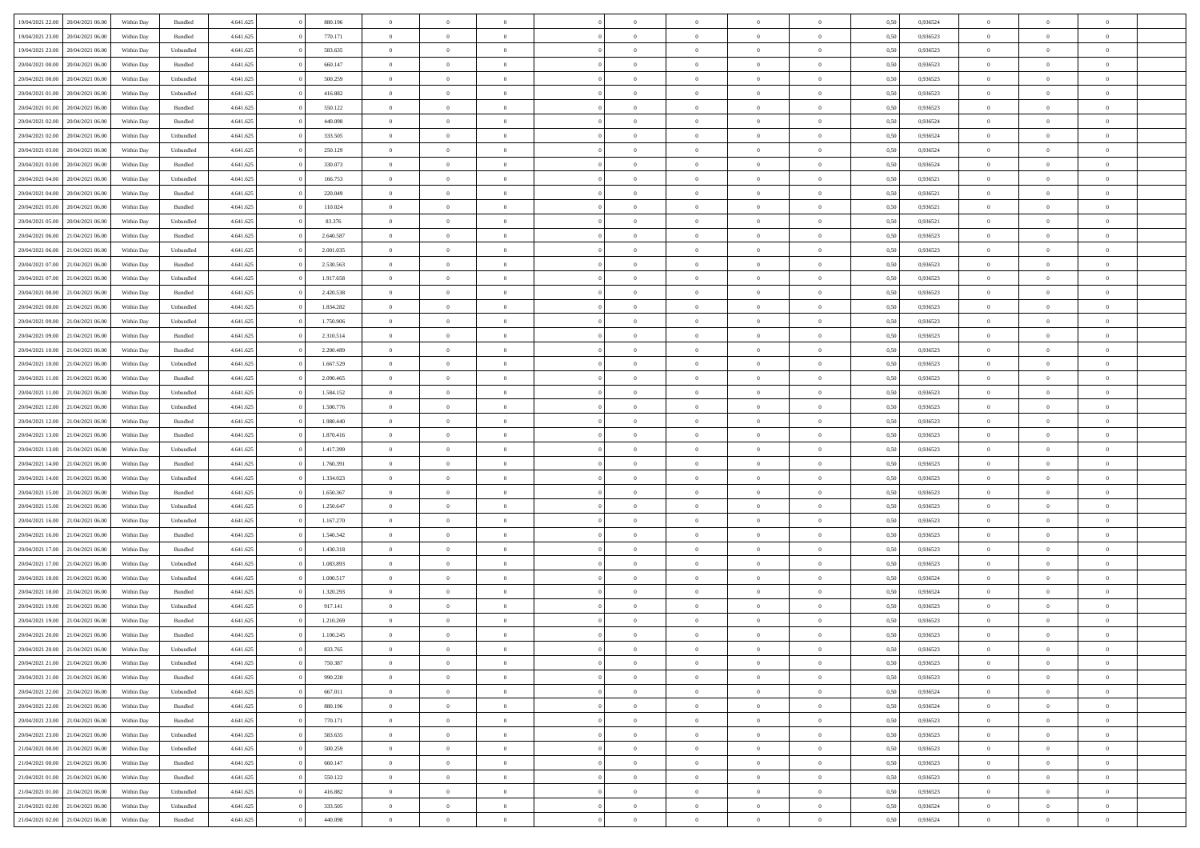| 19/04/2021 22:00                  | 20/04/2021 06:00 | Within Day | Bundled            | 4.641.625 | 880.196   | $\overline{0}$ | $\Omega$       |                | $\Omega$       | $\Omega$       | $\theta$       | $\theta$       | 0.50 | 0,936524 | $\theta$       | $\theta$       | $\theta$       |  |
|-----------------------------------|------------------|------------|--------------------|-----------|-----------|----------------|----------------|----------------|----------------|----------------|----------------|----------------|------|----------|----------------|----------------|----------------|--|
| 19/04/2021 23:00                  | 20/04/2021 06:00 | Within Day | Bundled            | 4.641.625 | 770.171   | $\overline{0}$ | $\theta$       | $\overline{0}$ | $\overline{0}$ | $\bf{0}$       | $\overline{0}$ | $\bf{0}$       | 0,50 | 0,936523 | $\theta$       | $\overline{0}$ | $\overline{0}$ |  |
| 19/04/2021 23:00                  | 20/04/2021 06:00 | Within Day | Unbundled          | 4.641.625 | 583.635   | $\overline{0}$ | $\bf{0}$       | $\overline{0}$ | $\bf{0}$       | $\bf{0}$       | $\bf{0}$       | $\mathbf{0}$   | 0,50 | 0,936523 | $\bf{0}$       | $\overline{0}$ | $\bf{0}$       |  |
| 20/04/2021 00:00                  | 20/04/2021 06:00 | Within Dav | Bundled            | 4.641.625 | 660.147   | $\overline{0}$ | $\overline{0}$ | $\overline{0}$ | $\overline{0}$ | $\bf{0}$       | $\overline{0}$ | $\overline{0}$ | 0.50 | 0.936523 | $\theta$       | $\theta$       | $\overline{0}$ |  |
| 20/04/2021 00:00                  | 20/04/2021 06:00 | Within Day | Unbundled          | 4.641.625 | 500.259   | $\overline{0}$ | $\theta$       | $\overline{0}$ | $\overline{0}$ | $\bf{0}$       | $\overline{0}$ | $\bf{0}$       | 0,50 | 0,936523 | $\theta$       | $\overline{0}$ | $\overline{0}$ |  |
|                                   |                  |            |                    |           |           |                |                |                |                |                |                |                |      |          |                |                |                |  |
| 20/04/2021 01:00                  | 20/04/2021 06:00 | Within Day | Unbundled          | 4.641.625 | 416.882   | $\overline{0}$ | $\overline{0}$ | $\overline{0}$ | $\bf{0}$       | $\overline{0}$ | $\overline{0}$ | $\mathbf{0}$   | 0,50 | 0,936523 | $\bf{0}$       | $\overline{0}$ | $\bf{0}$       |  |
| 20/04/2021 01:00                  | 20/04/2021 06:00 | Within Dav | Bundled            | 4.641.625 | 550.122   | $\overline{0}$ | $\overline{0}$ | $\overline{0}$ | $\overline{0}$ | $\overline{0}$ | $\overline{0}$ | $\overline{0}$ | 0.50 | 0.936523 | $\theta$       | $\overline{0}$ | $\overline{0}$ |  |
| 20/04/2021 02:00                  | 20/04/2021 06:00 | Within Day | Bundled            | 4.641.625 | 440.098   | $\overline{0}$ | $\theta$       | $\overline{0}$ | $\overline{0}$ | $\bf{0}$       | $\overline{0}$ | $\bf{0}$       | 0,50 | 0,936524 | $\theta$       | $\theta$       | $\overline{0}$ |  |
| 20/04/2021 02:00                  | 20/04/2021 06:00 | Within Day | Unbundled          | 4.641.625 | 333.505   | $\overline{0}$ | $\overline{0}$ | $\overline{0}$ | $\bf{0}$       | $\bf{0}$       | $\bf{0}$       | $\bf{0}$       | 0,50 | 0,936524 | $\,0\,$        | $\overline{0}$ | $\overline{0}$ |  |
| 20/04/2021 03:00                  | 20/04/2021 06:00 | Within Dav | Unbundled          | 4.641.625 | 250.129   | $\overline{0}$ | $\overline{0}$ | $\overline{0}$ | $\overline{0}$ | $\overline{0}$ | $\overline{0}$ | $\overline{0}$ | 0.50 | 0,936524 | $\theta$       | $\overline{0}$ | $\overline{0}$ |  |
| 20/04/2021 03:00                  | 20/04/2021 06:00 | Within Day | Bundled            | 4.641.625 | 330.073   | $\overline{0}$ | $\theta$       | $\overline{0}$ | $\overline{0}$ | $\bf{0}$       | $\overline{0}$ | $\bf{0}$       | 0,50 | 0,936524 | $\,$ 0 $\,$    | $\overline{0}$ | $\overline{0}$ |  |
| 20/04/2021 04:00                  | 20/04/2021 06:00 | Within Day | Unbundled          | 4.641.625 | 166.753   | $\overline{0}$ | $\bf{0}$       | $\overline{0}$ | $\bf{0}$       | $\bf{0}$       | $\bf{0}$       | $\mathbf{0}$   | 0,50 | 0,936521 | $\bf{0}$       | $\overline{0}$ | $\bf{0}$       |  |
|                                   |                  |            |                    |           |           |                |                |                |                |                |                |                |      |          |                |                |                |  |
| 20/04/2021 04:00                  | 20/04/2021 06:00 | Within Day | Bundled            | 4.641.625 | 220.049   | $\overline{0}$ | $\overline{0}$ | $\overline{0}$ | $\overline{0}$ | $\bf{0}$       | $\overline{0}$ | $\overline{0}$ | 0.50 | 0,936521 | $\theta$       | $\theta$       | $\overline{0}$ |  |
| 20/04/2021 05:00                  | 20/04/2021 06:00 | Within Day | Bundled            | 4.641.625 | 110.024   | $\overline{0}$ | $\theta$       | $\overline{0}$ | $\overline{0}$ | $\bf{0}$       | $\overline{0}$ | $\bf{0}$       | 0,50 | 0,936521 | $\theta$       | $\overline{0}$ | $\overline{0}$ |  |
| 20/04/2021 05:00                  | 20/04/2021 06:00 | Within Day | Unbundled          | 4.641.625 | 83.376    | $\overline{0}$ | $\overline{0}$ | $\overline{0}$ | $\bf{0}$       | $\overline{0}$ | $\overline{0}$ | $\mathbf{0}$   | 0,50 | 0,936521 | $\bf{0}$       | $\overline{0}$ | $\bf{0}$       |  |
| 20/04/2021 06:00                  | 21/04/2021 06:00 | Within Dav | Bundled            | 4.641.625 | 2.640.587 | $\overline{0}$ | $\overline{0}$ | $\overline{0}$ | $\overline{0}$ | $\overline{0}$ | $\overline{0}$ | $\overline{0}$ | 0.50 | 0.936523 | $\theta$       | $\overline{0}$ | $\overline{0}$ |  |
| 20/04/2021 06:00                  | 21/04/2021 06:00 | Within Day | Unbundled          | 4.641.625 | 2.001.035 | $\overline{0}$ | $\theta$       | $\overline{0}$ | $\overline{0}$ | $\bf{0}$       | $\overline{0}$ | $\bf{0}$       | 0,50 | 0,936523 | $\theta$       | $\theta$       | $\overline{0}$ |  |
| 20/04/2021 07:00                  | 21/04/2021 06:00 | Within Day | Bundled            | 4.641.625 | 2.530.563 | $\overline{0}$ | $\overline{0}$ | $\overline{0}$ | $\bf{0}$       | $\bf{0}$       | $\bf{0}$       | $\mathbf{0}$   | 0,50 | 0,936523 | $\,0\,$        | $\overline{0}$ | $\overline{0}$ |  |
| 20/04/2021 07:00                  | 21/04/2021 06:00 | Within Day | Unbundled          | 4.641.625 | 1.917.658 | $\overline{0}$ | $\overline{0}$ | $\overline{0}$ | $\overline{0}$ | $\overline{0}$ | $\overline{0}$ | $\overline{0}$ | 0.50 | 0.936523 | $\theta$       | $\overline{0}$ | $\overline{0}$ |  |
|                                   |                  |            |                    |           |           |                |                |                |                |                |                |                |      |          |                |                |                |  |
| 20/04/2021 08:00                  | 21/04/2021 06:00 | Within Day | Bundled            | 4.641.625 | 2.420.538 | $\overline{0}$ | $\theta$       | $\overline{0}$ | $\overline{0}$ | $\bf{0}$       | $\overline{0}$ | $\bf{0}$       | 0,50 | 0,936523 | $\,$ 0 $\,$    | $\overline{0}$ | $\overline{0}$ |  |
| 20/04/2021 08:00                  | 21/04/2021 06:00 | Within Day | Unbundled          | 4.641.625 | 1.834.282 | $\overline{0}$ | $\overline{0}$ | $\overline{0}$ | $\bf{0}$       | $\bf{0}$       | $\bf{0}$       | $\bf{0}$       | 0,50 | 0,936523 | $\bf{0}$       | $\overline{0}$ | $\bf{0}$       |  |
| 20/04/2021 09:00                  | 21/04/2021 06:00 | Within Day | Unbundled          | 4.641.625 | 1.750.906 | $\overline{0}$ | $\overline{0}$ | $\overline{0}$ | $\overline{0}$ | $\bf{0}$       | $\overline{0}$ | $\overline{0}$ | 0.50 | 0.936523 | $\theta$       | $\overline{0}$ | $\overline{0}$ |  |
| 20/04/2021 09:00                  | 21/04/2021 06:00 | Within Day | Bundled            | 4.641.625 | 2.310.514 | $\overline{0}$ | $\theta$       | $\overline{0}$ | $\overline{0}$ | $\bf{0}$       | $\overline{0}$ | $\bf{0}$       | 0,50 | 0,936523 | $\theta$       | $\overline{0}$ | $\overline{0}$ |  |
| 20/04/2021 10:00                  | 21/04/2021 06:00 | Within Day | Bundled            | 4.641.625 | 2.200.489 | $\overline{0}$ | $\overline{0}$ | $\overline{0}$ | $\bf{0}$       | $\overline{0}$ | $\overline{0}$ | $\mathbf{0}$   | 0,50 | 0,936523 | $\overline{0}$ | $\overline{0}$ | $\bf{0}$       |  |
| 20/04/2021 10:00                  | 21/04/2021 06:00 | Within Dav | Unbundled          | 4.641.625 | 1.667.529 | $\overline{0}$ | $\overline{0}$ | $\overline{0}$ | $\overline{0}$ | $\overline{0}$ | $\overline{0}$ | $\overline{0}$ | 0.50 | 0.936523 | $\theta$       | $\overline{0}$ | $\overline{0}$ |  |
| 20/04/2021 11:00                  | 21/04/2021 06:00 |            |                    | 4.641.625 | 2.090.465 | $\overline{0}$ | $\theta$       | $\overline{0}$ | $\overline{0}$ | $\bf{0}$       | $\overline{0}$ |                |      | 0,936523 | $\theta$       | $\theta$       | $\overline{0}$ |  |
|                                   |                  | Within Day | Bundled            |           |           |                |                |                |                |                |                | $\bf{0}$       | 0,50 |          |                |                |                |  |
| 20/04/2021 11:00                  | 21/04/2021 06:00 | Within Day | Unbundled          | 4.641.625 | 1.584.152 | $\overline{0}$ | $\overline{0}$ | $\overline{0}$ | $\bf{0}$       | $\bf{0}$       | $\bf{0}$       | $\bf{0}$       | 0,50 | 0,936523 | $\,0\,$        | $\overline{0}$ | $\overline{0}$ |  |
| 20/04/2021 12:00                  | 21/04/2021 06:00 | Within Day | Unbundled          | 4.641.625 | 1.500.776 | $\overline{0}$ | $\overline{0}$ | $\overline{0}$ | $\overline{0}$ | $\overline{0}$ | $\overline{0}$ | $\overline{0}$ | 0.50 | 0.936523 | $\theta$       | $\overline{0}$ | $\overline{0}$ |  |
| 20/04/2021 12:00                  | 21/04/2021 06:00 | Within Day | Bundled            | 4.641.625 | 1.980.440 | $\overline{0}$ | $\theta$       | $\overline{0}$ | $\overline{0}$ | $\bf{0}$       | $\overline{0}$ | $\bf{0}$       | 0,50 | 0,936523 | $\,$ 0 $\,$    | $\overline{0}$ | $\overline{0}$ |  |
| 20/04/2021 13:00                  | 21/04/2021 06:00 | Within Day | Bundled            | 4.641.625 | 1.870.416 | $\overline{0}$ | $\overline{0}$ | $\overline{0}$ | $\bf{0}$       | $\bf{0}$       | $\bf{0}$       | $\bf{0}$       | 0,50 | 0,936523 | $\overline{0}$ | $\overline{0}$ | $\bf{0}$       |  |
| 20/04/2021 13:00                  | 21/04/2021 06.00 | Within Day | Unbundled          | 4.641.625 | 1.417.399 | $\overline{0}$ | $\Omega$       | $\Omega$       | $\Omega$       | $\Omega$       | $\overline{0}$ | $\overline{0}$ | 0,50 | 0,936523 | $\,0\,$        | $\theta$       | $\theta$       |  |
| 20/04/2021 14:00                  | 21/04/2021 06:00 | Within Day | Bundled            | 4.641.625 | 1.760.391 | $\overline{0}$ | $\theta$       | $\overline{0}$ | $\overline{0}$ | $\bf{0}$       | $\overline{0}$ | $\bf{0}$       | 0,50 | 0,936523 | $\theta$       | $\overline{0}$ | $\overline{0}$ |  |
|                                   |                  |            |                    |           |           |                |                |                |                |                |                |                |      |          |                |                |                |  |
| 20/04/2021 14:00                  | 21/04/2021 06:00 | Within Day | Unbundled          | 4.641.625 | 1.334.023 | $\overline{0}$ | $\overline{0}$ | $\overline{0}$ | $\bf{0}$       | $\overline{0}$ | $\overline{0}$ | $\mathbf{0}$   | 0,50 | 0,936523 | $\overline{0}$ | $\overline{0}$ | $\bf{0}$       |  |
| 20/04/2021 15:00                  | 21/04/2021 06:00 | Within Day | Bundled            | 4.641.625 | 1.650.367 | $\overline{0}$ | $\Omega$       | $\Omega$       | $\Omega$       | $\bf{0}$       | $\overline{0}$ | $\overline{0}$ | 0.50 | 0.936523 | $\,0\,$        | $\theta$       | $\theta$       |  |
| 20/04/2021 15:00                  | 21/04/2021 06:00 | Within Day | Unbundled          | 4.641.625 | 1.250.647 | $\overline{0}$ | $\theta$       | $\overline{0}$ | $\overline{0}$ | $\bf{0}$       | $\overline{0}$ | $\bf{0}$       | 0,50 | 0,936523 | $\theta$       | $\overline{0}$ | $\overline{0}$ |  |
| 20/04/2021 16:00                  | 21/04/2021 06:00 | Within Day | Unbundled          | 4.641.625 | 1.167.270 | $\overline{0}$ | $\overline{0}$ | $\overline{0}$ | $\bf{0}$       | $\bf{0}$       | $\bf{0}$       | $\bf{0}$       | 0,50 | 0,936523 | $\bf{0}$       | $\overline{0}$ | $\bf{0}$       |  |
| 20/04/2021 16:00                  | 21/04/2021 06:00 | Within Day | Bundled            | 4.641.625 | 1.540.342 | $\overline{0}$ | $\Omega$       | $\Omega$       | $\Omega$       | $\theta$       | $\overline{0}$ | $\overline{0}$ | 0.50 | 0.936523 | $\,$ 0 $\,$    | $\theta$       | $\theta$       |  |
| 20/04/2021 17:00                  | 21/04/2021 06:00 | Within Day | Bundled            | 4.641.625 | 1.430.318 | $\overline{0}$ | $\theta$       | $\overline{0}$ | $\overline{0}$ | $\bf{0}$       | $\overline{0}$ | $\bf{0}$       | 0,50 | 0,936523 | $\,$ 0 $\,$    | $\overline{0}$ | $\overline{0}$ |  |
| 20/04/2021 17:00                  | 21/04/2021 06:00 | Within Day | Unbundled          | 4.641.625 | 1.083.893 | $\overline{0}$ | $\bf{0}$       | $\overline{0}$ | $\overline{0}$ | $\bf{0}$       | $\overline{0}$ | $\mathbf{0}$   | 0,50 | 0,936523 | $\overline{0}$ | $\overline{0}$ | $\bf{0}$       |  |
|                                   |                  |            |                    |           | 1.000.517 | $\overline{0}$ | $\Omega$       | $\overline{0}$ | $\Omega$       | $\overline{0}$ | $\overline{0}$ | $\overline{0}$ | 0.50 |          | $\,0\,$        | $\theta$       | $\theta$       |  |
| 20/04/2021 18:00                  | 21/04/2021 06.00 | Within Day | Unbundled          | 4.641.625 |           |                |                |                |                |                |                |                |      | 0,936524 |                |                |                |  |
| 20/04/2021 18:00                  | 21/04/2021 06:00 | Within Day | Bundled            | 4.641.625 | 1.320.293 | $\overline{0}$ | $\theta$       | $\overline{0}$ | $\overline{0}$ | $\,$ 0         | $\overline{0}$ | $\bf{0}$       | 0,50 | 0,936524 | $\,$ 0 $\,$    | $\overline{0}$ | $\overline{0}$ |  |
| 20/04/2021 19:00                  | 21/04/2021 06:00 | Within Day | Unbundled          | 4.641.625 | 917.141   | $\overline{0}$ | $\overline{0}$ | $\overline{0}$ | $\overline{0}$ | $\bf{0}$       | $\overline{0}$ | $\mathbf{0}$   | 0,50 | 0,936523 | $\overline{0}$ | $\overline{0}$ | $\bf{0}$       |  |
| 20/04/2021 19:00                  | 21/04/2021 06:00 | Within Day | Bundled            | 4.641.625 | 1.210.269 | $\overline{0}$ | $\Omega$       | $\Omega$       | $\Omega$       | $\Omega$       | $\Omega$       | $\overline{0}$ | 0.50 | 0.936523 | $\theta$       | $\theta$       | $\theta$       |  |
| 20/04/2021 20:00                  | 21/04/2021 06:00 | Within Day | Bundled            | 4.641.625 | 1.100.245 | $\overline{0}$ | $\overline{0}$ | $\overline{0}$ | $\bf{0}$       | $\,$ 0         | $\overline{0}$ | $\bf{0}$       | 0,50 | 0,936523 | $\,0\,$        | $\,$ 0 $\,$    | $\overline{0}$ |  |
| 20/04/2021 20:00                  | 21/04/2021 06:00 | Within Day | Unbundled          | 4.641.625 | 833.765   | $\bf{0}$       | $\bf{0}$       |                |                |                |                |                | 0,50 | 0,936523 | $\bf{0}$       | $\overline{0}$ |                |  |
| 20/04/2021 21:00                  | 21/04/2021 06:00 | Within Day | Unbundled          | 4.641.625 | 750,387   | $\overline{0}$ | $\overline{0}$ | $\overline{0}$ | $\Omega$       | $\overline{0}$ | $\overline{0}$ | $\overline{0}$ | 0.50 | 0.936523 | $\theta$       | $\theta$       | $\theta$       |  |
| 20/04/2021 21:00                  | 21/04/2021 06:00 | Within Day | Bundled            | 4.641.625 | 990.220   | $\overline{0}$ | $\,$ 0         | $\overline{0}$ | $\overline{0}$ | $\,$ 0 $\,$    | $\overline{0}$ | $\,$ 0 $\,$    | 0,50 | 0,936523 | $\,$ 0 $\,$    | $\,$ 0 $\,$    | $\,$ 0         |  |
| 20/04/2021 22.00                  | 21/04/2021 06:00 | Within Day | Unbundled          | 4.641.625 | 667.011   | $\overline{0}$ | $\overline{0}$ | $\overline{0}$ | $\overline{0}$ | $\overline{0}$ | $\overline{0}$ | $\mathbf{0}$   | 0,50 | 0,936524 | $\overline{0}$ | $\bf{0}$       | $\bf{0}$       |  |
|                                   |                  |            |                    |           |           |                |                |                |                |                |                |                |      |          |                |                |                |  |
| 20/04/2021 22:00                  | 21/04/2021 06:00 | Within Day | $\mathbf B$ undled | 4.641.625 | 880.196   | $\overline{0}$ | $\overline{0}$ | $\overline{0}$ | $\Omega$       | $\overline{0}$ | $\overline{0}$ | $\overline{0}$ | 0,50 | 0,936524 | $\overline{0}$ | $\theta$       | $\overline{0}$ |  |
| 20/04/2021 23:00                  | 21/04/2021 06:00 | Within Day | Bundled            | 4.641.625 | 770.171   | $\overline{0}$ | $\,$ 0         | $\overline{0}$ | $\overline{0}$ | $\,$ 0 $\,$    | $\overline{0}$ | $\mathbf{0}$   | 0,50 | 0,936523 | $\,$ 0 $\,$    | $\overline{0}$ | $\overline{0}$ |  |
| 20/04/2021 23:00                  | 21/04/2021 06:00 | Within Day | Unbundled          | 4.641.625 | 583.635   | $\overline{0}$ | $\overline{0}$ | $\overline{0}$ | $\overline{0}$ | $\overline{0}$ | $\overline{0}$ | $\mathbf{0}$   | 0,50 | 0,936523 | $\overline{0}$ | $\overline{0}$ | $\bf{0}$       |  |
| 21/04/2021 00:00                  | 21/04/2021 06:00 | Within Day | Unbundled          | 4.641.625 | 500.259   | $\overline{0}$ | $\overline{0}$ | $\overline{0}$ | $\Omega$       | $\overline{0}$ | $\overline{0}$ | $\bf{0}$       | 0.50 | 0,936523 | $\overline{0}$ | $\theta$       | $\overline{0}$ |  |
| 21/04/2021 00:00                  | 21/04/2021 06:00 | Within Day | Bundled            | 4.641.625 | 660.147   | $\overline{0}$ | $\,$ 0         | $\overline{0}$ | $\bf{0}$       | $\bf{0}$       | $\bf{0}$       | $\bf{0}$       | 0,50 | 0,936523 | $\,$ 0 $\,$    | $\overline{0}$ | $\overline{0}$ |  |
| 21/04/2021 01:00                  | 21/04/2021 06:00 | Within Day | Bundled            | 4.641.625 | 550.122   | $\overline{0}$ | $\bf{0}$       | $\overline{0}$ | $\overline{0}$ | $\overline{0}$ | $\overline{0}$ | $\mathbf{0}$   | 0,50 | 0,936523 | $\overline{0}$ | $\overline{0}$ | $\bf{0}$       |  |
|                                   |                  |            |                    |           |           |                |                |                |                |                |                |                |      |          |                |                |                |  |
| 21/04/2021 01:00                  | 21/04/2021 06:00 | Within Day | Unbundled          | 4.641.625 | 416.882   | $\overline{0}$ | $\overline{0}$ | $\overline{0}$ | $\Omega$       | $\overline{0}$ | $\overline{0}$ | $\overline{0}$ | 0.50 | 0.936523 | $\overline{0}$ | $\theta$       | $\overline{0}$ |  |
| 21/04/2021 02:00                  | 21/04/2021 06:00 | Within Day | Unbundled          | 4.641.625 | 333.505   | $\overline{0}$ | $\bf{0}$       | $\overline{0}$ | $\overline{0}$ | $\bf{0}$       | $\bf{0}$       | $\mathbf{0}$   | 0,50 | 0,936524 | $\,$ 0 $\,$    | $\,$ 0 $\,$    | $\bf{0}$       |  |
| 21/04/2021 02.00 21/04/2021 06.00 |                  | Within Day | Bundled            | 4.641.625 | 440.098   | $\overline{0}$ | $\bf{0}$       | $\overline{0}$ | $\bf{0}$       | $\bf{0}$       | $\bf{0}$       | $\bf{0}$       | 0,50 | 0,936524 | $\overline{0}$ | $\overline{0}$ | $\bf{0}$       |  |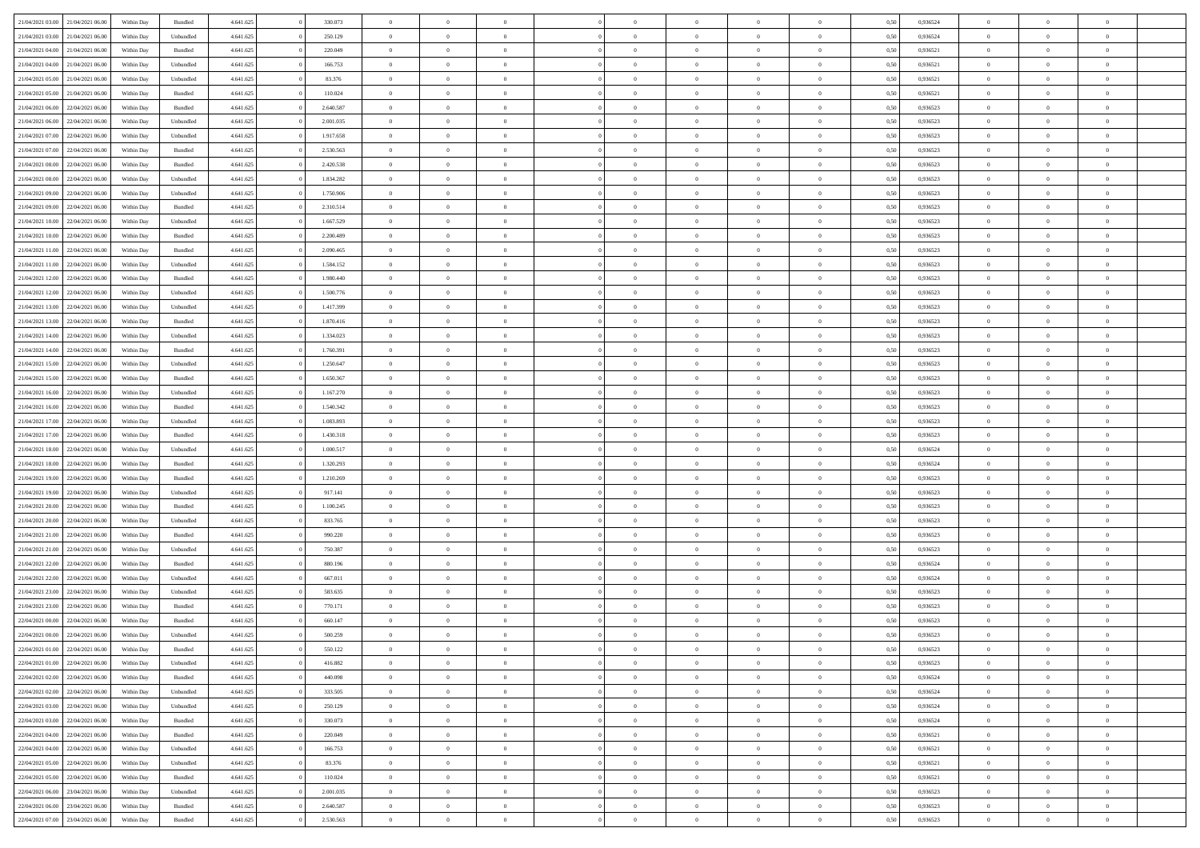| 21/04/2021 03:00                  | 21/04/2021 06:00 | Within Day | Bundled            | 4.641.625 | 330.073   | $\overline{0}$ | $\Omega$       |                | $\Omega$       | $\Omega$       | $\theta$       | $\theta$       | 0.50 | 0,936524 | $\theta$       | $\theta$       | $\theta$       |  |
|-----------------------------------|------------------|------------|--------------------|-----------|-----------|----------------|----------------|----------------|----------------|----------------|----------------|----------------|------|----------|----------------|----------------|----------------|--|
|                                   |                  |            |                    |           |           |                |                |                |                |                |                |                |      |          |                |                |                |  |
| 21/04/2021 03:00                  | 21/04/2021 06:00 | Within Day | Unbundled          | 4.641.625 | 250.129   | $\overline{0}$ | $\theta$       | $\overline{0}$ | $\overline{0}$ | $\bf{0}$       | $\overline{0}$ | $\bf{0}$       | 0,50 | 0,936524 | $\theta$       | $\overline{0}$ | $\overline{0}$ |  |
| 21/04/2021 04:00                  | 21/04/2021 06:00 | Within Day | Bundled            | 4.641.625 | 220.049   | $\overline{0}$ | $\bf{0}$       | $\overline{0}$ | $\bf{0}$       | $\bf{0}$       | $\bf{0}$       | $\mathbf{0}$   | 0,50 | 0,936521 | $\overline{0}$ | $\overline{0}$ | $\bf{0}$       |  |
| 21/04/2021 04:00                  | 21/04/2021 06:00 | Within Day | Unbundled          | 4.641.625 | 166.753   | $\overline{0}$ | $\overline{0}$ | $\overline{0}$ | $\overline{0}$ | $\bf{0}$       | $\overline{0}$ | $\overline{0}$ | 0.50 | 0.936521 | $\theta$       | $\theta$       | $\overline{0}$ |  |
|                                   |                  |            |                    |           |           |                |                |                |                |                |                |                |      |          |                |                |                |  |
| 21/04/2021 05:00                  | 21/04/2021 06:00 | Within Day | Unbundled          | 4.641.625 | 83.376    | $\overline{0}$ | $\theta$       | $\overline{0}$ | $\overline{0}$ | $\bf{0}$       | $\overline{0}$ | $\bf{0}$       | 0,50 | 0,936521 | $\theta$       | $\overline{0}$ | $\overline{0}$ |  |
| 21/04/2021 05:00                  | 21/04/2021 06:00 | Within Day | Bundled            | 4.641.625 | 110.024   | $\overline{0}$ | $\overline{0}$ | $\overline{0}$ | $\bf{0}$       | $\overline{0}$ | $\overline{0}$ | $\mathbf{0}$   | 0,50 | 0,936521 | $\overline{0}$ | $\overline{0}$ | $\bf{0}$       |  |
| 21/04/2021 06:00                  | 22/04/2021 06:00 | Within Dav | Bundled            | 4.641.625 | 2.640.587 | $\overline{0}$ | $\overline{0}$ | $\overline{0}$ | $\overline{0}$ | $\overline{0}$ | $\overline{0}$ | $\overline{0}$ | 0.50 | 0.936523 | $\theta$       | $\overline{0}$ | $\overline{0}$ |  |
| 21/04/2021 06:00                  | 22/04/2021 06.00 | Within Day | Unbundled          | 4.641.625 | 2.001.035 | $\overline{0}$ | $\theta$       | $\overline{0}$ | $\overline{0}$ | $\bf{0}$       | $\overline{0}$ | $\bf{0}$       | 0,50 | 0,936523 | $\theta$       | $\theta$       | $\overline{0}$ |  |
|                                   | 22/04/2021 06:00 | Within Day | Unbundled          | 4.641.625 | 1.917.658 | $\overline{0}$ | $\overline{0}$ | $\overline{0}$ | $\bf{0}$       | $\bf{0}$       | $\bf{0}$       | $\bf{0}$       | 0,50 | 0,936523 | $\,0\,$        | $\overline{0}$ | $\overline{0}$ |  |
| 21/04/2021 07:00                  |                  |            |                    |           |           |                |                |                |                |                |                |                |      |          |                |                |                |  |
| 21/04/2021 07:00                  | 22/04/2021 06:00 | Within Dav | Bundled            | 4.641.625 | 2.530.563 | $\overline{0}$ | $\overline{0}$ | $\overline{0}$ | $\overline{0}$ | $\overline{0}$ | $\overline{0}$ | $\overline{0}$ | 0.50 | 0.936523 | $\theta$       | $\overline{0}$ | $\overline{0}$ |  |
| 21/04/2021 08:00                  | 22/04/2021 06.00 | Within Day | Bundled            | 4.641.625 | 2.420.538 | $\overline{0}$ | $\theta$       | $\overline{0}$ | $\overline{0}$ | $\bf{0}$       | $\overline{0}$ | $\bf{0}$       | 0,50 | 0,936523 | $\,$ 0 $\,$    | $\overline{0}$ | $\overline{0}$ |  |
| 21/04/2021 08:00                  | 22/04/2021 06:00 | Within Day | Unbundled          | 4.641.625 | 1.834.282 | $\overline{0}$ | $\overline{0}$ | $\overline{0}$ | $\bf{0}$       | $\bf{0}$       | $\bf{0}$       | $\mathbf{0}$   | 0,50 | 0,936523 | $\overline{0}$ | $\overline{0}$ | $\bf{0}$       |  |
| 21/04/2021 09:00                  | 22/04/2021 06:00 | Within Day | Unbundled          | 4.641.625 | 1.750.906 | $\overline{0}$ | $\overline{0}$ | $\overline{0}$ | $\overline{0}$ | $\bf{0}$       | $\overline{0}$ | $\overline{0}$ | 0.50 | 0.936523 | $\theta$       | $\theta$       | $\overline{0}$ |  |
|                                   |                  |            |                    |           |           | $\overline{0}$ | $\theta$       |                |                | $\bf{0}$       |                |                |      |          | $\theta$       | $\overline{0}$ |                |  |
| 21/04/2021 09:00                  | 22/04/2021 06.00 | Within Day | Bundled            | 4.641.625 | 2.310.514 |                |                | $\overline{0}$ | $\overline{0}$ |                | $\overline{0}$ | $\bf{0}$       | 0,50 | 0,936523 |                |                | $\overline{0}$ |  |
| 21/04/2021 10:00                  | 22/04/2021 06:00 | Within Day | Unbundled          | 4.641.625 | 1.667.529 | $\overline{0}$ | $\overline{0}$ | $\overline{0}$ | $\bf{0}$       | $\overline{0}$ | $\overline{0}$ | $\mathbf{0}$   | 0,50 | 0,936523 | $\overline{0}$ | $\overline{0}$ | $\bf{0}$       |  |
| 21/04/2021 10:00                  | 22/04/2021 06:00 | Within Dav | Bundled            | 4.641.625 | 2.200.489 | $\overline{0}$ | $\overline{0}$ | $\overline{0}$ | $\overline{0}$ | $\overline{0}$ | $\overline{0}$ | $\overline{0}$ | 0.50 | 0.936523 | $\theta$       | $\overline{0}$ | $\overline{0}$ |  |
| 21/04/2021 11:00                  | 22/04/2021 06:00 | Within Day | Bundled            | 4.641.625 | 2.090.465 | $\overline{0}$ | $\theta$       | $\overline{0}$ | $\overline{0}$ | $\bf{0}$       | $\overline{0}$ | $\bf{0}$       | 0,50 | 0,936523 | $\theta$       | $\theta$       | $\overline{0}$ |  |
| 21/04/2021 11:00                  | 22/04/2021 06:00 | Within Day | Unbundled          | 4.641.625 | 1.584.152 | $\overline{0}$ | $\overline{0}$ | $\overline{0}$ | $\overline{0}$ | $\bf{0}$       | $\overline{0}$ | $\bf{0}$       | 0,50 | 0,936523 | $\,0\,$        | $\overline{0}$ | $\overline{0}$ |  |
|                                   |                  |            |                    |           |           |                |                |                |                |                |                |                |      |          |                |                |                |  |
| 21/04/2021 12:00                  | 22/04/2021 06:00 | Within Day | Bundled            | 4.641.625 | 1.980.440 | $\overline{0}$ | $\overline{0}$ | $\overline{0}$ | $\overline{0}$ | $\overline{0}$ | $\overline{0}$ | $\overline{0}$ | 0.50 | 0.936523 | $\theta$       | $\overline{0}$ | $\overline{0}$ |  |
| 21/04/2021 12:00                  | 22/04/2021 06.00 | Within Day | Unbundled          | 4.641.625 | 1.500.776 | $\overline{0}$ | $\theta$       | $\overline{0}$ | $\overline{0}$ | $\bf{0}$       | $\overline{0}$ | $\bf{0}$       | 0,50 | 0,936523 | $\theta$       | $\overline{0}$ | $\overline{0}$ |  |
| 21/04/2021 13:00                  | 22/04/2021 06:00 | Within Day | Unbundled          | 4.641.625 | 1.417.399 | $\overline{0}$ | $\overline{0}$ | $\overline{0}$ | $\overline{0}$ | $\bf{0}$       | $\overline{0}$ | $\bf{0}$       | 0,50 | 0,936523 | $\,0\,$        | $\overline{0}$ | $\bf{0}$       |  |
| 21/04/2021 13:00                  | 22/04/2021 06:00 | Within Day | Bundled            | 4.641.625 | 1.870.416 | $\overline{0}$ | $\overline{0}$ | $\overline{0}$ | $\overline{0}$ | $\bf{0}$       | $\overline{0}$ | $\overline{0}$ | 0.50 | 0.936523 | $\theta$       | $\overline{0}$ | $\overline{0}$ |  |
| 21/04/2021 14:00                  | 22/04/2021 06:00 |            |                    | 4.641.625 | 1.334.023 | $\overline{0}$ | $\theta$       | $\overline{0}$ | $\overline{0}$ | $\bf{0}$       | $\overline{0}$ |                |      | 0,936523 | $\theta$       | $\overline{0}$ | $\overline{0}$ |  |
|                                   |                  | Within Day | Unbundled          |           |           |                |                |                |                |                |                | $\bf{0}$       | 0,50 |          |                |                |                |  |
| 21/04/2021 14:00                  | 22/04/2021 06:00 | Within Day | Bundled            | 4.641.625 | 1.760.391 | $\overline{0}$ | $\overline{0}$ | $\overline{0}$ | $\overline{0}$ | $\overline{0}$ | $\overline{0}$ | $\mathbf{0}$   | 0,50 | 0,936523 | $\bf{0}$       | $\overline{0}$ | $\bf{0}$       |  |
| 21/04/2021 15:00                  | 22/04/2021 06:00 | Within Dav | Unbundled          | 4.641.625 | 1.250.647 | $\overline{0}$ | $\overline{0}$ | $\overline{0}$ | $\overline{0}$ | $\overline{0}$ | $\overline{0}$ | $\overline{0}$ | 0.50 | 0.936523 | $\theta$       | $\overline{0}$ | $\overline{0}$ |  |
| 21/04/2021 15:00                  | 22/04/2021 06:00 | Within Day | Bundled            | 4.641.625 | 1.650.367 | $\overline{0}$ | $\theta$       | $\overline{0}$ | $\overline{0}$ | $\bf{0}$       | $\overline{0}$ | $\bf{0}$       | 0,50 | 0,936523 | $\theta$       | $\theta$       | $\overline{0}$ |  |
| 21/04/2021 16:00                  | 22/04/2021 06:00 | Within Day | Unbundled          | 4.641.625 | 1.167.270 | $\overline{0}$ | $\overline{0}$ | $\overline{0}$ | $\overline{0}$ | $\bf{0}$       | $\overline{0}$ | $\bf{0}$       | 0,50 | 0,936523 | $\,0\,$        | $\overline{0}$ | $\overline{0}$ |  |
|                                   |                  |            |                    |           |           |                | $\overline{0}$ |                |                | $\overline{0}$ |                |                |      |          | $\theta$       | $\overline{0}$ | $\overline{0}$ |  |
| 21/04/2021 16:00                  | 22/04/2021 06:00 | Within Day | Bundled            | 4.641.625 | 1.540.342 | $\overline{0}$ |                | $\overline{0}$ | $\overline{0}$ |                | $\overline{0}$ | $\overline{0}$ | 0.50 | 0.936523 |                |                |                |  |
| 21/04/2021 17:00                  | 22/04/2021 06:00 | Within Day | Unbundled          | 4.641.625 | 1.083.893 | $\overline{0}$ | $\theta$       | $\overline{0}$ | $\overline{0}$ | $\bf{0}$       | $\overline{0}$ | $\bf{0}$       | 0,50 | 0,936523 | $\,$ 0 $\,$    | $\overline{0}$ | $\overline{0}$ |  |
| 21/04/2021 17:00                  | 22/04/2021 06:00 | Within Day | Bundled            | 4.641.625 | 1.430.318 | $\overline{0}$ | $\overline{0}$ | $\overline{0}$ | $\overline{0}$ | $\bf{0}$       | $\overline{0}$ | $\bf{0}$       | 0,50 | 0,936523 | $\bf{0}$       | $\overline{0}$ | $\bf{0}$       |  |
| 21/04/2021 18:00                  | 22/04/2021 06:00 | Within Day | Unbundled          | 4.641.625 | 1.000.517 | $\overline{0}$ | $\Omega$       | $\Omega$       | $\Omega$       | $\Omega$       | $\overline{0}$ | $\overline{0}$ | 0,50 | 0,936524 | $\,0\,$        | $\theta$       | $\theta$       |  |
| 21/04/2021 18:00                  | 22/04/2021 06:00 | Within Day | Bundled            | 4.641.625 | 1.320.293 | $\overline{0}$ | $\theta$       | $\overline{0}$ | $\overline{0}$ | $\bf{0}$       | $\overline{0}$ | $\bf{0}$       | 0,50 | 0,936524 | $\theta$       | $\overline{0}$ | $\overline{0}$ |  |
|                                   |                  |            |                    |           |           |                |                |                |                |                |                |                |      |          |                |                |                |  |
| 21/04/2021 19:00                  | 22/04/2021 06:00 | Within Day | Bundled            | 4.641.625 | 1.210.269 | $\overline{0}$ | $\overline{0}$ | $\overline{0}$ | $\overline{0}$ | $\overline{0}$ | $\overline{0}$ | $\mathbf{0}$   | 0,50 | 0,936523 | $\bf{0}$       | $\overline{0}$ | $\bf{0}$       |  |
| 21/04/2021 19:00                  | 22/04/2021 06:00 | Within Day | Unbundled          | 4.641.625 | 917.141   | $\overline{0}$ | $\Omega$       | $\Omega$       | $\Omega$       | $\bf{0}$       | $\overline{0}$ | $\overline{0}$ | 0.50 | 0.936523 | $\,0\,$        | $\theta$       | $\theta$       |  |
| 21/04/2021 20:00                  | 22/04/2021 06:00 | Within Day | Bundled            | 4.641.625 | 1.100.245 | $\overline{0}$ | $\theta$       | $\overline{0}$ | $\overline{0}$ | $\bf{0}$       | $\overline{0}$ | $\bf{0}$       | 0,50 | 0,936523 | $\theta$       | $\overline{0}$ | $\overline{0}$ |  |
| 21/04/2021 20:00                  | 22/04/2021 06:00 | Within Day | Unbundled          | 4.641.625 | 833.765   | $\overline{0}$ | $\overline{0}$ | $\overline{0}$ | $\overline{0}$ | $\bf{0}$       | $\bf{0}$       | $\bf{0}$       | 0,50 | 0,936523 | $\bf{0}$       | $\overline{0}$ | $\bf{0}$       |  |
| 21/04/2021 21:00                  | 22/04/2021 06:00 | Within Day | Bundled            | 4.641.625 | 990.220   | $\overline{0}$ | $\Omega$       | $\Omega$       | $\Omega$       | $\theta$       | $\overline{0}$ | $\overline{0}$ | 0.50 | 0.936523 | $\,$ 0 $\,$    | $\theta$       | $\theta$       |  |
|                                   |                  |            |                    |           |           |                |                |                |                |                |                |                |      |          |                |                |                |  |
| 21/04/2021 21:00                  | 22/04/2021 06:00 | Within Day | Unbundled          | 4.641.625 | 750.387   | $\overline{0}$ | $\theta$       | $\overline{0}$ | $\overline{0}$ | $\bf{0}$       | $\overline{0}$ | $\bf{0}$       | 0,50 | 0,936523 | $\,$ 0 $\,$    | $\overline{0}$ | $\overline{0}$ |  |
| 21/04/2021 22.00                  | 22/04/2021 06:00 | Within Day | Bundled            | 4.641.625 | 880.196   | $\overline{0}$ | $\bf{0}$       | $\overline{0}$ | $\bf{0}$       | $\bf{0}$       | $\bf{0}$       | $\mathbf{0}$   | 0,50 | 0,936524 | $\overline{0}$ | $\overline{0}$ | $\bf{0}$       |  |
| 21/04/2021 22.00                  | 22/04/2021 06:00 | Within Day | Unbundled          | 4.641.625 | 667.011   | $\overline{0}$ | $\Omega$       | $\Omega$       | $\Omega$       | $\overline{0}$ | $\overline{0}$ | $\overline{0}$ | 0,50 | 0,936524 | $\,0\,$        | $\theta$       | $\theta$       |  |
| 21/04/2021 23:00                  | 22/04/2021 06:00 | Within Day | Unbundled          | 4.641.625 | 583.635   | $\overline{0}$ | $\theta$       | $\overline{0}$ | $\overline{0}$ | $\bf{0}$       | $\overline{0}$ | $\bf{0}$       | 0,50 | 0,936523 | $\,$ 0 $\,$    | $\overline{0}$ | $\overline{0}$ |  |
| 21/04/2021 23:00                  | 22/04/2021 06:00 | Within Day | Bundled            | 4.641.625 | 770.171   | $\overline{0}$ | $\overline{0}$ | $\overline{0}$ | $\bf{0}$       | $\bf{0}$       | $\bf{0}$       | $\mathbf{0}$   | 0,50 | 0,936523 | $\overline{0}$ | $\overline{0}$ | $\bf{0}$       |  |
|                                   |                  |            |                    |           |           |                |                |                |                |                |                |                |      |          |                |                |                |  |
| 22/04/2021 00:00                  | 22/04/2021 06:00 | Within Day | Bundled            | 4.641.625 | 660.147   | $\overline{0}$ | $\Omega$       | $\Omega$       | $\Omega$       | $\Omega$       | $\Omega$       | $\overline{0}$ | 0.50 | 0.936523 | $\theta$       | $\theta$       | $\theta$       |  |
| 22/04/2021 00:00                  | 22/04/2021 06:00 | Within Day | Unbundled          | 4.641.625 | 500.259   | $\overline{0}$ | $\overline{0}$ | $\overline{0}$ | $\bf{0}$       | $\,$ 0         | $\bf{0}$       | $\bf{0}$       | 0,50 | 0,936523 | $\,0\,$        | $\,$ 0 $\,$    | $\overline{0}$ |  |
| 22/04/2021 01:00 22/04/2021 06:00 |                  | Within Day | $\mathbf B$ undled | 4.641.625 | 550.122   | $\bf{0}$       | $\bf{0}$       |                |                | $\bf{0}$       |                |                | 0,50 | 0,936523 | $\bf{0}$       | $\overline{0}$ |                |  |
| 22/04/2021 01:00                  | 22/04/2021 06:00 | Within Day | Unbundled          | 4.641.625 | 416.882   | $\overline{0}$ | $\overline{0}$ | $\overline{0}$ | $\Omega$       | $\overline{0}$ | $\overline{0}$ | $\overline{0}$ | 0.50 | 0.936523 | $\theta$       | $\theta$       | $\theta$       |  |
| 22/04/2021 02:00                  | 22/04/2021 06:00 | Within Day | Bundled            | 4.641.625 | 440.098   | $\overline{0}$ | $\,$ 0         | $\overline{0}$ | $\bf{0}$       | $\,$ 0 $\,$    | $\overline{0}$ | $\,$ 0 $\,$    | 0,50 | 0,936524 | $\,$ 0 $\,$    | $\,$ 0 $\,$    | $\,$ 0         |  |
|                                   |                  |            |                    |           |           |                |                |                |                |                |                |                |      |          |                |                |                |  |
| 22/04/2021 02:00                  | 22/04/2021 06:00 | Within Day | Unbundled          | 4.641.625 | 333.505   | $\overline{0}$ | $\overline{0}$ | $\overline{0}$ | $\overline{0}$ | $\overline{0}$ | $\overline{0}$ | $\mathbf{0}$   | 0,50 | 0,936524 | $\overline{0}$ | $\bf{0}$       | $\bf{0}$       |  |
| 22/04/2021 03:00                  | 22/04/2021 06:00 | Within Day | Unbundled          | 4.641.625 | 250.129   | $\overline{0}$ | $\overline{0}$ | $\overline{0}$ | $\Omega$       | $\overline{0}$ | $\overline{0}$ | $\overline{0}$ | 0,50 | 0,936524 | $\overline{0}$ | $\theta$       | $\overline{0}$ |  |
| 22/04/2021 03:00                  | 22/04/2021 06:00 | Within Day | Bundled            | 4.641.625 | 330.073   | $\overline{0}$ | $\,$ 0         | $\overline{0}$ | $\overline{0}$ | $\,$ 0 $\,$    | $\overline{0}$ | $\mathbf{0}$   | 0,50 | 0,936524 | $\,$ 0 $\,$    | $\overline{0}$ | $\overline{0}$ |  |
| 22/04/2021 04:00                  | 22/04/2021 06:00 | Within Day | Bundled            | 4.641.625 | 220.049   | $\overline{0}$ | $\overline{0}$ | $\overline{0}$ | $\overline{0}$ | $\overline{0}$ | $\overline{0}$ | $\mathbf{0}$   | 0,50 | 0,936521 | $\overline{0}$ | $\overline{0}$ | $\bf{0}$       |  |
|                                   | 22/04/2021 06:00 |            |                    |           |           |                | $\overline{0}$ | $\overline{0}$ | $\Omega$       | $\overline{0}$ | $\overline{0}$ |                | 0.50 |          |                | $\theta$       | $\overline{0}$ |  |
| 22/04/2021 04:00                  |                  | Within Day | Unbundled          | 4.641.625 | 166.753   | $\overline{0}$ |                |                |                |                |                | $\bf{0}$       |      | 0,936521 | $\overline{0}$ |                |                |  |
| 22/04/2021 05:00                  | 22/04/2021 06:00 | Within Day | Unbundled          | 4.641.625 | 83.376    | $\overline{0}$ | $\,$ 0         | $\overline{0}$ | $\bf{0}$       | $\bf{0}$       | $\bf{0}$       | $\bf{0}$       | 0,50 | 0,936521 | $\,$ 0 $\,$    | $\overline{0}$ | $\overline{0}$ |  |
| 22/04/2021 05:00                  | 22/04/2021 06:00 | Within Day | Bundled            | 4.641.625 | 110.024   | $\overline{0}$ | $\bf{0}$       | $\overline{0}$ | $\overline{0}$ | $\overline{0}$ | $\overline{0}$ | $\mathbf{0}$   | 0,50 | 0,936521 | $\overline{0}$ | $\overline{0}$ | $\bf{0}$       |  |
| 22/04/2021 06:00                  | 23/04/2021 06:00 | Within Day | Unbundled          | 4.641.625 | 2.001.035 | $\overline{0}$ | $\overline{0}$ | $\overline{0}$ | $\Omega$       | $\overline{0}$ | $\overline{0}$ | $\overline{0}$ | 0.50 | 0.936523 | $\overline{0}$ | $\theta$       | $\overline{0}$ |  |
| 22/04/2021 06:00                  | 23/04/2021 06:00 | Within Day | Bundled            | 4.641.625 | 2.640.587 | $\overline{0}$ | $\bf{0}$       | $\overline{0}$ | $\overline{0}$ | $\bf{0}$       | $\bf{0}$       | $\mathbf{0}$   | 0,50 | 0,936523 | $\,$ 0 $\,$    | $\,$ 0 $\,$    | $\bf{0}$       |  |
|                                   |                  |            |                    |           |           |                |                |                |                |                |                |                |      |          |                |                |                |  |
| 22/04/2021 07:00 23/04/2021 06:00 |                  | Within Day | Bundled            | 4.641.625 | 2.530.563 | $\overline{0}$ | $\overline{0}$ | $\overline{0}$ | $\overline{0}$ | $\overline{0}$ | $\bf{0}$       | $\mathbf{0}$   | 0,50 | 0,936523 | $\overline{0}$ | $\bf{0}$       | $\bf{0}$       |  |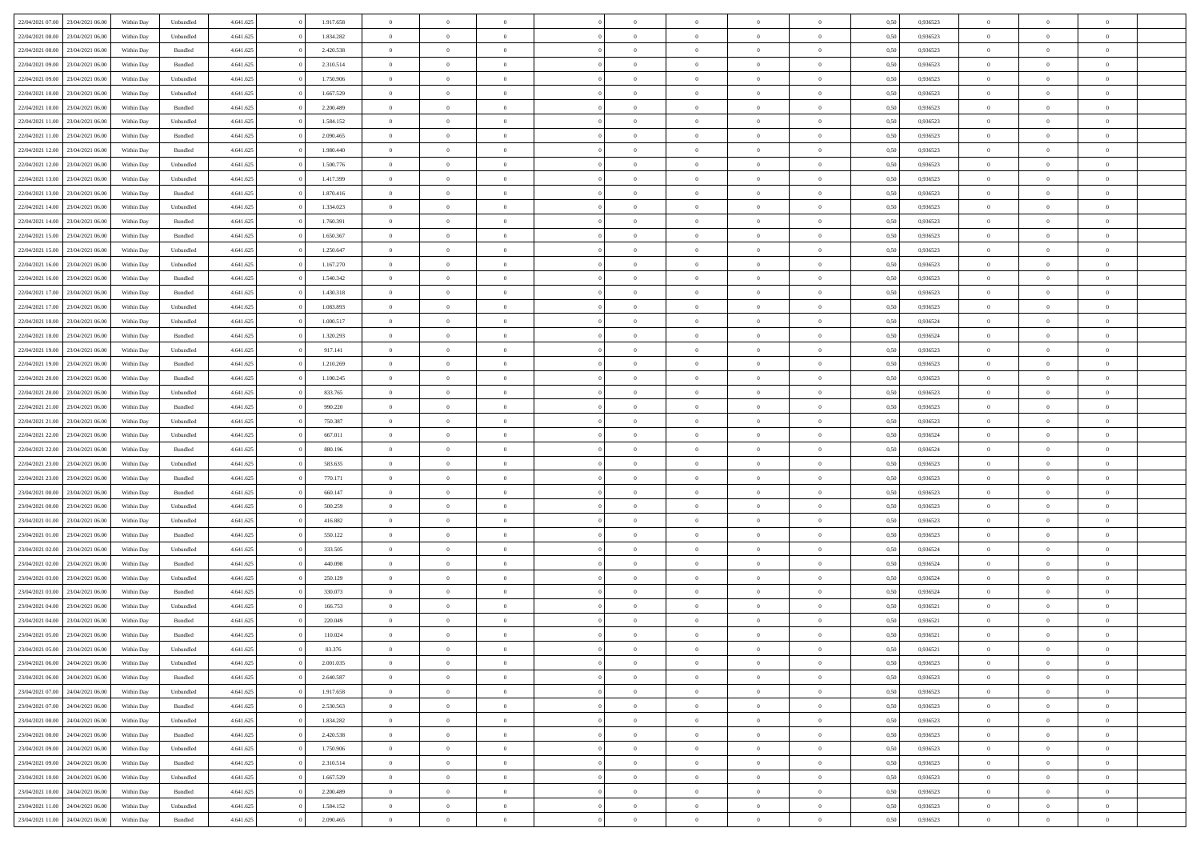| 22/04/2021 07:00 23/04/2021 06:00 |                  | Within Day | Unbundled                   | 4.641.625 | 1.917.658 | $\overline{0}$ | $\theta$       |                | $\overline{0}$ | $\bf{0}$       | $\overline{0}$ | $\theta$       | 0,50 | 0,936523 | $\theta$       | $\theta$       | $\theta$       |  |
|-----------------------------------|------------------|------------|-----------------------------|-----------|-----------|----------------|----------------|----------------|----------------|----------------|----------------|----------------|------|----------|----------------|----------------|----------------|--|
|                                   |                  |            |                             |           |           | $\overline{0}$ |                | $\overline{0}$ |                |                |                |                |      |          |                |                | $\overline{0}$ |  |
| 22/04/2021 08:00                  | 23/04/2021 06.00 | Within Day | Unbundled                   | 4.641.625 | 1.834.282 |                | $\overline{0}$ |                | $\overline{0}$ | $\bf{0}$       | $\bf{0}$       | $\bf{0}$       | 0,50 | 0,936523 | $\,$ 0 $\,$    | $\overline{0}$ |                |  |
| 22/04/2021 08:00                  | 23/04/2021 06:00 | Within Day | Bundled                     | 4.641.625 | 2.420.538 | $\overline{0}$ | $\overline{0}$ | $\overline{0}$ | $\overline{0}$ | $\bf{0}$       | $\overline{0}$ | $\mathbf{0}$   | 0.50 | 0.936523 | $\overline{0}$ | $\overline{0}$ | $\bf{0}$       |  |
| 22/04/2021 09:00                  | 23/04/2021 06:00 | Within Day | Bundled                     | 4.641.625 | 2.310.514 | $\overline{0}$ | $\overline{0}$ | $\overline{0}$ | $\overline{0}$ | $\,0\,$        | $\overline{0}$ | $\overline{0}$ | 0,50 | 0,936523 | $\,$ 0 $\,$    | $\overline{0}$ | $\overline{0}$ |  |
| 22/04/2021 09:00                  | 23/04/2021 06.00 | Within Day | Unbundled                   | 4.641.625 | 1.750.906 | $\overline{0}$ | $\theta$       | $\overline{0}$ | $\overline{0}$ | $\,$ 0         | $\overline{0}$ | $\bf{0}$       | 0,50 | 0,936523 | $\,$ 0 $\,$    | $\overline{0}$ | $\overline{0}$ |  |
| 22/04/2021 10:00                  | 23/04/2021 06:00 | Within Day | Unbundled                   | 4.641.625 | 1.667.529 | $\overline{0}$ | $\overline{0}$ | $\overline{0}$ | $\overline{0}$ | $\bf{0}$       | $\overline{0}$ | $\bf{0}$       | 0.50 | 0.936523 | $\,0\,$        | $\overline{0}$ | $\overline{0}$ |  |
| 22/04/2021 10:00                  | 23/04/2021 06:00 | Within Day | Bundled                     | 4.641.625 | 2.200.489 | $\overline{0}$ | $\overline{0}$ | $\overline{0}$ | $\overline{0}$ | $\bf{0}$       | $\overline{0}$ | $\bf{0}$       | 0,50 | 0,936523 | $\,$ 0 $\,$    | $\theta$       | $\overline{0}$ |  |
| 22/04/2021 11:00                  | 23/04/2021 06.00 | Within Day | Unbundled                   | 4.641.625 | 1.584.152 | $\overline{0}$ | $\overline{0}$ | $\overline{0}$ | $\overline{0}$ | $\,$ 0         | $\bf{0}$       | $\bf{0}$       | 0,50 | 0,936523 | $\,$ 0 $\,$    | $\overline{0}$ | $\overline{0}$ |  |
|                                   |                  |            |                             |           |           |                |                |                |                |                |                |                |      |          |                |                |                |  |
| 22/04/2021 11:00                  | 23/04/2021 06:00 | Within Day | Bundled                     | 4.641.625 | 2.090.465 | $\overline{0}$ | $\overline{0}$ | $\overline{0}$ | $\overline{0}$ | $\bf{0}$       | $\overline{0}$ | $\bf{0}$       | 0.50 | 0.936523 | $\bf{0}$       | $\overline{0}$ | $\bf{0}$       |  |
| 22/04/2021 12:00                  | 23/04/2021 06:00 | Within Day | Bundled                     | 4.641.625 | 1.980.440 | $\overline{0}$ | $\overline{0}$ | $\overline{0}$ | $\overline{0}$ | $\bf{0}$       | $\overline{0}$ | $\bf{0}$       | 0,50 | 0,936523 | $\,$ 0 $\,$    | $\overline{0}$ | $\overline{0}$ |  |
| 22/04/2021 12:00                  | 23/04/2021 06.00 | Within Day | Unbundled                   | 4.641.625 | 1.500.776 | $\overline{0}$ | $\overline{0}$ | $\overline{0}$ | $\overline{0}$ | $\,$ 0         | $\bf{0}$       | $\bf{0}$       | 0,50 | 0,936523 | $\,$ 0 $\,$    | $\overline{0}$ | $\overline{0}$ |  |
| 22/04/2021 13:00                  | 23/04/2021 06:00 | Within Day | Unbundled                   | 4.641.625 | 1.417.399 | $\overline{0}$ | $\overline{0}$ | $\overline{0}$ | $\overline{0}$ | $\bf{0}$       | $\overline{0}$ | $\mathbf{0}$   | 0.50 | 0.936523 | $\overline{0}$ | $\,$ 0 $\,$    | $\bf{0}$       |  |
| 22/04/2021 13:00                  | 23/04/2021 06:00 | Within Day | Bundled                     | 4.641.625 | 1.870.416 | $\overline{0}$ | $\overline{0}$ | $\overline{0}$ | $\overline{0}$ | $\bf{0}$       | $\overline{0}$ | $\overline{0}$ | 0,50 | 0,936523 | $\,$ 0 $\,$    | $\overline{0}$ | $\overline{0}$ |  |
| 22/04/2021 14:00                  | 23/04/2021 06.00 | Within Day | Unbundled                   | 4.641.625 | 1.334.023 | $\overline{0}$ | $\theta$       | $\overline{0}$ | $\overline{0}$ | $\,$ 0         | $\overline{0}$ | $\bf{0}$       | 0,50 | 0,936523 | $\,$ 0 $\,$    | $\overline{0}$ | $\overline{0}$ |  |
| 22/04/2021 14:00                  | 23/04/2021 06:00 | Within Day | Bundled                     | 4.641.625 | 1.760.391 | $\overline{0}$ | $\overline{0}$ | $\overline{0}$ | $\overline{0}$ | $\bf{0}$       | $\overline{0}$ | $\bf{0}$       | 0.50 | 0.936523 | $\,0\,$        | $\overline{0}$ | $\overline{0}$ |  |
| 22/04/2021 15:00                  | 23/04/2021 06:00 | Within Day | Bundled                     | 4.641.625 | 1.650.367 | $\overline{0}$ | $\overline{0}$ | $\overline{0}$ | $\overline{0}$ | $\bf{0}$       | $\overline{0}$ | $\bf{0}$       | 0,50 | 0,936523 | $\,$ 0 $\,$    | $\theta$       | $\overline{0}$ |  |
|                                   |                  |            |                             |           |           |                |                |                |                |                |                |                |      |          |                |                |                |  |
| 22/04/2021 15:00                  | 23/04/2021 06.00 | Within Day | Unbundled                   | 4.641.625 | 1.250.647 | $\overline{0}$ | $\overline{0}$ | $\overline{0}$ | $\overline{0}$ | $\,$ 0         | $\bf{0}$       | $\bf{0}$       | 0,50 | 0,936523 | $\,$ 0 $\,$    | $\overline{0}$ | $\overline{0}$ |  |
| 22/04/2021 16:00                  | 23/04/2021 06:00 | Within Day | Unbundled                   | 4.641.625 | 1.167.270 | $\overline{0}$ | $\overline{0}$ | $\overline{0}$ | $\overline{0}$ | $\bf{0}$       | $\overline{0}$ | $\mathbf{0}$   | 0.50 | 0.936523 | $\bf{0}$       | $\overline{0}$ | $\bf{0}$       |  |
| 22/04/2021 16:00                  | 23/04/2021 06:00 | Within Day | Bundled                     | 4.641.625 | 1.540.342 | $\overline{0}$ | $\overline{0}$ | $\overline{0}$ | $\overline{0}$ | $\bf{0}$       | $\overline{0}$ | $\bf{0}$       | 0,50 | 0,936523 | $\,$ 0 $\,$    | $\overline{0}$ | $\overline{0}$ |  |
| 22/04/2021 17:00                  | 23/04/2021 06.00 | Within Day | Bundled                     | 4.641.625 | 1.430.318 | $\overline{0}$ | $\overline{0}$ | $\overline{0}$ | $\overline{0}$ | $\bf{0}$       | $\bf{0}$       | $\bf{0}$       | 0,50 | 0,936523 | $\,$ 0 $\,$    | $\overline{0}$ | $\overline{0}$ |  |
| 22/04/2021 17:00                  | 23/04/2021 06:00 | Within Day | Unbundled                   | 4.641.625 | 1.083.893 | $\overline{0}$ | $\overline{0}$ | $\overline{0}$ | $\overline{0}$ | $\bf{0}$       | $\overline{0}$ | $\mathbf{0}$   | 0.50 | 0.936523 | $\,$ 0 $\,$    | $\,$ 0 $\,$    | $\overline{0}$ |  |
| 22/04/2021 18:00                  | 23/04/2021 06:00 | Within Day | Unbundled                   | 4.641.625 | 1.000.517 | $\overline{0}$ | $\overline{0}$ | $\overline{0}$ | $\overline{0}$ | $\bf{0}$       | $\overline{0}$ | $\overline{0}$ | 0,50 | 0,936524 | $\,$ 0 $\,$    | $\overline{0}$ | $\overline{0}$ |  |
| 22/04/2021 18:00                  | 23/04/2021 06.00 | Within Day | Bundled                     | 4.641.625 | 1.320.293 | $\overline{0}$ | $\overline{0}$ | $\overline{0}$ | $\overline{0}$ | $\,$ 0         | $\overline{0}$ | $\bf{0}$       | 0,50 | 0,936524 | $\,$ 0 $\,$    | $\overline{0}$ | $\overline{0}$ |  |
|                                   | 23/04/2021 06:00 |            |                             |           | 917.141   |                | $\overline{0}$ |                |                |                | $\overline{0}$ |                | 0.50 | 0.936523 |                | $\overline{0}$ | $\overline{0}$ |  |
| 22/04/2021 19:00                  |                  | Within Day | Unbundled                   | 4.641.625 |           | $\overline{0}$ |                | $\overline{0}$ | $\overline{0}$ | $\bf{0}$       |                | $\bf{0}$       |      |          | $\,0\,$        |                |                |  |
| 22/04/2021 19:00                  | 23/04/2021 06:00 | Within Day | Bundled                     | 4.641.625 | 1.210.269 | $\overline{0}$ | $\overline{0}$ | $\overline{0}$ | $\overline{0}$ | $\bf{0}$       | $\overline{0}$ | $\bf{0}$       | 0,50 | 0,936523 | $\,$ 0 $\,$    | $\theta$       | $\overline{0}$ |  |
| 22/04/2021 20:00                  | 23/04/2021 06.00 | Within Day | Bundled                     | 4.641.625 | 1.100.245 | $\overline{0}$ | $\overline{0}$ | $\overline{0}$ | $\overline{0}$ | $\,$ 0         | $\bf{0}$       | $\bf{0}$       | 0,50 | 0,936523 | $\,$ 0 $\,$    | $\overline{0}$ | $\overline{0}$ |  |
| 22/04/2021 20:00                  | 23/04/2021 06:00 | Within Day | Unbundled                   | 4.641.625 | 833,765   | $\overline{0}$ | $\overline{0}$ | $\overline{0}$ | $\overline{0}$ | $\bf{0}$       | $\overline{0}$ | $\mathbf{0}$   | 0.50 | 0.936523 | $\bf{0}$       | $\overline{0}$ | $\bf{0}$       |  |
| 22/04/2021 21:00                  | 23/04/2021 06:00 | Within Day | Bundled                     | 4.641.625 | 990.220   | $\overline{0}$ | $\overline{0}$ | $\overline{0}$ | $\overline{0}$ | $\bf{0}$       | $\overline{0}$ | $\bf{0}$       | 0,50 | 0,936523 | $\,$ 0 $\,$    | $\overline{0}$ | $\overline{0}$ |  |
| 22/04/2021 21:00                  | 23/04/2021 06.00 | Within Day | Unbundled                   | 4.641.625 | 750.387   | $\overline{0}$ | $\overline{0}$ | $\overline{0}$ | $\overline{0}$ | $\bf{0}$       | $\bf{0}$       | $\bf{0}$       | 0,50 | 0,936523 | $\,$ 0 $\,$    | $\overline{0}$ | $\overline{0}$ |  |
| 22/04/2021 22:00                  | 23/04/2021 06:00 | Within Day | Unbundled                   | 4.641.625 | 667.011   | $\overline{0}$ | $\overline{0}$ | $\overline{0}$ | $\overline{0}$ | $\bf{0}$       | $\overline{0}$ | $\mathbf{0}$   | 0.50 | 0.936524 | $\overline{0}$ | $\,$ 0 $\,$    | $\bf{0}$       |  |
| 22/04/2021 22:00                  | 23/04/2021 06:00 | Within Dav | Bundled                     | 4.641.625 | 880.196   | $\overline{0}$ | $\overline{0}$ | $\overline{0}$ | $\overline{0}$ | $\overline{0}$ | $\overline{0}$ | $\overline{0}$ | 0.50 | 0,936524 | $\theta$       | $\overline{0}$ | $\overline{0}$ |  |
| 22/04/2021 23:00                  | 23/04/2021 06.00 | Within Day | Unbundled                   | 4.641.625 | 583.635   | $\overline{0}$ | $\overline{0}$ | $\overline{0}$ | $\overline{0}$ | $\bf{0}$       | $\bf{0}$       | $\bf{0}$       | 0,50 | 0,936523 | $\,$ 0 $\,$    | $\overline{0}$ | $\overline{0}$ |  |
|                                   |                  |            |                             |           |           |                |                |                |                |                |                |                |      |          |                |                |                |  |
| 22/04/2021 23:00                  | 23/04/2021 06:00 | Within Day | Bundled                     | 4.641.625 | 770.171   | $\overline{0}$ | $\overline{0}$ | $\overline{0}$ | $\overline{0}$ | $\bf{0}$       | $\overline{0}$ | $\bf{0}$       | 0.50 | 0.936523 | $\,0\,$        | $\overline{0}$ | $\overline{0}$ |  |
| 23/04/2021 00:00                  | 23/04/2021 06:00 | Within Dav | Bundled                     | 4.641.625 | 660.147   | $\overline{0}$ | $\overline{0}$ | $\Omega$       | $\overline{0}$ | $\mathbf{0}$   | $\overline{0}$ | $\overline{0}$ | 0,50 | 0.936523 | $\theta$       | $\overline{0}$ | $\overline{0}$ |  |
| 23/04/2021 00:00                  | 23/04/2021 06.00 | Within Day | Unbundled                   | 4.641.625 | 500.259   | $\overline{0}$ | $\overline{0}$ | $\overline{0}$ | $\overline{0}$ | $\,$ 0         | $\bf{0}$       | $\bf{0}$       | 0,50 | 0,936523 | $\,$ 0 $\,$    | $\overline{0}$ | $\overline{0}$ |  |
| 23/04/2021 01:00                  | 23/04/2021 06:00 | Within Day | Unbundled                   | 4.641.625 | 416.882   | $\overline{0}$ | $\overline{0}$ | $\overline{0}$ | $\overline{0}$ | $\bf{0}$       | $\overline{0}$ | $\mathbf{0}$   | 0.50 | 0.936523 | $\bf{0}$       | $\overline{0}$ | $\bf{0}$       |  |
| 23/04/2021 01:00                  | 23/04/2021 06:00 | Within Dav | Bundled                     | 4.641.625 | 550.122   | $\overline{0}$ | $\overline{0}$ | $\overline{0}$ | $\overline{0}$ | $\overline{0}$ | $\overline{0}$ | $\overline{0}$ | 0,50 | 0.936523 | $\theta$       | $\overline{0}$ | $\overline{0}$ |  |
| 23/04/2021 02:00                  | 23/04/2021 06.00 | Within Day | Unbundled                   | 4.641.625 | 333.505   | $\overline{0}$ | $\overline{0}$ | $\overline{0}$ | $\bf{0}$       | $\bf{0}$       | $\bf{0}$       | $\bf{0}$       | 0,50 | 0,936524 | $\,$ 0 $\,$    | $\overline{0}$ | $\overline{0}$ |  |
| 23/04/2021 02:00                  | 23/04/2021 06:00 | Within Day | Bundled                     | 4.641.625 | 440.098   | $\overline{0}$ | $\overline{0}$ | $\overline{0}$ | $\overline{0}$ | $\bf{0}$       | $\overline{0}$ | $\mathbf{0}$   | 0.50 | 0.936524 | $\overline{0}$ | $\,$ 0 $\,$    | $\overline{0}$ |  |
| 23/04/2021 03:00                  | 23/04/2021 06:00 | Within Dav | Unbundled                   | 4.641.625 | 250.129   | $\overline{0}$ | $\overline{0}$ | $\theta$       | $\overline{0}$ | $\overline{0}$ | $\overline{0}$ | $\overline{0}$ | 0.50 | 0,936524 | $\theta$       | $\overline{0}$ | $\overline{0}$ |  |
|                                   | 23/04/2021 06.00 | Within Day | Bundled                     | 4.641.625 | 330.073   | $\overline{0}$ | $\overline{0}$ | $\overline{0}$ | $\overline{0}$ | $\bf{0}$       | $\overline{0}$ | $\bf{0}$       | 0,50 | 0,936524 | $\,$ 0 $\,$    | $\overline{0}$ | $\overline{0}$ |  |
| 23/04/2021 03:00                  |                  |            |                             |           |           |                |                |                |                |                |                |                |      |          |                |                |                |  |
| 23/04/2021 04:00                  | 23/04/2021 06:00 | Within Day | Unbundled                   | 4.641.625 | 166,753   | $\overline{0}$ | $\overline{0}$ | $\overline{0}$ | $\overline{0}$ | $\bf{0}$       | $\Omega$       | $\bf{0}$       | 0.50 | 0.936521 | $\,0\,$        | $\theta$       | $\overline{0}$ |  |
| 23/04/2021 04:00                  | 23/04/2021 06:00 | Within Dav | Bundled                     | 4.641.625 | 220.049   | $\overline{0}$ | $\theta$       | $\Omega$       | $\overline{0}$ | $\bf{0}$       | $\overline{0}$ | $\overline{0}$ | 0.50 | 0,936521 | $\theta$       | $\overline{0}$ | $\overline{0}$ |  |
| 23/04/2021 05:00                  | 23/04/2021 06:00 | Within Day | Bundled                     | 4.641.625 | 110.024   | $\bf{0}$       | $\overline{0}$ | $\overline{0}$ | $\bf{0}$       | $\,$ 0         | $\bf{0}$       | $\bf{0}$       | 0,50 | 0,936521 | $\,$ 0 $\,$    | $\overline{0}$ | $\overline{0}$ |  |
| 23/04/2021 05:00 23/04/2021 06:00 |                  | Within Day | $\ensuremath{\mathsf{Unb}}$ | 4.641.625 | 83.376    | $\bf{0}$       | $\theta$       |                | $^{\circ}$     | $\Omega$       |                |                | 0,50 | 0.936521 | $\bf{0}$       | $\theta$       |                |  |
| 23/04/2021 06:00 24/04/2021 06:00 |                  | Within Day | Unbundled                   | 4.641.625 | 2.001.035 | $\overline{0}$ | $\overline{0}$ | $\overline{0}$ | $\overline{0}$ | $\overline{0}$ | $\overline{0}$ | $\mathbf{0}$   | 0,50 | 0.936523 | $\theta$       | $\overline{0}$ | $\overline{0}$ |  |
| 23/04/2021 06:00                  | 24/04/2021 06.00 | Within Day | Bundled                     | 4.641.625 | 2.640.587 | $\overline{0}$ | $\overline{0}$ | $\overline{0}$ | $\bf{0}$       | $\overline{0}$ | $\overline{0}$ | $\mathbf{0}$   | 0,50 | 0,936523 | $\bf{0}$       | $\overline{0}$ | $\bf{0}$       |  |
| 23/04/2021 07:00                  | 24/04/2021 06:00 | Within Day | Unbundled                   | 4.641.625 | 1.917.658 | $\overline{0}$ | $\overline{0}$ | $\overline{0}$ | $\overline{0}$ | $\bf{0}$       | $\overline{0}$ | $\mathbf{0}$   | 0.50 | 0.936523 | $\overline{0}$ | $\bf{0}$       | $\bf{0}$       |  |
| 23/04/2021 07:00                  | 24/04/2021 06:00 | Within Day | Bundled                     | 4.641.625 | 2.530.563 | $\overline{0}$ | $\overline{0}$ | $\overline{0}$ | $\overline{0}$ | $\mathbf{0}$   | $\overline{0}$ | $\mathbf{0}$   | 0,50 | 0.936523 | $\overline{0}$ | $\theta$       | $\overline{0}$ |  |
|                                   |                  |            |                             |           |           |                |                |                |                |                |                |                |      |          |                |                |                |  |
| 23/04/2021 08:00                  | 24/04/2021 06.00 | Within Day | Unbundled                   | 4.641.625 | 1.834.282 | $\overline{0}$ | $\overline{0}$ | $\overline{0}$ | $\overline{0}$ | $\bf{0}$       | $\bf{0}$       | $\bf{0}$       | 0,50 | 0,936523 | $\,0\,$        | $\overline{0}$ | $\overline{0}$ |  |
| 23/04/2021 08:00                  | 24/04/2021 06:00 | Within Day | Bundled                     | 4.641.625 | 2.420.538 | $\overline{0}$ | $\overline{0}$ | $\overline{0}$ | $\overline{0}$ | $\bf{0}$       | $\overline{0}$ | $\mathbf{0}$   | 0.50 | 0.936523 | $\,$ 0 $\,$    | $\theta$       | $\,$ 0         |  |
| 23/04/2021 09:00                  | 24/04/2021 06:00 | Within Day | Unbundled                   | 4.641.625 | 1.750.906 | $\overline{0}$ | $\overline{0}$ | $\overline{0}$ | $\overline{0}$ | $\overline{0}$ | $\overline{0}$ | $\overline{0}$ | 0,50 | 0.936523 | $\overline{0}$ | $\theta$       | $\overline{0}$ |  |
| 23/04/2021 09:00                  | 24/04/2021 06.00 | Within Day | Bundled                     | 4.641.625 | 2.310.514 | $\overline{0}$ | $\,$ 0         | $\overline{0}$ | $\bf{0}$       | $\,$ 0 $\,$    | $\bf{0}$       | $\bf{0}$       | 0,50 | 0,936523 | $\,$ 0 $\,$    | $\overline{0}$ | $\overline{0}$ |  |
| 23/04/2021 10:00                  | 24/04/2021 06:00 | Within Day | Unbundled                   | 4.641.625 | 1.667.529 | $\overline{0}$ | $\overline{0}$ | $\overline{0}$ | $\overline{0}$ | $\bf{0}$       | $\overline{0}$ | $\mathbf{0}$   | 0.50 | 0.936523 | $\mathbf{0}$   | $\,$ 0 $\,$    | $\overline{0}$ |  |
| 23/04/2021 10:00                  | 24/04/2021 06:00 | Within Dav | Bundled                     | 4.641.625 | 2.200.489 | $\overline{0}$ | $\overline{0}$ | $\overline{0}$ | $\overline{0}$ | $\overline{0}$ | $\overline{0}$ | $\overline{0}$ | 0,50 | 0.936523 | $\overline{0}$ | $\overline{0}$ | $\overline{0}$ |  |
| 23/04/2021 11:00                  | 24/04/2021 06.00 | Within Day | Unbundled                   | 4.641.625 | 1.584.152 | $\overline{0}$ | $\overline{0}$ | $\overline{0}$ | $\bf{0}$       | $\bf{0}$       | $\bf{0}$       | $\bf{0}$       | 0,50 | 0,936523 | $\bf{0}$       | $\overline{0}$ | $\bf{0}$       |  |
| 23/04/2021 11:00 24/04/2021 06:00 |                  |            | Bundled                     | 4.641.625 | 2.090.465 | $\,$ 0 $\,$    | $\,$ 0 $\,$    | $\overline{0}$ | $\overline{0}$ | $\,$ 0 $\,$    | $\overline{0}$ | $\,$ 0 $\,$    | 0,50 | 0,936523 | $\overline{0}$ | $\,$ 0 $\,$    | $\,$ 0 $\,$    |  |
|                                   |                  | Within Day |                             |           |           |                |                |                |                |                |                |                |      |          |                |                |                |  |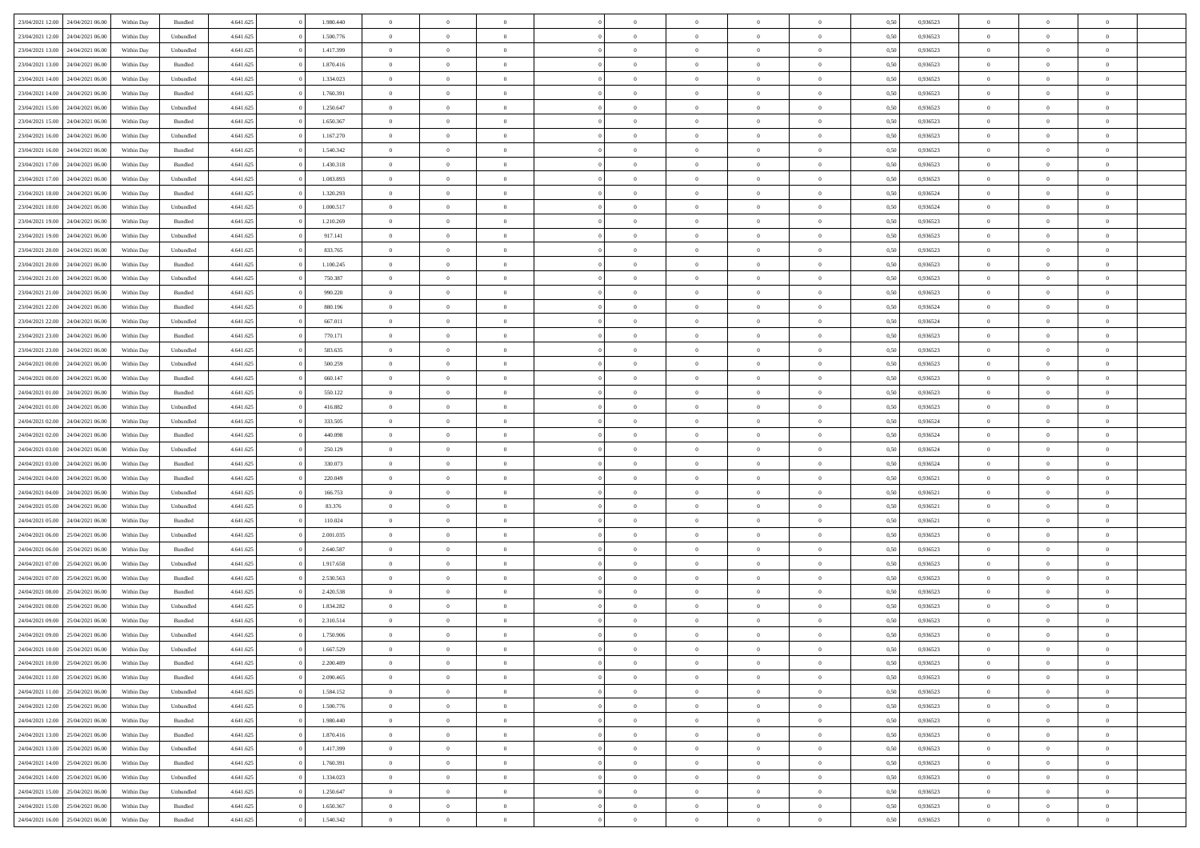| 23/04/2021 12:00                  | 24/04/2021 06:00 | Within Day | Bundled   | 4.641.625 | 1.980.440 | $\overline{0}$ | $\Omega$       |                | $\Omega$       | $\Omega$       | $\theta$       | $\theta$       | 0.50 | 0,936523 | $\theta$       | $\theta$       | $\overline{0}$ |  |
|-----------------------------------|------------------|------------|-----------|-----------|-----------|----------------|----------------|----------------|----------------|----------------|----------------|----------------|------|----------|----------------|----------------|----------------|--|
|                                   |                  |            |           |           |           |                |                |                |                |                |                |                |      |          |                |                |                |  |
| 23/04/2021 12:00                  | 24/04/2021 06.00 | Within Day | Unbundled | 4.641.625 | 1.500.776 | $\overline{0}$ | $\theta$       | $\overline{0}$ | $\overline{0}$ | $\bf{0}$       | $\overline{0}$ | $\bf{0}$       | 0,50 | 0,936523 | $\theta$       | $\overline{0}$ | $\overline{0}$ |  |
| 23/04/2021 13:00                  | 24/04/2021 06.00 | Within Day | Unbundled | 4.641.625 | 1.417.399 | $\overline{0}$ | $\bf{0}$       | $\overline{0}$ | $\overline{0}$ | $\bf{0}$       | $\overline{0}$ | $\mathbf{0}$   | 0,50 | 0,936523 | $\overline{0}$ | $\overline{0}$ | $\bf{0}$       |  |
| 23/04/2021 13:00                  | 24/04/2021 06:00 | Within Dav | Bundled   | 4.641.625 | 1.870.416 | $\overline{0}$ | $\overline{0}$ | $\overline{0}$ | $\overline{0}$ | $\bf{0}$       | $\overline{0}$ | $\overline{0}$ | 0.50 | 0.936523 | $\theta$       | $\theta$       | $\overline{0}$ |  |
|                                   |                  |            |           |           |           |                |                |                |                |                |                |                |      |          |                |                |                |  |
| 23/04/2021 14:00                  | 24/04/2021 06.00 | Within Day | Unbundled | 4.641.625 | 1.334.023 | $\overline{0}$ | $\theta$       | $\overline{0}$ | $\overline{0}$ | $\bf{0}$       | $\overline{0}$ | $\bf{0}$       | 0,50 | 0,936523 | $\theta$       | $\overline{0}$ | $\overline{0}$ |  |
| 23/04/2021 14:00                  | 24/04/2021 06.00 | Within Day | Bundled   | 4.641.625 | 1.760.391 | $\overline{0}$ | $\overline{0}$ | $\overline{0}$ | $\overline{0}$ | $\overline{0}$ | $\overline{0}$ | $\mathbf{0}$   | 0,50 | 0,936523 | $\overline{0}$ | $\overline{0}$ | $\bf{0}$       |  |
| 23/04/2021 15:00                  | 24/04/2021 06.00 | Within Dav | Unbundled | 4.641.625 | 1.250.647 | $\overline{0}$ | $\overline{0}$ | $\overline{0}$ | $\overline{0}$ | $\overline{0}$ | $\overline{0}$ | $\overline{0}$ | 0.50 | 0.936523 | $\theta$       | $\overline{0}$ | $\overline{0}$ |  |
| 23/04/2021 15:00                  | 24/04/2021 06.00 | Within Day | Bundled   | 4.641.625 | 1.650.367 | $\overline{0}$ | $\theta$       | $\overline{0}$ | $\overline{0}$ | $\bf{0}$       | $\overline{0}$ | $\bf{0}$       | 0,50 | 0,936523 | $\theta$       | $\theta$       | $\overline{0}$ |  |
|                                   | 24/04/2021 06.00 | Within Day | Unbundled | 4.641.625 | 1.167.270 | $\overline{0}$ | $\overline{0}$ | $\overline{0}$ | $\bf{0}$       | $\bf{0}$       | $\bf{0}$       | $\bf{0}$       | 0,50 | 0,936523 | $\,0\,$        | $\overline{0}$ | $\overline{0}$ |  |
| 23/04/2021 16:00                  |                  |            |           |           |           |                |                |                |                |                |                |                |      |          |                |                |                |  |
| 23/04/2021 16:00                  | 24/04/2021 06.00 | Within Dav | Bundled   | 4.641.625 | 1.540.342 | $\overline{0}$ | $\overline{0}$ | $\overline{0}$ | $\overline{0}$ | $\overline{0}$ | $\overline{0}$ | $\overline{0}$ | 0.50 | 0.936523 | $\theta$       | $\overline{0}$ | $\overline{0}$ |  |
| 23/04/2021 17:00                  | 24/04/2021 06.00 | Within Day | Bundled   | 4.641.625 | 1.430.318 | $\overline{0}$ | $\theta$       | $\overline{0}$ | $\overline{0}$ | $\bf{0}$       | $\overline{0}$ | $\bf{0}$       | 0,50 | 0,936523 | $\,$ 0 $\,$    | $\overline{0}$ | $\overline{0}$ |  |
| 23/04/2021 17:00                  | 24/04/2021 06.00 | Within Day | Unbundled | 4.641.625 | 1.083.893 | $\overline{0}$ | $\bf{0}$       | $\overline{0}$ | $\bf{0}$       | $\bf{0}$       | $\bf{0}$       | $\mathbf{0}$   | 0,50 | 0,936523 | $\bf{0}$       | $\overline{0}$ | $\bf{0}$       |  |
| 23/04/2021 18:00                  | 24/04/2021 06:00 | Within Day | Bundled   | 4.641.625 | 1.320.293 | $\overline{0}$ | $\overline{0}$ | $\overline{0}$ | $\overline{0}$ | $\bf{0}$       | $\overline{0}$ | $\overline{0}$ | 0.50 | 0.936524 | $\theta$       | $\theta$       | $\overline{0}$ |  |
| 23/04/2021 18:00                  | 24/04/2021 06.00 | Within Day | Unbundled | 4.641.625 | 1.000.517 | $\overline{0}$ | $\theta$       | $\overline{0}$ | $\overline{0}$ | $\bf{0}$       | $\overline{0}$ | $\bf{0}$       | 0,50 | 0,936524 | $\theta$       | $\overline{0}$ | $\overline{0}$ |  |
|                                   |                  |            |           |           |           |                |                |                |                |                |                |                |      |          |                |                |                |  |
| 23/04/2021 19:00                  | 24/04/2021 06.00 | Within Day | Bundled   | 4.641.625 | 1.210.269 | $\overline{0}$ | $\overline{0}$ | $\overline{0}$ | $\bf{0}$       | $\overline{0}$ | $\overline{0}$ | $\mathbf{0}$   | 0,50 | 0,936523 | $\bf{0}$       | $\overline{0}$ | $\bf{0}$       |  |
| 23/04/2021 19:00                  | 24/04/2021 06.00 | Within Dav | Unbundled | 4.641.625 | 917.141   | $\overline{0}$ | $\overline{0}$ | $\overline{0}$ | $\overline{0}$ | $\overline{0}$ | $\overline{0}$ | $\overline{0}$ | 0.50 | 0.936523 | $\theta$       | $\overline{0}$ | $\overline{0}$ |  |
| 23/04/2021 20:00                  | 24/04/2021 06.00 | Within Day | Unbundled | 4.641.625 | 833.765   | $\overline{0}$ | $\theta$       | $\overline{0}$ | $\overline{0}$ | $\bf{0}$       | $\overline{0}$ | $\bf{0}$       | 0,50 | 0,936523 | $\theta$       | $\theta$       | $\overline{0}$ |  |
| 23/04/2021 20:00                  | 24/04/2021 06.00 | Within Day | Bundled   | 4.641.625 | 1.100.245 | $\overline{0}$ | $\overline{0}$ | $\overline{0}$ | $\bf{0}$       | $\bf{0}$       | $\bf{0}$       | $\mathbf{0}$   | 0,50 | 0,936523 | $\,0\,$        | $\overline{0}$ | $\bf{0}$       |  |
| 23/04/2021 21:00                  | 24/04/2021 06.00 | Within Dav | Unbundled | 4.641.625 | 750.387   | $\overline{0}$ | $\overline{0}$ | $\overline{0}$ | $\overline{0}$ | $\overline{0}$ | $\overline{0}$ | $\overline{0}$ | 0.50 | 0.936523 | $\theta$       | $\overline{0}$ | $\overline{0}$ |  |
|                                   |                  |            |           |           |           |                |                |                |                |                |                |                |      |          |                |                |                |  |
| 23/04/2021 21:00                  | 24/04/2021 06.00 | Within Day | Bundled   | 4.641.625 | 990.220   | $\overline{0}$ | $\theta$       | $\overline{0}$ | $\overline{0}$ | $\bf{0}$       | $\overline{0}$ | $\bf{0}$       | 0,50 | 0,936523 | $\,$ 0 $\,$    | $\overline{0}$ | $\overline{0}$ |  |
| 23/04/2021 22:00                  | 24/04/2021 06.00 | Within Day | Bundled   | 4.641.625 | 880.196   | $\overline{0}$ | $\overline{0}$ | $\overline{0}$ | $\bf{0}$       | $\bf{0}$       | $\bf{0}$       | $\mathbf{0}$   | 0,50 | 0,936524 | $\bf{0}$       | $\overline{0}$ | $\bf{0}$       |  |
| 23/04/2021 22:00                  | 24/04/2021 06:00 | Within Day | Unbundled | 4.641.625 | 667.011   | $\overline{0}$ | $\overline{0}$ | $\overline{0}$ | $\overline{0}$ | $\bf{0}$       | $\overline{0}$ | $\overline{0}$ | 0.50 | 0.936524 | $\theta$       | $\overline{0}$ | $\overline{0}$ |  |
| 23/04/2021 23:00                  | 24/04/2021 06.00 | Within Day | Bundled   | 4.641.625 | 770.171   | $\overline{0}$ | $\theta$       | $\overline{0}$ | $\overline{0}$ | $\bf{0}$       | $\overline{0}$ | $\bf{0}$       | 0,50 | 0,936523 | $\,$ 0 $\,$    | $\overline{0}$ | $\overline{0}$ |  |
| 23/04/2021 23:00                  | 24/04/2021 06.00 | Within Day | Unbundled | 4.641.625 | 583.635   | $\overline{0}$ | $\overline{0}$ | $\overline{0}$ | $\bf{0}$       | $\overline{0}$ | $\overline{0}$ | $\mathbf{0}$   | 0,50 | 0,936523 | $\bf{0}$       | $\overline{0}$ | $\bf{0}$       |  |
|                                   |                  |            |           |           |           |                |                |                |                |                |                |                |      |          |                |                |                |  |
| 24/04/2021 00:00                  | 24/04/2021 06.00 | Within Dav | Unbundled | 4.641.625 | 500.259   | $\overline{0}$ | $\overline{0}$ | $\overline{0}$ | $\overline{0}$ | $\overline{0}$ | $\overline{0}$ | $\overline{0}$ | 0.50 | 0.936523 | $\theta$       | $\overline{0}$ | $\overline{0}$ |  |
| 24/04/2021 00:00                  | 24/04/2021 06.00 | Within Day | Bundled   | 4.641.625 | 660.147   | $\overline{0}$ | $\theta$       | $\overline{0}$ | $\overline{0}$ | $\bf{0}$       | $\overline{0}$ | $\bf{0}$       | 0,50 | 0,936523 | $\theta$       | $\theta$       | $\overline{0}$ |  |
| 24/04/2021 01:00                  | 24/04/2021 06.00 | Within Day | Bundled   | 4.641.625 | 550.122   | $\overline{0}$ | $\overline{0}$ | $\overline{0}$ | $\bf{0}$       | $\bf{0}$       | $\bf{0}$       | $\bf{0}$       | 0,50 | 0,936523 | $\,0\,$        | $\overline{0}$ | $\overline{0}$ |  |
| 24/04/2021 01:00                  | 24/04/2021 06.00 | Within Day | Unbundled | 4.641.625 | 416.882   | $\overline{0}$ | $\overline{0}$ | $\overline{0}$ | $\overline{0}$ | $\overline{0}$ | $\overline{0}$ | $\overline{0}$ | 0.50 | 0.936523 | $\theta$       | $\overline{0}$ | $\overline{0}$ |  |
| 24/04/2021 02:00                  | 24/04/2021 06.00 | Within Day | Unbundled | 4.641.625 | 333.505   | $\overline{0}$ | $\theta$       | $\overline{0}$ | $\overline{0}$ | $\bf{0}$       | $\overline{0}$ | $\bf{0}$       | 0,50 | 0,936524 | $\,$ 0 $\,$    | $\overline{0}$ | $\overline{0}$ |  |
| 24/04/2021 02:00                  | 24/04/2021 06.00 | Within Day | Bundled   | 4.641.625 | 440.098   | $\overline{0}$ | $\overline{0}$ | $\overline{0}$ | $\bf{0}$       | $\bf{0}$       | $\bf{0}$       | $\bf{0}$       | 0,50 | 0,936524 | $\overline{0}$ | $\overline{0}$ | $\bf{0}$       |  |
|                                   |                  |            |           |           |           | $\overline{0}$ | $\Omega$       |                | $\Omega$       | $\Omega$       |                |                |      | 0,936524 |                |                | $\theta$       |  |
| 24/04/2021 03:00                  | 24/04/2021 06.00 | Within Day | Unbundled | 4.641.625 | 250.129   |                |                | $\overline{0}$ |                |                | $\overline{0}$ | $\overline{0}$ | 0,50 |          | $\,0\,$        | $\theta$       |                |  |
| 24/04/2021 03:00                  | 24/04/2021 06.00 | Within Day | Bundled   | 4.641.625 | 330.073   | $\overline{0}$ | $\theta$       | $\overline{0}$ | $\overline{0}$ | $\bf{0}$       | $\overline{0}$ | $\bf{0}$       | 0,50 | 0,936524 | $\theta$       | $\overline{0}$ | $\overline{0}$ |  |
| 24/04/2021 04:00                  | 24/04/2021 06.00 | Within Day | Bundled   | 4.641.625 | 220.049   | $\overline{0}$ | $\overline{0}$ | $\overline{0}$ | $\overline{0}$ | $\overline{0}$ | $\overline{0}$ | $\mathbf{0}$   | 0,50 | 0,936521 | $\overline{0}$ | $\overline{0}$ | $\bf{0}$       |  |
| 24/04/2021 04:00                  | 24/04/2021 06:00 | Within Day | Unbundled | 4.641.625 | 166.753   | $\overline{0}$ | $\Omega$       | $\Omega$       | $\Omega$       | $\bf{0}$       | $\overline{0}$ | $\overline{0}$ | 0.50 | 0.936521 | $\,0\,$        | $\theta$       | $\theta$       |  |
| 24/04/2021 05:00                  | 24/04/2021 06.00 | Within Day | Unbundled | 4.641.625 | 83.376    | $\overline{0}$ | $\theta$       | $\overline{0}$ | $\overline{0}$ | $\bf{0}$       | $\overline{0}$ | $\bf{0}$       | 0,50 | 0,936521 | $\theta$       | $\overline{0}$ | $\overline{0}$ |  |
| 24/04/2021 05:00                  | 24/04/2021 06.00 | Within Day | Bundled   | 4.641.625 | 110.024   | $\overline{0}$ | $\overline{0}$ | $\overline{0}$ | $\overline{0}$ | $\bf{0}$       | $\overline{0}$ | $\bf{0}$       | 0,50 | 0,936521 | $\bf{0}$       | $\overline{0}$ | $\bf{0}$       |  |
|                                   |                  |            |           |           |           |                |                |                |                |                |                |                |      |          |                |                |                |  |
| 24/04/2021 06:00                  | 25/04/2021 06:00 | Within Day | Unbundled | 4.641.625 | 2.001.035 | $\overline{0}$ | $\Omega$       | $\Omega$       | $\Omega$       | $\overline{0}$ | $\overline{0}$ | $\overline{0}$ | 0.50 | 0.936523 | $\,$ 0 $\,$    | $\theta$       | $\theta$       |  |
| 24/04/2021 06:00                  | 25/04/2021 06:00 | Within Day | Bundled   | 4.641.625 | 2.640.587 | $\overline{0}$ | $\theta$       | $\overline{0}$ | $\overline{0}$ | $\,$ 0         | $\overline{0}$ | $\bf{0}$       | 0,50 | 0,936523 | $\,$ 0 $\,$    | $\overline{0}$ | $\overline{0}$ |  |
| 24/04/2021 07:00                  | 25/04/2021 06:00 | Within Day | Unbundled | 4.641.625 | 1.917.658 | $\overline{0}$ | $\bf{0}$       | $\overline{0}$ | $\overline{0}$ | $\bf{0}$       | $\overline{0}$ | $\mathbf{0}$   | 0,50 | 0,936523 | $\overline{0}$ | $\overline{0}$ | $\bf{0}$       |  |
| 24/04/2021 07:00                  | 25/04/2021 06.00 | Within Day | Bundled   | 4.641.625 | 2.530.563 | $\overline{0}$ | $\Omega$       | $\overline{0}$ | $\Omega$       | $\overline{0}$ | $\overline{0}$ | $\overline{0}$ | 0,50 | 0,936523 | $\,0\,$        | $\theta$       | $\theta$       |  |
| 24/04/2021 08:00                  | 25/04/2021 06:00 | Within Day | Bundled   | 4.641.625 | 2.420.538 | $\overline{0}$ | $\overline{0}$ | $\overline{0}$ | $\overline{0}$ | $\,$ 0         | $\overline{0}$ | $\bf{0}$       | 0,50 | 0,936523 | $\,$ 0 $\,$    | $\overline{0}$ | $\overline{0}$ |  |
| 24/04/2021 08:00                  | 25/04/2021 06:00 | Within Day | Unbundled | 4.641.625 | 1.834.282 | $\overline{0}$ | $\overline{0}$ | $\overline{0}$ | $\overline{0}$ | $\bf{0}$       | $\overline{0}$ | $\mathbf{0}$   | 0,50 | 0,936523 | $\overline{0}$ | $\overline{0}$ | $\bf{0}$       |  |
| 24/04/2021 09:00                  | 25/04/2021 06:00 |            |           |           | 2.310.514 | $\overline{0}$ | $\Omega$       | $\Omega$       | $\Omega$       | $\Omega$       | $\Omega$       | $\overline{0}$ | 0.50 | 0.936523 | $\theta$       | $\theta$       | $\theta$       |  |
|                                   |                  | Within Day | Bundled   | 4.641.625 |           |                |                |                |                |                |                |                |      |          |                |                |                |  |
| 24/04/2021 09:00                  | 25/04/2021 06:00 | Within Day | Unbundled | 4.641.625 | 1.750.906 | $\overline{0}$ | $\overline{0}$ | $\overline{0}$ | $\bf{0}$       | $\,$ 0         | $\overline{0}$ | $\bf{0}$       | 0,50 | 0,936523 | $\,0\,$        | $\,$ 0 $\,$    | $\overline{0}$ |  |
| 24/04/2021 10:00                  | 25/04/2021 06:00 | Within Day | Unbundled | 4.641.625 | 1.667.529 | $\bf{0}$       | $\bf{0}$       |                |                | $\bf{0}$       |                |                | 0,50 | 0,936523 | $\bf{0}$       | $\overline{0}$ |                |  |
| 24/04/2021 10:00                  | 25/04/2021 06:00 | Within Day | Bundled   | 4.641.625 | 2.200.489 | $\overline{0}$ | $\overline{0}$ | $\overline{0}$ | $\Omega$       | $\theta$       | $\overline{0}$ | $\overline{0}$ | 0.50 | 0.936523 | $\theta$       | $\theta$       | $\Omega$       |  |
| 24/04/2021 11:00                  | 25/04/2021 06:00 | Within Day | Bundled   | 4.641.625 | 2.090.465 | $\overline{0}$ | $\,$ 0         | $\overline{0}$ | $\overline{0}$ | $\,$ 0 $\,$    | $\overline{0}$ | $\mathbf{0}$   | 0,50 | 0,936523 | $\,$ 0 $\,$    | $\,$ 0 $\,$    | $\,$ 0         |  |
| 24/04/2021 11:00                  | 25/04/2021 06:00 | Within Day | Unbundled | 4.641.625 | 1.584.152 | $\overline{0}$ | $\overline{0}$ | $\overline{0}$ | $\overline{0}$ | $\overline{0}$ | $\overline{0}$ | $\mathbf{0}$   | 0,50 | 0,936523 | $\overline{0}$ | $\bf{0}$       | $\bf{0}$       |  |
|                                   |                  |            |           |           |           | $\overline{0}$ | $\overline{0}$ |                | $\Omega$       | $\overline{0}$ | $\overline{0}$ |                |      |          |                | $\theta$       | $\overline{0}$ |  |
| 24/04/2021 12:00                  | 25/04/2021 06:00 | Within Day | Unbundled | 4.641.625 | 1.500.776 |                |                | $\overline{0}$ |                |                |                | $\bf{0}$       | 0,50 | 0,936523 | $\overline{0}$ |                |                |  |
| 24/04/2021 12:00                  | 25/04/2021 06:00 | Within Day | Bundled   | 4.641.625 | 1.980.440 | $\overline{0}$ | $\,$ 0         | $\overline{0}$ | $\overline{0}$ | $\overline{0}$ | $\overline{0}$ | $\mathbf{0}$   | 0,50 | 0,936523 | $\,$ 0 $\,$    | $\overline{0}$ | $\overline{0}$ |  |
| 24/04/2021 13:00                  | 25/04/2021 06:00 | Within Day | Bundled   | 4.641.625 | 1.870.416 | $\overline{0}$ | $\overline{0}$ | $\overline{0}$ | $\overline{0}$ | $\overline{0}$ | $\overline{0}$ | $\mathbf{0}$   | 0,50 | 0,936523 | $\overline{0}$ | $\bf{0}$       | $\bf{0}$       |  |
| 24/04/2021 13:00                  | 25/04/2021 06:00 | Within Day | Unbundled | 4.641.625 | 1.417.399 | $\overline{0}$ | $\overline{0}$ | $\overline{0}$ | $\Omega$       | $\overline{0}$ | $\overline{0}$ | $\bf{0}$       | 0.50 | 0,936523 | $\overline{0}$ | $\theta$       | $\overline{0}$ |  |
| 24/04/2021 14:00                  | 25/04/2021 06:00 | Within Day | Bundled   | 4.641.625 | 1.760.391 | $\overline{0}$ | $\,$ 0         | $\overline{0}$ | $\bf{0}$       | $\bf{0}$       | $\bf{0}$       | $\bf{0}$       | 0,50 | 0,936523 | $\,$ 0 $\,$    | $\overline{0}$ | $\overline{0}$ |  |
| 24/04/2021 14:00                  | 25/04/2021 06:00 | Within Day | Unbundled | 4.641.625 | 1.334.023 | $\overline{0}$ | $\bf{0}$       | $\overline{0}$ | $\overline{0}$ | $\overline{0}$ | $\overline{0}$ | $\mathbf{0}$   | 0,50 | 0,936523 | $\overline{0}$ | $\overline{0}$ | $\bf{0}$       |  |
|                                   |                  |            |           |           |           |                |                |                |                |                |                |                |      |          |                |                |                |  |
| 24/04/2021 15:00                  | 25/04/2021 06:00 | Within Day | Unbundled | 4.641.625 | 1.250.647 | $\overline{0}$ | $\overline{0}$ | $\overline{0}$ | $\Omega$       | $\overline{0}$ | $\overline{0}$ | $\bf{0}$       | 0.50 | 0.936523 | $\overline{0}$ | $\theta$       | $\overline{0}$ |  |
| 24/04/2021 15:00                  | 25/04/2021 06:00 | Within Day | Bundled   | 4.641.625 | 1.650.367 | $\overline{0}$ | $\bf{0}$       | $\overline{0}$ | $\overline{0}$ | $\bf{0}$       | $\bf{0}$       | $\mathbf{0}$   | 0,50 | 0,936523 | $\,$ 0 $\,$    | $\,$ 0 $\,$    | $\bf{0}$       |  |
| 24/04/2021 16:00 25/04/2021 06:00 |                  | Within Day | Bundled   | 4.641.625 | 1.540.342 | $\overline{0}$ | $\overline{0}$ | $\overline{0}$ | $\overline{0}$ | $\bf{0}$       | $\bf{0}$       | $\mathbf{0}$   | 0,50 | 0,936523 | $\overline{0}$ | $\bf{0}$       | $\bf{0}$       |  |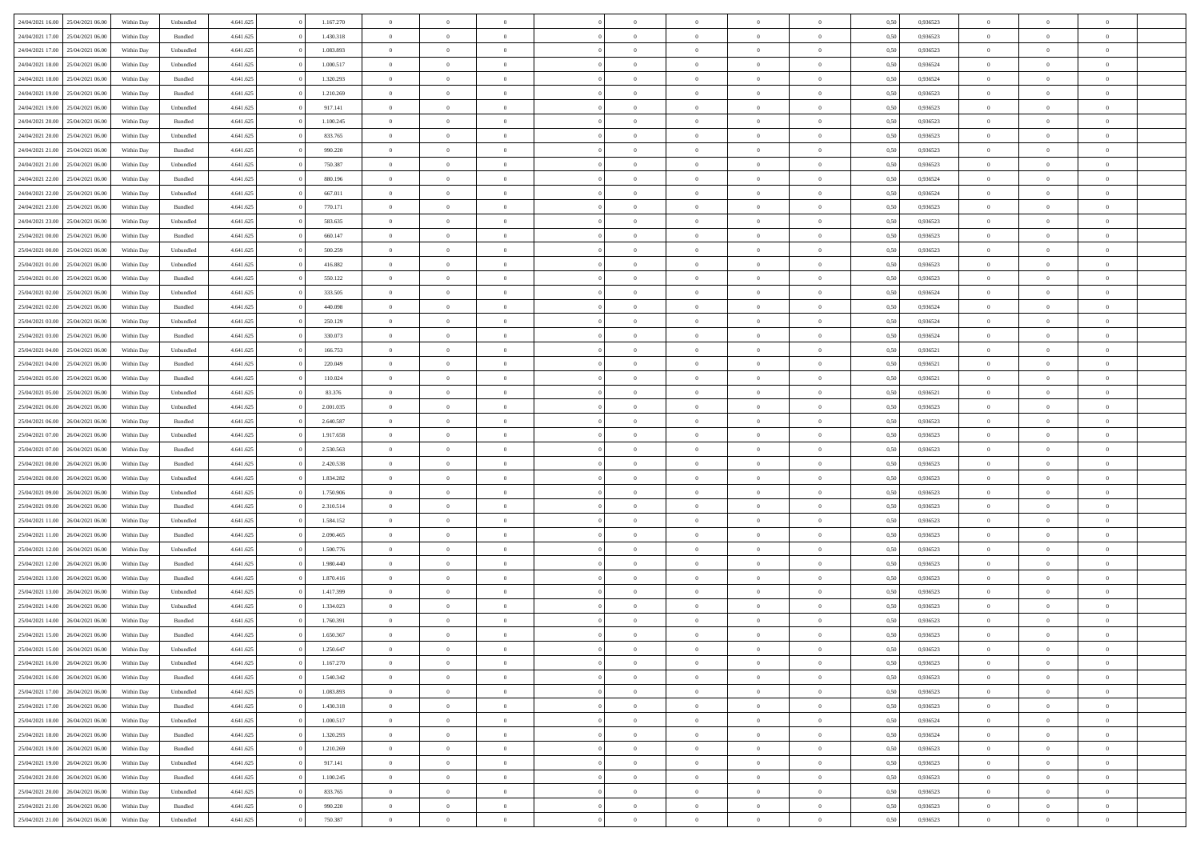|                  |                  |            |                    |           |           |                |                |                |                | $\Omega$       | $\theta$       | $\theta$       |      |          | $\theta$       | $\overline{0}$ | $\theta$       |  |
|------------------|------------------|------------|--------------------|-----------|-----------|----------------|----------------|----------------|----------------|----------------|----------------|----------------|------|----------|----------------|----------------|----------------|--|
| 24/04/2021 16:00 | 25/04/2021 06:00 | Within Day | Unbundled          | 4.641.625 | 1.167.270 | $\overline{0}$ | $\theta$       |                | $\Omega$       |                |                |                | 0,50 | 0,936523 |                |                |                |  |
| 24/04/2021 17:00 | 25/04/2021 06:00 | Within Day | Bundled            | 4.641.625 | 1.430.318 | $\overline{0}$ | $\theta$       | $\overline{0}$ | $\overline{0}$ | $\bf{0}$       | $\overline{0}$ | $\,$ 0 $\,$    | 0,50 | 0,936523 | $\theta$       | $\overline{0}$ | $\overline{0}$ |  |
| 24/04/2021 17:00 | 25/04/2021 06:00 | Within Day | Unbundled          | 4.641.625 | 1.083.893 | $\overline{0}$ | $\bf{0}$       | $\overline{0}$ | $\bf{0}$       | $\bf{0}$       | $\bf{0}$       | $\mathbf{0}$   | 0,50 | 0,936523 | $\overline{0}$ | $\overline{0}$ | $\bf{0}$       |  |
| 24/04/2021 18:00 | 25/04/2021 06:00 | Within Dav | Unbundled          | 4.641.625 | 1.000.517 | $\overline{0}$ | $\overline{0}$ | $\overline{0}$ | $\overline{0}$ | $\bf{0}$       | $\overline{0}$ | $\overline{0}$ | 0.50 | 0.936524 | $\theta$       | $\theta$       | $\overline{0}$ |  |
|                  |                  |            |                    |           |           |                |                |                |                |                |                |                |      |          |                |                |                |  |
| 24/04/2021 18:00 | 25/04/2021 06:00 | Within Day | Bundled            | 4.641.625 | 1.320.293 | $\overline{0}$ | $\theta$       | $\overline{0}$ | $\overline{0}$ | $\bf{0}$       | $\overline{0}$ | $\bf{0}$       | 0,50 | 0,936524 | $\theta$       | $\overline{0}$ | $\overline{0}$ |  |
| 24/04/2021 19:00 | 25/04/2021 06:00 | Within Day | Bundled            | 4.641.625 | 1.210.269 | $\overline{0}$ | $\overline{0}$ | $\overline{0}$ | $\bf{0}$       | $\overline{0}$ | $\overline{0}$ | $\mathbf{0}$   | 0,50 | 0,936523 | $\overline{0}$ | $\overline{0}$ | $\bf{0}$       |  |
| 24/04/2021 19:00 | 25/04/2021 06.00 | Within Dav | Unbundled          | 4.641.625 | 917.141   | $\overline{0}$ | $\overline{0}$ | $\overline{0}$ | $\overline{0}$ | $\overline{0}$ | $\overline{0}$ | $\overline{0}$ | 0.50 | 0.936523 | $\theta$       | $\overline{0}$ | $\overline{0}$ |  |
| 24/04/2021 20:00 | 25/04/2021 06:00 | Within Day | Bundled            | 4.641.625 | 1.100.245 | $\overline{0}$ | $\theta$       | $\overline{0}$ | $\overline{0}$ | $\bf{0}$       | $\overline{0}$ | $\bf{0}$       | 0,50 | 0,936523 | $\theta$       | $\theta$       | $\overline{0}$ |  |
|                  |                  |            |                    |           |           |                | $\overline{0}$ |                |                | $\bf{0}$       |                |                |      |          | $\,0\,$        | $\overline{0}$ | $\overline{0}$ |  |
| 24/04/2021 20:00 | 25/04/2021 06:00 | Within Day | Unbundled          | 4.641.625 | 833.765   | $\overline{0}$ |                | $\overline{0}$ | $\bf{0}$       |                | $\bf{0}$       | $\mathbf{0}$   | 0,50 | 0,936523 |                |                |                |  |
| 24/04/2021 21:00 | 25/04/2021 06:00 | Within Dav | Bundled            | 4.641.625 | 990.220   | $\overline{0}$ | $\overline{0}$ | $\overline{0}$ | $\overline{0}$ | $\overline{0}$ | $\overline{0}$ | $\overline{0}$ | 0.50 | 0.936523 | $\theta$       | $\overline{0}$ | $\overline{0}$ |  |
| 24/04/2021 21.00 | 25/04/2021 06:00 | Within Day | Unbundled          | 4.641.625 | 750.387   | $\overline{0}$ | $\theta$       | $\overline{0}$ | $\overline{0}$ | $\bf{0}$       | $\overline{0}$ | $\bf{0}$       | 0,50 | 0,936523 | $\,$ 0 $\,$    | $\overline{0}$ | $\overline{0}$ |  |
| 24/04/2021 22.00 | 25/04/2021 06:00 | Within Day | Bundled            | 4.641.625 | 880.196   | $\overline{0}$ | $\overline{0}$ | $\overline{0}$ | $\overline{0}$ | $\bf{0}$       | $\overline{0}$ | $\mathbf{0}$   | 0,50 | 0,936524 | $\bf{0}$       | $\overline{0}$ | $\bf{0}$       |  |
| 24/04/2021 22:00 | 25/04/2021 06:00 | Within Day | Unbundled          | 4.641.625 | 667.011   | $\overline{0}$ | $\overline{0}$ | $\overline{0}$ | $\overline{0}$ | $\bf{0}$       | $\overline{0}$ | $\overline{0}$ | 0.50 | 0.936524 | $\theta$       | $\theta$       | $\overline{0}$ |  |
|                  |                  |            |                    |           |           | $\overline{0}$ | $\theta$       | $\overline{0}$ | $\overline{0}$ | $\bf{0}$       | $\overline{0}$ |                |      |          | $\theta$       | $\overline{0}$ | $\overline{0}$ |  |
| 24/04/2021 23:00 | 25/04/2021 06:00 | Within Day | Bundled            | 4.641.625 | 770.171   |                |                |                |                |                |                | $\bf{0}$       | 0,50 | 0,936523 |                |                |                |  |
| 24/04/2021 23:00 | 25/04/2021 06:00 | Within Day | Unbundled          | 4.641.625 | 583.635   | $\overline{0}$ | $\overline{0}$ | $\overline{0}$ | $\overline{0}$ | $\overline{0}$ | $\overline{0}$ | $\mathbf{0}$   | 0,50 | 0,936523 | $\bf{0}$       | $\overline{0}$ | $\bf{0}$       |  |
| 25/04/2021 00:00 | 25/04/2021 06:00 | Within Dav | Bundled            | 4.641.625 | 660.147   | $\overline{0}$ | $\overline{0}$ | $\overline{0}$ | $\overline{0}$ | $\overline{0}$ | $\overline{0}$ | $\overline{0}$ | 0.50 | 0.936523 | $\theta$       | $\overline{0}$ | $\overline{0}$ |  |
| 25/04/2021 00:00 | 25/04/2021 06:00 | Within Day | Unbundled          | 4.641.625 | 500.259   | $\overline{0}$ | $\theta$       | $\overline{0}$ | $\overline{0}$ | $\bf{0}$       | $\overline{0}$ | $\bf{0}$       | 0,50 | 0,936523 | $\theta$       | $\theta$       | $\overline{0}$ |  |
| 25/04/2021 01:00 | 25/04/2021 06:00 | Within Day | Unbundled          | 4.641.625 | 416.882   | $\overline{0}$ | $\overline{0}$ | $\overline{0}$ | $\overline{0}$ | $\bf{0}$       | $\overline{0}$ | $\mathbf{0}$   | 0,50 | 0,936523 | $\bf{0}$       | $\overline{0}$ | $\bf{0}$       |  |
|                  |                  |            |                    |           |           |                |                |                |                |                |                |                |      |          |                |                |                |  |
| 25/04/2021 01:00 | 25/04/2021 06:00 | Within Day | Bundled            | 4.641.625 | 550.122   | $\overline{0}$ | $\overline{0}$ | $\overline{0}$ | $\overline{0}$ | $\overline{0}$ | $\overline{0}$ | $\overline{0}$ | 0.50 | 0.936523 | $\theta$       | $\overline{0}$ | $\overline{0}$ |  |
| 25/04/2021 02:00 | 25/04/2021 06:00 | Within Day | Unbundled          | 4.641.625 | 333.505   | $\overline{0}$ | $\theta$       | $\overline{0}$ | $\overline{0}$ | $\bf{0}$       | $\overline{0}$ | $\bf{0}$       | 0,50 | 0,936524 | $\,$ 0 $\,$    | $\overline{0}$ | $\overline{0}$ |  |
| 25/04/2021 02:00 | 25/04/2021 06:00 | Within Day | Bundled            | 4.641.625 | 440.098   | $\overline{0}$ | $\overline{0}$ | $\overline{0}$ | $\overline{0}$ | $\bf{0}$       | $\overline{0}$ | $\mathbf{0}$   | 0,50 | 0,936524 | $\bf{0}$       | $\overline{0}$ | $\bf{0}$       |  |
| 25/04/2021 03:00 | 25/04/2021 06:00 | Within Day | Unbundled          | 4.641.625 | 250.129   | $\overline{0}$ | $\overline{0}$ | $\overline{0}$ | $\overline{0}$ | $\overline{0}$ | $\overline{0}$ | $\overline{0}$ | 0.50 | 0.936524 | $\theta$       | $\overline{0}$ | $\overline{0}$ |  |
| 25/04/2021 03:00 | 25/04/2021 06:00 | Within Day | Bundled            | 4.641.625 | 330.073   | $\overline{0}$ | $\theta$       | $\overline{0}$ | $\overline{0}$ | $\bf{0}$       | $\overline{0}$ | $\,$ 0 $\,$    | 0,50 | 0,936524 | $\,$ 0 $\,$    | $\overline{0}$ | $\overline{0}$ |  |
|                  |                  |            |                    |           |           |                |                |                |                |                |                |                |      |          |                |                |                |  |
| 25/04/2021 04:00 | 25/04/2021 06:00 | Within Day | Unbundled          | 4.641.625 | 166.753   | $\overline{0}$ | $\overline{0}$ | $\overline{0}$ | $\overline{0}$ | $\overline{0}$ | $\overline{0}$ | $\mathbf{0}$   | 0,50 | 0,936521 | $\bf{0}$       | $\overline{0}$ | $\bf{0}$       |  |
| 25/04/2021 04:00 | 25/04/2021 06.00 | Within Dav | Bundled            | 4.641.625 | 220.049   | $\overline{0}$ | $\overline{0}$ | $\overline{0}$ | $\overline{0}$ | $\overline{0}$ | $\overline{0}$ | $\overline{0}$ | 0.50 | 0,936521 | $\theta$       | $\overline{0}$ | $\overline{0}$ |  |
| 25/04/2021 05:00 | 25/04/2021 06:00 | Within Day | Bundled            | 4.641.625 | 110.024   | $\overline{0}$ | $\theta$       | $\overline{0}$ | $\overline{0}$ | $\bf{0}$       | $\overline{0}$ | $\bf{0}$       | 0,50 | 0,936521 | $\theta$       | $\theta$       | $\overline{0}$ |  |
| 25/04/2021 05:00 | 25/04/2021 06:00 | Within Day | Unbundled          | 4.641.625 | 83.376    | $\overline{0}$ | $\overline{0}$ | $\overline{0}$ | $\overline{0}$ | $\bf{0}$       | $\overline{0}$ | $\mathbf{0}$   | 0,50 | 0,936521 | $\,0\,$        | $\overline{0}$ | $\bf{0}$       |  |
| 25/04/2021 06:00 | 26/04/2021 06:00 | Within Day | Unbundled          | 4.641.625 | 2.001.035 | $\overline{0}$ | $\overline{0}$ | $\overline{0}$ | $\overline{0}$ | $\overline{0}$ | $\overline{0}$ | $\overline{0}$ | 0.50 | 0.936523 | $\theta$       | $\overline{0}$ | $\overline{0}$ |  |
|                  |                  |            |                    |           |           |                |                |                |                |                |                |                |      |          |                |                |                |  |
| 25/04/2021 06:00 | 26/04/2021 06:00 | Within Day | Bundled            | 4.641.625 | 2.640.587 | $\overline{0}$ | $\theta$       | $\overline{0}$ | $\overline{0}$ | $\bf{0}$       | $\overline{0}$ | $\bf{0}$       | 0,50 | 0,936523 | $\,$ 0 $\,$    | $\overline{0}$ | $\overline{0}$ |  |
| 25/04/2021 07:00 | 26/04/2021 06:00 | Within Day | Unbundled          | 4.641.625 | 1.917.658 | $\overline{0}$ | $\overline{0}$ | $\overline{0}$ | $\overline{0}$ | $\bf{0}$       | $\overline{0}$ | $\mathbf{0}$   | 0,50 | 0,936523 | $\bf{0}$       | $\overline{0}$ | $\bf{0}$       |  |
| 25/04/2021 07:00 | 26/04/2021 06:00 | Within Day | Bundled            | 4.641.625 | 2.530.563 | $\overline{0}$ | $\Omega$       | $\overline{0}$ | $\Omega$       | $\Omega$       | $\overline{0}$ | $\overline{0}$ | 0,50 | 0,936523 | $\,0\,$        | $\theta$       | $\theta$       |  |
| 25/04/2021 08:00 | 26/04/2021 06:00 | Within Day | Bundled            | 4.641.625 | 2.420.538 | $\overline{0}$ | $\theta$       | $\overline{0}$ | $\overline{0}$ | $\bf{0}$       | $\overline{0}$ | $\bf{0}$       | 0,50 | 0,936523 | $\theta$       | $\overline{0}$ | $\overline{0}$ |  |
|                  |                  |            |                    |           |           |                |                |                |                |                |                |                |      |          |                | $\overline{0}$ | $\bf{0}$       |  |
| 25/04/2021 08:00 | 26/04/2021 06:00 | Within Day | Unbundled          | 4.641.625 | 1.834.282 | $\overline{0}$ | $\overline{0}$ | $\overline{0}$ | $\bf{0}$       | $\overline{0}$ | $\overline{0}$ | $\mathbf{0}$   | 0,50 | 0,936523 | $\bf{0}$       |                |                |  |
| 25/04/2021 09:00 | 26/04/2021 06:00 | Within Day | Unbundled          | 4.641.625 | 1.750.906 | $\overline{0}$ | $\Omega$       | $\Omega$       | $\Omega$       | $\overline{0}$ | $\overline{0}$ | $\overline{0}$ | 0.50 | 0.936523 | $\,0\,$        | $\theta$       | $\theta$       |  |
| 25/04/2021 09:00 | 26/04/2021 06:00 | Within Day | Bundled            | 4.641.625 | 2.310.514 | $\overline{0}$ | $\theta$       | $\overline{0}$ | $\overline{0}$ | $\bf{0}$       | $\overline{0}$ | $\bf{0}$       | 0,50 | 0,936523 | $\,$ 0 $\,$    | $\overline{0}$ | $\overline{0}$ |  |
| 25/04/2021 11:00 | 26/04/2021 06:00 | Within Day | Unbundled          | 4.641.625 | 1.584.152 | $\overline{0}$ | $\overline{0}$ | $\overline{0}$ | $\bf{0}$       | $\bf{0}$       | $\bf{0}$       | $\mathbf{0}$   | 0,50 | 0,936523 | $\bf{0}$       | $\overline{0}$ | $\bf{0}$       |  |
| 25/04/2021 11:00 | 26/04/2021 06:00 | Within Day | Bundled            | 4.641.625 | 2.090.465 | $\overline{0}$ | $\Omega$       | $\overline{0}$ | $\Omega$       | $\overline{0}$ | $\overline{0}$ | $\overline{0}$ | 0.50 | 0.936523 | $\,$ 0 $\,$    | $\theta$       | $\theta$       |  |
|                  |                  |            |                    |           |           | $\overline{0}$ | $\theta$       | $\overline{0}$ | $\overline{0}$ |                | $\overline{0}$ |                |      |          | $\,$ 0 $\,$    | $\overline{0}$ | $\overline{0}$ |  |
| 25/04/2021 12:00 | 26/04/2021 06:00 | Within Day | Unbundled          | 4.641.625 | 1.500.776 |                |                |                |                | $\,$ 0         |                | $\bf{0}$       | 0,50 | 0,936523 |                |                |                |  |
| 25/04/2021 12:00 | 26/04/2021 06:00 | Within Day | Bundled            | 4.641.625 | 1.980.440 | $\overline{0}$ | $\bf{0}$       | $\overline{0}$ | $\bf{0}$       | $\bf{0}$       | $\bf{0}$       | $\mathbf{0}$   | 0,50 | 0,936523 | $\bf{0}$       | $\overline{0}$ | $\bf{0}$       |  |
| 25/04/2021 13:00 | 26/04/2021 06:00 | Within Day | Bundled            | 4.641.625 | 1.870.416 | $\overline{0}$ | $\Omega$       | $\overline{0}$ | $\Omega$       | $\bf{0}$       | $\overline{0}$ | $\overline{0}$ | 0,50 | 0,936523 | $\,0\,$        | $\theta$       | $\theta$       |  |
| 25/04/2021 13:00 | 26/04/2021 06:00 | Within Day | Unbundled          | 4.641.625 | 1.417.399 | $\overline{0}$ | $\overline{0}$ | $\overline{0}$ | $\overline{0}$ | $\,$ 0         | $\overline{0}$ | $\bf{0}$       | 0,50 | 0,936523 | $\,$ 0 $\,$    | $\overline{0}$ | $\overline{0}$ |  |
| 25/04/2021 14:00 | 26/04/2021 06:00 | Within Day | Unbundled          | 4.641.625 | 1.334.023 | $\overline{0}$ | $\overline{0}$ | $\overline{0}$ | $\bf{0}$       | $\bf{0}$       | $\overline{0}$ | $\mathbf{0}$   | 0,50 | 0,936523 | $\overline{0}$ | $\overline{0}$ | $\bf{0}$       |  |
|                  | 26/04/2021 06:00 |            |                    |           | 1.760.391 | $\overline{0}$ | $\Omega$       | $\Omega$       | $\Omega$       | $\Omega$       | $\Omega$       | $\overline{0}$ | 0.50 | 0.936523 | $\theta$       | $\theta$       | $\theta$       |  |
| 25/04/2021 14:00 |                  | Within Day | Bundled            | 4.641.625 |           |                |                |                |                |                |                |                |      |          |                |                |                |  |
| 25/04/2021 15:00 | 26/04/2021 06:00 | Within Day | Bundled            | 4.641.625 | 1.650.367 | $\overline{0}$ | $\overline{0}$ | $\overline{0}$ | $\bf{0}$       | $\,$ 0         | $\bf{0}$       | $\bf{0}$       | 0,50 | 0,936523 | $\,0\,$        | $\,$ 0 $\,$    | $\overline{0}$ |  |
| 25/04/2021 15:00 | 26/04/2021 06:00 | Within Day | Unbundled          | 4.641.625 | 1.250.647 | $\bf{0}$       | $\bf{0}$       |                |                | $\bf{0}$       |                |                | 0,50 | 0,936523 | $\bf{0}$       | $\overline{0}$ |                |  |
| 25/04/2021 16:00 | 26/04/2021 06:00 | Within Day | Unbundled          | 4.641.625 | 1.167.270 | $\overline{0}$ | $\overline{0}$ | $\overline{0}$ | $\Omega$       | $\overline{0}$ | $\overline{0}$ | $\overline{0}$ | 0.50 | 0.936523 | $\theta$       | $\theta$       | $\theta$       |  |
| 25/04/2021 16:00 | 26/04/2021 06:00 | Within Day | Bundled            | 4.641.625 | 1.540.342 | $\overline{0}$ | $\,$ 0         | $\overline{0}$ | $\bf{0}$       | $\,$ 0 $\,$    | $\overline{0}$ | $\mathbf{0}$   | 0,50 | 0,936523 | $\,$ 0 $\,$    | $\,$ 0 $\,$    | $\,$ 0         |  |
|                  |                  |            |                    |           |           |                |                |                |                |                |                |                |      |          |                |                |                |  |
| 25/04/2021 17:00 | 26/04/2021 06:00 | Within Day | Unbundled          | 4.641.625 | 1.083.893 | $\overline{0}$ | $\overline{0}$ | $\overline{0}$ | $\overline{0}$ | $\overline{0}$ | $\overline{0}$ | $\mathbf{0}$   | 0,50 | 0,936523 | $\overline{0}$ | $\bf{0}$       | $\bf{0}$       |  |
| 25/04/2021 17:00 | 26/04/2021 06:00 | Within Day | $\mathbf B$ undled | 4.641.625 | 1.430.318 | $\overline{0}$ | $\overline{0}$ | $\overline{0}$ | $\Omega$       | $\overline{0}$ | $\overline{0}$ | $\overline{0}$ | 0,50 | 0,936523 | $\overline{0}$ | $\theta$       | $\overline{0}$ |  |
| 25/04/2021 18:00 | 26/04/2021 06:00 | Within Day | Unbundled          | 4.641.625 | 1.000.517 | $\overline{0}$ | $\,$ 0         | $\overline{0}$ | $\overline{0}$ | $\,$ 0 $\,$    | $\overline{0}$ | $\mathbf{0}$   | 0,50 | 0,936524 | $\,$ 0 $\,$    | $\overline{0}$ | $\overline{0}$ |  |
| 25/04/2021 18:00 | 26/04/2021 06:00 | Within Day | Bundled            | 4.641.625 | 1.320.293 | $\overline{0}$ | $\overline{0}$ | $\overline{0}$ | $\overline{0}$ | $\overline{0}$ | $\overline{0}$ | $\mathbf{0}$   | 0,50 | 0,936524 | $\overline{0}$ | $\overline{0}$ | $\bf{0}$       |  |
| 25/04/2021 19:00 | 26/04/2021 06:00 | Within Day | Bundled            | 4.641.625 | 1.210.269 | $\overline{0}$ | $\overline{0}$ | $\overline{0}$ | $\Omega$       | $\overline{0}$ | $\overline{0}$ | $\bf{0}$       | 0.50 | 0,936523 | $\overline{0}$ | $\theta$       | $\overline{0}$ |  |
|                  |                  |            |                    |           |           |                |                |                |                |                |                |                |      |          |                |                |                |  |
| 25/04/2021 19:00 | 26/04/2021 06:00 | Within Day | Unbundled          | 4.641.625 | 917.141   | $\overline{0}$ | $\,$ 0         | $\overline{0}$ | $\overline{0}$ | $\bf{0}$       | $\overline{0}$ | $\bf{0}$       | 0,50 | 0,936523 | $\,$ 0 $\,$    | $\overline{0}$ | $\overline{0}$ |  |
| 25/04/2021 20.00 | 26/04/2021 06:00 | Within Day | Bundled            | 4.641.625 | 1.100.245 | $\overline{0}$ | $\bf{0}$       | $\overline{0}$ | $\overline{0}$ | $\overline{0}$ | $\overline{0}$ | $\mathbf{0}$   | 0,50 | 0,936523 | $\overline{0}$ | $\overline{0}$ | $\bf{0}$       |  |
| 25/04/2021 20:00 | 26/04/2021 06:00 | Within Day | Unbundled          | 4.641.625 | 833.765   | $\overline{0}$ | $\overline{0}$ | $\overline{0}$ | $\Omega$       | $\overline{0}$ | $\overline{0}$ | $\bf{0}$       | 0.50 | 0.936523 | $\overline{0}$ | $\theta$       | $\overline{0}$ |  |
| 25/04/2021 21:00 | 26/04/2021 06:00 | Within Day | Bundled            | 4.641.625 | 990.220   | $\overline{0}$ | $\bf{0}$       | $\overline{0}$ | $\overline{0}$ | $\bf{0}$       | $\overline{0}$ | $\mathbf{0}$   | 0,50 | 0,936523 | $\,$ 0 $\,$    | $\,$ 0 $\,$    | $\bf{0}$       |  |
| 25/04/2021 21:00 | 26/04/2021 06:00 | Within Day | Unbundled          | 4.641.625 | 750.387   | $\overline{0}$ | $\overline{0}$ | $\overline{0}$ | $\overline{0}$ | $\bf{0}$       | $\overline{0}$ | $\mathbf{0}$   | 0,50 | 0,936523 | $\overline{0}$ | $\bf{0}$       | $\bf{0}$       |  |
|                  |                  |            |                    |           |           |                |                |                |                |                |                |                |      |          |                |                |                |  |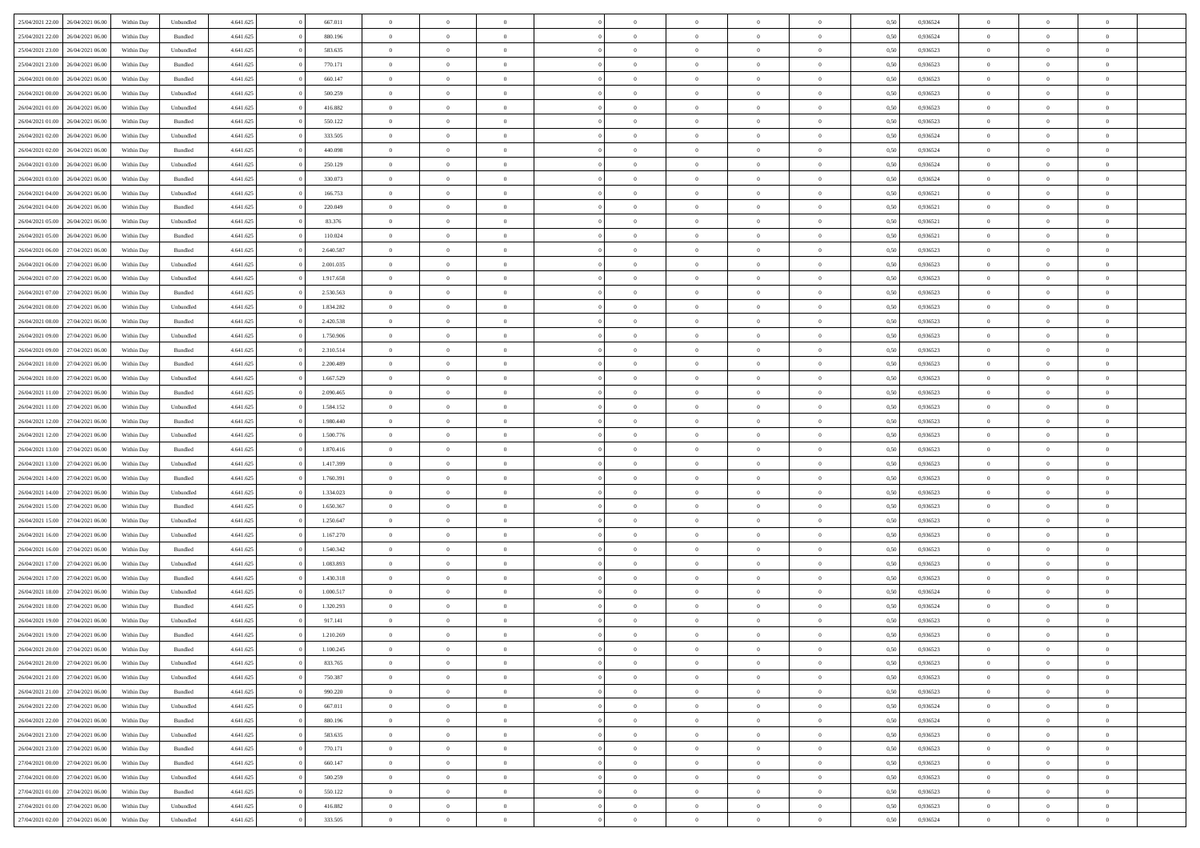| 25/04/2021 22:00                  | 26/04/2021 06:00 | Within Day | Unbundled          | 4.641.625 | 667.011   | $\overline{0}$ | $\theta$       |                | $\Omega$       | $\Omega$       | $\theta$       | $\theta$       | 0.50 | 0,936524 | $\theta$       | $\overline{0}$ | $\theta$       |  |
|-----------------------------------|------------------|------------|--------------------|-----------|-----------|----------------|----------------|----------------|----------------|----------------|----------------|----------------|------|----------|----------------|----------------|----------------|--|
| 25/04/2021 22.00                  | 26/04/2021 06:00 | Within Day | Bundled            | 4.641.625 | 880.196   | $\overline{0}$ | $\theta$       | $\overline{0}$ | $\overline{0}$ | $\bf{0}$       | $\overline{0}$ | $\bf{0}$       | 0,50 | 0,936524 | $\theta$       | $\overline{0}$ | $\overline{0}$ |  |
| 25/04/2021 23:00                  | 26/04/2021 06:00 | Within Day | Unbundled          | 4.641.625 | 583.635   | $\overline{0}$ | $\bf{0}$       | $\overline{0}$ | $\overline{0}$ | $\bf{0}$       | $\overline{0}$ | $\mathbf{0}$   | 0,50 | 0,936523 | $\bf{0}$       | $\overline{0}$ | $\bf{0}$       |  |
| 25/04/2021 23:00                  | 26/04/2021 06:00 | Within Dav | Bundled            | 4.641.625 | 770.171   | $\overline{0}$ | $\overline{0}$ | $\overline{0}$ | $\overline{0}$ | $\bf{0}$       | $\overline{0}$ | $\overline{0}$ | 0.50 | 0.936523 | $\theta$       | $\theta$       | $\overline{0}$ |  |
| 26/04/2021 00:00                  | 26/04/2021 06:00 | Within Day | Bundled            | 4.641.625 | 660.147   | $\overline{0}$ | $\theta$       | $\overline{0}$ | $\overline{0}$ | $\bf{0}$       | $\overline{0}$ | $\bf{0}$       | 0,50 | 0,936523 | $\theta$       | $\overline{0}$ | $\overline{0}$ |  |
| 26/04/2021 00:00                  | 26/04/2021 06:00 | Within Day | Unbundled          | 4.641.625 | 500.259   | $\overline{0}$ | $\overline{0}$ | $\overline{0}$ | $\overline{0}$ | $\overline{0}$ | $\overline{0}$ | $\mathbf{0}$   | 0,50 | 0,936523 | $\bf{0}$       | $\overline{0}$ | $\bf{0}$       |  |
| 26/04/2021 01:00                  | 26/04/2021 06:00 | Within Dav | Unbundled          | 4.641.625 | 416.882   | $\overline{0}$ | $\overline{0}$ | $\overline{0}$ | $\overline{0}$ | $\overline{0}$ | $\overline{0}$ | $\overline{0}$ | 0.50 | 0.936523 | $\theta$       | $\overline{0}$ | $\overline{0}$ |  |
|                                   |                  |            |                    |           |           | $\overline{0}$ |                |                |                |                |                |                |      |          |                |                |                |  |
| 26/04/2021 01:00                  | 26/04/2021 06:00 | Within Day | Bundled            | 4.641.625 | 550.122   |                | $\theta$       | $\overline{0}$ | $\overline{0}$ | $\bf{0}$       | $\overline{0}$ | $\bf{0}$       | 0,50 | 0,936523 | $\theta$       | $\theta$       | $\overline{0}$ |  |
| 26/04/2021 02:00                  | 26/04/2021 06:00 | Within Day | Unbundled          | 4.641.625 | 333.505   | $\overline{0}$ | $\overline{0}$ | $\overline{0}$ | $\overline{0}$ | $\bf{0}$       | $\overline{0}$ | $\bf{0}$       | 0,50 | 0,936524 | $\,0\,$        | $\overline{0}$ | $\overline{0}$ |  |
| 26/04/2021 02:00                  | 26/04/2021 06:00 | Within Dav | Bundled            | 4.641.625 | 440.098   | $\overline{0}$ | $\overline{0}$ | $\overline{0}$ | $\overline{0}$ | $\overline{0}$ | $\overline{0}$ | $\overline{0}$ | 0.50 | 0,936524 | $\theta$       | $\overline{0}$ | $\overline{0}$ |  |
| 26/04/2021 03:00                  | 26/04/2021 06:00 | Within Day | Unbundled          | 4.641.625 | 250.129   | $\overline{0}$ | $\theta$       | $\overline{0}$ | $\overline{0}$ | $\bf{0}$       | $\overline{0}$ | $\bf{0}$       | 0,50 | 0,936524 | $\,$ 0 $\,$    | $\overline{0}$ | $\overline{0}$ |  |
| 26/04/2021 03:00                  | 26/04/2021 06:00 | Within Day | Bundled            | 4.641.625 | 330.073   | $\overline{0}$ | $\bf{0}$       | $\overline{0}$ | $\overline{0}$ | $\bf{0}$       | $\overline{0}$ | $\mathbf{0}$   | 0,50 | 0,936524 | $\bf{0}$       | $\overline{0}$ | $\bf{0}$       |  |
| 26/04/2021 04:00                  | 26/04/2021 06:00 | Within Day | Unbundled          | 4.641.625 | 166.753   | $\overline{0}$ | $\overline{0}$ | $\overline{0}$ | $\overline{0}$ | $\bf{0}$       | $\overline{0}$ | $\overline{0}$ | 0.50 | 0,936521 | $\theta$       | $\theta$       | $\overline{0}$ |  |
| 26/04/2021 04:00                  | 26/04/2021 06:00 | Within Day | Bundled            | 4.641.625 | 220.049   | $\overline{0}$ | $\theta$       | $\overline{0}$ | $\overline{0}$ | $\bf{0}$       | $\overline{0}$ | $\bf{0}$       | 0,50 | 0,936521 | $\theta$       | $\overline{0}$ | $\overline{0}$ |  |
| 26/04/2021 05:00                  | 26/04/2021 06:00 | Within Day | Unbundled          | 4.641.625 | 83.376    | $\overline{0}$ | $\overline{0}$ | $\overline{0}$ | $\overline{0}$ | $\overline{0}$ | $\overline{0}$ | $\mathbf{0}$   | 0,50 | 0,936521 | $\bf{0}$       | $\overline{0}$ | $\bf{0}$       |  |
| 26/04/2021 05:00                  | 26/04/2021 06:00 | Within Dav | Bundled            | 4.641.625 | 110.024   | $\overline{0}$ | $\overline{0}$ | $\overline{0}$ | $\overline{0}$ | $\overline{0}$ | $\overline{0}$ | $\overline{0}$ | 0.50 | 0,936521 | $\theta$       | $\overline{0}$ | $\overline{0}$ |  |
| 26/04/2021 06:00                  | 27/04/2021 06.00 | Within Day | Bundled            | 4.641.625 | 2.640.587 | $\overline{0}$ | $\theta$       | $\overline{0}$ | $\overline{0}$ | $\bf{0}$       | $\overline{0}$ | $\bf{0}$       | 0,50 | 0,936523 | $\theta$       | $\theta$       | $\overline{0}$ |  |
| 26/04/2021 06:00                  | 27/04/2021 06:00 | Within Day | Unbundled          | 4.641.625 | 2.001.035 | $\overline{0}$ | $\overline{0}$ | $\overline{0}$ | $\bf{0}$       | $\bf{0}$       | $\bf{0}$       | $\mathbf{0}$   | 0,50 | 0,936523 | $\,0\,$        | $\overline{0}$ | $\overline{0}$ |  |
| 26/04/2021 07:00                  | 27/04/2021 06.00 | Within Dav | Unbundled          | 4.641.625 | 1.917.658 | $\overline{0}$ | $\overline{0}$ | $\overline{0}$ | $\overline{0}$ | $\overline{0}$ | $\overline{0}$ | $\overline{0}$ | 0.50 | 0.936523 | $\theta$       | $\overline{0}$ | $\overline{0}$ |  |
|                                   |                  |            |                    |           |           |                |                |                |                |                |                |                |      |          |                |                |                |  |
| 26/04/2021 07:00                  | 27/04/2021 06.00 | Within Day | Bundled            | 4.641.625 | 2.530.563 | $\overline{0}$ | $\theta$       | $\overline{0}$ | $\overline{0}$ | $\bf{0}$       | $\overline{0}$ | $\bf{0}$       | 0,50 | 0,936523 | $\,$ 0 $\,$    | $\overline{0}$ | $\overline{0}$ |  |
| 26/04/2021 08:00                  | 27/04/2021 06:00 | Within Day | Unbundled          | 4.641.625 | 1.834.282 | $\overline{0}$ | $\overline{0}$ | $\overline{0}$ | $\bf{0}$       | $\bf{0}$       | $\bf{0}$       | $\bf{0}$       | 0,50 | 0,936523 | $\bf{0}$       | $\overline{0}$ | $\bf{0}$       |  |
| 26/04/2021 08:00                  | 27/04/2021 06:00 | Within Day | Bundled            | 4.641.625 | 2.420.538 | $\overline{0}$ | $\overline{0}$ | $\overline{0}$ | $\overline{0}$ | $\bf{0}$       | $\overline{0}$ | $\overline{0}$ | 0.50 | 0.936523 | $\theta$       | $\overline{0}$ | $\overline{0}$ |  |
| 26/04/2021 09:00                  | 27/04/2021 06.00 | Within Day | Unbundled          | 4.641.625 | 1.750.906 | $\overline{0}$ | $\theta$       | $\overline{0}$ | $\overline{0}$ | $\bf{0}$       | $\overline{0}$ | $\,$ 0 $\,$    | 0,50 | 0,936523 | $\theta$       | $\overline{0}$ | $\overline{0}$ |  |
| 26/04/2021 09:00                  | 27/04/2021 06:00 | Within Day | Bundled            | 4.641.625 | 2.310.514 | $\overline{0}$ | $\overline{0}$ | $\overline{0}$ | $\bf{0}$       | $\overline{0}$ | $\overline{0}$ | $\mathbf{0}$   | 0,50 | 0,936523 | $\overline{0}$ | $\overline{0}$ | $\bf{0}$       |  |
| 26/04/2021 10:00                  | 27/04/2021 06.00 | Within Dav | Bundled            | 4.641.625 | 2.200.489 | $\overline{0}$ | $\overline{0}$ | $\overline{0}$ | $\overline{0}$ | $\overline{0}$ | $\overline{0}$ | $\overline{0}$ | 0.50 | 0.936523 | $\theta$       | $\overline{0}$ | $\overline{0}$ |  |
| 26/04/2021 10:00                  | 27/04/2021 06.00 | Within Day | Unbundled          | 4.641.625 | 1.667.529 | $\overline{0}$ | $\theta$       | $\overline{0}$ | $\overline{0}$ | $\bf{0}$       | $\overline{0}$ | $\bf{0}$       | 0,50 | 0,936523 | $\theta$       | $\theta$       | $\overline{0}$ |  |
| 26/04/2021 11:00                  | 27/04/2021 06:00 | Within Day | Bundled            | 4.641.625 | 2.090.465 | $\overline{0}$ | $\overline{0}$ | $\overline{0}$ | $\bf{0}$       | $\bf{0}$       | $\bf{0}$       | $\bf{0}$       | 0,50 | 0,936523 | $\,0\,$        | $\overline{0}$ | $\overline{0}$ |  |
| 26/04/2021 11:00                  | 27/04/2021 06.00 | Within Day | Unbundled          | 4.641.625 | 1.584.152 | $\overline{0}$ | $\overline{0}$ | $\overline{0}$ | $\overline{0}$ | $\overline{0}$ | $\overline{0}$ | $\overline{0}$ | 0.50 | 0.936523 | $\theta$       | $\overline{0}$ | $\overline{0}$ |  |
| 26/04/2021 12:00                  | 27/04/2021 06.00 | Within Day | Bundled            | 4.641.625 | 1.980.440 | $\overline{0}$ | $\theta$       | $\overline{0}$ | $\overline{0}$ | $\bf{0}$       | $\overline{0}$ | $\bf{0}$       | 0,50 | 0,936523 | $\,$ 0 $\,$    | $\overline{0}$ | $\overline{0}$ |  |
| 26/04/2021 12:00                  | 27/04/2021 06:00 | Within Day | Unbundled          | 4.641.625 | 1.500.776 | $\overline{0}$ | $\overline{0}$ | $\overline{0}$ | $\bf{0}$       | $\bf{0}$       | $\bf{0}$       | $\bf{0}$       | 0,50 | 0,936523 | $\overline{0}$ | $\overline{0}$ | $\bf{0}$       |  |
|                                   |                  |            |                    |           |           | $\overline{0}$ | $\Omega$       | $\Omega$       | $\Omega$       | $\Omega$       |                |                |      | 0,936523 |                |                | $\theta$       |  |
| 26/04/2021 13:00                  | 27/04/2021 06.00 | Within Day | Bundled            | 4.641.625 | 1.870.416 |                |                |                |                |                | $\overline{0}$ | $\overline{0}$ | 0,50 |          | $\,0\,$        | $\theta$       |                |  |
| 26/04/2021 13:00                  | 27/04/2021 06.00 | Within Day | Unbundled          | 4.641.625 | 1.417.399 | $\overline{0}$ | $\theta$       | $\overline{0}$ | $\overline{0}$ | $\bf{0}$       | $\overline{0}$ | $\bf{0}$       | 0,50 | 0,936523 | $\theta$       | $\overline{0}$ | $\overline{0}$ |  |
| 26/04/2021 14:00                  | 27/04/2021 06:00 | Within Day | Bundled            | 4.641.625 | 1.760.391 | $\overline{0}$ | $\overline{0}$ | $\overline{0}$ | $\bf{0}$       | $\overline{0}$ | $\overline{0}$ | $\mathbf{0}$   | 0,50 | 0,936523 | $\overline{0}$ | $\overline{0}$ | $\bf{0}$       |  |
| 26/04/2021 14:00                  | 27/04/2021 06:00 | Within Day | Unbundled          | 4.641.625 | 1.334.023 | $\overline{0}$ | $\Omega$       | $\Omega$       | $\Omega$       | $\bf{0}$       | $\overline{0}$ | $\overline{0}$ | 0.50 | 0.936523 | $\,0\,$        | $\theta$       | $\theta$       |  |
| 26/04/2021 15:00                  | 27/04/2021 06.00 | Within Day | Bundled            | 4.641.625 | 1.650.367 | $\overline{0}$ | $\theta$       | $\overline{0}$ | $\overline{0}$ | $\bf{0}$       | $\overline{0}$ | $\bf{0}$       | 0,50 | 0,936523 | $\theta$       | $\overline{0}$ | $\overline{0}$ |  |
| 26/04/2021 15:00                  | 27/04/2021 06:00 | Within Day | Unbundled          | 4.641.625 | 1.250.647 | $\overline{0}$ | $\overline{0}$ | $\overline{0}$ | $\bf{0}$       | $\bf{0}$       | $\bf{0}$       | $\bf{0}$       | 0,50 | 0,936523 | $\bf{0}$       | $\overline{0}$ | $\bf{0}$       |  |
| 26/04/2021 16:00                  | 27/04/2021 06:00 | Within Day | Unbundled          | 4.641.625 | 1.167.270 | $\overline{0}$ | $\Omega$       | $\Omega$       | $\Omega$       | $\theta$       | $\overline{0}$ | $\overline{0}$ | 0.50 | 0.936523 | $\,$ 0 $\,$    | $\theta$       | $\theta$       |  |
| 26/04/2021 16:00                  | 27/04/2021 06.00 | Within Day | Bundled            | 4.641.625 | 1.540.342 | $\overline{0}$ | $\theta$       | $\overline{0}$ | $\overline{0}$ | $\bf{0}$       | $\overline{0}$ | $\bf{0}$       | 0,50 | 0,936523 | $\,$ 0 $\,$    | $\overline{0}$ | $\overline{0}$ |  |
| 26/04/2021 17:00                  | 27/04/2021 06:00 | Within Day | Unbundled          | 4.641.625 | 1.083.893 | $\overline{0}$ | $\bf{0}$       | $\overline{0}$ | $\overline{0}$ | $\bf{0}$       | $\overline{0}$ | $\mathbf{0}$   | 0,50 | 0,936523 | $\bf{0}$       | $\overline{0}$ | $\bf{0}$       |  |
| 26/04/2021 17:00                  | 27/04/2021 06.00 | Within Day | Bundled            | 4.641.625 | 1.430.318 | $\overline{0}$ | $\Omega$       | $\overline{0}$ | $\Omega$       | $\overline{0}$ | $\overline{0}$ | $\overline{0}$ | 0.50 | 0,936523 | $\,0\,$        | $\theta$       | $\theta$       |  |
| 26/04/2021 18:00                  | 27/04/2021 06.00 | Within Day | Unbundled          | 4.641.625 | 1.000.517 | $\overline{0}$ | $\theta$       | $\overline{0}$ | $\overline{0}$ | $\,$ 0         | $\overline{0}$ | $\bf{0}$       | 0,50 | 0,936524 | $\,$ 0 $\,$    | $\overline{0}$ | $\overline{0}$ |  |
| 26/04/2021 18:00                  | 27/04/2021 06:00 | Within Day | Bundled            | 4.641.625 | 1.320.293 | $\overline{0}$ | $\overline{0}$ | $\overline{0}$ | $\overline{0}$ | $\bf{0}$       | $\overline{0}$ | $\mathbf{0}$   | 0,50 | 0,936524 | $\bf{0}$       | $\overline{0}$ | $\bf{0}$       |  |
| 26/04/2021 19:00                  | 27/04/2021 06:00 | Within Day | Unbundled          | 4.641.625 | 917.141   | $\overline{0}$ | $\Omega$       | $\Omega$       | $\Omega$       | $\Omega$       | $\Omega$       | $\overline{0}$ | 0.50 | 0.936523 | $\theta$       | $\theta$       | $\theta$       |  |
| 26/04/2021 19:00                  | 27/04/2021 06:00 | Within Day | Bundled            | 4.641.625 | 1.210.269 | $\overline{0}$ | $\overline{0}$ | $\overline{0}$ | $\bf{0}$       | $\,$ 0         | $\overline{0}$ | $\bf{0}$       | 0,50 | 0,936523 | $\,0\,$        | $\,$ 0 $\,$    | $\overline{0}$ |  |
|                                   |                  |            |                    |           |           |                |                |                |                |                |                |                |      |          |                |                |                |  |
| 26/04/2021 20:00                  | 27/04/2021 06:00 | Within Day | $\mathbf B$ undled | 4.641.625 | 1.100.245 | $\bf{0}$       | $\bf{0}$       |                |                |                |                |                | 0,50 | 0,936523 | $\bf{0}$       | $\overline{0}$ |                |  |
| 26/04/2021 20:00                  | 27/04/2021 06:00 | Within Day | Unbundled          | 4.641.625 | 833.765   | $\overline{0}$ | $\overline{0}$ | $\overline{0}$ | $\Omega$       | $\overline{0}$ | $\overline{0}$ | $\overline{0}$ | 0.50 | 0.936523 | $\theta$       | $\theta$       | $\theta$       |  |
| 26/04/2021 21:00                  | 27/04/2021 06.00 | Within Day | Unbundled          | 4.641.625 | 750.387   | $\overline{0}$ | $\,$ 0         | $\overline{0}$ | $\overline{0}$ | $\,$ 0 $\,$    | $\overline{0}$ | $\,$ 0 $\,$    | 0,50 | 0,936523 | $\,$ 0 $\,$    | $\,$ 0 $\,$    | $\,$ 0         |  |
| 26/04/2021 21.00                  | 27/04/2021 06:00 | Within Day | Bundled            | 4.641.625 | 990.220   | $\overline{0}$ | $\overline{0}$ | $\overline{0}$ | $\overline{0}$ | $\overline{0}$ | $\overline{0}$ | $\mathbf{0}$   | 0,50 | 0,936523 | $\overline{0}$ | $\bf{0}$       | $\bf{0}$       |  |
| 26/04/2021 22:00                  | 27/04/2021 06:00 | Within Day | Unbundled          | 4.641.625 | 667.011   | $\overline{0}$ | $\overline{0}$ | $\overline{0}$ | $\Omega$       | $\overline{0}$ | $\overline{0}$ | $\overline{0}$ | 0,50 | 0,936524 | $\overline{0}$ | $\theta$       | $\overline{0}$ |  |
| 26/04/2021 22.00                  | 27/04/2021 06.00 | Within Day | Bundled            | 4.641.625 | 880.196   | $\overline{0}$ | $\,$ 0         | $\overline{0}$ | $\overline{0}$ | $\,$ 0 $\,$    | $\overline{0}$ | $\mathbf{0}$   | 0,50 | 0,936524 | $\,$ 0 $\,$    | $\overline{0}$ | $\overline{0}$ |  |
| 26/04/2021 23.00                  | 27/04/2021 06:00 | Within Day | Unbundled          | 4.641.625 | 583.635   | $\overline{0}$ | $\overline{0}$ | $\overline{0}$ | $\overline{0}$ | $\overline{0}$ | $\overline{0}$ | $\mathbf{0}$   | 0,50 | 0,936523 | $\overline{0}$ | $\overline{0}$ | $\bf{0}$       |  |
| 26/04/2021 23:00                  | 27/04/2021 06:00 | Within Day | Bundled            | 4.641.625 | 770.171   | $\overline{0}$ | $\overline{0}$ | $\overline{0}$ | $\Omega$       | $\overline{0}$ | $\overline{0}$ | $\bf{0}$       | 0.50 | 0,936523 | $\overline{0}$ | $\theta$       | $\overline{0}$ |  |
| 27/04/2021 00:00                  | 27/04/2021 06.00 | Within Day | Bundled            | 4.641.625 | 660.147   | $\overline{0}$ | $\,$ 0         | $\overline{0}$ | $\overline{0}$ | $\bf{0}$       | $\overline{0}$ | $\bf{0}$       | 0,50 | 0,936523 | $\,$ 0 $\,$    | $\overline{0}$ | $\overline{0}$ |  |
| 27/04/2021 00:00                  | 27/04/2021 06:00 | Within Day | Unbundled          | 4.641.625 | 500.259   | $\overline{0}$ | $\bf{0}$       | $\overline{0}$ | $\overline{0}$ | $\overline{0}$ | $\overline{0}$ | $\mathbf{0}$   | 0,50 | 0,936523 | $\overline{0}$ | $\overline{0}$ | $\bf{0}$       |  |
| 27/04/2021 01:00                  | 27/04/2021 06:00 | Within Day | Bundled            | 4.641.625 | 550.122   | $\overline{0}$ | $\overline{0}$ | $\overline{0}$ | $\Omega$       | $\overline{0}$ | $\overline{0}$ | $\overline{0}$ | 0.50 | 0.936523 | $\overline{0}$ | $\theta$       | $\overline{0}$ |  |
| 27/04/2021 01:00                  | 27/04/2021 06.00 | Within Day | Unbundled          | 4.641.625 | 416.882   | $\overline{0}$ | $\bf{0}$       | $\overline{0}$ | $\overline{0}$ | $\bf{0}$       | $\bf{0}$       | $\mathbf{0}$   | 0,50 | 0,936523 | $\,$ 0 $\,$    | $\,$ 0 $\,$    | $\bf{0}$       |  |
|                                   |                  |            |                    |           |           |                |                |                |                |                |                |                |      |          |                |                |                |  |
| 27/04/2021 02.00 27/04/2021 06.00 |                  | Within Day | Unbundled          | 4.641.625 | 333.505   | $\overline{0}$ | $\bf{0}$       | $\overline{0}$ | $\bf{0}$       | $\bf{0}$       | $\bf{0}$       | $\bf{0}$       | 0,50 | 0,936524 | $\overline{0}$ | $\overline{0}$ | $\bf{0}$       |  |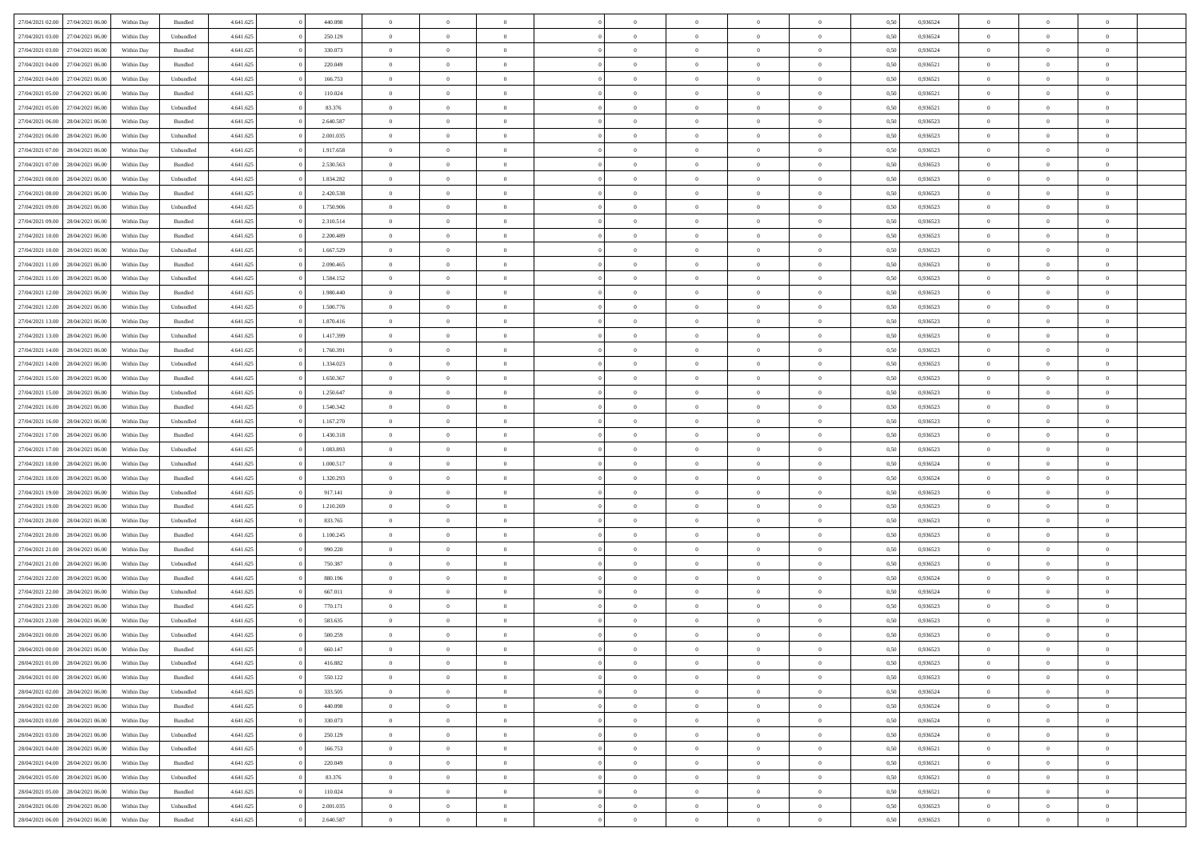| 27/04/2021 02:00 | 27/04/2021 06:00 | Within Day | Bundled            | 4.641.625 | 440.098   | $\overline{0}$ | $\Omega$       |                | $\Omega$       | $\Omega$       | $\theta$       | $\theta$       | 0.50 | 0,936524 | $\theta$       | $\theta$       | $\overline{0}$ |  |
|------------------|------------------|------------|--------------------|-----------|-----------|----------------|----------------|----------------|----------------|----------------|----------------|----------------|------|----------|----------------|----------------|----------------|--|
|                  |                  |            |                    |           |           |                |                |                |                |                |                |                |      |          |                |                |                |  |
| 27/04/2021 03:00 | 27/04/2021 06.00 | Within Day | Unbundled          | 4.641.625 | 250.129   | $\overline{0}$ | $\theta$       | $\overline{0}$ | $\overline{0}$ | $\bf{0}$       | $\overline{0}$ | $\bf{0}$       | 0,50 | 0,936524 | $\theta$       | $\overline{0}$ | $\overline{0}$ |  |
| 27/04/2021 03:00 | 27/04/2021 06:00 | Within Day | Bundled            | 4.641.625 | 330.073   | $\overline{0}$ | $\bf{0}$       | $\overline{0}$ | $\bf{0}$       | $\bf{0}$       | $\bf{0}$       | $\mathbf{0}$   | 0,50 | 0,936524 | $\bf{0}$       | $\overline{0}$ | $\bf{0}$       |  |
| 27/04/2021 04:00 | 27/04/2021 06:00 | Within Dav | Bundled            | 4.641.625 | 220.049   | $\overline{0}$ | $\overline{0}$ | $\overline{0}$ | $\overline{0}$ | $\bf{0}$       | $\overline{0}$ | $\overline{0}$ | 0.50 | 0.936521 | $\theta$       | $\theta$       | $\overline{0}$ |  |
|                  |                  |            |                    |           |           |                |                |                |                |                |                |                |      |          |                |                |                |  |
| 27/04/2021 04:00 | 27/04/2021 06.00 | Within Day | Unbundled          | 4.641.625 | 166.753   | $\overline{0}$ | $\theta$       | $\overline{0}$ | $\overline{0}$ | $\bf{0}$       | $\overline{0}$ | $\bf{0}$       | 0,50 | 0,936521 | $\theta$       | $\overline{0}$ | $\overline{0}$ |  |
| 27/04/2021 05:00 | 27/04/2021 06:00 | Within Day | Bundled            | 4.641.625 | 110.024   | $\overline{0}$ | $\overline{0}$ | $\overline{0}$ | $\bf{0}$       | $\overline{0}$ | $\overline{0}$ | $\mathbf{0}$   | 0,50 | 0,936521 | $\bf{0}$       | $\overline{0}$ | $\bf{0}$       |  |
| 27/04/2021 05:00 | 27/04/2021 06.00 | Within Dav | Unbundled          | 4.641.625 | 83.376    | $\overline{0}$ | $\overline{0}$ | $\overline{0}$ | $\overline{0}$ | $\overline{0}$ | $\overline{0}$ | $\overline{0}$ | 0.50 | 0,936521 | $\theta$       | $\overline{0}$ | $\overline{0}$ |  |
| 27/04/2021 06:00 | 28/04/2021 06:00 | Within Day | Bundled            | 4.641.625 | 2.640.587 | $\overline{0}$ | $\theta$       | $\overline{0}$ | $\overline{0}$ | $\bf{0}$       | $\overline{0}$ | $\bf{0}$       | 0,50 | 0,936523 | $\theta$       | $\theta$       | $\overline{0}$ |  |
|                  |                  |            |                    |           |           |                | $\overline{0}$ |                |                | $\bf{0}$       |                |                |      |          | $\,0\,$        | $\overline{0}$ | $\overline{0}$ |  |
| 27/04/2021 06:00 | 28/04/2021 06:00 | Within Day | Unbundled          | 4.641.625 | 2.001.035 | $\overline{0}$ |                | $\overline{0}$ | $\bf{0}$       |                | $\overline{0}$ | $\bf{0}$       | 0,50 | 0,936523 |                |                |                |  |
| 27/04/2021 07:00 | 28/04/2021 06:00 | Within Dav | Unbundled          | 4.641.625 | 1.917.658 | $\overline{0}$ | $\overline{0}$ | $\overline{0}$ | $\overline{0}$ | $\overline{0}$ | $\overline{0}$ | $\overline{0}$ | 0.50 | 0.936523 | $\theta$       | $\overline{0}$ | $\overline{0}$ |  |
| 27/04/2021 07:00 | 28/04/2021 06:00 | Within Day | Bundled            | 4.641.625 | 2.530.563 | $\overline{0}$ | $\theta$       | $\overline{0}$ | $\overline{0}$ | $\bf{0}$       | $\overline{0}$ | $\bf{0}$       | 0,50 | 0,936523 | $\,$ 0 $\,$    | $\overline{0}$ | $\overline{0}$ |  |
| 27/04/2021 08:00 | 28/04/2021 06:00 | Within Day | Unbundled          | 4.641.625 | 1.834.282 | $\overline{0}$ | $\overline{0}$ | $\overline{0}$ | $\overline{0}$ | $\bf{0}$       | $\overline{0}$ | $\mathbf{0}$   | 0,50 | 0,936523 | $\bf{0}$       | $\overline{0}$ | $\bf{0}$       |  |
| 27/04/2021 08:00 | 28/04/2021 06:00 | Within Day | Bundled            | 4.641.625 | 2.420.538 | $\overline{0}$ | $\overline{0}$ | $\overline{0}$ | $\overline{0}$ | $\bf{0}$       | $\overline{0}$ | $\overline{0}$ | 0.50 | 0.936523 | $\theta$       | $\theta$       | $\overline{0}$ |  |
|                  |                  |            |                    |           |           |                |                |                |                |                |                |                |      |          |                |                |                |  |
| 27/04/2021 09:00 | 28/04/2021 06:00 | Within Day | Unbundled          | 4.641.625 | 1.750.906 | $\overline{0}$ | $\theta$       | $\overline{0}$ | $\overline{0}$ | $\bf{0}$       | $\overline{0}$ | $\bf{0}$       | 0,50 | 0,936523 | $\theta$       | $\overline{0}$ | $\overline{0}$ |  |
| 27/04/2021 09:00 | 28/04/2021 06:00 | Within Day | Bundled            | 4.641.625 | 2.310.514 | $\overline{0}$ | $\overline{0}$ | $\overline{0}$ | $\overline{0}$ | $\overline{0}$ | $\overline{0}$ | $\mathbf{0}$   | 0,50 | 0,936523 | $\bf{0}$       | $\overline{0}$ | $\bf{0}$       |  |
| 27/04/2021 10:00 | 28/04/2021 06:00 | Within Dav | Bundled            | 4.641.625 | 2.200.489 | $\overline{0}$ | $\overline{0}$ | $\overline{0}$ | $\overline{0}$ | $\overline{0}$ | $\overline{0}$ | $\overline{0}$ | 0.50 | 0.936523 | $\theta$       | $\overline{0}$ | $\overline{0}$ |  |
| 27/04/2021 10:00 | 28/04/2021 06:00 | Within Day | Unbundled          | 4.641.625 | 1.667.529 | $\overline{0}$ | $\theta$       | $\overline{0}$ | $\overline{0}$ | $\bf{0}$       | $\overline{0}$ | $\bf{0}$       | 0,50 | 0,936523 | $\theta$       | $\theta$       | $\overline{0}$ |  |
| 27/04/2021 11:00 | 28/04/2021 06:00 | Within Day | Bundled            | 4.641.625 | 2.090.465 | $\overline{0}$ | $\overline{0}$ | $\overline{0}$ | $\overline{0}$ | $\bf{0}$       | $\overline{0}$ | $\bf{0}$       | 0,50 | 0,936523 | $\,0\,$        | $\overline{0}$ | $\overline{0}$ |  |
|                  |                  |            |                    |           |           |                |                |                |                |                |                |                |      |          |                |                |                |  |
| 27/04/2021 11:00 | 28/04/2021 06:00 | Within Dav | Unbundled          | 4.641.625 | 1.584.152 | $\overline{0}$ | $\overline{0}$ | $\overline{0}$ | $\overline{0}$ | $\overline{0}$ | $\overline{0}$ | $\overline{0}$ | 0.50 | 0.936523 | $\theta$       | $\overline{0}$ | $\overline{0}$ |  |
| 27/04/2021 12:00 | 28/04/2021 06:00 | Within Day | Bundled            | 4.641.625 | 1.980.440 | $\overline{0}$ | $\theta$       | $\overline{0}$ | $\overline{0}$ | $\bf{0}$       | $\overline{0}$ | $\bf{0}$       | 0,50 | 0,936523 | $\theta$       | $\overline{0}$ | $\overline{0}$ |  |
| 27/04/2021 12:00 | 28/04/2021 06:00 | Within Day | Unbundled          | 4.641.625 | 1.500.776 | $\overline{0}$ | $\overline{0}$ | $\overline{0}$ | $\overline{0}$ | $\bf{0}$       | $\overline{0}$ | $\bf{0}$       | 0,50 | 0,936523 | $\bf{0}$       | $\overline{0}$ | $\bf{0}$       |  |
| 27/04/2021 13:00 | 28/04/2021 06:00 | Within Day | Bundled            | 4.641.625 | 1.870.416 | $\overline{0}$ | $\overline{0}$ | $\overline{0}$ | $\overline{0}$ | $\bf{0}$       | $\overline{0}$ | $\overline{0}$ | 0.50 | 0.936523 | $\theta$       | $\overline{0}$ | $\overline{0}$ |  |
| 27/04/2021 13:00 | 28/04/2021 06:00 |            |                    | 4.641.625 | 1.417.399 | $\overline{0}$ | $\theta$       | $\overline{0}$ | $\overline{0}$ | $\bf{0}$       | $\overline{0}$ |                |      | 0,936523 | $\theta$       | $\overline{0}$ | $\overline{0}$ |  |
|                  |                  | Within Day | Unbundled          |           |           |                |                |                |                |                |                | $\bf{0}$       | 0,50 |          |                |                |                |  |
| 27/04/2021 14:00 | 28/04/2021 06:00 | Within Day | Bundled            | 4.641.625 | 1.760.391 | $\overline{0}$ | $\overline{0}$ | $\overline{0}$ | $\overline{0}$ | $\overline{0}$ | $\overline{0}$ | $\mathbf{0}$   | 0,50 | 0,936523 | $\bf{0}$       | $\overline{0}$ | $\bf{0}$       |  |
| 27/04/2021 14:00 | 28/04/2021 06:00 | Within Dav | Unbundled          | 4.641.625 | 1.334.023 | $\overline{0}$ | $\overline{0}$ | $\overline{0}$ | $\overline{0}$ | $\overline{0}$ | $\overline{0}$ | $\overline{0}$ | 0.50 | 0.936523 | $\theta$       | $\overline{0}$ | $\overline{0}$ |  |
| 27/04/2021 15:00 | 28/04/2021 06:00 | Within Day | Bundled            | 4.641.625 | 1.650.367 | $\overline{0}$ | $\theta$       | $\overline{0}$ | $\overline{0}$ | $\bf{0}$       | $\overline{0}$ | $\bf{0}$       | 0,50 | 0,936523 | $\theta$       | $\theta$       | $\overline{0}$ |  |
| 27/04/2021 15:00 | 28/04/2021 06:00 | Within Day | Unbundled          | 4.641.625 | 1.250.647 | $\overline{0}$ | $\overline{0}$ | $\overline{0}$ | $\bf{0}$       | $\bf{0}$       | $\bf{0}$       | $\bf{0}$       | 0,50 | 0,936523 | $\,0\,$        | $\overline{0}$ | $\overline{0}$ |  |
|                  |                  |            |                    |           |           |                | $\overline{0}$ |                |                | $\overline{0}$ |                |                |      |          | $\theta$       | $\overline{0}$ | $\overline{0}$ |  |
| 27/04/2021 16:00 | 28/04/2021 06:00 | Within Day | Bundled            | 4.641.625 | 1.540.342 | $\overline{0}$ |                | $\overline{0}$ | $\overline{0}$ |                | $\overline{0}$ | $\overline{0}$ | 0.50 | 0.936523 |                |                |                |  |
| 27/04/2021 16:00 | 28/04/2021 06:00 | Within Day | Unbundled          | 4.641.625 | 1.167.270 | $\overline{0}$ | $\theta$       | $\overline{0}$ | $\overline{0}$ | $\bf{0}$       | $\overline{0}$ | $\bf{0}$       | 0,50 | 0,936523 | $\,$ 0 $\,$    | $\overline{0}$ | $\overline{0}$ |  |
| 27/04/2021 17:00 | 28/04/2021 06:00 | Within Day | Bundled            | 4.641.625 | 1.430.318 | $\overline{0}$ | $\overline{0}$ | $\overline{0}$ | $\bf{0}$       | $\bf{0}$       | $\bf{0}$       | $\bf{0}$       | 0,50 | 0,936523 | $\bf{0}$       | $\overline{0}$ | $\bf{0}$       |  |
| 27/04/2021 17:00 | 28/04/2021 06:00 | Within Day | Unbundled          | 4.641.625 | 1.083.893 | $\overline{0}$ | $\Omega$       | $\Omega$       | $\Omega$       | $\Omega$       | $\overline{0}$ | $\overline{0}$ | 0,50 | 0,936523 | $\,0\,$        | $\theta$       | $\theta$       |  |
| 27/04/2021 18:00 | 28/04/2021 06:00 | Within Day | Unbundled          | 4.641.625 | 1.000.517 | $\overline{0}$ | $\theta$       | $\overline{0}$ | $\overline{0}$ | $\bf{0}$       | $\overline{0}$ | $\bf{0}$       | 0,50 | 0,936524 | $\theta$       | $\overline{0}$ | $\overline{0}$ |  |
|                  |                  |            |                    |           |           |                |                |                |                |                |                |                |      |          |                |                |                |  |
| 27/04/2021 18:00 | 28/04/2021 06:00 | Within Day | Bundled            | 4.641.625 | 1.320.293 | $\overline{0}$ | $\overline{0}$ | $\overline{0}$ | $\bf{0}$       | $\overline{0}$ | $\overline{0}$ | $\mathbf{0}$   | 0,50 | 0,936524 | $\bf{0}$       | $\overline{0}$ | $\bf{0}$       |  |
| 27/04/2021 19:00 | 28/04/2021 06:00 | Within Day | Unbundled          | 4.641.625 | 917.141   | $\overline{0}$ | $\Omega$       | $\Omega$       | $\Omega$       | $\bf{0}$       | $\overline{0}$ | $\overline{0}$ | 0.50 | 0.936523 | $\,0\,$        | $\theta$       | $\theta$       |  |
| 27/04/2021 19:00 | 28/04/2021 06:00 | Within Day | Bundled            | 4.641.625 | 1.210.269 | $\overline{0}$ | $\theta$       | $\overline{0}$ | $\overline{0}$ | $\bf{0}$       | $\overline{0}$ | $\bf{0}$       | 0,50 | 0,936523 | $\theta$       | $\overline{0}$ | $\overline{0}$ |  |
| 27/04/2021 20:00 | 28/04/2021 06:00 | Within Day | Unbundled          | 4.641.625 | 833.765   | $\overline{0}$ | $\overline{0}$ | $\overline{0}$ | $\bf{0}$       | $\bf{0}$       | $\bf{0}$       | $\bf{0}$       | 0,50 | 0,936523 | $\bf{0}$       | $\overline{0}$ | $\bf{0}$       |  |
| 27/04/2021 20:00 | 28/04/2021 06:00 | Within Day | Bundled            | 4.641.625 | 1.100.245 | $\overline{0}$ | $\Omega$       | $\Omega$       | $\Omega$       | $\theta$       | $\overline{0}$ | $\overline{0}$ | 0.50 | 0.936523 | $\theta$       | $\theta$       | $\theta$       |  |
|                  |                  |            |                    |           |           |                |                |                |                |                |                |                |      |          |                |                |                |  |
| 27/04/2021 21:00 | 28/04/2021 06:00 | Within Day | Bundled            | 4.641.625 | 990.220   | $\overline{0}$ | $\theta$       | $\overline{0}$ | $\overline{0}$ | $\bf{0}$       | $\overline{0}$ | $\bf{0}$       | 0,50 | 0,936523 | $\,$ 0 $\,$    | $\overline{0}$ | $\overline{0}$ |  |
| 27/04/2021 21:00 | 28/04/2021 06:00 | Within Day | Unbundled          | 4.641.625 | 750.387   | $\overline{0}$ | $\bf{0}$       | $\overline{0}$ | $\bf{0}$       | $\bf{0}$       | $\bf{0}$       | $\mathbf{0}$   | 0,50 | 0,936523 | $\bf{0}$       | $\overline{0}$ | $\bf{0}$       |  |
| 27/04/2021 22:00 | 28/04/2021 06:00 | Within Day | Bundled            | 4.641.625 | 880,196   | $\overline{0}$ | $\Omega$       | $\Omega$       | $\Omega$       | $\overline{0}$ | $\overline{0}$ | $\overline{0}$ | 0,50 | 0,936524 | $\,0\,$        | $\theta$       | $\theta$       |  |
| 27/04/2021 22.00 | 28/04/2021 06:00 | Within Day | Unbundled          | 4.641.625 | 667.011   | $\overline{0}$ | $\overline{0}$ | $\overline{0}$ | $\overline{0}$ | $\,$ 0         | $\overline{0}$ | $\bf{0}$       | 0,50 | 0,936524 | $\,$ 0 $\,$    | $\overline{0}$ | $\overline{0}$ |  |
| 27/04/2021 23:00 | 28/04/2021 06:00 | Within Day | Bundled            | 4.641.625 | 770.171   | $\overline{0}$ | $\overline{0}$ | $\overline{0}$ | $\bf{0}$       | $\bf{0}$       | $\bf{0}$       | $\mathbf{0}$   | 0,50 | 0,936523 | $\bf{0}$       | $\overline{0}$ | $\bf{0}$       |  |
|                  |                  |            |                    |           |           |                |                |                |                |                |                |                |      |          |                |                |                |  |
| 27/04/2021 23:00 | 28/04/2021 06:00 | Within Day | Unbundled          | 4.641.625 | 583.635   | $\overline{0}$ | $\Omega$       | $\Omega$       | $\Omega$       | $\Omega$       | $\Omega$       | $\overline{0}$ | 0.50 | 0.936523 | $\theta$       | $\theta$       | $\theta$       |  |
| 28/04/2021 00:00 | 28/04/2021 06:00 | Within Day | Unbundled          | 4.641.625 | 500.259   | $\overline{0}$ | $\overline{0}$ | $\overline{0}$ | $\bf{0}$       | $\,$ 0         | $\bf{0}$       | $\bf{0}$       | 0,50 | 0,936523 | $\,0\,$        | $\,$ 0 $\,$    | $\overline{0}$ |  |
| 28/04/2021 00:00 | 28/04/2021 06:00 | Within Day | $\mathbf B$ undled | 4.641.625 | 660.147   | $\bf{0}$       | $\bf{0}$       |                |                | $\bf{0}$       |                |                | 0,50 | 0,936523 | $\bf{0}$       | $\overline{0}$ |                |  |
| 28/04/2021 01:00 | 28/04/2021 06:00 | Within Day | Unbundled          | 4.641.625 | 416.882   | $\overline{0}$ | $\overline{0}$ | $\overline{0}$ | $\Omega$       | $\overline{0}$ | $\overline{0}$ | $\overline{0}$ | 0,50 | 0.936523 | $\theta$       | $\theta$       | $\theta$       |  |
| 28/04/2021 01:00 | 28/04/2021 06:00 | Within Day | Bundled            | 4.641.625 | 550.122   | $\overline{0}$ | $\,$ 0         | $\overline{0}$ | $\bf{0}$       | $\,$ 0 $\,$    | $\overline{0}$ | $\,$ 0 $\,$    | 0,50 | 0,936523 | $\,$ 0 $\,$    | $\,$ 0 $\,$    | $\,$ 0         |  |
|                  |                  |            |                    |           |           |                |                |                |                |                |                |                |      |          |                |                |                |  |
| 28/04/2021 02:00 | 28/04/2021 06:00 | Within Day | Unbundled          | 4.641.625 | 333.505   | $\overline{0}$ | $\overline{0}$ | $\overline{0}$ | $\overline{0}$ | $\overline{0}$ | $\overline{0}$ | $\mathbf{0}$   | 0,50 | 0,936524 | $\overline{0}$ | $\bf{0}$       | $\bf{0}$       |  |
| 28/04/2021 02:00 | 28/04/2021 06:00 | Within Day | $\mathbf B$ undled | 4.641.625 | 440,098   | $\overline{0}$ | $\overline{0}$ | $\overline{0}$ | $\Omega$       | $\overline{0}$ | $\overline{0}$ | $\overline{0}$ | 0,50 | 0,936524 | $\overline{0}$ | $\theta$       | $\overline{0}$ |  |
| 28/04/2021 03:00 | 28/04/2021 06:00 | Within Day | Bundled            | 4.641.625 | 330.073   | $\overline{0}$ | $\,$ 0         | $\overline{0}$ | $\overline{0}$ | $\,$ 0 $\,$    | $\overline{0}$ | $\mathbf{0}$   | 0,50 | 0,936524 | $\,$ 0 $\,$    | $\overline{0}$ | $\overline{0}$ |  |
| 28/04/2021 03:00 | 28/04/2021 06:00 | Within Day | Unbundled          | 4.641.625 | 250.129   | $\overline{0}$ | $\overline{0}$ | $\overline{0}$ | $\overline{0}$ | $\overline{0}$ | $\overline{0}$ | $\mathbf{0}$   | 0,50 | 0,936524 | $\overline{0}$ | $\bf{0}$       | $\bf{0}$       |  |
|                  | 28/04/2021 06:00 |            |                    |           |           |                | $\overline{0}$ | $\overline{0}$ | $\Omega$       | $\overline{0}$ | $\overline{0}$ |                | 0.50 |          |                | $\theta$       | $\overline{0}$ |  |
| 28/04/2021 04:00 |                  | Within Day | Unbundled          | 4.641.625 | 166.753   | $\overline{0}$ |                |                |                |                |                | $\bf{0}$       |      | 0,936521 | $\overline{0}$ |                |                |  |
| 28/04/2021 04:00 | 28/04/2021 06:00 | Within Day | Bundled            | 4.641.625 | 220.049   | $\overline{0}$ | $\,$ 0         | $\overline{0}$ | $\overline{0}$ | $\bf{0}$       | $\overline{0}$ | $\bf{0}$       | 0,50 | 0,936521 | $\,$ 0 $\,$    | $\overline{0}$ | $\overline{0}$ |  |
| 28/04/2021 05:00 | 28/04/2021 06:00 | Within Day | Unbundled          | 4.641.625 | 83.376    | $\overline{0}$ | $\bf{0}$       | $\overline{0}$ | $\overline{0}$ | $\overline{0}$ | $\overline{0}$ | $\mathbf{0}$   | 0,50 | 0,936521 | $\overline{0}$ | $\overline{0}$ | $\bf{0}$       |  |
| 28/04/2021 05:00 | 28/04/2021 06:00 | Within Day | Bundled            | 4.641.625 | 110.024   | $\overline{0}$ | $\overline{0}$ | $\overline{0}$ | $\Omega$       | $\overline{0}$ | $\overline{0}$ | $\overline{0}$ | 0.50 | 0.936521 | $\overline{0}$ | $\theta$       | $\overline{0}$ |  |
| 28/04/2021 06:00 | 29/04/2021 06.00 | Within Day | Unbundled          | 4.641.625 | 2.001.035 | $\overline{0}$ | $\bf{0}$       | $\overline{0}$ | $\overline{0}$ | $\bf{0}$       | $\overline{0}$ | $\mathbf{0}$   | 0,50 | 0,936523 | $\,$ 0 $\,$    | $\,$ 0 $\,$    | $\bf{0}$       |  |
|                  |                  |            |                    |           |           |                |                |                |                |                |                |                |      |          |                |                |                |  |
| 28/04/2021 06:00 | 29/04/2021 06:00 | Within Day | Bundled            | 4.641.625 | 2.640.587 | $\overline{0}$ | $\overline{0}$ | $\overline{0}$ | $\overline{0}$ | $\overline{0}$ | $\overline{0}$ | $\mathbf{0}$   | 0,50 | 0,936523 | $\overline{0}$ | $\bf{0}$       | $\bf{0}$       |  |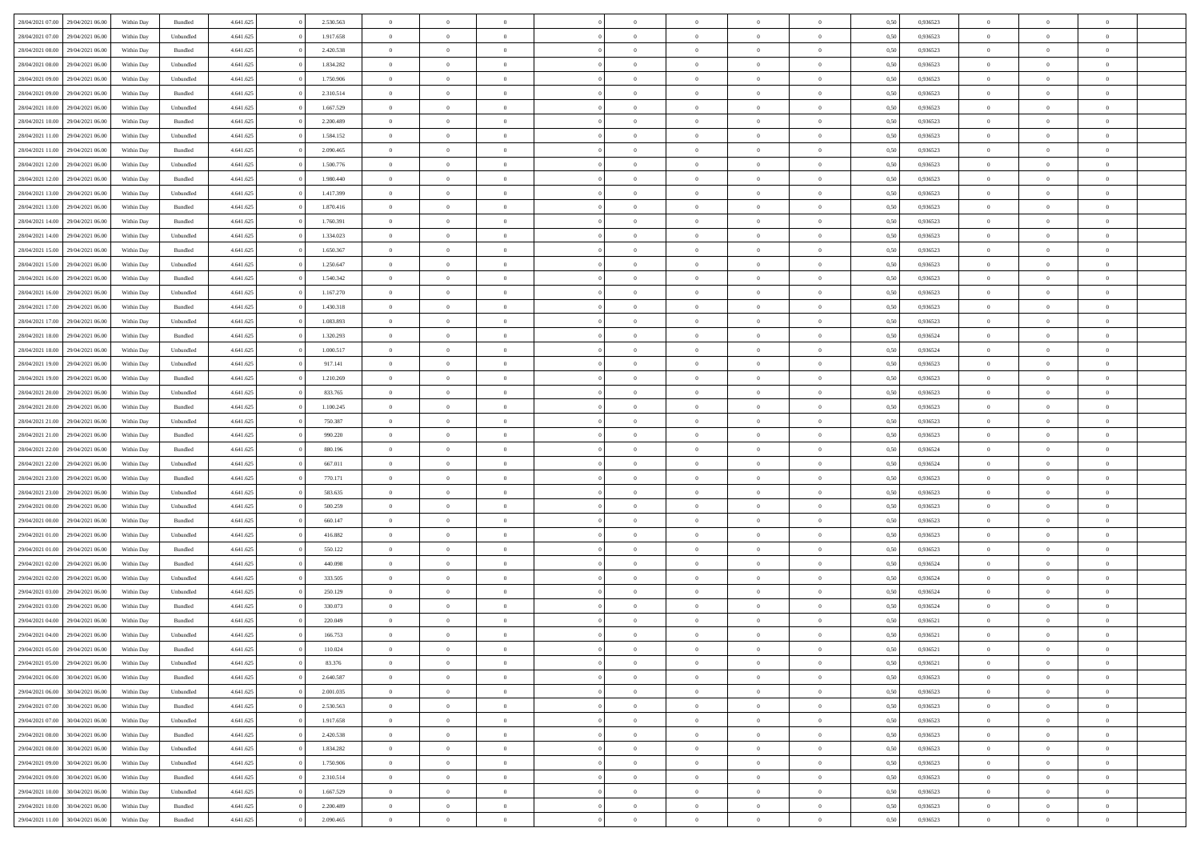| 28/04/2021 07:00 | 29/04/2021 06:00 | Within Day | Bundled            | 4.641.625 | 2.530.563 | $\overline{0}$ | $\Omega$       |                | $\Omega$       | $\Omega$       | $\theta$       | $\theta$       | 0.50 | 0,936523 | $\theta$       | $\theta$       | $\theta$       |  |
|------------------|------------------|------------|--------------------|-----------|-----------|----------------|----------------|----------------|----------------|----------------|----------------|----------------|------|----------|----------------|----------------|----------------|--|
|                  |                  |            |                    |           |           |                |                |                |                |                |                |                |      |          |                |                |                |  |
| 28/04/2021 07:00 | 29/04/2021 06.00 | Within Day | Unbundled          | 4.641.625 | 1.917.658 | $\overline{0}$ | $\theta$       | $\overline{0}$ | $\overline{0}$ | $\bf{0}$       | $\overline{0}$ | $\bf{0}$       | 0,50 | 0,936523 | $\theta$       | $\overline{0}$ | $\overline{0}$ |  |
| 28/04/2021 08:00 | 29/04/2021 06:00 | Within Day | Bundled            | 4.641.625 | 2.420.538 | $\overline{0}$ | $\bf{0}$       | $\overline{0}$ | $\overline{0}$ | $\bf{0}$       | $\overline{0}$ | $\mathbf{0}$   | 0,50 | 0,936523 | $\bf{0}$       | $\overline{0}$ | $\bf{0}$       |  |
| 28/04/2021 08:00 | 29/04/2021 06:00 | Within Day | Unbundled          | 4.641.625 | 1.834.282 | $\overline{0}$ | $\overline{0}$ | $\overline{0}$ | $\overline{0}$ | $\bf{0}$       | $\overline{0}$ | $\overline{0}$ | 0.50 | 0.936523 | $\theta$       | $\theta$       | $\overline{0}$ |  |
| 28/04/2021 09:00 | 29/04/2021 06.00 | Within Day | Unbundled          | 4.641.625 | 1.750.906 | $\overline{0}$ | $\theta$       | $\overline{0}$ | $\overline{0}$ | $\bf{0}$       | $\overline{0}$ | $\bf{0}$       | 0,50 | 0,936523 | $\theta$       | $\overline{0}$ | $\overline{0}$ |  |
| 28/04/2021 09:00 | 29/04/2021 06:00 | Within Day | Bundled            | 4.641.625 | 2.310.514 | $\overline{0}$ | $\overline{0}$ | $\overline{0}$ | $\overline{0}$ | $\overline{0}$ | $\overline{0}$ | $\mathbf{0}$   | 0,50 | 0,936523 | $\bf{0}$       | $\overline{0}$ | $\bf{0}$       |  |
|                  |                  |            |                    |           |           |                | $\overline{0}$ |                |                | $\overline{0}$ |                |                |      |          | $\theta$       | $\overline{0}$ | $\overline{0}$ |  |
| 28/04/2021 10:00 | 29/04/2021 06.00 | Within Dav | Unbundled          | 4.641.625 | 1.667.529 | $\overline{0}$ |                | $\overline{0}$ | $\overline{0}$ |                | $\overline{0}$ | $\overline{0}$ | 0.50 | 0.936523 |                |                |                |  |
| 28/04/2021 10:00 | 29/04/2021 06.00 | Within Day | Bundled            | 4.641.625 | 2.200.489 | $\overline{0}$ | $\theta$       | $\overline{0}$ | $\overline{0}$ | $\bf{0}$       | $\overline{0}$ | $\bf{0}$       | 0,50 | 0,936523 | $\theta$       | $\theta$       | $\overline{0}$ |  |
| 28/04/2021 11:00 | 29/04/2021 06.00 | Within Day | Unbundled          | 4.641.625 | 1.584.152 | $\overline{0}$ | $\overline{0}$ | $\overline{0}$ | $\overline{0}$ | $\bf{0}$       | $\overline{0}$ | $\bf{0}$       | 0,50 | 0,936523 | $\,0\,$        | $\overline{0}$ | $\overline{0}$ |  |
| 28/04/2021 11:00 | 29/04/2021 06.00 | Within Dav | Bundled            | 4.641.625 | 2.090.465 | $\overline{0}$ | $\overline{0}$ | $\overline{0}$ | $\overline{0}$ | $\overline{0}$ | $\overline{0}$ | $\overline{0}$ | 0.50 | 0.936523 | $\theta$       | $\overline{0}$ | $\overline{0}$ |  |
| 28/04/2021 12:00 | 29/04/2021 06.00 | Within Day | Unbundled          | 4.641.625 | 1.500.776 | $\overline{0}$ | $\theta$       | $\overline{0}$ | $\overline{0}$ | $\bf{0}$       | $\overline{0}$ | $\bf{0}$       | 0,50 | 0,936523 | $\,$ 0 $\,$    | $\overline{0}$ | $\overline{0}$ |  |
| 28/04/2021 12:00 | 29/04/2021 06:00 | Within Day | Bundled            | 4.641.625 | 1.980.440 | $\overline{0}$ | $\overline{0}$ | $\overline{0}$ | $\overline{0}$ | $\bf{0}$       | $\overline{0}$ | $\mathbf{0}$   | 0,50 | 0,936523 | $\bf{0}$       | $\overline{0}$ | $\bf{0}$       |  |
| 28/04/2021 13:00 | 29/04/2021 06:00 | Within Day | Unbundled          | 4.641.625 | 1.417.399 | $\overline{0}$ | $\overline{0}$ | $\overline{0}$ | $\overline{0}$ | $\bf{0}$       | $\overline{0}$ | $\overline{0}$ | 0.50 | 0.936523 | $\theta$       | $\theta$       | $\overline{0}$ |  |
| 28/04/2021 13:00 | 29/04/2021 06.00 |            |                    | 4.641.625 | 1.870.416 | $\overline{0}$ | $\theta$       | $\overline{0}$ | $\overline{0}$ | $\bf{0}$       | $\overline{0}$ |                |      | 0,936523 | $\theta$       | $\overline{0}$ | $\overline{0}$ |  |
|                  |                  | Within Day | Bundled            |           |           |                |                |                |                |                |                | $\bf{0}$       | 0,50 |          |                |                |                |  |
| 28/04/2021 14:00 | 29/04/2021 06:00 | Within Day | Bundled            | 4.641.625 | 1.760.391 | $\overline{0}$ | $\overline{0}$ | $\overline{0}$ | $\overline{0}$ | $\overline{0}$ | $\overline{0}$ | $\mathbf{0}$   | 0,50 | 0,936523 | $\bf{0}$       | $\overline{0}$ | $\bf{0}$       |  |
| 28/04/2021 14:00 | 29/04/2021 06:00 | Within Dav | Unbundled          | 4.641.625 | 1.334.023 | $\overline{0}$ | $\overline{0}$ | $\overline{0}$ | $\overline{0}$ | $\overline{0}$ | $\overline{0}$ | $\overline{0}$ | 0.50 | 0.936523 | $\theta$       | $\overline{0}$ | $\overline{0}$ |  |
| 28/04/2021 15:00 | 29/04/2021 06.00 | Within Day | Bundled            | 4.641.625 | 1.650.367 | $\overline{0}$ | $\theta$       | $\overline{0}$ | $\overline{0}$ | $\bf{0}$       | $\overline{0}$ | $\bf{0}$       | 0,50 | 0,936523 | $\theta$       | $\theta$       | $\overline{0}$ |  |
| 28/04/2021 15:00 | 29/04/2021 06.00 | Within Day | Unbundled          | 4.641.625 | 1.250.647 | $\overline{0}$ | $\overline{0}$ | $\overline{0}$ | $\overline{0}$ | $\bf{0}$       | $\overline{0}$ | $\mathbf{0}$   | 0,50 | 0,936523 | $\,0\,$        | $\overline{0}$ | $\overline{0}$ |  |
| 28/04/2021 16:00 | 29/04/2021 06.00 | Within Day | Bundled            | 4.641.625 | 1.540.342 | $\overline{0}$ | $\overline{0}$ | $\overline{0}$ | $\overline{0}$ | $\overline{0}$ | $\overline{0}$ | $\overline{0}$ | 0.50 | 0.936523 | $\theta$       | $\overline{0}$ | $\overline{0}$ |  |
| 28/04/2021 16:00 | 29/04/2021 06.00 | Within Day | Unbundled          | 4.641.625 | 1.167.270 | $\overline{0}$ | $\theta$       | $\overline{0}$ | $\overline{0}$ | $\bf{0}$       | $\overline{0}$ | $\bf{0}$       | 0,50 | 0,936523 | $\,$ 0 $\,$    | $\overline{0}$ | $\overline{0}$ |  |
| 28/04/2021 17:00 | 29/04/2021 06:00 | Within Day | Bundled            | 4.641.625 | 1.430.318 | $\overline{0}$ | $\overline{0}$ | $\overline{0}$ | $\overline{0}$ | $\bf{0}$       | $\overline{0}$ | $\bf{0}$       | 0,50 | 0,936523 | $\overline{0}$ | $\overline{0}$ | $\bf{0}$       |  |
| 28/04/2021 17:00 | 29/04/2021 06:00 | Within Day | Unbundled          | 4.641.625 | 1.083.893 | $\overline{0}$ | $\overline{0}$ | $\overline{0}$ | $\overline{0}$ | $\bf{0}$       | $\overline{0}$ | $\overline{0}$ | 0.50 | 0.936523 | $\theta$       | $\overline{0}$ | $\overline{0}$ |  |
|                  |                  |            |                    |           |           |                |                |                |                |                |                |                |      |          |                |                |                |  |
| 28/04/2021 18:00 | 29/04/2021 06.00 | Within Day | Bundled            | 4.641.625 | 1.320.293 | $\overline{0}$ | $\theta$       | $\overline{0}$ | $\overline{0}$ | $\bf{0}$       | $\overline{0}$ | $\bf{0}$       | 0,50 | 0,936524 | $\theta$       | $\overline{0}$ | $\overline{0}$ |  |
| 28/04/2021 18:00 | 29/04/2021 06:00 | Within Day | Unbundled          | 4.641.625 | 1.000.517 | $\overline{0}$ | $\overline{0}$ | $\overline{0}$ | $\bf{0}$       | $\overline{0}$ | $\overline{0}$ | $\mathbf{0}$   | 0,50 | 0,936524 | $\overline{0}$ | $\overline{0}$ | $\bf{0}$       |  |
| 28/04/2021 19:00 | 29/04/2021 06.00 | Within Dav | Unbundled          | 4.641.625 | 917.141   | $\overline{0}$ | $\overline{0}$ | $\overline{0}$ | $\overline{0}$ | $\overline{0}$ | $\overline{0}$ | $\overline{0}$ | 0.50 | 0.936523 | $\theta$       | $\overline{0}$ | $\overline{0}$ |  |
| 28/04/2021 19:00 | 29/04/2021 06.00 | Within Day | Bundled            | 4.641.625 | 1.210.269 | $\overline{0}$ | $\theta$       | $\overline{0}$ | $\overline{0}$ | $\bf{0}$       | $\overline{0}$ | $\bf{0}$       | 0,50 | 0,936523 | $\theta$       | $\theta$       | $\overline{0}$ |  |
| 28/04/2021 20:00 | 29/04/2021 06.00 | Within Day | Unbundled          | 4.641.625 | 833.765   | $\overline{0}$ | $\overline{0}$ | $\overline{0}$ | $\bf{0}$       | $\bf{0}$       | $\bf{0}$       | $\bf{0}$       | 0,50 | 0,936523 | $\,0\,$        | $\overline{0}$ | $\overline{0}$ |  |
| 28/04/2021 20:00 | 29/04/2021 06.00 | Within Day | Bundled            | 4.641.625 | 1.100.245 | $\overline{0}$ | $\overline{0}$ | $\overline{0}$ | $\overline{0}$ | $\overline{0}$ | $\overline{0}$ | $\overline{0}$ | 0.50 | 0.936523 | $\theta$       | $\overline{0}$ | $\overline{0}$ |  |
| 28/04/2021 21:00 | 29/04/2021 06.00 | Within Day | Unbundled          | 4.641.625 | 750.387   | $\overline{0}$ | $\theta$       | $\overline{0}$ | $\overline{0}$ | $\bf{0}$       | $\overline{0}$ | $\bf{0}$       | 0,50 | 0,936523 | $\,$ 0 $\,$    | $\overline{0}$ | $\overline{0}$ |  |
|                  |                  |            |                    |           |           |                |                |                |                |                |                |                |      |          |                |                |                |  |
| 28/04/2021 21.00 | 29/04/2021 06:00 | Within Day | Bundled            | 4.641.625 | 990.220   | $\overline{0}$ | $\bf{0}$       | $\overline{0}$ | $\bf{0}$       | $\bf{0}$       | $\bf{0}$       | $\bf{0}$       | 0,50 | 0,936523 | $\overline{0}$ | $\overline{0}$ | $\bf{0}$       |  |
| 28/04/2021 22:00 | 29/04/2021 06.00 | Within Day | Bundled            | 4.641.625 | 880,196   | $\overline{0}$ | $\Omega$       | $\Omega$       | $\Omega$       | $\Omega$       | $\overline{0}$ | $\overline{0}$ | 0,50 | 0,936524 | $\,0\,$        | $\theta$       | $\theta$       |  |
| 28/04/2021 22:00 | 29/04/2021 06.00 | Within Day | Unbundled          | 4.641.625 | 667.011   | $\overline{0}$ | $\theta$       | $\overline{0}$ | $\overline{0}$ | $\bf{0}$       | $\overline{0}$ | $\bf{0}$       | 0,50 | 0,936524 | $\theta$       | $\overline{0}$ | $\overline{0}$ |  |
| 28/04/2021 23:00 | 29/04/2021 06:00 | Within Day | Bundled            | 4.641.625 | 770.171   | $\overline{0}$ | $\overline{0}$ | $\overline{0}$ | $\overline{0}$ | $\overline{0}$ | $\overline{0}$ | $\mathbf{0}$   | 0,50 | 0,936523 | $\bf{0}$       | $\overline{0}$ | $\bf{0}$       |  |
| 28/04/2021 23:00 | 29/04/2021 06:00 | Within Day | Unbundled          | 4.641.625 | 583.635   | $\overline{0}$ | $\Omega$       | $\Omega$       | $\Omega$       | $\bf{0}$       | $\overline{0}$ | $\overline{0}$ | 0.50 | 0.936523 | $\,0\,$        | $\theta$       | $\theta$       |  |
| 29/04/2021 00:00 | 29/04/2021 06.00 | Within Day | Unbundled          | 4.641.625 | 500.259   | $\overline{0}$ | $\theta$       | $\overline{0}$ | $\overline{0}$ | $\bf{0}$       | $\overline{0}$ | $\bf{0}$       | 0,50 | 0,936523 | $\theta$       | $\overline{0}$ | $\overline{0}$ |  |
| 29/04/2021 00:00 | 29/04/2021 06.00 | Within Day | Bundled            | 4.641.625 | 660.147   | $\overline{0}$ | $\overline{0}$ | $\overline{0}$ | $\overline{0}$ | $\bf{0}$       | $\overline{0}$ | $\bf{0}$       | 0,50 | 0,936523 | $\bf{0}$       | $\overline{0}$ | $\bf{0}$       |  |
| 29/04/2021 01:00 | 29/04/2021 06:00 | Within Day | Unbundled          | 4.641.625 | 416.882   | $\overline{0}$ | $\Omega$       | $\Omega$       | $\Omega$       | $\theta$       | $\theta$       | $\overline{0}$ | 0.50 | 0.936523 | $\theta$       | $\theta$       | $\theta$       |  |
|                  |                  |            |                    |           |           | $\overline{0}$ | $\theta$       |                |                |                |                |                |      |          |                |                |                |  |
| 29/04/2021 01:00 | 29/04/2021 06.00 | Within Day | Bundled            | 4.641.625 | 550.122   |                |                | $\overline{0}$ | $\overline{0}$ | $\bf{0}$       | $\overline{0}$ | $\bf{0}$       | 0,50 | 0,936523 | $\,$ 0 $\,$    | $\overline{0}$ | $\overline{0}$ |  |
| 29/04/2021 02:00 | 29/04/2021 06:00 | Within Day | Bundled            | 4.641.625 | 440.098   | $\overline{0}$ | $\bf{0}$       | $\overline{0}$ | $\overline{0}$ | $\bf{0}$       | $\overline{0}$ | $\mathbf{0}$   | 0,50 | 0,936524 | $\bf{0}$       | $\overline{0}$ | $\bf{0}$       |  |
| 29/04/2021 02:00 | 29/04/2021 06.00 | Within Day | Unbundled          | 4.641.625 | 333.505   | $\overline{0}$ | $\Omega$       | $\Omega$       | $\Omega$       | $\overline{0}$ | $\overline{0}$ | $\overline{0}$ | 0.50 | 0,936524 | $\,0\,$        | $\theta$       | $\theta$       |  |
| 29/04/2021 03:00 | 29/04/2021 06.00 | Within Day | Unbundled          | 4.641.625 | 250.129   | $\overline{0}$ | $\overline{0}$ | $\overline{0}$ | $\overline{0}$ | $\,$ 0         | $\overline{0}$ | $\bf{0}$       | 0,50 | 0,936524 | $\,$ 0 $\,$    | $\overline{0}$ | $\overline{0}$ |  |
| 29/04/2021 03:00 | 29/04/2021 06.00 | Within Day | Bundled            | 4.641.625 | 330.073   | $\overline{0}$ | $\overline{0}$ | $\overline{0}$ | $\bf{0}$       | $\bf{0}$       | $\bf{0}$       | $\mathbf{0}$   | 0,50 | 0,936524 | $\bf{0}$       | $\overline{0}$ | $\bf{0}$       |  |
| 29/04/2021 04:00 | 29/04/2021 06:00 | Within Day | Bundled            | 4.641.625 | 220,049   | $\overline{0}$ | $\Omega$       | $\Omega$       | $\Omega$       | $\Omega$       | $\Omega$       | $\overline{0}$ | 0.50 | 0.936521 | $\theta$       | $\theta$       | $\theta$       |  |
| 29/04/2021 04:00 | 29/04/2021 06:00 | Within Day | Unbundled          | 4.641.625 | 166.753   | $\overline{0}$ | $\overline{0}$ | $\overline{0}$ | $\bf{0}$       | $\,$ 0         | $\bf{0}$       | $\bf{0}$       | 0,50 | 0,936521 | $\,0\,$        | $\,$ 0 $\,$    | $\overline{0}$ |  |
| 29/04/2021 05:00 | 29/04/2021 06:00 | Within Day | $\mathbf B$ undled | 4.641.625 | 110.024   | $\bf{0}$       | $\bf{0}$       |                |                | $\bf{0}$       |                |                | 0,50 | 0,936521 | $\bf{0}$       | $\overline{0}$ |                |  |
| 29/04/2021 05:00 | 29/04/2021 06:00 | Within Day | Unbundled          | 4.641.625 | 83.376    | $\overline{0}$ | $\overline{0}$ | $\overline{0}$ | $\Omega$       | $\overline{0}$ | $\overline{0}$ | $\overline{0}$ | 0.50 | 0.936521 | $\theta$       | $\theta$       | $\theta$       |  |
|                  |                  |            |                    |           |           |                |                |                |                |                |                |                |      |          |                |                |                |  |
| 29/04/2021 06:00 | 30/04/2021 06:00 | Within Day | Bundled            | 4.641.625 | 2.640.587 | $\overline{0}$ | $\,$ 0         | $\overline{0}$ | $\bf{0}$       | $\,$ 0 $\,$    | $\overline{0}$ | $\mathbf{0}$   | 0,50 | 0,936523 | $\,$ 0 $\,$    | $\,$ 0 $\,$    | $\,$ 0         |  |
| 29/04/2021 06:00 | 30/04/2021 06:00 | Within Day | Unbundled          | 4.641.625 | 2.001.035 | $\overline{0}$ | $\overline{0}$ | $\overline{0}$ | $\overline{0}$ | $\overline{0}$ | $\overline{0}$ | $\mathbf{0}$   | 0,50 | 0,936523 | $\overline{0}$ | $\bf{0}$       | $\bf{0}$       |  |
| 29/04/2021 07:00 | 30/04/2021 06:00 | Within Day | Bundled            | 4.641.625 | 2.530.563 | $\overline{0}$ | $\theta$       | $\overline{0}$ | $\Omega$       | $\overline{0}$ | $\overline{0}$ | $\bf{0}$       | 0,50 | 0,936523 | $\overline{0}$ | $\theta$       | $\overline{0}$ |  |
| 29/04/2021 07:00 | 30/04/2021 06:00 | Within Day | Unbundled          | 4.641.625 | 1.917.658 | $\overline{0}$ | $\,$ 0         | $\overline{0}$ | $\overline{0}$ | $\overline{0}$ | $\overline{0}$ | $\bf{0}$       | 0,50 | 0,936523 | $\,$ 0 $\,$    | $\overline{0}$ | $\overline{0}$ |  |
| 29/04/2021 08:00 | 30/04/2021 06:00 | Within Day | Bundled            | 4.641.625 | 2.420.538 | $\overline{0}$ | $\overline{0}$ | $\overline{0}$ | $\overline{0}$ | $\overline{0}$ | $\overline{0}$ | $\mathbf{0}$   | 0,50 | 0,936523 | $\overline{0}$ | $\bf{0}$       | $\bf{0}$       |  |
| 29/04/2021 08:00 | 30/04/2021 06:00 | Within Day | Unbundled          | 4.641.625 | 1.834.282 | $\overline{0}$ | $\overline{0}$ | $\overline{0}$ | $\Omega$       | $\overline{0}$ | $\overline{0}$ | $\bf{0}$       | 0.50 | 0,936523 | $\overline{0}$ | $\theta$       | $\overline{0}$ |  |
| 29/04/2021 09:00 | 30/04/2021 06:00 | Within Day | Unbundled          | 4.641.625 | 1.750.906 | $\overline{0}$ | $\,$ 0         | $\overline{0}$ | $\bf{0}$       | $\bf{0}$       | $\bf{0}$       | $\bf{0}$       | 0,50 | 0,936523 | $\,$ 0 $\,$    | $\overline{0}$ | $\overline{0}$ |  |
| 29/04/2021 09:00 | 30/04/2021 06:00 | Within Day | Bundled            | 4.641.625 | 2.310.514 | $\overline{0}$ | $\bf{0}$       | $\overline{0}$ | $\overline{0}$ | $\overline{0}$ | $\bf{0}$       | $\mathbf{0}$   | 0,50 | 0,936523 | $\overline{0}$ | $\overline{0}$ | $\bf{0}$       |  |
|                  |                  |            |                    |           |           |                |                |                |                |                |                |                |      |          |                |                |                |  |
| 29/04/2021 10:00 | 30/04/2021 06:00 | Within Day | Unbundled          | 4.641.625 | 1.667.529 | $\overline{0}$ | $\overline{0}$ | $\overline{0}$ | $\Omega$       | $\overline{0}$ | $\overline{0}$ | $\bf{0}$       | 0.50 | 0.936523 | $\overline{0}$ | $\overline{0}$ | $\overline{0}$ |  |
| 29/04/2021 10:00 | 30/04/2021 06:00 | Within Day | Bundled            | 4.641.625 | 2.200.489 | $\overline{0}$ | $\bf{0}$       | $\overline{0}$ | $\overline{0}$ | $\bf{0}$       | $\bf{0}$       | $\mathbf{0}$   | 0,50 | 0,936523 | $\,$ 0 $\,$    | $\,$ 0 $\,$    | $\bf{0}$       |  |
| 29/04/2021 11:00 | 30/04/2021 06:00 | Within Day | Bundled            | 4.641.625 | 2.090.465 | $\overline{0}$ | $\overline{0}$ | $\overline{0}$ | $\overline{0}$ | $\bf{0}$       | $\bf{0}$       | $\mathbf{0}$   | 0,50 | 0,936523 | $\overline{0}$ | $\bf{0}$       | $\bf{0}$       |  |